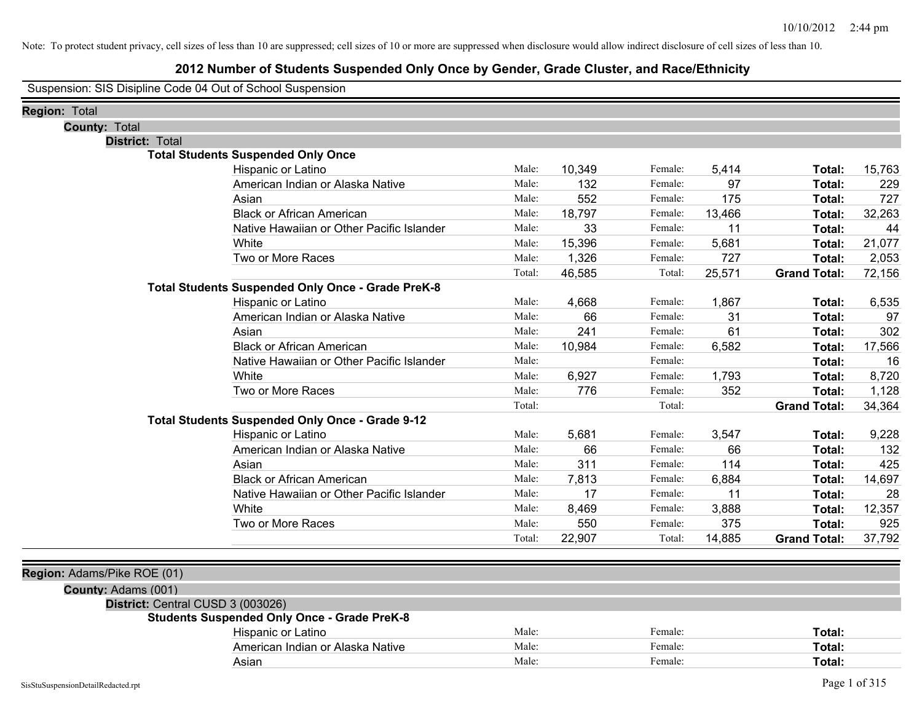## **2012 Number of Students Suspended Only Once by Gender, Grade Cluster, and Race/Ethnicity**

Suspension: SIS Disipline Code 04 Out of School Suspension

| <b>Region: Total</b>                               |                                                          |        |        |         |        |                     |        |
|----------------------------------------------------|----------------------------------------------------------|--------|--------|---------|--------|---------------------|--------|
| <b>County: Total</b>                               |                                                          |        |        |         |        |                     |        |
| District: Total                                    |                                                          |        |        |         |        |                     |        |
|                                                    | <b>Total Students Suspended Only Once</b>                |        |        |         |        |                     |        |
|                                                    | Hispanic or Latino                                       | Male:  | 10,349 | Female: | 5,414  | Total:              | 15,763 |
|                                                    | American Indian or Alaska Native                         | Male:  | 132    | Female: | 97     | <b>Total:</b>       | 229    |
|                                                    | Asian                                                    | Male:  | 552    | Female: | 175    | Total:              | 727    |
|                                                    | <b>Black or African American</b>                         | Male:  | 18,797 | Female: | 13,466 | Total:              | 32,263 |
|                                                    | Native Hawaiian or Other Pacific Islander                | Male:  | 33     | Female: | 11     | Total:              | 44     |
|                                                    | White                                                    | Male:  | 15,396 | Female: | 5,681  | Total:              | 21,077 |
|                                                    | Two or More Races                                        | Male:  | 1,326  | Female: | 727    | Total:              | 2,053  |
|                                                    |                                                          | Total: | 46,585 | Total:  | 25,571 | <b>Grand Total:</b> | 72,156 |
|                                                    | <b>Total Students Suspended Only Once - Grade PreK-8</b> |        |        |         |        |                     |        |
|                                                    | Hispanic or Latino                                       | Male:  | 4,668  | Female: | 1,867  | Total:              | 6,535  |
|                                                    | American Indian or Alaska Native                         | Male:  | 66     | Female: | 31     | Total:              | 97     |
|                                                    | Asian                                                    | Male:  | 241    | Female: | 61     | Total:              | 302    |
|                                                    | <b>Black or African American</b>                         | Male:  | 10,984 | Female: | 6,582  | Total:              | 17,566 |
|                                                    | Native Hawaiian or Other Pacific Islander                | Male:  |        | Female: |        | Total:              | 16     |
|                                                    | White                                                    | Male:  | 6,927  | Female: | 1,793  | Total:              | 8,720  |
|                                                    | Two or More Races                                        | Male:  | 776    | Female: | 352    | Total:              | 1,128  |
|                                                    |                                                          | Total: |        | Total:  |        | <b>Grand Total:</b> | 34,364 |
|                                                    | Total Students Suspended Only Once - Grade 9-12          |        |        |         |        |                     |        |
|                                                    | Hispanic or Latino                                       | Male:  | 5,681  | Female: | 3,547  | Total:              | 9,228  |
|                                                    | American Indian or Alaska Native                         | Male:  | 66     | Female: | 66     | Total:              | 132    |
|                                                    | Asian                                                    | Male:  | 311    | Female: | 114    | Total:              | 425    |
|                                                    | <b>Black or African American</b>                         | Male:  | 7,813  | Female: | 6,884  | Total:              | 14,697 |
|                                                    | Native Hawaiian or Other Pacific Islander                | Male:  | 17     | Female: | 11     | Total:              | 28     |
|                                                    | White                                                    | Male:  | 8,469  | Female: | 3,888  | Total:              | 12,357 |
|                                                    | Two or More Races                                        | Male:  | 550    | Female: | 375    | Total:              | 925    |
|                                                    |                                                          | Total: | 22,907 | Total:  | 14,885 | <b>Grand Total:</b> | 37,792 |
|                                                    |                                                          |        |        |         |        |                     |        |
| Region: Adams/Pike ROE (01)<br>County: Adams (001) |                                                          |        |        |         |        |                     |        |
|                                                    | District: Central CUSD 3 (003026)                        |        |        |         |        |                     |        |
|                                                    | <b>Students Suspended Only Once - Grade PreK-8</b>       |        |        |         |        |                     |        |
|                                                    | Hispanic or Latino                                       | Male:  |        | Female: |        | Total:              |        |
|                                                    | American Indian or Alaska Native                         | Male:  |        | Female: |        | <b>Total:</b>       |        |
|                                                    | Asian                                                    | Male:  |        | Female: |        | Total:              |        |
|                                                    |                                                          |        |        |         |        |                     |        |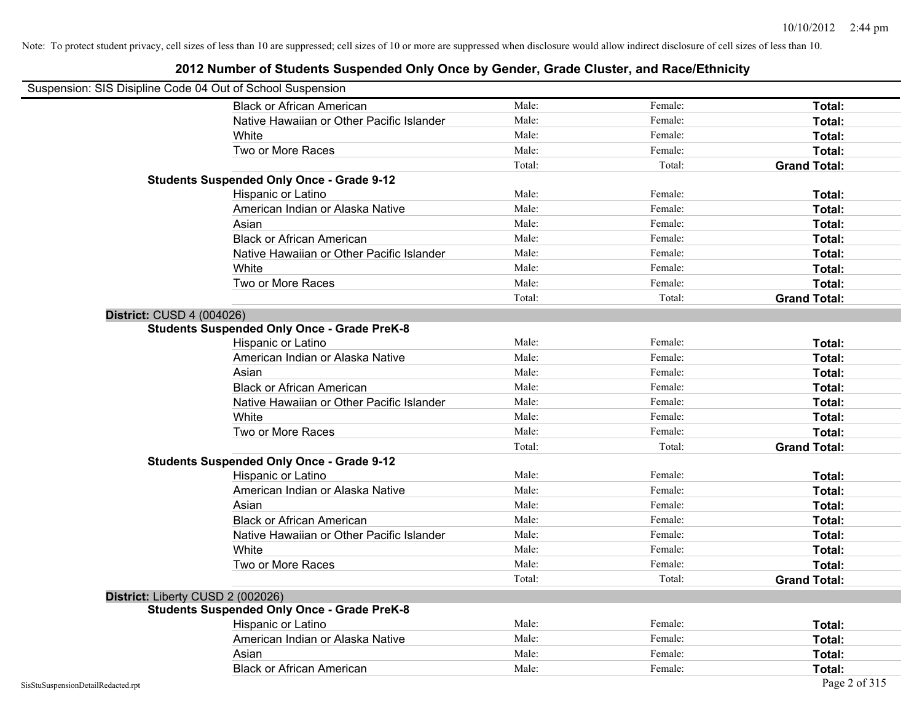| Suspension: SIS Disipline Code 04 Out of School Suspension |                                                    |        |         |                     |
|------------------------------------------------------------|----------------------------------------------------|--------|---------|---------------------|
|                                                            | <b>Black or African American</b>                   | Male:  | Female: | Total:              |
|                                                            | Native Hawaiian or Other Pacific Islander          | Male:  | Female: | Total:              |
|                                                            | White                                              | Male:  | Female: | Total:              |
|                                                            | Two or More Races                                  | Male:  | Female: | Total:              |
|                                                            |                                                    | Total: | Total:  | <b>Grand Total:</b> |
|                                                            | <b>Students Suspended Only Once - Grade 9-12</b>   |        |         |                     |
|                                                            | Hispanic or Latino                                 | Male:  | Female: | Total:              |
|                                                            | American Indian or Alaska Native                   | Male:  | Female: | Total:              |
|                                                            | Asian                                              | Male:  | Female: | Total:              |
|                                                            | <b>Black or African American</b>                   | Male:  | Female: | Total:              |
|                                                            | Native Hawaiian or Other Pacific Islander          | Male:  | Female: | Total:              |
|                                                            | White                                              | Male:  | Female: | Total:              |
|                                                            | Two or More Races                                  | Male:  | Female: | Total:              |
|                                                            |                                                    | Total: | Total:  | <b>Grand Total:</b> |
| <b>District: CUSD 4 (004026)</b>                           |                                                    |        |         |                     |
|                                                            | <b>Students Suspended Only Once - Grade PreK-8</b> |        |         |                     |
|                                                            | Hispanic or Latino                                 | Male:  | Female: | Total:              |
|                                                            | American Indian or Alaska Native                   | Male:  | Female: | Total:              |
|                                                            | Asian                                              | Male:  | Female: | Total:              |
|                                                            | <b>Black or African American</b>                   | Male:  | Female: | Total:              |
|                                                            | Native Hawaiian or Other Pacific Islander          | Male:  | Female: | Total:              |
|                                                            | White                                              | Male:  | Female: | Total:              |
|                                                            | Two or More Races                                  | Male:  | Female: | Total:              |
|                                                            |                                                    | Total: | Total:  | <b>Grand Total:</b> |
|                                                            | <b>Students Suspended Only Once - Grade 9-12</b>   |        |         |                     |
|                                                            | Hispanic or Latino                                 | Male:  | Female: | Total:              |
|                                                            | American Indian or Alaska Native                   | Male:  | Female: | Total:              |
|                                                            | Asian                                              | Male:  | Female: | Total:              |
|                                                            | <b>Black or African American</b>                   | Male:  | Female: | Total:              |
|                                                            | Native Hawaiian or Other Pacific Islander          | Male:  | Female: | Total:              |
|                                                            | White                                              | Male:  | Female: | Total:              |
|                                                            | Two or More Races                                  | Male:  | Female: | Total:              |
|                                                            |                                                    | Total: | Total:  | <b>Grand Total:</b> |
| District: Liberty CUSD 2 (002026)                          |                                                    |        |         |                     |
|                                                            | <b>Students Suspended Only Once - Grade PreK-8</b> |        |         |                     |
|                                                            | Hispanic or Latino                                 | Male:  | Female: | Total:              |
|                                                            | American Indian or Alaska Native                   | Male:  | Female: | Total:              |
|                                                            | Asian                                              | Male:  | Female: | Total:              |
|                                                            | <b>Black or African American</b>                   | Male:  | Female: | Total:              |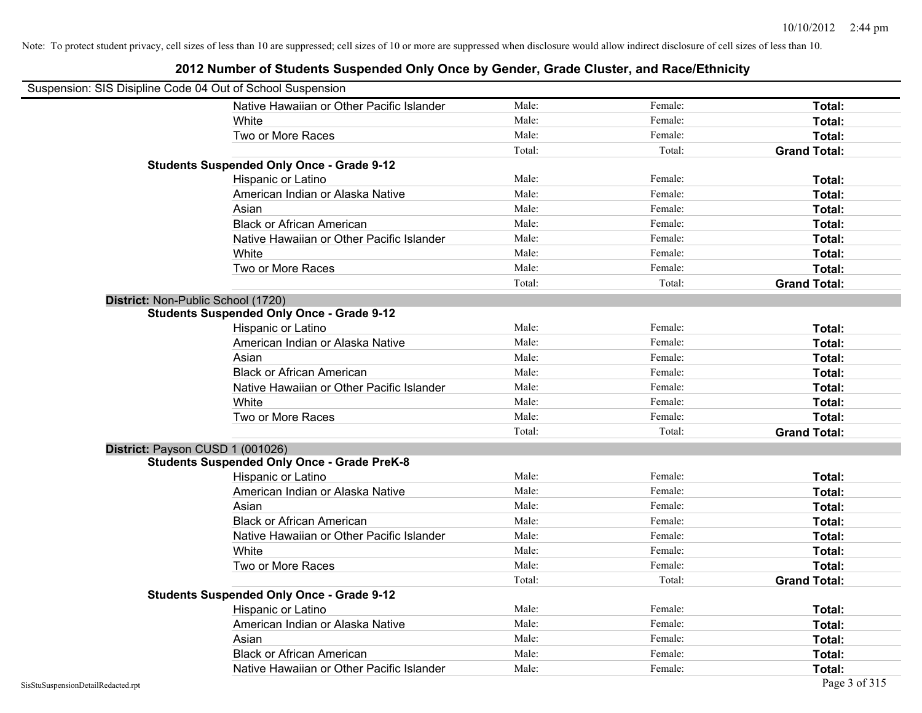| Suspension: SIS Disipline Code 04 Out of School Suspension |                                                    |        |         |                     |
|------------------------------------------------------------|----------------------------------------------------|--------|---------|---------------------|
|                                                            | Native Hawaiian or Other Pacific Islander          | Male:  | Female: | Total:              |
|                                                            | White                                              | Male:  | Female: | Total:              |
|                                                            | Two or More Races                                  | Male:  | Female: | Total:              |
|                                                            |                                                    | Total: | Total:  | <b>Grand Total:</b> |
|                                                            | <b>Students Suspended Only Once - Grade 9-12</b>   |        |         |                     |
|                                                            | Hispanic or Latino                                 | Male:  | Female: | Total:              |
|                                                            | American Indian or Alaska Native                   | Male:  | Female: | Total:              |
|                                                            | Asian                                              | Male:  | Female: | Total:              |
|                                                            | <b>Black or African American</b>                   | Male:  | Female: | Total:              |
|                                                            | Native Hawaiian or Other Pacific Islander          | Male:  | Female: | Total:              |
|                                                            | White                                              | Male:  | Female: | Total:              |
|                                                            | Two or More Races                                  | Male:  | Female: | Total:              |
|                                                            |                                                    | Total: | Total:  | <b>Grand Total:</b> |
| District: Non-Public School (1720)                         |                                                    |        |         |                     |
|                                                            | <b>Students Suspended Only Once - Grade 9-12</b>   |        |         |                     |
|                                                            | Hispanic or Latino                                 | Male:  | Female: | Total:              |
|                                                            | American Indian or Alaska Native                   | Male:  | Female: | Total:              |
|                                                            | Asian                                              | Male:  | Female: | Total:              |
|                                                            | <b>Black or African American</b>                   | Male:  | Female: | Total:              |
|                                                            | Native Hawaiian or Other Pacific Islander          | Male:  | Female: | Total:              |
|                                                            | White                                              | Male:  | Female: | Total:              |
|                                                            | Two or More Races                                  | Male:  | Female: | Total:              |
|                                                            |                                                    | Total: | Total:  | <b>Grand Total:</b> |
| District: Payson CUSD 1 (001026)                           |                                                    |        |         |                     |
|                                                            | <b>Students Suspended Only Once - Grade PreK-8</b> |        |         |                     |
|                                                            | Hispanic or Latino                                 | Male:  | Female: | Total:              |
|                                                            | American Indian or Alaska Native                   | Male:  | Female: | Total:              |
|                                                            | Asian                                              | Male:  | Female: | Total:              |
|                                                            | <b>Black or African American</b>                   | Male:  | Female: | Total:              |
|                                                            | Native Hawaiian or Other Pacific Islander          | Male:  | Female: | Total:              |
|                                                            | White                                              | Male:  | Female: | Total:              |
|                                                            | Two or More Races                                  | Male:  | Female: | Total:              |
|                                                            |                                                    | Total: | Total:  | <b>Grand Total:</b> |
|                                                            | <b>Students Suspended Only Once - Grade 9-12</b>   |        |         |                     |
|                                                            | Hispanic or Latino                                 | Male:  | Female: | Total:              |
|                                                            | American Indian or Alaska Native                   | Male:  | Female: | Total:              |
|                                                            | Asian                                              | Male:  | Female: | Total:              |
|                                                            | <b>Black or African American</b>                   | Male:  | Female: | Total:              |
|                                                            | Native Hawaiian or Other Pacific Islander          | Male:  | Female: | Total:              |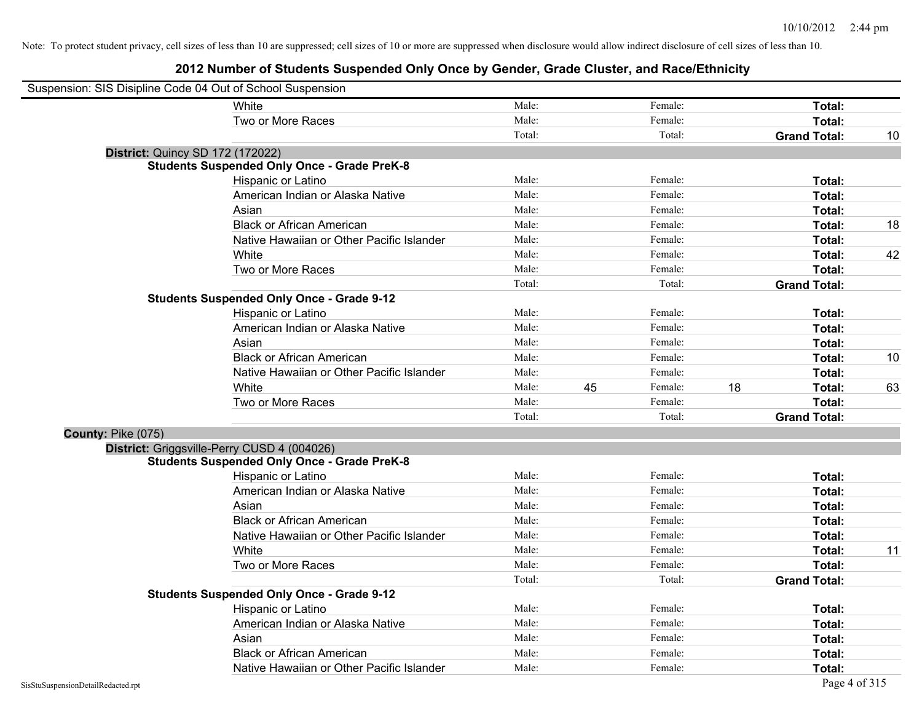| Suspension: SIS Disipline Code 04 Out of School Suspension |                                                    |        |    |         |    |                     |    |
|------------------------------------------------------------|----------------------------------------------------|--------|----|---------|----|---------------------|----|
|                                                            | <b>White</b>                                       | Male:  |    | Female: |    | Total:              |    |
|                                                            | Two or More Races                                  | Male:  |    | Female: |    | <b>Total:</b>       |    |
|                                                            |                                                    | Total: |    | Total:  |    | <b>Grand Total:</b> | 10 |
| <b>District: Quincy SD 172 (172022)</b>                    |                                                    |        |    |         |    |                     |    |
|                                                            | <b>Students Suspended Only Once - Grade PreK-8</b> |        |    |         |    |                     |    |
|                                                            | Hispanic or Latino                                 | Male:  |    | Female: |    | Total:              |    |
|                                                            | American Indian or Alaska Native                   | Male:  |    | Female: |    | Total:              |    |
|                                                            | Asian                                              | Male:  |    | Female: |    | Total:              |    |
|                                                            | <b>Black or African American</b>                   | Male:  |    | Female: |    | Total:              | 18 |
|                                                            | Native Hawaiian or Other Pacific Islander          | Male:  |    | Female: |    | Total:              |    |
|                                                            | White                                              | Male:  |    | Female: |    | Total:              | 42 |
|                                                            | Two or More Races                                  | Male:  |    | Female: |    | Total:              |    |
|                                                            |                                                    | Total: |    | Total:  |    | <b>Grand Total:</b> |    |
|                                                            | <b>Students Suspended Only Once - Grade 9-12</b>   |        |    |         |    |                     |    |
|                                                            | Hispanic or Latino                                 | Male:  |    | Female: |    | Total:              |    |
|                                                            | American Indian or Alaska Native                   | Male:  |    | Female: |    | Total:              |    |
|                                                            | Asian                                              | Male:  |    | Female: |    | Total:              |    |
|                                                            | <b>Black or African American</b>                   | Male:  |    | Female: |    | Total:              | 10 |
|                                                            | Native Hawaiian or Other Pacific Islander          | Male:  |    | Female: |    | Total:              |    |
|                                                            | White                                              | Male:  | 45 | Female: | 18 | Total:              | 63 |
|                                                            | Two or More Races                                  | Male:  |    | Female: |    | Total:              |    |
|                                                            |                                                    | Total: |    | Total:  |    | <b>Grand Total:</b> |    |
| County: Pike (075)                                         |                                                    |        |    |         |    |                     |    |
| District: Griggsville-Perry CUSD 4 (004026)                |                                                    |        |    |         |    |                     |    |
|                                                            | <b>Students Suspended Only Once - Grade PreK-8</b> |        |    |         |    |                     |    |
|                                                            | Hispanic or Latino                                 | Male:  |    | Female: |    | Total:              |    |
|                                                            | American Indian or Alaska Native                   | Male:  |    | Female: |    | Total:              |    |
|                                                            | Asian                                              | Male:  |    | Female: |    | Total:              |    |
|                                                            | <b>Black or African American</b>                   | Male:  |    | Female: |    | Total:              |    |
|                                                            | Native Hawaiian or Other Pacific Islander          | Male:  |    | Female: |    | Total:              |    |
|                                                            | White                                              | Male:  |    | Female: |    | Total:              | 11 |
|                                                            | Two or More Races                                  | Male:  |    | Female: |    | Total:              |    |
|                                                            |                                                    | Total: |    | Total:  |    | <b>Grand Total:</b> |    |
|                                                            | <b>Students Suspended Only Once - Grade 9-12</b>   |        |    |         |    |                     |    |
|                                                            | Hispanic or Latino                                 | Male:  |    | Female: |    | Total:              |    |
|                                                            | American Indian or Alaska Native                   | Male:  |    | Female: |    | Total:              |    |
|                                                            | Asian                                              | Male:  |    | Female: |    | Total:              |    |
|                                                            | <b>Black or African American</b>                   | Male:  |    | Female: |    | Total:              |    |
|                                                            | Native Hawaiian or Other Pacific Islander          | Male:  |    | Female: |    | Total:              |    |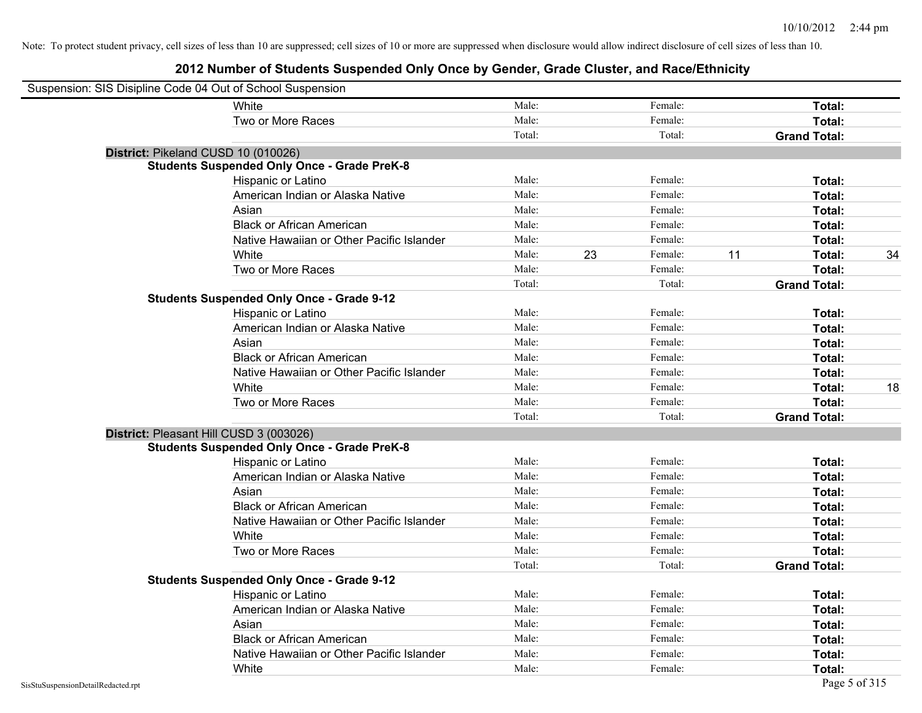| Suspension: SIS Disipline Code 04 Out of School Suspension |                                                    |        |    |         |    |                     |    |
|------------------------------------------------------------|----------------------------------------------------|--------|----|---------|----|---------------------|----|
|                                                            | White                                              | Male:  |    | Female: |    | Total:              |    |
|                                                            | Two or More Races                                  | Male:  |    | Female: |    | Total:              |    |
|                                                            |                                                    | Total: |    | Total:  |    | <b>Grand Total:</b> |    |
| District: Pikeland CUSD 10 (010026)                        |                                                    |        |    |         |    |                     |    |
|                                                            | <b>Students Suspended Only Once - Grade PreK-8</b> |        |    |         |    |                     |    |
|                                                            | Hispanic or Latino                                 | Male:  |    | Female: |    | Total:              |    |
|                                                            | American Indian or Alaska Native                   | Male:  |    | Female: |    | Total:              |    |
|                                                            | Asian                                              | Male:  |    | Female: |    | Total:              |    |
|                                                            | <b>Black or African American</b>                   | Male:  |    | Female: |    | Total:              |    |
|                                                            | Native Hawaiian or Other Pacific Islander          | Male:  |    | Female: |    | Total:              |    |
|                                                            | White                                              | Male:  | 23 | Female: | 11 | Total:              | 34 |
|                                                            | Two or More Races                                  | Male:  |    | Female: |    | Total:              |    |
|                                                            |                                                    | Total: |    | Total:  |    | <b>Grand Total:</b> |    |
|                                                            | <b>Students Suspended Only Once - Grade 9-12</b>   |        |    |         |    |                     |    |
|                                                            | Hispanic or Latino                                 | Male:  |    | Female: |    | Total:              |    |
|                                                            | American Indian or Alaska Native                   | Male:  |    | Female: |    | Total:              |    |
|                                                            | Asian                                              | Male:  |    | Female: |    | Total:              |    |
|                                                            | <b>Black or African American</b>                   | Male:  |    | Female: |    | Total:              |    |
|                                                            | Native Hawaiian or Other Pacific Islander          | Male:  |    | Female: |    | Total:              |    |
|                                                            | White                                              | Male:  |    | Female: |    | Total:              | 18 |
|                                                            | Two or More Races                                  | Male:  |    | Female: |    | Total:              |    |
|                                                            |                                                    | Total: |    | Total:  |    | <b>Grand Total:</b> |    |
| District: Pleasant Hill CUSD 3 (003026)                    |                                                    |        |    |         |    |                     |    |
|                                                            | <b>Students Suspended Only Once - Grade PreK-8</b> |        |    |         |    |                     |    |
|                                                            | Hispanic or Latino                                 | Male:  |    | Female: |    | Total:              |    |
|                                                            | American Indian or Alaska Native                   | Male:  |    | Female: |    | Total:              |    |
|                                                            | Asian                                              | Male:  |    | Female: |    | Total:              |    |
|                                                            | <b>Black or African American</b>                   | Male:  |    | Female: |    | Total:              |    |
|                                                            | Native Hawaiian or Other Pacific Islander          | Male:  |    | Female: |    | Total:              |    |
|                                                            | White                                              | Male:  |    | Female: |    | Total:              |    |
|                                                            | Two or More Races                                  | Male:  |    | Female: |    | Total:              |    |
|                                                            |                                                    | Total: |    | Total:  |    | <b>Grand Total:</b> |    |
|                                                            | <b>Students Suspended Only Once - Grade 9-12</b>   |        |    |         |    |                     |    |
|                                                            | Hispanic or Latino                                 | Male:  |    | Female: |    | Total:              |    |
|                                                            | American Indian or Alaska Native                   | Male:  |    | Female: |    | Total:              |    |
|                                                            | Asian                                              | Male:  |    | Female: |    | Total:              |    |
|                                                            | <b>Black or African American</b>                   | Male:  |    | Female: |    | Total:              |    |
|                                                            | Native Hawaiian or Other Pacific Islander          | Male:  |    | Female: |    | Total:              |    |
|                                                            | White                                              | Male:  |    | Female: |    | Total:              |    |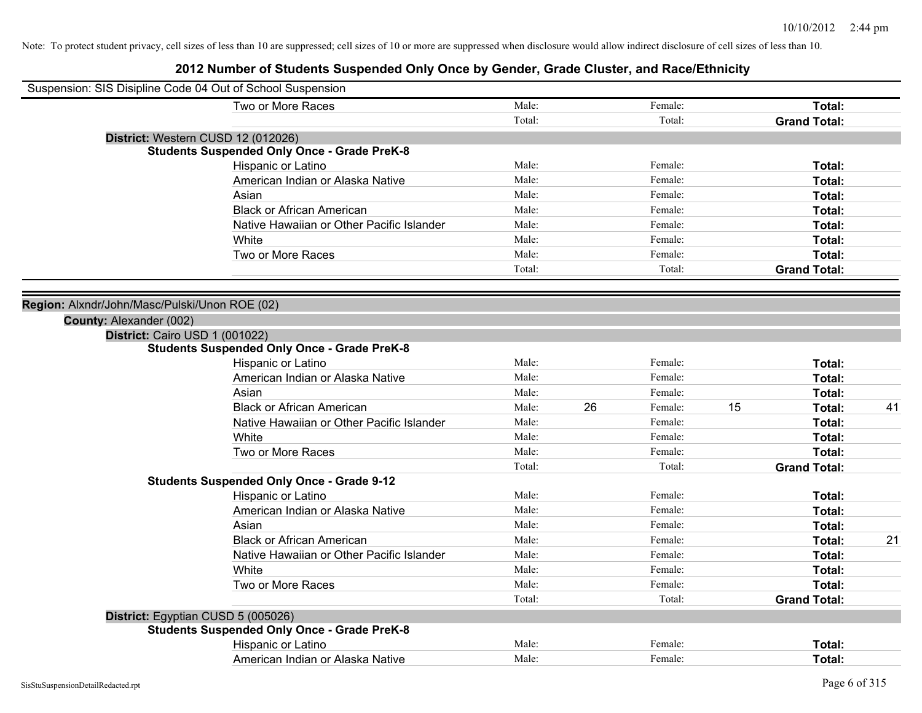| Suspension: SIS Disipline Code 04 Out of School Suspension |                                                    |        |    |         |    |                     |    |
|------------------------------------------------------------|----------------------------------------------------|--------|----|---------|----|---------------------|----|
|                                                            | Two or More Races                                  | Male:  |    | Female: |    | Total:              |    |
|                                                            |                                                    | Total: |    | Total:  |    | <b>Grand Total:</b> |    |
| District: Western CUSD 12 (012026)                         |                                                    |        |    |         |    |                     |    |
|                                                            | <b>Students Suspended Only Once - Grade PreK-8</b> |        |    |         |    |                     |    |
|                                                            | Hispanic or Latino                                 | Male:  |    | Female: |    | Total:              |    |
|                                                            | American Indian or Alaska Native                   | Male:  |    | Female: |    | Total:              |    |
|                                                            | Asian                                              | Male:  |    | Female: |    | Total:              |    |
|                                                            | <b>Black or African American</b>                   | Male:  |    | Female: |    | Total:              |    |
|                                                            | Native Hawaiian or Other Pacific Islander          | Male:  |    | Female: |    | Total:              |    |
|                                                            | White                                              | Male:  |    | Female: |    | Total:              |    |
|                                                            | Two or More Races                                  | Male:  |    | Female: |    | Total:              |    |
|                                                            |                                                    | Total: |    | Total:  |    | <b>Grand Total:</b> |    |
|                                                            |                                                    |        |    |         |    |                     |    |
| Region: Alxndr/John/Masc/Pulski/Unon ROE (02)              |                                                    |        |    |         |    |                     |    |
| County: Alexander (002)                                    |                                                    |        |    |         |    |                     |    |
| District: Cairo USD 1 (001022)                             |                                                    |        |    |         |    |                     |    |
|                                                            | <b>Students Suspended Only Once - Grade PreK-8</b> |        |    |         |    |                     |    |
|                                                            | Hispanic or Latino                                 | Male:  |    | Female: |    | Total:              |    |
|                                                            | American Indian or Alaska Native                   | Male:  |    | Female: |    | Total:              |    |
|                                                            | Asian                                              | Male:  |    | Female: |    | Total:              |    |
|                                                            | <b>Black or African American</b>                   | Male:  | 26 | Female: | 15 | Total:              | 41 |
|                                                            | Native Hawaiian or Other Pacific Islander          | Male:  |    | Female: |    | Total:              |    |
|                                                            | White                                              | Male:  |    | Female: |    | Total:              |    |
|                                                            | Two or More Races                                  | Male:  |    | Female: |    | Total:              |    |
|                                                            |                                                    | Total: |    | Total:  |    | <b>Grand Total:</b> |    |
|                                                            | <b>Students Suspended Only Once - Grade 9-12</b>   |        |    |         |    |                     |    |
|                                                            | Hispanic or Latino                                 | Male:  |    | Female: |    | Total:              |    |
|                                                            | American Indian or Alaska Native                   | Male:  |    | Female: |    | Total:              |    |
|                                                            | Asian                                              | Male:  |    | Female: |    | Total:              |    |
|                                                            | <b>Black or African American</b>                   | Male:  |    | Female: |    | Total:              | 21 |
|                                                            | Native Hawaiian or Other Pacific Islander          | Male:  |    | Female: |    | Total:              |    |
|                                                            | White                                              | Male:  |    | Female: |    | Total:              |    |
|                                                            | Two or More Races                                  | Male:  |    | Female: |    | Total:              |    |
|                                                            |                                                    | Total: |    | Total:  |    | <b>Grand Total:</b> |    |
| District: Egyptian CUSD 5 (005026)                         |                                                    |        |    |         |    |                     |    |
|                                                            | <b>Students Suspended Only Once - Grade PreK-8</b> |        |    |         |    |                     |    |
|                                                            | Hispanic or Latino                                 | Male:  |    | Female: |    | Total:              |    |
|                                                            | American Indian or Alaska Native                   | Male:  |    | Female: |    | Total:              |    |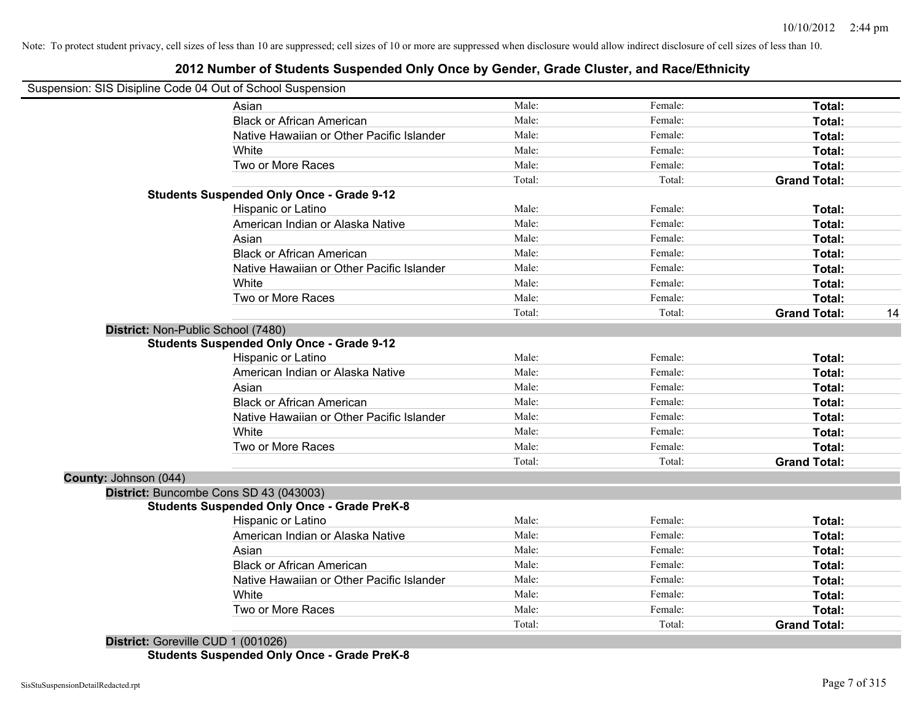|                                    | usperision. Sis Disipline Code 04 Out of Scribol Susperision |        |         |                     |    |
|------------------------------------|--------------------------------------------------------------|--------|---------|---------------------|----|
|                                    | Asian                                                        | Male:  | Female: | Total:              |    |
|                                    | <b>Black or African American</b>                             | Male:  | Female: | Total:              |    |
|                                    | Native Hawaiian or Other Pacific Islander                    | Male:  | Female: | Total:              |    |
|                                    | White                                                        | Male:  | Female: | Total:              |    |
|                                    | Two or More Races                                            | Male:  | Female: | <b>Total:</b>       |    |
|                                    |                                                              | Total: | Total:  | <b>Grand Total:</b> |    |
|                                    | <b>Students Suspended Only Once - Grade 9-12</b>             |        |         |                     |    |
|                                    | Hispanic or Latino                                           | Male:  | Female: | Total:              |    |
|                                    | American Indian or Alaska Native                             | Male:  | Female: | Total:              |    |
|                                    | Asian                                                        | Male:  | Female: | Total:              |    |
|                                    | <b>Black or African American</b>                             | Male:  | Female: | <b>Total:</b>       |    |
|                                    | Native Hawaiian or Other Pacific Islander                    | Male:  | Female: | Total:              |    |
|                                    | White                                                        | Male:  | Female: | Total:              |    |
|                                    | Two or More Races                                            | Male:  | Female: | Total:              |    |
|                                    |                                                              | Total: | Total:  | <b>Grand Total:</b> | 14 |
| District: Non-Public School (7480) |                                                              |        |         |                     |    |
|                                    | <b>Students Suspended Only Once - Grade 9-12</b>             |        |         |                     |    |
|                                    | Hispanic or Latino                                           | Male:  | Female: | Total:              |    |
|                                    | American Indian or Alaska Native                             | Male:  | Female: | Total:              |    |
|                                    | Asian                                                        | Male:  | Female: | Total:              |    |
|                                    | <b>Black or African American</b>                             | Male:  | Female: | <b>Total:</b>       |    |
|                                    | Native Hawaiian or Other Pacific Islander                    | Male:  | Female: | Total:              |    |
|                                    | White                                                        | Male:  | Female: | Total:              |    |
|                                    | Two or More Races                                            | Male:  | Female: | Total:              |    |
|                                    |                                                              | Total: | Total:  | <b>Grand Total:</b> |    |
| County: Johnson (044)              |                                                              |        |         |                     |    |
|                                    | District: Buncombe Cons SD 43 (043003)                       |        |         |                     |    |
|                                    | <b>Students Suspended Only Once - Grade PreK-8</b>           |        |         |                     |    |
|                                    | Hispanic or Latino                                           | Male:  | Female: | Total:              |    |
|                                    | American Indian or Alaska Native                             | Male:  | Female: | Total:              |    |
|                                    | Asian                                                        | Male:  | Female: | Total:              |    |
|                                    | <b>Black or African American</b>                             | Male:  | Female: | Total:              |    |
|                                    | Native Hawaiian or Other Pacific Islander                    | Male:  | Female: | Total:              |    |
|                                    | White                                                        | Male:  | Female: | Total:              |    |
|                                    | Two or More Races                                            | Male:  | Female: | Total:              |    |
|                                    |                                                              | Total: | Total:  | <b>Grand Total:</b> |    |
|                                    |                                                              |        |         |                     |    |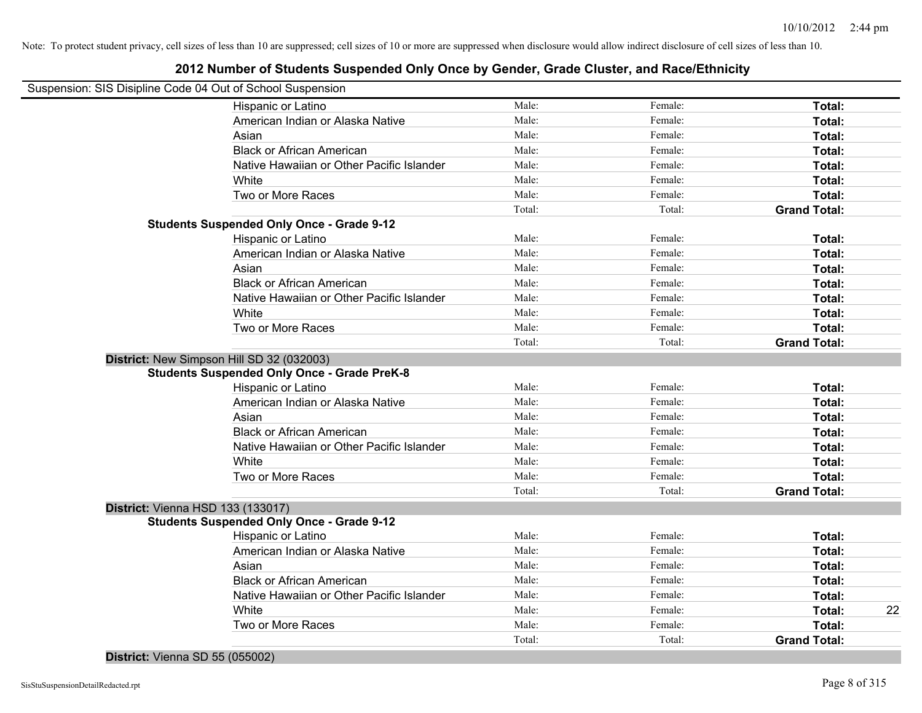## **2012 Number of Students Suspended Only Once by Gender, Grade Cluster, and Race/Ethnicity**

|                                   | Suspension: SIS Disipline Code 04 Out of School Suspension |        |         |                     |    |
|-----------------------------------|------------------------------------------------------------|--------|---------|---------------------|----|
|                                   | Hispanic or Latino                                         | Male:  | Female: | Total:              |    |
|                                   | American Indian or Alaska Native                           | Male:  | Female: | Total:              |    |
|                                   | Asian                                                      | Male:  | Female: | Total:              |    |
|                                   | <b>Black or African American</b>                           | Male:  | Female: | Total:              |    |
|                                   | Native Hawaiian or Other Pacific Islander                  | Male:  | Female: | Total:              |    |
|                                   | White                                                      | Male:  | Female: | Total:              |    |
|                                   | Two or More Races                                          | Male:  | Female: | Total:              |    |
|                                   |                                                            | Total: | Total:  | <b>Grand Total:</b> |    |
|                                   | <b>Students Suspended Only Once - Grade 9-12</b>           |        |         |                     |    |
|                                   | Hispanic or Latino                                         | Male:  | Female: | Total:              |    |
|                                   | American Indian or Alaska Native                           | Male:  | Female: | Total:              |    |
|                                   | Asian                                                      | Male:  | Female: | Total:              |    |
|                                   | <b>Black or African American</b>                           | Male:  | Female: | Total:              |    |
|                                   | Native Hawaiian or Other Pacific Islander                  | Male:  | Female: | Total:              |    |
|                                   | White                                                      | Male:  | Female: | Total:              |    |
|                                   | Two or More Races                                          | Male:  | Female: | Total:              |    |
|                                   |                                                            | Total: | Total:  | <b>Grand Total:</b> |    |
|                                   | District: New Simpson Hill SD 32 (032003)                  |        |         |                     |    |
|                                   | <b>Students Suspended Only Once - Grade PreK-8</b>         |        |         |                     |    |
|                                   | Hispanic or Latino                                         | Male:  | Female: | Total:              |    |
|                                   | American Indian or Alaska Native                           | Male:  | Female: | Total:              |    |
|                                   | Asian                                                      | Male:  | Female: | Total:              |    |
|                                   | <b>Black or African American</b>                           | Male:  | Female: | Total:              |    |
|                                   | Native Hawaiian or Other Pacific Islander                  | Male:  | Female: | Total:              |    |
|                                   | White                                                      | Male:  | Female: | Total:              |    |
|                                   | Two or More Races                                          | Male:  | Female: | Total:              |    |
|                                   |                                                            | Total: | Total:  | <b>Grand Total:</b> |    |
| District: Vienna HSD 133 (133017) |                                                            |        |         |                     |    |
|                                   | <b>Students Suspended Only Once - Grade 9-12</b>           |        |         |                     |    |
|                                   | Hispanic or Latino                                         | Male:  | Female: | Total:              |    |
|                                   | American Indian or Alaska Native                           | Male:  | Female: | Total:              |    |
|                                   | Asian                                                      | Male:  | Female: | Total:              |    |
|                                   | <b>Black or African American</b>                           | Male:  | Female: | Total:              |    |
|                                   | Native Hawaiian or Other Pacific Islander                  | Male:  | Female: | Total:              |    |
|                                   | White                                                      | Male:  | Female: | Total:              | 22 |
|                                   | Two or More Races                                          | Male:  | Female: | Total:              |    |
|                                   |                                                            | Total: | Total:  | <b>Grand Total:</b> |    |

**District:** Vienna SD 55 (055002)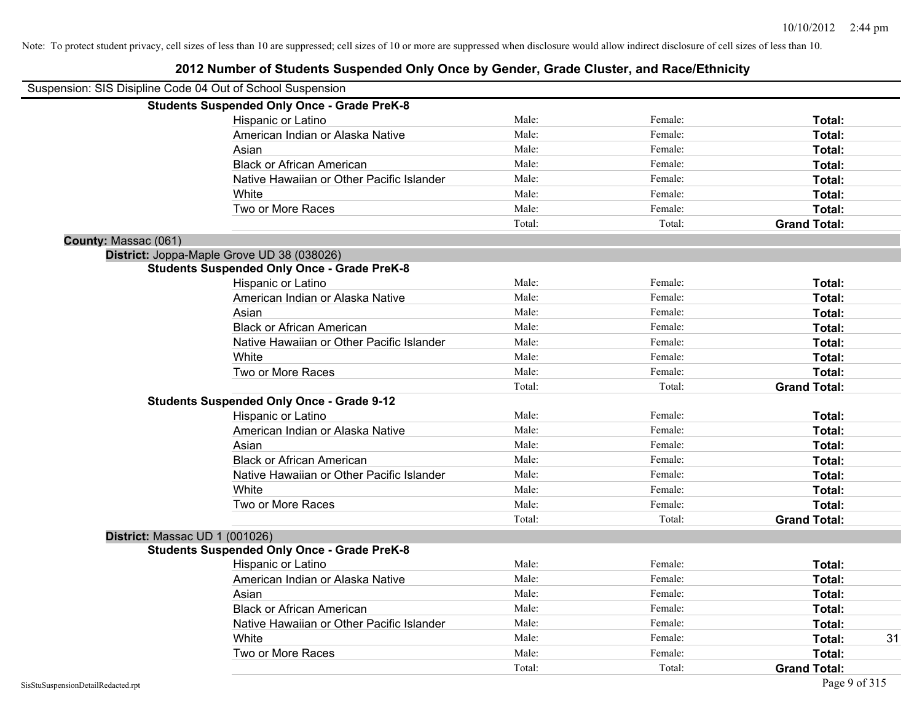| Suspension: SIS Disipline Code 04 Out of School Suspension |                                                    |        |         |                     |
|------------------------------------------------------------|----------------------------------------------------|--------|---------|---------------------|
|                                                            | <b>Students Suspended Only Once - Grade PreK-8</b> |        |         |                     |
|                                                            | Hispanic or Latino                                 | Male:  | Female: | Total:              |
|                                                            | American Indian or Alaska Native                   | Male:  | Female: | Total:              |
|                                                            | Asian                                              | Male:  | Female: | Total:              |
|                                                            | <b>Black or African American</b>                   | Male:  | Female: | Total:              |
|                                                            | Native Hawaiian or Other Pacific Islander          | Male:  | Female: | Total:              |
|                                                            | White                                              | Male:  | Female: | Total:              |
|                                                            | Two or More Races                                  | Male:  | Female: | Total:              |
|                                                            |                                                    | Total: | Total:  | <b>Grand Total:</b> |
| County: Massac (061)                                       |                                                    |        |         |                     |
|                                                            | District: Joppa-Maple Grove UD 38 (038026)         |        |         |                     |
|                                                            | <b>Students Suspended Only Once - Grade PreK-8</b> |        |         |                     |
|                                                            | Hispanic or Latino                                 | Male:  | Female: | Total:              |
|                                                            | American Indian or Alaska Native                   | Male:  | Female: | Total:              |
|                                                            | Asian                                              | Male:  | Female: | Total:              |
|                                                            | <b>Black or African American</b>                   | Male:  | Female: | Total:              |
|                                                            | Native Hawaiian or Other Pacific Islander          | Male:  | Female: | Total:              |
|                                                            | White                                              | Male:  | Female: | Total:              |
|                                                            | Two or More Races                                  | Male:  | Female: | Total:              |
|                                                            |                                                    | Total: | Total:  | <b>Grand Total:</b> |
|                                                            | <b>Students Suspended Only Once - Grade 9-12</b>   |        |         |                     |
|                                                            | Hispanic or Latino                                 | Male:  | Female: | Total:              |
|                                                            | American Indian or Alaska Native                   | Male:  | Female: | Total:              |
|                                                            | Asian                                              | Male:  | Female: | Total:              |
|                                                            | <b>Black or African American</b>                   | Male:  | Female: | Total:              |
|                                                            | Native Hawaiian or Other Pacific Islander          | Male:  | Female: | Total:              |
|                                                            | White                                              | Male:  | Female: | Total:              |
|                                                            | Two or More Races                                  | Male:  | Female: | Total:              |
|                                                            |                                                    | Total: | Total:  | <b>Grand Total:</b> |
| District: Massac UD 1 (001026)                             |                                                    |        |         |                     |
|                                                            | <b>Students Suspended Only Once - Grade PreK-8</b> |        |         |                     |
|                                                            | Hispanic or Latino                                 | Male:  | Female: | Total:              |
|                                                            | American Indian or Alaska Native                   | Male:  | Female: | Total:              |
|                                                            | Asian                                              | Male:  | Female: | Total:              |
|                                                            | <b>Black or African American</b>                   | Male:  | Female: | Total:              |
|                                                            | Native Hawaiian or Other Pacific Islander          | Male:  | Female: | Total:              |
|                                                            | White                                              | Male:  | Female: | 31<br>Total:        |
|                                                            | Two or More Races                                  | Male:  | Female: | Total:              |
|                                                            |                                                    | Total: | Total:  | <b>Grand Total:</b> |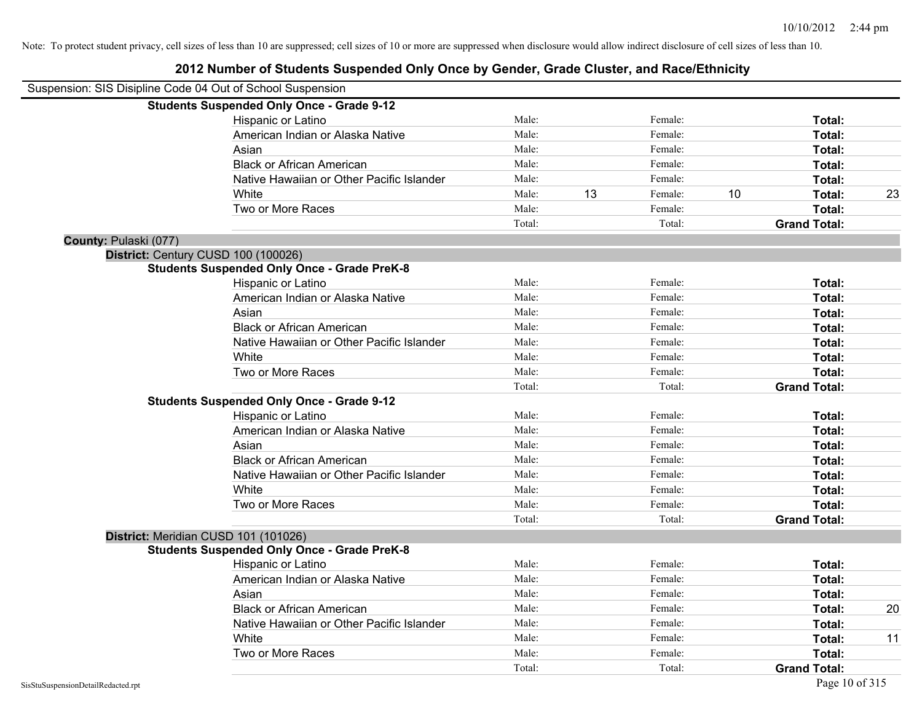| Suspension: SIS Disipline Code 04 Out of School Suspension |                                                    |        |    |         |    |                     |    |
|------------------------------------------------------------|----------------------------------------------------|--------|----|---------|----|---------------------|----|
|                                                            | <b>Students Suspended Only Once - Grade 9-12</b>   |        |    |         |    |                     |    |
|                                                            | Hispanic or Latino                                 | Male:  |    | Female: |    | Total:              |    |
|                                                            | American Indian or Alaska Native                   | Male:  |    | Female: |    | Total:              |    |
|                                                            | Asian                                              | Male:  |    | Female: |    | Total:              |    |
|                                                            | <b>Black or African American</b>                   | Male:  |    | Female: |    | Total:              |    |
|                                                            | Native Hawaiian or Other Pacific Islander          | Male:  |    | Female: |    | Total:              |    |
|                                                            | White                                              | Male:  | 13 | Female: | 10 | Total:              | 23 |
|                                                            | Two or More Races                                  | Male:  |    | Female: |    | Total:              |    |
|                                                            |                                                    | Total: |    | Total:  |    | <b>Grand Total:</b> |    |
| County: Pulaski (077)                                      |                                                    |        |    |         |    |                     |    |
|                                                            | District: Century CUSD 100 (100026)                |        |    |         |    |                     |    |
|                                                            | <b>Students Suspended Only Once - Grade PreK-8</b> |        |    |         |    |                     |    |
|                                                            | Hispanic or Latino                                 | Male:  |    | Female: |    | Total:              |    |
|                                                            | American Indian or Alaska Native                   | Male:  |    | Female: |    | Total:              |    |
|                                                            | Asian                                              | Male:  |    | Female: |    | Total:              |    |
|                                                            | <b>Black or African American</b>                   | Male:  |    | Female: |    | Total:              |    |
|                                                            | Native Hawaiian or Other Pacific Islander          | Male:  |    | Female: |    | Total:              |    |
|                                                            | White                                              | Male:  |    | Female: |    | Total:              |    |
|                                                            | Two or More Races                                  | Male:  |    | Female: |    | Total:              |    |
|                                                            |                                                    | Total: |    | Total:  |    | <b>Grand Total:</b> |    |
|                                                            | <b>Students Suspended Only Once - Grade 9-12</b>   |        |    |         |    |                     |    |
|                                                            | Hispanic or Latino                                 | Male:  |    | Female: |    | Total:              |    |
|                                                            | American Indian or Alaska Native                   | Male:  |    | Female: |    | Total:              |    |
|                                                            | Asian                                              | Male:  |    | Female: |    | Total:              |    |
|                                                            | <b>Black or African American</b>                   | Male:  |    | Female: |    | Total:              |    |
|                                                            | Native Hawaiian or Other Pacific Islander          | Male:  |    | Female: |    | Total:              |    |
|                                                            | White                                              | Male:  |    | Female: |    | Total:              |    |
|                                                            | Two or More Races                                  | Male:  |    | Female: |    | Total:              |    |
|                                                            |                                                    | Total: |    | Total:  |    | <b>Grand Total:</b> |    |
|                                                            | District: Meridian CUSD 101 (101026)               |        |    |         |    |                     |    |
|                                                            | <b>Students Suspended Only Once - Grade PreK-8</b> |        |    |         |    |                     |    |
|                                                            | Hispanic or Latino                                 | Male:  |    | Female: |    | Total:              |    |
|                                                            | American Indian or Alaska Native                   | Male:  |    | Female: |    | Total:              |    |
|                                                            | Asian                                              | Male:  |    | Female: |    | Total:              |    |
|                                                            | <b>Black or African American</b>                   | Male:  |    | Female: |    | Total:              | 20 |
|                                                            | Native Hawaiian or Other Pacific Islander          | Male:  |    | Female: |    | Total:              |    |
|                                                            | White                                              | Male:  |    | Female: |    | Total:              | 11 |
|                                                            | Two or More Races                                  | Male:  |    | Female: |    | Total:              |    |
|                                                            |                                                    | Total: |    | Total:  |    | <b>Grand Total:</b> |    |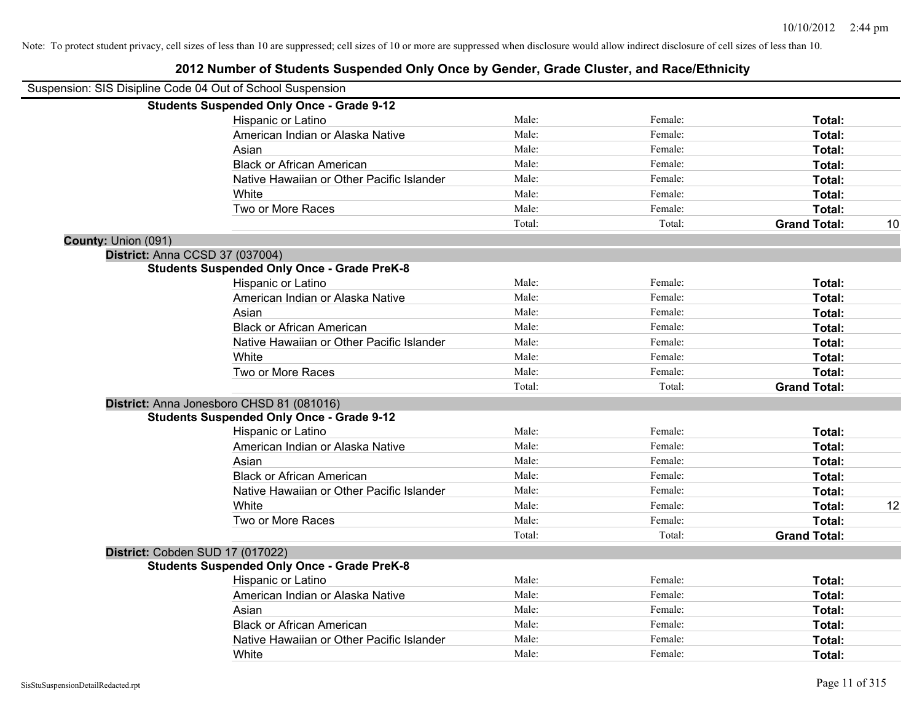|                     | Suspension: SIS Disipline Code 04 Out of School Suspension |        |         |                     |    |
|---------------------|------------------------------------------------------------|--------|---------|---------------------|----|
|                     | <b>Students Suspended Only Once - Grade 9-12</b>           |        |         |                     |    |
|                     | Hispanic or Latino                                         | Male:  | Female: | Total:              |    |
|                     | American Indian or Alaska Native                           | Male:  | Female: | Total:              |    |
|                     | Asian                                                      | Male:  | Female: | Total:              |    |
|                     | <b>Black or African American</b>                           | Male:  | Female: | Total:              |    |
|                     | Native Hawaiian or Other Pacific Islander                  | Male:  | Female: | Total:              |    |
|                     | White                                                      | Male:  | Female: | Total:              |    |
|                     | Two or More Races                                          | Male:  | Female: | Total:              |    |
|                     |                                                            | Total: | Total:  | <b>Grand Total:</b> | 10 |
| County: Union (091) |                                                            |        |         |                     |    |
|                     | District: Anna CCSD 37 (037004)                            |        |         |                     |    |
|                     | <b>Students Suspended Only Once - Grade PreK-8</b>         |        |         |                     |    |
|                     | Hispanic or Latino                                         | Male:  | Female: | Total:              |    |
|                     | American Indian or Alaska Native                           | Male:  | Female: | Total:              |    |
|                     | Asian                                                      | Male:  | Female: | Total:              |    |
|                     | <b>Black or African American</b>                           | Male:  | Female: | Total:              |    |
|                     | Native Hawaiian or Other Pacific Islander                  | Male:  | Female: | Total:              |    |
|                     | White                                                      | Male:  | Female: | Total:              |    |
|                     | Two or More Races                                          | Male:  | Female: | Total:              |    |
|                     |                                                            | Total: | Total:  | <b>Grand Total:</b> |    |
|                     | District: Anna Jonesboro CHSD 81 (081016)                  |        |         |                     |    |
|                     | <b>Students Suspended Only Once - Grade 9-12</b>           |        |         |                     |    |
|                     | Hispanic or Latino                                         | Male:  | Female: | Total:              |    |
|                     | American Indian or Alaska Native                           | Male:  | Female: | Total:              |    |
|                     | Asian                                                      | Male:  | Female: | Total:              |    |
|                     | <b>Black or African American</b>                           | Male:  | Female: | Total:              |    |
|                     | Native Hawaiian or Other Pacific Islander                  | Male:  | Female: | Total:              |    |
|                     | White                                                      | Male:  | Female: | Total:              | 12 |
|                     | Two or More Races                                          | Male:  | Female: | Total:              |    |
|                     |                                                            | Total: | Total:  | <b>Grand Total:</b> |    |
|                     | District: Cobden SUD 17 (017022)                           |        |         |                     |    |
|                     | <b>Students Suspended Only Once - Grade PreK-8</b>         |        |         |                     |    |
|                     | Hispanic or Latino                                         | Male:  | Female: | Total:              |    |
|                     | American Indian or Alaska Native                           | Male:  | Female: | Total:              |    |
|                     | Asian                                                      | Male:  | Female: | Total:              |    |
|                     | <b>Black or African American</b>                           | Male:  | Female: | Total:              |    |
|                     | Native Hawaiian or Other Pacific Islander                  | Male:  | Female: | <b>Total:</b>       |    |
|                     | White                                                      | Male:  | Female: | Total:              |    |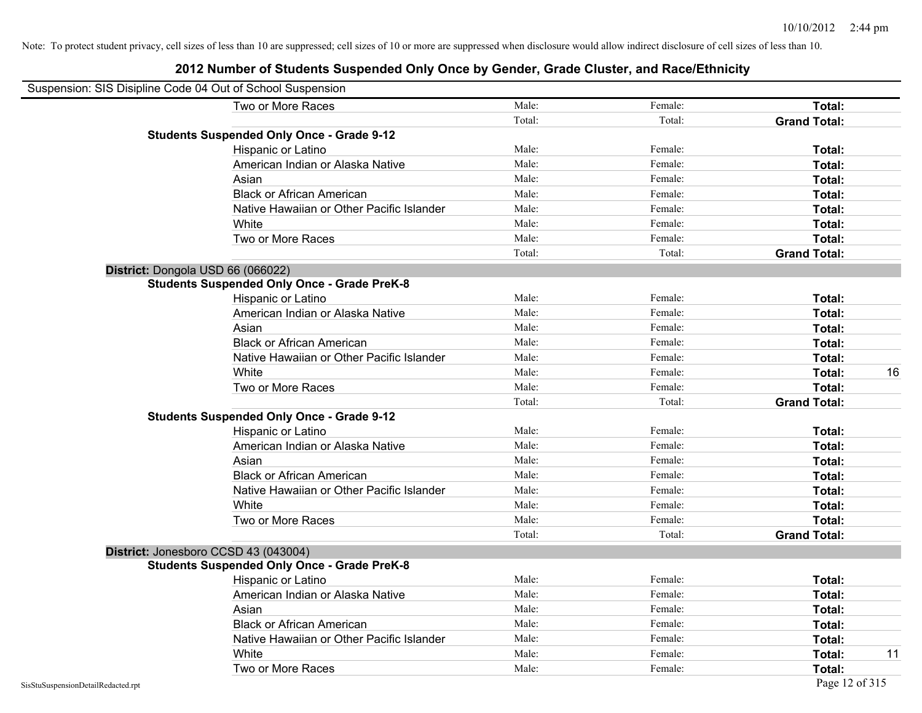| Suspension: SIS Disipline Code 04 Out of School Suspension |                                                    |        |         |                     |
|------------------------------------------------------------|----------------------------------------------------|--------|---------|---------------------|
|                                                            | Two or More Races                                  | Male:  | Female: | Total:              |
|                                                            |                                                    | Total: | Total:  | <b>Grand Total:</b> |
|                                                            | <b>Students Suspended Only Once - Grade 9-12</b>   |        |         |                     |
|                                                            | Hispanic or Latino                                 | Male:  | Female: | Total:              |
|                                                            | American Indian or Alaska Native                   | Male:  | Female: | <b>Total:</b>       |
|                                                            | Asian                                              | Male:  | Female: | <b>Total:</b>       |
|                                                            | <b>Black or African American</b>                   | Male:  | Female: | Total:              |
|                                                            | Native Hawaiian or Other Pacific Islander          | Male:  | Female: | Total:              |
|                                                            | White                                              | Male:  | Female: | Total:              |
|                                                            | Two or More Races                                  | Male:  | Female: | Total:              |
|                                                            |                                                    | Total: | Total:  | <b>Grand Total:</b> |
|                                                            | District: Dongola USD 66 (066022)                  |        |         |                     |
|                                                            | <b>Students Suspended Only Once - Grade PreK-8</b> |        |         |                     |
|                                                            | Hispanic or Latino                                 | Male:  | Female: | <b>Total:</b>       |
|                                                            | American Indian or Alaska Native                   | Male:  | Female: | Total:              |
|                                                            | Asian                                              | Male:  | Female: | Total:              |
|                                                            | <b>Black or African American</b>                   | Male:  | Female: | Total:              |
|                                                            | Native Hawaiian or Other Pacific Islander          | Male:  | Female: | <b>Total:</b>       |
|                                                            | White                                              | Male:  | Female: | 16<br><b>Total:</b> |
|                                                            | Two or More Races                                  | Male:  | Female: | Total:              |
|                                                            |                                                    | Total: | Total:  | <b>Grand Total:</b> |
|                                                            | <b>Students Suspended Only Once - Grade 9-12</b>   |        |         |                     |
|                                                            | Hispanic or Latino                                 | Male:  | Female: | Total:              |
|                                                            | American Indian or Alaska Native                   | Male:  | Female: | Total:              |
|                                                            | Asian                                              | Male:  | Female: | Total:              |
|                                                            | <b>Black or African American</b>                   | Male:  | Female: | Total:              |
|                                                            | Native Hawaiian or Other Pacific Islander          | Male:  | Female: | Total:              |
|                                                            | White                                              | Male:  | Female: | Total:              |
|                                                            | Two or More Races                                  | Male:  | Female: | Total:              |
|                                                            |                                                    | Total: | Total:  | <b>Grand Total:</b> |
|                                                            | District: Jonesboro CCSD 43 (043004)               |        |         |                     |
|                                                            | <b>Students Suspended Only Once - Grade PreK-8</b> |        |         |                     |
|                                                            | Hispanic or Latino                                 | Male:  | Female: | Total:              |
|                                                            | American Indian or Alaska Native                   | Male:  | Female: | Total:              |
|                                                            | Asian                                              | Male:  | Female: | Total:              |
|                                                            | <b>Black or African American</b>                   | Male:  | Female: | Total:              |
|                                                            | Native Hawaiian or Other Pacific Islander          | Male:  | Female: | Total:              |
|                                                            | White                                              | Male:  | Female: | <b>Total:</b><br>11 |
|                                                            | Two or More Races                                  | Male:  | Female: | <b>Total:</b>       |
| SisStuSuspensionDetailRedacted.rpt                         |                                                    |        |         | Page 12 of 315      |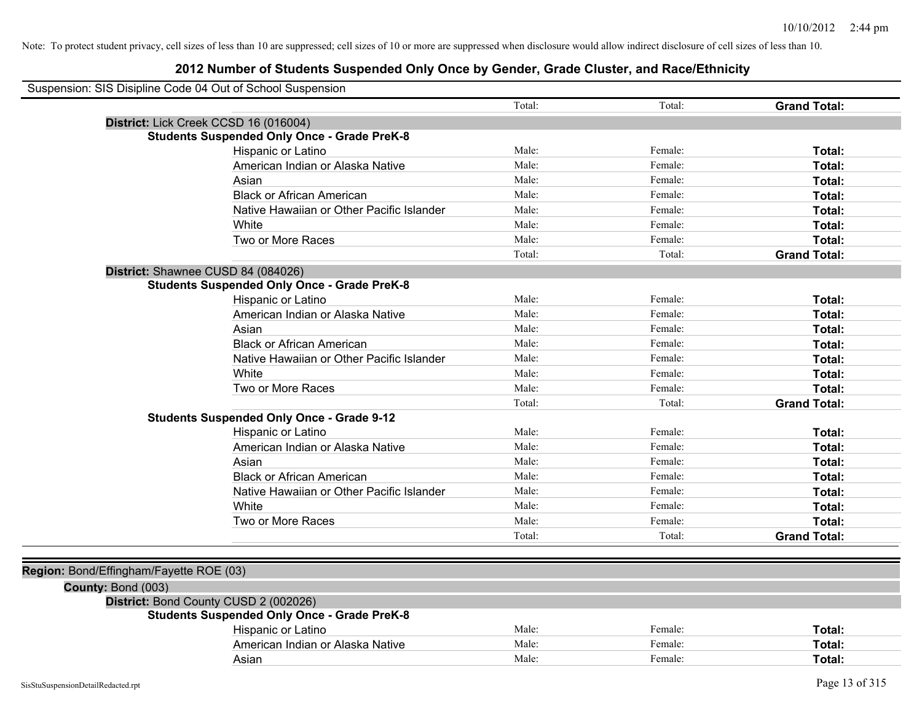| Suspension: SIS Disipline Code 04 Out of School Suspension |                                                    |        |         |                     |
|------------------------------------------------------------|----------------------------------------------------|--------|---------|---------------------|
|                                                            |                                                    | Total: | Total:  | <b>Grand Total:</b> |
|                                                            | District: Lick Creek CCSD 16 (016004)              |        |         |                     |
|                                                            | <b>Students Suspended Only Once - Grade PreK-8</b> |        |         |                     |
|                                                            | Hispanic or Latino                                 | Male:  | Female: | Total:              |
|                                                            | American Indian or Alaska Native                   | Male:  | Female: | Total:              |
|                                                            | Asian                                              | Male:  | Female: | Total:              |
|                                                            | <b>Black or African American</b>                   | Male:  | Female: | Total:              |
|                                                            | Native Hawaiian or Other Pacific Islander          | Male:  | Female: | Total:              |
|                                                            | White                                              | Male:  | Female: | Total:              |
|                                                            | Two or More Races                                  | Male:  | Female: | Total:              |
|                                                            |                                                    | Total: | Total:  | <b>Grand Total:</b> |
|                                                            | District: Shawnee CUSD 84 (084026)                 |        |         |                     |
|                                                            | <b>Students Suspended Only Once - Grade PreK-8</b> |        |         |                     |
|                                                            | Hispanic or Latino                                 | Male:  | Female: | Total:              |
|                                                            | American Indian or Alaska Native                   | Male:  | Female: | Total:              |
|                                                            | Asian                                              | Male:  | Female: | Total:              |
|                                                            | <b>Black or African American</b>                   | Male:  | Female: | Total:              |
|                                                            | Native Hawaiian or Other Pacific Islander          | Male:  | Female: | Total:              |
|                                                            | White                                              | Male:  | Female: | Total:              |
|                                                            | Two or More Races                                  | Male:  | Female: | Total:              |
|                                                            |                                                    | Total: | Total:  | <b>Grand Total:</b> |
|                                                            | <b>Students Suspended Only Once - Grade 9-12</b>   |        |         |                     |
|                                                            | Hispanic or Latino                                 | Male:  | Female: | Total:              |
|                                                            | American Indian or Alaska Native                   | Male:  | Female: | Total:              |
|                                                            | Asian                                              | Male:  | Female: | Total:              |
|                                                            | <b>Black or African American</b>                   | Male:  | Female: | Total:              |
|                                                            | Native Hawaiian or Other Pacific Islander          | Male:  | Female: | Total:              |
|                                                            | White                                              | Male:  | Female: | Total:              |
|                                                            | Two or More Races                                  | Male:  | Female: | Total:              |
|                                                            |                                                    | Total: | Total:  | <b>Grand Total:</b> |
|                                                            |                                                    |        |         |                     |
| Region: Bond/Effingham/Fayette ROE (03)                    |                                                    |        |         |                     |
| County: Bond (003)                                         |                                                    |        |         |                     |
|                                                            | District: Bond County CUSD 2 (002026)              |        |         |                     |
|                                                            | <b>Students Suspended Only Once - Grade PreK-8</b> |        |         |                     |
|                                                            | Hispanic or Latino                                 | Male:  | Female: | Total:              |
|                                                            | American Indian or Alaska Native                   | Male:  | Female: | Total:              |
|                                                            | Asian                                              | Male:  | Female: | Total:              |
|                                                            |                                                    |        |         |                     |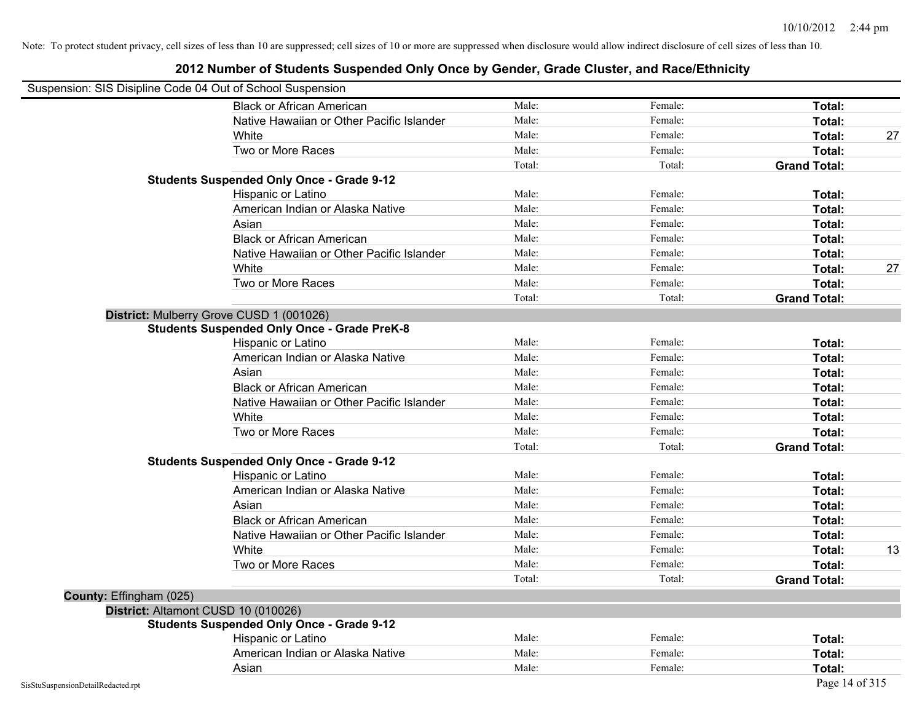| Suspension: SIS Disipline Code 04 Out of School Suspension |                                                    |        |         |                     |    |
|------------------------------------------------------------|----------------------------------------------------|--------|---------|---------------------|----|
|                                                            | <b>Black or African American</b>                   | Male:  | Female: | Total:              |    |
|                                                            | Native Hawaiian or Other Pacific Islander          | Male:  | Female: | Total:              |    |
|                                                            | White                                              | Male:  | Female: | Total:              | 27 |
|                                                            | Two or More Races                                  | Male:  | Female: | Total:              |    |
|                                                            |                                                    | Total: | Total:  | <b>Grand Total:</b> |    |
|                                                            | <b>Students Suspended Only Once - Grade 9-12</b>   |        |         |                     |    |
|                                                            | Hispanic or Latino                                 | Male:  | Female: | Total:              |    |
|                                                            | American Indian or Alaska Native                   | Male:  | Female: | Total:              |    |
|                                                            | Asian                                              | Male:  | Female: | Total:              |    |
|                                                            | <b>Black or African American</b>                   | Male:  | Female: | Total:              |    |
|                                                            | Native Hawaiian or Other Pacific Islander          | Male:  | Female: | Total:              |    |
|                                                            | White                                              | Male:  | Female: | Total:              | 27 |
|                                                            | Two or More Races                                  | Male:  | Female: | Total:              |    |
|                                                            |                                                    | Total: | Total:  | <b>Grand Total:</b> |    |
|                                                            | District: Mulberry Grove CUSD 1 (001026)           |        |         |                     |    |
|                                                            | <b>Students Suspended Only Once - Grade PreK-8</b> |        |         |                     |    |
|                                                            | Hispanic or Latino                                 | Male:  | Female: | Total:              |    |
|                                                            | American Indian or Alaska Native                   | Male:  | Female: | Total:              |    |
|                                                            | Asian                                              | Male:  | Female: | Total:              |    |
|                                                            | <b>Black or African American</b>                   | Male:  | Female: | Total:              |    |
|                                                            | Native Hawaiian or Other Pacific Islander          | Male:  | Female: | Total:              |    |
|                                                            | White                                              | Male:  | Female: | Total:              |    |
|                                                            | Two or More Races                                  | Male:  | Female: | Total:              |    |
|                                                            |                                                    | Total: | Total:  | <b>Grand Total:</b> |    |
|                                                            | <b>Students Suspended Only Once - Grade 9-12</b>   |        |         |                     |    |
|                                                            | Hispanic or Latino                                 | Male:  | Female: | Total:              |    |
|                                                            | American Indian or Alaska Native                   | Male:  | Female: | Total:              |    |
|                                                            | Asian                                              | Male:  | Female: | Total:              |    |
|                                                            | <b>Black or African American</b>                   | Male:  | Female: | Total:              |    |
|                                                            | Native Hawaiian or Other Pacific Islander          | Male:  | Female: | Total:              |    |
|                                                            | White                                              | Male:  | Female: | Total:              | 13 |
|                                                            | Two or More Races                                  | Male:  | Female: | Total:              |    |
|                                                            |                                                    | Total: | Total:  | <b>Grand Total:</b> |    |
| County: Effingham (025)                                    |                                                    |        |         |                     |    |
|                                                            | District: Altamont CUSD 10 (010026)                |        |         |                     |    |
|                                                            | <b>Students Suspended Only Once - Grade 9-12</b>   |        |         |                     |    |
|                                                            | Hispanic or Latino                                 | Male:  | Female: | Total:              |    |
|                                                            | American Indian or Alaska Native                   | Male:  | Female: | Total:              |    |
|                                                            | Asian                                              | Male:  | Female: | Total:              |    |
| SisStuSuspensionDetailRedacted.rpt                         |                                                    |        |         | Page 14 of 315      |    |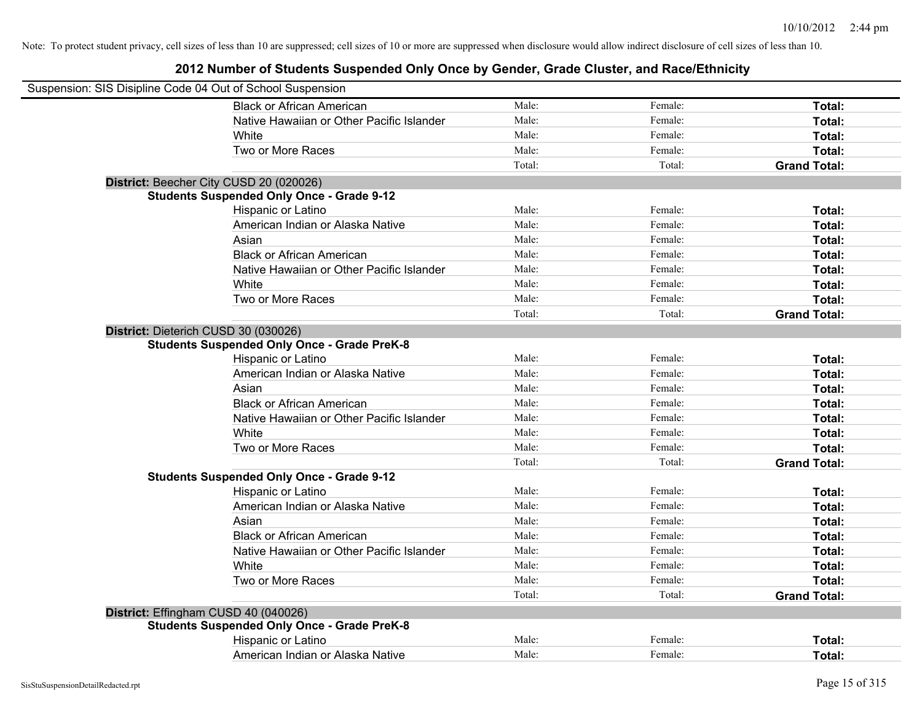| Suspension: SIS Disipline Code 04 Out of School Suspension |                                                    |        |         |                     |
|------------------------------------------------------------|----------------------------------------------------|--------|---------|---------------------|
|                                                            | <b>Black or African American</b>                   | Male:  | Female: | Total:              |
|                                                            | Native Hawaiian or Other Pacific Islander          | Male:  | Female: | Total:              |
|                                                            | White                                              | Male:  | Female: | Total:              |
|                                                            | Two or More Races                                  | Male:  | Female: | Total:              |
|                                                            |                                                    | Total: | Total:  | <b>Grand Total:</b> |
|                                                            | District: Beecher City CUSD 20 (020026)            |        |         |                     |
|                                                            | <b>Students Suspended Only Once - Grade 9-12</b>   |        |         |                     |
|                                                            | Hispanic or Latino                                 | Male:  | Female: | Total:              |
|                                                            | American Indian or Alaska Native                   | Male:  | Female: | Total:              |
|                                                            | Asian                                              | Male:  | Female: | Total:              |
|                                                            | <b>Black or African American</b>                   | Male:  | Female: | Total:              |
|                                                            | Native Hawaiian or Other Pacific Islander          | Male:  | Female: | Total:              |
|                                                            | White                                              | Male:  | Female: | Total:              |
|                                                            | Two or More Races                                  | Male:  | Female: | Total:              |
|                                                            |                                                    | Total: | Total:  | <b>Grand Total:</b> |
|                                                            | District: Dieterich CUSD 30 (030026)               |        |         |                     |
|                                                            | <b>Students Suspended Only Once - Grade PreK-8</b> |        |         |                     |
|                                                            | Hispanic or Latino                                 | Male:  | Female: | Total:              |
|                                                            | American Indian or Alaska Native                   | Male:  | Female: | Total:              |
|                                                            | Asian                                              | Male:  | Female: | Total:              |
|                                                            | <b>Black or African American</b>                   | Male:  | Female: | Total:              |
|                                                            | Native Hawaiian or Other Pacific Islander          | Male:  | Female: | Total:              |
|                                                            | White                                              | Male:  | Female: | Total:              |
|                                                            | Two or More Races                                  | Male:  | Female: | Total:              |
|                                                            |                                                    | Total: | Total:  | <b>Grand Total:</b> |
|                                                            | <b>Students Suspended Only Once - Grade 9-12</b>   |        |         |                     |
|                                                            | Hispanic or Latino                                 | Male:  | Female: | Total:              |
|                                                            | American Indian or Alaska Native                   | Male:  | Female: | Total:              |
|                                                            | Asian                                              | Male:  | Female: | Total:              |
|                                                            | <b>Black or African American</b>                   | Male:  | Female: | Total:              |
|                                                            | Native Hawaiian or Other Pacific Islander          | Male:  | Female: | Total:              |
|                                                            | White                                              | Male:  | Female: | Total:              |
|                                                            | Two or More Races                                  | Male:  | Female: | Total:              |
|                                                            |                                                    | Total: | Total:  | <b>Grand Total:</b> |
|                                                            | District: Effingham CUSD 40 (040026)               |        |         |                     |
|                                                            | <b>Students Suspended Only Once - Grade PreK-8</b> |        |         |                     |
|                                                            | Hispanic or Latino                                 | Male:  | Female: | Total:              |
|                                                            | American Indian or Alaska Native                   | Male:  | Female: | Total:              |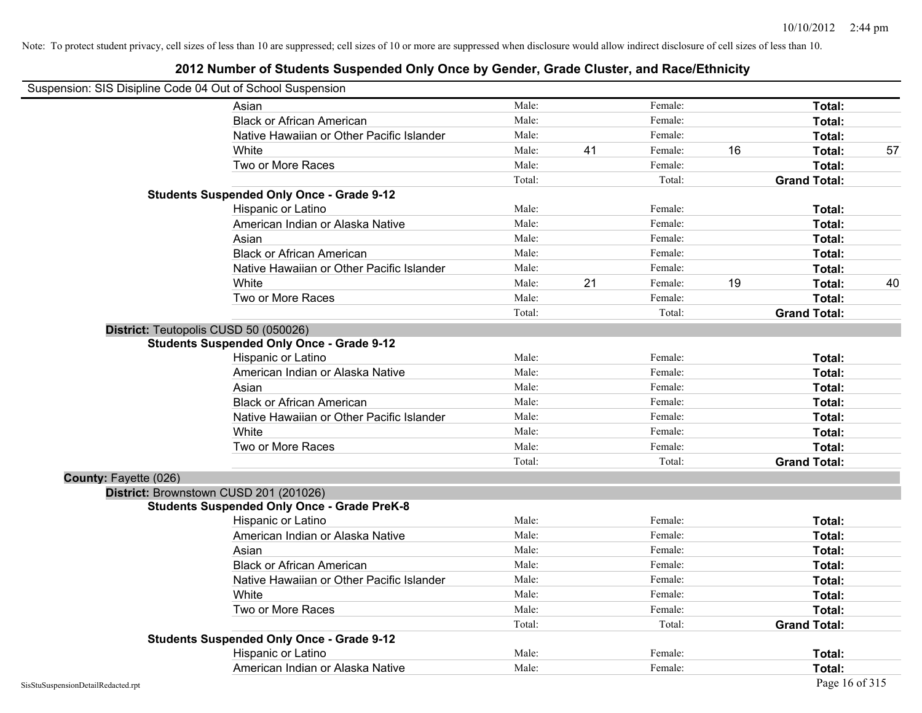| Suspension: SIS Disipline Code 04 Out of School Suspension |
|------------------------------------------------------------|
|------------------------------------------------------------|

|                       | Asian                                              | Male:  |    | Female: |    | Total:              |    |
|-----------------------|----------------------------------------------------|--------|----|---------|----|---------------------|----|
|                       | <b>Black or African American</b>                   | Male:  |    | Female: |    | Total:              |    |
|                       | Native Hawaiian or Other Pacific Islander          | Male:  |    | Female: |    | Total:              |    |
|                       | White                                              | Male:  | 41 | Female: | 16 | Total:              | 57 |
|                       | Two or More Races                                  | Male:  |    | Female: |    | Total:              |    |
|                       |                                                    | Total: |    | Total:  |    | <b>Grand Total:</b> |    |
|                       | <b>Students Suspended Only Once - Grade 9-12</b>   |        |    |         |    |                     |    |
|                       | Hispanic or Latino                                 | Male:  |    | Female: |    | Total:              |    |
|                       | American Indian or Alaska Native                   | Male:  |    | Female: |    | Total:              |    |
|                       | Asian                                              | Male:  |    | Female: |    | Total:              |    |
|                       | <b>Black or African American</b>                   | Male:  |    | Female: |    | Total:              |    |
|                       | Native Hawaiian or Other Pacific Islander          | Male:  |    | Female: |    | Total:              |    |
|                       | White                                              | Male:  | 21 | Female: | 19 | Total:              | 40 |
|                       | Two or More Races                                  | Male:  |    | Female: |    | Total:              |    |
|                       |                                                    | Total: |    | Total:  |    | <b>Grand Total:</b> |    |
|                       | District: Teutopolis CUSD 50 (050026)              |        |    |         |    |                     |    |
|                       | <b>Students Suspended Only Once - Grade 9-12</b>   |        |    |         |    |                     |    |
|                       | Hispanic or Latino                                 | Male:  |    | Female: |    | Total:              |    |
|                       | American Indian or Alaska Native                   | Male:  |    | Female: |    | Total:              |    |
|                       | Asian                                              | Male:  |    | Female: |    | Total:              |    |
|                       | <b>Black or African American</b>                   | Male:  |    | Female: |    | Total:              |    |
|                       | Native Hawaiian or Other Pacific Islander          | Male:  |    | Female: |    | Total:              |    |
|                       | White                                              | Male:  |    | Female: |    | Total:              |    |
|                       | Two or More Races                                  | Male:  |    | Female: |    | Total:              |    |
|                       |                                                    | Total: |    | Total:  |    | <b>Grand Total:</b> |    |
| County: Fayette (026) |                                                    |        |    |         |    |                     |    |
|                       | District: Brownstown CUSD 201 (201026)             |        |    |         |    |                     |    |
|                       | <b>Students Suspended Only Once - Grade PreK-8</b> |        |    |         |    |                     |    |
|                       | Hispanic or Latino                                 | Male:  |    | Female: |    | Total:              |    |
|                       | American Indian or Alaska Native                   | Male:  |    | Female: |    | Total:              |    |
|                       | Asian                                              | Male:  |    | Female: |    | Total:              |    |
|                       | <b>Black or African American</b>                   | Male:  |    | Female: |    | Total:              |    |
|                       | Native Hawaiian or Other Pacific Islander          | Male:  |    | Female: |    | Total:              |    |
|                       | White                                              | Male:  |    | Female: |    | Total:              |    |
|                       | Two or More Races                                  | Male:  |    | Female: |    | Total:              |    |
|                       |                                                    | Total: |    | Total:  |    | <b>Grand Total:</b> |    |
|                       | <b>Students Suspended Only Once - Grade 9-12</b>   |        |    |         |    |                     |    |
|                       | Hispanic or Latino                                 | Male:  |    | Female: |    | <b>Total:</b>       |    |
|                       | American Indian or Alaska Native                   | Male:  |    | Female: |    | Total:              |    |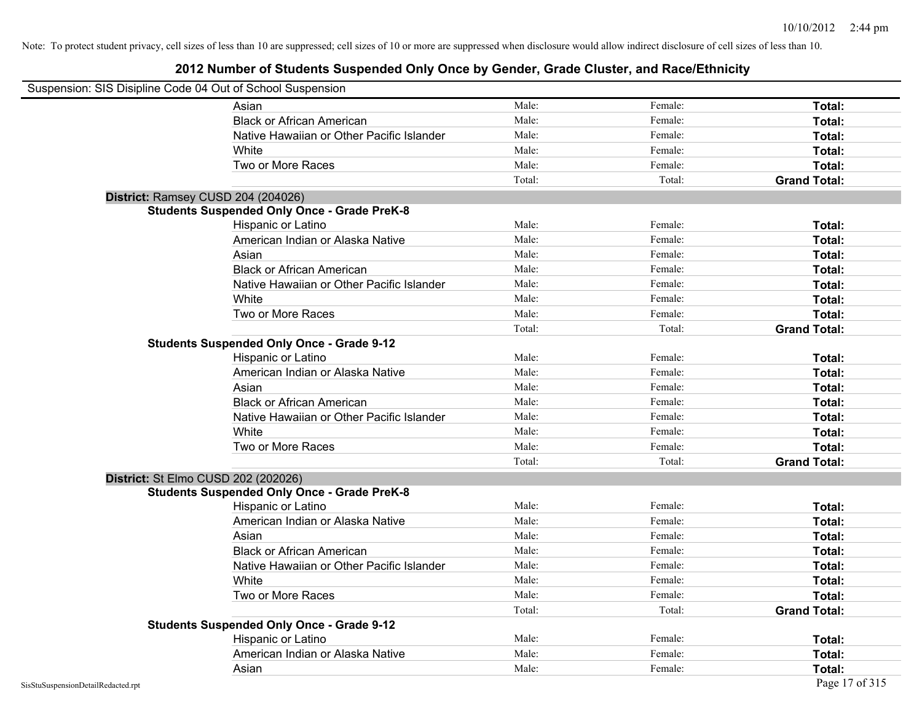| Suspension: SIS Disipline Code 04 Out of School Suspension |                                                    |        |         |                     |
|------------------------------------------------------------|----------------------------------------------------|--------|---------|---------------------|
|                                                            | Asian                                              | Male:  | Female: | Total:              |
|                                                            | <b>Black or African American</b>                   | Male:  | Female: | Total:              |
|                                                            | Native Hawaiian or Other Pacific Islander          | Male:  | Female: | Total:              |
|                                                            | White                                              | Male:  | Female: | Total:              |
|                                                            | Two or More Races                                  | Male:  | Female: | Total:              |
|                                                            |                                                    | Total: | Total:  | <b>Grand Total:</b> |
| District: Ramsey CUSD 204 (204026)                         |                                                    |        |         |                     |
|                                                            | <b>Students Suspended Only Once - Grade PreK-8</b> |        |         |                     |
|                                                            | Hispanic or Latino                                 | Male:  | Female: | Total:              |
|                                                            | American Indian or Alaska Native                   | Male:  | Female: | Total:              |
|                                                            | Asian                                              | Male:  | Female: | Total:              |
|                                                            | <b>Black or African American</b>                   | Male:  | Female: | Total:              |
|                                                            | Native Hawaiian or Other Pacific Islander          | Male:  | Female: | Total:              |
|                                                            | White                                              | Male:  | Female: | Total:              |
|                                                            | Two or More Races                                  | Male:  | Female: | Total:              |
|                                                            |                                                    | Total: | Total:  | <b>Grand Total:</b> |
|                                                            | <b>Students Suspended Only Once - Grade 9-12</b>   |        |         |                     |
|                                                            | Hispanic or Latino                                 | Male:  | Female: | Total:              |
|                                                            | American Indian or Alaska Native                   | Male:  | Female: | Total:              |
|                                                            | Asian                                              | Male:  | Female: | Total:              |
|                                                            | <b>Black or African American</b>                   | Male:  | Female: | Total:              |
|                                                            | Native Hawaiian or Other Pacific Islander          | Male:  | Female: | Total:              |
|                                                            | White                                              | Male:  | Female: | Total:              |
|                                                            | Two or More Races                                  | Male:  | Female: | Total:              |
|                                                            |                                                    | Total: | Total:  | <b>Grand Total:</b> |
| District: St Elmo CUSD 202 (202026)                        |                                                    |        |         |                     |
|                                                            | <b>Students Suspended Only Once - Grade PreK-8</b> |        |         |                     |
|                                                            | Hispanic or Latino                                 | Male:  | Female: | Total:              |
|                                                            | American Indian or Alaska Native                   | Male:  | Female: | Total:              |
|                                                            | Asian                                              | Male:  | Female: | Total:              |
|                                                            | <b>Black or African American</b>                   | Male:  | Female: | Total:              |
|                                                            | Native Hawaiian or Other Pacific Islander          | Male:  | Female: | Total:              |
|                                                            | <b>White</b>                                       | Male:  | Female: | Total:              |
|                                                            | Two or More Races                                  | Male:  | Female: | Total:              |
|                                                            |                                                    | Total: | Total:  | <b>Grand Total:</b> |
|                                                            | <b>Students Suspended Only Once - Grade 9-12</b>   |        |         |                     |
|                                                            | Hispanic or Latino                                 | Male:  | Female: | Total:              |
|                                                            | American Indian or Alaska Native                   | Male:  | Female: | Total:              |
|                                                            | Asian                                              | Male:  | Female: | Total:              |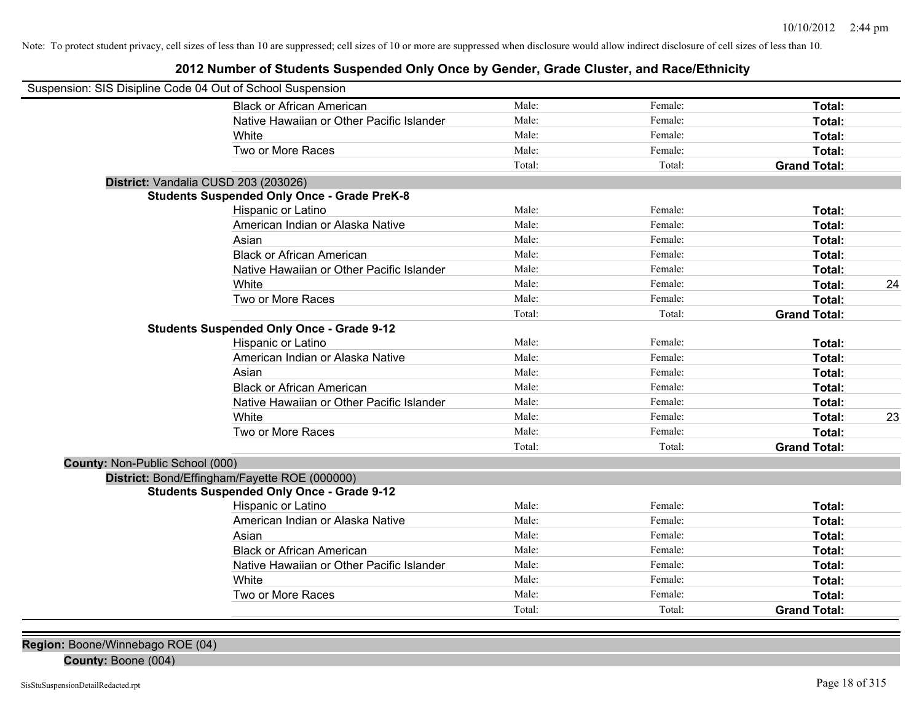## **2012 Number of Students Suspended Only Once by Gender, Grade Cluster, and Race/Ethnicity**

| Suspension: SIS Disipline Code 04 Out of School Suspension |                                                    |        |         |                     |    |
|------------------------------------------------------------|----------------------------------------------------|--------|---------|---------------------|----|
|                                                            | <b>Black or African American</b>                   | Male:  | Female: | Total:              |    |
|                                                            | Native Hawaiian or Other Pacific Islander          | Male:  | Female: | Total:              |    |
|                                                            | White                                              | Male:  | Female: | Total:              |    |
|                                                            | Two or More Races                                  | Male:  | Female: | Total:              |    |
|                                                            |                                                    | Total: | Total:  | <b>Grand Total:</b> |    |
|                                                            | District: Vandalia CUSD 203 (203026)               |        |         |                     |    |
|                                                            | <b>Students Suspended Only Once - Grade PreK-8</b> |        |         |                     |    |
|                                                            | Hispanic or Latino                                 | Male:  | Female: | Total:              |    |
|                                                            | American Indian or Alaska Native                   | Male:  | Female: | Total:              |    |
|                                                            | Asian                                              | Male:  | Female: | Total:              |    |
|                                                            | <b>Black or African American</b>                   | Male:  | Female: | Total:              |    |
|                                                            | Native Hawaiian or Other Pacific Islander          | Male:  | Female: | Total:              |    |
|                                                            | White                                              | Male:  | Female: | Total:              | 24 |
|                                                            | Two or More Races                                  | Male:  | Female: | Total:              |    |
|                                                            |                                                    | Total: | Total:  | <b>Grand Total:</b> |    |
|                                                            | <b>Students Suspended Only Once - Grade 9-12</b>   |        |         |                     |    |
|                                                            | Hispanic or Latino                                 | Male:  | Female: | Total:              |    |
|                                                            | American Indian or Alaska Native                   | Male:  | Female: | Total:              |    |
|                                                            | Asian                                              | Male:  | Female: | Total:              |    |
|                                                            | <b>Black or African American</b>                   | Male:  | Female: | Total:              |    |
|                                                            | Native Hawaiian or Other Pacific Islander          | Male:  | Female: | Total:              |    |
|                                                            | White                                              | Male:  | Female: | Total:              | 23 |
|                                                            | Two or More Races                                  | Male:  | Female: | Total:              |    |
|                                                            |                                                    | Total: | Total:  | <b>Grand Total:</b> |    |
| County: Non-Public School (000)                            |                                                    |        |         |                     |    |
|                                                            | District: Bond/Effingham/Fayette ROE (000000)      |        |         |                     |    |
|                                                            | <b>Students Suspended Only Once - Grade 9-12</b>   |        |         |                     |    |
|                                                            | Hispanic or Latino                                 | Male:  | Female: | Total:              |    |
|                                                            | American Indian or Alaska Native                   | Male:  | Female: | Total:              |    |
|                                                            | Asian                                              | Male:  | Female: | Total:              |    |
|                                                            | <b>Black or African American</b>                   | Male:  | Female: | Total:              |    |
|                                                            | Native Hawaiian or Other Pacific Islander          | Male:  | Female: | Total:              |    |
|                                                            | White                                              | Male:  | Female: | Total:              |    |
|                                                            | Two or More Races                                  | Male:  | Female: | Total:              |    |
|                                                            |                                                    | Total: | Total:  | <b>Grand Total:</b> |    |

**Region:** Boone/Winnebago ROE (04)

**County:** Boone (004)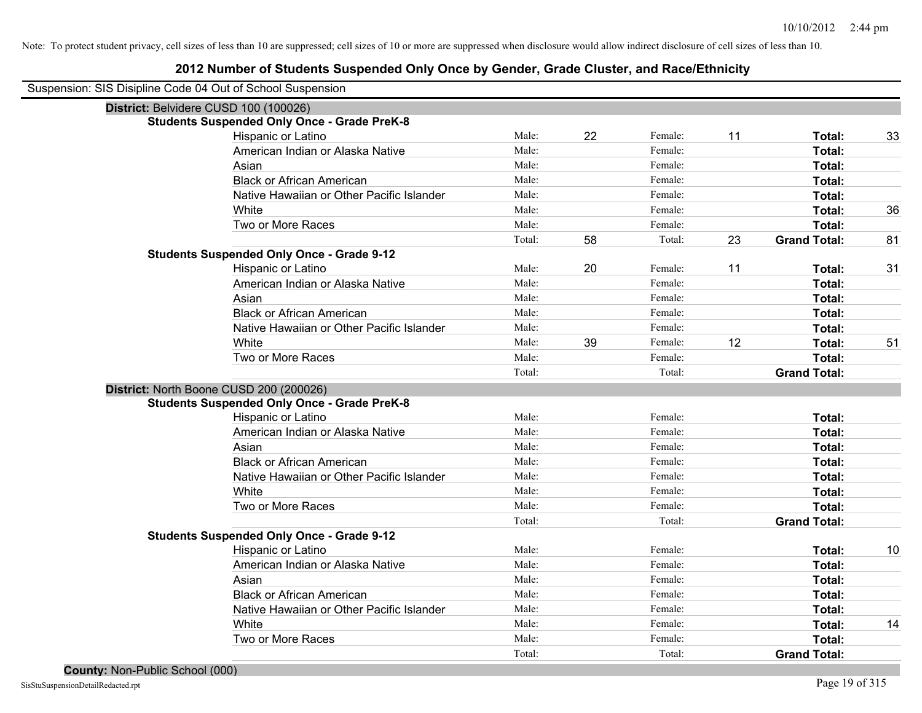| Suspension: SIS Disipline Code 04 Out of School Suspension |                                                    |        |    |         |    |                     |    |
|------------------------------------------------------------|----------------------------------------------------|--------|----|---------|----|---------------------|----|
|                                                            | District: Belvidere CUSD 100 (100026)              |        |    |         |    |                     |    |
|                                                            | <b>Students Suspended Only Once - Grade PreK-8</b> |        |    |         |    |                     |    |
|                                                            | Hispanic or Latino                                 | Male:  | 22 | Female: | 11 | Total:              | 33 |
|                                                            | American Indian or Alaska Native                   | Male:  |    | Female: |    | Total:              |    |
|                                                            | Asian                                              | Male:  |    | Female: |    | Total:              |    |
|                                                            | <b>Black or African American</b>                   | Male:  |    | Female: |    | Total:              |    |
|                                                            | Native Hawaiian or Other Pacific Islander          | Male:  |    | Female: |    | Total:              |    |
|                                                            | White                                              | Male:  |    | Female: |    | Total:              | 36 |
|                                                            | Two or More Races                                  | Male:  |    | Female: |    | Total:              |    |
|                                                            |                                                    | Total: | 58 | Total:  | 23 | <b>Grand Total:</b> | 81 |
|                                                            | <b>Students Suspended Only Once - Grade 9-12</b>   |        |    |         |    |                     |    |
|                                                            | Hispanic or Latino                                 | Male:  | 20 | Female: | 11 | Total:              | 31 |
|                                                            | American Indian or Alaska Native                   | Male:  |    | Female: |    | Total:              |    |
|                                                            | Asian                                              | Male:  |    | Female: |    | Total:              |    |
|                                                            | <b>Black or African American</b>                   | Male:  |    | Female: |    | Total:              |    |
|                                                            | Native Hawaiian or Other Pacific Islander          | Male:  |    | Female: |    | Total:              |    |
|                                                            | White                                              | Male:  | 39 | Female: | 12 | Total:              | 51 |
|                                                            | Two or More Races                                  | Male:  |    | Female: |    | Total:              |    |
|                                                            |                                                    | Total: |    | Total:  |    | <b>Grand Total:</b> |    |
|                                                            | District: North Boone CUSD 200 (200026)            |        |    |         |    |                     |    |
|                                                            | <b>Students Suspended Only Once - Grade PreK-8</b> |        |    |         |    |                     |    |
|                                                            | Hispanic or Latino                                 | Male:  |    | Female: |    | Total:              |    |
|                                                            | American Indian or Alaska Native                   | Male:  |    | Female: |    | Total:              |    |
|                                                            | Asian                                              | Male:  |    | Female: |    | Total:              |    |
|                                                            | <b>Black or African American</b>                   | Male:  |    | Female: |    | Total:              |    |
|                                                            | Native Hawaiian or Other Pacific Islander          | Male:  |    | Female: |    | Total:              |    |
|                                                            | White                                              | Male:  |    | Female: |    | Total:              |    |
|                                                            | Two or More Races                                  | Male:  |    | Female: |    | Total:              |    |
|                                                            |                                                    | Total: |    | Total:  |    | <b>Grand Total:</b> |    |
|                                                            | <b>Students Suspended Only Once - Grade 9-12</b>   |        |    |         |    |                     |    |
|                                                            | Hispanic or Latino                                 | Male:  |    | Female: |    | Total:              | 10 |
|                                                            | American Indian or Alaska Native                   | Male:  |    | Female: |    | Total:              |    |
|                                                            | Asian                                              | Male:  |    | Female: |    | Total:              |    |
|                                                            | <b>Black or African American</b>                   | Male:  |    | Female: |    | Total:              |    |
|                                                            | Native Hawaiian or Other Pacific Islander          | Male:  |    | Female: |    | Total:              |    |
|                                                            | White                                              | Male:  |    | Female: |    | Total:              | 14 |
|                                                            | Two or More Races                                  | Male:  |    | Female: |    | Total:              |    |
|                                                            |                                                    | Total: |    | Total:  |    | <b>Grand Total:</b> |    |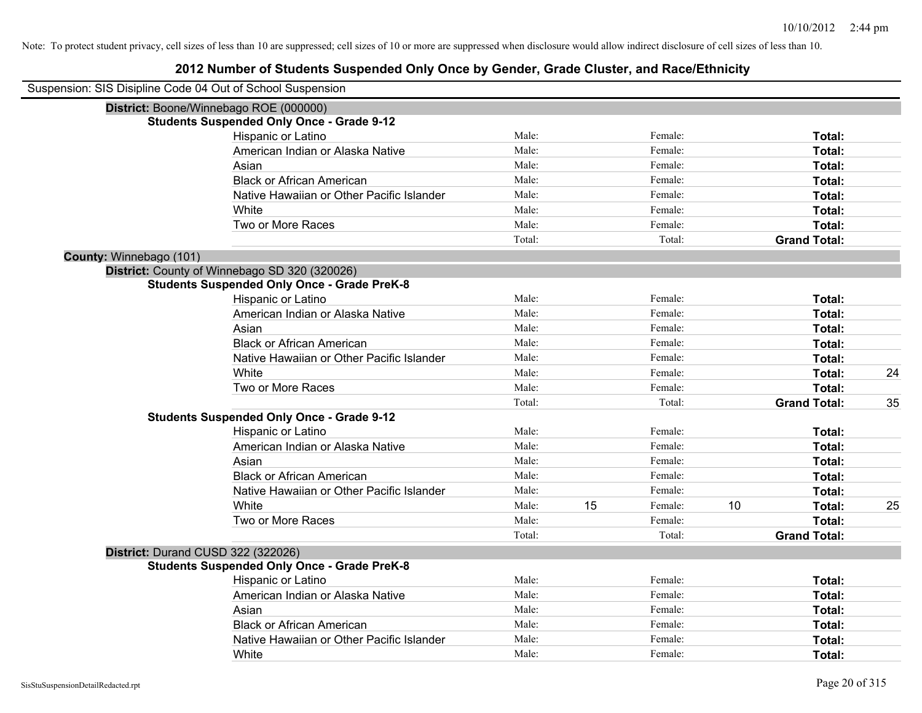| Suspension: SIS Disipline Code 04 Out of School Suspension |                                                    |        |    |         |    |                     |    |
|------------------------------------------------------------|----------------------------------------------------|--------|----|---------|----|---------------------|----|
|                                                            | District: Boone/Winnebago ROE (000000)             |        |    |         |    |                     |    |
|                                                            | <b>Students Suspended Only Once - Grade 9-12</b>   |        |    |         |    |                     |    |
|                                                            | Hispanic or Latino                                 | Male:  |    | Female: |    | Total:              |    |
|                                                            | American Indian or Alaska Native                   | Male:  |    | Female: |    | Total:              |    |
|                                                            | Asian                                              | Male:  |    | Female: |    | Total:              |    |
|                                                            | <b>Black or African American</b>                   | Male:  |    | Female: |    | Total:              |    |
|                                                            | Native Hawaiian or Other Pacific Islander          | Male:  |    | Female: |    | Total:              |    |
|                                                            | White                                              | Male:  |    | Female: |    | Total:              |    |
|                                                            | Two or More Races                                  | Male:  |    | Female: |    | Total:              |    |
|                                                            |                                                    | Total: |    | Total:  |    | <b>Grand Total:</b> |    |
| County: Winnebago (101)                                    |                                                    |        |    |         |    |                     |    |
|                                                            | District: County of Winnebago SD 320 (320026)      |        |    |         |    |                     |    |
|                                                            | <b>Students Suspended Only Once - Grade PreK-8</b> |        |    |         |    |                     |    |
|                                                            | Hispanic or Latino                                 | Male:  |    | Female: |    | Total:              |    |
|                                                            | American Indian or Alaska Native                   | Male:  |    | Female: |    | Total:              |    |
|                                                            | Asian                                              | Male:  |    | Female: |    | Total:              |    |
|                                                            | <b>Black or African American</b>                   | Male:  |    | Female: |    | Total:              |    |
|                                                            | Native Hawaiian or Other Pacific Islander          | Male:  |    | Female: |    | Total:              |    |
|                                                            | White                                              | Male:  |    | Female: |    | Total:              | 24 |
|                                                            | Two or More Races                                  | Male:  |    | Female: |    | Total:              |    |
|                                                            |                                                    | Total: |    | Total:  |    | <b>Grand Total:</b> | 35 |
|                                                            | <b>Students Suspended Only Once - Grade 9-12</b>   |        |    |         |    |                     |    |
|                                                            | Hispanic or Latino                                 | Male:  |    | Female: |    | Total:              |    |
|                                                            | American Indian or Alaska Native                   | Male:  |    | Female: |    | Total:              |    |
|                                                            | Asian                                              | Male:  |    | Female: |    | Total:              |    |
|                                                            | <b>Black or African American</b>                   | Male:  |    | Female: |    | Total:              |    |
|                                                            | Native Hawaiian or Other Pacific Islander          | Male:  |    | Female: |    | Total:              |    |
|                                                            | White                                              | Male:  | 15 | Female: | 10 | Total:              | 25 |
|                                                            | Two or More Races                                  | Male:  |    | Female: |    | Total:              |    |
|                                                            |                                                    | Total: |    | Total:  |    | <b>Grand Total:</b> |    |
|                                                            | District: Durand CUSD 322 (322026)                 |        |    |         |    |                     |    |
|                                                            | <b>Students Suspended Only Once - Grade PreK-8</b> |        |    |         |    |                     |    |
|                                                            | Hispanic or Latino                                 | Male:  |    | Female: |    | Total:              |    |
|                                                            | American Indian or Alaska Native                   | Male:  |    | Female: |    | Total:              |    |
|                                                            | Asian                                              | Male:  |    | Female: |    | Total:              |    |
|                                                            | <b>Black or African American</b>                   | Male:  |    | Female: |    | Total:              |    |
|                                                            | Native Hawaiian or Other Pacific Islander          | Male:  |    | Female: |    | <b>Total:</b>       |    |
|                                                            | White                                              | Male:  |    | Female: |    | Total:              |    |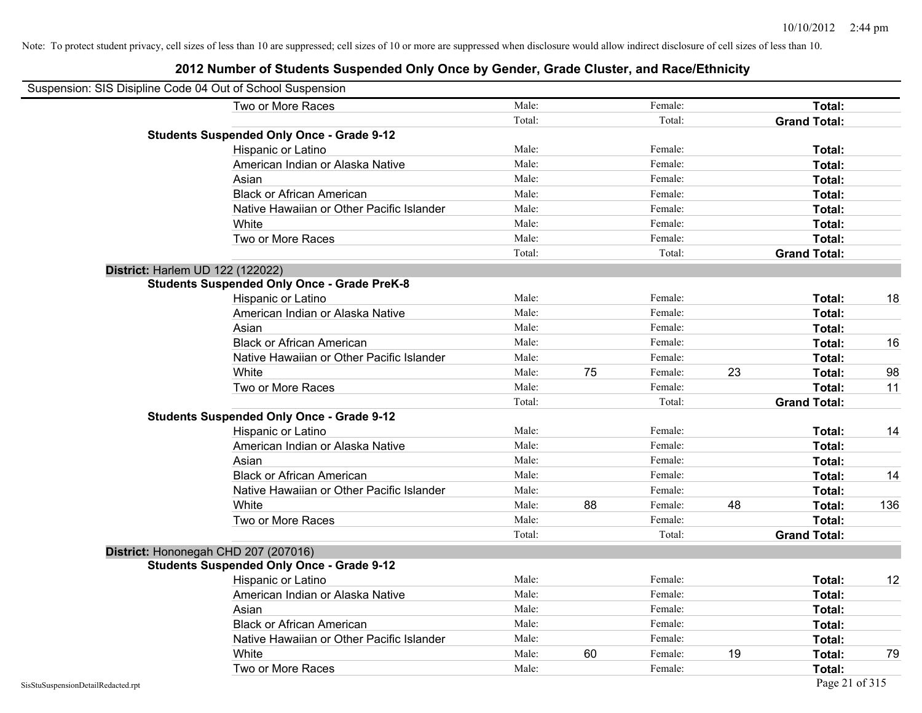| Suspension: SIS Disipline Code 04 Out of School Suspension |                                                    |        |    |         |    |                     |     |
|------------------------------------------------------------|----------------------------------------------------|--------|----|---------|----|---------------------|-----|
|                                                            | Two or More Races                                  | Male:  |    | Female: |    | Total:              |     |
|                                                            |                                                    | Total: |    | Total:  |    | <b>Grand Total:</b> |     |
|                                                            | <b>Students Suspended Only Once - Grade 9-12</b>   |        |    |         |    |                     |     |
|                                                            | Hispanic or Latino                                 | Male:  |    | Female: |    | Total:              |     |
|                                                            | American Indian or Alaska Native                   | Male:  |    | Female: |    | Total:              |     |
|                                                            | Asian                                              | Male:  |    | Female: |    | Total:              |     |
|                                                            | <b>Black or African American</b>                   | Male:  |    | Female: |    | Total:              |     |
|                                                            | Native Hawaiian or Other Pacific Islander          | Male:  |    | Female: |    | Total:              |     |
|                                                            | White                                              | Male:  |    | Female: |    | Total:              |     |
|                                                            | Two or More Races                                  | Male:  |    | Female: |    | Total:              |     |
|                                                            |                                                    | Total: |    | Total:  |    | <b>Grand Total:</b> |     |
| District: Harlem UD 122 (122022)                           |                                                    |        |    |         |    |                     |     |
|                                                            | <b>Students Suspended Only Once - Grade PreK-8</b> |        |    |         |    |                     |     |
|                                                            | Hispanic or Latino                                 | Male:  |    | Female: |    | Total:              | 18  |
|                                                            | American Indian or Alaska Native                   | Male:  |    | Female: |    | Total:              |     |
|                                                            | Asian                                              | Male:  |    | Female: |    | Total:              |     |
|                                                            | <b>Black or African American</b>                   | Male:  |    | Female: |    | Total:              | 16  |
|                                                            | Native Hawaiian or Other Pacific Islander          | Male:  |    | Female: |    | Total:              |     |
|                                                            | White                                              | Male:  | 75 | Female: | 23 | Total:              | 98  |
|                                                            | Two or More Races                                  | Male:  |    | Female: |    | Total:              | 11  |
|                                                            |                                                    | Total: |    | Total:  |    | <b>Grand Total:</b> |     |
|                                                            | <b>Students Suspended Only Once - Grade 9-12</b>   |        |    |         |    |                     |     |
|                                                            | Hispanic or Latino                                 | Male:  |    | Female: |    | Total:              | 14  |
|                                                            | American Indian or Alaska Native                   | Male:  |    | Female: |    | Total:              |     |
|                                                            | Asian                                              | Male:  |    | Female: |    | Total:              |     |
|                                                            | <b>Black or African American</b>                   | Male:  |    | Female: |    | Total:              | 14  |
|                                                            | Native Hawaiian or Other Pacific Islander          | Male:  |    | Female: |    | Total:              |     |
|                                                            | White                                              | Male:  | 88 | Female: | 48 | Total:              | 136 |
|                                                            | Two or More Races                                  | Male:  |    | Female: |    | Total:              |     |
|                                                            |                                                    | Total: |    | Total:  |    | <b>Grand Total:</b> |     |
|                                                            | District: Hononegah CHD 207 (207016)               |        |    |         |    |                     |     |
|                                                            | <b>Students Suspended Only Once - Grade 9-12</b>   |        |    |         |    |                     |     |
|                                                            | Hispanic or Latino                                 | Male:  |    | Female: |    | Total:              | 12  |
|                                                            | American Indian or Alaska Native                   | Male:  |    | Female: |    | Total:              |     |
|                                                            | Asian                                              | Male:  |    | Female: |    | Total:              |     |
|                                                            | <b>Black or African American</b>                   | Male:  |    | Female: |    | Total:              |     |
|                                                            | Native Hawaiian or Other Pacific Islander          | Male:  |    | Female: |    | Total:              |     |
|                                                            | White                                              | Male:  | 60 | Female: | 19 | Total:              | 79  |
|                                                            | Two or More Races                                  | Male:  |    | Female: |    | Total:              |     |
| SisStuSuspensionDetailRedacted.rpt                         |                                                    |        |    |         |    | Page 21 of 315      |     |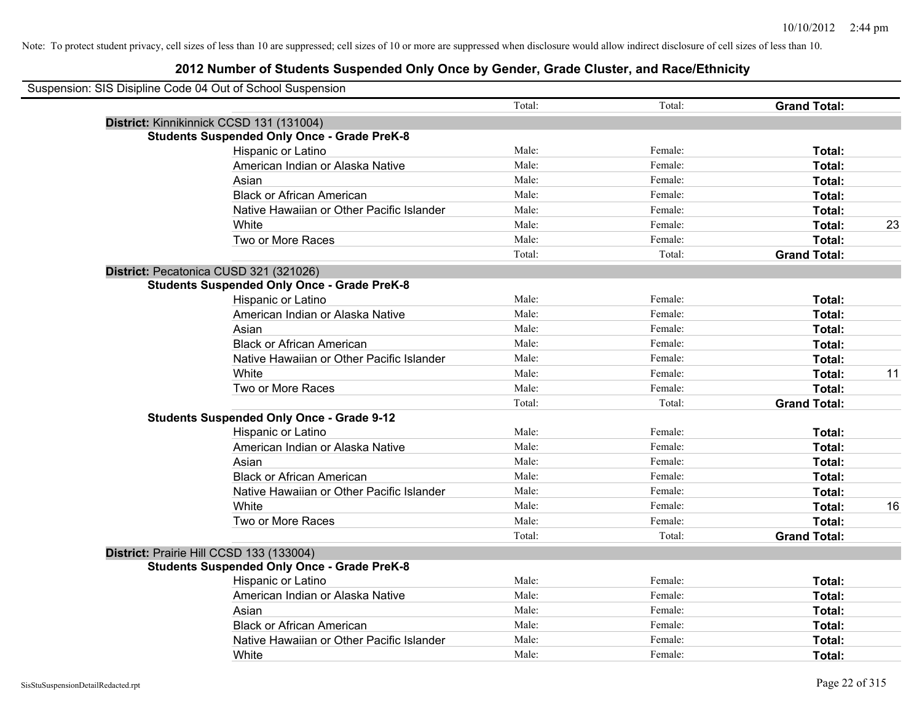| Suspension: SIS Disipline Code 04 Out of School Suspension |                                                    |        |         |                     |    |
|------------------------------------------------------------|----------------------------------------------------|--------|---------|---------------------|----|
|                                                            |                                                    | Total: | Total:  | <b>Grand Total:</b> |    |
|                                                            | District: Kinnikinnick CCSD 131 (131004)           |        |         |                     |    |
|                                                            | <b>Students Suspended Only Once - Grade PreK-8</b> |        |         |                     |    |
|                                                            | Hispanic or Latino                                 | Male:  | Female: | Total:              |    |
|                                                            | American Indian or Alaska Native                   | Male:  | Female: | Total:              |    |
|                                                            | Asian                                              | Male:  | Female: | Total:              |    |
|                                                            | <b>Black or African American</b>                   | Male:  | Female: | Total:              |    |
|                                                            | Native Hawaiian or Other Pacific Islander          | Male:  | Female: | Total:              |    |
|                                                            | White                                              | Male:  | Female: | Total:              | 23 |
|                                                            | Two or More Races                                  | Male:  | Female: | Total:              |    |
|                                                            |                                                    | Total: | Total:  | <b>Grand Total:</b> |    |
|                                                            | District: Pecatonica CUSD 321 (321026)             |        |         |                     |    |
|                                                            | <b>Students Suspended Only Once - Grade PreK-8</b> |        |         |                     |    |
|                                                            | Hispanic or Latino                                 | Male:  | Female: | Total:              |    |
|                                                            | American Indian or Alaska Native                   | Male:  | Female: | Total:              |    |
|                                                            | Asian                                              | Male:  | Female: | Total:              |    |
|                                                            | <b>Black or African American</b>                   | Male:  | Female: | Total:              |    |
|                                                            | Native Hawaiian or Other Pacific Islander          | Male:  | Female: | Total:              |    |
|                                                            | White                                              | Male:  | Female: | Total:              | 11 |
|                                                            | Two or More Races                                  | Male:  | Female: | Total:              |    |
|                                                            |                                                    | Total: | Total:  | <b>Grand Total:</b> |    |
|                                                            | <b>Students Suspended Only Once - Grade 9-12</b>   |        |         |                     |    |
|                                                            | Hispanic or Latino                                 | Male:  | Female: | Total:              |    |
|                                                            | American Indian or Alaska Native                   | Male:  | Female: | Total:              |    |
|                                                            | Asian                                              | Male:  | Female: | Total:              |    |
|                                                            | <b>Black or African American</b>                   | Male:  | Female: | Total:              |    |
|                                                            | Native Hawaiian or Other Pacific Islander          | Male:  | Female: | Total:              |    |
|                                                            | White                                              | Male:  | Female: | Total:              | 16 |
|                                                            | Two or More Races                                  | Male:  | Female: | <b>Total:</b>       |    |
|                                                            |                                                    | Total: | Total:  | <b>Grand Total:</b> |    |
|                                                            | District: Prairie Hill CCSD 133 (133004)           |        |         |                     |    |
|                                                            | <b>Students Suspended Only Once - Grade PreK-8</b> |        |         |                     |    |
|                                                            | Hispanic or Latino                                 | Male:  | Female: | Total:              |    |
|                                                            | American Indian or Alaska Native                   | Male:  | Female: | Total:              |    |
|                                                            | Asian                                              | Male:  | Female: | Total:              |    |
|                                                            | <b>Black or African American</b>                   | Male:  | Female: | Total:              |    |
|                                                            | Native Hawaiian or Other Pacific Islander          | Male:  | Female: | <b>Total:</b>       |    |
|                                                            | White                                              | Male:  | Female: | Total:              |    |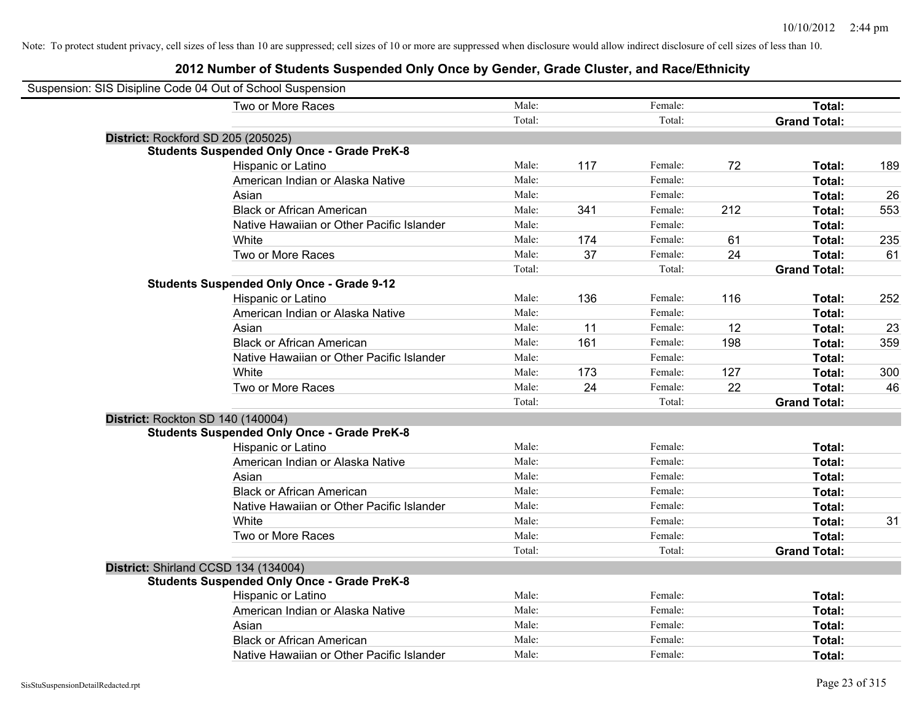| Suspension: SIS Disipline Code 04 Out of School Suspension |        |     |         |     |                     |     |
|------------------------------------------------------------|--------|-----|---------|-----|---------------------|-----|
| Two or More Races                                          | Male:  |     | Female: |     | Total:              |     |
|                                                            | Total: |     | Total:  |     | <b>Grand Total:</b> |     |
| District: Rockford SD 205 (205025)                         |        |     |         |     |                     |     |
| <b>Students Suspended Only Once - Grade PreK-8</b>         |        |     |         |     |                     |     |
| Hispanic or Latino                                         | Male:  | 117 | Female: | 72  | Total:              | 189 |
| American Indian or Alaska Native                           | Male:  |     | Female: |     | Total:              |     |
| Asian                                                      | Male:  |     | Female: |     | Total:              | 26  |
| <b>Black or African American</b>                           | Male:  | 341 | Female: | 212 | Total:              | 553 |
| Native Hawaiian or Other Pacific Islander                  | Male:  |     | Female: |     | Total:              |     |
| White                                                      | Male:  | 174 | Female: | 61  | Total:              | 235 |
| Two or More Races                                          | Male:  | 37  | Female: | 24  | Total:              | 61  |
|                                                            | Total: |     | Total:  |     | <b>Grand Total:</b> |     |
| <b>Students Suspended Only Once - Grade 9-12</b>           |        |     |         |     |                     |     |
| Hispanic or Latino                                         | Male:  | 136 | Female: | 116 | Total:              | 252 |
| American Indian or Alaska Native                           | Male:  |     | Female: |     | Total:              |     |
| Asian                                                      | Male:  | 11  | Female: | 12  | Total:              | 23  |
| <b>Black or African American</b>                           | Male:  | 161 | Female: | 198 | Total:              | 359 |
| Native Hawaiian or Other Pacific Islander                  | Male:  |     | Female: |     | Total:              |     |
| White                                                      | Male:  | 173 | Female: | 127 | Total:              | 300 |
| Two or More Races                                          | Male:  | 24  | Female: | 22  | Total:              | 46  |
|                                                            | Total: |     | Total:  |     | <b>Grand Total:</b> |     |
| District: Rockton SD 140 (140004)                          |        |     |         |     |                     |     |
| <b>Students Suspended Only Once - Grade PreK-8</b>         |        |     |         |     |                     |     |
| Hispanic or Latino                                         | Male:  |     | Female: |     | Total:              |     |
| American Indian or Alaska Native                           | Male:  |     | Female: |     | Total:              |     |
| Asian                                                      | Male:  |     | Female: |     | Total:              |     |
| <b>Black or African American</b>                           | Male:  |     | Female: |     | Total:              |     |
| Native Hawaiian or Other Pacific Islander                  | Male:  |     | Female: |     | Total:              |     |
| White                                                      | Male:  |     | Female: |     | Total:              | 31  |
| Two or More Races                                          | Male:  |     | Female: |     | Total:              |     |
|                                                            | Total: |     | Total:  |     | <b>Grand Total:</b> |     |
| District: Shirland CCSD 134 (134004)                       |        |     |         |     |                     |     |
| <b>Students Suspended Only Once - Grade PreK-8</b>         |        |     |         |     |                     |     |
| Hispanic or Latino                                         | Male:  |     | Female: |     | Total:              |     |
| American Indian or Alaska Native                           | Male:  |     | Female: |     | Total:              |     |
| Asian                                                      | Male:  |     | Female: |     | Total:              |     |
| <b>Black or African American</b>                           | Male:  |     | Female: |     | Total:              |     |
| Native Hawaiian or Other Pacific Islander                  | Male:  |     | Female: |     | Total:              |     |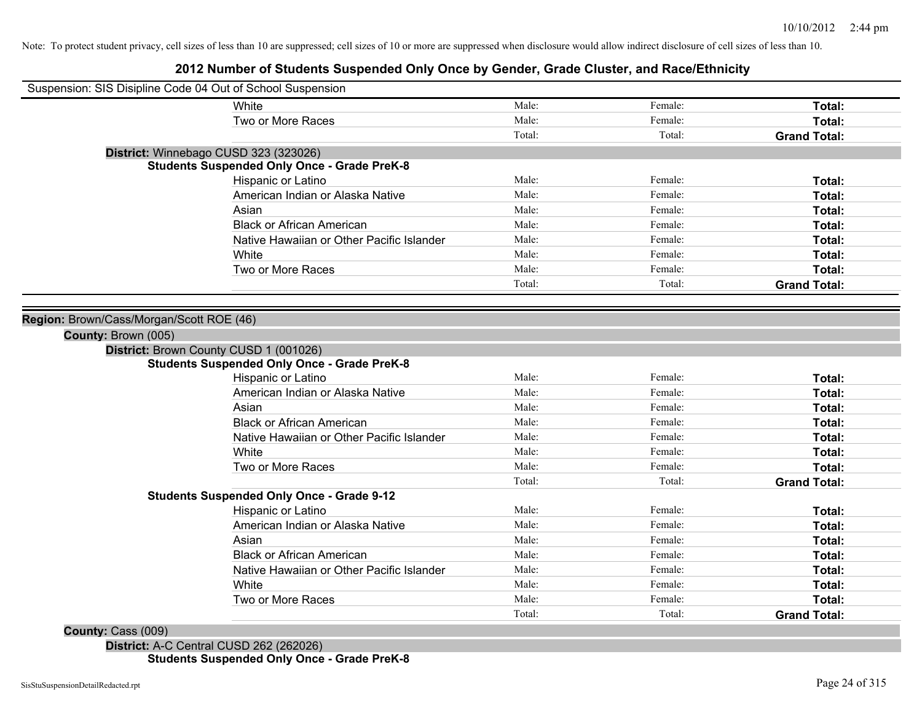## **2012 Number of Students Suspended Only Once by Gender, Grade Cluster, and Race/Ethnicity**

|                                          | Suspension: SIS Disipline Code 04 Out of School Suspension |        |         |                     |
|------------------------------------------|------------------------------------------------------------|--------|---------|---------------------|
|                                          | White                                                      | Male:  | Female: | <b>Total:</b>       |
|                                          | Two or More Races                                          | Male:  | Female: | Total:              |
|                                          |                                                            | Total: | Total:  | <b>Grand Total:</b> |
|                                          | District: Winnebago CUSD 323 (323026)                      |        |         |                     |
|                                          | <b>Students Suspended Only Once - Grade PreK-8</b>         |        |         |                     |
|                                          | Hispanic or Latino                                         | Male:  | Female: | Total:              |
|                                          | American Indian or Alaska Native                           | Male:  | Female: | Total:              |
|                                          | Asian                                                      | Male:  | Female: | Total:              |
|                                          | <b>Black or African American</b>                           | Male:  | Female: | Total:              |
|                                          | Native Hawaiian or Other Pacific Islander                  | Male:  | Female: | Total:              |
|                                          | White                                                      | Male:  | Female: | Total:              |
|                                          | Two or More Races                                          | Male:  | Female: | Total:              |
|                                          |                                                            | Total: | Total:  | <b>Grand Total:</b> |
|                                          |                                                            |        |         |                     |
| Region: Brown/Cass/Morgan/Scott ROE (46) |                                                            |        |         |                     |
| County: Brown (005)                      |                                                            |        |         |                     |
|                                          | District: Brown County CUSD 1 (001026)                     |        |         |                     |
|                                          | <b>Students Suspended Only Once - Grade PreK-8</b>         |        |         |                     |
|                                          | Hispanic or Latino                                         | Male:  | Female: | Total:              |
|                                          | American Indian or Alaska Native                           | Male:  | Female: | Total:              |
|                                          | Asian                                                      | Male:  | Female: | <b>Total:</b>       |
|                                          | <b>Black or African American</b>                           | Male:  | Female: | Total:              |
|                                          | Native Hawaiian or Other Pacific Islander                  | Male:  | Female: | Total:              |
|                                          | White                                                      | Male:  | Female: | Total:              |
|                                          | Two or More Races                                          | Male:  | Female: | Total:              |
|                                          |                                                            | Total: | Total:  | <b>Grand Total:</b> |
|                                          | <b>Students Suspended Only Once - Grade 9-12</b>           |        |         |                     |
|                                          | Hispanic or Latino                                         | Male:  | Female: | Total:              |
|                                          | American Indian or Alaska Native                           | Male:  | Female: | Total:              |
|                                          | Asian                                                      | Male:  | Female: | Total:              |
|                                          | <b>Black or African American</b>                           | Male:  | Female: | Total:              |
|                                          | Native Hawaiian or Other Pacific Islander                  | Male:  | Female: | Total:              |
|                                          | White                                                      | Male:  | Female: | Total:              |
|                                          | Two or More Races                                          | Male:  | Female: | Total:              |
|                                          |                                                            |        |         |                     |

**District:** A-C Central CUSD 262 (262026) **Students Suspended Only Once - Grade PreK-8**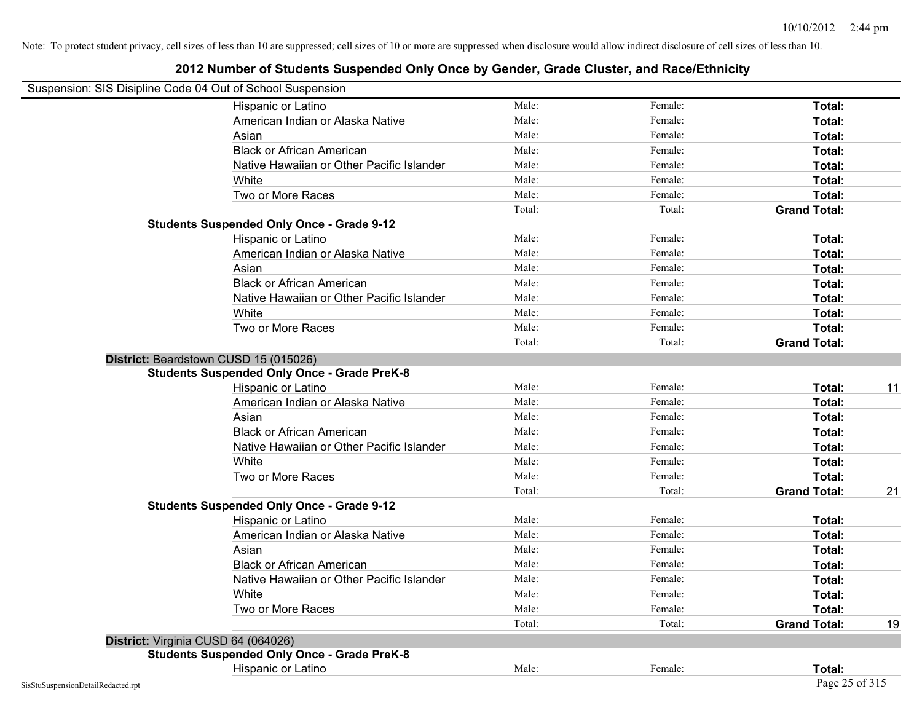| Suspension: SIS Disipline Code 04 Out of School Suspension |                                                    |        |         |                     |    |
|------------------------------------------------------------|----------------------------------------------------|--------|---------|---------------------|----|
|                                                            | Hispanic or Latino                                 | Male:  | Female: | Total:              |    |
|                                                            | American Indian or Alaska Native                   | Male:  | Female: | Total:              |    |
|                                                            | Asian                                              | Male:  | Female: | Total:              |    |
|                                                            | <b>Black or African American</b>                   | Male:  | Female: | Total:              |    |
|                                                            | Native Hawaiian or Other Pacific Islander          | Male:  | Female: | Total:              |    |
|                                                            | White                                              | Male:  | Female: | Total:              |    |
|                                                            | Two or More Races                                  | Male:  | Female: | Total:              |    |
|                                                            |                                                    | Total: | Total:  | <b>Grand Total:</b> |    |
|                                                            | <b>Students Suspended Only Once - Grade 9-12</b>   |        |         |                     |    |
|                                                            | Hispanic or Latino                                 | Male:  | Female: | Total:              |    |
|                                                            | American Indian or Alaska Native                   | Male:  | Female: | Total:              |    |
|                                                            | Asian                                              | Male:  | Female: | Total:              |    |
|                                                            | <b>Black or African American</b>                   | Male:  | Female: | Total:              |    |
|                                                            | Native Hawaiian or Other Pacific Islander          | Male:  | Female: | Total:              |    |
|                                                            | White                                              | Male:  | Female: | Total:              |    |
|                                                            | Two or More Races                                  | Male:  | Female: | Total:              |    |
|                                                            |                                                    | Total: | Total:  | <b>Grand Total:</b> |    |
| District: Beardstown CUSD 15 (015026)                      |                                                    |        |         |                     |    |
|                                                            | <b>Students Suspended Only Once - Grade PreK-8</b> |        |         |                     |    |
|                                                            | Hispanic or Latino                                 | Male:  | Female: | Total:              | 11 |
|                                                            | American Indian or Alaska Native                   | Male:  | Female: | Total:              |    |
|                                                            | Asian                                              | Male:  | Female: | Total:              |    |
|                                                            | <b>Black or African American</b>                   | Male:  | Female: | Total:              |    |
|                                                            | Native Hawaiian or Other Pacific Islander          | Male:  | Female: | Total:              |    |
|                                                            | White                                              | Male:  | Female: | Total:              |    |
|                                                            | Two or More Races                                  | Male:  | Female: | Total:              |    |
|                                                            |                                                    | Total: | Total:  | <b>Grand Total:</b> | 21 |
|                                                            | <b>Students Suspended Only Once - Grade 9-12</b>   |        |         |                     |    |
|                                                            | Hispanic or Latino                                 | Male:  | Female: | Total:              |    |
|                                                            | American Indian or Alaska Native                   | Male:  | Female: | Total:              |    |
|                                                            | Asian                                              | Male:  | Female: | Total:              |    |
|                                                            | <b>Black or African American</b>                   | Male:  | Female: | Total:              |    |
|                                                            | Native Hawaiian or Other Pacific Islander          | Male:  | Female: | Total:              |    |
|                                                            | White                                              | Male:  | Female: | Total:              |    |
|                                                            | Two or More Races                                  | Male:  | Female: | Total:              |    |
|                                                            |                                                    | Total: | Total:  | <b>Grand Total:</b> | 19 |
| District: Virginia CUSD 64 (064026)                        |                                                    |        |         |                     |    |
|                                                            | <b>Students Suspended Only Once - Grade PreK-8</b> |        |         |                     |    |
|                                                            | Hispanic or Latino                                 | Male:  | Female: | Total:              |    |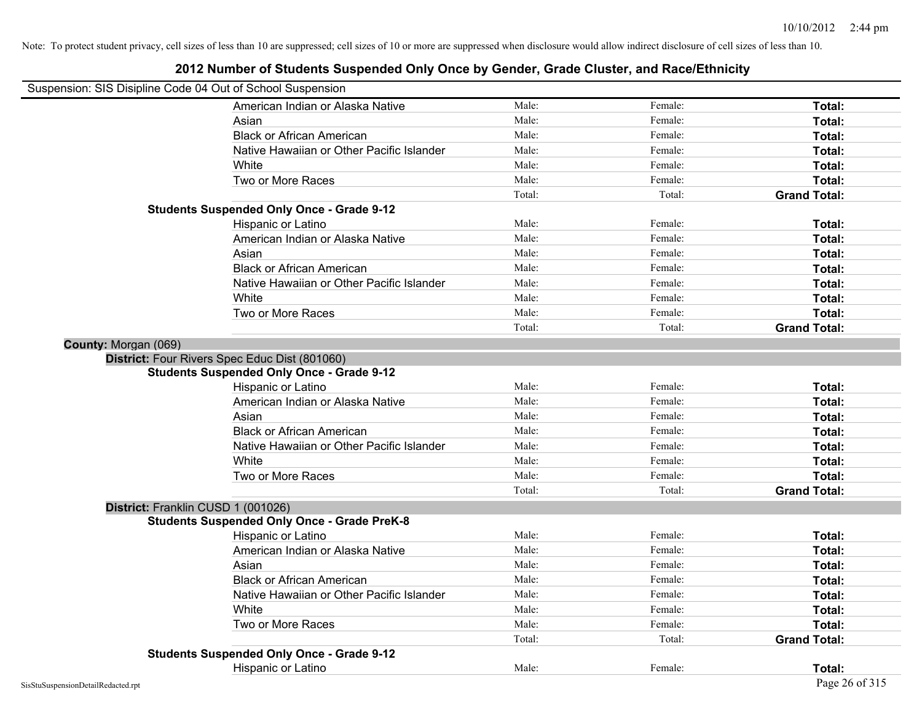| Suspension: SIS Disipline Code 04 Out of School Suspension |                                                    |        |         |                     |
|------------------------------------------------------------|----------------------------------------------------|--------|---------|---------------------|
|                                                            | American Indian or Alaska Native                   | Male:  | Female: | Total:              |
|                                                            | Asian                                              | Male:  | Female: | Total:              |
|                                                            | <b>Black or African American</b>                   | Male:  | Female: | Total:              |
|                                                            | Native Hawaiian or Other Pacific Islander          | Male:  | Female: | Total:              |
|                                                            | White                                              | Male:  | Female: | Total:              |
|                                                            | Two or More Races                                  | Male:  | Female: | Total:              |
|                                                            |                                                    | Total: | Total:  | <b>Grand Total:</b> |
|                                                            | <b>Students Suspended Only Once - Grade 9-12</b>   |        |         |                     |
|                                                            | Hispanic or Latino                                 | Male:  | Female: | Total:              |
|                                                            | American Indian or Alaska Native                   | Male:  | Female: | Total:              |
|                                                            | Asian                                              | Male:  | Female: | Total:              |
|                                                            | <b>Black or African American</b>                   | Male:  | Female: | Total:              |
|                                                            | Native Hawaiian or Other Pacific Islander          | Male:  | Female: | Total:              |
|                                                            | White                                              | Male:  | Female: | Total:              |
|                                                            | Two or More Races                                  | Male:  | Female: | Total:              |
|                                                            |                                                    | Total: | Total:  | <b>Grand Total:</b> |
| County: Morgan (069)                                       |                                                    |        |         |                     |
|                                                            | District: Four Rivers Spec Educ Dist (801060)      |        |         |                     |
|                                                            | <b>Students Suspended Only Once - Grade 9-12</b>   |        |         |                     |
|                                                            | Hispanic or Latino                                 | Male:  | Female: | Total:              |
|                                                            | American Indian or Alaska Native                   | Male:  | Female: | Total:              |
|                                                            | Asian                                              | Male:  | Female: | Total:              |
|                                                            | <b>Black or African American</b>                   | Male:  | Female: | Total:              |
|                                                            | Native Hawaiian or Other Pacific Islander          | Male:  | Female: | Total:              |
|                                                            | White                                              | Male:  | Female: | Total:              |
|                                                            | Two or More Races                                  | Male:  | Female: | Total:              |
|                                                            |                                                    | Total: | Total:  | <b>Grand Total:</b> |
| District: Franklin CUSD 1 (001026)                         |                                                    |        |         |                     |
|                                                            | <b>Students Suspended Only Once - Grade PreK-8</b> |        |         |                     |
|                                                            | Hispanic or Latino                                 | Male:  | Female: | Total:              |
|                                                            | American Indian or Alaska Native                   | Male:  | Female: | Total:              |
|                                                            | Asian                                              | Male:  | Female: | Total:              |
|                                                            | <b>Black or African American</b>                   | Male:  | Female: | Total:              |
|                                                            | Native Hawaiian or Other Pacific Islander          | Male:  | Female: | Total:              |
|                                                            | White                                              | Male:  | Female: | Total:              |
|                                                            | Two or More Races                                  | Male:  | Female: | Total:              |
|                                                            |                                                    | Total: | Total:  | <b>Grand Total:</b> |
|                                                            | <b>Students Suspended Only Once - Grade 9-12</b>   |        |         |                     |
|                                                            | Hispanic or Latino                                 | Male:  | Female: | Total:              |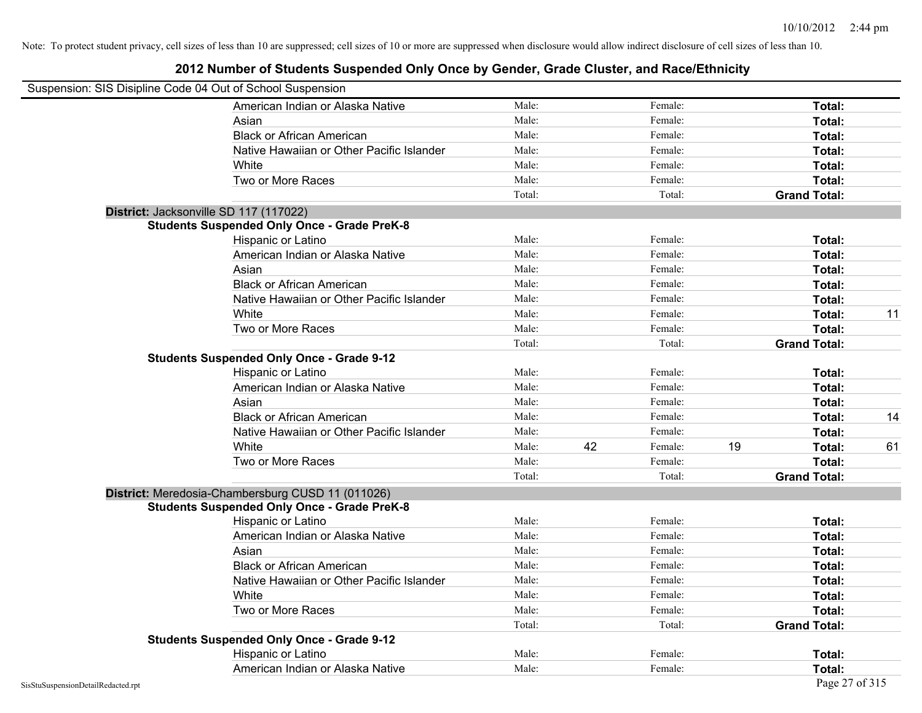| Suspension: SIS Disipline Code 04 Out of School Suspension |        |    |         |    |                     |    |
|------------------------------------------------------------|--------|----|---------|----|---------------------|----|
| American Indian or Alaska Native                           | Male:  |    | Female: |    | Total:              |    |
| Asian                                                      | Male:  |    | Female: |    | Total:              |    |
| <b>Black or African American</b>                           | Male:  |    | Female: |    | Total:              |    |
| Native Hawaiian or Other Pacific Islander                  | Male:  |    | Female: |    | Total:              |    |
| White                                                      | Male:  |    | Female: |    | Total:              |    |
| Two or More Races                                          | Male:  |    | Female: |    | Total:              |    |
|                                                            | Total: |    | Total:  |    | <b>Grand Total:</b> |    |
| District: Jacksonville SD 117 (117022)                     |        |    |         |    |                     |    |
| <b>Students Suspended Only Once - Grade PreK-8</b>         |        |    |         |    |                     |    |
| Hispanic or Latino                                         | Male:  |    | Female: |    | Total:              |    |
| American Indian or Alaska Native                           | Male:  |    | Female: |    | Total:              |    |
| Asian                                                      | Male:  |    | Female: |    | Total:              |    |
| <b>Black or African American</b>                           | Male:  |    | Female: |    | Total:              |    |
| Native Hawaiian or Other Pacific Islander                  | Male:  |    | Female: |    | Total:              |    |
| White                                                      | Male:  |    | Female: |    | Total:              | 11 |
| Two or More Races                                          | Male:  |    | Female: |    | Total:              |    |
|                                                            | Total: |    | Total:  |    | <b>Grand Total:</b> |    |
| <b>Students Suspended Only Once - Grade 9-12</b>           |        |    |         |    |                     |    |
| Hispanic or Latino                                         | Male:  |    | Female: |    | Total:              |    |
| American Indian or Alaska Native                           | Male:  |    | Female: |    | Total:              |    |
| Asian                                                      | Male:  |    | Female: |    | Total:              |    |
| <b>Black or African American</b>                           | Male:  |    | Female: |    | Total:              | 14 |
| Native Hawaiian or Other Pacific Islander                  | Male:  |    | Female: |    | Total:              |    |
| White                                                      | Male:  | 42 | Female: | 19 | Total:              | 61 |
| Two or More Races                                          | Male:  |    | Female: |    | Total:              |    |
|                                                            | Total: |    | Total:  |    | <b>Grand Total:</b> |    |
| District: Meredosia-Chambersburg CUSD 11 (011026)          |        |    |         |    |                     |    |
| <b>Students Suspended Only Once - Grade PreK-8</b>         |        |    |         |    |                     |    |
| Hispanic or Latino                                         | Male:  |    | Female: |    | Total:              |    |
| American Indian or Alaska Native                           | Male:  |    | Female: |    | Total:              |    |
| Asian                                                      | Male:  |    | Female: |    | Total:              |    |
| <b>Black or African American</b>                           | Male:  |    | Female: |    | Total:              |    |
| Native Hawaiian or Other Pacific Islander                  | Male:  |    | Female: |    | Total:              |    |
| <b>White</b>                                               | Male:  |    | Female: |    | Total:              |    |
| Two or More Races                                          | Male:  |    | Female: |    | Total:              |    |
|                                                            | Total: |    | Total:  |    | <b>Grand Total:</b> |    |
| <b>Students Suspended Only Once - Grade 9-12</b>           |        |    |         |    |                     |    |
| Hispanic or Latino                                         | Male:  |    | Female: |    | Total:              |    |
| American Indian or Alaska Native                           | Male:  |    | Female: |    | Total:              |    |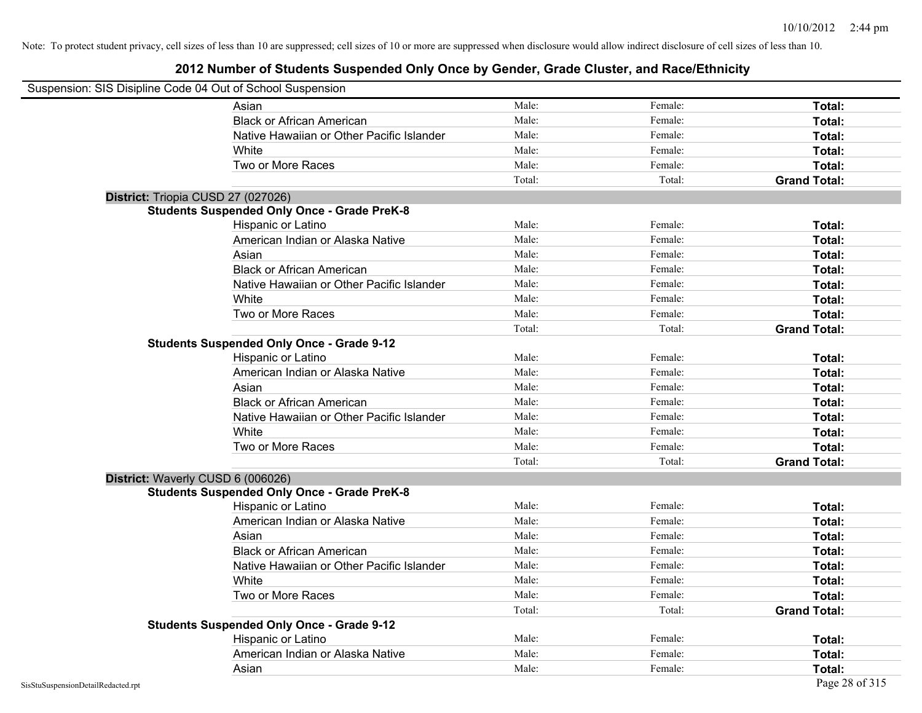| Suspension: SIS Disipline Code 04 Out of School Suspension |                                                    |        |         |                     |
|------------------------------------------------------------|----------------------------------------------------|--------|---------|---------------------|
|                                                            | Asian                                              | Male:  | Female: | Total:              |
|                                                            | <b>Black or African American</b>                   | Male:  | Female: | Total:              |
|                                                            | Native Hawaiian or Other Pacific Islander          | Male:  | Female: | Total:              |
|                                                            | White                                              | Male:  | Female: | Total:              |
|                                                            | Two or More Races                                  | Male:  | Female: | Total:              |
|                                                            |                                                    | Total: | Total:  | <b>Grand Total:</b> |
|                                                            | District: Triopia CUSD 27 (027026)                 |        |         |                     |
|                                                            | <b>Students Suspended Only Once - Grade PreK-8</b> |        |         |                     |
|                                                            | Hispanic or Latino                                 | Male:  | Female: | Total:              |
|                                                            | American Indian or Alaska Native                   | Male:  | Female: | Total:              |
|                                                            | Asian                                              | Male:  | Female: | Total:              |
|                                                            | <b>Black or African American</b>                   | Male:  | Female: | Total:              |
|                                                            | Native Hawaiian or Other Pacific Islander          | Male:  | Female: | Total:              |
|                                                            | White                                              | Male:  | Female: | Total:              |
|                                                            | Two or More Races                                  | Male:  | Female: | Total:              |
|                                                            |                                                    | Total: | Total:  | <b>Grand Total:</b> |
|                                                            | <b>Students Suspended Only Once - Grade 9-12</b>   |        |         |                     |
|                                                            | Hispanic or Latino                                 | Male:  | Female: | Total:              |
|                                                            | American Indian or Alaska Native                   | Male:  | Female: | Total:              |
|                                                            | Asian                                              | Male:  | Female: | Total:              |
|                                                            | <b>Black or African American</b>                   | Male:  | Female: | Total:              |
|                                                            | Native Hawaiian or Other Pacific Islander          | Male:  | Female: | Total:              |
|                                                            | White                                              | Male:  | Female: | Total:              |
|                                                            | Two or More Races                                  | Male:  | Female: | Total:              |
|                                                            |                                                    | Total: | Total:  | <b>Grand Total:</b> |
|                                                            | District: Waverly CUSD 6 (006026)                  |        |         |                     |
|                                                            | <b>Students Suspended Only Once - Grade PreK-8</b> |        |         |                     |
|                                                            | Hispanic or Latino                                 | Male:  | Female: | Total:              |
|                                                            | American Indian or Alaska Native                   | Male:  | Female: | Total:              |
|                                                            | Asian                                              | Male:  | Female: | Total:              |
|                                                            | <b>Black or African American</b>                   | Male:  | Female: | Total:              |
|                                                            | Native Hawaiian or Other Pacific Islander          | Male:  | Female: | Total:              |
|                                                            | White                                              | Male:  | Female: | Total:              |
|                                                            | Two or More Races                                  | Male:  | Female: | Total:              |
|                                                            |                                                    | Total: | Total:  | <b>Grand Total:</b> |
|                                                            | <b>Students Suspended Only Once - Grade 9-12</b>   |        |         |                     |
|                                                            | Hispanic or Latino                                 | Male:  | Female: | Total:              |
|                                                            | American Indian or Alaska Native                   | Male:  | Female: | Total:              |
|                                                            | Asian                                              | Male:  | Female: | Total:              |
| SisStuSuspensionDetailRedacted.rpt                         |                                                    |        |         | Page 28 of 315      |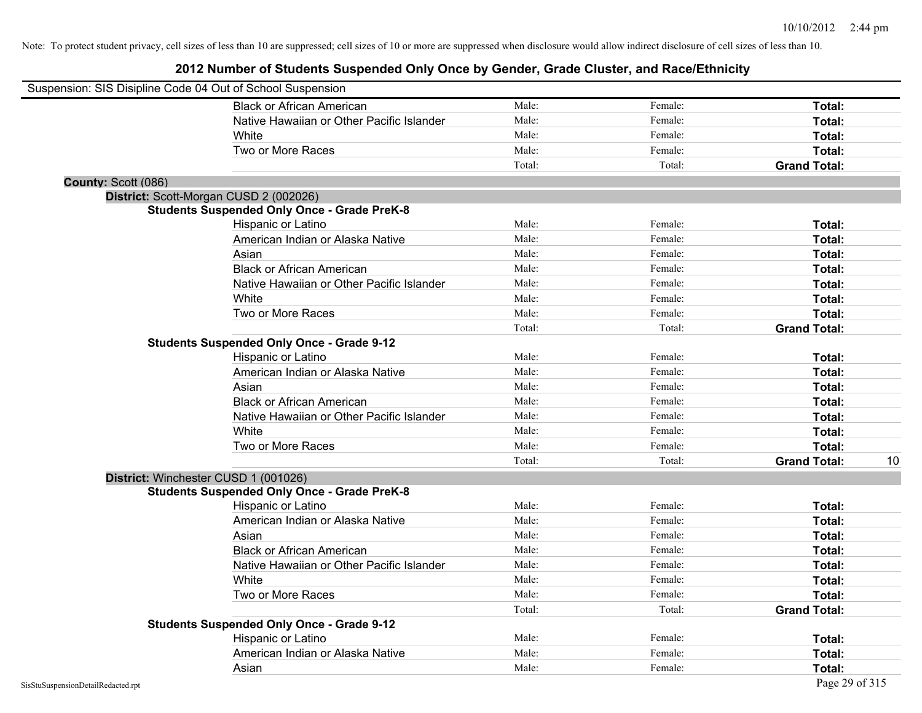| Suspension: SIS Disipline Code 04 Out of School Suspension |                                                    |        |         |                     |    |
|------------------------------------------------------------|----------------------------------------------------|--------|---------|---------------------|----|
|                                                            | <b>Black or African American</b>                   | Male:  | Female: | Total:              |    |
|                                                            | Native Hawaiian or Other Pacific Islander          | Male:  | Female: | Total:              |    |
|                                                            | White                                              | Male:  | Female: | Total:              |    |
|                                                            | Two or More Races                                  | Male:  | Female: | Total:              |    |
|                                                            |                                                    | Total: | Total:  | <b>Grand Total:</b> |    |
| County: Scott (086)                                        |                                                    |        |         |                     |    |
|                                                            | District: Scott-Morgan CUSD 2 (002026)             |        |         |                     |    |
|                                                            | <b>Students Suspended Only Once - Grade PreK-8</b> |        |         |                     |    |
|                                                            | Hispanic or Latino                                 | Male:  | Female: | Total:              |    |
|                                                            | American Indian or Alaska Native                   | Male:  | Female: | Total:              |    |
|                                                            | Asian                                              | Male:  | Female: | Total:              |    |
|                                                            | <b>Black or African American</b>                   | Male:  | Female: | Total:              |    |
|                                                            | Native Hawaiian or Other Pacific Islander          | Male:  | Female: | Total:              |    |
|                                                            | White                                              | Male:  | Female: | Total:              |    |
|                                                            | Two or More Races                                  | Male:  | Female: | Total:              |    |
|                                                            |                                                    | Total: | Total:  | <b>Grand Total:</b> |    |
|                                                            | <b>Students Suspended Only Once - Grade 9-12</b>   |        |         |                     |    |
|                                                            | Hispanic or Latino                                 | Male:  | Female: | Total:              |    |
|                                                            | American Indian or Alaska Native                   | Male:  | Female: | Total:              |    |
|                                                            | Asian                                              | Male:  | Female: | Total:              |    |
|                                                            | <b>Black or African American</b>                   | Male:  | Female: | Total:              |    |
|                                                            | Native Hawaiian or Other Pacific Islander          | Male:  | Female: | Total:              |    |
|                                                            | White                                              | Male:  | Female: | Total:              |    |
|                                                            | Two or More Races                                  | Male:  | Female: | Total:              |    |
|                                                            |                                                    | Total: | Total:  | <b>Grand Total:</b> | 10 |
|                                                            | District: Winchester CUSD 1 (001026)               |        |         |                     |    |
|                                                            | <b>Students Suspended Only Once - Grade PreK-8</b> |        |         |                     |    |
|                                                            | Hispanic or Latino                                 | Male:  | Female: | Total:              |    |
|                                                            | American Indian or Alaska Native                   | Male:  | Female: | Total:              |    |
|                                                            | Asian                                              | Male:  | Female: | Total:              |    |
|                                                            | <b>Black or African American</b>                   | Male:  | Female: | Total:              |    |
|                                                            | Native Hawaiian or Other Pacific Islander          | Male:  | Female: | Total:              |    |
|                                                            | White                                              | Male:  | Female: | Total:              |    |
|                                                            | Two or More Races                                  | Male:  | Female: | Total:              |    |
|                                                            |                                                    | Total: | Total:  | <b>Grand Total:</b> |    |
|                                                            | <b>Students Suspended Only Once - Grade 9-12</b>   |        |         |                     |    |
|                                                            | Hispanic or Latino                                 | Male:  | Female: | Total:              |    |
|                                                            | American Indian or Alaska Native                   | Male:  | Female: | Total:              |    |
|                                                            | Asian                                              | Male:  | Female: | Total:              |    |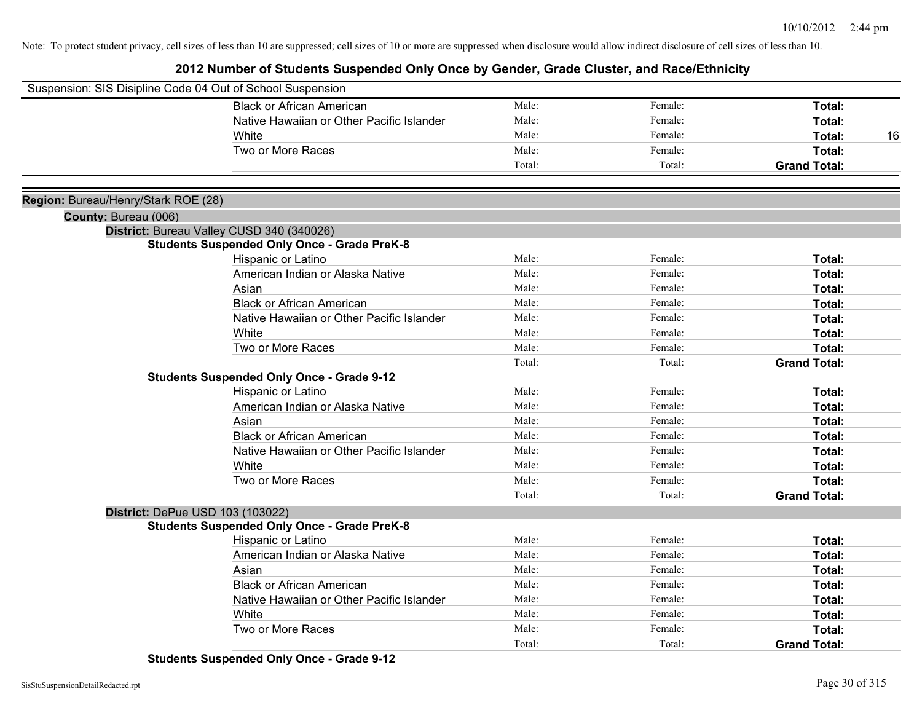|                                     | Suspension: SIS Disipline Code 04 Out of School Suspension |        |         |                     |
|-------------------------------------|------------------------------------------------------------|--------|---------|---------------------|
|                                     | <b>Black or African American</b>                           | Male:  | Female: | <b>Total:</b>       |
|                                     | Native Hawaiian or Other Pacific Islander                  | Male:  | Female: | Total:              |
|                                     | White                                                      | Male:  | Female: | Total:<br>16        |
|                                     | Two or More Races                                          | Male:  | Female: | Total:              |
|                                     |                                                            | Total: | Total:  | <b>Grand Total:</b> |
|                                     |                                                            |        |         |                     |
| Region: Bureau/Henry/Stark ROE (28) |                                                            |        |         |                     |
| County: Bureau (006)                | District: Bureau Valley CUSD 340 (340026)                  |        |         |                     |
|                                     | <b>Students Suspended Only Once - Grade PreK-8</b>         |        |         |                     |
|                                     | Hispanic or Latino                                         | Male:  | Female: | Total:              |
|                                     | American Indian or Alaska Native                           | Male:  | Female: | Total:              |
|                                     | Asian                                                      | Male:  | Female: | <b>Total:</b>       |
|                                     | <b>Black or African American</b>                           | Male:  | Female: | Total:              |
|                                     | Native Hawaiian or Other Pacific Islander                  | Male:  | Female: | <b>Total:</b>       |
|                                     | White                                                      | Male:  | Female: | Total:              |
|                                     | Two or More Races                                          | Male:  | Female: | Total:              |
|                                     |                                                            | Total: | Total:  | <b>Grand Total:</b> |
|                                     | <b>Students Suspended Only Once - Grade 9-12</b>           |        |         |                     |
|                                     | Hispanic or Latino                                         | Male:  | Female: | Total:              |
|                                     | American Indian or Alaska Native                           | Male:  | Female: | Total:              |
|                                     | Asian                                                      | Male:  | Female: | Total:              |
|                                     | <b>Black or African American</b>                           | Male:  | Female: | Total:              |
|                                     | Native Hawaiian or Other Pacific Islander                  | Male:  | Female: | Total:              |
|                                     | White                                                      | Male:  | Female: | Total:              |
|                                     | Two or More Races                                          | Male:  | Female: | Total:              |
|                                     |                                                            | Total: | Total:  | <b>Grand Total:</b> |
|                                     | District: DePue USD 103 (103022)                           |        |         |                     |
|                                     | <b>Students Suspended Only Once - Grade PreK-8</b>         |        |         |                     |
|                                     | Hispanic or Latino                                         | Male:  | Female: | Total:              |
|                                     | American Indian or Alaska Native                           | Male:  | Female: | <b>Total:</b>       |
|                                     | Asian                                                      | Male:  | Female: | <b>Total:</b>       |
|                                     | <b>Black or African American</b>                           | Male:  | Female: | <b>Total:</b>       |
|                                     | Native Hawaiian or Other Pacific Islander                  | Male:  | Female: | Total:              |
|                                     | White                                                      | Male:  | Female: | Total:              |
|                                     | Two or More Races                                          | Male:  | Female: | <b>Total:</b>       |
|                                     |                                                            | Total: | Total:  | <b>Grand Total:</b> |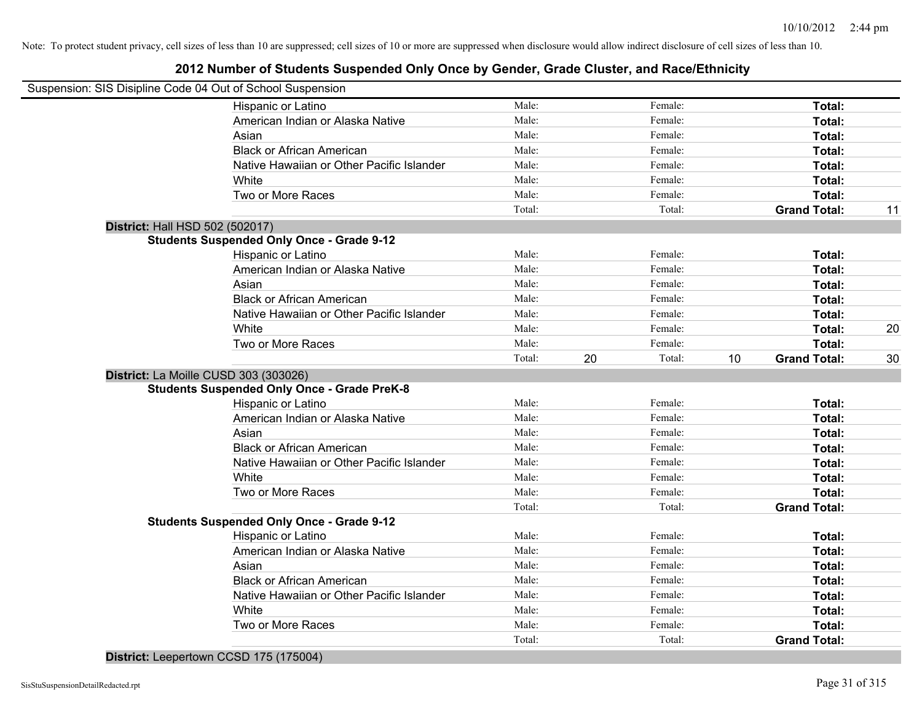## **2012 Number of Students Suspended Only Once by Gender, Grade Cluster, and Race/Ethnicity**

| Suspension: SIS Disipline Code 04 Out of School Suspension |                |    |                    |    |                     |    |
|------------------------------------------------------------|----------------|----|--------------------|----|---------------------|----|
| Hispanic or Latino                                         | Male:          |    | Female:            |    | Total:              |    |
| American Indian or Alaska Native                           | Male:          |    | Female:            |    | Total:              |    |
| Asian                                                      | Male:          |    | Female:            |    | Total:              |    |
| <b>Black or African American</b>                           | Male:          |    | Female:            |    | Total:              |    |
| Native Hawaiian or Other Pacific Islander                  | Male:          |    | Female:            |    | Total:              |    |
| White                                                      | Male:          |    | Female:            |    | Total:              |    |
| Two or More Races                                          | Male:          |    | Female:            |    | Total:              |    |
|                                                            | Total:         |    | Total:             |    | <b>Grand Total:</b> | 11 |
| District: Hall HSD 502 (502017)                            |                |    |                    |    |                     |    |
| <b>Students Suspended Only Once - Grade 9-12</b>           |                |    |                    |    |                     |    |
| Hispanic or Latino                                         | Male:          |    | Female:            |    | Total:              |    |
| American Indian or Alaska Native                           | Male:          |    | Female:            |    | Total:              |    |
| Asian                                                      | Male:          |    | Female:            |    | Total:              |    |
| <b>Black or African American</b>                           | Male:          |    | Female:            |    | Total:              |    |
| Native Hawaiian or Other Pacific Islander                  | Male:          |    | Female:            |    | Total:              |    |
| White                                                      | Male:          |    | Female:            |    | Total:              | 20 |
| Two or More Races                                          | Male:          |    | Female:            |    | Total:              |    |
|                                                            | Total:         | 20 | Total:             | 10 | <b>Grand Total:</b> | 30 |
| District: La Moille CUSD 303 (303026)                      |                |    |                    |    |                     |    |
| <b>Students Suspended Only Once - Grade PreK-8</b>         |                |    |                    |    |                     |    |
| Hispanic or Latino                                         | Male:          |    | Female:            |    | Total:              |    |
| American Indian or Alaska Native                           | Male:          |    | Female:            |    | Total:              |    |
| Asian                                                      | Male:          |    | Female:            |    | Total:              |    |
| <b>Black or African American</b>                           | Male:          |    | Female:            |    | Total:              |    |
| Native Hawaiian or Other Pacific Islander                  | Male:          |    | Female:            |    | Total:              |    |
| White                                                      | Male:          |    | Female:            |    | Total:              |    |
| Two or More Races                                          | Male:          |    | Female:            |    | Total:              |    |
|                                                            | Total:         |    | Total:             |    | <b>Grand Total:</b> |    |
| <b>Students Suspended Only Once - Grade 9-12</b>           |                |    |                    |    |                     |    |
| Hispanic or Latino                                         | Male:<br>Male: |    | Female:<br>Female: |    | Total:              |    |
| American Indian or Alaska Native                           | Male:          |    | Female:            |    | Total:              |    |
| Asian                                                      | Male:          |    | Female:            |    | Total:              |    |
| <b>Black or African American</b>                           | Male:          |    |                    |    | Total:              |    |
| Native Hawaiian or Other Pacific Islander                  | Male:          |    | Female:<br>Female: |    | Total:              |    |
| White<br>Two or More Races                                 | Male:          |    | Female:            |    | Total:              |    |
|                                                            | Total:         |    | Total:             |    | Total:              |    |
|                                                            |                |    |                    |    | <b>Grand Total:</b> |    |

**District:** Leepertown CCSD 175 (175004)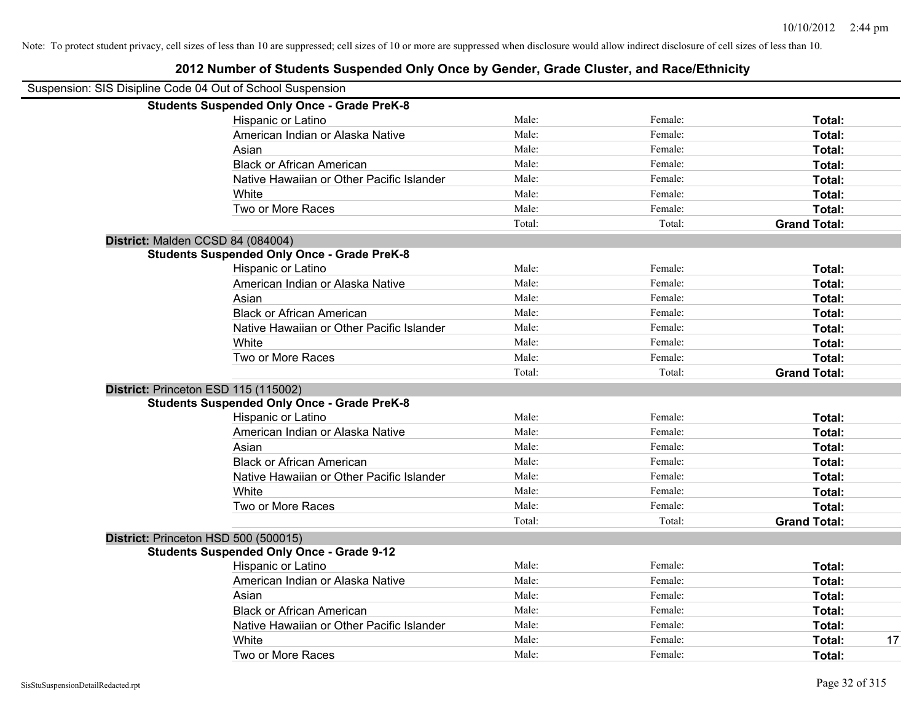| Suspension: SIS Disipline Code 04 Out of School Suspension |                                                    |        |         |                     |
|------------------------------------------------------------|----------------------------------------------------|--------|---------|---------------------|
|                                                            | <b>Students Suspended Only Once - Grade PreK-8</b> |        |         |                     |
|                                                            | Hispanic or Latino                                 | Male:  | Female: | Total:              |
|                                                            | American Indian or Alaska Native                   | Male:  | Female: | Total:              |
|                                                            | Asian                                              | Male:  | Female: | Total:              |
|                                                            | <b>Black or African American</b>                   | Male:  | Female: | Total:              |
|                                                            | Native Hawaiian or Other Pacific Islander          | Male:  | Female: | Total:              |
|                                                            | White                                              | Male:  | Female: | Total:              |
|                                                            | Two or More Races                                  | Male:  | Female: | Total:              |
|                                                            |                                                    | Total: | Total:  | <b>Grand Total:</b> |
|                                                            |                                                    |        |         |                     |
| District: Malden CCSD 84 (084004)                          | <b>Students Suspended Only Once - Grade PreK-8</b> |        |         |                     |
|                                                            | Hispanic or Latino                                 | Male:  | Female: | Total:              |
|                                                            | American Indian or Alaska Native                   | Male:  | Female: |                     |
|                                                            |                                                    |        |         | Total:              |
|                                                            | Asian                                              | Male:  | Female: | Total:              |
|                                                            | <b>Black or African American</b>                   | Male:  | Female: | Total:              |
|                                                            | Native Hawaiian or Other Pacific Islander          | Male:  | Female: | Total:              |
|                                                            | White                                              | Male:  | Female: | Total:              |
|                                                            | Two or More Races                                  | Male:  | Female: | Total:              |
|                                                            |                                                    | Total: | Total:  | <b>Grand Total:</b> |
| District: Princeton ESD 115 (115002)                       |                                                    |        |         |                     |
|                                                            | <b>Students Suspended Only Once - Grade PreK-8</b> |        |         |                     |
|                                                            | Hispanic or Latino                                 | Male:  | Female: | Total:              |
|                                                            | American Indian or Alaska Native                   | Male:  | Female: | Total:              |
|                                                            | Asian                                              | Male:  | Female: | Total:              |
|                                                            | <b>Black or African American</b>                   | Male:  | Female: | Total:              |
|                                                            | Native Hawaiian or Other Pacific Islander          | Male:  | Female: | Total:              |
|                                                            | White                                              | Male:  | Female: | Total:              |
|                                                            | Two or More Races                                  | Male:  | Female: | Total:              |
|                                                            |                                                    | Total: | Total:  | <b>Grand Total:</b> |
| District: Princeton HSD 500 (500015)                       |                                                    |        |         |                     |
|                                                            | <b>Students Suspended Only Once - Grade 9-12</b>   |        |         |                     |
|                                                            | Hispanic or Latino                                 | Male:  | Female: | Total:              |
|                                                            | American Indian or Alaska Native                   | Male:  | Female: | Total:              |
|                                                            | Asian                                              | Male:  | Female: | Total:              |
|                                                            | <b>Black or African American</b>                   | Male:  | Female: | Total:              |
|                                                            | Native Hawaiian or Other Pacific Islander          | Male:  | Female: | Total:              |
|                                                            | White                                              | Male:  | Female: | 17<br>Total:        |
|                                                            | Two or More Races                                  | Male:  | Female: | Total:              |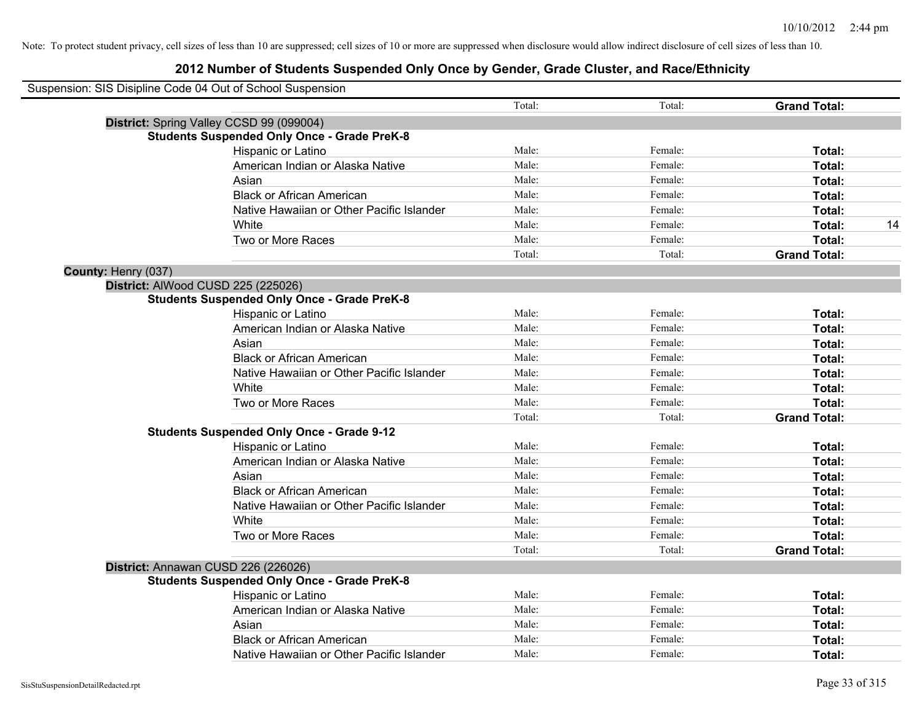|                     | Suspension: SIS Disipline Code 04 Out of School Suspension |        |         |                     |    |
|---------------------|------------------------------------------------------------|--------|---------|---------------------|----|
|                     |                                                            | Total: | Total:  | <b>Grand Total:</b> |    |
|                     | District: Spring Valley CCSD 99 (099004)                   |        |         |                     |    |
|                     | <b>Students Suspended Only Once - Grade PreK-8</b>         |        |         |                     |    |
|                     | Hispanic or Latino                                         | Male:  | Female: | Total:              |    |
|                     | American Indian or Alaska Native                           | Male:  | Female: | Total:              |    |
|                     | Asian                                                      | Male:  | Female: | Total:              |    |
|                     | <b>Black or African American</b>                           | Male:  | Female: | Total:              |    |
|                     | Native Hawaiian or Other Pacific Islander                  | Male:  | Female: | Total:              |    |
|                     | White                                                      | Male:  | Female: | Total:              | 14 |
|                     | Two or More Races                                          | Male:  | Female: | Total:              |    |
|                     |                                                            | Total: | Total:  | <b>Grand Total:</b> |    |
| County: Henry (037) |                                                            |        |         |                     |    |
|                     | District: AlWood CUSD 225 (225026)                         |        |         |                     |    |
|                     | <b>Students Suspended Only Once - Grade PreK-8</b>         |        |         |                     |    |
|                     | Hispanic or Latino                                         | Male:  | Female: | Total:              |    |
|                     | American Indian or Alaska Native                           | Male:  | Female: | Total:              |    |
|                     | Asian                                                      | Male:  | Female: | Total:              |    |
|                     | <b>Black or African American</b>                           | Male:  | Female: | Total:              |    |
|                     | Native Hawaiian or Other Pacific Islander                  | Male:  | Female: | Total:              |    |
|                     | White                                                      | Male:  | Female: | Total:              |    |
|                     | Two or More Races                                          | Male:  | Female: | Total:              |    |
|                     |                                                            | Total: | Total:  | <b>Grand Total:</b> |    |
|                     | <b>Students Suspended Only Once - Grade 9-12</b>           |        |         |                     |    |
|                     | Hispanic or Latino                                         | Male:  | Female: | Total:              |    |
|                     | American Indian or Alaska Native                           | Male:  | Female: | Total:              |    |
|                     | Asian                                                      | Male:  | Female: | Total:              |    |
|                     | <b>Black or African American</b>                           | Male:  | Female: | Total:              |    |
|                     | Native Hawaiian or Other Pacific Islander                  | Male:  | Female: | Total:              |    |
|                     | White                                                      | Male:  | Female: | Total:              |    |
|                     | Two or More Races                                          | Male:  | Female: | Total:              |    |
|                     |                                                            | Total: | Total:  | <b>Grand Total:</b> |    |
|                     | District: Annawan CUSD 226 (226026)                        |        |         |                     |    |
|                     | <b>Students Suspended Only Once - Grade PreK-8</b>         |        |         |                     |    |
|                     | Hispanic or Latino                                         | Male:  | Female: | Total:              |    |
|                     | American Indian or Alaska Native                           | Male:  | Female: | Total:              |    |
|                     | Asian                                                      | Male:  | Female: | Total:              |    |
|                     | <b>Black or African American</b>                           | Male:  | Female: | Total:              |    |
|                     | Native Hawaiian or Other Pacific Islander                  | Male:  | Female: | Total:              |    |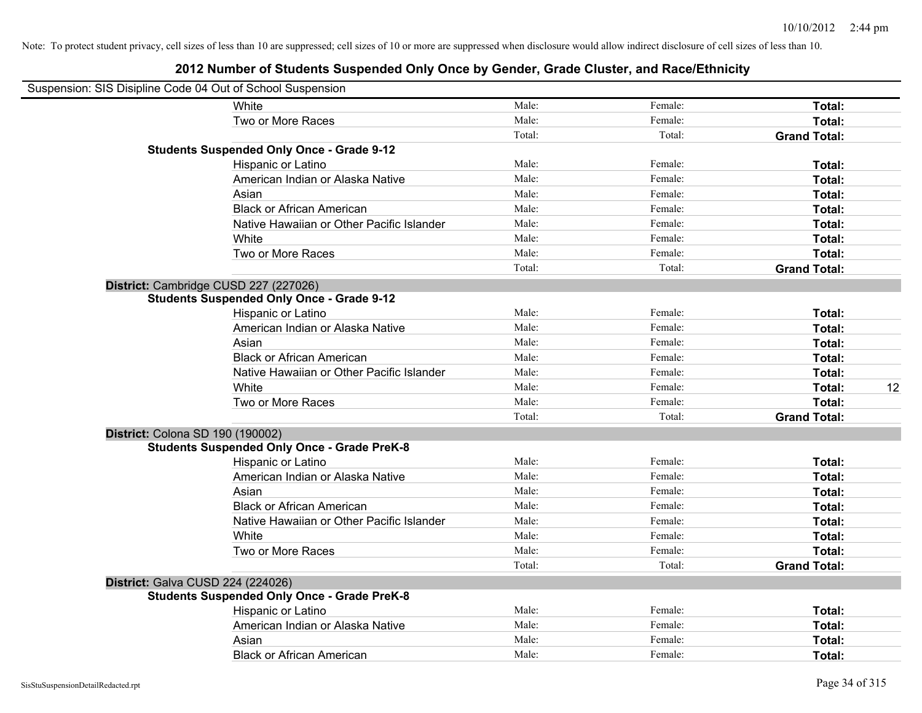| Suspension: SIS Disipline Code 04 Out of School Suspension |                                                    |        |         |                     |    |
|------------------------------------------------------------|----------------------------------------------------|--------|---------|---------------------|----|
|                                                            | White                                              | Male:  | Female: | Total:              |    |
|                                                            | Two or More Races                                  | Male:  | Female: | Total:              |    |
|                                                            |                                                    | Total: | Total:  | <b>Grand Total:</b> |    |
|                                                            | <b>Students Suspended Only Once - Grade 9-12</b>   |        |         |                     |    |
|                                                            | Hispanic or Latino                                 | Male:  | Female: | Total:              |    |
|                                                            | American Indian or Alaska Native                   | Male:  | Female: | Total:              |    |
|                                                            | Asian                                              | Male:  | Female: | Total:              |    |
|                                                            | <b>Black or African American</b>                   | Male:  | Female: | Total:              |    |
|                                                            | Native Hawaiian or Other Pacific Islander          | Male:  | Female: | Total:              |    |
|                                                            | White                                              | Male:  | Female: | Total:              |    |
|                                                            | Two or More Races                                  | Male:  | Female: | Total:              |    |
|                                                            |                                                    | Total: | Total:  | <b>Grand Total:</b> |    |
|                                                            | District: Cambridge CUSD 227 (227026)              |        |         |                     |    |
|                                                            | <b>Students Suspended Only Once - Grade 9-12</b>   |        |         |                     |    |
|                                                            | Hispanic or Latino                                 | Male:  | Female: | Total:              |    |
|                                                            | American Indian or Alaska Native                   | Male:  | Female: | Total:              |    |
|                                                            | Asian                                              | Male:  | Female: | Total:              |    |
|                                                            | <b>Black or African American</b>                   | Male:  | Female: | Total:              |    |
|                                                            | Native Hawaiian or Other Pacific Islander          | Male:  | Female: | Total:              |    |
|                                                            | White                                              | Male:  | Female: | Total:              | 12 |
|                                                            | Two or More Races                                  | Male:  | Female: | <b>Total:</b>       |    |
|                                                            |                                                    | Total: | Total:  | <b>Grand Total:</b> |    |
| District: Colona SD 190 (190002)                           |                                                    |        |         |                     |    |
|                                                            | <b>Students Suspended Only Once - Grade PreK-8</b> |        |         |                     |    |
|                                                            | Hispanic or Latino                                 | Male:  | Female: | Total:              |    |
|                                                            | American Indian or Alaska Native                   | Male:  | Female: | Total:              |    |
|                                                            | Asian                                              | Male:  | Female: | Total:              |    |
|                                                            | <b>Black or African American</b>                   | Male:  | Female: | Total:              |    |
|                                                            | Native Hawaiian or Other Pacific Islander          | Male:  | Female: | Total:              |    |
|                                                            | White                                              | Male:  | Female: | Total:              |    |
|                                                            | Two or More Races                                  | Male:  | Female: | Total:              |    |
|                                                            |                                                    | Total: | Total:  | <b>Grand Total:</b> |    |
| District: Galva CUSD 224 (224026)                          |                                                    |        |         |                     |    |
|                                                            | <b>Students Suspended Only Once - Grade PreK-8</b> |        |         |                     |    |
|                                                            | Hispanic or Latino                                 | Male:  | Female: | Total:              |    |
|                                                            | American Indian or Alaska Native                   | Male:  | Female: | Total:              |    |
|                                                            | Asian                                              | Male:  | Female: | Total:              |    |
|                                                            | <b>Black or African American</b>                   | Male:  | Female: | Total:              |    |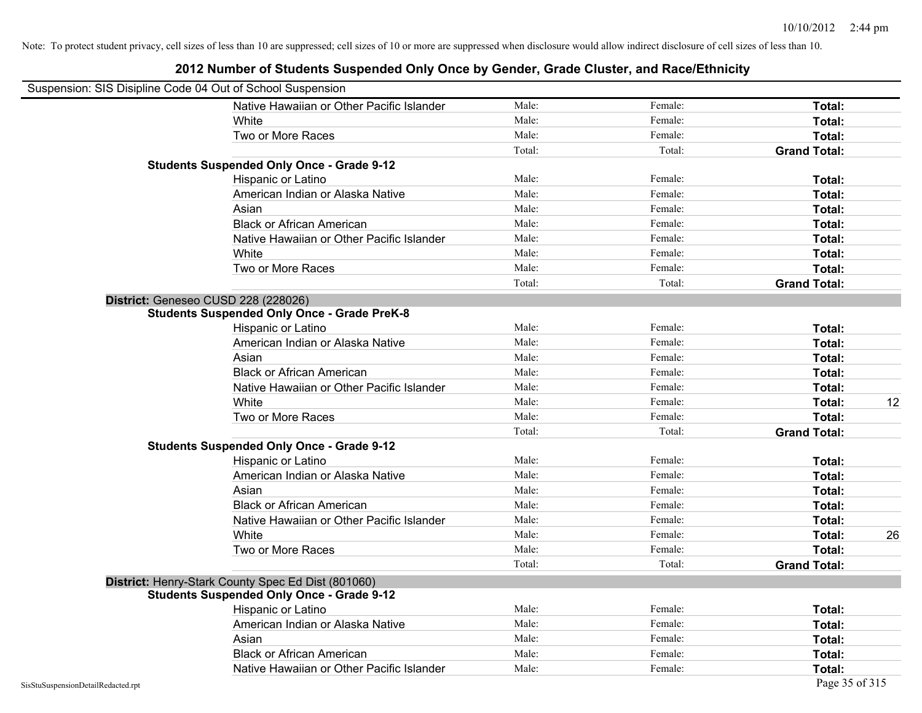|                                    | Suspension: SIS Disipline Code 04 Out of School Suspension |        |         |                     |
|------------------------------------|------------------------------------------------------------|--------|---------|---------------------|
|                                    | Native Hawaiian or Other Pacific Islander                  | Male:  | Female: | Total:              |
|                                    | White                                                      | Male:  | Female: | Total:              |
|                                    | Two or More Races                                          | Male:  | Female: | Total:              |
|                                    |                                                            | Total: | Total:  | <b>Grand Total:</b> |
|                                    | <b>Students Suspended Only Once - Grade 9-12</b>           |        |         |                     |
|                                    | Hispanic or Latino                                         | Male:  | Female: | Total:              |
|                                    | American Indian or Alaska Native                           | Male:  | Female: | Total:              |
|                                    | Asian                                                      | Male:  | Female: | Total:              |
|                                    | <b>Black or African American</b>                           | Male:  | Female: | Total:              |
|                                    | Native Hawaiian or Other Pacific Islander                  | Male:  | Female: | Total:              |
|                                    | White                                                      | Male:  | Female: | Total:              |
|                                    | Two or More Races                                          | Male:  | Female: | Total:              |
|                                    |                                                            | Total: | Total:  | <b>Grand Total:</b> |
|                                    | District: Geneseo CUSD 228 (228026)                        |        |         |                     |
|                                    | <b>Students Suspended Only Once - Grade PreK-8</b>         |        |         |                     |
|                                    | Hispanic or Latino                                         | Male:  | Female: | Total:              |
|                                    | American Indian or Alaska Native                           | Male:  | Female: | Total:              |
|                                    | Asian                                                      | Male:  | Female: | Total:              |
|                                    | <b>Black or African American</b>                           | Male:  | Female: | Total:              |
|                                    | Native Hawaiian or Other Pacific Islander                  | Male:  | Female: | Total:              |
|                                    | White                                                      | Male:  | Female: | 12<br>Total:        |
|                                    | Two or More Races                                          | Male:  | Female: | Total:              |
|                                    |                                                            | Total: | Total:  | <b>Grand Total:</b> |
|                                    | <b>Students Suspended Only Once - Grade 9-12</b>           |        |         |                     |
|                                    | Hispanic or Latino                                         | Male:  | Female: | Total:              |
|                                    | American Indian or Alaska Native                           | Male:  | Female: | Total:              |
|                                    | Asian                                                      | Male:  | Female: | Total:              |
|                                    | <b>Black or African American</b>                           | Male:  | Female: | Total:              |
|                                    | Native Hawaiian or Other Pacific Islander                  | Male:  | Female: | Total:              |
|                                    | White                                                      | Male:  | Female: | 26<br>Total:        |
|                                    | Two or More Races                                          | Male:  | Female: | Total:              |
|                                    |                                                            | Total: | Total:  | <b>Grand Total:</b> |
|                                    | District: Henry-Stark County Spec Ed Dist (801060)         |        |         |                     |
|                                    | <b>Students Suspended Only Once - Grade 9-12</b>           |        |         |                     |
|                                    | Hispanic or Latino                                         | Male:  | Female: | Total:              |
|                                    | American Indian or Alaska Native                           | Male:  | Female: | Total:              |
|                                    | Asian                                                      | Male:  | Female: | Total:              |
|                                    | <b>Black or African American</b>                           | Male:  | Female: | Total:              |
|                                    | Native Hawaiian or Other Pacific Islander                  | Male:  | Female: | Total:              |
| SisStuSuspensionDetailRedacted.rpt |                                                            |        |         | Page 35 of 315      |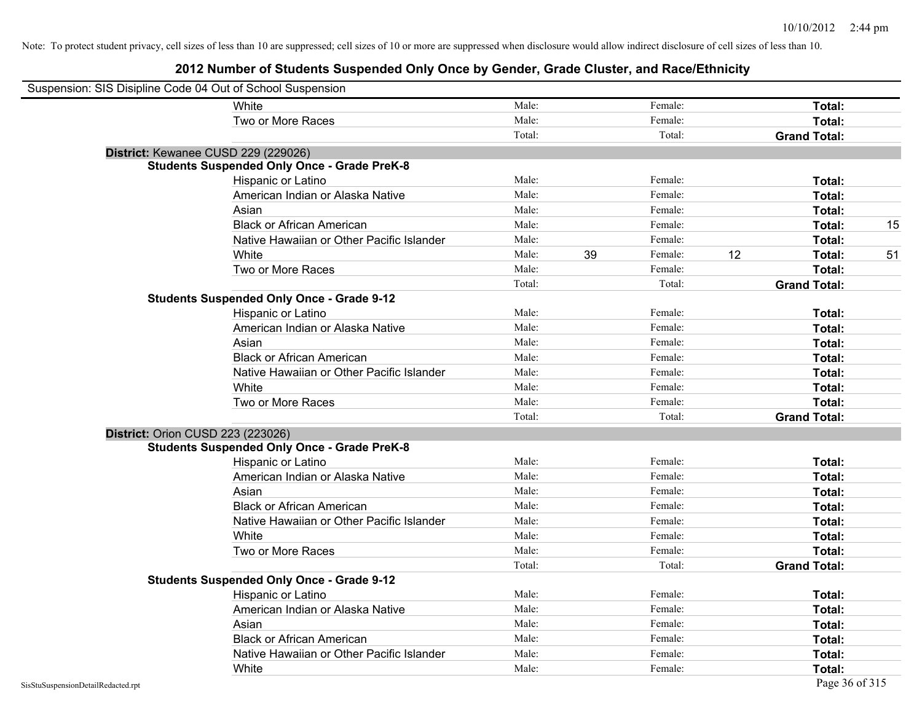| Suspension: SIS Disipline Code 04 Out of School Suspension |                                                    |        |    |         |    |                     |    |
|------------------------------------------------------------|----------------------------------------------------|--------|----|---------|----|---------------------|----|
|                                                            | White                                              | Male:  |    | Female: |    | Total:              |    |
|                                                            | Two or More Races                                  | Male:  |    | Female: |    | Total:              |    |
|                                                            |                                                    | Total: |    | Total:  |    | <b>Grand Total:</b> |    |
| District: Kewanee CUSD 229 (229026)                        |                                                    |        |    |         |    |                     |    |
|                                                            | <b>Students Suspended Only Once - Grade PreK-8</b> |        |    |         |    |                     |    |
|                                                            | Hispanic or Latino                                 | Male:  |    | Female: |    | Total:              |    |
|                                                            | American Indian or Alaska Native                   | Male:  |    | Female: |    | Total:              |    |
|                                                            | Asian                                              | Male:  |    | Female: |    | Total:              |    |
|                                                            | <b>Black or African American</b>                   | Male:  |    | Female: |    | Total:              | 15 |
|                                                            | Native Hawaiian or Other Pacific Islander          | Male:  |    | Female: |    | Total:              |    |
|                                                            | White                                              | Male:  | 39 | Female: | 12 | Total:              | 51 |
|                                                            | Two or More Races                                  | Male:  |    | Female: |    | Total:              |    |
|                                                            |                                                    | Total: |    | Total:  |    | <b>Grand Total:</b> |    |
|                                                            | <b>Students Suspended Only Once - Grade 9-12</b>   |        |    |         |    |                     |    |
|                                                            | Hispanic or Latino                                 | Male:  |    | Female: |    | Total:              |    |
|                                                            | American Indian or Alaska Native                   | Male:  |    | Female: |    | Total:              |    |
|                                                            | Asian                                              | Male:  |    | Female: |    | Total:              |    |
|                                                            | <b>Black or African American</b>                   | Male:  |    | Female: |    | Total:              |    |
|                                                            | Native Hawaiian or Other Pacific Islander          | Male:  |    | Female: |    | Total:              |    |
|                                                            | White                                              | Male:  |    | Female: |    | Total:              |    |
|                                                            | Two or More Races                                  | Male:  |    | Female: |    | Total:              |    |
|                                                            |                                                    | Total: |    | Total:  |    | <b>Grand Total:</b> |    |
| <b>District: Orion CUSD 223 (223026)</b>                   |                                                    |        |    |         |    |                     |    |
|                                                            | <b>Students Suspended Only Once - Grade PreK-8</b> |        |    |         |    |                     |    |
|                                                            | Hispanic or Latino                                 | Male:  |    | Female: |    | Total:              |    |
|                                                            | American Indian or Alaska Native                   | Male:  |    | Female: |    | Total:              |    |
|                                                            | Asian                                              | Male:  |    | Female: |    | Total:              |    |
|                                                            | <b>Black or African American</b>                   | Male:  |    | Female: |    | Total:              |    |
|                                                            | Native Hawaiian or Other Pacific Islander          | Male:  |    | Female: |    | Total:              |    |
|                                                            | White                                              | Male:  |    | Female: |    | Total:              |    |
|                                                            | Two or More Races                                  | Male:  |    | Female: |    | Total:              |    |
|                                                            |                                                    | Total: |    | Total:  |    | <b>Grand Total:</b> |    |
|                                                            | <b>Students Suspended Only Once - Grade 9-12</b>   |        |    |         |    |                     |    |
|                                                            | Hispanic or Latino                                 | Male:  |    | Female: |    | Total:              |    |
|                                                            | American Indian or Alaska Native                   | Male:  |    | Female: |    | Total:              |    |
|                                                            | Asian                                              | Male:  |    | Female: |    | Total:              |    |
|                                                            | <b>Black or African American</b>                   | Male:  |    | Female: |    | Total:              |    |
|                                                            | Native Hawaiian or Other Pacific Islander          | Male:  |    | Female: |    | Total:              |    |
|                                                            | White                                              | Male:  |    | Female: |    | Total:              |    |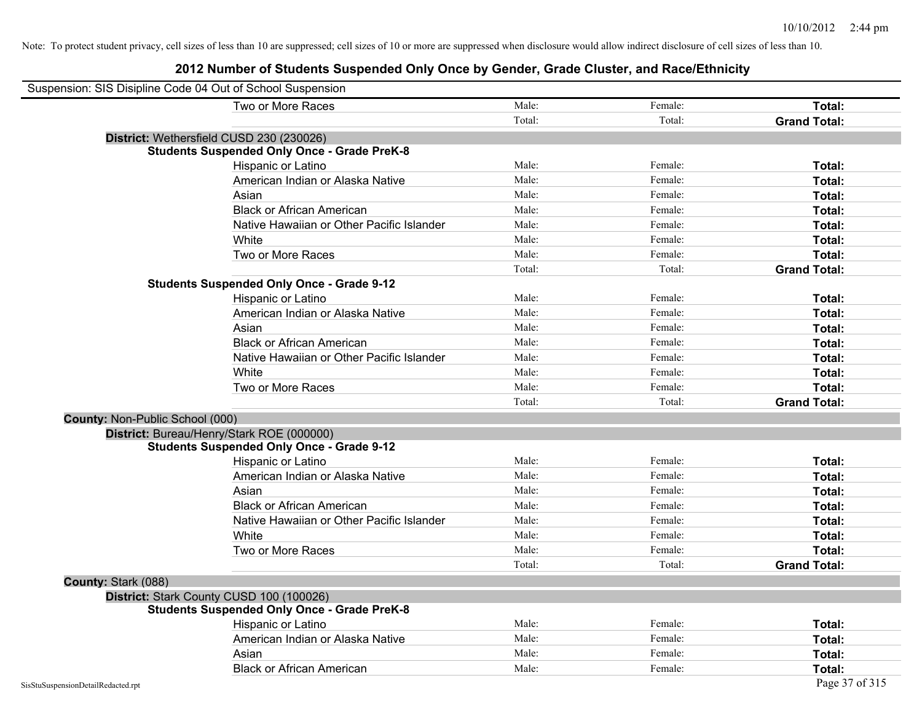| Suspension: SIS Disipline Code 04 Out of School Suspension |                                                    |        |         |                     |
|------------------------------------------------------------|----------------------------------------------------|--------|---------|---------------------|
|                                                            | Two or More Races                                  | Male:  | Female: | Total:              |
|                                                            |                                                    | Total: | Total:  | <b>Grand Total:</b> |
|                                                            | District: Wethersfield CUSD 230 (230026)           |        |         |                     |
|                                                            | <b>Students Suspended Only Once - Grade PreK-8</b> |        |         |                     |
|                                                            | Hispanic or Latino                                 | Male:  | Female: | Total:              |
|                                                            | American Indian or Alaska Native                   | Male:  | Female: | Total:              |
|                                                            | Asian                                              | Male:  | Female: | Total:              |
|                                                            | <b>Black or African American</b>                   | Male:  | Female: | Total:              |
|                                                            | Native Hawaiian or Other Pacific Islander          | Male:  | Female: | Total:              |
|                                                            | White                                              | Male:  | Female: | Total:              |
|                                                            | Two or More Races                                  | Male:  | Female: | Total:              |
|                                                            |                                                    | Total: | Total:  | <b>Grand Total:</b> |
|                                                            | <b>Students Suspended Only Once - Grade 9-12</b>   |        |         |                     |
|                                                            | Hispanic or Latino                                 | Male:  | Female: | Total:              |
|                                                            | American Indian or Alaska Native                   | Male:  | Female: | Total:              |
|                                                            | Asian                                              | Male:  | Female: | Total:              |
|                                                            | <b>Black or African American</b>                   | Male:  | Female: | Total:              |
|                                                            | Native Hawaiian or Other Pacific Islander          | Male:  | Female: | Total:              |
|                                                            | White                                              | Male:  | Female: | Total:              |
|                                                            | Two or More Races                                  | Male:  | Female: | Total:              |
|                                                            |                                                    | Total: | Total:  | <b>Grand Total:</b> |
| County: Non-Public School (000)                            |                                                    |        |         |                     |
|                                                            | District: Bureau/Henry/Stark ROE (000000)          |        |         |                     |
|                                                            | <b>Students Suspended Only Once - Grade 9-12</b>   |        |         |                     |
|                                                            | Hispanic or Latino                                 | Male:  | Female: | Total:              |
|                                                            | American Indian or Alaska Native                   | Male:  | Female: | Total:              |
|                                                            | Asian                                              | Male:  | Female: | Total:              |
|                                                            | <b>Black or African American</b>                   | Male:  | Female: | Total:              |
|                                                            | Native Hawaiian or Other Pacific Islander          | Male:  | Female: | Total:              |
|                                                            | White                                              | Male:  | Female: | Total:              |
|                                                            | Two or More Races                                  | Male:  | Female: | Total:              |
|                                                            |                                                    | Total: | Total:  | <b>Grand Total:</b> |
| County: Stark (088)                                        |                                                    |        |         |                     |
|                                                            | District: Stark County CUSD 100 (100026)           |        |         |                     |
|                                                            | <b>Students Suspended Only Once - Grade PreK-8</b> |        |         |                     |
|                                                            | Hispanic or Latino                                 | Male:  | Female: | Total:              |
|                                                            | American Indian or Alaska Native                   | Male:  | Female: | Total:              |
|                                                            | Asian                                              | Male:  | Female: | Total:              |
|                                                            | <b>Black or African American</b>                   | Male:  | Female: | Total:              |
| SisStuSuspensionDetailRedacted.rpt                         |                                                    |        |         | Page 37 of 315      |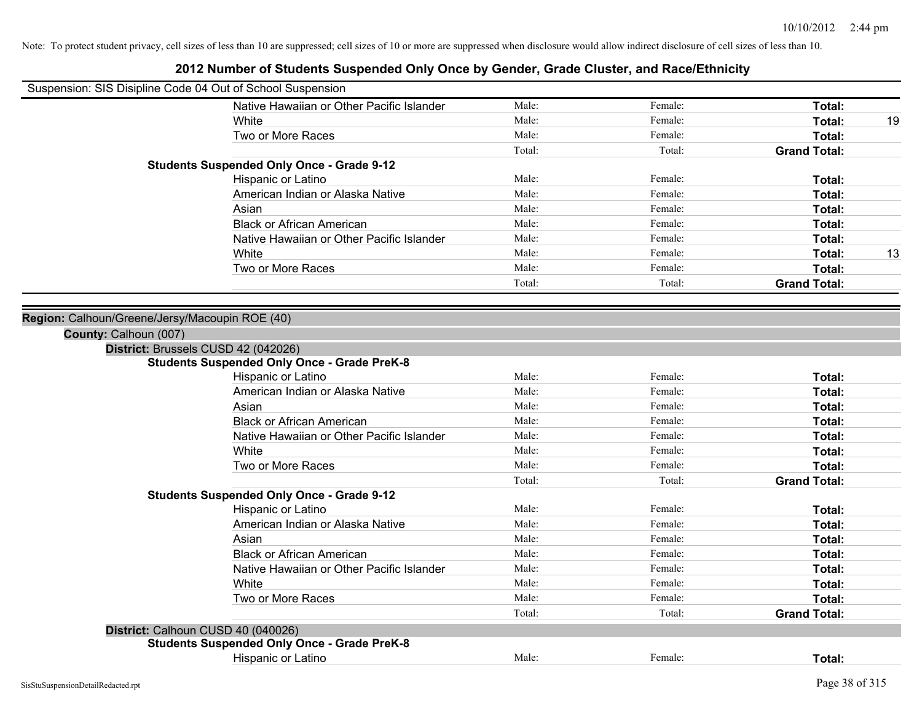| 2012 Number of Students Suspended Only Once by Gender, Grade Cluster, and Race/Ethnicity |        |         |                     |    |
|------------------------------------------------------------------------------------------|--------|---------|---------------------|----|
| Suspension: SIS Disipline Code 04 Out of School Suspension                               |        |         |                     |    |
| Native Hawaiian or Other Pacific Islander                                                | Male:  | Female: | Total:              |    |
| White                                                                                    | Male:  | Female: | Total:              | 19 |
| Two or More Races                                                                        | Male:  | Female: | Total:              |    |
|                                                                                          | Total: | Total:  | <b>Grand Total:</b> |    |
| <b>Students Suspended Only Once - Grade 9-12</b>                                         |        |         |                     |    |
| Hispanic or Latino                                                                       | Male:  | Female: | Total:              |    |
| American Indian or Alaska Native                                                         | Male:  | Female: | Total:              |    |
| Asian                                                                                    | Male:  | Female: | Total:              |    |
| <b>Black or African American</b>                                                         | Male:  | Female: | Total:              |    |
| Native Hawaiian or Other Pacific Islander                                                | Male:  | Female: | Total:              |    |
| White                                                                                    | Male:  | Female: | Total:              | 13 |
| Two or More Races                                                                        | Male:  | Female: | Total:              |    |
|                                                                                          | Total: | Total:  | <b>Grand Total:</b> |    |
|                                                                                          |        |         |                     |    |
| Region: Calhoun/Greene/Jersy/Macoupin ROE (40)                                           |        |         |                     |    |
| County: Calhoun (007)                                                                    |        |         |                     |    |
| District: Brussels CUSD 42 (042026)                                                      |        |         |                     |    |
| <b>Students Suspended Only Once - Grade PreK-8</b>                                       |        |         |                     |    |
| Hispanic or Latino                                                                       | Male:  | Female: | Total:              |    |
| American Indian or Alaska Native                                                         | Male:  | Female: | Total:              |    |
| Asian                                                                                    | Male:  | Female: | Total:              |    |
| <b>Black or African American</b>                                                         | Male:  | Female: | Total:              |    |
| Native Hawaiian or Other Pacific Islander                                                | Male:  | Female: | Total:              |    |
| White                                                                                    | Male:  | Female: | Total:              |    |
| Two or More Races                                                                        | Male:  | Female: | Total:              |    |
|                                                                                          | Total: | Total:  | <b>Grand Total:</b> |    |
| <b>Students Suspended Only Once - Grade 9-12</b>                                         |        |         |                     |    |
| Hispanic or Latino                                                                       | Male:  | Female: | Total:              |    |
| American Indian or Alaska Native                                                         | Male:  | Female: | Total:              |    |
| Asian                                                                                    | Male:  | Female: | Total:              |    |
| <b>Black or African American</b>                                                         | Male:  | Female: | Total:              |    |
| Native Hawaiian or Other Pacific Islander                                                | Male:  | Female: | Total:              |    |
| White                                                                                    | Male:  | Female: | Total:              |    |
| Two or More Races                                                                        | Male:  | Female: | Total:              |    |
|                                                                                          | Total: | Total:  | <b>Grand Total:</b> |    |
| District: Calhoun CUSD 40 (040026)                                                       |        |         |                     |    |
| <b>Students Suspended Only Once - Grade PreK-8</b>                                       |        |         |                     |    |
| Hispanic or Latino                                                                       | Male:  | Female: | Total:              |    |
|                                                                                          |        |         |                     |    |

#### SisStuSuspensionDetailRedacted.rpt Page 38 of 315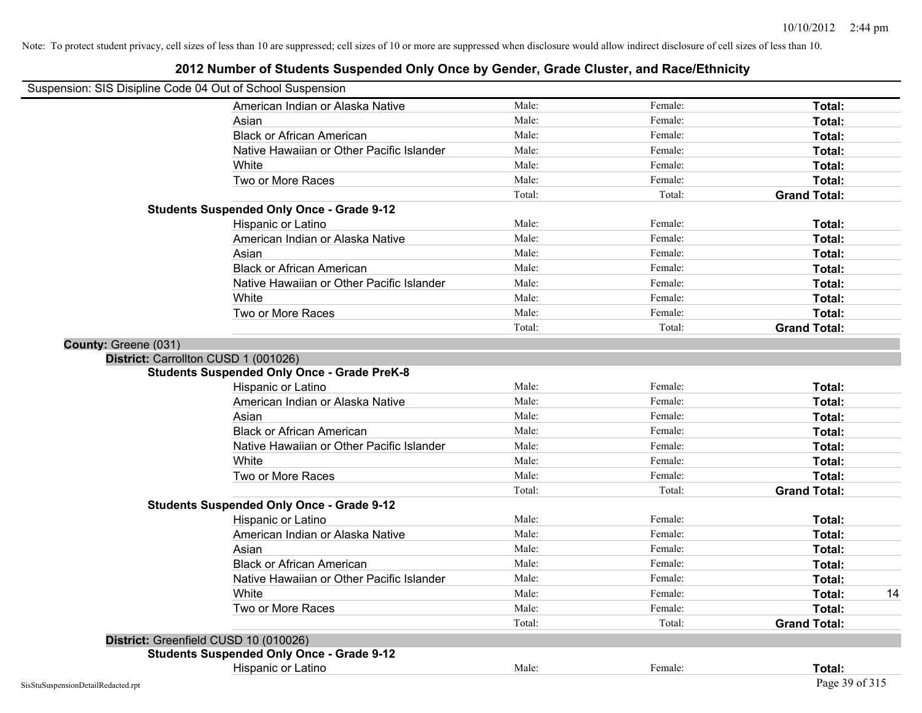| Suspension: SIS Disipline Code 04 Out of School Suspension |                                                    |        |         |                     |    |
|------------------------------------------------------------|----------------------------------------------------|--------|---------|---------------------|----|
|                                                            | American Indian or Alaska Native                   | Male:  | Female: | Total:              |    |
|                                                            | Asian                                              | Male:  | Female: | Total:              |    |
|                                                            | <b>Black or African American</b>                   | Male:  | Female: | Total:              |    |
|                                                            | Native Hawaiian or Other Pacific Islander          | Male:  | Female: | Total:              |    |
|                                                            | White                                              | Male:  | Female: | Total:              |    |
|                                                            | Two or More Races                                  | Male:  | Female: | Total:              |    |
|                                                            |                                                    | Total: | Total:  | <b>Grand Total:</b> |    |
|                                                            | <b>Students Suspended Only Once - Grade 9-12</b>   |        |         |                     |    |
|                                                            | Hispanic or Latino                                 | Male:  | Female: | Total:              |    |
|                                                            | American Indian or Alaska Native                   | Male:  | Female: | Total:              |    |
|                                                            | Asian                                              | Male:  | Female: | Total:              |    |
|                                                            | <b>Black or African American</b>                   | Male:  | Female: | Total:              |    |
|                                                            | Native Hawaiian or Other Pacific Islander          | Male:  | Female: | Total:              |    |
|                                                            | White                                              | Male:  | Female: | Total:              |    |
|                                                            | Two or More Races                                  | Male:  | Female: | Total:              |    |
|                                                            |                                                    | Total: | Total:  | <b>Grand Total:</b> |    |
| County: Greene (031)                                       |                                                    |        |         |                     |    |
|                                                            | District: Carrollton CUSD 1 (001026)               |        |         |                     |    |
|                                                            | <b>Students Suspended Only Once - Grade PreK-8</b> |        |         |                     |    |
|                                                            | Hispanic or Latino                                 | Male:  | Female: | Total:              |    |
|                                                            | American Indian or Alaska Native                   | Male:  | Female: | Total:              |    |
|                                                            | Asian                                              | Male:  | Female: | Total:              |    |
|                                                            | <b>Black or African American</b>                   | Male:  | Female: | Total:              |    |
|                                                            | Native Hawaiian or Other Pacific Islander          | Male:  | Female: | Total:              |    |
|                                                            | White                                              | Male:  | Female: | Total:              |    |
|                                                            | Two or More Races                                  | Male:  | Female: | Total:              |    |
|                                                            |                                                    | Total: | Total:  | <b>Grand Total:</b> |    |
|                                                            | <b>Students Suspended Only Once - Grade 9-12</b>   |        |         |                     |    |
|                                                            | Hispanic or Latino                                 | Male:  | Female: | Total:              |    |
|                                                            | American Indian or Alaska Native                   | Male:  | Female: | Total:              |    |
|                                                            | Asian                                              | Male:  | Female: | Total:              |    |
|                                                            | <b>Black or African American</b>                   | Male:  | Female: | Total:              |    |
|                                                            | Native Hawaiian or Other Pacific Islander          | Male:  | Female: | Total:              |    |
|                                                            | White                                              | Male:  | Female: | Total:              | 14 |
|                                                            | Two or More Races                                  | Male:  | Female: | Total:              |    |
|                                                            |                                                    | Total: | Total:  | <b>Grand Total:</b> |    |
|                                                            | District: Greenfield CUSD 10 (010026)              |        |         |                     |    |
|                                                            | <b>Students Suspended Only Once - Grade 9-12</b>   |        |         |                     |    |
|                                                            | Hispanic or Latino                                 | Male:  | Female: | Total:              |    |
| SisStuSuspensionDetailRedacted.rpt                         |                                                    |        |         | Page 39 of 315      |    |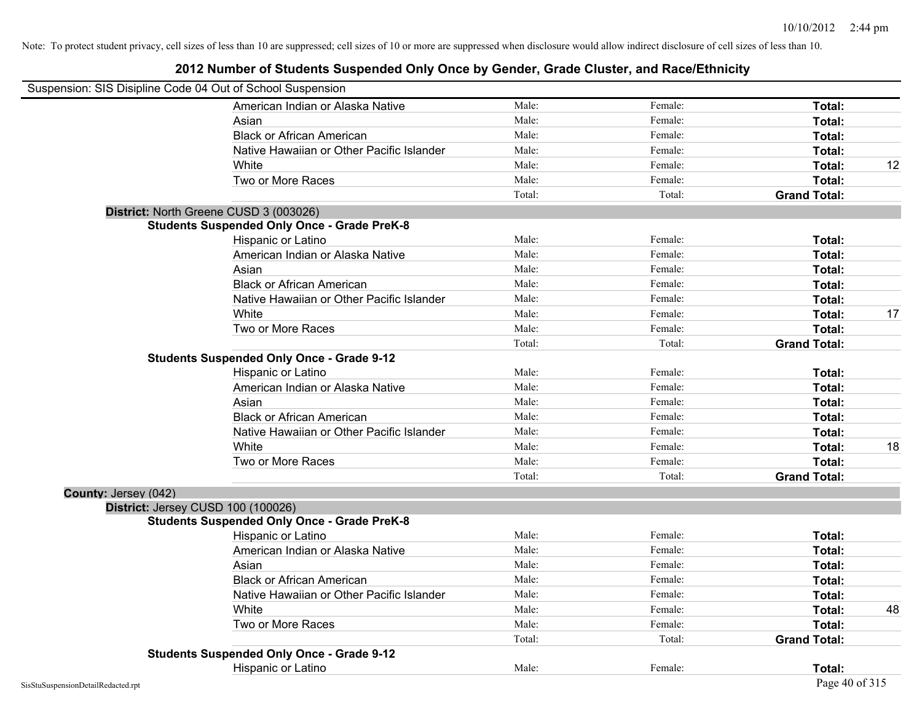| Suspension: SIS Disipline Code 04 Out of School Suspension |                                                    |        |         |                     |    |
|------------------------------------------------------------|----------------------------------------------------|--------|---------|---------------------|----|
|                                                            | American Indian or Alaska Native                   | Male:  | Female: | Total:              |    |
|                                                            | Asian                                              | Male:  | Female: | Total:              |    |
|                                                            | <b>Black or African American</b>                   | Male:  | Female: | Total:              |    |
|                                                            | Native Hawaiian or Other Pacific Islander          | Male:  | Female: | Total:              |    |
|                                                            | White                                              | Male:  | Female: | Total:              | 12 |
|                                                            | Two or More Races                                  | Male:  | Female: | Total:              |    |
|                                                            |                                                    | Total: | Total:  | <b>Grand Total:</b> |    |
| District: North Greene CUSD 3 (003026)                     |                                                    |        |         |                     |    |
|                                                            | <b>Students Suspended Only Once - Grade PreK-8</b> |        |         |                     |    |
|                                                            | Hispanic or Latino                                 | Male:  | Female: | Total:              |    |
|                                                            | American Indian or Alaska Native                   | Male:  | Female: | Total:              |    |
|                                                            | Asian                                              | Male:  | Female: | Total:              |    |
|                                                            | <b>Black or African American</b>                   | Male:  | Female: | Total:              |    |
|                                                            | Native Hawaiian or Other Pacific Islander          | Male:  | Female: | Total:              |    |
|                                                            | White                                              | Male:  | Female: | Total:              | 17 |
|                                                            | Two or More Races                                  | Male:  | Female: | Total:              |    |
|                                                            |                                                    | Total: | Total:  | <b>Grand Total:</b> |    |
|                                                            | <b>Students Suspended Only Once - Grade 9-12</b>   |        |         |                     |    |
|                                                            | Hispanic or Latino                                 | Male:  | Female: | Total:              |    |
|                                                            | American Indian or Alaska Native                   | Male:  | Female: | Total:              |    |
|                                                            | Asian                                              | Male:  | Female: | Total:              |    |
|                                                            | <b>Black or African American</b>                   | Male:  | Female: | Total:              |    |
|                                                            | Native Hawaiian or Other Pacific Islander          | Male:  | Female: | Total:              |    |
|                                                            | White                                              | Male:  | Female: | Total:              | 18 |
|                                                            | Two or More Races                                  | Male:  | Female: | Total:              |    |
|                                                            |                                                    | Total: | Total:  | <b>Grand Total:</b> |    |
| County: Jersey (042)                                       |                                                    |        |         |                     |    |
| District: Jersey CUSD 100 (100026)                         |                                                    |        |         |                     |    |
|                                                            | <b>Students Suspended Only Once - Grade PreK-8</b> |        |         |                     |    |
|                                                            | Hispanic or Latino                                 | Male:  | Female: | Total:              |    |
|                                                            | American Indian or Alaska Native                   | Male:  | Female: | Total:              |    |
|                                                            | Asian                                              | Male:  | Female: | Total:              |    |
|                                                            | <b>Black or African American</b>                   | Male:  | Female: | Total:              |    |
|                                                            | Native Hawaiian or Other Pacific Islander          | Male:  | Female: | Total:              |    |
|                                                            | White                                              | Male:  | Female: | Total:              | 48 |
|                                                            | Two or More Races                                  | Male:  | Female: | Total:              |    |
|                                                            |                                                    | Total: | Total:  | <b>Grand Total:</b> |    |
|                                                            | <b>Students Suspended Only Once - Grade 9-12</b>   |        |         |                     |    |
|                                                            | Hispanic or Latino                                 | Male:  | Female: | Total:              |    |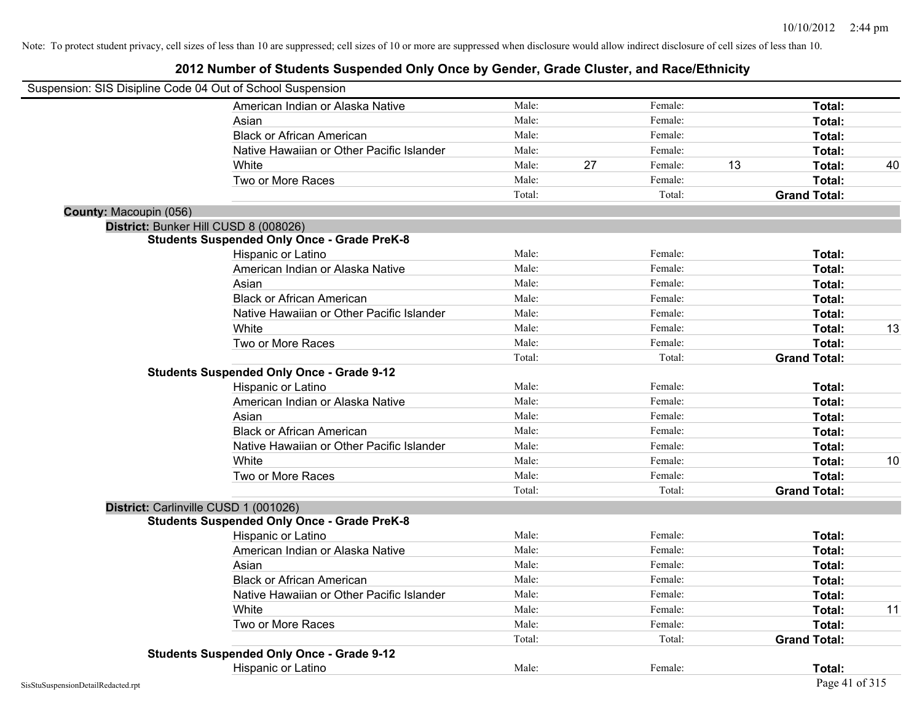| Suspension: SIS Disipline Code 04 Out of School Suspension |                                                    |        |    |         |    |                     |    |
|------------------------------------------------------------|----------------------------------------------------|--------|----|---------|----|---------------------|----|
|                                                            | American Indian or Alaska Native                   | Male:  |    | Female: |    | Total:              |    |
|                                                            | Asian                                              | Male:  |    | Female: |    | Total:              |    |
|                                                            | <b>Black or African American</b>                   | Male:  |    | Female: |    | Total:              |    |
|                                                            | Native Hawaiian or Other Pacific Islander          | Male:  |    | Female: |    | Total:              |    |
|                                                            | White                                              | Male:  | 27 | Female: | 13 | Total:              | 40 |
|                                                            | Two or More Races                                  | Male:  |    | Female: |    | Total:              |    |
|                                                            |                                                    | Total: |    | Total:  |    | <b>Grand Total:</b> |    |
| County: Macoupin (056)                                     |                                                    |        |    |         |    |                     |    |
| District: Bunker Hill CUSD 8 (008026)                      |                                                    |        |    |         |    |                     |    |
|                                                            | <b>Students Suspended Only Once - Grade PreK-8</b> |        |    |         |    |                     |    |
|                                                            | Hispanic or Latino                                 | Male:  |    | Female: |    | Total:              |    |
|                                                            | American Indian or Alaska Native                   | Male:  |    | Female: |    | Total:              |    |
|                                                            | Asian                                              | Male:  |    | Female: |    | Total:              |    |
|                                                            | <b>Black or African American</b>                   | Male:  |    | Female: |    | Total:              |    |
|                                                            | Native Hawaiian or Other Pacific Islander          | Male:  |    | Female: |    | Total:              |    |
|                                                            | White                                              | Male:  |    | Female: |    | Total:              | 13 |
|                                                            | Two or More Races                                  | Male:  |    | Female: |    | Total:              |    |
|                                                            |                                                    | Total: |    | Total:  |    | <b>Grand Total:</b> |    |
|                                                            | <b>Students Suspended Only Once - Grade 9-12</b>   |        |    |         |    |                     |    |
|                                                            | Hispanic or Latino                                 | Male:  |    | Female: |    | Total:              |    |
|                                                            | American Indian or Alaska Native                   | Male:  |    | Female: |    | Total:              |    |
|                                                            | Asian                                              | Male:  |    | Female: |    | Total:              |    |
|                                                            | <b>Black or African American</b>                   | Male:  |    | Female: |    | Total:              |    |
|                                                            | Native Hawaiian or Other Pacific Islander          | Male:  |    | Female: |    | Total:              |    |
|                                                            | White                                              | Male:  |    | Female: |    | Total:              | 10 |
|                                                            | Two or More Races                                  | Male:  |    | Female: |    | Total:              |    |
|                                                            |                                                    | Total: |    | Total:  |    | <b>Grand Total:</b> |    |
| District: Carlinville CUSD 1 (001026)                      |                                                    |        |    |         |    |                     |    |
|                                                            | <b>Students Suspended Only Once - Grade PreK-8</b> |        |    |         |    |                     |    |
|                                                            | Hispanic or Latino                                 | Male:  |    | Female: |    | Total:              |    |
|                                                            | American Indian or Alaska Native                   | Male:  |    | Female: |    | Total:              |    |
|                                                            | Asian                                              | Male:  |    | Female: |    | Total:              |    |
|                                                            | <b>Black or African American</b>                   | Male:  |    | Female: |    | Total:              |    |
|                                                            | Native Hawaiian or Other Pacific Islander          | Male:  |    | Female: |    | Total:              |    |
|                                                            | White                                              | Male:  |    | Female: |    | Total:              | 11 |
|                                                            | Two or More Races                                  | Male:  |    | Female: |    | Total:              |    |
|                                                            |                                                    | Total: |    | Total:  |    | <b>Grand Total:</b> |    |
|                                                            | <b>Students Suspended Only Once - Grade 9-12</b>   |        |    |         |    |                     |    |
|                                                            | Hispanic or Latino                                 | Male:  |    | Female: |    | Total:              |    |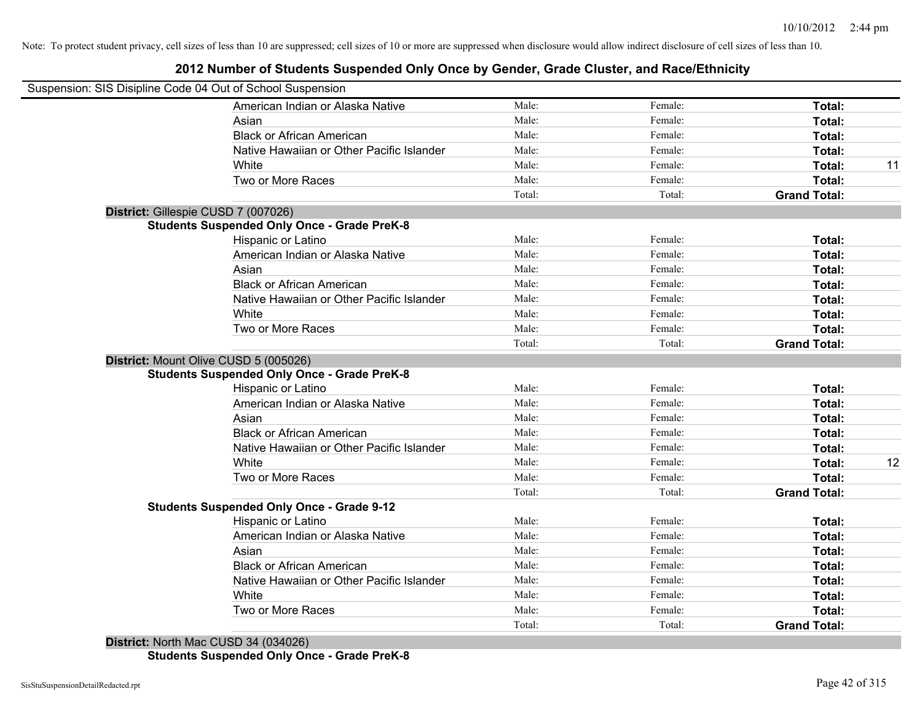### **2012 Number of Students Suspended Only Once by Gender, Grade Cluster, and Race/Ethnicity**

| Suspension: SIS Disipline Code 04 Out of School Suspension |        |         |                     |    |
|------------------------------------------------------------|--------|---------|---------------------|----|
| American Indian or Alaska Native                           | Male:  | Female: | Total:              |    |
| Asian                                                      | Male:  | Female: | Total:              |    |
| <b>Black or African American</b>                           | Male:  | Female: | Total:              |    |
| Native Hawaiian or Other Pacific Islander                  | Male:  | Female: | Total:              |    |
| White                                                      | Male:  | Female: | Total:              | 11 |
| Two or More Races                                          | Male:  | Female: | Total:              |    |
|                                                            | Total: | Total:  | <b>Grand Total:</b> |    |
| District: Gillespie CUSD 7 (007026)                        |        |         |                     |    |
| <b>Students Suspended Only Once - Grade PreK-8</b>         |        |         |                     |    |
| Hispanic or Latino                                         | Male:  | Female: | Total:              |    |
| American Indian or Alaska Native                           | Male:  | Female: | Total:              |    |
| Asian                                                      | Male:  | Female: | Total:              |    |
| <b>Black or African American</b>                           | Male:  | Female: | Total:              |    |
| Native Hawaiian or Other Pacific Islander                  | Male:  | Female: | Total:              |    |
| White                                                      | Male:  | Female: | Total:              |    |
| Two or More Races                                          | Male:  | Female: | Total:              |    |
|                                                            | Total: | Total:  | <b>Grand Total:</b> |    |
| District: Mount Olive CUSD 5 (005026)                      |        |         |                     |    |
| <b>Students Suspended Only Once - Grade PreK-8</b>         |        |         |                     |    |
| Hispanic or Latino                                         | Male:  | Female: | Total:              |    |
| American Indian or Alaska Native                           | Male:  | Female: | Total:              |    |
| Asian                                                      | Male:  | Female: | Total:              |    |
| <b>Black or African American</b>                           | Male:  | Female: | Total:              |    |
| Native Hawaiian or Other Pacific Islander                  | Male:  | Female: | Total:              |    |
| White                                                      | Male:  | Female: | Total:              | 12 |
| Two or More Races                                          | Male:  | Female: | Total:              |    |
|                                                            | Total: | Total:  | <b>Grand Total:</b> |    |
| <b>Students Suspended Only Once - Grade 9-12</b>           |        |         |                     |    |
| Hispanic or Latino                                         | Male:  | Female: | Total:              |    |
| American Indian or Alaska Native                           | Male:  | Female: | Total:              |    |
| Asian                                                      | Male:  | Female: | Total:              |    |
| <b>Black or African American</b>                           | Male:  | Female: | Total:              |    |
| Native Hawaiian or Other Pacific Islander                  | Male:  | Female: | Total:              |    |
| White                                                      | Male:  | Female: | Total:              |    |
| Two or More Races                                          | Male:  | Female: | Total:              |    |
| Q11QDQ1(0010Q)                                             | Total: | Total:  | <b>Grand Total:</b> |    |

**District:** North Mac CUSD 34 (034026) **Students Suspended Only Once - Grade PreK-8**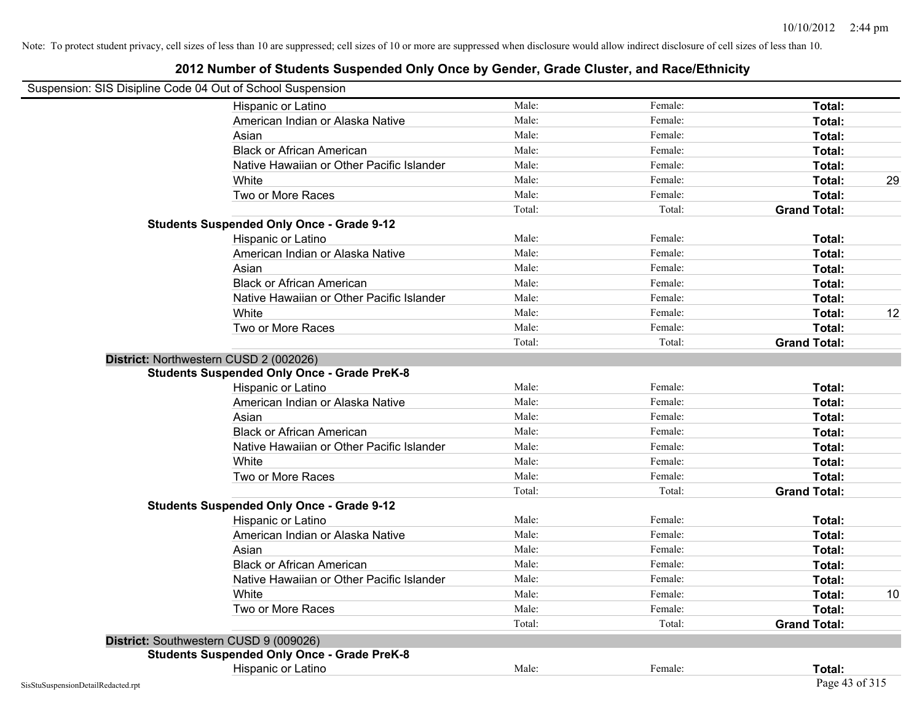| Suspension: SIS Disipline Code 04 Out of School Suspension |        |         |                     |    |
|------------------------------------------------------------|--------|---------|---------------------|----|
| Hispanic or Latino                                         | Male:  | Female: | Total:              |    |
| American Indian or Alaska Native                           | Male:  | Female: | Total:              |    |
| Asian                                                      | Male:  | Female: | Total:              |    |
| <b>Black or African American</b>                           | Male:  | Female: | Total:              |    |
| Native Hawaiian or Other Pacific Islander                  | Male:  | Female: | Total:              |    |
| White                                                      | Male:  | Female: | Total:              | 29 |
| Two or More Races                                          | Male:  | Female: | Total:              |    |
|                                                            | Total: | Total:  | <b>Grand Total:</b> |    |
| <b>Students Suspended Only Once - Grade 9-12</b>           |        |         |                     |    |
| Hispanic or Latino                                         | Male:  | Female: | Total:              |    |
| American Indian or Alaska Native                           | Male:  | Female: | Total:              |    |
| Asian                                                      | Male:  | Female: | Total:              |    |
| <b>Black or African American</b>                           | Male:  | Female: | Total:              |    |
| Native Hawaiian or Other Pacific Islander                  | Male:  | Female: | Total:              |    |
| White                                                      | Male:  | Female: | Total:              | 12 |
| Two or More Races                                          | Male:  | Female: | Total:              |    |
|                                                            | Total: | Total:  | <b>Grand Total:</b> |    |
| District: Northwestern CUSD 2 (002026)                     |        |         |                     |    |
| <b>Students Suspended Only Once - Grade PreK-8</b>         |        |         |                     |    |
| Hispanic or Latino                                         | Male:  | Female: | Total:              |    |
| American Indian or Alaska Native                           | Male:  | Female: | Total:              |    |
| Asian                                                      | Male:  | Female: | Total:              |    |
| <b>Black or African American</b>                           | Male:  | Female: | Total:              |    |
| Native Hawaiian or Other Pacific Islander                  | Male:  | Female: | Total:              |    |
| White                                                      | Male:  | Female: | Total:              |    |
| Two or More Races                                          | Male:  | Female: | Total:              |    |
|                                                            | Total: | Total:  | <b>Grand Total:</b> |    |
| <b>Students Suspended Only Once - Grade 9-12</b>           |        |         |                     |    |
| Hispanic or Latino                                         | Male:  | Female: | Total:              |    |
| American Indian or Alaska Native                           | Male:  | Female: | Total:              |    |
| Asian                                                      | Male:  | Female: | Total:              |    |
| <b>Black or African American</b>                           | Male:  | Female: | Total:              |    |
| Native Hawaiian or Other Pacific Islander                  | Male:  | Female: | Total:              |    |
| White                                                      | Male:  | Female: | Total:              | 10 |
| Two or More Races                                          | Male:  | Female: | Total:              |    |
|                                                            | Total: | Total:  | <b>Grand Total:</b> |    |
| District: Southwestern CUSD 9 (009026)                     |        |         |                     |    |
| <b>Students Suspended Only Once - Grade PreK-8</b>         |        |         |                     |    |
| Hispanic or Latino                                         | Male:  | Female: | <b>Total:</b>       |    |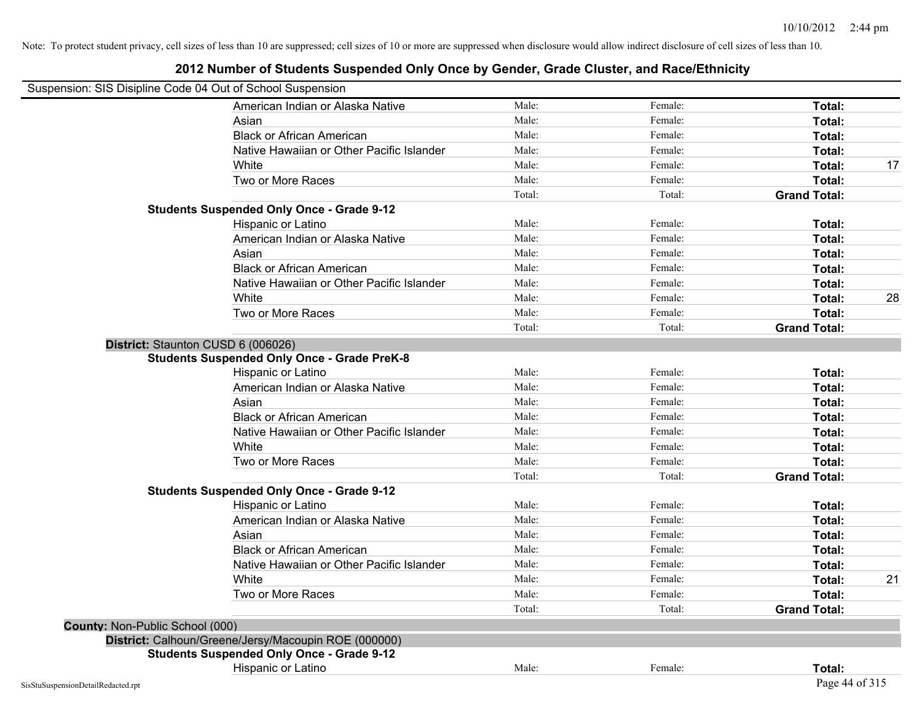| Suspension: SIS Disipline Code 04 Out of School Suspension |                                                      |        |         |                     |    |
|------------------------------------------------------------|------------------------------------------------------|--------|---------|---------------------|----|
|                                                            | American Indian or Alaska Native                     | Male:  | Female: | Total:              |    |
|                                                            | Asian                                                | Male:  | Female: | Total:              |    |
|                                                            | <b>Black or African American</b>                     | Male:  | Female: | Total:              |    |
|                                                            | Native Hawaiian or Other Pacific Islander            | Male:  | Female: | Total:              |    |
|                                                            | White                                                | Male:  | Female: | Total:              | 17 |
|                                                            | Two or More Races                                    | Male:  | Female: | Total:              |    |
|                                                            |                                                      | Total: | Total:  | <b>Grand Total:</b> |    |
|                                                            | <b>Students Suspended Only Once - Grade 9-12</b>     |        |         |                     |    |
|                                                            | Hispanic or Latino                                   | Male:  | Female: | Total:              |    |
|                                                            | American Indian or Alaska Native                     | Male:  | Female: | Total:              |    |
|                                                            | Asian                                                | Male:  | Female: | Total:              |    |
|                                                            | <b>Black or African American</b>                     | Male:  | Female: | Total:              |    |
|                                                            | Native Hawaiian or Other Pacific Islander            | Male:  | Female: | Total:              |    |
|                                                            | White                                                | Male:  | Female: | Total:              | 28 |
|                                                            | Two or More Races                                    | Male:  | Female: | Total:              |    |
|                                                            |                                                      | Total: | Total:  | <b>Grand Total:</b> |    |
| District: Staunton CUSD 6 (006026)                         |                                                      |        |         |                     |    |
|                                                            | <b>Students Suspended Only Once - Grade PreK-8</b>   |        |         |                     |    |
|                                                            | Hispanic or Latino                                   | Male:  | Female: | Total:              |    |
|                                                            | American Indian or Alaska Native                     | Male:  | Female: | Total:              |    |
|                                                            | Asian                                                | Male:  | Female: | Total:              |    |
|                                                            | <b>Black or African American</b>                     | Male:  | Female: | Total:              |    |
|                                                            | Native Hawaiian or Other Pacific Islander            | Male:  | Female: | Total:              |    |
|                                                            | White                                                | Male:  | Female: | Total:              |    |
|                                                            | Two or More Races                                    | Male:  | Female: | Total:              |    |
|                                                            |                                                      | Total: | Total:  | <b>Grand Total:</b> |    |
|                                                            | <b>Students Suspended Only Once - Grade 9-12</b>     |        |         |                     |    |
|                                                            | Hispanic or Latino                                   | Male:  | Female: | Total:              |    |
|                                                            | American Indian or Alaska Native                     | Male:  | Female: | Total:              |    |
|                                                            | Asian                                                | Male:  | Female: | Total:              |    |
|                                                            | <b>Black or African American</b>                     | Male:  | Female: | Total:              |    |
|                                                            | Native Hawaiian or Other Pacific Islander            | Male:  | Female: | Total:              |    |
|                                                            | White                                                | Male:  | Female: | Total:              | 21 |
|                                                            | Two or More Races                                    | Male:  | Female: | Total:              |    |
|                                                            |                                                      | Total: | Total:  | <b>Grand Total:</b> |    |
| County: Non-Public School (000)                            |                                                      |        |         |                     |    |
|                                                            | District: Calhoun/Greene/Jersy/Macoupin ROE (000000) |        |         |                     |    |
|                                                            | <b>Students Suspended Only Once - Grade 9-12</b>     |        |         |                     |    |
|                                                            | Hispanic or Latino                                   | Male:  | Female: | Total:              |    |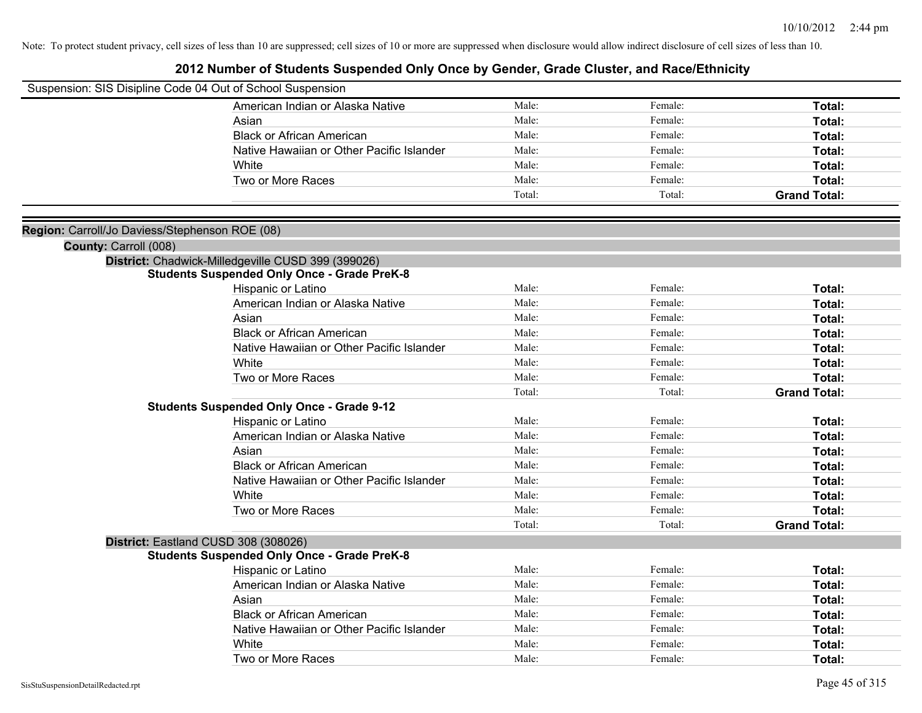| Suspension: SIS Disipline Code 04 Out of School Suspension |                                                    |        |         |                     |
|------------------------------------------------------------|----------------------------------------------------|--------|---------|---------------------|
|                                                            | American Indian or Alaska Native                   | Male:  | Female: | Total:              |
|                                                            | Asian                                              | Male:  | Female: | Total:              |
|                                                            | <b>Black or African American</b>                   | Male:  | Female: | Total:              |
|                                                            | Native Hawaiian or Other Pacific Islander          | Male:  | Female: | Total:              |
|                                                            | White                                              | Male:  | Female: | Total:              |
|                                                            | Two or More Races                                  | Male:  | Female: | Total:              |
|                                                            |                                                    | Total: | Total:  | <b>Grand Total:</b> |
|                                                            |                                                    |        |         |                     |
| Region: Carroll/Jo Daviess/Stephenson ROE (08)             |                                                    |        |         |                     |
| County: Carroll (008)                                      |                                                    |        |         |                     |
|                                                            | District: Chadwick-Milledgeville CUSD 399 (399026) |        |         |                     |
|                                                            | <b>Students Suspended Only Once - Grade PreK-8</b> |        |         |                     |
|                                                            | Hispanic or Latino                                 | Male:  | Female: | Total:              |
|                                                            | American Indian or Alaska Native                   | Male:  | Female: | Total:              |
|                                                            | Asian                                              | Male:  | Female: | Total:              |
|                                                            | <b>Black or African American</b>                   | Male:  | Female: | Total:              |
|                                                            | Native Hawaiian or Other Pacific Islander          | Male:  | Female: | Total:              |
|                                                            | White                                              | Male:  | Female: | Total:              |
|                                                            | Two or More Races                                  | Male:  | Female: | Total:              |
|                                                            |                                                    | Total: | Total:  | <b>Grand Total:</b> |
|                                                            | <b>Students Suspended Only Once - Grade 9-12</b>   |        |         |                     |
|                                                            | Hispanic or Latino                                 | Male:  | Female: | Total:              |
|                                                            | American Indian or Alaska Native                   | Male:  | Female: | Total:              |
|                                                            | Asian                                              | Male:  | Female: | Total:              |
|                                                            | <b>Black or African American</b>                   | Male:  | Female: | Total:              |
|                                                            | Native Hawaiian or Other Pacific Islander          | Male:  | Female: | Total:              |
|                                                            | White                                              | Male:  | Female: | Total:              |
|                                                            | Two or More Races                                  | Male:  | Female: | Total:              |
|                                                            |                                                    | Total: | Total:  | <b>Grand Total:</b> |
|                                                            | District: Eastland CUSD 308 (308026)               |        |         |                     |
|                                                            | <b>Students Suspended Only Once - Grade PreK-8</b> |        |         |                     |
|                                                            | Hispanic or Latino                                 | Male:  | Female: | Total:              |
|                                                            | American Indian or Alaska Native                   | Male:  | Female: | Total:              |
|                                                            | Asian                                              | Male:  | Female: | Total:              |
|                                                            | <b>Black or African American</b>                   | Male:  | Female: | Total:              |
|                                                            | Native Hawaiian or Other Pacific Islander          | Male:  | Female: | Total:              |
|                                                            | White                                              | Male:  | Female: | Total:              |
|                                                            | Two or More Races                                  | Male:  | Female: | Total:              |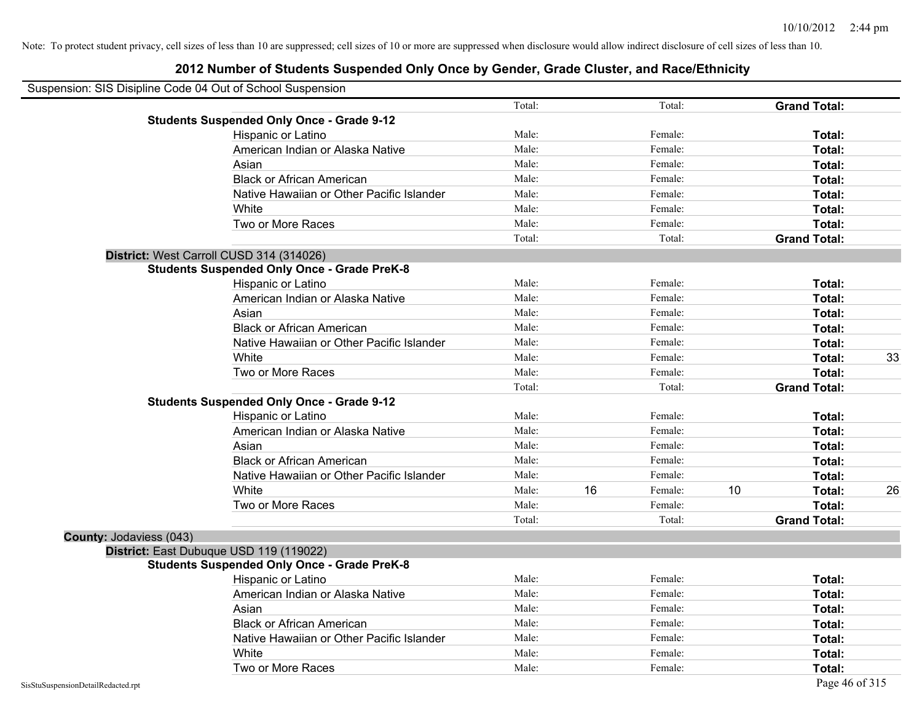| Suspension: SIS Disipline Code 04 Out of School Suspension |                                                    |        |    |         |    |                     |    |
|------------------------------------------------------------|----------------------------------------------------|--------|----|---------|----|---------------------|----|
|                                                            |                                                    | Total: |    | Total:  |    | <b>Grand Total:</b> |    |
|                                                            | <b>Students Suspended Only Once - Grade 9-12</b>   |        |    |         |    |                     |    |
|                                                            | Hispanic or Latino                                 | Male:  |    | Female: |    | Total:              |    |
|                                                            | American Indian or Alaska Native                   | Male:  |    | Female: |    | Total:              |    |
|                                                            | Asian                                              | Male:  |    | Female: |    | Total:              |    |
|                                                            | <b>Black or African American</b>                   | Male:  |    | Female: |    | Total:              |    |
|                                                            | Native Hawaiian or Other Pacific Islander          | Male:  |    | Female: |    | Total:              |    |
|                                                            | White                                              | Male:  |    | Female: |    | Total:              |    |
|                                                            | Two or More Races                                  | Male:  |    | Female: |    | Total:              |    |
|                                                            |                                                    | Total: |    | Total:  |    | <b>Grand Total:</b> |    |
|                                                            | District: West Carroll CUSD 314 (314026)           |        |    |         |    |                     |    |
|                                                            | <b>Students Suspended Only Once - Grade PreK-8</b> |        |    |         |    |                     |    |
|                                                            | Hispanic or Latino                                 | Male:  |    | Female: |    | Total:              |    |
|                                                            | American Indian or Alaska Native                   | Male:  |    | Female: |    | Total:              |    |
|                                                            | Asian                                              | Male:  |    | Female: |    | Total:              |    |
|                                                            | <b>Black or African American</b>                   | Male:  |    | Female: |    | Total:              |    |
|                                                            | Native Hawaiian or Other Pacific Islander          | Male:  |    | Female: |    | Total:              |    |
|                                                            | White                                              | Male:  |    | Female: |    | Total:              | 33 |
|                                                            | Two or More Races                                  | Male:  |    | Female: |    | Total:              |    |
|                                                            |                                                    | Total: |    | Total:  |    | <b>Grand Total:</b> |    |
|                                                            | <b>Students Suspended Only Once - Grade 9-12</b>   |        |    |         |    |                     |    |
|                                                            | Hispanic or Latino                                 | Male:  |    | Female: |    | Total:              |    |
|                                                            | American Indian or Alaska Native                   | Male:  |    | Female: |    | Total:              |    |
|                                                            | Asian                                              | Male:  |    | Female: |    | Total:              |    |
|                                                            | <b>Black or African American</b>                   | Male:  |    | Female: |    | Total:              |    |
|                                                            | Native Hawaiian or Other Pacific Islander          | Male:  |    | Female: |    | Total:              |    |
|                                                            | White                                              | Male:  | 16 | Female: | 10 | Total:              | 26 |
|                                                            | Two or More Races                                  | Male:  |    | Female: |    | Total:              |    |
|                                                            |                                                    | Total: |    | Total:  |    | <b>Grand Total:</b> |    |
| County: Jodaviess (043)                                    |                                                    |        |    |         |    |                     |    |
|                                                            | District: East Dubuque USD 119 (119022)            |        |    |         |    |                     |    |
|                                                            | <b>Students Suspended Only Once - Grade PreK-8</b> |        |    |         |    |                     |    |
|                                                            | Hispanic or Latino                                 | Male:  |    | Female: |    | Total:              |    |
|                                                            | American Indian or Alaska Native                   | Male:  |    | Female: |    | Total:              |    |
|                                                            | Asian                                              | Male:  |    | Female: |    | Total:              |    |
|                                                            | <b>Black or African American</b>                   | Male:  |    | Female: |    | Total:              |    |
|                                                            | Native Hawaiian or Other Pacific Islander          | Male:  |    | Female: |    | Total:              |    |
|                                                            | White                                              | Male:  |    | Female: |    | Total:              |    |
|                                                            | Two or More Races                                  | Male:  |    | Female: |    | Total:              |    |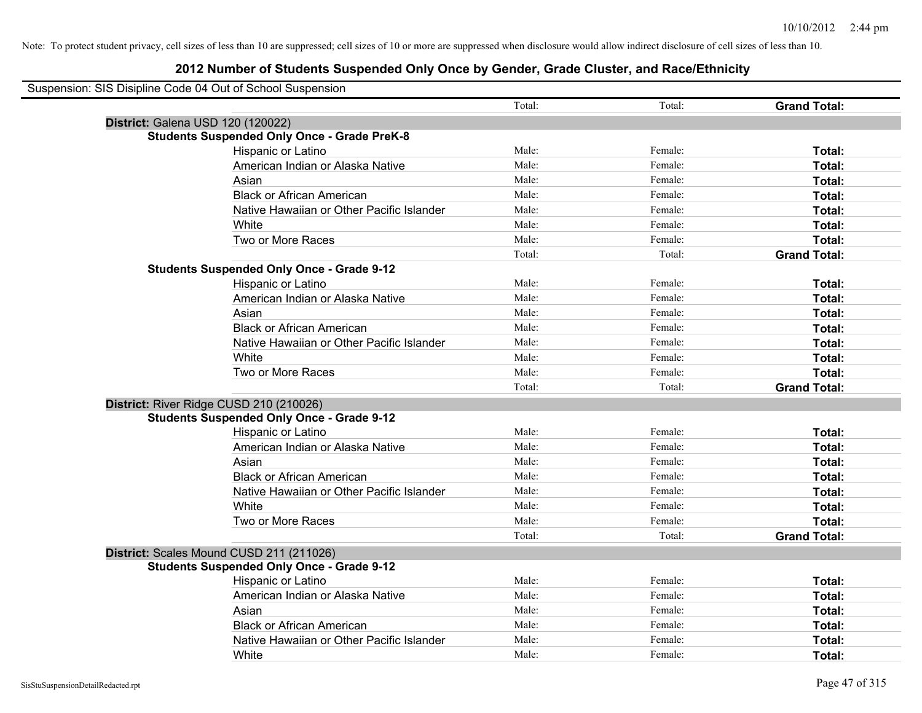| Suspension: SIS Disipline Code 04 Out of School Suspension |                                                    |        |         |                     |
|------------------------------------------------------------|----------------------------------------------------|--------|---------|---------------------|
|                                                            |                                                    | Total: | Total:  | <b>Grand Total:</b> |
|                                                            | District: Galena USD 120 (120022)                  |        |         |                     |
|                                                            | <b>Students Suspended Only Once - Grade PreK-8</b> |        |         |                     |
|                                                            | Hispanic or Latino                                 | Male:  | Female: | Total:              |
|                                                            | American Indian or Alaska Native                   | Male:  | Female: | Total:              |
|                                                            | Asian                                              | Male:  | Female: | <b>Total:</b>       |
|                                                            | <b>Black or African American</b>                   | Male:  | Female: | Total:              |
|                                                            | Native Hawaiian or Other Pacific Islander          | Male:  | Female: | Total:              |
|                                                            | White                                              | Male:  | Female: | Total:              |
|                                                            | Two or More Races                                  | Male:  | Female: | Total:              |
|                                                            |                                                    | Total: | Total:  | <b>Grand Total:</b> |
|                                                            | <b>Students Suspended Only Once - Grade 9-12</b>   |        |         |                     |
|                                                            | Hispanic or Latino                                 | Male:  | Female: | Total:              |
|                                                            | American Indian or Alaska Native                   | Male:  | Female: | Total:              |
|                                                            | Asian                                              | Male:  | Female: | Total:              |
|                                                            | <b>Black or African American</b>                   | Male:  | Female: | Total:              |
|                                                            | Native Hawaiian or Other Pacific Islander          | Male:  | Female: | Total:              |
|                                                            | White                                              | Male:  | Female: | Total:              |
|                                                            | Two or More Races                                  | Male:  | Female: | Total:              |
|                                                            |                                                    | Total: | Total:  | <b>Grand Total:</b> |
|                                                            | District: River Ridge CUSD 210 (210026)            |        |         |                     |
|                                                            | <b>Students Suspended Only Once - Grade 9-12</b>   |        |         |                     |
|                                                            | Hispanic or Latino                                 | Male:  | Female: | Total:              |
|                                                            | American Indian or Alaska Native                   | Male:  | Female: | Total:              |
|                                                            | Asian                                              | Male:  | Female: | Total:              |
|                                                            | <b>Black or African American</b>                   | Male:  | Female: | Total:              |
|                                                            | Native Hawaiian or Other Pacific Islander          | Male:  | Female: | Total:              |
|                                                            | White                                              | Male:  | Female: | Total:              |
|                                                            | Two or More Races                                  | Male:  | Female: | Total:              |
|                                                            |                                                    | Total: | Total:  | <b>Grand Total:</b> |
|                                                            | District: Scales Mound CUSD 211 (211026)           |        |         |                     |
|                                                            | <b>Students Suspended Only Once - Grade 9-12</b>   |        |         |                     |
|                                                            | Hispanic or Latino                                 | Male:  | Female: | Total:              |
|                                                            | American Indian or Alaska Native                   | Male:  | Female: | Total:              |
|                                                            | Asian                                              | Male:  | Female: | Total:              |
|                                                            | <b>Black or African American</b>                   | Male:  | Female: | Total:              |
|                                                            | Native Hawaiian or Other Pacific Islander          | Male:  | Female: | Total:              |
|                                                            | White                                              | Male:  | Female: | Total:              |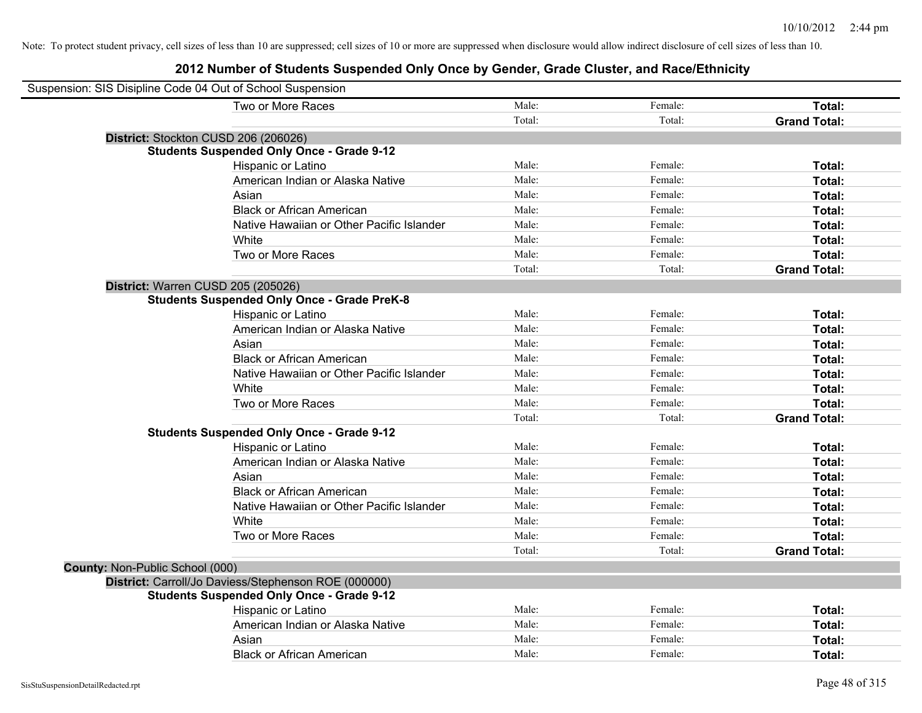| Suspension: SIS Disipline Code 04 Out of School Suspension |                                                      |        |         |                     |
|------------------------------------------------------------|------------------------------------------------------|--------|---------|---------------------|
|                                                            | Two or More Races                                    | Male:  | Female: | Total:              |
|                                                            |                                                      | Total: | Total:  | <b>Grand Total:</b> |
|                                                            | District: Stockton CUSD 206 (206026)                 |        |         |                     |
|                                                            | <b>Students Suspended Only Once - Grade 9-12</b>     |        |         |                     |
|                                                            | Hispanic or Latino                                   | Male:  | Female: | Total:              |
|                                                            | American Indian or Alaska Native                     | Male:  | Female: | Total:              |
|                                                            | Asian                                                | Male:  | Female: | Total:              |
|                                                            | <b>Black or African American</b>                     | Male:  | Female: | Total:              |
|                                                            | Native Hawaiian or Other Pacific Islander            | Male:  | Female: | Total:              |
|                                                            | White                                                | Male:  | Female: | Total:              |
|                                                            | Two or More Races                                    | Male:  | Female: | Total:              |
|                                                            |                                                      | Total: | Total:  | <b>Grand Total:</b> |
| District: Warren CUSD 205 (205026)                         |                                                      |        |         |                     |
|                                                            | <b>Students Suspended Only Once - Grade PreK-8</b>   |        |         |                     |
|                                                            | Hispanic or Latino                                   | Male:  | Female: | Total:              |
|                                                            | American Indian or Alaska Native                     | Male:  | Female: | Total:              |
|                                                            | Asian                                                | Male:  | Female: | Total:              |
|                                                            | <b>Black or African American</b>                     | Male:  | Female: | Total:              |
|                                                            | Native Hawaiian or Other Pacific Islander            | Male:  | Female: | Total:              |
|                                                            | White                                                | Male:  | Female: | Total:              |
|                                                            | Two or More Races                                    | Male:  | Female: | Total:              |
|                                                            |                                                      | Total: | Total:  | <b>Grand Total:</b> |
|                                                            | <b>Students Suspended Only Once - Grade 9-12</b>     |        |         |                     |
|                                                            | Hispanic or Latino                                   | Male:  | Female: | Total:              |
|                                                            | American Indian or Alaska Native                     | Male:  | Female: | Total:              |
|                                                            | Asian                                                | Male:  | Female: | Total:              |
|                                                            | <b>Black or African American</b>                     | Male:  | Female: | Total:              |
|                                                            | Native Hawaiian or Other Pacific Islander            | Male:  | Female: | Total:              |
|                                                            | White                                                | Male:  | Female: | Total:              |
|                                                            | Two or More Races                                    | Male:  | Female: | Total:              |
|                                                            |                                                      | Total: | Total:  | <b>Grand Total:</b> |
| County: Non-Public School (000)                            |                                                      |        |         |                     |
|                                                            | District: Carroll/Jo Daviess/Stephenson ROE (000000) |        |         |                     |
|                                                            | <b>Students Suspended Only Once - Grade 9-12</b>     |        |         |                     |
|                                                            | Hispanic or Latino                                   | Male:  | Female: | Total:              |
|                                                            | American Indian or Alaska Native                     | Male:  | Female: | Total:              |
|                                                            | Asian                                                | Male:  | Female: | Total:              |
|                                                            | <b>Black or African American</b>                     | Male:  | Female: | Total:              |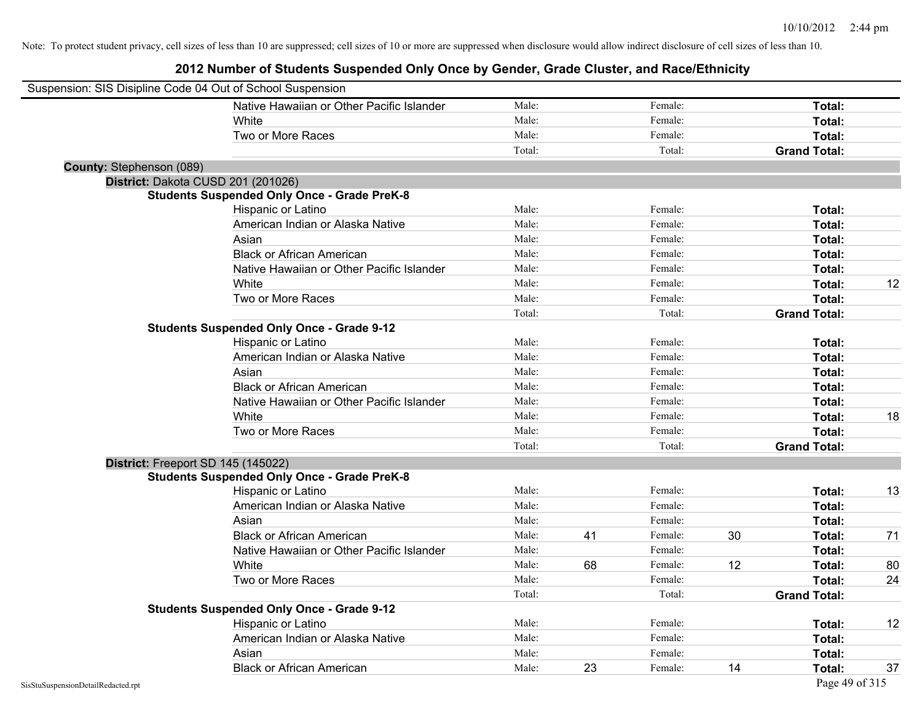| Suspension: SIS Disipline Code 04 Out of School Suspension |                                                    |        |    |         |    |                     |    |
|------------------------------------------------------------|----------------------------------------------------|--------|----|---------|----|---------------------|----|
|                                                            | Native Hawaiian or Other Pacific Islander          | Male:  |    | Female: |    | Total:              |    |
|                                                            | White                                              | Male:  |    | Female: |    | Total:              |    |
|                                                            | Two or More Races                                  | Male:  |    | Female: |    | Total:              |    |
|                                                            |                                                    | Total: |    | Total:  |    | <b>Grand Total:</b> |    |
| <b>County: Stephenson (089)</b>                            |                                                    |        |    |         |    |                     |    |
| District: Dakota CUSD 201 (201026)                         |                                                    |        |    |         |    |                     |    |
|                                                            | <b>Students Suspended Only Once - Grade PreK-8</b> |        |    |         |    |                     |    |
|                                                            | Hispanic or Latino                                 | Male:  |    | Female: |    | Total:              |    |
|                                                            | American Indian or Alaska Native                   | Male:  |    | Female: |    | Total:              |    |
|                                                            | Asian                                              | Male:  |    | Female: |    | Total:              |    |
|                                                            | <b>Black or African American</b>                   | Male:  |    | Female: |    | Total:              |    |
|                                                            | Native Hawaiian or Other Pacific Islander          | Male:  |    | Female: |    | Total:              |    |
|                                                            | White                                              | Male:  |    | Female: |    | Total:              | 12 |
|                                                            | Two or More Races                                  | Male:  |    | Female: |    | Total:              |    |
|                                                            |                                                    | Total: |    | Total:  |    | <b>Grand Total:</b> |    |
|                                                            | <b>Students Suspended Only Once - Grade 9-12</b>   |        |    |         |    |                     |    |
|                                                            | Hispanic or Latino                                 | Male:  |    | Female: |    | Total:              |    |
|                                                            | American Indian or Alaska Native                   | Male:  |    | Female: |    | Total:              |    |
|                                                            | Asian                                              | Male:  |    | Female: |    | Total:              |    |
|                                                            | <b>Black or African American</b>                   | Male:  |    | Female: |    | Total:              |    |
|                                                            | Native Hawaiian or Other Pacific Islander          | Male:  |    | Female: |    | Total:              |    |
|                                                            | White                                              | Male:  |    | Female: |    | Total:              | 18 |
|                                                            | Two or More Races                                  | Male:  |    | Female: |    | Total:              |    |
|                                                            |                                                    | Total: |    | Total:  |    | <b>Grand Total:</b> |    |
| District: Freeport SD 145 (145022)                         |                                                    |        |    |         |    |                     |    |
|                                                            | <b>Students Suspended Only Once - Grade PreK-8</b> |        |    |         |    |                     |    |
|                                                            | Hispanic or Latino                                 | Male:  |    | Female: |    | Total:              | 13 |
|                                                            | American Indian or Alaska Native                   | Male:  |    | Female: |    | Total:              |    |
|                                                            | Asian                                              | Male:  |    | Female: |    | Total:              |    |
|                                                            | <b>Black or African American</b>                   | Male:  | 41 | Female: | 30 | Total:              | 71 |
|                                                            | Native Hawaiian or Other Pacific Islander          | Male:  |    | Female: |    | Total:              |    |
|                                                            | <b>White</b>                                       | Male:  | 68 | Female: | 12 | Total:              | 80 |
|                                                            | Two or More Races                                  | Male:  |    | Female: |    | Total:              | 24 |
|                                                            |                                                    | Total: |    | Total:  |    | <b>Grand Total:</b> |    |
|                                                            | <b>Students Suspended Only Once - Grade 9-12</b>   |        |    |         |    |                     |    |
|                                                            | Hispanic or Latino                                 | Male:  |    | Female: |    | Total:              | 12 |
|                                                            | American Indian or Alaska Native                   | Male:  |    | Female: |    | Total:              |    |
|                                                            | Asian                                              | Male:  |    | Female: |    | Total:              |    |
|                                                            | <b>Black or African American</b>                   | Male:  | 23 | Female: | 14 | Total:              | 37 |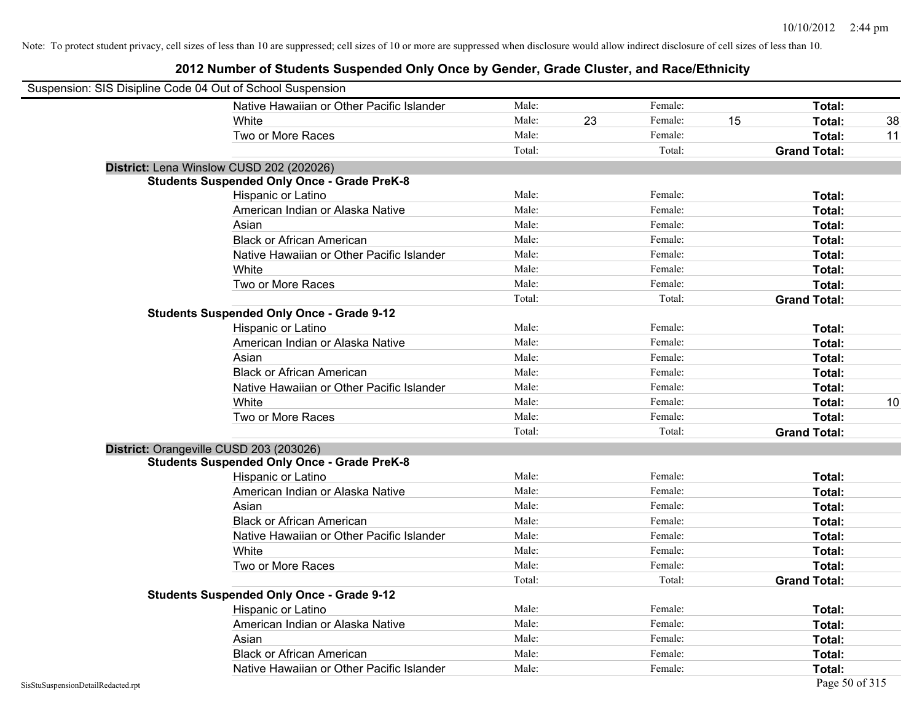| Suspension: SIS Disipline Code 04 Out of School Suspension |                                                    |        |    |         |    |                     |    |
|------------------------------------------------------------|----------------------------------------------------|--------|----|---------|----|---------------------|----|
|                                                            | Native Hawaiian or Other Pacific Islander          | Male:  |    | Female: |    | Total:              |    |
|                                                            | White                                              | Male:  | 23 | Female: | 15 | Total:              | 38 |
|                                                            | Two or More Races                                  | Male:  |    | Female: |    | Total:              | 11 |
|                                                            |                                                    | Total: |    | Total:  |    | <b>Grand Total:</b> |    |
|                                                            | District: Lena Winslow CUSD 202 (202026)           |        |    |         |    |                     |    |
|                                                            | <b>Students Suspended Only Once - Grade PreK-8</b> |        |    |         |    |                     |    |
|                                                            | Hispanic or Latino                                 | Male:  |    | Female: |    | Total:              |    |
|                                                            | American Indian or Alaska Native                   | Male:  |    | Female: |    | Total:              |    |
|                                                            | Asian                                              | Male:  |    | Female: |    | Total:              |    |
|                                                            | <b>Black or African American</b>                   | Male:  |    | Female: |    | Total:              |    |
|                                                            | Native Hawaiian or Other Pacific Islander          | Male:  |    | Female: |    | Total:              |    |
|                                                            | White                                              | Male:  |    | Female: |    | Total:              |    |
|                                                            | Two or More Races                                  | Male:  |    | Female: |    | Total:              |    |
|                                                            |                                                    | Total: |    | Total:  |    | <b>Grand Total:</b> |    |
|                                                            | <b>Students Suspended Only Once - Grade 9-12</b>   |        |    |         |    |                     |    |
|                                                            | Hispanic or Latino                                 | Male:  |    | Female: |    | Total:              |    |
|                                                            | American Indian or Alaska Native                   | Male:  |    | Female: |    | Total:              |    |
|                                                            | Asian                                              | Male:  |    | Female: |    | Total:              |    |
|                                                            | <b>Black or African American</b>                   | Male:  |    | Female: |    | Total:              |    |
|                                                            | Native Hawaiian or Other Pacific Islander          | Male:  |    | Female: |    | Total:              |    |
|                                                            | White                                              | Male:  |    | Female: |    | Total:              | 10 |
|                                                            | Two or More Races                                  | Male:  |    | Female: |    | Total:              |    |
|                                                            |                                                    | Total: |    | Total:  |    | <b>Grand Total:</b> |    |
| District: Orangeville CUSD 203 (203026)                    |                                                    |        |    |         |    |                     |    |
|                                                            | <b>Students Suspended Only Once - Grade PreK-8</b> |        |    |         |    |                     |    |
|                                                            | Hispanic or Latino                                 | Male:  |    | Female: |    | Total:              |    |
|                                                            | American Indian or Alaska Native                   | Male:  |    | Female: |    | Total:              |    |
|                                                            | Asian                                              | Male:  |    | Female: |    | Total:              |    |
|                                                            | <b>Black or African American</b>                   | Male:  |    | Female: |    | Total:              |    |
|                                                            | Native Hawaiian or Other Pacific Islander          | Male:  |    | Female: |    | Total:              |    |
|                                                            | White                                              | Male:  |    | Female: |    | Total:              |    |
|                                                            | Two or More Races                                  | Male:  |    | Female: |    | Total:              |    |
|                                                            |                                                    | Total: |    | Total:  |    | <b>Grand Total:</b> |    |
|                                                            | <b>Students Suspended Only Once - Grade 9-12</b>   |        |    |         |    |                     |    |
|                                                            | Hispanic or Latino                                 | Male:  |    | Female: |    | Total:              |    |
|                                                            | American Indian or Alaska Native                   | Male:  |    | Female: |    | Total:              |    |
|                                                            | Asian                                              | Male:  |    | Female: |    | Total:              |    |
|                                                            | <b>Black or African American</b>                   | Male:  |    | Female: |    | Total:              |    |
|                                                            | Native Hawaiian or Other Pacific Islander          | Male:  |    | Female: |    | Total:              |    |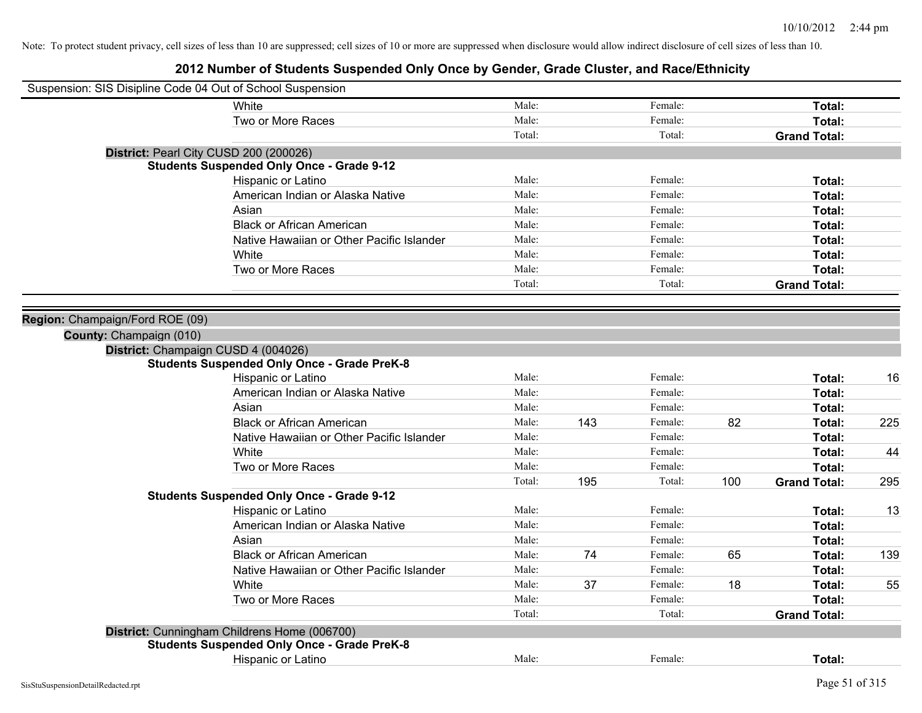| Suspension: SIS Disipline Code 04 Out of School Suspension |        |     |         |     |                     |     |
|------------------------------------------------------------|--------|-----|---------|-----|---------------------|-----|
| White                                                      | Male:  |     | Female: |     | Total:              |     |
| Two or More Races                                          | Male:  |     | Female: |     | Total:              |     |
|                                                            | Total: |     | Total:  |     | <b>Grand Total:</b> |     |
| District: Pearl City CUSD 200 (200026)                     |        |     |         |     |                     |     |
| <b>Students Suspended Only Once - Grade 9-12</b>           |        |     |         |     |                     |     |
| Hispanic or Latino                                         | Male:  |     | Female: |     | Total:              |     |
| American Indian or Alaska Native                           | Male:  |     | Female: |     | Total:              |     |
| Asian                                                      | Male:  |     | Female: |     | Total:              |     |
| <b>Black or African American</b>                           | Male:  |     | Female: |     | Total:              |     |
| Native Hawaiian or Other Pacific Islander                  | Male:  |     | Female: |     | Total:              |     |
| White                                                      | Male:  |     | Female: |     | Total:              |     |
| Two or More Races                                          | Male:  |     | Female: |     | Total:              |     |
|                                                            | Total: |     | Total:  |     | <b>Grand Total:</b> |     |
|                                                            |        |     |         |     |                     |     |
| Region: Champaign/Ford ROE (09)                            |        |     |         |     |                     |     |
| County: Champaign (010)                                    |        |     |         |     |                     |     |
| District: Champaign CUSD 4 (004026)                        |        |     |         |     |                     |     |
| <b>Students Suspended Only Once - Grade PreK-8</b>         |        |     |         |     |                     |     |
| Hispanic or Latino                                         | Male:  |     | Female: |     | Total:              | 16  |
| American Indian or Alaska Native                           | Male:  |     | Female: |     | Total:              |     |
| Asian                                                      | Male:  |     | Female: |     | Total:              |     |
| <b>Black or African American</b>                           | Male:  | 143 | Female: | 82  | Total:              | 225 |
| Native Hawaiian or Other Pacific Islander                  | Male:  |     | Female: |     | Total:              |     |
| White                                                      | Male:  |     | Female: |     | Total:              | 44  |
| Two or More Races                                          | Male:  |     | Female: |     | Total:              |     |
|                                                            | Total: | 195 | Total:  | 100 | <b>Grand Total:</b> | 295 |
| <b>Students Suspended Only Once - Grade 9-12</b>           |        |     |         |     |                     |     |
| Hispanic or Latino                                         | Male:  |     | Female: |     | Total:              | 13  |
| American Indian or Alaska Native                           | Male:  |     | Female: |     | Total:              |     |
| Asian                                                      | Male:  |     | Female: |     | Total:              |     |
| <b>Black or African American</b>                           | Male:  | 74  | Female: | 65  | Total:              | 139 |
| Native Hawaiian or Other Pacific Islander                  | Male:  |     | Female: |     | Total:              |     |
| White                                                      | Male:  | 37  | Female: | 18  | Total:              | 55  |
| Two or More Races                                          | Male:  |     | Female: |     | Total:              |     |
|                                                            | Total: |     | Total:  |     | <b>Grand Total:</b> |     |
| District: Cunningham Childrens Home (006700)               |        |     |         |     |                     |     |
| <b>Students Suspended Only Once - Grade PreK-8</b>         |        |     |         |     |                     |     |
| <b>Hispanic or Latino</b>                                  | Male:  |     | Female: |     | Total:              |     |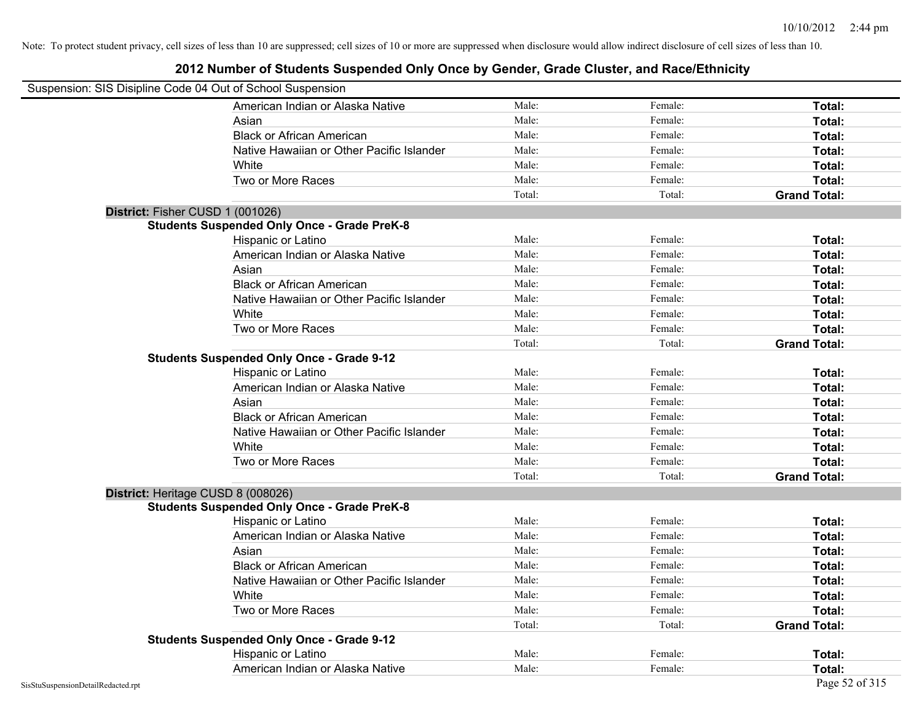| Suspension: SIS Disipline Code 04 Out of School Suspension |                                                    |        |         |                     |
|------------------------------------------------------------|----------------------------------------------------|--------|---------|---------------------|
|                                                            | American Indian or Alaska Native                   | Male:  | Female: | Total:              |
|                                                            | Asian                                              | Male:  | Female: | Total:              |
|                                                            | <b>Black or African American</b>                   | Male:  | Female: | Total:              |
|                                                            | Native Hawaiian or Other Pacific Islander          | Male:  | Female: | Total:              |
|                                                            | White                                              | Male:  | Female: | Total:              |
|                                                            | Two or More Races                                  | Male:  | Female: | Total:              |
|                                                            |                                                    | Total: | Total:  | <b>Grand Total:</b> |
| District: Fisher CUSD 1 (001026)                           |                                                    |        |         |                     |
|                                                            | <b>Students Suspended Only Once - Grade PreK-8</b> |        |         |                     |
|                                                            | Hispanic or Latino                                 | Male:  | Female: | Total:              |
|                                                            | American Indian or Alaska Native                   | Male:  | Female: | Total:              |
|                                                            | Asian                                              | Male:  | Female: | Total:              |
|                                                            | <b>Black or African American</b>                   | Male:  | Female: | Total:              |
|                                                            | Native Hawaiian or Other Pacific Islander          | Male:  | Female: | Total:              |
|                                                            | White                                              | Male:  | Female: | Total:              |
|                                                            | Two or More Races                                  | Male:  | Female: | Total:              |
|                                                            |                                                    | Total: | Total:  | <b>Grand Total:</b> |
|                                                            | <b>Students Suspended Only Once - Grade 9-12</b>   |        |         |                     |
|                                                            | Hispanic or Latino                                 | Male:  | Female: | Total:              |
|                                                            | American Indian or Alaska Native                   | Male:  | Female: | Total:              |
|                                                            | Asian                                              | Male:  | Female: | Total:              |
|                                                            | <b>Black or African American</b>                   | Male:  | Female: | Total:              |
|                                                            | Native Hawaiian or Other Pacific Islander          | Male:  | Female: | Total:              |
|                                                            | White                                              | Male:  | Female: | Total:              |
|                                                            | Two or More Races                                  | Male:  | Female: | Total:              |
|                                                            |                                                    | Total: | Total:  | <b>Grand Total:</b> |
| District: Heritage CUSD 8 (008026)                         |                                                    |        |         |                     |
|                                                            | <b>Students Suspended Only Once - Grade PreK-8</b> |        |         |                     |
|                                                            | Hispanic or Latino                                 | Male:  | Female: | Total:              |
|                                                            | American Indian or Alaska Native                   | Male:  | Female: | Total:              |
|                                                            | Asian                                              | Male:  | Female: | Total:              |
|                                                            | <b>Black or African American</b>                   | Male:  | Female: | Total:              |
|                                                            | Native Hawaiian or Other Pacific Islander          | Male:  | Female: | Total:              |
|                                                            | White                                              | Male:  | Female: | Total:              |
|                                                            | Two or More Races                                  | Male:  | Female: | Total:              |
|                                                            |                                                    | Total: | Total:  | <b>Grand Total:</b> |
|                                                            | <b>Students Suspended Only Once - Grade 9-12</b>   |        |         |                     |
|                                                            | Hispanic or Latino                                 | Male:  | Female: | Total:              |
|                                                            | American Indian or Alaska Native                   | Male:  | Female: | Total:              |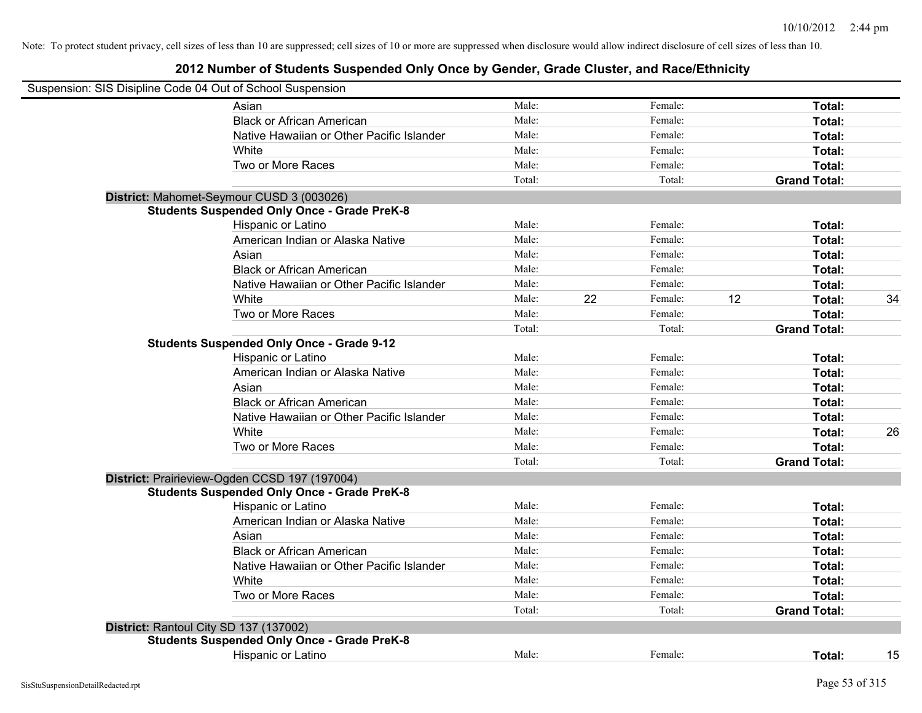|                                        | Suspension: SIS Disipline Code 04 Out of School Suspension |        |    |         |    |                     |    |
|----------------------------------------|------------------------------------------------------------|--------|----|---------|----|---------------------|----|
|                                        | Asian                                                      | Male:  |    | Female: |    | Total:              |    |
|                                        | <b>Black or African American</b>                           | Male:  |    | Female: |    | Total:              |    |
|                                        | Native Hawaiian or Other Pacific Islander                  | Male:  |    | Female: |    | Total:              |    |
|                                        | White                                                      | Male:  |    | Female: |    | Total:              |    |
|                                        | Two or More Races                                          | Male:  |    | Female: |    | Total:              |    |
|                                        |                                                            | Total: |    | Total:  |    | <b>Grand Total:</b> |    |
|                                        | District: Mahomet-Seymour CUSD 3 (003026)                  |        |    |         |    |                     |    |
|                                        | <b>Students Suspended Only Once - Grade PreK-8</b>         |        |    |         |    |                     |    |
|                                        | Hispanic or Latino                                         | Male:  |    | Female: |    | Total:              |    |
|                                        | American Indian or Alaska Native                           | Male:  |    | Female: |    | Total:              |    |
|                                        | Asian                                                      | Male:  |    | Female: |    | Total:              |    |
|                                        | <b>Black or African American</b>                           | Male:  |    | Female: |    | Total:              |    |
|                                        | Native Hawaiian or Other Pacific Islander                  | Male:  |    | Female: |    | Total:              |    |
|                                        | White                                                      | Male:  | 22 | Female: | 12 | Total:              | 34 |
|                                        | Two or More Races                                          | Male:  |    | Female: |    | Total:              |    |
|                                        |                                                            | Total: |    | Total:  |    | <b>Grand Total:</b> |    |
|                                        | <b>Students Suspended Only Once - Grade 9-12</b>           |        |    |         |    |                     |    |
|                                        | Hispanic or Latino                                         | Male:  |    | Female: |    | Total:              |    |
|                                        | American Indian or Alaska Native                           | Male:  |    | Female: |    | Total:              |    |
|                                        | Asian                                                      | Male:  |    | Female: |    | Total:              |    |
|                                        | <b>Black or African American</b>                           | Male:  |    | Female: |    | Total:              |    |
|                                        | Native Hawaiian or Other Pacific Islander                  | Male:  |    | Female: |    | Total:              |    |
|                                        | White                                                      | Male:  |    | Female: |    | Total:              | 26 |
|                                        | Two or More Races                                          | Male:  |    | Female: |    | Total:              |    |
|                                        |                                                            | Total: |    | Total:  |    | <b>Grand Total:</b> |    |
|                                        | District: Prairieview-Ogden CCSD 197 (197004)              |        |    |         |    |                     |    |
|                                        | <b>Students Suspended Only Once - Grade PreK-8</b>         |        |    |         |    |                     |    |
|                                        | Hispanic or Latino                                         | Male:  |    | Female: |    | Total:              |    |
|                                        | American Indian or Alaska Native                           | Male:  |    | Female: |    | Total:              |    |
|                                        | Asian                                                      | Male:  |    | Female: |    | Total:              |    |
|                                        | <b>Black or African American</b>                           | Male:  |    | Female: |    | Total:              |    |
|                                        | Native Hawaiian or Other Pacific Islander                  | Male:  |    | Female: |    | Total:              |    |
|                                        | White                                                      | Male:  |    | Female: |    | Total:              |    |
|                                        | Two or More Races                                          | Male:  |    | Female: |    | Total:              |    |
|                                        |                                                            | Total: |    | Total:  |    | <b>Grand Total:</b> |    |
| District: Rantoul City SD 137 (137002) |                                                            |        |    |         |    |                     |    |
|                                        | <b>Students Suspended Only Once - Grade PreK-8</b>         |        |    |         |    |                     |    |
|                                        | <b>Hispanic or Latino</b>                                  | Male:  |    | Female: |    | Total:              | 15 |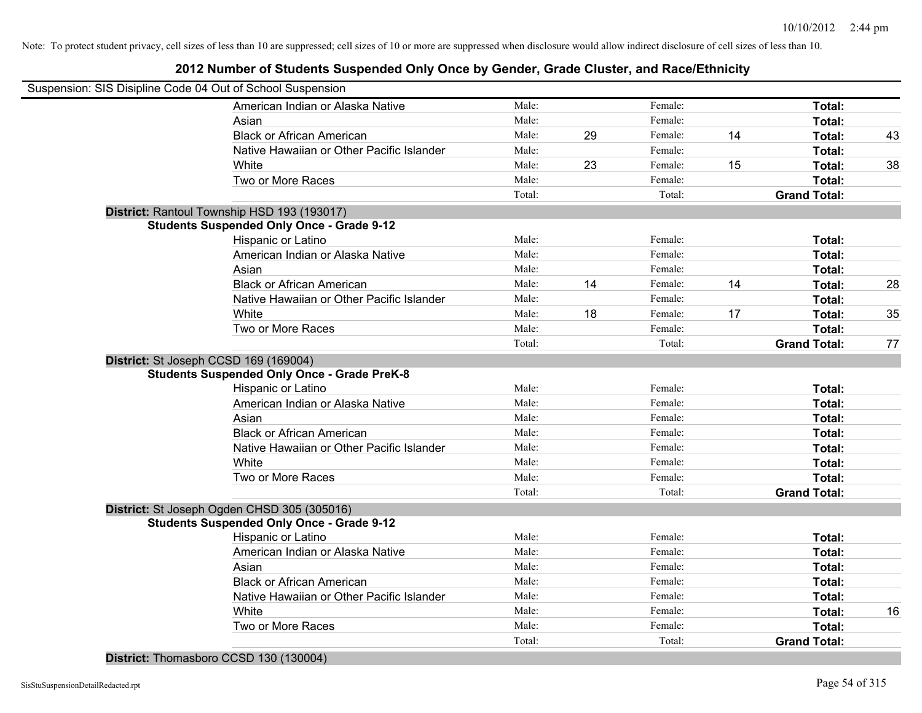### **2012 Number of Students Suspended Only Once by Gender, Grade Cluster, and Race/Ethnicity**

| Suspension: SIS Disipline Code 04 Out of School Suspension |        |    |         |    |                     |    |
|------------------------------------------------------------|--------|----|---------|----|---------------------|----|
| American Indian or Alaska Native                           | Male:  |    | Female: |    | Total:              |    |
| Asian                                                      | Male:  |    | Female: |    | Total:              |    |
| <b>Black or African American</b>                           | Male:  | 29 | Female: | 14 | Total:              | 43 |
| Native Hawaiian or Other Pacific Islander                  | Male:  |    | Female: |    | Total:              |    |
| White                                                      | Male:  | 23 | Female: | 15 | Total:              | 38 |
| Two or More Races                                          | Male:  |    | Female: |    | Total:              |    |
|                                                            | Total: |    | Total:  |    | <b>Grand Total:</b> |    |
| District: Rantoul Township HSD 193 (193017)                |        |    |         |    |                     |    |
| <b>Students Suspended Only Once - Grade 9-12</b>           |        |    |         |    |                     |    |
| Hispanic or Latino                                         | Male:  |    | Female: |    | Total:              |    |
| American Indian or Alaska Native                           | Male:  |    | Female: |    | Total:              |    |
| Asian                                                      | Male:  |    | Female: |    | Total:              |    |
| <b>Black or African American</b>                           | Male:  | 14 | Female: | 14 | Total:              | 28 |
| Native Hawaiian or Other Pacific Islander                  | Male:  |    | Female: |    | Total:              |    |
| White                                                      | Male:  | 18 | Female: | 17 | Total:              | 35 |
| Two or More Races                                          | Male:  |    | Female: |    | Total:              |    |
|                                                            | Total: |    | Total:  |    | <b>Grand Total:</b> | 77 |
| District: St Joseph CCSD 169 (169004)                      |        |    |         |    |                     |    |
| <b>Students Suspended Only Once - Grade PreK-8</b>         |        |    |         |    |                     |    |
| Hispanic or Latino                                         | Male:  |    | Female: |    | Total:              |    |
| American Indian or Alaska Native                           | Male:  |    | Female: |    | Total:              |    |
| Asian                                                      | Male:  |    | Female: |    | Total:              |    |
| <b>Black or African American</b>                           | Male:  |    | Female: |    | Total:              |    |
| Native Hawaiian or Other Pacific Islander                  | Male:  |    | Female: |    | Total:              |    |
| White                                                      | Male:  |    | Female: |    | Total:              |    |
| Two or More Races                                          | Male:  |    | Female: |    | Total:              |    |
|                                                            | Total: |    | Total:  |    | <b>Grand Total:</b> |    |
| District: St Joseph Ogden CHSD 305 (305016)                |        |    |         |    |                     |    |
| <b>Students Suspended Only Once - Grade 9-12</b>           |        |    |         |    |                     |    |
| Hispanic or Latino                                         | Male:  |    | Female: |    | Total:              |    |
| American Indian or Alaska Native                           | Male:  |    | Female: |    | Total:              |    |
| Asian                                                      | Male:  |    | Female: |    | Total:              |    |
| <b>Black or African American</b>                           | Male:  |    | Female: |    | Total:              |    |
| Native Hawaiian or Other Pacific Islander                  | Male:  |    | Female: |    | Total:              |    |
| White                                                      | Male:  |    | Female: |    | Total:              | 16 |
| Two or More Races                                          | Male:  |    | Female: |    | Total:              |    |
|                                                            | Total: |    | Total:  |    | <b>Grand Total:</b> |    |
|                                                            |        |    |         |    |                     |    |

**District:** Thomasboro CCSD 130 (130004)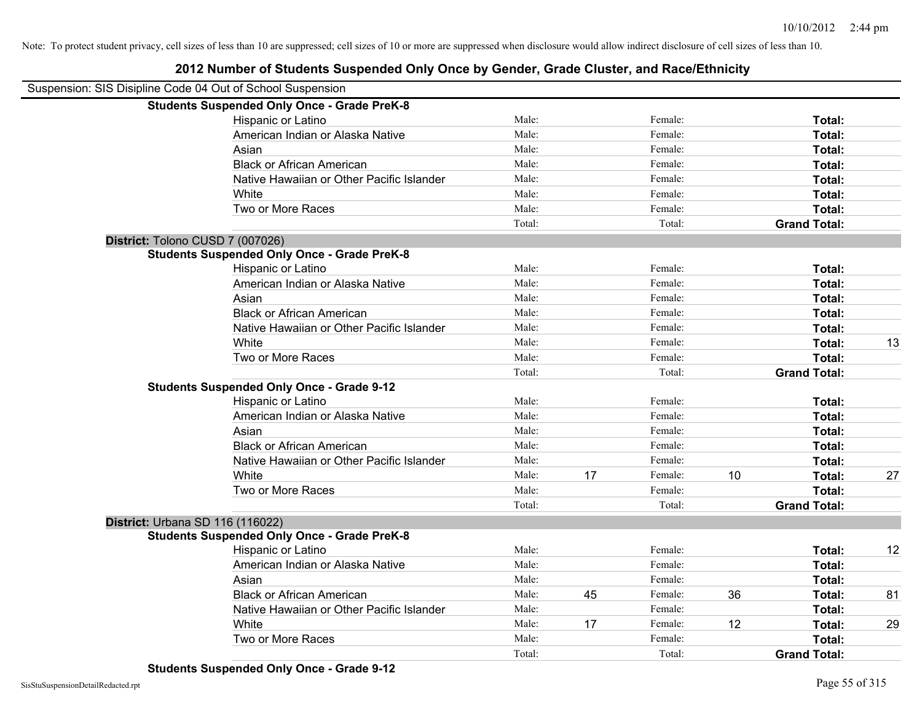### **2012 Number of Students Suspended Only Once by Gender, Grade Cluster, and Race/Ethnicity**

| Suspension: SIS Disipline Code 04 Out of School Suspension |                                                    |        |    |         |    |                     |    |
|------------------------------------------------------------|----------------------------------------------------|--------|----|---------|----|---------------------|----|
|                                                            | <b>Students Suspended Only Once - Grade PreK-8</b> |        |    |         |    |                     |    |
|                                                            | Hispanic or Latino                                 | Male:  |    | Female: |    | Total:              |    |
|                                                            | American Indian or Alaska Native                   | Male:  |    | Female: |    | Total:              |    |
|                                                            | Asian                                              | Male:  |    | Female: |    | Total:              |    |
|                                                            | <b>Black or African American</b>                   | Male:  |    | Female: |    | Total:              |    |
|                                                            | Native Hawaiian or Other Pacific Islander          | Male:  |    | Female: |    | Total:              |    |
|                                                            | White                                              | Male:  |    | Female: |    | Total:              |    |
|                                                            | Two or More Races                                  | Male:  |    | Female: |    | Total:              |    |
|                                                            |                                                    | Total: |    | Total:  |    | <b>Grand Total:</b> |    |
| District: Tolono CUSD 7 (007026)                           |                                                    |        |    |         |    |                     |    |
|                                                            | <b>Students Suspended Only Once - Grade PreK-8</b> |        |    |         |    |                     |    |
|                                                            | Hispanic or Latino                                 | Male:  |    | Female: |    | Total:              |    |
|                                                            | American Indian or Alaska Native                   | Male:  |    | Female: |    | Total:              |    |
|                                                            | Asian                                              | Male:  |    | Female: |    | Total:              |    |
|                                                            | <b>Black or African American</b>                   | Male:  |    | Female: |    | Total:              |    |
|                                                            | Native Hawaiian or Other Pacific Islander          | Male:  |    | Female: |    | Total:              |    |
|                                                            | White                                              | Male:  |    | Female: |    | Total:              | 13 |
|                                                            | Two or More Races                                  | Male:  |    | Female: |    | Total:              |    |
|                                                            |                                                    | Total: |    | Total:  |    | <b>Grand Total:</b> |    |
|                                                            | <b>Students Suspended Only Once - Grade 9-12</b>   |        |    |         |    |                     |    |
|                                                            | Hispanic or Latino                                 | Male:  |    | Female: |    | Total:              |    |
|                                                            | American Indian or Alaska Native                   | Male:  |    | Female: |    | Total:              |    |
|                                                            | Asian                                              | Male:  |    | Female: |    | Total:              |    |
|                                                            | <b>Black or African American</b>                   | Male:  |    | Female: |    | Total:              |    |
|                                                            | Native Hawaiian or Other Pacific Islander          | Male:  |    | Female: |    | Total:              |    |
|                                                            | White                                              | Male:  | 17 | Female: | 10 | Total:              | 27 |
|                                                            | Two or More Races                                  | Male:  |    | Female: |    | Total:              |    |
|                                                            |                                                    | Total: |    | Total:  |    | <b>Grand Total:</b> |    |
| <b>District: Urbana SD 116 (116022)</b>                    |                                                    |        |    |         |    |                     |    |
|                                                            | <b>Students Suspended Only Once - Grade PreK-8</b> |        |    |         |    |                     |    |
|                                                            | Hispanic or Latino                                 | Male:  |    | Female: |    | Total:              | 12 |
|                                                            | American Indian or Alaska Native                   | Male:  |    | Female: |    | Total:              |    |
|                                                            | Asian                                              | Male:  |    | Female: |    | Total:              |    |
|                                                            | <b>Black or African American</b>                   | Male:  | 45 | Female: | 36 | Total:              | 81 |
|                                                            | Native Hawaiian or Other Pacific Islander          | Male:  |    | Female: |    | Total:              |    |
|                                                            | White                                              | Male:  | 17 | Female: | 12 | Total:              | 29 |
|                                                            | Two or More Races                                  | Male:  |    | Female: |    | <b>Total:</b>       |    |
|                                                            |                                                    | Total: |    | Total:  |    | <b>Grand Total:</b> |    |

**Students Suspended Only Once - Grade 9-12**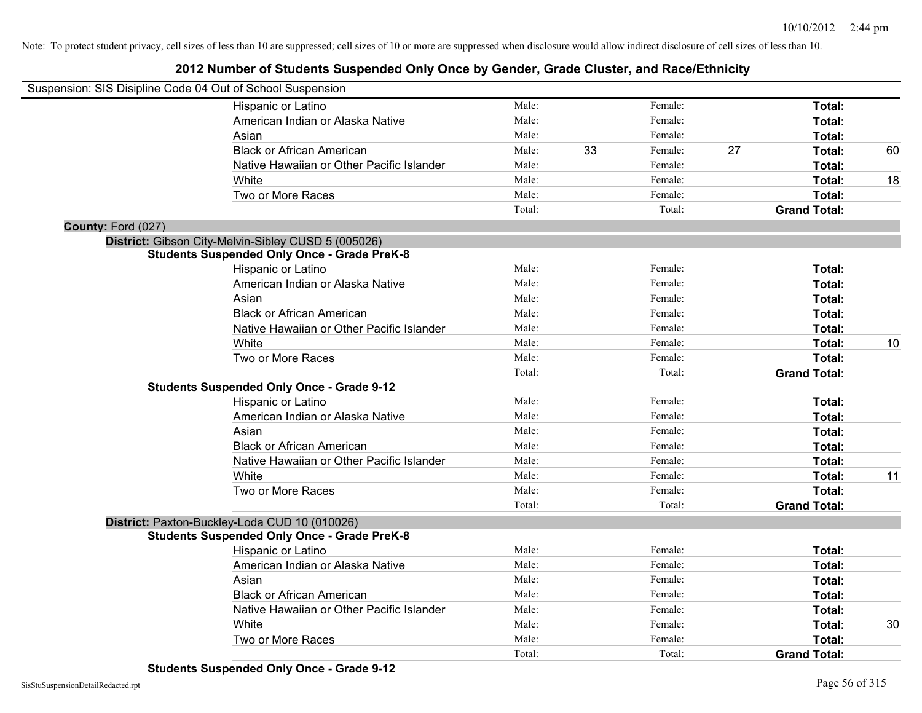|                    | Suspension: SIS Disipline Code 04 Out of School Suspension |        |    |         |    |                     |    |
|--------------------|------------------------------------------------------------|--------|----|---------|----|---------------------|----|
|                    | Hispanic or Latino                                         | Male:  |    | Female: |    | Total:              |    |
|                    | American Indian or Alaska Native                           | Male:  |    | Female: |    | Total:              |    |
|                    | Asian                                                      | Male:  |    | Female: |    | Total:              |    |
|                    | <b>Black or African American</b>                           | Male:  | 33 | Female: | 27 | Total:              | 60 |
|                    | Native Hawaiian or Other Pacific Islander                  | Male:  |    | Female: |    | Total:              |    |
|                    | White                                                      | Male:  |    | Female: |    | <b>Total:</b>       | 18 |
|                    | Two or More Races                                          | Male:  |    | Female: |    | Total:              |    |
|                    |                                                            | Total: |    | Total:  |    | <b>Grand Total:</b> |    |
| County: Ford (027) |                                                            |        |    |         |    |                     |    |
|                    | District: Gibson City-Melvin-Sibley CUSD 5 (005026)        |        |    |         |    |                     |    |
|                    | <b>Students Suspended Only Once - Grade PreK-8</b>         |        |    |         |    |                     |    |
|                    | Hispanic or Latino                                         | Male:  |    | Female: |    | Total:              |    |
|                    | American Indian or Alaska Native                           | Male:  |    | Female: |    | Total:              |    |
|                    | Asian                                                      | Male:  |    | Female: |    | Total:              |    |
|                    | <b>Black or African American</b>                           | Male:  |    | Female: |    | Total:              |    |
|                    | Native Hawaiian or Other Pacific Islander                  | Male:  |    | Female: |    | Total:              |    |
|                    | White                                                      | Male:  |    | Female: |    | <b>Total:</b>       | 10 |
|                    | Two or More Races                                          | Male:  |    | Female: |    | Total:              |    |
|                    |                                                            | Total: |    | Total:  |    | <b>Grand Total:</b> |    |
|                    | <b>Students Suspended Only Once - Grade 9-12</b>           |        |    |         |    |                     |    |
|                    | Hispanic or Latino                                         | Male:  |    | Female: |    | Total:              |    |
|                    | American Indian or Alaska Native                           | Male:  |    | Female: |    | Total:              |    |
|                    | Asian                                                      | Male:  |    | Female: |    | Total:              |    |
|                    | <b>Black or African American</b>                           | Male:  |    | Female: |    | Total:              |    |
|                    | Native Hawaiian or Other Pacific Islander                  | Male:  |    | Female: |    | Total:              |    |
|                    | White                                                      | Male:  |    | Female: |    | Total:              | 11 |
|                    | Two or More Races                                          | Male:  |    | Female: |    | Total:              |    |
|                    |                                                            | Total: |    | Total:  |    | <b>Grand Total:</b> |    |
|                    | District: Paxton-Buckley-Loda CUD 10 (010026)              |        |    |         |    |                     |    |
|                    | <b>Students Suspended Only Once - Grade PreK-8</b>         |        |    |         |    |                     |    |
|                    | Hispanic or Latino                                         | Male:  |    | Female: |    | Total:              |    |
|                    | American Indian or Alaska Native                           | Male:  |    | Female: |    | Total:              |    |
|                    | Asian                                                      | Male:  |    | Female: |    | Total:              |    |
|                    | <b>Black or African American</b>                           | Male:  |    | Female: |    | Total:              |    |
|                    | Native Hawaiian or Other Pacific Islander                  | Male:  |    | Female: |    | Total:              |    |
|                    | White                                                      | Male:  |    | Female: |    | Total:              | 30 |
|                    | Two or More Races                                          | Male:  |    | Female: |    | Total:              |    |
|                    |                                                            | Total: |    | Total:  |    | <b>Grand Total:</b> |    |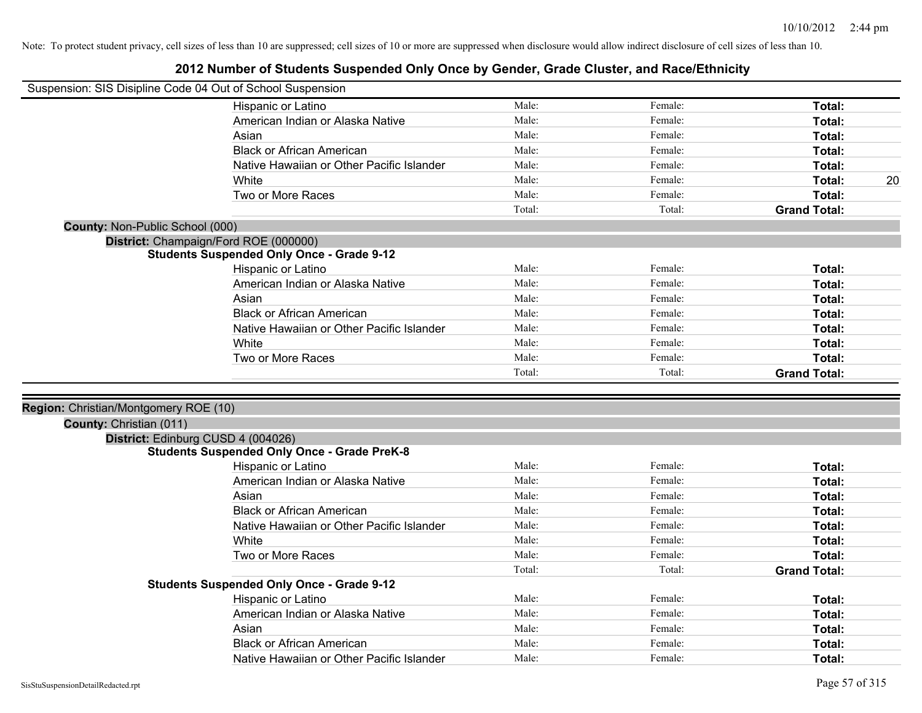| Suspension: SIS Disipline Code 04 Out of School Suspension |                                                                                          |                |         |                         |    |
|------------------------------------------------------------|------------------------------------------------------------------------------------------|----------------|---------|-------------------------|----|
|                                                            | Hispanic or Latino                                                                       | Male:          | Female: | Total:                  |    |
|                                                            | American Indian or Alaska Native                                                         | Male:          | Female: | Total:                  |    |
|                                                            | Asian                                                                                    | Male:          | Female: | Total:                  |    |
|                                                            | <b>Black or African American</b>                                                         | Male:          | Female: | Total:                  |    |
|                                                            | Native Hawaiian or Other Pacific Islander                                                | Male:          | Female: | Total:                  |    |
|                                                            | White                                                                                    | Male:          | Female: | Total:                  | 20 |
|                                                            | Two or More Races                                                                        | Male:          | Female: | Total:                  |    |
|                                                            |                                                                                          | Total:         | Total:  | <b>Grand Total:</b>     |    |
| County: Non-Public School (000)                            |                                                                                          |                |         |                         |    |
|                                                            | District: Champaign/Ford ROE (000000)                                                    |                |         |                         |    |
|                                                            | <b>Students Suspended Only Once - Grade 9-12</b>                                         |                |         |                         |    |
|                                                            | Hispanic or Latino                                                                       | Male:          | Female: | Total:                  |    |
|                                                            | American Indian or Alaska Native                                                         | Male:          | Female: | Total:                  |    |
|                                                            | Asian                                                                                    | Male:          | Female: | Total:                  |    |
|                                                            | <b>Black or African American</b>                                                         | Male:          | Female: | Total:                  |    |
|                                                            | Native Hawaiian or Other Pacific Islander                                                | Male:          | Female: | Total:                  |    |
|                                                            | White                                                                                    | Male:          | Female: | Total:                  |    |
|                                                            | Two or More Races                                                                        | Male:          | Female: | <b>Total:</b>           |    |
|                                                            |                                                                                          | Total:         | Total:  | <b>Grand Total:</b>     |    |
|                                                            |                                                                                          |                |         |                         |    |
| Region: Christian/Montgomery ROE (10)                      |                                                                                          |                |         |                         |    |
|                                                            |                                                                                          |                |         |                         |    |
|                                                            |                                                                                          |                |         |                         |    |
| County: Christian (011)                                    |                                                                                          |                |         |                         |    |
|                                                            | District: Edinburg CUSD 4 (004026)<br><b>Students Suspended Only Once - Grade PreK-8</b> |                |         |                         |    |
|                                                            | Hispanic or Latino                                                                       | Male:          | Female: | Total:                  |    |
|                                                            | American Indian or Alaska Native                                                         | Male:          | Female: | Total:                  |    |
|                                                            | Asian                                                                                    | Male:          | Female: | Total:                  |    |
|                                                            | <b>Black or African American</b>                                                         | Male:          | Female: | Total:                  |    |
|                                                            | Native Hawaiian or Other Pacific Islander                                                | Male:          | Female: | Total:                  |    |
|                                                            | White                                                                                    | Male:          | Female: | Total:                  |    |
|                                                            | Two or More Races                                                                        | Male:          | Female: | Total:                  |    |
|                                                            |                                                                                          | Total:         | Total:  | <b>Grand Total:</b>     |    |
|                                                            | <b>Students Suspended Only Once - Grade 9-12</b>                                         |                |         |                         |    |
|                                                            | Hispanic or Latino                                                                       | Male:          | Female: | Total:                  |    |
|                                                            | American Indian or Alaska Native                                                         | Male:          | Female: | Total:                  |    |
|                                                            | Asian                                                                                    | Male:          | Female: | Total:                  |    |
|                                                            | <b>Black or African American</b><br>Native Hawaiian or Other Pacific Islander            | Male:<br>Male: | Female: | <b>Total:</b><br>Total: |    |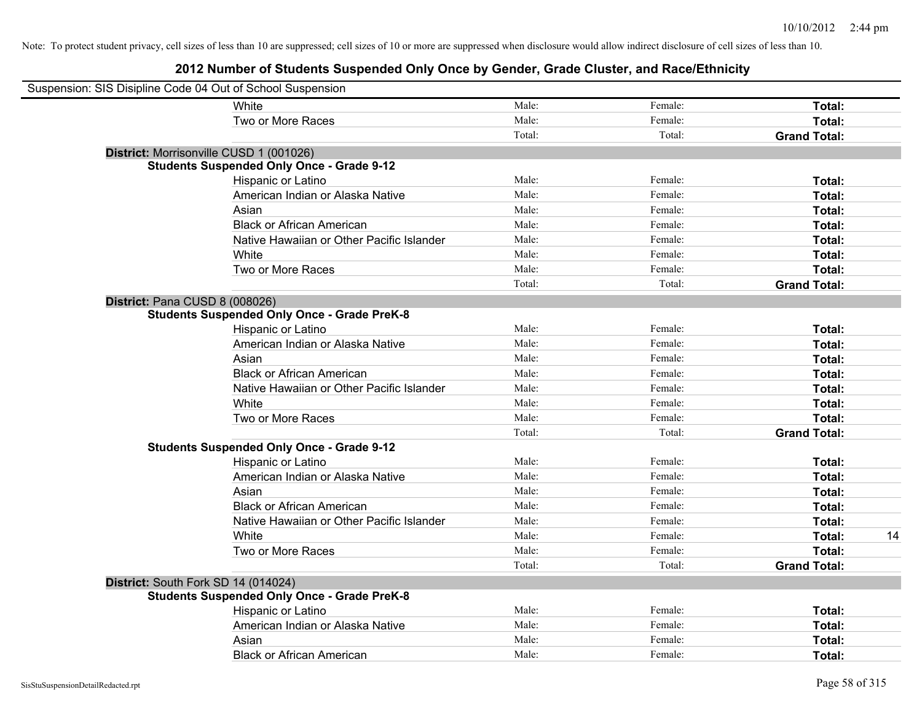| Suspension: SIS Disipline Code 04 Out of School Suspension |                                                    |        |         |                     |    |
|------------------------------------------------------------|----------------------------------------------------|--------|---------|---------------------|----|
|                                                            | White                                              | Male:  | Female: | Total:              |    |
|                                                            | Two or More Races                                  | Male:  | Female: | Total:              |    |
|                                                            |                                                    | Total: | Total:  | <b>Grand Total:</b> |    |
| District: Morrisonville CUSD 1 (001026)                    |                                                    |        |         |                     |    |
|                                                            | <b>Students Suspended Only Once - Grade 9-12</b>   |        |         |                     |    |
|                                                            | Hispanic or Latino                                 | Male:  | Female: | Total:              |    |
|                                                            | American Indian or Alaska Native                   | Male:  | Female: | Total:              |    |
|                                                            | Asian                                              | Male:  | Female: | Total:              |    |
|                                                            | <b>Black or African American</b>                   | Male:  | Female: | Total:              |    |
|                                                            | Native Hawaiian or Other Pacific Islander          | Male:  | Female: | Total:              |    |
|                                                            | White                                              | Male:  | Female: | Total:              |    |
|                                                            | Two or More Races                                  | Male:  | Female: | Total:              |    |
|                                                            |                                                    | Total: | Total:  | <b>Grand Total:</b> |    |
| District: Pana CUSD 8 (008026)                             |                                                    |        |         |                     |    |
|                                                            | <b>Students Suspended Only Once - Grade PreK-8</b> |        |         |                     |    |
|                                                            | Hispanic or Latino                                 | Male:  | Female: | Total:              |    |
|                                                            | American Indian or Alaska Native                   | Male:  | Female: | Total:              |    |
|                                                            | Asian                                              | Male:  | Female: | Total:              |    |
|                                                            | <b>Black or African American</b>                   | Male:  | Female: | Total:              |    |
|                                                            | Native Hawaiian or Other Pacific Islander          | Male:  | Female: | Total:              |    |
|                                                            | White                                              | Male:  | Female: | Total:              |    |
|                                                            | Two or More Races                                  | Male:  | Female: | Total:              |    |
|                                                            |                                                    | Total: | Total:  | <b>Grand Total:</b> |    |
|                                                            | <b>Students Suspended Only Once - Grade 9-12</b>   |        |         |                     |    |
|                                                            | Hispanic or Latino                                 | Male:  | Female: | Total:              |    |
|                                                            | American Indian or Alaska Native                   | Male:  | Female: | Total:              |    |
|                                                            | Asian                                              | Male:  | Female: | Total:              |    |
|                                                            | <b>Black or African American</b>                   | Male:  | Female: | Total:              |    |
|                                                            | Native Hawaiian or Other Pacific Islander          | Male:  | Female: | Total:              |    |
|                                                            | White                                              | Male:  | Female: | Total:              | 14 |
|                                                            | Two or More Races                                  | Male:  | Female: | Total:              |    |
|                                                            |                                                    | Total: | Total:  | <b>Grand Total:</b> |    |
| District: South Fork SD 14 (014024)                        |                                                    |        |         |                     |    |
|                                                            | <b>Students Suspended Only Once - Grade PreK-8</b> |        |         |                     |    |
|                                                            | Hispanic or Latino                                 | Male:  | Female: | Total:              |    |
|                                                            | American Indian or Alaska Native                   | Male:  | Female: | Total:              |    |
|                                                            | Asian                                              | Male:  | Female: | Total:              |    |
|                                                            | <b>Black or African American</b>                   | Male:  | Female: | Total:              |    |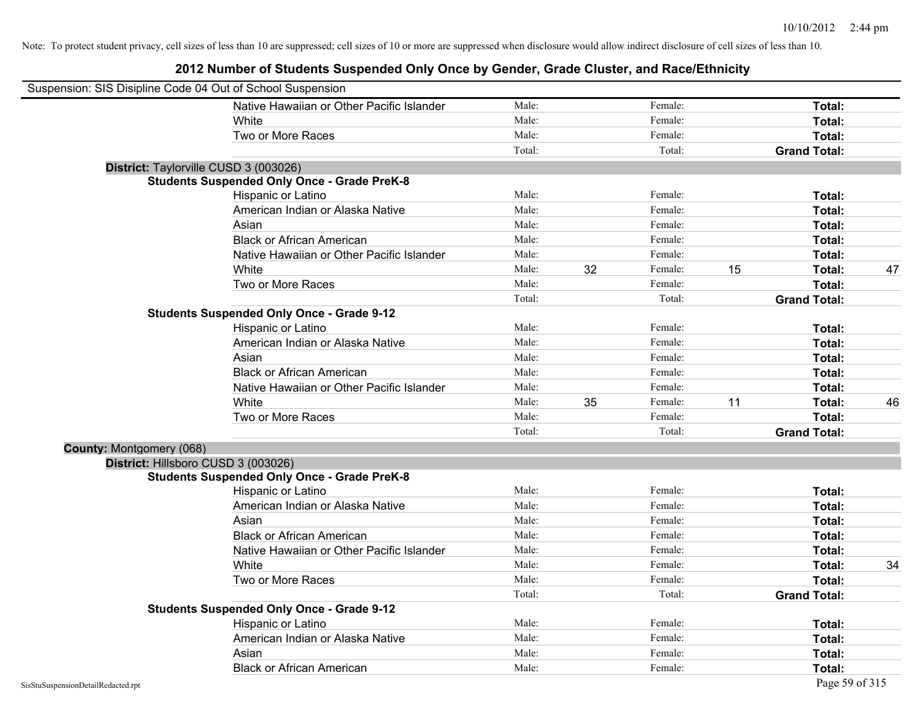| Suspension: SIS Disipline Code 04 Out of School Suspension |                                                    |        |    |         |    |                     |    |
|------------------------------------------------------------|----------------------------------------------------|--------|----|---------|----|---------------------|----|
|                                                            | Native Hawaiian or Other Pacific Islander          | Male:  |    | Female: |    | Total:              |    |
|                                                            | White                                              | Male:  |    | Female: |    | Total:              |    |
|                                                            | Two or More Races                                  | Male:  |    | Female: |    | Total:              |    |
|                                                            |                                                    | Total: |    | Total:  |    | <b>Grand Total:</b> |    |
| District: Taylorville CUSD 3 (003026)                      |                                                    |        |    |         |    |                     |    |
|                                                            | <b>Students Suspended Only Once - Grade PreK-8</b> |        |    |         |    |                     |    |
|                                                            | Hispanic or Latino                                 | Male:  |    | Female: |    | Total:              |    |
|                                                            | American Indian or Alaska Native                   | Male:  |    | Female: |    | Total:              |    |
|                                                            | Asian                                              | Male:  |    | Female: |    | Total:              |    |
|                                                            | <b>Black or African American</b>                   | Male:  |    | Female: |    | Total:              |    |
|                                                            | Native Hawaiian or Other Pacific Islander          | Male:  |    | Female: |    | Total:              |    |
|                                                            | White                                              | Male:  | 32 | Female: | 15 | Total:              | 47 |
|                                                            | Two or More Races                                  | Male:  |    | Female: |    | Total:              |    |
|                                                            |                                                    | Total: |    | Total:  |    | <b>Grand Total:</b> |    |
|                                                            | <b>Students Suspended Only Once - Grade 9-12</b>   |        |    |         |    |                     |    |
|                                                            | Hispanic or Latino                                 | Male:  |    | Female: |    | Total:              |    |
|                                                            | American Indian or Alaska Native                   | Male:  |    | Female: |    | Total:              |    |
|                                                            | Asian                                              | Male:  |    | Female: |    | Total:              |    |
|                                                            | <b>Black or African American</b>                   | Male:  |    | Female: |    | Total:              |    |
|                                                            | Native Hawaiian or Other Pacific Islander          | Male:  |    | Female: |    | Total:              |    |
|                                                            | White                                              | Male:  | 35 | Female: | 11 | Total:              | 46 |
|                                                            | Two or More Races                                  | Male:  |    | Female: |    | Total:              |    |
|                                                            |                                                    | Total: |    | Total:  |    | <b>Grand Total:</b> |    |
| County: Montgomery (068)                                   |                                                    |        |    |         |    |                     |    |
| District: Hillsboro CUSD 3 (003026)                        |                                                    |        |    |         |    |                     |    |
|                                                            | <b>Students Suspended Only Once - Grade PreK-8</b> |        |    |         |    |                     |    |
|                                                            | Hispanic or Latino                                 | Male:  |    | Female: |    | Total:              |    |
|                                                            | American Indian or Alaska Native                   | Male:  |    | Female: |    | Total:              |    |
|                                                            | Asian                                              | Male:  |    | Female: |    | Total:              |    |
|                                                            | <b>Black or African American</b>                   | Male:  |    | Female: |    | Total:              |    |
|                                                            | Native Hawaiian or Other Pacific Islander          | Male:  |    | Female: |    | Total:              |    |
|                                                            | White                                              | Male:  |    | Female: |    | Total:              | 34 |
|                                                            | Two or More Races                                  | Male:  |    | Female: |    | Total:              |    |
|                                                            |                                                    | Total: |    | Total:  |    | <b>Grand Total:</b> |    |
|                                                            | <b>Students Suspended Only Once - Grade 9-12</b>   |        |    |         |    |                     |    |
|                                                            | Hispanic or Latino                                 | Male:  |    | Female: |    | Total:              |    |
|                                                            | American Indian or Alaska Native                   | Male:  |    | Female: |    | Total:              |    |
|                                                            | Asian                                              | Male:  |    | Female: |    | Total:              |    |
|                                                            | <b>Black or African American</b>                   | Male:  |    | Female: |    | Total:              |    |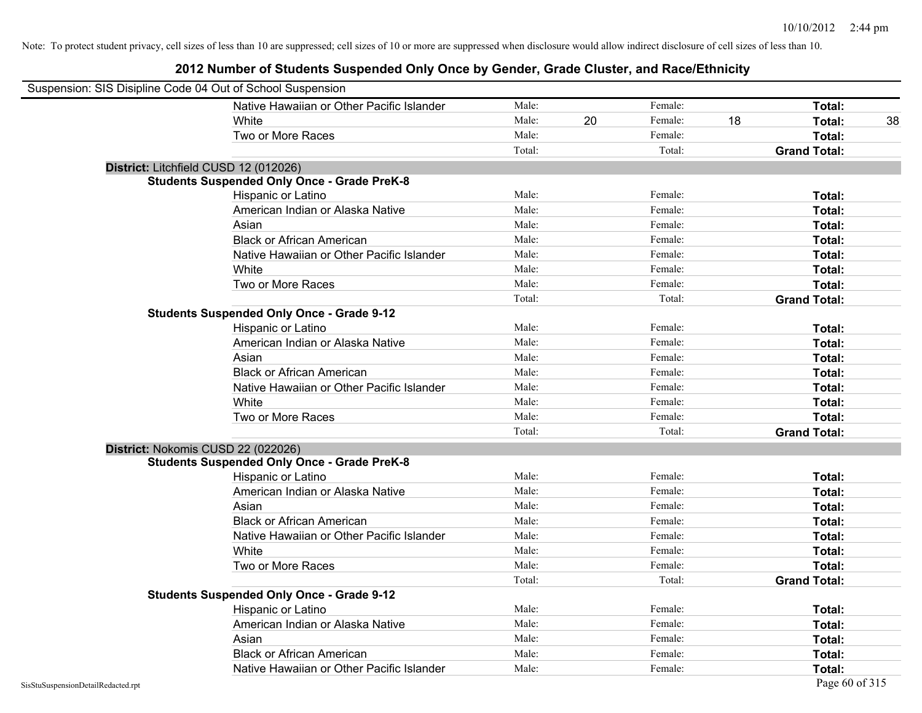| Suspension: SIS Disipline Code 04 Out of School Suspension |                                                    |        |    |         |    |                     |
|------------------------------------------------------------|----------------------------------------------------|--------|----|---------|----|---------------------|
|                                                            | Native Hawaiian or Other Pacific Islander          | Male:  |    | Female: |    | Total:              |
|                                                            | White                                              | Male:  | 20 | Female: | 18 | Total:<br>38        |
|                                                            | Two or More Races                                  | Male:  |    | Female: |    | Total:              |
|                                                            |                                                    | Total: |    | Total:  |    | <b>Grand Total:</b> |
| District: Litchfield CUSD 12 (012026)                      |                                                    |        |    |         |    |                     |
|                                                            | <b>Students Suspended Only Once - Grade PreK-8</b> |        |    |         |    |                     |
|                                                            | Hispanic or Latino                                 | Male:  |    | Female: |    | Total:              |
|                                                            | American Indian or Alaska Native                   | Male:  |    | Female: |    | Total:              |
|                                                            | Asian                                              | Male:  |    | Female: |    | Total:              |
|                                                            | <b>Black or African American</b>                   | Male:  |    | Female: |    | Total:              |
|                                                            | Native Hawaiian or Other Pacific Islander          | Male:  |    | Female: |    | Total:              |
|                                                            | White                                              | Male:  |    | Female: |    | Total:              |
|                                                            | Two or More Races                                  | Male:  |    | Female: |    | Total:              |
|                                                            |                                                    | Total: |    | Total:  |    | <b>Grand Total:</b> |
|                                                            | <b>Students Suspended Only Once - Grade 9-12</b>   |        |    |         |    |                     |
|                                                            | Hispanic or Latino                                 | Male:  |    | Female: |    | Total:              |
|                                                            | American Indian or Alaska Native                   | Male:  |    | Female: |    | Total:              |
|                                                            | Asian                                              | Male:  |    | Female: |    | Total:              |
|                                                            | <b>Black or African American</b>                   | Male:  |    | Female: |    | Total:              |
|                                                            | Native Hawaiian or Other Pacific Islander          | Male:  |    | Female: |    | Total:              |
|                                                            | White                                              | Male:  |    | Female: |    | Total:              |
|                                                            | Two or More Races                                  | Male:  |    | Female: |    | Total:              |
|                                                            |                                                    | Total: |    | Total:  |    | <b>Grand Total:</b> |
| District: Nokomis CUSD 22 (022026)                         |                                                    |        |    |         |    |                     |
|                                                            | <b>Students Suspended Only Once - Grade PreK-8</b> |        |    |         |    |                     |
|                                                            | Hispanic or Latino                                 | Male:  |    | Female: |    | Total:              |
|                                                            | American Indian or Alaska Native                   | Male:  |    | Female: |    | Total:              |
|                                                            | Asian                                              | Male:  |    | Female: |    | Total:              |
|                                                            | <b>Black or African American</b>                   | Male:  |    | Female: |    | Total:              |
|                                                            | Native Hawaiian or Other Pacific Islander          | Male:  |    | Female: |    | Total:              |
|                                                            | White                                              | Male:  |    | Female: |    | Total:              |
|                                                            | Two or More Races                                  | Male:  |    | Female: |    | Total:              |
|                                                            |                                                    | Total: |    | Total:  |    | <b>Grand Total:</b> |
|                                                            | <b>Students Suspended Only Once - Grade 9-12</b>   |        |    |         |    |                     |
|                                                            | Hispanic or Latino                                 | Male:  |    | Female: |    | Total:              |
|                                                            | American Indian or Alaska Native                   | Male:  |    | Female: |    | Total:              |
|                                                            | Asian                                              | Male:  |    | Female: |    | Total:              |
|                                                            | <b>Black or African American</b>                   | Male:  |    | Female: |    | Total:              |
|                                                            | Native Hawaiian or Other Pacific Islander          | Male:  |    | Female: |    | Total:              |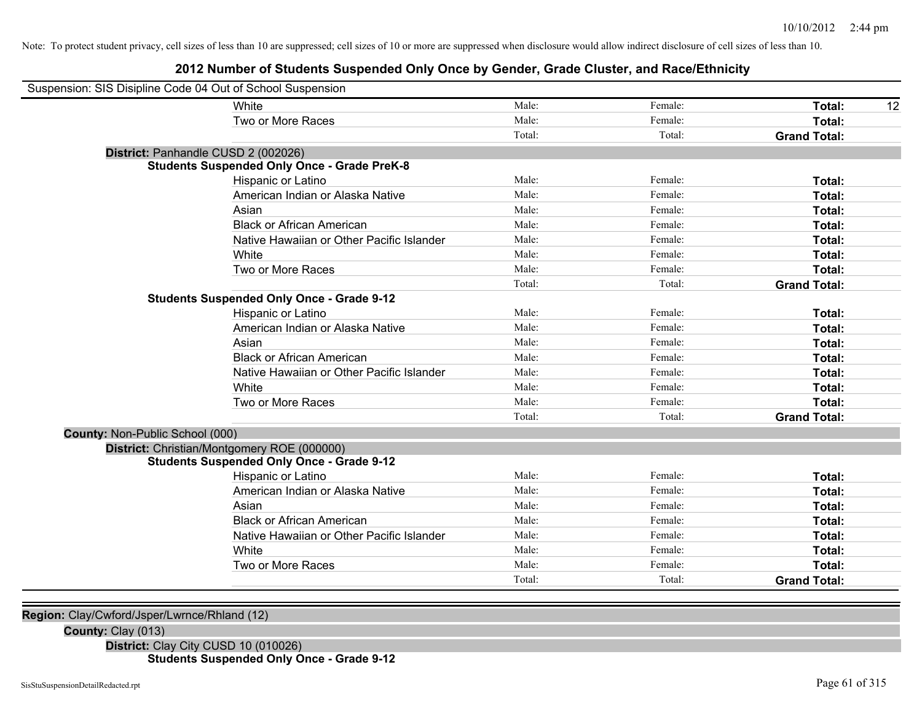### **2012 Number of Students Suspended Only Once by Gender, Grade Cluster, and Race/Ethnicity**

| Suspension: SIS Disipline Code 04 Out of School Suspension |                                                    |        |         |                     |    |
|------------------------------------------------------------|----------------------------------------------------|--------|---------|---------------------|----|
|                                                            | White                                              | Male:  | Female: | <b>Total:</b>       | 12 |
|                                                            | Two or More Races                                  | Male:  | Female: | Total:              |    |
|                                                            |                                                    | Total: | Total:  | <b>Grand Total:</b> |    |
|                                                            | District: Panhandle CUSD 2 (002026)                |        |         |                     |    |
|                                                            | <b>Students Suspended Only Once - Grade PreK-8</b> |        |         |                     |    |
|                                                            | Hispanic or Latino                                 | Male:  | Female: | Total:              |    |
|                                                            | American Indian or Alaska Native                   | Male:  | Female: | Total:              |    |
|                                                            | Asian                                              | Male:  | Female: | Total:              |    |
|                                                            | <b>Black or African American</b>                   | Male:  | Female: | Total:              |    |
|                                                            | Native Hawaiian or Other Pacific Islander          | Male:  | Female: | Total:              |    |
|                                                            | White                                              | Male:  | Female: | Total:              |    |
|                                                            | Two or More Races                                  | Male:  | Female: | Total:              |    |
|                                                            |                                                    | Total: | Total:  | <b>Grand Total:</b> |    |
|                                                            | <b>Students Suspended Only Once - Grade 9-12</b>   |        |         |                     |    |
|                                                            | Hispanic or Latino                                 | Male:  | Female: | Total:              |    |
|                                                            | American Indian or Alaska Native                   | Male:  | Female: | Total:              |    |
|                                                            | Asian                                              | Male:  | Female: | Total:              |    |
|                                                            | <b>Black or African American</b>                   | Male:  | Female: | Total:              |    |
|                                                            | Native Hawaiian or Other Pacific Islander          | Male:  | Female: | Total:              |    |
|                                                            | White                                              | Male:  | Female: | Total:              |    |
|                                                            | Two or More Races                                  | Male:  | Female: | Total:              |    |
|                                                            |                                                    | Total: | Total:  | <b>Grand Total:</b> |    |
| County: Non-Public School (000)                            |                                                    |        |         |                     |    |
|                                                            | District: Christian/Montgomery ROE (000000)        |        |         |                     |    |
|                                                            | <b>Students Suspended Only Once - Grade 9-12</b>   |        |         |                     |    |
|                                                            | Hispanic or Latino                                 | Male:  | Female: | Total:              |    |
|                                                            | American Indian or Alaska Native                   | Male:  | Female: | Total:              |    |
|                                                            | Asian                                              | Male:  | Female: | Total:              |    |
|                                                            | <b>Black or African American</b>                   | Male:  | Female: | Total:              |    |
|                                                            | Native Hawaiian or Other Pacific Islander          | Male:  | Female: | Total:              |    |
|                                                            | White                                              | Male:  | Female: | Total:              |    |
|                                                            | Two or More Races                                  | Male:  | Female: | Total:              |    |
|                                                            |                                                    | Total: | Total:  | <b>Grand Total:</b> |    |
|                                                            |                                                    |        |         |                     |    |

**Region:** Clay/Cwford/Jsper/Lwrnce/Rhland (12)

**County:** Clay (013)

**District:** Clay City CUSD 10 (010026) **Students Suspended Only Once - Grade 9-12**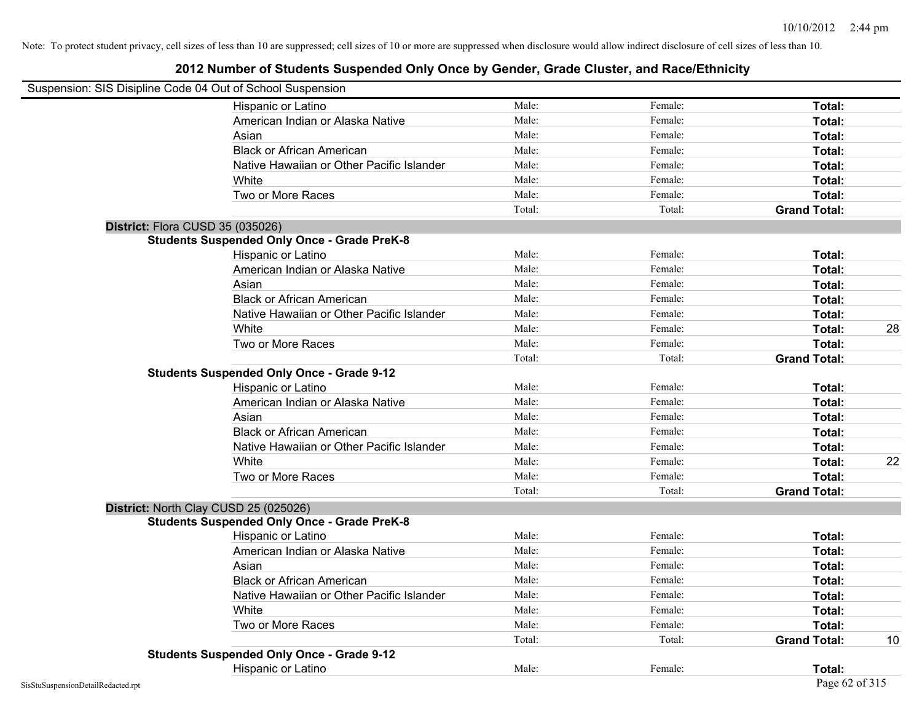| Suspension: SIS Disipline Code 04 Out of School Suspension |        |         |                     |    |
|------------------------------------------------------------|--------|---------|---------------------|----|
| Hispanic or Latino                                         | Male:  | Female: | Total:              |    |
| American Indian or Alaska Native                           | Male:  | Female: | Total:              |    |
| Asian                                                      | Male:  | Female: | Total:              |    |
| <b>Black or African American</b>                           | Male:  | Female: | Total:              |    |
| Native Hawaiian or Other Pacific Islander                  | Male:  | Female: | Total:              |    |
| White                                                      | Male:  | Female: | Total:              |    |
| Two or More Races                                          | Male:  | Female: | Total:              |    |
|                                                            | Total: | Total:  | <b>Grand Total:</b> |    |
| District: Flora CUSD 35 (035026)                           |        |         |                     |    |
| <b>Students Suspended Only Once - Grade PreK-8</b>         |        |         |                     |    |
| Hispanic or Latino                                         | Male:  | Female: | Total:              |    |
| American Indian or Alaska Native                           | Male:  | Female: | Total:              |    |
| Asian                                                      | Male:  | Female: | Total:              |    |
| <b>Black or African American</b>                           | Male:  | Female: | Total:              |    |
| Native Hawaiian or Other Pacific Islander                  | Male:  | Female: | Total:              |    |
| White                                                      | Male:  | Female: | Total:              | 28 |
| Two or More Races                                          | Male:  | Female: | Total:              |    |
|                                                            | Total: | Total:  | <b>Grand Total:</b> |    |
| <b>Students Suspended Only Once - Grade 9-12</b>           |        |         |                     |    |
| Hispanic or Latino                                         | Male:  | Female: | Total:              |    |
| American Indian or Alaska Native                           | Male:  | Female: | Total:              |    |
| Asian                                                      | Male:  | Female: | Total:              |    |
| <b>Black or African American</b>                           | Male:  | Female: | Total:              |    |
| Native Hawaiian or Other Pacific Islander                  | Male:  | Female: | Total:              |    |
| White                                                      | Male:  | Female: | Total:              | 22 |
| Two or More Races                                          | Male:  | Female: | Total:              |    |
|                                                            | Total: | Total:  | <b>Grand Total:</b> |    |
| District: North Clay CUSD 25 (025026)                      |        |         |                     |    |
| <b>Students Suspended Only Once - Grade PreK-8</b>         |        |         |                     |    |
| Hispanic or Latino                                         | Male:  | Female: | Total:              |    |
| American Indian or Alaska Native                           | Male:  | Female: | Total:              |    |
| Asian                                                      | Male:  | Female: | Total:              |    |
| <b>Black or African American</b>                           | Male:  | Female: | Total:              |    |
| Native Hawaiian or Other Pacific Islander                  | Male:  | Female: | Total:              |    |
| White                                                      | Male:  | Female: | Total:              |    |
| Two or More Races                                          | Male:  | Female: | <b>Total:</b>       |    |
|                                                            | Total: | Total:  | <b>Grand Total:</b> | 10 |
| <b>Students Suspended Only Once - Grade 9-12</b>           |        |         |                     |    |
| Hispanic or Latino                                         | Male:  | Female: | Total:              |    |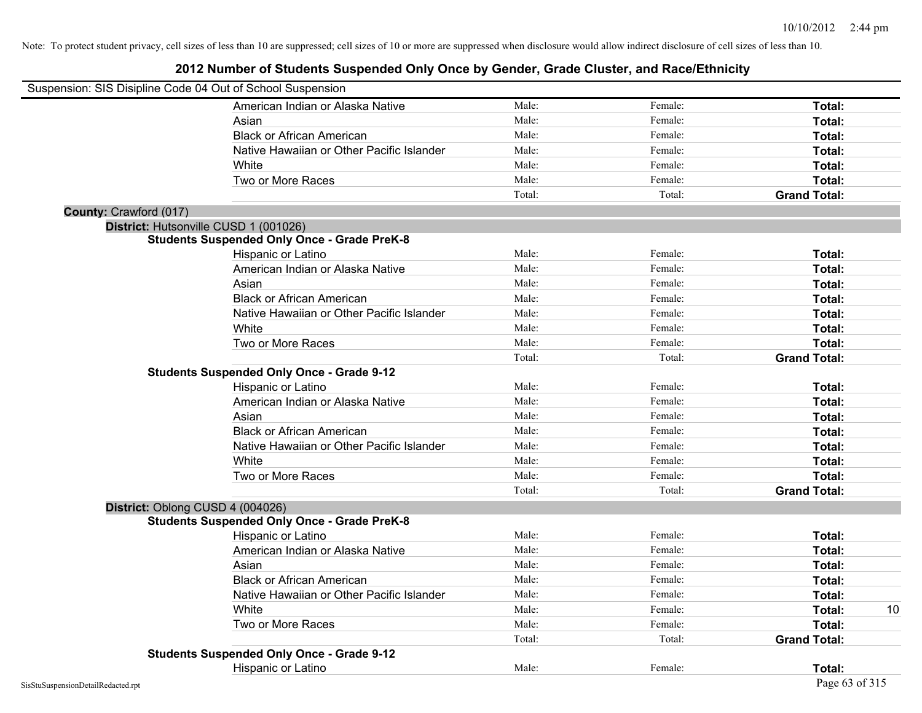| Suspension: SIS Disipline Code 04 Out of School Suspension |                                                    |        |         |                     |    |
|------------------------------------------------------------|----------------------------------------------------|--------|---------|---------------------|----|
|                                                            | American Indian or Alaska Native                   | Male:  | Female: | Total:              |    |
|                                                            | Asian                                              | Male:  | Female: | Total:              |    |
|                                                            | <b>Black or African American</b>                   | Male:  | Female: | Total:              |    |
|                                                            | Native Hawaiian or Other Pacific Islander          | Male:  | Female: | Total:              |    |
|                                                            | White                                              | Male:  | Female: | Total:              |    |
|                                                            | Two or More Races                                  | Male:  | Female: | Total:              |    |
|                                                            |                                                    | Total: | Total:  | <b>Grand Total:</b> |    |
| County: Crawford (017)                                     |                                                    |        |         |                     |    |
|                                                            | District: Hutsonville CUSD 1 (001026)              |        |         |                     |    |
|                                                            | <b>Students Suspended Only Once - Grade PreK-8</b> |        |         |                     |    |
|                                                            | Hispanic or Latino                                 | Male:  | Female: | Total:              |    |
|                                                            | American Indian or Alaska Native                   | Male:  | Female: | Total:              |    |
|                                                            | Asian                                              | Male:  | Female: | Total:              |    |
|                                                            | <b>Black or African American</b>                   | Male:  | Female: | Total:              |    |
|                                                            | Native Hawaiian or Other Pacific Islander          | Male:  | Female: | Total:              |    |
|                                                            | White                                              | Male:  | Female: | Total:              |    |
|                                                            | Two or More Races                                  | Male:  | Female: | Total:              |    |
|                                                            |                                                    | Total: | Total:  | <b>Grand Total:</b> |    |
|                                                            | <b>Students Suspended Only Once - Grade 9-12</b>   |        |         |                     |    |
|                                                            | Hispanic or Latino                                 | Male:  | Female: | Total:              |    |
|                                                            | American Indian or Alaska Native                   | Male:  | Female: | Total:              |    |
|                                                            | Asian                                              | Male:  | Female: | Total:              |    |
|                                                            | <b>Black or African American</b>                   | Male:  | Female: | Total:              |    |
|                                                            | Native Hawaiian or Other Pacific Islander          | Male:  | Female: | Total:              |    |
|                                                            | White                                              | Male:  | Female: | Total:              |    |
|                                                            | Two or More Races                                  | Male:  | Female: | Total:              |    |
|                                                            |                                                    | Total: | Total:  | <b>Grand Total:</b> |    |
| District: Oblong CUSD 4 (004026)                           |                                                    |        |         |                     |    |
|                                                            | <b>Students Suspended Only Once - Grade PreK-8</b> |        |         |                     |    |
|                                                            | Hispanic or Latino                                 | Male:  | Female: | Total:              |    |
|                                                            | American Indian or Alaska Native                   | Male:  | Female: | Total:              |    |
|                                                            | Asian                                              | Male:  | Female: | Total:              |    |
|                                                            | <b>Black or African American</b>                   | Male:  | Female: | Total:              |    |
|                                                            | Native Hawaiian or Other Pacific Islander          | Male:  | Female: | Total:              |    |
|                                                            | White                                              | Male:  | Female: | Total:              | 10 |
|                                                            | Two or More Races                                  | Male:  | Female: | Total:              |    |
|                                                            |                                                    | Total: | Total:  | <b>Grand Total:</b> |    |
|                                                            | <b>Students Suspended Only Once - Grade 9-12</b>   |        |         |                     |    |
|                                                            | Hispanic or Latino                                 | Male:  | Female: | Total:              |    |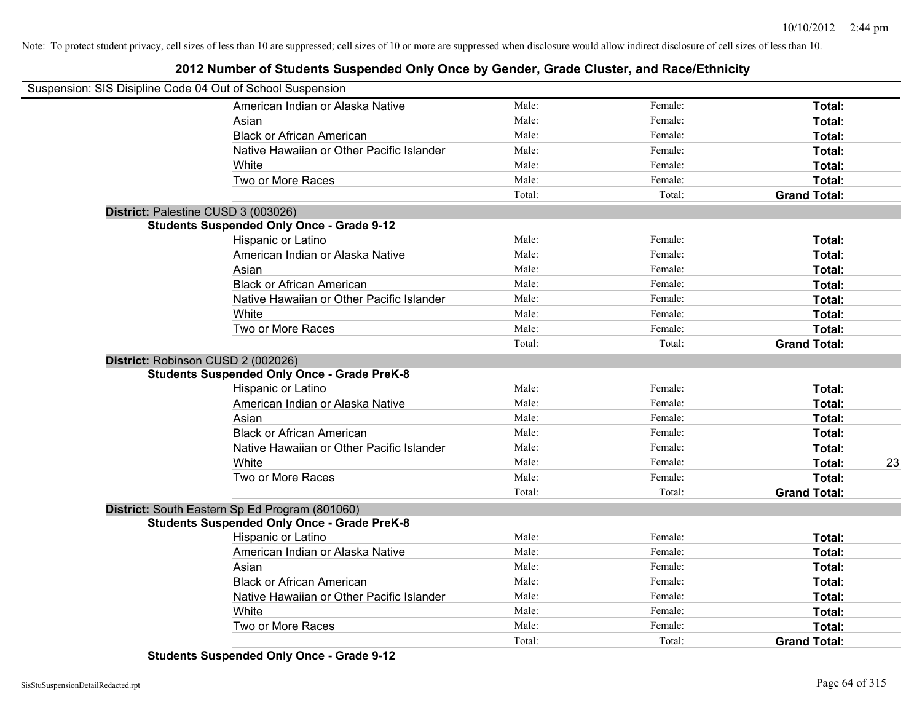### **2012 Number of Students Suspended Only Once by Gender, Grade Cluster, and Race/Ethnicity**

| Suspension: SIS Disipline Code 04 Out of School Suspension |        |         |                     |    |
|------------------------------------------------------------|--------|---------|---------------------|----|
| American Indian or Alaska Native                           | Male:  | Female: | Total:              |    |
| Asian                                                      | Male:  | Female: | Total:              |    |
| <b>Black or African American</b>                           | Male:  | Female: | Total:              |    |
| Native Hawaiian or Other Pacific Islander                  | Male:  | Female: | Total:              |    |
| White                                                      | Male:  | Female: | Total:              |    |
| Two or More Races                                          | Male:  | Female: | Total:              |    |
|                                                            | Total: | Total:  | <b>Grand Total:</b> |    |
| District: Palestine CUSD 3 (003026)                        |        |         |                     |    |
| <b>Students Suspended Only Once - Grade 9-12</b>           |        |         |                     |    |
| Hispanic or Latino                                         | Male:  | Female: | Total:              |    |
| American Indian or Alaska Native                           | Male:  | Female: | Total:              |    |
| Asian                                                      | Male:  | Female: | Total:              |    |
| <b>Black or African American</b>                           | Male:  | Female: | Total:              |    |
| Native Hawaiian or Other Pacific Islander                  | Male:  | Female: | Total:              |    |
| White                                                      | Male:  | Female: | Total:              |    |
| Two or More Races                                          | Male:  | Female: | Total:              |    |
|                                                            | Total: | Total:  | <b>Grand Total:</b> |    |
| District: Robinson CUSD 2 (002026)                         |        |         |                     |    |
| <b>Students Suspended Only Once - Grade PreK-8</b>         |        |         |                     |    |
| <b>Hispanic or Latino</b>                                  | Male:  | Female: | Total:              |    |
| American Indian or Alaska Native                           | Male:  | Female: | Total:              |    |
| Asian                                                      | Male:  | Female: | Total:              |    |
| <b>Black or African American</b>                           | Male:  | Female: | Total:              |    |
| Native Hawaiian or Other Pacific Islander                  | Male:  | Female: | Total:              |    |
| White                                                      | Male:  | Female: | Total:              | 23 |
| Two or More Races                                          | Male:  | Female: | Total:              |    |
|                                                            | Total: | Total:  | <b>Grand Total:</b> |    |
| District: South Eastern Sp Ed Program (801060)             |        |         |                     |    |
| <b>Students Suspended Only Once - Grade PreK-8</b>         |        |         |                     |    |
| Hispanic or Latino                                         | Male:  | Female: | Total:              |    |
| American Indian or Alaska Native                           | Male:  | Female: | Total:              |    |
| Asian                                                      | Male:  | Female: | Total:              |    |
| <b>Black or African American</b>                           | Male:  | Female: | Total:              |    |
| Native Hawaiian or Other Pacific Islander                  | Male:  | Female: | Total:              |    |
| White                                                      | Male:  | Female: | Total:              |    |
| Two or More Races                                          | Male:  | Female: | Total:              |    |
|                                                            | Total: | Total:  | <b>Grand Total:</b> |    |

**Students Suspended Only Once - Grade 9-12**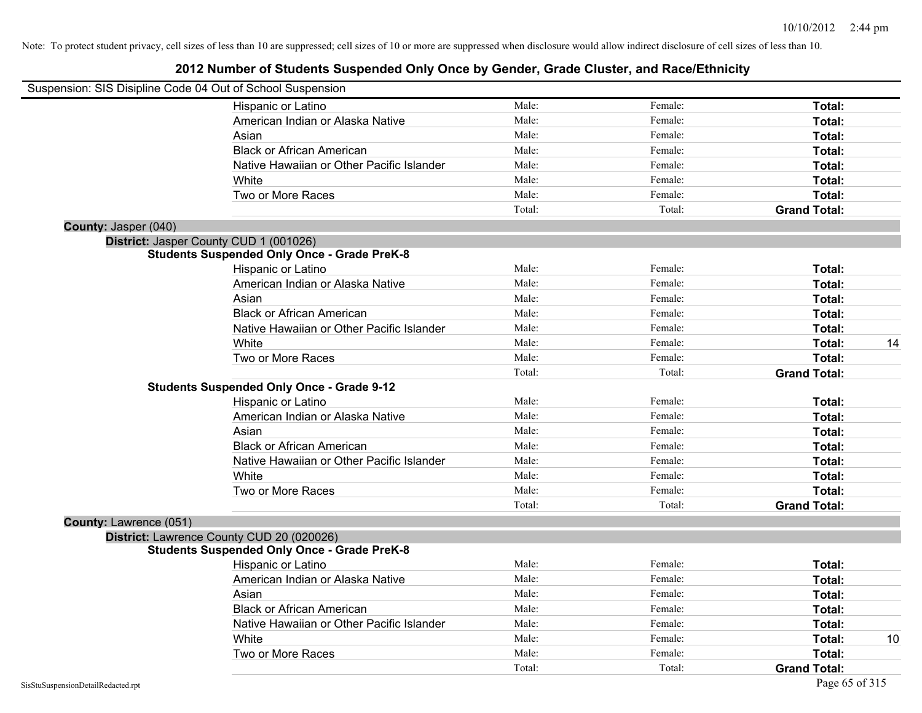|                        | Suspension: SIS Disipline Code 04 Out of School Suspension |        |         |                     |    |
|------------------------|------------------------------------------------------------|--------|---------|---------------------|----|
|                        | Hispanic or Latino                                         | Male:  | Female: | Total:              |    |
|                        | American Indian or Alaska Native                           | Male:  | Female: | Total:              |    |
|                        | Asian                                                      | Male:  | Female: | Total:              |    |
|                        | <b>Black or African American</b>                           | Male:  | Female: | Total:              |    |
|                        | Native Hawaiian or Other Pacific Islander                  | Male:  | Female: | Total:              |    |
|                        | White                                                      | Male:  | Female: | Total:              |    |
|                        | Two or More Races                                          | Male:  | Female: | Total:              |    |
|                        |                                                            | Total: | Total:  | <b>Grand Total:</b> |    |
| County: Jasper (040)   |                                                            |        |         |                     |    |
|                        | District: Jasper County CUD 1 (001026)                     |        |         |                     |    |
|                        | <b>Students Suspended Only Once - Grade PreK-8</b>         |        |         |                     |    |
|                        | Hispanic or Latino                                         | Male:  | Female: | Total:              |    |
|                        | American Indian or Alaska Native                           | Male:  | Female: | Total:              |    |
|                        | Asian                                                      | Male:  | Female: | Total:              |    |
|                        | <b>Black or African American</b>                           | Male:  | Female: | Total:              |    |
|                        | Native Hawaiian or Other Pacific Islander                  | Male:  | Female: | Total:              |    |
|                        | White                                                      | Male:  | Female: | Total:              | 14 |
|                        | Two or More Races                                          | Male:  | Female: | Total:              |    |
|                        |                                                            | Total: | Total:  | <b>Grand Total:</b> |    |
|                        | <b>Students Suspended Only Once - Grade 9-12</b>           |        |         |                     |    |
|                        | Hispanic or Latino                                         | Male:  | Female: | Total:              |    |
|                        | American Indian or Alaska Native                           | Male:  | Female: | Total:              |    |
|                        | Asian                                                      | Male:  | Female: | Total:              |    |
|                        | <b>Black or African American</b>                           | Male:  | Female: | Total:              |    |
|                        | Native Hawaiian or Other Pacific Islander                  | Male:  | Female: | Total:              |    |
|                        | White                                                      | Male:  | Female: | Total:              |    |
|                        | Two or More Races                                          | Male:  | Female: | Total:              |    |
|                        |                                                            | Total: | Total:  | <b>Grand Total:</b> |    |
| County: Lawrence (051) |                                                            |        |         |                     |    |
|                        | District: Lawrence County CUD 20 (020026)                  |        |         |                     |    |
|                        | <b>Students Suspended Only Once - Grade PreK-8</b>         |        |         |                     |    |
|                        | Hispanic or Latino                                         | Male:  | Female: | Total:              |    |
|                        | American Indian or Alaska Native                           | Male:  | Female: | Total:              |    |
|                        | Asian                                                      | Male:  | Female: | Total:              |    |
|                        | <b>Black or African American</b>                           | Male:  | Female: | Total:              |    |
|                        | Native Hawaiian or Other Pacific Islander                  | Male:  | Female: | Total:              |    |
|                        | White                                                      | Male:  | Female: | Total:              | 10 |
|                        | Two or More Races                                          | Male:  | Female: | Total:              |    |
|                        |                                                            | Total: | Total:  | <b>Grand Total:</b> |    |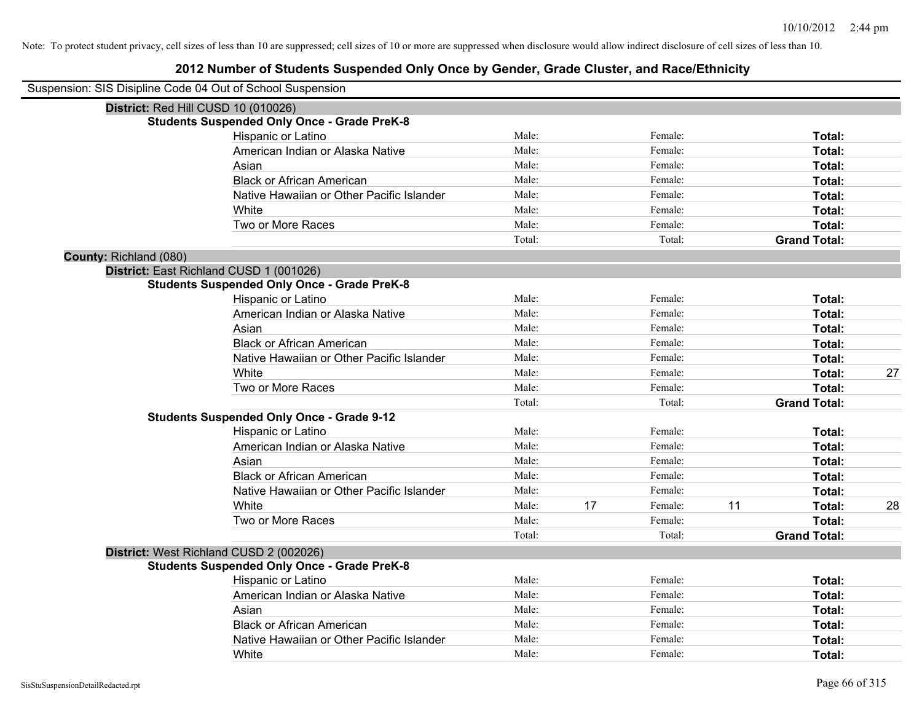| Suspension: SIS Disipline Code 04 Out of School Suspension |                                                    |        |    |         |    |                     |    |
|------------------------------------------------------------|----------------------------------------------------|--------|----|---------|----|---------------------|----|
|                                                            | District: Red Hill CUSD 10 (010026)                |        |    |         |    |                     |    |
|                                                            | <b>Students Suspended Only Once - Grade PreK-8</b> |        |    |         |    |                     |    |
|                                                            | Hispanic or Latino                                 | Male:  |    | Female: |    | Total:              |    |
|                                                            | American Indian or Alaska Native                   | Male:  |    | Female: |    | Total:              |    |
|                                                            | Asian                                              | Male:  |    | Female: |    | Total:              |    |
|                                                            | <b>Black or African American</b>                   | Male:  |    | Female: |    | Total:              |    |
|                                                            | Native Hawaiian or Other Pacific Islander          | Male:  |    | Female: |    | Total:              |    |
|                                                            | White                                              | Male:  |    | Female: |    | Total:              |    |
|                                                            | Two or More Races                                  | Male:  |    | Female: |    | Total:              |    |
|                                                            |                                                    | Total: |    | Total:  |    | <b>Grand Total:</b> |    |
| County: Richland (080)                                     |                                                    |        |    |         |    |                     |    |
|                                                            | District: East Richland CUSD 1 (001026)            |        |    |         |    |                     |    |
|                                                            | <b>Students Suspended Only Once - Grade PreK-8</b> |        |    |         |    |                     |    |
|                                                            | Hispanic or Latino                                 | Male:  |    | Female: |    | Total:              |    |
|                                                            | American Indian or Alaska Native                   | Male:  |    | Female: |    | Total:              |    |
|                                                            | Asian                                              | Male:  |    | Female: |    | Total:              |    |
|                                                            | <b>Black or African American</b>                   | Male:  |    | Female: |    | Total:              |    |
|                                                            | Native Hawaiian or Other Pacific Islander          | Male:  |    | Female: |    | Total:              |    |
|                                                            | White                                              | Male:  |    | Female: |    | Total:              | 27 |
|                                                            | Two or More Races                                  | Male:  |    | Female: |    | Total:              |    |
|                                                            |                                                    | Total: |    | Total:  |    | <b>Grand Total:</b> |    |
|                                                            | <b>Students Suspended Only Once - Grade 9-12</b>   |        |    |         |    |                     |    |
|                                                            | Hispanic or Latino                                 | Male:  |    | Female: |    | Total:              |    |
|                                                            | American Indian or Alaska Native                   | Male:  |    | Female: |    | Total:              |    |
|                                                            | Asian                                              | Male:  |    | Female: |    | Total:              |    |
|                                                            | <b>Black or African American</b>                   | Male:  |    | Female: |    | Total:              |    |
|                                                            | Native Hawaiian or Other Pacific Islander          | Male:  |    | Female: |    | Total:              |    |
|                                                            | White                                              | Male:  | 17 | Female: | 11 | Total:              | 28 |
|                                                            | Two or More Races                                  | Male:  |    | Female: |    | Total:              |    |
|                                                            |                                                    | Total: |    | Total:  |    | <b>Grand Total:</b> |    |
|                                                            | District: West Richland CUSD 2 (002026)            |        |    |         |    |                     |    |
|                                                            | <b>Students Suspended Only Once - Grade PreK-8</b> |        |    |         |    |                     |    |
|                                                            | Hispanic or Latino                                 | Male:  |    | Female: |    | Total:              |    |
|                                                            | American Indian or Alaska Native                   | Male:  |    | Female: |    | Total:              |    |
|                                                            | Asian                                              | Male:  |    | Female: |    | Total:              |    |
|                                                            | <b>Black or African American</b>                   | Male:  |    | Female: |    | Total:              |    |
|                                                            | Native Hawaiian or Other Pacific Islander          | Male:  |    | Female: |    | <b>Total:</b>       |    |
|                                                            | White                                              | Male:  |    | Female: |    | Total:              |    |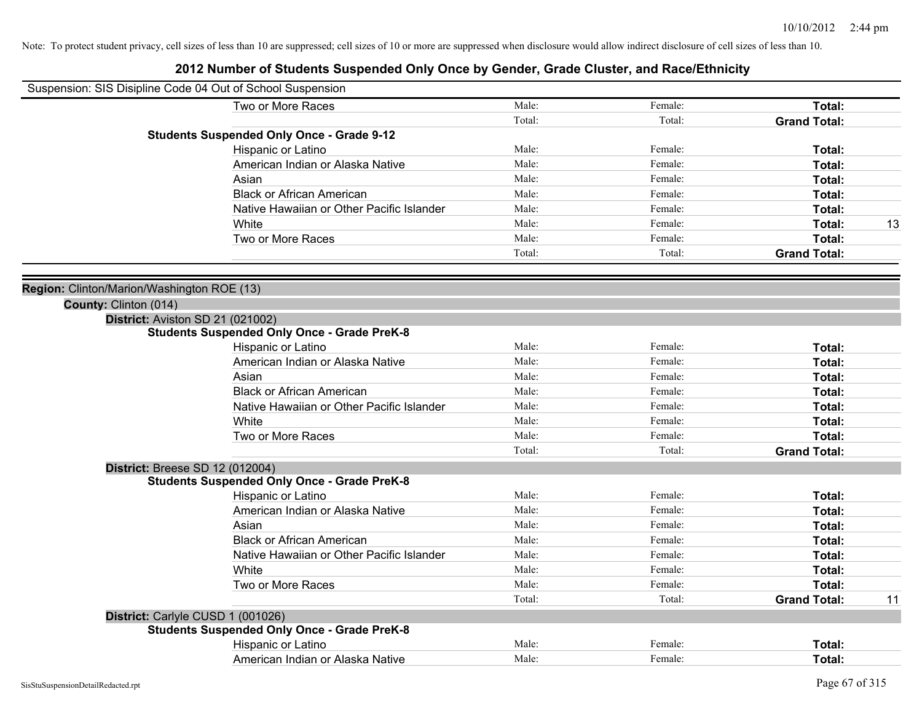| Male:<br>Two or More Races<br>Female:<br>Total:<br>Total:<br>Total:<br><b>Grand Total:</b><br><b>Students Suspended Only Once - Grade 9-12</b><br>Hispanic or Latino<br>Male:<br>Female:<br>Total:<br>American Indian or Alaska Native<br>Male:<br>Female:<br>Total:<br>Male:<br>Female:<br>Total:<br>Asian<br><b>Black or African American</b><br>Male:<br>Female:<br>Total:<br>Native Hawaiian or Other Pacific Islander<br>Male:<br>Female:<br>Total:<br>Male:<br>Female:<br>Total:<br>White<br>13<br>Male:<br>Female:<br>Total:<br>Two or More Races<br>Total:<br>Total:<br><b>Grand Total:</b><br>Region: Clinton/Marion/Washington ROE (13)<br>County: Clinton (014)<br>District: Aviston SD 21 (021002)<br><b>Students Suspended Only Once - Grade PreK-8</b><br>Hispanic or Latino<br>Male:<br>Female:<br>Total:<br>Male:<br>American Indian or Alaska Native<br>Female:<br>Total:<br>Female:<br>Total:<br>Asian<br>Male:<br><b>Black or African American</b><br>Male:<br>Female:<br>Total:<br>Male:<br>Female:<br>Total:<br>Native Hawaiian or Other Pacific Islander<br>Male:<br>Female:<br>Total:<br>White<br>Two or More Races<br>Total:<br>Male:<br>Female:<br><b>Grand Total:</b><br>Total:<br>Total:<br><b>District: Breese SD 12 (012004)</b><br><b>Students Suspended Only Once - Grade PreK-8</b><br>Hispanic or Latino<br>Male:<br>Female:<br>Total:<br>American Indian or Alaska Native<br>Male:<br>Female:<br>Total:<br>Asian<br>Male:<br>Female:<br>Total:<br><b>Black or African American</b><br>Male:<br>Female:<br>Total:<br>Native Hawaiian or Other Pacific Islander<br>Male:<br>Female:<br>Total:<br>White<br>Male:<br>Female:<br>Total:<br>Two or More Races<br>Male:<br>Female:<br>Total:<br>Total:<br>Total:<br><b>Grand Total:</b><br>11<br>District: Carlyle CUSD 1 (001026)<br><b>Students Suspended Only Once - Grade PreK-8</b><br>Male:<br>Hispanic or Latino<br>Female:<br>Total:<br>American Indian or Alaska Native<br>Male:<br>Female:<br>Total: | Suspension: SIS Disipline Code 04 Out of School Suspension |  |  |  |
|-------------------------------------------------------------------------------------------------------------------------------------------------------------------------------------------------------------------------------------------------------------------------------------------------------------------------------------------------------------------------------------------------------------------------------------------------------------------------------------------------------------------------------------------------------------------------------------------------------------------------------------------------------------------------------------------------------------------------------------------------------------------------------------------------------------------------------------------------------------------------------------------------------------------------------------------------------------------------------------------------------------------------------------------------------------------------------------------------------------------------------------------------------------------------------------------------------------------------------------------------------------------------------------------------------------------------------------------------------------------------------------------------------------------------------------------------------------------------------------------------------------------------------------------------------------------------------------------------------------------------------------------------------------------------------------------------------------------------------------------------------------------------------------------------------------------------------------------------------------------------------------------------------------------------------------------------------------------------------------------|------------------------------------------------------------|--|--|--|
|                                                                                                                                                                                                                                                                                                                                                                                                                                                                                                                                                                                                                                                                                                                                                                                                                                                                                                                                                                                                                                                                                                                                                                                                                                                                                                                                                                                                                                                                                                                                                                                                                                                                                                                                                                                                                                                                                                                                                                                           |                                                            |  |  |  |
|                                                                                                                                                                                                                                                                                                                                                                                                                                                                                                                                                                                                                                                                                                                                                                                                                                                                                                                                                                                                                                                                                                                                                                                                                                                                                                                                                                                                                                                                                                                                                                                                                                                                                                                                                                                                                                                                                                                                                                                           |                                                            |  |  |  |
|                                                                                                                                                                                                                                                                                                                                                                                                                                                                                                                                                                                                                                                                                                                                                                                                                                                                                                                                                                                                                                                                                                                                                                                                                                                                                                                                                                                                                                                                                                                                                                                                                                                                                                                                                                                                                                                                                                                                                                                           |                                                            |  |  |  |
|                                                                                                                                                                                                                                                                                                                                                                                                                                                                                                                                                                                                                                                                                                                                                                                                                                                                                                                                                                                                                                                                                                                                                                                                                                                                                                                                                                                                                                                                                                                                                                                                                                                                                                                                                                                                                                                                                                                                                                                           |                                                            |  |  |  |
|                                                                                                                                                                                                                                                                                                                                                                                                                                                                                                                                                                                                                                                                                                                                                                                                                                                                                                                                                                                                                                                                                                                                                                                                                                                                                                                                                                                                                                                                                                                                                                                                                                                                                                                                                                                                                                                                                                                                                                                           |                                                            |  |  |  |
|                                                                                                                                                                                                                                                                                                                                                                                                                                                                                                                                                                                                                                                                                                                                                                                                                                                                                                                                                                                                                                                                                                                                                                                                                                                                                                                                                                                                                                                                                                                                                                                                                                                                                                                                                                                                                                                                                                                                                                                           |                                                            |  |  |  |
|                                                                                                                                                                                                                                                                                                                                                                                                                                                                                                                                                                                                                                                                                                                                                                                                                                                                                                                                                                                                                                                                                                                                                                                                                                                                                                                                                                                                                                                                                                                                                                                                                                                                                                                                                                                                                                                                                                                                                                                           |                                                            |  |  |  |
|                                                                                                                                                                                                                                                                                                                                                                                                                                                                                                                                                                                                                                                                                                                                                                                                                                                                                                                                                                                                                                                                                                                                                                                                                                                                                                                                                                                                                                                                                                                                                                                                                                                                                                                                                                                                                                                                                                                                                                                           |                                                            |  |  |  |
|                                                                                                                                                                                                                                                                                                                                                                                                                                                                                                                                                                                                                                                                                                                                                                                                                                                                                                                                                                                                                                                                                                                                                                                                                                                                                                                                                                                                                                                                                                                                                                                                                                                                                                                                                                                                                                                                                                                                                                                           |                                                            |  |  |  |
|                                                                                                                                                                                                                                                                                                                                                                                                                                                                                                                                                                                                                                                                                                                                                                                                                                                                                                                                                                                                                                                                                                                                                                                                                                                                                                                                                                                                                                                                                                                                                                                                                                                                                                                                                                                                                                                                                                                                                                                           |                                                            |  |  |  |
|                                                                                                                                                                                                                                                                                                                                                                                                                                                                                                                                                                                                                                                                                                                                                                                                                                                                                                                                                                                                                                                                                                                                                                                                                                                                                                                                                                                                                                                                                                                                                                                                                                                                                                                                                                                                                                                                                                                                                                                           |                                                            |  |  |  |
|                                                                                                                                                                                                                                                                                                                                                                                                                                                                                                                                                                                                                                                                                                                                                                                                                                                                                                                                                                                                                                                                                                                                                                                                                                                                                                                                                                                                                                                                                                                                                                                                                                                                                                                                                                                                                                                                                                                                                                                           |                                                            |  |  |  |
|                                                                                                                                                                                                                                                                                                                                                                                                                                                                                                                                                                                                                                                                                                                                                                                                                                                                                                                                                                                                                                                                                                                                                                                                                                                                                                                                                                                                                                                                                                                                                                                                                                                                                                                                                                                                                                                                                                                                                                                           |                                                            |  |  |  |
|                                                                                                                                                                                                                                                                                                                                                                                                                                                                                                                                                                                                                                                                                                                                                                                                                                                                                                                                                                                                                                                                                                                                                                                                                                                                                                                                                                                                                                                                                                                                                                                                                                                                                                                                                                                                                                                                                                                                                                                           |                                                            |  |  |  |
|                                                                                                                                                                                                                                                                                                                                                                                                                                                                                                                                                                                                                                                                                                                                                                                                                                                                                                                                                                                                                                                                                                                                                                                                                                                                                                                                                                                                                                                                                                                                                                                                                                                                                                                                                                                                                                                                                                                                                                                           |                                                            |  |  |  |
|                                                                                                                                                                                                                                                                                                                                                                                                                                                                                                                                                                                                                                                                                                                                                                                                                                                                                                                                                                                                                                                                                                                                                                                                                                                                                                                                                                                                                                                                                                                                                                                                                                                                                                                                                                                                                                                                                                                                                                                           |                                                            |  |  |  |
|                                                                                                                                                                                                                                                                                                                                                                                                                                                                                                                                                                                                                                                                                                                                                                                                                                                                                                                                                                                                                                                                                                                                                                                                                                                                                                                                                                                                                                                                                                                                                                                                                                                                                                                                                                                                                                                                                                                                                                                           |                                                            |  |  |  |
|                                                                                                                                                                                                                                                                                                                                                                                                                                                                                                                                                                                                                                                                                                                                                                                                                                                                                                                                                                                                                                                                                                                                                                                                                                                                                                                                                                                                                                                                                                                                                                                                                                                                                                                                                                                                                                                                                                                                                                                           |                                                            |  |  |  |
|                                                                                                                                                                                                                                                                                                                                                                                                                                                                                                                                                                                                                                                                                                                                                                                                                                                                                                                                                                                                                                                                                                                                                                                                                                                                                                                                                                                                                                                                                                                                                                                                                                                                                                                                                                                                                                                                                                                                                                                           |                                                            |  |  |  |
|                                                                                                                                                                                                                                                                                                                                                                                                                                                                                                                                                                                                                                                                                                                                                                                                                                                                                                                                                                                                                                                                                                                                                                                                                                                                                                                                                                                                                                                                                                                                                                                                                                                                                                                                                                                                                                                                                                                                                                                           |                                                            |  |  |  |
|                                                                                                                                                                                                                                                                                                                                                                                                                                                                                                                                                                                                                                                                                                                                                                                                                                                                                                                                                                                                                                                                                                                                                                                                                                                                                                                                                                                                                                                                                                                                                                                                                                                                                                                                                                                                                                                                                                                                                                                           |                                                            |  |  |  |
|                                                                                                                                                                                                                                                                                                                                                                                                                                                                                                                                                                                                                                                                                                                                                                                                                                                                                                                                                                                                                                                                                                                                                                                                                                                                                                                                                                                                                                                                                                                                                                                                                                                                                                                                                                                                                                                                                                                                                                                           |                                                            |  |  |  |
|                                                                                                                                                                                                                                                                                                                                                                                                                                                                                                                                                                                                                                                                                                                                                                                                                                                                                                                                                                                                                                                                                                                                                                                                                                                                                                                                                                                                                                                                                                                                                                                                                                                                                                                                                                                                                                                                                                                                                                                           |                                                            |  |  |  |
|                                                                                                                                                                                                                                                                                                                                                                                                                                                                                                                                                                                                                                                                                                                                                                                                                                                                                                                                                                                                                                                                                                                                                                                                                                                                                                                                                                                                                                                                                                                                                                                                                                                                                                                                                                                                                                                                                                                                                                                           |                                                            |  |  |  |
|                                                                                                                                                                                                                                                                                                                                                                                                                                                                                                                                                                                                                                                                                                                                                                                                                                                                                                                                                                                                                                                                                                                                                                                                                                                                                                                                                                                                                                                                                                                                                                                                                                                                                                                                                                                                                                                                                                                                                                                           |                                                            |  |  |  |
|                                                                                                                                                                                                                                                                                                                                                                                                                                                                                                                                                                                                                                                                                                                                                                                                                                                                                                                                                                                                                                                                                                                                                                                                                                                                                                                                                                                                                                                                                                                                                                                                                                                                                                                                                                                                                                                                                                                                                                                           |                                                            |  |  |  |
|                                                                                                                                                                                                                                                                                                                                                                                                                                                                                                                                                                                                                                                                                                                                                                                                                                                                                                                                                                                                                                                                                                                                                                                                                                                                                                                                                                                                                                                                                                                                                                                                                                                                                                                                                                                                                                                                                                                                                                                           |                                                            |  |  |  |
|                                                                                                                                                                                                                                                                                                                                                                                                                                                                                                                                                                                                                                                                                                                                                                                                                                                                                                                                                                                                                                                                                                                                                                                                                                                                                                                                                                                                                                                                                                                                                                                                                                                                                                                                                                                                                                                                                                                                                                                           |                                                            |  |  |  |
|                                                                                                                                                                                                                                                                                                                                                                                                                                                                                                                                                                                                                                                                                                                                                                                                                                                                                                                                                                                                                                                                                                                                                                                                                                                                                                                                                                                                                                                                                                                                                                                                                                                                                                                                                                                                                                                                                                                                                                                           |                                                            |  |  |  |
|                                                                                                                                                                                                                                                                                                                                                                                                                                                                                                                                                                                                                                                                                                                                                                                                                                                                                                                                                                                                                                                                                                                                                                                                                                                                                                                                                                                                                                                                                                                                                                                                                                                                                                                                                                                                                                                                                                                                                                                           |                                                            |  |  |  |
|                                                                                                                                                                                                                                                                                                                                                                                                                                                                                                                                                                                                                                                                                                                                                                                                                                                                                                                                                                                                                                                                                                                                                                                                                                                                                                                                                                                                                                                                                                                                                                                                                                                                                                                                                                                                                                                                                                                                                                                           |                                                            |  |  |  |
|                                                                                                                                                                                                                                                                                                                                                                                                                                                                                                                                                                                                                                                                                                                                                                                                                                                                                                                                                                                                                                                                                                                                                                                                                                                                                                                                                                                                                                                                                                                                                                                                                                                                                                                                                                                                                                                                                                                                                                                           |                                                            |  |  |  |
|                                                                                                                                                                                                                                                                                                                                                                                                                                                                                                                                                                                                                                                                                                                                                                                                                                                                                                                                                                                                                                                                                                                                                                                                                                                                                                                                                                                                                                                                                                                                                                                                                                                                                                                                                                                                                                                                                                                                                                                           |                                                            |  |  |  |
|                                                                                                                                                                                                                                                                                                                                                                                                                                                                                                                                                                                                                                                                                                                                                                                                                                                                                                                                                                                                                                                                                                                                                                                                                                                                                                                                                                                                                                                                                                                                                                                                                                                                                                                                                                                                                                                                                                                                                                                           |                                                            |  |  |  |
|                                                                                                                                                                                                                                                                                                                                                                                                                                                                                                                                                                                                                                                                                                                                                                                                                                                                                                                                                                                                                                                                                                                                                                                                                                                                                                                                                                                                                                                                                                                                                                                                                                                                                                                                                                                                                                                                                                                                                                                           |                                                            |  |  |  |
|                                                                                                                                                                                                                                                                                                                                                                                                                                                                                                                                                                                                                                                                                                                                                                                                                                                                                                                                                                                                                                                                                                                                                                                                                                                                                                                                                                                                                                                                                                                                                                                                                                                                                                                                                                                                                                                                                                                                                                                           |                                                            |  |  |  |
|                                                                                                                                                                                                                                                                                                                                                                                                                                                                                                                                                                                                                                                                                                                                                                                                                                                                                                                                                                                                                                                                                                                                                                                                                                                                                                                                                                                                                                                                                                                                                                                                                                                                                                                                                                                                                                                                                                                                                                                           |                                                            |  |  |  |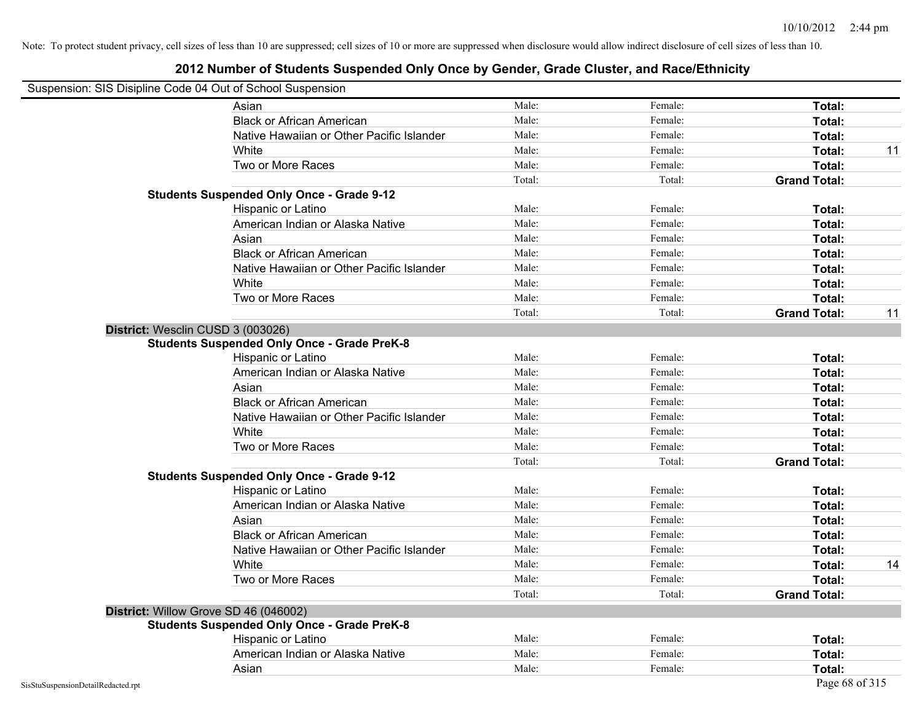### **2012 Number of Students Suspended Only Once by Gender, Grade Cluster, and Race/Ethnicity**

# Suspension: SIS Disipline Code 04 Out of School Suspension

| Asian                                              | Male:  | Female: | Total:              |    |
|----------------------------------------------------|--------|---------|---------------------|----|
| <b>Black or African American</b>                   | Male:  | Female: | Total:              |    |
| Native Hawaiian or Other Pacific Islander          | Male:  | Female: | Total:              |    |
| White                                              | Male:  | Female: | Total:              | 11 |
| Two or More Races                                  | Male:  | Female: | Total:              |    |
|                                                    | Total: | Total:  | <b>Grand Total:</b> |    |
| <b>Students Suspended Only Once - Grade 9-12</b>   |        |         |                     |    |
| Hispanic or Latino                                 | Male:  | Female: | Total:              |    |
| American Indian or Alaska Native                   | Male:  | Female: | Total:              |    |
| Asian                                              | Male:  | Female: | Total:              |    |
| <b>Black or African American</b>                   | Male:  | Female: | Total:              |    |
| Native Hawaiian or Other Pacific Islander          | Male:  | Female: | Total:              |    |
| White                                              | Male:  | Female: | Total:              |    |
| Two or More Races                                  | Male:  | Female: | Total:              |    |
|                                                    | Total: | Total:  | <b>Grand Total:</b> | 11 |
| District: Wesclin CUSD 3 (003026)                  |        |         |                     |    |
| <b>Students Suspended Only Once - Grade PreK-8</b> |        |         |                     |    |
| Hispanic or Latino                                 | Male:  | Female: | Total:              |    |
| American Indian or Alaska Native                   | Male:  | Female: | Total:              |    |
| Asian                                              | Male:  | Female: | Total:              |    |
| <b>Black or African American</b>                   | Male:  | Female: | Total:              |    |
| Native Hawaiian or Other Pacific Islander          | Male:  | Female: | Total:              |    |
| White                                              | Male:  | Female: | Total:              |    |
| Two or More Races                                  | Male:  | Female: | Total:              |    |
|                                                    | Total: | Total:  | <b>Grand Total:</b> |    |
| <b>Students Suspended Only Once - Grade 9-12</b>   |        |         |                     |    |
| Hispanic or Latino                                 | Male:  | Female: | Total:              |    |
| American Indian or Alaska Native                   | Male:  | Female: | Total:              |    |
| Asian                                              | Male:  | Female: | Total:              |    |
| <b>Black or African American</b>                   | Male:  | Female: | Total:              |    |
| Native Hawaiian or Other Pacific Islander          | Male:  | Female: | Total:              |    |
| White                                              | Male:  | Female: | Total:              | 14 |
| Two or More Races                                  | Male:  | Female: | Total:              |    |
|                                                    | Total: | Total:  | <b>Grand Total:</b> |    |
| District: Willow Grove SD 46 (046002)              |        |         |                     |    |
| <b>Students Suspended Only Once - Grade PreK-8</b> |        |         |                     |    |
| Hispanic or Latino                                 | Male:  | Female: | Total:              |    |
| American Indian or Alaska Native                   | Male:  | Female: | Total:              |    |
| Asian                                              | Male:  | Female: | Total:              |    |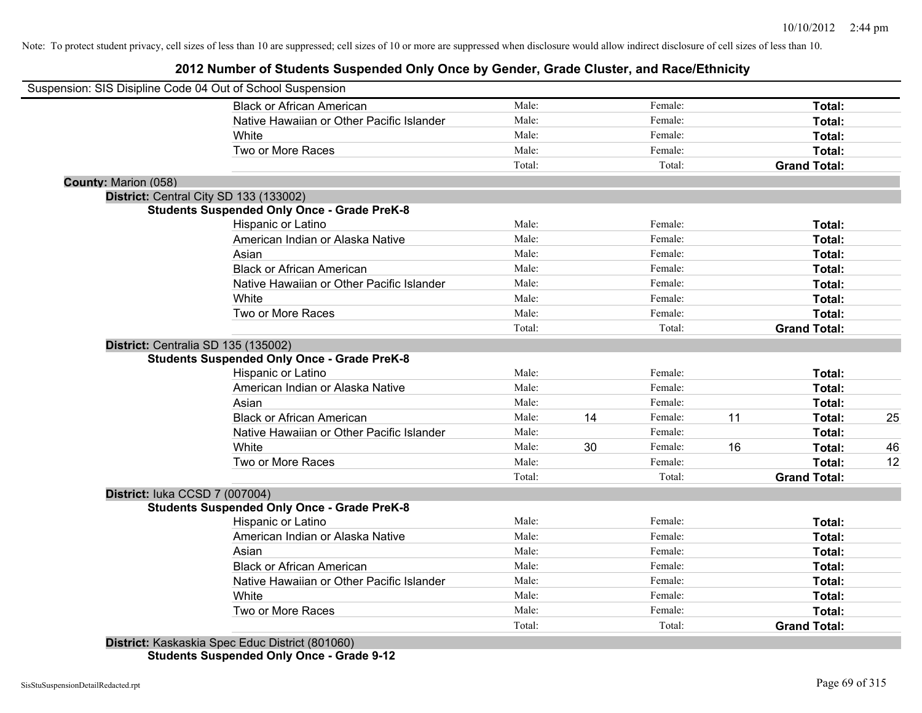**2012 Number of Students Suspended Only Once by Gender, Grade Cluster, and Race/Ethnicity**

| Suspension: SIS Disipline Code 04 Out of School Suspension |                                                    |        |    |         |    |                     |    |
|------------------------------------------------------------|----------------------------------------------------|--------|----|---------|----|---------------------|----|
|                                                            | <b>Black or African American</b>                   | Male:  |    | Female: |    | Total:              |    |
|                                                            | Native Hawaiian or Other Pacific Islander          | Male:  |    | Female: |    | Total:              |    |
|                                                            | White                                              | Male:  |    | Female: |    | Total:              |    |
|                                                            | Two or More Races                                  | Male:  |    | Female: |    | Total:              |    |
|                                                            |                                                    | Total: |    | Total:  |    | <b>Grand Total:</b> |    |
| County: Marion (058)                                       |                                                    |        |    |         |    |                     |    |
|                                                            | District: Central City SD 133 (133002)             |        |    |         |    |                     |    |
|                                                            | <b>Students Suspended Only Once - Grade PreK-8</b> |        |    |         |    |                     |    |
|                                                            | Hispanic or Latino                                 | Male:  |    | Female: |    | Total:              |    |
|                                                            | American Indian or Alaska Native                   | Male:  |    | Female: |    | Total:              |    |
|                                                            | Asian                                              | Male:  |    | Female: |    | Total:              |    |
|                                                            | <b>Black or African American</b>                   | Male:  |    | Female: |    | Total:              |    |
|                                                            | Native Hawaiian or Other Pacific Islander          | Male:  |    | Female: |    | Total:              |    |
|                                                            | White                                              | Male:  |    | Female: |    | Total:              |    |
|                                                            | Two or More Races                                  | Male:  |    | Female: |    | Total:              |    |
|                                                            |                                                    | Total: |    | Total:  |    | <b>Grand Total:</b> |    |
| District: Centralia SD 135 (135002)                        |                                                    |        |    |         |    |                     |    |
|                                                            | <b>Students Suspended Only Once - Grade PreK-8</b> |        |    |         |    |                     |    |
|                                                            | Hispanic or Latino                                 | Male:  |    | Female: |    | Total:              |    |
|                                                            | American Indian or Alaska Native                   | Male:  |    | Female: |    | Total:              |    |
|                                                            | Asian                                              | Male:  |    | Female: |    | Total:              |    |
|                                                            | <b>Black or African American</b>                   | Male:  | 14 | Female: | 11 | Total:              | 25 |
|                                                            | Native Hawaiian or Other Pacific Islander          | Male:  |    | Female: |    | Total:              |    |
|                                                            | White                                              | Male:  | 30 | Female: | 16 | Total:              | 46 |
|                                                            | Two or More Races                                  | Male:  |    | Female: |    | Total:              | 12 |
|                                                            |                                                    | Total: |    | Total:  |    | <b>Grand Total:</b> |    |
| District: luka CCSD 7 (007004)                             |                                                    |        |    |         |    |                     |    |
|                                                            | <b>Students Suspended Only Once - Grade PreK-8</b> |        |    |         |    |                     |    |
|                                                            | Hispanic or Latino                                 | Male:  |    | Female: |    | Total:              |    |
|                                                            | American Indian or Alaska Native                   | Male:  |    | Female: |    | Total:              |    |
|                                                            | Asian                                              | Male:  |    | Female: |    | Total:              |    |
|                                                            | <b>Black or African American</b>                   | Male:  |    | Female: |    | Total:              |    |
|                                                            | Native Hawaiian or Other Pacific Islander          | Male:  |    | Female: |    | Total:              |    |
|                                                            | White                                              | Male:  |    | Female: |    | Total:              |    |
|                                                            | Two or More Races                                  | Male:  |    | Female: |    | Total:              |    |
|                                                            |                                                    | Total: |    | Total:  |    | <b>Grand Total:</b> |    |
|                                                            | District: Kaskaskia Spec Educ District (801060)    |        |    |         |    |                     |    |

**Students Suspended Only Once - Grade 9-12**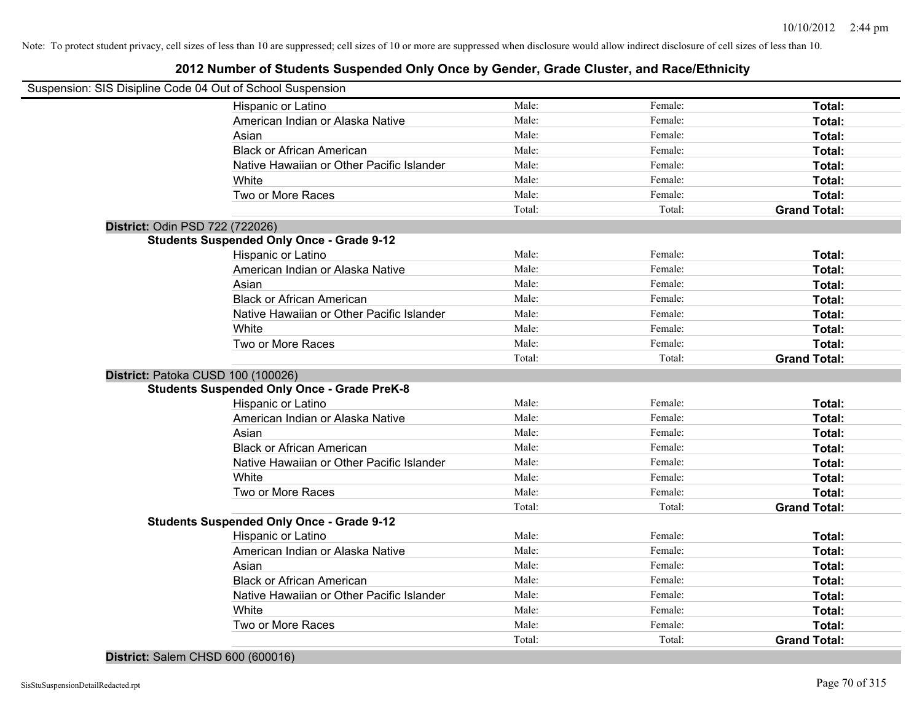| Suspension: SIS Disipline Code 04 Out of School Suspension |                                                    |                |         |                     |
|------------------------------------------------------------|----------------------------------------------------|----------------|---------|---------------------|
|                                                            | Hispanic or Latino                                 | Male:          | Female: | Total:              |
|                                                            | American Indian or Alaska Native                   | Male:          | Female: | Total:              |
|                                                            | Asian                                              | Male:          | Female: | Total:              |
|                                                            | <b>Black or African American</b>                   | Male:          | Female: | Total:              |
|                                                            | Native Hawaiian or Other Pacific Islander          | Male:          | Female: | Total:              |
|                                                            | White                                              | Male:          | Female: | Total:              |
|                                                            | Two or More Races                                  | Male:          | Female: | Total:              |
|                                                            |                                                    | Total:         | Total:  | <b>Grand Total:</b> |
| District: Odin PSD 722 (722026)                            |                                                    |                |         |                     |
|                                                            | <b>Students Suspended Only Once - Grade 9-12</b>   |                |         |                     |
|                                                            | <b>Hispanic or Latino</b>                          | Male:          | Female: | Total:              |
|                                                            | American Indian or Alaska Native                   | Male:          | Female: | Total:              |
|                                                            | Asian                                              | Male:          | Female: | Total:              |
|                                                            | <b>Black or African American</b>                   | Male:          | Female: | Total:              |
|                                                            | Native Hawaiian or Other Pacific Islander          | Male:          | Female: | Total:              |
|                                                            | White                                              | Male:          | Female: | Total:              |
|                                                            | Two or More Races                                  | Male:          | Female: | Total:              |
|                                                            |                                                    | Total:         | Total:  | <b>Grand Total:</b> |
| District: Patoka CUSD 100 (100026)                         |                                                    |                |         |                     |
|                                                            | <b>Students Suspended Only Once - Grade PreK-8</b> |                |         |                     |
|                                                            | Hispanic or Latino                                 | Male:          | Female: | Total:              |
|                                                            | American Indian or Alaska Native                   | Male:          | Female: | Total:              |
|                                                            | Asian                                              | Male:          | Female: | Total:              |
|                                                            | <b>Black or African American</b>                   | Male:          | Female: | Total:              |
|                                                            | Native Hawaiian or Other Pacific Islander          | Male:          | Female: | Total:              |
|                                                            | White                                              | Male:          | Female: | Total:              |
|                                                            | Two or More Races                                  | Male:          | Female: | Total:              |
|                                                            |                                                    | Total:         | Total:  | <b>Grand Total:</b> |
|                                                            | <b>Students Suspended Only Once - Grade 9-12</b>   |                |         |                     |
|                                                            | Hispanic or Latino                                 | Male:          | Female: | Total:              |
|                                                            | American Indian or Alaska Native                   | Male:          | Female: | Total:              |
|                                                            | Asian                                              | Male:          | Female: | Total:              |
|                                                            | <b>Black or African American</b>                   | Male:          | Female: | Total:              |
|                                                            | Native Hawaiian or Other Pacific Islander          | Male:          | Female: | Total:              |
|                                                            | White                                              | Male:<br>Male: | Female: | Total:              |
|                                                            | Two or More Races                                  |                | Female: | Total:              |
|                                                            |                                                    | Total:         | Total:  | <b>Grand Total:</b> |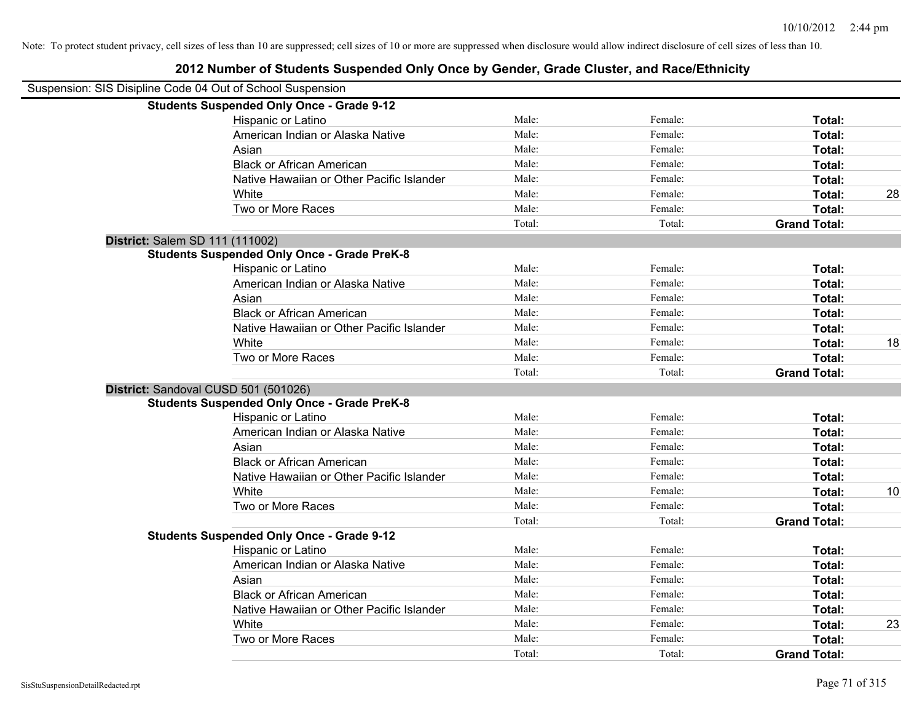### **2012 Number of Students Suspended Only Once by Gender, Grade Cluster, and Race/Ethnicity** Suspension: SIS Disipline Code 04 Out of School Suspension **Students Suspended Only Once - Grade 9-12** Hispanic or Latino **Finally Hispanic or Latino** *Total:* Male: Female: **Female: Total: Total:** Female: **Total:** American Indian or Alaska Native **Male:** Male: Female: Female: **Total:** Total: Asian **Female:** Total: Male: Female: **Total:** Total: Total: Total: Total: Total: Total: Total: Total: Total: Total: Total: Total: Total: Total: Total: Total: Total: Total: Total: Total: Total: Total: Total: Total: Total: T Black or African American **Figure 1.1 and Total:** Male: Female: Female: **Total:** Total: Native Hawaiian or Other Pacific Islander Male: Total: Female: Female: Total: Total: White **Male:** Male: **Total: 28** Male: **Total: 28** Male: **Total: 28** Two or More Races **Total:** Total: Male: Female: Female: **Total:** Female: **Total:** Total: Total: Total: **Grand Total: District:** Salem SD 111 (111002) **Students Suspended Only Once - Grade PreK-8** Hispanic or Latino **Finally Contract Contract Contract Contract Contract Contract Contract Contract Contract Contract Contract Contract Contract Contract Contract Contract Contract Contract Contract Contract Contract Contr** American Indian or Alaska Native **Male:** Male: Female: Female: **Total:** Total: Asian **Female:** Total: Male: Female: **Total: Total:** Total: Total: Female: Total: Total: Total: Total: Total: Total: Total: Total: Total: Total: Total: Total: Total: Total: Total: Total: Total: Total: Total: Total: Total: Black or African American **Figure 1.1 and Total:** Male: Female: Female: **Total:** Total: Native Hawaiian or Other Pacific Islander **Male:** Male: Female: Female: **Total:** Total: White **Male:** Male: **Total: 18** Male: **Total: 18** Male: **Total: 18** Two or More Races **Total:** Total: Male: Female: Female: **Total:** Total: Female: Total: Total: Total: **Grand Total: District:** Sandoval CUSD 501 (501026) **Students Suspended Only Once - Grade PreK-8** Hispanic or Latino **Finally Contract Contract Contract Contract Contract Contract Contract Contract Contract Contract Contract Contract Contract Contract Contract Contract Contract Contract Contract Contract Contract Contr** American Indian or Alaska Native **Male:** Male: Female: Female: **Total:** Total: Asian **Asian Male:** Total: Male: Female: **Total: Total:** Total: Total: Total: Total: Total: Total: Total: Total: Total: Total: Total: Total: Total: Total: Total: Total: Total: Total: Total: Total: Total: Total: Total: Tota Black or African American **Figure 1.1 and Total:** Male: Female: Female: **Total:** Total: Native Hawaiian or Other Pacific Islander **Male:** Male: Female: Female: **Total:** Total: White **Male:** Male: **Total: 10** Male: **Total: 10** Male: **Total: 10** Two or More Races **Total:** Total: Male: Female: Female: **Total:** Total: Total: Total: **Grand Total: Students Suspended Only Once - Grade 9-12** Hispanic or Latino **Finally Contract Contract Contract Contract Contract Contract Contract Contract Contract Contract Contract Contract Contract Contract Contract Contract Contract Contract Contract Contract Contract Contr** American Indian or Alaska Native **Male:** Male: Female: Female: **Total:** Total: Asian **Asian Male:** Total: Male: Female: **Total: Total:** Total: Total: Total: Total: Total: Total: Total: Total: Total: Total: Total: Total: Total: Total: Total: Total: Total: Total: Total: Total: Total: Total: Total: Tota Black or African American **Figure 1.1 and Total:** Male: Female: Female: **Total:** Total: Native Hawaiian or Other Pacific Islander **Male:** Male: Female: Female: **Total:** Total: White **Male:** Male: **Total: 23** Male: **Total: 23** Two or More Races **Total:** Total: Male: Female: Female: **Total:** Total: Female: Total:

Total: Total: **Grand Total:**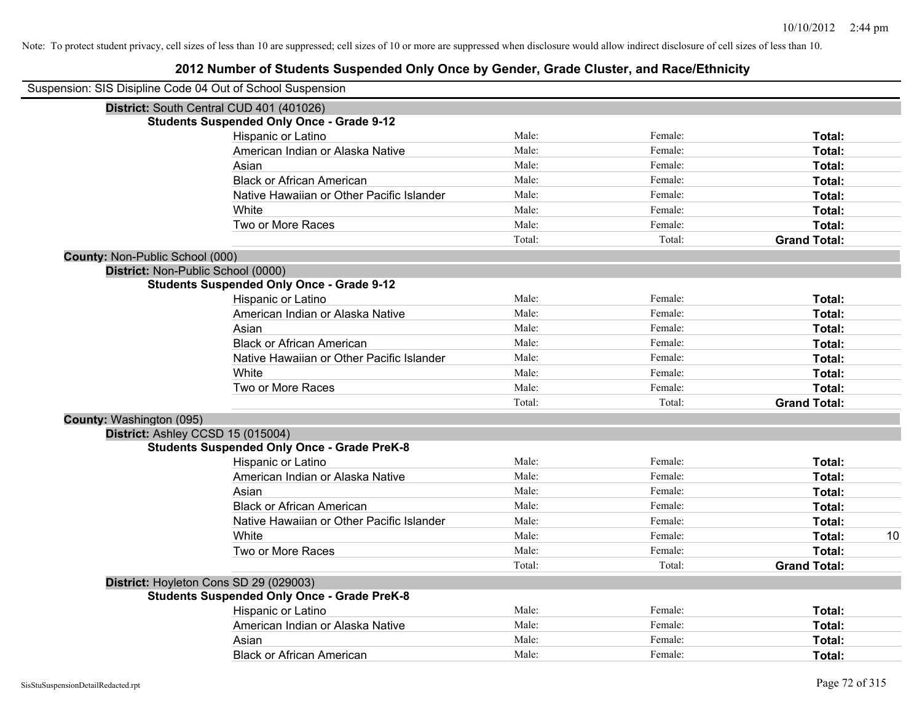| Suspension: SIS Disipline Code 04 Out of School Suspension |                                                    |        |         |                     |    |
|------------------------------------------------------------|----------------------------------------------------|--------|---------|---------------------|----|
|                                                            | District: South Central CUD 401 (401026)           |        |         |                     |    |
|                                                            | <b>Students Suspended Only Once - Grade 9-12</b>   |        |         |                     |    |
|                                                            | Hispanic or Latino                                 | Male:  | Female: | Total:              |    |
|                                                            | American Indian or Alaska Native                   | Male:  | Female: | Total:              |    |
|                                                            | Asian                                              | Male:  | Female: | Total:              |    |
|                                                            | <b>Black or African American</b>                   | Male:  | Female: | Total:              |    |
|                                                            | Native Hawaiian or Other Pacific Islander          | Male:  | Female: | Total:              |    |
|                                                            | White                                              | Male:  | Female: | Total:              |    |
|                                                            | Two or More Races                                  | Male:  | Female: | Total:              |    |
|                                                            |                                                    | Total: | Total:  | <b>Grand Total:</b> |    |
| County: Non-Public School (000)                            |                                                    |        |         |                     |    |
| District: Non-Public School (0000)                         |                                                    |        |         |                     |    |
|                                                            | <b>Students Suspended Only Once - Grade 9-12</b>   |        |         |                     |    |
|                                                            | Hispanic or Latino                                 | Male:  | Female: | Total:              |    |
|                                                            | American Indian or Alaska Native                   | Male:  | Female: | Total:              |    |
|                                                            | Asian                                              | Male:  | Female: | Total:              |    |
|                                                            | <b>Black or African American</b>                   | Male:  | Female: | Total:              |    |
|                                                            | Native Hawaiian or Other Pacific Islander          | Male:  | Female: | Total:              |    |
|                                                            | White                                              | Male:  | Female: | Total:              |    |
|                                                            | Two or More Races                                  | Male:  | Female: | Total:              |    |
|                                                            |                                                    | Total: | Total:  | <b>Grand Total:</b> |    |
| County: Washington (095)                                   |                                                    |        |         |                     |    |
|                                                            | District: Ashley CCSD 15 (015004)                  |        |         |                     |    |
|                                                            | <b>Students Suspended Only Once - Grade PreK-8</b> |        |         |                     |    |
|                                                            | Hispanic or Latino                                 | Male:  | Female: | Total:              |    |
|                                                            | American Indian or Alaska Native                   | Male:  | Female: | Total:              |    |
|                                                            | Asian                                              | Male:  | Female: | Total:              |    |
|                                                            | <b>Black or African American</b>                   | Male:  | Female: | Total:              |    |
|                                                            | Native Hawaiian or Other Pacific Islander          | Male:  | Female: | Total:              |    |
|                                                            | White                                              | Male:  | Female: | Total:              | 10 |
|                                                            | Two or More Races                                  | Male:  | Female: | Total:              |    |
|                                                            |                                                    | Total: | Total:  | <b>Grand Total:</b> |    |
|                                                            | District: Hoyleton Cons SD 29 (029003)             |        |         |                     |    |
|                                                            | <b>Students Suspended Only Once - Grade PreK-8</b> |        |         |                     |    |
|                                                            | Hispanic or Latino                                 | Male:  | Female: | Total:              |    |
|                                                            | American Indian or Alaska Native                   | Male:  | Female: | Total:              |    |
|                                                            | Asian                                              | Male:  | Female: | Total:              |    |
|                                                            | <b>Black or African American</b>                   | Male:  | Female: | Total:              |    |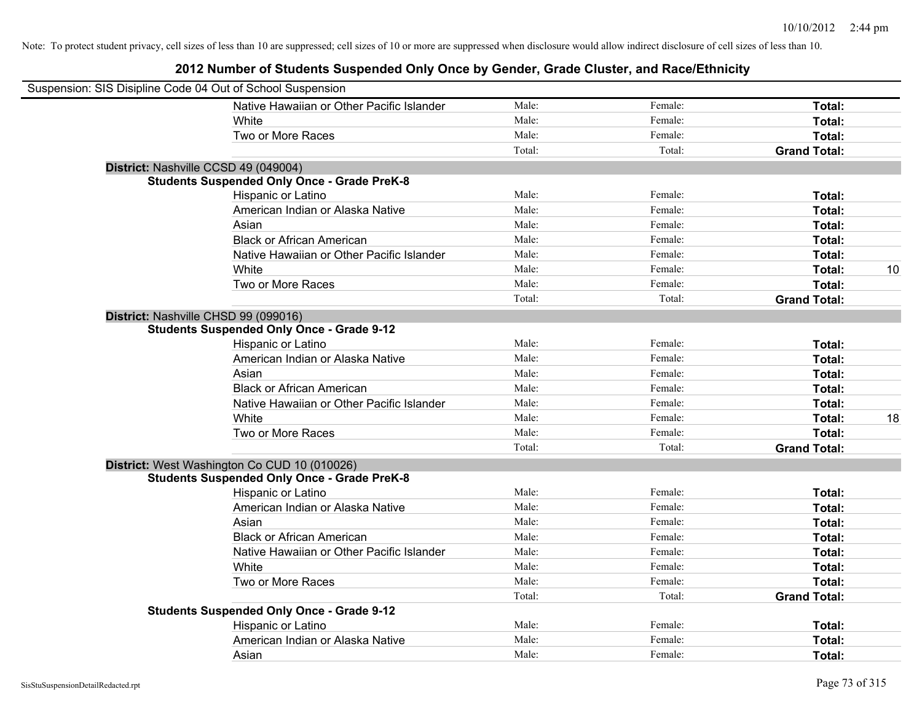| Suspension: SIS Disipline Code 04 Out of School Suspension |                                                    |        |         |                     |    |
|------------------------------------------------------------|----------------------------------------------------|--------|---------|---------------------|----|
|                                                            | Native Hawaiian or Other Pacific Islander          | Male:  | Female: | Total:              |    |
|                                                            | White                                              | Male:  | Female: | Total:              |    |
|                                                            | Two or More Races                                  | Male:  | Female: | Total:              |    |
|                                                            |                                                    | Total: | Total:  | <b>Grand Total:</b> |    |
|                                                            | District: Nashville CCSD 49 (049004)               |        |         |                     |    |
|                                                            | <b>Students Suspended Only Once - Grade PreK-8</b> |        |         |                     |    |
|                                                            | Hispanic or Latino                                 | Male:  | Female: | Total:              |    |
|                                                            | American Indian or Alaska Native                   | Male:  | Female: | Total:              |    |
|                                                            | Asian                                              | Male:  | Female: | Total:              |    |
|                                                            | <b>Black or African American</b>                   | Male:  | Female: | Total:              |    |
|                                                            | Native Hawaiian or Other Pacific Islander          | Male:  | Female: | Total:              |    |
|                                                            | White                                              | Male:  | Female: | Total:              | 10 |
|                                                            | Two or More Races                                  | Male:  | Female: | Total:              |    |
|                                                            |                                                    | Total: | Total:  | <b>Grand Total:</b> |    |
|                                                            | District: Nashville CHSD 99 (099016)               |        |         |                     |    |
|                                                            | <b>Students Suspended Only Once - Grade 9-12</b>   |        |         |                     |    |
|                                                            | Hispanic or Latino                                 | Male:  | Female: | Total:              |    |
|                                                            | American Indian or Alaska Native                   | Male:  | Female: | Total:              |    |
|                                                            | Asian                                              | Male:  | Female: | Total:              |    |
|                                                            | <b>Black or African American</b>                   | Male:  | Female: | Total:              |    |
|                                                            | Native Hawaiian or Other Pacific Islander          | Male:  | Female: | Total:              |    |
|                                                            | White                                              | Male:  | Female: | Total:              | 18 |
|                                                            | Two or More Races                                  | Male:  | Female: | Total:              |    |
|                                                            |                                                    | Total: | Total:  | <b>Grand Total:</b> |    |
|                                                            | District: West Washington Co CUD 10 (010026)       |        |         |                     |    |
|                                                            | <b>Students Suspended Only Once - Grade PreK-8</b> |        |         |                     |    |
|                                                            | Hispanic or Latino                                 | Male:  | Female: | Total:              |    |
|                                                            | American Indian or Alaska Native                   | Male:  | Female: | Total:              |    |
|                                                            | Asian                                              | Male:  | Female: | Total:              |    |
|                                                            | <b>Black or African American</b>                   | Male:  | Female: | Total:              |    |
|                                                            | Native Hawaiian or Other Pacific Islander          | Male:  | Female: | Total:              |    |
|                                                            | White                                              | Male:  | Female: | Total:              |    |
|                                                            | Two or More Races                                  | Male:  | Female: | Total:              |    |
|                                                            |                                                    | Total: | Total:  | <b>Grand Total:</b> |    |
|                                                            | <b>Students Suspended Only Once - Grade 9-12</b>   |        |         |                     |    |
|                                                            | Hispanic or Latino                                 | Male:  | Female: | Total:              |    |
|                                                            | American Indian or Alaska Native                   | Male:  | Female: | Total:              |    |
|                                                            | Asian                                              | Male:  | Female: | Total:              |    |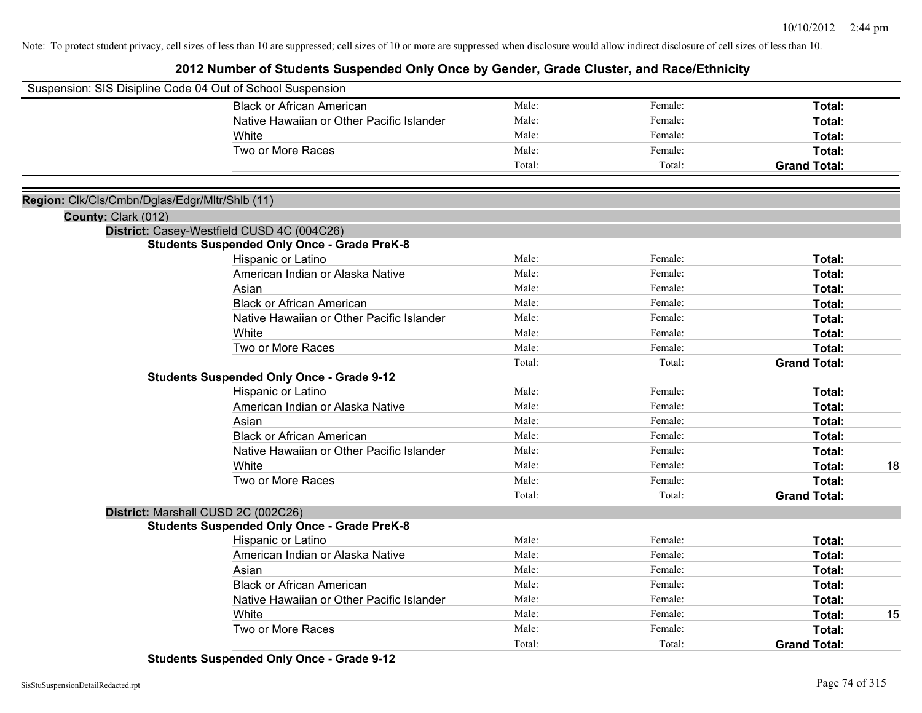### **2012 Number of Students Suspended Only Once by Gender, Grade Cluster, and Race/Ethnicity**

|                                                | Suspension: SIS Disipline Code 04 Out of School Suspension                                |        |         |                     |    |
|------------------------------------------------|-------------------------------------------------------------------------------------------|--------|---------|---------------------|----|
|                                                | <b>Black or African American</b>                                                          | Male:  | Female: | Total:              |    |
|                                                | Native Hawaiian or Other Pacific Islander                                                 | Male:  | Female: | Total:              |    |
|                                                | White                                                                                     | Male:  | Female: | Total:              |    |
|                                                | Two or More Races                                                                         | Male:  | Female: | Total:              |    |
|                                                |                                                                                           | Total: | Total:  | <b>Grand Total:</b> |    |
|                                                |                                                                                           |        |         |                     |    |
| Region: Clk/Cls/Cmbn/Dglas/Edgr/Mltr/Shlb (11) |                                                                                           |        |         |                     |    |
| County: Clark (012)                            |                                                                                           |        |         |                     |    |
|                                                | District: Casey-Westfield CUSD 4C (004C26)                                                |        |         |                     |    |
|                                                | <b>Students Suspended Only Once - Grade PreK-8</b>                                        |        |         |                     |    |
|                                                | Hispanic or Latino                                                                        | Male:  | Female: | Total:              |    |
|                                                | American Indian or Alaska Native                                                          | Male:  | Female: | Total:              |    |
|                                                | Asian                                                                                     | Male:  | Female: | Total:              |    |
|                                                | <b>Black or African American</b>                                                          | Male:  | Female: | Total:              |    |
|                                                | Native Hawaiian or Other Pacific Islander                                                 | Male:  | Female: | Total:              |    |
|                                                | White                                                                                     | Male:  | Female: | Total:              |    |
|                                                | Two or More Races                                                                         | Male:  | Female: | Total:              |    |
|                                                |                                                                                           | Total: | Total:  | <b>Grand Total:</b> |    |
|                                                | <b>Students Suspended Only Once - Grade 9-12</b>                                          | Male:  | Female: |                     |    |
|                                                | Hispanic or Latino<br>American Indian or Alaska Native                                    | Male:  | Female: | Total:<br>Total:    |    |
|                                                | Asian                                                                                     | Male:  | Female: | Total:              |    |
|                                                | <b>Black or African American</b>                                                          | Male:  | Female: | Total:              |    |
|                                                | Native Hawaiian or Other Pacific Islander                                                 | Male:  | Female: | Total:              |    |
|                                                | White                                                                                     | Male:  | Female: | Total:              | 18 |
|                                                | Two or More Races                                                                         | Male:  | Female: | Total:              |    |
|                                                |                                                                                           | Total: | Total:  | <b>Grand Total:</b> |    |
|                                                |                                                                                           |        |         |                     |    |
|                                                | District: Marshall CUSD 2C (002C26)<br><b>Students Suspended Only Once - Grade PreK-8</b> |        |         |                     |    |
|                                                | Hispanic or Latino                                                                        | Male:  | Female: | Total:              |    |
|                                                | American Indian or Alaska Native                                                          | Male:  | Female: | Total:              |    |
|                                                | Asian                                                                                     | Male:  | Female: | Total:              |    |
|                                                | <b>Black or African American</b>                                                          | Male:  | Female: | Total:              |    |
|                                                | Native Hawaiian or Other Pacific Islander                                                 | Male:  | Female: | Total:              |    |
|                                                | White                                                                                     | Male:  | Female: | Total:              | 15 |
|                                                | Two or More Races                                                                         | Male:  | Female: | Total:              |    |
|                                                |                                                                                           | Total: | Total:  | <b>Grand Total:</b> |    |
|                                                |                                                                                           |        |         |                     |    |

**Students Suspended Only Once - Grade 9-12**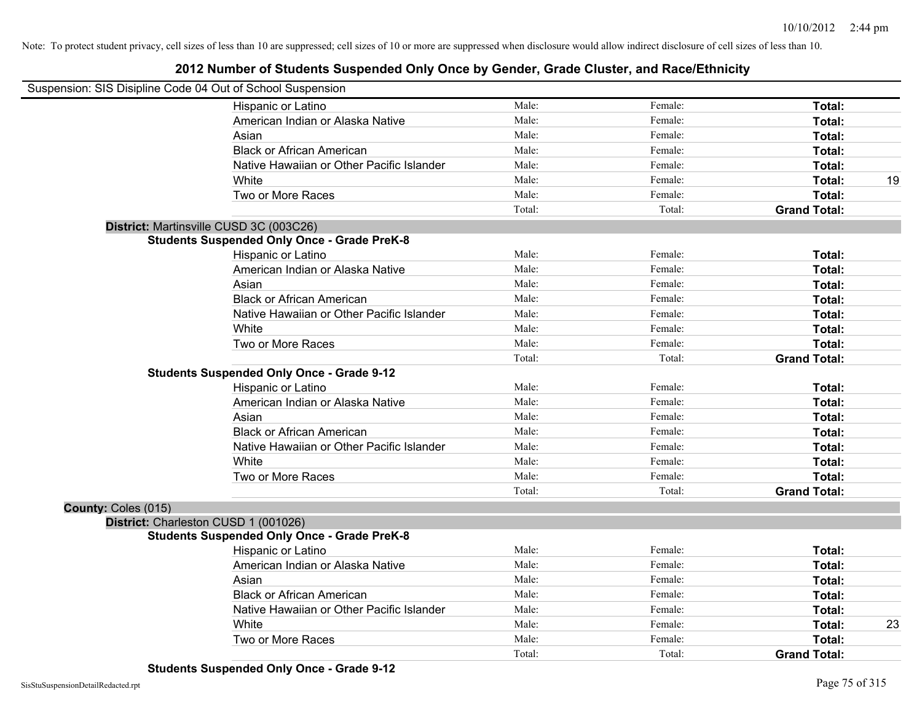|                     | Suspension: SIS Disipline Code 04 Out of School Suspension |        |         |                     |    |
|---------------------|------------------------------------------------------------|--------|---------|---------------------|----|
|                     | Hispanic or Latino                                         | Male:  | Female: | Total:              |    |
|                     | American Indian or Alaska Native                           | Male:  | Female: | Total:              |    |
|                     | Asian                                                      | Male:  | Female: | Total:              |    |
|                     | <b>Black or African American</b>                           | Male:  | Female: | Total:              |    |
|                     | Native Hawaiian or Other Pacific Islander                  | Male:  | Female: | Total:              |    |
|                     | White                                                      | Male:  | Female: | Total:              | 19 |
|                     | Two or More Races                                          | Male:  | Female: | Total:              |    |
|                     |                                                            | Total: | Total:  | <b>Grand Total:</b> |    |
|                     | District: Martinsville CUSD 3C (003C26)                    |        |         |                     |    |
|                     | <b>Students Suspended Only Once - Grade PreK-8</b>         |        |         |                     |    |
|                     | Hispanic or Latino                                         | Male:  | Female: | Total:              |    |
|                     | American Indian or Alaska Native                           | Male:  | Female: | Total:              |    |
|                     | Asian                                                      | Male:  | Female: | Total:              |    |
|                     | <b>Black or African American</b>                           | Male:  | Female: | Total:              |    |
|                     | Native Hawaiian or Other Pacific Islander                  | Male:  | Female: | Total:              |    |
|                     | White                                                      | Male:  | Female: | Total:              |    |
|                     | Two or More Races                                          | Male:  | Female: | Total:              |    |
|                     |                                                            | Total: | Total:  | <b>Grand Total:</b> |    |
|                     | <b>Students Suspended Only Once - Grade 9-12</b>           |        |         |                     |    |
|                     | Hispanic or Latino                                         | Male:  | Female: | Total:              |    |
|                     | American Indian or Alaska Native                           | Male:  | Female: | Total:              |    |
|                     | Asian                                                      | Male:  | Female: | Total:              |    |
|                     | <b>Black or African American</b>                           | Male:  | Female: | Total:              |    |
|                     | Native Hawaiian or Other Pacific Islander                  | Male:  | Female: | Total:              |    |
|                     | White                                                      | Male:  | Female: | Total:              |    |
|                     | Two or More Races                                          | Male:  | Female: | Total:              |    |
|                     |                                                            | Total: | Total:  | <b>Grand Total:</b> |    |
| County: Coles (015) |                                                            |        |         |                     |    |
|                     | District: Charleston CUSD 1 (001026)                       |        |         |                     |    |
|                     | <b>Students Suspended Only Once - Grade PreK-8</b>         |        |         |                     |    |
|                     | Hispanic or Latino                                         | Male:  | Female: | Total:              |    |
|                     | American Indian or Alaska Native                           | Male:  | Female: | Total:              |    |
|                     | Asian                                                      | Male:  | Female: | Total:              |    |
|                     | <b>Black or African American</b>                           | Male:  | Female: | Total:              |    |
|                     | Native Hawaiian or Other Pacific Islander                  | Male:  | Female: | Total:              |    |
|                     | White                                                      | Male:  | Female: | Total:              | 23 |
|                     | Two or More Races                                          | Male:  | Female: | Total:              |    |
|                     |                                                            | Total: | Total:  | <b>Grand Total:</b> |    |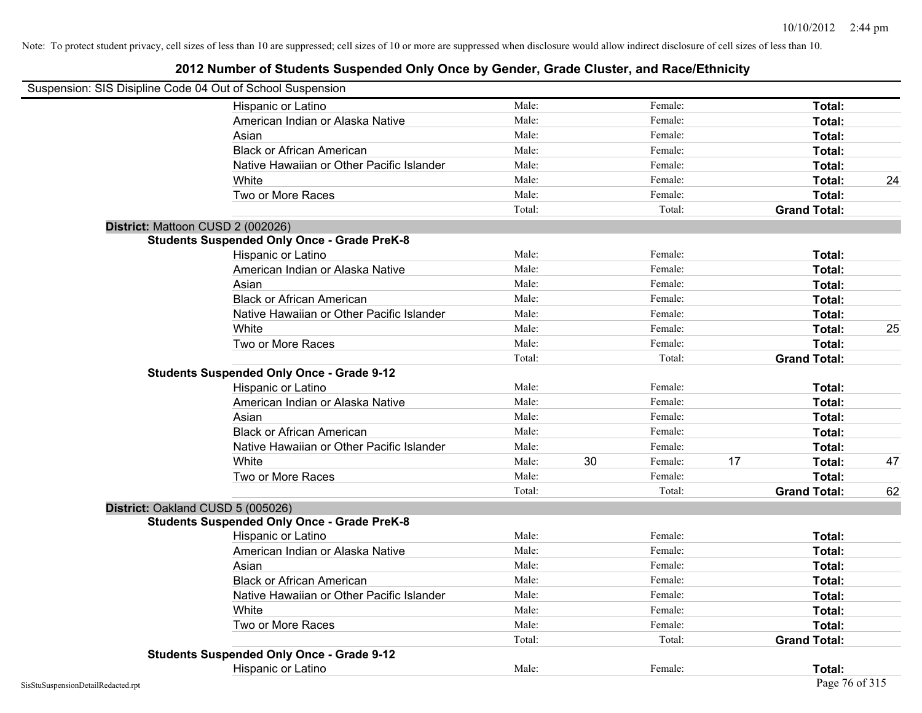| Suspension: SIS Disipline Code 04 Out of School Suspension |                                                    |        |    |         |    |                     |    |
|------------------------------------------------------------|----------------------------------------------------|--------|----|---------|----|---------------------|----|
|                                                            | Hispanic or Latino                                 | Male:  |    | Female: |    | Total:              |    |
|                                                            | American Indian or Alaska Native                   | Male:  |    | Female: |    | Total:              |    |
|                                                            | Asian                                              | Male:  |    | Female: |    | Total:              |    |
|                                                            | <b>Black or African American</b>                   | Male:  |    | Female: |    | Total:              |    |
|                                                            | Native Hawaiian or Other Pacific Islander          | Male:  |    | Female: |    | Total:              |    |
|                                                            | White                                              | Male:  |    | Female: |    | Total:              | 24 |
|                                                            | Two or More Races                                  | Male:  |    | Female: |    | Total:              |    |
|                                                            |                                                    | Total: |    | Total:  |    | <b>Grand Total:</b> |    |
| District: Mattoon CUSD 2 (002026)                          |                                                    |        |    |         |    |                     |    |
|                                                            | <b>Students Suspended Only Once - Grade PreK-8</b> |        |    |         |    |                     |    |
|                                                            | Hispanic or Latino                                 | Male:  |    | Female: |    | Total:              |    |
|                                                            | American Indian or Alaska Native                   | Male:  |    | Female: |    | Total:              |    |
|                                                            | Asian                                              | Male:  |    | Female: |    | Total:              |    |
|                                                            | <b>Black or African American</b>                   | Male:  |    | Female: |    | Total:              |    |
|                                                            | Native Hawaiian or Other Pacific Islander          | Male:  |    | Female: |    | Total:              |    |
|                                                            | White                                              | Male:  |    | Female: |    | Total:              | 25 |
|                                                            | Two or More Races                                  | Male:  |    | Female: |    | Total:              |    |
|                                                            |                                                    | Total: |    | Total:  |    | <b>Grand Total:</b> |    |
|                                                            | <b>Students Suspended Only Once - Grade 9-12</b>   |        |    |         |    |                     |    |
|                                                            | Hispanic or Latino                                 | Male:  |    | Female: |    | Total:              |    |
|                                                            | American Indian or Alaska Native                   | Male:  |    | Female: |    | Total:              |    |
|                                                            | Asian                                              | Male:  |    | Female: |    | Total:              |    |
|                                                            | <b>Black or African American</b>                   | Male:  |    | Female: |    | Total:              |    |
|                                                            | Native Hawaiian or Other Pacific Islander          | Male:  |    | Female: |    | Total:              |    |
|                                                            | White                                              | Male:  | 30 | Female: | 17 | Total:              | 47 |
|                                                            | Two or More Races                                  | Male:  |    | Female: |    | Total:              |    |
|                                                            |                                                    | Total: |    | Total:  |    | <b>Grand Total:</b> | 62 |
| District: Oakland CUSD 5 (005026)                          |                                                    |        |    |         |    |                     |    |
|                                                            | <b>Students Suspended Only Once - Grade PreK-8</b> |        |    |         |    |                     |    |
|                                                            | Hispanic or Latino                                 | Male:  |    | Female: |    | Total:              |    |
|                                                            | American Indian or Alaska Native                   | Male:  |    | Female: |    | Total:              |    |
|                                                            | Asian                                              | Male:  |    | Female: |    | <b>Total:</b>       |    |
|                                                            | <b>Black or African American</b>                   | Male:  |    | Female: |    | Total:              |    |
|                                                            | Native Hawaiian or Other Pacific Islander          | Male:  |    | Female: |    | Total:              |    |
|                                                            | White                                              | Male:  |    | Female: |    | Total:              |    |
|                                                            | Two or More Races                                  | Male:  |    | Female: |    | Total:              |    |
|                                                            |                                                    | Total: |    | Total:  |    | <b>Grand Total:</b> |    |
|                                                            | <b>Students Suspended Only Once - Grade 9-12</b>   |        |    |         |    |                     |    |
|                                                            | Hispanic or Latino                                 | Male:  |    | Female: |    | Total:              |    |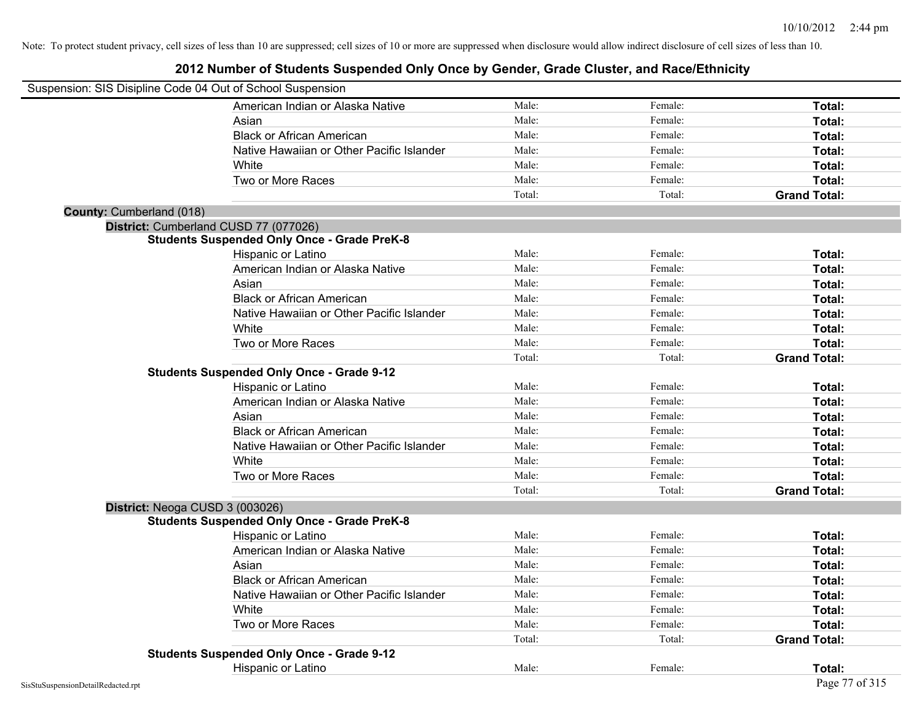| Suspension: SIS Disipline Code 04 Out of School Suspension |                                                    |        |         |                     |
|------------------------------------------------------------|----------------------------------------------------|--------|---------|---------------------|
|                                                            | American Indian or Alaska Native                   | Male:  | Female: | Total:              |
|                                                            | Asian                                              | Male:  | Female: | Total:              |
|                                                            | <b>Black or African American</b>                   | Male:  | Female: | Total:              |
|                                                            | Native Hawaiian or Other Pacific Islander          | Male:  | Female: | Total:              |
|                                                            | White                                              | Male:  | Female: | Total:              |
|                                                            | Two or More Races                                  | Male:  | Female: | Total:              |
|                                                            |                                                    | Total: | Total:  | <b>Grand Total:</b> |
| County: Cumberland (018)                                   |                                                    |        |         |                     |
| District: Cumberland CUSD 77 (077026)                      |                                                    |        |         |                     |
|                                                            | <b>Students Suspended Only Once - Grade PreK-8</b> |        |         |                     |
|                                                            | Hispanic or Latino                                 | Male:  | Female: | Total:              |
|                                                            | American Indian or Alaska Native                   | Male:  | Female: | Total:              |
|                                                            | Asian                                              | Male:  | Female: | Total:              |
|                                                            | <b>Black or African American</b>                   | Male:  | Female: | Total:              |
|                                                            | Native Hawaiian or Other Pacific Islander          | Male:  | Female: | Total:              |
|                                                            | White                                              | Male:  | Female: | Total:              |
|                                                            | Two or More Races                                  | Male:  | Female: | Total:              |
|                                                            |                                                    | Total: | Total:  | <b>Grand Total:</b> |
|                                                            | <b>Students Suspended Only Once - Grade 9-12</b>   |        |         |                     |
|                                                            | Hispanic or Latino                                 | Male:  | Female: | Total:              |
|                                                            | American Indian or Alaska Native                   | Male:  | Female: | Total:              |
|                                                            | Asian                                              | Male:  | Female: | Total:              |
|                                                            | <b>Black or African American</b>                   | Male:  | Female: | Total:              |
|                                                            | Native Hawaiian or Other Pacific Islander          | Male:  | Female: | Total:              |
|                                                            | White                                              | Male:  | Female: | Total:              |
|                                                            | Two or More Races                                  | Male:  | Female: | Total:              |
|                                                            |                                                    | Total: | Total:  | <b>Grand Total:</b> |
| District: Neoga CUSD 3 (003026)                            |                                                    |        |         |                     |
|                                                            | <b>Students Suspended Only Once - Grade PreK-8</b> |        |         |                     |
|                                                            | Hispanic or Latino                                 | Male:  | Female: | Total:              |
|                                                            | American Indian or Alaska Native                   | Male:  | Female: | Total:              |
|                                                            | Asian                                              | Male:  | Female: | Total:              |
|                                                            | <b>Black or African American</b>                   | Male:  | Female: | Total:              |
|                                                            | Native Hawaiian or Other Pacific Islander          | Male:  | Female: | Total:              |
|                                                            | White                                              | Male:  | Female: | Total:              |
|                                                            | Two or More Races                                  | Male:  | Female: | Total:              |
|                                                            |                                                    | Total: | Total:  | <b>Grand Total:</b> |
|                                                            | <b>Students Suspended Only Once - Grade 9-12</b>   |        |         |                     |
|                                                            | Hispanic or Latino                                 | Male:  | Female: | Total:              |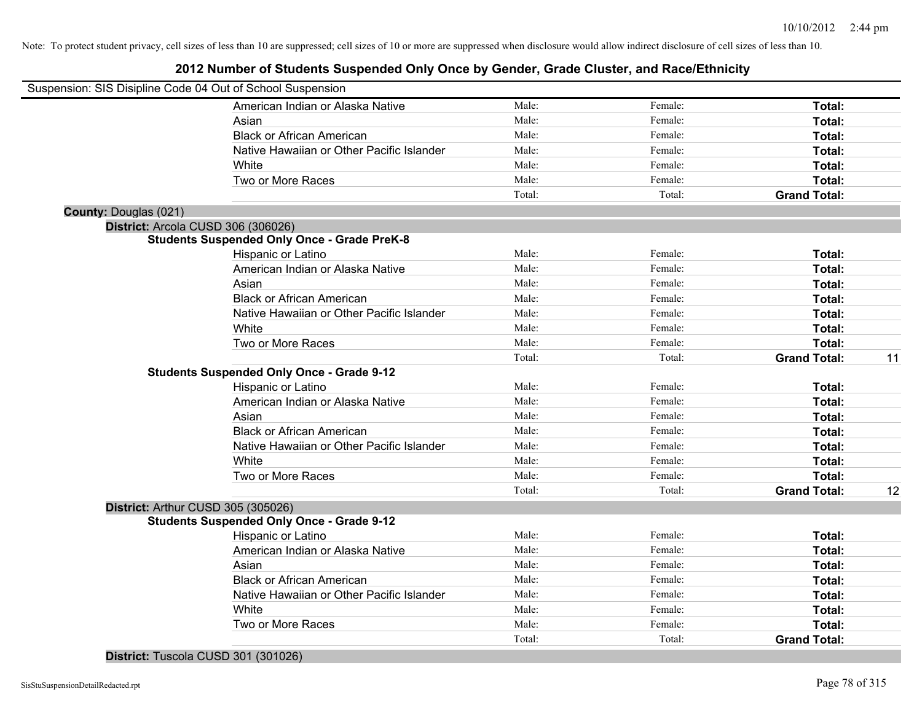### **2012 Number of Students Suspended Only Once by Gender, Grade Cluster, and Race/Ethnicity**

|                              | Suspension: SIS Disipline Code 04 Out of School Suspension |        |         |                     |    |
|------------------------------|------------------------------------------------------------|--------|---------|---------------------|----|
|                              | American Indian or Alaska Native                           | Male:  | Female: | Total:              |    |
|                              | Asian                                                      | Male:  | Female: | Total:              |    |
|                              | <b>Black or African American</b>                           | Male:  | Female: | Total:              |    |
|                              | Native Hawaiian or Other Pacific Islander                  | Male:  | Female: | Total:              |    |
|                              | White                                                      | Male:  | Female: | Total:              |    |
|                              | Two or More Races                                          | Male:  | Female: | Total:              |    |
|                              |                                                            | Total: | Total:  | <b>Grand Total:</b> |    |
| <b>County: Douglas (021)</b> |                                                            |        |         |                     |    |
|                              | District: Arcola CUSD 306 (306026)                         |        |         |                     |    |
|                              | <b>Students Suspended Only Once - Grade PreK-8</b>         |        |         |                     |    |
|                              | Hispanic or Latino                                         | Male:  | Female: | Total:              |    |
|                              | American Indian or Alaska Native                           | Male:  | Female: | Total:              |    |
|                              | Asian                                                      | Male:  | Female: | Total:              |    |
|                              | <b>Black or African American</b>                           | Male:  | Female: | Total:              |    |
|                              | Native Hawaiian or Other Pacific Islander                  | Male:  | Female: | Total:              |    |
|                              | White                                                      | Male:  | Female: | Total:              |    |
|                              | Two or More Races                                          | Male:  | Female: | Total:              |    |
|                              |                                                            | Total: | Total:  | <b>Grand Total:</b> | 11 |
|                              | <b>Students Suspended Only Once - Grade 9-12</b>           |        |         |                     |    |
|                              | Hispanic or Latino                                         | Male:  | Female: | Total:              |    |
|                              | American Indian or Alaska Native                           | Male:  | Female: | Total:              |    |
|                              | Asian                                                      | Male:  | Female: | Total:              |    |
|                              | <b>Black or African American</b>                           | Male:  | Female: | Total:              |    |
|                              | Native Hawaiian or Other Pacific Islander                  | Male:  | Female: | Total:              |    |
|                              | White                                                      | Male:  | Female: | Total:              |    |
|                              | Two or More Races                                          | Male:  | Female: | Total:              |    |
|                              |                                                            | Total: | Total:  | <b>Grand Total:</b> | 12 |
|                              | District: Arthur CUSD 305 (305026)                         |        |         |                     |    |
|                              | <b>Students Suspended Only Once - Grade 9-12</b>           |        |         |                     |    |
|                              | Hispanic or Latino                                         | Male:  | Female: | Total:              |    |
|                              | American Indian or Alaska Native                           | Male:  | Female: | Total:              |    |
|                              | Asian                                                      | Male:  | Female: | Total:              |    |
|                              | <b>Black or African American</b>                           | Male:  | Female: | Total:              |    |
|                              | Native Hawaiian or Other Pacific Islander                  | Male:  | Female: | Total:              |    |
|                              | White                                                      | Male:  | Female: | Total:              |    |
|                              | Two or More Races                                          | Male:  | Female: | <b>Total:</b>       |    |
|                              |                                                            | Total: | Total:  | <b>Grand Total:</b> |    |
|                              |                                                            |        |         |                     |    |

**District:** Tuscola CUSD 301 (301026)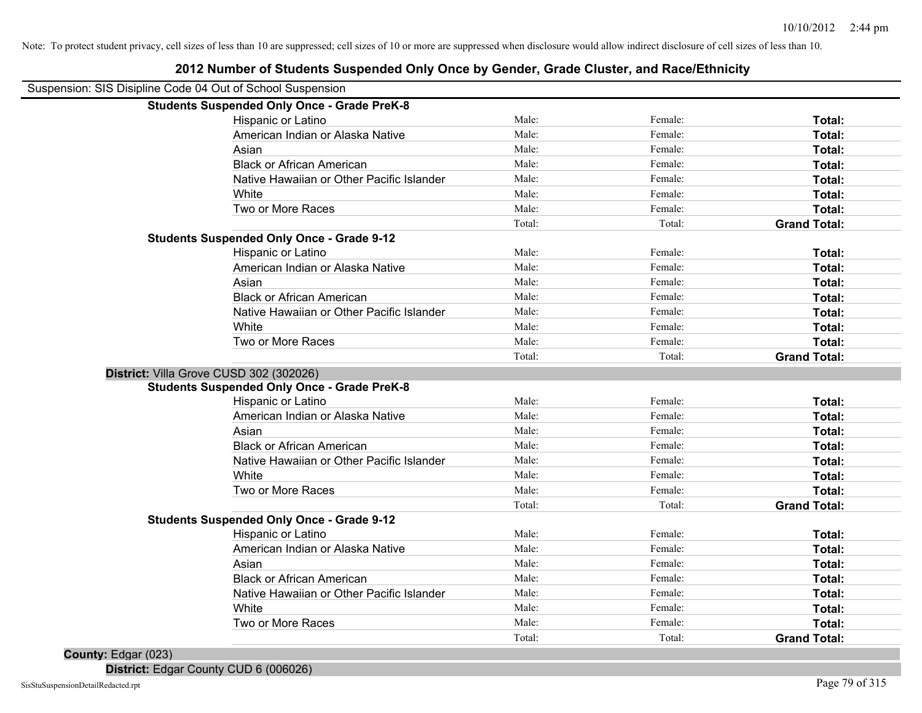| <b>Students Suspended Only Once - Grade PreK-8</b><br>Male:<br>Hispanic or Latino<br>Male:<br>American Indian or Alaska Native<br>Male:<br>Asian<br>Male:<br><b>Black or African American</b><br>Male:<br>Native Hawaiian or Other Pacific Islander | Female:<br>Female:<br>Female:<br>Female:<br>Female:<br>Female: | Total:<br>Total:<br>Total:<br>Total: |
|-----------------------------------------------------------------------------------------------------------------------------------------------------------------------------------------------------------------------------------------------------|----------------------------------------------------------------|--------------------------------------|
|                                                                                                                                                                                                                                                     |                                                                |                                      |
|                                                                                                                                                                                                                                                     |                                                                |                                      |
|                                                                                                                                                                                                                                                     |                                                                |                                      |
|                                                                                                                                                                                                                                                     |                                                                |                                      |
|                                                                                                                                                                                                                                                     |                                                                |                                      |
|                                                                                                                                                                                                                                                     |                                                                | Total:                               |
| Male:<br>White                                                                                                                                                                                                                                      |                                                                | Total:                               |
| Two or More Races<br>Male:                                                                                                                                                                                                                          | Female:                                                        | Total:                               |
| Total:                                                                                                                                                                                                                                              | Total:                                                         | <b>Grand Total:</b>                  |
| <b>Students Suspended Only Once - Grade 9-12</b>                                                                                                                                                                                                    |                                                                |                                      |
| Male:<br>Hispanic or Latino                                                                                                                                                                                                                         | Female:                                                        | Total:                               |
| Male:<br>American Indian or Alaska Native                                                                                                                                                                                                           | Female:                                                        | Total:                               |
| Asian<br>Male:                                                                                                                                                                                                                                      | Female:                                                        | Total:                               |
| <b>Black or African American</b><br>Male:                                                                                                                                                                                                           | Female:                                                        | Total:                               |
| Male:<br>Native Hawaiian or Other Pacific Islander                                                                                                                                                                                                  | Female:                                                        | Total:                               |
| White<br>Male:                                                                                                                                                                                                                                      | Female:                                                        | Total:                               |
| Two or More Races<br>Male:                                                                                                                                                                                                                          | Female:                                                        | Total:                               |
| Total:                                                                                                                                                                                                                                              | Total:                                                         | <b>Grand Total:</b>                  |
| District: Villa Grove CUSD 302 (302026)                                                                                                                                                                                                             |                                                                |                                      |
| <b>Students Suspended Only Once - Grade PreK-8</b>                                                                                                                                                                                                  |                                                                |                                      |
| Hispanic or Latino<br>Male:                                                                                                                                                                                                                         | Female:                                                        | Total:                               |
| American Indian or Alaska Native<br>Male:                                                                                                                                                                                                           | Female:                                                        | Total:                               |
| Male:<br>Asian                                                                                                                                                                                                                                      | Female:                                                        | <b>Total:</b>                        |
| <b>Black or African American</b><br>Male:                                                                                                                                                                                                           | Female:                                                        | Total:                               |
| Native Hawaiian or Other Pacific Islander<br>Male:                                                                                                                                                                                                  | Female:                                                        | Total:                               |
| White<br>Male:                                                                                                                                                                                                                                      | Female:                                                        | Total:                               |
| Two or More Races<br>Male:                                                                                                                                                                                                                          | Female:                                                        | Total:                               |
| Total:                                                                                                                                                                                                                                              | Total:                                                         | <b>Grand Total:</b>                  |
| <b>Students Suspended Only Once - Grade 9-12</b>                                                                                                                                                                                                    |                                                                |                                      |
| Hispanic or Latino<br>Male:                                                                                                                                                                                                                         | Female:                                                        | Total:                               |
| American Indian or Alaska Native<br>Male:                                                                                                                                                                                                           | Female:                                                        | Total:                               |
| Male:<br>Asian                                                                                                                                                                                                                                      | Female:                                                        | Total:                               |
| <b>Black or African American</b><br>Male:                                                                                                                                                                                                           | Female:                                                        | Total:                               |
| Native Hawaiian or Other Pacific Islander<br>Male:                                                                                                                                                                                                  | Female:                                                        | Total:                               |
| White<br>Male:                                                                                                                                                                                                                                      | Female:                                                        | <b>Total:</b>                        |
| Two or More Races<br>Male:                                                                                                                                                                                                                          | Female:                                                        | Total:                               |
| Total:                                                                                                                                                                                                                                              | Total:                                                         | <b>Grand Total:</b>                  |

## **2012 Number of Students Suspended Only Once by Gender, Grade Cluster, and Race/Ethnicity**

**County:** Edgar (023)

**District:** Edgar County CUD 6 (006026)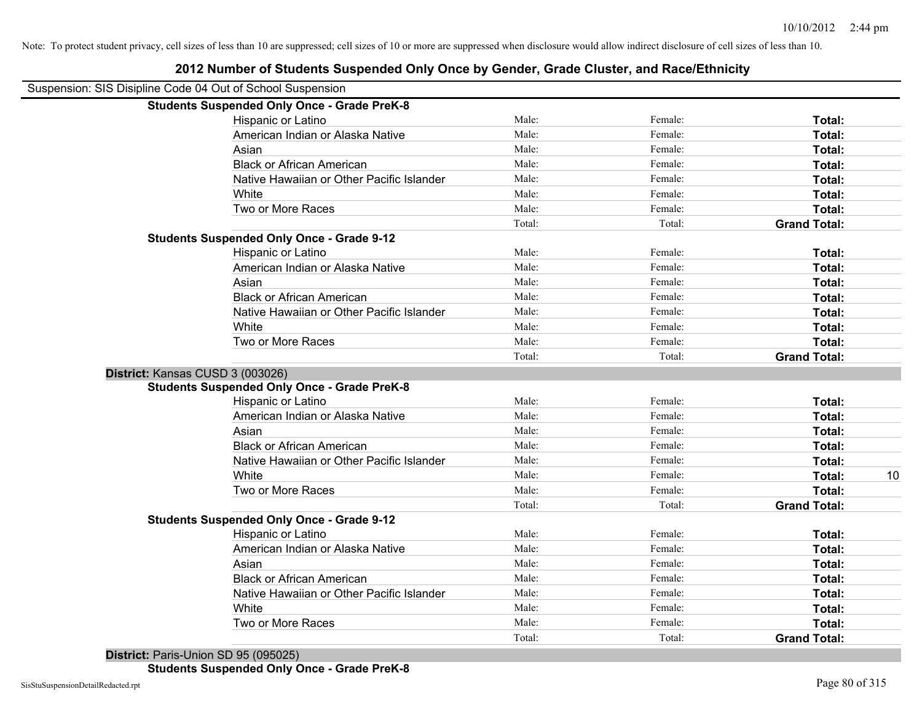| 2012 Number of Students Suspended Only Once by Gender, Grade Cluster, and Race/Ethnicity |        |         |                     |
|------------------------------------------------------------------------------------------|--------|---------|---------------------|
| Suspension: SIS Disipline Code 04 Out of School Suspension                               |        |         |                     |
| <b>Students Suspended Only Once - Grade PreK-8</b>                                       |        |         |                     |
| Hispanic or Latino                                                                       | Male:  | Female: | Total:              |
| American Indian or Alaska Native                                                         | Male:  | Female: | Total:              |
| Asian                                                                                    | Male:  | Female: | Total:              |
| <b>Black or African American</b>                                                         | Male:  | Female: | Total:              |
| Native Hawaiian or Other Pacific Islander                                                | Male:  | Female: | Total:              |
| White                                                                                    | Male:  | Female: | Total:              |
| Two or More Races                                                                        | Male:  | Female: | Total:              |
|                                                                                          | Total: | Total:  | <b>Grand Total:</b> |
| <b>Students Suspended Only Once - Grade 9-12</b>                                         |        |         |                     |
| Hispanic or Latino                                                                       | Male:  | Female: | Total:              |
| American Indian or Alaska Native                                                         | Male:  | Female: | Total:              |
| Asian                                                                                    | Male:  | Female: | Total:              |
| <b>Black or African American</b>                                                         | Male:  | Female: | Total:              |
| Native Hawaiian or Other Pacific Islander                                                | Male:  | Female: | Total:              |
| White                                                                                    | Male:  | Female: | Total:              |
| Two or More Races                                                                        | Male:  | Female: | Total:              |
|                                                                                          | Total: | Total:  | <b>Grand Total:</b> |
| District: Kansas CUSD 3 (003026)                                                         |        |         |                     |
| <b>Students Suspended Only Once - Grade PreK-8</b>                                       |        |         |                     |
| Hispanic or Latino                                                                       | Male:  | Female: | Total:              |
| American Indian or Alaska Native                                                         | Male:  | Female: | Total:              |
| Asian                                                                                    | Male:  | Female: | Total:              |
| <b>Black or African American</b>                                                         | Male:  | Female: | Total:              |
| Native Hawaiian or Other Pacific Islander                                                | Male:  | Female: | Total:              |
| White                                                                                    | Male:  | Female: | 10<br>Total:        |
| Two or More Races                                                                        | Male:  | Female: | Total:              |
|                                                                                          | Total: | Total:  | <b>Grand Total:</b> |
| <b>Students Suspended Only Once - Grade 9-12</b>                                         |        |         |                     |
| Hispanic or Latino                                                                       | Male:  | Female: | Total:              |
| American Indian or Alaska Native                                                         | Male:  | Female: | Total:              |
| Asian                                                                                    | Male:  | Female: | Total:              |
| <b>Black or African American</b>                                                         | Male:  | Female: | Total:              |
| Native Hawaiian or Other Pacific Islander                                                | Male:  | Female: | Total:              |
| White                                                                                    | Male:  | Female: | Total:              |
| Two or More Races                                                                        | Male:  | Female: | Total:              |
|                                                                                          | Total: | Total:  | <b>Grand Total:</b> |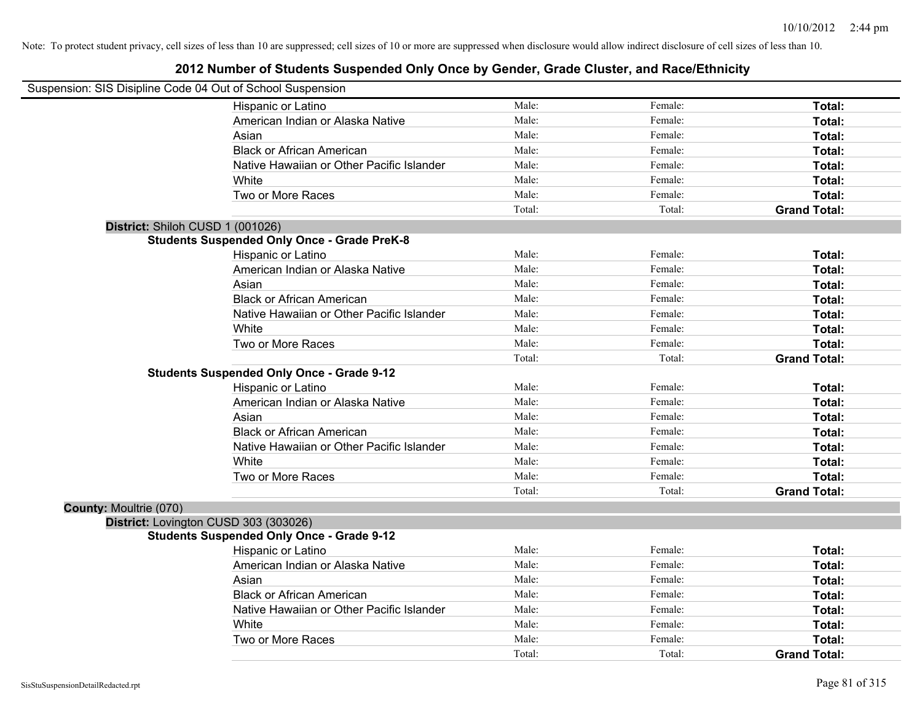|                        | Suspension: SIS Disipline Code 04 Out of School Suspension |        |         |                     |
|------------------------|------------------------------------------------------------|--------|---------|---------------------|
|                        | Hispanic or Latino                                         | Male:  | Female: | Total:              |
|                        | American Indian or Alaska Native                           | Male:  | Female: | Total:              |
|                        | Asian                                                      | Male:  | Female: | Total:              |
|                        | <b>Black or African American</b>                           | Male:  | Female: | Total:              |
|                        | Native Hawaiian or Other Pacific Islander                  | Male:  | Female: | Total:              |
|                        | White                                                      | Male:  | Female: | Total:              |
|                        | Two or More Races                                          | Male:  | Female: | Total:              |
|                        |                                                            | Total: | Total:  | <b>Grand Total:</b> |
|                        | District: Shiloh CUSD 1 (001026)                           |        |         |                     |
|                        | <b>Students Suspended Only Once - Grade PreK-8</b>         |        |         |                     |
|                        | Hispanic or Latino                                         | Male:  | Female: | Total:              |
|                        | American Indian or Alaska Native                           | Male:  | Female: | Total:              |
|                        | Asian                                                      | Male:  | Female: | Total:              |
|                        | <b>Black or African American</b>                           | Male:  | Female: | Total:              |
|                        | Native Hawaiian or Other Pacific Islander                  | Male:  | Female: | Total:              |
|                        | White                                                      | Male:  | Female: | Total:              |
|                        | Two or More Races                                          | Male:  | Female: | Total:              |
|                        |                                                            | Total: | Total:  | <b>Grand Total:</b> |
|                        | <b>Students Suspended Only Once - Grade 9-12</b>           |        |         |                     |
|                        | Hispanic or Latino                                         | Male:  | Female: | Total:              |
|                        | American Indian or Alaska Native                           | Male:  | Female: | Total:              |
|                        | Asian                                                      | Male:  | Female: | Total:              |
|                        | <b>Black or African American</b>                           | Male:  | Female: | Total:              |
|                        | Native Hawaiian or Other Pacific Islander                  | Male:  | Female: | Total:              |
|                        | White                                                      | Male:  | Female: | Total:              |
|                        | Two or More Races                                          | Male:  | Female: | Total:              |
|                        |                                                            | Total: | Total:  | <b>Grand Total:</b> |
| County: Moultrie (070) |                                                            |        |         |                     |
|                        | District: Lovington CUSD 303 (303026)                      |        |         |                     |
|                        | <b>Students Suspended Only Once - Grade 9-12</b>           |        |         |                     |
|                        | Hispanic or Latino                                         | Male:  | Female: | Total:              |
|                        | American Indian or Alaska Native                           | Male:  | Female: | Total:              |
|                        | Asian                                                      | Male:  | Female: | Total:              |
|                        | <b>Black or African American</b>                           | Male:  | Female: | Total:              |
|                        | Native Hawaiian or Other Pacific Islander                  | Male:  | Female: | Total:              |
|                        | White                                                      | Male:  | Female: | Total:              |
|                        | Two or More Races                                          | Male:  | Female: | Total:              |
|                        |                                                            | Total: | Total:  | <b>Grand Total:</b> |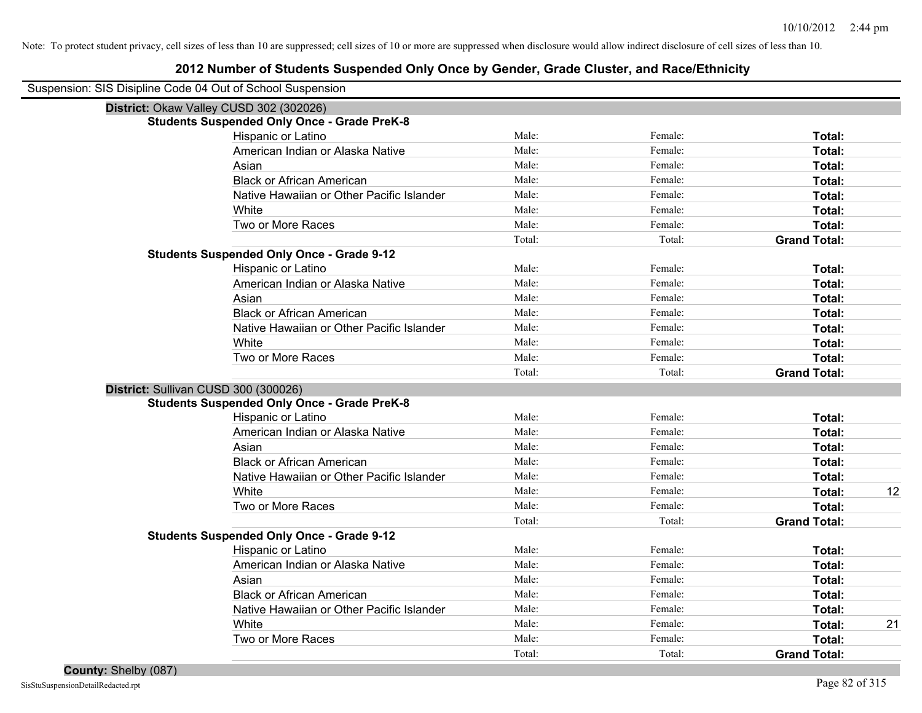| Suspension: SIS Disipline Code 04 Out of School Suspension |                                                    |        |         |                     |    |
|------------------------------------------------------------|----------------------------------------------------|--------|---------|---------------------|----|
|                                                            | District: Okaw Valley CUSD 302 (302026)            |        |         |                     |    |
|                                                            | <b>Students Suspended Only Once - Grade PreK-8</b> |        |         |                     |    |
|                                                            | Hispanic or Latino                                 | Male:  | Female: | Total:              |    |
|                                                            | American Indian or Alaska Native                   | Male:  | Female: | Total:              |    |
|                                                            | Asian                                              | Male:  | Female: | Total:              |    |
|                                                            | <b>Black or African American</b>                   | Male:  | Female: | Total:              |    |
|                                                            | Native Hawaiian or Other Pacific Islander          | Male:  | Female: | Total:              |    |
|                                                            | White                                              | Male:  | Female: | Total:              |    |
|                                                            | Two or More Races                                  | Male:  | Female: | Total:              |    |
|                                                            |                                                    | Total: | Total:  | <b>Grand Total:</b> |    |
|                                                            | <b>Students Suspended Only Once - Grade 9-12</b>   |        |         |                     |    |
|                                                            | Hispanic or Latino                                 | Male:  | Female: | Total:              |    |
|                                                            | American Indian or Alaska Native                   | Male:  | Female: | Total:              |    |
|                                                            | Asian                                              | Male:  | Female: | Total:              |    |
|                                                            | <b>Black or African American</b>                   | Male:  | Female: | Total:              |    |
|                                                            | Native Hawaiian or Other Pacific Islander          | Male:  | Female: | Total:              |    |
|                                                            | White                                              | Male:  | Female: | Total:              |    |
|                                                            | Two or More Races                                  | Male:  | Female: | Total:              |    |
|                                                            |                                                    | Total: | Total:  | <b>Grand Total:</b> |    |
| District: Sullivan CUSD 300 (300026)                       |                                                    |        |         |                     |    |
|                                                            | <b>Students Suspended Only Once - Grade PreK-8</b> |        |         |                     |    |
|                                                            | Hispanic or Latino                                 | Male:  | Female: | Total:              |    |
|                                                            | American Indian or Alaska Native                   | Male:  | Female: | Total:              |    |
|                                                            | Asian                                              | Male:  | Female: | Total:              |    |
|                                                            | <b>Black or African American</b>                   | Male:  | Female: | Total:              |    |
|                                                            | Native Hawaiian or Other Pacific Islander          | Male:  | Female: | Total:              |    |
|                                                            | White                                              | Male:  | Female: | Total:              | 12 |
|                                                            | Two or More Races                                  | Male:  | Female: | <b>Total:</b>       |    |
|                                                            |                                                    | Total: | Total:  | <b>Grand Total:</b> |    |
|                                                            | <b>Students Suspended Only Once - Grade 9-12</b>   |        |         |                     |    |
|                                                            | Hispanic or Latino                                 | Male:  | Female: | Total:              |    |
|                                                            | American Indian or Alaska Native                   | Male:  | Female: | Total:              |    |
|                                                            | Asian                                              | Male:  | Female: | Total:              |    |
|                                                            | <b>Black or African American</b>                   | Male:  | Female: | Total:              |    |
|                                                            | Native Hawaiian or Other Pacific Islander          | Male:  | Female: | Total:              |    |
|                                                            | White                                              | Male:  | Female: | Total:              | 21 |
|                                                            | Two or More Races                                  | Male:  | Female: | <b>Total:</b>       |    |
|                                                            |                                                    | Total: | Total:  | <b>Grand Total:</b> |    |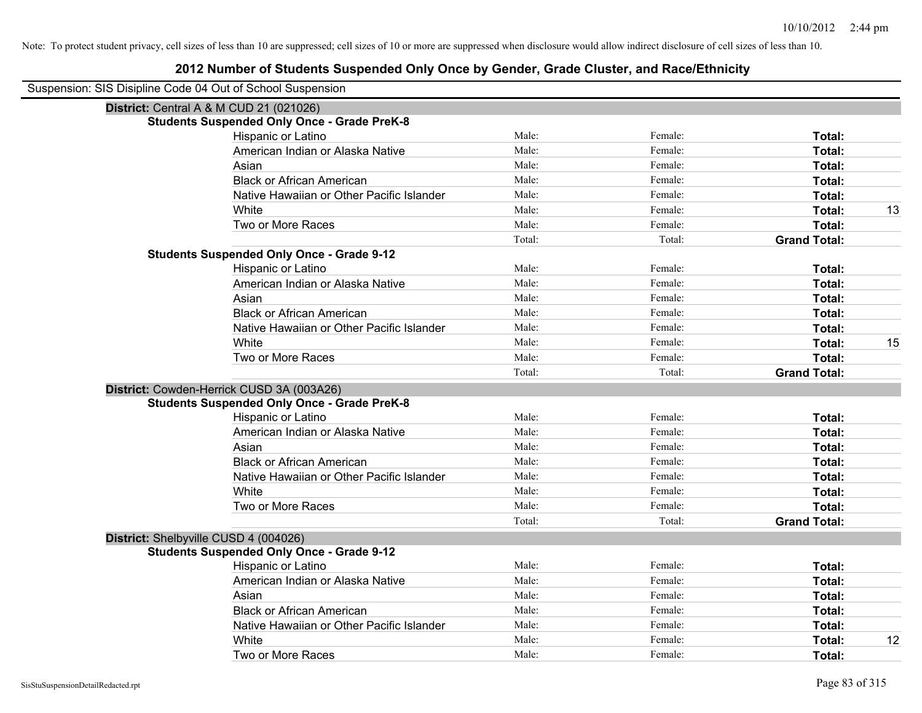| Suspension: SIS Disipline Code 04 Out of School Suspension |
|------------------------------------------------------------|
|                                                            |

| District: Central A & M CUD 21 (021026)            |        |         |                     |    |
|----------------------------------------------------|--------|---------|---------------------|----|
| <b>Students Suspended Only Once - Grade PreK-8</b> |        |         |                     |    |
| Hispanic or Latino                                 | Male:  | Female: | Total:              |    |
| American Indian or Alaska Native                   | Male:  | Female: | Total:              |    |
| Asian                                              | Male:  | Female: | Total:              |    |
| <b>Black or African American</b>                   | Male:  | Female: | Total:              |    |
| Native Hawaiian or Other Pacific Islander          | Male:  | Female: | Total:              |    |
| White                                              | Male:  | Female: | Total:              | 13 |
| Two or More Races                                  | Male:  | Female: | Total:              |    |
|                                                    | Total: | Total:  | <b>Grand Total:</b> |    |
| <b>Students Suspended Only Once - Grade 9-12</b>   |        |         |                     |    |
| Hispanic or Latino                                 | Male:  | Female: | Total:              |    |
| American Indian or Alaska Native                   | Male:  | Female: | Total:              |    |
| Asian                                              | Male:  | Female: | Total:              |    |
| <b>Black or African American</b>                   | Male:  | Female: | Total:              |    |
| Native Hawaiian or Other Pacific Islander          | Male:  | Female: | Total:              |    |
| White                                              | Male:  | Female: | Total:              | 15 |
| Two or More Races                                  | Male:  | Female: | Total:              |    |
|                                                    | Total: | Total:  | <b>Grand Total:</b> |    |
| District: Cowden-Herrick CUSD 3A (003A26)          |        |         |                     |    |
| <b>Students Suspended Only Once - Grade PreK-8</b> |        |         |                     |    |
| Hispanic or Latino                                 | Male:  | Female: | Total:              |    |
| American Indian or Alaska Native                   | Male:  | Female: | Total:              |    |
| Asian                                              | Male:  | Female: | Total:              |    |
| <b>Black or African American</b>                   | Male:  | Female: | Total:              |    |
| Native Hawaiian or Other Pacific Islander          | Male:  | Female: | Total:              |    |
| White                                              | Male:  | Female: | Total:              |    |
| Two or More Races                                  | Male:  | Female: | Total:              |    |
|                                                    | Total: | Total:  | <b>Grand Total:</b> |    |
| District: Shelbyville CUSD 4 (004026)              |        |         |                     |    |
| <b>Students Suspended Only Once - Grade 9-12</b>   |        |         |                     |    |
| Hispanic or Latino                                 | Male:  | Female: | Total:              |    |
| American Indian or Alaska Native                   | Male:  | Female: | Total:              |    |
| Asian                                              | Male:  | Female: | Total:              |    |
| <b>Black or African American</b>                   | Male:  | Female: | Total:              |    |
| Native Hawaiian or Other Pacific Islander          | Male:  | Female: | Total:              |    |
| White                                              | Male:  | Female: | Total:              | 12 |
| Two or More Races                                  | Male:  | Female: | Total:              |    |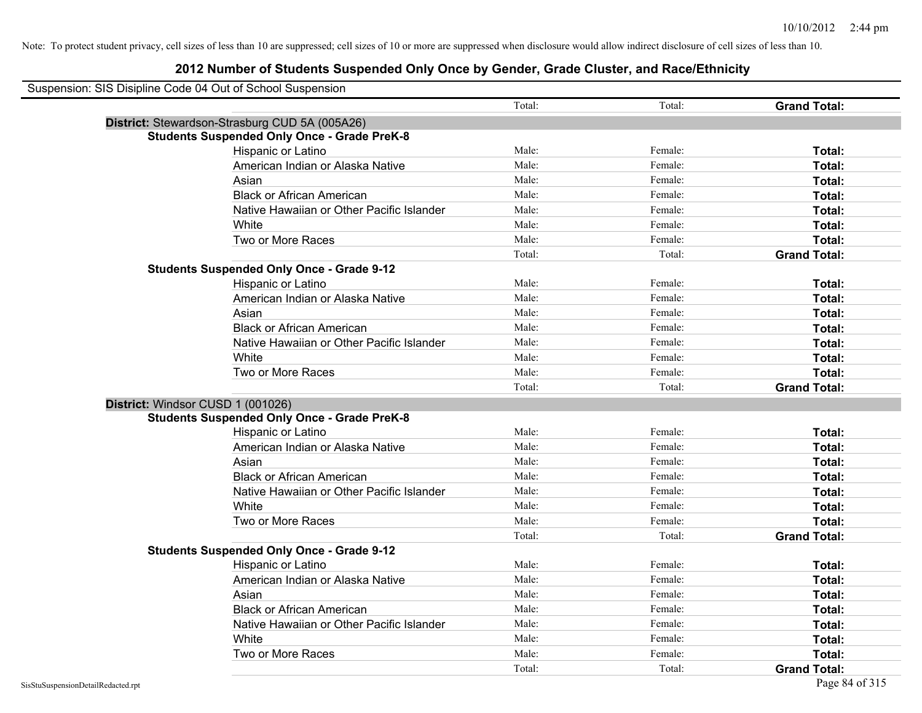| Suspension: SIS Disipline Code 04 Out of School Suspension |                                                    |        |         |                     |
|------------------------------------------------------------|----------------------------------------------------|--------|---------|---------------------|
|                                                            |                                                    | Total: | Total:  | <b>Grand Total:</b> |
|                                                            | District: Stewardson-Strasburg CUD 5A (005A26)     |        |         |                     |
|                                                            | <b>Students Suspended Only Once - Grade PreK-8</b> |        |         |                     |
|                                                            | Hispanic or Latino                                 | Male:  | Female: | Total:              |
|                                                            | American Indian or Alaska Native                   | Male:  | Female: | Total:              |
|                                                            | Asian                                              | Male:  | Female: | Total:              |
|                                                            | <b>Black or African American</b>                   | Male:  | Female: | Total:              |
|                                                            | Native Hawaiian or Other Pacific Islander          | Male:  | Female: | Total:              |
|                                                            | White                                              | Male:  | Female: | Total:              |
|                                                            | Two or More Races                                  | Male:  | Female: | Total:              |
|                                                            |                                                    | Total: | Total:  | <b>Grand Total:</b> |
|                                                            | <b>Students Suspended Only Once - Grade 9-12</b>   |        |         |                     |
|                                                            | Hispanic or Latino                                 | Male:  | Female: | Total:              |
|                                                            | American Indian or Alaska Native                   | Male:  | Female: | Total:              |
|                                                            | Asian                                              | Male:  | Female: | Total:              |
|                                                            | <b>Black or African American</b>                   | Male:  | Female: | Total:              |
|                                                            | Native Hawaiian or Other Pacific Islander          | Male:  | Female: | Total:              |
|                                                            | White                                              | Male:  | Female: | Total:              |
|                                                            | Two or More Races                                  | Male:  | Female: | Total:              |
|                                                            |                                                    | Total: | Total:  | <b>Grand Total:</b> |
| District: Windsor CUSD 1 (001026)                          |                                                    |        |         |                     |
|                                                            | <b>Students Suspended Only Once - Grade PreK-8</b> |        |         |                     |
|                                                            | Hispanic or Latino                                 | Male:  | Female: | Total:              |
|                                                            | American Indian or Alaska Native                   | Male:  | Female: | Total:              |
|                                                            | Asian                                              | Male:  | Female: | Total:              |
|                                                            | <b>Black or African American</b>                   | Male:  | Female: | Total:              |
|                                                            | Native Hawaiian or Other Pacific Islander          | Male:  | Female: | Total:              |
|                                                            | White                                              | Male:  | Female: | Total:              |
|                                                            | Two or More Races                                  | Male:  | Female: | Total:              |
|                                                            |                                                    | Total: | Total:  | <b>Grand Total:</b> |
|                                                            | <b>Students Suspended Only Once - Grade 9-12</b>   |        |         |                     |
|                                                            | Hispanic or Latino                                 | Male:  | Female: | Total:              |
|                                                            | American Indian or Alaska Native                   | Male:  | Female: | Total:              |
|                                                            | Asian                                              | Male:  | Female: | Total:              |
|                                                            | <b>Black or African American</b>                   | Male:  | Female: | Total:              |
|                                                            | Native Hawaiian or Other Pacific Islander          | Male:  | Female: | Total:              |
|                                                            | White                                              | Male:  | Female: | Total:              |
|                                                            | Two or More Races                                  | Male:  | Female: | <b>Total:</b>       |
|                                                            |                                                    | Total: | Total:  | <b>Grand Total:</b> |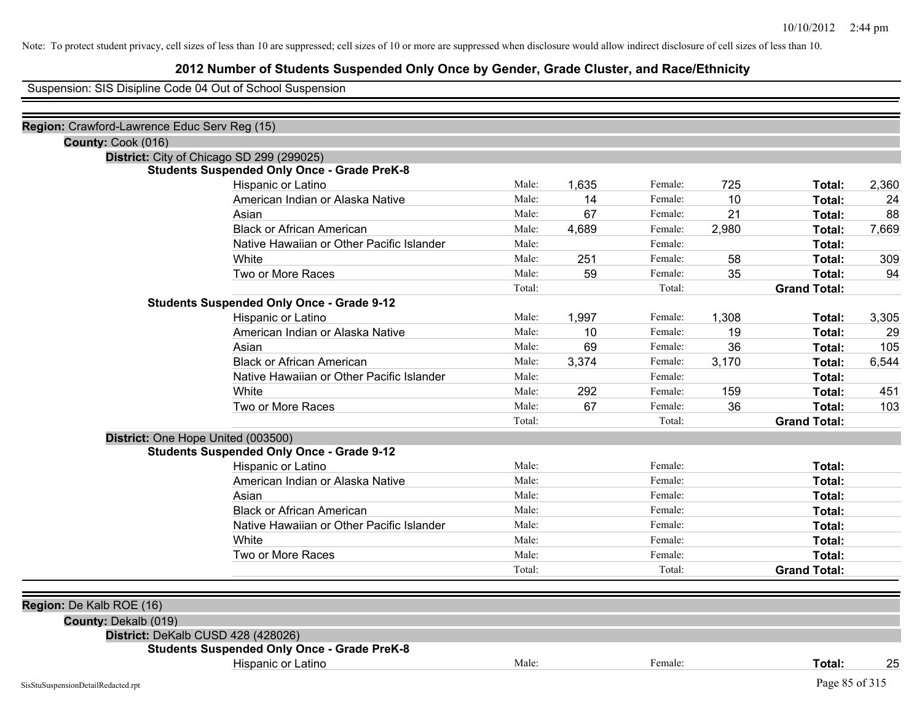### **2012 Number of Students Suspended Only Once by Gender, Grade Cluster, and Race/Ethnicity**

Suspension: SIS Disipline Code 04 Out of School Suspension

| Region: Crawford-Lawrence Educ Serv Reg (15) |                                                    |        |       |         |       |                     |       |
|----------------------------------------------|----------------------------------------------------|--------|-------|---------|-------|---------------------|-------|
| County: Cook (016)                           |                                                    |        |       |         |       |                     |       |
| District: City of Chicago SD 299 (299025)    |                                                    |        |       |         |       |                     |       |
|                                              | <b>Students Suspended Only Once - Grade PreK-8</b> |        |       |         |       |                     |       |
|                                              | Hispanic or Latino                                 | Male:  | 1,635 | Female: | 725   | Total:              | 2,360 |
|                                              | American Indian or Alaska Native                   | Male:  | 14    | Female: | 10    | Total:              | 24    |
|                                              | Asian                                              | Male:  | 67    | Female: | 21    | Total:              | 88    |
|                                              | <b>Black or African American</b>                   | Male:  | 4,689 | Female: | 2,980 | Total:              | 7,669 |
|                                              | Native Hawaiian or Other Pacific Islander          | Male:  |       | Female: |       | Total:              |       |
|                                              | White                                              | Male:  | 251   | Female: | 58    | Total:              | 309   |
|                                              | Two or More Races                                  | Male:  | 59    | Female: | 35    | Total:              | 94    |
|                                              |                                                    | Total: |       | Total:  |       | <b>Grand Total:</b> |       |
|                                              | <b>Students Suspended Only Once - Grade 9-12</b>   |        |       |         |       |                     |       |
|                                              | Hispanic or Latino                                 | Male:  | 1,997 | Female: | 1,308 | Total:              | 3,305 |
|                                              | American Indian or Alaska Native                   | Male:  | 10    | Female: | 19    | Total:              | 29    |
|                                              | Asian                                              | Male:  | 69    | Female: | 36    | Total:              | 105   |
|                                              | <b>Black or African American</b>                   | Male:  | 3,374 | Female: | 3,170 | Total:              | 6,544 |
|                                              | Native Hawaiian or Other Pacific Islander          | Male:  |       | Female: |       | Total:              |       |
|                                              | White                                              | Male:  | 292   | Female: | 159   | Total:              | 451   |
|                                              | Two or More Races                                  | Male:  | 67    | Female: | 36    | Total:              | 103   |
|                                              |                                                    | Total: |       | Total:  |       | <b>Grand Total:</b> |       |
| District: One Hope United (003500)           |                                                    |        |       |         |       |                     |       |
|                                              | <b>Students Suspended Only Once - Grade 9-12</b>   |        |       |         |       |                     |       |
|                                              | Hispanic or Latino                                 | Male:  |       | Female: |       | Total:              |       |
|                                              | American Indian or Alaska Native                   | Male:  |       | Female: |       | Total:              |       |
|                                              | Asian                                              | Male:  |       | Female: |       | Total:              |       |
|                                              | <b>Black or African American</b>                   | Male:  |       | Female: |       | Total:              |       |
|                                              | Native Hawaiian or Other Pacific Islander          | Male:  |       | Female: |       | Total:              |       |
|                                              | White                                              | Male:  |       | Female: |       | Total:              |       |
|                                              | Two or More Races                                  | Male:  |       | Female: |       | Total:              |       |
|                                              |                                                    | Total: |       | Total:  |       | <b>Grand Total:</b> |       |
|                                              |                                                    |        |       |         |       |                     |       |
| Region: De Kalb ROE (16)                     |                                                    |        |       |         |       |                     |       |
| County: Dekalb (019)                         |                                                    |        |       |         |       |                     |       |
| District: DeKalb CUSD 428 (428026)           |                                                    |        |       |         |       |                     |       |
|                                              | <b>Students Suspended Only Once - Grade PreK-8</b> |        |       |         |       |                     |       |
|                                              | Hispanic or Latino                                 | Male:  |       | Female: |       | Total:              | 25    |
| SisStuSuspensionDetailRedacted.rpt           |                                                    |        |       |         |       | Page 85 of 315      |       |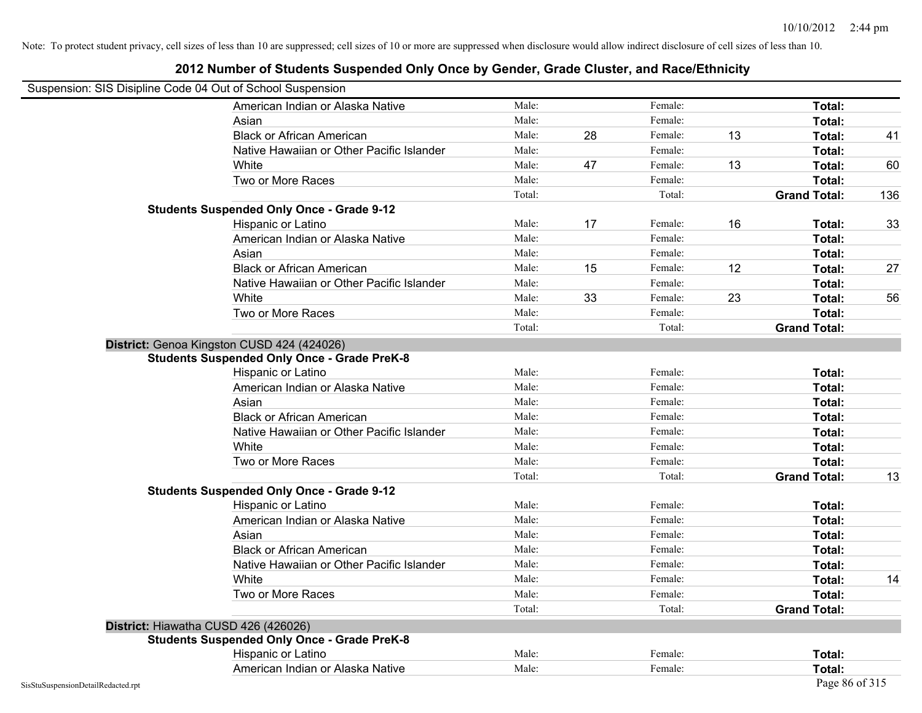|                                    | Suspension: SIS Disipline Code 04 Out of School Suspension |        |    |         |    |                     |     |
|------------------------------------|------------------------------------------------------------|--------|----|---------|----|---------------------|-----|
|                                    | American Indian or Alaska Native                           | Male:  |    | Female: |    | Total:              |     |
|                                    | Asian                                                      | Male:  |    | Female: |    | Total:              |     |
|                                    | <b>Black or African American</b>                           | Male:  | 28 | Female: | 13 | Total:              | 41  |
|                                    | Native Hawaiian or Other Pacific Islander                  | Male:  |    | Female: |    | Total:              |     |
|                                    | White                                                      | Male:  | 47 | Female: | 13 | Total:              | 60  |
|                                    | Two or More Races                                          | Male:  |    | Female: |    | Total:              |     |
|                                    |                                                            | Total: |    | Total:  |    | <b>Grand Total:</b> | 136 |
|                                    | <b>Students Suspended Only Once - Grade 9-12</b>           |        |    |         |    |                     |     |
|                                    | Hispanic or Latino                                         | Male:  | 17 | Female: | 16 | Total:              | 33  |
|                                    | American Indian or Alaska Native                           | Male:  |    | Female: |    | Total:              |     |
|                                    | Asian                                                      | Male:  |    | Female: |    | Total:              |     |
|                                    | <b>Black or African American</b>                           | Male:  | 15 | Female: | 12 | Total:              | 27  |
|                                    | Native Hawaiian or Other Pacific Islander                  | Male:  |    | Female: |    | Total:              |     |
|                                    | White                                                      | Male:  | 33 | Female: | 23 | Total:              | 56  |
|                                    | Two or More Races                                          | Male:  |    | Female: |    | Total:              |     |
|                                    |                                                            | Total: |    | Total:  |    | <b>Grand Total:</b> |     |
|                                    | District: Genoa Kingston CUSD 424 (424026)                 |        |    |         |    |                     |     |
|                                    | <b>Students Suspended Only Once - Grade PreK-8</b>         |        |    |         |    |                     |     |
|                                    | Hispanic or Latino                                         | Male:  |    | Female: |    | Total:              |     |
|                                    | American Indian or Alaska Native                           | Male:  |    | Female: |    | Total:              |     |
|                                    | Asian                                                      | Male:  |    | Female: |    | Total:              |     |
|                                    | <b>Black or African American</b>                           | Male:  |    | Female: |    | Total:              |     |
|                                    | Native Hawaiian or Other Pacific Islander                  | Male:  |    | Female: |    | Total:              |     |
|                                    | White                                                      | Male:  |    | Female: |    | Total:              |     |
|                                    | Two or More Races                                          | Male:  |    | Female: |    | Total:              |     |
|                                    |                                                            | Total: |    | Total:  |    | <b>Grand Total:</b> | 13  |
|                                    | <b>Students Suspended Only Once - Grade 9-12</b>           |        |    |         |    |                     |     |
|                                    | Hispanic or Latino                                         | Male:  |    | Female: |    | Total:              |     |
|                                    | American Indian or Alaska Native                           | Male:  |    | Female: |    | Total:              |     |
|                                    | Asian                                                      | Male:  |    | Female: |    | Total:              |     |
|                                    | <b>Black or African American</b>                           | Male:  |    | Female: |    | Total:              |     |
|                                    | Native Hawaiian or Other Pacific Islander                  | Male:  |    | Female: |    | Total:              |     |
|                                    | White                                                      | Male:  |    | Female: |    | Total:              | 14  |
|                                    | Two or More Races                                          | Male:  |    | Female: |    | Total:              |     |
|                                    |                                                            | Total: |    | Total:  |    | <b>Grand Total:</b> |     |
|                                    | District: Hiawatha CUSD 426 (426026)                       |        |    |         |    |                     |     |
|                                    | <b>Students Suspended Only Once - Grade PreK-8</b>         |        |    |         |    |                     |     |
|                                    | Hispanic or Latino                                         | Male:  |    | Female: |    | Total:              |     |
|                                    | American Indian or Alaska Native                           | Male:  |    | Female: |    | Total:              |     |
| SisStuSuspensionDetailRedacted.rpt |                                                            |        |    |         |    | Page 86 of 315      |     |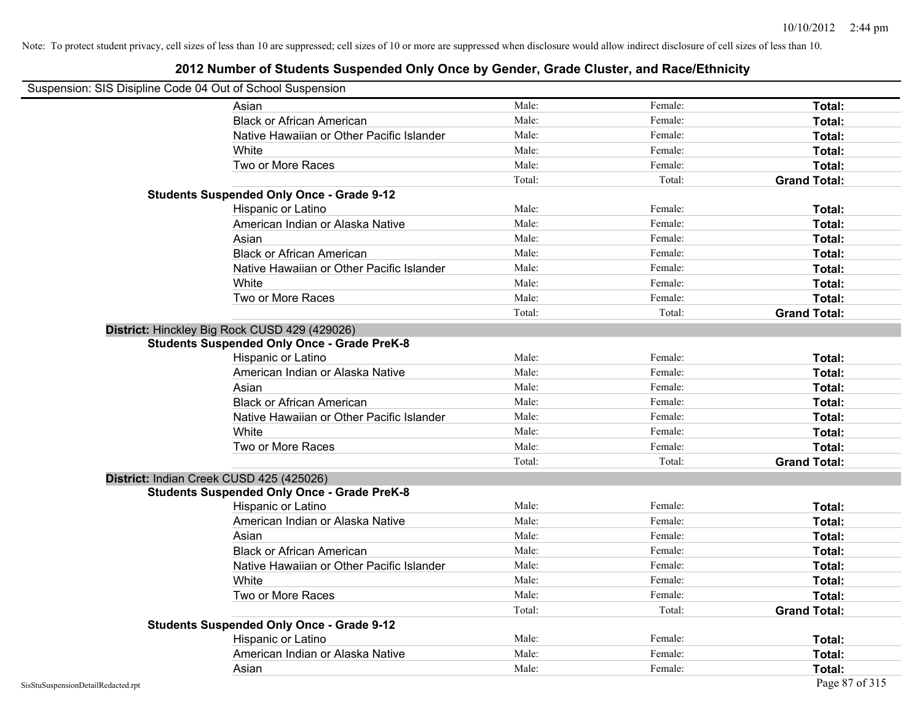### **2012 Number of Students Suspended Only Once by Gender, Grade Cluster, and Race/Ethnicity**

## Suspension: SIS Disipline Code 04 Out of School Suspension

| <u>Reports on the code of Our or Scribbi Superision</u> |        |         |                     |
|---------------------------------------------------------|--------|---------|---------------------|
| Asian                                                   | Male:  | Female: | Total:              |
| <b>Black or African American</b>                        | Male:  | Female: | Total:              |
| Native Hawaiian or Other Pacific Islander               | Male:  | Female: | Total:              |
| White                                                   | Male:  | Female: | Total:              |
| Two or More Races                                       | Male:  | Female: | Total:              |
|                                                         | Total: | Total:  | <b>Grand Total:</b> |
| <b>Students Suspended Only Once - Grade 9-12</b>        |        |         |                     |
| Hispanic or Latino                                      | Male:  | Female: | Total:              |
| American Indian or Alaska Native                        | Male:  | Female: | Total:              |
| Asian                                                   | Male:  | Female: | Total:              |
| <b>Black or African American</b>                        | Male:  | Female: | Total:              |
| Native Hawaiian or Other Pacific Islander               | Male:  | Female: | Total:              |
| White                                                   | Male:  | Female: | Total:              |
| Two or More Races                                       | Male:  | Female: | Total:              |
|                                                         | Total: | Total:  | <b>Grand Total:</b> |
| District: Hinckley Big Rock CUSD 429 (429026)           |        |         |                     |
| <b>Students Suspended Only Once - Grade PreK-8</b>      |        |         |                     |
| Hispanic or Latino                                      | Male:  | Female: | Total:              |
| American Indian or Alaska Native                        | Male:  | Female: | Total:              |
| Asian                                                   | Male:  | Female: | Total:              |
| <b>Black or African American</b>                        | Male:  | Female: | Total:              |
| Native Hawaiian or Other Pacific Islander               | Male:  | Female: | Total:              |
| White                                                   | Male:  | Female: | Total:              |
| Two or More Races                                       | Male:  | Female: | Total:              |
|                                                         | Total: | Total:  | <b>Grand Total:</b> |
| District: Indian Creek CUSD 425 (425026)                |        |         |                     |
| <b>Students Suspended Only Once - Grade PreK-8</b>      |        |         |                     |
| Hispanic or Latino                                      | Male:  | Female: | Total:              |
| American Indian or Alaska Native                        | Male:  | Female: | Total:              |
| Asian                                                   | Male:  | Female: | Total:              |
| <b>Black or African American</b>                        | Male:  | Female: | Total:              |
| Native Hawaiian or Other Pacific Islander               | Male:  | Female: | Total:              |
| White                                                   | Male:  | Female: | Total:              |
| Two or More Races                                       | Male:  | Female: | Total:              |
|                                                         | Total: | Total:  | <b>Grand Total:</b> |
| <b>Students Suspended Only Once - Grade 9-12</b>        |        |         |                     |
| Hispanic or Latino                                      | Male:  | Female: | Total:              |
| American Indian or Alaska Native                        | Male:  | Female: | Total:              |
| Asian                                                   | Male:  | Female: | Total:              |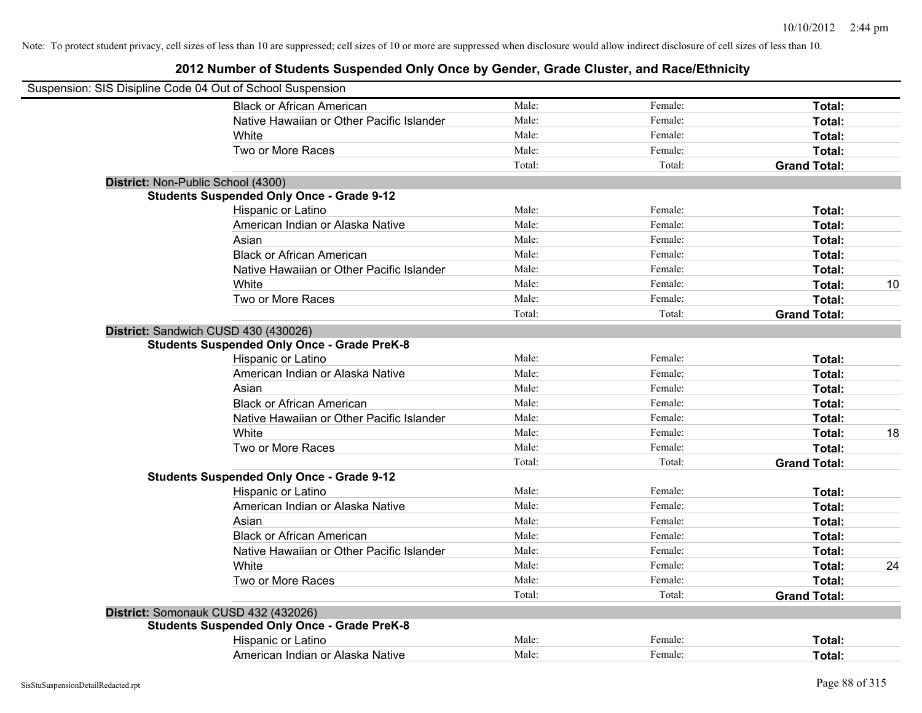| Suspension: SIS Disipline Code 04 Out of School Suspension |        |         |                     |    |
|------------------------------------------------------------|--------|---------|---------------------|----|
| <b>Black or African American</b>                           | Male:  | Female: | Total:              |    |
| Native Hawaiian or Other Pacific Islander                  | Male:  | Female: | Total:              |    |
| White                                                      | Male:  | Female: | Total:              |    |
| Two or More Races                                          | Male:  | Female: | Total:              |    |
|                                                            | Total: | Total:  | <b>Grand Total:</b> |    |
| District: Non-Public School (4300)                         |        |         |                     |    |
| <b>Students Suspended Only Once - Grade 9-12</b>           |        |         |                     |    |
| Hispanic or Latino                                         | Male:  | Female: | Total:              |    |
| American Indian or Alaska Native                           | Male:  | Female: | Total:              |    |
| Asian                                                      | Male:  | Female: | Total:              |    |
| <b>Black or African American</b>                           | Male:  | Female: | Total:              |    |
| Native Hawaiian or Other Pacific Islander                  | Male:  | Female: | Total:              |    |
| White                                                      | Male:  | Female: | Total:              | 10 |
| Two or More Races                                          | Male:  | Female: | Total:              |    |
|                                                            | Total: | Total:  | <b>Grand Total:</b> |    |
| District: Sandwich CUSD 430 (430026)                       |        |         |                     |    |
| <b>Students Suspended Only Once - Grade PreK-8</b>         |        |         |                     |    |
| Hispanic or Latino                                         | Male:  | Female: | Total:              |    |
| American Indian or Alaska Native                           | Male:  | Female: | Total:              |    |
| Asian                                                      | Male:  | Female: | Total:              |    |
| <b>Black or African American</b>                           | Male:  | Female: | Total:              |    |
| Native Hawaiian or Other Pacific Islander                  | Male:  | Female: | Total:              |    |
| White                                                      | Male:  | Female: | Total:              | 18 |
| Two or More Races                                          | Male:  | Female: | Total:              |    |
|                                                            | Total: | Total:  | <b>Grand Total:</b> |    |
| <b>Students Suspended Only Once - Grade 9-12</b>           |        |         |                     |    |
| Hispanic or Latino                                         | Male:  | Female: | Total:              |    |
| American Indian or Alaska Native                           | Male:  | Female: | Total:              |    |
| Asian                                                      | Male:  | Female: | Total:              |    |
| <b>Black or African American</b>                           | Male:  | Female: | Total:              |    |
| Native Hawaiian or Other Pacific Islander                  | Male:  | Female: | Total:              |    |
| White                                                      | Male:  | Female: | Total:              | 24 |
| Two or More Races                                          | Male:  | Female: | Total:              |    |
|                                                            | Total: | Total:  | <b>Grand Total:</b> |    |
| District: Somonauk CUSD 432 (432026)                       |        |         |                     |    |
| <b>Students Suspended Only Once - Grade PreK-8</b>         |        |         |                     |    |
| Hispanic or Latino                                         | Male:  | Female: | Total:              |    |
| American Indian or Alaska Native                           | Male:  | Female: | Total:              |    |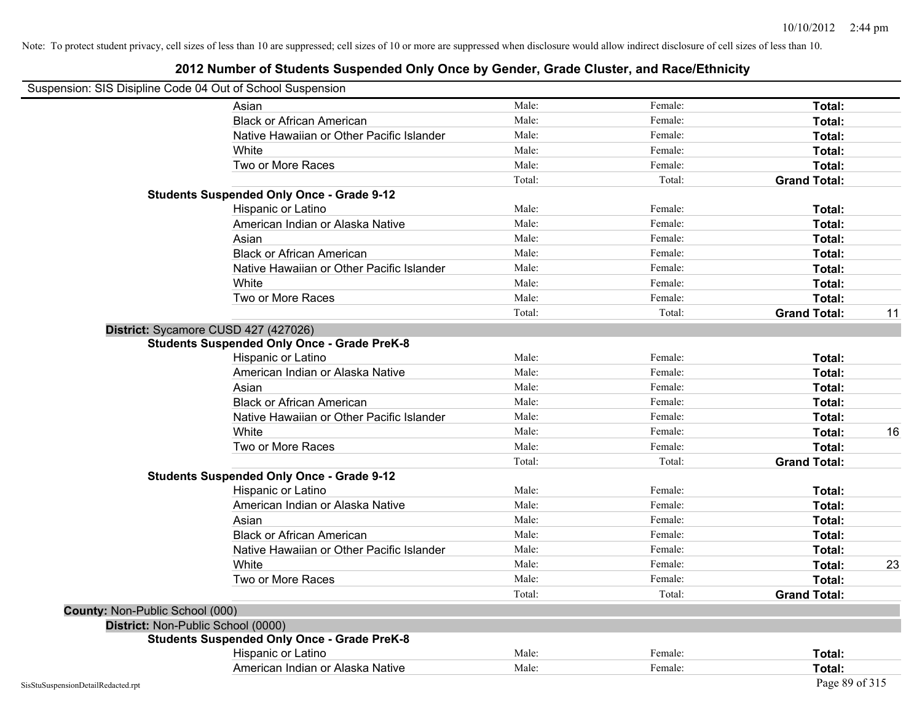### **2012 Number of Students Suspended Only Once by Gender, Grade Cluster, and Race/Ethnicity**

### Suspension: SIS Disipline Code 04 Out of School Suspension

|                                 | Asian                                              | Male:  | Female: | Total:              |    |
|---------------------------------|----------------------------------------------------|--------|---------|---------------------|----|
|                                 | <b>Black or African American</b>                   | Male:  | Female: | Total:              |    |
|                                 | Native Hawaiian or Other Pacific Islander          | Male:  | Female: | Total:              |    |
|                                 | White                                              | Male:  | Female: | Total:              |    |
|                                 | Two or More Races                                  | Male:  | Female: | Total:              |    |
|                                 |                                                    | Total: | Total:  | <b>Grand Total:</b> |    |
|                                 | <b>Students Suspended Only Once - Grade 9-12</b>   |        |         |                     |    |
|                                 | Hispanic or Latino                                 | Male:  | Female: | Total:              |    |
|                                 | American Indian or Alaska Native                   | Male:  | Female: | Total:              |    |
|                                 | Asian                                              | Male:  | Female: | Total:              |    |
|                                 | <b>Black or African American</b>                   | Male:  | Female: | Total:              |    |
|                                 | Native Hawaiian or Other Pacific Islander          | Male:  | Female: | Total:              |    |
|                                 | White                                              | Male:  | Female: | Total:              |    |
|                                 | Two or More Races                                  | Male:  | Female: | Total:              |    |
|                                 |                                                    | Total: | Total:  | <b>Grand Total:</b> | 11 |
|                                 | District: Sycamore CUSD 427 (427026)               |        |         |                     |    |
|                                 | <b>Students Suspended Only Once - Grade PreK-8</b> |        |         |                     |    |
|                                 | Hispanic or Latino                                 | Male:  | Female: | Total:              |    |
|                                 | American Indian or Alaska Native                   | Male:  | Female: | Total:              |    |
|                                 | Asian                                              | Male:  | Female: | Total:              |    |
|                                 | <b>Black or African American</b>                   | Male:  | Female: | Total:              |    |
|                                 | Native Hawaiian or Other Pacific Islander          | Male:  | Female: | Total:              |    |
|                                 | White                                              | Male:  | Female: | Total:              | 16 |
|                                 | Two or More Races                                  | Male:  | Female: | Total:              |    |
|                                 |                                                    | Total: | Total:  | <b>Grand Total:</b> |    |
|                                 | <b>Students Suspended Only Once - Grade 9-12</b>   |        |         |                     |    |
|                                 | Hispanic or Latino                                 | Male:  | Female: | Total:              |    |
|                                 | American Indian or Alaska Native                   | Male:  | Female: | Total:              |    |
|                                 | Asian                                              | Male:  | Female: | Total:              |    |
|                                 | <b>Black or African American</b>                   | Male:  | Female: | Total:              |    |
|                                 | Native Hawaiian or Other Pacific Islander          | Male:  | Female: | Total:              |    |
|                                 | White                                              | Male:  | Female: | Total:              | 23 |
|                                 | Two or More Races                                  | Male:  | Female: | Total:              |    |
|                                 |                                                    | Total: | Total:  | <b>Grand Total:</b> |    |
| County: Non-Public School (000) |                                                    |        |         |                     |    |
|                                 | District: Non-Public School (0000)                 |        |         |                     |    |
|                                 | <b>Students Suspended Only Once - Grade PreK-8</b> |        |         |                     |    |
|                                 | Hispanic or Latino                                 | Male:  | Female: | Total:              |    |
|                                 | American Indian or Alaska Native                   | Male:  | Female: | Total:              |    |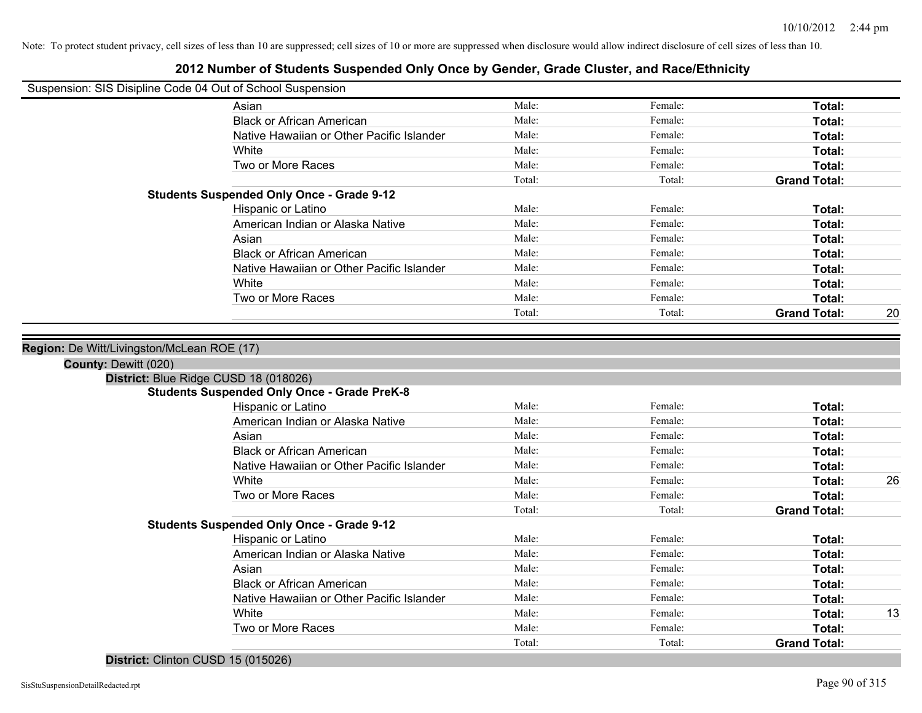### **2012 Number of Students Suspended Only Once by Gender, Grade Cluster, and Race/Ethnicity**

| Suspension: SIS Disipline Code 04 Out of School Suspension |
|------------------------------------------------------------|
|------------------------------------------------------------|

|                                       | Asian                                              | Male:  | Female: | Total:              |    |
|---------------------------------------|----------------------------------------------------|--------|---------|---------------------|----|
|                                       | <b>Black or African American</b>                   | Male:  | Female: | Total:              |    |
|                                       | Native Hawaiian or Other Pacific Islander          | Male:  | Female: | Total:              |    |
|                                       | White                                              | Male:  | Female: | <b>Total:</b>       |    |
|                                       | Two or More Races                                  | Male:  | Female: | Total:              |    |
|                                       |                                                    | Total: | Total:  | <b>Grand Total:</b> |    |
|                                       | <b>Students Suspended Only Once - Grade 9-12</b>   |        |         |                     |    |
|                                       | <b>Hispanic or Latino</b>                          | Male:  | Female: | Total:              |    |
|                                       | American Indian or Alaska Native                   | Male:  | Female: | <b>Total:</b>       |    |
|                                       | Asian                                              | Male:  | Female: | Total:              |    |
|                                       | <b>Black or African American</b>                   | Male:  | Female: | Total:              |    |
|                                       | Native Hawaiian or Other Pacific Islander          | Male:  | Female: | Total:              |    |
|                                       | White                                              | Male:  | Female: | Total:              |    |
|                                       | Two or More Races                                  | Male:  | Female: | Total:              |    |
|                                       |                                                    | Total: | Total:  | <b>Grand Total:</b> | 20 |
| District: Blue Ridge CUSD 18 (018026) | <b>Students Suspended Only Once - Grade PreK-8</b> |        |         |                     |    |
|                                       |                                                    |        |         |                     |    |
|                                       | Hispanic or Latino                                 | Male:  | Female: | Total:              |    |
|                                       | American Indian or Alaska Native                   | Male:  | Female: | <b>Total:</b>       |    |
|                                       | Asian                                              | Male:  | Female: | Total:              |    |
|                                       | <b>Black or African American</b>                   | Male:  | Female: | Total:              |    |
|                                       | Native Hawaiian or Other Pacific Islander          | Male:  | Female: | <b>Total:</b>       |    |
|                                       | White                                              | Male:  | Female: | Total:              |    |
|                                       | Two or More Races                                  | Male:  | Female: | Total:              |    |
|                                       |                                                    | Total: | Total:  | <b>Grand Total:</b> |    |
|                                       | <b>Students Suspended Only Once - Grade 9-12</b>   |        |         |                     |    |
|                                       | Hispanic or Latino                                 | Male:  | Female: | Total:              |    |
|                                       | American Indian or Alaska Native                   | Male:  | Female: | Total:              |    |
|                                       | Asian                                              | Male:  | Female: | Total:              |    |
|                                       | <b>Black or African American</b>                   | Male:  | Female: | Total:              |    |
|                                       | Native Hawaiian or Other Pacific Islander          | Male:  | Female: | <b>Total:</b>       | 26 |

Two or More Races **Total:** Male: Female: Female: **Total:** Total:

Total: Total: **Grand Total:**

#### **District:** Clinton CUSD 15 (015026)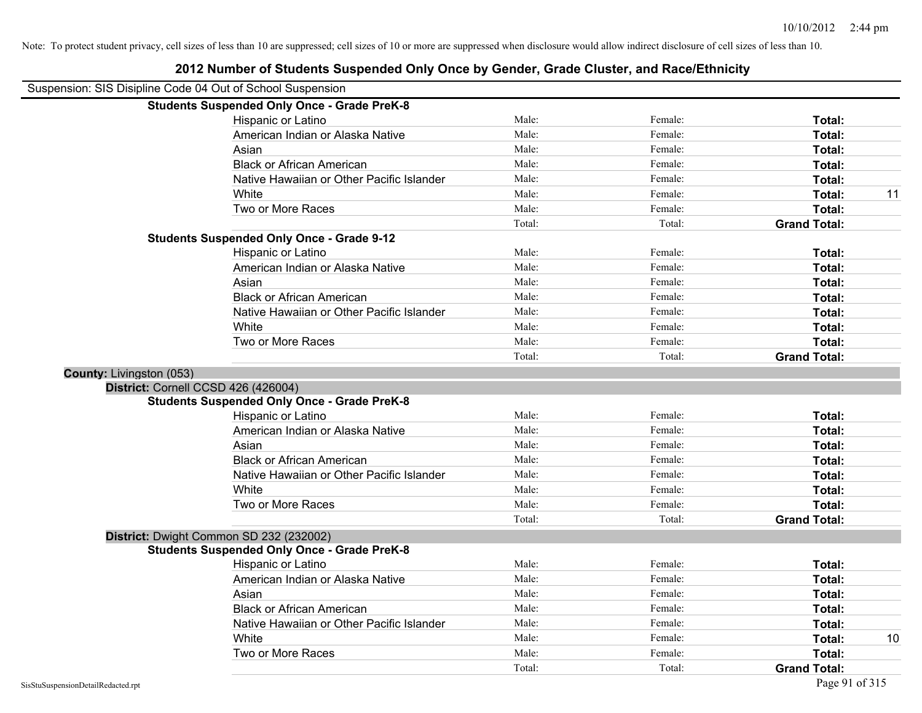|                          | Suspension: SIS Disipline Code 04 Out of School Suspension |        |         |                     |
|--------------------------|------------------------------------------------------------|--------|---------|---------------------|
|                          | <b>Students Suspended Only Once - Grade PreK-8</b>         |        |         |                     |
|                          | Hispanic or Latino                                         | Male:  | Female: | Total:              |
|                          | American Indian or Alaska Native                           | Male:  | Female: | Total:              |
|                          | Asian                                                      | Male:  | Female: | Total:              |
|                          | <b>Black or African American</b>                           | Male:  | Female: | Total:              |
|                          | Native Hawaiian or Other Pacific Islander                  | Male:  | Female: | Total:              |
|                          | White                                                      | Male:  | Female: | Total:<br>11        |
|                          | Two or More Races                                          | Male:  | Female: | Total:              |
|                          |                                                            | Total: | Total:  | <b>Grand Total:</b> |
|                          | <b>Students Suspended Only Once - Grade 9-12</b>           |        |         |                     |
|                          | Hispanic or Latino                                         | Male:  | Female: | Total:              |
|                          | American Indian or Alaska Native                           | Male:  | Female: | Total:              |
|                          | Asian                                                      | Male:  | Female: | Total:              |
|                          | <b>Black or African American</b>                           | Male:  | Female: | Total:              |
|                          | Native Hawaiian or Other Pacific Islander                  | Male:  | Female: | Total:              |
|                          | White                                                      | Male:  | Female: | Total:              |
|                          | Two or More Races                                          | Male:  | Female: | Total:              |
|                          |                                                            | Total: | Total:  | <b>Grand Total:</b> |
| County: Livingston (053) |                                                            |        |         |                     |
|                          | District: Cornell CCSD 426 (426004)                        |        |         |                     |
|                          | <b>Students Suspended Only Once - Grade PreK-8</b>         |        |         |                     |
|                          | Hispanic or Latino                                         | Male:  | Female: | Total:              |
|                          | American Indian or Alaska Native                           | Male:  | Female: | Total:              |
|                          | Asian                                                      | Male:  | Female: | Total:              |
|                          | <b>Black or African American</b>                           | Male:  | Female: | Total:              |
|                          | Native Hawaiian or Other Pacific Islander                  | Male:  | Female: | Total:              |
|                          | White                                                      | Male:  | Female: | Total:              |
|                          | Two or More Races                                          | Male:  | Female: | Total:              |
|                          |                                                            | Total: | Total:  | <b>Grand Total:</b> |
|                          | District: Dwight Common SD 232 (232002)                    |        |         |                     |
|                          | <b>Students Suspended Only Once - Grade PreK-8</b>         |        |         |                     |
|                          | Hispanic or Latino                                         | Male:  | Female: | Total:              |
|                          | American Indian or Alaska Native                           | Male:  | Female: | Total:              |
|                          | Asian                                                      | Male:  | Female: | Total:              |
|                          | <b>Black or African American</b>                           | Male:  | Female: | Total:              |
|                          | Native Hawaiian or Other Pacific Islander                  | Male:  | Female: | Total:              |
|                          | White                                                      | Male:  | Female: | 10<br>Total:        |
|                          | Two or More Races                                          | Male:  | Female: | Total:              |
|                          |                                                            | Total: | Total:  | <b>Grand Total:</b> |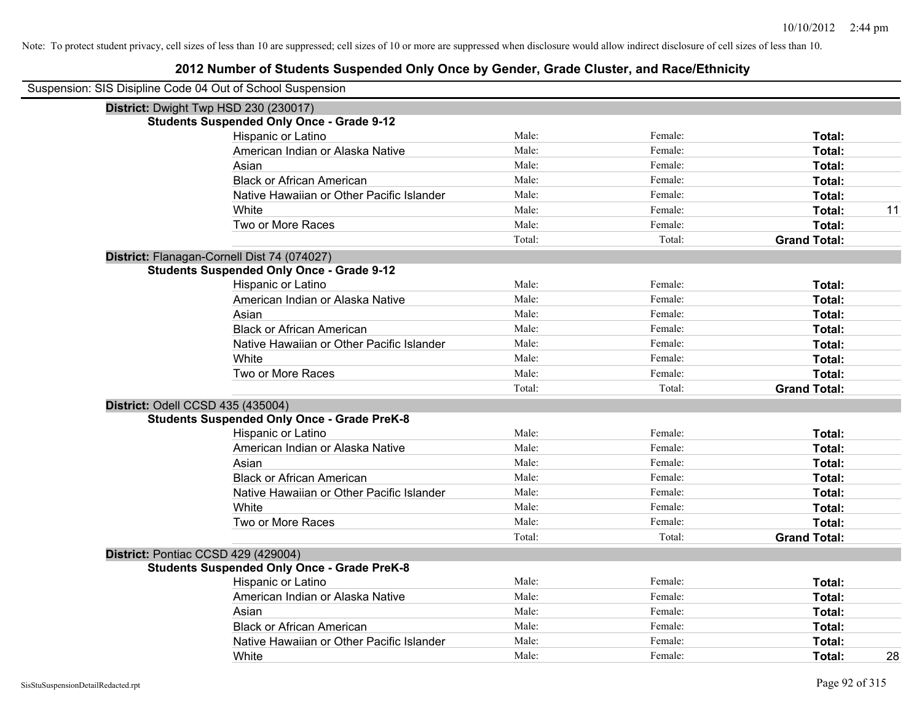| Suspension: SIS Disipline Code 04 Out of School Suspension |        |         |                     |
|------------------------------------------------------------|--------|---------|---------------------|
| District: Dwight Twp HSD 230 (230017)                      |        |         |                     |
| <b>Students Suspended Only Once - Grade 9-12</b>           |        |         |                     |
| Hispanic or Latino                                         | Male:  | Female: | Total:              |
| American Indian or Alaska Native                           | Male:  | Female: | Total:              |
| Asian                                                      | Male:  | Female: | Total:              |
| <b>Black or African American</b>                           | Male:  | Female: | Total:              |
| Native Hawaiian or Other Pacific Islander                  | Male:  | Female: | Total:              |
| White                                                      | Male:  | Female: | 11<br>Total:        |
| Two or More Races                                          | Male:  | Female: | Total:              |
|                                                            | Total: | Total:  | <b>Grand Total:</b> |
| District: Flanagan-Cornell Dist 74 (074027)                |        |         |                     |
| <b>Students Suspended Only Once - Grade 9-12</b>           |        |         |                     |
| Hispanic or Latino                                         | Male:  | Female: | Total:              |
| American Indian or Alaska Native                           | Male:  | Female: | Total:              |
| Asian                                                      | Male:  | Female: | Total:              |
| <b>Black or African American</b>                           | Male:  | Female: | Total:              |
| Native Hawaiian or Other Pacific Islander                  | Male:  | Female: | Total:              |
| White                                                      | Male:  | Female: | Total:              |
| Two or More Races                                          | Male:  | Female: | Total:              |
|                                                            | Total: | Total:  | <b>Grand Total:</b> |
| District: Odell CCSD 435 (435004)                          |        |         |                     |
| <b>Students Suspended Only Once - Grade PreK-8</b>         |        |         |                     |
| Hispanic or Latino                                         | Male:  | Female: | Total:              |
| American Indian or Alaska Native                           | Male:  | Female: | Total:              |
| Asian                                                      | Male:  | Female: | Total:              |
| <b>Black or African American</b>                           | Male:  | Female: | Total:              |
| Native Hawaiian or Other Pacific Islander                  | Male:  | Female: | Total:              |
| White                                                      | Male:  | Female: | Total:              |
| Two or More Races                                          | Male:  | Female: | Total:              |
|                                                            | Total: | Total:  | <b>Grand Total:</b> |
| District: Pontiac CCSD 429 (429004)                        |        |         |                     |
| <b>Students Suspended Only Once - Grade PreK-8</b>         |        |         |                     |
| Hispanic or Latino                                         | Male:  | Female: | Total:              |
| American Indian or Alaska Native                           | Male:  | Female: | Total:              |
| Asian                                                      | Male:  | Female: | Total:              |
| <b>Black or African American</b>                           | Male:  | Female: | Total:              |
| Native Hawaiian or Other Pacific Islander                  | Male:  | Female: | Total:              |
| White                                                      | Male:  | Female: | 28<br>Total:        |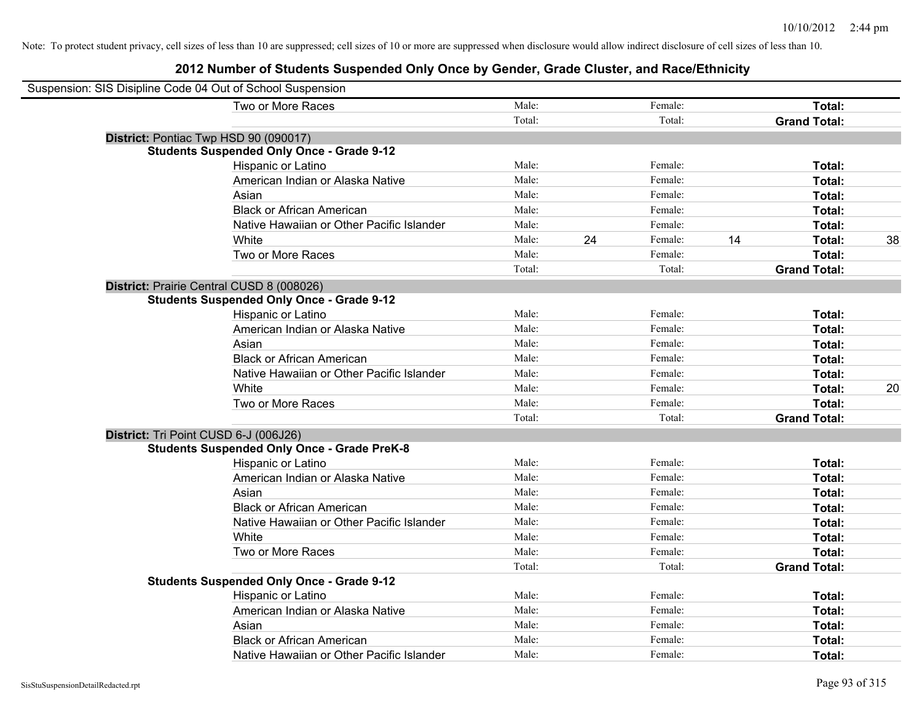| Suspension: SIS Disipline Code 04 Out of School Suspension |                                                    |        |               |    |                     |    |
|------------------------------------------------------------|----------------------------------------------------|--------|---------------|----|---------------------|----|
|                                                            | Two or More Races                                  | Male:  | Female:       |    | Total:              |    |
|                                                            |                                                    | Total: | Total:        |    | <b>Grand Total:</b> |    |
| District: Pontiac Twp HSD 90 (090017)                      |                                                    |        |               |    |                     |    |
|                                                            | <b>Students Suspended Only Once - Grade 9-12</b>   |        |               |    |                     |    |
|                                                            | Hispanic or Latino                                 | Male:  | Female:       |    | Total:              |    |
|                                                            | American Indian or Alaska Native                   | Male:  | Female:       |    | Total:              |    |
|                                                            | Asian                                              | Male:  | Female:       |    | Total:              |    |
|                                                            | <b>Black or African American</b>                   | Male:  | Female:       |    | Total:              |    |
|                                                            | Native Hawaiian or Other Pacific Islander          | Male:  | Female:       |    | Total:              |    |
|                                                            | White                                              | Male:  | 24<br>Female: | 14 | Total:              | 38 |
|                                                            | Two or More Races                                  | Male:  | Female:       |    | Total:              |    |
|                                                            |                                                    | Total: | Total:        |    | <b>Grand Total:</b> |    |
| District: Prairie Central CUSD 8 (008026)                  |                                                    |        |               |    |                     |    |
|                                                            | <b>Students Suspended Only Once - Grade 9-12</b>   |        |               |    |                     |    |
|                                                            | Hispanic or Latino                                 | Male:  | Female:       |    | Total:              |    |
|                                                            | American Indian or Alaska Native                   | Male:  | Female:       |    | Total:              |    |
|                                                            | Asian                                              | Male:  | Female:       |    | Total:              |    |
|                                                            | <b>Black or African American</b>                   | Male:  | Female:       |    | Total:              |    |
|                                                            | Native Hawaiian or Other Pacific Islander          | Male:  | Female:       |    | Total:              |    |
|                                                            | White                                              | Male:  | Female:       |    | Total:              | 20 |
|                                                            | Two or More Races                                  | Male:  | Female:       |    | Total:              |    |
|                                                            |                                                    | Total: | Total:        |    | <b>Grand Total:</b> |    |
| District: Tri Point CUSD 6-J (006J26)                      |                                                    |        |               |    |                     |    |
|                                                            | <b>Students Suspended Only Once - Grade PreK-8</b> |        |               |    |                     |    |
|                                                            | Hispanic or Latino                                 | Male:  | Female:       |    | Total:              |    |
|                                                            | American Indian or Alaska Native                   | Male:  | Female:       |    | Total:              |    |
|                                                            | Asian                                              | Male:  | Female:       |    | Total:              |    |
|                                                            | <b>Black or African American</b>                   | Male:  | Female:       |    | Total:              |    |
|                                                            | Native Hawaiian or Other Pacific Islander          | Male:  | Female:       |    | Total:              |    |
|                                                            | White                                              | Male:  | Female:       |    | Total:              |    |
|                                                            | Two or More Races                                  | Male:  | Female:       |    | Total:              |    |
|                                                            |                                                    | Total: | Total:        |    | <b>Grand Total:</b> |    |
|                                                            | <b>Students Suspended Only Once - Grade 9-12</b>   |        |               |    |                     |    |
|                                                            | Hispanic or Latino                                 | Male:  | Female:       |    | Total:              |    |
|                                                            | American Indian or Alaska Native                   | Male:  | Female:       |    | Total:              |    |
|                                                            | Asian                                              | Male:  | Female:       |    | Total:              |    |
|                                                            | <b>Black or African American</b>                   | Male:  | Female:       |    | Total:              |    |
|                                                            | Native Hawaiian or Other Pacific Islander          | Male:  | Female:       |    | Total:              |    |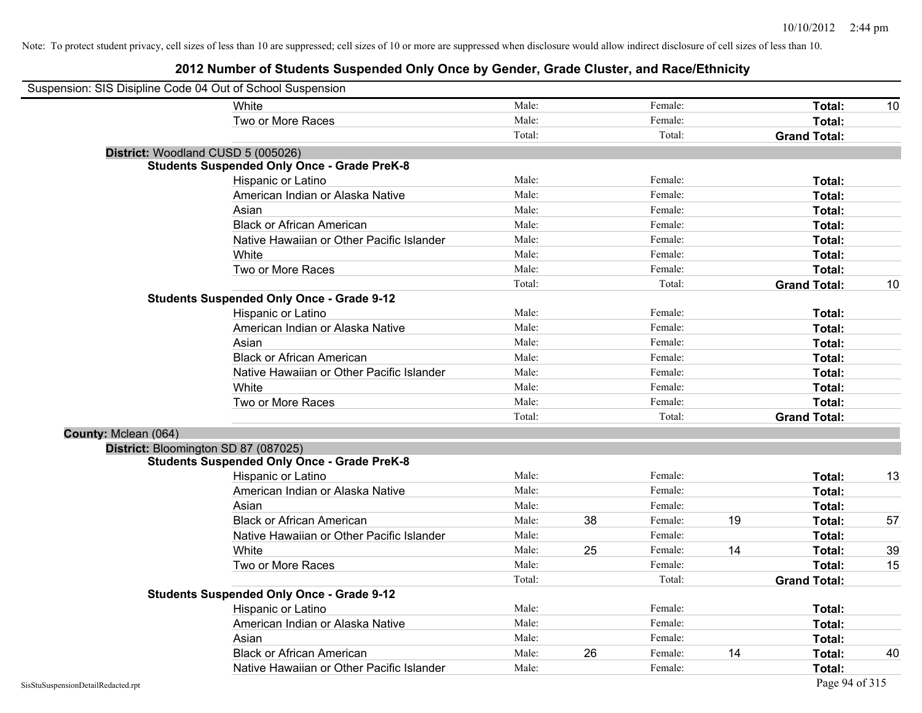| Suspension: SIS Disipline Code 04 Out of School Suspension |                                                    |        |    |         |    |                     |    |
|------------------------------------------------------------|----------------------------------------------------|--------|----|---------|----|---------------------|----|
|                                                            | White                                              | Male:  |    | Female: |    | Total:              | 10 |
|                                                            | Two or More Races                                  | Male:  |    | Female: |    | Total:              |    |
|                                                            |                                                    | Total: |    | Total:  |    | <b>Grand Total:</b> |    |
|                                                            | District: Woodland CUSD 5 (005026)                 |        |    |         |    |                     |    |
|                                                            | <b>Students Suspended Only Once - Grade PreK-8</b> |        |    |         |    |                     |    |
|                                                            | Hispanic or Latino                                 | Male:  |    | Female: |    | Total:              |    |
|                                                            | American Indian or Alaska Native                   | Male:  |    | Female: |    | Total:              |    |
|                                                            | Asian                                              | Male:  |    | Female: |    | Total:              |    |
|                                                            | <b>Black or African American</b>                   | Male:  |    | Female: |    | Total:              |    |
|                                                            | Native Hawaiian or Other Pacific Islander          | Male:  |    | Female: |    | Total:              |    |
|                                                            | White                                              | Male:  |    | Female: |    | Total:              |    |
|                                                            | Two or More Races                                  | Male:  |    | Female: |    | Total:              |    |
|                                                            |                                                    | Total: |    | Total:  |    | <b>Grand Total:</b> | 10 |
|                                                            | <b>Students Suspended Only Once - Grade 9-12</b>   |        |    |         |    |                     |    |
|                                                            | Hispanic or Latino                                 | Male:  |    | Female: |    | Total:              |    |
|                                                            | American Indian or Alaska Native                   | Male:  |    | Female: |    | Total:              |    |
|                                                            | Asian                                              | Male:  |    | Female: |    | Total:              |    |
|                                                            | <b>Black or African American</b>                   | Male:  |    | Female: |    | Total:              |    |
|                                                            | Native Hawaiian or Other Pacific Islander          | Male:  |    | Female: |    | Total:              |    |
|                                                            | White                                              | Male:  |    | Female: |    | Total:              |    |
|                                                            | Two or More Races                                  | Male:  |    | Female: |    | Total:              |    |
|                                                            |                                                    | Total: |    | Total:  |    | <b>Grand Total:</b> |    |
| County: Mclean (064)                                       |                                                    |        |    |         |    |                     |    |
|                                                            | District: Bloomington SD 87 (087025)               |        |    |         |    |                     |    |
|                                                            | <b>Students Suspended Only Once - Grade PreK-8</b> |        |    |         |    |                     |    |
|                                                            | Hispanic or Latino                                 | Male:  |    | Female: |    | Total:              | 13 |
|                                                            | American Indian or Alaska Native                   | Male:  |    | Female: |    | Total:              |    |
|                                                            | Asian                                              | Male:  |    | Female: |    | Total:              |    |
|                                                            | <b>Black or African American</b>                   | Male:  | 38 | Female: | 19 | Total:              | 57 |
|                                                            | Native Hawaiian or Other Pacific Islander          | Male:  |    | Female: |    | Total:              |    |
|                                                            | White                                              | Male:  | 25 | Female: | 14 | Total:              | 39 |
|                                                            | Two or More Races                                  | Male:  |    | Female: |    | Total:              | 15 |
|                                                            |                                                    | Total: |    | Total:  |    | <b>Grand Total:</b> |    |
|                                                            | <b>Students Suspended Only Once - Grade 9-12</b>   |        |    |         |    |                     |    |
|                                                            | Hispanic or Latino                                 | Male:  |    | Female: |    | Total:              |    |
|                                                            | American Indian or Alaska Native                   | Male:  |    | Female: |    | Total:              |    |
|                                                            | Asian                                              | Male:  |    | Female: |    | Total:              |    |
|                                                            | <b>Black or African American</b>                   | Male:  | 26 | Female: | 14 | Total:              | 40 |
|                                                            | Native Hawaiian or Other Pacific Islander          | Male:  |    | Female: |    | Total:              |    |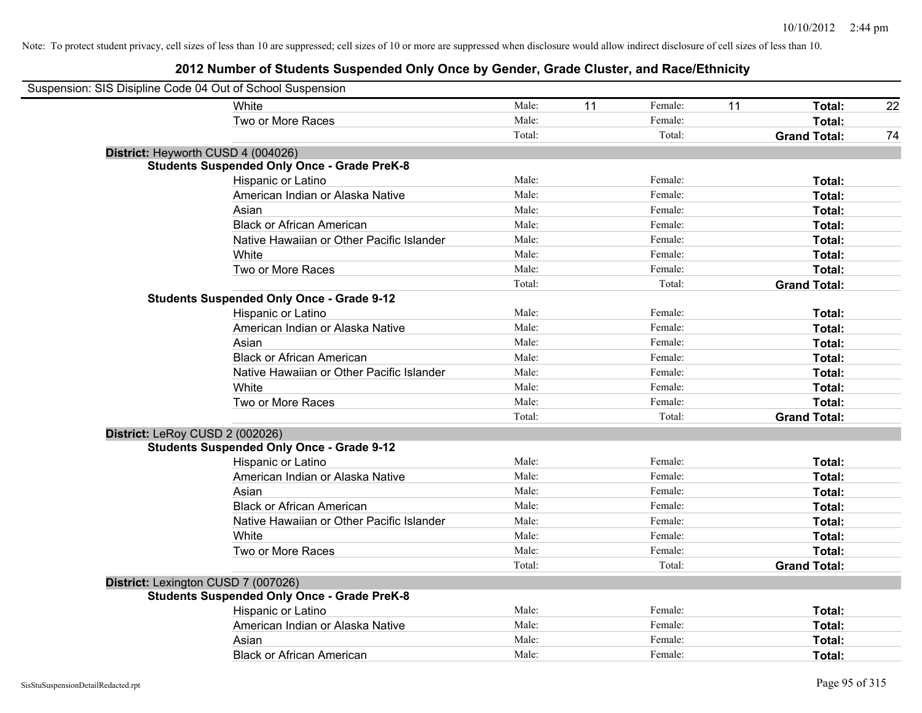| Suspension: SIS Disipline Code 04 Out of School Suspension |        |    |         |    |                     |    |
|------------------------------------------------------------|--------|----|---------|----|---------------------|----|
| <b>White</b>                                               | Male:  | 11 | Female: | 11 | Total:              | 22 |
| Two or More Races                                          | Male:  |    | Female: |    | Total:              |    |
|                                                            | Total: |    | Total:  |    | <b>Grand Total:</b> | 74 |
| District: Heyworth CUSD 4 (004026)                         |        |    |         |    |                     |    |
| <b>Students Suspended Only Once - Grade PreK-8</b>         |        |    |         |    |                     |    |
| Hispanic or Latino                                         | Male:  |    | Female: |    | Total:              |    |
| American Indian or Alaska Native                           | Male:  |    | Female: |    | Total:              |    |
| Asian                                                      | Male:  |    | Female: |    | Total:              |    |
| <b>Black or African American</b>                           | Male:  |    | Female: |    | Total:              |    |
| Native Hawaiian or Other Pacific Islander                  | Male:  |    | Female: |    | Total:              |    |
| White                                                      | Male:  |    | Female: |    | Total:              |    |
| Two or More Races                                          | Male:  |    | Female: |    | Total:              |    |
|                                                            | Total: |    | Total:  |    | <b>Grand Total:</b> |    |
| <b>Students Suspended Only Once - Grade 9-12</b>           |        |    |         |    |                     |    |
| Hispanic or Latino                                         | Male:  |    | Female: |    | Total:              |    |
| American Indian or Alaska Native                           | Male:  |    | Female: |    | Total:              |    |
| Asian                                                      | Male:  |    | Female: |    | Total:              |    |
| <b>Black or African American</b>                           | Male:  |    | Female: |    | Total:              |    |
| Native Hawaiian or Other Pacific Islander                  | Male:  |    | Female: |    | Total:              |    |
| White                                                      | Male:  |    | Female: |    | Total:              |    |
| Two or More Races                                          | Male:  |    | Female: |    | Total:              |    |
|                                                            | Total: |    | Total:  |    | <b>Grand Total:</b> |    |
| District: LeRoy CUSD 2 (002026)                            |        |    |         |    |                     |    |
| <b>Students Suspended Only Once - Grade 9-12</b>           |        |    |         |    |                     |    |
| Hispanic or Latino                                         | Male:  |    | Female: |    | Total:              |    |
| American Indian or Alaska Native                           | Male:  |    | Female: |    | Total:              |    |
| Asian                                                      | Male:  |    | Female: |    | Total:              |    |
| <b>Black or African American</b>                           | Male:  |    | Female: |    | Total:              |    |
| Native Hawaiian or Other Pacific Islander                  | Male:  |    | Female: |    | Total:              |    |
| White                                                      | Male:  |    | Female: |    | Total:              |    |
| Two or More Races                                          | Male:  |    | Female: |    | Total:              |    |
|                                                            | Total: |    | Total:  |    | <b>Grand Total:</b> |    |
| District: Lexington CUSD 7 (007026)                        |        |    |         |    |                     |    |
| <b>Students Suspended Only Once - Grade PreK-8</b>         |        |    |         |    |                     |    |
| Hispanic or Latino                                         | Male:  |    | Female: |    | Total:              |    |
| American Indian or Alaska Native                           | Male:  |    | Female: |    | Total:              |    |
| Asian                                                      | Male:  |    | Female: |    | Total:              |    |
| <b>Black or African American</b>                           | Male:  |    | Female: |    | Total:              |    |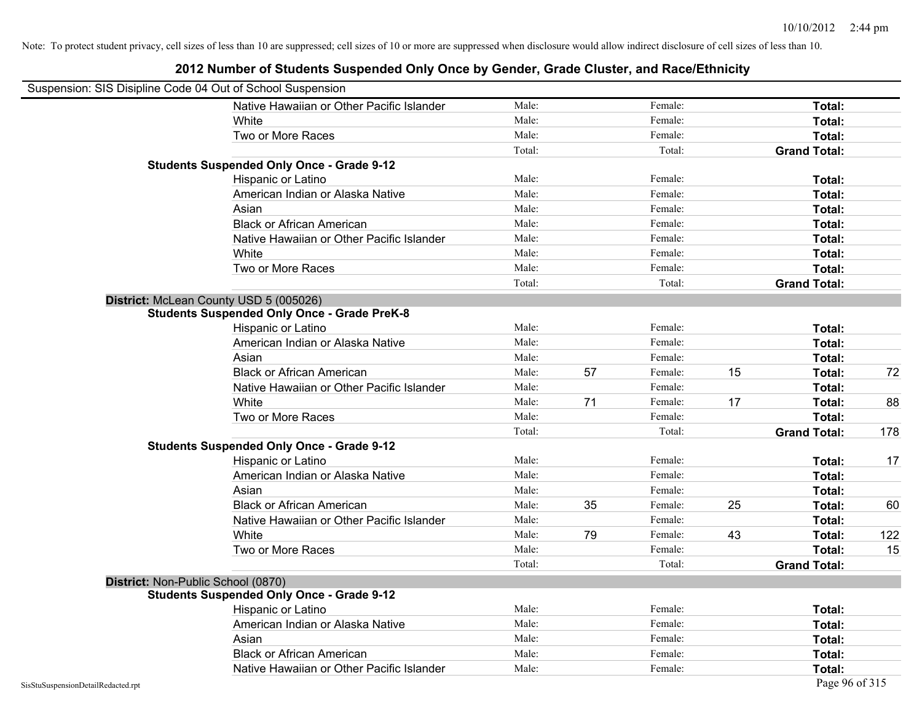| Suspension: SIS Disipline Code 04 Out of School Suspension |                                                    |        |    |         |    |                     |     |
|------------------------------------------------------------|----------------------------------------------------|--------|----|---------|----|---------------------|-----|
|                                                            | Native Hawaiian or Other Pacific Islander          | Male:  |    | Female: |    | Total:              |     |
|                                                            | White                                              | Male:  |    | Female: |    | Total:              |     |
|                                                            | Two or More Races                                  | Male:  |    | Female: |    | Total:              |     |
|                                                            |                                                    | Total: |    | Total:  |    | <b>Grand Total:</b> |     |
|                                                            | <b>Students Suspended Only Once - Grade 9-12</b>   |        |    |         |    |                     |     |
|                                                            | Hispanic or Latino                                 | Male:  |    | Female: |    | Total:              |     |
|                                                            | American Indian or Alaska Native                   | Male:  |    | Female: |    | Total:              |     |
|                                                            | Asian                                              | Male:  |    | Female: |    | Total:              |     |
|                                                            | <b>Black or African American</b>                   | Male:  |    | Female: |    | Total:              |     |
|                                                            | Native Hawaiian or Other Pacific Islander          | Male:  |    | Female: |    | Total:              |     |
|                                                            | White                                              | Male:  |    | Female: |    | Total:              |     |
|                                                            | Two or More Races                                  | Male:  |    | Female: |    | Total:              |     |
|                                                            |                                                    | Total: |    | Total:  |    | <b>Grand Total:</b> |     |
|                                                            | District: McLean County USD 5 (005026)             |        |    |         |    |                     |     |
|                                                            | <b>Students Suspended Only Once - Grade PreK-8</b> |        |    |         |    |                     |     |
|                                                            | Hispanic or Latino                                 | Male:  |    | Female: |    | Total:              |     |
|                                                            | American Indian or Alaska Native                   | Male:  |    | Female: |    | Total:              |     |
|                                                            | Asian                                              | Male:  |    | Female: |    | Total:              |     |
|                                                            | <b>Black or African American</b>                   | Male:  | 57 | Female: | 15 | Total:              | 72  |
|                                                            | Native Hawaiian or Other Pacific Islander          | Male:  |    | Female: |    | Total:              |     |
|                                                            | White                                              | Male:  | 71 | Female: | 17 | Total:              | 88  |
|                                                            | Two or More Races                                  | Male:  |    | Female: |    | Total:              |     |
|                                                            |                                                    | Total: |    | Total:  |    | <b>Grand Total:</b> | 178 |
|                                                            | <b>Students Suspended Only Once - Grade 9-12</b>   |        |    |         |    |                     |     |
|                                                            | Hispanic or Latino                                 | Male:  |    | Female: |    | Total:              | 17  |
|                                                            | American Indian or Alaska Native                   | Male:  |    | Female: |    | Total:              |     |
|                                                            | Asian                                              | Male:  |    | Female: |    | Total:              |     |
|                                                            | <b>Black or African American</b>                   | Male:  | 35 | Female: | 25 | Total:              | 60  |
|                                                            | Native Hawaiian or Other Pacific Islander          | Male:  |    | Female: |    | Total:              |     |
|                                                            | White                                              | Male:  | 79 | Female: | 43 | Total:              | 122 |
|                                                            | Two or More Races                                  | Male:  |    | Female: |    | Total:              | 15  |
|                                                            |                                                    | Total: |    | Total:  |    | <b>Grand Total:</b> |     |
|                                                            | District: Non-Public School (0870)                 |        |    |         |    |                     |     |
|                                                            | <b>Students Suspended Only Once - Grade 9-12</b>   |        |    |         |    |                     |     |
|                                                            | Hispanic or Latino                                 | Male:  |    | Female: |    | Total:              |     |
|                                                            | American Indian or Alaska Native                   | Male:  |    | Female: |    | Total:              |     |
|                                                            | Asian                                              | Male:  |    | Female: |    | Total:              |     |
|                                                            | <b>Black or African American</b>                   | Male:  |    | Female: |    | Total:              |     |
|                                                            | Native Hawaiian or Other Pacific Islander          | Male:  |    | Female: |    | Total:              |     |
| SisStuSuspensionDetailRedacted.rpt                         |                                                    |        |    |         |    | Page 96 of 315      |     |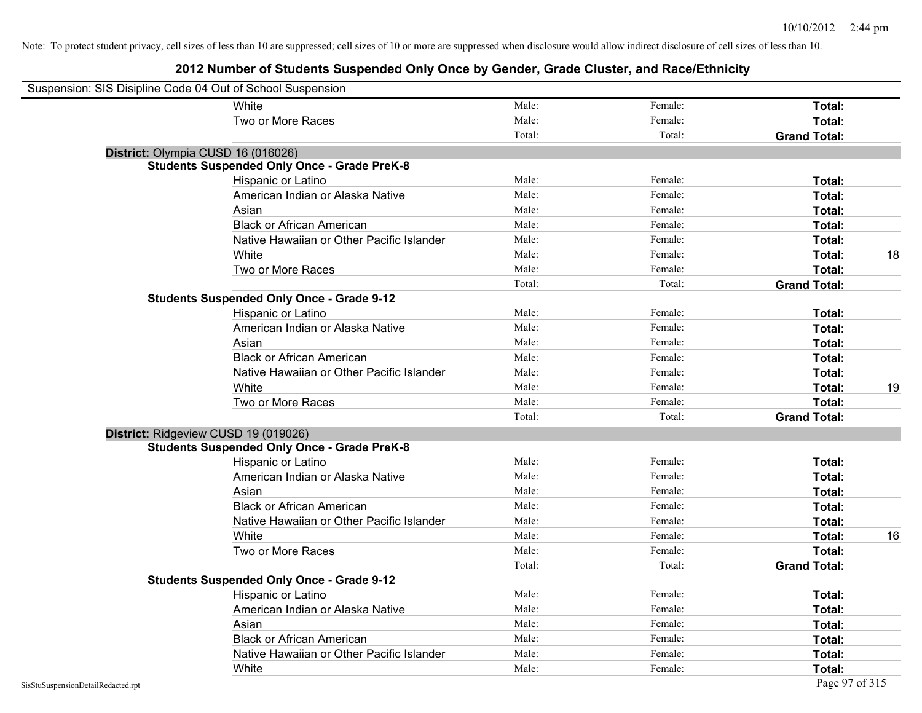| Suspension: SIS Disipline Code 04 Out of School Suspension |                                                    |        |         |                     |    |
|------------------------------------------------------------|----------------------------------------------------|--------|---------|---------------------|----|
|                                                            | White                                              | Male:  | Female: | Total:              |    |
|                                                            | Two or More Races                                  | Male:  | Female: | Total:              |    |
|                                                            |                                                    | Total: | Total:  | <b>Grand Total:</b> |    |
| District: Olympia CUSD 16 (016026)                         |                                                    |        |         |                     |    |
|                                                            | <b>Students Suspended Only Once - Grade PreK-8</b> |        |         |                     |    |
|                                                            | Hispanic or Latino                                 | Male:  | Female: | Total:              |    |
|                                                            | American Indian or Alaska Native                   | Male:  | Female: | Total:              |    |
|                                                            | Asian                                              | Male:  | Female: | Total:              |    |
|                                                            | <b>Black or African American</b>                   | Male:  | Female: | Total:              |    |
|                                                            | Native Hawaiian or Other Pacific Islander          | Male:  | Female: | Total:              |    |
|                                                            | White                                              | Male:  | Female: | Total:              | 18 |
|                                                            | Two or More Races                                  | Male:  | Female: | Total:              |    |
|                                                            |                                                    | Total: | Total:  | <b>Grand Total:</b> |    |
|                                                            | <b>Students Suspended Only Once - Grade 9-12</b>   |        |         |                     |    |
|                                                            | Hispanic or Latino                                 | Male:  | Female: | Total:              |    |
|                                                            | American Indian or Alaska Native                   | Male:  | Female: | Total:              |    |
|                                                            | Asian                                              | Male:  | Female: | Total:              |    |
|                                                            | <b>Black or African American</b>                   | Male:  | Female: | Total:              |    |
|                                                            | Native Hawaiian or Other Pacific Islander          | Male:  | Female: | Total:              |    |
|                                                            | White                                              | Male:  | Female: | Total:              | 19 |
|                                                            | Two or More Races                                  | Male:  | Female: | Total:              |    |
|                                                            |                                                    | Total: | Total:  | <b>Grand Total:</b> |    |
| District: Ridgeview CUSD 19 (019026)                       |                                                    |        |         |                     |    |
|                                                            | <b>Students Suspended Only Once - Grade PreK-8</b> |        |         |                     |    |
|                                                            | Hispanic or Latino                                 | Male:  | Female: | Total:              |    |
|                                                            | American Indian or Alaska Native                   | Male:  | Female: | Total:              |    |
|                                                            | Asian                                              | Male:  | Female: | Total:              |    |
|                                                            | <b>Black or African American</b>                   | Male:  | Female: | Total:              |    |
|                                                            | Native Hawaiian or Other Pacific Islander          | Male:  | Female: | Total:              |    |
|                                                            | White                                              | Male:  | Female: | Total:              | 16 |
|                                                            | Two or More Races                                  | Male:  | Female: | Total:              |    |
|                                                            |                                                    | Total: | Total:  | <b>Grand Total:</b> |    |
|                                                            | <b>Students Suspended Only Once - Grade 9-12</b>   |        |         |                     |    |
|                                                            | Hispanic or Latino                                 | Male:  | Female: | Total:              |    |
|                                                            | American Indian or Alaska Native                   | Male:  | Female: | Total:              |    |
|                                                            | Asian                                              | Male:  | Female: | Total:              |    |
|                                                            | <b>Black or African American</b>                   | Male:  | Female: | Total:              |    |
|                                                            | Native Hawaiian or Other Pacific Islander          | Male:  | Female: | Total:              |    |
|                                                            | White                                              | Male:  | Female: | Total:              |    |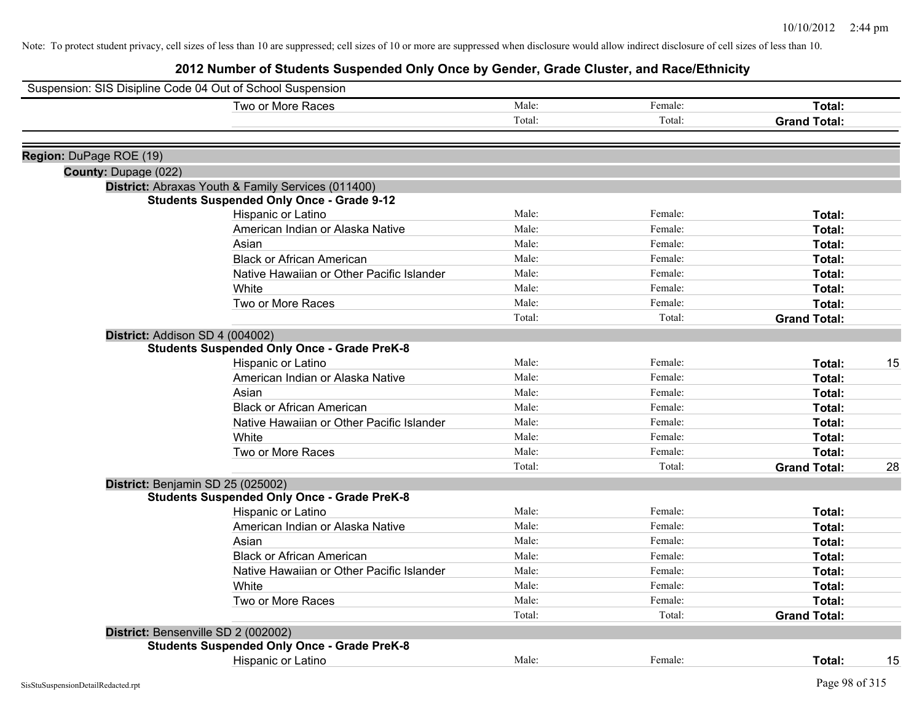|                         | Suspension: SIS Disipline Code 04 Out of School Suspension |        |         |                     |    |
|-------------------------|------------------------------------------------------------|--------|---------|---------------------|----|
|                         | Two or More Races                                          | Male:  | Female: | Total:              |    |
|                         |                                                            | Total: | Total:  | <b>Grand Total:</b> |    |
| Region: DuPage ROE (19) |                                                            |        |         |                     |    |
| County: Dupage (022)    |                                                            |        |         |                     |    |
|                         | District: Abraxas Youth & Family Services (011400)         |        |         |                     |    |
|                         | <b>Students Suspended Only Once - Grade 9-12</b>           |        |         |                     |    |
|                         | Hispanic or Latino                                         | Male:  | Female: | Total:              |    |
|                         | American Indian or Alaska Native                           | Male:  | Female: | Total:              |    |
|                         | Asian                                                      | Male:  | Female: | Total:              |    |
|                         | <b>Black or African American</b>                           | Male:  | Female: | Total:              |    |
|                         | Native Hawaiian or Other Pacific Islander                  | Male:  | Female: | Total:              |    |
|                         | White                                                      | Male:  | Female: | Total:              |    |
|                         | Two or More Races                                          | Male:  | Female: | Total:              |    |
|                         |                                                            | Total: | Total:  | <b>Grand Total:</b> |    |
|                         | District: Addison SD 4 (004002)                            |        |         |                     |    |
|                         | <b>Students Suspended Only Once - Grade PreK-8</b>         |        |         |                     |    |
|                         | Hispanic or Latino                                         | Male:  | Female: | Total:              | 15 |
|                         | American Indian or Alaska Native                           | Male:  | Female: | Total:              |    |
|                         | Asian                                                      | Male:  | Female: | Total:              |    |
|                         | <b>Black or African American</b>                           | Male:  | Female: | Total:              |    |
|                         | Native Hawaiian or Other Pacific Islander                  | Male:  | Female: | Total:              |    |
|                         | White                                                      | Male:  | Female: | Total:              |    |
|                         | Two or More Races                                          | Male:  | Female: | Total:              |    |
|                         |                                                            | Total: | Total:  | <b>Grand Total:</b> | 28 |
|                         | District: Benjamin SD 25 (025002)                          |        |         |                     |    |
|                         | <b>Students Suspended Only Once - Grade PreK-8</b>         |        |         |                     |    |
|                         | Hispanic or Latino                                         | Male:  | Female: | Total:              |    |
|                         | American Indian or Alaska Native                           | Male:  | Female: | Total:              |    |
|                         | Asian                                                      | Male:  | Female: | Total:              |    |
|                         | <b>Black or African American</b>                           | Male:  | Female: | Total:              |    |
|                         | Native Hawaiian or Other Pacific Islander                  | Male:  | Female: | Total:              |    |
|                         | White                                                      | Male:  | Female: | Total:              |    |
|                         | Two or More Races                                          | Male:  | Female: | Total:              |    |
|                         |                                                            | Total: | Total:  | <b>Grand Total:</b> |    |
|                         | District: Bensenville SD 2 (002002)                        |        |         |                     |    |
|                         | <b>Students Suspended Only Once - Grade PreK-8</b>         |        |         |                     |    |
|                         | <b>Hispanic or Latino</b>                                  | Male:  | Female: | Total:              | 15 |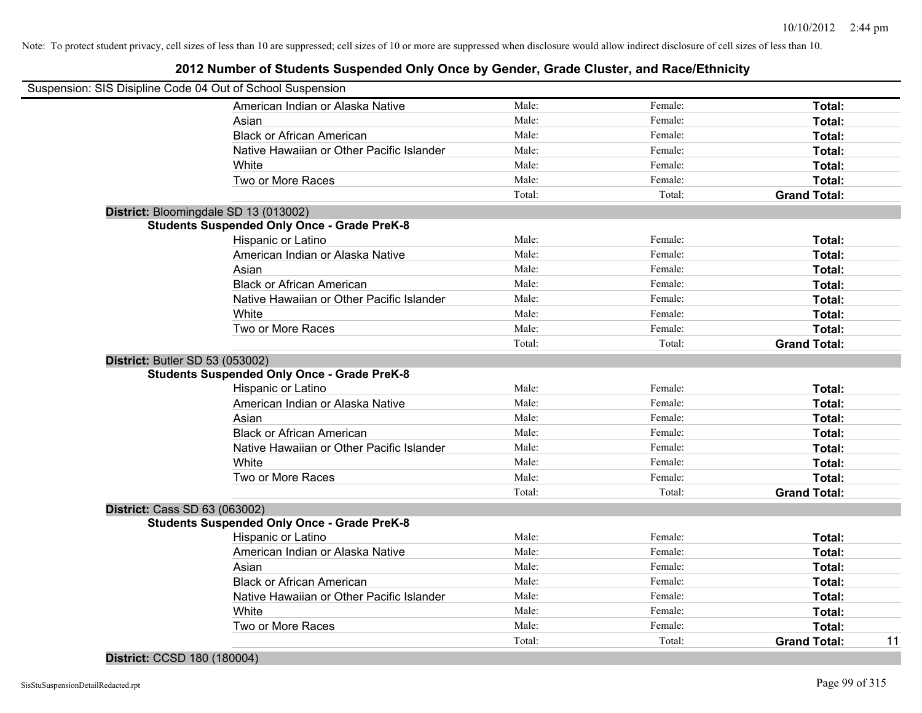# **2012 Number of Students Suspended Only Once by Gender, Grade Cluster, and Race/Ethnicity**

|                                        | Suspension: SIS Disipline Code 04 Out of School Suspension |        |         |                     |    |
|----------------------------------------|------------------------------------------------------------|--------|---------|---------------------|----|
|                                        | American Indian or Alaska Native                           | Male:  | Female: | Total:              |    |
|                                        | Asian                                                      | Male:  | Female: | Total:              |    |
|                                        | <b>Black or African American</b>                           | Male:  | Female: | Total:              |    |
|                                        | Native Hawaiian or Other Pacific Islander                  | Male:  | Female: | Total:              |    |
|                                        | White                                                      | Male:  | Female: | Total:              |    |
|                                        | Two or More Races                                          | Male:  | Female: | Total:              |    |
|                                        |                                                            | Total: | Total:  | <b>Grand Total:</b> |    |
|                                        | District: Bloomingdale SD 13 (013002)                      |        |         |                     |    |
|                                        | <b>Students Suspended Only Once - Grade PreK-8</b>         |        |         |                     |    |
|                                        | Hispanic or Latino                                         | Male:  | Female: | Total:              |    |
|                                        | American Indian or Alaska Native                           | Male:  | Female: | Total:              |    |
|                                        | Asian                                                      | Male:  | Female: | Total:              |    |
|                                        | <b>Black or African American</b>                           | Male:  | Female: | Total:              |    |
|                                        | Native Hawaiian or Other Pacific Islander                  | Male:  | Female: | Total:              |    |
|                                        | White                                                      | Male:  | Female: | Total:              |    |
|                                        | Two or More Races                                          | Male:  | Female: | Total:              |    |
|                                        |                                                            | Total: | Total:  | <b>Grand Total:</b> |    |
| <b>District: Butler SD 53 (053002)</b> |                                                            |        |         |                     |    |
|                                        | <b>Students Suspended Only Once - Grade PreK-8</b>         |        |         |                     |    |
|                                        | Hispanic or Latino                                         | Male:  | Female: | Total:              |    |
|                                        | American Indian or Alaska Native                           | Male:  | Female: | Total:              |    |
|                                        | Asian                                                      | Male:  | Female: | Total:              |    |
|                                        | <b>Black or African American</b>                           | Male:  | Female: | Total:              |    |
|                                        | Native Hawaiian or Other Pacific Islander                  | Male:  | Female: | Total:              |    |
|                                        | White                                                      | Male:  | Female: | Total:              |    |
|                                        | Two or More Races                                          | Male:  | Female: | Total:              |    |
|                                        |                                                            | Total: | Total:  | <b>Grand Total:</b> |    |
| <b>District: Cass SD 63 (063002)</b>   |                                                            |        |         |                     |    |
|                                        | <b>Students Suspended Only Once - Grade PreK-8</b>         |        |         |                     |    |
|                                        | Hispanic or Latino                                         | Male:  | Female: | Total:              |    |
|                                        | American Indian or Alaska Native                           | Male:  | Female: | Total:              |    |
|                                        | Asian                                                      | Male:  | Female: | Total:              |    |
|                                        | <b>Black or African American</b>                           | Male:  | Female: | Total:              |    |
|                                        | Native Hawaiian or Other Pacific Islander                  | Male:  | Female: | Total:              |    |
|                                        | White                                                      | Male:  | Female: | Total:              |    |
|                                        | Two or More Races                                          | Male:  | Female: | Total:              |    |
|                                        |                                                            | Total: | Total:  | <b>Grand Total:</b> | 11 |
|                                        |                                                            |        |         |                     |    |

### **District:** CCSD 180 (180004)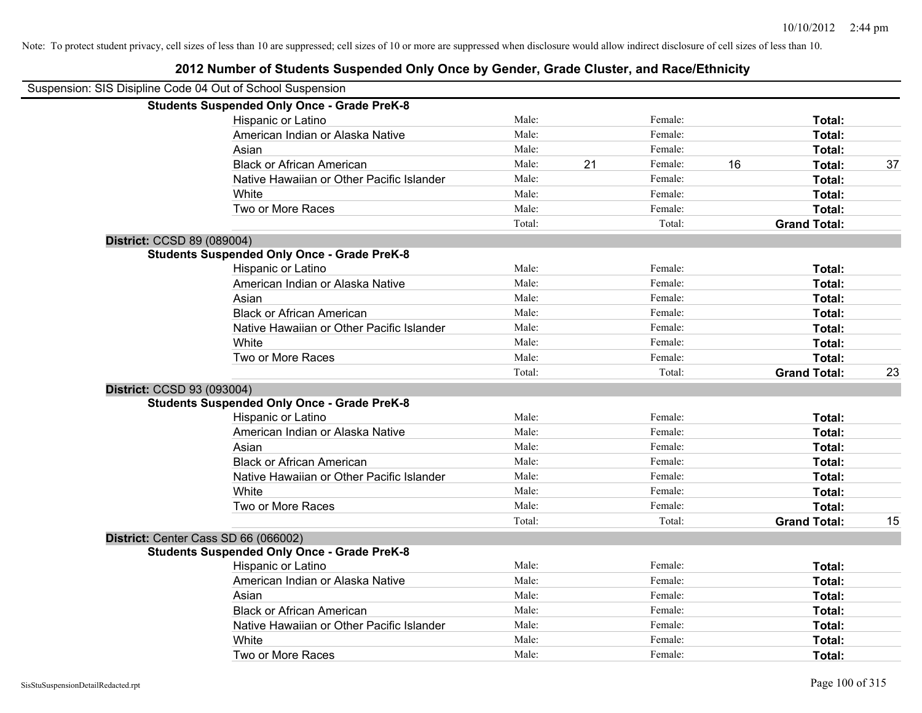### Suspension: SIS Disipline Code 04 Out of School Suspension **Students Suspended Only Once - Grade PreK-8** Hispanic or Latino **Finale:** Female: **Female:** Female: **Total:** Female: **Total:** Female: **Female:** Female: **Total:** Female: **Female:** Female: **Female:** Female: **Female:** Female: **Female:** Female: **Female:** Female: **Female:** American Indian or Alaska Native **Male:** Male: Female: Female: **Total:** Total: Asian **Asian Male:** Total: Male: Female: **Total: Total:** Total: Total: Total: Total: Total: Total: Total: Total: Total: Total: Total: Total: Total: Total: Total: Total: Total: Total: Total: Total: Total: Total: Total: Tota Black or African American **Male:** 21 Female: 16 Total: 37 Native Hawaiian or Other Pacific Islander Male: Total: Female: Female: Total: Total: White **Total:** Male: Female: **Total:** Female: **Total:** Total: Two or More Races **Total:** Total: Male: Female: Female: **Total:** Female: **Total:** Total: Total: Total: **Grand Total: District:** CCSD 89 (089004) **Students Suspended Only Once - Grade PreK-8** Hispanic or Latino **Finally Contract Contract Contract Contract Contract Contract Contract Contract Contract Contract Contract Contract Contract Contract Contract Contract Contract Contract Contract Contract Contract Contr** American Indian or Alaska Native **Male:** Male: Female: Female: **Total:** Total: Asian **Female:** Total: Male: Female: **Total:** Total: Total: Total: Total: Total: Total: Total: Total: Total: Total: Total: Total: Total: Total: Total: Total: Total: Total: Total: Total: Total: Total: Total: Total: Total: T Black or African American **Figure 1.1 and Total:** Male: Female: Female: **Total:** Total: Native Hawaiian or Other Pacific Islander **Male:** Male: Female: Female: **Total:** Total: White **Total:** Male: Female: **Total:** Total: **Total:** Female: **Total:** Total: Two or More Races **Total:** Total: Male: Female: Female: **Total:** Total: Female: Total: Total: Total: **Grand Total:** 23 **District:** CCSD 93 (093004) **Students Suspended Only Once - Grade PreK-8** Hispanic or Latino **Finally Contract Contract Contract Contract Contract Contract Contract Contract Contract Contract Contract Contract Contract Contract Contract Contract Contract Contract Contract Contract Contract Contr** American Indian or Alaska Native **Male:** Male: Female: Female: **Total:** Total: Asian **Asian Male:** Total: Male: Female: **Total: Total:** Total: Total: Total: Total: Total: Total: Total: Total: Total: Total: Total: Total: Total: Total: Total: Total: Total: Total: Total: Total: Total: Total: Total: Tota Black or African American **Figure 1.1 and Total:** Male: Female: Female: **Total:** Total: Native Hawaiian or Other Pacific Islander **Male:** Male: Female: Female: **Total:** Total: White **Total:** Male: Female: **Total:** Female: **Total:** Total: Two or More Races **Total:** Total: Male: Female: Female: **Total:** Total: Total: Total: **Grand Total:** 15 **District:** Center Cass SD 66 (066002) **Students Suspended Only Once - Grade PreK-8** Hispanic or Latino **Finale:** Female: **Total:** Female: **Total:** Female: **Total:** Female: **Finale:** Female: **Total:** Female: **Finale:** Finale: **Finale:** Finale: **Finale:** Finale: **Finale:** Finale: **Finale:** Finale: **Finale:** American Indian or Alaska Native **Male:** Male: Female: Female: **Total:** Total: Asian **Female:** Total: Male: Female: **Total:** Total: Total: Total: Total: Total: Total: Total: Total: Total: Total: Total: Total: Total: Total: Total: Total: Total: Total: Total: Total: Total: Total: Total: Total: Total: T Black or African American **Figure 1.1 and Total:** Male: Female: Female: **Total:** Total: Native Hawaiian or Other Pacific Islander Male: Total: Female: Female: Total: Total: White **Total:** Male: Female: **Total:** Total: **Total:** Female: **Total:** Total: Two or More Races **Total:** Total: Male: Female: Female: **Total:** Female: **Total:** Total: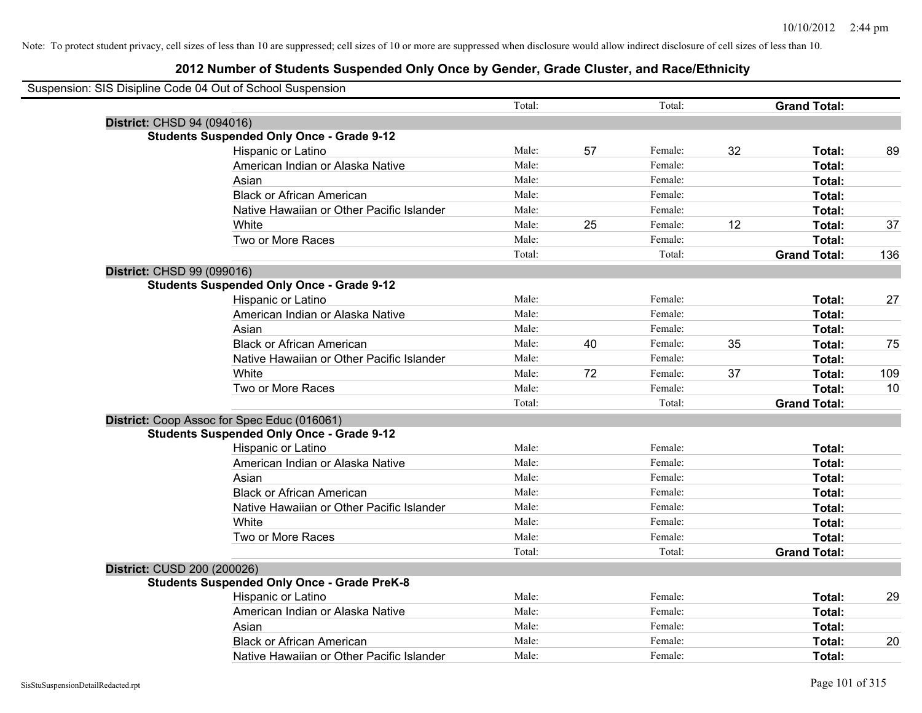|                                   | Suspension: SIS Disipline Code 04 Out of School Suspension |        |    |         |    |                     |     |
|-----------------------------------|------------------------------------------------------------|--------|----|---------|----|---------------------|-----|
|                                   |                                                            | Total: |    | Total:  |    | <b>Grand Total:</b> |     |
| <b>District: CHSD 94 (094016)</b> |                                                            |        |    |         |    |                     |     |
|                                   | <b>Students Suspended Only Once - Grade 9-12</b>           |        |    |         |    |                     |     |
|                                   | Hispanic or Latino                                         | Male:  | 57 | Female: | 32 | Total:              | 89  |
|                                   | American Indian or Alaska Native                           | Male:  |    | Female: |    | Total:              |     |
|                                   | Asian                                                      | Male:  |    | Female: |    | Total:              |     |
|                                   | <b>Black or African American</b>                           | Male:  |    | Female: |    | Total:              |     |
|                                   | Native Hawaiian or Other Pacific Islander                  | Male:  |    | Female: |    | Total:              |     |
|                                   | White                                                      | Male:  | 25 | Female: | 12 | Total:              | 37  |
|                                   | Two or More Races                                          | Male:  |    | Female: |    | Total:              |     |
|                                   |                                                            | Total: |    | Total:  |    | <b>Grand Total:</b> | 136 |
| District: CHSD 99 (099016)        |                                                            |        |    |         |    |                     |     |
|                                   | <b>Students Suspended Only Once - Grade 9-12</b>           |        |    |         |    |                     |     |
|                                   | Hispanic or Latino                                         | Male:  |    | Female: |    | Total:              | 27  |
|                                   | American Indian or Alaska Native                           | Male:  |    | Female: |    | Total:              |     |
|                                   | Asian                                                      | Male:  |    | Female: |    | Total:              |     |
|                                   | <b>Black or African American</b>                           | Male:  | 40 | Female: | 35 | Total:              | 75  |
|                                   | Native Hawaiian or Other Pacific Islander                  | Male:  |    | Female: |    | Total:              |     |
|                                   | White                                                      | Male:  | 72 | Female: | 37 | Total:              | 109 |
|                                   | Two or More Races                                          | Male:  |    | Female: |    | Total:              | 10  |
|                                   |                                                            | Total: |    | Total:  |    | <b>Grand Total:</b> |     |
|                                   | District: Coop Assoc for Spec Educ (016061)                |        |    |         |    |                     |     |
|                                   | <b>Students Suspended Only Once - Grade 9-12</b>           |        |    |         |    |                     |     |
|                                   | Hispanic or Latino                                         | Male:  |    | Female: |    | Total:              |     |
|                                   | American Indian or Alaska Native                           | Male:  |    | Female: |    | Total:              |     |
|                                   | Asian                                                      | Male:  |    | Female: |    | Total:              |     |
|                                   | <b>Black or African American</b>                           | Male:  |    | Female: |    | Total:              |     |
|                                   | Native Hawaiian or Other Pacific Islander                  | Male:  |    | Female: |    | Total:              |     |
|                                   | White                                                      | Male:  |    | Female: |    | Total:              |     |
|                                   | Two or More Races                                          | Male:  |    | Female: |    | Total:              |     |
|                                   |                                                            | Total: |    | Total:  |    | <b>Grand Total:</b> |     |
| District: CUSD 200 (200026)       |                                                            |        |    |         |    |                     |     |
|                                   | <b>Students Suspended Only Once - Grade PreK-8</b>         |        |    |         |    |                     |     |
|                                   | Hispanic or Latino                                         | Male:  |    | Female: |    | Total:              | 29  |
|                                   | American Indian or Alaska Native                           | Male:  |    | Female: |    | Total:              |     |
|                                   | Asian                                                      | Male:  |    | Female: |    | Total:              |     |
|                                   | <b>Black or African American</b>                           | Male:  |    | Female: |    | Total:              | 20  |
|                                   | Native Hawaiian or Other Pacific Islander                  | Male:  |    | Female: |    | Total:              |     |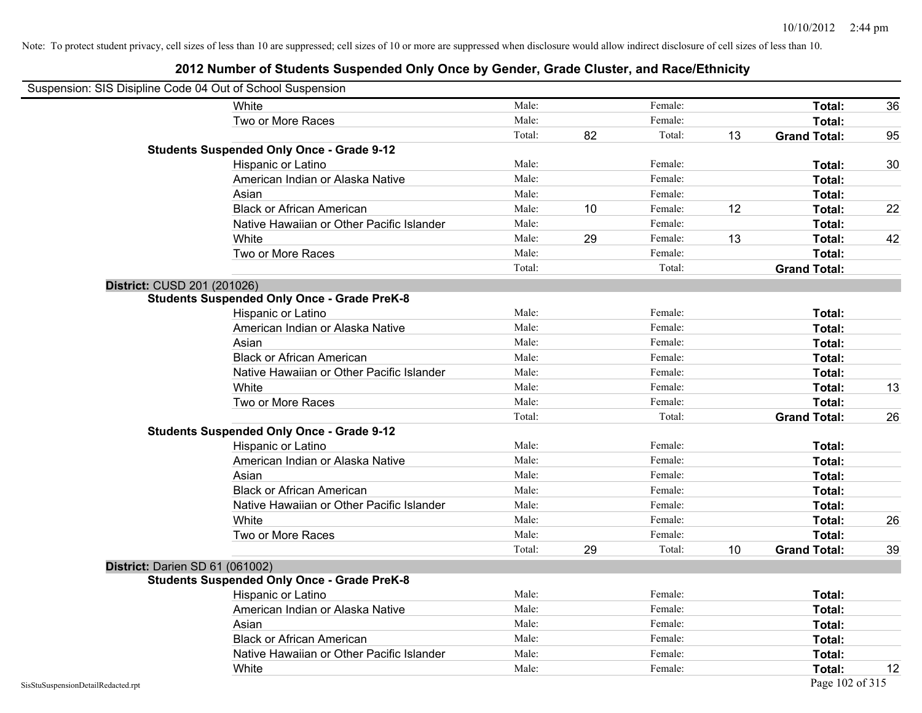| Suspension: SIS Disipline Code 04 Out of School Suspension |                                                    |        |    |         |                 |                     |    |
|------------------------------------------------------------|----------------------------------------------------|--------|----|---------|-----------------|---------------------|----|
|                                                            | White                                              | Male:  |    | Female: |                 | Total:              | 36 |
|                                                            | Two or More Races                                  | Male:  |    | Female: |                 | Total:              |    |
|                                                            |                                                    | Total: | 82 | Total:  | 13              | <b>Grand Total:</b> | 95 |
|                                                            | <b>Students Suspended Only Once - Grade 9-12</b>   |        |    |         |                 |                     |    |
|                                                            | Hispanic or Latino                                 | Male:  |    | Female: |                 | Total:              | 30 |
|                                                            | American Indian or Alaska Native                   | Male:  |    | Female: |                 | Total:              |    |
|                                                            | Asian                                              | Male:  |    | Female: |                 | Total:              |    |
|                                                            | <b>Black or African American</b>                   | Male:  | 10 | Female: | 12              | Total:              | 22 |
|                                                            | Native Hawaiian or Other Pacific Islander          | Male:  |    | Female: |                 | Total:              |    |
|                                                            | White                                              | Male:  | 29 | Female: | 13              | Total:              | 42 |
|                                                            | Two or More Races                                  | Male:  |    | Female: |                 | Total:              |    |
|                                                            |                                                    | Total: |    | Total:  |                 | <b>Grand Total:</b> |    |
| District: CUSD 201 (201026)                                |                                                    |        |    |         |                 |                     |    |
|                                                            | <b>Students Suspended Only Once - Grade PreK-8</b> |        |    |         |                 |                     |    |
|                                                            | Hispanic or Latino                                 | Male:  |    | Female: |                 | Total:              |    |
|                                                            | American Indian or Alaska Native                   | Male:  |    | Female: |                 | Total:              |    |
|                                                            | Asian                                              | Male:  |    | Female: |                 | Total:              |    |
|                                                            | <b>Black or African American</b>                   | Male:  |    | Female: |                 | Total:              |    |
|                                                            | Native Hawaiian or Other Pacific Islander          | Male:  |    | Female: |                 | Total:              |    |
|                                                            | White                                              | Male:  |    | Female: |                 | Total:              | 13 |
|                                                            | Two or More Races                                  | Male:  |    | Female: |                 | Total:              |    |
|                                                            |                                                    | Total: |    | Total:  |                 | <b>Grand Total:</b> | 26 |
|                                                            | <b>Students Suspended Only Once - Grade 9-12</b>   |        |    |         |                 |                     |    |
|                                                            | Hispanic or Latino                                 | Male:  |    | Female: |                 | Total:              |    |
|                                                            | American Indian or Alaska Native                   | Male:  |    | Female: |                 | Total:              |    |
|                                                            | Asian                                              | Male:  |    | Female: |                 | Total:              |    |
|                                                            | <b>Black or African American</b>                   | Male:  |    | Female: |                 | Total:              |    |
|                                                            | Native Hawaiian or Other Pacific Islander          | Male:  |    | Female: |                 | Total:              |    |
|                                                            | White                                              | Male:  |    | Female: |                 | Total:              | 26 |
|                                                            | Two or More Races                                  | Male:  |    | Female: |                 | Total:              |    |
|                                                            |                                                    | Total: | 29 | Total:  | 10 <sup>°</sup> | <b>Grand Total:</b> | 39 |
| District: Darien SD 61 (061002)                            |                                                    |        |    |         |                 |                     |    |
|                                                            | <b>Students Suspended Only Once - Grade PreK-8</b> |        |    |         |                 |                     |    |
|                                                            | <b>Hispanic or Latino</b>                          | Male:  |    | Female: |                 | Total:              |    |
|                                                            | American Indian or Alaska Native                   | Male:  |    | Female: |                 | Total:              |    |
|                                                            | Asian                                              | Male:  |    | Female: |                 | Total:              |    |
|                                                            | <b>Black or African American</b>                   | Male:  |    | Female: |                 | Total:              |    |
|                                                            | Native Hawaiian or Other Pacific Islander          | Male:  |    | Female: |                 | Total:              |    |
|                                                            | White                                              | Male:  |    | Female: |                 | Total:              | 12 |
| SisStuSuspensionDetailRedacted.rpt                         |                                                    |        |    |         |                 | Page 102 of 315     |    |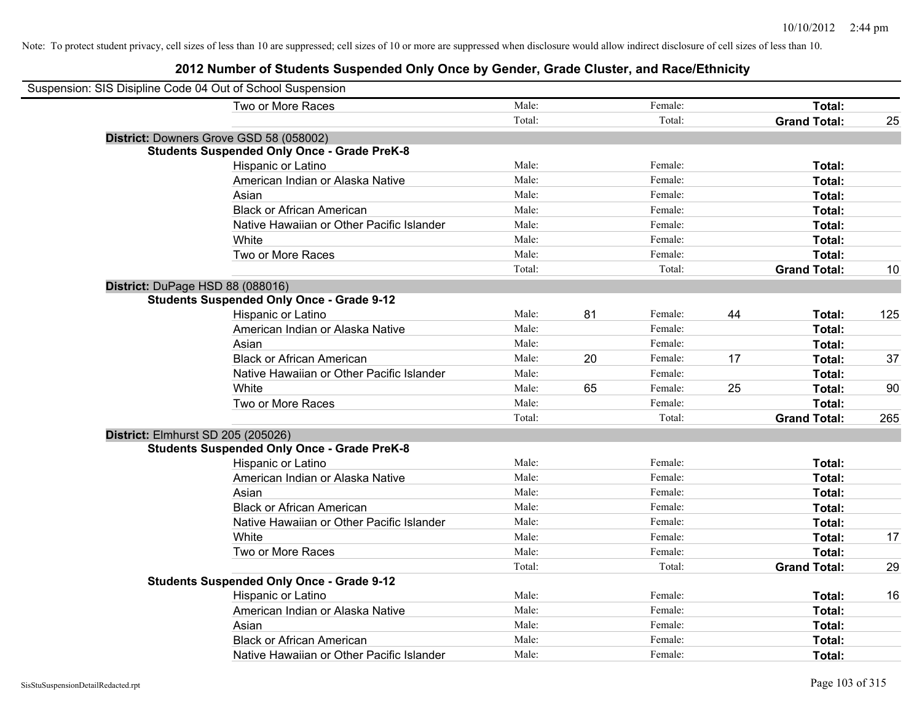| Suspension: SIS Disipline Code 04 Out of School Suspension |                                                    |        |    |         |    |                     |     |
|------------------------------------------------------------|----------------------------------------------------|--------|----|---------|----|---------------------|-----|
|                                                            | Two or More Races                                  | Male:  |    | Female: |    | Total:              |     |
|                                                            |                                                    | Total: |    | Total:  |    | <b>Grand Total:</b> | 25  |
|                                                            | District: Downers Grove GSD 58 (058002)            |        |    |         |    |                     |     |
|                                                            | <b>Students Suspended Only Once - Grade PreK-8</b> |        |    |         |    |                     |     |
|                                                            | Hispanic or Latino                                 | Male:  |    | Female: |    | Total:              |     |
|                                                            | American Indian or Alaska Native                   | Male:  |    | Female: |    | Total:              |     |
|                                                            | Asian                                              | Male:  |    | Female: |    | Total:              |     |
|                                                            | <b>Black or African American</b>                   | Male:  |    | Female: |    | Total:              |     |
|                                                            | Native Hawaiian or Other Pacific Islander          | Male:  |    | Female: |    | Total:              |     |
|                                                            | White                                              | Male:  |    | Female: |    | Total:              |     |
|                                                            | Two or More Races                                  | Male:  |    | Female: |    | Total:              |     |
|                                                            |                                                    | Total: |    | Total:  |    | <b>Grand Total:</b> | 10  |
| District: DuPage HSD 88 (088016)                           |                                                    |        |    |         |    |                     |     |
|                                                            | <b>Students Suspended Only Once - Grade 9-12</b>   |        |    |         |    |                     |     |
|                                                            | Hispanic or Latino                                 | Male:  | 81 | Female: | 44 | Total:              | 125 |
|                                                            | American Indian or Alaska Native                   | Male:  |    | Female: |    | Total:              |     |
|                                                            | Asian                                              | Male:  |    | Female: |    | Total:              |     |
|                                                            | <b>Black or African American</b>                   | Male:  | 20 | Female: | 17 | Total:              | 37  |
|                                                            | Native Hawaiian or Other Pacific Islander          | Male:  |    | Female: |    | Total:              |     |
|                                                            | White                                              | Male:  | 65 | Female: | 25 | Total:              | 90  |
|                                                            | Two or More Races                                  | Male:  |    | Female: |    | Total:              |     |
|                                                            |                                                    | Total: |    | Total:  |    | <b>Grand Total:</b> | 265 |
| District: Elmhurst SD 205 (205026)                         |                                                    |        |    |         |    |                     |     |
|                                                            | <b>Students Suspended Only Once - Grade PreK-8</b> |        |    |         |    |                     |     |
|                                                            | Hispanic or Latino                                 | Male:  |    | Female: |    | Total:              |     |
|                                                            | American Indian or Alaska Native                   | Male:  |    | Female: |    | Total:              |     |
|                                                            | Asian                                              | Male:  |    | Female: |    | Total:              |     |
|                                                            | <b>Black or African American</b>                   | Male:  |    | Female: |    | Total:              |     |
|                                                            | Native Hawaiian or Other Pacific Islander          | Male:  |    | Female: |    | Total:              |     |
|                                                            | White                                              | Male:  |    | Female: |    | Total:              | 17  |
|                                                            | Two or More Races                                  | Male:  |    | Female: |    | Total:              |     |
|                                                            |                                                    | Total: |    | Total:  |    | <b>Grand Total:</b> | 29  |
|                                                            | <b>Students Suspended Only Once - Grade 9-12</b>   |        |    |         |    |                     |     |
|                                                            | Hispanic or Latino                                 | Male:  |    | Female: |    | Total:              | 16  |
|                                                            | American Indian or Alaska Native                   | Male:  |    | Female: |    | Total:              |     |
|                                                            | Asian                                              | Male:  |    | Female: |    | Total:              |     |
|                                                            | <b>Black or African American</b>                   | Male:  |    | Female: |    | Total:              |     |
|                                                            | Native Hawaiian or Other Pacific Islander          | Male:  |    | Female: |    | Total:              |     |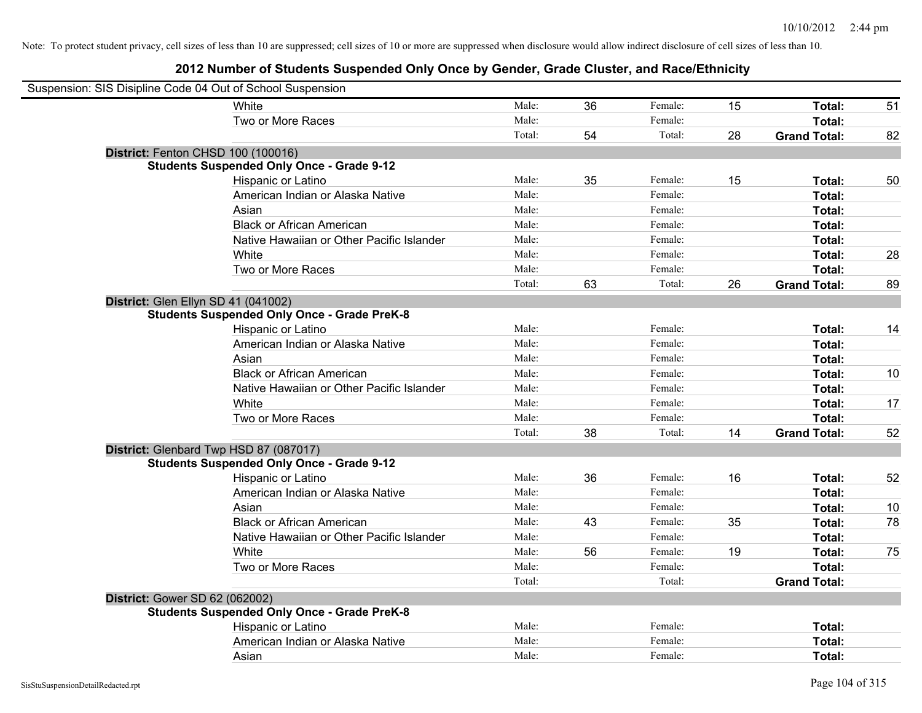| Suspension: SIS Disipline Code 04 Out of School Suspension |                                                    |        |    |         |    |                     |    |
|------------------------------------------------------------|----------------------------------------------------|--------|----|---------|----|---------------------|----|
|                                                            | White                                              | Male:  | 36 | Female: | 15 | Total:              | 51 |
|                                                            | Two or More Races                                  | Male:  |    | Female: |    | <b>Total:</b>       |    |
|                                                            |                                                    | Total: | 54 | Total:  | 28 | <b>Grand Total:</b> | 82 |
| District: Fenton CHSD 100 (100016)                         |                                                    |        |    |         |    |                     |    |
|                                                            | <b>Students Suspended Only Once - Grade 9-12</b>   |        |    |         |    |                     |    |
|                                                            | Hispanic or Latino                                 | Male:  | 35 | Female: | 15 | Total:              | 50 |
|                                                            | American Indian or Alaska Native                   | Male:  |    | Female: |    | Total:              |    |
|                                                            | Asian                                              | Male:  |    | Female: |    | Total:              |    |
|                                                            | <b>Black or African American</b>                   | Male:  |    | Female: |    | Total:              |    |
|                                                            | Native Hawaiian or Other Pacific Islander          | Male:  |    | Female: |    | Total:              |    |
|                                                            | White                                              | Male:  |    | Female: |    | Total:              | 28 |
|                                                            | Two or More Races                                  | Male:  |    | Female: |    | Total:              |    |
|                                                            |                                                    | Total: | 63 | Total:  | 26 | <b>Grand Total:</b> | 89 |
| District: Glen Ellyn SD 41 (041002)                        |                                                    |        |    |         |    |                     |    |
|                                                            | <b>Students Suspended Only Once - Grade PreK-8</b> |        |    |         |    |                     |    |
|                                                            | Hispanic or Latino                                 | Male:  |    | Female: |    | Total:              | 14 |
|                                                            | American Indian or Alaska Native                   | Male:  |    | Female: |    | Total:              |    |
|                                                            | Asian                                              | Male:  |    | Female: |    | Total:              |    |
|                                                            | <b>Black or African American</b>                   | Male:  |    | Female: |    | Total:              | 10 |
|                                                            | Native Hawaiian or Other Pacific Islander          | Male:  |    | Female: |    | Total:              |    |
|                                                            | White                                              | Male:  |    | Female: |    | Total:              | 17 |
|                                                            | Two or More Races                                  | Male:  |    | Female: |    | Total:              |    |
|                                                            |                                                    | Total: | 38 | Total:  | 14 | <b>Grand Total:</b> | 52 |
| District: Glenbard Twp HSD 87 (087017)                     |                                                    |        |    |         |    |                     |    |
|                                                            | <b>Students Suspended Only Once - Grade 9-12</b>   |        |    |         |    |                     |    |
|                                                            | Hispanic or Latino                                 | Male:  | 36 | Female: | 16 | Total:              | 52 |
|                                                            | American Indian or Alaska Native                   | Male:  |    | Female: |    | Total:              |    |
|                                                            | Asian                                              | Male:  |    | Female: |    | Total:              | 10 |
|                                                            | <b>Black or African American</b>                   | Male:  | 43 | Female: | 35 | Total:              | 78 |
|                                                            | Native Hawaiian or Other Pacific Islander          | Male:  |    | Female: |    | Total:              |    |
|                                                            | White                                              | Male:  | 56 | Female: | 19 | Total:              | 75 |
|                                                            | Two or More Races                                  | Male:  |    | Female: |    | Total:              |    |
|                                                            |                                                    | Total: |    | Total:  |    | <b>Grand Total:</b> |    |
| <b>District: Gower SD 62 (062002)</b>                      |                                                    |        |    |         |    |                     |    |
|                                                            | <b>Students Suspended Only Once - Grade PreK-8</b> |        |    |         |    |                     |    |
|                                                            | Hispanic or Latino                                 | Male:  |    | Female: |    | Total:              |    |
|                                                            | American Indian or Alaska Native                   | Male:  |    | Female: |    | Total:              |    |
|                                                            | Asian                                              | Male:  |    | Female: |    | Total:              |    |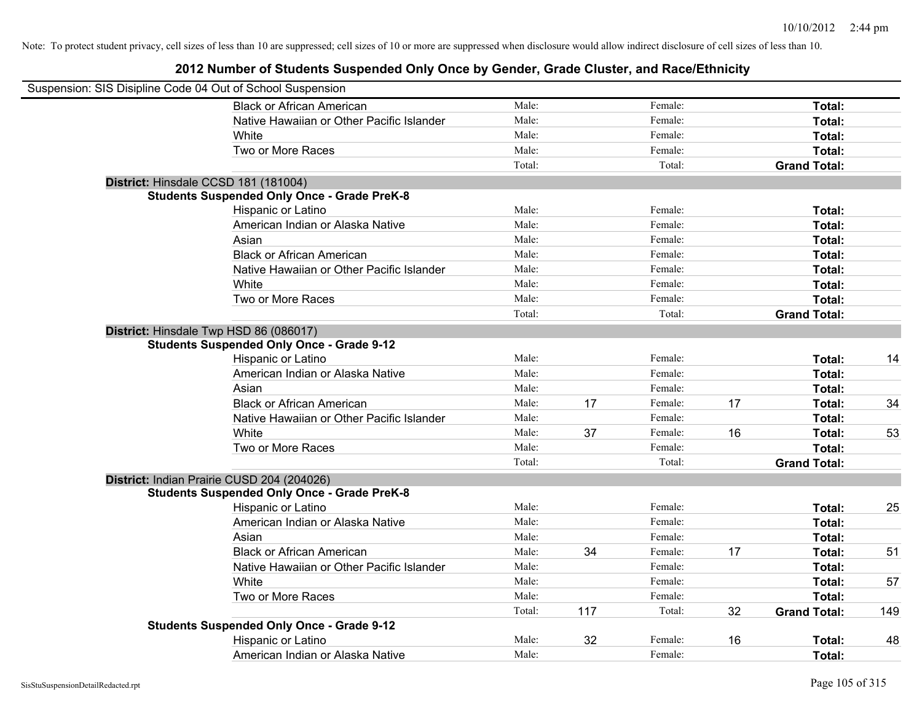| Suspension: SIS Disipline Code 04 Out of School Suspension |                                                    |        |     |         |    |                     |     |
|------------------------------------------------------------|----------------------------------------------------|--------|-----|---------|----|---------------------|-----|
|                                                            | <b>Black or African American</b>                   | Male:  |     | Female: |    | Total:              |     |
|                                                            | Native Hawaiian or Other Pacific Islander          | Male:  |     | Female: |    | Total:              |     |
|                                                            | White                                              | Male:  |     | Female: |    | Total:              |     |
|                                                            | Two or More Races                                  | Male:  |     | Female: |    | Total:              |     |
|                                                            |                                                    | Total: |     | Total:  |    | <b>Grand Total:</b> |     |
|                                                            | District: Hinsdale CCSD 181 (181004)               |        |     |         |    |                     |     |
|                                                            | <b>Students Suspended Only Once - Grade PreK-8</b> |        |     |         |    |                     |     |
|                                                            | Hispanic or Latino                                 | Male:  |     | Female: |    | Total:              |     |
|                                                            | American Indian or Alaska Native                   | Male:  |     | Female: |    | Total:              |     |
|                                                            | Asian                                              | Male:  |     | Female: |    | Total:              |     |
|                                                            | <b>Black or African American</b>                   | Male:  |     | Female: |    | Total:              |     |
|                                                            | Native Hawaiian or Other Pacific Islander          | Male:  |     | Female: |    | Total:              |     |
|                                                            | White                                              | Male:  |     | Female: |    | Total:              |     |
|                                                            | Two or More Races                                  | Male:  |     | Female: |    | Total:              |     |
|                                                            |                                                    | Total: |     | Total:  |    | <b>Grand Total:</b> |     |
|                                                            | District: Hinsdale Twp HSD 86 (086017)             |        |     |         |    |                     |     |
|                                                            | <b>Students Suspended Only Once - Grade 9-12</b>   |        |     |         |    |                     |     |
|                                                            | Hispanic or Latino                                 | Male:  |     | Female: |    | Total:              | 14  |
|                                                            | American Indian or Alaska Native                   | Male:  |     | Female: |    | Total:              |     |
|                                                            | Asian                                              | Male:  |     | Female: |    | Total:              |     |
|                                                            | <b>Black or African American</b>                   | Male:  | 17  | Female: | 17 | Total:              | 34  |
|                                                            | Native Hawaiian or Other Pacific Islander          | Male:  |     | Female: |    | Total:              |     |
|                                                            | White                                              | Male:  | 37  | Female: | 16 | Total:              | 53  |
|                                                            | Two or More Races                                  | Male:  |     | Female: |    | Total:              |     |
|                                                            |                                                    | Total: |     | Total:  |    | <b>Grand Total:</b> |     |
|                                                            | District: Indian Prairie CUSD 204 (204026)         |        |     |         |    |                     |     |
|                                                            | <b>Students Suspended Only Once - Grade PreK-8</b> |        |     |         |    |                     |     |
|                                                            | Hispanic or Latino                                 | Male:  |     | Female: |    | Total:              | 25  |
|                                                            | American Indian or Alaska Native                   | Male:  |     | Female: |    | Total:              |     |
|                                                            | Asian                                              | Male:  |     | Female: |    | Total:              |     |
|                                                            | <b>Black or African American</b>                   | Male:  | 34  | Female: | 17 | Total:              | 51  |
|                                                            | Native Hawaiian or Other Pacific Islander          | Male:  |     | Female: |    | Total:              |     |
|                                                            | White                                              | Male:  |     | Female: |    | Total:              | 57  |
|                                                            | Two or More Races                                  | Male:  |     | Female: |    | Total:              |     |
|                                                            |                                                    | Total: | 117 | Total:  | 32 | <b>Grand Total:</b> | 149 |
|                                                            | <b>Students Suspended Only Once - Grade 9-12</b>   |        |     |         |    |                     |     |
|                                                            | Hispanic or Latino                                 | Male:  | 32  | Female: | 16 | Total:              | 48  |
|                                                            | American Indian or Alaska Native                   | Male:  |     | Female: |    | Total:              |     |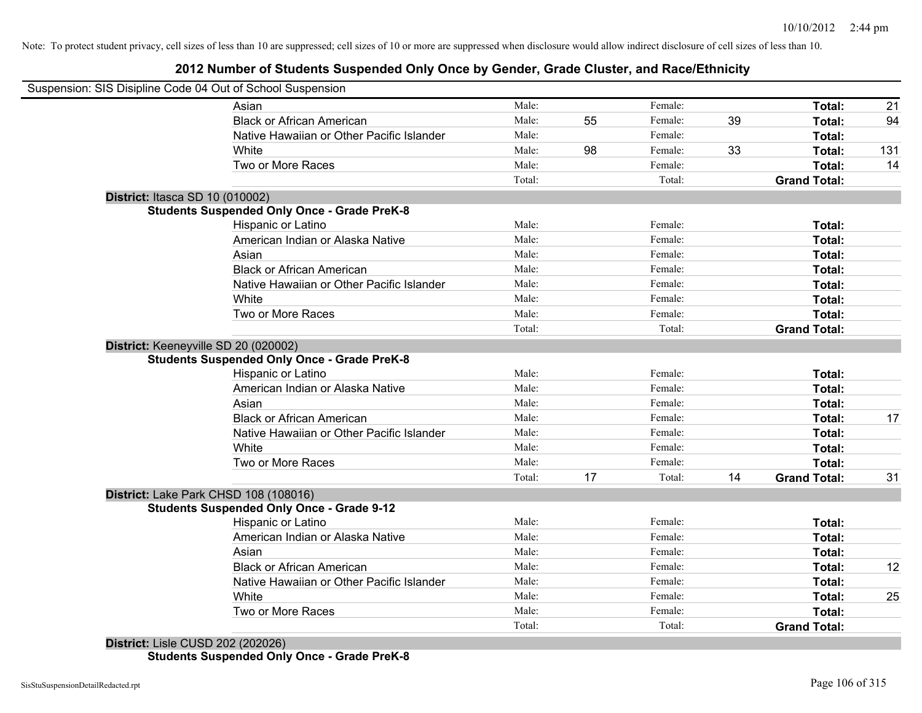### **2012 Number of Students Suspended Only Once by Gender, Grade Cluster, and Race/Ethnicity**

|                                 | Asian                                              | Male:  |    | Female: |    | Total:              | 21  |
|---------------------------------|----------------------------------------------------|--------|----|---------|----|---------------------|-----|
|                                 | <b>Black or African American</b>                   | Male:  | 55 | Female: | 39 | Total:              | 94  |
|                                 | Native Hawaiian or Other Pacific Islander          | Male:  |    | Female: |    | Total:              |     |
|                                 | White                                              | Male:  | 98 | Female: | 33 | Total:              | 131 |
|                                 | Two or More Races                                  | Male:  |    | Female: |    | Total:              | 14  |
|                                 |                                                    | Total: |    | Total:  |    | <b>Grand Total:</b> |     |
| District: Itasca SD 10 (010002) |                                                    |        |    |         |    |                     |     |
|                                 | <b>Students Suspended Only Once - Grade PreK-8</b> |        |    |         |    |                     |     |
|                                 | Hispanic or Latino                                 | Male:  |    | Female: |    | Total:              |     |
|                                 | American Indian or Alaska Native                   | Male:  |    | Female: |    | Total:              |     |
|                                 | Asian                                              | Male:  |    | Female: |    | Total:              |     |
|                                 | <b>Black or African American</b>                   | Male:  |    | Female: |    | Total:              |     |
|                                 | Native Hawaiian or Other Pacific Islander          | Male:  |    | Female: |    | Total:              |     |
|                                 | White                                              | Male:  |    | Female: |    | Total:              |     |
|                                 | Two or More Races                                  | Male:  |    | Female: |    | Total:              |     |
|                                 |                                                    | Total: |    | Total:  |    | <b>Grand Total:</b> |     |
|                                 | District: Keeneyville SD 20 (020002)               |        |    |         |    |                     |     |
|                                 | <b>Students Suspended Only Once - Grade PreK-8</b> |        |    |         |    |                     |     |
|                                 | Hispanic or Latino                                 | Male:  |    | Female: |    | Total:              |     |
|                                 | American Indian or Alaska Native                   | Male:  |    | Female: |    | Total:              |     |
|                                 | Asian                                              | Male:  |    | Female: |    | Total:              |     |
|                                 | <b>Black or African American</b>                   | Male:  |    | Female: |    | Total:              | 17  |
|                                 | Native Hawaiian or Other Pacific Islander          | Male:  |    | Female: |    | Total:              |     |
|                                 | White                                              | Male:  |    | Female: |    | Total:              |     |
|                                 | Two or More Races                                  | Male:  |    | Female: |    | Total:              |     |
|                                 |                                                    | Total: | 17 | Total:  | 14 | <b>Grand Total:</b> | 31  |
|                                 | District: Lake Park CHSD 108 (108016)              |        |    |         |    |                     |     |
|                                 | <b>Students Suspended Only Once - Grade 9-12</b>   |        |    |         |    |                     |     |
|                                 | Hispanic or Latino                                 | Male:  |    | Female: |    | Total:              |     |
|                                 | American Indian or Alaska Native                   | Male:  |    | Female: |    | Total:              |     |
|                                 | Asian                                              | Male:  |    | Female: |    | Total:              |     |
|                                 | <b>Black or African American</b>                   | Male:  |    | Female: |    | Total:              | 12  |
|                                 | Native Hawaiian or Other Pacific Islander          | Male:  |    | Female: |    | Total:              |     |
|                                 | White                                              | Male:  |    | Female: |    | Total:              | 25  |
|                                 | Two or More Races                                  | Male:  |    | Female: |    | Total:              |     |
|                                 |                                                    | Total: |    | Total:  |    | <b>Grand Total:</b> |     |

**Students Suspended Only Once - Grade PreK-8**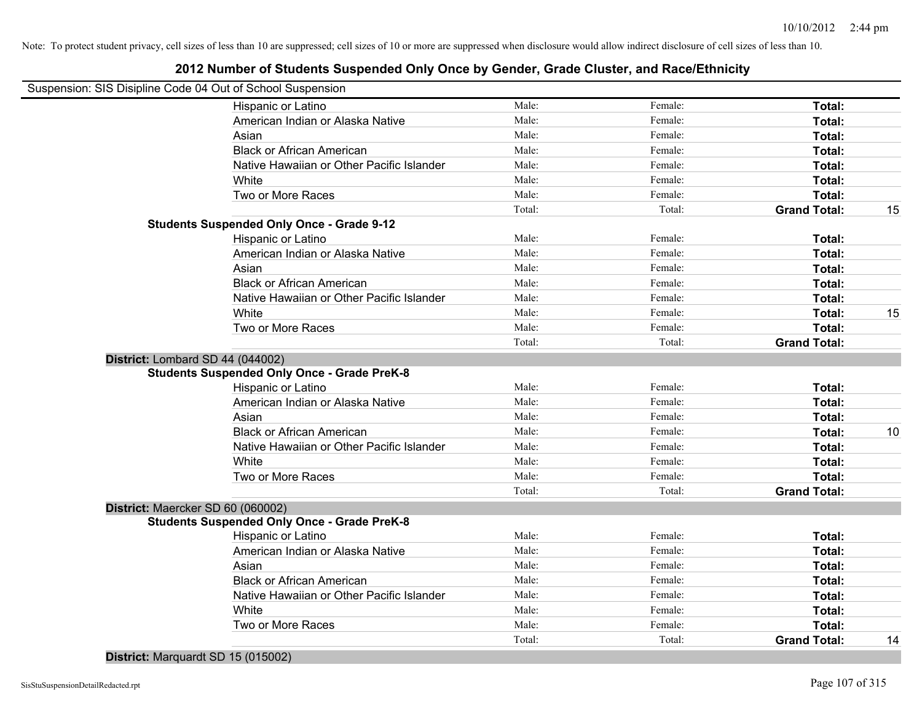### **2012 Number of Students Suspended Only Once by Gender, Grade Cluster, and Race/Ethnicity**

| Suspension: SIS Disipline Code 04 Out of School Suspension |        |         |                     |    |
|------------------------------------------------------------|--------|---------|---------------------|----|
| Hispanic or Latino                                         | Male:  | Female: | Total:              |    |
| American Indian or Alaska Native                           | Male:  | Female: | Total:              |    |
| Asian                                                      | Male:  | Female: | Total:              |    |
| <b>Black or African American</b>                           | Male:  | Female: | Total:              |    |
| Native Hawaiian or Other Pacific Islander                  | Male:  | Female: | Total:              |    |
| White                                                      | Male:  | Female: | Total:              |    |
| Two or More Races                                          | Male:  | Female: | <b>Total:</b>       |    |
|                                                            | Total: | Total:  | <b>Grand Total:</b> | 15 |
| <b>Students Suspended Only Once - Grade 9-12</b>           |        |         |                     |    |
| Hispanic or Latino                                         | Male:  | Female: | Total:              |    |
| American Indian or Alaska Native                           | Male:  | Female: | Total:              |    |
| Asian                                                      | Male:  | Female: | Total:              |    |
| <b>Black or African American</b>                           | Male:  | Female: | Total:              |    |
| Native Hawaiian or Other Pacific Islander                  | Male:  | Female: | Total:              |    |
| White                                                      | Male:  | Female: | Total:              | 15 |
| Two or More Races                                          | Male:  | Female: | Total:              |    |
|                                                            | Total: | Total:  | <b>Grand Total:</b> |    |
| District: Lombard SD 44 (044002)                           |        |         |                     |    |
| <b>Students Suspended Only Once - Grade PreK-8</b>         |        |         |                     |    |
| Hispanic or Latino                                         | Male:  | Female: | Total:              |    |
| American Indian or Alaska Native                           | Male:  | Female: | Total:              |    |
| Asian                                                      | Male:  | Female: | Total:              |    |
| <b>Black or African American</b>                           | Male:  | Female: | Total:              | 10 |
| Native Hawaiian or Other Pacific Islander                  | Male:  | Female: | Total:              |    |
| White                                                      | Male:  | Female: | Total:              |    |
| Two or More Races                                          | Male:  | Female: | Total:              |    |
|                                                            | Total: | Total:  | <b>Grand Total:</b> |    |
| District: Maercker SD 60 (060002)                          |        |         |                     |    |
| <b>Students Suspended Only Once - Grade PreK-8</b>         |        |         |                     |    |
| Hispanic or Latino                                         | Male:  | Female: | Total:              |    |
| American Indian or Alaska Native                           | Male:  | Female: | Total:              |    |
| Asian                                                      | Male:  | Female: | Total:              |    |
| <b>Black or African American</b>                           | Male:  | Female: | Total:              |    |
| Native Hawaiian or Other Pacific Islander                  | Male:  | Female: | Total:              |    |
| White                                                      | Male:  | Female: | Total:              |    |
| Two or More Races                                          | Male:  | Female: | Total:              |    |
|                                                            | Total: | Total:  | <b>Grand Total:</b> | 14 |

**District:** Marquardt SD 15 (015002)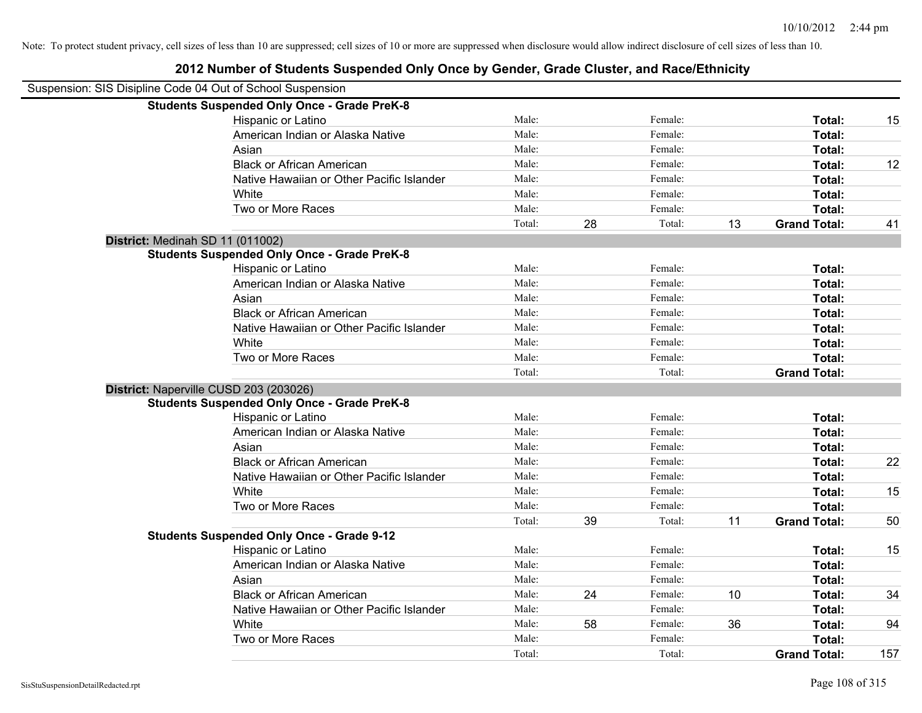| Suspension: SIS Disipline Code 04 Out of School Suspension |                                                    |        |    |         |    |                     |     |
|------------------------------------------------------------|----------------------------------------------------|--------|----|---------|----|---------------------|-----|
|                                                            | <b>Students Suspended Only Once - Grade PreK-8</b> |        |    |         |    |                     |     |
|                                                            | Hispanic or Latino                                 | Male:  |    | Female: |    | Total:              | 15  |
|                                                            | American Indian or Alaska Native                   | Male:  |    | Female: |    | Total:              |     |
|                                                            | Asian                                              | Male:  |    | Female: |    | Total:              |     |
|                                                            | <b>Black or African American</b>                   | Male:  |    | Female: |    | Total:              | 12  |
|                                                            | Native Hawaiian or Other Pacific Islander          | Male:  |    | Female: |    | Total:              |     |
|                                                            | White                                              | Male:  |    | Female: |    | Total:              |     |
|                                                            | Two or More Races                                  | Male:  |    | Female: |    | Total:              |     |
|                                                            |                                                    | Total: | 28 | Total:  | 13 | <b>Grand Total:</b> | 41  |
| District: Medinah SD 11 (011002)                           |                                                    |        |    |         |    |                     |     |
|                                                            | <b>Students Suspended Only Once - Grade PreK-8</b> |        |    |         |    |                     |     |
|                                                            | Hispanic or Latino                                 | Male:  |    | Female: |    | Total:              |     |
|                                                            | American Indian or Alaska Native                   | Male:  |    | Female: |    | Total:              |     |
|                                                            | Asian                                              | Male:  |    | Female: |    | Total:              |     |
|                                                            | <b>Black or African American</b>                   | Male:  |    | Female: |    | Total:              |     |
|                                                            | Native Hawaiian or Other Pacific Islander          | Male:  |    | Female: |    | Total:              |     |
|                                                            | White                                              | Male:  |    | Female: |    | Total:              |     |
|                                                            | Two or More Races                                  | Male:  |    | Female: |    | Total:              |     |
|                                                            |                                                    | Total: |    | Total:  |    | <b>Grand Total:</b> |     |
| District: Naperville CUSD 203 (203026)                     |                                                    |        |    |         |    |                     |     |
|                                                            | <b>Students Suspended Only Once - Grade PreK-8</b> |        |    |         |    |                     |     |
|                                                            | Hispanic or Latino                                 | Male:  |    | Female: |    | Total:              |     |
|                                                            | American Indian or Alaska Native                   | Male:  |    | Female: |    | Total:              |     |
|                                                            | Asian                                              | Male:  |    | Female: |    | Total:              |     |
|                                                            | <b>Black or African American</b>                   | Male:  |    | Female: |    | Total:              | 22  |
|                                                            | Native Hawaiian or Other Pacific Islander          | Male:  |    | Female: |    | Total:              |     |
|                                                            | White                                              | Male:  |    | Female: |    | Total:              | 15  |
|                                                            | Two or More Races                                  | Male:  |    | Female: |    | Total:              |     |
|                                                            |                                                    | Total: | 39 | Total:  | 11 | <b>Grand Total:</b> | 50  |
|                                                            | <b>Students Suspended Only Once - Grade 9-12</b>   |        |    |         |    |                     |     |
|                                                            | Hispanic or Latino                                 | Male:  |    | Female: |    | Total:              | 15  |
|                                                            | American Indian or Alaska Native                   | Male:  |    | Female: |    | Total:              |     |
|                                                            | Asian                                              | Male:  |    | Female: |    | Total:              |     |
|                                                            | <b>Black or African American</b>                   | Male:  | 24 | Female: | 10 | Total:              | 34  |
|                                                            | Native Hawaiian or Other Pacific Islander          | Male:  |    | Female: |    | Total:              |     |
|                                                            | White                                              | Male:  | 58 | Female: | 36 | Total:              | 94  |
|                                                            | Two or More Races                                  | Male:  |    | Female: |    | Total:              |     |
|                                                            |                                                    | Total: |    | Total:  |    | <b>Grand Total:</b> | 157 |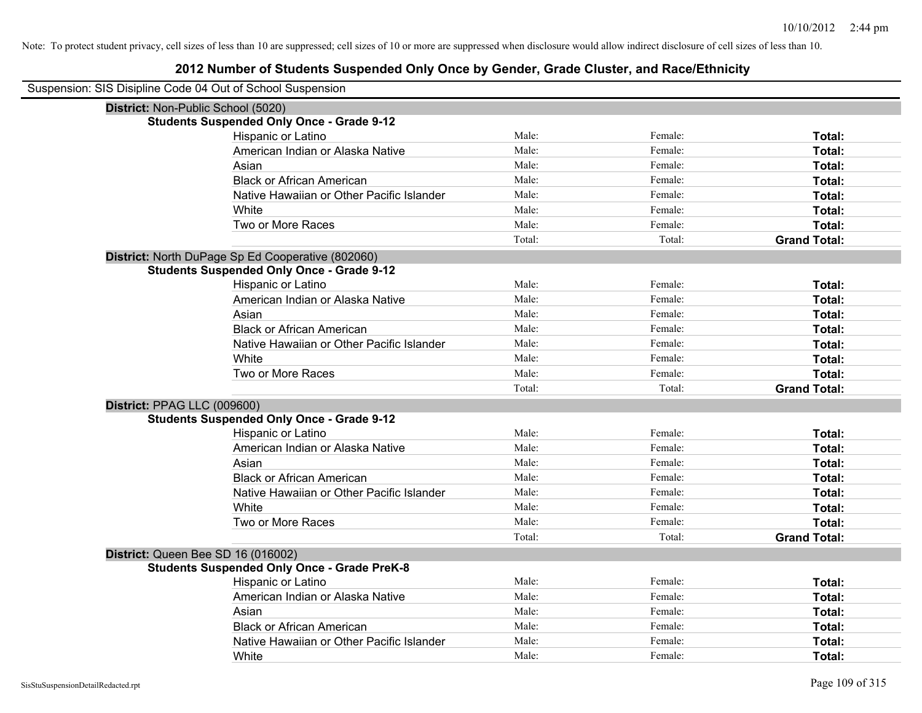| Suspension: SIS Disipline Code 04 Out of School Suspension |                                                    |        |         |                     |
|------------------------------------------------------------|----------------------------------------------------|--------|---------|---------------------|
|                                                            | District: Non-Public School (5020)                 |        |         |                     |
|                                                            | <b>Students Suspended Only Once - Grade 9-12</b>   |        |         |                     |
|                                                            | Hispanic or Latino                                 | Male:  | Female: | Total:              |
|                                                            | American Indian or Alaska Native                   | Male:  | Female: | Total:              |
|                                                            | Asian                                              | Male:  | Female: | Total:              |
|                                                            | <b>Black or African American</b>                   | Male:  | Female: | Total:              |
|                                                            | Native Hawaiian or Other Pacific Islander          | Male:  | Female: | Total:              |
|                                                            | White                                              | Male:  | Female: | Total:              |
|                                                            | Two or More Races                                  | Male:  | Female: | Total:              |
|                                                            |                                                    | Total: | Total:  | <b>Grand Total:</b> |
|                                                            | District: North DuPage Sp Ed Cooperative (802060)  |        |         |                     |
|                                                            | <b>Students Suspended Only Once - Grade 9-12</b>   |        |         |                     |
|                                                            | Hispanic or Latino                                 | Male:  | Female: | Total:              |
|                                                            | American Indian or Alaska Native                   | Male:  | Female: | Total:              |
|                                                            | Asian                                              | Male:  | Female: | Total:              |
|                                                            | <b>Black or African American</b>                   | Male:  | Female: | Total:              |
|                                                            | Native Hawaiian or Other Pacific Islander          | Male:  | Female: | Total:              |
|                                                            | White                                              | Male:  | Female: | Total:              |
|                                                            | Two or More Races                                  | Male:  | Female: | Total:              |
|                                                            |                                                    | Total: | Total:  | <b>Grand Total:</b> |
| District: PPAG LLC (009600)                                |                                                    |        |         |                     |
|                                                            | <b>Students Suspended Only Once - Grade 9-12</b>   |        |         |                     |
|                                                            | Hispanic or Latino                                 | Male:  | Female: | Total:              |
|                                                            | American Indian or Alaska Native                   | Male:  | Female: | Total:              |
|                                                            | Asian                                              | Male:  | Female: | Total:              |
|                                                            | <b>Black or African American</b>                   | Male:  | Female: | Total:              |
|                                                            | Native Hawaiian or Other Pacific Islander          | Male:  | Female: | Total:              |
|                                                            | White                                              | Male:  | Female: | Total:              |
|                                                            | Two or More Races                                  | Male:  | Female: | Total:              |
|                                                            |                                                    | Total: | Total:  | <b>Grand Total:</b> |
|                                                            | District: Queen Bee SD 16 (016002)                 |        |         |                     |
|                                                            | <b>Students Suspended Only Once - Grade PreK-8</b> |        |         |                     |
|                                                            | Hispanic or Latino                                 | Male:  | Female: | Total:              |
|                                                            | American Indian or Alaska Native                   | Male:  | Female: | Total:              |
|                                                            | Asian                                              | Male:  | Female: | Total:              |
|                                                            | <b>Black or African American</b>                   | Male:  | Female: | Total:              |
|                                                            | Native Hawaiian or Other Pacific Islander          | Male:  | Female: | Total:              |
|                                                            | White                                              | Male:  | Female: | Total:              |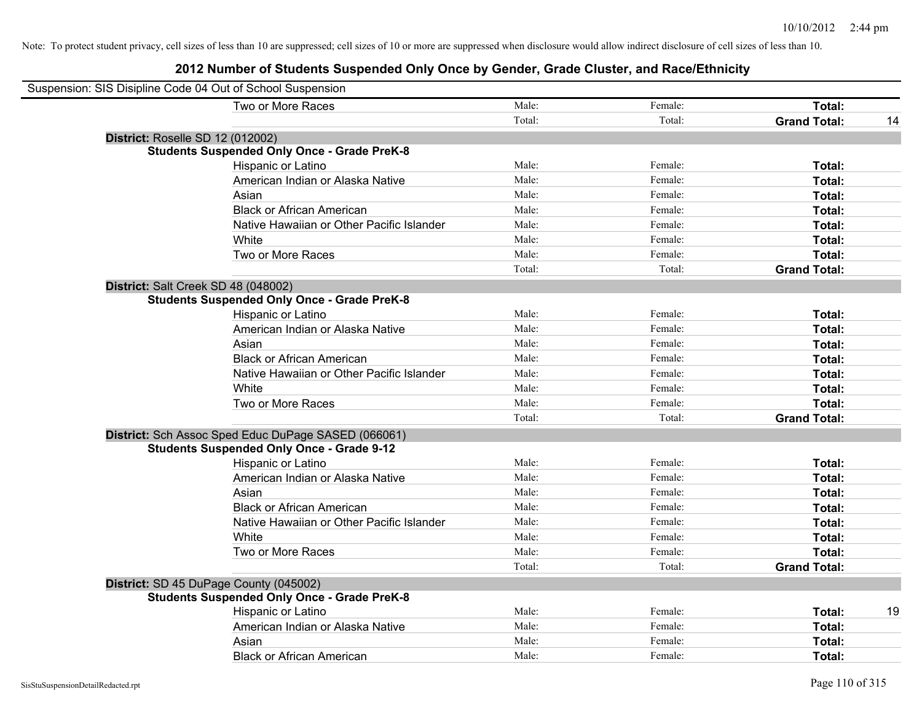| Suspension: SIS Disipline Code 04 Out of School Suspension |                                                     |        |         |                     |    |
|------------------------------------------------------------|-----------------------------------------------------|--------|---------|---------------------|----|
|                                                            | Two or More Races                                   | Male:  | Female: | Total:              |    |
|                                                            |                                                     | Total: | Total:  | <b>Grand Total:</b> | 14 |
| District: Roselle SD 12 (012002)                           |                                                     |        |         |                     |    |
|                                                            | <b>Students Suspended Only Once - Grade PreK-8</b>  |        |         |                     |    |
|                                                            | Hispanic or Latino                                  | Male:  | Female: | Total:              |    |
|                                                            | American Indian or Alaska Native                    | Male:  | Female: | Total:              |    |
|                                                            | Asian                                               | Male:  | Female: | Total:              |    |
|                                                            | <b>Black or African American</b>                    | Male:  | Female: | Total:              |    |
|                                                            | Native Hawaiian or Other Pacific Islander           | Male:  | Female: | Total:              |    |
|                                                            | White                                               | Male:  | Female: | Total:              |    |
|                                                            | Two or More Races                                   | Male:  | Female: | Total:              |    |
|                                                            |                                                     | Total: | Total:  | <b>Grand Total:</b> |    |
| District: Salt Creek SD 48 (048002)                        |                                                     |        |         |                     |    |
|                                                            | <b>Students Suspended Only Once - Grade PreK-8</b>  |        |         |                     |    |
|                                                            | Hispanic or Latino                                  | Male:  | Female: | Total:              |    |
|                                                            | American Indian or Alaska Native                    | Male:  | Female: | Total:              |    |
|                                                            | Asian                                               | Male:  | Female: | Total:              |    |
|                                                            | <b>Black or African American</b>                    | Male:  | Female: | Total:              |    |
|                                                            | Native Hawaiian or Other Pacific Islander           | Male:  | Female: | Total:              |    |
|                                                            | White                                               | Male:  | Female: | Total:              |    |
|                                                            | Two or More Races                                   | Male:  | Female: | Total:              |    |
|                                                            |                                                     | Total: | Total:  | <b>Grand Total:</b> |    |
|                                                            | District: Sch Assoc Sped Educ DuPage SASED (066061) |        |         |                     |    |
|                                                            | <b>Students Suspended Only Once - Grade 9-12</b>    |        |         |                     |    |
|                                                            | Hispanic or Latino                                  | Male:  | Female: | Total:              |    |
|                                                            | American Indian or Alaska Native                    | Male:  | Female: | Total:              |    |
|                                                            | Asian                                               | Male:  | Female: | Total:              |    |
|                                                            | <b>Black or African American</b>                    | Male:  | Female: | Total:              |    |
|                                                            | Native Hawaiian or Other Pacific Islander           | Male:  | Female: | Total:              |    |
|                                                            | White                                               | Male:  | Female: | Total:              |    |
|                                                            | Two or More Races                                   | Male:  | Female: | Total:              |    |
|                                                            |                                                     | Total: | Total:  | <b>Grand Total:</b> |    |
|                                                            | District: SD 45 DuPage County (045002)              |        |         |                     |    |
|                                                            | <b>Students Suspended Only Once - Grade PreK-8</b>  |        |         |                     |    |
|                                                            | Hispanic or Latino                                  | Male:  | Female: | Total:              | 19 |
|                                                            | American Indian or Alaska Native                    | Male:  | Female: | Total:              |    |
|                                                            | Asian                                               | Male:  | Female: | Total:              |    |
|                                                            | <b>Black or African American</b>                    | Male:  | Female: | Total:              |    |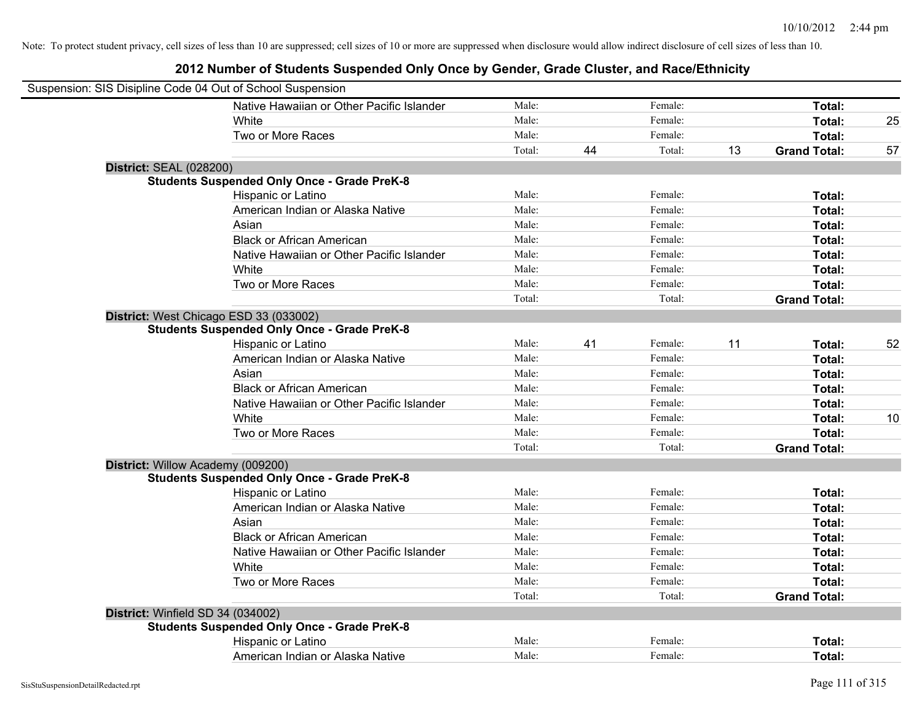| Suspension: SIS Disipline Code 04 Out of School Suspension |                                                    |        |    |         |    |                     |    |
|------------------------------------------------------------|----------------------------------------------------|--------|----|---------|----|---------------------|----|
|                                                            | Native Hawaiian or Other Pacific Islander          | Male:  |    | Female: |    | Total:              |    |
|                                                            | White                                              | Male:  |    | Female: |    | Total:              | 25 |
|                                                            | Two or More Races                                  | Male:  |    | Female: |    | Total:              |    |
|                                                            |                                                    | Total: | 44 | Total:  | 13 | <b>Grand Total:</b> | 57 |
| <b>District: SEAL (028200)</b>                             |                                                    |        |    |         |    |                     |    |
|                                                            | <b>Students Suspended Only Once - Grade PreK-8</b> |        |    |         |    |                     |    |
|                                                            | Hispanic or Latino                                 | Male:  |    | Female: |    | Total:              |    |
|                                                            | American Indian or Alaska Native                   | Male:  |    | Female: |    | Total:              |    |
|                                                            | Asian                                              | Male:  |    | Female: |    | Total:              |    |
|                                                            | <b>Black or African American</b>                   | Male:  |    | Female: |    | Total:              |    |
|                                                            | Native Hawaiian or Other Pacific Islander          | Male:  |    | Female: |    | Total:              |    |
|                                                            | White                                              | Male:  |    | Female: |    | Total:              |    |
|                                                            | Two or More Races                                  | Male:  |    | Female: |    | Total:              |    |
|                                                            |                                                    | Total: |    | Total:  |    | <b>Grand Total:</b> |    |
|                                                            | District: West Chicago ESD 33 (033002)             |        |    |         |    |                     |    |
|                                                            | <b>Students Suspended Only Once - Grade PreK-8</b> |        |    |         |    |                     |    |
|                                                            | Hispanic or Latino                                 | Male:  | 41 | Female: | 11 | Total:              | 52 |
|                                                            | American Indian or Alaska Native                   | Male:  |    | Female: |    | Total:              |    |
|                                                            | Asian                                              | Male:  |    | Female: |    | Total:              |    |
|                                                            | <b>Black or African American</b>                   | Male:  |    | Female: |    | Total:              |    |
|                                                            | Native Hawaiian or Other Pacific Islander          | Male:  |    | Female: |    | Total:              |    |
|                                                            | White                                              | Male:  |    | Female: |    | Total:              | 10 |
|                                                            | Two or More Races                                  | Male:  |    | Female: |    | Total:              |    |
|                                                            |                                                    | Total: |    | Total:  |    | <b>Grand Total:</b> |    |
| District: Willow Academy (009200)                          |                                                    |        |    |         |    |                     |    |
|                                                            | <b>Students Suspended Only Once - Grade PreK-8</b> |        |    |         |    |                     |    |
|                                                            | Hispanic or Latino                                 | Male:  |    | Female: |    | Total:              |    |
|                                                            | American Indian or Alaska Native                   | Male:  |    | Female: |    | Total:              |    |
|                                                            | Asian                                              | Male:  |    | Female: |    | Total:              |    |
|                                                            | <b>Black or African American</b>                   | Male:  |    | Female: |    | Total:              |    |
|                                                            | Native Hawaiian or Other Pacific Islander          | Male:  |    | Female: |    | Total:              |    |
|                                                            | White                                              | Male:  |    | Female: |    | Total:              |    |
|                                                            | Two or More Races                                  | Male:  |    | Female: |    | Total:              |    |
|                                                            |                                                    | Total: |    | Total:  |    | <b>Grand Total:</b> |    |
| District: Winfield SD 34 (034002)                          |                                                    |        |    |         |    |                     |    |
|                                                            | <b>Students Suspended Only Once - Grade PreK-8</b> |        |    |         |    |                     |    |
|                                                            | Hispanic or Latino                                 | Male:  |    | Female: |    | Total:              |    |
|                                                            | American Indian or Alaska Native                   | Male:  |    | Female: |    | Total:              |    |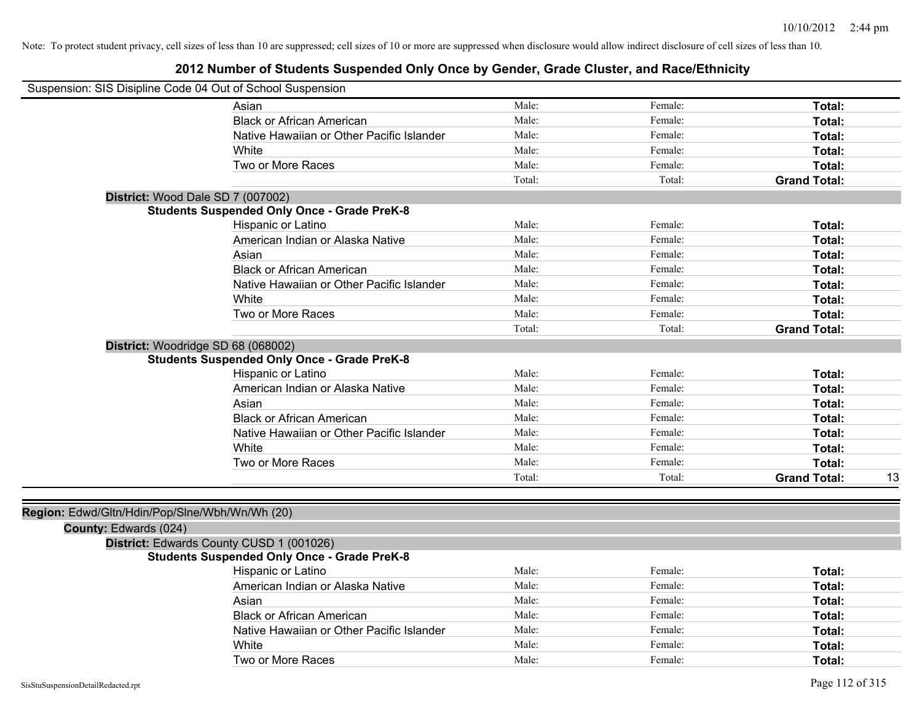| Suspension: SIS Disipline Code 04 Out of School Suspension              |                                                    |        |         |                           |
|-------------------------------------------------------------------------|----------------------------------------------------|--------|---------|---------------------------|
|                                                                         | Asian                                              | Male:  | Female: | Total:                    |
|                                                                         | <b>Black or African American</b>                   | Male:  | Female: | Total:                    |
|                                                                         | Native Hawaiian or Other Pacific Islander          | Male:  | Female: | Total:                    |
|                                                                         | White                                              | Male:  | Female: | Total:                    |
|                                                                         | Two or More Races                                  | Male:  | Female: | Total:                    |
|                                                                         |                                                    | Total: | Total:  | <b>Grand Total:</b>       |
| District: Wood Dale SD 7 (007002)                                       |                                                    |        |         |                           |
|                                                                         | <b>Students Suspended Only Once - Grade PreK-8</b> |        |         |                           |
|                                                                         | Hispanic or Latino                                 | Male:  | Female: | Total:                    |
|                                                                         | American Indian or Alaska Native                   | Male:  | Female: | Total:                    |
|                                                                         | Asian                                              | Male:  | Female: | Total:                    |
|                                                                         | <b>Black or African American</b>                   | Male:  | Female: | Total:                    |
|                                                                         | Native Hawaiian or Other Pacific Islander          | Male:  | Female: | Total:                    |
|                                                                         | White                                              | Male:  | Female: | Total:                    |
|                                                                         | Two or More Races                                  | Male:  | Female: | Total:                    |
|                                                                         |                                                    | Total: | Total:  | <b>Grand Total:</b>       |
| District: Woodridge SD 68 (068002)                                      |                                                    |        |         |                           |
|                                                                         | <b>Students Suspended Only Once - Grade PreK-8</b> |        |         |                           |
|                                                                         | Hispanic or Latino                                 | Male:  | Female: | Total:                    |
|                                                                         | American Indian or Alaska Native                   | Male:  | Female: | Total:                    |
|                                                                         | Asian                                              | Male:  | Female: | Total:                    |
|                                                                         | <b>Black or African American</b>                   | Male:  | Female: | Total:                    |
|                                                                         | Native Hawaiian or Other Pacific Islander          | Male:  | Female: | Total:                    |
|                                                                         | White                                              | Male:  | Female: | Total:                    |
|                                                                         | Two or More Races                                  | Male:  | Female: | Total:                    |
|                                                                         |                                                    | Total: | Total:  | <b>Grand Total:</b><br>13 |
| Region: Edwd/Gltn/Hdin/Pop/Slne/Wbh/Wn/Wh (20)<br>County: Edwards (024) | District: Edwards County CUSD 1 (001026)           |        |         |                           |
|                                                                         | <b>Students Suspended Only Once - Grade PreK-8</b> |        |         |                           |
|                                                                         | Hispanic or Latino                                 | Male:  | Female: | Total:                    |
|                                                                         | American Indian or Alaska Native                   | Male:  | Female: | Total:                    |
|                                                                         | Asian                                              | Male:  | Female: | Total:                    |
|                                                                         | <b>Black or African American</b>                   | Male:  | Female: | Total:                    |
|                                                                         | Native Hawaiian or Other Pacific Islander          | Male:  | Female: | Total:                    |
|                                                                         | White                                              | Male:  | Female: | Total:                    |
|                                                                         | Two or More Races                                  | Male:  | Female: | Total:                    |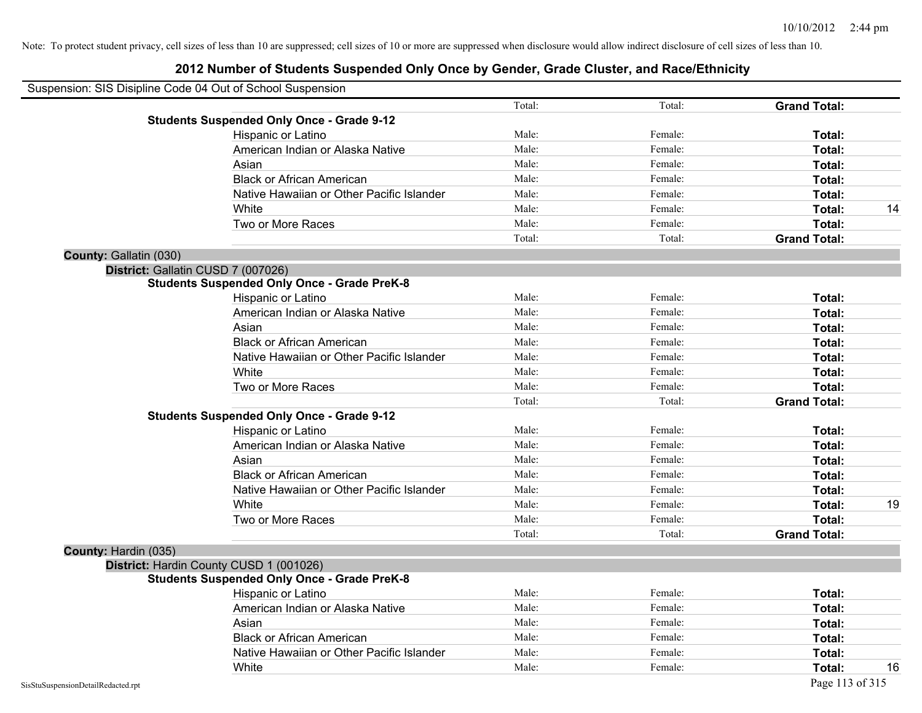|                                    | Suspension: SIS Disipline Code 04 Out of School Suspension |        |         |                     |    |
|------------------------------------|------------------------------------------------------------|--------|---------|---------------------|----|
|                                    |                                                            | Total: | Total:  | <b>Grand Total:</b> |    |
|                                    | <b>Students Suspended Only Once - Grade 9-12</b>           |        |         |                     |    |
|                                    | Hispanic or Latino                                         | Male:  | Female: | Total:              |    |
|                                    | American Indian or Alaska Native                           | Male:  | Female: | Total:              |    |
|                                    | Asian                                                      | Male:  | Female: | Total:              |    |
|                                    | <b>Black or African American</b>                           | Male:  | Female: | Total:              |    |
|                                    | Native Hawaiian or Other Pacific Islander                  | Male:  | Female: | Total:              |    |
|                                    | White                                                      | Male:  | Female: | Total:              | 14 |
|                                    | Two or More Races                                          | Male:  | Female: | Total:              |    |
|                                    |                                                            | Total: | Total:  | <b>Grand Total:</b> |    |
| County: Gallatin (030)             |                                                            |        |         |                     |    |
| District: Gallatin CUSD 7 (007026) |                                                            |        |         |                     |    |
|                                    | <b>Students Suspended Only Once - Grade PreK-8</b>         |        |         |                     |    |
|                                    | Hispanic or Latino                                         | Male:  | Female: | Total:              |    |
|                                    | American Indian or Alaska Native                           | Male:  | Female: | Total:              |    |
|                                    | Asian                                                      | Male:  | Female: | Total:              |    |
|                                    | <b>Black or African American</b>                           | Male:  | Female: | Total:              |    |
|                                    | Native Hawaiian or Other Pacific Islander                  | Male:  | Female: | Total:              |    |
|                                    | White                                                      | Male:  | Female: | Total:              |    |
|                                    | Two or More Races                                          | Male:  | Female: | Total:              |    |
|                                    |                                                            | Total: | Total:  | <b>Grand Total:</b> |    |
|                                    | <b>Students Suspended Only Once - Grade 9-12</b>           |        |         |                     |    |
|                                    | Hispanic or Latino                                         | Male:  | Female: | Total:              |    |
|                                    | American Indian or Alaska Native                           | Male:  | Female: | Total:              |    |
|                                    | Asian                                                      | Male:  | Female: | Total:              |    |
|                                    | <b>Black or African American</b>                           | Male:  | Female: | Total:              |    |
|                                    | Native Hawaiian or Other Pacific Islander                  | Male:  | Female: | Total:              |    |
|                                    | White                                                      | Male:  | Female: | Total:              | 19 |
|                                    | Two or More Races                                          | Male:  | Female: | Total:              |    |
|                                    |                                                            | Total: | Total:  | <b>Grand Total:</b> |    |
| County: Hardin (035)               |                                                            |        |         |                     |    |
|                                    | District: Hardin County CUSD 1 (001026)                    |        |         |                     |    |
|                                    | <b>Students Suspended Only Once - Grade PreK-8</b>         |        |         |                     |    |
|                                    | <b>Hispanic or Latino</b>                                  | Male:  | Female: | Total:              |    |
|                                    | American Indian or Alaska Native                           | Male:  | Female: | Total:              |    |
|                                    | Asian                                                      | Male:  | Female: | Total:              |    |
|                                    | <b>Black or African American</b>                           | Male:  | Female: | Total:              |    |
|                                    | Native Hawaiian or Other Pacific Islander                  | Male:  | Female: | Total:              |    |
|                                    | White                                                      | Male:  | Female: | Total:              | 16 |
| SisStuSuspensionDetailRedacted.rpt |                                                            |        |         | Page 113 of 315     |    |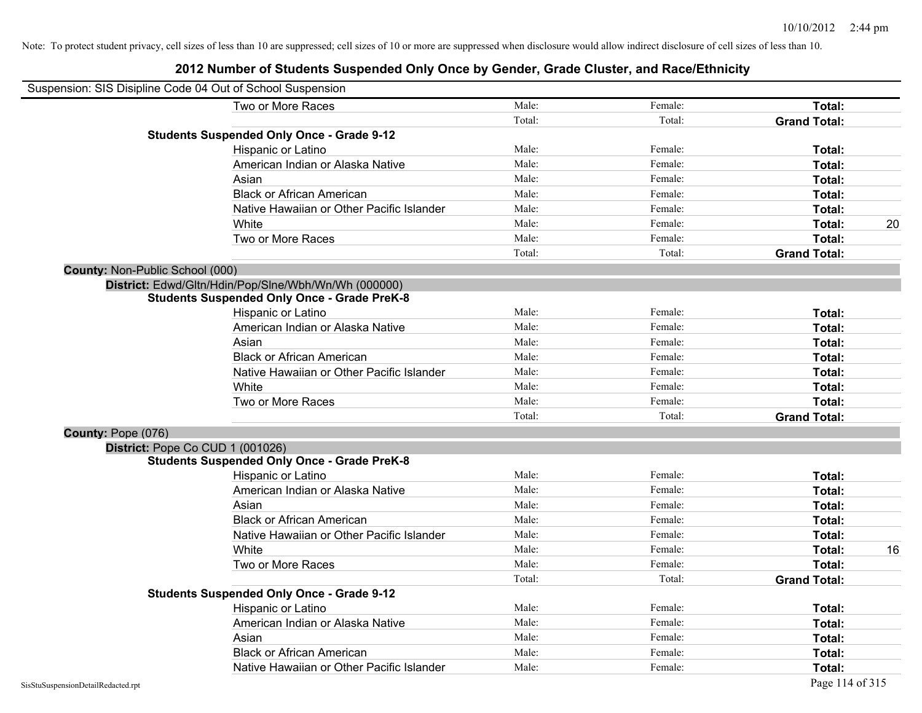| Suspension: SIS Disipline Code 04 Out of School Suspension |                                                      |        |         |                     |    |
|------------------------------------------------------------|------------------------------------------------------|--------|---------|---------------------|----|
|                                                            | Two or More Races                                    | Male:  | Female: | Total:              |    |
|                                                            |                                                      | Total: | Total:  | <b>Grand Total:</b> |    |
|                                                            | <b>Students Suspended Only Once - Grade 9-12</b>     |        |         |                     |    |
|                                                            | Hispanic or Latino                                   | Male:  | Female: | Total:              |    |
|                                                            | American Indian or Alaska Native                     | Male:  | Female: | Total:              |    |
|                                                            | Asian                                                | Male:  | Female: | Total:              |    |
|                                                            | <b>Black or African American</b>                     | Male:  | Female: | Total:              |    |
|                                                            | Native Hawaiian or Other Pacific Islander            | Male:  | Female: | Total:              |    |
|                                                            | White                                                | Male:  | Female: | Total:              | 20 |
|                                                            | Two or More Races                                    | Male:  | Female: | Total:              |    |
|                                                            |                                                      | Total: | Total:  | <b>Grand Total:</b> |    |
| County: Non-Public School (000)                            |                                                      |        |         |                     |    |
|                                                            | District: Edwd/Gltn/Hdin/Pop/Slne/Wbh/Wn/Wh (000000) |        |         |                     |    |
|                                                            | <b>Students Suspended Only Once - Grade PreK-8</b>   |        |         |                     |    |
|                                                            | Hispanic or Latino                                   | Male:  | Female: | Total:              |    |
|                                                            | American Indian or Alaska Native                     | Male:  | Female: | Total:              |    |
|                                                            | Asian                                                | Male:  | Female: | Total:              |    |
|                                                            | <b>Black or African American</b>                     | Male:  | Female: | Total:              |    |
|                                                            | Native Hawaiian or Other Pacific Islander            | Male:  | Female: | Total:              |    |
|                                                            | White                                                | Male:  | Female: | Total:              |    |
|                                                            | Two or More Races                                    | Male:  | Female: | Total:              |    |
|                                                            |                                                      | Total: | Total:  | <b>Grand Total:</b> |    |
| County: Pope (076)                                         |                                                      |        |         |                     |    |
| District: Pope Co CUD 1 (001026)                           |                                                      |        |         |                     |    |
|                                                            | <b>Students Suspended Only Once - Grade PreK-8</b>   |        |         |                     |    |
|                                                            | Hispanic or Latino                                   | Male:  | Female: | Total:              |    |
|                                                            | American Indian or Alaska Native                     | Male:  | Female: | Total:              |    |
|                                                            | Asian                                                | Male:  | Female: | Total:              |    |
|                                                            | <b>Black or African American</b>                     | Male:  | Female: | Total:              |    |
|                                                            | Native Hawaiian or Other Pacific Islander            | Male:  | Female: | Total:              |    |
|                                                            | White                                                | Male:  | Female: | Total:              | 16 |
|                                                            | Two or More Races                                    | Male:  | Female: | Total:              |    |
|                                                            |                                                      | Total: | Total:  | <b>Grand Total:</b> |    |
|                                                            | <b>Students Suspended Only Once - Grade 9-12</b>     |        |         |                     |    |
|                                                            | Hispanic or Latino                                   | Male:  | Female: | Total:              |    |
|                                                            | American Indian or Alaska Native                     | Male:  | Female: | Total:              |    |
|                                                            | Asian                                                | Male:  | Female: | Total:              |    |
|                                                            | <b>Black or African American</b>                     | Male:  | Female: | Total:              |    |
|                                                            | Native Hawaiian or Other Pacific Islander            | Male:  | Female: | Total:              |    |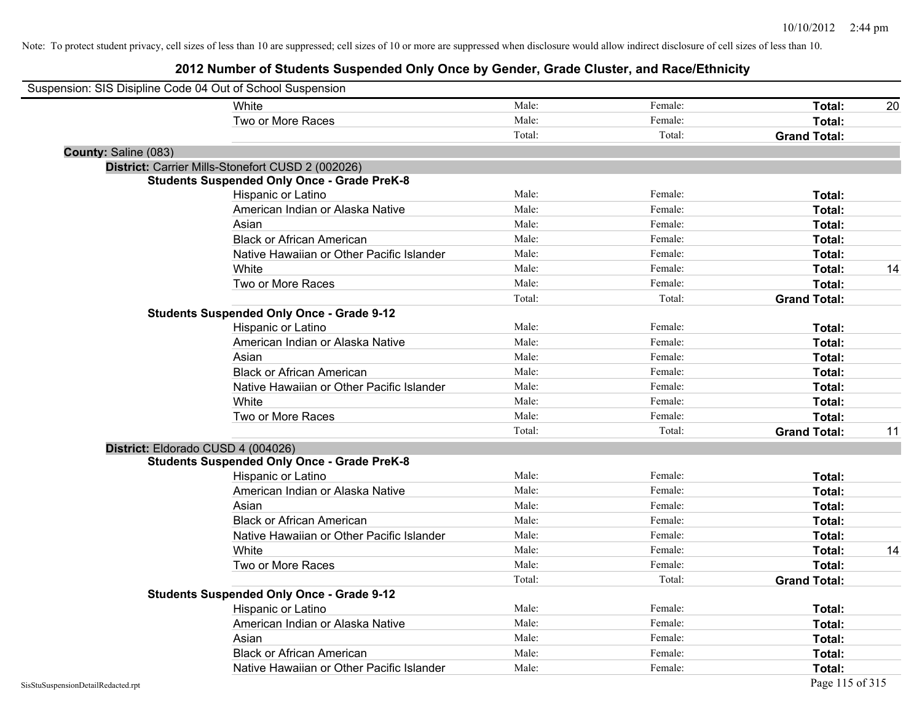| Suspension: SIS Disipline Code 04 Out of School Suspension |                                                    |        |         |                     |    |
|------------------------------------------------------------|----------------------------------------------------|--------|---------|---------------------|----|
|                                                            | White                                              | Male:  | Female: | Total:              | 20 |
|                                                            | Two or More Races                                  | Male:  | Female: | Total:              |    |
|                                                            |                                                    | Total: | Total:  | <b>Grand Total:</b> |    |
| County: Saline (083)                                       |                                                    |        |         |                     |    |
|                                                            | District: Carrier Mills-Stonefort CUSD 2 (002026)  |        |         |                     |    |
|                                                            | <b>Students Suspended Only Once - Grade PreK-8</b> |        |         |                     |    |
|                                                            | Hispanic or Latino                                 | Male:  | Female: | Total:              |    |
|                                                            | American Indian or Alaska Native                   | Male:  | Female: | Total:              |    |
|                                                            | Asian                                              | Male:  | Female: | Total:              |    |
|                                                            | <b>Black or African American</b>                   | Male:  | Female: | Total:              |    |
|                                                            | Native Hawaiian or Other Pacific Islander          | Male:  | Female: | Total:              |    |
|                                                            | White                                              | Male:  | Female: | Total:              | 14 |
|                                                            | Two or More Races                                  | Male:  | Female: | Total:              |    |
|                                                            |                                                    | Total: | Total:  | <b>Grand Total:</b> |    |
|                                                            | <b>Students Suspended Only Once - Grade 9-12</b>   |        |         |                     |    |
|                                                            | Hispanic or Latino                                 | Male:  | Female: | Total:              |    |
|                                                            | American Indian or Alaska Native                   | Male:  | Female: | Total:              |    |
|                                                            | Asian                                              | Male:  | Female: | Total:              |    |
|                                                            | <b>Black or African American</b>                   | Male:  | Female: | Total:              |    |
|                                                            | Native Hawaiian or Other Pacific Islander          | Male:  | Female: | Total:              |    |
|                                                            | White                                              | Male:  | Female: | Total:              |    |
|                                                            | Two or More Races                                  | Male:  | Female: | Total:              |    |
|                                                            |                                                    | Total: | Total:  | <b>Grand Total:</b> | 11 |
| District: Eldorado CUSD 4 (004026)                         |                                                    |        |         |                     |    |
|                                                            | <b>Students Suspended Only Once - Grade PreK-8</b> |        |         |                     |    |
|                                                            | Hispanic or Latino                                 | Male:  | Female: | Total:              |    |
|                                                            | American Indian or Alaska Native                   | Male:  | Female: | Total:              |    |
|                                                            | Asian                                              | Male:  | Female: | Total:              |    |
|                                                            | <b>Black or African American</b>                   | Male:  | Female: | Total:              |    |
|                                                            | Native Hawaiian or Other Pacific Islander          | Male:  | Female: | Total:              |    |
|                                                            | White                                              | Male:  | Female: | Total:              | 14 |
|                                                            | Two or More Races                                  | Male:  | Female: | Total:              |    |
|                                                            |                                                    | Total: | Total:  | <b>Grand Total:</b> |    |
|                                                            | <b>Students Suspended Only Once - Grade 9-12</b>   |        |         |                     |    |
|                                                            | Hispanic or Latino                                 | Male:  | Female: | Total:              |    |
|                                                            | American Indian or Alaska Native                   | Male:  | Female: | Total:              |    |
|                                                            | Asian                                              | Male:  | Female: | Total:              |    |
|                                                            | <b>Black or African American</b>                   | Male:  | Female: | Total:              |    |
|                                                            | Native Hawaiian or Other Pacific Islander          | Male:  | Female: | Total:              |    |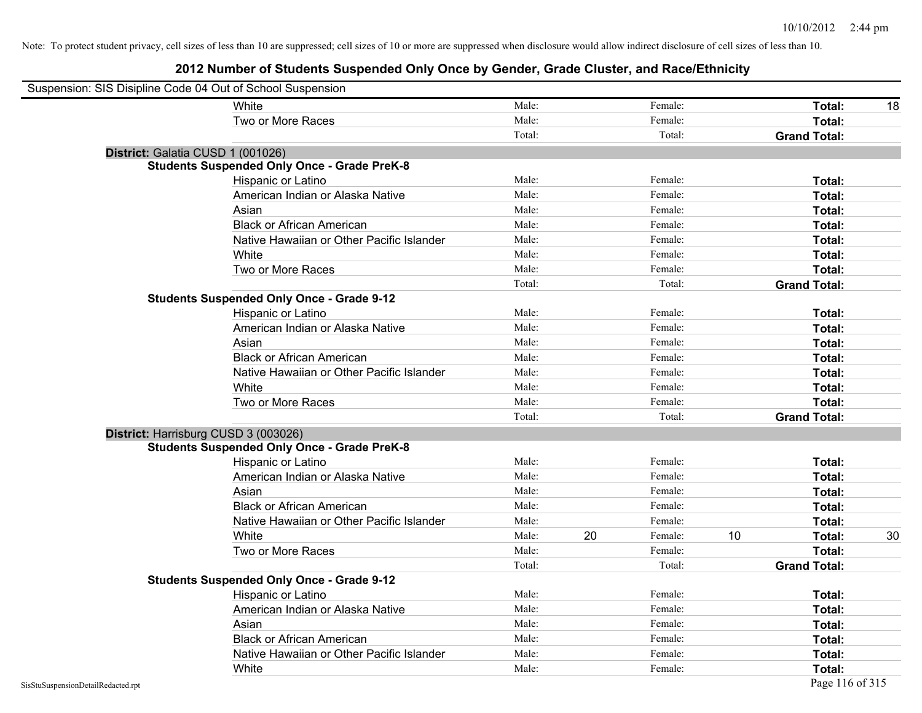| Suspension: SIS Disipline Code 04 Out of School Suspension |                                                    |        |    |         |    |                     |    |
|------------------------------------------------------------|----------------------------------------------------|--------|----|---------|----|---------------------|----|
|                                                            | White                                              | Male:  |    | Female: |    | Total:              | 18 |
|                                                            | Two or More Races                                  | Male:  |    | Female: |    | Total:              |    |
|                                                            |                                                    | Total: |    | Total:  |    | <b>Grand Total:</b> |    |
|                                                            | District: Galatia CUSD 1 (001026)                  |        |    |         |    |                     |    |
|                                                            | <b>Students Suspended Only Once - Grade PreK-8</b> |        |    |         |    |                     |    |
|                                                            | Hispanic or Latino                                 | Male:  |    | Female: |    | Total:              |    |
|                                                            | American Indian or Alaska Native                   | Male:  |    | Female: |    | Total:              |    |
|                                                            | Asian                                              | Male:  |    | Female: |    | Total:              |    |
|                                                            | <b>Black or African American</b>                   | Male:  |    | Female: |    | Total:              |    |
|                                                            | Native Hawaiian or Other Pacific Islander          | Male:  |    | Female: |    | Total:              |    |
|                                                            | White                                              | Male:  |    | Female: |    | Total:              |    |
|                                                            | Two or More Races                                  | Male:  |    | Female: |    | Total:              |    |
|                                                            |                                                    | Total: |    | Total:  |    | <b>Grand Total:</b> |    |
|                                                            | <b>Students Suspended Only Once - Grade 9-12</b>   |        |    |         |    |                     |    |
|                                                            | Hispanic or Latino                                 | Male:  |    | Female: |    | Total:              |    |
|                                                            | American Indian or Alaska Native                   | Male:  |    | Female: |    | Total:              |    |
|                                                            | Asian                                              | Male:  |    | Female: |    | Total:              |    |
|                                                            | <b>Black or African American</b>                   | Male:  |    | Female: |    | Total:              |    |
|                                                            | Native Hawaiian or Other Pacific Islander          | Male:  |    | Female: |    | Total:              |    |
|                                                            | White                                              | Male:  |    | Female: |    | Total:              |    |
|                                                            | Two or More Races                                  | Male:  |    | Female: |    | Total:              |    |
|                                                            |                                                    | Total: |    | Total:  |    | <b>Grand Total:</b> |    |
|                                                            | District: Harrisburg CUSD 3 (003026)               |        |    |         |    |                     |    |
|                                                            | <b>Students Suspended Only Once - Grade PreK-8</b> |        |    |         |    |                     |    |
|                                                            | Hispanic or Latino                                 | Male:  |    | Female: |    | Total:              |    |
|                                                            | American Indian or Alaska Native                   | Male:  |    | Female: |    | Total:              |    |
|                                                            | Asian                                              | Male:  |    | Female: |    | Total:              |    |
|                                                            | <b>Black or African American</b>                   | Male:  |    | Female: |    | Total:              |    |
|                                                            | Native Hawaiian or Other Pacific Islander          | Male:  |    | Female: |    | Total:              |    |
|                                                            | White                                              | Male:  | 20 | Female: | 10 | Total:              | 30 |
|                                                            | Two or More Races                                  | Male:  |    | Female: |    | Total:              |    |
|                                                            |                                                    | Total: |    | Total:  |    | <b>Grand Total:</b> |    |
|                                                            | <b>Students Suspended Only Once - Grade 9-12</b>   |        |    |         |    |                     |    |
|                                                            | Hispanic or Latino                                 | Male:  |    | Female: |    | Total:              |    |
|                                                            | American Indian or Alaska Native                   | Male:  |    | Female: |    | Total:              |    |
|                                                            | Asian                                              | Male:  |    | Female: |    | Total:              |    |
|                                                            | <b>Black or African American</b>                   | Male:  |    | Female: |    | Total:              |    |
|                                                            | Native Hawaiian or Other Pacific Islander          | Male:  |    | Female: |    | Total:              |    |
|                                                            | White                                              | Male:  |    | Female: |    | Total:              |    |
| SisStuSuspensionDetailRedacted.rpt                         |                                                    |        |    |         |    | Page 116 of 315     |    |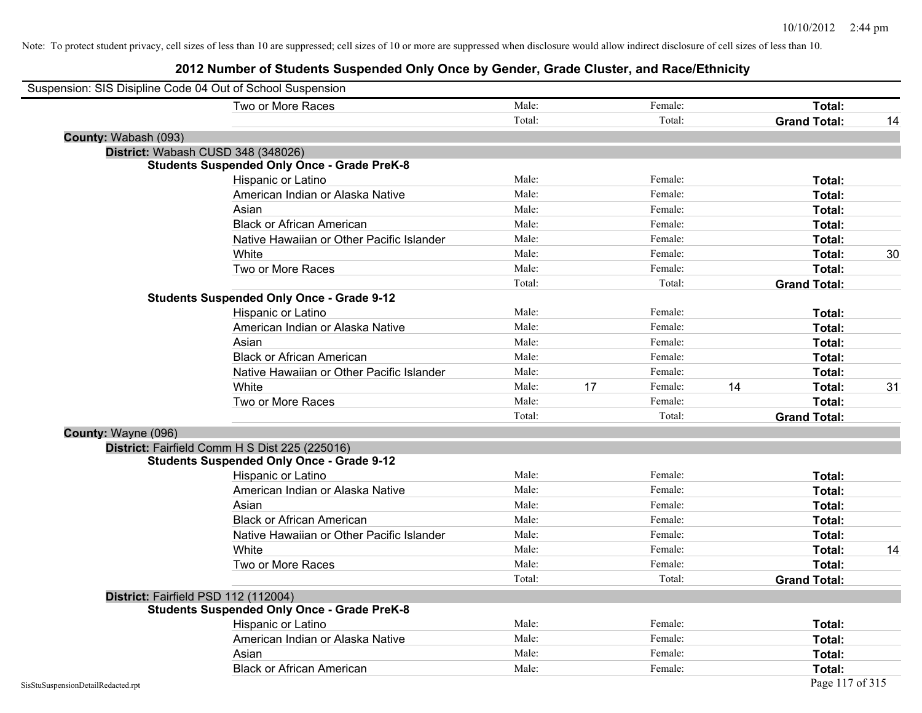|                                    | Two or More Races                                  | Male:  |    | Female: |    | Total:              |    |
|------------------------------------|----------------------------------------------------|--------|----|---------|----|---------------------|----|
|                                    |                                                    | Total: |    | Total:  |    | <b>Grand Total:</b> | 14 |
| County: Wabash (093)               |                                                    |        |    |         |    |                     |    |
|                                    | District: Wabash CUSD 348 (348026)                 |        |    |         |    |                     |    |
|                                    | <b>Students Suspended Only Once - Grade PreK-8</b> |        |    |         |    |                     |    |
|                                    | Hispanic or Latino                                 | Male:  |    | Female: |    | Total:              |    |
|                                    | American Indian or Alaska Native                   | Male:  |    | Female: |    | Total:              |    |
|                                    | Asian                                              | Male:  |    | Female: |    | Total:              |    |
|                                    | <b>Black or African American</b>                   | Male:  |    | Female: |    | Total:              |    |
|                                    | Native Hawaiian or Other Pacific Islander          | Male:  |    | Female: |    | Total:              |    |
|                                    | White                                              | Male:  |    | Female: |    | Total:              | 30 |
|                                    | Two or More Races                                  | Male:  |    | Female: |    | Total:              |    |
|                                    |                                                    | Total: |    | Total:  |    | <b>Grand Total:</b> |    |
|                                    | <b>Students Suspended Only Once - Grade 9-12</b>   |        |    |         |    |                     |    |
|                                    | Hispanic or Latino                                 | Male:  |    | Female: |    | Total:              |    |
|                                    | American Indian or Alaska Native                   | Male:  |    | Female: |    | Total:              |    |
|                                    | Asian                                              | Male:  |    | Female: |    | Total:              |    |
|                                    | <b>Black or African American</b>                   | Male:  |    | Female: |    | Total:              |    |
|                                    | Native Hawaiian or Other Pacific Islander          | Male:  |    | Female: |    | Total:              |    |
|                                    | White                                              | Male:  | 17 | Female: | 14 | Total:              | 31 |
|                                    | Two or More Races                                  | Male:  |    | Female: |    | Total:              |    |
|                                    |                                                    | Total: |    | Total:  |    | <b>Grand Total:</b> |    |
| County: Wayne (096)                |                                                    |        |    |         |    |                     |    |
|                                    | District: Fairfield Comm H S Dist 225 (225016)     |        |    |         |    |                     |    |
|                                    | <b>Students Suspended Only Once - Grade 9-12</b>   |        |    |         |    |                     |    |
|                                    | Hispanic or Latino                                 | Male:  |    | Female: |    | Total:              |    |
|                                    | American Indian or Alaska Native                   | Male:  |    | Female: |    | Total:              |    |
|                                    | Asian                                              | Male:  |    | Female: |    | Total:              |    |
|                                    | <b>Black or African American</b>                   | Male:  |    | Female: |    | Total:              |    |
|                                    | Native Hawaiian or Other Pacific Islander          | Male:  |    | Female: |    | Total:              |    |
|                                    | White                                              | Male:  |    | Female: |    | Total:              | 14 |
|                                    | Two or More Races                                  | Male:  |    | Female: |    | Total:              |    |
|                                    |                                                    | Total: |    | Total:  |    | <b>Grand Total:</b> |    |
|                                    | District: Fairfield PSD 112 (112004)               |        |    |         |    |                     |    |
|                                    | <b>Students Suspended Only Once - Grade PreK-8</b> |        |    |         |    |                     |    |
|                                    | Hispanic or Latino                                 | Male:  |    | Female: |    | Total:              |    |
|                                    | American Indian or Alaska Native                   | Male:  |    | Female: |    | Total:              |    |
|                                    | Asian                                              | Male:  |    | Female: |    | Total:              |    |
|                                    | <b>Black or African American</b>                   | Male:  |    | Female: |    | Total:              |    |
| SisStuSuspensionDetailRedacted.rpt |                                                    |        |    |         |    | Page 117 of 315     |    |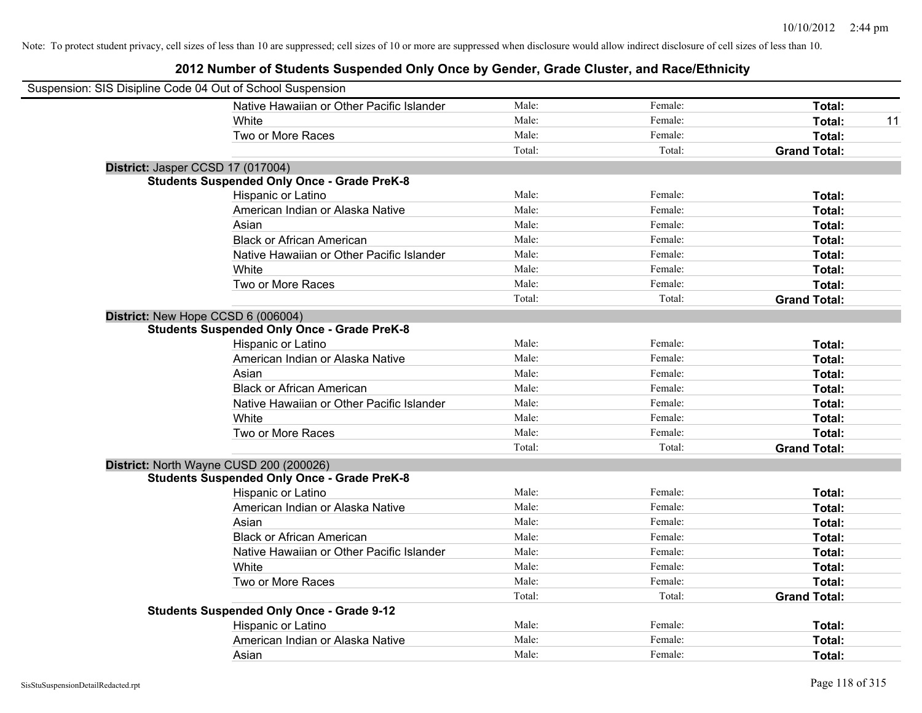| Suspension: SIS Disipline Code 04 Out of School Suspension |                                                    |        |         |                     |
|------------------------------------------------------------|----------------------------------------------------|--------|---------|---------------------|
|                                                            | Native Hawaiian or Other Pacific Islander          | Male:  | Female: | Total:              |
|                                                            | White                                              | Male:  | Female: | Total:<br>11        |
|                                                            | Two or More Races                                  | Male:  | Female: | Total:              |
|                                                            |                                                    | Total: | Total:  | <b>Grand Total:</b> |
| District: Jasper CCSD 17 (017004)                          |                                                    |        |         |                     |
|                                                            | <b>Students Suspended Only Once - Grade PreK-8</b> |        |         |                     |
|                                                            | Hispanic or Latino                                 | Male:  | Female: | Total:              |
|                                                            | American Indian or Alaska Native                   | Male:  | Female: | Total:              |
|                                                            | Asian                                              | Male:  | Female: | Total:              |
|                                                            | <b>Black or African American</b>                   | Male:  | Female: | Total:              |
|                                                            | Native Hawaiian or Other Pacific Islander          | Male:  | Female: | Total:              |
|                                                            | White                                              | Male:  | Female: | Total:              |
|                                                            | Two or More Races                                  | Male:  | Female: | Total:              |
|                                                            |                                                    | Total: | Total:  | <b>Grand Total:</b> |
| District: New Hope CCSD 6 (006004)                         |                                                    |        |         |                     |
|                                                            | <b>Students Suspended Only Once - Grade PreK-8</b> |        |         |                     |
|                                                            | Hispanic or Latino                                 | Male:  | Female: | Total:              |
|                                                            | American Indian or Alaska Native                   | Male:  | Female: | Total:              |
|                                                            | Asian                                              | Male:  | Female: | Total:              |
|                                                            | <b>Black or African American</b>                   | Male:  | Female: | Total:              |
|                                                            | Native Hawaiian or Other Pacific Islander          | Male:  | Female: | Total:              |
|                                                            | White                                              | Male:  | Female: | Total:              |
|                                                            | Two or More Races                                  | Male:  | Female: | Total:              |
|                                                            |                                                    | Total: | Total:  | <b>Grand Total:</b> |
| District: North Wayne CUSD 200 (200026)                    |                                                    |        |         |                     |
|                                                            | <b>Students Suspended Only Once - Grade PreK-8</b> |        |         |                     |
|                                                            | Hispanic or Latino                                 | Male:  | Female: | Total:              |
|                                                            | American Indian or Alaska Native                   | Male:  | Female: | Total:              |
|                                                            | Asian                                              | Male:  | Female: | Total:              |
|                                                            | <b>Black or African American</b>                   | Male:  | Female: | Total:              |
|                                                            | Native Hawaiian or Other Pacific Islander          | Male:  | Female: | Total:              |
|                                                            | <b>White</b>                                       | Male:  | Female: | Total:              |
|                                                            | Two or More Races                                  | Male:  | Female: | Total:              |
|                                                            |                                                    | Total: | Total:  | <b>Grand Total:</b> |
|                                                            | <b>Students Suspended Only Once - Grade 9-12</b>   |        |         |                     |
|                                                            | Hispanic or Latino                                 | Male:  | Female: | Total:              |
|                                                            | American Indian or Alaska Native                   | Male:  | Female: | Total:              |
|                                                            | Asian                                              | Male:  | Female: | Total:              |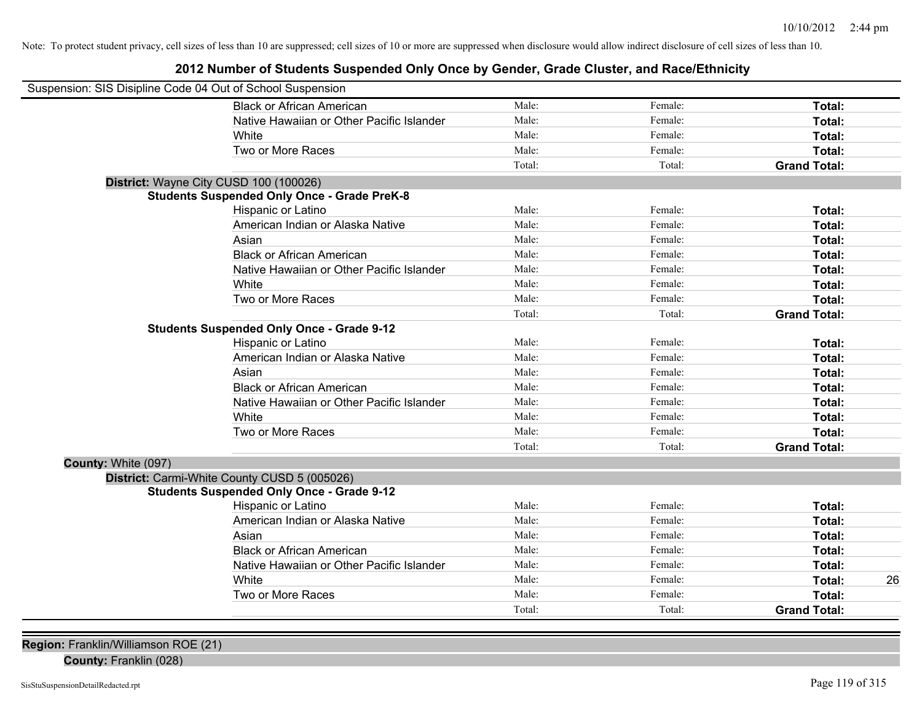## **2012 Number of Students Suspended Only Once by Gender, Grade Cluster, and Race/Ethnicity**

|                     | Suspension: SIS Disipline Code 04 Out of School Suspension |        |         |                     |    |
|---------------------|------------------------------------------------------------|--------|---------|---------------------|----|
|                     | <b>Black or African American</b>                           | Male:  | Female: | Total:              |    |
|                     | Native Hawaiian or Other Pacific Islander                  | Male:  | Female: | Total:              |    |
|                     | White                                                      | Male:  | Female: | Total:              |    |
|                     | Two or More Races                                          | Male:  | Female: | Total:              |    |
|                     |                                                            | Total: | Total:  | <b>Grand Total:</b> |    |
|                     | District: Wayne City CUSD 100 (100026)                     |        |         |                     |    |
|                     | <b>Students Suspended Only Once - Grade PreK-8</b>         |        |         |                     |    |
|                     | Hispanic or Latino                                         | Male:  | Female: | Total:              |    |
|                     | American Indian or Alaska Native                           | Male:  | Female: | Total:              |    |
|                     | Asian                                                      | Male:  | Female: | Total:              |    |
|                     | <b>Black or African American</b>                           | Male:  | Female: | Total:              |    |
|                     | Native Hawaiian or Other Pacific Islander                  | Male:  | Female: | Total:              |    |
|                     | White                                                      | Male:  | Female: | Total:              |    |
|                     | Two or More Races                                          | Male:  | Female: | Total:              |    |
|                     |                                                            | Total: | Total:  | <b>Grand Total:</b> |    |
|                     | <b>Students Suspended Only Once - Grade 9-12</b>           |        |         |                     |    |
|                     | Hispanic or Latino                                         | Male:  | Female: | Total:              |    |
|                     | American Indian or Alaska Native                           | Male:  | Female: | Total:              |    |
|                     | Asian                                                      | Male:  | Female: | Total:              |    |
|                     | <b>Black or African American</b>                           | Male:  | Female: | Total:              |    |
|                     | Native Hawaiian or Other Pacific Islander                  | Male:  | Female: | Total:              |    |
|                     | White                                                      | Male:  | Female: | Total:              |    |
|                     | Two or More Races                                          | Male:  | Female: | Total:              |    |
|                     |                                                            | Total: | Total:  | <b>Grand Total:</b> |    |
| County: White (097) |                                                            |        |         |                     |    |
|                     | District: Carmi-White County CUSD 5 (005026)               |        |         |                     |    |
|                     | <b>Students Suspended Only Once - Grade 9-12</b>           |        |         |                     |    |
|                     | Hispanic or Latino                                         | Male:  | Female: | Total:              |    |
|                     | American Indian or Alaska Native                           | Male:  | Female: | Total:              |    |
|                     | Asian                                                      | Male:  | Female: | Total:              |    |
|                     | <b>Black or African American</b>                           | Male:  | Female: | Total:              |    |
|                     | Native Hawaiian or Other Pacific Islander                  | Male:  | Female: | Total:              |    |
|                     | White                                                      | Male:  | Female: | Total:              | 26 |
|                     | Two or More Races                                          | Male:  | Female: | Total:              |    |
|                     |                                                            | Total: | Total:  | <b>Grand Total:</b> |    |

**Region:** Franklin/Williamson ROE (21)

**County:** Franklin (028)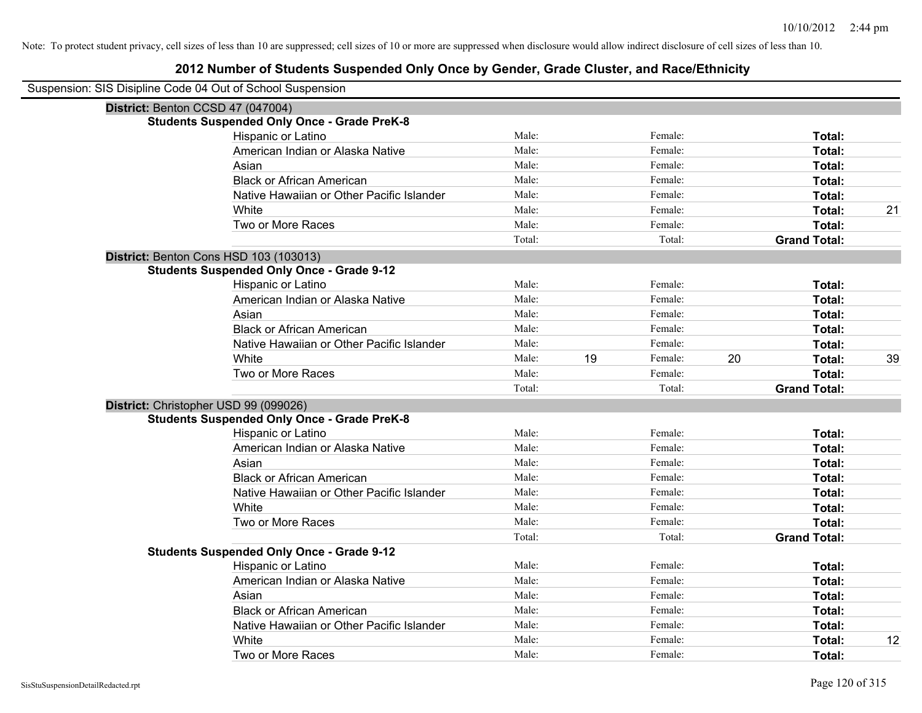| Suspension: SIS Disipline Code 04 Out of School Suspension |                                                    |        |    |         |    |                     |    |
|------------------------------------------------------------|----------------------------------------------------|--------|----|---------|----|---------------------|----|
|                                                            | District: Benton CCSD 47 (047004)                  |        |    |         |    |                     |    |
|                                                            | <b>Students Suspended Only Once - Grade PreK-8</b> |        |    |         |    |                     |    |
|                                                            | Hispanic or Latino                                 | Male:  |    | Female: |    | Total:              |    |
|                                                            | American Indian or Alaska Native                   | Male:  |    | Female: |    | Total:              |    |
|                                                            | Asian                                              | Male:  |    | Female: |    | Total:              |    |
|                                                            | <b>Black or African American</b>                   | Male:  |    | Female: |    | Total:              |    |
|                                                            | Native Hawaiian or Other Pacific Islander          | Male:  |    | Female: |    | <b>Total:</b>       |    |
|                                                            | White                                              | Male:  |    | Female: |    | Total:              | 21 |
|                                                            | Two or More Races                                  | Male:  |    | Female: |    | Total:              |    |
|                                                            |                                                    | Total: |    | Total:  |    | <b>Grand Total:</b> |    |
|                                                            | District: Benton Cons HSD 103 (103013)             |        |    |         |    |                     |    |
|                                                            | <b>Students Suspended Only Once - Grade 9-12</b>   |        |    |         |    |                     |    |
|                                                            | Hispanic or Latino                                 | Male:  |    | Female: |    | Total:              |    |
|                                                            | American Indian or Alaska Native                   | Male:  |    | Female: |    | Total:              |    |
|                                                            | Asian                                              | Male:  |    | Female: |    | Total:              |    |
|                                                            | <b>Black or African American</b>                   | Male:  |    | Female: |    | Total:              |    |
|                                                            | Native Hawaiian or Other Pacific Islander          | Male:  |    | Female: |    | Total:              |    |
|                                                            | White                                              | Male:  | 19 | Female: | 20 | Total:              | 39 |
|                                                            | Two or More Races                                  | Male:  |    | Female: |    | Total:              |    |
|                                                            |                                                    | Total: |    | Total:  |    | <b>Grand Total:</b> |    |
|                                                            | District: Christopher USD 99 (099026)              |        |    |         |    |                     |    |
|                                                            | <b>Students Suspended Only Once - Grade PreK-8</b> |        |    |         |    |                     |    |
|                                                            | Hispanic or Latino                                 | Male:  |    | Female: |    | Total:              |    |
|                                                            | American Indian or Alaska Native                   | Male:  |    | Female: |    | Total:              |    |
|                                                            | Asian                                              | Male:  |    | Female: |    | Total:              |    |
|                                                            | <b>Black or African American</b>                   | Male:  |    | Female: |    | Total:              |    |
|                                                            | Native Hawaiian or Other Pacific Islander          | Male:  |    | Female: |    | Total:              |    |
|                                                            | White                                              | Male:  |    | Female: |    | Total:              |    |
|                                                            | Two or More Races                                  | Male:  |    | Female: |    | Total:              |    |
|                                                            |                                                    | Total: |    | Total:  |    | <b>Grand Total:</b> |    |
|                                                            | <b>Students Suspended Only Once - Grade 9-12</b>   |        |    |         |    |                     |    |
|                                                            | Hispanic or Latino                                 | Male:  |    | Female: |    | Total:              |    |
|                                                            | American Indian or Alaska Native                   | Male:  |    | Female: |    | Total:              |    |
|                                                            | Asian                                              | Male:  |    | Female: |    | Total:              |    |
|                                                            | <b>Black or African American</b>                   | Male:  |    | Female: |    | Total:              |    |
|                                                            | Native Hawaiian or Other Pacific Islander          | Male:  |    | Female: |    | Total:              |    |
|                                                            | White                                              | Male:  |    | Female: |    | <b>Total:</b>       | 12 |
|                                                            | Two or More Races                                  | Male:  |    | Female: |    | Total:              |    |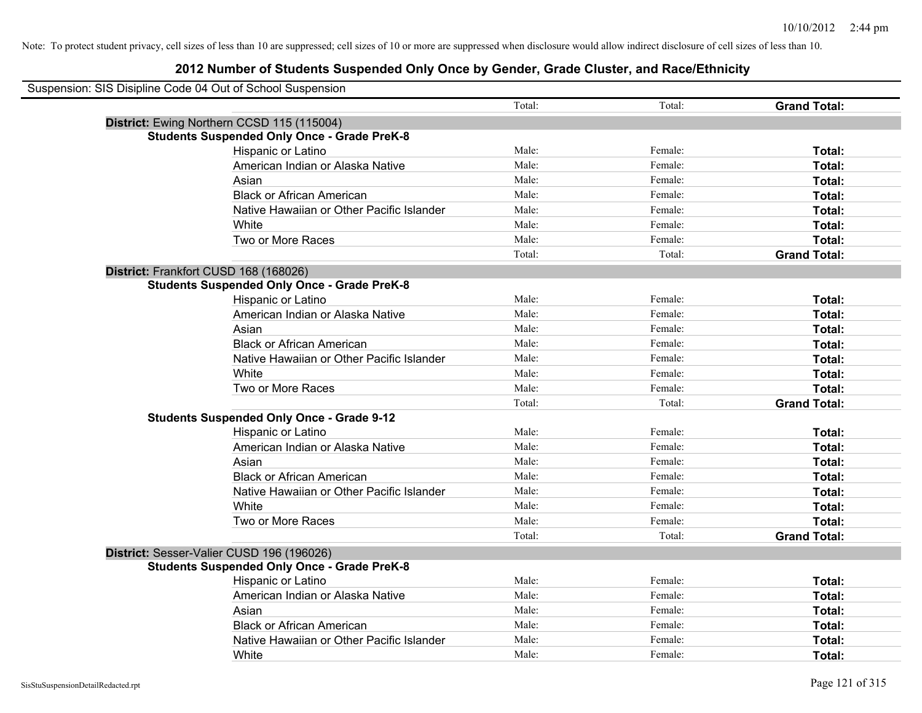| Suspension: SIS Disipline Code 04 Out of School Suspension |                                                    |        |         |                     |
|------------------------------------------------------------|----------------------------------------------------|--------|---------|---------------------|
|                                                            |                                                    | Total: | Total:  | <b>Grand Total:</b> |
|                                                            | District: Ewing Northern CCSD 115 (115004)         |        |         |                     |
|                                                            | <b>Students Suspended Only Once - Grade PreK-8</b> |        |         |                     |
|                                                            | Hispanic or Latino                                 | Male:  | Female: | Total:              |
|                                                            | American Indian or Alaska Native                   | Male:  | Female: | Total:              |
|                                                            | Asian                                              | Male:  | Female: | Total:              |
|                                                            | <b>Black or African American</b>                   | Male:  | Female: | Total:              |
|                                                            | Native Hawaiian or Other Pacific Islander          | Male:  | Female: | Total:              |
|                                                            | White                                              | Male:  | Female: | Total:              |
|                                                            | Two or More Races                                  | Male:  | Female: | Total:              |
|                                                            |                                                    | Total: | Total:  | <b>Grand Total:</b> |
| District: Frankfort CUSD 168 (168026)                      |                                                    |        |         |                     |
|                                                            | <b>Students Suspended Only Once - Grade PreK-8</b> |        |         |                     |
|                                                            | Hispanic or Latino                                 | Male:  | Female: | Total:              |
|                                                            | American Indian or Alaska Native                   | Male:  | Female: | Total:              |
|                                                            | Asian                                              | Male:  | Female: | Total:              |
|                                                            | <b>Black or African American</b>                   | Male:  | Female: | Total:              |
|                                                            | Native Hawaiian or Other Pacific Islander          | Male:  | Female: | Total:              |
|                                                            | White                                              | Male:  | Female: | Total:              |
|                                                            | Two or More Races                                  | Male:  | Female: | Total:              |
|                                                            |                                                    | Total: | Total:  | <b>Grand Total:</b> |
|                                                            | <b>Students Suspended Only Once - Grade 9-12</b>   |        |         |                     |
|                                                            | Hispanic or Latino                                 | Male:  | Female: | Total:              |
|                                                            | American Indian or Alaska Native                   | Male:  | Female: | Total:              |
|                                                            | Asian                                              | Male:  | Female: | Total:              |
|                                                            | <b>Black or African American</b>                   | Male:  | Female: | Total:              |
|                                                            | Native Hawaiian or Other Pacific Islander          | Male:  | Female: | Total:              |
|                                                            | White                                              | Male:  | Female: | Total:              |
|                                                            | Two or More Races                                  | Male:  | Female: | Total:              |
|                                                            |                                                    | Total: | Total:  | <b>Grand Total:</b> |
|                                                            | District: Sesser-Valier CUSD 196 (196026)          |        |         |                     |
|                                                            | <b>Students Suspended Only Once - Grade PreK-8</b> |        |         |                     |
|                                                            | Hispanic or Latino                                 | Male:  | Female: | Total:              |
|                                                            | American Indian or Alaska Native                   | Male:  | Female: | Total:              |
|                                                            | Asian                                              | Male:  | Female: | Total:              |
|                                                            | <b>Black or African American</b>                   | Male:  | Female: | Total:              |
|                                                            | Native Hawaiian or Other Pacific Islander          | Male:  | Female: | Total:              |
|                                                            | White                                              | Male:  | Female: | Total:              |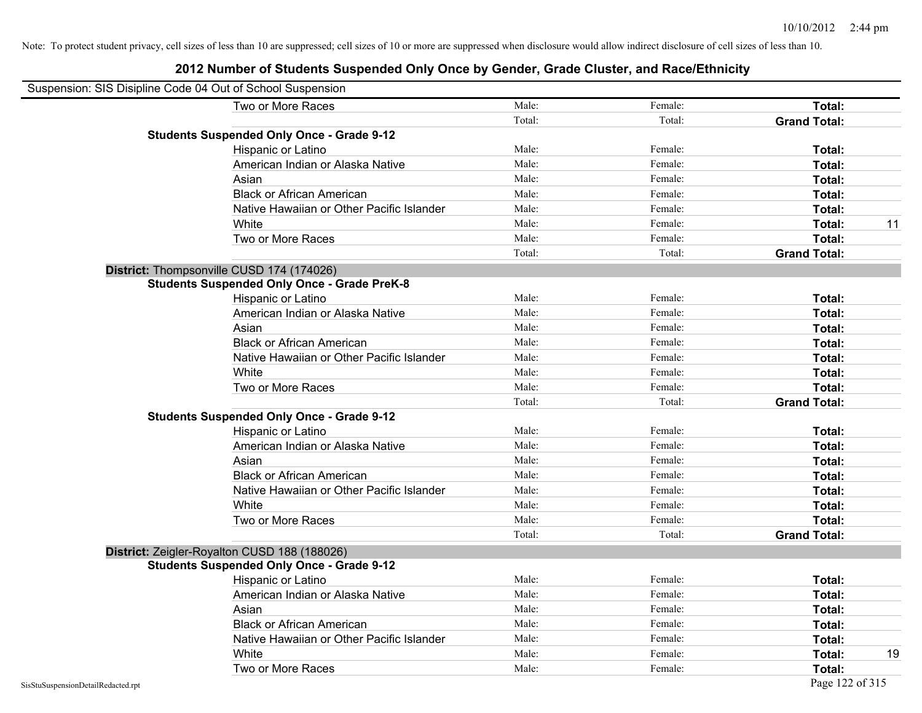| Suspension: SIS Disipline Code 04 Out of School Suspension |                                                    |        |         |                     |    |
|------------------------------------------------------------|----------------------------------------------------|--------|---------|---------------------|----|
|                                                            | Two or More Races                                  | Male:  | Female: | Total:              |    |
|                                                            |                                                    | Total: | Total:  | <b>Grand Total:</b> |    |
|                                                            | <b>Students Suspended Only Once - Grade 9-12</b>   |        |         |                     |    |
|                                                            | Hispanic or Latino                                 | Male:  | Female: | Total:              |    |
|                                                            | American Indian or Alaska Native                   | Male:  | Female: | <b>Total:</b>       |    |
|                                                            | Asian                                              | Male:  | Female: | <b>Total:</b>       |    |
|                                                            | <b>Black or African American</b>                   | Male:  | Female: | Total:              |    |
|                                                            | Native Hawaiian or Other Pacific Islander          | Male:  | Female: | Total:              |    |
|                                                            | White                                              | Male:  | Female: | Total:              | 11 |
|                                                            | Two or More Races                                  | Male:  | Female: | Total:              |    |
|                                                            |                                                    | Total: | Total:  | <b>Grand Total:</b> |    |
|                                                            | District: Thompsonville CUSD 174 (174026)          |        |         |                     |    |
|                                                            | <b>Students Suspended Only Once - Grade PreK-8</b> |        |         |                     |    |
|                                                            | Hispanic or Latino                                 | Male:  | Female: | <b>Total:</b>       |    |
|                                                            | American Indian or Alaska Native                   | Male:  | Female: | Total:              |    |
|                                                            | Asian                                              | Male:  | Female: | Total:              |    |
|                                                            | <b>Black or African American</b>                   | Male:  | Female: | Total:              |    |
|                                                            | Native Hawaiian or Other Pacific Islander          | Male:  | Female: | <b>Total:</b>       |    |
|                                                            | White                                              | Male:  | Female: | <b>Total:</b>       |    |
|                                                            | Two or More Races                                  | Male:  | Female: | Total:              |    |
|                                                            |                                                    | Total: | Total:  | <b>Grand Total:</b> |    |
|                                                            | <b>Students Suspended Only Once - Grade 9-12</b>   |        |         |                     |    |
|                                                            | Hispanic or Latino                                 | Male:  | Female: | Total:              |    |
|                                                            | American Indian or Alaska Native                   | Male:  | Female: | Total:              |    |
|                                                            | Asian                                              | Male:  | Female: | Total:              |    |
|                                                            | <b>Black or African American</b>                   | Male:  | Female: | Total:              |    |
|                                                            | Native Hawaiian or Other Pacific Islander          | Male:  | Female: | Total:              |    |
|                                                            | White                                              | Male:  | Female: | Total:              |    |
|                                                            | Two or More Races                                  | Male:  | Female: | Total:              |    |
|                                                            |                                                    | Total: | Total:  | <b>Grand Total:</b> |    |
|                                                            | District: Zeigler-Royalton CUSD 188 (188026)       |        |         |                     |    |
|                                                            | <b>Students Suspended Only Once - Grade 9-12</b>   |        |         |                     |    |
|                                                            | Hispanic or Latino                                 | Male:  | Female: | Total:              |    |
|                                                            | American Indian or Alaska Native                   | Male:  | Female: | Total:              |    |
|                                                            | Asian                                              | Male:  | Female: | Total:              |    |
|                                                            | <b>Black or African American</b>                   | Male:  | Female: | Total:              |    |
|                                                            | Native Hawaiian or Other Pacific Islander          | Male:  | Female: | Total:              |    |
|                                                            | White                                              | Male:  | Female: | <b>Total:</b>       | 19 |
|                                                            | Two or More Races                                  | Male:  | Female: | <b>Total:</b>       |    |
| SisStuSuspensionDetailRedacted.rpt                         |                                                    |        |         | Page 122 of 315     |    |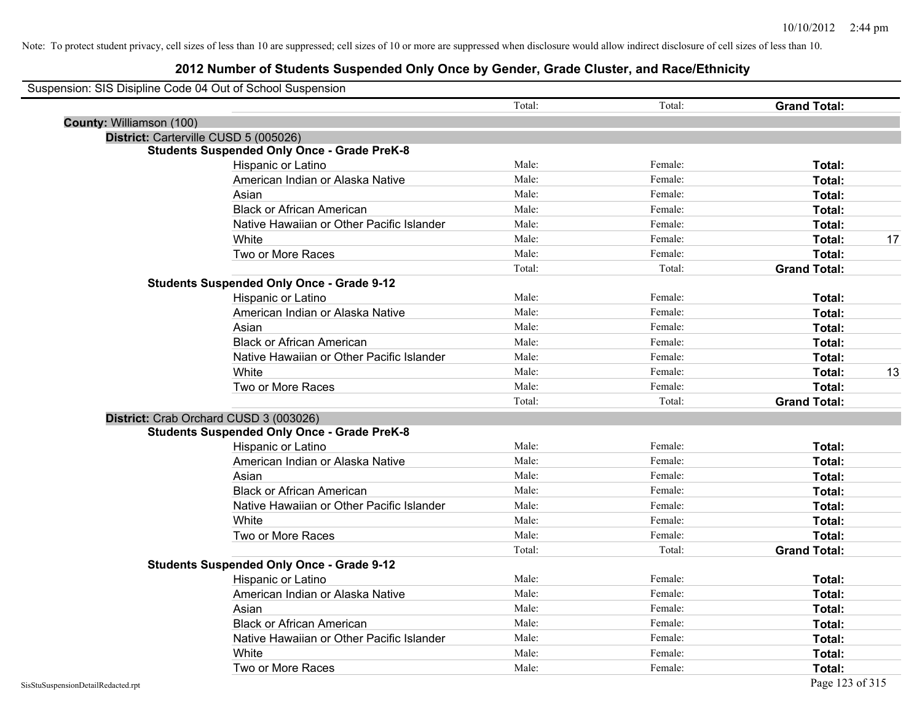|                          | Suspension: SIS Disipline Code 04 Out of School Suspension |        |         |                     |    |
|--------------------------|------------------------------------------------------------|--------|---------|---------------------|----|
|                          |                                                            | Total: | Total:  | <b>Grand Total:</b> |    |
| County: Williamson (100) |                                                            |        |         |                     |    |
|                          | District: Carterville CUSD 5 (005026)                      |        |         |                     |    |
|                          | <b>Students Suspended Only Once - Grade PreK-8</b>         |        |         |                     |    |
|                          | Hispanic or Latino                                         | Male:  | Female: | Total:              |    |
|                          | American Indian or Alaska Native                           | Male:  | Female: | Total:              |    |
|                          | Asian                                                      | Male:  | Female: | Total:              |    |
|                          | <b>Black or African American</b>                           | Male:  | Female: | Total:              |    |
|                          | Native Hawaiian or Other Pacific Islander                  | Male:  | Female: | Total:              |    |
|                          | White                                                      | Male:  | Female: | Total:              | 17 |
|                          | Two or More Races                                          | Male:  | Female: | <b>Total:</b>       |    |
|                          |                                                            | Total: | Total:  | <b>Grand Total:</b> |    |
|                          | <b>Students Suspended Only Once - Grade 9-12</b>           |        |         |                     |    |
|                          | Hispanic or Latino                                         | Male:  | Female: | Total:              |    |
|                          | American Indian or Alaska Native                           | Male:  | Female: | Total:              |    |
|                          | Asian                                                      | Male:  | Female: | Total:              |    |
|                          | <b>Black or African American</b>                           | Male:  | Female: | Total:              |    |
|                          | Native Hawaiian or Other Pacific Islander                  | Male:  | Female: | Total:              |    |
|                          | White                                                      | Male:  | Female: | Total:              | 13 |
|                          | Two or More Races                                          | Male:  | Female: | <b>Total:</b>       |    |
|                          |                                                            | Total: | Total:  | <b>Grand Total:</b> |    |
|                          | District: Crab Orchard CUSD 3 (003026)                     |        |         |                     |    |
|                          | <b>Students Suspended Only Once - Grade PreK-8</b>         |        |         |                     |    |
|                          | Hispanic or Latino                                         | Male:  | Female: | Total:              |    |
|                          | American Indian or Alaska Native                           | Male:  | Female: | Total:              |    |
|                          | Asian                                                      | Male:  | Female: | Total:              |    |
|                          | <b>Black or African American</b>                           | Male:  | Female: | Total:              |    |
|                          | Native Hawaiian or Other Pacific Islander                  | Male:  | Female: | Total:              |    |
|                          | White                                                      | Male:  | Female: | Total:              |    |
|                          | Two or More Races                                          | Male:  | Female: | Total:              |    |
|                          |                                                            | Total: | Total:  | <b>Grand Total:</b> |    |
|                          | <b>Students Suspended Only Once - Grade 9-12</b>           |        |         |                     |    |
|                          | Hispanic or Latino                                         | Male:  | Female: | Total:              |    |
|                          | American Indian or Alaska Native                           | Male:  | Female: | Total:              |    |
|                          | Asian                                                      | Male:  | Female: | Total:              |    |
|                          | <b>Black or African American</b>                           | Male:  | Female: | Total:              |    |
|                          | Native Hawaiian or Other Pacific Islander                  | Male:  | Female: | Total:              |    |
|                          | White                                                      | Male:  | Female: | <b>Total:</b>       |    |
|                          | Two or More Races                                          | Male:  | Female: | Total:              |    |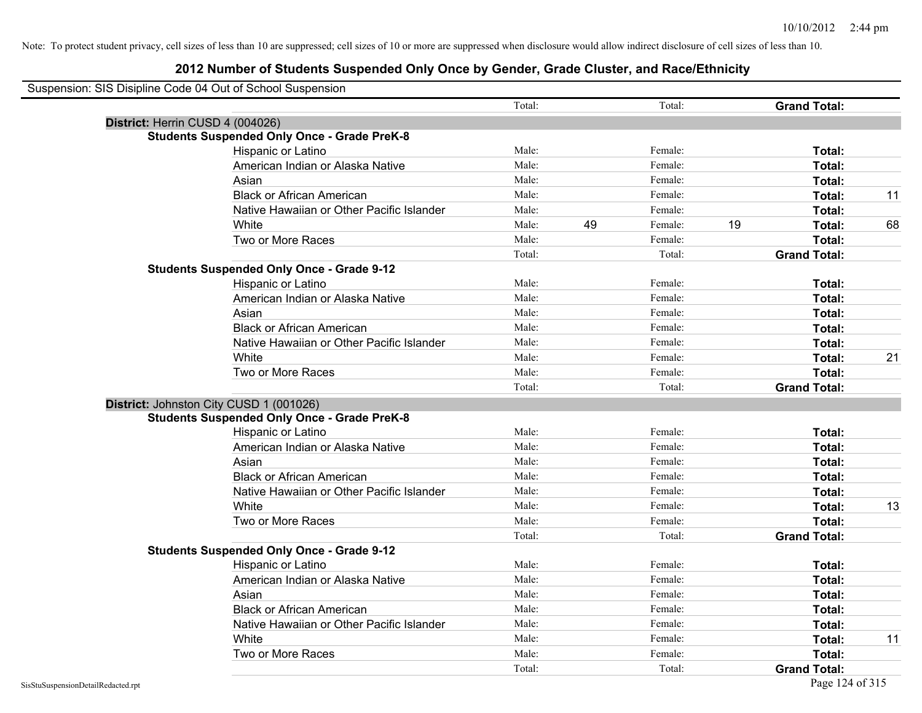| Suspension: SIS Disipline Code 04 Out of School Suspension |                                                    |        |    |         |                     |    |
|------------------------------------------------------------|----------------------------------------------------|--------|----|---------|---------------------|----|
|                                                            |                                                    | Total: |    | Total:  | <b>Grand Total:</b> |    |
| District: Herrin CUSD 4 (004026)                           |                                                    |        |    |         |                     |    |
|                                                            | <b>Students Suspended Only Once - Grade PreK-8</b> |        |    |         |                     |    |
|                                                            | Hispanic or Latino                                 | Male:  |    | Female: | Total:              |    |
|                                                            | American Indian or Alaska Native                   | Male:  |    | Female: | Total:              |    |
|                                                            | Asian                                              | Male:  |    | Female: | Total:              |    |
|                                                            | <b>Black or African American</b>                   | Male:  |    | Female: | Total:              | 11 |
|                                                            | Native Hawaiian or Other Pacific Islander          | Male:  |    | Female: | Total:              |    |
|                                                            | White                                              | Male:  | 49 | Female: | 19<br>Total:        | 68 |
|                                                            | Two or More Races                                  | Male:  |    | Female: | Total:              |    |
|                                                            |                                                    | Total: |    | Total:  | <b>Grand Total:</b> |    |
|                                                            | <b>Students Suspended Only Once - Grade 9-12</b>   |        |    |         |                     |    |
|                                                            | Hispanic or Latino                                 | Male:  |    | Female: | Total:              |    |
|                                                            | American Indian or Alaska Native                   | Male:  |    | Female: | Total:              |    |
|                                                            | Asian                                              | Male:  |    | Female: | Total:              |    |
|                                                            | <b>Black or African American</b>                   | Male:  |    | Female: | Total:              |    |
|                                                            | Native Hawaiian or Other Pacific Islander          | Male:  |    | Female: | Total:              |    |
|                                                            | White                                              | Male:  |    | Female: | Total:              | 21 |
|                                                            | Two or More Races                                  | Male:  |    | Female: | Total:              |    |
|                                                            |                                                    | Total: |    | Total:  | <b>Grand Total:</b> |    |
|                                                            | District: Johnston City CUSD 1 (001026)            |        |    |         |                     |    |
|                                                            | <b>Students Suspended Only Once - Grade PreK-8</b> |        |    |         |                     |    |
|                                                            | Hispanic or Latino                                 | Male:  |    | Female: | Total:              |    |
|                                                            | American Indian or Alaska Native                   | Male:  |    | Female: | Total:              |    |
|                                                            | Asian                                              | Male:  |    | Female: | Total:              |    |
|                                                            | <b>Black or African American</b>                   | Male:  |    | Female: | Total:              |    |
|                                                            | Native Hawaiian or Other Pacific Islander          | Male:  |    | Female: | Total:              |    |
|                                                            | White                                              | Male:  |    | Female: | Total:              | 13 |
|                                                            | Two or More Races                                  | Male:  |    | Female: | Total:              |    |
|                                                            |                                                    | Total: |    | Total:  | <b>Grand Total:</b> |    |
|                                                            | <b>Students Suspended Only Once - Grade 9-12</b>   |        |    |         |                     |    |
|                                                            | Hispanic or Latino                                 | Male:  |    | Female: | Total:              |    |
|                                                            | American Indian or Alaska Native                   | Male:  |    | Female: | Total:              |    |
|                                                            | Asian                                              | Male:  |    | Female: | Total:              |    |
|                                                            | <b>Black or African American</b>                   | Male:  |    | Female: | Total:              |    |
|                                                            | Native Hawaiian or Other Pacific Islander          | Male:  |    | Female: | Total:              |    |
|                                                            | White                                              | Male:  |    | Female: | Total:              | 11 |
|                                                            | Two or More Races                                  | Male:  |    | Female: | Total:              |    |
|                                                            |                                                    | Total: |    | Total:  | <b>Grand Total:</b> |    |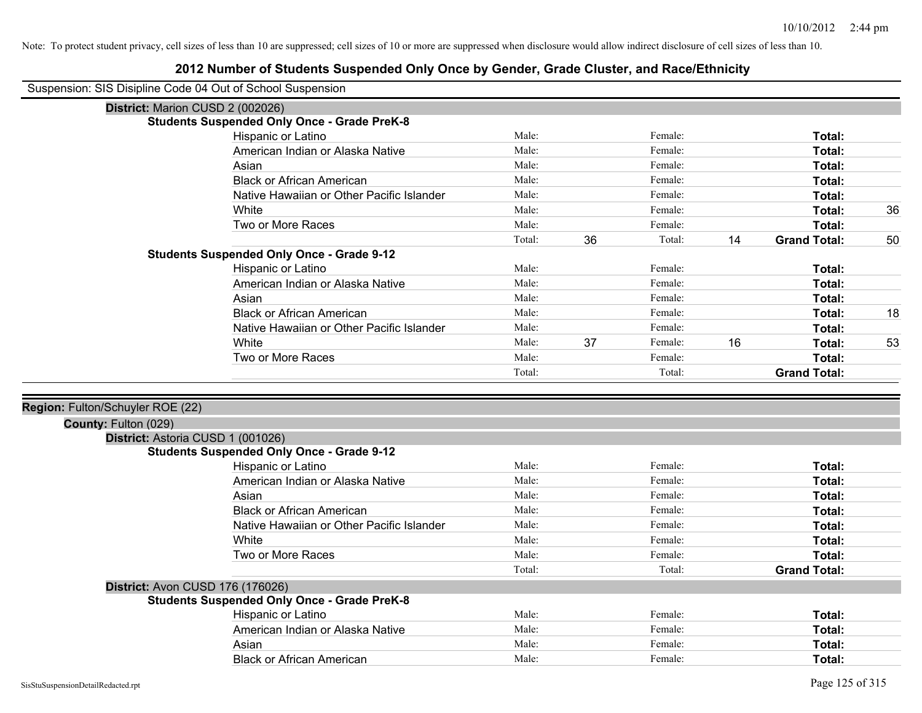## **2012 Number of Students Suspended Only Once by Gender, Grade Cluster, and Race/Ethnicity**

Suspension: SIS Disipline Code 04 Out of School Suspension

| Suspension: SiS Disipline Code 04 Out of School Suspension |                                                    |        |    |         |    |                     |    |
|------------------------------------------------------------|----------------------------------------------------|--------|----|---------|----|---------------------|----|
| District: Marion CUSD 2 (002026)                           |                                                    |        |    |         |    |                     |    |
|                                                            | <b>Students Suspended Only Once - Grade PreK-8</b> |        |    |         |    |                     |    |
|                                                            | Hispanic or Latino                                 | Male:  |    | Female: |    | Total:              |    |
|                                                            | American Indian or Alaska Native                   | Male:  |    | Female: |    | Total:              |    |
|                                                            | Asian                                              | Male:  |    | Female: |    | Total:              |    |
|                                                            | <b>Black or African American</b>                   | Male:  |    | Female: |    | Total:              |    |
|                                                            | Native Hawaiian or Other Pacific Islander          | Male:  |    | Female: |    | Total:              |    |
|                                                            | White                                              | Male:  |    | Female: |    | Total:              | 36 |
|                                                            | Two or More Races                                  | Male:  |    | Female: |    | Total:              |    |
|                                                            |                                                    | Total: | 36 | Total:  | 14 | <b>Grand Total:</b> | 50 |
|                                                            | <b>Students Suspended Only Once - Grade 9-12</b>   |        |    |         |    |                     |    |
|                                                            | Hispanic or Latino                                 | Male:  |    | Female: |    | Total:              |    |
|                                                            | American Indian or Alaska Native                   | Male:  |    | Female: |    | Total:              |    |
|                                                            | Asian                                              | Male:  |    | Female: |    | Total:              |    |
|                                                            | <b>Black or African American</b>                   | Male:  |    | Female: |    | Total:              | 18 |
|                                                            | Native Hawaiian or Other Pacific Islander          | Male:  |    | Female: |    | Total:              |    |
|                                                            | White                                              | Male:  | 37 | Female: | 16 | Total:              | 53 |
|                                                            | Two or More Races                                  | Male:  |    | Female: |    | Total:              |    |
|                                                            |                                                    | Total: |    | Total:  |    | <b>Grand Total:</b> |    |
|                                                            |                                                    |        |    |         |    |                     |    |
| Region: Fulton/Schuyler ROE (22)                           |                                                    |        |    |         |    |                     |    |
| County: Fulton (029)                                       |                                                    |        |    |         |    |                     |    |
| District: Astoria CUSD 1 (001026)                          |                                                    |        |    |         |    |                     |    |
|                                                            | <b>Students Suspended Only Once - Grade 9-12</b>   |        |    |         |    |                     |    |
|                                                            | Hispanic or Latino                                 | Male:  |    | Female: |    | Total:              |    |
|                                                            | American Indian or Alaska Native                   | Male:  |    | Female: |    | Total:              |    |
|                                                            | Asian                                              | Male:  |    | Female: |    | Total:              |    |
|                                                            | <b>Black or African American</b>                   | Male:  |    | Female: |    | Total:              |    |
|                                                            | Native Hawaiian or Other Pacific Islander          | Male:  |    | Female: |    | Total:              |    |
|                                                            | White                                              | Male:  |    | Female: |    | Total:              |    |
|                                                            | Two or More Races                                  | Male:  |    | Female: |    | Total:              |    |
|                                                            |                                                    | Total: |    | Total:  |    | <b>Grand Total:</b> |    |
| District: Avon CUSD 176 (176026)                           |                                                    |        |    |         |    |                     |    |
|                                                            | <b>Students Suspended Only Once - Grade PreK-8</b> |        |    |         |    |                     |    |
|                                                            | Hispanic or Latino                                 | Male:  |    | Female: |    | Total:              |    |
|                                                            | American Indian or Alaska Native                   | Male:  |    | Female: |    | Total:              |    |
|                                                            |                                                    |        |    |         |    |                     |    |

| Asiar | Male<br>$\cdots$ | emai.<br>. |  |
|-------|------------------|------------|--|
| Blac  | Male             | `≏mar.     |  |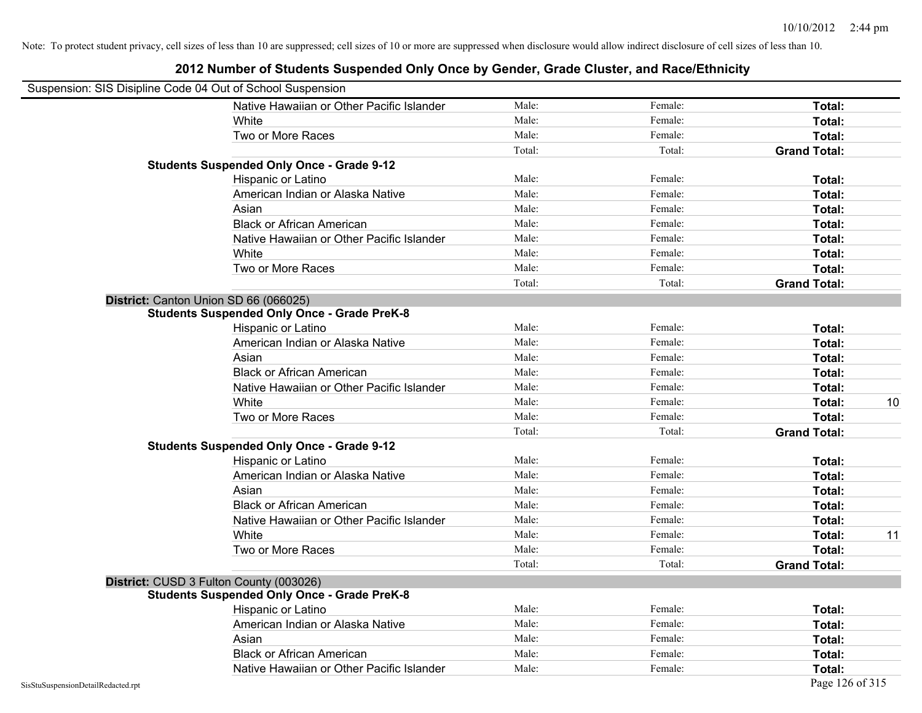| Suspension: SIS Disipline Code 04 Out of School Suspension |                                                    |        |         |                     |
|------------------------------------------------------------|----------------------------------------------------|--------|---------|---------------------|
|                                                            | Native Hawaiian or Other Pacific Islander          | Male:  | Female: | Total:              |
|                                                            | White                                              | Male:  | Female: | Total:              |
|                                                            | Two or More Races                                  | Male:  | Female: | Total:              |
|                                                            |                                                    | Total: | Total:  | <b>Grand Total:</b> |
|                                                            | <b>Students Suspended Only Once - Grade 9-12</b>   |        |         |                     |
|                                                            | Hispanic or Latino                                 | Male:  | Female: | Total:              |
|                                                            | American Indian or Alaska Native                   | Male:  | Female: | Total:              |
|                                                            | Asian                                              | Male:  | Female: | Total:              |
|                                                            | <b>Black or African American</b>                   | Male:  | Female: | Total:              |
|                                                            | Native Hawaiian or Other Pacific Islander          | Male:  | Female: | Total:              |
|                                                            | White                                              | Male:  | Female: | Total:              |
|                                                            | Two or More Races                                  | Male:  | Female: | Total:              |
|                                                            |                                                    | Total: | Total:  | <b>Grand Total:</b> |
|                                                            | District: Canton Union SD 66 (066025)              |        |         |                     |
|                                                            | <b>Students Suspended Only Once - Grade PreK-8</b> |        |         |                     |
|                                                            | Hispanic or Latino                                 | Male:  | Female: | Total:              |
|                                                            | American Indian or Alaska Native                   | Male:  | Female: | Total:              |
|                                                            | Asian                                              | Male:  | Female: | Total:              |
|                                                            | <b>Black or African American</b>                   | Male:  | Female: | Total:              |
|                                                            | Native Hawaiian or Other Pacific Islander          | Male:  | Female: | Total:              |
|                                                            | White                                              | Male:  | Female: | 10<br>Total:        |
|                                                            | Two or More Races                                  | Male:  | Female: | Total:              |
|                                                            |                                                    | Total: | Total:  | <b>Grand Total:</b> |
|                                                            | <b>Students Suspended Only Once - Grade 9-12</b>   |        |         |                     |
|                                                            | Hispanic or Latino                                 | Male:  | Female: | Total:              |
|                                                            | American Indian or Alaska Native                   | Male:  | Female: | Total:              |
|                                                            | Asian                                              | Male:  | Female: | Total:              |
|                                                            | <b>Black or African American</b>                   | Male:  | Female: | Total:              |
|                                                            | Native Hawaiian or Other Pacific Islander          | Male:  | Female: | Total:              |
|                                                            | White                                              | Male:  | Female: | 11<br>Total:        |
|                                                            | Two or More Races                                  | Male:  | Female: | Total:              |
|                                                            |                                                    | Total: | Total:  | <b>Grand Total:</b> |
|                                                            | District: CUSD 3 Fulton County (003026)            |        |         |                     |
|                                                            | <b>Students Suspended Only Once - Grade PreK-8</b> |        |         |                     |
|                                                            | Hispanic or Latino                                 | Male:  | Female: | Total:              |
|                                                            | American Indian or Alaska Native                   | Male:  | Female: | Total:              |
|                                                            | Asian                                              | Male:  | Female: | Total:              |
|                                                            | <b>Black or African American</b>                   | Male:  | Female: | Total:              |
|                                                            | Native Hawaiian or Other Pacific Islander          | Male:  | Female: | Total:              |
| SisStuSuspensionDetailRedacted.rpt                         |                                                    |        |         | Page 126 of 315     |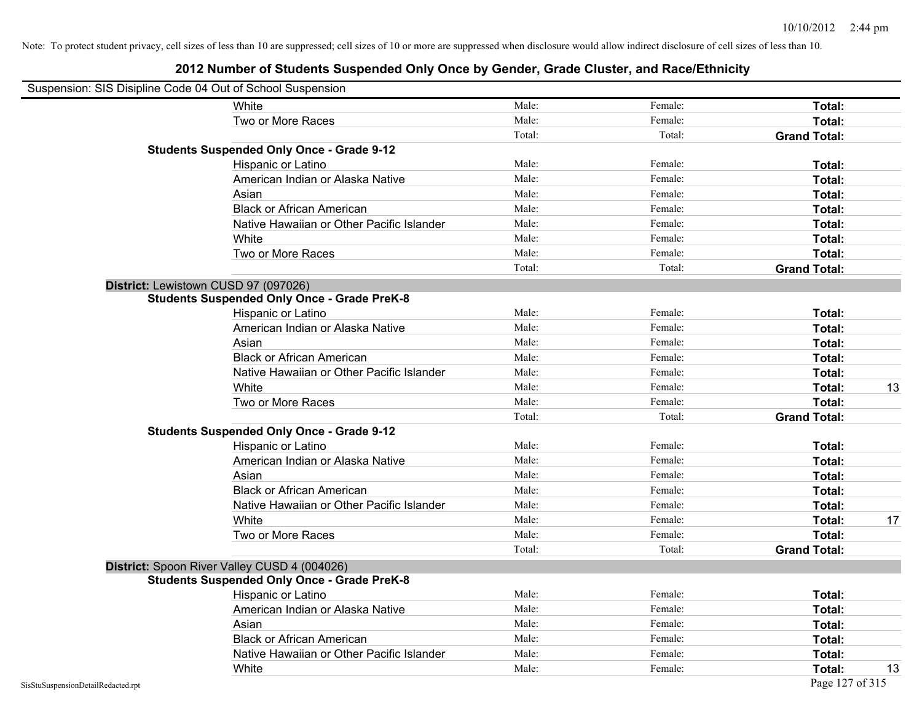|                                    | Suspension: SIS Disipline Code 04 Out of School Suspension |        |         |                     |    |
|------------------------------------|------------------------------------------------------------|--------|---------|---------------------|----|
|                                    | White                                                      | Male:  | Female: | Total:              |    |
|                                    | Two or More Races                                          | Male:  | Female: | Total:              |    |
|                                    |                                                            | Total: | Total:  | <b>Grand Total:</b> |    |
|                                    | <b>Students Suspended Only Once - Grade 9-12</b>           |        |         |                     |    |
|                                    | Hispanic or Latino                                         | Male:  | Female: | Total:              |    |
|                                    | American Indian or Alaska Native                           | Male:  | Female: | Total:              |    |
|                                    | Asian                                                      | Male:  | Female: | Total:              |    |
|                                    | <b>Black or African American</b>                           | Male:  | Female: | Total:              |    |
|                                    | Native Hawaiian or Other Pacific Islander                  | Male:  | Female: | Total:              |    |
|                                    | White                                                      | Male:  | Female: | Total:              |    |
|                                    | Two or More Races                                          | Male:  | Female: | Total:              |    |
|                                    |                                                            | Total: | Total:  | <b>Grand Total:</b> |    |
|                                    | District: Lewistown CUSD 97 (097026)                       |        |         |                     |    |
|                                    | <b>Students Suspended Only Once - Grade PreK-8</b>         |        |         |                     |    |
|                                    | Hispanic or Latino                                         | Male:  | Female: | Total:              |    |
|                                    | American Indian or Alaska Native                           | Male:  | Female: | Total:              |    |
|                                    | Asian                                                      | Male:  | Female: | Total:              |    |
|                                    | <b>Black or African American</b>                           | Male:  | Female: | Total:              |    |
|                                    | Native Hawaiian or Other Pacific Islander                  | Male:  | Female: | Total:              |    |
|                                    | White                                                      | Male:  | Female: | Total:              | 13 |
|                                    | Two or More Races                                          | Male:  | Female: | Total:              |    |
|                                    |                                                            | Total: | Total:  | <b>Grand Total:</b> |    |
|                                    | <b>Students Suspended Only Once - Grade 9-12</b>           |        |         |                     |    |
|                                    | Hispanic or Latino                                         | Male:  | Female: | Total:              |    |
|                                    | American Indian or Alaska Native                           | Male:  | Female: | Total:              |    |
|                                    | Asian                                                      | Male:  | Female: | Total:              |    |
|                                    | <b>Black or African American</b>                           | Male:  | Female: | Total:              |    |
|                                    | Native Hawaiian or Other Pacific Islander                  | Male:  | Female: | Total:              |    |
|                                    | White                                                      | Male:  | Female: | Total:              | 17 |
|                                    | Two or More Races                                          | Male:  | Female: | Total:              |    |
|                                    |                                                            | Total: | Total:  | <b>Grand Total:</b> |    |
|                                    | District: Spoon River Valley CUSD 4 (004026)               |        |         |                     |    |
|                                    | <b>Students Suspended Only Once - Grade PreK-8</b>         |        |         |                     |    |
|                                    | <b>Hispanic or Latino</b>                                  | Male:  | Female: | Total:              |    |
|                                    | American Indian or Alaska Native                           | Male:  | Female: | Total:              |    |
|                                    | Asian                                                      | Male:  | Female: | Total:              |    |
|                                    | <b>Black or African American</b>                           | Male:  | Female: | Total:              |    |
|                                    | Native Hawaiian or Other Pacific Islander                  | Male:  | Female: | Total:              |    |
|                                    | White                                                      | Male:  | Female: | Total:              | 13 |
| SisStuSuspensionDetailRedacted.rpt |                                                            |        |         | Page 127 of 315     |    |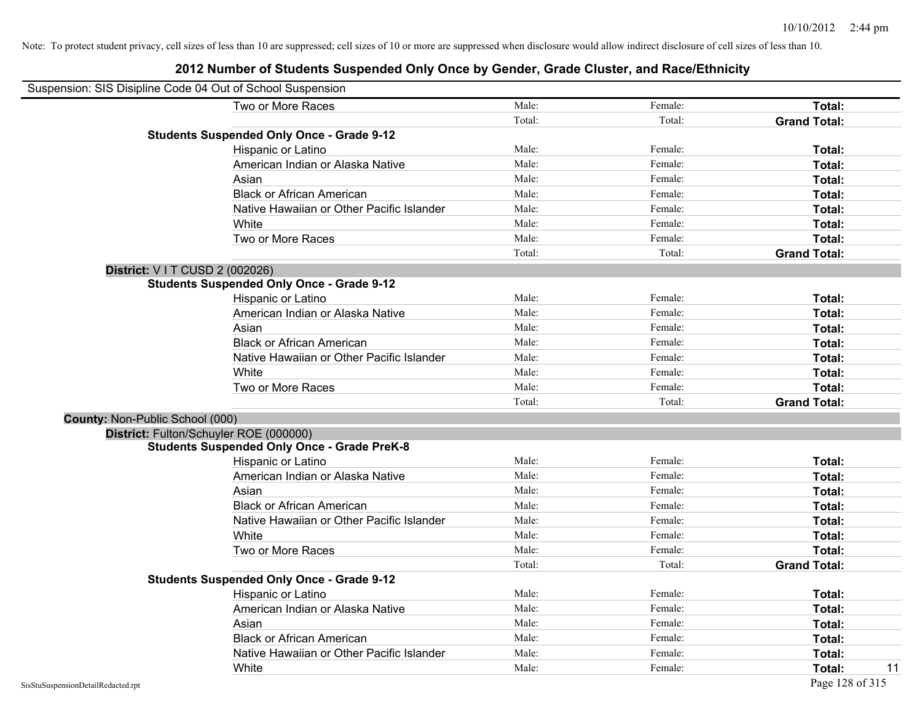| Suspension: SIS Disipline Code 04 Out of School Suspension |                                                    |        |         |                     |
|------------------------------------------------------------|----------------------------------------------------|--------|---------|---------------------|
|                                                            | Two or More Races                                  | Male:  | Female: | <b>Total:</b>       |
|                                                            |                                                    | Total: | Total:  | <b>Grand Total:</b> |
|                                                            | <b>Students Suspended Only Once - Grade 9-12</b>   |        |         |                     |
|                                                            | Hispanic or Latino                                 | Male:  | Female: | Total:              |
|                                                            | American Indian or Alaska Native                   | Male:  | Female: | Total:              |
|                                                            | Asian                                              | Male:  | Female: | Total:              |
|                                                            | <b>Black or African American</b>                   | Male:  | Female: | Total:              |
|                                                            | Native Hawaiian or Other Pacific Islander          | Male:  | Female: | Total:              |
|                                                            | White                                              | Male:  | Female: | Total:              |
|                                                            | Two or More Races                                  | Male:  | Female: | Total:              |
|                                                            |                                                    | Total: | Total:  | <b>Grand Total:</b> |
| <b>District: VIT CUSD 2 (002026)</b>                       |                                                    |        |         |                     |
|                                                            | <b>Students Suspended Only Once - Grade 9-12</b>   |        |         |                     |
|                                                            | Hispanic or Latino                                 | Male:  | Female: | Total:              |
|                                                            | American Indian or Alaska Native                   | Male:  | Female: | Total:              |
|                                                            | Asian                                              | Male:  | Female: | Total:              |
|                                                            | <b>Black or African American</b>                   | Male:  | Female: | Total:              |
|                                                            | Native Hawaiian or Other Pacific Islander          | Male:  | Female: | Total:              |
|                                                            | White                                              | Male:  | Female: | Total:              |
|                                                            | Two or More Races                                  | Male:  | Female: | Total:              |
|                                                            |                                                    | Total: | Total:  | <b>Grand Total:</b> |
| County: Non-Public School (000)                            |                                                    |        |         |                     |
|                                                            | District: Fulton/Schuyler ROE (000000)             |        |         |                     |
|                                                            | <b>Students Suspended Only Once - Grade PreK-8</b> |        |         |                     |
|                                                            | Hispanic or Latino                                 | Male:  | Female: | Total:              |
|                                                            | American Indian or Alaska Native                   | Male:  | Female: | Total:              |
|                                                            | Asian                                              | Male:  | Female: | Total:              |
|                                                            | <b>Black or African American</b>                   | Male:  | Female: | Total:              |
|                                                            | Native Hawaiian or Other Pacific Islander          | Male:  | Female: | Total:              |
|                                                            | White                                              | Male:  | Female: | Total:              |
|                                                            | Two or More Races                                  | Male:  | Female: | Total:              |
|                                                            |                                                    | Total: | Total:  | <b>Grand Total:</b> |
|                                                            | <b>Students Suspended Only Once - Grade 9-12</b>   |        |         |                     |
|                                                            | Hispanic or Latino                                 | Male:  | Female: | Total:              |
|                                                            | American Indian or Alaska Native                   | Male:  | Female: | Total:              |
|                                                            | Asian                                              | Male:  | Female: | Total:              |
|                                                            | <b>Black or African American</b>                   | Male:  | Female: | Total:              |
|                                                            | Native Hawaiian or Other Pacific Islander          | Male:  | Female: | Total:              |
|                                                            | White                                              | Male:  | Female: | Total:<br>11        |
| SisStuSuspensionDetailRedacted.rpt                         |                                                    |        |         | Page 128 of 315     |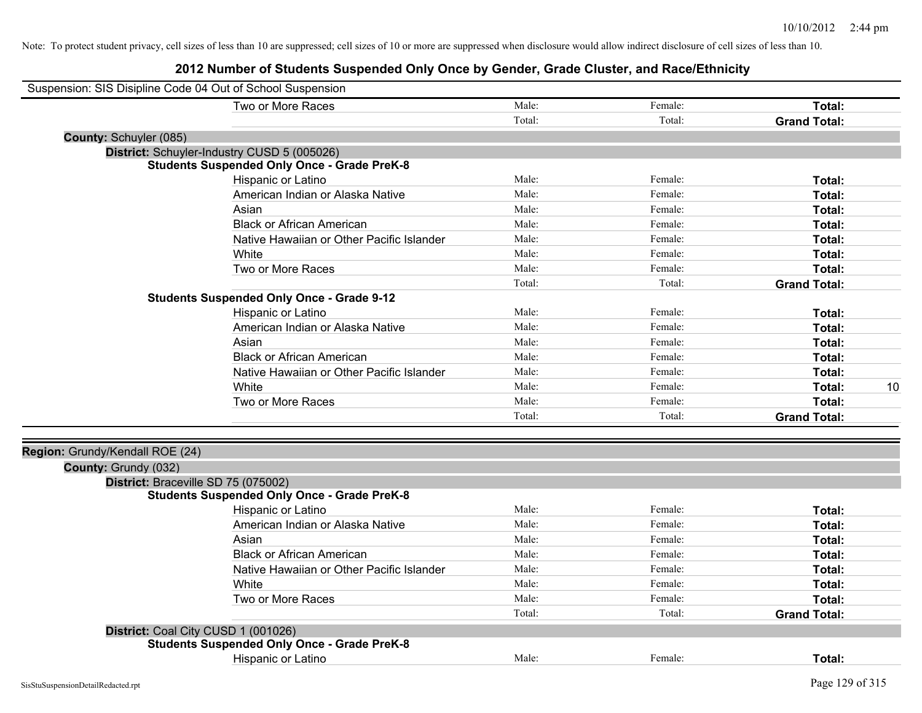| Suspension: SIS Disipline Code 04 Out of School Suspension |                                                    |        |         |                     |    |
|------------------------------------------------------------|----------------------------------------------------|--------|---------|---------------------|----|
|                                                            | Two or More Races                                  | Male:  | Female: | Total:              |    |
|                                                            |                                                    | Total: | Total:  | <b>Grand Total:</b> |    |
| <b>County: Schuyler (085)</b>                              |                                                    |        |         |                     |    |
|                                                            | District: Schuyler-Industry CUSD 5 (005026)        |        |         |                     |    |
|                                                            | <b>Students Suspended Only Once - Grade PreK-8</b> |        |         |                     |    |
|                                                            | Hispanic or Latino                                 | Male:  | Female: | Total:              |    |
|                                                            | American Indian or Alaska Native                   | Male:  | Female: | Total:              |    |
|                                                            | Asian                                              | Male:  | Female: | Total:              |    |
|                                                            | <b>Black or African American</b>                   | Male:  | Female: | Total:              |    |
|                                                            | Native Hawaiian or Other Pacific Islander          | Male:  | Female: | Total:              |    |
|                                                            | White                                              | Male:  | Female: | <b>Total:</b>       |    |
|                                                            | Two or More Races                                  | Male:  | Female: | <b>Total:</b>       |    |
|                                                            |                                                    | Total: | Total:  | <b>Grand Total:</b> |    |
|                                                            | <b>Students Suspended Only Once - Grade 9-12</b>   |        |         |                     |    |
|                                                            | Hispanic or Latino                                 | Male:  | Female: | Total:              |    |
|                                                            | American Indian or Alaska Native                   | Male:  | Female: | Total:              |    |
|                                                            | Asian                                              | Male:  | Female: | Total:              |    |
|                                                            | <b>Black or African American</b>                   | Male:  | Female: | Total:              |    |
|                                                            | Native Hawaiian or Other Pacific Islander          | Male:  | Female: | Total:              |    |
|                                                            | White                                              | Male:  | Female: | Total:              | 10 |
|                                                            | Two or More Races                                  | Male:  | Female: | <b>Total:</b>       |    |
|                                                            |                                                    | Total: | Total:  | <b>Grand Total:</b> |    |
|                                                            |                                                    |        |         |                     |    |
| Region: Grundy/Kendall ROE (24)                            |                                                    |        |         |                     |    |
| County: Grundy (032)                                       |                                                    |        |         |                     |    |
| District: Braceville SD 75 (075002)                        |                                                    |        |         |                     |    |
|                                                            | <b>Students Suspended Only Once - Grade PreK-8</b> |        |         |                     |    |
|                                                            | Hispanic or Latino                                 | Male:  | Female: | Total:              |    |
|                                                            | American Indian or Alaska Native                   | Male:  | Female: | Total:              |    |
|                                                            | Asian                                              | Male:  | Female: | Total:              |    |
|                                                            | <b>Black or African American</b>                   | Male:  | Female: | Total:              |    |
|                                                            | Native Hawaiian or Other Pacific Islander          | Male:  | Female: | <b>Total:</b>       |    |
|                                                            | White                                              | Male:  | Female: | Total:              |    |
|                                                            | Two or More Races                                  | Male:  | Female: | Total:              |    |
|                                                            |                                                    | Total: | Total:  | <b>Grand Total:</b> |    |
| District: Coal City CUSD 1 (001026)                        |                                                    |        |         |                     |    |
|                                                            | <b>Students Suspended Only Once - Grade PreK-8</b> |        |         |                     |    |
|                                                            | Hispanic or Latino                                 | Male:  | Female: | Total:              |    |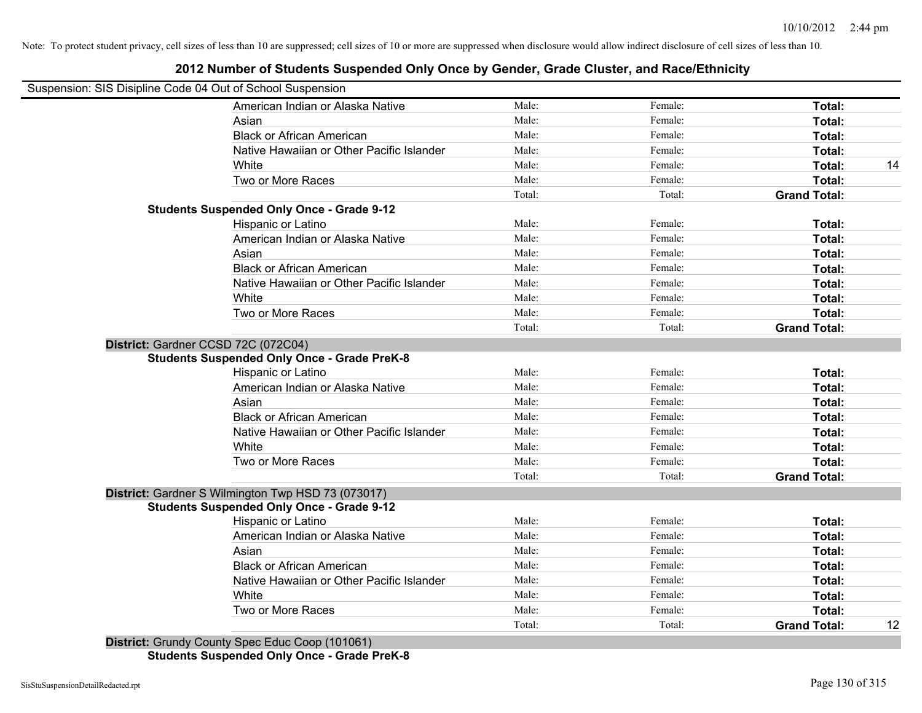## **2012 Number of Students Suspended Only Once by Gender, Grade Cluster, and Race/Ethnicity**

| Suspension: SIS Disipline Code 04 Out of School Suspension |        |         |                     |    |
|------------------------------------------------------------|--------|---------|---------------------|----|
| American Indian or Alaska Native                           | Male:  | Female: | Total:              |    |
| Asian                                                      | Male:  | Female: | Total:              |    |
| <b>Black or African American</b>                           | Male:  | Female: | Total:              |    |
| Native Hawaiian or Other Pacific Islander                  | Male:  | Female: | Total:              |    |
| White                                                      | Male:  | Female: | Total:              | 14 |
| Two or More Races                                          | Male:  | Female: | Total:              |    |
|                                                            | Total: | Total:  | <b>Grand Total:</b> |    |
| <b>Students Suspended Only Once - Grade 9-12</b>           |        |         |                     |    |
| Hispanic or Latino                                         | Male:  | Female: | Total:              |    |
| American Indian or Alaska Native                           | Male:  | Female: | Total:              |    |
| Asian                                                      | Male:  | Female: | Total:              |    |
| <b>Black or African American</b>                           | Male:  | Female: | Total:              |    |
| Native Hawaiian or Other Pacific Islander                  | Male:  | Female: | Total:              |    |
| White                                                      | Male:  | Female: | Total:              |    |
| Two or More Races                                          | Male:  | Female: | Total:              |    |
|                                                            | Total: | Total:  | <b>Grand Total:</b> |    |
| District: Gardner CCSD 72C (072C04)                        |        |         |                     |    |
| <b>Students Suspended Only Once - Grade PreK-8</b>         |        |         |                     |    |
| Hispanic or Latino                                         | Male:  | Female: | Total:              |    |
| American Indian or Alaska Native                           | Male:  | Female: | Total:              |    |
| Asian                                                      | Male:  | Female: | Total:              |    |
| <b>Black or African American</b>                           | Male:  | Female: | Total:              |    |
| Native Hawaiian or Other Pacific Islander                  | Male:  | Female: | Total:              |    |
| White                                                      | Male:  | Female: | Total:              |    |
| Two or More Races                                          | Male:  | Female: | Total:              |    |
|                                                            | Total: | Total:  | <b>Grand Total:</b> |    |
| District: Gardner S Wilmington Twp HSD 73 (073017)         |        |         |                     |    |
| <b>Students Suspended Only Once - Grade 9-12</b>           |        |         |                     |    |
| Hispanic or Latino                                         | Male:  | Female: | Total:              |    |
| American Indian or Alaska Native                           | Male:  | Female: | Total:              |    |
| Asian                                                      | Male:  | Female: | Total:              |    |
| <b>Black or African American</b>                           | Male:  | Female: | Total:              |    |
| Native Hawaiian or Other Pacific Islander                  | Male:  | Female: | Total:              |    |
| White                                                      | Male:  | Female: | Total:              |    |
| Two or More Races                                          | Male:  | Female: | Total:              |    |
|                                                            | Total: | Total:  | <b>Grand Total:</b> | 12 |

**Students Suspended Only Once - Grade PreK-8**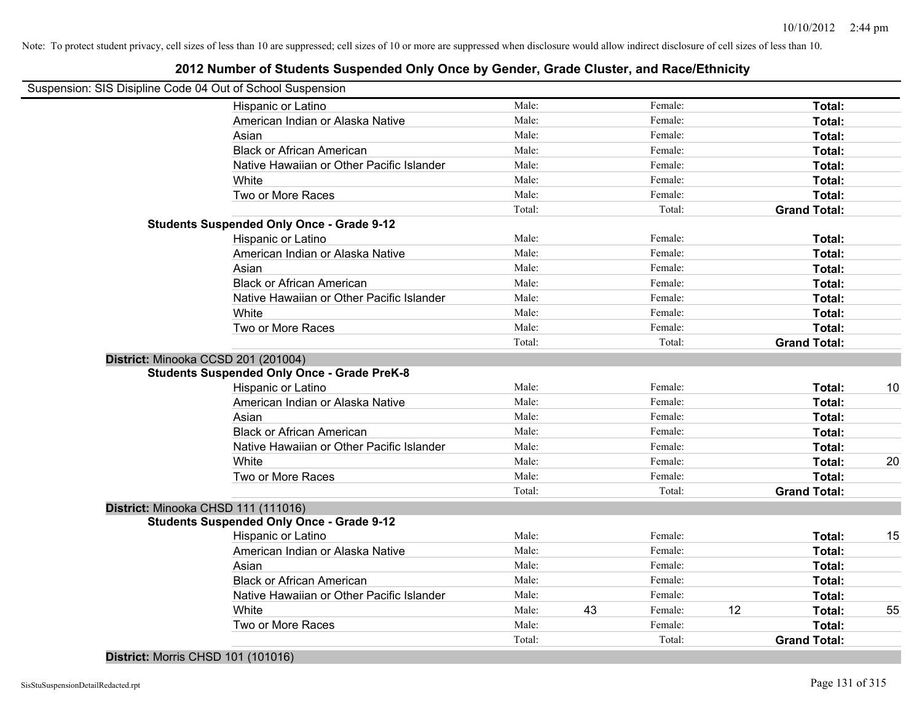## **2012 Number of Students Suspended Only Once by Gender, Grade Cluster, and Race/Ethnicity**

| Suspension: SIS Disipline Code 04 Out of School Suspension |                                                    |        |    |         |    |                     |    |
|------------------------------------------------------------|----------------------------------------------------|--------|----|---------|----|---------------------|----|
|                                                            | Hispanic or Latino                                 | Male:  |    | Female: |    | Total:              |    |
|                                                            | American Indian or Alaska Native                   | Male:  |    | Female: |    | Total:              |    |
|                                                            | Asian                                              | Male:  |    | Female: |    | Total:              |    |
|                                                            | <b>Black or African American</b>                   | Male:  |    | Female: |    | Total:              |    |
|                                                            | Native Hawaiian or Other Pacific Islander          | Male:  |    | Female: |    | Total:              |    |
|                                                            | White                                              | Male:  |    | Female: |    | Total:              |    |
|                                                            | Two or More Races                                  | Male:  |    | Female: |    | Total:              |    |
|                                                            |                                                    | Total: |    | Total:  |    | <b>Grand Total:</b> |    |
|                                                            | <b>Students Suspended Only Once - Grade 9-12</b>   |        |    |         |    |                     |    |
|                                                            | Hispanic or Latino                                 | Male:  |    | Female: |    | Total:              |    |
|                                                            | American Indian or Alaska Native                   | Male:  |    | Female: |    | Total:              |    |
|                                                            | Asian                                              | Male:  |    | Female: |    | Total:              |    |
|                                                            | <b>Black or African American</b>                   | Male:  |    | Female: |    | Total:              |    |
|                                                            | Native Hawaiian or Other Pacific Islander          | Male:  |    | Female: |    | Total:              |    |
|                                                            | White                                              | Male:  |    | Female: |    | Total:              |    |
|                                                            | Two or More Races                                  | Male:  |    | Female: |    | Total:              |    |
|                                                            |                                                    | Total: |    | Total:  |    | <b>Grand Total:</b> |    |
|                                                            | District: Minooka CCSD 201 (201004)                |        |    |         |    |                     |    |
|                                                            | <b>Students Suspended Only Once - Grade PreK-8</b> |        |    |         |    |                     |    |
|                                                            | Hispanic or Latino                                 | Male:  |    | Female: |    | Total:              | 10 |
|                                                            | American Indian or Alaska Native                   | Male:  |    | Female: |    | Total:              |    |
|                                                            | Asian                                              | Male:  |    | Female: |    | Total:              |    |
|                                                            | <b>Black or African American</b>                   | Male:  |    | Female: |    | Total:              |    |
|                                                            | Native Hawaiian or Other Pacific Islander          | Male:  |    | Female: |    | Total:              |    |
|                                                            | White                                              | Male:  |    | Female: |    | Total:              | 20 |
|                                                            | Two or More Races                                  | Male:  |    | Female: |    | Total:              |    |
|                                                            |                                                    | Total: |    | Total:  |    | <b>Grand Total:</b> |    |
|                                                            | District: Minooka CHSD 111 (111016)                |        |    |         |    |                     |    |
|                                                            | <b>Students Suspended Only Once - Grade 9-12</b>   |        |    |         |    |                     |    |
|                                                            | Hispanic or Latino                                 | Male:  |    | Female: |    | Total:              | 15 |
|                                                            | American Indian or Alaska Native                   | Male:  |    | Female: |    | Total:              |    |
|                                                            | Asian                                              | Male:  |    | Female: |    | Total:              |    |
|                                                            | <b>Black or African American</b>                   | Male:  |    | Female: |    | Total:              |    |
|                                                            | Native Hawaiian or Other Pacific Islander          | Male:  |    | Female: |    | Total:              |    |
|                                                            | White                                              | Male:  | 43 | Female: | 12 | Total:              | 55 |
|                                                            | Two or More Races                                  | Male:  |    | Female: |    | Total:              |    |
|                                                            |                                                    | Total: |    | Total:  |    | <b>Grand Total:</b> |    |

## **District:** Morris CHSD 101 (101016)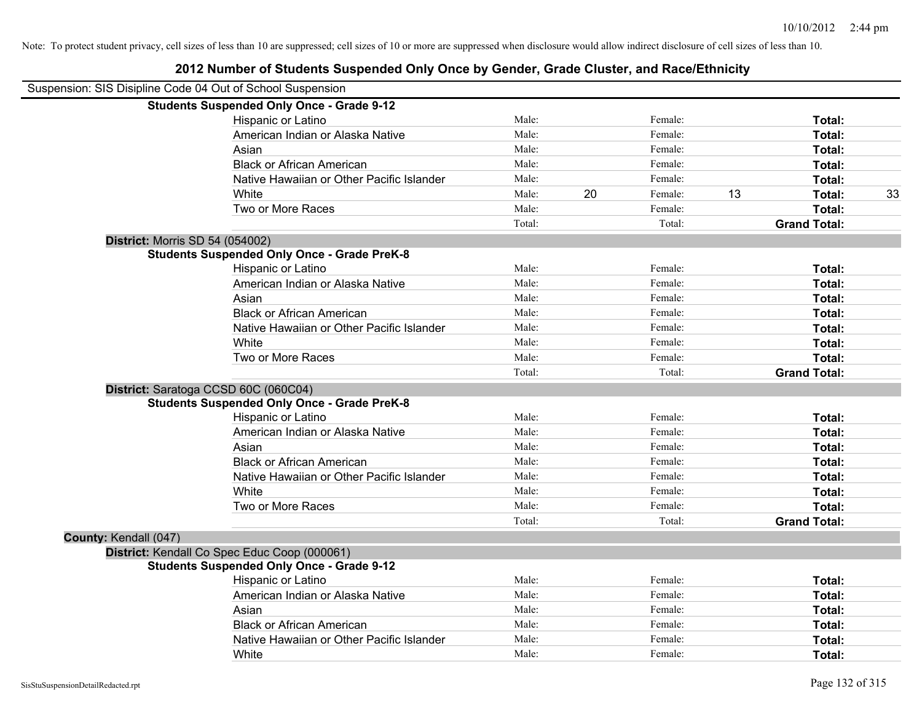|                       | Suspension: SIS Disipline Code 04 Out of School Suspension |        |    |         |    |                     |    |
|-----------------------|------------------------------------------------------------|--------|----|---------|----|---------------------|----|
|                       | <b>Students Suspended Only Once - Grade 9-12</b>           |        |    |         |    |                     |    |
|                       | Hispanic or Latino                                         | Male:  |    | Female: |    | Total:              |    |
|                       | American Indian or Alaska Native                           | Male:  |    | Female: |    | Total:              |    |
|                       | Asian                                                      | Male:  |    | Female: |    | Total:              |    |
|                       | <b>Black or African American</b>                           | Male:  |    | Female: |    | Total:              |    |
|                       | Native Hawaiian or Other Pacific Islander                  | Male:  |    | Female: |    | Total:              |    |
|                       | White                                                      | Male:  | 20 | Female: | 13 | Total:              | 33 |
|                       | Two or More Races                                          | Male:  |    | Female: |    | Total:              |    |
|                       |                                                            | Total: |    | Total:  |    | <b>Grand Total:</b> |    |
|                       | <b>District: Morris SD 54 (054002)</b>                     |        |    |         |    |                     |    |
|                       | <b>Students Suspended Only Once - Grade PreK-8</b>         |        |    |         |    |                     |    |
|                       | Hispanic or Latino                                         | Male:  |    | Female: |    | Total:              |    |
|                       | American Indian or Alaska Native                           | Male:  |    | Female: |    | Total:              |    |
|                       | Asian                                                      | Male:  |    | Female: |    | Total:              |    |
|                       | <b>Black or African American</b>                           | Male:  |    | Female: |    | Total:              |    |
|                       | Native Hawaiian or Other Pacific Islander                  | Male:  |    | Female: |    | <b>Total:</b>       |    |
|                       | White                                                      | Male:  |    | Female: |    | Total:              |    |
|                       | Two or More Races                                          | Male:  |    | Female: |    | Total:              |    |
|                       |                                                            | Total: |    | Total:  |    | <b>Grand Total:</b> |    |
|                       | District: Saratoga CCSD 60C (060C04)                       |        |    |         |    |                     |    |
|                       | <b>Students Suspended Only Once - Grade PreK-8</b>         |        |    |         |    |                     |    |
|                       | Hispanic or Latino                                         | Male:  |    | Female: |    | Total:              |    |
|                       | American Indian or Alaska Native                           | Male:  |    | Female: |    | Total:              |    |
|                       | Asian                                                      | Male:  |    | Female: |    | Total:              |    |
|                       | <b>Black or African American</b>                           | Male:  |    | Female: |    | Total:              |    |
|                       | Native Hawaiian or Other Pacific Islander                  | Male:  |    | Female: |    | Total:              |    |
|                       | White                                                      | Male:  |    | Female: |    | Total:              |    |
|                       | Two or More Races                                          | Male:  |    | Female: |    | Total:              |    |
|                       |                                                            | Total: |    | Total:  |    | <b>Grand Total:</b> |    |
| County: Kendall (047) |                                                            |        |    |         |    |                     |    |
|                       | District: Kendall Co Spec Educ Coop (000061)               |        |    |         |    |                     |    |
|                       | <b>Students Suspended Only Once - Grade 9-12</b>           |        |    |         |    |                     |    |
|                       | Hispanic or Latino                                         | Male:  |    | Female: |    | Total:              |    |
|                       | American Indian or Alaska Native                           | Male:  |    | Female: |    | Total:              |    |
|                       | Asian                                                      | Male:  |    | Female: |    | Total:              |    |
|                       | <b>Black or African American</b>                           | Male:  |    | Female: |    | Total:              |    |
|                       | Native Hawaiian or Other Pacific Islander                  | Male:  |    | Female: |    | Total:              |    |
|                       | White                                                      | Male:  |    | Female: |    | Total:              |    |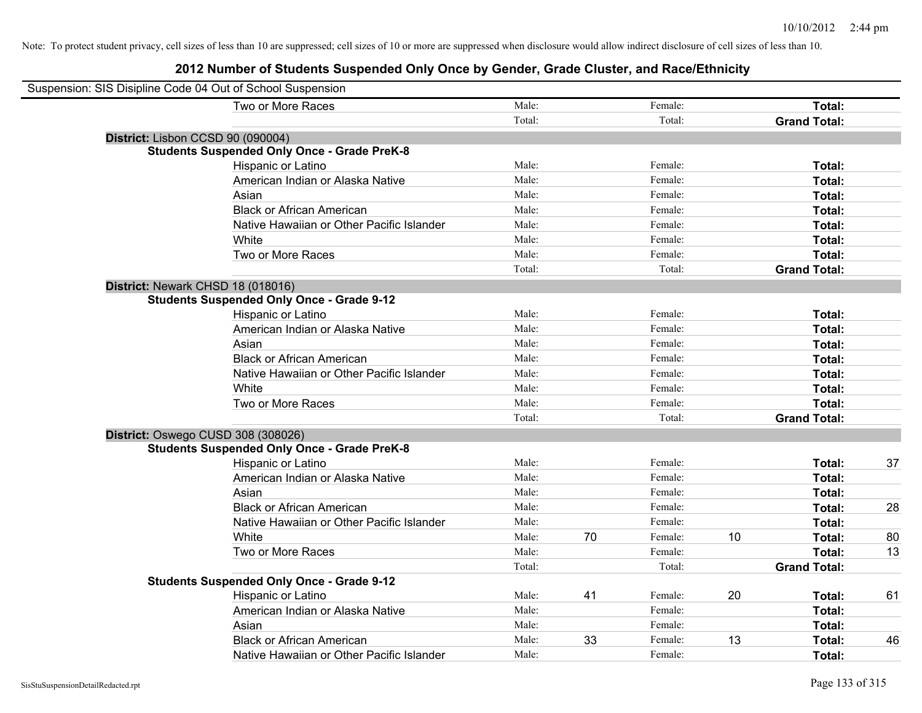| Suspension: SIS Disipline Code 04 Out of School Suspension |                                                    |        |    |         |    |                     |    |
|------------------------------------------------------------|----------------------------------------------------|--------|----|---------|----|---------------------|----|
|                                                            | Two or More Races                                  | Male:  |    | Female: |    | Total:              |    |
|                                                            |                                                    | Total: |    | Total:  |    | <b>Grand Total:</b> |    |
| District: Lisbon CCSD 90 (090004)                          |                                                    |        |    |         |    |                     |    |
|                                                            | <b>Students Suspended Only Once - Grade PreK-8</b> |        |    |         |    |                     |    |
|                                                            | Hispanic or Latino                                 | Male:  |    | Female: |    | Total:              |    |
|                                                            | American Indian or Alaska Native                   | Male:  |    | Female: |    | Total:              |    |
|                                                            | Asian                                              | Male:  |    | Female: |    | Total:              |    |
|                                                            | <b>Black or African American</b>                   | Male:  |    | Female: |    | Total:              |    |
|                                                            | Native Hawaiian or Other Pacific Islander          | Male:  |    | Female: |    | Total:              |    |
|                                                            | White                                              | Male:  |    | Female: |    | Total:              |    |
|                                                            | Two or More Races                                  | Male:  |    | Female: |    | Total:              |    |
|                                                            |                                                    | Total: |    | Total:  |    | <b>Grand Total:</b> |    |
| District: Newark CHSD 18 (018016)                          |                                                    |        |    |         |    |                     |    |
|                                                            | <b>Students Suspended Only Once - Grade 9-12</b>   |        |    |         |    |                     |    |
|                                                            | Hispanic or Latino                                 | Male:  |    | Female: |    | Total:              |    |
|                                                            | American Indian or Alaska Native                   | Male:  |    | Female: |    | Total:              |    |
|                                                            | Asian                                              | Male:  |    | Female: |    | Total:              |    |
|                                                            | <b>Black or African American</b>                   | Male:  |    | Female: |    | Total:              |    |
|                                                            | Native Hawaiian or Other Pacific Islander          | Male:  |    | Female: |    | Total:              |    |
|                                                            | White                                              | Male:  |    | Female: |    | Total:              |    |
|                                                            | Two or More Races                                  | Male:  |    | Female: |    | Total:              |    |
|                                                            |                                                    | Total: |    | Total:  |    | <b>Grand Total:</b> |    |
| District: Oswego CUSD 308 (308026)                         |                                                    |        |    |         |    |                     |    |
|                                                            | <b>Students Suspended Only Once - Grade PreK-8</b> |        |    |         |    |                     |    |
|                                                            | Hispanic or Latino                                 | Male:  |    | Female: |    | Total:              | 37 |
|                                                            | American Indian or Alaska Native                   | Male:  |    | Female: |    | <b>Total:</b>       |    |
|                                                            | Asian                                              | Male:  |    | Female: |    | Total:              |    |
|                                                            | <b>Black or African American</b>                   | Male:  |    | Female: |    | Total:              | 28 |
|                                                            | Native Hawaiian or Other Pacific Islander          | Male:  |    | Female: |    | Total:              |    |
|                                                            | White                                              | Male:  | 70 | Female: | 10 | Total:              | 80 |
|                                                            | Two or More Races                                  | Male:  |    | Female: |    | Total:              | 13 |
|                                                            |                                                    | Total: |    | Total:  |    | <b>Grand Total:</b> |    |
|                                                            | <b>Students Suspended Only Once - Grade 9-12</b>   |        |    |         |    |                     |    |
|                                                            | Hispanic or Latino                                 | Male:  | 41 | Female: | 20 | Total:              | 61 |
|                                                            | American Indian or Alaska Native                   | Male:  |    | Female: |    | Total:              |    |
|                                                            | Asian                                              | Male:  |    | Female: |    | Total:              |    |
|                                                            | <b>Black or African American</b>                   | Male:  | 33 | Female: | 13 | Total:              | 46 |
|                                                            | Native Hawaiian or Other Pacific Islander          | Male:  |    | Female: |    | Total:              |    |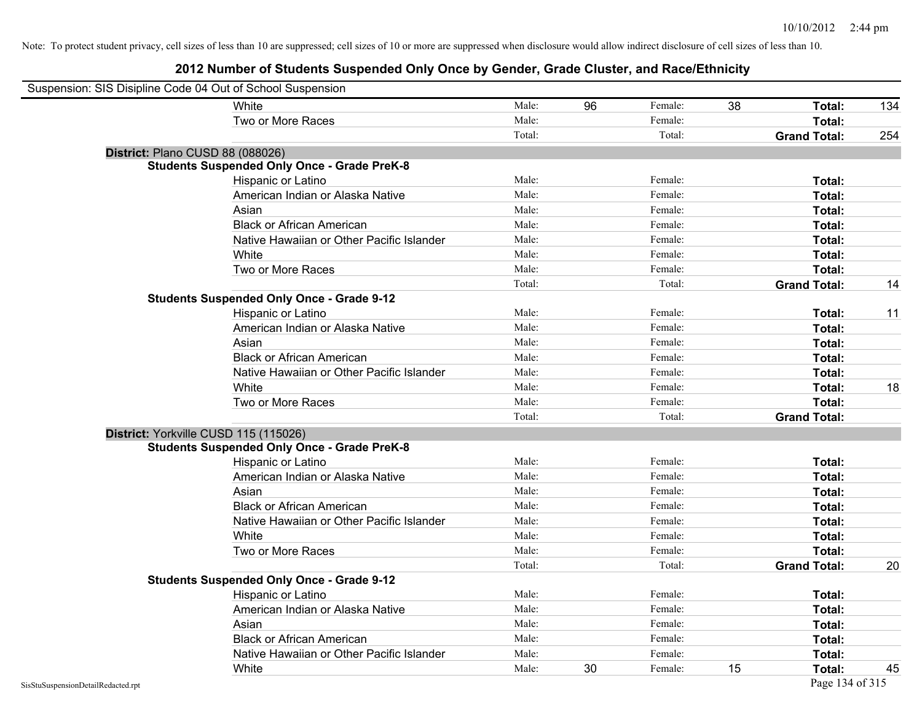| Suspension: SIS Disipline Code 04 Out of School Suspension |                                                    |        |    |         |    |                     |     |
|------------------------------------------------------------|----------------------------------------------------|--------|----|---------|----|---------------------|-----|
|                                                            | White                                              | Male:  | 96 | Female: | 38 | Total:              | 134 |
|                                                            | Two or More Races                                  | Male:  |    | Female: |    | Total:              |     |
|                                                            |                                                    | Total: |    | Total:  |    | <b>Grand Total:</b> | 254 |
| District: Plano CUSD 88 (088026)                           |                                                    |        |    |         |    |                     |     |
|                                                            | <b>Students Suspended Only Once - Grade PreK-8</b> |        |    |         |    |                     |     |
|                                                            | Hispanic or Latino                                 | Male:  |    | Female: |    | Total:              |     |
|                                                            | American Indian or Alaska Native                   | Male:  |    | Female: |    | Total:              |     |
|                                                            | Asian                                              | Male:  |    | Female: |    | Total:              |     |
|                                                            | <b>Black or African American</b>                   | Male:  |    | Female: |    | Total:              |     |
|                                                            | Native Hawaiian or Other Pacific Islander          | Male:  |    | Female: |    | Total:              |     |
|                                                            | White                                              | Male:  |    | Female: |    | Total:              |     |
|                                                            | Two or More Races                                  | Male:  |    | Female: |    | Total:              |     |
|                                                            |                                                    | Total: |    | Total:  |    | <b>Grand Total:</b> | 14  |
|                                                            | <b>Students Suspended Only Once - Grade 9-12</b>   |        |    |         |    |                     |     |
|                                                            | Hispanic or Latino                                 | Male:  |    | Female: |    | Total:              | 11  |
|                                                            | American Indian or Alaska Native                   | Male:  |    | Female: |    | Total:              |     |
|                                                            | Asian                                              | Male:  |    | Female: |    | Total:              |     |
|                                                            | <b>Black or African American</b>                   | Male:  |    | Female: |    | Total:              |     |
|                                                            | Native Hawaiian or Other Pacific Islander          | Male:  |    | Female: |    | Total:              |     |
|                                                            | White                                              | Male:  |    | Female: |    | Total:              | 18  |
|                                                            | Two or More Races                                  | Male:  |    | Female: |    | Total:              |     |
|                                                            |                                                    | Total: |    | Total:  |    | <b>Grand Total:</b> |     |
| District: Yorkville CUSD 115 (115026)                      |                                                    |        |    |         |    |                     |     |
|                                                            | <b>Students Suspended Only Once - Grade PreK-8</b> |        |    |         |    |                     |     |
|                                                            | Hispanic or Latino                                 | Male:  |    | Female: |    | Total:              |     |
|                                                            | American Indian or Alaska Native                   | Male:  |    | Female: |    | Total:              |     |
|                                                            | Asian                                              | Male:  |    | Female: |    | Total:              |     |
|                                                            | <b>Black or African American</b>                   | Male:  |    | Female: |    | Total:              |     |
|                                                            | Native Hawaiian or Other Pacific Islander          | Male:  |    | Female: |    | Total:              |     |
|                                                            | White                                              | Male:  |    | Female: |    | Total:              |     |
|                                                            | Two or More Races                                  | Male:  |    | Female: |    | Total:              |     |
|                                                            |                                                    | Total: |    | Total:  |    | <b>Grand Total:</b> | 20  |
|                                                            | <b>Students Suspended Only Once - Grade 9-12</b>   |        |    |         |    |                     |     |
|                                                            | Hispanic or Latino                                 | Male:  |    | Female: |    | Total:              |     |
|                                                            | American Indian or Alaska Native                   | Male:  |    | Female: |    | Total:              |     |
|                                                            | Asian                                              | Male:  |    | Female: |    | Total:              |     |
|                                                            | <b>Black or African American</b>                   | Male:  |    | Female: |    | Total:              |     |
|                                                            | Native Hawaiian or Other Pacific Islander          | Male:  |    | Female: |    | Total:              |     |
|                                                            | White                                              | Male:  | 30 | Female: | 15 | Total:              | 45  |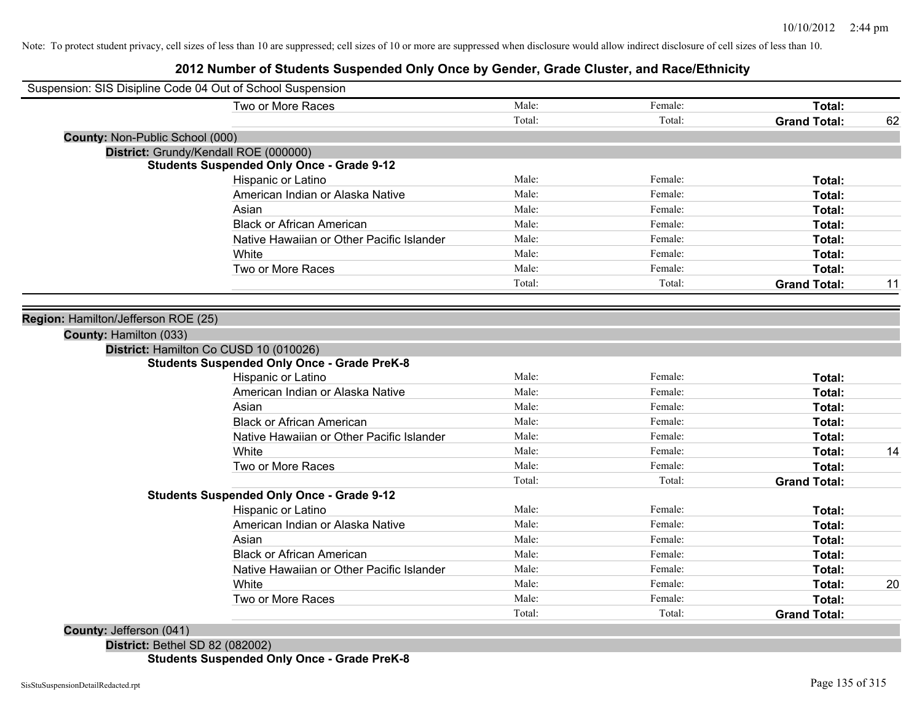## **2012 Number of Students Suspended Only Once by Gender, Grade Cluster, and Race/Ethnicity**

| Two or More Races                                  | Male:  | Female: | Total:              |    |
|----------------------------------------------------|--------|---------|---------------------|----|
|                                                    | Total: | Total:  | <b>Grand Total:</b> | 62 |
| County: Non-Public School (000)                    |        |         |                     |    |
| District: Grundy/Kendall ROE (000000)              |        |         |                     |    |
| <b>Students Suspended Only Once - Grade 9-12</b>   |        |         |                     |    |
| Hispanic or Latino                                 | Male:  | Female: | Total:              |    |
| American Indian or Alaska Native                   | Male:  | Female: | Total:              |    |
| Asian                                              | Male:  | Female: | Total:              |    |
| <b>Black or African American</b>                   | Male:  | Female: | Total:              |    |
| Native Hawaiian or Other Pacific Islander          | Male:  | Female: | Total:              |    |
| White                                              | Male:  | Female: | Total:              |    |
| Two or More Races                                  | Male:  | Female: | <b>Total:</b>       |    |
|                                                    | Total: | Total:  | <b>Grand Total:</b> | 11 |
|                                                    |        |         |                     |    |
| Region: Hamilton/Jefferson ROE (25)                |        |         |                     |    |
| County: Hamilton (033)                             |        |         |                     |    |
| District: Hamilton Co CUSD 10 (010026)             |        |         |                     |    |
| <b>Students Suspended Only Once - Grade PreK-8</b> |        |         |                     |    |
| Hispanic or Latino                                 | Male:  | Female: | Total:              |    |
| American Indian or Alaska Native                   | Male:  | Female: | Total:              |    |
| Asian                                              | Male:  | Female: | Total:              |    |
| <b>Black or African American</b>                   | Male:  | Female: | Total:              |    |
| Native Hawaiian or Other Pacific Islander          | Male:  | Female: | Total:              |    |
| White                                              | Male:  | Female: | Total:              | 14 |
| Two or More Races                                  | Male:  | Female: | Total:              |    |
|                                                    | Total: | Total:  | <b>Grand Total:</b> |    |
| <b>Students Suspended Only Once - Grade 9-12</b>   |        |         |                     |    |
| Hispanic or Latino                                 | Male:  | Female: | Total:              |    |
| American Indian or Alaska Native                   | Male:  | Female: | Total:              |    |
| Asian                                              | Male:  | Female: | Total:              |    |
| <b>Black or African American</b>                   | Male:  | Female: | Total:              |    |
| Native Hawaiian or Other Pacific Islander          | Male:  | Female: | Total:              |    |
| White                                              | Male:  | Female: | Total:              | 20 |
|                                                    |        |         |                     |    |
| Two or More Races                                  | Male:  | Female: | Total:              |    |

**District:** Bethel SD 82 (082002) **Students Suspended Only Once - Grade PreK-8**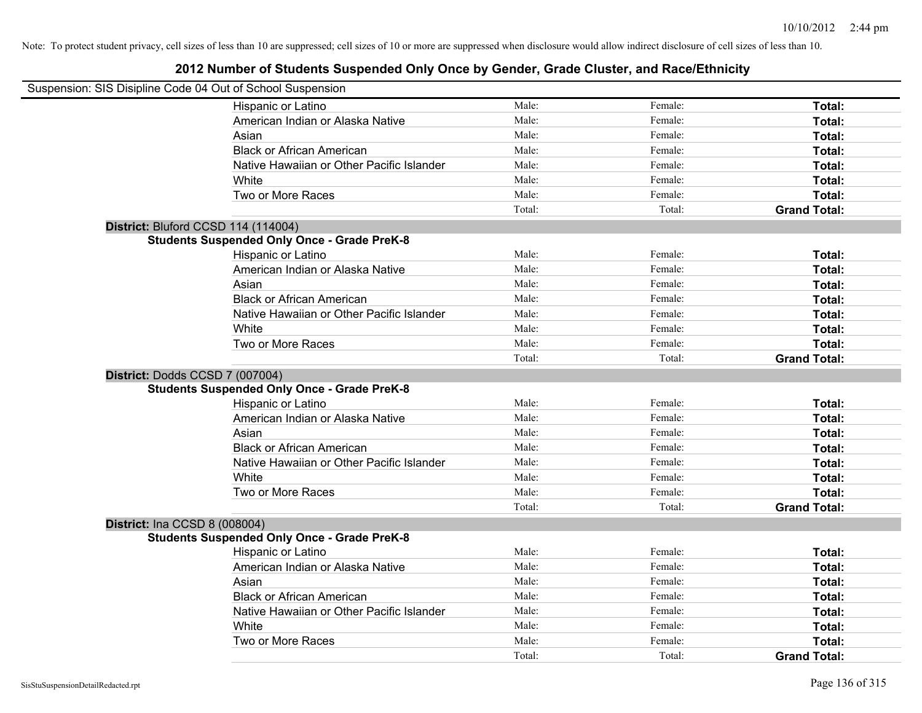|                                      | Suspension: SIS Disipline Code 04 Out of School Suspension |        |         |                     |
|--------------------------------------|------------------------------------------------------------|--------|---------|---------------------|
|                                      | Hispanic or Latino                                         | Male:  | Female: | Total:              |
|                                      | American Indian or Alaska Native                           | Male:  | Female: | Total:              |
|                                      | Asian                                                      | Male:  | Female: | Total:              |
|                                      | <b>Black or African American</b>                           | Male:  | Female: | Total:              |
|                                      | Native Hawaiian or Other Pacific Islander                  | Male:  | Female: | Total:              |
|                                      | White                                                      | Male:  | Female: | Total:              |
|                                      | Two or More Races                                          | Male:  | Female: | Total:              |
|                                      |                                                            | Total: | Total:  | <b>Grand Total:</b> |
|                                      | District: Bluford CCSD 114 (114004)                        |        |         |                     |
|                                      | <b>Students Suspended Only Once - Grade PreK-8</b>         |        |         |                     |
|                                      | Hispanic or Latino                                         | Male:  | Female: | Total:              |
|                                      | American Indian or Alaska Native                           | Male:  | Female: | Total:              |
|                                      | Asian                                                      | Male:  | Female: | Total:              |
|                                      | <b>Black or African American</b>                           | Male:  | Female: | Total:              |
|                                      | Native Hawaiian or Other Pacific Islander                  | Male:  | Female: | Total:              |
|                                      | White                                                      | Male:  | Female: | Total:              |
|                                      | Two or More Races                                          | Male:  | Female: | Total:              |
|                                      |                                                            | Total: | Total:  | <b>Grand Total:</b> |
|                                      | District: Dodds CCSD 7 (007004)                            |        |         |                     |
|                                      | <b>Students Suspended Only Once - Grade PreK-8</b>         |        |         |                     |
|                                      | Hispanic or Latino                                         | Male:  | Female: | Total:              |
|                                      | American Indian or Alaska Native                           | Male:  | Female: | Total:              |
|                                      | Asian                                                      | Male:  | Female: | Total:              |
|                                      | <b>Black or African American</b>                           | Male:  | Female: | Total:              |
|                                      | Native Hawaiian or Other Pacific Islander                  | Male:  | Female: | Total:              |
|                                      | White                                                      | Male:  | Female: | Total:              |
|                                      | Two or More Races                                          | Male:  | Female: | Total:              |
|                                      |                                                            | Total: | Total:  | <b>Grand Total:</b> |
| <b>District: Ina CCSD 8 (008004)</b> |                                                            |        |         |                     |
|                                      | <b>Students Suspended Only Once - Grade PreK-8</b>         |        |         |                     |
|                                      | Hispanic or Latino                                         | Male:  | Female: | Total:              |
|                                      | American Indian or Alaska Native                           | Male:  | Female: | Total:              |
|                                      | Asian                                                      | Male:  | Female: | Total:              |
|                                      | <b>Black or African American</b>                           | Male:  | Female: | Total:              |
|                                      | Native Hawaiian or Other Pacific Islander                  | Male:  | Female: | Total:              |
|                                      | White                                                      | Male:  | Female: | Total:              |
|                                      | Two or More Races                                          | Male:  | Female: | <b>Total:</b>       |
|                                      |                                                            | Total: | Total:  | <b>Grand Total:</b> |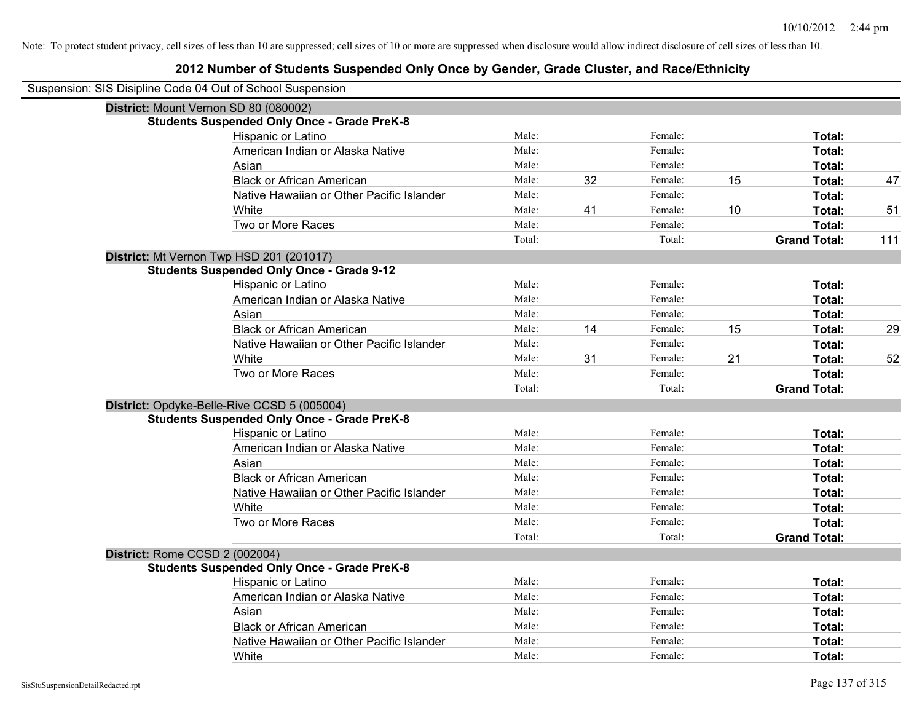| Suspension: SIS Disipline Code 04 Out of School Suspension |                                                    |        |    |         |    |                     |     |
|------------------------------------------------------------|----------------------------------------------------|--------|----|---------|----|---------------------|-----|
|                                                            | District: Mount Vernon SD 80 (080002)              |        |    |         |    |                     |     |
|                                                            | <b>Students Suspended Only Once - Grade PreK-8</b> |        |    |         |    |                     |     |
|                                                            | Hispanic or Latino                                 | Male:  |    | Female: |    | Total:              |     |
|                                                            | American Indian or Alaska Native                   | Male:  |    | Female: |    | <b>Total:</b>       |     |
|                                                            | Asian                                              | Male:  |    | Female: |    | Total:              |     |
|                                                            | <b>Black or African American</b>                   | Male:  | 32 | Female: | 15 | Total:              | 47  |
|                                                            | Native Hawaiian or Other Pacific Islander          | Male:  |    | Female: |    | Total:              |     |
|                                                            | White                                              | Male:  | 41 | Female: | 10 | Total:              | 51  |
|                                                            | Two or More Races                                  | Male:  |    | Female: |    | Total:              |     |
|                                                            |                                                    | Total: |    | Total:  |    | <b>Grand Total:</b> | 111 |
|                                                            | District: Mt Vernon Twp HSD 201 (201017)           |        |    |         |    |                     |     |
|                                                            | <b>Students Suspended Only Once - Grade 9-12</b>   |        |    |         |    |                     |     |
|                                                            | Hispanic or Latino                                 | Male:  |    | Female: |    | Total:              |     |
|                                                            | American Indian or Alaska Native                   | Male:  |    | Female: |    | Total:              |     |
|                                                            | Asian                                              | Male:  |    | Female: |    | Total:              |     |
|                                                            | <b>Black or African American</b>                   | Male:  | 14 | Female: | 15 | Total:              | 29  |
|                                                            | Native Hawaiian or Other Pacific Islander          | Male:  |    | Female: |    | Total:              |     |
|                                                            | White                                              | Male:  | 31 | Female: | 21 | Total:              | 52  |
|                                                            | Two or More Races                                  | Male:  |    | Female: |    | Total:              |     |
|                                                            |                                                    | Total: |    | Total:  |    | <b>Grand Total:</b> |     |
|                                                            | District: Opdyke-Belle-Rive CCSD 5 (005004)        |        |    |         |    |                     |     |
|                                                            | <b>Students Suspended Only Once - Grade PreK-8</b> |        |    |         |    |                     |     |
|                                                            | Hispanic or Latino                                 | Male:  |    | Female: |    | Total:              |     |
|                                                            | American Indian or Alaska Native                   | Male:  |    | Female: |    | Total:              |     |
|                                                            | Asian                                              | Male:  |    | Female: |    | Total:              |     |
|                                                            | <b>Black or African American</b>                   | Male:  |    | Female: |    | <b>Total:</b>       |     |
|                                                            | Native Hawaiian or Other Pacific Islander          | Male:  |    | Female: |    | Total:              |     |
|                                                            | White                                              | Male:  |    | Female: |    | Total:              |     |
|                                                            | Two or More Races                                  | Male:  |    | Female: |    | Total:              |     |
|                                                            |                                                    | Total: |    | Total:  |    | <b>Grand Total:</b> |     |
| District: Rome CCSD 2 (002004)                             |                                                    |        |    |         |    |                     |     |
|                                                            | <b>Students Suspended Only Once - Grade PreK-8</b> |        |    |         |    |                     |     |
|                                                            | Hispanic or Latino                                 | Male:  |    | Female: |    | Total:              |     |
|                                                            | American Indian or Alaska Native                   | Male:  |    | Female: |    | Total:              |     |
|                                                            | Asian                                              | Male:  |    | Female: |    | Total:              |     |
|                                                            | <b>Black or African American</b>                   | Male:  |    | Female: |    | Total:              |     |
|                                                            | Native Hawaiian or Other Pacific Islander          | Male:  |    | Female: |    | Total:              |     |
|                                                            | White                                              | Male:  |    | Female: |    | Total:              |     |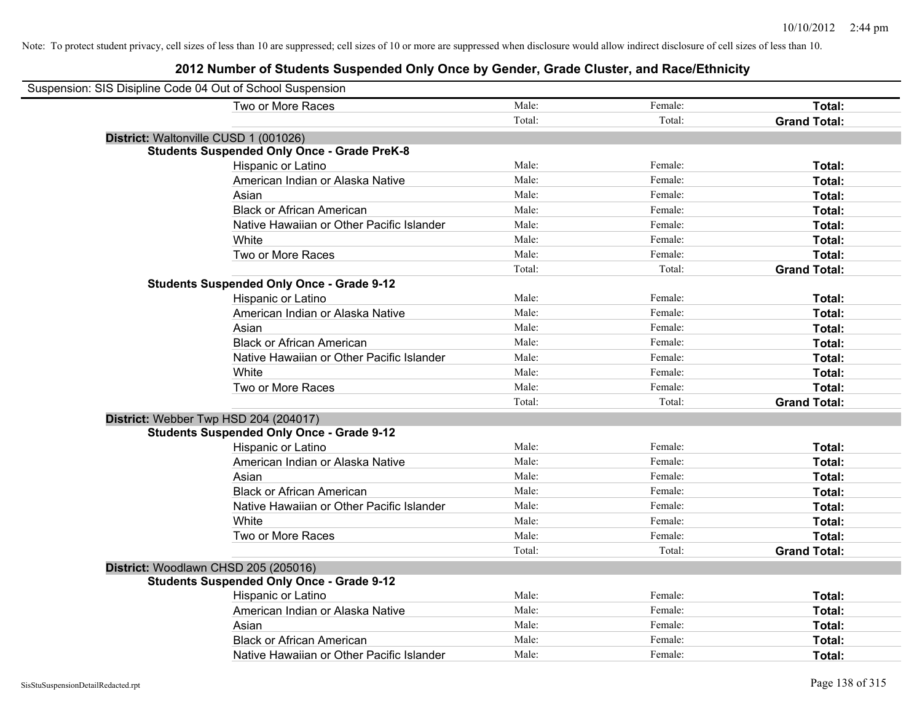| Suspension: SIS Disipline Code 04 Out of School Suspension |                                                    |        |         |                     |
|------------------------------------------------------------|----------------------------------------------------|--------|---------|---------------------|
|                                                            | Two or More Races                                  | Male:  | Female: | Total:              |
|                                                            |                                                    | Total: | Total:  | <b>Grand Total:</b> |
| District: Waltonville CUSD 1 (001026)                      |                                                    |        |         |                     |
|                                                            | <b>Students Suspended Only Once - Grade PreK-8</b> |        |         |                     |
|                                                            | Hispanic or Latino                                 | Male:  | Female: | Total:              |
|                                                            | American Indian or Alaska Native                   | Male:  | Female: | Total:              |
|                                                            | Asian                                              | Male:  | Female: | Total:              |
|                                                            | <b>Black or African American</b>                   | Male:  | Female: | Total:              |
|                                                            | Native Hawaiian or Other Pacific Islander          | Male:  | Female: | Total:              |
|                                                            | White                                              | Male:  | Female: | Total:              |
|                                                            | Two or More Races                                  | Male:  | Female: | Total:              |
|                                                            |                                                    | Total: | Total:  | <b>Grand Total:</b> |
|                                                            | <b>Students Suspended Only Once - Grade 9-12</b>   |        |         |                     |
|                                                            | Hispanic or Latino                                 | Male:  | Female: | Total:              |
|                                                            | American Indian or Alaska Native                   | Male:  | Female: | Total:              |
|                                                            | Asian                                              | Male:  | Female: | Total:              |
|                                                            | <b>Black or African American</b>                   | Male:  | Female: | Total:              |
|                                                            | Native Hawaiian or Other Pacific Islander          | Male:  | Female: | Total:              |
|                                                            | White                                              | Male:  | Female: | Total:              |
|                                                            | Two or More Races                                  | Male:  | Female: | Total:              |
|                                                            |                                                    | Total: | Total:  | <b>Grand Total:</b> |
| District: Webber Twp HSD 204 (204017)                      |                                                    |        |         |                     |
|                                                            | <b>Students Suspended Only Once - Grade 9-12</b>   |        |         |                     |
|                                                            | Hispanic or Latino                                 | Male:  | Female: | Total:              |
|                                                            | American Indian or Alaska Native                   | Male:  | Female: | Total:              |
|                                                            | Asian                                              | Male:  | Female: | Total:              |
|                                                            | <b>Black or African American</b>                   | Male:  | Female: | Total:              |
|                                                            | Native Hawaiian or Other Pacific Islander          | Male:  | Female: | Total:              |
|                                                            | White                                              | Male:  | Female: | Total:              |
|                                                            | Two or More Races                                  | Male:  | Female: | Total:              |
|                                                            |                                                    | Total: | Total:  | <b>Grand Total:</b> |
| District: Woodlawn CHSD 205 (205016)                       |                                                    |        |         |                     |
|                                                            | <b>Students Suspended Only Once - Grade 9-12</b>   |        |         |                     |
|                                                            | Hispanic or Latino                                 | Male:  | Female: | Total:              |
|                                                            | American Indian or Alaska Native                   | Male:  | Female: | Total:              |
|                                                            | Asian                                              | Male:  | Female: | Total:              |
|                                                            | <b>Black or African American</b>                   | Male:  | Female: | Total:              |
|                                                            | Native Hawaiian or Other Pacific Islander          | Male:  | Female: | Total:              |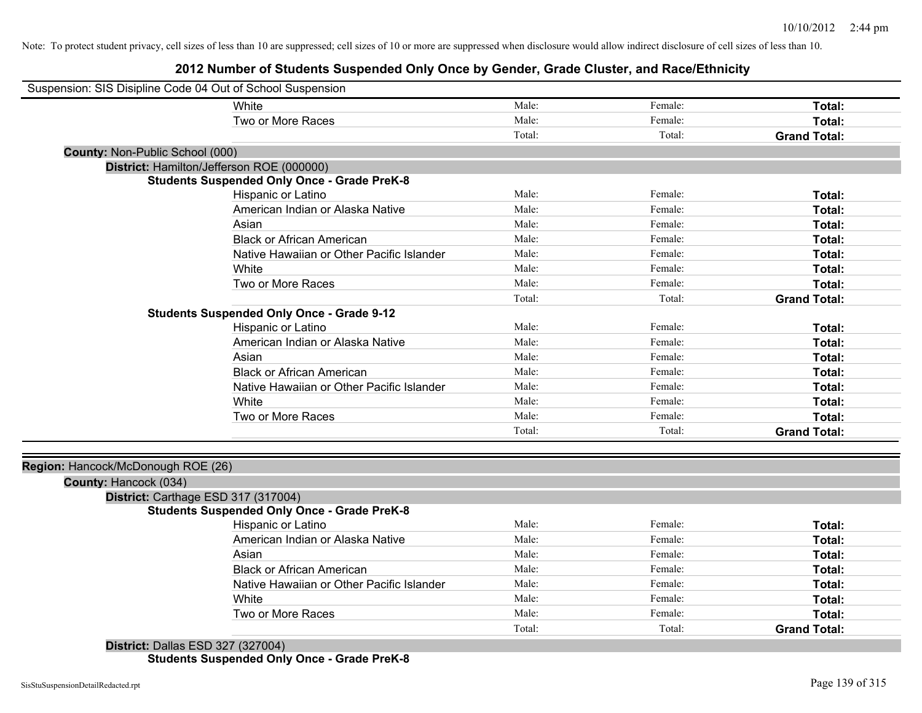## **2012 Number of Students Suspended Only Once by Gender, Grade Cluster, and Race/Ethnicity**

|                                    | Suspension: SIS Disipline Code 04 Out of School Suspension |        |         |                     |
|------------------------------------|------------------------------------------------------------|--------|---------|---------------------|
|                                    | White                                                      | Male:  | Female: | Total:              |
|                                    | Two or More Races                                          | Male:  | Female: | Total:              |
|                                    |                                                            | Total: | Total:  | <b>Grand Total:</b> |
| County: Non-Public School (000)    |                                                            |        |         |                     |
|                                    | District: Hamilton/Jefferson ROE (000000)                  |        |         |                     |
|                                    | <b>Students Suspended Only Once - Grade PreK-8</b>         |        |         |                     |
|                                    | Hispanic or Latino                                         | Male:  | Female: | Total:              |
|                                    | American Indian or Alaska Native                           | Male:  | Female: | Total:              |
|                                    | Asian                                                      | Male:  | Female: | Total:              |
|                                    | <b>Black or African American</b>                           | Male:  | Female: | Total:              |
|                                    | Native Hawaiian or Other Pacific Islander                  | Male:  | Female: | Total:              |
|                                    | White                                                      | Male:  | Female: | Total:              |
|                                    | Two or More Races                                          | Male:  | Female: | Total:              |
|                                    |                                                            | Total: | Total:  | <b>Grand Total:</b> |
|                                    | <b>Students Suspended Only Once - Grade 9-12</b>           |        |         |                     |
|                                    | Hispanic or Latino                                         | Male:  | Female: | Total:              |
|                                    | American Indian or Alaska Native                           | Male:  | Female: | Total:              |
|                                    | Asian                                                      | Male:  | Female: | Total:              |
|                                    | <b>Black or African American</b>                           | Male:  | Female: | Total:              |
|                                    | Native Hawaiian or Other Pacific Islander                  | Male:  | Female: | Total:              |
|                                    | White                                                      | Male:  | Female: | Total:              |
|                                    | Two or More Races                                          | Male:  | Female: | Total:              |
|                                    |                                                            | Total: | Total:  | <b>Grand Total:</b> |
|                                    |                                                            |        |         |                     |
| Region: Hancock/McDonough ROE (26) |                                                            |        |         |                     |
|                                    |                                                            |        |         |                     |
| County: Hancock (034)              |                                                            |        |         |                     |
|                                    | District: Carthage ESD 317 (317004)                        |        |         |                     |
|                                    | <b>Students Suspended Only Once - Grade PreK-8</b>         |        |         |                     |
|                                    | Hispanic or Latino                                         | Male:  | Female: | Total:              |
|                                    | American Indian or Alaska Native                           | Male:  | Female: | Total:              |
|                                    | Asian                                                      | Male:  | Female: | Total:              |
|                                    | <b>Black or African American</b>                           | Male:  | Female: | Total:              |
|                                    | Native Hawaiian or Other Pacific Islander                  | Male:  | Female: | Total:              |
|                                    | White                                                      | Male:  | Female: | Total:              |
|                                    | Two or More Races                                          | Male:  | Female: | Total:              |

**Students Suspended Only Once - Grade PreK-8**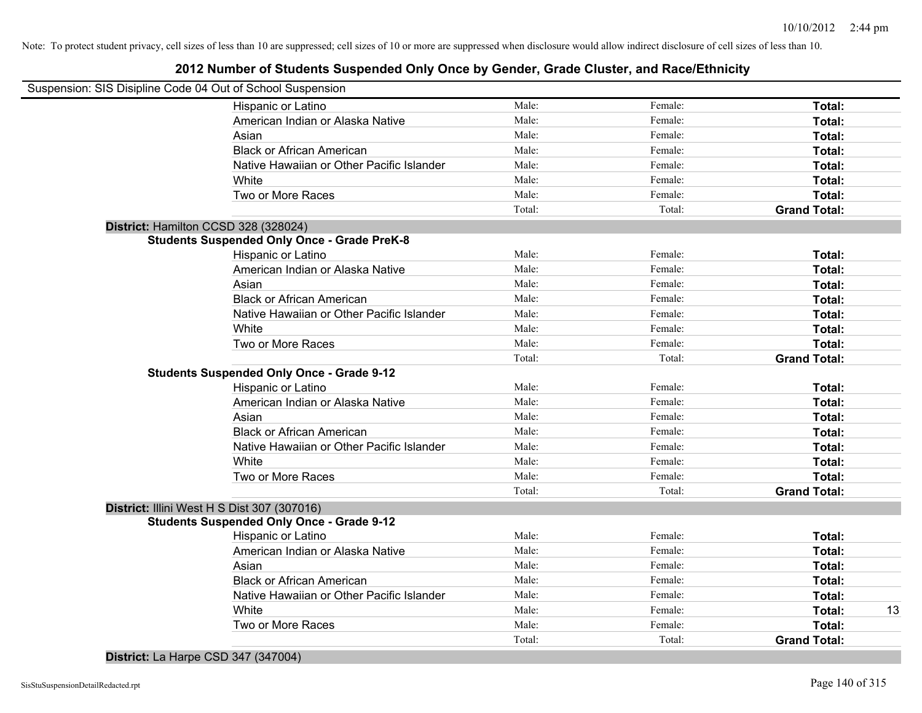| Suspension: SIS Disipline Code 04 Out of School Suspension |        |         |                     |
|------------------------------------------------------------|--------|---------|---------------------|
| Hispanic or Latino                                         | Male:  | Female: | Total:              |
| American Indian or Alaska Native                           | Male:  | Female: | Total:              |
| Asian                                                      | Male:  | Female: | Total:              |
| <b>Black or African American</b>                           | Male:  | Female: | Total:              |
| Native Hawaiian or Other Pacific Islander                  | Male:  | Female: | Total:              |
| White                                                      | Male:  | Female: | Total:              |
| Two or More Races                                          | Male:  | Female: | Total:              |
|                                                            | Total: | Total:  | <b>Grand Total:</b> |
| District: Hamilton CCSD 328 (328024)                       |        |         |                     |
| <b>Students Suspended Only Once - Grade PreK-8</b>         |        |         |                     |
| Hispanic or Latino                                         | Male:  | Female: | Total:              |
| American Indian or Alaska Native                           | Male:  | Female: | Total:              |
| Asian                                                      | Male:  | Female: | Total:              |
| <b>Black or African American</b>                           | Male:  | Female: | Total:              |
| Native Hawaiian or Other Pacific Islander                  | Male:  | Female: | Total:              |
| White                                                      | Male:  | Female: | Total:              |
| Two or More Races                                          | Male:  | Female: | Total:              |
|                                                            | Total: | Total:  | <b>Grand Total:</b> |
| <b>Students Suspended Only Once - Grade 9-12</b>           |        |         |                     |
| Hispanic or Latino                                         | Male:  | Female: | Total:              |
| American Indian or Alaska Native                           | Male:  | Female: | Total:              |
| Asian                                                      | Male:  | Female: | Total:              |
| <b>Black or African American</b>                           | Male:  | Female: | Total:              |
| Native Hawaiian or Other Pacific Islander                  | Male:  | Female: | Total:              |
| White                                                      | Male:  | Female: | Total:              |
| Two or More Races                                          | Male:  | Female: | Total:              |
|                                                            | Total: | Total:  | <b>Grand Total:</b> |
| District: Illini West H S Dist 307 (307016)                |        |         |                     |
| <b>Students Suspended Only Once - Grade 9-12</b>           |        |         |                     |
| Hispanic or Latino                                         | Male:  | Female: | Total:              |
| American Indian or Alaska Native                           | Male:  | Female: | Total:              |
| Asian                                                      | Male:  | Female: | Total:              |
| <b>Black or African American</b>                           | Male:  | Female: | Total:              |
| Native Hawaiian or Other Pacific Islander                  | Male:  | Female: | Total:              |
| White                                                      | Male:  | Female: | Total:              |
| Two or More Races                                          | Male:  | Female: | Total:              |
|                                                            | Total: | Total:  | <b>Grand Total:</b> |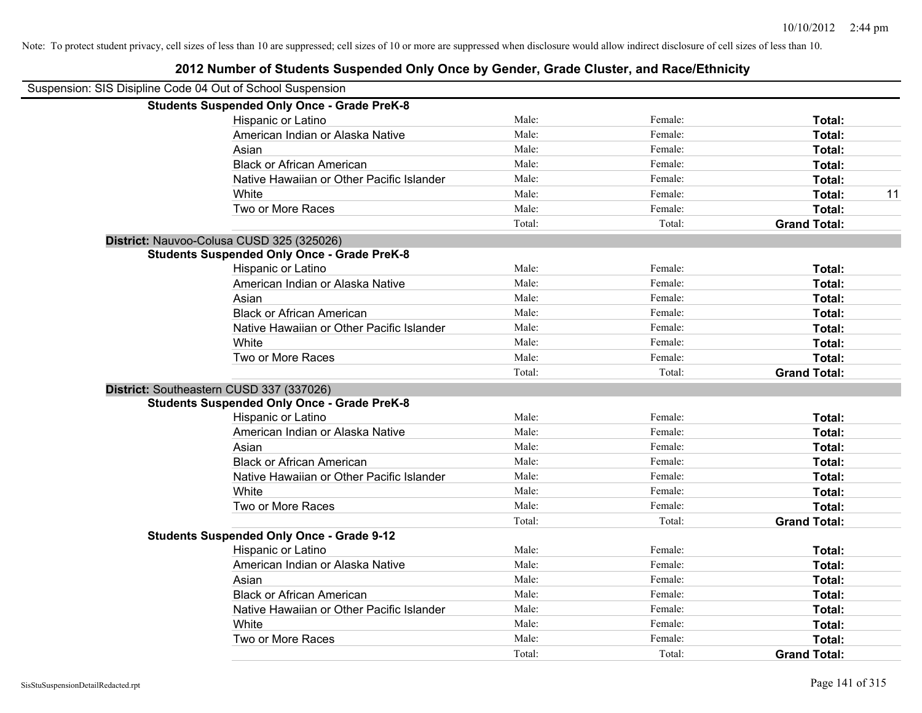| Suspension: SIS Disipline Code 04 Out of School Suspension |                                                    |        |         |                     |
|------------------------------------------------------------|----------------------------------------------------|--------|---------|---------------------|
|                                                            | <b>Students Suspended Only Once - Grade PreK-8</b> |        |         |                     |
|                                                            | Hispanic or Latino                                 | Male:  | Female: | Total:              |
|                                                            | American Indian or Alaska Native                   | Male:  | Female: | Total:              |
|                                                            | Asian                                              | Male:  | Female: | Total:              |
|                                                            | <b>Black or African American</b>                   | Male:  | Female: | Total:              |
|                                                            | Native Hawaiian or Other Pacific Islander          | Male:  | Female: | Total:              |
|                                                            | White                                              | Male:  | Female: | 11<br>Total:        |
|                                                            | Two or More Races                                  | Male:  | Female: | Total:              |
|                                                            |                                                    | Total: | Total:  | <b>Grand Total:</b> |
|                                                            | District: Nauvoo-Colusa CUSD 325 (325026)          |        |         |                     |
|                                                            | <b>Students Suspended Only Once - Grade PreK-8</b> |        |         |                     |
|                                                            | Hispanic or Latino                                 | Male:  | Female: | Total:              |
|                                                            | American Indian or Alaska Native                   | Male:  | Female: | Total:              |
|                                                            | Asian                                              | Male:  | Female: | Total:              |
|                                                            | <b>Black or African American</b>                   | Male:  | Female: | Total:              |
|                                                            | Native Hawaiian or Other Pacific Islander          | Male:  | Female: | Total:              |
|                                                            | White                                              | Male:  | Female: | Total:              |
|                                                            | Two or More Races                                  | Male:  | Female: | Total:              |
|                                                            |                                                    | Total: | Total:  | <b>Grand Total:</b> |
|                                                            | District: Southeastern CUSD 337 (337026)           |        |         |                     |
|                                                            | <b>Students Suspended Only Once - Grade PreK-8</b> |        |         |                     |
|                                                            | Hispanic or Latino                                 | Male:  | Female: | Total:              |
|                                                            | American Indian or Alaska Native                   | Male:  | Female: | Total:              |
|                                                            | Asian                                              | Male:  | Female: | Total:              |
|                                                            | <b>Black or African American</b>                   | Male:  | Female: | Total:              |
|                                                            | Native Hawaiian or Other Pacific Islander          | Male:  | Female: | Total:              |
|                                                            | White                                              | Male:  | Female: | Total:              |
|                                                            | Two or More Races                                  | Male:  | Female: | Total:              |
|                                                            |                                                    | Total: | Total:  | <b>Grand Total:</b> |
|                                                            | <b>Students Suspended Only Once - Grade 9-12</b>   |        |         |                     |
|                                                            | Hispanic or Latino                                 | Male:  | Female: | Total:              |
|                                                            | American Indian or Alaska Native                   | Male:  | Female: | Total:              |
|                                                            | Asian                                              | Male:  | Female: | Total:              |
|                                                            | <b>Black or African American</b>                   | Male:  | Female: | Total:              |
|                                                            | Native Hawaiian or Other Pacific Islander          | Male:  | Female: | Total:              |
|                                                            | White                                              | Male:  | Female: | Total:              |
|                                                            | Two or More Races                                  | Male:  | Female: | <b>Total:</b>       |
|                                                            |                                                    | Total: | Total:  | <b>Grand Total:</b> |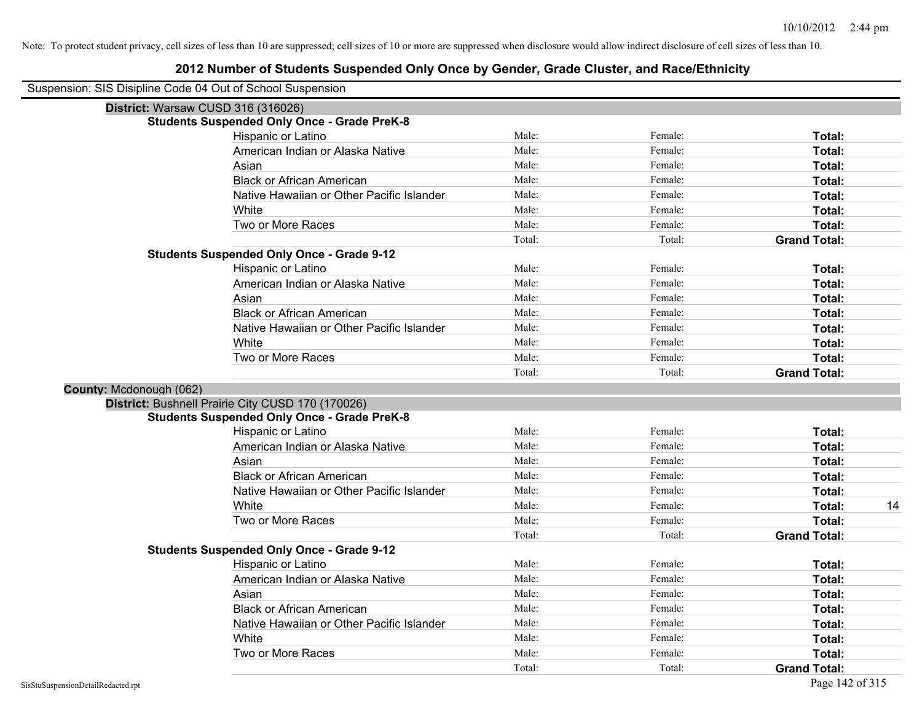## **2012 Number of Students Suspended Only Once by Gender, Grade Cluster, and Race/Ethnicity**

Suspension: SIS Disipline Code 04 Out of School Suspension

|                         | perision. Sis Disipline Code 04 Out of Scribol Susperision |        |         |                     |    |
|-------------------------|------------------------------------------------------------|--------|---------|---------------------|----|
|                         | District: Warsaw CUSD 316 (316026)                         |        |         |                     |    |
|                         | <b>Students Suspended Only Once - Grade PreK-8</b>         |        |         |                     |    |
|                         | Hispanic or Latino                                         | Male:  | Female: | Total:              |    |
|                         | American Indian or Alaska Native                           | Male:  | Female: | Total:              |    |
|                         | Asian                                                      | Male:  | Female: | Total:              |    |
|                         | <b>Black or African American</b>                           | Male:  | Female: | Total:              |    |
|                         | Native Hawaiian or Other Pacific Islander                  | Male:  | Female: | Total:              |    |
|                         | White                                                      | Male:  | Female: | Total:              |    |
|                         | Two or More Races                                          | Male:  | Female: | Total:              |    |
|                         |                                                            | Total: | Total:  | <b>Grand Total:</b> |    |
|                         | <b>Students Suspended Only Once - Grade 9-12</b>           |        |         |                     |    |
|                         | Hispanic or Latino                                         | Male:  | Female: | Total:              |    |
|                         | American Indian or Alaska Native                           | Male:  | Female: | Total:              |    |
|                         | Asian                                                      | Male:  | Female: | Total:              |    |
|                         | <b>Black or African American</b>                           | Male:  | Female: | Total:              |    |
|                         | Native Hawaiian or Other Pacific Islander                  | Male:  | Female: | Total:              |    |
|                         | White                                                      | Male:  | Female: | Total:              |    |
|                         | Two or More Races                                          | Male:  | Female: | Total:              |    |
|                         |                                                            | Total: | Total:  | <b>Grand Total:</b> |    |
| County: Mcdonough (062) |                                                            |        |         |                     |    |
|                         | District: Bushnell Prairie City CUSD 170 (170026)          |        |         |                     |    |
|                         | <b>Students Suspended Only Once - Grade PreK-8</b>         |        |         |                     |    |
|                         | Hispanic or Latino                                         | Male:  | Female: | Total:              |    |
|                         | American Indian or Alaska Native                           | Male:  | Female: | Total:              |    |
|                         | Asian                                                      | Male:  | Female: | Total:              |    |
|                         | <b>Black or African American</b>                           | Male:  | Female: | Total:              |    |
|                         | Native Hawaiian or Other Pacific Islander                  | Male:  | Female: | Total:              |    |
|                         | White                                                      | Male:  | Female: | Total:              | 14 |
|                         | Two or More Races                                          | Male:  | Female: | Total:              |    |
|                         |                                                            | Total: | Total:  | <b>Grand Total:</b> |    |
|                         | <b>Students Suspended Only Once - Grade 9-12</b>           |        |         |                     |    |
|                         | Hispanic or Latino                                         | Male:  | Female: | Total:              |    |
|                         | American Indian or Alaska Native                           | Male:  | Female: | Total:              |    |
|                         | Asian                                                      | Male:  | Female: | Total:              |    |
|                         | <b>Black or African American</b>                           | Male:  | Female: | Total:              |    |
|                         | Native Hawaiian or Other Pacific Islander                  | Male:  | Female: | Total:              |    |
|                         | White                                                      | Male:  | Female: | Total:              |    |
|                         | Two or More Races                                          | Male:  | Female: | Total:              |    |
|                         |                                                            | Total: | Total:  | <b>Grand Total:</b> |    |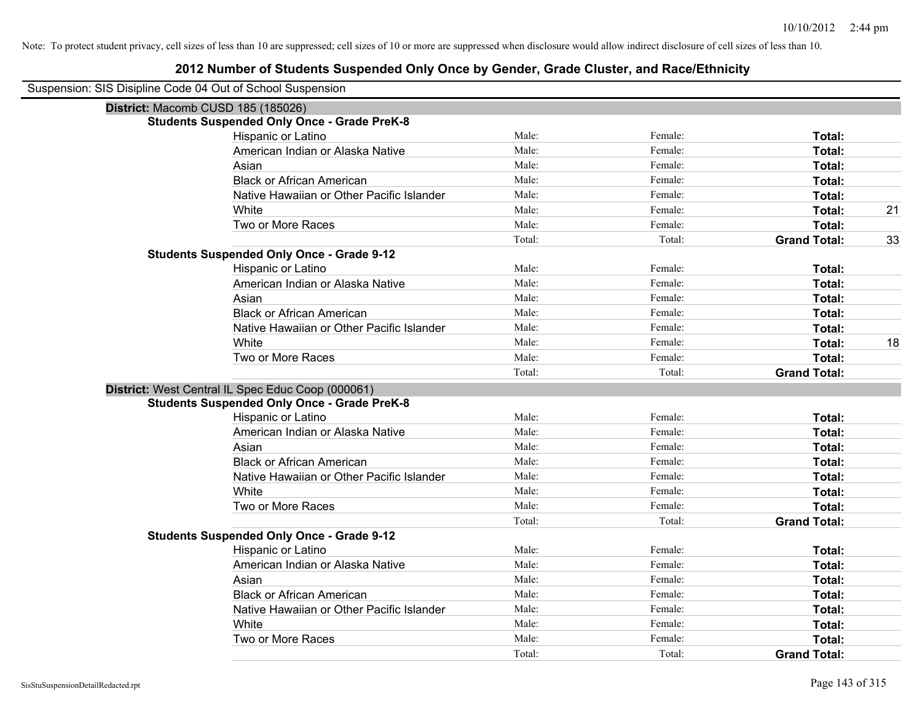## **2012 Number of Students Suspended Only Once by Gender, Grade Cluster, and Race/Ethnicity**

Suspension: SIS Disipline Code 04 Out of School Suspension

| District: Macomb CUSD 185 (185026)                 |        |         |                     |    |
|----------------------------------------------------|--------|---------|---------------------|----|
| <b>Students Suspended Only Once - Grade PreK-8</b> |        |         |                     |    |
| Hispanic or Latino                                 | Male:  | Female: | Total:              |    |
| American Indian or Alaska Native                   | Male:  | Female: | Total:              |    |
| Asian                                              | Male:  | Female: | <b>Total:</b>       |    |
| <b>Black or African American</b>                   | Male:  | Female: | Total:              |    |
| Native Hawaiian or Other Pacific Islander          | Male:  | Female: | Total:              |    |
| White                                              | Male:  | Female: | Total:              | 21 |
| Two or More Races                                  | Male:  | Female: | Total:              |    |
|                                                    | Total: | Total:  | <b>Grand Total:</b> | 33 |
| <b>Students Suspended Only Once - Grade 9-12</b>   |        |         |                     |    |
| Hispanic or Latino                                 | Male:  | Female: | <b>Total:</b>       |    |
| American Indian or Alaska Native                   | Male:  | Female: | Total:              |    |
| Asian                                              | Male:  | Female: | Total:              |    |
| <b>Black or African American</b>                   | Male:  | Female: | Total:              |    |
| Native Hawaiian or Other Pacific Islander          | Male:  | Female: | Total:              |    |
| White                                              | Male:  | Female: | Total:              | 18 |
| Two or More Races                                  | Male:  | Female: | Total:              |    |
|                                                    | Total: | Total:  | <b>Grand Total:</b> |    |
| District: West Central IL Spec Educ Coop (000061)  |        |         |                     |    |
| <b>Students Suspended Only Once - Grade PreK-8</b> |        |         |                     |    |
| Hispanic or Latino                                 | Male:  | Female: | Total:              |    |
| American Indian or Alaska Native                   | Male:  | Female: | <b>Total:</b>       |    |
| Asian                                              | Male:  | Female: | <b>Total:</b>       |    |
| <b>Black or African American</b>                   | Male:  | Female: | <b>Total:</b>       |    |
| Native Hawaiian or Other Pacific Islander          | Male:  | Female: | Total:              |    |
| White                                              | Male:  | Female: | Total:              |    |
| Two or More Races                                  | Male:  | Female: | Total:              |    |
|                                                    | Total: | Total:  | <b>Grand Total:</b> |    |
| <b>Students Suspended Only Once - Grade 9-12</b>   |        |         |                     |    |
| Hispanic or Latino                                 | Male:  | Female: | Total:              |    |
| American Indian or Alaska Native                   | Male:  | Female: | Total:              |    |
| Asian                                              | Male:  | Female: | Total:              |    |
| <b>Black or African American</b>                   | Male:  | Female: | Total:              |    |
| Native Hawaiian or Other Pacific Islander          | Male:  | Female: | <b>Total:</b>       |    |
| White                                              | Male:  | Female: | <b>Total:</b>       |    |
| Two or More Races                                  | Male:  | Female: | Total:              |    |
|                                                    | Total: | Total:  | <b>Grand Total:</b> |    |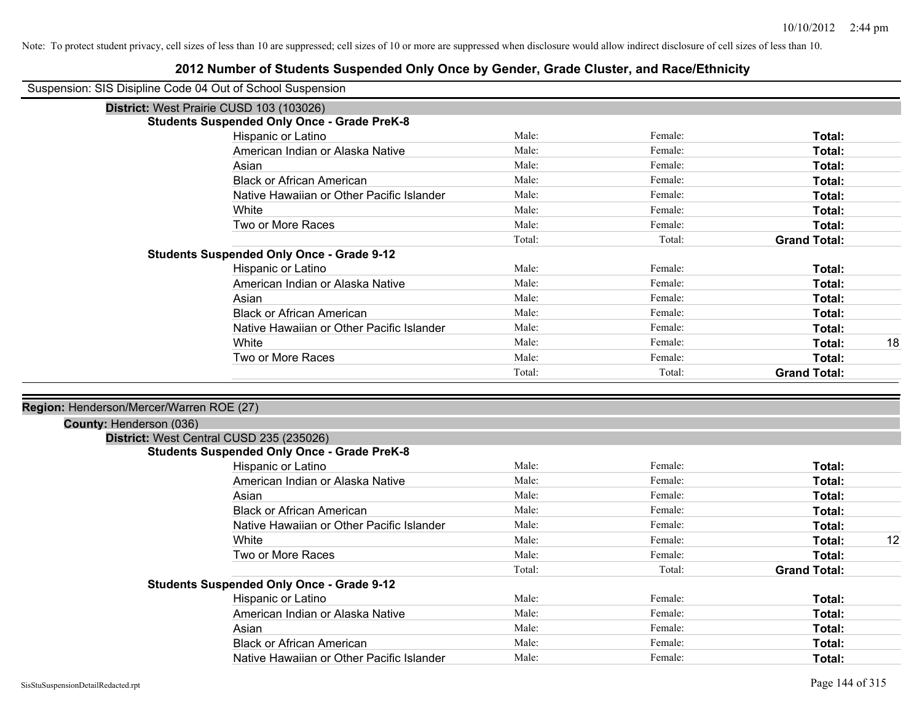|                                          | Suspension: SIS Disipline Code 04 Out of School Suspension |        |         |                     |    |
|------------------------------------------|------------------------------------------------------------|--------|---------|---------------------|----|
|                                          | District: West Prairie CUSD 103 (103026)                   |        |         |                     |    |
|                                          | <b>Students Suspended Only Once - Grade PreK-8</b>         |        |         |                     |    |
|                                          | Hispanic or Latino                                         | Male:  | Female: | Total:              |    |
|                                          | American Indian or Alaska Native                           | Male:  | Female: | Total:              |    |
|                                          | Asian                                                      | Male:  | Female: | Total:              |    |
|                                          | <b>Black or African American</b>                           | Male:  | Female: | Total:              |    |
|                                          | Native Hawaiian or Other Pacific Islander                  | Male:  | Female: | Total:              |    |
|                                          | White                                                      | Male:  | Female: | Total:              |    |
|                                          | Two or More Races                                          | Male:  | Female: | Total:              |    |
|                                          |                                                            | Total: | Total:  | <b>Grand Total:</b> |    |
|                                          | <b>Students Suspended Only Once - Grade 9-12</b>           |        |         |                     |    |
|                                          | Hispanic or Latino                                         | Male:  | Female: | Total:              |    |
|                                          | American Indian or Alaska Native                           | Male:  | Female: | Total:              |    |
|                                          | Asian                                                      | Male:  | Female: | Total:              |    |
|                                          | <b>Black or African American</b>                           | Male:  | Female: | Total:              |    |
|                                          | Native Hawaiian or Other Pacific Islander                  | Male:  | Female: | Total:              |    |
|                                          | White                                                      | Male:  | Female: | Total:              | 18 |
|                                          | Two or More Races                                          | Male:  | Female: | Total:              |    |
|                                          |                                                            | Total: | Total:  | <b>Grand Total:</b> |    |
| Region: Henderson/Mercer/Warren ROE (27) |                                                            |        |         |                     |    |
| County: Henderson (036)                  |                                                            |        |         |                     |    |
|                                          | District: West Central CUSD 235 (235026)                   |        |         |                     |    |
|                                          | <b>Students Suspended Only Once - Grade PreK-8</b>         |        |         |                     |    |
|                                          | Hispanic or Latino                                         | Male:  | Female: | Total:              |    |
|                                          | American Indian or Alaska Native                           | Male:  | Female: | Total:              |    |
|                                          | Asian                                                      | Male:  | Female: | Total:              |    |
|                                          | <b>Black or African American</b>                           | Male:  | Female: | Total:              |    |
|                                          | Native Hawaiian or Other Pacific Islander                  | Male:  | Female: | Total:              |    |
|                                          | White                                                      | Male:  | Female: | Total:              | 12 |
|                                          | Two or More Races                                          | Male:  | Female: | Total:              |    |
|                                          | <b>Students Suspended Only Once - Grade 9-12</b>           | Total: | Total:  | <b>Grand Total:</b> |    |
|                                          | Hispanic or Latino                                         | Male:  | Female: | Total:              |    |
|                                          | American Indian or Alaska Native                           | Male:  | Female: | Total:              |    |
|                                          | Asian                                                      | Male:  | Female: | Total:              |    |
|                                          | <b>Black or African American</b>                           | Male:  | Female: | Total:              |    |
|                                          | Native Hawaiian or Other Pacific Islander                  | Male:  | Female: | Total:              |    |
|                                          |                                                            |        |         |                     |    |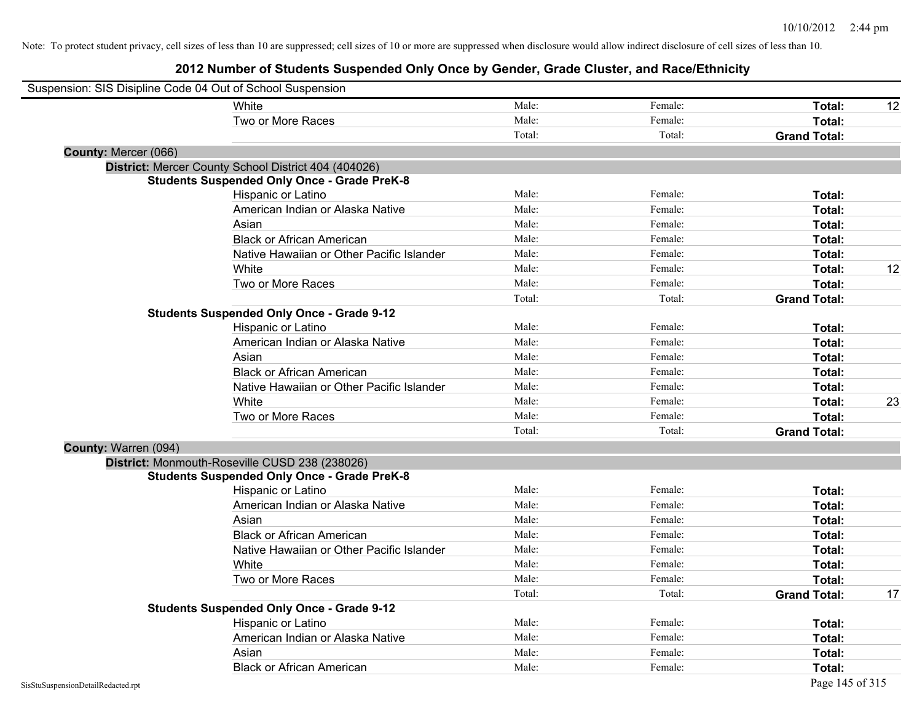| Suspension: SIS Disipline Code 04 Out of School Suspension |                                                      |        |         |                     |    |
|------------------------------------------------------------|------------------------------------------------------|--------|---------|---------------------|----|
|                                                            | White                                                | Male:  | Female: | Total:              | 12 |
|                                                            | Two or More Races                                    | Male:  | Female: | Total:              |    |
|                                                            |                                                      | Total: | Total:  | <b>Grand Total:</b> |    |
| County: Mercer (066)                                       |                                                      |        |         |                     |    |
|                                                            | District: Mercer County School District 404 (404026) |        |         |                     |    |
|                                                            | <b>Students Suspended Only Once - Grade PreK-8</b>   |        |         |                     |    |
|                                                            | Hispanic or Latino                                   | Male:  | Female: | Total:              |    |
|                                                            | American Indian or Alaska Native                     | Male:  | Female: | Total:              |    |
|                                                            | Asian                                                | Male:  | Female: | Total:              |    |
|                                                            | <b>Black or African American</b>                     | Male:  | Female: | Total:              |    |
|                                                            | Native Hawaiian or Other Pacific Islander            | Male:  | Female: | Total:              |    |
|                                                            | White                                                | Male:  | Female: | Total:              | 12 |
|                                                            | Two or More Races                                    | Male:  | Female: | Total:              |    |
|                                                            |                                                      | Total: | Total:  | <b>Grand Total:</b> |    |
|                                                            | <b>Students Suspended Only Once - Grade 9-12</b>     |        |         |                     |    |
|                                                            | Hispanic or Latino                                   | Male:  | Female: | Total:              |    |
|                                                            | American Indian or Alaska Native                     | Male:  | Female: | Total:              |    |
|                                                            | Asian                                                | Male:  | Female: | Total:              |    |
|                                                            | <b>Black or African American</b>                     | Male:  | Female: | Total:              |    |
|                                                            | Native Hawaiian or Other Pacific Islander            | Male:  | Female: | Total:              |    |
|                                                            | White                                                | Male:  | Female: | Total:              | 23 |
|                                                            | Two or More Races                                    | Male:  | Female: | Total:              |    |
|                                                            |                                                      | Total: | Total:  | <b>Grand Total:</b> |    |
| County: Warren (094)                                       |                                                      |        |         |                     |    |
|                                                            | District: Monmouth-Roseville CUSD 238 (238026)       |        |         |                     |    |
|                                                            | <b>Students Suspended Only Once - Grade PreK-8</b>   |        |         |                     |    |
|                                                            | Hispanic or Latino                                   | Male:  | Female: | Total:              |    |
|                                                            | American Indian or Alaska Native                     | Male:  | Female: | Total:              |    |
|                                                            | Asian                                                | Male:  | Female: | Total:              |    |
|                                                            | <b>Black or African American</b>                     | Male:  | Female: | Total:              |    |
|                                                            | Native Hawaiian or Other Pacific Islander            | Male:  | Female: | Total:              |    |
|                                                            | White                                                | Male:  | Female: | Total:              |    |
|                                                            | Two or More Races                                    | Male:  | Female: | Total:              |    |
|                                                            |                                                      | Total: | Total:  | <b>Grand Total:</b> | 17 |
|                                                            | <b>Students Suspended Only Once - Grade 9-12</b>     |        |         |                     |    |
|                                                            | Hispanic or Latino                                   | Male:  | Female: | Total:              |    |
|                                                            | American Indian or Alaska Native                     | Male:  | Female: | Total:              |    |
|                                                            | Asian                                                | Male:  | Female: | Total:              |    |
|                                                            | <b>Black or African American</b>                     | Male:  | Female: | Total:              |    |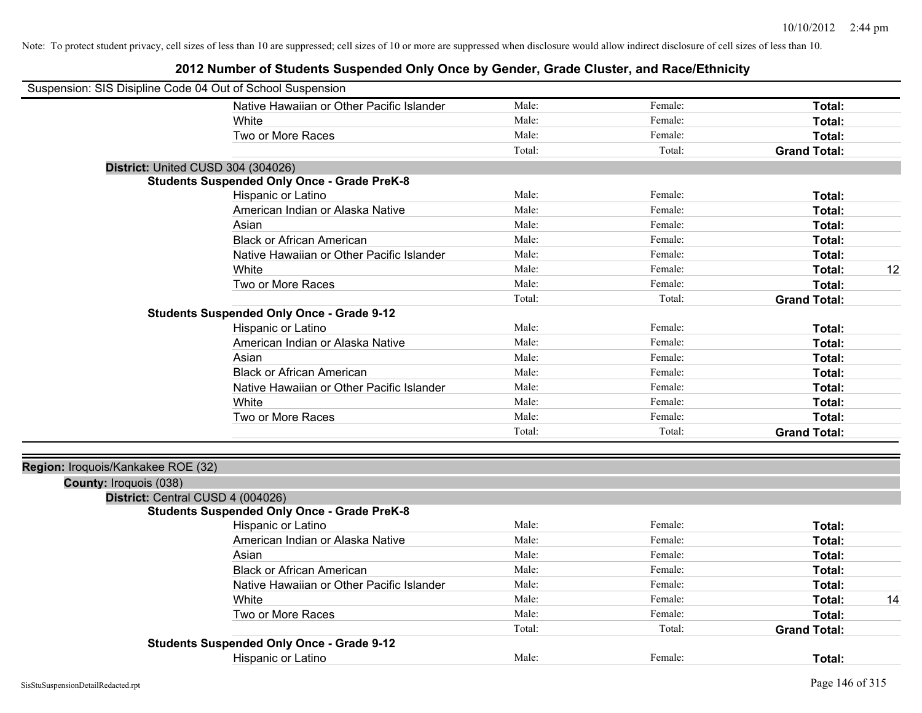| Suspension: SIS Disipline Code 04 Out of School Suspension  |                                                    |        |         |                     |    |
|-------------------------------------------------------------|----------------------------------------------------|--------|---------|---------------------|----|
|                                                             | Native Hawaiian or Other Pacific Islander          | Male:  | Female: | Total:              |    |
|                                                             | White                                              | Male:  | Female: | Total:              |    |
|                                                             | Two or More Races                                  | Male:  | Female: | Total:              |    |
|                                                             |                                                    | Total: | Total:  | <b>Grand Total:</b> |    |
| District: United CUSD 304 (304026)                          |                                                    |        |         |                     |    |
|                                                             | <b>Students Suspended Only Once - Grade PreK-8</b> |        |         |                     |    |
|                                                             | Hispanic or Latino                                 | Male:  | Female: | Total:              |    |
|                                                             | American Indian or Alaska Native                   | Male:  | Female: | Total:              |    |
|                                                             | Asian                                              | Male:  | Female: | Total:              |    |
|                                                             | <b>Black or African American</b>                   | Male:  | Female: | Total:              |    |
|                                                             | Native Hawaiian or Other Pacific Islander          | Male:  | Female: | Total:              |    |
|                                                             | White                                              | Male:  | Female: | Total:              | 12 |
|                                                             | Two or More Races                                  | Male:  | Female: | Total:              |    |
|                                                             |                                                    | Total: | Total:  | <b>Grand Total:</b> |    |
|                                                             | <b>Students Suspended Only Once - Grade 9-12</b>   |        |         |                     |    |
|                                                             | Hispanic or Latino                                 | Male:  | Female: | Total:              |    |
|                                                             | American Indian or Alaska Native                   | Male:  | Female: | Total:              |    |
|                                                             | Asian                                              | Male:  | Female: | Total:              |    |
|                                                             | <b>Black or African American</b>                   | Male:  | Female: | Total:              |    |
|                                                             | Native Hawaiian or Other Pacific Islander          | Male:  | Female: | Total:              |    |
|                                                             | White                                              | Male:  | Female: | Total:              |    |
|                                                             | Two or More Races                                  | Male:  | Female: | Total:              |    |
|                                                             |                                                    | Total: | Total:  | <b>Grand Total:</b> |    |
|                                                             |                                                    |        |         |                     |    |
| Region: Iroquois/Kankakee ROE (32)                          |                                                    |        |         |                     |    |
| County: Iroquois (038)<br>District: Central CUSD 4 (004026) |                                                    |        |         |                     |    |
|                                                             | <b>Students Suspended Only Once - Grade PreK-8</b> |        |         |                     |    |
|                                                             | Hispanic or Latino                                 | Male:  | Female: | Total:              |    |
|                                                             | American Indian or Alaska Native                   | Male:  | Female: | Total:              |    |
|                                                             | Asian                                              | Male:  | Female: | Total:              |    |
|                                                             | <b>Black or African American</b>                   | Male:  | Female: | Total:              |    |
|                                                             | Native Hawaiian or Other Pacific Islander          | Male:  | Female: | Total:              |    |
|                                                             | White                                              | Male:  | Female: | Total:              | 14 |
|                                                             | Two or More Races                                  | Male:  | Female: | Total:              |    |
|                                                             |                                                    | Total: | Total:  | <b>Grand Total:</b> |    |
|                                                             | <b>Students Suspended Only Once - Grade 9-12</b>   |        |         |                     |    |
|                                                             | <b>Hispanic or Latino</b>                          | Male:  | Female: | Total:              |    |
|                                                             |                                                    |        |         |                     |    |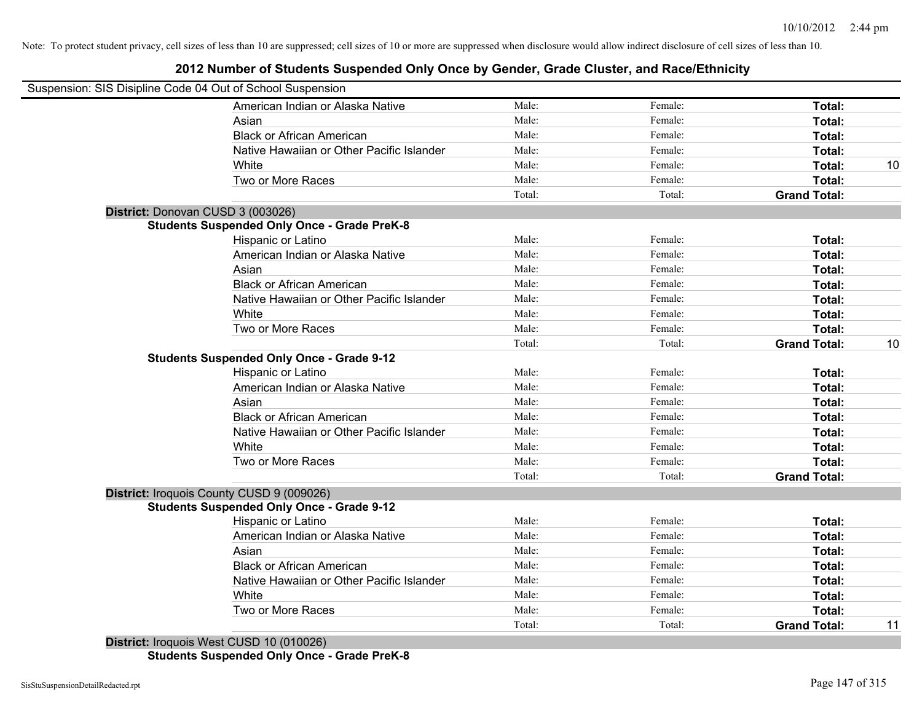#### **2012 Number of Students Suspended Only Once by Gender, Grade Cluster, and Race/Ethnicity**

| Suspension: SIS Disipline Code 04 Out of School Suspension |        |         |                     |    |
|------------------------------------------------------------|--------|---------|---------------------|----|
| American Indian or Alaska Native                           | Male:  | Female: | Total:              |    |
| Asian                                                      | Male:  | Female: | Total:              |    |
| <b>Black or African American</b>                           | Male:  | Female: | Total:              |    |
| Native Hawaiian or Other Pacific Islander                  | Male:  | Female: | Total:              |    |
| White                                                      | Male:  | Female: | Total:              | 10 |
| Two or More Races                                          | Male:  | Female: | Total:              |    |
|                                                            | Total: | Total:  | <b>Grand Total:</b> |    |
| District: Donovan CUSD 3 (003026)                          |        |         |                     |    |
| <b>Students Suspended Only Once - Grade PreK-8</b>         |        |         |                     |    |
| Hispanic or Latino                                         | Male:  | Female: | Total:              |    |
| American Indian or Alaska Native                           | Male:  | Female: | Total:              |    |
| Asian                                                      | Male:  | Female: | Total:              |    |
| <b>Black or African American</b>                           | Male:  | Female: | Total:              |    |
| Native Hawaiian or Other Pacific Islander                  | Male:  | Female: | Total:              |    |
| White                                                      | Male:  | Female: | Total:              |    |
| Two or More Races                                          | Male:  | Female: | Total:              |    |
|                                                            | Total: | Total:  | <b>Grand Total:</b> | 10 |
| <b>Students Suspended Only Once - Grade 9-12</b>           |        |         |                     |    |
| Hispanic or Latino                                         | Male:  | Female: | Total:              |    |
| American Indian or Alaska Native                           | Male:  | Female: | Total:              |    |
| Asian                                                      | Male:  | Female: | Total:              |    |
| <b>Black or African American</b>                           | Male:  | Female: | Total:              |    |
| Native Hawaiian or Other Pacific Islander                  | Male:  | Female: | Total:              |    |
| White                                                      | Male:  | Female: | Total:              |    |
| Two or More Races                                          | Male:  | Female: | Total:              |    |
|                                                            | Total: | Total:  | <b>Grand Total:</b> |    |
| District: Iroquois County CUSD 9 (009026)                  |        |         |                     |    |
| <b>Students Suspended Only Once - Grade 9-12</b>           |        |         |                     |    |
| Hispanic or Latino                                         | Male:  | Female: | Total:              |    |
| American Indian or Alaska Native                           | Male:  | Female: | Total:              |    |
| Asian                                                      | Male:  | Female: | Total:              |    |
| <b>Black or African American</b>                           | Male:  | Female: | Total:              |    |
| Native Hawaiian or Other Pacific Islander                  | Male:  | Female: | Total:              |    |
| White                                                      | Male:  | Female: | Total:              |    |
| Two or More Races                                          | Male:  | Female: | Total:              |    |
|                                                            | Total: | Total:  | <b>Grand Total:</b> | 11 |

**Students Suspended Only Once - Grade PreK-8**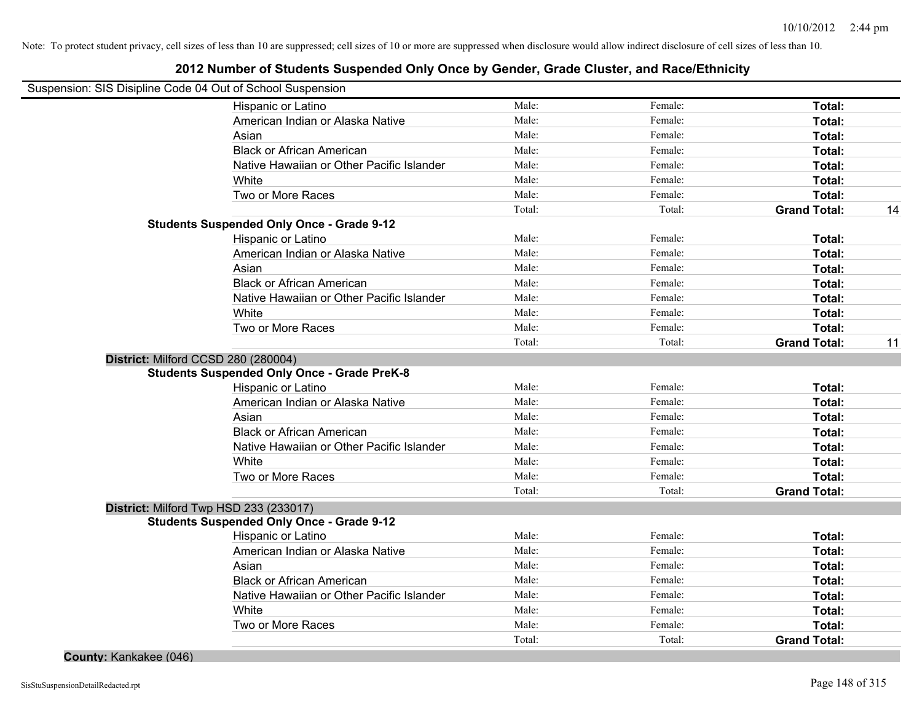#### **2012 Number of Students Suspended Only Once by Gender, Grade Cluster, and Race/Ethnicity**

| Suspension: SIS Disipline Code 04 Out of School Suspension |        |         |                     |    |
|------------------------------------------------------------|--------|---------|---------------------|----|
| Hispanic or Latino                                         | Male:  | Female: | Total:              |    |
| American Indian or Alaska Native                           | Male:  | Female: | Total:              |    |
| Asian                                                      | Male:  | Female: | Total:              |    |
| <b>Black or African American</b>                           | Male:  | Female: | Total:              |    |
| Native Hawaiian or Other Pacific Islander                  | Male:  | Female: | Total:              |    |
| White                                                      | Male:  | Female: | Total:              |    |
| Two or More Races                                          | Male:  | Female: | Total:              |    |
|                                                            | Total: | Total:  | <b>Grand Total:</b> | 14 |
| <b>Students Suspended Only Once - Grade 9-12</b>           |        |         |                     |    |
| Hispanic or Latino                                         | Male:  | Female: | Total:              |    |
| American Indian or Alaska Native                           | Male:  | Female: | Total:              |    |
| Asian                                                      | Male:  | Female: | Total:              |    |
| <b>Black or African American</b>                           | Male:  | Female: | Total:              |    |
| Native Hawaiian or Other Pacific Islander                  | Male:  | Female: | Total:              |    |
| White                                                      | Male:  | Female: | Total:              |    |
| Two or More Races                                          | Male:  | Female: | Total:              |    |
|                                                            | Total: | Total:  | <b>Grand Total:</b> | 11 |
| District: Milford CCSD 280 (280004)                        |        |         |                     |    |
| <b>Students Suspended Only Once - Grade PreK-8</b>         |        |         |                     |    |
| Hispanic or Latino                                         | Male:  | Female: | Total:              |    |
| American Indian or Alaska Native                           | Male:  | Female: | Total:              |    |
| Asian                                                      | Male:  | Female: | Total:              |    |
| <b>Black or African American</b>                           | Male:  | Female: | Total:              |    |
| Native Hawaiian or Other Pacific Islander                  | Male:  | Female: | Total:              |    |
| White                                                      | Male:  | Female: | Total:              |    |
| Two or More Races                                          | Male:  | Female: | Total:              |    |
|                                                            | Total: | Total:  | <b>Grand Total:</b> |    |
| District: Milford Twp HSD 233 (233017)                     |        |         |                     |    |
| <b>Students Suspended Only Once - Grade 9-12</b>           |        |         |                     |    |
| Hispanic or Latino                                         | Male:  | Female: | Total:              |    |
| American Indian or Alaska Native                           | Male:  | Female: | Total:              |    |
| Asian                                                      | Male:  | Female: | Total:              |    |
| <b>Black or African American</b>                           | Male:  | Female: | Total:              |    |
| Native Hawaiian or Other Pacific Islander                  | Male:  | Female: | Total:              |    |
| White                                                      | Male:  | Female: | Total:              |    |
| Two or More Races                                          | Male:  | Female: | Total:              |    |
|                                                            | Total: | Total:  | <b>Grand Total:</b> |    |

**County:** Kankakee (046)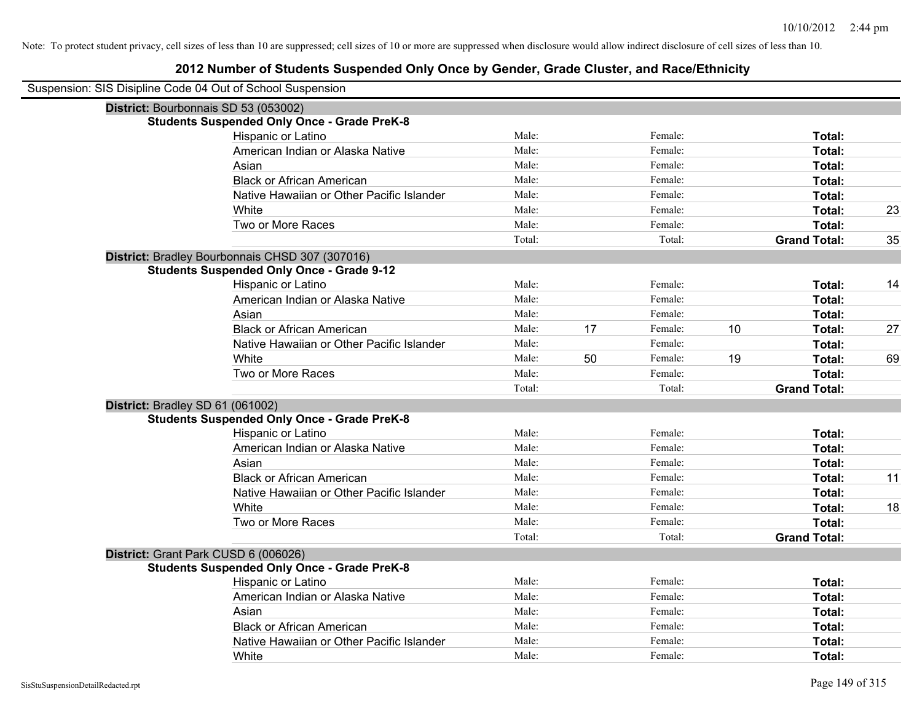| Suspension: SIS Disipline Code 04 Out of School Suspension |        |    |         |    |                     |    |
|------------------------------------------------------------|--------|----|---------|----|---------------------|----|
| District: Bourbonnais SD 53 (053002)                       |        |    |         |    |                     |    |
| <b>Students Suspended Only Once - Grade PreK-8</b>         |        |    |         |    |                     |    |
| Hispanic or Latino                                         | Male:  |    | Female: |    | Total:              |    |
| American Indian or Alaska Native                           | Male:  |    | Female: |    | Total:              |    |
| Asian                                                      | Male:  |    | Female: |    | Total:              |    |
| <b>Black or African American</b>                           | Male:  |    | Female: |    | Total:              |    |
| Native Hawaiian or Other Pacific Islander                  | Male:  |    | Female: |    | Total:              |    |
| White                                                      | Male:  |    | Female: |    | Total:              | 23 |
| Two or More Races                                          | Male:  |    | Female: |    | Total:              |    |
|                                                            | Total: |    | Total:  |    | <b>Grand Total:</b> | 35 |
| District: Bradley Bourbonnais CHSD 307 (307016)            |        |    |         |    |                     |    |
| <b>Students Suspended Only Once - Grade 9-12</b>           |        |    |         |    |                     |    |
| Hispanic or Latino                                         | Male:  |    | Female: |    | Total:              | 14 |
| American Indian or Alaska Native                           | Male:  |    | Female: |    | Total:              |    |
| Asian                                                      | Male:  |    | Female: |    | Total:              |    |
| <b>Black or African American</b>                           | Male:  | 17 | Female: | 10 | Total:              | 27 |
| Native Hawaiian or Other Pacific Islander                  | Male:  |    | Female: |    | Total:              |    |
| White                                                      | Male:  | 50 | Female: | 19 | Total:              | 69 |
| Two or More Races                                          | Male:  |    | Female: |    | Total:              |    |
|                                                            | Total: |    | Total:  |    | <b>Grand Total:</b> |    |
| District: Bradley SD 61 (061002)                           |        |    |         |    |                     |    |
| <b>Students Suspended Only Once - Grade PreK-8</b>         |        |    |         |    |                     |    |
| Hispanic or Latino                                         | Male:  |    | Female: |    | Total:              |    |
| American Indian or Alaska Native                           | Male:  |    | Female: |    | Total:              |    |
| Asian                                                      | Male:  |    | Female: |    | Total:              |    |
| <b>Black or African American</b>                           | Male:  |    | Female: |    | Total:              | 11 |
| Native Hawaiian or Other Pacific Islander                  | Male:  |    | Female: |    | Total:              |    |
| White                                                      | Male:  |    | Female: |    | Total:              | 18 |
| Two or More Races                                          | Male:  |    | Female: |    | Total:              |    |
|                                                            | Total: |    | Total:  |    | <b>Grand Total:</b> |    |
| District: Grant Park CUSD 6 (006026)                       |        |    |         |    |                     |    |
| <b>Students Suspended Only Once - Grade PreK-8</b>         |        |    |         |    |                     |    |
| Hispanic or Latino                                         | Male:  |    | Female: |    | Total:              |    |
| American Indian or Alaska Native                           | Male:  |    | Female: |    | Total:              |    |
| Asian                                                      | Male:  |    | Female: |    | Total:              |    |
| <b>Black or African American</b>                           | Male:  |    | Female: |    | Total:              |    |
| Native Hawaiian or Other Pacific Islander                  | Male:  |    | Female: |    | Total:              |    |
| White                                                      | Male:  |    | Female: |    | Total:              |    |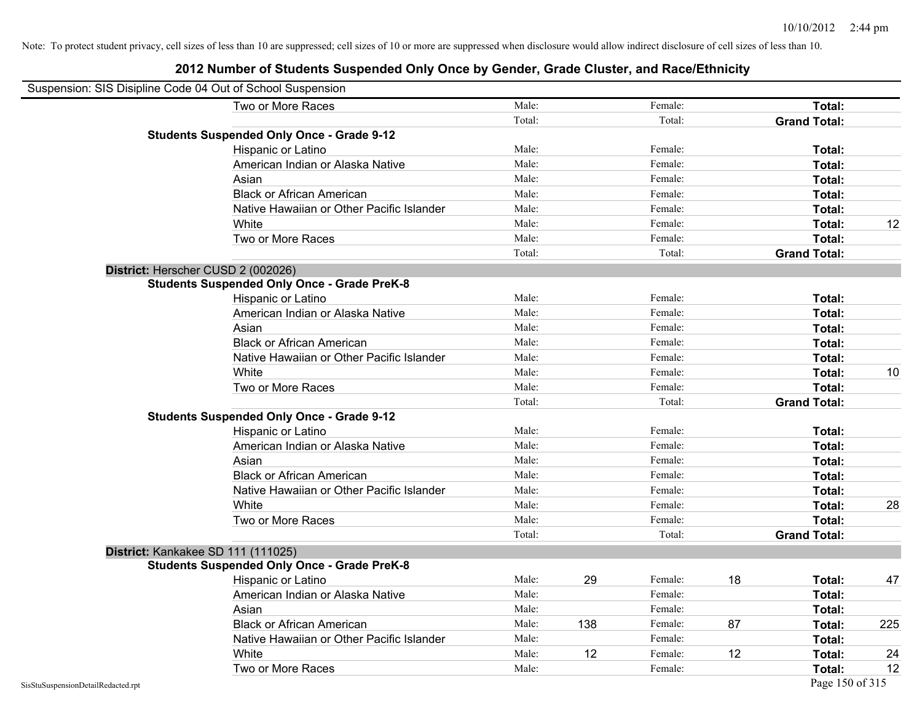| Suspension: SIS Disipline Code 04 Out of School Suspension |                                                    |        |     |         |    |                     |     |
|------------------------------------------------------------|----------------------------------------------------|--------|-----|---------|----|---------------------|-----|
|                                                            | Two or More Races                                  | Male:  |     | Female: |    | Total:              |     |
|                                                            |                                                    | Total: |     | Total:  |    | <b>Grand Total:</b> |     |
|                                                            | <b>Students Suspended Only Once - Grade 9-12</b>   |        |     |         |    |                     |     |
|                                                            | Hispanic or Latino                                 | Male:  |     | Female: |    | Total:              |     |
|                                                            | American Indian or Alaska Native                   | Male:  |     | Female: |    | <b>Total:</b>       |     |
|                                                            | Asian                                              | Male:  |     | Female: |    | <b>Total:</b>       |     |
|                                                            | <b>Black or African American</b>                   | Male:  |     | Female: |    | Total:              |     |
|                                                            | Native Hawaiian or Other Pacific Islander          | Male:  |     | Female: |    | Total:              |     |
|                                                            | White                                              | Male:  |     | Female: |    | Total:              | 12  |
|                                                            | Two or More Races                                  | Male:  |     | Female: |    | Total:              |     |
|                                                            |                                                    | Total: |     | Total:  |    | <b>Grand Total:</b> |     |
|                                                            | District: Herscher CUSD 2 (002026)                 |        |     |         |    |                     |     |
|                                                            | <b>Students Suspended Only Once - Grade PreK-8</b> |        |     |         |    |                     |     |
|                                                            | Hispanic or Latino                                 | Male:  |     | Female: |    | <b>Total:</b>       |     |
|                                                            | American Indian or Alaska Native                   | Male:  |     | Female: |    | Total:              |     |
|                                                            | Asian                                              | Male:  |     | Female: |    | Total:              |     |
|                                                            | <b>Black or African American</b>                   | Male:  |     | Female: |    | Total:              |     |
|                                                            | Native Hawaiian or Other Pacific Islander          | Male:  |     | Female: |    | <b>Total:</b>       |     |
|                                                            | White                                              | Male:  |     | Female: |    | <b>Total:</b>       | 10  |
|                                                            | Two or More Races                                  | Male:  |     | Female: |    | Total:              |     |
|                                                            |                                                    | Total: |     | Total:  |    | <b>Grand Total:</b> |     |
|                                                            | <b>Students Suspended Only Once - Grade 9-12</b>   |        |     |         |    |                     |     |
|                                                            | Hispanic or Latino                                 | Male:  |     | Female: |    | Total:              |     |
|                                                            | American Indian or Alaska Native                   | Male:  |     | Female: |    | Total:              |     |
|                                                            | Asian                                              | Male:  |     | Female: |    | Total:              |     |
|                                                            | <b>Black or African American</b>                   | Male:  |     | Female: |    | Total:              |     |
|                                                            | Native Hawaiian or Other Pacific Islander          | Male:  |     | Female: |    | Total:              |     |
|                                                            | White                                              | Male:  |     | Female: |    | <b>Total:</b>       | 28  |
|                                                            | Two or More Races                                  | Male:  |     | Female: |    | Total:              |     |
|                                                            |                                                    | Total: |     | Total:  |    | <b>Grand Total:</b> |     |
|                                                            | District: Kankakee SD 111 (111025)                 |        |     |         |    |                     |     |
|                                                            | <b>Students Suspended Only Once - Grade PreK-8</b> |        |     |         |    |                     |     |
|                                                            | Hispanic or Latino                                 | Male:  | 29  | Female: | 18 | Total:              | 47  |
|                                                            | American Indian or Alaska Native                   | Male:  |     | Female: |    | Total:              |     |
|                                                            | Asian                                              | Male:  |     | Female: |    | Total:              |     |
|                                                            | <b>Black or African American</b>                   | Male:  | 138 | Female: | 87 | Total:              | 225 |
|                                                            | Native Hawaiian or Other Pacific Islander          | Male:  |     | Female: |    | Total:              |     |
|                                                            | White                                              | Male:  | 12  | Female: | 12 | Total:              | 24  |
|                                                            | Two or More Races                                  | Male:  |     | Female: |    | Total:              | 12  |
| SisStuSuspensionDetailRedacted.rpt                         |                                                    |        |     |         |    | Page 150 of 315     |     |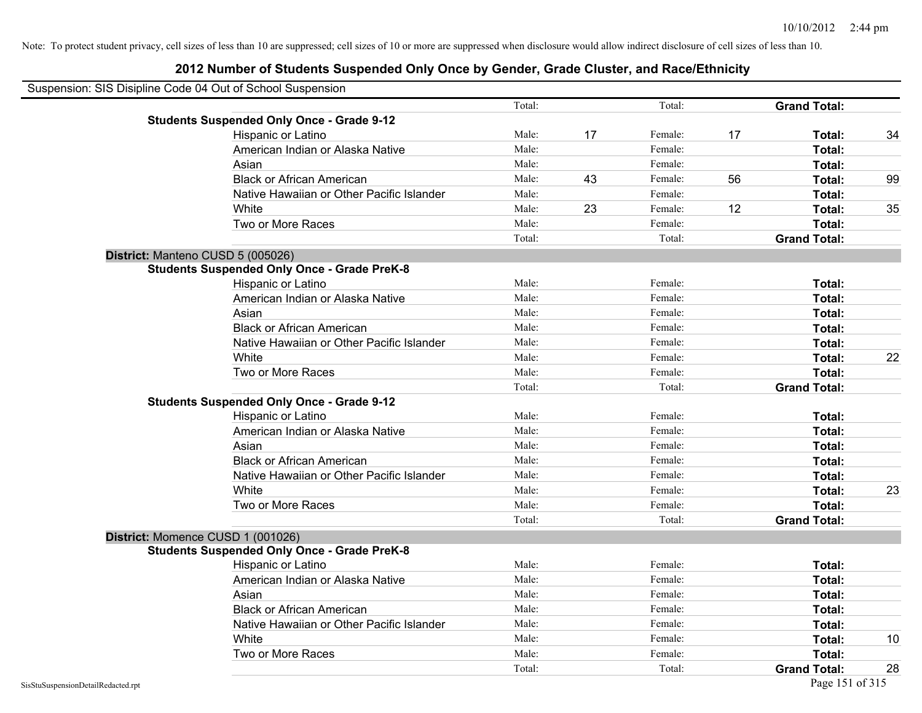| Suspension: SIS Disipline Code 04 Out of School Suspension |        |    |         |    |                     |    |
|------------------------------------------------------------|--------|----|---------|----|---------------------|----|
|                                                            | Total: |    | Total:  |    | <b>Grand Total:</b> |    |
| <b>Students Suspended Only Once - Grade 9-12</b>           |        |    |         |    |                     |    |
| Hispanic or Latino                                         | Male:  | 17 | Female: | 17 | Total:              | 34 |
| American Indian or Alaska Native                           | Male:  |    | Female: |    | Total:              |    |
| Asian                                                      | Male:  |    | Female: |    | Total:              |    |
| <b>Black or African American</b>                           | Male:  | 43 | Female: | 56 | Total:              | 99 |
| Native Hawaiian or Other Pacific Islander                  | Male:  |    | Female: |    | Total:              |    |
| White                                                      | Male:  | 23 | Female: | 12 | Total:              | 35 |
| Two or More Races                                          | Male:  |    | Female: |    | Total:              |    |
|                                                            | Total: |    | Total:  |    | <b>Grand Total:</b> |    |
| District: Manteno CUSD 5 (005026)                          |        |    |         |    |                     |    |
| <b>Students Suspended Only Once - Grade PreK-8</b>         |        |    |         |    |                     |    |
| Hispanic or Latino                                         | Male:  |    | Female: |    | Total:              |    |
| American Indian or Alaska Native                           | Male:  |    | Female: |    | Total:              |    |
| Asian                                                      | Male:  |    | Female: |    | Total:              |    |
| <b>Black or African American</b>                           | Male:  |    | Female: |    | Total:              |    |
| Native Hawaiian or Other Pacific Islander                  | Male:  |    | Female: |    | Total:              |    |
| White                                                      | Male:  |    | Female: |    | Total:              | 22 |
| Two or More Races                                          | Male:  |    | Female: |    | Total:              |    |
|                                                            | Total: |    | Total:  |    | <b>Grand Total:</b> |    |
| <b>Students Suspended Only Once - Grade 9-12</b>           |        |    |         |    |                     |    |
| Hispanic or Latino                                         | Male:  |    | Female: |    | Total:              |    |
| American Indian or Alaska Native                           | Male:  |    | Female: |    | Total:              |    |
| Asian                                                      | Male:  |    | Female: |    | Total:              |    |
| <b>Black or African American</b>                           | Male:  |    | Female: |    | Total:              |    |
| Native Hawaiian or Other Pacific Islander                  | Male:  |    | Female: |    | Total:              |    |
| White                                                      | Male:  |    | Female: |    | Total:              | 23 |
| Two or More Races                                          | Male:  |    | Female: |    | Total:              |    |
|                                                            | Total: |    | Total:  |    | <b>Grand Total:</b> |    |
| District: Momence CUSD 1 (001026)                          |        |    |         |    |                     |    |
| <b>Students Suspended Only Once - Grade PreK-8</b>         |        |    |         |    |                     |    |
| Hispanic or Latino                                         | Male:  |    | Female: |    | Total:              |    |
| American Indian or Alaska Native                           | Male:  |    | Female: |    | Total:              |    |
| Asian                                                      | Male:  |    | Female: |    | Total:              |    |
| <b>Black or African American</b>                           | Male:  |    | Female: |    | Total:              |    |
| Native Hawaiian or Other Pacific Islander                  | Male:  |    | Female: |    | Total:              |    |
| White                                                      | Male:  |    | Female: |    | Total:              | 10 |
| Two or More Races                                          | Male:  |    | Female: |    | <b>Total:</b>       |    |
|                                                            | Total: |    | Total:  |    | <b>Grand Total:</b> | 28 |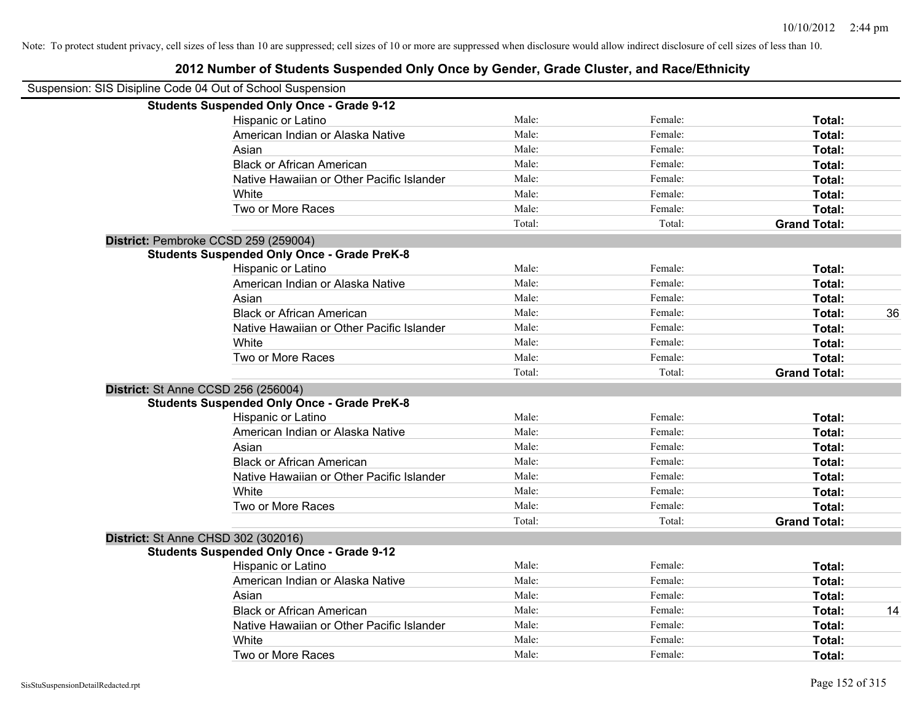| Suspension: SIS Disipline Code 04 Out of School Suspension |        |         |                     |    |
|------------------------------------------------------------|--------|---------|---------------------|----|
| <b>Students Suspended Only Once - Grade 9-12</b>           |        |         |                     |    |
| Hispanic or Latino                                         | Male:  | Female: | Total:              |    |
| American Indian or Alaska Native                           | Male:  | Female: | Total:              |    |
| Asian                                                      | Male:  | Female: | Total:              |    |
| <b>Black or African American</b>                           | Male:  | Female: | Total:              |    |
| Native Hawaiian or Other Pacific Islander                  | Male:  | Female: | Total:              |    |
| White                                                      | Male:  | Female: | Total:              |    |
| Two or More Races                                          | Male:  | Female: | Total:              |    |
|                                                            | Total: | Total:  | <b>Grand Total:</b> |    |
| District: Pembroke CCSD 259 (259004)                       |        |         |                     |    |
| <b>Students Suspended Only Once - Grade PreK-8</b>         |        |         |                     |    |
| Hispanic or Latino                                         | Male:  | Female: | Total:              |    |
| American Indian or Alaska Native                           | Male:  | Female: | Total:              |    |
| Asian                                                      | Male:  | Female: | Total:              |    |
| <b>Black or African American</b>                           | Male:  | Female: | Total:              | 36 |
| Native Hawaiian or Other Pacific Islander                  | Male:  | Female: | Total:              |    |
| White                                                      | Male:  | Female: | Total:              |    |
| Two or More Races                                          | Male:  | Female: | Total:              |    |
|                                                            | Total: | Total:  | <b>Grand Total:</b> |    |
| District: St Anne CCSD 256 (256004)                        |        |         |                     |    |
| <b>Students Suspended Only Once - Grade PreK-8</b>         |        |         |                     |    |
| Hispanic or Latino                                         | Male:  | Female: | Total:              |    |
| American Indian or Alaska Native                           | Male:  | Female: | Total:              |    |
| Asian                                                      | Male:  | Female: | Total:              |    |
| <b>Black or African American</b>                           | Male:  | Female: | Total:              |    |
| Native Hawaiian or Other Pacific Islander                  | Male:  | Female: | Total:              |    |
| White                                                      | Male:  | Female: | Total:              |    |
| Two or More Races                                          | Male:  | Female: | Total:              |    |
|                                                            | Total: | Total:  | <b>Grand Total:</b> |    |
| District: St Anne CHSD 302 (302016)                        |        |         |                     |    |
| <b>Students Suspended Only Once - Grade 9-12</b>           |        |         |                     |    |
| Hispanic or Latino                                         | Male:  | Female: | Total:              |    |
| American Indian or Alaska Native                           | Male:  | Female: | Total:              |    |
| Asian                                                      | Male:  | Female: | Total:              |    |
| <b>Black or African American</b>                           | Male:  | Female: | Total:              | 14 |
| Native Hawaiian or Other Pacific Islander                  | Male:  | Female: | Total:              |    |
| White                                                      | Male:  | Female: | Total:              |    |
| Two or More Races                                          | Male:  | Female: | Total:              |    |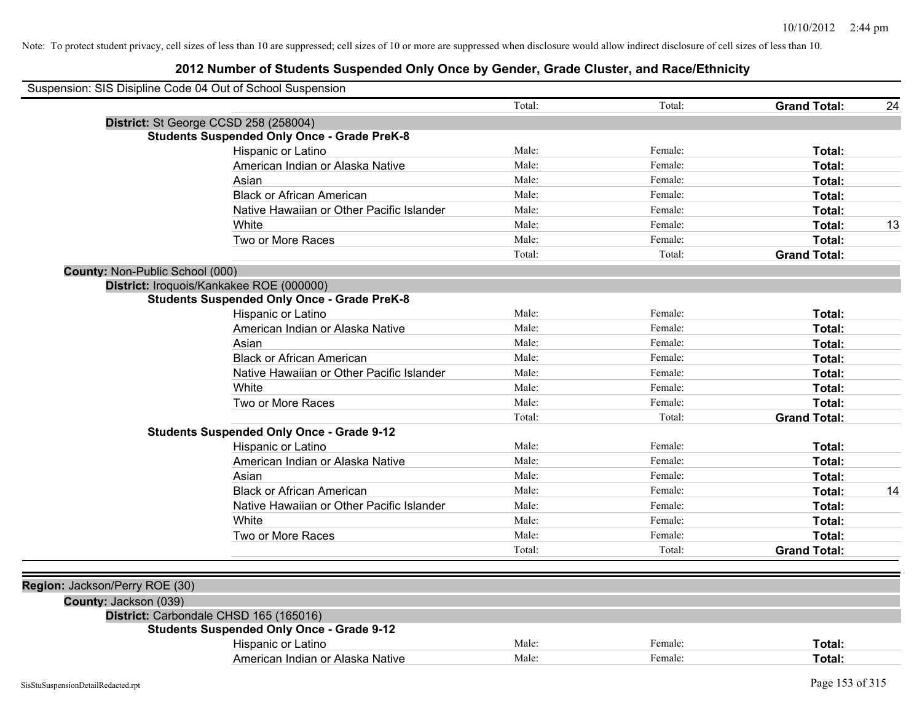|                                 | Suspension: SIS Disipline Code 04 Out of School Suspension |        |         |                     |    |
|---------------------------------|------------------------------------------------------------|--------|---------|---------------------|----|
|                                 |                                                            | Total: | Total:  | <b>Grand Total:</b> | 24 |
|                                 | District: St George CCSD 258 (258004)                      |        |         |                     |    |
|                                 | <b>Students Suspended Only Once - Grade PreK-8</b>         |        |         |                     |    |
|                                 | Hispanic or Latino                                         | Male:  | Female: | Total:              |    |
|                                 | American Indian or Alaska Native                           | Male:  | Female: | Total:              |    |
|                                 | Asian                                                      | Male:  | Female: | Total:              |    |
|                                 | <b>Black or African American</b>                           | Male:  | Female: | Total:              |    |
|                                 | Native Hawaiian or Other Pacific Islander                  | Male:  | Female: | Total:              |    |
|                                 | White                                                      | Male:  | Female: | Total:              | 13 |
|                                 | Two or More Races                                          | Male:  | Female: | Total:              |    |
|                                 |                                                            | Total: | Total:  | <b>Grand Total:</b> |    |
| County: Non-Public School (000) |                                                            |        |         |                     |    |
|                                 | District: Iroquois/Kankakee ROE (000000)                   |        |         |                     |    |
|                                 | <b>Students Suspended Only Once - Grade PreK-8</b>         |        |         |                     |    |
|                                 | Hispanic or Latino                                         | Male:  | Female: | Total:              |    |
|                                 | American Indian or Alaska Native                           | Male:  | Female: | Total:              |    |
|                                 | Asian                                                      | Male:  | Female: | Total:              |    |
|                                 | <b>Black or African American</b>                           | Male:  | Female: | Total:              |    |
|                                 | Native Hawaiian or Other Pacific Islander                  | Male:  | Female: | Total:              |    |
|                                 | White                                                      | Male:  | Female: | Total:              |    |
|                                 | Two or More Races                                          | Male:  | Female: | Total:              |    |
|                                 |                                                            | Total: | Total:  | <b>Grand Total:</b> |    |
|                                 | <b>Students Suspended Only Once - Grade 9-12</b>           |        |         |                     |    |
|                                 | Hispanic or Latino                                         | Male:  | Female: | Total:              |    |
|                                 | American Indian or Alaska Native                           | Male:  | Female: | Total:              |    |
|                                 | Asian                                                      | Male:  | Female: | Total:              |    |
|                                 | <b>Black or African American</b>                           | Male:  | Female: | Total:              | 14 |
|                                 | Native Hawaiian or Other Pacific Islander                  | Male:  | Female: | Total:              |    |
|                                 | White                                                      | Male:  | Female: | Total:              |    |
|                                 | Two or More Races                                          | Male:  | Female: | Total:              |    |
|                                 |                                                            | Total: | Total:  | <b>Grand Total:</b> |    |
|                                 |                                                            |        |         |                     |    |
| Region: Jackson/Perry ROE (30)  |                                                            |        |         |                     |    |
| County: Jackson (039)           |                                                            |        |         |                     |    |
|                                 | District: Carbondale CHSD 165 (165016)                     |        |         |                     |    |
|                                 | <b>Students Suspended Only Once - Grade 9-12</b>           |        |         |                     |    |
|                                 | Hispanic or Latino                                         | Male:  | Female: | Total:              |    |
|                                 | American Indian or Alaska Native                           | Male:  | Female: | Total:              |    |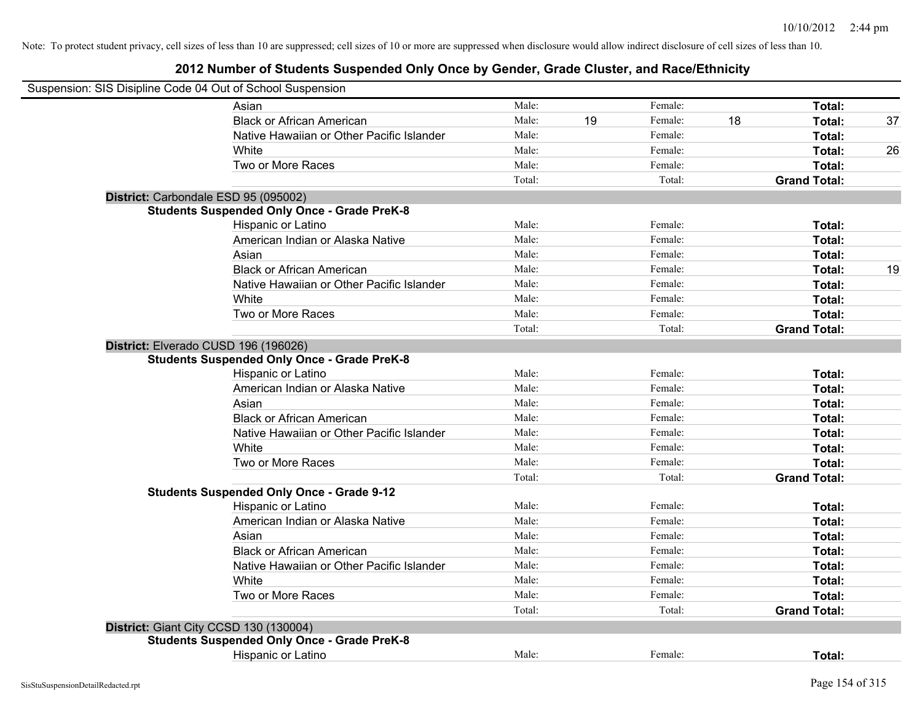| Suspension: SIS Disipline Code 04 Out of School Suspension                                   |        |    |         |    |                     |    |
|----------------------------------------------------------------------------------------------|--------|----|---------|----|---------------------|----|
| Asian                                                                                        | Male:  |    | Female: |    | Total:              |    |
| <b>Black or African American</b>                                                             | Male:  | 19 | Female: | 18 | Total:              | 37 |
| Native Hawaiian or Other Pacific Islander                                                    | Male:  |    | Female: |    | Total:              |    |
| White                                                                                        | Male:  |    | Female: |    | Total:              | 26 |
| Two or More Races                                                                            | Male:  |    | Female: |    | Total:              |    |
|                                                                                              | Total: |    | Total:  |    | <b>Grand Total:</b> |    |
| District: Carbondale ESD 95 (095002)                                                         |        |    |         |    |                     |    |
| <b>Students Suspended Only Once - Grade PreK-8</b>                                           |        |    |         |    |                     |    |
| Hispanic or Latino                                                                           | Male:  |    | Female: |    | Total:              |    |
| American Indian or Alaska Native                                                             | Male:  |    | Female: |    | Total:              |    |
| Asian                                                                                        | Male:  |    | Female: |    | Total:              |    |
| <b>Black or African American</b>                                                             | Male:  |    | Female: |    | Total:              | 19 |
| Native Hawaiian or Other Pacific Islander                                                    | Male:  |    | Female: |    | Total:              |    |
| White                                                                                        | Male:  |    | Female: |    | Total:              |    |
| Two or More Races                                                                            | Male:  |    | Female: |    | Total:              |    |
|                                                                                              | Total: |    | Total:  |    | <b>Grand Total:</b> |    |
| District: Elverado CUSD 196 (196026)<br><b>Students Suspended Only Once - Grade PreK-8</b>   |        |    |         |    |                     |    |
| Hispanic or Latino                                                                           | Male:  |    | Female: |    | Total:              |    |
| American Indian or Alaska Native                                                             | Male:  |    | Female: |    | Total:              |    |
| Asian                                                                                        | Male:  |    | Female: |    | Total:              |    |
| <b>Black or African American</b>                                                             | Male:  |    | Female: |    | Total:              |    |
| Native Hawaiian or Other Pacific Islander                                                    | Male:  |    | Female: |    | Total:              |    |
| White                                                                                        | Male:  |    | Female: |    | Total:              |    |
| Two or More Races                                                                            | Male:  |    | Female: |    | Total:              |    |
|                                                                                              | Total: |    | Total:  |    | <b>Grand Total:</b> |    |
| <b>Students Suspended Only Once - Grade 9-12</b>                                             | Male:  |    | Female: |    | Total:              |    |
| Hispanic or Latino<br>American Indian or Alaska Native                                       | Male:  |    | Female: |    | Total:              |    |
| Asian                                                                                        | Male:  |    | Female: |    | Total:              |    |
| <b>Black or African American</b>                                                             | Male:  |    | Female: |    | Total:              |    |
| Native Hawaiian or Other Pacific Islander                                                    | Male:  |    | Female: |    | Total:              |    |
| White                                                                                        | Male:  |    | Female: |    | Total:              |    |
| Two or More Races                                                                            | Male:  |    | Female: |    | Total:              |    |
|                                                                                              | Total: |    | Total:  |    | <b>Grand Total:</b> |    |
|                                                                                              |        |    |         |    |                     |    |
| District: Giant City CCSD 130 (130004)<br><b>Students Suspended Only Once - Grade PreK-8</b> |        |    |         |    |                     |    |
| Hispanic or Latino                                                                           | Male:  |    | Female: |    | Total:              |    |
|                                                                                              |        |    |         |    |                     |    |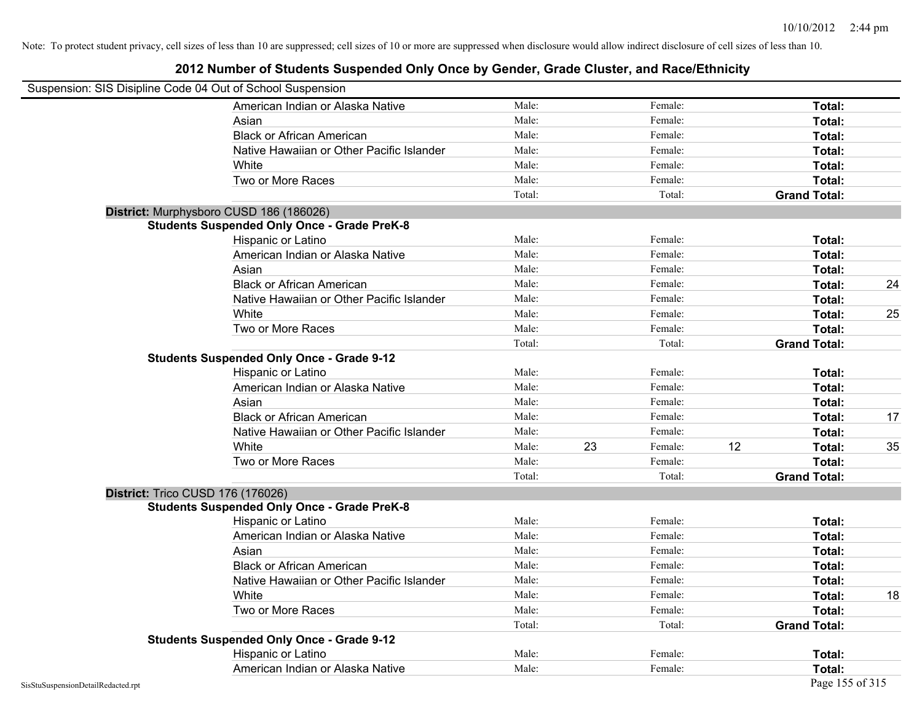|                                    | Suspension: SIS Disipline Code 04 Out of School Suspension |        |    |         |    |                     |    |
|------------------------------------|------------------------------------------------------------|--------|----|---------|----|---------------------|----|
|                                    | American Indian or Alaska Native                           | Male:  |    | Female: |    | Total:              |    |
|                                    | Asian                                                      | Male:  |    | Female: |    | Total:              |    |
|                                    | <b>Black or African American</b>                           | Male:  |    | Female: |    | Total:              |    |
|                                    | Native Hawaiian or Other Pacific Islander                  | Male:  |    | Female: |    | Total:              |    |
|                                    | White                                                      | Male:  |    | Female: |    | Total:              |    |
|                                    | Two or More Races                                          | Male:  |    | Female: |    | Total:              |    |
|                                    |                                                            | Total: |    | Total:  |    | <b>Grand Total:</b> |    |
|                                    | District: Murphysboro CUSD 186 (186026)                    |        |    |         |    |                     |    |
|                                    | <b>Students Suspended Only Once - Grade PreK-8</b>         |        |    |         |    |                     |    |
|                                    | Hispanic or Latino                                         | Male:  |    | Female: |    | Total:              |    |
|                                    | American Indian or Alaska Native                           | Male:  |    | Female: |    | Total:              |    |
|                                    | Asian                                                      | Male:  |    | Female: |    | Total:              |    |
|                                    | <b>Black or African American</b>                           | Male:  |    | Female: |    | Total:              | 24 |
|                                    | Native Hawaiian or Other Pacific Islander                  | Male:  |    | Female: |    | Total:              |    |
|                                    | White                                                      | Male:  |    | Female: |    | Total:              | 25 |
|                                    | Two or More Races                                          | Male:  |    | Female: |    | Total:              |    |
|                                    |                                                            | Total: |    | Total:  |    | <b>Grand Total:</b> |    |
|                                    | <b>Students Suspended Only Once - Grade 9-12</b>           |        |    |         |    |                     |    |
|                                    | Hispanic or Latino                                         | Male:  |    | Female: |    | Total:              |    |
|                                    | American Indian or Alaska Native                           | Male:  |    | Female: |    | Total:              |    |
|                                    | Asian                                                      | Male:  |    | Female: |    | Total:              |    |
|                                    | <b>Black or African American</b>                           | Male:  |    | Female: |    | Total:              | 17 |
|                                    | Native Hawaiian or Other Pacific Islander                  | Male:  |    | Female: |    | Total:              |    |
|                                    | White                                                      | Male:  | 23 | Female: | 12 | Total:              | 35 |
|                                    | Two or More Races                                          | Male:  |    | Female: |    | Total:              |    |
|                                    |                                                            | Total: |    | Total:  |    | <b>Grand Total:</b> |    |
|                                    | District: Trico CUSD 176 (176026)                          |        |    |         |    |                     |    |
|                                    | <b>Students Suspended Only Once - Grade PreK-8</b>         |        |    |         |    |                     |    |
|                                    | Hispanic or Latino                                         | Male:  |    | Female: |    | Total:              |    |
|                                    | American Indian or Alaska Native                           | Male:  |    | Female: |    | Total:              |    |
|                                    | Asian                                                      | Male:  |    | Female: |    | Total:              |    |
|                                    | <b>Black or African American</b>                           | Male:  |    | Female: |    | Total:              |    |
|                                    | Native Hawaiian or Other Pacific Islander                  | Male:  |    | Female: |    | Total:              |    |
|                                    | White                                                      | Male:  |    | Female: |    | Total:              | 18 |
|                                    | Two or More Races                                          | Male:  |    | Female: |    | Total:              |    |
|                                    |                                                            | Total: |    | Total:  |    | <b>Grand Total:</b> |    |
|                                    | <b>Students Suspended Only Once - Grade 9-12</b>           |        |    |         |    |                     |    |
|                                    | Hispanic or Latino                                         | Male:  |    | Female: |    | Total:              |    |
|                                    | American Indian or Alaska Native                           | Male:  |    | Female: |    | Total:              |    |
| SisStuSuspensionDetailRedacted.rpt |                                                            |        |    |         |    | Page 155 of 315     |    |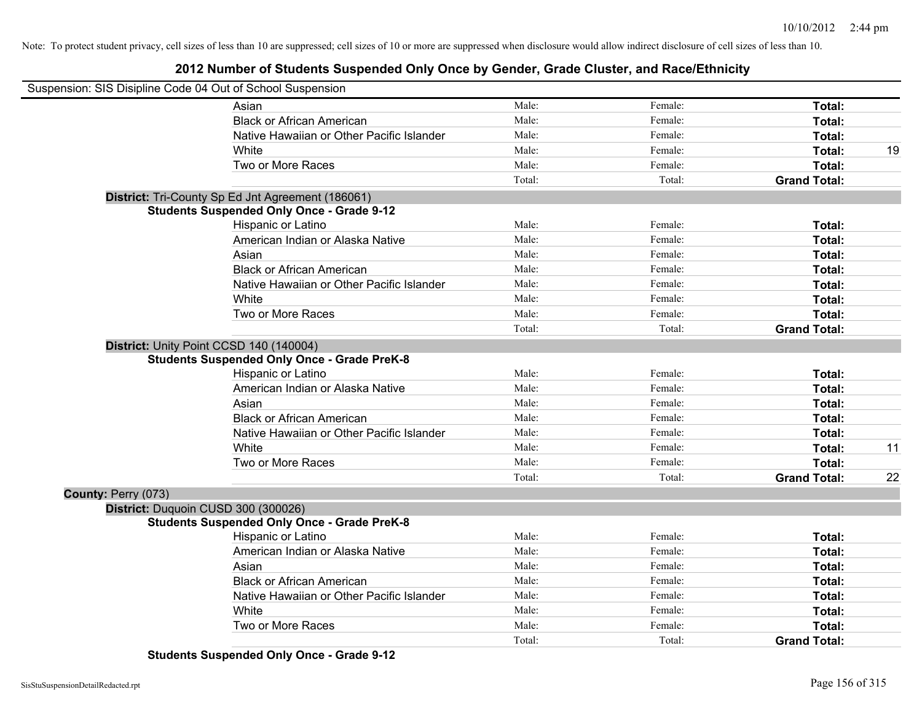#### **2012 Number of Students Suspended Only Once by Gender, Grade Cluster, and Race/Ethnicity**

| Suspension: SIS Disipline Code 04 Out of School Suspension |                                                    |        |         |                     |    |
|------------------------------------------------------------|----------------------------------------------------|--------|---------|---------------------|----|
|                                                            | Asian                                              | Male:  | Female: | Total:              |    |
|                                                            | <b>Black or African American</b>                   | Male:  | Female: | Total:              |    |
|                                                            | Native Hawaiian or Other Pacific Islander          | Male:  | Female: | Total:              |    |
|                                                            | White                                              | Male:  | Female: | Total:              | 19 |
|                                                            | Two or More Races                                  | Male:  | Female: | Total:              |    |
|                                                            |                                                    | Total: | Total:  | <b>Grand Total:</b> |    |
|                                                            | District: Tri-County Sp Ed Jnt Agreement (186061)  |        |         |                     |    |
|                                                            | <b>Students Suspended Only Once - Grade 9-12</b>   |        |         |                     |    |
|                                                            | <b>Hispanic or Latino</b>                          | Male:  | Female: | Total:              |    |
|                                                            | American Indian or Alaska Native                   | Male:  | Female: | Total:              |    |
|                                                            | Asian                                              | Male:  | Female: | Total:              |    |
|                                                            | <b>Black or African American</b>                   | Male:  | Female: | Total:              |    |
|                                                            | Native Hawaiian or Other Pacific Islander          | Male:  | Female: | Total:              |    |
|                                                            | White                                              | Male:  | Female: | Total:              |    |
|                                                            | Two or More Races                                  | Male:  | Female: | Total:              |    |
|                                                            |                                                    | Total: | Total:  | <b>Grand Total:</b> |    |
|                                                            | District: Unity Point CCSD 140 (140004)            |        |         |                     |    |
|                                                            | <b>Students Suspended Only Once - Grade PreK-8</b> |        |         |                     |    |
|                                                            | <b>Hispanic or Latino</b>                          | Male:  | Female: | Total:              |    |
|                                                            | American Indian or Alaska Native                   | Male:  | Female: | Total:              |    |
|                                                            | Asian                                              | Male:  | Female: | Total:              |    |
|                                                            | <b>Black or African American</b>                   | Male:  | Female: | Total:              |    |
|                                                            | Native Hawaiian or Other Pacific Islander          | Male:  | Female: | Total:              |    |
|                                                            | White                                              | Male:  | Female: | Total:              | 11 |
|                                                            | Two or More Races                                  | Male:  | Female: | Total:              |    |
|                                                            |                                                    | Total: | Total:  | <b>Grand Total:</b> | 22 |
| County: Perry (073)                                        |                                                    |        |         |                     |    |
|                                                            | District: Duquoin CUSD 300 (300026)                |        |         |                     |    |
|                                                            | <b>Students Suspended Only Once - Grade PreK-8</b> |        |         |                     |    |
|                                                            | Hispanic or Latino                                 | Male:  | Female: | Total:              |    |
|                                                            | American Indian or Alaska Native                   | Male:  | Female: | Total:              |    |
|                                                            | Asian                                              | Male:  | Female: | Total:              |    |
|                                                            | <b>Black or African American</b>                   | Male:  | Female: | Total:              |    |
|                                                            | Native Hawaiian or Other Pacific Islander          | Male:  | Female: | Total:              |    |
|                                                            | White                                              | Male:  | Female: | Total:              |    |
|                                                            | Two or More Races                                  | Male:  | Female: | <b>Total:</b>       |    |
|                                                            |                                                    | Total: | Total:  | <b>Grand Total:</b> |    |

**Students Suspended Only Once - Grade 9-12**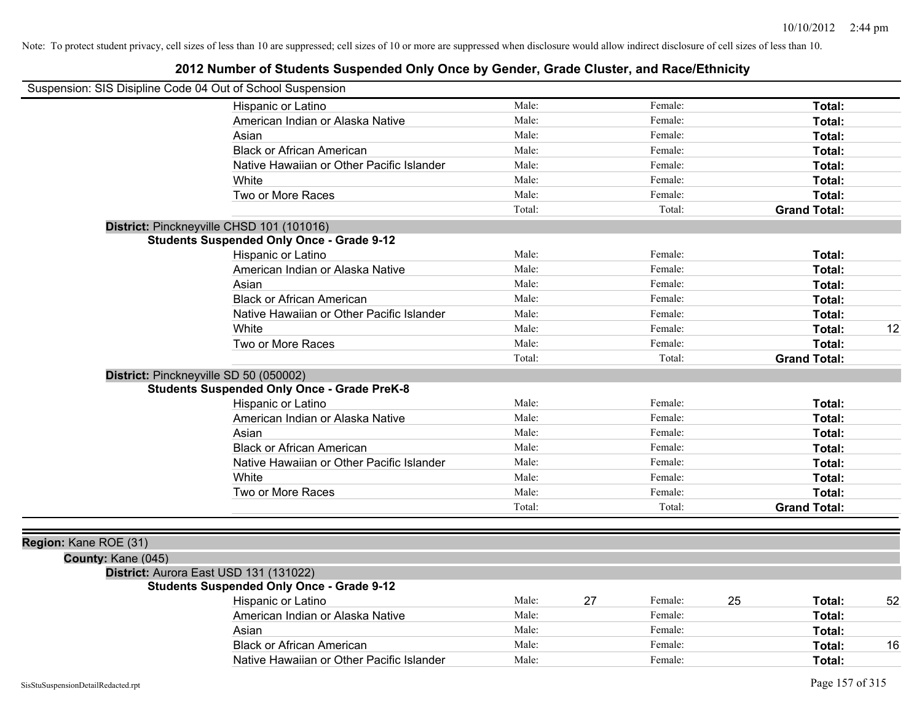| Suspension: SIS Disipline Code 04 Out of School Suspension |                                                    |        |    |         |    |                     |    |
|------------------------------------------------------------|----------------------------------------------------|--------|----|---------|----|---------------------|----|
|                                                            | Hispanic or Latino                                 | Male:  |    | Female: |    | Total:              |    |
|                                                            | American Indian or Alaska Native                   | Male:  |    | Female: |    | Total:              |    |
|                                                            | Asian                                              | Male:  |    | Female: |    | Total:              |    |
|                                                            | <b>Black or African American</b>                   | Male:  |    | Female: |    | Total:              |    |
|                                                            | Native Hawaiian or Other Pacific Islander          | Male:  |    | Female: |    | Total:              |    |
|                                                            | White                                              | Male:  |    | Female: |    | Total:              |    |
|                                                            | Two or More Races                                  | Male:  |    | Female: |    | Total:              |    |
|                                                            |                                                    | Total: |    | Total:  |    | <b>Grand Total:</b> |    |
|                                                            | District: Pinckneyville CHSD 101 (101016)          |        |    |         |    |                     |    |
|                                                            | <b>Students Suspended Only Once - Grade 9-12</b>   |        |    |         |    |                     |    |
|                                                            | Hispanic or Latino                                 | Male:  |    | Female: |    | Total:              |    |
|                                                            | American Indian or Alaska Native                   | Male:  |    | Female: |    | Total:              |    |
|                                                            | Asian                                              | Male:  |    | Female: |    | Total:              |    |
|                                                            | <b>Black or African American</b>                   | Male:  |    | Female: |    | Total:              |    |
|                                                            | Native Hawaiian or Other Pacific Islander          | Male:  |    | Female: |    | Total:              |    |
|                                                            | White                                              | Male:  |    | Female: |    | Total:              | 12 |
|                                                            | Two or More Races                                  | Male:  |    | Female: |    | Total:              |    |
|                                                            |                                                    | Total: |    | Total:  |    | <b>Grand Total:</b> |    |
|                                                            | District: Pinckneyville SD 50 (050002)             |        |    |         |    |                     |    |
|                                                            | <b>Students Suspended Only Once - Grade PreK-8</b> |        |    |         |    |                     |    |
|                                                            | Hispanic or Latino                                 | Male:  |    | Female: |    | Total:              |    |
|                                                            | American Indian or Alaska Native                   | Male:  |    | Female: |    | Total:              |    |
|                                                            | Asian                                              | Male:  |    | Female: |    | Total:              |    |
|                                                            | <b>Black or African American</b>                   | Male:  |    | Female: |    | Total:              |    |
|                                                            | Native Hawaiian or Other Pacific Islander          | Male:  |    | Female: |    | Total:              |    |
|                                                            | White                                              | Male:  |    | Female: |    | Total:              |    |
|                                                            | Two or More Races                                  | Male:  |    | Female: |    | Total:              |    |
|                                                            |                                                    | Total: |    | Total:  |    | <b>Grand Total:</b> |    |
|                                                            |                                                    |        |    |         |    |                     |    |
| Region: Kane ROE (31)                                      |                                                    |        |    |         |    |                     |    |
| County: Kane (045)                                         |                                                    |        |    |         |    |                     |    |
|                                                            | District: Aurora East USD 131 (131022)             |        |    |         |    |                     |    |
|                                                            | <b>Students Suspended Only Once - Grade 9-12</b>   |        |    |         |    |                     |    |
|                                                            | Hispanic or Latino                                 | Male:  | 27 | Female: | 25 | Total:              | 52 |
|                                                            | American Indian or Alaska Native                   | Male:  |    | Female: |    | Total:              |    |
|                                                            | Asian                                              | Male:  |    | Female: |    | Total:              |    |
|                                                            | <b>Black or African American</b>                   | Male:  |    | Female: |    | Total:              | 16 |
|                                                            | Native Hawaiian or Other Pacific Islander          | Male:  |    | Female: |    | Total:              |    |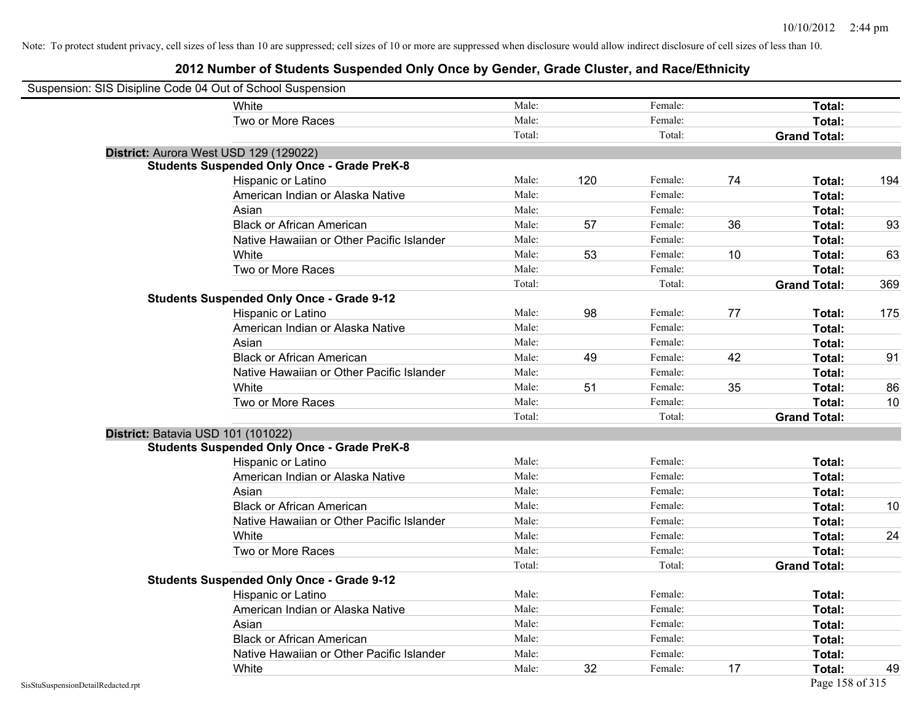| Suspension: SIS Disipline Code 04 Out of School Suspension |                                                    |        |     |         |    |                     |     |
|------------------------------------------------------------|----------------------------------------------------|--------|-----|---------|----|---------------------|-----|
|                                                            | White                                              | Male:  |     | Female: |    | Total:              |     |
|                                                            | Two or More Races                                  | Male:  |     | Female: |    | Total:              |     |
|                                                            |                                                    | Total: |     | Total:  |    | <b>Grand Total:</b> |     |
| District: Aurora West USD 129 (129022)                     |                                                    |        |     |         |    |                     |     |
|                                                            | <b>Students Suspended Only Once - Grade PreK-8</b> |        |     |         |    |                     |     |
|                                                            | Hispanic or Latino                                 | Male:  | 120 | Female: | 74 | Total:              | 194 |
|                                                            | American Indian or Alaska Native                   | Male:  |     | Female: |    | Total:              |     |
|                                                            | Asian                                              | Male:  |     | Female: |    | Total:              |     |
|                                                            | <b>Black or African American</b>                   | Male:  | 57  | Female: | 36 | Total:              | 93  |
|                                                            | Native Hawaiian or Other Pacific Islander          | Male:  |     | Female: |    | Total:              |     |
|                                                            | White                                              | Male:  | 53  | Female: | 10 | Total:              | 63  |
|                                                            | Two or More Races                                  | Male:  |     | Female: |    | Total:              |     |
|                                                            |                                                    | Total: |     | Total:  |    | <b>Grand Total:</b> | 369 |
|                                                            | <b>Students Suspended Only Once - Grade 9-12</b>   |        |     |         |    |                     |     |
|                                                            | Hispanic or Latino                                 | Male:  | 98  | Female: | 77 | Total:              | 175 |
|                                                            | American Indian or Alaska Native                   | Male:  |     | Female: |    | Total:              |     |
|                                                            | Asian                                              | Male:  |     | Female: |    | Total:              |     |
|                                                            | <b>Black or African American</b>                   | Male:  | 49  | Female: | 42 | Total:              | 91  |
|                                                            | Native Hawaiian or Other Pacific Islander          | Male:  |     | Female: |    | Total:              |     |
|                                                            | White                                              | Male:  | 51  | Female: | 35 | Total:              | 86  |
|                                                            | Two or More Races                                  | Male:  |     | Female: |    | Total:              | 10  |
|                                                            |                                                    | Total: |     | Total:  |    | <b>Grand Total:</b> |     |
| District: Batavia USD 101 (101022)                         |                                                    |        |     |         |    |                     |     |
|                                                            | <b>Students Suspended Only Once - Grade PreK-8</b> |        |     |         |    |                     |     |
|                                                            | Hispanic or Latino                                 | Male:  |     | Female: |    | Total:              |     |
|                                                            | American Indian or Alaska Native                   | Male:  |     | Female: |    | Total:              |     |
|                                                            | Asian                                              | Male:  |     | Female: |    | Total:              |     |
|                                                            | <b>Black or African American</b>                   | Male:  |     | Female: |    | Total:              | 10  |
|                                                            | Native Hawaiian or Other Pacific Islander          | Male:  |     | Female: |    | Total:              |     |
|                                                            | White                                              | Male:  |     | Female: |    | Total:              | 24  |
|                                                            | Two or More Races                                  | Male:  |     | Female: |    | Total:              |     |
|                                                            |                                                    | Total: |     | Total:  |    | <b>Grand Total:</b> |     |
|                                                            | <b>Students Suspended Only Once - Grade 9-12</b>   |        |     |         |    |                     |     |
|                                                            | Hispanic or Latino                                 | Male:  |     | Female: |    | Total:              |     |
|                                                            | American Indian or Alaska Native                   | Male:  |     | Female: |    | Total:              |     |
|                                                            | Asian                                              | Male:  |     | Female: |    | Total:              |     |
|                                                            | <b>Black or African American</b>                   | Male:  |     | Female: |    | Total:              |     |
|                                                            | Native Hawaiian or Other Pacific Islander          | Male:  |     | Female: |    | Total:              |     |
|                                                            | White                                              | Male:  | 32  | Female: | 17 | Total:              | 49  |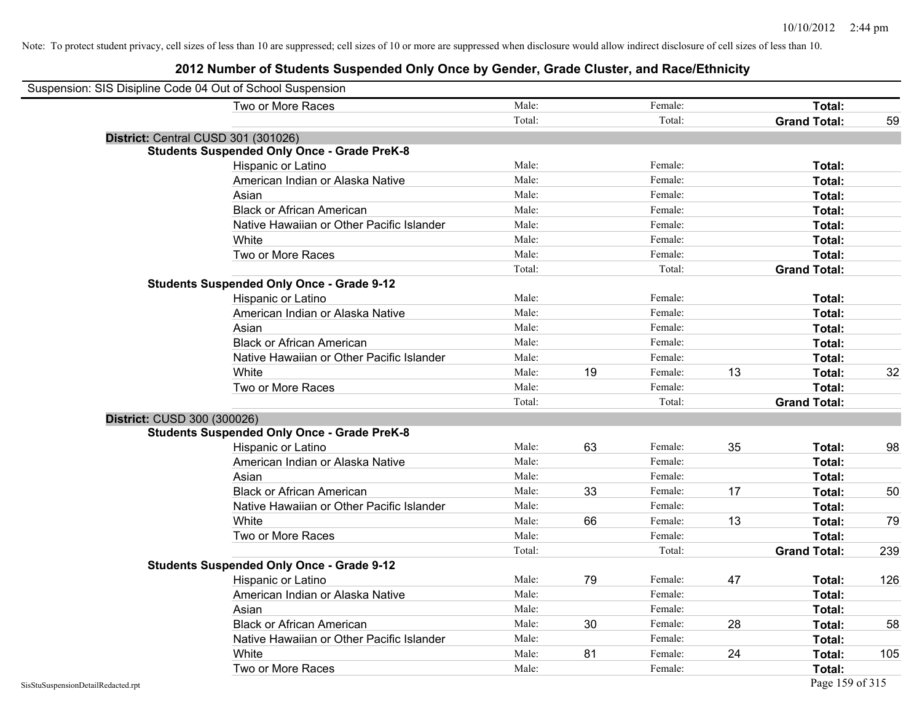| Suspension: SIS Disipline Code 04 Out of School Suspension |                                                    |        |    |         |    |                     |     |
|------------------------------------------------------------|----------------------------------------------------|--------|----|---------|----|---------------------|-----|
|                                                            | Two or More Races                                  | Male:  |    | Female: |    | <b>Total:</b>       |     |
|                                                            |                                                    | Total: |    | Total:  |    | <b>Grand Total:</b> | 59  |
| District: Central CUSD 301 (301026)                        |                                                    |        |    |         |    |                     |     |
|                                                            | <b>Students Suspended Only Once - Grade PreK-8</b> |        |    |         |    |                     |     |
|                                                            | Hispanic or Latino                                 | Male:  |    | Female: |    | Total:              |     |
|                                                            | American Indian or Alaska Native                   | Male:  |    | Female: |    | Total:              |     |
|                                                            | Asian                                              | Male:  |    | Female: |    | Total:              |     |
|                                                            | <b>Black or African American</b>                   | Male:  |    | Female: |    | Total:              |     |
|                                                            | Native Hawaiian or Other Pacific Islander          | Male:  |    | Female: |    | Total:              |     |
|                                                            | White                                              | Male:  |    | Female: |    | Total:              |     |
|                                                            | Two or More Races                                  | Male:  |    | Female: |    | Total:              |     |
|                                                            |                                                    | Total: |    | Total:  |    | <b>Grand Total:</b> |     |
|                                                            | <b>Students Suspended Only Once - Grade 9-12</b>   |        |    |         |    |                     |     |
|                                                            | Hispanic or Latino                                 | Male:  |    | Female: |    | Total:              |     |
|                                                            | American Indian or Alaska Native                   | Male:  |    | Female: |    | Total:              |     |
|                                                            | Asian                                              | Male:  |    | Female: |    | Total:              |     |
|                                                            | <b>Black or African American</b>                   | Male:  |    | Female: |    | Total:              |     |
|                                                            | Native Hawaiian or Other Pacific Islander          | Male:  |    | Female: |    | Total:              |     |
|                                                            | White                                              | Male:  | 19 | Female: | 13 | Total:              | 32  |
|                                                            | Two or More Races                                  | Male:  |    | Female: |    | Total:              |     |
|                                                            |                                                    | Total: |    | Total:  |    | <b>Grand Total:</b> |     |
| District: CUSD 300 (300026)                                |                                                    |        |    |         |    |                     |     |
|                                                            | <b>Students Suspended Only Once - Grade PreK-8</b> |        |    |         |    |                     |     |
|                                                            | Hispanic or Latino                                 | Male:  | 63 | Female: | 35 | Total:              | 98  |
|                                                            | American Indian or Alaska Native                   | Male:  |    | Female: |    | Total:              |     |
|                                                            | Asian                                              | Male:  |    | Female: |    | Total:              |     |
|                                                            | <b>Black or African American</b>                   | Male:  | 33 | Female: | 17 | Total:              | 50  |
|                                                            | Native Hawaiian or Other Pacific Islander          | Male:  |    | Female: |    | Total:              |     |
|                                                            | White                                              | Male:  | 66 | Female: | 13 | Total:              | 79  |
|                                                            | Two or More Races                                  | Male:  |    | Female: |    | Total:              |     |
|                                                            |                                                    | Total: |    | Total:  |    | <b>Grand Total:</b> | 239 |
|                                                            | <b>Students Suspended Only Once - Grade 9-12</b>   |        |    |         |    |                     |     |
|                                                            | Hispanic or Latino                                 | Male:  | 79 | Female: | 47 | Total:              | 126 |
|                                                            | American Indian or Alaska Native                   | Male:  |    | Female: |    | Total:              |     |
|                                                            | Asian                                              | Male:  |    | Female: |    | Total:              |     |
|                                                            | <b>Black or African American</b>                   | Male:  | 30 | Female: | 28 | Total:              | 58  |
|                                                            | Native Hawaiian or Other Pacific Islander          | Male:  |    | Female: |    | Total:              |     |
|                                                            | White                                              | Male:  | 81 | Female: | 24 | Total:              | 105 |
|                                                            | Two or More Races                                  | Male:  |    | Female: |    | Total:              |     |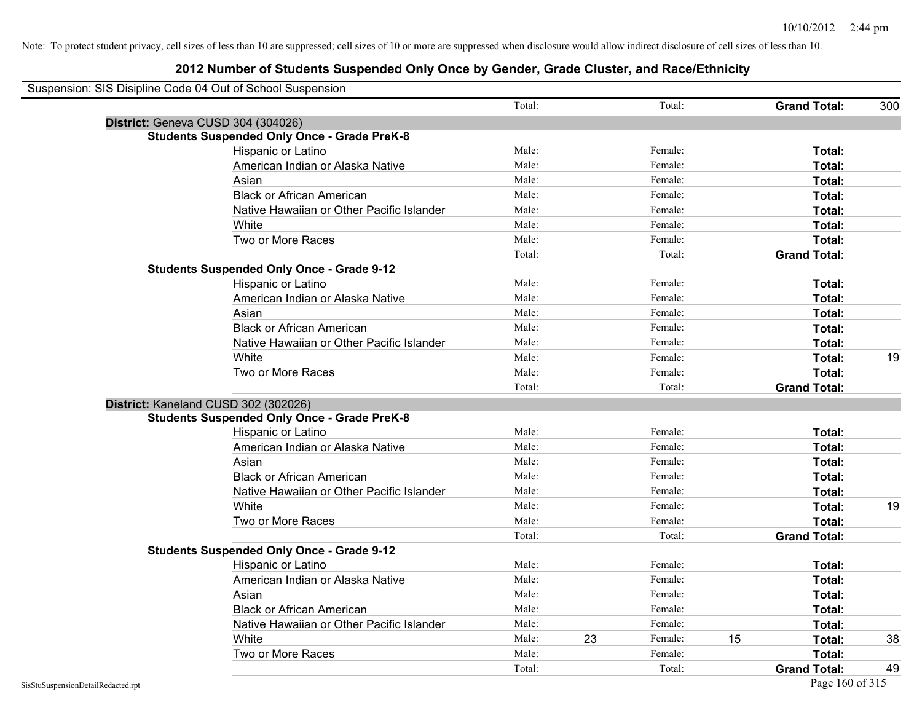| Suspension: SIS Disipline Code 04 Out of School Suspension |                                                    |        |    |         |    |                     |     |
|------------------------------------------------------------|----------------------------------------------------|--------|----|---------|----|---------------------|-----|
|                                                            |                                                    | Total: |    | Total:  |    | <b>Grand Total:</b> | 300 |
| District: Geneva CUSD 304 (304026)                         |                                                    |        |    |         |    |                     |     |
|                                                            | <b>Students Suspended Only Once - Grade PreK-8</b> |        |    |         |    |                     |     |
|                                                            | Hispanic or Latino                                 | Male:  |    | Female: |    | Total:              |     |
|                                                            | American Indian or Alaska Native                   | Male:  |    | Female: |    | Total:              |     |
|                                                            | Asian                                              | Male:  |    | Female: |    | Total:              |     |
|                                                            | <b>Black or African American</b>                   | Male:  |    | Female: |    | Total:              |     |
|                                                            | Native Hawaiian or Other Pacific Islander          | Male:  |    | Female: |    | Total:              |     |
|                                                            | White                                              | Male:  |    | Female: |    | Total:              |     |
|                                                            | Two or More Races                                  | Male:  |    | Female: |    | Total:              |     |
|                                                            |                                                    | Total: |    | Total:  |    | <b>Grand Total:</b> |     |
|                                                            | <b>Students Suspended Only Once - Grade 9-12</b>   |        |    |         |    |                     |     |
|                                                            | Hispanic or Latino                                 | Male:  |    | Female: |    | Total:              |     |
|                                                            | American Indian or Alaska Native                   | Male:  |    | Female: |    | Total:              |     |
|                                                            | Asian                                              | Male:  |    | Female: |    | Total:              |     |
|                                                            | <b>Black or African American</b>                   | Male:  |    | Female: |    | Total:              |     |
|                                                            | Native Hawaiian or Other Pacific Islander          | Male:  |    | Female: |    | Total:              |     |
|                                                            | White                                              | Male:  |    | Female: |    | Total:              | 19  |
|                                                            | Two or More Races                                  | Male:  |    | Female: |    | Total:              |     |
|                                                            |                                                    | Total: |    | Total:  |    | <b>Grand Total:</b> |     |
| District: Kaneland CUSD 302 (302026)                       |                                                    |        |    |         |    |                     |     |
|                                                            | <b>Students Suspended Only Once - Grade PreK-8</b> |        |    |         |    |                     |     |
|                                                            | Hispanic or Latino                                 | Male:  |    | Female: |    | Total:              |     |
|                                                            | American Indian or Alaska Native                   | Male:  |    | Female: |    | Total:              |     |
|                                                            | Asian                                              | Male:  |    | Female: |    | Total:              |     |
|                                                            | <b>Black or African American</b>                   | Male:  |    | Female: |    | Total:              |     |
|                                                            | Native Hawaiian or Other Pacific Islander          | Male:  |    | Female: |    | Total:              |     |
|                                                            | White                                              | Male:  |    | Female: |    | Total:              | 19  |
|                                                            | Two or More Races                                  | Male:  |    | Female: |    | Total:              |     |
|                                                            |                                                    | Total: |    | Total:  |    | <b>Grand Total:</b> |     |
|                                                            | <b>Students Suspended Only Once - Grade 9-12</b>   |        |    |         |    |                     |     |
|                                                            | Hispanic or Latino                                 | Male:  |    | Female: |    | Total:              |     |
|                                                            | American Indian or Alaska Native                   | Male:  |    | Female: |    | Total:              |     |
|                                                            | Asian                                              | Male:  |    | Female: |    | Total:              |     |
|                                                            | <b>Black or African American</b>                   | Male:  |    | Female: |    | Total:              |     |
|                                                            | Native Hawaiian or Other Pacific Islander          | Male:  |    | Female: |    | Total:              |     |
|                                                            | White                                              | Male:  | 23 | Female: | 15 | Total:              | 38  |
|                                                            | Two or More Races                                  | Male:  |    | Female: |    | Total:              |     |
|                                                            |                                                    | Total: |    | Total:  |    | <b>Grand Total:</b> | 49  |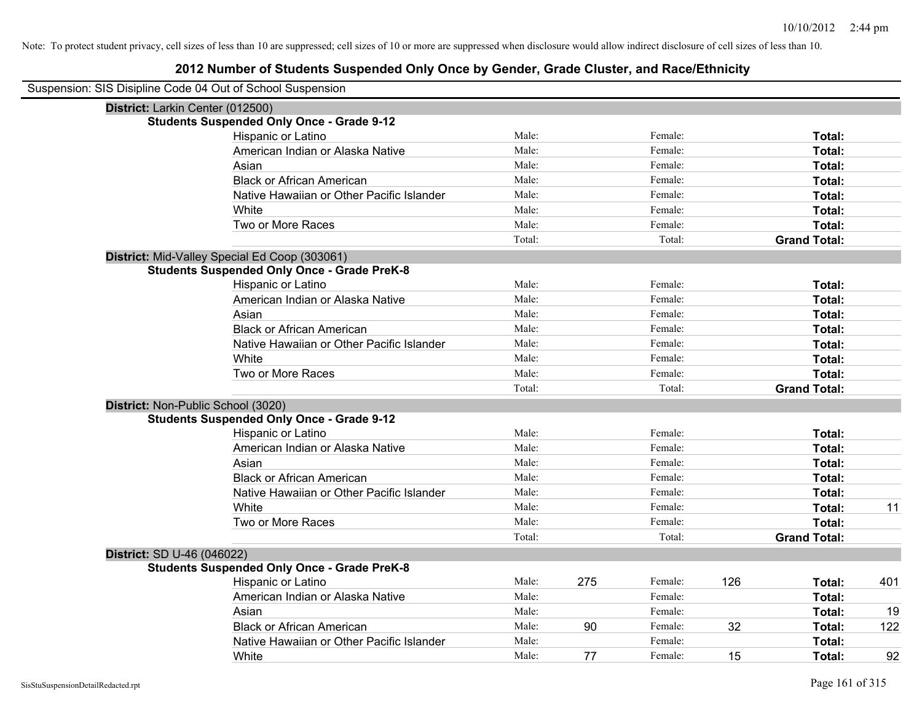| Suspension: SIS Disipline Code 04 Out of School Suspension |                                                    |        |     |         |     |                     |     |
|------------------------------------------------------------|----------------------------------------------------|--------|-----|---------|-----|---------------------|-----|
| District: Larkin Center (012500)                           |                                                    |        |     |         |     |                     |     |
|                                                            | <b>Students Suspended Only Once - Grade 9-12</b>   |        |     |         |     |                     |     |
|                                                            | Hispanic or Latino                                 | Male:  |     | Female: |     | Total:              |     |
|                                                            | American Indian or Alaska Native                   | Male:  |     | Female: |     | Total:              |     |
|                                                            | Asian                                              | Male:  |     | Female: |     | Total:              |     |
|                                                            | <b>Black or African American</b>                   | Male:  |     | Female: |     | Total:              |     |
|                                                            | Native Hawaiian or Other Pacific Islander          | Male:  |     | Female: |     | Total:              |     |
|                                                            | White                                              | Male:  |     | Female: |     | Total:              |     |
|                                                            | Two or More Races                                  | Male:  |     | Female: |     | Total:              |     |
|                                                            |                                                    | Total: |     | Total:  |     | <b>Grand Total:</b> |     |
|                                                            | District: Mid-Valley Special Ed Coop (303061)      |        |     |         |     |                     |     |
|                                                            | <b>Students Suspended Only Once - Grade PreK-8</b> |        |     |         |     |                     |     |
|                                                            | Hispanic or Latino                                 | Male:  |     | Female: |     | Total:              |     |
|                                                            | American Indian or Alaska Native                   | Male:  |     | Female: |     | Total:              |     |
|                                                            | Asian                                              | Male:  |     | Female: |     | Total:              |     |
|                                                            | <b>Black or African American</b>                   | Male:  |     | Female: |     | Total:              |     |
|                                                            | Native Hawaiian or Other Pacific Islander          | Male:  |     | Female: |     | Total:              |     |
|                                                            | White                                              | Male:  |     | Female: |     | Total:              |     |
|                                                            | Two or More Races                                  | Male:  |     | Female: |     | Total:              |     |
|                                                            |                                                    | Total: |     | Total:  |     | <b>Grand Total:</b> |     |
|                                                            | District: Non-Public School (3020)                 |        |     |         |     |                     |     |
|                                                            | <b>Students Suspended Only Once - Grade 9-12</b>   |        |     |         |     |                     |     |
|                                                            | Hispanic or Latino                                 | Male:  |     | Female: |     | Total:              |     |
|                                                            | American Indian or Alaska Native                   | Male:  |     | Female: |     | Total:              |     |
|                                                            | Asian                                              | Male:  |     | Female: |     | Total:              |     |
|                                                            | <b>Black or African American</b>                   | Male:  |     | Female: |     | Total:              |     |
|                                                            | Native Hawaiian or Other Pacific Islander          | Male:  |     | Female: |     | Total:              |     |
|                                                            | White                                              | Male:  |     | Female: |     | Total:              | 11  |
|                                                            | Two or More Races                                  | Male:  |     | Female: |     | Total:              |     |
|                                                            |                                                    | Total: |     | Total:  |     | <b>Grand Total:</b> |     |
| District: SD U-46 (046022)                                 |                                                    |        |     |         |     |                     |     |
|                                                            | <b>Students Suspended Only Once - Grade PreK-8</b> |        |     |         |     |                     |     |
|                                                            | Hispanic or Latino                                 | Male:  | 275 | Female: | 126 | Total:              | 401 |
|                                                            | American Indian or Alaska Native                   | Male:  |     | Female: |     | Total:              |     |
|                                                            | Asian                                              | Male:  |     | Female: |     | Total:              | 19  |
|                                                            | <b>Black or African American</b>                   | Male:  | 90  | Female: | 32  | Total:              | 122 |
|                                                            | Native Hawaiian or Other Pacific Islander          | Male:  |     | Female: |     | Total:              |     |
|                                                            | White                                              | Male:  | 77  | Female: | 15  | Total:              | 92  |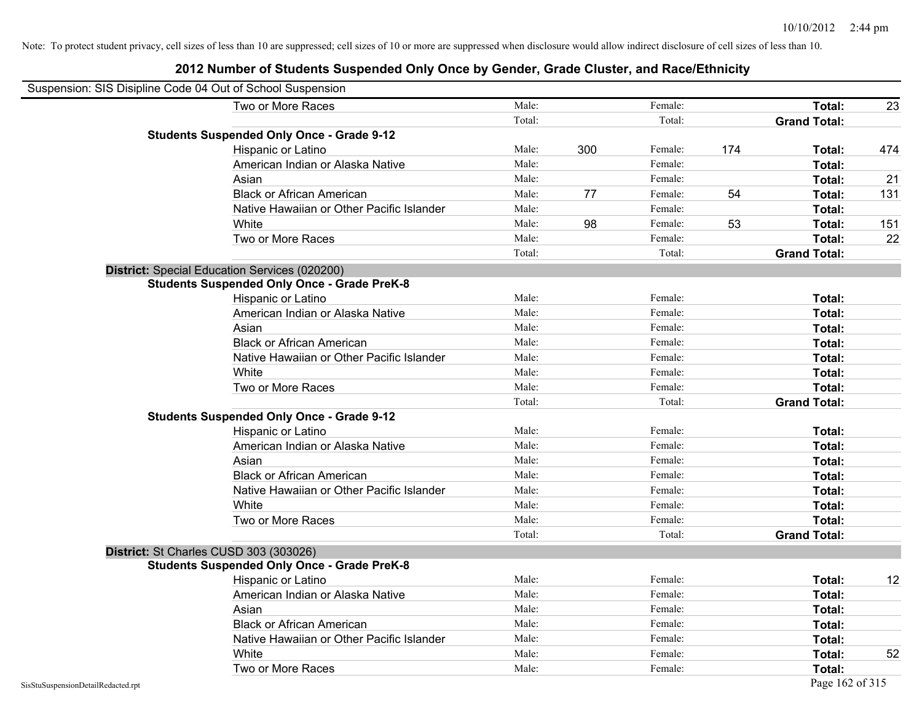| Suspension: SIS Disipline Code 04 Out of School Suspension |                                                    |        |     |         |     |                     |     |
|------------------------------------------------------------|----------------------------------------------------|--------|-----|---------|-----|---------------------|-----|
|                                                            | Two or More Races                                  | Male:  |     | Female: |     | Total:              | 23  |
|                                                            |                                                    | Total: |     | Total:  |     | <b>Grand Total:</b> |     |
|                                                            | <b>Students Suspended Only Once - Grade 9-12</b>   |        |     |         |     |                     |     |
|                                                            | Hispanic or Latino                                 | Male:  | 300 | Female: | 174 | Total:              | 474 |
|                                                            | American Indian or Alaska Native                   | Male:  |     | Female: |     | Total:              |     |
|                                                            | Asian                                              | Male:  |     | Female: |     | Total:              | 21  |
|                                                            | <b>Black or African American</b>                   | Male:  | 77  | Female: | 54  | Total:              | 131 |
|                                                            | Native Hawaiian or Other Pacific Islander          | Male:  |     | Female: |     | Total:              |     |
|                                                            | White                                              | Male:  | 98  | Female: | 53  | Total:              | 151 |
|                                                            | Two or More Races                                  | Male:  |     | Female: |     | Total:              | 22  |
|                                                            |                                                    | Total: |     | Total:  |     | <b>Grand Total:</b> |     |
|                                                            | District: Special Education Services (020200)      |        |     |         |     |                     |     |
|                                                            | <b>Students Suspended Only Once - Grade PreK-8</b> |        |     |         |     |                     |     |
|                                                            | Hispanic or Latino                                 | Male:  |     | Female: |     | Total:              |     |
|                                                            | American Indian or Alaska Native                   | Male:  |     | Female: |     | Total:              |     |
|                                                            | Asian                                              | Male:  |     | Female: |     | Total:              |     |
|                                                            | <b>Black or African American</b>                   | Male:  |     | Female: |     | Total:              |     |
|                                                            | Native Hawaiian or Other Pacific Islander          | Male:  |     | Female: |     | Total:              |     |
|                                                            | White                                              | Male:  |     | Female: |     | Total:              |     |
|                                                            | Two or More Races                                  | Male:  |     | Female: |     | Total:              |     |
|                                                            |                                                    | Total: |     | Total:  |     | <b>Grand Total:</b> |     |
|                                                            | <b>Students Suspended Only Once - Grade 9-12</b>   |        |     |         |     |                     |     |
|                                                            | Hispanic or Latino                                 | Male:  |     | Female: |     | Total:              |     |
|                                                            | American Indian or Alaska Native                   | Male:  |     | Female: |     | Total:              |     |
|                                                            | Asian                                              | Male:  |     | Female: |     | Total:              |     |
|                                                            | <b>Black or African American</b>                   | Male:  |     | Female: |     | Total:              |     |
|                                                            | Native Hawaiian or Other Pacific Islander          | Male:  |     | Female: |     | Total:              |     |
|                                                            | White                                              | Male:  |     | Female: |     | Total:              |     |
|                                                            | Two or More Races                                  | Male:  |     | Female: |     | Total:              |     |
|                                                            |                                                    | Total: |     | Total:  |     | <b>Grand Total:</b> |     |
|                                                            | District: St Charles CUSD 303 (303026)             |        |     |         |     |                     |     |
|                                                            | <b>Students Suspended Only Once - Grade PreK-8</b> |        |     |         |     |                     |     |
|                                                            | Hispanic or Latino                                 | Male:  |     | Female: |     | Total:              | 12  |
|                                                            | American Indian or Alaska Native                   | Male:  |     | Female: |     | Total:              |     |
|                                                            | Asian                                              | Male:  |     | Female: |     | Total:              |     |
|                                                            | <b>Black or African American</b>                   | Male:  |     | Female: |     | Total:              |     |
|                                                            | Native Hawaiian or Other Pacific Islander          | Male:  |     | Female: |     | Total:              |     |
|                                                            | White                                              | Male:  |     | Female: |     | Total:              | 52  |
|                                                            | Two or More Races                                  | Male:  |     | Female: |     | Total:              |     |
| SisStuSuspensionDetailRedacted.rpt                         |                                                    |        |     |         |     | Page 162 of 315     |     |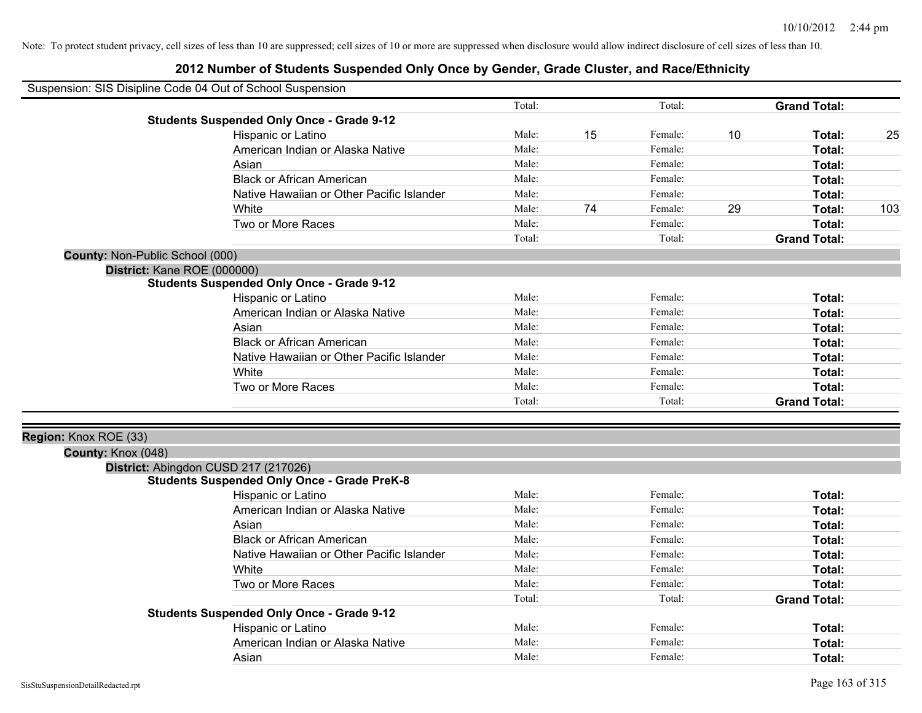| Suspension: SIS Disipline Code 04 Out of School Suspension |                                                    |        |    |         |    |                     |     |
|------------------------------------------------------------|----------------------------------------------------|--------|----|---------|----|---------------------|-----|
|                                                            |                                                    | Total: |    | Total:  |    | <b>Grand Total:</b> |     |
|                                                            | <b>Students Suspended Only Once - Grade 9-12</b>   |        |    |         |    |                     |     |
|                                                            | Hispanic or Latino                                 | Male:  | 15 | Female: | 10 | Total:              | 25  |
|                                                            | American Indian or Alaska Native                   | Male:  |    | Female: |    | Total:              |     |
|                                                            | Asian                                              | Male:  |    | Female: |    | Total:              |     |
|                                                            | <b>Black or African American</b>                   | Male:  |    | Female: |    | Total:              |     |
|                                                            | Native Hawaiian or Other Pacific Islander          | Male:  |    | Female: |    | Total:              |     |
|                                                            | White                                              | Male:  | 74 | Female: | 29 | Total:              | 103 |
|                                                            | Two or More Races                                  | Male:  |    | Female: |    | Total:              |     |
|                                                            |                                                    | Total: |    | Total:  |    | <b>Grand Total:</b> |     |
| County: Non-Public School (000)                            |                                                    |        |    |         |    |                     |     |
| District: Kane ROE (000000)                                |                                                    |        |    |         |    |                     |     |
|                                                            | <b>Students Suspended Only Once - Grade 9-12</b>   |        |    |         |    |                     |     |
|                                                            | Hispanic or Latino                                 | Male:  |    | Female: |    | Total:              |     |
|                                                            | American Indian or Alaska Native                   | Male:  |    | Female: |    | Total:              |     |
|                                                            | Asian                                              | Male:  |    | Female: |    | Total:              |     |
|                                                            | <b>Black or African American</b>                   | Male:  |    | Female: |    | Total:              |     |
|                                                            | Native Hawaiian or Other Pacific Islander          | Male:  |    | Female: |    | Total:              |     |
|                                                            | White                                              | Male:  |    | Female: |    | Total:              |     |
|                                                            | Two or More Races                                  | Male:  |    | Female: |    | Total:              |     |
|                                                            |                                                    | Total: |    | Total:  |    | <b>Grand Total:</b> |     |
| Region: Knox ROE (33)                                      |                                                    |        |    |         |    |                     |     |
| County: Knox (048)                                         |                                                    |        |    |         |    |                     |     |
|                                                            | District: Abingdon CUSD 217 (217026)               |        |    |         |    |                     |     |
|                                                            | <b>Students Suspended Only Once - Grade PreK-8</b> |        |    |         |    |                     |     |
|                                                            | Hispanic or Latino                                 | Male:  |    | Female: |    | Total:              |     |
|                                                            | American Indian or Alaska Native                   | Male:  |    | Female: |    | Total:              |     |
|                                                            | Asian                                              | Male:  |    | Female: |    | Total:              |     |
|                                                            | <b>Black or African American</b>                   | Male:  |    | Female: |    | Total:              |     |
|                                                            | Native Hawaiian or Other Pacific Islander          | Male:  |    | Female: |    | Total:              |     |
|                                                            | White                                              | Male:  |    | Female: |    | Total:              |     |
|                                                            | Two or More Races                                  | Male:  |    | Female: |    | Total:              |     |
|                                                            |                                                    | Total: |    | Total:  |    | <b>Grand Total:</b> |     |
|                                                            | <b>Students Suspended Only Once - Grade 9-12</b>   |        |    |         |    |                     |     |
|                                                            | Hispanic or Latino                                 | Male:  |    | Female: |    | Total:              |     |
|                                                            | American Indian or Alaska Native                   | Male:  |    | Female: |    | Total:              |     |
|                                                            | Asian                                              | Male:  |    | Female: |    | Total:              |     |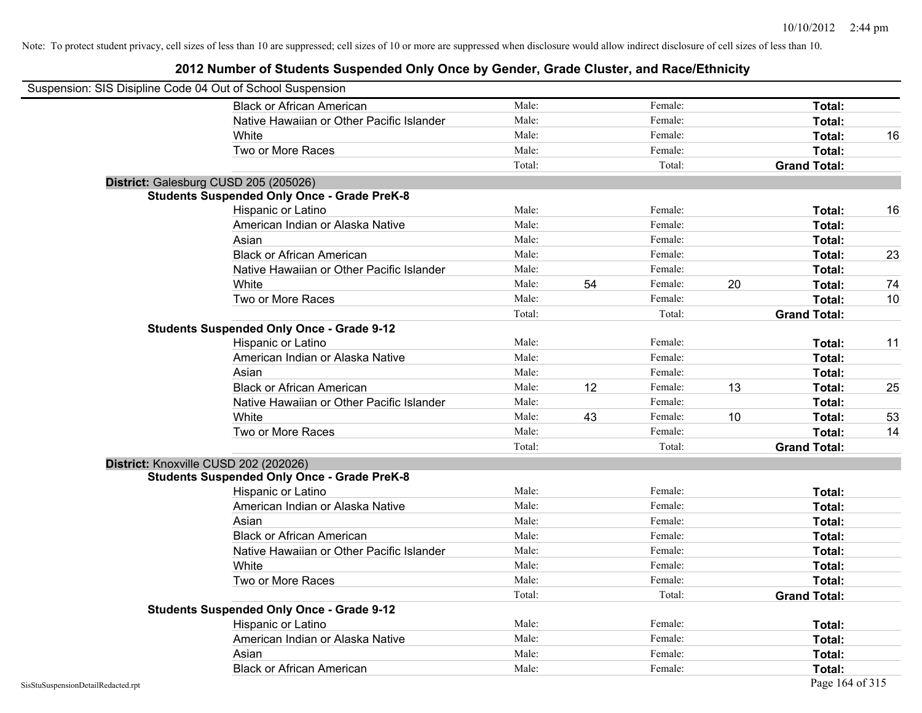|                                    | Suspension: SIS Disipline Code 04 Out of School Suspension |        |    |         |    |                     |    |
|------------------------------------|------------------------------------------------------------|--------|----|---------|----|---------------------|----|
|                                    | <b>Black or African American</b>                           | Male:  |    | Female: |    | Total:              |    |
|                                    | Native Hawaiian or Other Pacific Islander                  | Male:  |    | Female: |    | Total:              |    |
|                                    | White                                                      | Male:  |    | Female: |    | Total:              | 16 |
|                                    | Two or More Races                                          | Male:  |    | Female: |    | Total:              |    |
|                                    |                                                            | Total: |    | Total:  |    | <b>Grand Total:</b> |    |
|                                    | District: Galesburg CUSD 205 (205026)                      |        |    |         |    |                     |    |
|                                    | <b>Students Suspended Only Once - Grade PreK-8</b>         |        |    |         |    |                     |    |
|                                    | Hispanic or Latino                                         | Male:  |    | Female: |    | Total:              | 16 |
|                                    | American Indian or Alaska Native                           | Male:  |    | Female: |    | Total:              |    |
|                                    | Asian                                                      | Male:  |    | Female: |    | Total:              |    |
|                                    | <b>Black or African American</b>                           | Male:  |    | Female: |    | Total:              | 23 |
|                                    | Native Hawaiian or Other Pacific Islander                  | Male:  |    | Female: |    | Total:              |    |
|                                    | White                                                      | Male:  | 54 | Female: | 20 | Total:              | 74 |
|                                    | Two or More Races                                          | Male:  |    | Female: |    | Total:              | 10 |
|                                    |                                                            | Total: |    | Total:  |    | <b>Grand Total:</b> |    |
|                                    | <b>Students Suspended Only Once - Grade 9-12</b>           |        |    |         |    |                     |    |
|                                    | Hispanic or Latino                                         | Male:  |    | Female: |    | Total:              | 11 |
|                                    | American Indian or Alaska Native                           | Male:  |    | Female: |    | Total:              |    |
|                                    | Asian                                                      | Male:  |    | Female: |    | Total:              |    |
|                                    | <b>Black or African American</b>                           | Male:  | 12 | Female: | 13 | Total:              | 25 |
|                                    | Native Hawaiian or Other Pacific Islander                  | Male:  |    | Female: |    | Total:              |    |
|                                    | White                                                      | Male:  | 43 | Female: | 10 | Total:              | 53 |
|                                    | Two or More Races                                          | Male:  |    | Female: |    | Total:              | 14 |
|                                    |                                                            | Total: |    | Total:  |    | <b>Grand Total:</b> |    |
|                                    | District: Knoxville CUSD 202 (202026)                      |        |    |         |    |                     |    |
|                                    | <b>Students Suspended Only Once - Grade PreK-8</b>         |        |    |         |    |                     |    |
|                                    | Hispanic or Latino                                         | Male:  |    | Female: |    | Total:              |    |
|                                    | American Indian or Alaska Native                           | Male:  |    | Female: |    | Total:              |    |
|                                    | Asian                                                      | Male:  |    | Female: |    | Total:              |    |
|                                    | <b>Black or African American</b>                           | Male:  |    | Female: |    | Total:              |    |
|                                    | Native Hawaiian or Other Pacific Islander                  | Male:  |    | Female: |    | Total:              |    |
|                                    | White                                                      | Male:  |    | Female: |    | Total:              |    |
|                                    | Two or More Races                                          | Male:  |    | Female: |    | Total:              |    |
|                                    |                                                            | Total: |    | Total:  |    | <b>Grand Total:</b> |    |
|                                    | <b>Students Suspended Only Once - Grade 9-12</b>           |        |    |         |    |                     |    |
|                                    | Hispanic or Latino                                         | Male:  |    | Female: |    | Total:              |    |
|                                    | American Indian or Alaska Native                           | Male:  |    | Female: |    | Total:              |    |
|                                    | Asian                                                      | Male:  |    | Female: |    | Total:              |    |
|                                    | <b>Black or African American</b>                           | Male:  |    | Female: |    | Total:              |    |
| SisStuSuspensionDetailRedacted.rpt |                                                            |        |    |         |    | Page 164 of 315     |    |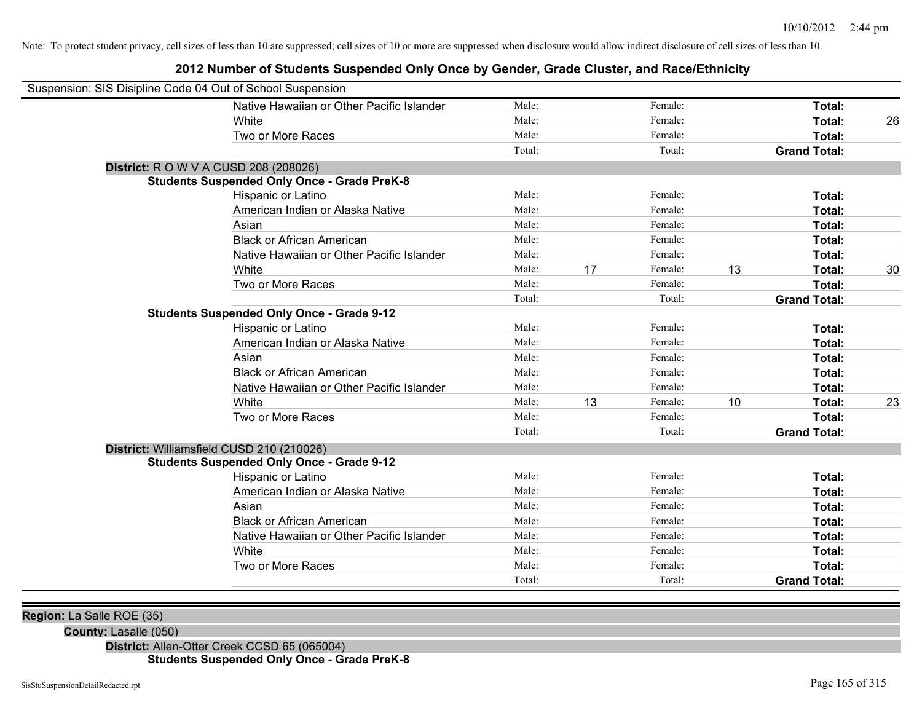#### **2012 Number of Students Suspended Only Once by Gender, Grade Cluster, and Race/Ethnicity**

| Suspension: SIS Disipline Code 04 Out of School Suspension |                                                    |        |    |         |    |                     |    |
|------------------------------------------------------------|----------------------------------------------------|--------|----|---------|----|---------------------|----|
|                                                            | Native Hawaiian or Other Pacific Islander          | Male:  |    | Female: |    | Total:              |    |
|                                                            | White                                              | Male:  |    | Female: |    | Total:              | 26 |
|                                                            | Two or More Races                                  | Male:  |    | Female: |    | Total:              |    |
|                                                            |                                                    | Total: |    | Total:  |    | <b>Grand Total:</b> |    |
| <b>District:</b> R O W V A CUSD 208 (208026)               |                                                    |        |    |         |    |                     |    |
|                                                            | <b>Students Suspended Only Once - Grade PreK-8</b> |        |    |         |    |                     |    |
|                                                            | Hispanic or Latino                                 | Male:  |    | Female: |    | Total:              |    |
|                                                            | American Indian or Alaska Native                   | Male:  |    | Female: |    | <b>Total:</b>       |    |
|                                                            | Asian                                              | Male:  |    | Female: |    | Total:              |    |
|                                                            | <b>Black or African American</b>                   | Male:  |    | Female: |    | Total:              |    |
|                                                            | Native Hawaiian or Other Pacific Islander          | Male:  |    | Female: |    | Total:              |    |
|                                                            | White                                              | Male:  | 17 | Female: | 13 | Total:              | 30 |
|                                                            | Two or More Races                                  | Male:  |    | Female: |    | Total:              |    |
|                                                            |                                                    | Total: |    | Total:  |    | <b>Grand Total:</b> |    |
|                                                            | <b>Students Suspended Only Once - Grade 9-12</b>   |        |    |         |    |                     |    |
|                                                            | Hispanic or Latino                                 | Male:  |    | Female: |    | Total:              |    |
|                                                            | American Indian or Alaska Native                   | Male:  |    | Female: |    | Total:              |    |
|                                                            | Asian                                              | Male:  |    | Female: |    | Total:              |    |
|                                                            | <b>Black or African American</b>                   | Male:  |    | Female: |    | Total:              |    |
|                                                            | Native Hawaiian or Other Pacific Islander          | Male:  |    | Female: |    | Total:              |    |
|                                                            | White                                              | Male:  | 13 | Female: | 10 | Total:              | 23 |
|                                                            | Two or More Races                                  | Male:  |    | Female: |    | Total:              |    |
|                                                            |                                                    | Total: |    | Total:  |    | <b>Grand Total:</b> |    |
| District: Williamsfield CUSD 210 (210026)                  |                                                    |        |    |         |    |                     |    |
|                                                            | <b>Students Suspended Only Once - Grade 9-12</b>   |        |    |         |    |                     |    |
|                                                            | Hispanic or Latino                                 | Male:  |    | Female: |    | Total:              |    |
|                                                            | American Indian or Alaska Native                   | Male:  |    | Female: |    | Total:              |    |
|                                                            | Asian                                              | Male:  |    | Female: |    | Total:              |    |
|                                                            | <b>Black or African American</b>                   | Male:  |    | Female: |    | Total:              |    |
|                                                            | Native Hawaiian or Other Pacific Islander          | Male:  |    | Female: |    | Total:              |    |
|                                                            | White                                              | Male:  |    | Female: |    | Total:              |    |
|                                                            | Two or More Races                                  | Male:  |    | Female: |    | Total:              |    |
|                                                            |                                                    | Total: |    | Total:  |    | <b>Grand Total:</b> |    |

**Region:** La Salle ROE (35)

**County:** Lasalle (050)

**District:** Allen-Otter Creek CCSD 65 (065004) **Students Suspended Only Once - Grade PreK-8**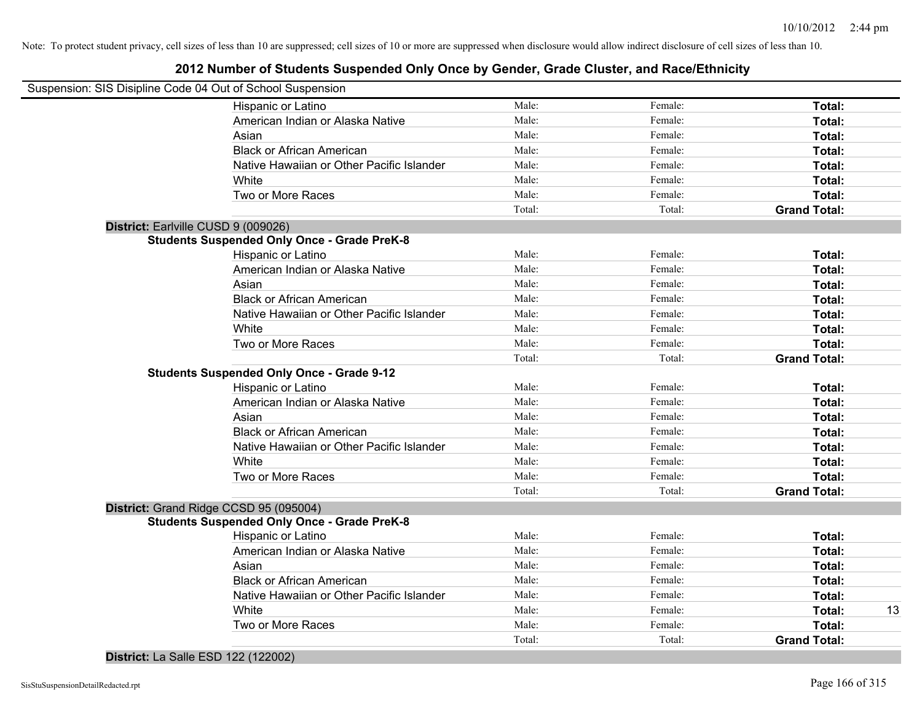|                                     | Hispanic or Latino                                 | Male:  | Female: | Total:              |
|-------------------------------------|----------------------------------------------------|--------|---------|---------------------|
|                                     | American Indian or Alaska Native                   | Male:  | Female: | Total:              |
|                                     | Asian                                              | Male:  | Female: | Total:              |
|                                     | <b>Black or African American</b>                   | Male:  | Female: | Total:              |
|                                     | Native Hawaiian or Other Pacific Islander          | Male:  | Female: | Total:              |
|                                     | White                                              | Male:  | Female: | Total:              |
|                                     | Two or More Races                                  | Male:  | Female: | Total:              |
|                                     |                                                    | Total: | Total:  | <b>Grand Total:</b> |
| District: Earlville CUSD 9 (009026) |                                                    |        |         |                     |
|                                     | <b>Students Suspended Only Once - Grade PreK-8</b> |        |         |                     |
|                                     | Hispanic or Latino                                 | Male:  | Female: | Total:              |
|                                     | American Indian or Alaska Native                   | Male:  | Female: | Total:              |
|                                     | Asian                                              | Male:  | Female: | Total:              |
|                                     | <b>Black or African American</b>                   | Male:  | Female: | Total:              |
|                                     | Native Hawaiian or Other Pacific Islander          | Male:  | Female: | Total:              |
|                                     | White                                              | Male:  | Female: | Total:              |
|                                     | Two or More Races                                  | Male:  | Female: | Total:              |
|                                     |                                                    | Total: | Total:  | <b>Grand Total:</b> |
|                                     | <b>Students Suspended Only Once - Grade 9-12</b>   |        |         |                     |
|                                     | Hispanic or Latino                                 | Male:  | Female: | Total:              |
|                                     | American Indian or Alaska Native                   | Male:  | Female: | Total:              |
|                                     | Asian                                              | Male:  | Female: | Total:              |
|                                     | <b>Black or African American</b>                   | Male:  | Female: | Total:              |
|                                     | Native Hawaiian or Other Pacific Islander          | Male:  | Female: | Total:              |
|                                     | White                                              | Male:  | Female: | Total:              |
|                                     | Two or More Races                                  | Male:  | Female: | Total:              |
|                                     |                                                    | Total: | Total:  | <b>Grand Total:</b> |
|                                     | District: Grand Ridge CCSD 95 (095004)             |        |         |                     |
|                                     | <b>Students Suspended Only Once - Grade PreK-8</b> |        |         |                     |
|                                     | Hispanic or Latino                                 | Male:  | Female: | Total:              |
|                                     | American Indian or Alaska Native                   | Male:  | Female: | Total:              |
|                                     | Asian                                              | Male:  | Female: | Total:              |
|                                     | <b>Black or African American</b>                   | Male:  | Female: | Total:              |
|                                     | Native Hawaiian or Other Pacific Islander          | Male:  | Female: | Total:              |
|                                     | White                                              | Male:  | Female: | Total:              |
|                                     | Two or More Races                                  | Male:  | Female: | Total:              |
|                                     |                                                    | Total: | Total:  | <b>Grand Total:</b> |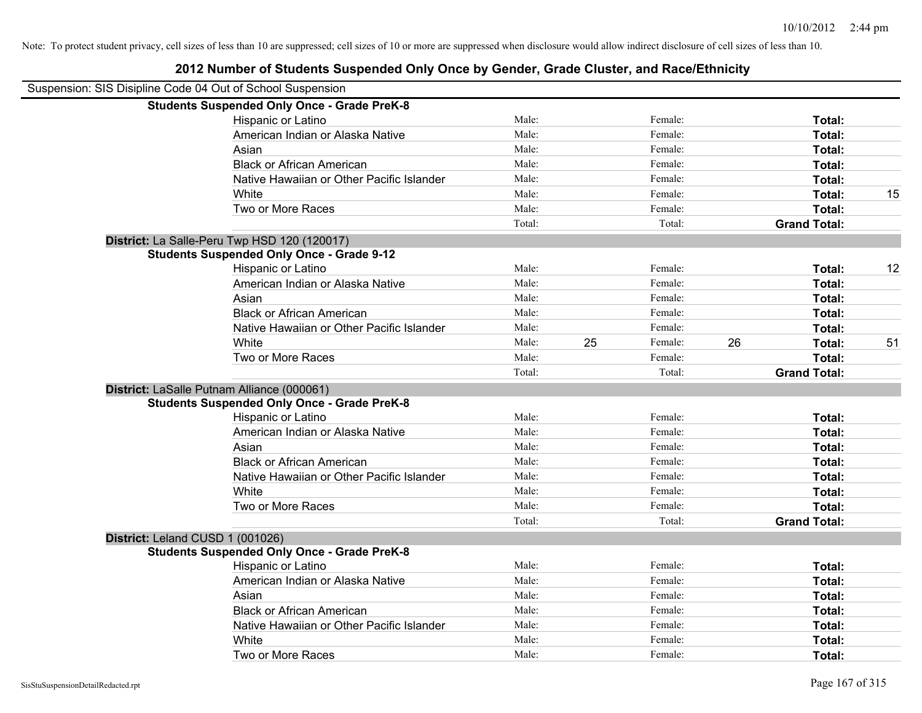| 2012 Number of Students Suspended Only Once by Gender, Grade Cluster, and Race/Ethnicity |        |    |         |    |                     |    |
|------------------------------------------------------------------------------------------|--------|----|---------|----|---------------------|----|
| Suspension: SIS Disipline Code 04 Out of School Suspension                               |        |    |         |    |                     |    |
| <b>Students Suspended Only Once - Grade PreK-8</b>                                       |        |    |         |    |                     |    |
| Hispanic or Latino                                                                       | Male:  |    | Female: |    | Total:              |    |
| American Indian or Alaska Native                                                         | Male:  |    | Female: |    | Total:              |    |
| Asian                                                                                    | Male:  |    | Female: |    | Total:              |    |
| <b>Black or African American</b>                                                         | Male:  |    | Female: |    | Total:              |    |
| Native Hawaiian or Other Pacific Islander                                                | Male:  |    | Female: |    | Total:              |    |
| White                                                                                    | Male:  |    | Female: |    | Total:              | 15 |
| Two or More Races                                                                        | Male:  |    | Female: |    | Total:              |    |
|                                                                                          | Total: |    | Total:  |    | <b>Grand Total:</b> |    |
| District: La Salle-Peru Twp HSD 120 (120017)                                             |        |    |         |    |                     |    |
| <b>Students Suspended Only Once - Grade 9-12</b>                                         |        |    |         |    |                     |    |
| Hispanic or Latino                                                                       | Male:  |    | Female: |    | Total:              | 12 |
| American Indian or Alaska Native                                                         | Male:  |    | Female: |    | Total:              |    |
| Asian                                                                                    | Male:  |    | Female: |    | Total:              |    |
| <b>Black or African American</b>                                                         | Male:  |    | Female: |    | Total:              |    |
| Native Hawaiian or Other Pacific Islander                                                | Male:  |    | Female: |    | Total:              |    |
| White                                                                                    | Male:  | 25 | Female: | 26 | Total:              | 51 |
| Two or More Races                                                                        | Male:  |    | Female: |    | Total:              |    |
|                                                                                          | Total: |    | Total:  |    | <b>Grand Total:</b> |    |
| District: LaSalle Putnam Alliance (000061)                                               |        |    |         |    |                     |    |
| <b>Students Suspended Only Once - Grade PreK-8</b>                                       |        |    |         |    |                     |    |
| Hispanic or Latino                                                                       | Male:  |    | Female: |    | Total:              |    |
| American Indian or Alaska Native                                                         | Male:  |    | Female: |    | Total:              |    |
| Asian                                                                                    | Male:  |    | Female: |    | Total:              |    |
| <b>Black or African American</b>                                                         | Male:  |    | Female: |    | Total:              |    |
| Native Hawaiian or Other Pacific Islander                                                | Male:  |    | Female: |    | Total:              |    |
| White                                                                                    | Male:  |    | Female: |    | Total:              |    |
| Two or More Races                                                                        | Male:  |    | Female: |    | Total:              |    |
|                                                                                          | Total: |    | Total:  |    | <b>Grand Total:</b> |    |
| District: Leland CUSD 1 (001026)                                                         |        |    |         |    |                     |    |
| <b>Students Suspended Only Once - Grade PreK-8</b>                                       |        |    |         |    |                     |    |
| Hispanic or Latino                                                                       | Male:  |    | Female: |    | Total:              |    |
| American Indian or Alaska Native                                                         | Male:  |    | Female: |    | Total:              |    |
| Asian                                                                                    | Male:  |    | Female: |    | Total:              |    |
| <b>Black or African American</b>                                                         | Male:  |    | Female: |    | Total:              |    |
| Native Hawaiian or Other Pacific Islander                                                | Male:  |    | Female: |    | Total:              |    |
| White                                                                                    | Male:  |    | Female: |    | Total:              |    |
| Two or More Races                                                                        | Male:  |    | Female: |    | Total:              |    |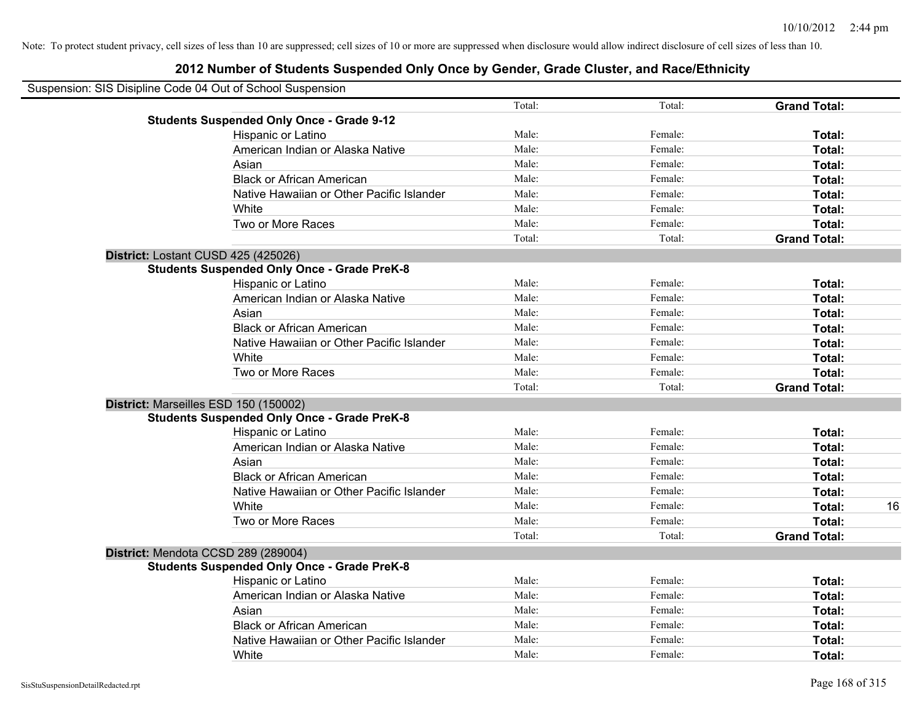| Suspension: SIS Disipline Code 04 Out of School Suspension |                                                    |        |         |                     |    |
|------------------------------------------------------------|----------------------------------------------------|--------|---------|---------------------|----|
|                                                            |                                                    | Total: | Total:  | <b>Grand Total:</b> |    |
|                                                            | <b>Students Suspended Only Once - Grade 9-12</b>   |        |         |                     |    |
|                                                            | Hispanic or Latino                                 | Male:  | Female: | Total:              |    |
|                                                            | American Indian or Alaska Native                   | Male:  | Female: | Total:              |    |
|                                                            | Asian                                              | Male:  | Female: | Total:              |    |
|                                                            | <b>Black or African American</b>                   | Male:  | Female: | Total:              |    |
|                                                            | Native Hawaiian or Other Pacific Islander          | Male:  | Female: | Total:              |    |
|                                                            | White                                              | Male:  | Female: | Total:              |    |
|                                                            | Two or More Races                                  | Male:  | Female: | Total:              |    |
|                                                            |                                                    | Total: | Total:  | <b>Grand Total:</b> |    |
|                                                            | District: Lostant CUSD 425 (425026)                |        |         |                     |    |
|                                                            | <b>Students Suspended Only Once - Grade PreK-8</b> |        |         |                     |    |
|                                                            | Hispanic or Latino                                 | Male:  | Female: | Total:              |    |
|                                                            | American Indian or Alaska Native                   | Male:  | Female: | Total:              |    |
|                                                            | Asian                                              | Male:  | Female: | Total:              |    |
|                                                            | <b>Black or African American</b>                   | Male:  | Female: | Total:              |    |
|                                                            | Native Hawaiian or Other Pacific Islander          | Male:  | Female: | Total:              |    |
|                                                            | White                                              | Male:  | Female: | Total:              |    |
|                                                            | Two or More Races                                  | Male:  | Female: | Total:              |    |
|                                                            |                                                    | Total: | Total:  | <b>Grand Total:</b> |    |
|                                                            | District: Marseilles ESD 150 (150002)              |        |         |                     |    |
|                                                            | <b>Students Suspended Only Once - Grade PreK-8</b> |        |         |                     |    |
|                                                            | Hispanic or Latino                                 | Male:  | Female: | Total:              |    |
|                                                            | American Indian or Alaska Native                   | Male:  | Female: | Total:              |    |
|                                                            | Asian                                              | Male:  | Female: | Total:              |    |
|                                                            | <b>Black or African American</b>                   | Male:  | Female: | Total:              |    |
|                                                            | Native Hawaiian or Other Pacific Islander          | Male:  | Female: | Total:              |    |
|                                                            | White                                              | Male:  | Female: | Total:              | 16 |
|                                                            | Two or More Races                                  | Male:  | Female: | Total:              |    |
|                                                            |                                                    | Total: | Total:  | <b>Grand Total:</b> |    |
|                                                            | District: Mendota CCSD 289 (289004)                |        |         |                     |    |
|                                                            | <b>Students Suspended Only Once - Grade PreK-8</b> |        |         |                     |    |
|                                                            | Hispanic or Latino                                 | Male:  | Female: | Total:              |    |
|                                                            | American Indian or Alaska Native                   | Male:  | Female: | Total:              |    |
|                                                            | Asian                                              | Male:  | Female: | Total:              |    |
|                                                            | <b>Black or African American</b>                   | Male:  | Female: | Total:              |    |
|                                                            | Native Hawaiian or Other Pacific Islander          | Male:  | Female: | Total:              |    |
|                                                            | White                                              | Male:  | Female: | Total:              |    |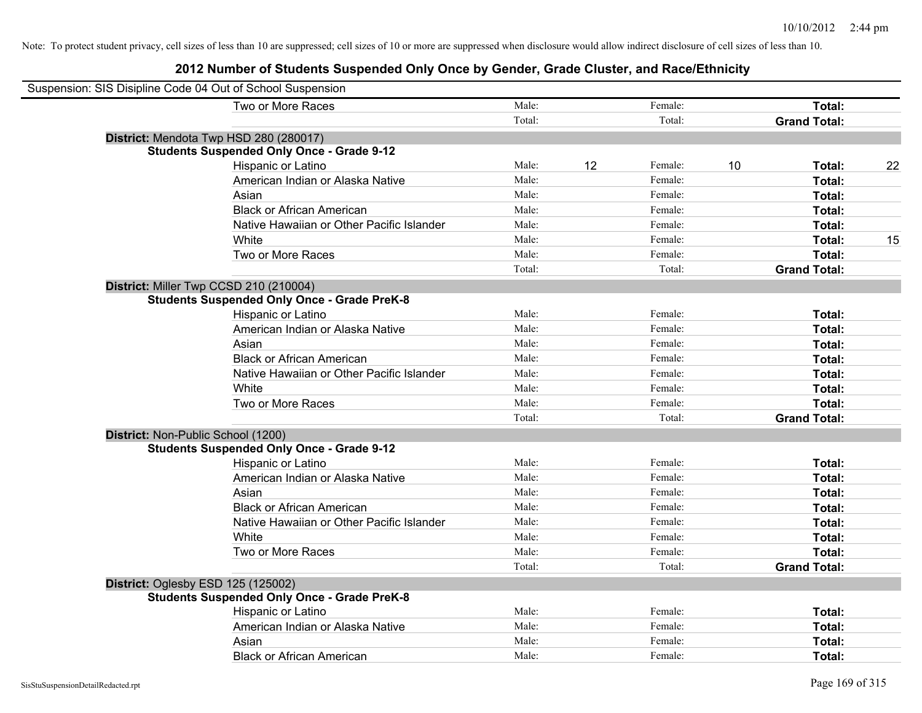| Suspension: SIS Disipline Code 04 Out of School Suspension |                                                    |        |    |         |    |                     |    |
|------------------------------------------------------------|----------------------------------------------------|--------|----|---------|----|---------------------|----|
|                                                            | Two or More Races                                  | Male:  |    | Female: |    | Total:              |    |
|                                                            |                                                    | Total: |    | Total:  |    | <b>Grand Total:</b> |    |
| District: Mendota Twp HSD 280 (280017)                     |                                                    |        |    |         |    |                     |    |
|                                                            | <b>Students Suspended Only Once - Grade 9-12</b>   |        |    |         |    |                     |    |
|                                                            | Hispanic or Latino                                 | Male:  | 12 | Female: | 10 | Total:              | 22 |
|                                                            | American Indian or Alaska Native                   | Male:  |    | Female: |    | Total:              |    |
|                                                            | Asian                                              | Male:  |    | Female: |    | Total:              |    |
|                                                            | <b>Black or African American</b>                   | Male:  |    | Female: |    | Total:              |    |
|                                                            | Native Hawaiian or Other Pacific Islander          | Male:  |    | Female: |    | Total:              |    |
|                                                            | White                                              | Male:  |    | Female: |    | Total:              | 15 |
|                                                            | Two or More Races                                  | Male:  |    | Female: |    | Total:              |    |
|                                                            |                                                    | Total: |    | Total:  |    | <b>Grand Total:</b> |    |
| District: Miller Twp CCSD 210 (210004)                     |                                                    |        |    |         |    |                     |    |
|                                                            | <b>Students Suspended Only Once - Grade PreK-8</b> |        |    |         |    |                     |    |
|                                                            | Hispanic or Latino                                 | Male:  |    | Female: |    | Total:              |    |
|                                                            | American Indian or Alaska Native                   | Male:  |    | Female: |    | Total:              |    |
|                                                            | Asian                                              | Male:  |    | Female: |    | Total:              |    |
|                                                            | <b>Black or African American</b>                   | Male:  |    | Female: |    | Total:              |    |
|                                                            | Native Hawaiian or Other Pacific Islander          | Male:  |    | Female: |    | Total:              |    |
|                                                            | White                                              | Male:  |    | Female: |    | Total:              |    |
|                                                            | Two or More Races                                  | Male:  |    | Female: |    | Total:              |    |
|                                                            |                                                    | Total: |    | Total:  |    | <b>Grand Total:</b> |    |
| District: Non-Public School (1200)                         |                                                    |        |    |         |    |                     |    |
|                                                            | <b>Students Suspended Only Once - Grade 9-12</b>   |        |    |         |    |                     |    |
|                                                            | Hispanic or Latino                                 | Male:  |    | Female: |    | Total:              |    |
|                                                            | American Indian or Alaska Native                   | Male:  |    | Female: |    | Total:              |    |
|                                                            | Asian                                              | Male:  |    | Female: |    | Total:              |    |
|                                                            | <b>Black or African American</b>                   | Male:  |    | Female: |    | Total:              |    |
|                                                            | Native Hawaiian or Other Pacific Islander          | Male:  |    | Female: |    | Total:              |    |
|                                                            | White                                              | Male:  |    | Female: |    | Total:              |    |
|                                                            | Two or More Races                                  | Male:  |    | Female: |    | Total:              |    |
|                                                            |                                                    | Total: |    | Total:  |    | <b>Grand Total:</b> |    |
| District: Oglesby ESD 125 (125002)                         |                                                    |        |    |         |    |                     |    |
|                                                            | <b>Students Suspended Only Once - Grade PreK-8</b> |        |    |         |    |                     |    |
|                                                            | Hispanic or Latino                                 | Male:  |    | Female: |    | Total:              |    |
|                                                            | American Indian or Alaska Native                   | Male:  |    | Female: |    | Total:              |    |
|                                                            | Asian                                              | Male:  |    | Female: |    | Total:              |    |
|                                                            | <b>Black or African American</b>                   | Male:  |    | Female: |    | Total:              |    |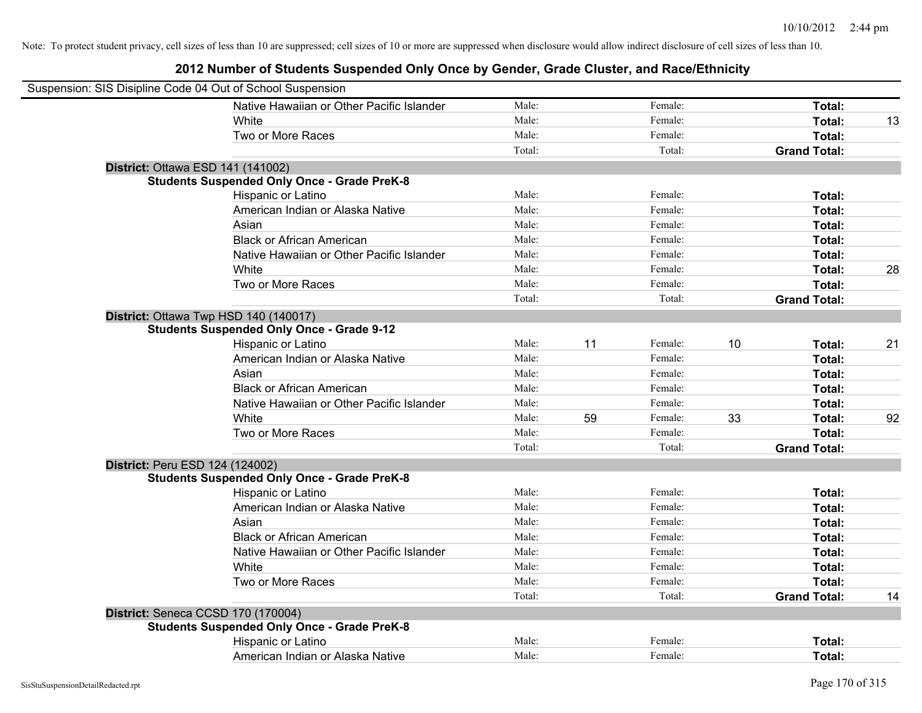| Suspension: SIS Disipline Code 04 Out of School Suspension |        |    |         |    |                     |    |
|------------------------------------------------------------|--------|----|---------|----|---------------------|----|
| Native Hawaiian or Other Pacific Islander                  | Male:  |    | Female: |    | Total:              |    |
| White                                                      | Male:  |    | Female: |    | Total:              | 13 |
| Two or More Races                                          | Male:  |    | Female: |    | Total:              |    |
|                                                            | Total: |    | Total:  |    | <b>Grand Total:</b> |    |
| District: Ottawa ESD 141 (141002)                          |        |    |         |    |                     |    |
| <b>Students Suspended Only Once - Grade PreK-8</b>         |        |    |         |    |                     |    |
| Hispanic or Latino                                         | Male:  |    | Female: |    | Total:              |    |
| American Indian or Alaska Native                           | Male:  |    | Female: |    | Total:              |    |
| Asian                                                      | Male:  |    | Female: |    | Total:              |    |
| <b>Black or African American</b>                           | Male:  |    | Female: |    | Total:              |    |
| Native Hawaiian or Other Pacific Islander                  | Male:  |    | Female: |    | Total:              |    |
| White                                                      | Male:  |    | Female: |    | Total:              | 28 |
| Two or More Races                                          | Male:  |    | Female: |    | Total:              |    |
|                                                            | Total: |    | Total:  |    | <b>Grand Total:</b> |    |
| District: Ottawa Twp HSD 140 (140017)                      |        |    |         |    |                     |    |
| <b>Students Suspended Only Once - Grade 9-12</b>           |        |    |         |    |                     |    |
| Hispanic or Latino                                         | Male:  | 11 | Female: | 10 | Total:              | 21 |
| American Indian or Alaska Native                           | Male:  |    | Female: |    | Total:              |    |
| Asian                                                      | Male:  |    | Female: |    | Total:              |    |
| <b>Black or African American</b>                           | Male:  |    | Female: |    | Total:              |    |
| Native Hawaiian or Other Pacific Islander                  | Male:  |    | Female: |    | Total:              |    |
| White                                                      | Male:  | 59 | Female: | 33 | Total:              | 92 |
| Two or More Races                                          | Male:  |    | Female: |    | Total:              |    |
|                                                            | Total: |    | Total:  |    | <b>Grand Total:</b> |    |
| District: Peru ESD 124 (124002)                            |        |    |         |    |                     |    |
| <b>Students Suspended Only Once - Grade PreK-8</b>         |        |    |         |    |                     |    |
| Hispanic or Latino                                         | Male:  |    | Female: |    | Total:              |    |
| American Indian or Alaska Native                           | Male:  |    | Female: |    | Total:              |    |
| Asian                                                      | Male:  |    | Female: |    | Total:              |    |
| <b>Black or African American</b>                           | Male:  |    | Female: |    | Total:              |    |
| Native Hawaiian or Other Pacific Islander                  | Male:  |    | Female: |    | Total:              |    |
| White                                                      | Male:  |    | Female: |    | Total:              |    |
| Two or More Races                                          | Male:  |    | Female: |    | Total:              |    |
|                                                            | Total: |    | Total:  |    | <b>Grand Total:</b> | 14 |
| District: Seneca CCSD 170 (170004)                         |        |    |         |    |                     |    |
| <b>Students Suspended Only Once - Grade PreK-8</b>         |        |    |         |    |                     |    |
| Hispanic or Latino                                         | Male:  |    | Female: |    | Total:              |    |
| American Indian or Alaska Native                           | Male:  |    | Female: |    | Total:              |    |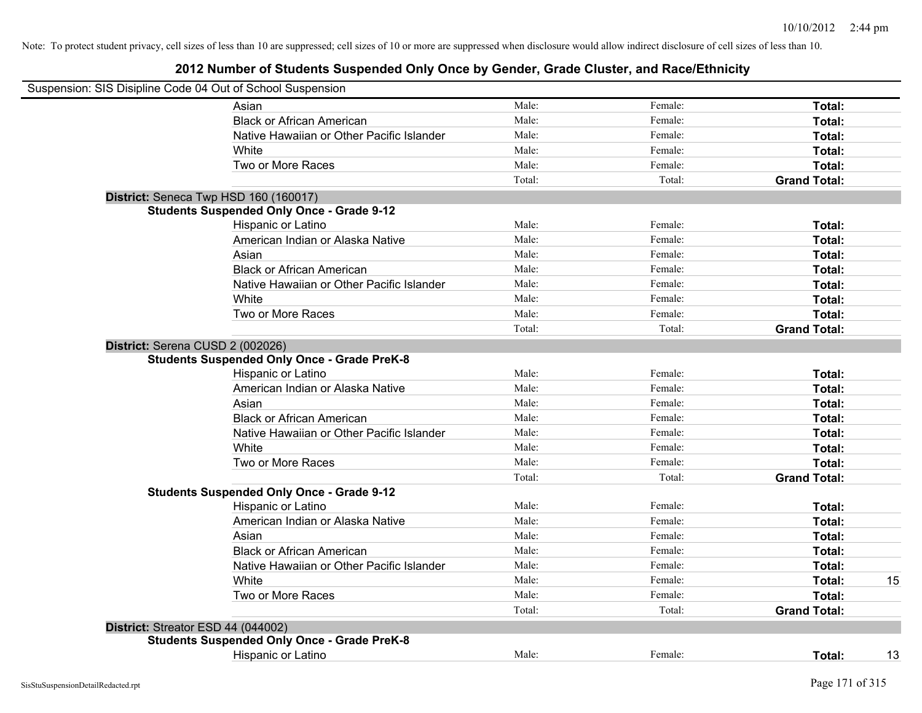| Suspension: SIS Disipline Code 04 Out of School Suspension                             |        |         |                     |    |
|----------------------------------------------------------------------------------------|--------|---------|---------------------|----|
| Asian                                                                                  | Male:  | Female: | Total:              |    |
| <b>Black or African American</b>                                                       | Male:  | Female: | Total:              |    |
| Native Hawaiian or Other Pacific Islander                                              | Male:  | Female: | Total:              |    |
| White                                                                                  | Male:  | Female: | Total:              |    |
| Two or More Races                                                                      | Male:  | Female: | Total:              |    |
|                                                                                        | Total: | Total:  | <b>Grand Total:</b> |    |
| District: Seneca Twp HSD 160 (160017)                                                  |        |         |                     |    |
| <b>Students Suspended Only Once - Grade 9-12</b>                                       |        |         |                     |    |
| Hispanic or Latino                                                                     | Male:  | Female: | Total:              |    |
| American Indian or Alaska Native                                                       | Male:  | Female: | Total:              |    |
| Asian                                                                                  | Male:  | Female: | Total:              |    |
| <b>Black or African American</b>                                                       | Male:  | Female: | Total:              |    |
| Native Hawaiian or Other Pacific Islander                                              | Male:  | Female: | Total:              |    |
| White                                                                                  | Male:  | Female: | Total:              |    |
| Two or More Races                                                                      | Male:  | Female: | Total:              |    |
|                                                                                        | Total: | Total:  | <b>Grand Total:</b> |    |
| District: Serena CUSD 2 (002026)<br><b>Students Suspended Only Once - Grade PreK-8</b> |        |         |                     |    |
| Hispanic or Latino                                                                     | Male:  | Female: | Total:              |    |
| American Indian or Alaska Native                                                       | Male:  | Female: | Total:              |    |
| Asian                                                                                  | Male:  | Female: | Total:              |    |
| <b>Black or African American</b>                                                       | Male:  | Female: | Total:              |    |
| Native Hawaiian or Other Pacific Islander                                              | Male:  | Female: | Total:              |    |
| White                                                                                  | Male:  | Female: | Total:              |    |
| Two or More Races                                                                      | Male:  | Female: | Total:              |    |
|                                                                                        | Total: | Total:  | <b>Grand Total:</b> |    |
| <b>Students Suspended Only Once - Grade 9-12</b>                                       |        |         |                     |    |
| Hispanic or Latino                                                                     | Male:  | Female: | Total:              |    |
| American Indian or Alaska Native                                                       | Male:  | Female: | Total:              |    |
| Asian                                                                                  | Male:  | Female: | Total:              |    |
| <b>Black or African American</b>                                                       | Male:  | Female: | Total:              |    |
| Native Hawaiian or Other Pacific Islander                                              | Male:  | Female: | Total:              |    |
| White                                                                                  | Male:  | Female: | Total:              | 15 |
| Two or More Races                                                                      | Male:  | Female: | Total:              |    |
|                                                                                        | Total: | Total:  | <b>Grand Total:</b> |    |
| District: Streator ESD 44 (044002)                                                     |        |         |                     |    |
| <b>Students Suspended Only Once - Grade PreK-8</b>                                     |        |         |                     |    |
| Hispanic or Latino                                                                     | Male:  | Female: | Total:              | 13 |
|                                                                                        |        |         |                     |    |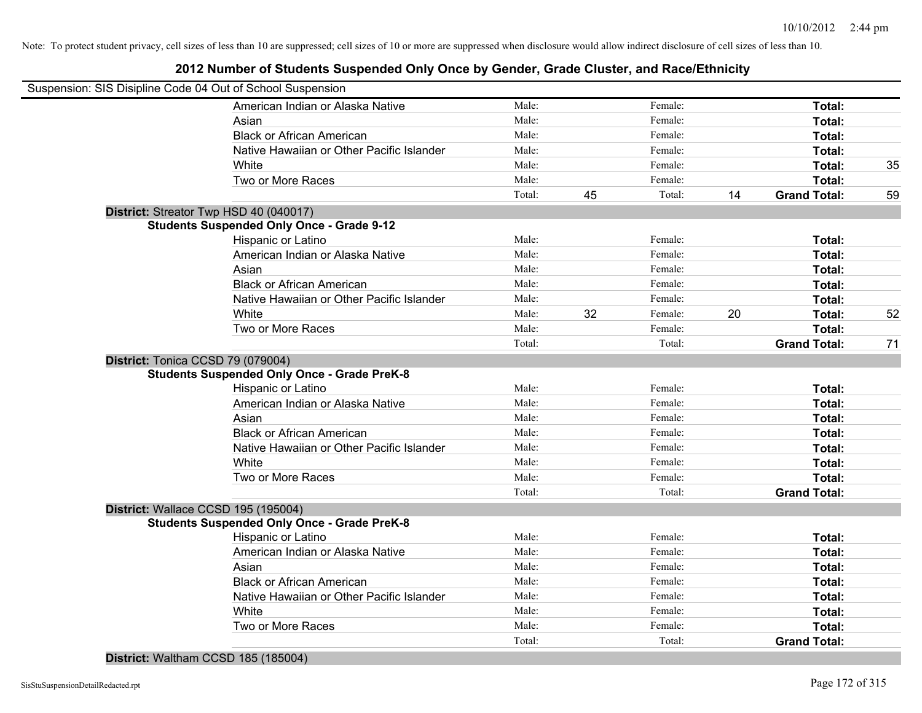#### **2012 Number of Students Suspended Only Once by Gender, Grade Cluster, and Race/Ethnicity**

| Suspension: SIS Disipline Code 04 Out of School Suspension |                                                    |        |    |         |    |                     |    |
|------------------------------------------------------------|----------------------------------------------------|--------|----|---------|----|---------------------|----|
|                                                            | American Indian or Alaska Native                   | Male:  |    | Female: |    | Total:              |    |
|                                                            | Asian                                              | Male:  |    | Female: |    | Total:              |    |
|                                                            | <b>Black or African American</b>                   | Male:  |    | Female: |    | Total:              |    |
|                                                            | Native Hawaiian or Other Pacific Islander          | Male:  |    | Female: |    | Total:              |    |
|                                                            | White                                              | Male:  |    | Female: |    | Total:              | 35 |
|                                                            | Two or More Races                                  | Male:  |    | Female: |    | Total:              |    |
|                                                            |                                                    | Total: | 45 | Total:  | 14 | <b>Grand Total:</b> | 59 |
|                                                            | District: Streator Twp HSD 40 (040017)             |        |    |         |    |                     |    |
|                                                            | <b>Students Suspended Only Once - Grade 9-12</b>   |        |    |         |    |                     |    |
|                                                            | Hispanic or Latino                                 | Male:  |    | Female: |    | Total:              |    |
|                                                            | American Indian or Alaska Native                   | Male:  |    | Female: |    | Total:              |    |
|                                                            | Asian                                              | Male:  |    | Female: |    | Total:              |    |
|                                                            | <b>Black or African American</b>                   | Male:  |    | Female: |    | Total:              |    |
|                                                            | Native Hawaiian or Other Pacific Islander          | Male:  |    | Female: |    | Total:              |    |
|                                                            | White                                              | Male:  | 32 | Female: | 20 | Total:              | 52 |
|                                                            | Two or More Races                                  | Male:  |    | Female: |    | Total:              |    |
|                                                            |                                                    | Total: |    | Total:  |    | <b>Grand Total:</b> | 71 |
| District: Tonica CCSD 79 (079004)                          |                                                    |        |    |         |    |                     |    |
|                                                            | <b>Students Suspended Only Once - Grade PreK-8</b> |        |    |         |    |                     |    |
|                                                            | Hispanic or Latino                                 | Male:  |    | Female: |    | Total:              |    |
|                                                            | American Indian or Alaska Native                   | Male:  |    | Female: |    | Total:              |    |
|                                                            | Asian                                              | Male:  |    | Female: |    | Total:              |    |
|                                                            | <b>Black or African American</b>                   | Male:  |    | Female: |    | Total:              |    |
|                                                            | Native Hawaiian or Other Pacific Islander          | Male:  |    | Female: |    | Total:              |    |
|                                                            | White                                              | Male:  |    | Female: |    | Total:              |    |
|                                                            | Two or More Races                                  | Male:  |    | Female: |    | Total:              |    |
|                                                            |                                                    | Total: |    | Total:  |    | <b>Grand Total:</b> |    |
|                                                            | District: Wallace CCSD 195 (195004)                |        |    |         |    |                     |    |
|                                                            | <b>Students Suspended Only Once - Grade PreK-8</b> |        |    |         |    |                     |    |
|                                                            | Hispanic or Latino                                 | Male:  |    | Female: |    | Total:              |    |
|                                                            | American Indian or Alaska Native                   | Male:  |    | Female: |    | Total:              |    |
|                                                            | Asian                                              | Male:  |    | Female: |    | Total:              |    |
|                                                            | <b>Black or African American</b>                   | Male:  |    | Female: |    | Total:              |    |
|                                                            | Native Hawaiian or Other Pacific Islander          | Male:  |    | Female: |    | Total:              |    |
|                                                            | White                                              | Male:  |    | Female: |    | Total:              |    |
|                                                            | Two or More Races                                  | Male:  |    | Female: |    | Total:              |    |
|                                                            |                                                    | Total: |    | Total:  |    | <b>Grand Total:</b> |    |

#### **District:** Waltham CCSD 185 (185004)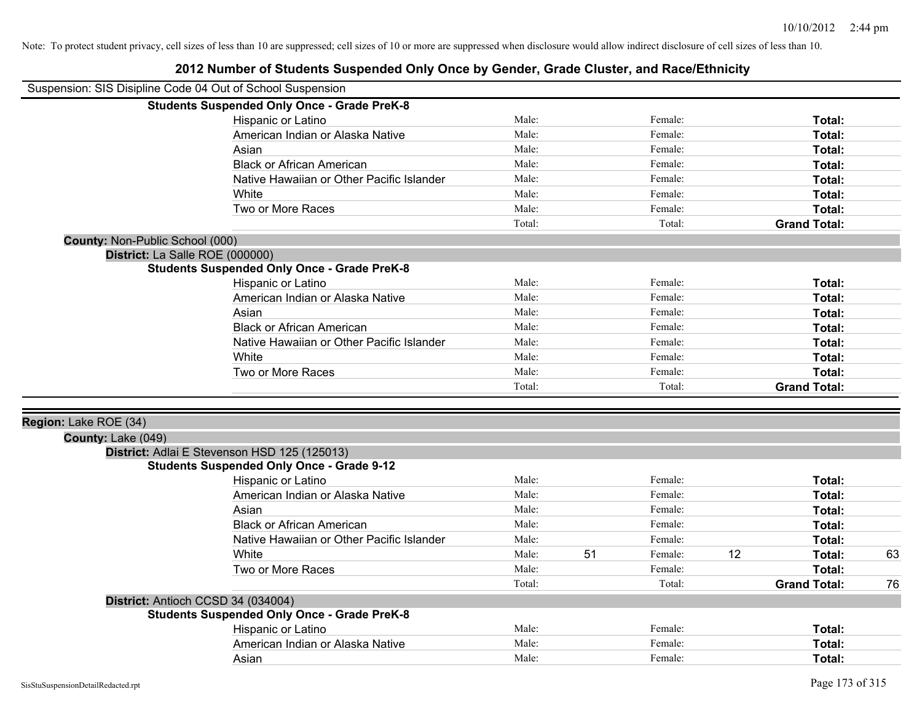|                                 | Suspension: SIS Disipline Code 04 Out of School Suspension |        |    |         |    |                     |    |
|---------------------------------|------------------------------------------------------------|--------|----|---------|----|---------------------|----|
|                                 | <b>Students Suspended Only Once - Grade PreK-8</b>         |        |    |         |    |                     |    |
|                                 | Hispanic or Latino                                         | Male:  |    | Female: |    | Total:              |    |
|                                 | American Indian or Alaska Native                           | Male:  |    | Female: |    | <b>Total:</b>       |    |
|                                 | Asian                                                      | Male:  |    | Female: |    | <b>Total:</b>       |    |
|                                 | <b>Black or African American</b>                           | Male:  |    | Female: |    | Total:              |    |
|                                 | Native Hawaiian or Other Pacific Islander                  | Male:  |    | Female: |    | Total:              |    |
|                                 | White                                                      | Male:  |    | Female: |    | Total:              |    |
|                                 | Two or More Races                                          | Male:  |    | Female: |    | Total:              |    |
|                                 |                                                            | Total: |    | Total:  |    | <b>Grand Total:</b> |    |
| County: Non-Public School (000) |                                                            |        |    |         |    |                     |    |
|                                 | District: La Salle ROE (000000)                            |        |    |         |    |                     |    |
|                                 | <b>Students Suspended Only Once - Grade PreK-8</b>         |        |    |         |    |                     |    |
|                                 | Hispanic or Latino                                         | Male:  |    | Female: |    | Total:              |    |
|                                 | American Indian or Alaska Native                           | Male:  |    | Female: |    | Total:              |    |
|                                 | Asian                                                      | Male:  |    | Female: |    | Total:              |    |
|                                 | <b>Black or African American</b>                           | Male:  |    | Female: |    | Total:              |    |
|                                 | Native Hawaiian or Other Pacific Islander                  | Male:  |    | Female: |    | Total:              |    |
|                                 | White                                                      | Male:  |    | Female: |    | Total:              |    |
|                                 | Two or More Races                                          | Male:  |    | Female: |    | Total:              |    |
|                                 |                                                            | Total: |    | Total:  |    | <b>Grand Total:</b> |    |
| Region: Lake ROE (34)           |                                                            |        |    |         |    |                     |    |
| County: Lake (049)              |                                                            |        |    |         |    |                     |    |
|                                 | District: Adlai E Stevenson HSD 125 (125013)               |        |    |         |    |                     |    |
|                                 | <b>Students Suspended Only Once - Grade 9-12</b>           |        |    |         |    |                     |    |
|                                 | Hispanic or Latino                                         | Male:  |    | Female: |    | Total:              |    |
|                                 | American Indian or Alaska Native                           | Male:  |    | Female: |    | Total:              |    |
|                                 | Asian                                                      | Male:  |    | Female: |    | Total:              |    |
|                                 | <b>Black or African American</b>                           | Male:  |    | Female: |    | Total:              |    |
|                                 | Native Hawaiian or Other Pacific Islander                  | Male:  |    | Female: |    | Total:              |    |
|                                 | White                                                      | Male:  | 51 | Female: | 12 | Total:              | 63 |
|                                 | Two or More Races                                          | Male:  |    | Female: |    | Total:              |    |
|                                 |                                                            | Total: |    | Total:  |    | <b>Grand Total:</b> | 76 |
|                                 | District: Antioch CCSD 34 (034004)                         |        |    |         |    |                     |    |
|                                 | <b>Students Suspended Only Once - Grade PreK-8</b>         |        |    |         |    |                     |    |
|                                 | Hispanic or Latino                                         | Male:  |    | Female: |    | Total:              |    |
|                                 | American Indian or Alaska Native                           | Male:  |    | Female: |    | Total:              |    |
|                                 | Asian                                                      | Male:  |    | Female: |    | Total:              |    |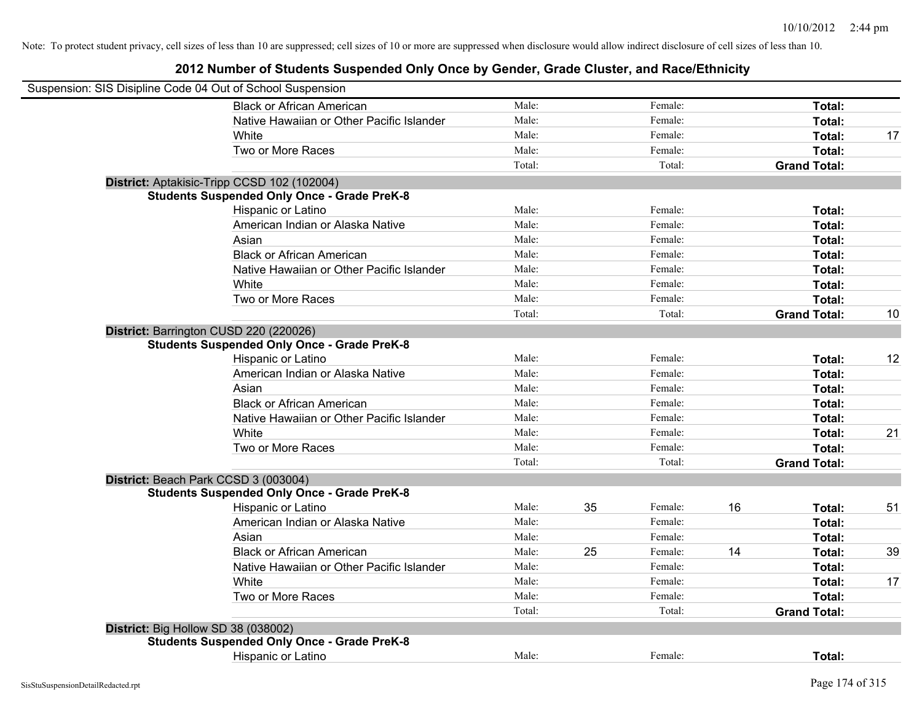| Suspension: SIS Disipline Code 04 Out of School Suspension |                                                    |        |    |         |    |                     |    |
|------------------------------------------------------------|----------------------------------------------------|--------|----|---------|----|---------------------|----|
|                                                            | <b>Black or African American</b>                   | Male:  |    | Female: |    | Total:              |    |
|                                                            | Native Hawaiian or Other Pacific Islander          | Male:  |    | Female: |    | Total:              |    |
|                                                            | White                                              | Male:  |    | Female: |    | Total:              | 17 |
|                                                            | Two or More Races                                  | Male:  |    | Female: |    | Total:              |    |
|                                                            |                                                    | Total: |    | Total:  |    | <b>Grand Total:</b> |    |
|                                                            | District: Aptakisic-Tripp CCSD 102 (102004)        |        |    |         |    |                     |    |
|                                                            | <b>Students Suspended Only Once - Grade PreK-8</b> |        |    |         |    |                     |    |
|                                                            | Hispanic or Latino                                 | Male:  |    | Female: |    | Total:              |    |
|                                                            | American Indian or Alaska Native                   | Male:  |    | Female: |    | Total:              |    |
|                                                            | Asian                                              | Male:  |    | Female: |    | Total:              |    |
|                                                            | <b>Black or African American</b>                   | Male:  |    | Female: |    | Total:              |    |
|                                                            | Native Hawaiian or Other Pacific Islander          | Male:  |    | Female: |    | Total:              |    |
|                                                            | White                                              | Male:  |    | Female: |    | Total:              |    |
|                                                            | Two or More Races                                  | Male:  |    | Female: |    | Total:              |    |
|                                                            |                                                    | Total: |    | Total:  |    | <b>Grand Total:</b> | 10 |
|                                                            | District: Barrington CUSD 220 (220026)             |        |    |         |    |                     |    |
|                                                            | <b>Students Suspended Only Once - Grade PreK-8</b> |        |    |         |    |                     |    |
|                                                            | Hispanic or Latino                                 | Male:  |    | Female: |    | Total:              | 12 |
|                                                            | American Indian or Alaska Native                   | Male:  |    | Female: |    | Total:              |    |
|                                                            | Asian                                              | Male:  |    | Female: |    | Total:              |    |
|                                                            | <b>Black or African American</b>                   | Male:  |    | Female: |    | Total:              |    |
|                                                            | Native Hawaiian or Other Pacific Islander          | Male:  |    | Female: |    | Total:              |    |
|                                                            | White                                              | Male:  |    | Female: |    | Total:              | 21 |
|                                                            | Two or More Races                                  | Male:  |    | Female: |    | Total:              |    |
|                                                            |                                                    | Total: |    | Total:  |    | <b>Grand Total:</b> |    |
|                                                            | District: Beach Park CCSD 3 (003004)               |        |    |         |    |                     |    |
|                                                            | <b>Students Suspended Only Once - Grade PreK-8</b> |        |    |         |    |                     |    |
|                                                            | Hispanic or Latino                                 | Male:  | 35 | Female: | 16 | Total:              | 51 |
|                                                            | American Indian or Alaska Native                   | Male:  |    | Female: |    | Total:              |    |
|                                                            | Asian                                              | Male:  |    | Female: |    | Total:              |    |
|                                                            | <b>Black or African American</b>                   | Male:  | 25 | Female: | 14 | Total:              | 39 |
|                                                            | Native Hawaiian or Other Pacific Islander          | Male:  |    | Female: |    | Total:              |    |
|                                                            | White                                              | Male:  |    | Female: |    | Total:              | 17 |
|                                                            | Two or More Races                                  | Male:  |    | Female: |    | Total:              |    |
|                                                            |                                                    | Total: |    | Total:  |    | <b>Grand Total:</b> |    |
| District: Big Hollow SD 38 (038002)                        |                                                    |        |    |         |    |                     |    |
|                                                            | <b>Students Suspended Only Once - Grade PreK-8</b> |        |    |         |    |                     |    |
|                                                            | Hispanic or Latino                                 | Male:  |    | Female: |    | Total:              |    |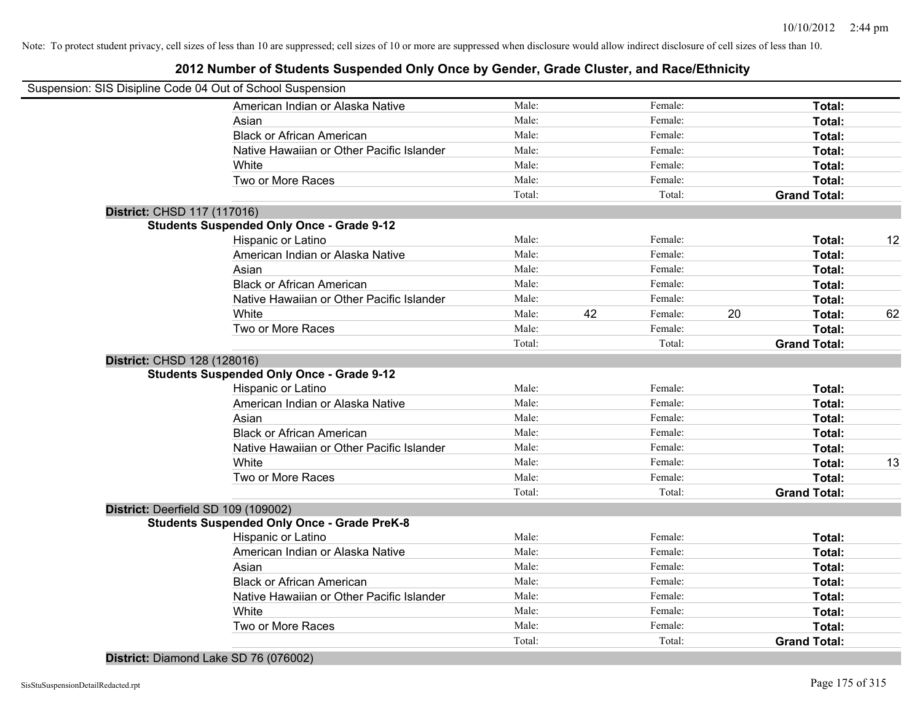#### **2012 Number of Students Suspended Only Once by Gender, Grade Cluster, and Race/Ethnicity**

|                                     | Suspension: SIS Disipline Code 04 Out of School Suspension |        |    |         |                     |               |    |
|-------------------------------------|------------------------------------------------------------|--------|----|---------|---------------------|---------------|----|
|                                     | American Indian or Alaska Native                           | Male:  |    | Female: |                     | Total:        |    |
|                                     | Asian                                                      | Male:  |    | Female: |                     | Total:        |    |
|                                     | <b>Black or African American</b>                           | Male:  |    | Female: |                     | Total:        |    |
|                                     | Native Hawaiian or Other Pacific Islander                  | Male:  |    | Female: |                     | Total:        |    |
|                                     | White                                                      | Male:  |    | Female: |                     | Total:        |    |
|                                     | Two or More Races                                          | Male:  |    | Female: |                     | Total:        |    |
|                                     |                                                            | Total: |    | Total:  | <b>Grand Total:</b> |               |    |
| District: CHSD 117 (117016)         |                                                            |        |    |         |                     |               |    |
|                                     | <b>Students Suspended Only Once - Grade 9-12</b>           |        |    |         |                     |               |    |
|                                     | <b>Hispanic or Latino</b>                                  | Male:  |    | Female: |                     | Total:        | 12 |
|                                     | American Indian or Alaska Native                           | Male:  |    | Female: |                     | Total:        |    |
|                                     | Asian                                                      | Male:  |    | Female: |                     | Total:        |    |
|                                     | <b>Black or African American</b>                           | Male:  |    | Female: |                     | Total:        |    |
|                                     | Native Hawaiian or Other Pacific Islander                  | Male:  |    | Female: |                     | Total:        |    |
|                                     | White                                                      | Male:  | 42 | Female: | 20                  | Total:        | 62 |
|                                     | Two or More Races                                          | Male:  |    | Female: | Total:              |               |    |
|                                     |                                                            | Total: |    | Total:  | <b>Grand Total:</b> |               |    |
| District: CHSD 128 (128016)         |                                                            |        |    |         |                     |               |    |
|                                     | <b>Students Suspended Only Once - Grade 9-12</b>           |        |    |         |                     |               |    |
|                                     | Hispanic or Latino                                         | Male:  |    | Female: |                     | Total:        |    |
|                                     | American Indian or Alaska Native                           | Male:  |    | Female: |                     | Total:        |    |
|                                     | Asian                                                      | Male:  |    | Female: |                     | Total:        |    |
|                                     | <b>Black or African American</b>                           | Male:  |    | Female: |                     | Total:        |    |
|                                     | Native Hawaiian or Other Pacific Islander                  | Male:  |    | Female: |                     | Total:        |    |
|                                     | White                                                      | Male:  |    | Female: |                     | Total:        | 13 |
|                                     | Two or More Races                                          | Male:  |    | Female: |                     | Total:        |    |
|                                     |                                                            | Total: |    | Total:  | <b>Grand Total:</b> |               |    |
| District: Deerfield SD 109 (109002) |                                                            |        |    |         |                     |               |    |
|                                     | <b>Students Suspended Only Once - Grade PreK-8</b>         |        |    |         |                     |               |    |
|                                     | Hispanic or Latino                                         | Male:  |    | Female: |                     | <b>Total:</b> |    |
|                                     | American Indian or Alaska Native                           | Male:  |    | Female: |                     | Total:        |    |
|                                     | Asian                                                      | Male:  |    | Female: |                     | Total:        |    |
|                                     | <b>Black or African American</b>                           | Male:  |    | Female: |                     | Total:        |    |
|                                     | Native Hawaiian or Other Pacific Islander                  | Male:  |    | Female: |                     | Total:        |    |
|                                     | White                                                      | Male:  |    | Female: |                     | Total:        |    |
|                                     | Two or More Races                                          | Male:  |    | Female: |                     | Total:        |    |
|                                     |                                                            | Total: |    | Total:  | <b>Grand Total:</b> |               |    |
|                                     |                                                            |        |    |         |                     |               |    |

**District:** Diamond Lake SD 76 (076002)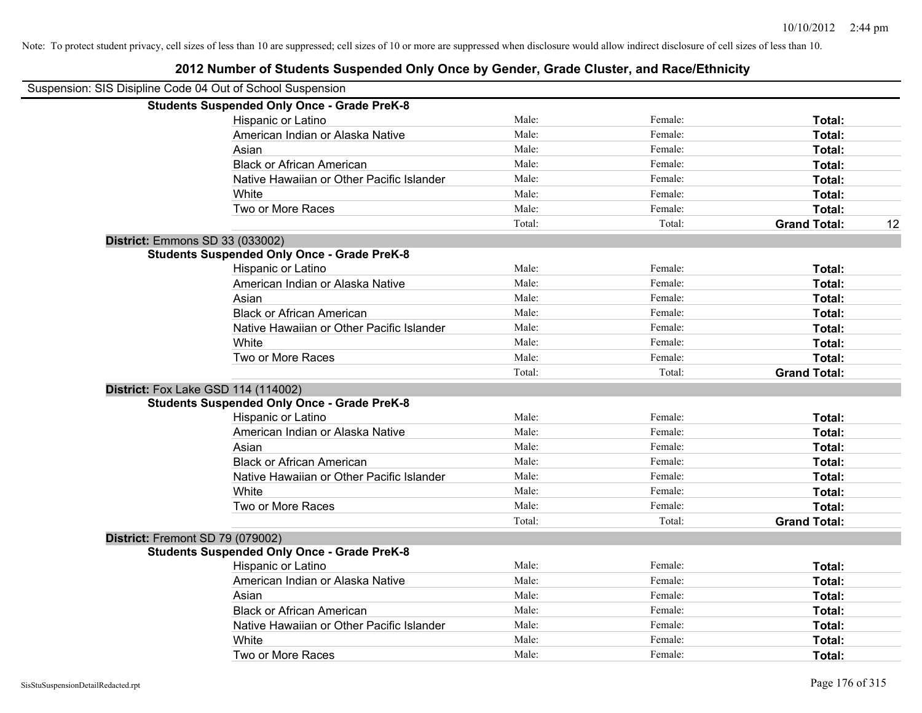# Suspension: SIS Disipline Code 04 Out of School Suspension **Students Suspended Only Once - Grade PreK-8** Hispanic or Latino **Finally** Male: **Female:** Female: **Total: Total:** Female: **Total:** Female: **Female:** Female: **Female:** Female: **Female:** Female: **Female:** Female: **Female:** Female: **Female:** Female: **Female:** Female: American Indian or Alaska Native **Male:** Male: Female: Female: **Total:** Total: Asian **Female:** Total: Male: Female: **Total:** Total: Total: Total: Total: Total: Total: Total: Total: Total: Total: Total: Total: Total: Total: Total: Total: Total: Total: Total: Total: Total: Total: Total: Total: Total: T Black or African American **Figure 10** Male: Female: Female: **Total:** Total: Native Hawaiian or Other Pacific Islander Male: Female: Female: **Total:** Total: White **Total:** Male: Female: **Total:** Female: **Total:** Total: Two or More Races **Total:** Male: Female: Female: **Total:** Total: Total: Total: Total: **Grand Total:** 12 **Students Suspended Only Once - Grade PreK-8**

| Male:  | Female: | Total:              |
|--------|---------|---------------------|
| Male:  | Female: | Total:              |
| Male:  | Female: | Total:              |
| Male:  | Female: | Total:              |
| Male:  | Female: | Total:              |
| Male:  | Female: | Total:              |
| Male:  | Female: | Total:              |
| Total: | Total:  | <b>Grand Total:</b> |
|        |         |                     |
|        |         |                     |
| Male:  | Female: | Total:              |
| Male:  | Female: | Total:              |
| Male:  | Female: | Total:              |
| Male:  | Female: | Total:              |
| Male:  | Female: | Total:              |
| Male:  | Female: | Total:              |
| Male:  | Female: | Total:              |
| Total: | Total:  | <b>Grand Total:</b> |
|        |         |                     |
|        |         |                     |
| Male:  | Female: | Total:              |
| Male:  | Female: | Total:              |
| Male:  | Female: | Total:              |
| Male:  | Female: | Total:              |
| Male:  | Female: | Total:              |
| Male:  | Female: | Total:              |
| Male:  | Female: | Total:              |
|        |         |                     |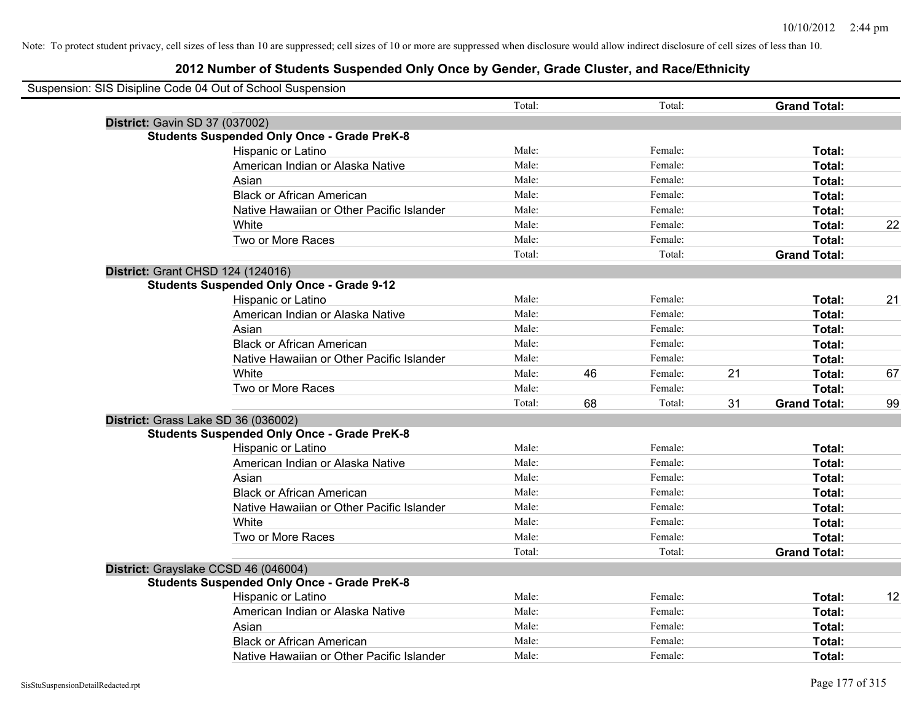| Suspension: SIS Disipline Code 04 Out of School Suspension |        |    |         |    |                     |    |
|------------------------------------------------------------|--------|----|---------|----|---------------------|----|
|                                                            | Total: |    | Total:  |    | <b>Grand Total:</b> |    |
| <b>District: Gavin SD 37 (037002)</b>                      |        |    |         |    |                     |    |
| <b>Students Suspended Only Once - Grade PreK-8</b>         |        |    |         |    |                     |    |
| Hispanic or Latino                                         | Male:  |    | Female: |    | Total:              |    |
| American Indian or Alaska Native                           | Male:  |    | Female: |    | Total:              |    |
| Asian                                                      | Male:  |    | Female: |    | Total:              |    |
| <b>Black or African American</b>                           | Male:  |    | Female: |    | Total:              |    |
| Native Hawaiian or Other Pacific Islander                  | Male:  |    | Female: |    | Total:              |    |
| White                                                      | Male:  |    | Female: |    | Total:              | 22 |
| Two or More Races                                          | Male:  |    | Female: |    | Total:              |    |
|                                                            | Total: |    | Total:  |    | <b>Grand Total:</b> |    |
| District: Grant CHSD 124 (124016)                          |        |    |         |    |                     |    |
| <b>Students Suspended Only Once - Grade 9-12</b>           |        |    |         |    |                     |    |
| Hispanic or Latino                                         | Male:  |    | Female: |    | Total:              | 21 |
| American Indian or Alaska Native                           | Male:  |    | Female: |    | Total:              |    |
| Asian                                                      | Male:  |    | Female: |    | Total:              |    |
| <b>Black or African American</b>                           | Male:  |    | Female: |    | Total:              |    |
| Native Hawaiian or Other Pacific Islander                  | Male:  |    | Female: |    | Total:              |    |
| White                                                      | Male:  | 46 | Female: | 21 | Total:              | 67 |
| Two or More Races                                          | Male:  |    | Female: |    | Total:              |    |
|                                                            | Total: | 68 | Total:  | 31 | <b>Grand Total:</b> | 99 |
| District: Grass Lake SD 36 (036002)                        |        |    |         |    |                     |    |
| <b>Students Suspended Only Once - Grade PreK-8</b>         |        |    |         |    |                     |    |
| Hispanic or Latino                                         | Male:  |    | Female: |    | Total:              |    |
| American Indian or Alaska Native                           | Male:  |    | Female: |    | Total:              |    |
| Asian                                                      | Male:  |    | Female: |    | Total:              |    |
| <b>Black or African American</b>                           | Male:  |    | Female: |    | Total:              |    |
| Native Hawaiian or Other Pacific Islander                  | Male:  |    | Female: |    | Total:              |    |
| White                                                      | Male:  |    | Female: |    | Total:              |    |
| Two or More Races                                          | Male:  |    | Female: |    | Total:              |    |
|                                                            | Total: |    | Total:  |    | <b>Grand Total:</b> |    |
| District: Grayslake CCSD 46 (046004)                       |        |    |         |    |                     |    |
| <b>Students Suspended Only Once - Grade PreK-8</b>         |        |    |         |    |                     |    |
| Hispanic or Latino                                         | Male:  |    | Female: |    | Total:              | 12 |
| American Indian or Alaska Native                           | Male:  |    | Female: |    | Total:              |    |
| Asian                                                      | Male:  |    | Female: |    | Total:              |    |
| <b>Black or African American</b>                           | Male:  |    | Female: |    | Total:              |    |
| Native Hawaiian or Other Pacific Islander                  | Male:  |    | Female: |    | Total:              |    |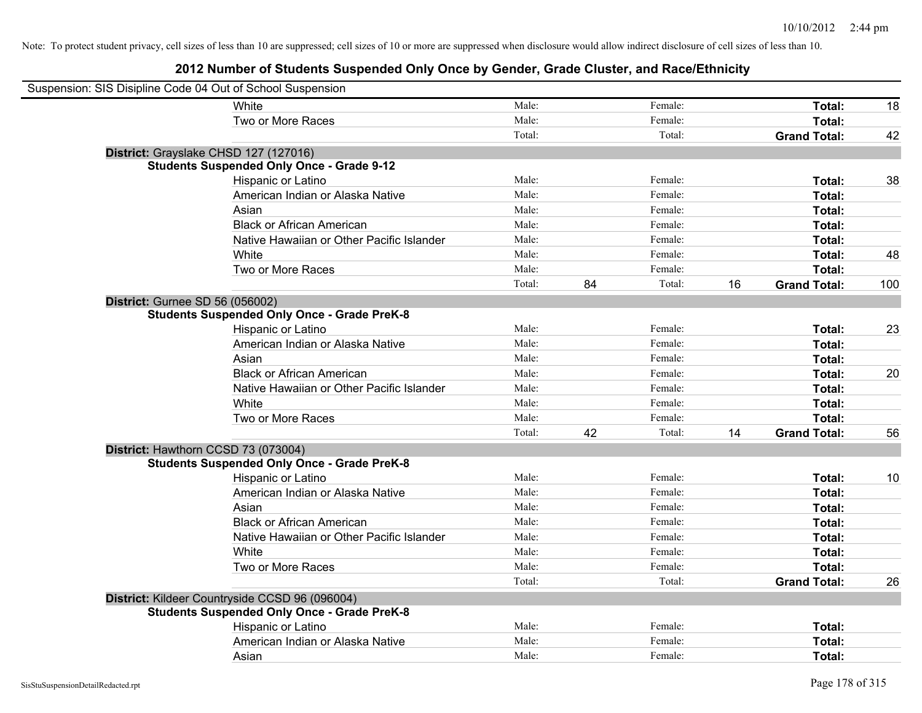| Suspension: SIS Disipline Code 04 Out of School Suspension |                                                    |        |    |         |    |                     |     |
|------------------------------------------------------------|----------------------------------------------------|--------|----|---------|----|---------------------|-----|
|                                                            | White                                              | Male:  |    | Female: |    | Total:              | 18  |
|                                                            | Two or More Races                                  | Male:  |    | Female: |    | Total:              |     |
|                                                            |                                                    | Total: |    | Total:  |    | <b>Grand Total:</b> | 42  |
|                                                            | District: Grayslake CHSD 127 (127016)              |        |    |         |    |                     |     |
|                                                            | <b>Students Suspended Only Once - Grade 9-12</b>   |        |    |         |    |                     |     |
|                                                            | Hispanic or Latino                                 | Male:  |    | Female: |    | Total:              | 38  |
|                                                            | American Indian or Alaska Native                   | Male:  |    | Female: |    | Total:              |     |
|                                                            | Asian                                              | Male:  |    | Female: |    | Total:              |     |
|                                                            | <b>Black or African American</b>                   | Male:  |    | Female: |    | Total:              |     |
|                                                            | Native Hawaiian or Other Pacific Islander          | Male:  |    | Female: |    | Total:              |     |
|                                                            | White                                              | Male:  |    | Female: |    | Total:              | 48  |
|                                                            | Two or More Races                                  | Male:  |    | Female: |    | Total:              |     |
|                                                            |                                                    | Total: | 84 | Total:  | 16 | <b>Grand Total:</b> | 100 |
| District: Gurnee SD 56 (056002)                            |                                                    |        |    |         |    |                     |     |
|                                                            | <b>Students Suspended Only Once - Grade PreK-8</b> |        |    |         |    |                     |     |
|                                                            | Hispanic or Latino                                 | Male:  |    | Female: |    | Total:              | 23  |
|                                                            | American Indian or Alaska Native                   | Male:  |    | Female: |    | Total:              |     |
|                                                            | Asian                                              | Male:  |    | Female: |    | Total:              |     |
|                                                            | <b>Black or African American</b>                   | Male:  |    | Female: |    | Total:              | 20  |
|                                                            | Native Hawaiian or Other Pacific Islander          | Male:  |    | Female: |    | Total:              |     |
|                                                            | White                                              | Male:  |    | Female: |    | Total:              |     |
|                                                            | Two or More Races                                  | Male:  |    | Female: |    | Total:              |     |
|                                                            |                                                    | Total: | 42 | Total:  | 14 | <b>Grand Total:</b> | 56  |
| District: Hawthorn CCSD 73 (073004)                        |                                                    |        |    |         |    |                     |     |
|                                                            | <b>Students Suspended Only Once - Grade PreK-8</b> |        |    |         |    |                     |     |
|                                                            | Hispanic or Latino                                 | Male:  |    | Female: |    | Total:              | 10  |
|                                                            | American Indian or Alaska Native                   | Male:  |    | Female: |    | Total:              |     |
|                                                            | Asian                                              | Male:  |    | Female: |    | Total:              |     |
|                                                            | <b>Black or African American</b>                   | Male:  |    | Female: |    | Total:              |     |
|                                                            | Native Hawaiian or Other Pacific Islander          | Male:  |    | Female: |    | Total:              |     |
|                                                            | White                                              | Male:  |    | Female: |    | Total:              |     |
|                                                            | Two or More Races                                  | Male:  |    | Female: |    | Total:              |     |
|                                                            |                                                    | Total: |    | Total:  |    | <b>Grand Total:</b> | 26  |
|                                                            | District: Kildeer Countryside CCSD 96 (096004)     |        |    |         |    |                     |     |
|                                                            | <b>Students Suspended Only Once - Grade PreK-8</b> |        |    |         |    |                     |     |
|                                                            | Hispanic or Latino                                 | Male:  |    | Female: |    | Total:              |     |
|                                                            | American Indian or Alaska Native                   | Male:  |    | Female: |    | Total:              |     |
|                                                            | Asian                                              | Male:  |    | Female: |    | Total:              |     |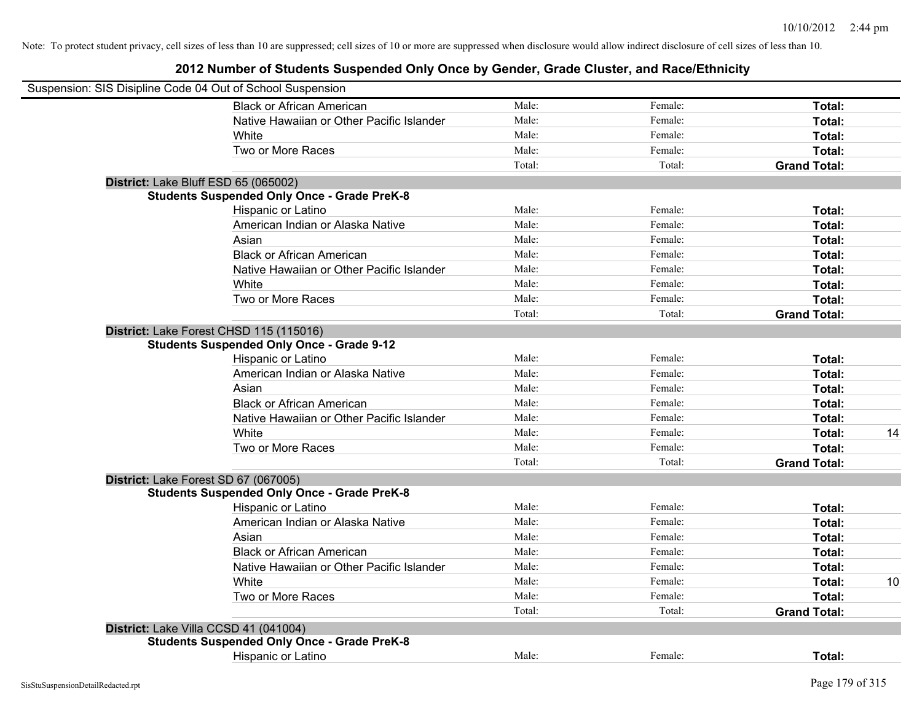| Suspension: SIS Disipline Code 04 Out of School Suspension |                |         |                     |    |
|------------------------------------------------------------|----------------|---------|---------------------|----|
| <b>Black or African American</b>                           | Male:          | Female: | Total:              |    |
| Native Hawaiian or Other Pacific Islander                  | Male:          | Female: | Total:              |    |
| White                                                      | Male:          | Female: | Total:              |    |
| Two or More Races                                          | Male:          | Female: | Total:              |    |
|                                                            | Total:         | Total:  | <b>Grand Total:</b> |    |
| District: Lake Bluff ESD 65 (065002)                       |                |         |                     |    |
| <b>Students Suspended Only Once - Grade PreK-8</b>         |                |         |                     |    |
| Hispanic or Latino                                         | Male:          | Female: | Total:              |    |
| American Indian or Alaska Native                           | Male:          | Female: | Total:              |    |
| Asian                                                      | Male:          | Female: | Total:              |    |
| <b>Black or African American</b>                           | Male:          | Female: | Total:              |    |
| Native Hawaiian or Other Pacific Islander                  | Male:          | Female: | Total:              |    |
| White                                                      | Male:          | Female: | Total:              |    |
| Two or More Races                                          | Male:          | Female: | Total:              |    |
|                                                            | Total:         | Total:  | <b>Grand Total:</b> |    |
| District: Lake Forest CHSD 115 (115016)                    |                |         |                     |    |
| <b>Students Suspended Only Once - Grade 9-12</b>           |                |         |                     |    |
| Hispanic or Latino                                         | Male:          | Female: | Total:              |    |
| American Indian or Alaska Native                           | Male:          | Female: | Total:              |    |
| Asian                                                      | Male:          | Female: | Total:              |    |
| <b>Black or African American</b>                           | Male:          | Female: | Total:              |    |
| Native Hawaiian or Other Pacific Islander                  | Male:          | Female: | Total:              |    |
| White                                                      | Male:          | Female: | Total:              | 14 |
| Two or More Races                                          | Male:          | Female: | Total:              |    |
|                                                            | Total:         | Total:  | <b>Grand Total:</b> |    |
| District: Lake Forest SD 67 (067005)                       |                |         |                     |    |
| <b>Students Suspended Only Once - Grade PreK-8</b>         |                |         |                     |    |
| Hispanic or Latino                                         | Male:          | Female: | Total:              |    |
| American Indian or Alaska Native                           | Male:          | Female: | Total:              |    |
| Asian                                                      | Male:          | Female: | Total:              |    |
| <b>Black or African American</b>                           | Male:          | Female: | Total:              |    |
|                                                            | Male:          | Female: |                     |    |
| Native Hawaiian or Other Pacific Islander                  |                |         | Total:              | 10 |
| White                                                      | Male:<br>Male: | Female: | Total:              |    |
| Two or More Races                                          |                | Female: | Total:              |    |
|                                                            | Total:         | Total:  | <b>Grand Total:</b> |    |
| District: Lake Villa CCSD 41 (041004)                      |                |         |                     |    |
| <b>Students Suspended Only Once - Grade PreK-8</b>         |                |         |                     |    |
| Hispanic or Latino                                         | Male:          | Female: | Total:              |    |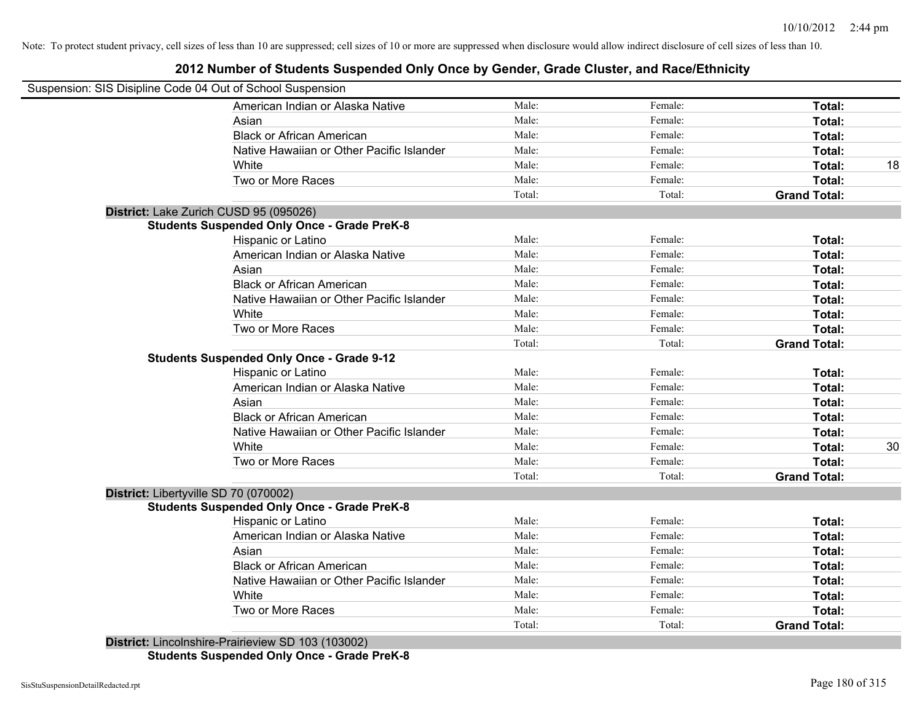#### **2012 Number of Students Suspended Only Once by Gender, Grade Cluster, and Race/Ethnicity**

| Suspension: SIS Disipline Code 04 Out of School Suspension |        |         |                     |    |
|------------------------------------------------------------|--------|---------|---------------------|----|
| American Indian or Alaska Native                           | Male:  | Female: | Total:              |    |
| Asian                                                      | Male:  | Female: | Total:              |    |
| <b>Black or African American</b>                           | Male:  | Female: | Total:              |    |
| Native Hawaiian or Other Pacific Islander                  | Male:  | Female: | Total:              |    |
| White                                                      | Male:  | Female: | Total:              | 18 |
| Two or More Races                                          | Male:  | Female: | Total:              |    |
|                                                            | Total: | Total:  | <b>Grand Total:</b> |    |
| District: Lake Zurich CUSD 95 (095026)                     |        |         |                     |    |
| <b>Students Suspended Only Once - Grade PreK-8</b>         |        |         |                     |    |
| Hispanic or Latino                                         | Male:  | Female: | Total:              |    |
| American Indian or Alaska Native                           | Male:  | Female: | Total:              |    |
| Asian                                                      | Male:  | Female: | Total:              |    |
| <b>Black or African American</b>                           | Male:  | Female: | Total:              |    |
| Native Hawaiian or Other Pacific Islander                  | Male:  | Female: | Total:              |    |
| White                                                      | Male:  | Female: | Total:              |    |
| Two or More Races                                          | Male:  | Female: | Total:              |    |
|                                                            | Total: | Total:  | <b>Grand Total:</b> |    |
| <b>Students Suspended Only Once - Grade 9-12</b>           |        |         |                     |    |
| Hispanic or Latino                                         | Male:  | Female: | Total:              |    |
| American Indian or Alaska Native                           | Male:  | Female: | Total:              |    |
| Asian                                                      | Male:  | Female: | Total:              |    |
| <b>Black or African American</b>                           | Male:  | Female: | Total:              |    |
| Native Hawaiian or Other Pacific Islander                  | Male:  | Female: | Total:              |    |
| White                                                      | Male:  | Female: | Total:              | 30 |
| Two or More Races                                          | Male:  | Female: | Total:              |    |
|                                                            | Total: | Total:  | <b>Grand Total:</b> |    |
| District: Libertyville SD 70 (070002)                      |        |         |                     |    |
| <b>Students Suspended Only Once - Grade PreK-8</b>         |        |         |                     |    |
| Hispanic or Latino                                         | Male:  | Female: | Total:              |    |
| American Indian or Alaska Native                           | Male:  | Female: | Total:              |    |
| Asian                                                      | Male:  | Female: | Total:              |    |
| <b>Black or African American</b>                           | Male:  | Female: | Total:              |    |
| Native Hawaiian or Other Pacific Islander                  | Male:  | Female: | Total:              |    |
| White                                                      | Male:  | Female: | Total:              |    |
| Two or More Races                                          | Male:  | Female: | Total:              |    |
|                                                            | Total: | Total:  | <b>Grand Total:</b> |    |
| District: Lincolnshire-Prairieview SD 103 (103002)         |        |         |                     |    |

**Students Suspended Only Once - Grade PreK-8**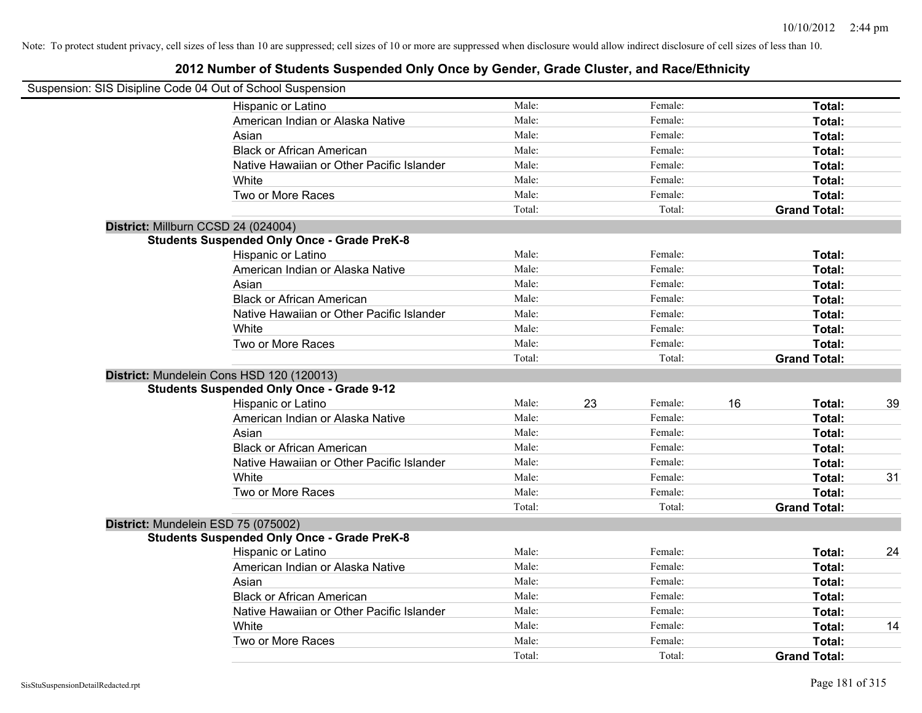| Suspension: SIS Disipline Code 04 Out of School Suspension |        |    |         |    |                     |    |
|------------------------------------------------------------|--------|----|---------|----|---------------------|----|
| Hispanic or Latino                                         | Male:  |    | Female: |    | Total:              |    |
| American Indian or Alaska Native                           | Male:  |    | Female: |    | Total:              |    |
| Asian                                                      | Male:  |    | Female: |    | Total:              |    |
| <b>Black or African American</b>                           | Male:  |    | Female: |    | Total:              |    |
| Native Hawaiian or Other Pacific Islander                  | Male:  |    | Female: |    | Total:              |    |
| White                                                      | Male:  |    | Female: |    | Total:              |    |
| Two or More Races                                          | Male:  |    | Female: |    | Total:              |    |
|                                                            | Total: |    | Total:  |    | <b>Grand Total:</b> |    |
| District: Millburn CCSD 24 (024004)                        |        |    |         |    |                     |    |
| <b>Students Suspended Only Once - Grade PreK-8</b>         |        |    |         |    |                     |    |
| Hispanic or Latino                                         | Male:  |    | Female: |    | Total:              |    |
| American Indian or Alaska Native                           | Male:  |    | Female: |    | Total:              |    |
| Asian                                                      | Male:  |    | Female: |    | Total:              |    |
| <b>Black or African American</b>                           | Male:  |    | Female: |    | Total:              |    |
| Native Hawaiian or Other Pacific Islander                  | Male:  |    | Female: |    | Total:              |    |
| White                                                      | Male:  |    | Female: |    | Total:              |    |
| Two or More Races                                          | Male:  |    | Female: |    | Total:              |    |
|                                                            | Total: |    | Total:  |    | <b>Grand Total:</b> |    |
| District: Mundelein Cons HSD 120 (120013)                  |        |    |         |    |                     |    |
| <b>Students Suspended Only Once - Grade 9-12</b>           |        |    |         |    |                     |    |
| Hispanic or Latino                                         | Male:  | 23 | Female: | 16 | Total:              | 39 |
| American Indian or Alaska Native                           | Male:  |    | Female: |    | Total:              |    |
| Asian                                                      | Male:  |    | Female: |    | Total:              |    |
| <b>Black or African American</b>                           | Male:  |    | Female: |    | Total:              |    |
| Native Hawaiian or Other Pacific Islander                  | Male:  |    | Female: |    | Total:              |    |
| White                                                      | Male:  |    | Female: |    | Total:              | 31 |
| Two or More Races                                          | Male:  |    | Female: |    | Total:              |    |
|                                                            | Total: |    | Total:  |    | <b>Grand Total:</b> |    |
| District: Mundelein ESD 75 (075002)                        |        |    |         |    |                     |    |
| <b>Students Suspended Only Once - Grade PreK-8</b>         |        |    |         |    |                     |    |
| Hispanic or Latino                                         | Male:  |    | Female: |    | Total:              | 24 |
| American Indian or Alaska Native                           | Male:  |    | Female: |    | Total:              |    |
| Asian                                                      | Male:  |    | Female: |    | Total:              |    |
| <b>Black or African American</b>                           | Male:  |    | Female: |    | Total:              |    |
| Native Hawaiian or Other Pacific Islander                  | Male:  |    | Female: |    | Total:              |    |
| White                                                      | Male:  |    | Female: |    | Total:              | 14 |
| Two or More Races                                          | Male:  |    | Female: |    | Total:              |    |
|                                                            | Total: |    | Total:  |    | <b>Grand Total:</b> |    |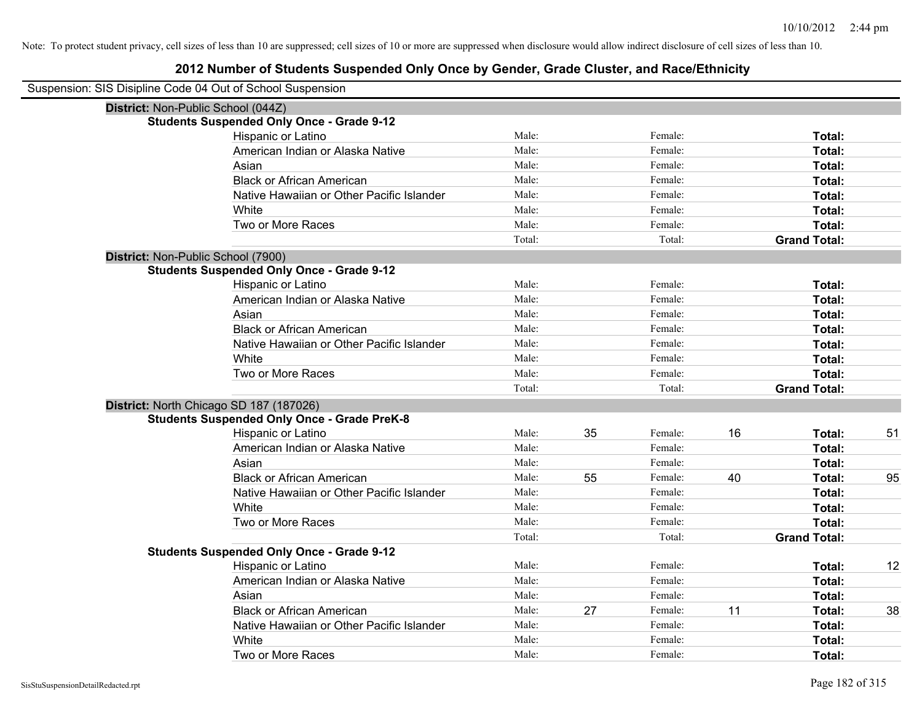| Suspension: SIS Disipline Code 04 Out of School Suspension |                                                    |        |    |         |    |                     |    |
|------------------------------------------------------------|----------------------------------------------------|--------|----|---------|----|---------------------|----|
|                                                            |                                                    |        |    |         |    |                     |    |
|                                                            | District: Non-Public School (044Z)                 |        |    |         |    |                     |    |
|                                                            | <b>Students Suspended Only Once - Grade 9-12</b>   |        |    |         |    |                     |    |
|                                                            | Hispanic or Latino                                 | Male:  |    | Female: |    | Total:              |    |
|                                                            | American Indian or Alaska Native                   | Male:  |    | Female: |    | Total:              |    |
|                                                            | Asian                                              | Male:  |    | Female: |    | Total:              |    |
|                                                            | <b>Black or African American</b>                   | Male:  |    | Female: |    | Total:              |    |
|                                                            | Native Hawaiian or Other Pacific Islander          | Male:  |    | Female: |    | Total:              |    |
|                                                            | White                                              | Male:  |    | Female: |    | Total:              |    |
|                                                            | Two or More Races                                  | Male:  |    | Female: |    | Total:              |    |
|                                                            |                                                    | Total: |    | Total:  |    | <b>Grand Total:</b> |    |
|                                                            | District: Non-Public School (7900)                 |        |    |         |    |                     |    |
|                                                            | <b>Students Suspended Only Once - Grade 9-12</b>   |        |    |         |    |                     |    |
|                                                            | Hispanic or Latino                                 | Male:  |    | Female: |    | Total:              |    |
|                                                            | American Indian or Alaska Native                   | Male:  |    | Female: |    | Total:              |    |
|                                                            | Asian                                              | Male:  |    | Female: |    | Total:              |    |
|                                                            | <b>Black or African American</b>                   | Male:  |    | Female: |    | Total:              |    |
|                                                            | Native Hawaiian or Other Pacific Islander          | Male:  |    | Female: |    | Total:              |    |
|                                                            | White                                              | Male:  |    | Female: |    | Total:              |    |
|                                                            | Two or More Races                                  | Male:  |    | Female: |    | Total:              |    |
|                                                            |                                                    | Total: |    | Total:  |    | <b>Grand Total:</b> |    |
|                                                            | District: North Chicago SD 187 (187026)            |        |    |         |    |                     |    |
|                                                            | <b>Students Suspended Only Once - Grade PreK-8</b> |        |    |         |    |                     |    |
|                                                            | Hispanic or Latino                                 | Male:  | 35 | Female: | 16 | Total:              | 51 |
|                                                            | American Indian or Alaska Native                   | Male:  |    | Female: |    | Total:              |    |
|                                                            | Asian                                              | Male:  |    | Female: |    | Total:              |    |
|                                                            | <b>Black or African American</b>                   | Male:  | 55 | Female: | 40 | Total:              | 95 |
|                                                            | Native Hawaiian or Other Pacific Islander          | Male:  |    | Female: |    | Total:              |    |
|                                                            | White                                              | Male:  |    | Female: |    | Total:              |    |
|                                                            | Two or More Races                                  | Male:  |    | Female: |    | Total:              |    |
|                                                            |                                                    | Total: |    | Total:  |    | <b>Grand Total:</b> |    |
|                                                            | <b>Students Suspended Only Once - Grade 9-12</b>   |        |    |         |    |                     |    |
|                                                            | Hispanic or Latino                                 | Male:  |    | Female: |    | Total:              | 12 |
|                                                            | American Indian or Alaska Native                   | Male:  |    | Female: |    | Total:              |    |
|                                                            | Asian                                              | Male:  |    | Female: |    | Total:              |    |
|                                                            | <b>Black or African American</b>                   | Male:  | 27 | Female: | 11 | Total:              | 38 |
|                                                            | Native Hawaiian or Other Pacific Islander          | Male:  |    | Female: |    | Total:              |    |
|                                                            | White                                              | Male:  |    | Female: |    | Total:              |    |
|                                                            | Two or More Races                                  | Male:  |    | Female: |    | Total:              |    |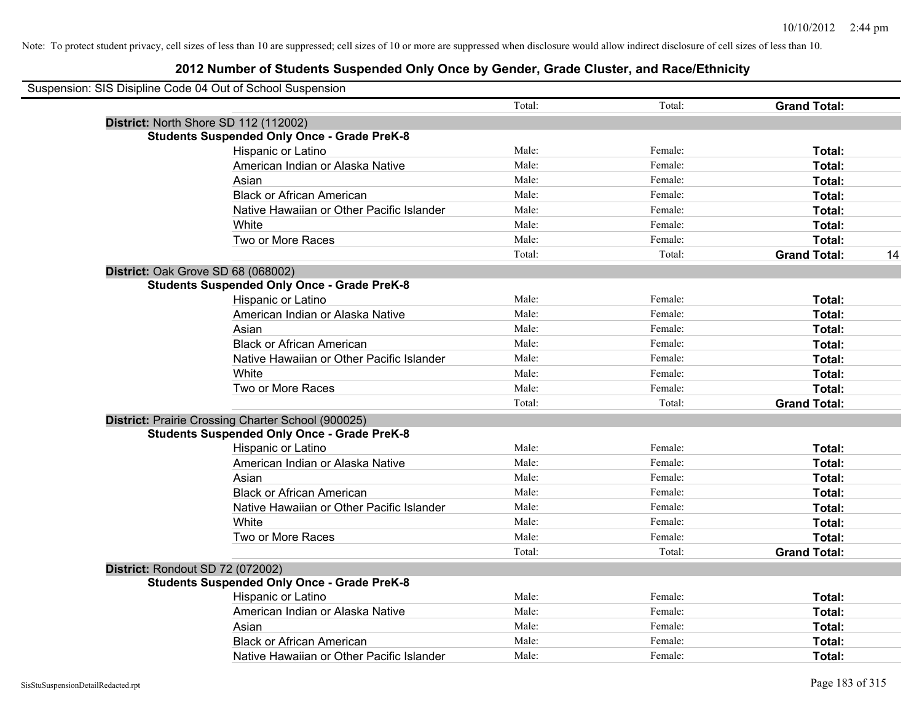| Suspension: SIS Disipline Code 04 Out of School Suspension |        |         |                     |    |
|------------------------------------------------------------|--------|---------|---------------------|----|
|                                                            | Total: | Total:  | <b>Grand Total:</b> |    |
| District: North Shore SD 112 (112002)                      |        |         |                     |    |
| <b>Students Suspended Only Once - Grade PreK-8</b>         |        |         |                     |    |
| <b>Hispanic or Latino</b>                                  | Male:  | Female: | Total:              |    |
| American Indian or Alaska Native                           | Male:  | Female: | Total:              |    |
| Asian                                                      | Male:  | Female: | Total:              |    |
| <b>Black or African American</b>                           | Male:  | Female: | Total:              |    |
| Native Hawaiian or Other Pacific Islander                  | Male:  | Female: | Total:              |    |
| White                                                      | Male:  | Female: | Total:              |    |
| Two or More Races                                          | Male:  | Female: | <b>Total:</b>       |    |
|                                                            | Total: | Total:  | <b>Grand Total:</b> | 14 |
| District: Oak Grove SD 68 (068002)                         |        |         |                     |    |
| <b>Students Suspended Only Once - Grade PreK-8</b>         |        |         |                     |    |
| Hispanic or Latino                                         | Male:  | Female: | Total:              |    |
| American Indian or Alaska Native                           | Male:  | Female: | Total:              |    |
| Asian                                                      | Male:  | Female: | Total:              |    |
| <b>Black or African American</b>                           | Male:  | Female: | Total:              |    |
| Native Hawaiian or Other Pacific Islander                  | Male:  | Female: | Total:              |    |
| White                                                      | Male:  | Female: | Total:              |    |
| Two or More Races                                          | Male:  | Female: | Total:              |    |
|                                                            | Total: | Total:  | <b>Grand Total:</b> |    |
| District: Prairie Crossing Charter School (900025)         |        |         |                     |    |
| <b>Students Suspended Only Once - Grade PreK-8</b>         |        |         |                     |    |
| Hispanic or Latino                                         | Male:  | Female: | Total:              |    |
| American Indian or Alaska Native                           | Male:  | Female: | Total:              |    |
| Asian                                                      | Male:  | Female: | Total:              |    |
| <b>Black or African American</b>                           | Male:  | Female: | Total:              |    |
| Native Hawaiian or Other Pacific Islander                  | Male:  | Female: | Total:              |    |
| <b>White</b>                                               | Male:  | Female: | Total:              |    |
| Two or More Races                                          | Male:  | Female: | Total:              |    |
|                                                            | Total: | Total:  | <b>Grand Total:</b> |    |
| District: Rondout SD 72 (072002)                           |        |         |                     |    |
| <b>Students Suspended Only Once - Grade PreK-8</b>         |        |         |                     |    |
| Hispanic or Latino                                         | Male:  | Female: | Total:              |    |
| American Indian or Alaska Native                           | Male:  | Female: | Total:              |    |
| Asian                                                      | Male:  | Female: | Total:              |    |
| <b>Black or African American</b>                           | Male:  | Female: | Total:              |    |
| Native Hawaiian or Other Pacific Islander                  | Male:  | Female: | Total:              |    |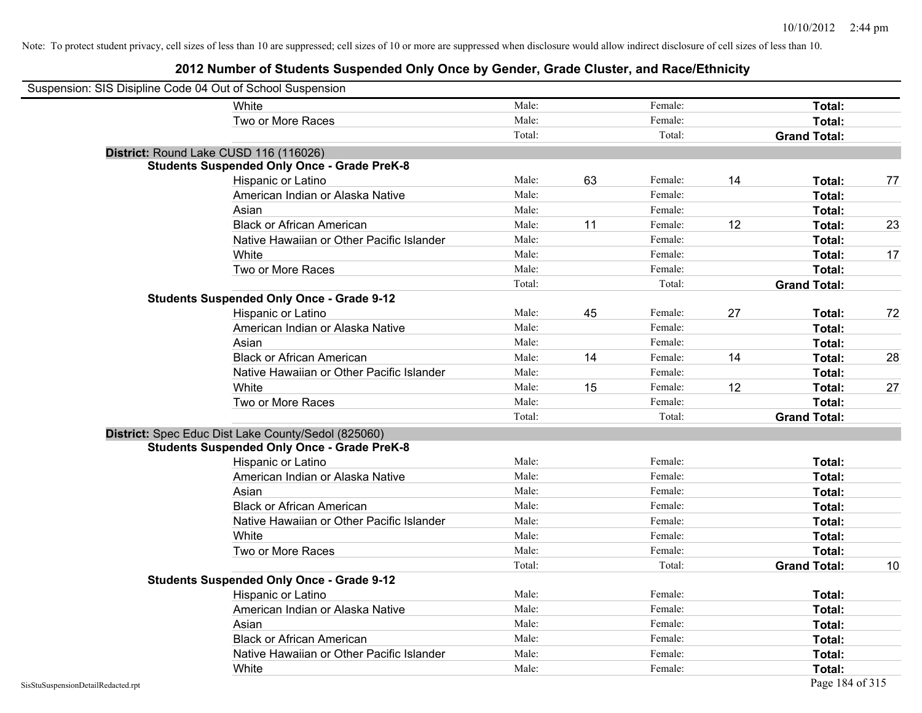| Suspension: SIS Disipline Code 04 Out of School Suspension |                                                     |        |    |         |    |                     |    |
|------------------------------------------------------------|-----------------------------------------------------|--------|----|---------|----|---------------------|----|
|                                                            | White                                               | Male:  |    | Female: |    | Total:              |    |
|                                                            | Two or More Races                                   | Male:  |    | Female: |    | Total:              |    |
|                                                            |                                                     | Total: |    | Total:  |    | <b>Grand Total:</b> |    |
|                                                            | District: Round Lake CUSD 116 (116026)              |        |    |         |    |                     |    |
|                                                            | <b>Students Suspended Only Once - Grade PreK-8</b>  |        |    |         |    |                     |    |
|                                                            | Hispanic or Latino                                  | Male:  | 63 | Female: | 14 | Total:              | 77 |
|                                                            | American Indian or Alaska Native                    | Male:  |    | Female: |    | Total:              |    |
|                                                            | Asian                                               | Male:  |    | Female: |    | Total:              |    |
|                                                            | <b>Black or African American</b>                    | Male:  | 11 | Female: | 12 | Total:              | 23 |
|                                                            | Native Hawaiian or Other Pacific Islander           | Male:  |    | Female: |    | Total:              |    |
|                                                            | White                                               | Male:  |    | Female: |    | Total:              | 17 |
|                                                            | Two or More Races                                   | Male:  |    | Female: |    | Total:              |    |
|                                                            |                                                     | Total: |    | Total:  |    | <b>Grand Total:</b> |    |
|                                                            | <b>Students Suspended Only Once - Grade 9-12</b>    |        |    |         |    |                     |    |
|                                                            | Hispanic or Latino                                  | Male:  | 45 | Female: | 27 | Total:              | 72 |
|                                                            | American Indian or Alaska Native                    | Male:  |    | Female: |    | Total:              |    |
|                                                            | Asian                                               | Male:  |    | Female: |    | Total:              |    |
|                                                            | <b>Black or African American</b>                    | Male:  | 14 | Female: | 14 | Total:              | 28 |
|                                                            | Native Hawaiian or Other Pacific Islander           | Male:  |    | Female: |    | Total:              |    |
|                                                            | White                                               | Male:  | 15 | Female: | 12 | Total:              | 27 |
|                                                            | Two or More Races                                   | Male:  |    | Female: |    | Total:              |    |
|                                                            |                                                     | Total: |    | Total:  |    | <b>Grand Total:</b> |    |
|                                                            | District: Spec Educ Dist Lake County/Sedol (825060) |        |    |         |    |                     |    |
|                                                            | <b>Students Suspended Only Once - Grade PreK-8</b>  |        |    |         |    |                     |    |
|                                                            | Hispanic or Latino                                  | Male:  |    | Female: |    | Total:              |    |
|                                                            | American Indian or Alaska Native                    | Male:  |    | Female: |    | Total:              |    |
|                                                            | Asian                                               | Male:  |    | Female: |    | Total:              |    |
|                                                            | <b>Black or African American</b>                    | Male:  |    | Female: |    | Total:              |    |
|                                                            | Native Hawaiian or Other Pacific Islander           | Male:  |    | Female: |    | Total:              |    |
|                                                            | White                                               | Male:  |    | Female: |    | Total:              |    |
|                                                            | Two or More Races                                   | Male:  |    | Female: |    | Total:              |    |
|                                                            |                                                     | Total: |    | Total:  |    | <b>Grand Total:</b> | 10 |
|                                                            | <b>Students Suspended Only Once - Grade 9-12</b>    |        |    |         |    |                     |    |
|                                                            | Hispanic or Latino                                  | Male:  |    | Female: |    | Total:              |    |
|                                                            | American Indian or Alaska Native                    | Male:  |    | Female: |    | Total:              |    |
|                                                            | Asian                                               | Male:  |    | Female: |    | Total:              |    |
|                                                            | <b>Black or African American</b>                    | Male:  |    | Female: |    | Total:              |    |
|                                                            | Native Hawaiian or Other Pacific Islander           | Male:  |    | Female: |    | Total:              |    |
|                                                            | White                                               | Male:  |    | Female: |    | Total:              |    |
| SisStuSuspensionDetailRedacted.rpt                         |                                                     |        |    |         |    | Page 184 of 315     |    |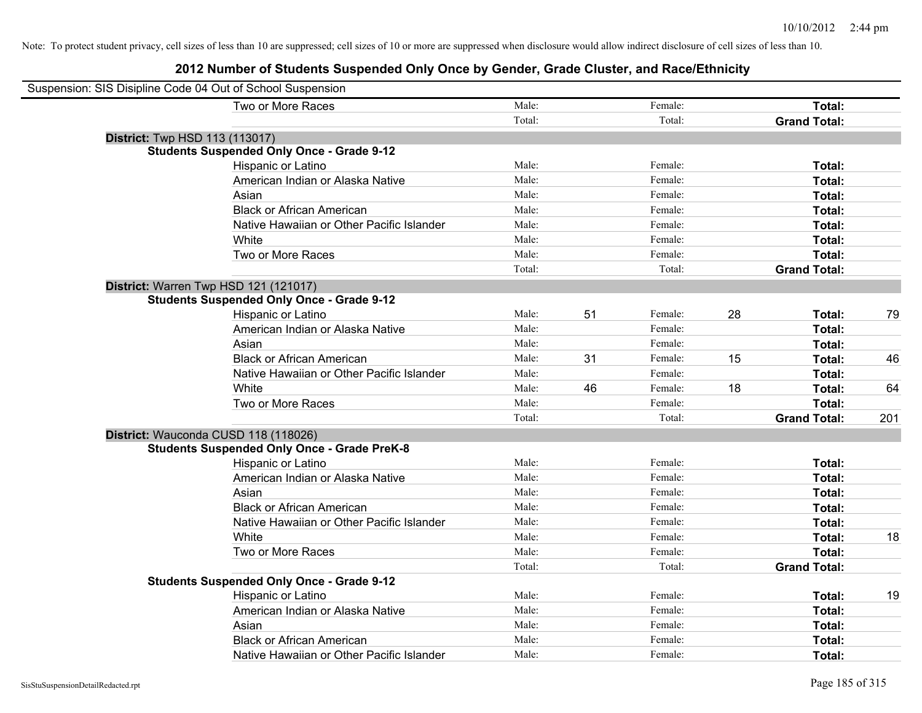### **2012 Number of Students Suspended Only Once by Gender, Grade Cluster, and Race/Ethnicity**

| Suspension: SIS Disipline Code 04 Out of School Suspension |                                                    |        |    |         |    |                     |     |
|------------------------------------------------------------|----------------------------------------------------|--------|----|---------|----|---------------------|-----|
|                                                            | Two or More Races                                  | Male:  |    | Female: |    | Total:              |     |
|                                                            |                                                    | Total: |    | Total:  |    | <b>Grand Total:</b> |     |
| <b>District:</b> Twp HSD 113 (113017)                      |                                                    |        |    |         |    |                     |     |
|                                                            | <b>Students Suspended Only Once - Grade 9-12</b>   |        |    |         |    |                     |     |
|                                                            | Hispanic or Latino                                 | Male:  |    | Female: |    | Total:              |     |
|                                                            | American Indian or Alaska Native                   | Male:  |    | Female: |    | Total:              |     |
|                                                            | Asian                                              | Male:  |    | Female: |    | Total:              |     |
|                                                            | <b>Black or African American</b>                   | Male:  |    | Female: |    | Total:              |     |
|                                                            | Native Hawaiian or Other Pacific Islander          | Male:  |    | Female: |    | Total:              |     |
|                                                            | White                                              | Male:  |    | Female: |    | Total:              |     |
|                                                            | Two or More Races                                  | Male:  |    | Female: |    | Total:              |     |
|                                                            |                                                    | Total: |    | Total:  |    | <b>Grand Total:</b> |     |
| District: Warren Twp HSD 121 (121017)                      |                                                    |        |    |         |    |                     |     |
|                                                            | <b>Students Suspended Only Once - Grade 9-12</b>   |        |    |         |    |                     |     |
|                                                            | Hispanic or Latino                                 | Male:  | 51 | Female: | 28 | Total:              | 79  |
|                                                            | American Indian or Alaska Native                   | Male:  |    | Female: |    | Total:              |     |
|                                                            | Asian                                              | Male:  |    | Female: |    | Total:              |     |
|                                                            | <b>Black or African American</b>                   | Male:  | 31 | Female: | 15 | Total:              | 46  |
|                                                            | Native Hawaiian or Other Pacific Islander          | Male:  |    | Female: |    | Total:              |     |
|                                                            | White                                              | Male:  | 46 | Female: | 18 | Total:              | 64  |
|                                                            | Two or More Races                                  | Male:  |    | Female: |    | Total:              |     |
|                                                            |                                                    | Total: |    | Total:  |    | <b>Grand Total:</b> | 201 |
| District: Wauconda CUSD 118 (118026)                       |                                                    |        |    |         |    |                     |     |
|                                                            | <b>Students Suspended Only Once - Grade PreK-8</b> |        |    |         |    |                     |     |
|                                                            | <b>Hispanic or Latino</b>                          | Male:  |    | Female: |    | Total:              |     |
|                                                            | American Indian or Alaska Native                   | Male:  |    | Female: |    | Total:              |     |
|                                                            | Asian                                              | Male:  |    | Female: |    | Total:              |     |
|                                                            | <b>Black or African American</b>                   | Male:  |    | Female: |    | Total:              |     |
|                                                            | Native Hawaiian or Other Pacific Islander          | Male:  |    | Female: |    | Total:              |     |
|                                                            | White                                              | Male:  |    | Female: |    | Total:              | 18  |
|                                                            | Two or More Races                                  | Male:  |    | Female: |    | Total:              |     |
|                                                            |                                                    | Total: |    | Total:  |    | <b>Grand Total:</b> |     |
|                                                            | <b>Students Suspended Only Once - Grade 9-12</b>   |        |    |         |    |                     |     |
|                                                            | Hispanic or Latino                                 | Male:  |    | Female: |    | Total:              | 19  |
|                                                            | American Indian or Alaska Native                   | Male:  |    | Female: |    | Total:              |     |
|                                                            | Asian                                              | Male:  |    | Female: |    | Total:              |     |
|                                                            | <b>Black or African American</b>                   | Male:  |    | Female: |    | Total:              |     |
|                                                            | Native Hawaiian or Other Pacific Islander          | Male:  |    | Female: |    | Total:              |     |

 $\overline{\phantom{0}}$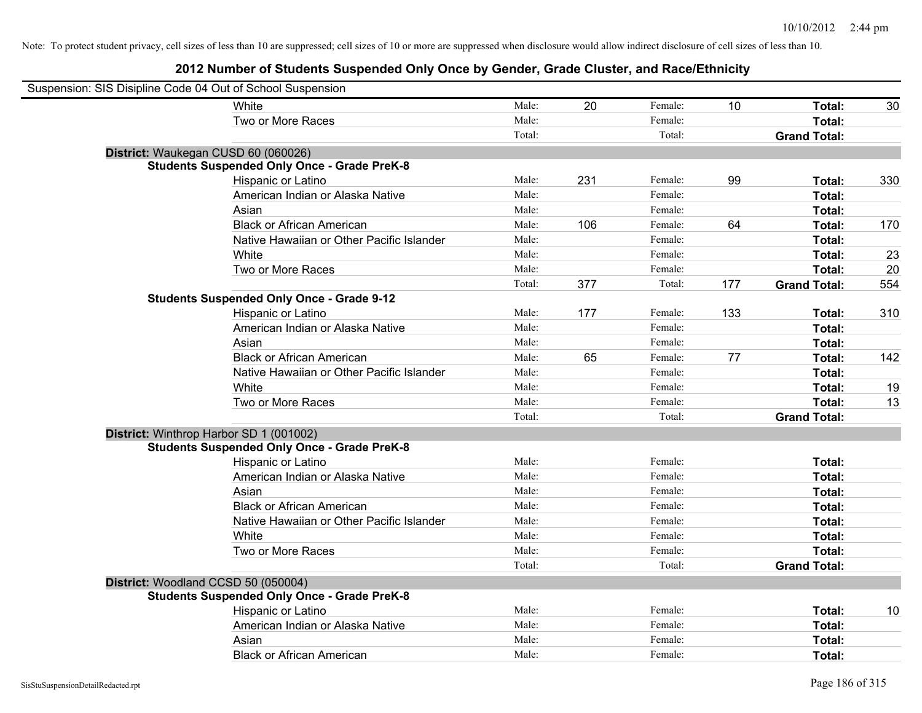| Suspension: SIS Disipline Code 04 Out of School Suspension |                                                    |        |     |         |     |                     |     |
|------------------------------------------------------------|----------------------------------------------------|--------|-----|---------|-----|---------------------|-----|
|                                                            | <b>White</b>                                       | Male:  | 20  | Female: | 10  | Total:              | 30  |
|                                                            | Two or More Races                                  | Male:  |     | Female: |     | Total:              |     |
|                                                            |                                                    | Total: |     | Total:  |     | <b>Grand Total:</b> |     |
| District: Waukegan CUSD 60 (060026)                        |                                                    |        |     |         |     |                     |     |
|                                                            | <b>Students Suspended Only Once - Grade PreK-8</b> |        |     |         |     |                     |     |
|                                                            | Hispanic or Latino                                 | Male:  | 231 | Female: | 99  | Total:              | 330 |
|                                                            | American Indian or Alaska Native                   | Male:  |     | Female: |     | Total:              |     |
|                                                            | Asian                                              | Male:  |     | Female: |     | Total:              |     |
|                                                            | <b>Black or African American</b>                   | Male:  | 106 | Female: | 64  | Total:              | 170 |
|                                                            | Native Hawaiian or Other Pacific Islander          | Male:  |     | Female: |     | Total:              |     |
|                                                            | White                                              | Male:  |     | Female: |     | Total:              | 23  |
|                                                            | Two or More Races                                  | Male:  |     | Female: |     | Total:              | 20  |
|                                                            |                                                    | Total: | 377 | Total:  | 177 | <b>Grand Total:</b> | 554 |
|                                                            | <b>Students Suspended Only Once - Grade 9-12</b>   |        |     |         |     |                     |     |
|                                                            | Hispanic or Latino                                 | Male:  | 177 | Female: | 133 | Total:              | 310 |
|                                                            | American Indian or Alaska Native                   | Male:  |     | Female: |     | Total:              |     |
|                                                            | Asian                                              | Male:  |     | Female: |     | Total:              |     |
|                                                            | <b>Black or African American</b>                   | Male:  | 65  | Female: | 77  | Total:              | 142 |
|                                                            | Native Hawaiian or Other Pacific Islander          | Male:  |     | Female: |     | Total:              |     |
|                                                            | White                                              | Male:  |     | Female: |     | Total:              | 19  |
|                                                            | Two or More Races                                  | Male:  |     | Female: |     | Total:              | 13  |
|                                                            |                                                    | Total: |     | Total:  |     | <b>Grand Total:</b> |     |
| District: Winthrop Harbor SD 1 (001002)                    |                                                    |        |     |         |     |                     |     |
|                                                            | <b>Students Suspended Only Once - Grade PreK-8</b> |        |     |         |     |                     |     |
|                                                            | Hispanic or Latino                                 | Male:  |     | Female: |     | Total:              |     |
|                                                            | American Indian or Alaska Native                   | Male:  |     | Female: |     | Total:              |     |
|                                                            | Asian                                              | Male:  |     | Female: |     | Total:              |     |
|                                                            | <b>Black or African American</b>                   | Male:  |     | Female: |     | Total:              |     |
|                                                            | Native Hawaiian or Other Pacific Islander          | Male:  |     | Female: |     | Total:              |     |
|                                                            | White                                              | Male:  |     | Female: |     | Total:              |     |
|                                                            | Two or More Races                                  | Male:  |     | Female: |     | Total:              |     |
|                                                            |                                                    | Total: |     | Total:  |     | <b>Grand Total:</b> |     |
| District: Woodland CCSD 50 (050004)                        |                                                    |        |     |         |     |                     |     |
|                                                            | <b>Students Suspended Only Once - Grade PreK-8</b> |        |     |         |     |                     |     |
|                                                            | Hispanic or Latino                                 | Male:  |     | Female: |     | Total:              | 10  |
|                                                            | American Indian or Alaska Native                   | Male:  |     | Female: |     | Total:              |     |
|                                                            | Asian                                              | Male:  |     | Female: |     | Total:              |     |
|                                                            | <b>Black or African American</b>                   | Male:  |     | Female: |     | Total:              |     |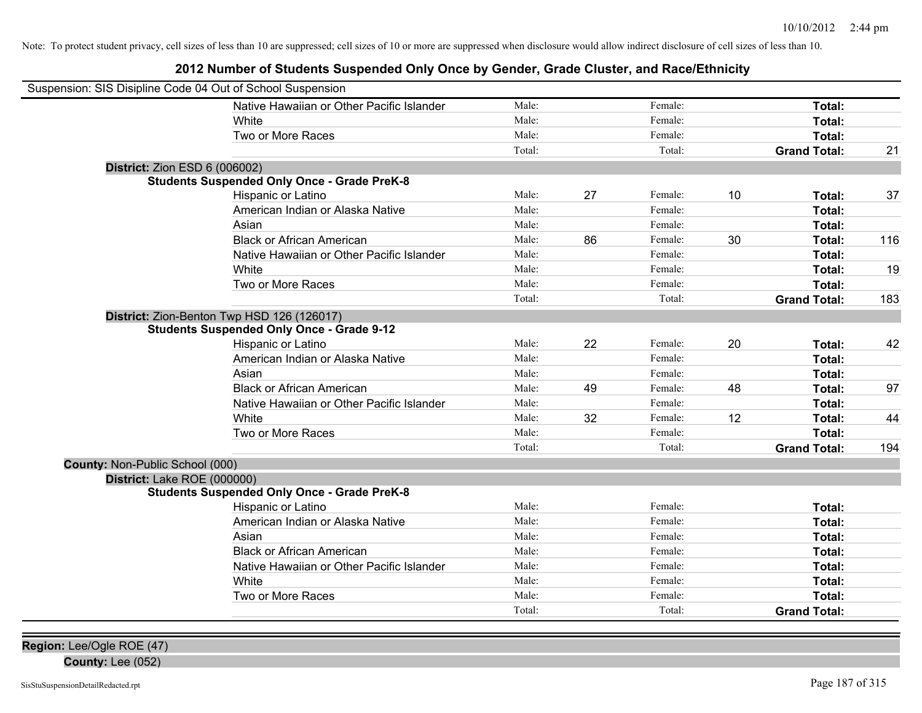| Suspension: SIS Disipline Code 04 Out of School Suspension |        |    |         |    |                     |     |
|------------------------------------------------------------|--------|----|---------|----|---------------------|-----|
| Native Hawaiian or Other Pacific Islander                  | Male:  |    | Female: |    | Total:              |     |
| White                                                      | Male:  |    | Female: |    | Total:              |     |
| Two or More Races                                          | Male:  |    | Female: |    | Total:              |     |
|                                                            | Total: |    | Total:  |    | <b>Grand Total:</b> | 21  |
| <b>District: Zion ESD 6 (006002)</b>                       |        |    |         |    |                     |     |
| <b>Students Suspended Only Once - Grade PreK-8</b>         |        |    |         |    |                     |     |
| Hispanic or Latino                                         | Male:  | 27 | Female: | 10 | Total:              | 37  |
| American Indian or Alaska Native                           | Male:  |    | Female: |    | Total:              |     |
| Asian                                                      | Male:  |    | Female: |    | Total:              |     |
| <b>Black or African American</b>                           | Male:  | 86 | Female: | 30 | Total:              | 116 |
| Native Hawaiian or Other Pacific Islander                  | Male:  |    | Female: |    | Total:              |     |
| White                                                      | Male:  |    | Female: |    | Total:              | 19  |
| Two or More Races                                          | Male:  |    | Female: |    | Total:              |     |
|                                                            | Total: |    | Total:  |    | <b>Grand Total:</b> | 183 |
| District: Zion-Benton Twp HSD 126 (126017)                 |        |    |         |    |                     |     |
| <b>Students Suspended Only Once - Grade 9-12</b>           |        |    |         |    |                     |     |
| Hispanic or Latino                                         | Male:  | 22 | Female: | 20 | Total:              | 42  |
| American Indian or Alaska Native                           | Male:  |    | Female: |    | Total:              |     |
| Asian                                                      | Male:  |    | Female: |    | Total:              |     |
| <b>Black or African American</b>                           | Male:  | 49 | Female: | 48 | Total:              | 97  |
| Native Hawaiian or Other Pacific Islander                  | Male:  |    | Female: |    | Total:              |     |
| White                                                      | Male:  | 32 | Female: | 12 | Total:              | 44  |
| Two or More Races                                          | Male:  |    | Female: |    | Total:              |     |
|                                                            | Total: |    | Total:  |    | <b>Grand Total:</b> | 194 |
| County: Non-Public School (000)                            |        |    |         |    |                     |     |
| District: Lake ROE (000000)                                |        |    |         |    |                     |     |
| <b>Students Suspended Only Once - Grade PreK-8</b>         |        |    |         |    |                     |     |
| Hispanic or Latino                                         | Male:  |    | Female: |    | Total:              |     |
| American Indian or Alaska Native                           | Male:  |    | Female: |    | Total:              |     |
| Asian                                                      | Male:  |    | Female: |    | Total:              |     |
| <b>Black or African American</b>                           | Male:  |    | Female: |    | Total:              |     |
| Native Hawaiian or Other Pacific Islander                  | Male:  |    | Female: |    | Total:              |     |
| White                                                      | Male:  |    | Female: |    | Total:              |     |
| Two or More Races                                          | Male:  |    | Female: |    | Total:              |     |
|                                                            | Total: |    | Total:  |    | <b>Grand Total:</b> |     |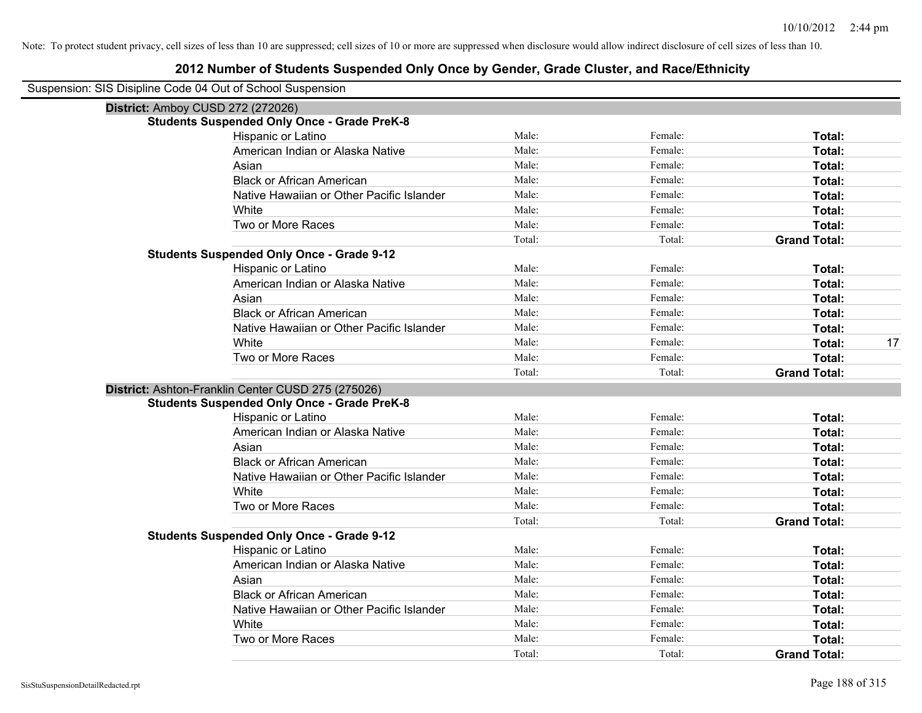#### **2012 Number of Students Suspended Only Once by Gender, Grade Cluster, and Race/Ethnicity**

Suspension: SIS Disipline Code 04 Out of School Suspension

| <b>District: Amboy CUSD 272 (272026)</b>           |        |         |                     |    |
|----------------------------------------------------|--------|---------|---------------------|----|
| <b>Students Suspended Only Once - Grade PreK-8</b> |        |         |                     |    |
| Hispanic or Latino                                 | Male:  | Female: | Total:              |    |
| American Indian or Alaska Native                   | Male:  | Female: | Total:              |    |
| Asian                                              | Male:  | Female: | <b>Total:</b>       |    |
| <b>Black or African American</b>                   | Male:  | Female: | Total:              |    |
| Native Hawaiian or Other Pacific Islander          | Male:  | Female: | Total:              |    |
| White                                              | Male:  | Female: | <b>Total:</b>       |    |
| Two or More Races                                  | Male:  | Female: | Total:              |    |
|                                                    | Total: | Total:  | <b>Grand Total:</b> |    |
| <b>Students Suspended Only Once - Grade 9-12</b>   |        |         |                     |    |
| Hispanic or Latino                                 | Male:  | Female: | Total:              |    |
| American Indian or Alaska Native                   | Male:  | Female: | Total:              |    |
| Asian                                              | Male:  | Female: | Total:              |    |
| <b>Black or African American</b>                   | Male:  | Female: | Total:              |    |
| Native Hawaiian or Other Pacific Islander          | Male:  | Female: | Total:              |    |
| White                                              | Male:  | Female: | Total:              | 17 |
| Two or More Races                                  | Male:  | Female: | <b>Total:</b>       |    |
|                                                    | Total: | Total:  | <b>Grand Total:</b> |    |
| District: Ashton-Franklin Center CUSD 275 (275026) |        |         |                     |    |
| <b>Students Suspended Only Once - Grade PreK-8</b> |        |         |                     |    |
| Hispanic or Latino                                 | Male:  | Female: | Total:              |    |
| American Indian or Alaska Native                   | Male:  | Female: | <b>Total:</b>       |    |
| Asian                                              | Male:  | Female: | <b>Total:</b>       |    |
| <b>Black or African American</b>                   | Male:  | Female: | <b>Total:</b>       |    |
| Native Hawaiian or Other Pacific Islander          | Male:  | Female: | <b>Total:</b>       |    |
| White                                              | Male:  | Female: | Total:              |    |
| Two or More Races                                  | Male:  | Female: | Total:              |    |
|                                                    | Total: | Total:  | <b>Grand Total:</b> |    |
| <b>Students Suspended Only Once - Grade 9-12</b>   |        |         |                     |    |
| Hispanic or Latino                                 | Male:  | Female: | Total:              |    |
| American Indian or Alaska Native                   | Male:  | Female: | Total:              |    |
| Asian                                              | Male:  | Female: | Total:              |    |
| <b>Black or African American</b>                   | Male:  | Female: | Total:              |    |
| Native Hawaiian or Other Pacific Islander          | Male:  | Female: | <b>Total:</b>       |    |
| White                                              | Male:  | Female: | <b>Total:</b>       |    |
| Two or More Races                                  | Male:  | Female: | Total:              |    |
|                                                    | Total: | Total:  | <b>Grand Total:</b> |    |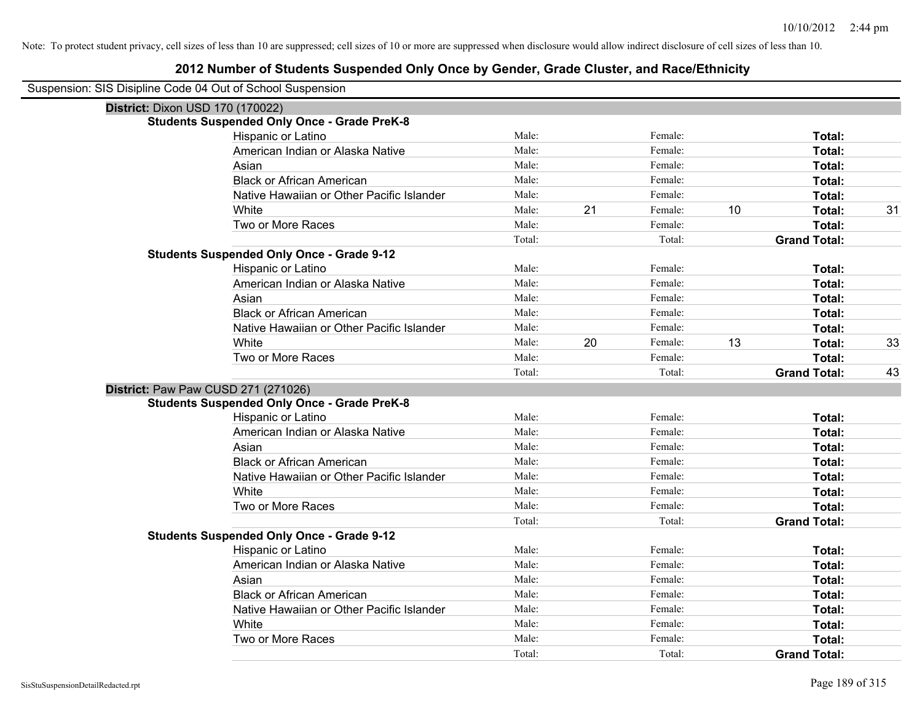| Suspension: SIS Disipline Code 04 Out of School Suspension |
|------------------------------------------------------------|
|------------------------------------------------------------|

| District: Dixon USD 170 (170022) |                                                    |        |    |         |    |                     |    |
|----------------------------------|----------------------------------------------------|--------|----|---------|----|---------------------|----|
|                                  | <b>Students Suspended Only Once - Grade PreK-8</b> |        |    |         |    |                     |    |
|                                  | Hispanic or Latino                                 | Male:  |    | Female: |    | Total:              |    |
|                                  | American Indian or Alaska Native                   | Male:  |    | Female: |    | Total:              |    |
|                                  | Asian                                              | Male:  |    | Female: |    | Total:              |    |
|                                  | <b>Black or African American</b>                   | Male:  |    | Female: |    | Total:              |    |
|                                  | Native Hawaiian or Other Pacific Islander          | Male:  |    | Female: |    | Total:              |    |
|                                  | White                                              | Male:  | 21 | Female: | 10 | Total:              | 31 |
|                                  | Two or More Races                                  | Male:  |    | Female: |    | Total:              |    |
|                                  |                                                    | Total: |    | Total:  |    | <b>Grand Total:</b> |    |
|                                  | <b>Students Suspended Only Once - Grade 9-12</b>   |        |    |         |    |                     |    |
|                                  | Hispanic or Latino                                 | Male:  |    | Female: |    | Total:              |    |
|                                  | American Indian or Alaska Native                   | Male:  |    | Female: |    | Total:              |    |
|                                  | Asian                                              | Male:  |    | Female: |    | Total:              |    |
|                                  | <b>Black or African American</b>                   | Male:  |    | Female: |    | Total:              |    |
|                                  | Native Hawaiian or Other Pacific Islander          | Male:  |    | Female: |    | Total:              |    |
|                                  | White                                              | Male:  | 20 | Female: | 13 | Total:              | 33 |
|                                  | Two or More Races                                  | Male:  |    | Female: |    | Total:              |    |
|                                  |                                                    | Total: |    | Total:  |    | <b>Grand Total:</b> | 43 |
|                                  | District: Paw Paw CUSD 271 (271026)                |        |    |         |    |                     |    |
|                                  | <b>Students Suspended Only Once - Grade PreK-8</b> |        |    |         |    |                     |    |
|                                  | Hispanic or Latino                                 | Male:  |    | Female: |    | Total:              |    |
|                                  | American Indian or Alaska Native                   | Male:  |    | Female: |    | Total:              |    |
|                                  | Asian                                              | Male:  |    | Female: |    | Total:              |    |
|                                  | <b>Black or African American</b>                   | Male:  |    | Female: |    | Total:              |    |
|                                  | Native Hawaiian or Other Pacific Islander          | Male:  |    | Female: |    | Total:              |    |
|                                  | White                                              | Male:  |    | Female: |    | Total:              |    |
|                                  | Two or More Races                                  | Male:  |    | Female: |    | Total:              |    |
|                                  |                                                    | Total: |    | Total:  |    | <b>Grand Total:</b> |    |
|                                  | <b>Students Suspended Only Once - Grade 9-12</b>   |        |    |         |    |                     |    |
|                                  | Hispanic or Latino                                 | Male:  |    | Female: |    | Total:              |    |
|                                  | American Indian or Alaska Native                   | Male:  |    | Female: |    | Total:              |    |
|                                  | Asian                                              | Male:  |    | Female: |    | Total:              |    |
|                                  | <b>Black or African American</b>                   | Male:  |    | Female: |    | Total:              |    |
|                                  | Native Hawaiian or Other Pacific Islander          | Male:  |    | Female: |    | Total:              |    |
|                                  | White                                              | Male:  |    | Female: |    | Total:              |    |
|                                  | Two or More Races                                  | Male:  |    | Female: |    | Total:              |    |
|                                  |                                                    | Total: |    | Total:  |    | <b>Grand Total:</b> |    |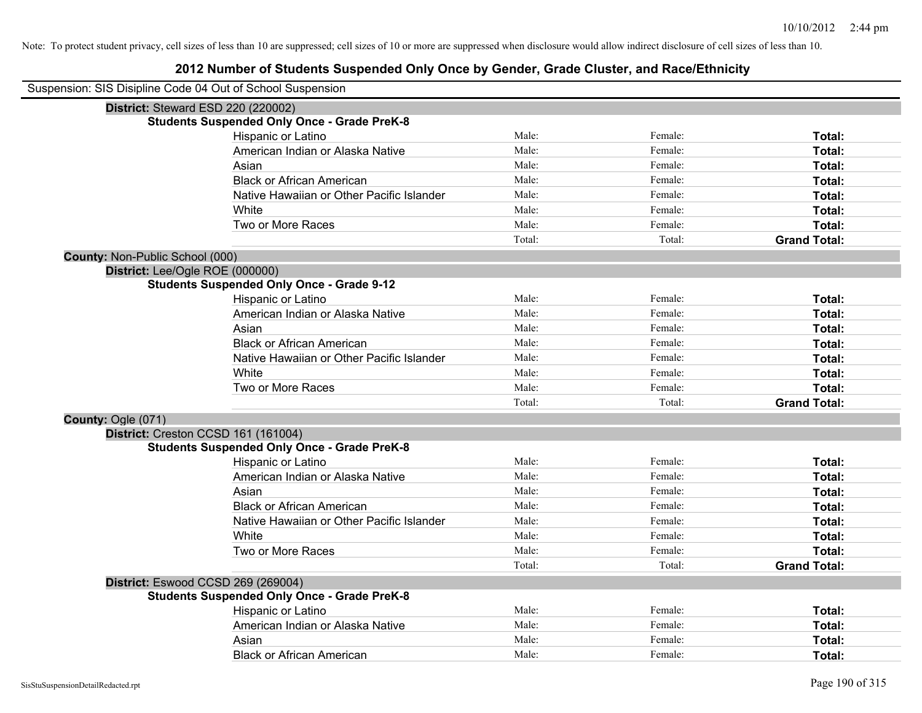|                                        | Suspension: SIS Disipline Code 04 Out of School Suspension |        |         |                     |
|----------------------------------------|------------------------------------------------------------|--------|---------|---------------------|
|                                        | District: Steward ESD 220 (220002)                         |        |         |                     |
|                                        | <b>Students Suspended Only Once - Grade PreK-8</b>         |        |         |                     |
|                                        | Hispanic or Latino                                         | Male:  | Female: | Total:              |
|                                        | American Indian or Alaska Native                           | Male:  | Female: | Total:              |
|                                        | Asian                                                      | Male:  | Female: | Total:              |
|                                        | <b>Black or African American</b>                           | Male:  | Female: | Total:              |
|                                        | Native Hawaiian or Other Pacific Islander                  | Male:  | Female: | Total:              |
|                                        | White                                                      | Male:  | Female: | Total:              |
|                                        | Two or More Races                                          | Male:  | Female: | Total:              |
|                                        |                                                            | Total: | Total:  | <b>Grand Total:</b> |
| <b>County: Non-Public School (000)</b> |                                                            |        |         |                     |
|                                        | District: Lee/Ogle ROE (000000)                            |        |         |                     |
|                                        | <b>Students Suspended Only Once - Grade 9-12</b>           |        |         |                     |
|                                        | Hispanic or Latino                                         | Male:  | Female: | Total:              |
|                                        | American Indian or Alaska Native                           | Male:  | Female: | Total:              |
|                                        | Asian                                                      | Male:  | Female: | Total:              |
|                                        | <b>Black or African American</b>                           | Male:  | Female: | Total:              |
|                                        | Native Hawaiian or Other Pacific Islander                  | Male:  | Female: | Total:              |
|                                        | White                                                      | Male:  | Female: | Total:              |
|                                        | Two or More Races                                          | Male:  | Female: | Total:              |
|                                        |                                                            | Total: | Total:  | <b>Grand Total:</b> |
| County: Ogle (071)                     |                                                            |        |         |                     |
|                                        | District: Creston CCSD 161 (161004)                        |        |         |                     |
|                                        | <b>Students Suspended Only Once - Grade PreK-8</b>         |        |         |                     |
|                                        | Hispanic or Latino                                         | Male:  | Female: | Total:              |
|                                        | American Indian or Alaska Native                           | Male:  | Female: | Total:              |
|                                        | Asian                                                      | Male:  | Female: | Total:              |
|                                        | <b>Black or African American</b>                           | Male:  | Female: | Total:              |
|                                        | Native Hawaiian or Other Pacific Islander                  | Male:  | Female: | Total:              |
|                                        | White                                                      | Male:  | Female: | Total:              |
|                                        | Two or More Races                                          | Male:  | Female: | Total:              |
|                                        |                                                            | Total: | Total:  | <b>Grand Total:</b> |
|                                        | District: Eswood CCSD 269 (269004)                         |        |         |                     |
|                                        | <b>Students Suspended Only Once - Grade PreK-8</b>         |        |         |                     |
|                                        | Hispanic or Latino                                         | Male:  | Female: | Total:              |
|                                        | American Indian or Alaska Native                           | Male:  | Female: | Total:              |
|                                        | Asian                                                      | Male:  | Female: | Total:              |
|                                        | <b>Black or African American</b>                           | Male:  | Female: | Total:              |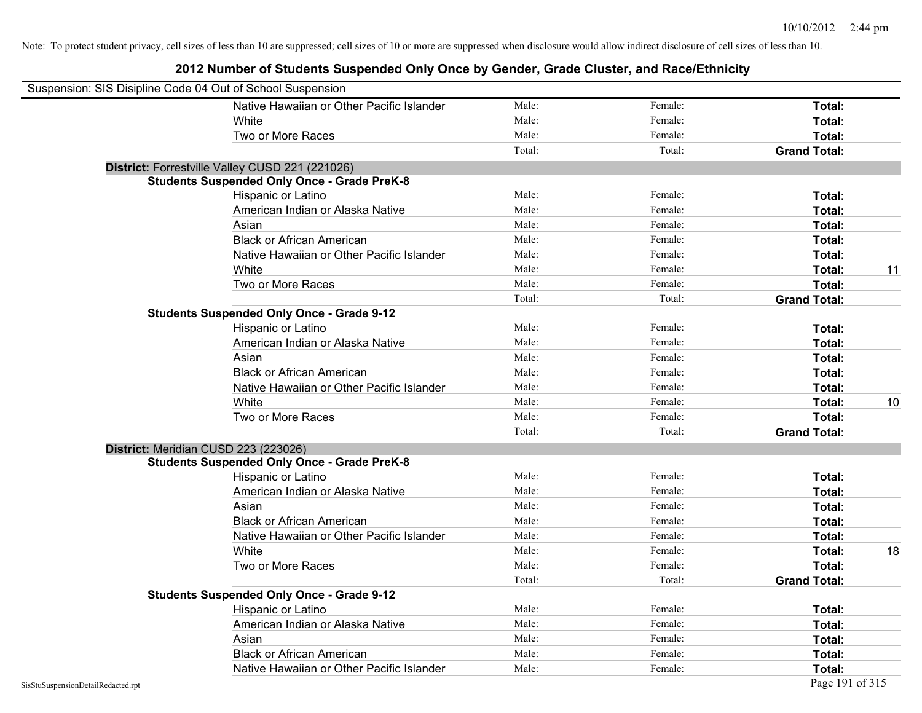| Suspension: SIS Disipline Code 04 Out of School Suspension |                                                    |        |         |                     |    |
|------------------------------------------------------------|----------------------------------------------------|--------|---------|---------------------|----|
|                                                            | Native Hawaiian or Other Pacific Islander          | Male:  | Female: | Total:              |    |
|                                                            | White                                              | Male:  | Female: | Total:              |    |
|                                                            | Two or More Races                                  | Male:  | Female: | Total:              |    |
|                                                            |                                                    | Total: | Total:  | <b>Grand Total:</b> |    |
|                                                            | District: Forrestville Valley CUSD 221 (221026)    |        |         |                     |    |
|                                                            | <b>Students Suspended Only Once - Grade PreK-8</b> |        |         |                     |    |
|                                                            | Hispanic or Latino                                 | Male:  | Female: | Total:              |    |
|                                                            | American Indian or Alaska Native                   | Male:  | Female: | Total:              |    |
|                                                            | Asian                                              | Male:  | Female: | Total:              |    |
|                                                            | <b>Black or African American</b>                   | Male:  | Female: | Total:              |    |
|                                                            | Native Hawaiian or Other Pacific Islander          | Male:  | Female: | Total:              |    |
|                                                            | White                                              | Male:  | Female: | Total:              | 11 |
|                                                            | Two or More Races                                  | Male:  | Female: | Total:              |    |
|                                                            |                                                    | Total: | Total:  | <b>Grand Total:</b> |    |
|                                                            | <b>Students Suspended Only Once - Grade 9-12</b>   |        |         |                     |    |
|                                                            | Hispanic or Latino                                 | Male:  | Female: | Total:              |    |
|                                                            | American Indian or Alaska Native                   | Male:  | Female: | Total:              |    |
|                                                            | Asian                                              | Male:  | Female: | Total:              |    |
|                                                            | <b>Black or African American</b>                   | Male:  | Female: | Total:              |    |
|                                                            | Native Hawaiian or Other Pacific Islander          | Male:  | Female: | Total:              |    |
|                                                            | White                                              | Male:  | Female: | Total:              | 10 |
|                                                            | Two or More Races                                  | Male:  | Female: | Total:              |    |
|                                                            |                                                    | Total: | Total:  | <b>Grand Total:</b> |    |
| District: Meridian CUSD 223 (223026)                       |                                                    |        |         |                     |    |
|                                                            | <b>Students Suspended Only Once - Grade PreK-8</b> |        |         |                     |    |
|                                                            | Hispanic or Latino                                 | Male:  | Female: | Total:              |    |
|                                                            | American Indian or Alaska Native                   | Male:  | Female: | Total:              |    |
|                                                            | Asian                                              | Male:  | Female: | Total:              |    |
|                                                            | <b>Black or African American</b>                   | Male:  | Female: | Total:              |    |
|                                                            | Native Hawaiian or Other Pacific Islander          | Male:  | Female: | Total:              |    |
|                                                            | White                                              | Male:  | Female: | Total:              | 18 |
|                                                            | Two or More Races                                  | Male:  | Female: | Total:              |    |
|                                                            |                                                    | Total: | Total:  | <b>Grand Total:</b> |    |
|                                                            | <b>Students Suspended Only Once - Grade 9-12</b>   |        |         |                     |    |
|                                                            | Hispanic or Latino                                 | Male:  | Female: | Total:              |    |
|                                                            | American Indian or Alaska Native                   | Male:  | Female: | Total:              |    |
|                                                            | Asian                                              | Male:  | Female: | Total:              |    |
|                                                            | <b>Black or African American</b>                   | Male:  | Female: | Total:              |    |
|                                                            | Native Hawaiian or Other Pacific Islander          | Male:  | Female: | Total:              |    |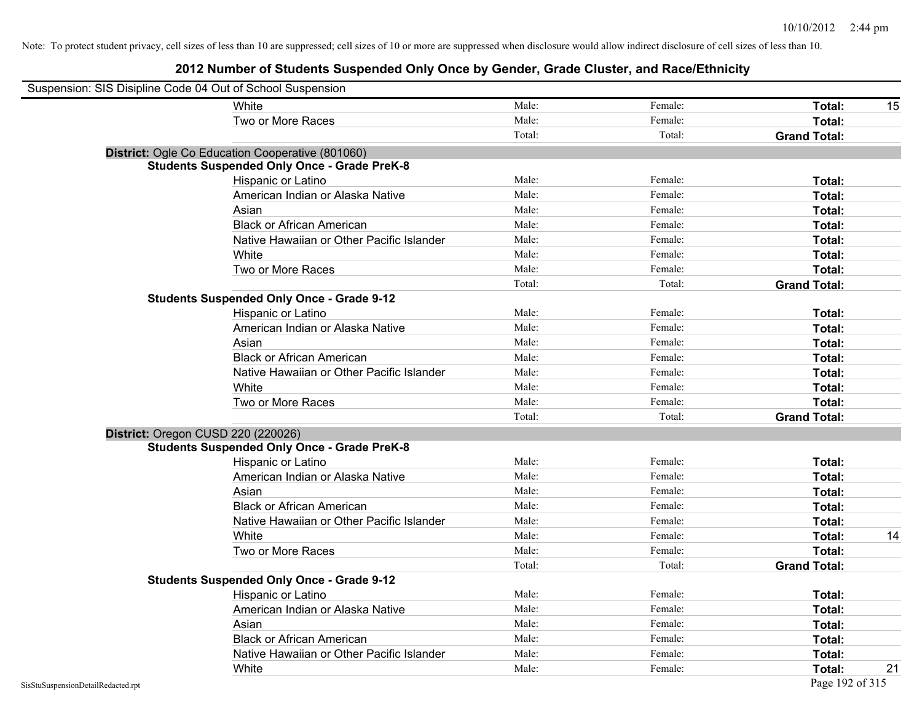| Suspension: SIS Disipline Code 04 Out of School Suspension |                                                    |        |         |                     |    |
|------------------------------------------------------------|----------------------------------------------------|--------|---------|---------------------|----|
|                                                            | White                                              | Male:  | Female: | Total:              | 15 |
|                                                            | Two or More Races                                  | Male:  | Female: | Total:              |    |
|                                                            |                                                    | Total: | Total:  | <b>Grand Total:</b> |    |
|                                                            | District: Ogle Co Education Cooperative (801060)   |        |         |                     |    |
|                                                            | <b>Students Suspended Only Once - Grade PreK-8</b> |        |         |                     |    |
|                                                            | Hispanic or Latino                                 | Male:  | Female: | Total:              |    |
|                                                            | American Indian or Alaska Native                   | Male:  | Female: | Total:              |    |
|                                                            | Asian                                              | Male:  | Female: | Total:              |    |
|                                                            | <b>Black or African American</b>                   | Male:  | Female: | Total:              |    |
|                                                            | Native Hawaiian or Other Pacific Islander          | Male:  | Female: | Total:              |    |
|                                                            | White                                              | Male:  | Female: | Total:              |    |
|                                                            | Two or More Races                                  | Male:  | Female: | Total:              |    |
|                                                            |                                                    | Total: | Total:  | <b>Grand Total:</b> |    |
|                                                            | <b>Students Suspended Only Once - Grade 9-12</b>   |        |         |                     |    |
|                                                            | Hispanic or Latino                                 | Male:  | Female: | Total:              |    |
|                                                            | American Indian or Alaska Native                   | Male:  | Female: | Total:              |    |
|                                                            | Asian                                              | Male:  | Female: | Total:              |    |
|                                                            | <b>Black or African American</b>                   | Male:  | Female: | Total:              |    |
|                                                            | Native Hawaiian or Other Pacific Islander          | Male:  | Female: | Total:              |    |
|                                                            | White                                              | Male:  | Female: | Total:              |    |
|                                                            | Two or More Races                                  | Male:  | Female: | Total:              |    |
|                                                            |                                                    | Total: | Total:  | <b>Grand Total:</b> |    |
|                                                            | District: Oregon CUSD 220 (220026)                 |        |         |                     |    |
|                                                            | <b>Students Suspended Only Once - Grade PreK-8</b> |        |         |                     |    |
|                                                            | Hispanic or Latino                                 | Male:  | Female: | Total:              |    |
|                                                            | American Indian or Alaska Native                   | Male:  | Female: | Total:              |    |
|                                                            | Asian                                              | Male:  | Female: | Total:              |    |
|                                                            | <b>Black or African American</b>                   | Male:  | Female: | Total:              |    |
|                                                            | Native Hawaiian or Other Pacific Islander          | Male:  | Female: | Total:              |    |
|                                                            | White                                              | Male:  | Female: | Total:              | 14 |
|                                                            | Two or More Races                                  | Male:  | Female: | Total:              |    |
|                                                            |                                                    | Total: | Total:  | <b>Grand Total:</b> |    |
|                                                            | <b>Students Suspended Only Once - Grade 9-12</b>   |        |         |                     |    |
|                                                            | Hispanic or Latino                                 | Male:  | Female: | Total:              |    |
|                                                            | American Indian or Alaska Native                   | Male:  | Female: | Total:              |    |
|                                                            | Asian                                              | Male:  | Female: | Total:              |    |
|                                                            | <b>Black or African American</b>                   | Male:  | Female: | Total:              |    |
|                                                            | Native Hawaiian or Other Pacific Islander          | Male:  | Female: | Total:              |    |
|                                                            | White                                              | Male:  | Female: | Total:              | 21 |
| SisStuSuspensionDetailRedacted.rpt                         |                                                    |        |         | Page 192 of 315     |    |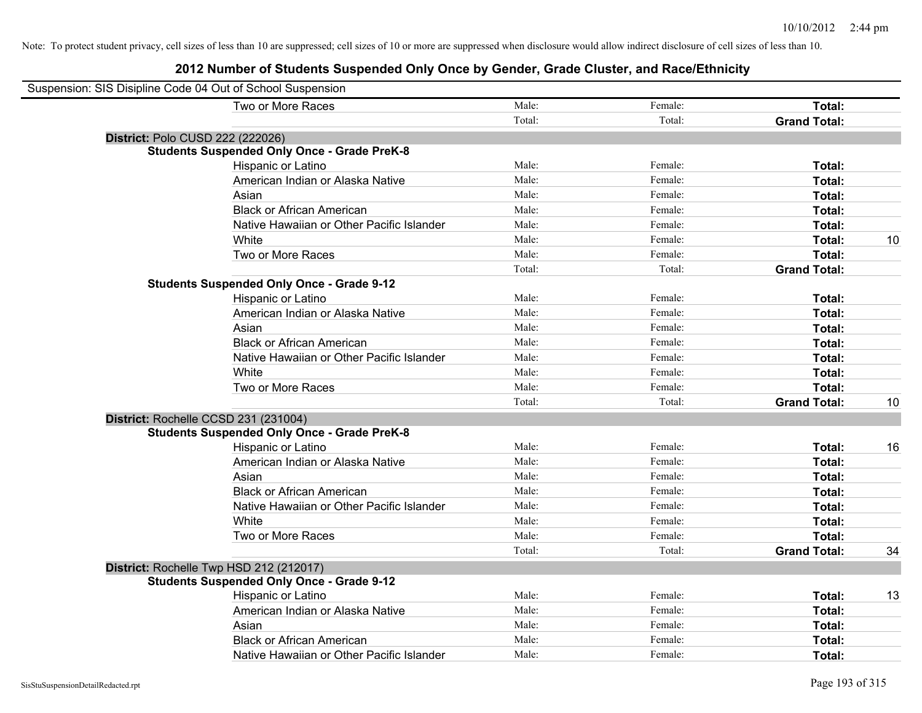| Suspension: SIS Disipline Code 04 Out of School Suspension |                                                    |        |         |                     |    |
|------------------------------------------------------------|----------------------------------------------------|--------|---------|---------------------|----|
|                                                            | Two or More Races                                  | Male:  | Female: | Total:              |    |
|                                                            |                                                    | Total: | Total:  | <b>Grand Total:</b> |    |
| District: Polo CUSD 222 (222026)                           |                                                    |        |         |                     |    |
|                                                            | <b>Students Suspended Only Once - Grade PreK-8</b> |        |         |                     |    |
|                                                            | Hispanic or Latino                                 | Male:  | Female: | Total:              |    |
|                                                            | American Indian or Alaska Native                   | Male:  | Female: | Total:              |    |
|                                                            | Asian                                              | Male:  | Female: | Total:              |    |
|                                                            | <b>Black or African American</b>                   | Male:  | Female: | Total:              |    |
|                                                            | Native Hawaiian or Other Pacific Islander          | Male:  | Female: | Total:              |    |
|                                                            | White                                              | Male:  | Female: | Total:              | 10 |
|                                                            | Two or More Races                                  | Male:  | Female: | Total:              |    |
|                                                            |                                                    | Total: | Total:  | <b>Grand Total:</b> |    |
|                                                            | <b>Students Suspended Only Once - Grade 9-12</b>   |        |         |                     |    |
|                                                            | Hispanic or Latino                                 | Male:  | Female: | Total:              |    |
|                                                            | American Indian or Alaska Native                   | Male:  | Female: | Total:              |    |
|                                                            | Asian                                              | Male:  | Female: | Total:              |    |
|                                                            | <b>Black or African American</b>                   | Male:  | Female: | Total:              |    |
|                                                            | Native Hawaiian or Other Pacific Islander          | Male:  | Female: | Total:              |    |
|                                                            | White                                              | Male:  | Female: | Total:              |    |
|                                                            | Two or More Races                                  | Male:  | Female: | Total:              |    |
|                                                            |                                                    | Total: | Total:  | <b>Grand Total:</b> | 10 |
|                                                            | District: Rochelle CCSD 231 (231004)               |        |         |                     |    |
|                                                            | <b>Students Suspended Only Once - Grade PreK-8</b> |        |         |                     |    |
|                                                            | <b>Hispanic or Latino</b>                          | Male:  | Female: | Total:              | 16 |
|                                                            | American Indian or Alaska Native                   | Male:  | Female: | Total:              |    |
|                                                            | Asian                                              | Male:  | Female: | Total:              |    |
|                                                            | <b>Black or African American</b>                   | Male:  | Female: | Total:              |    |
|                                                            | Native Hawaiian or Other Pacific Islander          | Male:  | Female: | Total:              |    |
|                                                            | White                                              | Male:  | Female: | Total:              |    |
|                                                            | Two or More Races                                  | Male:  | Female: | Total:              |    |
|                                                            |                                                    | Total: | Total:  | <b>Grand Total:</b> | 34 |
|                                                            | District: Rochelle Twp HSD 212 (212017)            |        |         |                     |    |
|                                                            | <b>Students Suspended Only Once - Grade 9-12</b>   |        |         |                     |    |
|                                                            | Hispanic or Latino                                 | Male:  | Female: | Total:              | 13 |
|                                                            | American Indian or Alaska Native                   | Male:  | Female: | Total:              |    |
|                                                            | Asian                                              | Male:  | Female: | Total:              |    |
|                                                            | <b>Black or African American</b>                   | Male:  | Female: | Total:              |    |
|                                                            | Native Hawaiian or Other Pacific Islander          | Male:  | Female: | Total:              |    |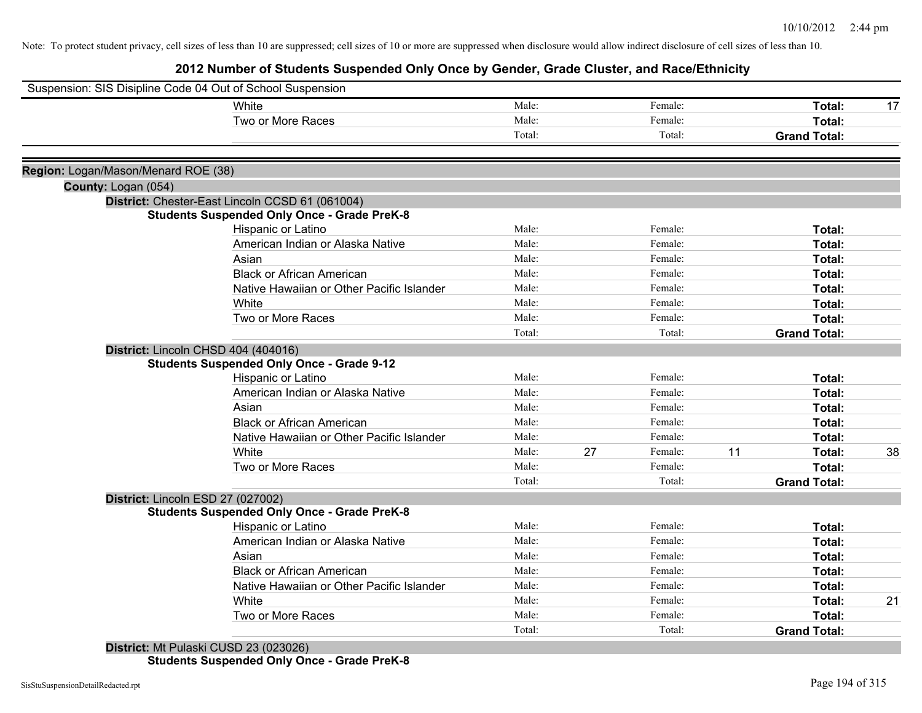# **2012 Number of Students Suspended Only Once by Gender, Grade Cluster, and Race/Ethnicity**

| Suspension: SIS Disipline Code 04 Out of School Suspension |                                                    |        |    |         |    |                     |    |
|------------------------------------------------------------|----------------------------------------------------|--------|----|---------|----|---------------------|----|
|                                                            | White                                              | Male:  |    | Female: |    | Total:              | 17 |
|                                                            | Two or More Races                                  | Male:  |    | Female: |    | <b>Total:</b>       |    |
|                                                            |                                                    | Total: |    | Total:  |    | <b>Grand Total:</b> |    |
|                                                            |                                                    |        |    |         |    |                     |    |
| Region: Logan/Mason/Menard ROE (38)                        |                                                    |        |    |         |    |                     |    |
| County: Logan (054)                                        |                                                    |        |    |         |    |                     |    |
|                                                            | District: Chester-East Lincoln CCSD 61 (061004)    |        |    |         |    |                     |    |
|                                                            | <b>Students Suspended Only Once - Grade PreK-8</b> |        |    |         |    |                     |    |
|                                                            | Hispanic or Latino                                 | Male:  |    | Female: |    | Total:              |    |
|                                                            | American Indian or Alaska Native                   | Male:  |    | Female: |    | <b>Total:</b>       |    |
|                                                            | Asian                                              | Male:  |    | Female: |    | Total:              |    |
|                                                            | <b>Black or African American</b>                   | Male:  |    | Female: |    | <b>Total:</b>       |    |
|                                                            | Native Hawaiian or Other Pacific Islander          | Male:  |    | Female: |    | <b>Total:</b>       |    |
|                                                            | White                                              | Male:  |    | Female: |    | Total:              |    |
|                                                            | Two or More Races                                  | Male:  |    | Female: |    | Total:              |    |
|                                                            |                                                    | Total: |    | Total:  |    | <b>Grand Total:</b> |    |
|                                                            | District: Lincoln CHSD 404 (404016)                |        |    |         |    |                     |    |
|                                                            | <b>Students Suspended Only Once - Grade 9-12</b>   |        |    |         |    |                     |    |
|                                                            | Hispanic or Latino                                 | Male:  |    | Female: |    | <b>Total:</b>       |    |
|                                                            | American Indian or Alaska Native                   | Male:  |    | Female: |    | <b>Total:</b>       |    |
|                                                            | Asian                                              | Male:  |    | Female: |    | <b>Total:</b>       |    |
|                                                            | <b>Black or African American</b>                   | Male:  |    | Female: |    | Total:              |    |
|                                                            | Native Hawaiian or Other Pacific Islander          | Male:  |    | Female: |    | Total:              |    |
|                                                            | White                                              | Male:  | 27 | Female: | 11 | Total:              | 38 |
|                                                            | Two or More Races                                  | Male:  |    | Female: |    | Total:              |    |
|                                                            |                                                    | Total: |    | Total:  |    | <b>Grand Total:</b> |    |
|                                                            | District: Lincoln ESD 27 (027002)                  |        |    |         |    |                     |    |
|                                                            | <b>Students Suspended Only Once - Grade PreK-8</b> |        |    |         |    |                     |    |
|                                                            | Hispanic or Latino                                 | Male:  |    | Female: |    | Total:              |    |
|                                                            | American Indian or Alaska Native                   | Male:  |    | Female: |    | Total:              |    |
|                                                            | Asian                                              | Male:  |    | Female: |    | Total:              |    |
|                                                            | <b>Black or African American</b>                   | Male:  |    | Female: |    | Total:              |    |
|                                                            | Native Hawaiian or Other Pacific Islander          | Male:  |    | Female: |    | Total:              |    |
|                                                            | White                                              | Male:  |    | Female: |    | Total:              | 21 |
|                                                            | Two or More Races                                  | Male:  |    | Female: |    | Total:              |    |
|                                                            |                                                    | Total: |    | Total:  |    | <b>Grand Total:</b> |    |
|                                                            | District: Mt Pulaski CUSD 23 (023026)              |        |    |         |    |                     |    |

**Students Suspended Only Once - Grade PreK-8**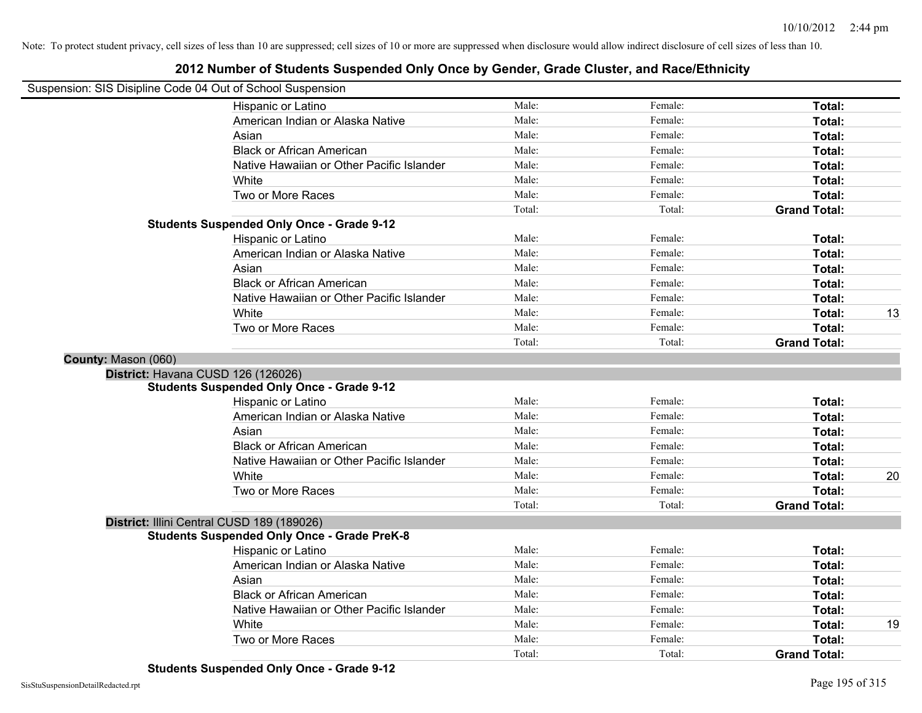|                     | Suspension: SIS Disipline Code 04 Out of School Suspension |        |         |                     |    |
|---------------------|------------------------------------------------------------|--------|---------|---------------------|----|
|                     | Hispanic or Latino                                         | Male:  | Female: | Total:              |    |
|                     | American Indian or Alaska Native                           | Male:  | Female: | Total:              |    |
|                     | Asian                                                      | Male:  | Female: | Total:              |    |
|                     | <b>Black or African American</b>                           | Male:  | Female: | Total:              |    |
|                     | Native Hawaiian or Other Pacific Islander                  | Male:  | Female: | Total:              |    |
|                     | White                                                      | Male:  | Female: | Total:              |    |
|                     | Two or More Races                                          | Male:  | Female: | Total:              |    |
|                     |                                                            | Total: | Total:  | <b>Grand Total:</b> |    |
|                     | <b>Students Suspended Only Once - Grade 9-12</b>           |        |         |                     |    |
|                     | Hispanic or Latino                                         | Male:  | Female: | Total:              |    |
|                     | American Indian or Alaska Native                           | Male:  | Female: | Total:              |    |
|                     | Asian                                                      | Male:  | Female: | Total:              |    |
|                     | <b>Black or African American</b>                           | Male:  | Female: | Total:              |    |
|                     | Native Hawaiian or Other Pacific Islander                  | Male:  | Female: | Total:              |    |
|                     | White                                                      | Male:  | Female: | Total:              | 13 |
|                     | Two or More Races                                          | Male:  | Female: | Total:              |    |
|                     |                                                            | Total: | Total:  | <b>Grand Total:</b> |    |
| County: Mason (060) |                                                            |        |         |                     |    |
|                     | District: Havana CUSD 126 (126026)                         |        |         |                     |    |
|                     | <b>Students Suspended Only Once - Grade 9-12</b>           |        |         |                     |    |
|                     | Hispanic or Latino                                         | Male:  | Female: | Total:              |    |
|                     | American Indian or Alaska Native                           | Male:  | Female: | Total:              |    |
|                     | Asian                                                      | Male:  | Female: | Total:              |    |
|                     | <b>Black or African American</b>                           | Male:  | Female: | Total:              |    |
|                     | Native Hawaiian or Other Pacific Islander                  | Male:  | Female: | Total:              |    |
|                     | White                                                      | Male:  | Female: | Total:              | 20 |
|                     | Two or More Races                                          | Male:  | Female: | Total:              |    |
|                     |                                                            | Total: | Total:  | <b>Grand Total:</b> |    |
|                     | District: Illini Central CUSD 189 (189026)                 |        |         |                     |    |
|                     | <b>Students Suspended Only Once - Grade PreK-8</b>         |        |         |                     |    |
|                     | Hispanic or Latino                                         | Male:  | Female: | Total:              |    |
|                     | American Indian or Alaska Native                           | Male:  | Female: | Total:              |    |
|                     | Asian                                                      | Male:  | Female: | Total:              |    |
|                     | <b>Black or African American</b>                           | Male:  | Female: | Total:              |    |
|                     | Native Hawaiian or Other Pacific Islander                  | Male:  | Female: | Total:              |    |
|                     | White                                                      | Male:  | Female: | Total:              | 19 |
|                     | Two or More Races                                          | Male:  | Female: | Total:              |    |
|                     |                                                            | Total: | Total:  | <b>Grand Total:</b> |    |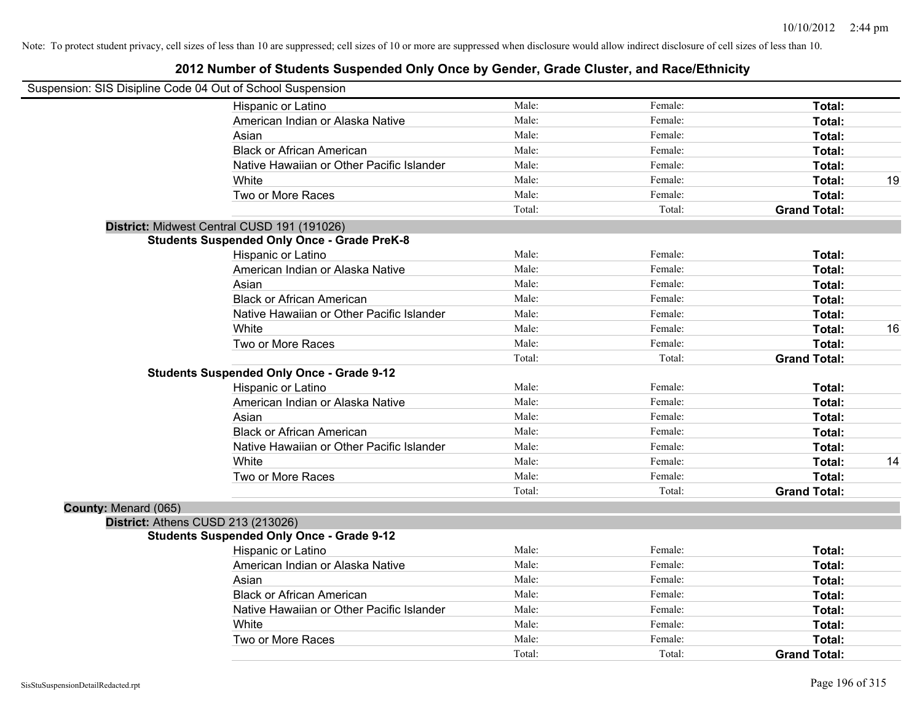|                      | Suspension: SIS Disipline Code 04 Out of School Suspension |        |         |                     |    |
|----------------------|------------------------------------------------------------|--------|---------|---------------------|----|
|                      | Hispanic or Latino                                         | Male:  | Female: | Total:              |    |
|                      | American Indian or Alaska Native                           | Male:  | Female: | Total:              |    |
|                      | Asian                                                      | Male:  | Female: | Total:              |    |
|                      | <b>Black or African American</b>                           | Male:  | Female: | Total:              |    |
|                      | Native Hawaiian or Other Pacific Islander                  | Male:  | Female: | Total:              |    |
|                      | White                                                      | Male:  | Female: | Total:              | 19 |
|                      | Two or More Races                                          | Male:  | Female: | Total:              |    |
|                      |                                                            | Total: | Total:  | <b>Grand Total:</b> |    |
|                      | District: Midwest Central CUSD 191 (191026)                |        |         |                     |    |
|                      | <b>Students Suspended Only Once - Grade PreK-8</b>         |        |         |                     |    |
|                      | Hispanic or Latino                                         | Male:  | Female: | Total:              |    |
|                      | American Indian or Alaska Native                           | Male:  | Female: | Total:              |    |
|                      | Asian                                                      | Male:  | Female: | Total:              |    |
|                      | <b>Black or African American</b>                           | Male:  | Female: | Total:              |    |
|                      | Native Hawaiian or Other Pacific Islander                  | Male:  | Female: | Total:              |    |
|                      | White                                                      | Male:  | Female: | Total:              | 16 |
|                      | Two or More Races                                          | Male:  | Female: | Total:              |    |
|                      |                                                            | Total: | Total:  | <b>Grand Total:</b> |    |
|                      | <b>Students Suspended Only Once - Grade 9-12</b>           |        |         |                     |    |
|                      | Hispanic or Latino                                         | Male:  | Female: | Total:              |    |
|                      | American Indian or Alaska Native                           | Male:  | Female: | Total:              |    |
|                      | Asian                                                      | Male:  | Female: | Total:              |    |
|                      | <b>Black or African American</b>                           | Male:  | Female: | Total:              |    |
|                      | Native Hawaiian or Other Pacific Islander                  | Male:  | Female: | Total:              |    |
|                      | White                                                      | Male:  | Female: | Total:              | 14 |
|                      | Two or More Races                                          | Male:  | Female: | Total:              |    |
|                      |                                                            | Total: | Total:  | <b>Grand Total:</b> |    |
| County: Menard (065) |                                                            |        |         |                     |    |
|                      | District: Athens CUSD 213 (213026)                         |        |         |                     |    |
|                      | <b>Students Suspended Only Once - Grade 9-12</b>           |        |         |                     |    |
|                      | Hispanic or Latino                                         | Male:  | Female: | Total:              |    |
|                      | American Indian or Alaska Native                           | Male:  | Female: | Total:              |    |
|                      | Asian                                                      | Male:  | Female: | Total:              |    |
|                      | <b>Black or African American</b>                           | Male:  | Female: | Total:              |    |
|                      | Native Hawaiian or Other Pacific Islander                  | Male:  | Female: | Total:              |    |
|                      | White                                                      | Male:  | Female: | Total:              |    |
|                      | Two or More Races                                          | Male:  | Female: | Total:              |    |
|                      |                                                            | Total: | Total:  | <b>Grand Total:</b> |    |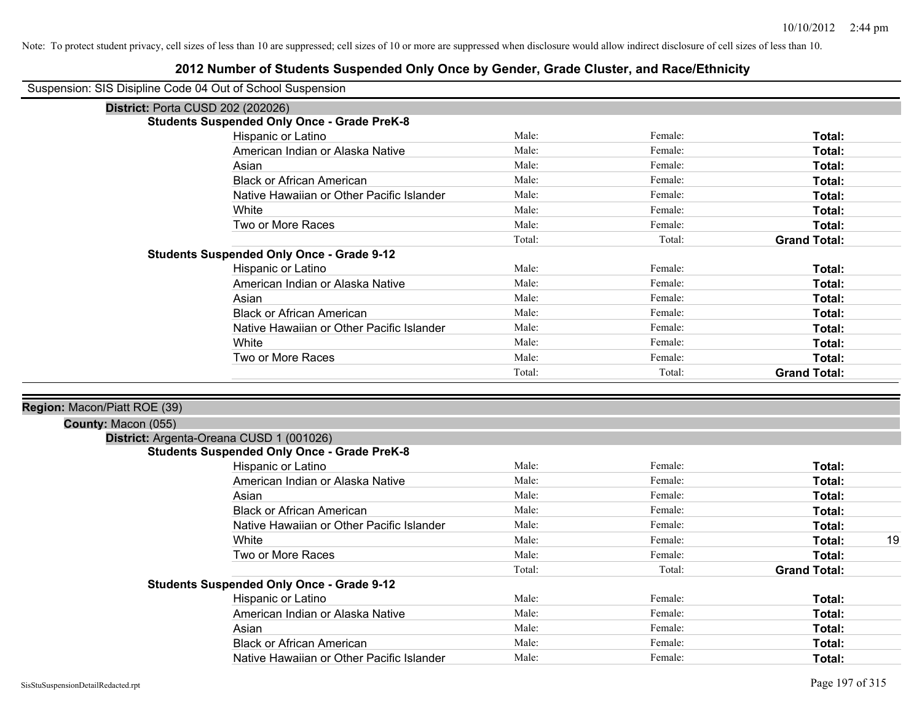### **2012 Number of Students Suspended Only Once by Gender, Grade Cluster, and Race/Ethnicity**

Suspension: SIS Disipline Code 04 Out of School Suspension

| <b>Students Suspended Only Once - Grade PreK-8</b> |        |         |                     |
|----------------------------------------------------|--------|---------|---------------------|
| Hispanic or Latino                                 | Male:  | Female: | Total:              |
| American Indian or Alaska Native                   | Male:  | Female: | Total:              |
| Asian                                              | Male:  | Female: | Total:              |
| <b>Black or African American</b>                   | Male:  | Female: | Total:              |
| Native Hawaiian or Other Pacific Islander          | Male:  | Female: | Total:              |
| White                                              | Male:  | Female: | Total:              |
| Two or More Races                                  | Male:  | Female: | Total:              |
|                                                    | Total: | Total:  | <b>Grand Total:</b> |
| <b>Students Suspended Only Once - Grade 9-12</b>   |        |         |                     |
| Hispanic or Latino                                 | Male:  | Female: | Total:              |
| American Indian or Alaska Native                   | Male:  | Female: | Total:              |
| Asian                                              | Male:  | Female: | Total:              |
| <b>Black or African American</b>                   | Male:  | Female: | Total:              |
| Native Hawaiian or Other Pacific Islander          | Male:  | Female: | Total:              |
| White                                              | Male:  | Female: | Total:              |
| Two or More Races                                  | Male:  | Female: | Total:              |
|                                                    | Total: | Total:  | <b>Grand Total:</b> |

## **County:** Macon (055)

| I <b>IIIV.</b> Macull (UJJ <i>)</i> |                                                    |        |         |                     |    |
|-------------------------------------|----------------------------------------------------|--------|---------|---------------------|----|
|                                     | District: Argenta-Oreana CUSD 1 (001026)           |        |         |                     |    |
|                                     | <b>Students Suspended Only Once - Grade PreK-8</b> |        |         |                     |    |
|                                     | Hispanic or Latino                                 | Male:  | Female: | Total:              |    |
|                                     | American Indian or Alaska Native                   | Male:  | Female: | Total:              |    |
|                                     | Asian                                              | Male:  | Female: | Total:              |    |
|                                     | <b>Black or African American</b>                   | Male:  | Female: | Total:              |    |
|                                     | Native Hawaiian or Other Pacific Islander          | Male:  | Female: | Total:              |    |
|                                     | White                                              | Male:  | Female: | Total:              | 19 |
|                                     | Two or More Races                                  | Male:  | Female: | Total:              |    |
|                                     |                                                    | Total: | Total:  | <b>Grand Total:</b> |    |
|                                     | <b>Students Suspended Only Once - Grade 9-12</b>   |        |         |                     |    |
|                                     | Hispanic or Latino                                 | Male:  | Female: | Total:              |    |
|                                     | American Indian or Alaska Native                   | Male:  | Female: | Total:              |    |
|                                     | Asian                                              | Male:  | Female: | Total:              |    |
|                                     | <b>Black or African American</b>                   | Male:  | Female: | Total:              |    |
|                                     | Native Hawaiian or Other Pacific Islander          | Male:  | Female: | Total:              |    |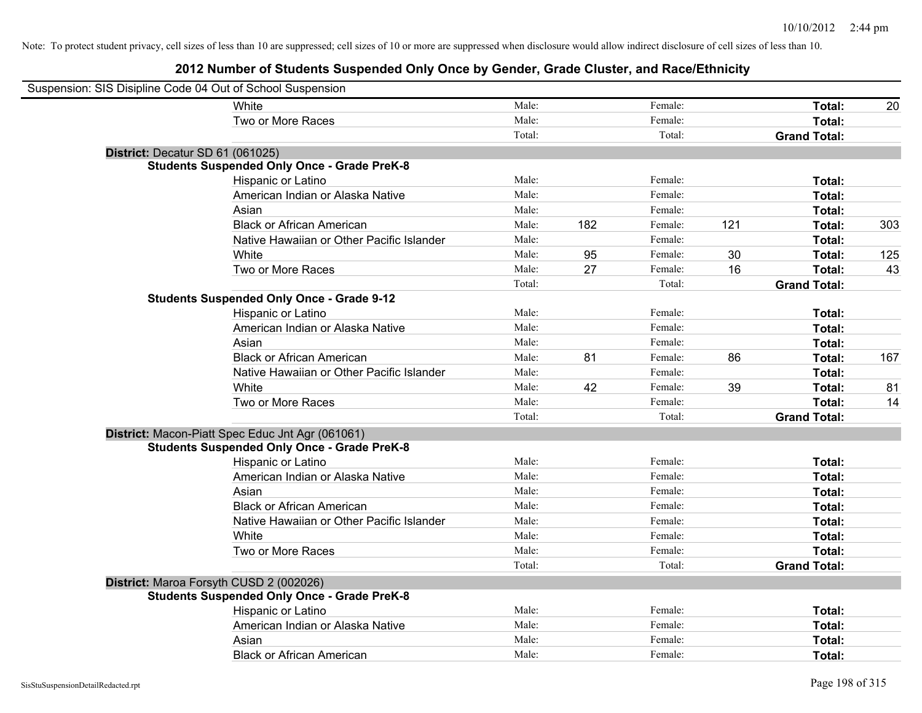| Suspension: SIS Disipline Code 04 Out of School Suspension |                                                    |        |     |         |     |                     |     |
|------------------------------------------------------------|----------------------------------------------------|--------|-----|---------|-----|---------------------|-----|
|                                                            | White                                              | Male:  |     | Female: |     | Total:              | 20  |
|                                                            | Two or More Races                                  | Male:  |     | Female: |     | Total:              |     |
|                                                            |                                                    | Total: |     | Total:  |     | <b>Grand Total:</b> |     |
| District: Decatur SD 61 (061025)                           |                                                    |        |     |         |     |                     |     |
|                                                            | <b>Students Suspended Only Once - Grade PreK-8</b> |        |     |         |     |                     |     |
|                                                            | Hispanic or Latino                                 | Male:  |     | Female: |     | Total:              |     |
|                                                            | American Indian or Alaska Native                   | Male:  |     | Female: |     | Total:              |     |
|                                                            | Asian                                              | Male:  |     | Female: |     | Total:              |     |
|                                                            | <b>Black or African American</b>                   | Male:  | 182 | Female: | 121 | Total:              | 303 |
|                                                            | Native Hawaiian or Other Pacific Islander          | Male:  |     | Female: |     | Total:              |     |
|                                                            | White                                              | Male:  | 95  | Female: | 30  | Total:              | 125 |
|                                                            | Two or More Races                                  | Male:  | 27  | Female: | 16  | Total:              | 43  |
|                                                            |                                                    | Total: |     | Total:  |     | <b>Grand Total:</b> |     |
|                                                            | <b>Students Suspended Only Once - Grade 9-12</b>   |        |     |         |     |                     |     |
|                                                            | Hispanic or Latino                                 | Male:  |     | Female: |     | Total:              |     |
|                                                            | American Indian or Alaska Native                   | Male:  |     | Female: |     | Total:              |     |
|                                                            | Asian                                              | Male:  |     | Female: |     | Total:              |     |
|                                                            | <b>Black or African American</b>                   | Male:  | 81  | Female: | 86  | Total:              | 167 |
|                                                            | Native Hawaiian or Other Pacific Islander          | Male:  |     | Female: |     | Total:              |     |
|                                                            | White                                              | Male:  | 42  | Female: | 39  | Total:              | 81  |
|                                                            | Two or More Races                                  | Male:  |     | Female: |     | Total:              | 14  |
|                                                            |                                                    | Total: |     | Total:  |     | <b>Grand Total:</b> |     |
|                                                            | District: Macon-Piatt Spec Educ Jnt Agr (061061)   |        |     |         |     |                     |     |
|                                                            | <b>Students Suspended Only Once - Grade PreK-8</b> |        |     |         |     |                     |     |
|                                                            | Hispanic or Latino                                 | Male:  |     | Female: |     | Total:              |     |
|                                                            | American Indian or Alaska Native                   | Male:  |     | Female: |     | Total:              |     |
|                                                            | Asian                                              | Male:  |     | Female: |     | Total:              |     |
|                                                            | <b>Black or African American</b>                   | Male:  |     | Female: |     | Total:              |     |
|                                                            | Native Hawaiian or Other Pacific Islander          | Male:  |     | Female: |     | Total:              |     |
|                                                            | White                                              | Male:  |     | Female: |     | Total:              |     |
|                                                            | Two or More Races                                  | Male:  |     | Female: |     | Total:              |     |
|                                                            |                                                    | Total: |     | Total:  |     | <b>Grand Total:</b> |     |
|                                                            | District: Maroa Forsyth CUSD 2 (002026)            |        |     |         |     |                     |     |
|                                                            | <b>Students Suspended Only Once - Grade PreK-8</b> |        |     |         |     |                     |     |
|                                                            | Hispanic or Latino                                 | Male:  |     | Female: |     | Total:              |     |
|                                                            | American Indian or Alaska Native                   | Male:  |     | Female: |     | Total:              |     |
|                                                            | Asian                                              | Male:  |     | Female: |     | Total:              |     |
|                                                            | <b>Black or African American</b>                   | Male:  |     | Female: |     | Total:              |     |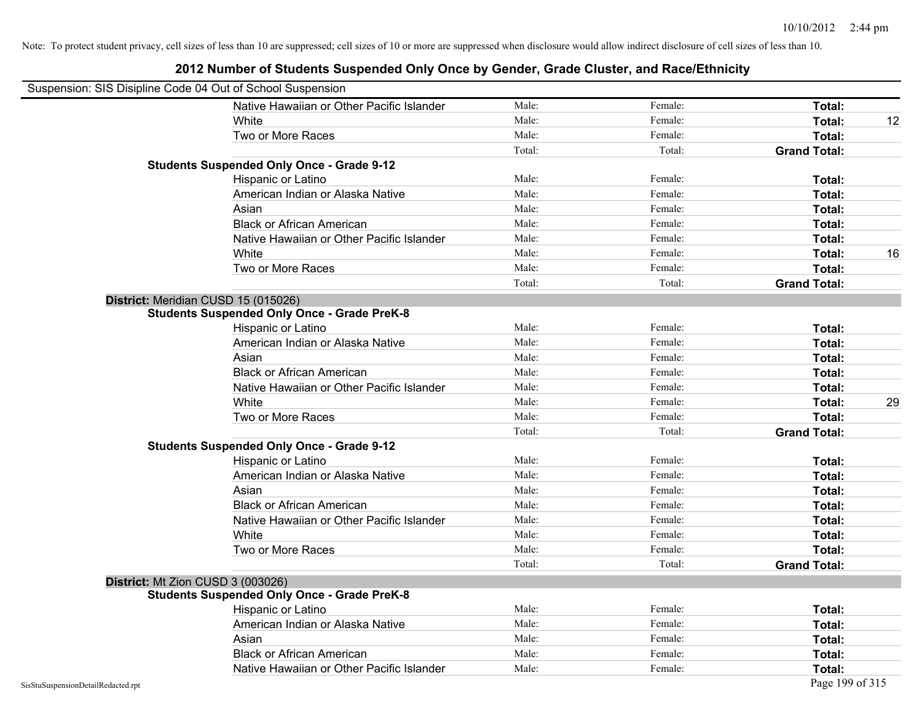|                                    | Suspension: SIS Disipline Code 04 Out of School Suspension |        |         |                     |    |
|------------------------------------|------------------------------------------------------------|--------|---------|---------------------|----|
|                                    | Native Hawaiian or Other Pacific Islander                  | Male:  | Female: | Total:              |    |
|                                    | White                                                      | Male:  | Female: | Total:              | 12 |
|                                    | Two or More Races                                          | Male:  | Female: | Total:              |    |
|                                    |                                                            | Total: | Total:  | <b>Grand Total:</b> |    |
|                                    | <b>Students Suspended Only Once - Grade 9-12</b>           |        |         |                     |    |
|                                    | Hispanic or Latino                                         | Male:  | Female: | Total:              |    |
|                                    | American Indian or Alaska Native                           | Male:  | Female: | Total:              |    |
|                                    | Asian                                                      | Male:  | Female: | Total:              |    |
|                                    | <b>Black or African American</b>                           | Male:  | Female: | Total:              |    |
|                                    | Native Hawaiian or Other Pacific Islander                  | Male:  | Female: | Total:              |    |
|                                    | White                                                      | Male:  | Female: | Total:              | 16 |
|                                    | Two or More Races                                          | Male:  | Female: | Total:              |    |
|                                    |                                                            | Total: | Total:  | <b>Grand Total:</b> |    |
|                                    | District: Meridian CUSD 15 (015026)                        |        |         |                     |    |
|                                    | <b>Students Suspended Only Once - Grade PreK-8</b>         |        |         |                     |    |
|                                    | Hispanic or Latino                                         | Male:  | Female: | Total:              |    |
|                                    | American Indian or Alaska Native                           | Male:  | Female: | Total:              |    |
|                                    | Asian                                                      | Male:  | Female: | Total:              |    |
|                                    | <b>Black or African American</b>                           | Male:  | Female: | Total:              |    |
|                                    | Native Hawaiian or Other Pacific Islander                  | Male:  | Female: | Total:              |    |
|                                    | White                                                      | Male:  | Female: | Total:              | 29 |
|                                    | Two or More Races                                          | Male:  | Female: | Total:              |    |
|                                    |                                                            | Total: | Total:  | <b>Grand Total:</b> |    |
|                                    | <b>Students Suspended Only Once - Grade 9-12</b>           |        |         |                     |    |
|                                    | Hispanic or Latino                                         | Male:  | Female: | Total:              |    |
|                                    | American Indian or Alaska Native                           | Male:  | Female: | Total:              |    |
|                                    | Asian                                                      | Male:  | Female: | Total:              |    |
|                                    | <b>Black or African American</b>                           | Male:  | Female: | Total:              |    |
|                                    | Native Hawaiian or Other Pacific Islander                  | Male:  | Female: | Total:              |    |
|                                    | White                                                      | Male:  | Female: | Total:              |    |
|                                    | Two or More Races                                          | Male:  | Female: | Total:              |    |
|                                    |                                                            | Total: | Total:  | <b>Grand Total:</b> |    |
|                                    | District: Mt Zion CUSD 3 (003026)                          |        |         |                     |    |
|                                    | <b>Students Suspended Only Once - Grade PreK-8</b>         |        |         |                     |    |
|                                    | Hispanic or Latino                                         | Male:  | Female: | Total:              |    |
|                                    | American Indian or Alaska Native                           | Male:  | Female: | Total:              |    |
|                                    | Asian                                                      | Male:  | Female: | Total:              |    |
|                                    | <b>Black or African American</b>                           | Male:  | Female: | Total:              |    |
|                                    | Native Hawaiian or Other Pacific Islander                  | Male:  | Female: | Total:              |    |
| SisStuSuspensionDetailRedacted.rpt |                                                            |        |         | Page 199 of 315     |    |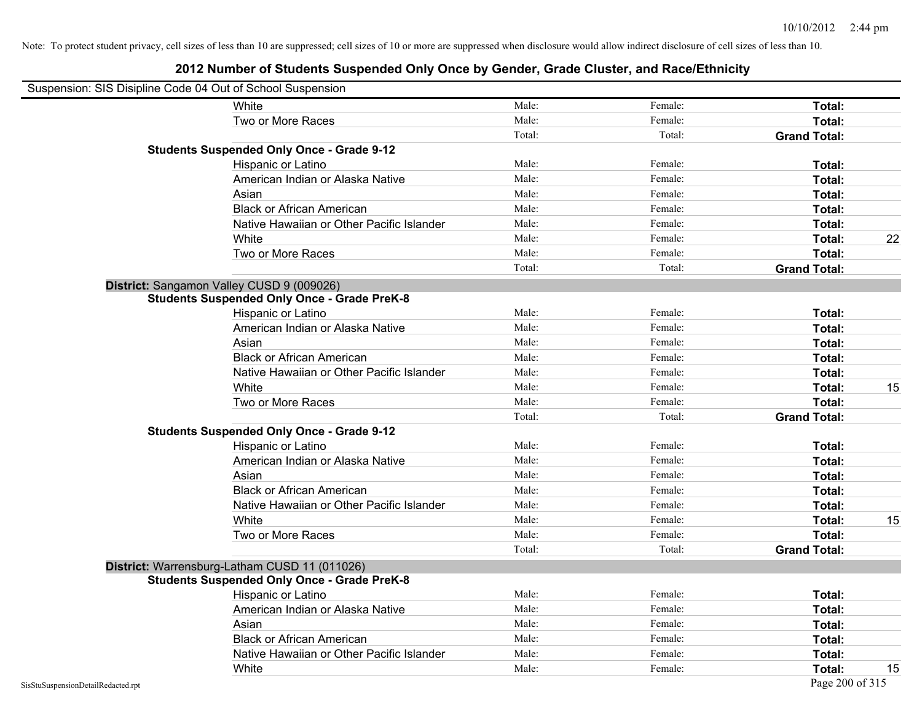|                                    | Suspension: SIS Disipline Code 04 Out of School Suspension |        |         |                     |    |
|------------------------------------|------------------------------------------------------------|--------|---------|---------------------|----|
|                                    | White                                                      | Male:  | Female: | Total:              |    |
|                                    | Two or More Races                                          | Male:  | Female: | Total:              |    |
|                                    |                                                            | Total: | Total:  | <b>Grand Total:</b> |    |
|                                    | <b>Students Suspended Only Once - Grade 9-12</b>           |        |         |                     |    |
|                                    | Hispanic or Latino                                         | Male:  | Female: | Total:              |    |
|                                    | American Indian or Alaska Native                           | Male:  | Female: | Total:              |    |
|                                    | Asian                                                      | Male:  | Female: | Total:              |    |
|                                    | <b>Black or African American</b>                           | Male:  | Female: | Total:              |    |
|                                    | Native Hawaiian or Other Pacific Islander                  | Male:  | Female: | Total:              |    |
|                                    | White                                                      | Male:  | Female: | Total:              | 22 |
|                                    | Two or More Races                                          | Male:  | Female: | Total:              |    |
|                                    |                                                            | Total: | Total:  | <b>Grand Total:</b> |    |
|                                    | District: Sangamon Valley CUSD 9 (009026)                  |        |         |                     |    |
|                                    | <b>Students Suspended Only Once - Grade PreK-8</b>         |        |         |                     |    |
|                                    | Hispanic or Latino                                         | Male:  | Female: | Total:              |    |
|                                    | American Indian or Alaska Native                           | Male:  | Female: | Total:              |    |
|                                    | Asian                                                      | Male:  | Female: | Total:              |    |
|                                    | <b>Black or African American</b>                           | Male:  | Female: | Total:              |    |
|                                    | Native Hawaiian or Other Pacific Islander                  | Male:  | Female: | Total:              |    |
|                                    | White                                                      | Male:  | Female: | Total:              | 15 |
|                                    | Two or More Races                                          | Male:  | Female: | Total:              |    |
|                                    |                                                            | Total: | Total:  | <b>Grand Total:</b> |    |
|                                    | <b>Students Suspended Only Once - Grade 9-12</b>           |        |         |                     |    |
|                                    | Hispanic or Latino                                         | Male:  | Female: | Total:              |    |
|                                    | American Indian or Alaska Native                           | Male:  | Female: | Total:              |    |
|                                    | Asian                                                      | Male:  | Female: | Total:              |    |
|                                    | <b>Black or African American</b>                           | Male:  | Female: | Total:              |    |
|                                    | Native Hawaiian or Other Pacific Islander                  | Male:  | Female: | Total:              |    |
|                                    | White                                                      | Male:  | Female: | Total:              | 15 |
|                                    | Two or More Races                                          | Male:  | Female: | Total:              |    |
|                                    |                                                            | Total: | Total:  | <b>Grand Total:</b> |    |
|                                    | District: Warrensburg-Latham CUSD 11 (011026)              |        |         |                     |    |
|                                    | <b>Students Suspended Only Once - Grade PreK-8</b>         |        |         |                     |    |
|                                    | <b>Hispanic or Latino</b>                                  | Male:  | Female: | Total:              |    |
|                                    | American Indian or Alaska Native                           | Male:  | Female: | Total:              |    |
|                                    | Asian                                                      | Male:  | Female: | Total:              |    |
|                                    | <b>Black or African American</b>                           | Male:  | Female: | Total:              |    |
|                                    | Native Hawaiian or Other Pacific Islander                  | Male:  | Female: | Total:              |    |
|                                    | White                                                      | Male:  | Female: | Total:              | 15 |
| SisStuSuspensionDetailRedacted.rpt |                                                            |        |         | Page 200 of 315     |    |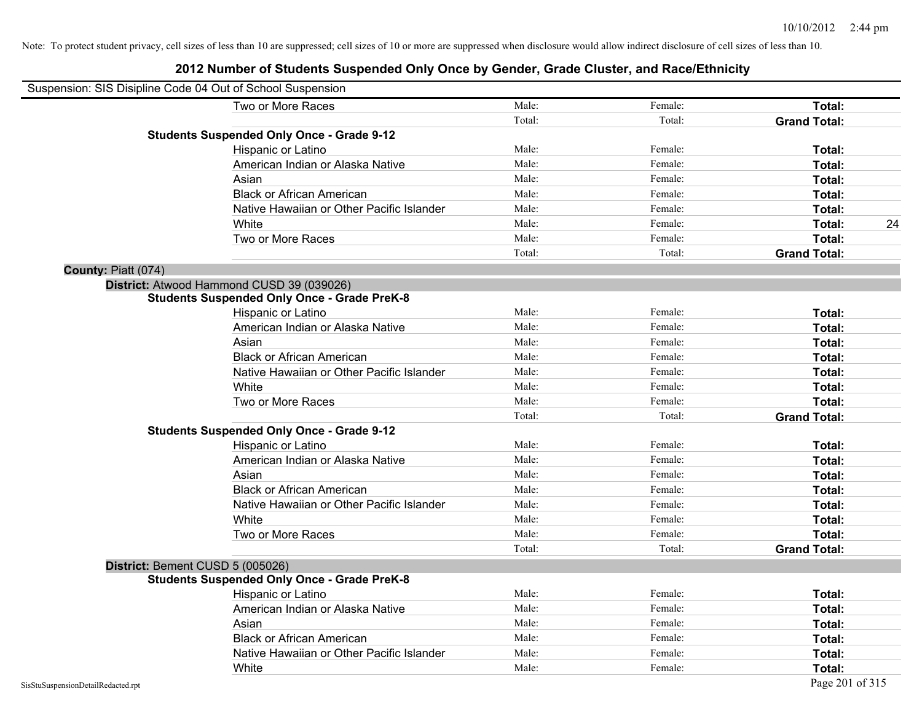|                     | Suspension: SIS Disipline Code 04 Out of School Suspension |        |         |                     |
|---------------------|------------------------------------------------------------|--------|---------|---------------------|
|                     | Two or More Races                                          | Male:  | Female: | Total:              |
|                     |                                                            | Total: | Total:  | <b>Grand Total:</b> |
|                     | <b>Students Suspended Only Once - Grade 9-12</b>           |        |         |                     |
|                     | Hispanic or Latino                                         | Male:  | Female: | Total:              |
|                     | American Indian or Alaska Native                           | Male:  | Female: | Total:              |
|                     | Asian                                                      | Male:  | Female: | Total:              |
|                     | <b>Black or African American</b>                           | Male:  | Female: | Total:              |
|                     | Native Hawaiian or Other Pacific Islander                  | Male:  | Female: | Total:              |
|                     | White                                                      | Male:  | Female: | Total:<br>24        |
|                     | Two or More Races                                          | Male:  | Female: | Total:              |
|                     |                                                            | Total: | Total:  | <b>Grand Total:</b> |
| County: Piatt (074) |                                                            |        |         |                     |
|                     | District: Atwood Hammond CUSD 39 (039026)                  |        |         |                     |
|                     | <b>Students Suspended Only Once - Grade PreK-8</b>         |        |         |                     |
|                     | Hispanic or Latino                                         | Male:  | Female: | Total:              |
|                     | American Indian or Alaska Native                           | Male:  | Female: | Total:              |
|                     | Asian                                                      | Male:  | Female: | Total:              |
|                     | <b>Black or African American</b>                           | Male:  | Female: | Total:              |
|                     | Native Hawaiian or Other Pacific Islander                  | Male:  | Female: | Total:              |
|                     | White                                                      | Male:  | Female: | Total:              |
|                     | Two or More Races                                          | Male:  | Female: | Total:              |
|                     |                                                            | Total: | Total:  | <b>Grand Total:</b> |
|                     | <b>Students Suspended Only Once - Grade 9-12</b>           |        |         |                     |
|                     | Hispanic or Latino                                         | Male:  | Female: | Total:              |
|                     | American Indian or Alaska Native                           | Male:  | Female: | Total:              |
|                     | Asian                                                      | Male:  | Female: | Total:              |
|                     | <b>Black or African American</b>                           | Male:  | Female: | Total:              |
|                     | Native Hawaiian or Other Pacific Islander                  | Male:  | Female: | Total:              |
|                     | White                                                      | Male:  | Female: | Total:              |
|                     | Two or More Races                                          | Male:  | Female: | Total:              |
|                     |                                                            | Total: | Total:  | <b>Grand Total:</b> |
|                     | District: Bement CUSD 5 (005026)                           |        |         |                     |
|                     | <b>Students Suspended Only Once - Grade PreK-8</b>         |        |         |                     |
|                     | Hispanic or Latino                                         | Male:  | Female: | Total:              |
|                     | American Indian or Alaska Native                           | Male:  | Female: | Total:              |
|                     | Asian                                                      | Male:  | Female: | Total:              |
|                     | <b>Black or African American</b>                           | Male:  | Female: | Total:              |
|                     | Native Hawaiian or Other Pacific Islander                  | Male:  | Female: | Total:              |
|                     | White                                                      | Male:  | Female: | Total:              |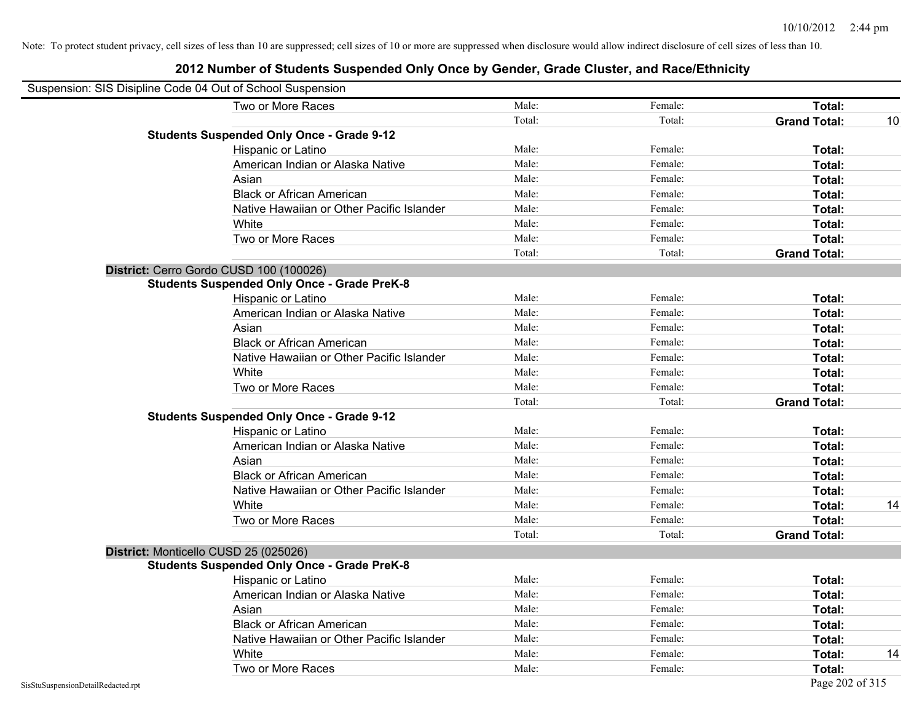| Suspension: SIS Disipline Code 04 Out of School Suspension |                                                    |        |         |                     |    |
|------------------------------------------------------------|----------------------------------------------------|--------|---------|---------------------|----|
|                                                            | Two or More Races                                  | Male:  | Female: | Total:              |    |
|                                                            |                                                    | Total: | Total:  | <b>Grand Total:</b> | 10 |
|                                                            | <b>Students Suspended Only Once - Grade 9-12</b>   |        |         |                     |    |
|                                                            | Hispanic or Latino                                 | Male:  | Female: | Total:              |    |
|                                                            | American Indian or Alaska Native                   | Male:  | Female: | Total:              |    |
|                                                            | Asian                                              | Male:  | Female: | Total:              |    |
|                                                            | <b>Black or African American</b>                   | Male:  | Female: | Total:              |    |
|                                                            | Native Hawaiian or Other Pacific Islander          | Male:  | Female: | Total:              |    |
|                                                            | White                                              | Male:  | Female: | Total:              |    |
|                                                            | Two or More Races                                  | Male:  | Female: | Total:              |    |
|                                                            |                                                    | Total: | Total:  | <b>Grand Total:</b> |    |
|                                                            | District: Cerro Gordo CUSD 100 (100026)            |        |         |                     |    |
|                                                            | <b>Students Suspended Only Once - Grade PreK-8</b> |        |         |                     |    |
|                                                            | Hispanic or Latino                                 | Male:  | Female: | Total:              |    |
|                                                            | American Indian or Alaska Native                   | Male:  | Female: | Total:              |    |
|                                                            | Asian                                              | Male:  | Female: | Total:              |    |
|                                                            | <b>Black or African American</b>                   | Male:  | Female: | Total:              |    |
|                                                            | Native Hawaiian or Other Pacific Islander          | Male:  | Female: | Total:              |    |
|                                                            | White                                              | Male:  | Female: | Total:              |    |
|                                                            | Two or More Races                                  | Male:  | Female: | Total:              |    |
|                                                            |                                                    | Total: | Total:  | <b>Grand Total:</b> |    |
|                                                            | <b>Students Suspended Only Once - Grade 9-12</b>   |        |         |                     |    |
|                                                            | Hispanic or Latino                                 | Male:  | Female: | Total:              |    |
|                                                            | American Indian or Alaska Native                   | Male:  | Female: | Total:              |    |
|                                                            | Asian                                              | Male:  | Female: | Total:              |    |
|                                                            | <b>Black or African American</b>                   | Male:  | Female: | Total:              |    |
|                                                            | Native Hawaiian or Other Pacific Islander          | Male:  | Female: | Total:              |    |
|                                                            | White                                              | Male:  | Female: | Total:              | 14 |
|                                                            | Two or More Races                                  | Male:  | Female: | Total:              |    |
|                                                            |                                                    | Total: | Total:  | <b>Grand Total:</b> |    |
|                                                            | District: Monticello CUSD 25 (025026)              |        |         |                     |    |
|                                                            | <b>Students Suspended Only Once - Grade PreK-8</b> |        |         |                     |    |
|                                                            | Hispanic or Latino                                 | Male:  | Female: | Total:              |    |
|                                                            | American Indian or Alaska Native                   | Male:  | Female: | Total:              |    |
|                                                            | Asian                                              | Male:  | Female: | Total:              |    |
|                                                            | <b>Black or African American</b>                   | Male:  | Female: | Total:              |    |
|                                                            | Native Hawaiian or Other Pacific Islander          | Male:  | Female: | Total:              |    |
|                                                            | White                                              | Male:  | Female: | Total:              | 14 |
|                                                            | Two or More Races                                  | Male:  | Female: | Total:              |    |
| SisStuSuspensionDetailRedacted.rpt                         |                                                    |        |         | Page 202 of 315     |    |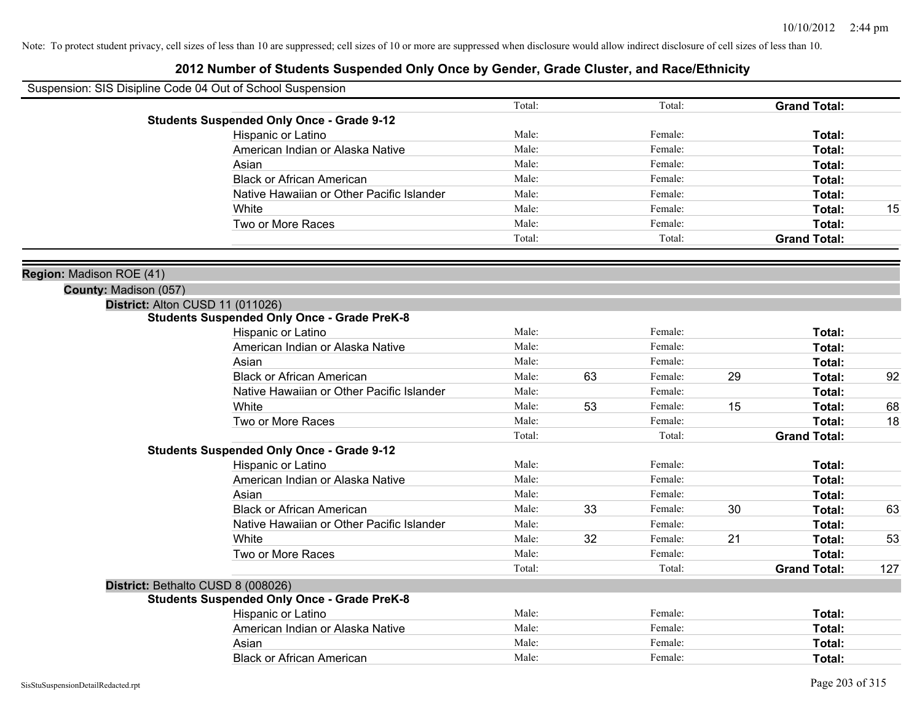|                          | Suspension: SIS Disipline Code 04 Out of School Suspension |        |    |         |    |                     |     |
|--------------------------|------------------------------------------------------------|--------|----|---------|----|---------------------|-----|
|                          |                                                            | Total: |    | Total:  |    | <b>Grand Total:</b> |     |
|                          | <b>Students Suspended Only Once - Grade 9-12</b>           |        |    |         |    |                     |     |
|                          | Hispanic or Latino                                         | Male:  |    | Female: |    | Total:              |     |
|                          | American Indian or Alaska Native                           | Male:  |    | Female: |    | Total:              |     |
|                          | Asian                                                      | Male:  |    | Female: |    | Total:              |     |
|                          | <b>Black or African American</b>                           | Male:  |    | Female: |    | Total:              |     |
|                          | Native Hawaiian or Other Pacific Islander                  | Male:  |    | Female: |    | Total:              |     |
|                          | White                                                      | Male:  |    | Female: |    | Total:              | 15  |
|                          | Two or More Races                                          | Male:  |    | Female: |    | Total:              |     |
|                          |                                                            | Total: |    | Total:  |    | <b>Grand Total:</b> |     |
| Region: Madison ROE (41) |                                                            |        |    |         |    |                     |     |
| County: Madison (057)    |                                                            |        |    |         |    |                     |     |
|                          | District: Alton CUSD 11 (011026)                           |        |    |         |    |                     |     |
|                          | <b>Students Suspended Only Once - Grade PreK-8</b>         |        |    |         |    |                     |     |
|                          | Hispanic or Latino                                         | Male:  |    | Female: |    | Total:              |     |
|                          | American Indian or Alaska Native                           | Male:  |    | Female: |    | Total:              |     |
|                          | Asian                                                      | Male:  |    | Female: |    | Total:              |     |
|                          | <b>Black or African American</b>                           | Male:  | 63 | Female: | 29 | Total:              | 92  |
|                          | Native Hawaiian or Other Pacific Islander                  | Male:  |    | Female: |    | Total:              |     |
|                          | White                                                      | Male:  | 53 | Female: | 15 | Total:              | 68  |
|                          | Two or More Races                                          | Male:  |    | Female: |    | Total:              | 18  |
|                          |                                                            | Total: |    | Total:  |    | <b>Grand Total:</b> |     |
|                          | <b>Students Suspended Only Once - Grade 9-12</b>           |        |    |         |    |                     |     |
|                          | Hispanic or Latino                                         | Male:  |    | Female: |    | Total:              |     |
|                          | American Indian or Alaska Native                           | Male:  |    | Female: |    | Total:              |     |
|                          | Asian                                                      | Male:  |    | Female: |    | Total:              |     |
|                          | <b>Black or African American</b>                           | Male:  | 33 | Female: | 30 | Total:              | 63  |
|                          | Native Hawaiian or Other Pacific Islander                  | Male:  |    | Female: |    | Total:              |     |
|                          | White                                                      | Male:  | 32 | Female: | 21 | Total:              | 53  |
|                          | Two or More Races                                          | Male:  |    | Female: |    | Total:              |     |
|                          |                                                            | Total: |    | Total:  |    | <b>Grand Total:</b> | 127 |
|                          | District: Bethalto CUSD 8 (008026)                         |        |    |         |    |                     |     |
|                          | <b>Students Suspended Only Once - Grade PreK-8</b>         |        |    |         |    |                     |     |
|                          | Hispanic or Latino                                         | Male:  |    | Female: |    | Total:              |     |
|                          | American Indian or Alaska Native                           | Male:  |    | Female: |    | Total:              |     |
|                          | Asian                                                      | Male:  |    | Female: |    | Total:              |     |
|                          | <b>Black or African American</b>                           | Male:  |    | Female: |    | Total:              |     |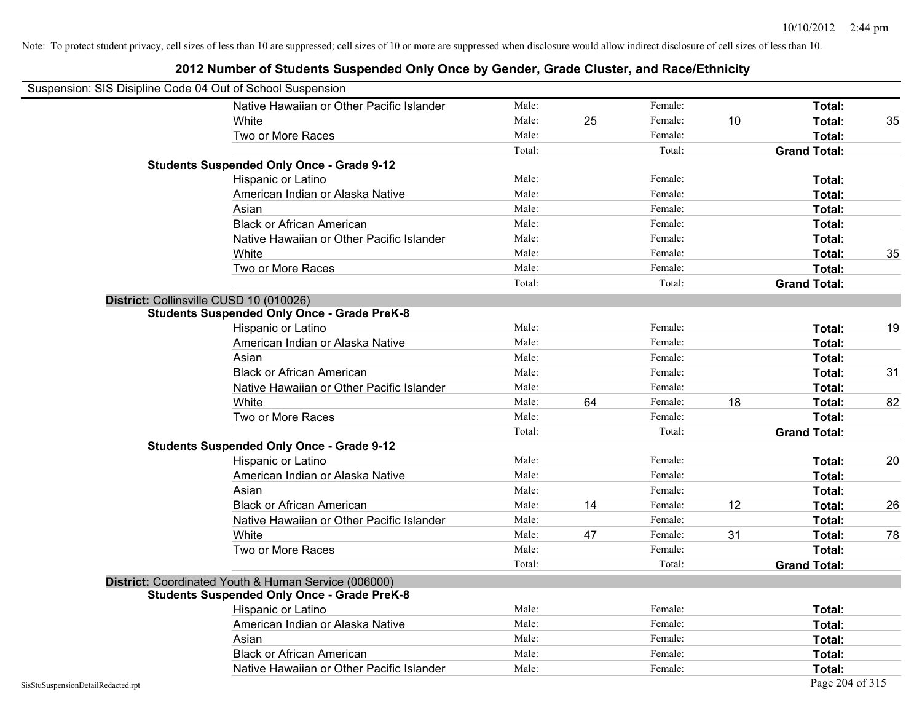| Native Hawaiian or Other Pacific Islander<br>Male:<br>Female:<br>Total:                                    | Suspension: SIS Disipline Code 04 Out of School Suspension |  |  |    |
|------------------------------------------------------------------------------------------------------------|------------------------------------------------------------|--|--|----|
|                                                                                                            |                                                            |  |  |    |
| Male:<br>Female:<br>25<br>10<br>Total:<br>White                                                            |                                                            |  |  | 35 |
| Male:<br>Female:<br>Total:<br>Two or More Races                                                            |                                                            |  |  |    |
| Total:<br>Total:<br><b>Grand Total:</b>                                                                    |                                                            |  |  |    |
| <b>Students Suspended Only Once - Grade 9-12</b>                                                           |                                                            |  |  |    |
| Male:<br>Female:<br>Hispanic or Latino<br>Total:                                                           |                                                            |  |  |    |
| Male:<br>American Indian or Alaska Native<br>Female:<br>Total:                                             |                                                            |  |  |    |
| Male:<br>Female:<br>Asian<br>Total:                                                                        |                                                            |  |  |    |
| <b>Black or African American</b><br>Male:<br>Female:<br>Total:                                             |                                                            |  |  |    |
| Male:<br>Female:<br>Native Hawaiian or Other Pacific Islander<br>Total:                                    |                                                            |  |  |    |
| Male:<br>Female:<br>White<br>Total:                                                                        |                                                            |  |  | 35 |
| Male:<br>Female:<br>Two or More Races<br>Total:                                                            |                                                            |  |  |    |
| Total:<br>Total:<br><b>Grand Total:</b>                                                                    |                                                            |  |  |    |
| District: Collinsville CUSD 10 (010026)                                                                    |                                                            |  |  |    |
| <b>Students Suspended Only Once - Grade PreK-8</b>                                                         |                                                            |  |  |    |
| Hispanic or Latino<br>Male:<br>Female:<br>Total:                                                           |                                                            |  |  | 19 |
| American Indian or Alaska Native<br>Male:<br>Female:<br>Total:                                             |                                                            |  |  |    |
| Male:<br>Female:<br>Asian<br>Total:                                                                        |                                                            |  |  |    |
| <b>Black or African American</b><br>Male:<br>Female:<br>Total:                                             |                                                            |  |  | 31 |
| Native Hawaiian or Other Pacific Islander<br>Male:<br>Female:<br>Total:                                    |                                                            |  |  |    |
| White<br>64<br>18<br>Male:<br>Female:<br>Total:                                                            |                                                            |  |  | 82 |
| Two or More Races<br>Male:<br>Female:<br>Total:                                                            |                                                            |  |  |    |
| Total:<br>Total:<br><b>Grand Total:</b>                                                                    |                                                            |  |  |    |
| <b>Students Suspended Only Once - Grade 9-12</b>                                                           |                                                            |  |  |    |
| Hispanic or Latino<br>Male:<br>Female:<br>Total:                                                           |                                                            |  |  | 20 |
| American Indian or Alaska Native<br>Male:<br>Female:<br>Total:                                             |                                                            |  |  |    |
| Asian<br>Male:<br>Female:<br>Total:                                                                        |                                                            |  |  |    |
| <b>Black or African American</b><br>14<br>12<br>Male:<br>Total:<br>Female:                                 |                                                            |  |  | 26 |
| Male:<br>Native Hawaiian or Other Pacific Islander<br>Female:<br>Total:                                    |                                                            |  |  |    |
| 31<br>White<br>Male:<br>47<br>Female:<br>Total:                                                            |                                                            |  |  | 78 |
| Two or More Races<br>Total:<br>Male:<br>Female:                                                            |                                                            |  |  |    |
| Total:<br>Total:<br><b>Grand Total:</b>                                                                    |                                                            |  |  |    |
| District: Coordinated Youth & Human Service (006000)<br><b>Students Suspended Only Once - Grade PreK-8</b> |                                                            |  |  |    |
| Male:<br>Female:<br>Total:<br>Hispanic or Latino                                                           |                                                            |  |  |    |
| Male:<br>Female:<br>American Indian or Alaska Native<br>Total:                                             |                                                            |  |  |    |
| Male:<br>Female:<br>Asian<br>Total:                                                                        |                                                            |  |  |    |
| Male:<br><b>Black or African American</b><br>Female:<br>Total:                                             |                                                            |  |  |    |
| Native Hawaiian or Other Pacific Islander<br>Male:<br>Female:<br>Total:                                    |                                                            |  |  |    |
| Page 204 of 315<br>SisStuSuspensionDetailRedacted.rpt                                                      |                                                            |  |  |    |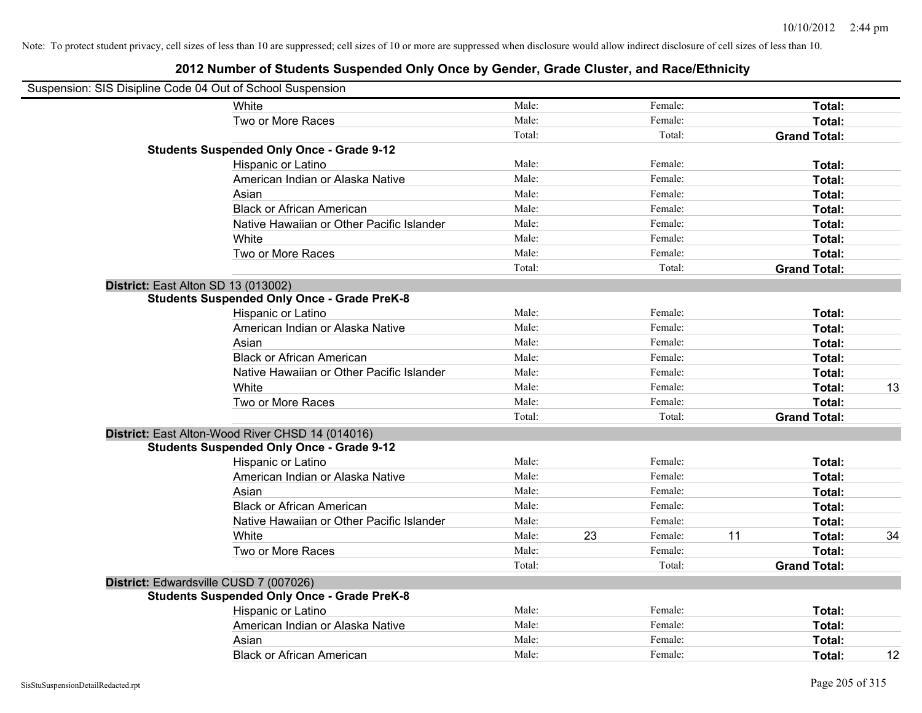|                                     | Suspension: SIS Disipline Code 04 Out of School Suspension |        |    |         |    |                     |    |
|-------------------------------------|------------------------------------------------------------|--------|----|---------|----|---------------------|----|
|                                     | White                                                      | Male:  |    | Female: |    | Total:              |    |
|                                     | Two or More Races                                          | Male:  |    | Female: |    | Total:              |    |
|                                     |                                                            | Total: |    | Total:  |    | <b>Grand Total:</b> |    |
|                                     | <b>Students Suspended Only Once - Grade 9-12</b>           |        |    |         |    |                     |    |
|                                     | Hispanic or Latino                                         | Male:  |    | Female: |    | Total:              |    |
|                                     | American Indian or Alaska Native                           | Male:  |    | Female: |    | Total:              |    |
|                                     | Asian                                                      | Male:  |    | Female: |    | Total:              |    |
|                                     | <b>Black or African American</b>                           | Male:  |    | Female: |    | Total:              |    |
|                                     | Native Hawaiian or Other Pacific Islander                  | Male:  |    | Female: |    | Total:              |    |
|                                     | White                                                      | Male:  |    | Female: |    | Total:              |    |
|                                     | Two or More Races                                          | Male:  |    | Female: |    | Total:              |    |
|                                     |                                                            | Total: |    | Total:  |    | <b>Grand Total:</b> |    |
| District: East Alton SD 13 (013002) |                                                            |        |    |         |    |                     |    |
|                                     | <b>Students Suspended Only Once - Grade PreK-8</b>         |        |    |         |    |                     |    |
|                                     | Hispanic or Latino                                         | Male:  |    | Female: |    | Total:              |    |
|                                     | American Indian or Alaska Native                           | Male:  |    | Female: |    | Total:              |    |
|                                     | Asian                                                      | Male:  |    | Female: |    | Total:              |    |
|                                     | <b>Black or African American</b>                           | Male:  |    | Female: |    | Total:              |    |
|                                     | Native Hawaiian or Other Pacific Islander                  | Male:  |    | Female: |    | Total:              |    |
|                                     | White                                                      | Male:  |    | Female: |    | Total:              | 13 |
|                                     | Two or More Races                                          | Male:  |    | Female: |    | Total:              |    |
|                                     |                                                            | Total: |    | Total:  |    | <b>Grand Total:</b> |    |
|                                     | District: East Alton-Wood River CHSD 14 (014016)           |        |    |         |    |                     |    |
|                                     | <b>Students Suspended Only Once - Grade 9-12</b>           |        |    |         |    |                     |    |
|                                     | Hispanic or Latino                                         | Male:  |    | Female: |    | Total:              |    |
|                                     | American Indian or Alaska Native                           | Male:  |    | Female: |    | Total:              |    |
|                                     | Asian                                                      | Male:  |    | Female: |    | Total:              |    |
|                                     | <b>Black or African American</b>                           | Male:  |    | Female: |    | Total:              |    |
|                                     | Native Hawaiian or Other Pacific Islander                  | Male:  |    | Female: |    | Total:              |    |
|                                     | White                                                      | Male:  | 23 | Female: | 11 | Total:              | 34 |
|                                     | Two or More Races                                          | Male:  |    | Female: |    | Total:              |    |
|                                     |                                                            | Total: |    | Total:  |    | <b>Grand Total:</b> |    |
|                                     | District: Edwardsville CUSD 7 (007026)                     |        |    |         |    |                     |    |
|                                     | <b>Students Suspended Only Once - Grade PreK-8</b>         |        |    |         |    |                     |    |
|                                     | Hispanic or Latino                                         | Male:  |    | Female: |    | Total:              |    |
|                                     | American Indian or Alaska Native                           | Male:  |    | Female: |    | Total:              |    |
|                                     | Asian                                                      | Male:  |    | Female: |    | Total:              |    |
|                                     | <b>Black or African American</b>                           | Male:  |    | Female: |    | Total:              | 12 |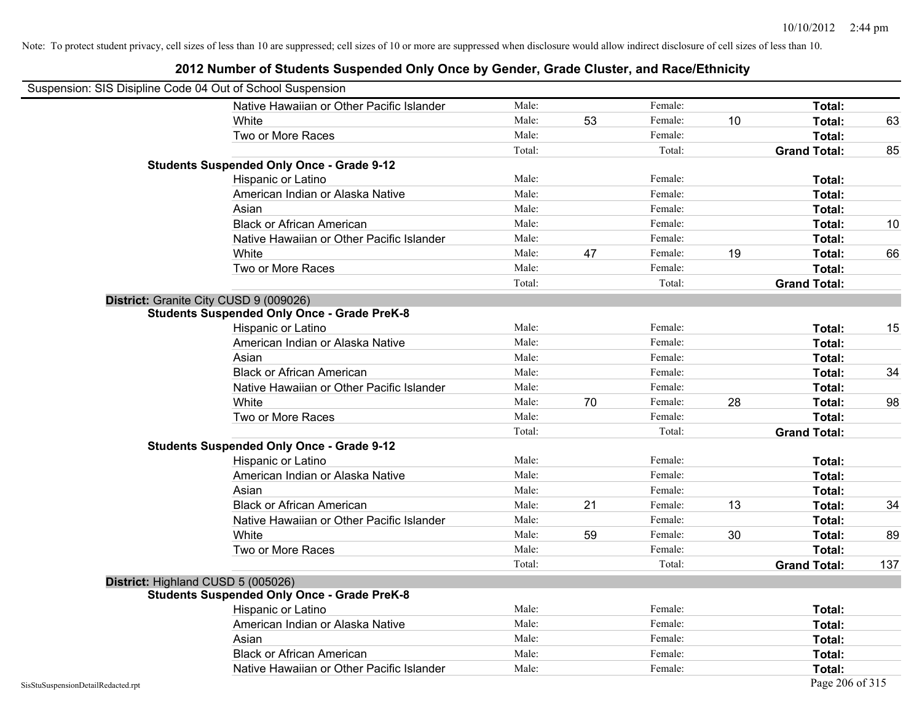| Suspension: SIS Disipline Code 04 Out of School Suspension |                                                    |        |    |         |    |                     |     |
|------------------------------------------------------------|----------------------------------------------------|--------|----|---------|----|---------------------|-----|
|                                                            | Native Hawaiian or Other Pacific Islander          | Male:  |    | Female: |    | Total:              |     |
|                                                            | White                                              | Male:  | 53 | Female: | 10 | Total:              | 63  |
|                                                            | Two or More Races                                  | Male:  |    | Female: |    | Total:              |     |
|                                                            |                                                    | Total: |    | Total:  |    | <b>Grand Total:</b> | 85  |
|                                                            | <b>Students Suspended Only Once - Grade 9-12</b>   |        |    |         |    |                     |     |
|                                                            | Hispanic or Latino                                 | Male:  |    | Female: |    | Total:              |     |
|                                                            | American Indian or Alaska Native                   | Male:  |    | Female: |    | Total:              |     |
|                                                            | Asian                                              | Male:  |    | Female: |    | Total:              |     |
|                                                            | <b>Black or African American</b>                   | Male:  |    | Female: |    | Total:              | 10  |
|                                                            | Native Hawaiian or Other Pacific Islander          | Male:  |    | Female: |    | Total:              |     |
|                                                            | White                                              | Male:  | 47 | Female: | 19 | Total:              | 66  |
|                                                            | Two or More Races                                  | Male:  |    | Female: |    | Total:              |     |
|                                                            |                                                    | Total: |    | Total:  |    | <b>Grand Total:</b> |     |
|                                                            | District: Granite City CUSD 9 (009026)             |        |    |         |    |                     |     |
|                                                            | <b>Students Suspended Only Once - Grade PreK-8</b> |        |    |         |    |                     |     |
|                                                            | Hispanic or Latino                                 | Male:  |    | Female: |    | Total:              | 15  |
|                                                            | American Indian or Alaska Native                   | Male:  |    | Female: |    | Total:              |     |
|                                                            | Asian                                              | Male:  |    | Female: |    | Total:              |     |
|                                                            | <b>Black or African American</b>                   | Male:  |    | Female: |    | Total:              | 34  |
|                                                            | Native Hawaiian or Other Pacific Islander          | Male:  |    | Female: |    | Total:              |     |
|                                                            | White                                              | Male:  | 70 | Female: | 28 | Total:              | 98  |
|                                                            | Two or More Races                                  | Male:  |    | Female: |    | Total:              |     |
|                                                            |                                                    | Total: |    | Total:  |    | <b>Grand Total:</b> |     |
|                                                            | <b>Students Suspended Only Once - Grade 9-12</b>   |        |    |         |    |                     |     |
|                                                            | Hispanic or Latino                                 | Male:  |    | Female: |    | Total:              |     |
|                                                            | American Indian or Alaska Native                   | Male:  |    | Female: |    | Total:              |     |
|                                                            | Asian                                              | Male:  |    | Female: |    | Total:              |     |
|                                                            | <b>Black or African American</b>                   | Male:  | 21 | Female: | 13 | Total:              | 34  |
|                                                            | Native Hawaiian or Other Pacific Islander          | Male:  |    | Female: |    | Total:              |     |
|                                                            | White                                              | Male:  | 59 | Female: | 30 | Total:              | 89  |
|                                                            | Two or More Races                                  | Male:  |    | Female: |    | Total:              |     |
|                                                            |                                                    | Total: |    | Total:  |    | <b>Grand Total:</b> | 137 |
| District: Highland CUSD 5 (005026)                         |                                                    |        |    |         |    |                     |     |
|                                                            | <b>Students Suspended Only Once - Grade PreK-8</b> |        |    |         |    |                     |     |
|                                                            | Hispanic or Latino                                 | Male:  |    | Female: |    | Total:              |     |
|                                                            | American Indian or Alaska Native                   | Male:  |    | Female: |    | Total:              |     |
|                                                            | Asian                                              | Male:  |    | Female: |    | Total:              |     |
|                                                            | <b>Black or African American</b>                   | Male:  |    | Female: |    | Total:              |     |
|                                                            | Native Hawaiian or Other Pacific Islander          | Male:  |    | Female: |    | Total:              |     |
| SisStuSuspensionDetailRedacted.rpt                         |                                                    |        |    |         |    | Page 206 of 315     |     |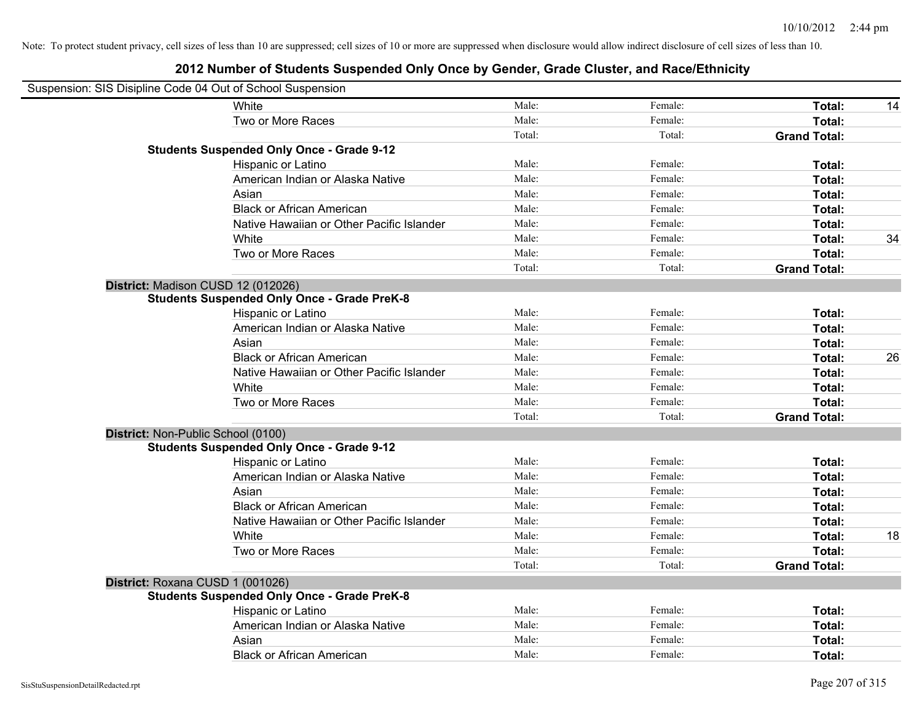| Suspension: SIS Disipline Code 04 Out of School Suspension |                                                    |        |         |                     |    |
|------------------------------------------------------------|----------------------------------------------------|--------|---------|---------------------|----|
|                                                            | White                                              | Male:  | Female: | Total:              | 14 |
|                                                            | Two or More Races                                  | Male:  | Female: | Total:              |    |
|                                                            |                                                    | Total: | Total:  | <b>Grand Total:</b> |    |
|                                                            | <b>Students Suspended Only Once - Grade 9-12</b>   |        |         |                     |    |
|                                                            | Hispanic or Latino                                 | Male:  | Female: | Total:              |    |
|                                                            | American Indian or Alaska Native                   | Male:  | Female: | Total:              |    |
|                                                            | Asian                                              | Male:  | Female: | Total:              |    |
|                                                            | <b>Black or African American</b>                   | Male:  | Female: | Total:              |    |
|                                                            | Native Hawaiian or Other Pacific Islander          | Male:  | Female: | Total:              |    |
|                                                            | White                                              | Male:  | Female: | Total:              | 34 |
|                                                            | Two or More Races                                  | Male:  | Female: | Total:              |    |
|                                                            |                                                    | Total: | Total:  | <b>Grand Total:</b> |    |
| District: Madison CUSD 12 (012026)                         |                                                    |        |         |                     |    |
|                                                            | <b>Students Suspended Only Once - Grade PreK-8</b> |        |         |                     |    |
|                                                            | Hispanic or Latino                                 | Male:  | Female: | Total:              |    |
|                                                            | American Indian or Alaska Native                   | Male:  | Female: | Total:              |    |
|                                                            | Asian                                              | Male:  | Female: | Total:              |    |
|                                                            | <b>Black or African American</b>                   | Male:  | Female: | Total:              | 26 |
|                                                            | Native Hawaiian or Other Pacific Islander          | Male:  | Female: | Total:              |    |
|                                                            | White                                              | Male:  | Female: | Total:              |    |
|                                                            | Two or More Races                                  | Male:  | Female: | Total:              |    |
|                                                            |                                                    | Total: | Total:  | <b>Grand Total:</b> |    |
| District: Non-Public School (0100)                         |                                                    |        |         |                     |    |
|                                                            | <b>Students Suspended Only Once - Grade 9-12</b>   |        |         |                     |    |
|                                                            | Hispanic or Latino                                 | Male:  | Female: | Total:              |    |
|                                                            | American Indian or Alaska Native                   | Male:  | Female: | Total:              |    |
|                                                            | Asian                                              | Male:  | Female: | Total:              |    |
|                                                            | <b>Black or African American</b>                   | Male:  | Female: | Total:              |    |
|                                                            | Native Hawaiian or Other Pacific Islander          | Male:  | Female: | Total:              |    |
|                                                            | White                                              | Male:  | Female: | Total:              | 18 |
|                                                            | Two or More Races                                  | Male:  | Female: | Total:              |    |
|                                                            |                                                    | Total: | Total:  | <b>Grand Total:</b> |    |
| District: Roxana CUSD 1 (001026)                           |                                                    |        |         |                     |    |
|                                                            | <b>Students Suspended Only Once - Grade PreK-8</b> |        |         |                     |    |
|                                                            | Hispanic or Latino                                 | Male:  | Female: | Total:              |    |
|                                                            | American Indian or Alaska Native                   | Male:  | Female: | Total:              |    |
|                                                            | Asian                                              | Male:  | Female: | Total:              |    |
|                                                            | <b>Black or African American</b>                   | Male:  | Female: | Total:              |    |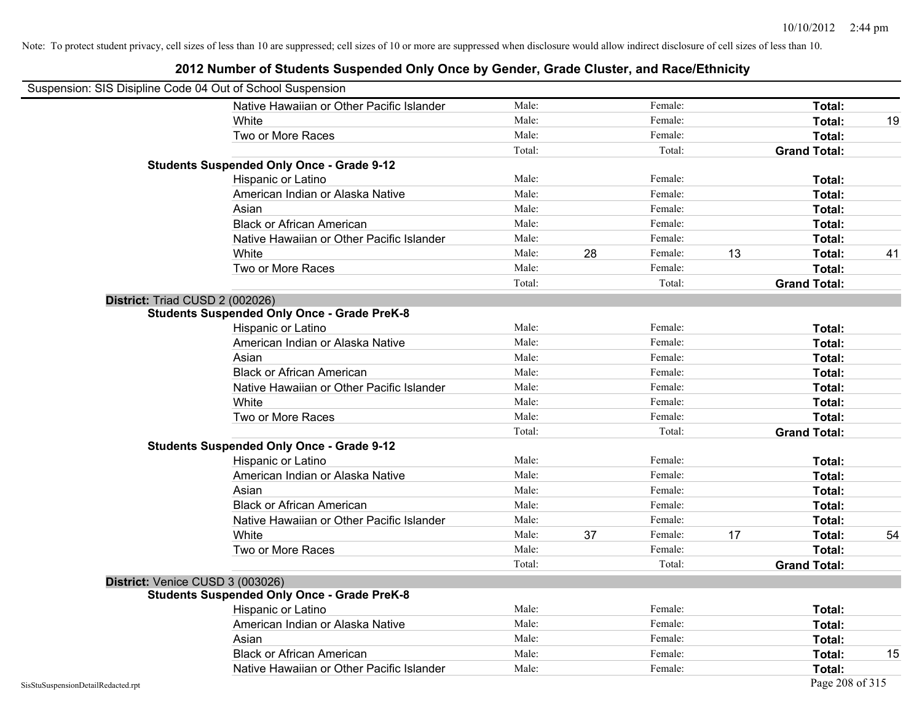|                                    | Suspension: SIS Disipline Code 04 Out of School Suspension |        |    |         |    |                     |    |
|------------------------------------|------------------------------------------------------------|--------|----|---------|----|---------------------|----|
|                                    | Native Hawaiian or Other Pacific Islander                  | Male:  |    | Female: |    | Total:              |    |
|                                    | White                                                      | Male:  |    | Female: |    | Total:              | 19 |
|                                    | Two or More Races                                          | Male:  |    | Female: |    | Total:              |    |
|                                    |                                                            | Total: |    | Total:  |    | <b>Grand Total:</b> |    |
|                                    | <b>Students Suspended Only Once - Grade 9-12</b>           |        |    |         |    |                     |    |
|                                    | Hispanic or Latino                                         | Male:  |    | Female: |    | Total:              |    |
|                                    | American Indian or Alaska Native                           | Male:  |    | Female: |    | Total:              |    |
|                                    | Asian                                                      | Male:  |    | Female: |    | Total:              |    |
|                                    | <b>Black or African American</b>                           | Male:  |    | Female: |    | Total:              |    |
|                                    | Native Hawaiian or Other Pacific Islander                  | Male:  |    | Female: |    | Total:              |    |
|                                    | White                                                      | Male:  | 28 | Female: | 13 | Total:              | 41 |
|                                    | Two or More Races                                          | Male:  |    | Female: |    | Total:              |    |
|                                    |                                                            | Total: |    | Total:  |    | <b>Grand Total:</b> |    |
|                                    | District: Triad CUSD 2 (002026)                            |        |    |         |    |                     |    |
|                                    | <b>Students Suspended Only Once - Grade PreK-8</b>         |        |    |         |    |                     |    |
|                                    | Hispanic or Latino                                         | Male:  |    | Female: |    | Total:              |    |
|                                    | American Indian or Alaska Native                           | Male:  |    | Female: |    | Total:              |    |
|                                    | Asian                                                      | Male:  |    | Female: |    | Total:              |    |
|                                    | <b>Black or African American</b>                           | Male:  |    | Female: |    | Total:              |    |
|                                    | Native Hawaiian or Other Pacific Islander                  | Male:  |    | Female: |    | Total:              |    |
|                                    | White                                                      | Male:  |    | Female: |    | Total:              |    |
|                                    | Two or More Races                                          | Male:  |    | Female: |    | Total:              |    |
|                                    |                                                            | Total: |    | Total:  |    | <b>Grand Total:</b> |    |
|                                    | <b>Students Suspended Only Once - Grade 9-12</b>           |        |    |         |    |                     |    |
|                                    | Hispanic or Latino                                         | Male:  |    | Female: |    | Total:              |    |
|                                    | American Indian or Alaska Native                           | Male:  |    | Female: |    | Total:              |    |
|                                    | Asian                                                      | Male:  |    | Female: |    | Total:              |    |
|                                    | <b>Black or African American</b>                           | Male:  |    | Female: |    | Total:              |    |
|                                    | Native Hawaiian or Other Pacific Islander                  | Male:  |    | Female: |    | Total:              |    |
|                                    | White                                                      | Male:  | 37 | Female: | 17 | Total:              | 54 |
|                                    | Two or More Races                                          | Male:  |    | Female: |    | Total:              |    |
|                                    |                                                            | Total: |    | Total:  |    | <b>Grand Total:</b> |    |
|                                    | District: Venice CUSD 3 (003026)                           |        |    |         |    |                     |    |
|                                    | <b>Students Suspended Only Once - Grade PreK-8</b>         |        |    |         |    |                     |    |
|                                    | Hispanic or Latino                                         | Male:  |    | Female: |    | Total:              |    |
|                                    | American Indian or Alaska Native                           | Male:  |    | Female: |    | Total:              |    |
|                                    | Asian                                                      | Male:  |    | Female: |    | Total:              |    |
|                                    | <b>Black or African American</b>                           | Male:  |    | Female: |    | Total:              | 15 |
|                                    | Native Hawaiian or Other Pacific Islander                  | Male:  |    | Female: |    | Total:              |    |
| SisStuSuspensionDetailRedacted.rpt |                                                            |        |    |         |    | Page 208 of 315     |    |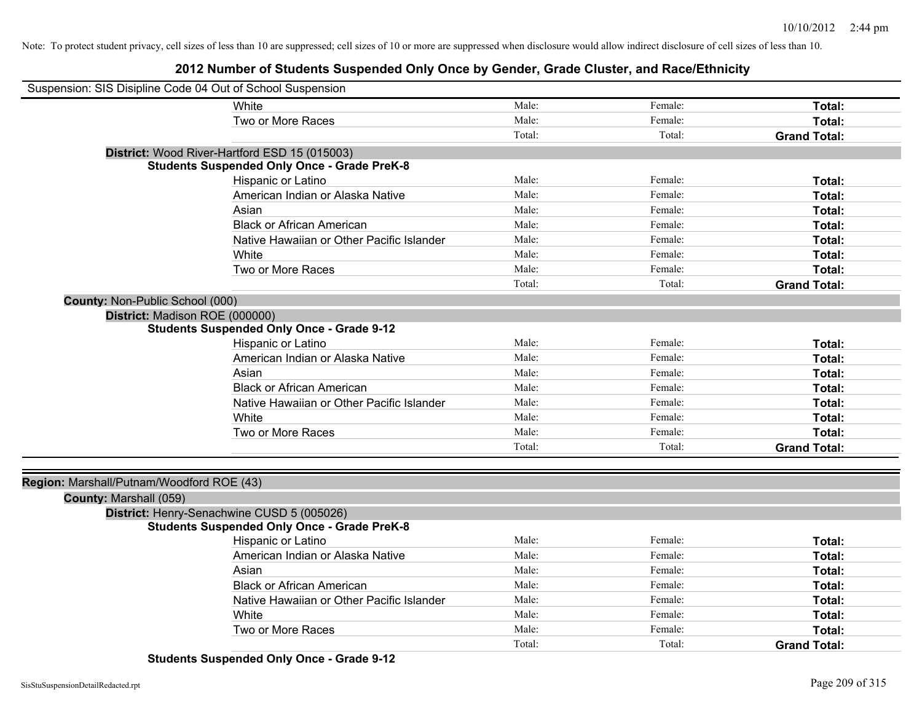| Suspension: SIS Disipline Code 04 Out of School Suspension |                                                    |        |         |                     |
|------------------------------------------------------------|----------------------------------------------------|--------|---------|---------------------|
|                                                            | White                                              | Male:  | Female: | Total:              |
|                                                            | Two or More Races                                  | Male:  | Female: | Total:              |
|                                                            |                                                    | Total: | Total:  | <b>Grand Total:</b> |
|                                                            | District: Wood River-Hartford ESD 15 (015003)      |        |         |                     |
|                                                            | <b>Students Suspended Only Once - Grade PreK-8</b> |        |         |                     |
|                                                            | Hispanic or Latino                                 | Male:  | Female: | Total:              |
|                                                            | American Indian or Alaska Native                   | Male:  | Female: | Total:              |
|                                                            | Asian                                              | Male:  | Female: | Total:              |
|                                                            | <b>Black or African American</b>                   | Male:  | Female: | Total:              |
|                                                            | Native Hawaiian or Other Pacific Islander          | Male:  | Female: | Total:              |
|                                                            | White                                              | Male:  | Female: | Total:              |
|                                                            | Two or More Races                                  | Male:  | Female: | Total:              |
|                                                            |                                                    | Total: | Total:  | <b>Grand Total:</b> |
| County: Non-Public School (000)                            |                                                    |        |         |                     |
| District: Madison ROE (000000)                             |                                                    |        |         |                     |
|                                                            | <b>Students Suspended Only Once - Grade 9-12</b>   |        |         |                     |
|                                                            | Hispanic or Latino                                 | Male:  | Female: | Total:              |
|                                                            | American Indian or Alaska Native                   | Male:  | Female: | Total:              |
|                                                            | Asian                                              | Male:  | Female: | Total:              |
|                                                            | <b>Black or African American</b>                   | Male:  | Female: | Total:              |
|                                                            | Native Hawaiian or Other Pacific Islander          | Male:  | Female: | Total:              |
|                                                            | White                                              | Male:  | Female: | Total:              |
|                                                            | Two or More Races                                  | Male:  | Female: | Total:              |
|                                                            |                                                    | Total: | Total:  | <b>Grand Total:</b> |
|                                                            |                                                    |        |         |                     |
| Region: Marshall/Putnam/Woodford ROE (43)                  |                                                    |        |         |                     |
| County: Marshall (059)                                     |                                                    |        |         |                     |
|                                                            | District: Henry-Senachwine CUSD 5 (005026)         |        |         |                     |
|                                                            | <b>Students Suspended Only Once - Grade PreK-8</b> |        |         |                     |
|                                                            | Hispanic or Latino                                 | Male:  | Female: | Total:              |
|                                                            | American Indian or Alaska Native                   | Male:  | Female: | Total:              |
|                                                            | Asian                                              | Male:  | Female: | Total:              |
|                                                            | <b>Black or African American</b>                   | Male:  | Female: | Total:              |
|                                                            | Native Hawaiian or Other Pacific Islander          | Male:  | Female: | Total:              |
|                                                            | White                                              | Male:  | Female: | Total:              |
|                                                            | Two or More Races                                  | Male:  | Female: | Total:              |
|                                                            |                                                    | Total: | Total:  | <b>Grand Total:</b> |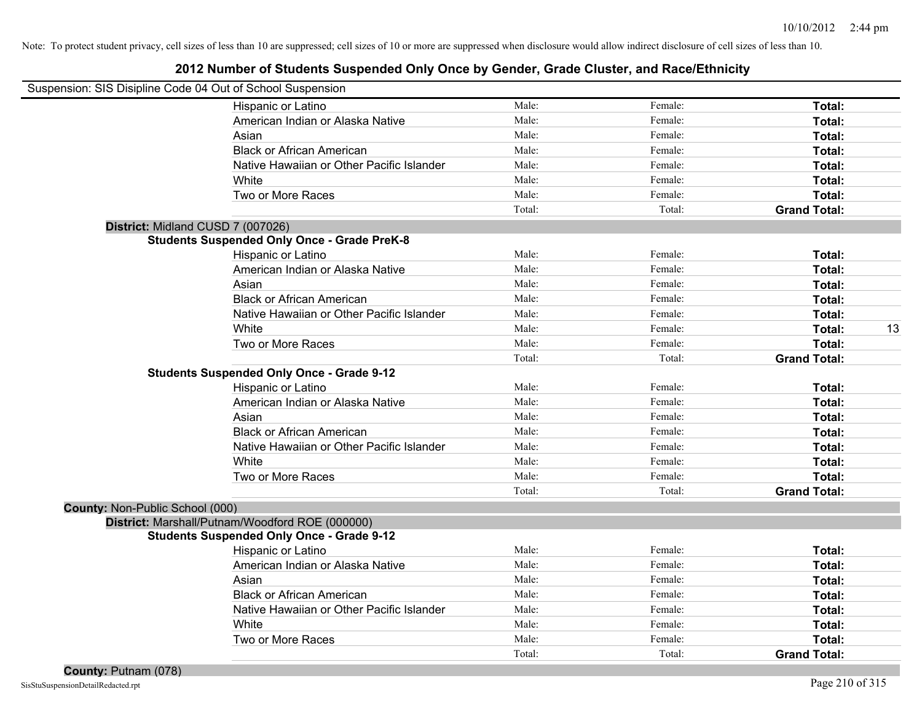|                                 | Suspension: SIS Disipline Code 04 Out of School Suspension |        |         |                     |    |
|---------------------------------|------------------------------------------------------------|--------|---------|---------------------|----|
|                                 | Hispanic or Latino                                         | Male:  | Female: | Total:              |    |
|                                 | American Indian or Alaska Native                           | Male:  | Female: | Total:              |    |
|                                 | Asian                                                      | Male:  | Female: | Total:              |    |
|                                 | <b>Black or African American</b>                           | Male:  | Female: | Total:              |    |
|                                 | Native Hawaiian or Other Pacific Islander                  | Male:  | Female: | Total:              |    |
|                                 | White                                                      | Male:  | Female: | Total:              |    |
|                                 | Two or More Races                                          | Male:  | Female: | Total:              |    |
|                                 |                                                            | Total: | Total:  | <b>Grand Total:</b> |    |
|                                 | District: Midland CUSD 7 (007026)                          |        |         |                     |    |
|                                 | <b>Students Suspended Only Once - Grade PreK-8</b>         |        |         |                     |    |
|                                 | Hispanic or Latino                                         | Male:  | Female: | Total:              |    |
|                                 | American Indian or Alaska Native                           | Male:  | Female: | Total:              |    |
|                                 | Asian                                                      | Male:  | Female: | Total:              |    |
|                                 | <b>Black or African American</b>                           | Male:  | Female: | Total:              |    |
|                                 | Native Hawaiian or Other Pacific Islander                  | Male:  | Female: | Total:              |    |
|                                 | White                                                      | Male:  | Female: | Total:              | 13 |
|                                 | Two or More Races                                          | Male:  | Female: | Total:              |    |
|                                 |                                                            | Total: | Total:  | <b>Grand Total:</b> |    |
|                                 | <b>Students Suspended Only Once - Grade 9-12</b>           |        |         |                     |    |
|                                 | Hispanic or Latino                                         | Male:  | Female: | Total:              |    |
|                                 | American Indian or Alaska Native                           | Male:  | Female: | Total:              |    |
|                                 | Asian                                                      | Male:  | Female: | Total:              |    |
|                                 | <b>Black or African American</b>                           | Male:  | Female: | Total:              |    |
|                                 | Native Hawaiian or Other Pacific Islander                  | Male:  | Female: | Total:              |    |
|                                 | White                                                      | Male:  | Female: | Total:              |    |
|                                 | Two or More Races                                          | Male:  | Female: | Total:              |    |
|                                 |                                                            | Total: | Total:  | <b>Grand Total:</b> |    |
| County: Non-Public School (000) |                                                            |        |         |                     |    |
|                                 | District: Marshall/Putnam/Woodford ROE (000000)            |        |         |                     |    |
|                                 | <b>Students Suspended Only Once - Grade 9-12</b>           |        |         |                     |    |
|                                 | Hispanic or Latino                                         | Male:  | Female: | Total:              |    |
|                                 | American Indian or Alaska Native                           | Male:  | Female: | Total:              |    |
|                                 | Asian                                                      | Male:  | Female: | Total:              |    |
|                                 | <b>Black or African American</b>                           | Male:  | Female: | Total:              |    |
|                                 | Native Hawaiian or Other Pacific Islander                  | Male:  | Female: | Total:              |    |
|                                 | White                                                      | Male:  | Female: | Total:              |    |
|                                 | Two or More Races                                          | Male:  | Female: | Total:              |    |
|                                 |                                                            | Total: | Total:  | <b>Grand Total:</b> |    |
|                                 |                                                            |        |         |                     |    |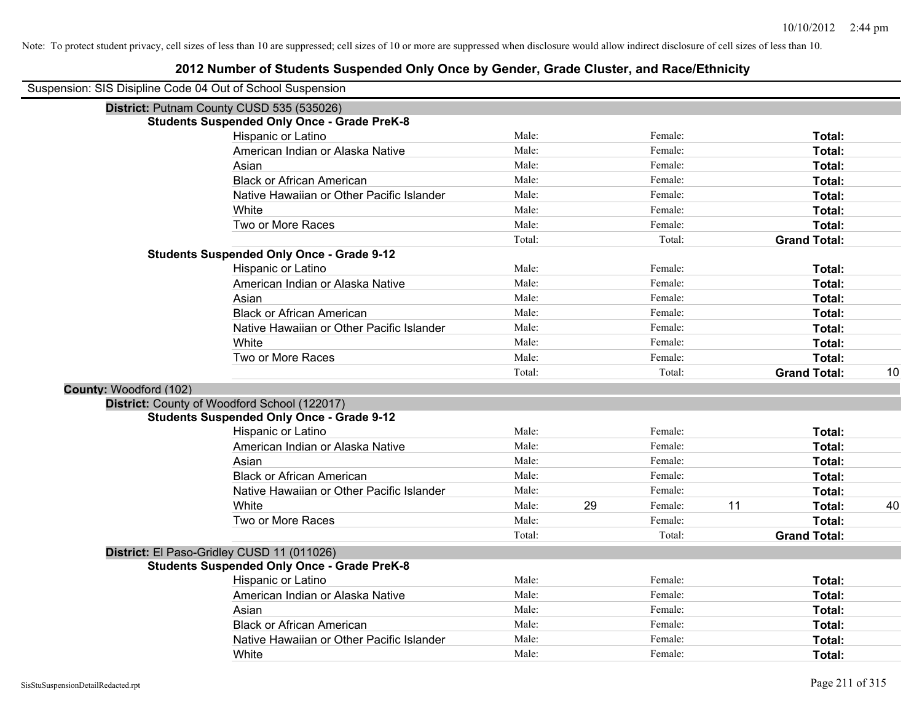| Suspension: SIS Disipline Code 04 Out of School Suspension |                                                    |        |    |         |    |                     |    |
|------------------------------------------------------------|----------------------------------------------------|--------|----|---------|----|---------------------|----|
|                                                            | District: Putnam County CUSD 535 (535026)          |        |    |         |    |                     |    |
|                                                            | <b>Students Suspended Only Once - Grade PreK-8</b> |        |    |         |    |                     |    |
|                                                            | Hispanic or Latino                                 | Male:  |    | Female: |    | Total:              |    |
|                                                            | American Indian or Alaska Native                   | Male:  |    | Female: |    | <b>Total:</b>       |    |
|                                                            | Asian                                              | Male:  |    | Female: |    | Total:              |    |
|                                                            | <b>Black or African American</b>                   | Male:  |    | Female: |    | Total:              |    |
|                                                            | Native Hawaiian or Other Pacific Islander          | Male:  |    | Female: |    | Total:              |    |
|                                                            | White                                              | Male:  |    | Female: |    | Total:              |    |
|                                                            | Two or More Races                                  | Male:  |    | Female: |    | Total:              |    |
|                                                            |                                                    | Total: |    | Total:  |    | <b>Grand Total:</b> |    |
|                                                            | <b>Students Suspended Only Once - Grade 9-12</b>   |        |    |         |    |                     |    |
|                                                            | Hispanic or Latino                                 | Male:  |    | Female: |    | Total:              |    |
|                                                            | American Indian or Alaska Native                   | Male:  |    | Female: |    | Total:              |    |
|                                                            | Asian                                              | Male:  |    | Female: |    | Total:              |    |
|                                                            | <b>Black or African American</b>                   | Male:  |    | Female: |    | Total:              |    |
|                                                            | Native Hawaiian or Other Pacific Islander          | Male:  |    | Female: |    | Total:              |    |
|                                                            | White                                              | Male:  |    | Female: |    | Total:              |    |
|                                                            | Two or More Races                                  | Male:  |    | Female: |    | Total:              |    |
|                                                            |                                                    | Total: |    | Total:  |    | <b>Grand Total:</b> | 10 |
| County: Woodford (102)                                     |                                                    |        |    |         |    |                     |    |
|                                                            | District: County of Woodford School (122017)       |        |    |         |    |                     |    |
|                                                            | <b>Students Suspended Only Once - Grade 9-12</b>   |        |    |         |    |                     |    |
|                                                            | Hispanic or Latino                                 | Male:  |    | Female: |    | Total:              |    |
|                                                            | American Indian or Alaska Native                   | Male:  |    | Female: |    | Total:              |    |
|                                                            | Asian                                              | Male:  |    | Female: |    | Total:              |    |
|                                                            | <b>Black or African American</b>                   | Male:  |    | Female: |    | Total:              |    |
|                                                            | Native Hawaiian or Other Pacific Islander          | Male:  |    | Female: |    | Total:              |    |
|                                                            | White                                              | Male:  | 29 | Female: | 11 | Total:              | 40 |
|                                                            | Two or More Races                                  | Male:  |    | Female: |    | Total:              |    |
|                                                            |                                                    | Total: |    | Total:  |    | <b>Grand Total:</b> |    |
|                                                            | District: El Paso-Gridley CUSD 11 (011026)         |        |    |         |    |                     |    |
|                                                            | <b>Students Suspended Only Once - Grade PreK-8</b> |        |    |         |    |                     |    |
|                                                            | Hispanic or Latino                                 | Male:  |    | Female: |    | Total:              |    |
|                                                            | American Indian or Alaska Native                   | Male:  |    | Female: |    | Total:              |    |
|                                                            | Asian                                              | Male:  |    | Female: |    | Total:              |    |
|                                                            | <b>Black or African American</b>                   | Male:  |    | Female: |    | Total:              |    |
|                                                            | Native Hawaiian or Other Pacific Islander          | Male:  |    | Female: |    | Total:              |    |
|                                                            | White                                              | Male:  |    | Female: |    | Total:              |    |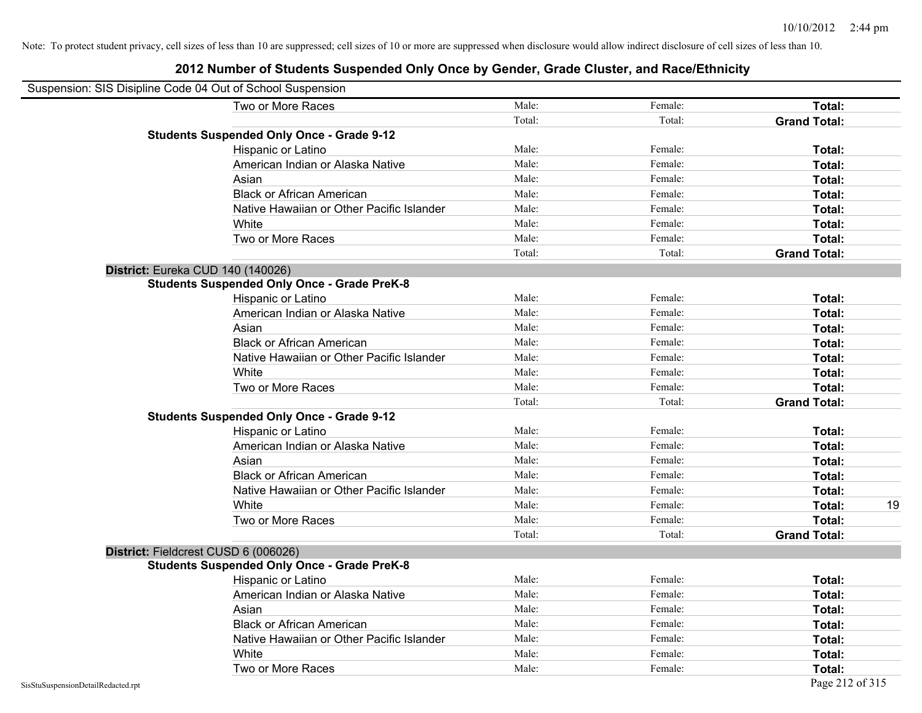| Suspension: SIS Disipline Code 04 Out of School Suspension |                                                    |        |         |                     |
|------------------------------------------------------------|----------------------------------------------------|--------|---------|---------------------|
|                                                            | Two or More Races                                  | Male:  | Female: | Total:              |
|                                                            |                                                    | Total: | Total:  | <b>Grand Total:</b> |
|                                                            | <b>Students Suspended Only Once - Grade 9-12</b>   |        |         |                     |
|                                                            | Hispanic or Latino                                 | Male:  | Female: | Total:              |
|                                                            | American Indian or Alaska Native                   | Male:  | Female: | <b>Total:</b>       |
|                                                            | Asian                                              | Male:  | Female: | <b>Total:</b>       |
|                                                            | <b>Black or African American</b>                   | Male:  | Female: | Total:              |
|                                                            | Native Hawaiian or Other Pacific Islander          | Male:  | Female: | Total:              |
|                                                            | White                                              | Male:  | Female: | Total:              |
|                                                            | Two or More Races                                  | Male:  | Female: | Total:              |
|                                                            |                                                    | Total: | Total:  | <b>Grand Total:</b> |
|                                                            | District: Eureka CUD 140 (140026)                  |        |         |                     |
|                                                            | <b>Students Suspended Only Once - Grade PreK-8</b> |        |         |                     |
|                                                            | Hispanic or Latino                                 | Male:  | Female: | <b>Total:</b>       |
|                                                            | American Indian or Alaska Native                   | Male:  | Female: | Total:              |
|                                                            | Asian                                              | Male:  | Female: | Total:              |
|                                                            | <b>Black or African American</b>                   | Male:  | Female: | Total:              |
|                                                            | Native Hawaiian or Other Pacific Islander          | Male:  | Female: | <b>Total:</b>       |
|                                                            | White                                              | Male:  | Female: | <b>Total:</b>       |
|                                                            | Two or More Races                                  | Male:  | Female: | Total:              |
|                                                            |                                                    | Total: | Total:  | <b>Grand Total:</b> |
|                                                            | <b>Students Suspended Only Once - Grade 9-12</b>   |        |         |                     |
|                                                            | Hispanic or Latino                                 | Male:  | Female: | Total:              |
|                                                            | American Indian or Alaska Native                   | Male:  | Female: | Total:              |
|                                                            | Asian                                              | Male:  | Female: | Total:              |
|                                                            | <b>Black or African American</b>                   | Male:  | Female: | Total:              |
|                                                            | Native Hawaiian or Other Pacific Islander          | Male:  | Female: | Total:              |
|                                                            | White                                              | Male:  | Female: | 19<br>Total:        |
|                                                            | Two or More Races                                  | Male:  | Female: | Total:              |
|                                                            |                                                    | Total: | Total:  | <b>Grand Total:</b> |
|                                                            | District: Fieldcrest CUSD 6 (006026)               |        |         |                     |
|                                                            | <b>Students Suspended Only Once - Grade PreK-8</b> |        |         |                     |
|                                                            | Hispanic or Latino                                 | Male:  | Female: | Total:              |
|                                                            | American Indian or Alaska Native                   | Male:  | Female: | Total:              |
|                                                            | Asian                                              | Male:  | Female: | Total:              |
|                                                            | <b>Black or African American</b>                   | Male:  | Female: | Total:              |
|                                                            | Native Hawaiian or Other Pacific Islander          | Male:  | Female: | Total:              |
|                                                            | White                                              | Male:  | Female: | <b>Total:</b>       |
|                                                            | Two or More Races                                  | Male:  | Female: | <b>Total:</b>       |
| SisStuSuspensionDetailRedacted.rpt                         |                                                    |        |         | Page 212 of 315     |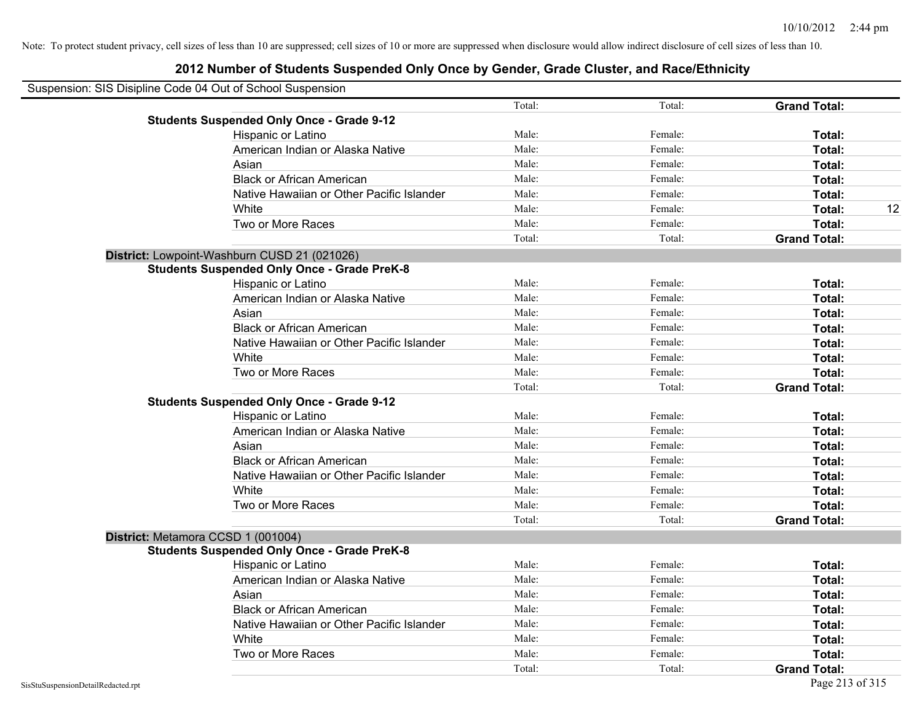| Suspension: SIS Disipline Code 04 Out of School Suspension |                                                    |        |         |                     |    |
|------------------------------------------------------------|----------------------------------------------------|--------|---------|---------------------|----|
|                                                            |                                                    | Total: | Total:  | <b>Grand Total:</b> |    |
|                                                            | <b>Students Suspended Only Once - Grade 9-12</b>   |        |         |                     |    |
|                                                            | Hispanic or Latino                                 | Male:  | Female: | Total:              |    |
|                                                            | American Indian or Alaska Native                   | Male:  | Female: | Total:              |    |
|                                                            | Asian                                              | Male:  | Female: | Total:              |    |
|                                                            | <b>Black or African American</b>                   | Male:  | Female: | Total:              |    |
|                                                            | Native Hawaiian or Other Pacific Islander          | Male:  | Female: | Total:              |    |
|                                                            | White                                              | Male:  | Female: | Total:              | 12 |
|                                                            | Two or More Races                                  | Male:  | Female: | Total:              |    |
|                                                            |                                                    | Total: | Total:  | <b>Grand Total:</b> |    |
|                                                            | District: Lowpoint-Washburn CUSD 21 (021026)       |        |         |                     |    |
|                                                            | <b>Students Suspended Only Once - Grade PreK-8</b> |        |         |                     |    |
|                                                            | Hispanic or Latino                                 | Male:  | Female: | Total:              |    |
|                                                            | American Indian or Alaska Native                   | Male:  | Female: | Total:              |    |
|                                                            | Asian                                              | Male:  | Female: | Total:              |    |
|                                                            | <b>Black or African American</b>                   | Male:  | Female: | Total:              |    |
|                                                            | Native Hawaiian or Other Pacific Islander          | Male:  | Female: | Total:              |    |
|                                                            | White                                              | Male:  | Female: | Total:              |    |
|                                                            | Two or More Races                                  | Male:  | Female: | Total:              |    |
|                                                            |                                                    | Total: | Total:  | <b>Grand Total:</b> |    |
|                                                            | <b>Students Suspended Only Once - Grade 9-12</b>   |        |         |                     |    |
|                                                            | Hispanic or Latino                                 | Male:  | Female: | Total:              |    |
|                                                            | American Indian or Alaska Native                   | Male:  | Female: | Total:              |    |
|                                                            | Asian                                              | Male:  | Female: | Total:              |    |
|                                                            | <b>Black or African American</b>                   | Male:  | Female: | Total:              |    |
|                                                            | Native Hawaiian or Other Pacific Islander          | Male:  | Female: | Total:              |    |
|                                                            | White                                              | Male:  | Female: | Total:              |    |
|                                                            | Two or More Races                                  | Male:  | Female: | Total:              |    |
|                                                            |                                                    | Total: | Total:  | <b>Grand Total:</b> |    |
|                                                            | District: Metamora CCSD 1 (001004)                 |        |         |                     |    |
|                                                            | <b>Students Suspended Only Once - Grade PreK-8</b> |        |         |                     |    |
|                                                            | Hispanic or Latino                                 | Male:  | Female: | Total:              |    |
|                                                            | American Indian or Alaska Native                   | Male:  | Female: | Total:              |    |
|                                                            | Asian                                              | Male:  | Female: | Total:              |    |
|                                                            | <b>Black or African American</b>                   | Male:  | Female: | Total:              |    |
|                                                            | Native Hawaiian or Other Pacific Islander          | Male:  | Female: | Total:              |    |
|                                                            | White                                              | Male:  | Female: | Total:              |    |
|                                                            | Two or More Races                                  | Male:  | Female: | Total:              |    |
|                                                            |                                                    | Total: | Total:  | <b>Grand Total:</b> |    |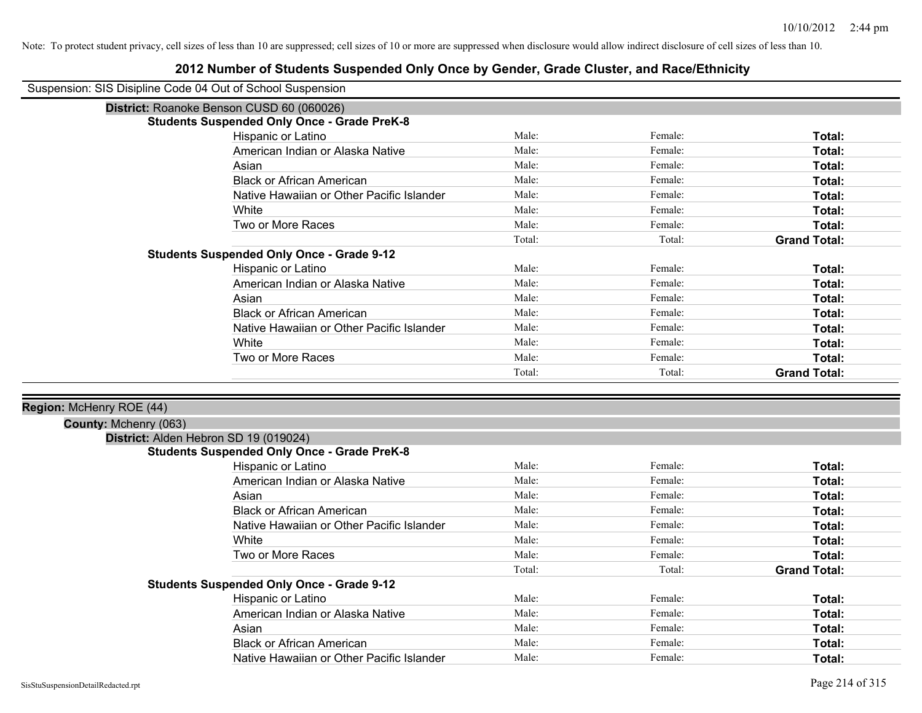| Suspension: SIS Disipline Code 04 Out of School Suspension |                                                    |        |         |                     |
|------------------------------------------------------------|----------------------------------------------------|--------|---------|---------------------|
|                                                            | District: Roanoke Benson CUSD 60 (060026)          |        |         |                     |
|                                                            | <b>Students Suspended Only Once - Grade PreK-8</b> |        |         |                     |
|                                                            | Hispanic or Latino                                 | Male:  | Female: | Total:              |
|                                                            | American Indian or Alaska Native                   | Male:  | Female: | Total:              |
|                                                            | Asian                                              | Male:  | Female: | Total:              |
|                                                            | <b>Black or African American</b>                   | Male:  | Female: | Total:              |
|                                                            | Native Hawaiian or Other Pacific Islander          | Male:  | Female: | Total:              |
|                                                            | White                                              | Male:  | Female: | Total:              |
|                                                            | Two or More Races                                  | Male:  | Female: | Total:              |
|                                                            |                                                    | Total: | Total:  | <b>Grand Total:</b> |
|                                                            | <b>Students Suspended Only Once - Grade 9-12</b>   |        |         |                     |
|                                                            | Hispanic or Latino                                 | Male:  | Female: | Total:              |
|                                                            | American Indian or Alaska Native                   | Male:  | Female: | Total:              |
|                                                            | Asian                                              | Male:  | Female: | Total:              |
|                                                            | <b>Black or African American</b>                   | Male:  | Female: | Total:              |
|                                                            | Native Hawaiian or Other Pacific Islander          | Male:  | Female: | <b>Total:</b>       |
|                                                            | White                                              | Male:  | Female: | Total:              |
|                                                            | Two or More Races                                  | Male:  | Female: | Total:              |
|                                                            |                                                    | Total: | Total:  | <b>Grand Total:</b> |
| Region: McHenry ROE (44)<br>County: Mchenry (063)          |                                                    |        |         |                     |
|                                                            | District: Alden Hebron SD 19 (019024)              |        |         |                     |
|                                                            | <b>Students Suspended Only Once - Grade PreK-8</b> |        |         |                     |
|                                                            | Hispanic or Latino                                 | Male:  | Female: | Total:              |
|                                                            | American Indian or Alaska Native                   | Male:  | Female: | Total:              |
|                                                            | Asian                                              | Male:  | Female: | Total:              |
|                                                            | <b>Black or African American</b>                   | Male:  | Female: | Total:              |
|                                                            | Native Hawaiian or Other Pacific Islander          | Male:  | Female: | Total:              |
|                                                            | White                                              | Male:  | Female: | Total:              |
|                                                            | Two or More Races                                  | Male:  | Female: | Total:              |
|                                                            |                                                    | Total: | Total:  | <b>Grand Total:</b> |
|                                                            | <b>Students Suspended Only Once - Grade 9-12</b>   |        |         |                     |
|                                                            | Hispanic or Latino                                 | Male:  | Female: | Total:              |
|                                                            | American Indian or Alaska Native                   | Male:  | Female: | Total:              |
|                                                            | Asian                                              | Male:  | Female: | Total:              |
|                                                            | <b>Black or African American</b>                   | Male:  | Female: | Total:              |
|                                                            | Native Hawaiian or Other Pacific Islander          | Male:  | Female: | Total:              |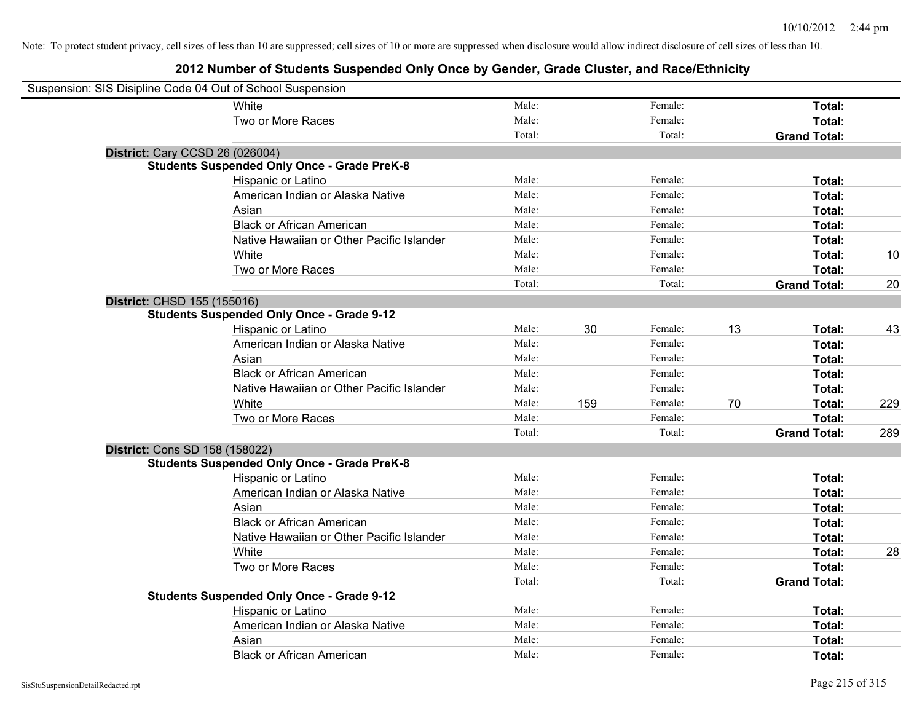| Suspension: SIS Disipline Code 04 Out of School Suspension |                                                    |        |     |         |    |                     |     |
|------------------------------------------------------------|----------------------------------------------------|--------|-----|---------|----|---------------------|-----|
|                                                            | White                                              | Male:  |     | Female: |    | Total:              |     |
|                                                            | Two or More Races                                  | Male:  |     | Female: |    | Total:              |     |
|                                                            |                                                    | Total: |     | Total:  |    | <b>Grand Total:</b> |     |
| <b>District: Cary CCSD 26 (026004)</b>                     |                                                    |        |     |         |    |                     |     |
|                                                            | <b>Students Suspended Only Once - Grade PreK-8</b> |        |     |         |    |                     |     |
|                                                            | Hispanic or Latino                                 | Male:  |     | Female: |    | Total:              |     |
|                                                            | American Indian or Alaska Native                   | Male:  |     | Female: |    | Total:              |     |
|                                                            | Asian                                              | Male:  |     | Female: |    | Total:              |     |
|                                                            | <b>Black or African American</b>                   | Male:  |     | Female: |    | Total:              |     |
|                                                            | Native Hawaiian or Other Pacific Islander          | Male:  |     | Female: |    | Total:              |     |
|                                                            | White                                              | Male:  |     | Female: |    | Total:              | 10  |
|                                                            | Two or More Races                                  | Male:  |     | Female: |    | Total:              |     |
|                                                            |                                                    | Total: |     | Total:  |    | <b>Grand Total:</b> | 20  |
| District: CHSD 155 (155016)                                |                                                    |        |     |         |    |                     |     |
|                                                            | <b>Students Suspended Only Once - Grade 9-12</b>   |        |     |         |    |                     |     |
|                                                            | Hispanic or Latino                                 | Male:  | 30  | Female: | 13 | Total:              | 43  |
|                                                            | American Indian or Alaska Native                   | Male:  |     | Female: |    | Total:              |     |
|                                                            | Asian                                              | Male:  |     | Female: |    | Total:              |     |
|                                                            | <b>Black or African American</b>                   | Male:  |     | Female: |    | Total:              |     |
|                                                            | Native Hawaiian or Other Pacific Islander          | Male:  |     | Female: |    | Total:              |     |
|                                                            | White                                              | Male:  | 159 | Female: | 70 | Total:              | 229 |
|                                                            | Two or More Races                                  | Male:  |     | Female: |    | Total:              |     |
|                                                            |                                                    | Total: |     | Total:  |    | <b>Grand Total:</b> | 289 |
| District: Cons SD 158 (158022)                             |                                                    |        |     |         |    |                     |     |
|                                                            | <b>Students Suspended Only Once - Grade PreK-8</b> |        |     |         |    |                     |     |
|                                                            | Hispanic or Latino                                 | Male:  |     | Female: |    | Total:              |     |
|                                                            | American Indian or Alaska Native                   | Male:  |     | Female: |    | Total:              |     |
|                                                            | Asian                                              | Male:  |     | Female: |    | Total:              |     |
|                                                            | <b>Black or African American</b>                   | Male:  |     | Female: |    | Total:              |     |
|                                                            | Native Hawaiian or Other Pacific Islander          | Male:  |     | Female: |    | Total:              |     |
|                                                            | White                                              | Male:  |     | Female: |    | Total:              | 28  |
|                                                            | Two or More Races                                  | Male:  |     | Female: |    | Total:              |     |
|                                                            |                                                    | Total: |     | Total:  |    | <b>Grand Total:</b> |     |
|                                                            | <b>Students Suspended Only Once - Grade 9-12</b>   |        |     |         |    |                     |     |
|                                                            | Hispanic or Latino                                 | Male:  |     | Female: |    | Total:              |     |
|                                                            | American Indian or Alaska Native                   | Male:  |     | Female: |    | Total:              |     |
|                                                            | Asian                                              | Male:  |     | Female: |    | Total:              |     |
|                                                            | <b>Black or African American</b>                   | Male:  |     | Female: |    | Total:              |     |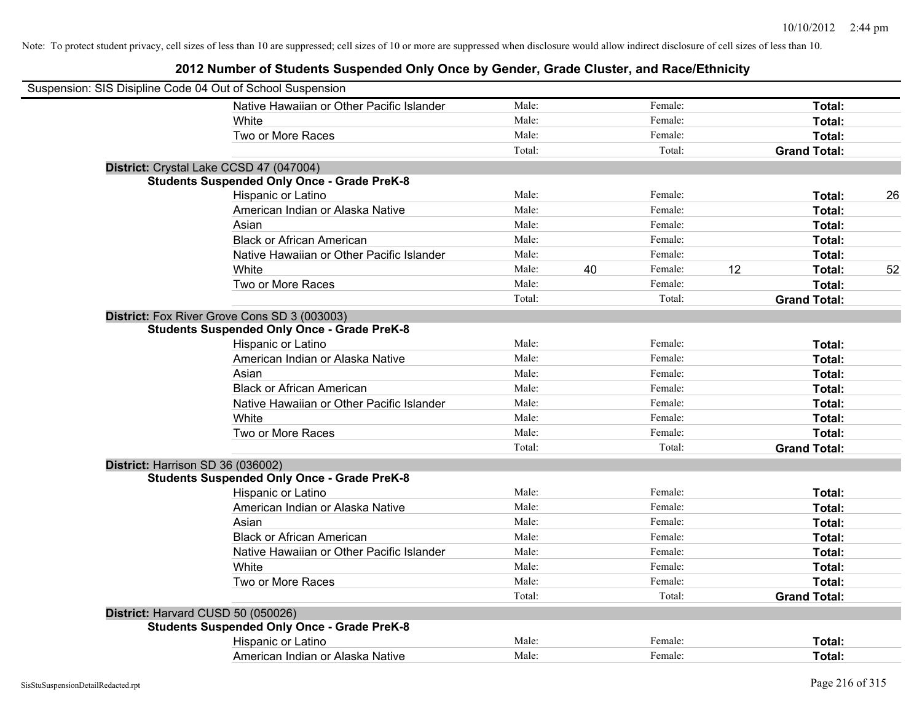| Suspension: SIS Disipline Code 04 Out of School Suspension |        |    |         |    |                     |    |
|------------------------------------------------------------|--------|----|---------|----|---------------------|----|
| Native Hawaiian or Other Pacific Islander                  | Male:  |    | Female: |    | Total:              |    |
| White                                                      | Male:  |    | Female: |    | Total:              |    |
| Two or More Races                                          | Male:  |    | Female: |    | Total:              |    |
|                                                            | Total: |    | Total:  |    | <b>Grand Total:</b> |    |
| District: Crystal Lake CCSD 47 (047004)                    |        |    |         |    |                     |    |
| <b>Students Suspended Only Once - Grade PreK-8</b>         |        |    |         |    |                     |    |
| Hispanic or Latino                                         | Male:  |    | Female: |    | Total:              | 26 |
| American Indian or Alaska Native                           | Male:  |    | Female: |    | Total:              |    |
| Asian                                                      | Male:  |    | Female: |    | Total:              |    |
| <b>Black or African American</b>                           | Male:  |    | Female: |    | Total:              |    |
| Native Hawaiian or Other Pacific Islander                  | Male:  |    | Female: |    | Total:              |    |
| White                                                      | Male:  | 40 | Female: | 12 | Total:              | 52 |
| Two or More Races                                          | Male:  |    | Female: |    | Total:              |    |
|                                                            | Total: |    | Total:  |    | <b>Grand Total:</b> |    |
| District: Fox River Grove Cons SD 3 (003003)               |        |    |         |    |                     |    |
| <b>Students Suspended Only Once - Grade PreK-8</b>         |        |    |         |    |                     |    |
| Hispanic or Latino                                         | Male:  |    | Female: |    | Total:              |    |
| American Indian or Alaska Native                           | Male:  |    | Female: |    | Total:              |    |
| Asian                                                      | Male:  |    | Female: |    | Total:              |    |
| <b>Black or African American</b>                           | Male:  |    | Female: |    | Total:              |    |
| Native Hawaiian or Other Pacific Islander                  | Male:  |    | Female: |    | Total:              |    |
| White                                                      | Male:  |    | Female: |    | Total:              |    |
| Two or More Races                                          | Male:  |    | Female: |    | Total:              |    |
|                                                            | Total: |    | Total:  |    | <b>Grand Total:</b> |    |
| District: Harrison SD 36 (036002)                          |        |    |         |    |                     |    |
| <b>Students Suspended Only Once - Grade PreK-8</b>         |        |    |         |    |                     |    |
| Hispanic or Latino                                         | Male:  |    | Female: |    | Total:              |    |
| American Indian or Alaska Native                           | Male:  |    | Female: |    | Total:              |    |
| Asian                                                      | Male:  |    | Female: |    | Total:              |    |
| <b>Black or African American</b>                           | Male:  |    | Female: |    | Total:              |    |
| Native Hawaiian or Other Pacific Islander                  | Male:  |    | Female: |    | Total:              |    |
| White                                                      | Male:  |    | Female: |    | Total:              |    |
| Two or More Races                                          | Male:  |    | Female: |    | Total:              |    |
|                                                            | Total: |    | Total:  |    | <b>Grand Total:</b> |    |
| District: Harvard CUSD 50 (050026)                         |        |    |         |    |                     |    |
| <b>Students Suspended Only Once - Grade PreK-8</b>         |        |    |         |    |                     |    |
| Hispanic or Latino                                         | Male:  |    | Female: |    | Total:              |    |
| American Indian or Alaska Native                           | Male:  |    | Female: |    | Total:              |    |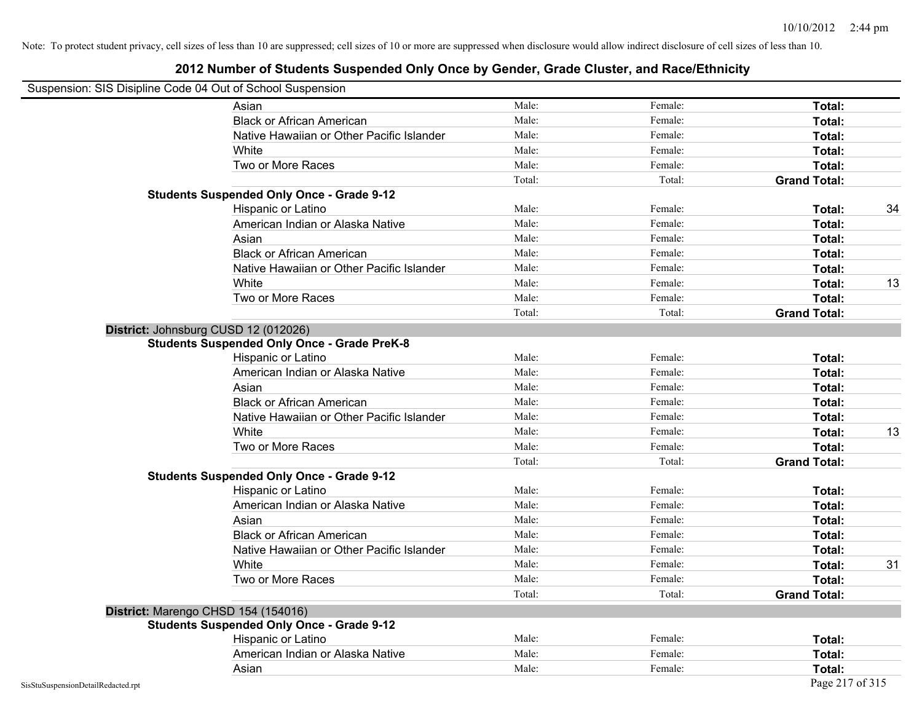#### **2012 Number of Students Suspended Only Once by Gender, Grade Cluster, and Race/Ethnicity**

### Suspension: SIS Disipline Code 04 Out of School Suspension

| ousperision. Old Disiplifie Coue 04 Out of Scribol Susperision | Asian                                              | Male:  | Female: | Total:              |    |
|----------------------------------------------------------------|----------------------------------------------------|--------|---------|---------------------|----|
|                                                                | <b>Black or African American</b>                   | Male:  | Female: | Total:              |    |
|                                                                | Native Hawaiian or Other Pacific Islander          | Male:  | Female: | Total:              |    |
|                                                                | White                                              | Male:  | Female: | Total:              |    |
|                                                                | Two or More Races                                  | Male:  | Female: | Total:              |    |
|                                                                |                                                    | Total: | Total:  | <b>Grand Total:</b> |    |
|                                                                | <b>Students Suspended Only Once - Grade 9-12</b>   |        |         |                     |    |
|                                                                | Hispanic or Latino                                 | Male:  | Female: | Total:              | 34 |
|                                                                | American Indian or Alaska Native                   | Male:  | Female: | Total:              |    |
|                                                                | Asian                                              | Male:  | Female: | Total:              |    |
|                                                                | <b>Black or African American</b>                   | Male:  | Female: | Total:              |    |
|                                                                | Native Hawaiian or Other Pacific Islander          | Male:  | Female: | Total:              |    |
|                                                                | White                                              | Male:  | Female: | Total:              | 13 |
|                                                                | Two or More Races                                  | Male:  | Female: | Total:              |    |
|                                                                |                                                    | Total: | Total:  | <b>Grand Total:</b> |    |
|                                                                | District: Johnsburg CUSD 12 (012026)               |        |         |                     |    |
|                                                                | <b>Students Suspended Only Once - Grade PreK-8</b> |        |         |                     |    |
|                                                                | Hispanic or Latino                                 | Male:  | Female: | Total:              |    |
|                                                                | American Indian or Alaska Native                   | Male:  | Female: | Total:              |    |
|                                                                | Asian                                              | Male:  | Female: | Total:              |    |
|                                                                | <b>Black or African American</b>                   | Male:  | Female: | Total:              |    |
|                                                                | Native Hawaiian or Other Pacific Islander          | Male:  | Female: | Total:              |    |
|                                                                | White                                              | Male:  | Female: | Total:              | 13 |
|                                                                | Two or More Races                                  | Male:  | Female: | Total:              |    |
|                                                                |                                                    | Total: | Total:  | <b>Grand Total:</b> |    |
|                                                                | <b>Students Suspended Only Once - Grade 9-12</b>   |        |         |                     |    |
|                                                                | Hispanic or Latino                                 | Male:  | Female: | Total:              |    |
|                                                                | American Indian or Alaska Native                   | Male:  | Female: | Total:              |    |
|                                                                | Asian                                              | Male:  | Female: | Total:              |    |
|                                                                | <b>Black or African American</b>                   | Male:  | Female: | Total:              |    |
|                                                                | Native Hawaiian or Other Pacific Islander          | Male:  | Female: | Total:              |    |
|                                                                | White                                              | Male:  | Female: | Total:              | 31 |
|                                                                | Two or More Races                                  | Male:  | Female: | Total:              |    |
|                                                                |                                                    | Total: | Total:  | <b>Grand Total:</b> |    |
|                                                                | District: Marengo CHSD 154 (154016)                |        |         |                     |    |
|                                                                | <b>Students Suspended Only Once - Grade 9-12</b>   |        |         |                     |    |
|                                                                | Hispanic or Latino                                 | Male:  | Female: | Total:              |    |
|                                                                | American Indian or Alaska Native                   | Male:  | Female: | Total:              |    |
|                                                                | Asian                                              | Male:  | Female: | Total:              |    |
| SisStuSuspensionDetailRedacted.rpt                             |                                                    |        |         | Page 217 of 315     |    |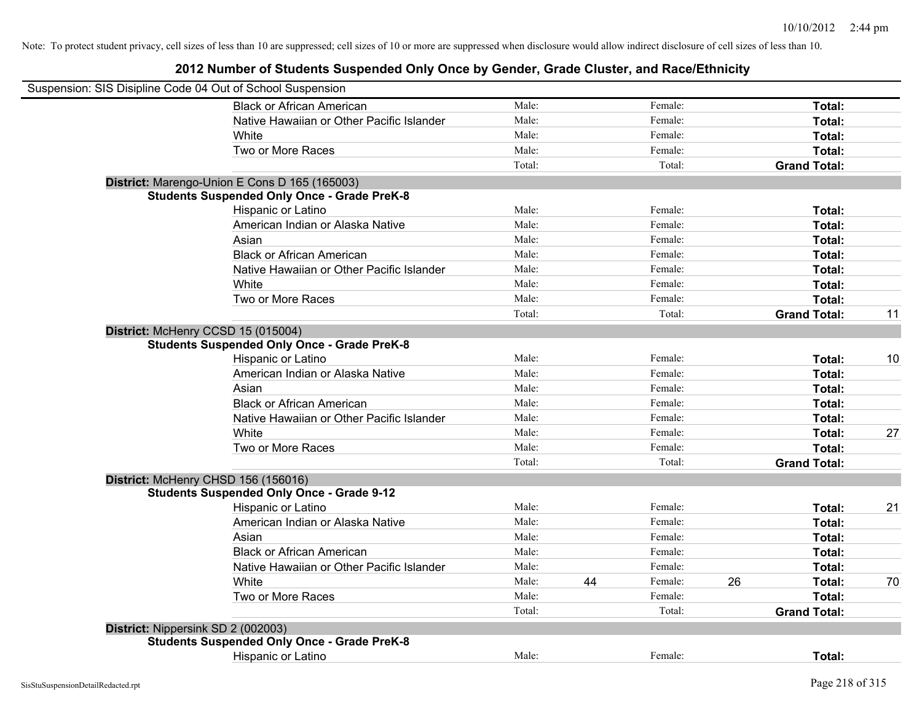|                                    | Suspension: SIS Disipline Code 04 Out of School Suspension                                          |        |    |         |    |                     |    |
|------------------------------------|-----------------------------------------------------------------------------------------------------|--------|----|---------|----|---------------------|----|
|                                    | <b>Black or African American</b>                                                                    | Male:  |    | Female: |    | Total:              |    |
|                                    | Native Hawaiian or Other Pacific Islander                                                           | Male:  |    | Female: |    | Total:              |    |
|                                    | White                                                                                               | Male:  |    | Female: |    | Total:              |    |
|                                    | Two or More Races                                                                                   | Male:  |    | Female: |    | Total:              |    |
|                                    |                                                                                                     | Total: |    | Total:  |    | <b>Grand Total:</b> |    |
|                                    |                                                                                                     |        |    |         |    |                     |    |
|                                    | District: Marengo-Union E Cons D 165 (165003)<br><b>Students Suspended Only Once - Grade PreK-8</b> |        |    |         |    |                     |    |
|                                    | Hispanic or Latino                                                                                  | Male:  |    | Female: |    | Total:              |    |
|                                    | American Indian or Alaska Native                                                                    | Male:  |    | Female: |    | Total:              |    |
|                                    | Asian                                                                                               | Male:  |    | Female: |    | Total:              |    |
|                                    | <b>Black or African American</b>                                                                    | Male:  |    | Female: |    | Total:              |    |
|                                    | Native Hawaiian or Other Pacific Islander                                                           | Male:  |    | Female: |    | Total:              |    |
|                                    | White                                                                                               | Male:  |    | Female: |    | Total:              |    |
|                                    | Two or More Races                                                                                   | Male:  |    | Female: |    | Total:              |    |
|                                    |                                                                                                     | Total: |    | Total:  |    | <b>Grand Total:</b> | 11 |
|                                    |                                                                                                     |        |    |         |    |                     |    |
|                                    | District: McHenry CCSD 15 (015004)<br><b>Students Suspended Only Once - Grade PreK-8</b>            |        |    |         |    |                     |    |
|                                    | Hispanic or Latino                                                                                  | Male:  |    | Female: |    | Total:              | 10 |
|                                    | American Indian or Alaska Native                                                                    | Male:  |    | Female: |    | Total:              |    |
|                                    | Asian                                                                                               | Male:  |    | Female: |    | Total:              |    |
|                                    | <b>Black or African American</b>                                                                    | Male:  |    | Female: |    | Total:              |    |
|                                    | Native Hawaiian or Other Pacific Islander                                                           | Male:  |    | Female: |    | Total:              |    |
|                                    | White                                                                                               | Male:  |    | Female: |    | Total:              | 27 |
|                                    | Two or More Races                                                                                   | Male:  |    | Female: |    | Total:              |    |
|                                    |                                                                                                     | Total: |    | Total:  |    | <b>Grand Total:</b> |    |
|                                    |                                                                                                     |        |    |         |    |                     |    |
|                                    | District: McHenry CHSD 156 (156016)<br><b>Students Suspended Only Once - Grade 9-12</b>             |        |    |         |    |                     |    |
|                                    | Hispanic or Latino                                                                                  | Male:  |    | Female: |    | Total:              | 21 |
|                                    | American Indian or Alaska Native                                                                    | Male:  |    | Female: |    | Total:              |    |
|                                    | Asian                                                                                               | Male:  |    | Female: |    | Total:              |    |
|                                    | <b>Black or African American</b>                                                                    | Male:  |    | Female: |    | Total:              |    |
|                                    | Native Hawaiian or Other Pacific Islander                                                           | Male:  |    | Female: |    | Total:              |    |
|                                    | White                                                                                               | Male:  | 44 | Female: | 26 | Total:              | 70 |
|                                    | Two or More Races                                                                                   | Male:  |    | Female: |    | Total:              |    |
|                                    |                                                                                                     | Total: |    | Total:  |    |                     |    |
|                                    |                                                                                                     |        |    |         |    | <b>Grand Total:</b> |    |
| District: Nippersink SD 2 (002003) |                                                                                                     |        |    |         |    |                     |    |
|                                    | <b>Students Suspended Only Once - Grade PreK-8</b><br><b>Hispanic or Latino</b>                     | Male:  |    | Female: |    | Total:              |    |
|                                    |                                                                                                     |        |    |         |    |                     |    |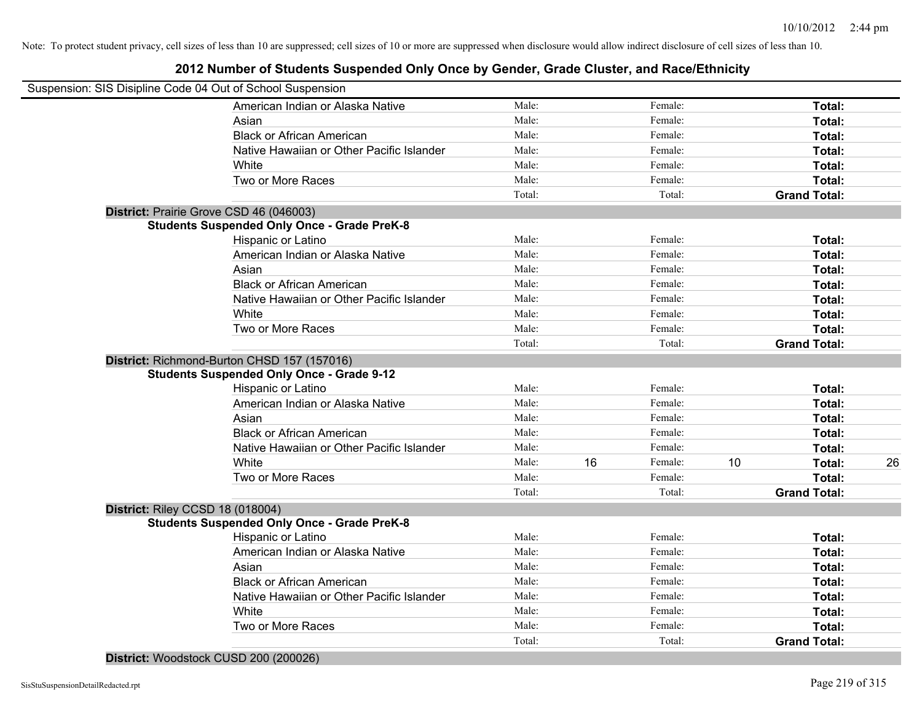#### **2012 Number of Students Suspended Only Once by Gender, Grade Cluster, and Race/Ethnicity**

|                                  | Suspension: SIS Disipline Code 04 Out of School Suspension |        |    |         |    |                     |    |
|----------------------------------|------------------------------------------------------------|--------|----|---------|----|---------------------|----|
|                                  | American Indian or Alaska Native                           | Male:  |    | Female: |    | Total:              |    |
|                                  | Asian                                                      | Male:  |    | Female: |    | Total:              |    |
|                                  | <b>Black or African American</b>                           | Male:  |    | Female: |    | Total:              |    |
|                                  | Native Hawaiian or Other Pacific Islander                  | Male:  |    | Female: |    | Total:              |    |
|                                  | White                                                      | Male:  |    | Female: |    | Total:              |    |
|                                  | Two or More Races                                          | Male:  |    | Female: |    | Total:              |    |
|                                  |                                                            | Total: |    | Total:  |    | <b>Grand Total:</b> |    |
|                                  | District: Prairie Grove CSD 46 (046003)                    |        |    |         |    |                     |    |
|                                  | <b>Students Suspended Only Once - Grade PreK-8</b>         |        |    |         |    |                     |    |
|                                  | Hispanic or Latino                                         | Male:  |    | Female: |    | Total:              |    |
|                                  | American Indian or Alaska Native                           | Male:  |    | Female: |    | Total:              |    |
|                                  | Asian                                                      | Male:  |    | Female: |    | Total:              |    |
|                                  | <b>Black or African American</b>                           | Male:  |    | Female: |    | Total:              |    |
|                                  | Native Hawaiian or Other Pacific Islander                  | Male:  |    | Female: |    | Total:              |    |
|                                  | White                                                      | Male:  |    | Female: |    | Total:              |    |
|                                  | Two or More Races                                          | Male:  |    | Female: |    | Total:              |    |
|                                  |                                                            | Total: |    | Total:  |    | <b>Grand Total:</b> |    |
|                                  | District: Richmond-Burton CHSD 157 (157016)                |        |    |         |    |                     |    |
|                                  | <b>Students Suspended Only Once - Grade 9-12</b>           |        |    |         |    |                     |    |
|                                  | Hispanic or Latino                                         | Male:  |    | Female: |    | Total:              |    |
|                                  | American Indian or Alaska Native                           | Male:  |    | Female: |    | Total:              |    |
|                                  | Asian                                                      | Male:  |    | Female: |    | Total:              |    |
|                                  | <b>Black or African American</b>                           | Male:  |    | Female: |    | Total:              |    |
|                                  | Native Hawaiian or Other Pacific Islander                  | Male:  |    | Female: |    | Total:              |    |
|                                  | White                                                      | Male:  | 16 | Female: | 10 | Total:              | 26 |
|                                  | Two or More Races                                          | Male:  |    | Female: |    | Total:              |    |
|                                  |                                                            | Total: |    | Total:  |    | <b>Grand Total:</b> |    |
| District: Riley CCSD 18 (018004) |                                                            |        |    |         |    |                     |    |
|                                  | <b>Students Suspended Only Once - Grade PreK-8</b>         |        |    |         |    |                     |    |
|                                  | Hispanic or Latino                                         | Male:  |    | Female: |    | Total:              |    |
|                                  | American Indian or Alaska Native                           | Male:  |    | Female: |    | Total:              |    |
|                                  | Asian                                                      | Male:  |    | Female: |    | Total:              |    |
|                                  | <b>Black or African American</b>                           | Male:  |    | Female: |    | Total:              |    |
|                                  | Native Hawaiian or Other Pacific Islander                  | Male:  |    | Female: |    | Total:              |    |
|                                  | White                                                      | Male:  |    | Female: |    | Total:              |    |
|                                  | Two or More Races                                          | Male:  |    | Female: |    | Total:              |    |
|                                  |                                                            | Total: |    | Total:  |    | <b>Grand Total:</b> |    |
|                                  |                                                            |        |    |         |    |                     |    |

**District:** Woodstock CUSD 200 (200026)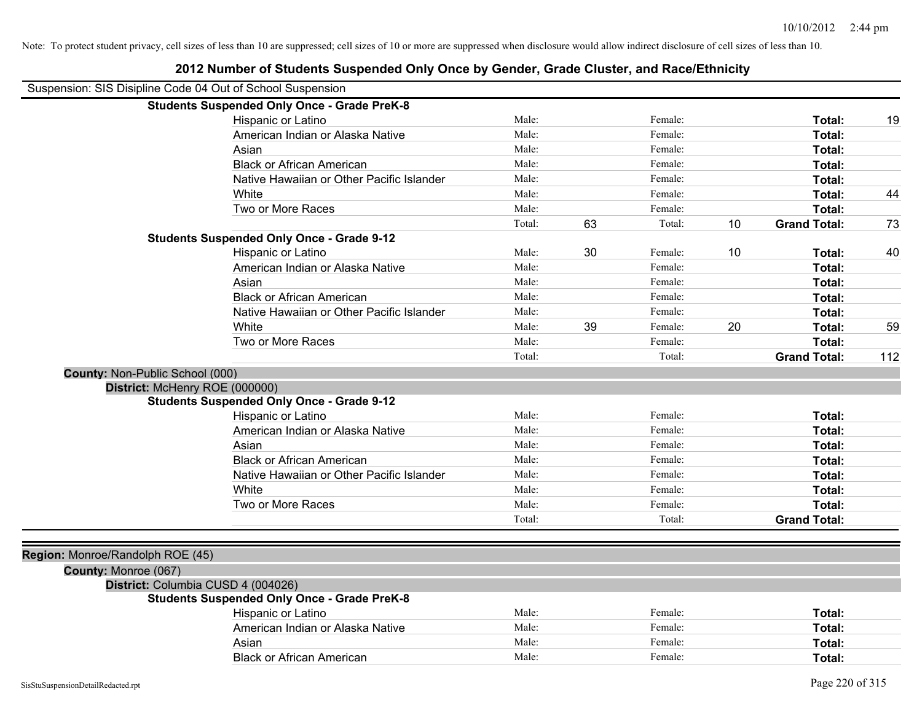|                                  | Suspension: SIS Disipline Code 04 Out of School Suspension |        |    |         |    |                     |     |
|----------------------------------|------------------------------------------------------------|--------|----|---------|----|---------------------|-----|
|                                  | <b>Students Suspended Only Once - Grade PreK-8</b>         |        |    |         |    |                     |     |
|                                  | Hispanic or Latino                                         | Male:  |    | Female: |    | Total:              | 19  |
|                                  | American Indian or Alaska Native                           | Male:  |    | Female: |    | Total:              |     |
|                                  | Asian                                                      | Male:  |    | Female: |    | Total:              |     |
|                                  | <b>Black or African American</b>                           | Male:  |    | Female: |    | Total:              |     |
|                                  | Native Hawaiian or Other Pacific Islander                  | Male:  |    | Female: |    | Total:              |     |
|                                  | White                                                      | Male:  |    | Female: |    | Total:              | 44  |
|                                  | Two or More Races                                          | Male:  |    | Female: |    | Total:              |     |
|                                  |                                                            | Total: | 63 | Total:  | 10 | <b>Grand Total:</b> | 73  |
|                                  | <b>Students Suspended Only Once - Grade 9-12</b>           |        |    |         |    |                     |     |
|                                  | Hispanic or Latino                                         | Male:  | 30 | Female: | 10 | Total:              | 40  |
|                                  | American Indian or Alaska Native                           | Male:  |    | Female: |    | Total:              |     |
|                                  | Asian                                                      | Male:  |    | Female: |    | Total:              |     |
|                                  | <b>Black or African American</b>                           | Male:  |    | Female: |    | Total:              |     |
|                                  | Native Hawaiian or Other Pacific Islander                  | Male:  |    | Female: |    | Total:              |     |
|                                  | White                                                      | Male:  | 39 | Female: | 20 | Total:              | 59  |
|                                  | Two or More Races                                          | Male:  |    | Female: |    | Total:              |     |
|                                  |                                                            | Total: |    | Total:  |    | <b>Grand Total:</b> | 112 |
| County: Non-Public School (000)  |                                                            |        |    |         |    |                     |     |
|                                  | District: McHenry ROE (000000)                             |        |    |         |    |                     |     |
|                                  | <b>Students Suspended Only Once - Grade 9-12</b>           |        |    |         |    |                     |     |
|                                  | Hispanic or Latino                                         | Male:  |    | Female: |    | Total:              |     |
|                                  | American Indian or Alaska Native                           | Male:  |    | Female: |    | Total:              |     |
|                                  | Asian                                                      | Male:  |    | Female: |    | Total:              |     |
|                                  | <b>Black or African American</b>                           | Male:  |    | Female: |    | Total:              |     |
|                                  | Native Hawaiian or Other Pacific Islander                  | Male:  |    | Female: |    | Total:              |     |
|                                  | White                                                      | Male:  |    | Female: |    | Total:              |     |
|                                  | Two or More Races                                          | Male:  |    | Female: |    | Total:              |     |
|                                  |                                                            | Total: |    | Total:  |    | <b>Grand Total:</b> |     |
|                                  |                                                            |        |    |         |    |                     |     |
| Region: Monroe/Randolph ROE (45) |                                                            |        |    |         |    |                     |     |
| County: Monroe (067)             |                                                            |        |    |         |    |                     |     |
|                                  | District: Columbia CUSD 4 (004026)                         |        |    |         |    |                     |     |
|                                  | <b>Students Suspended Only Once - Grade PreK-8</b>         |        |    |         |    |                     |     |
|                                  | Hispanic or Latino                                         | Male:  |    | Female: |    | Total:              |     |
|                                  | American Indian or Alaska Native                           | Male:  |    | Female: |    | Total:              |     |
|                                  | Asian                                                      | Male:  |    | Female: |    | Total:              |     |
|                                  | <b>Black or African American</b>                           | Male:  |    | Female: |    | Total:              |     |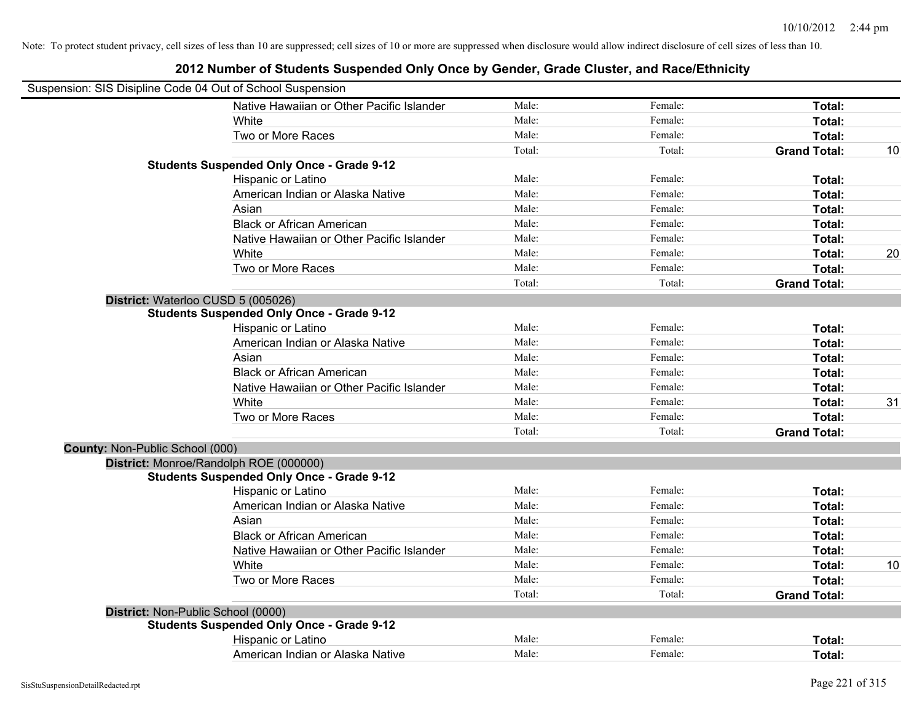|                                        | Suspension: SIS Disipline Code 04 Out of School Suspension |        |         |                     |    |
|----------------------------------------|------------------------------------------------------------|--------|---------|---------------------|----|
|                                        | Native Hawaiian or Other Pacific Islander                  | Male:  | Female: | Total:              |    |
|                                        | <b>White</b>                                               | Male:  | Female: | Total:              |    |
|                                        | Two or More Races                                          | Male:  | Female: | Total:              |    |
|                                        |                                                            | Total: | Total:  | <b>Grand Total:</b> | 10 |
|                                        | <b>Students Suspended Only Once - Grade 9-12</b>           |        |         |                     |    |
|                                        | Hispanic or Latino                                         | Male:  | Female: | Total:              |    |
|                                        | American Indian or Alaska Native                           | Male:  | Female: | Total:              |    |
|                                        | Asian                                                      | Male:  | Female: | Total:              |    |
|                                        | <b>Black or African American</b>                           | Male:  | Female: | Total:              |    |
|                                        | Native Hawaiian or Other Pacific Islander                  | Male:  | Female: | Total:              |    |
|                                        | White                                                      | Male:  | Female: | Total:              | 20 |
|                                        | Two or More Races                                          | Male:  | Female: | Total:              |    |
|                                        |                                                            | Total: | Total:  | <b>Grand Total:</b> |    |
|                                        | District: Waterloo CUSD 5 (005026)                         |        |         |                     |    |
|                                        | <b>Students Suspended Only Once - Grade 9-12</b>           |        |         |                     |    |
|                                        | Hispanic or Latino                                         | Male:  | Female: | Total:              |    |
|                                        | American Indian or Alaska Native                           | Male:  | Female: | Total:              |    |
|                                        | Asian                                                      | Male:  | Female: | Total:              |    |
|                                        | <b>Black or African American</b>                           | Male:  | Female: | Total:              |    |
|                                        | Native Hawaiian or Other Pacific Islander                  | Male:  | Female: | Total:              |    |
|                                        | White                                                      | Male:  | Female: | Total:              | 31 |
|                                        | Two or More Races                                          | Male:  | Female: | Total:              |    |
|                                        |                                                            | Total: | Total:  | <b>Grand Total:</b> |    |
| <b>County: Non-Public School (000)</b> |                                                            |        |         |                     |    |
|                                        | District: Monroe/Randolph ROE (000000)                     |        |         |                     |    |
|                                        | <b>Students Suspended Only Once - Grade 9-12</b>           |        |         |                     |    |
|                                        | Hispanic or Latino                                         | Male:  | Female: | Total:              |    |
|                                        | American Indian or Alaska Native                           | Male:  | Female: | Total:              |    |
|                                        | Asian                                                      | Male:  | Female: | Total:              |    |
|                                        | <b>Black or African American</b>                           | Male:  | Female: | Total:              |    |
|                                        | Native Hawaiian or Other Pacific Islander                  | Male:  | Female: | Total:              |    |
|                                        | White                                                      | Male:  | Female: | Total:              | 10 |
|                                        | Two or More Races                                          | Male:  | Female: | Total:              |    |
|                                        |                                                            | Total: | Total:  | <b>Grand Total:</b> |    |
|                                        | District: Non-Public School (0000)                         |        |         |                     |    |
|                                        | <b>Students Suspended Only Once - Grade 9-12</b>           |        |         |                     |    |
|                                        | Hispanic or Latino                                         | Male:  | Female: | Total:              |    |
|                                        | American Indian or Alaska Native                           | Male:  | Female: | Total:              |    |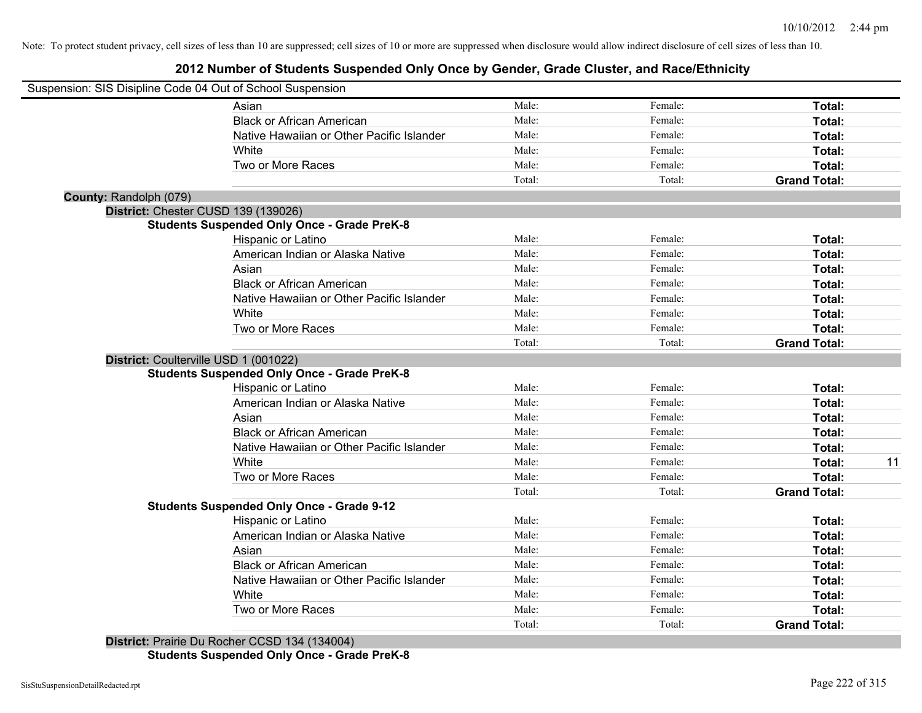#### **2012 Number of Students Suspended Only Once by Gender, Grade Cluster, and Race/Ethnicity**

|                        | Suspension: SIS Disipline Code 04 Out of School Suspension |        |         |                     |
|------------------------|------------------------------------------------------------|--------|---------|---------------------|
|                        | Asian                                                      | Male:  | Female: | Total:              |
|                        | <b>Black or African American</b>                           | Male:  | Female: | Total:              |
|                        | Native Hawaiian or Other Pacific Islander                  | Male:  | Female: | Total:              |
|                        | White                                                      | Male:  | Female: | Total:              |
|                        | Two or More Races                                          | Male:  | Female: | Total:              |
|                        |                                                            | Total: | Total:  | <b>Grand Total:</b> |
| County: Randolph (079) |                                                            |        |         |                     |
|                        | District: Chester CUSD 139 (139026)                        |        |         |                     |
|                        | <b>Students Suspended Only Once - Grade PreK-8</b>         |        |         |                     |
|                        | Hispanic or Latino                                         | Male:  | Female: | Total:              |
|                        | American Indian or Alaska Native                           | Male:  | Female: | Total:              |
|                        | Asian                                                      | Male:  | Female: | Total:              |
|                        | <b>Black or African American</b>                           | Male:  | Female: | Total:              |
|                        | Native Hawaiian or Other Pacific Islander                  | Male:  | Female: | Total:              |
|                        | White                                                      | Male:  | Female: | Total:              |
|                        | Two or More Races                                          | Male:  | Female: | Total:              |
|                        |                                                            | Total: | Total:  | <b>Grand Total:</b> |
|                        | District: Coulterville USD 1 (001022)                      |        |         |                     |
|                        | <b>Students Suspended Only Once - Grade PreK-8</b>         |        |         |                     |
|                        | Hispanic or Latino                                         | Male:  | Female: | Total:              |
|                        | American Indian or Alaska Native                           | Male:  | Female: | Total:              |
|                        | Asian                                                      | Male:  | Female: | Total:              |
|                        | <b>Black or African American</b>                           | Male:  | Female: | Total:              |
|                        | Native Hawaiian or Other Pacific Islander                  | Male:  | Female: | Total:              |
|                        | White                                                      | Male:  | Female: | Total:              |
|                        | Two or More Races                                          | Male:  | Female: | <b>Total:</b>       |
|                        |                                                            | Total: | Total:  | <b>Grand Total:</b> |
|                        | <b>Students Suspended Only Once - Grade 9-12</b>           |        |         |                     |
|                        | Hispanic or Latino                                         | Male:  | Female: | Total:              |
|                        | American Indian or Alaska Native                           | Male:  | Female: | Total:              |
|                        | Asian                                                      | Male:  | Female: | Total:              |
|                        | <b>Black or African American</b>                           | Male:  | Female: | Total:              |
|                        | Native Hawaiian or Other Pacific Islander                  | Male:  | Female: | Total:              |
|                        | White                                                      | Male:  | Female: | Total:              |
|                        | Two or More Races                                          | Male:  | Female: | <b>Total:</b>       |
|                        |                                                            | Total: | Total:  | <b>Grand Total:</b> |

**Students Suspended Only Once - Grade PreK-8**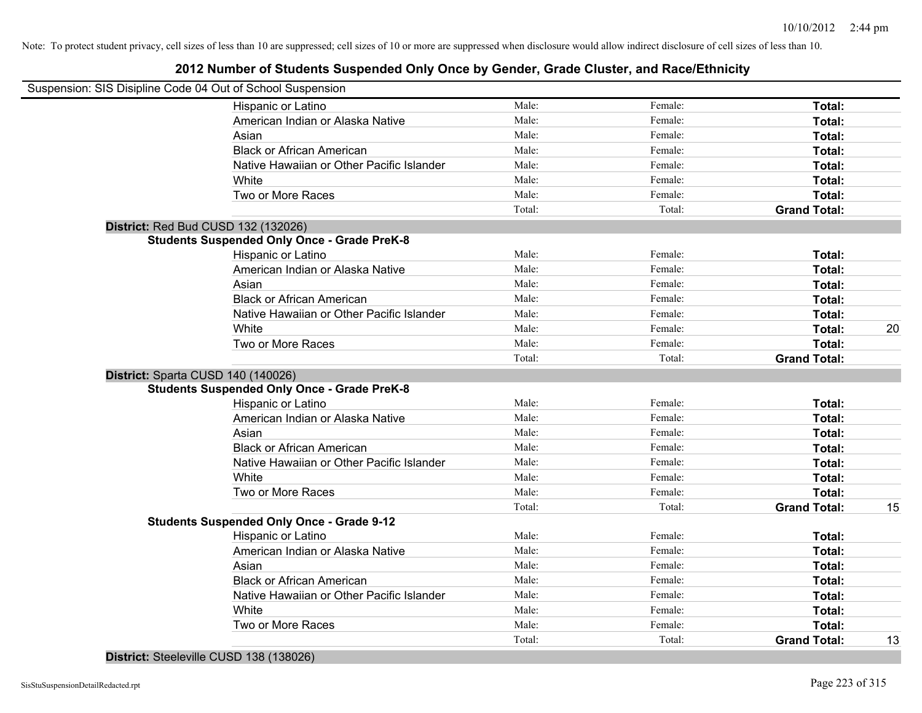#### **2012 Number of Students Suspended Only Once by Gender, Grade Cluster, and Race/Ethnicity**

| Suspension: SIS Disipline Code 04 Out of School Suspension |                                                    |        |         |                     |    |
|------------------------------------------------------------|----------------------------------------------------|--------|---------|---------------------|----|
|                                                            | Hispanic or Latino                                 | Male:  | Female: | Total:              |    |
|                                                            | American Indian or Alaska Native                   | Male:  | Female: | Total:              |    |
|                                                            | Asian                                              | Male:  | Female: | Total:              |    |
|                                                            | <b>Black or African American</b>                   | Male:  | Female: | Total:              |    |
|                                                            | Native Hawaiian or Other Pacific Islander          | Male:  | Female: | Total:              |    |
|                                                            | White                                              | Male:  | Female: | Total:              |    |
|                                                            | Two or More Races                                  | Male:  | Female: | Total:              |    |
|                                                            |                                                    | Total: | Total:  | <b>Grand Total:</b> |    |
|                                                            | District: Red Bud CUSD 132 (132026)                |        |         |                     |    |
|                                                            | <b>Students Suspended Only Once - Grade PreK-8</b> |        |         |                     |    |
|                                                            | Hispanic or Latino                                 | Male:  | Female: | Total:              |    |
|                                                            | American Indian or Alaska Native                   | Male:  | Female: | Total:              |    |
|                                                            | Asian                                              | Male:  | Female: | Total:              |    |
|                                                            | <b>Black or African American</b>                   | Male:  | Female: | Total:              |    |
|                                                            | Native Hawaiian or Other Pacific Islander          | Male:  | Female: | Total:              |    |
|                                                            | White                                              | Male:  | Female: | Total:              | 20 |
|                                                            | Two or More Races                                  | Male:  | Female: | <b>Total:</b>       |    |
|                                                            |                                                    | Total: | Total:  | <b>Grand Total:</b> |    |
|                                                            | District: Sparta CUSD 140 (140026)                 |        |         |                     |    |
|                                                            | <b>Students Suspended Only Once - Grade PreK-8</b> |        |         |                     |    |
|                                                            | Hispanic or Latino                                 | Male:  | Female: | Total:              |    |
|                                                            | American Indian or Alaska Native                   | Male:  | Female: | Total:              |    |
|                                                            | Asian                                              | Male:  | Female: | Total:              |    |
|                                                            | <b>Black or African American</b>                   | Male:  | Female: | Total:              |    |
|                                                            | Native Hawaiian or Other Pacific Islander          | Male:  | Female: | Total:              |    |
|                                                            | White                                              | Male:  | Female: | Total:              |    |
|                                                            | Two or More Races                                  | Male:  | Female: | Total:              |    |
|                                                            |                                                    | Total: | Total:  | <b>Grand Total:</b> | 15 |
|                                                            | <b>Students Suspended Only Once - Grade 9-12</b>   |        |         |                     |    |
|                                                            | Hispanic or Latino                                 | Male:  | Female: | <b>Total:</b>       |    |
|                                                            | American Indian or Alaska Native                   | Male:  | Female: | <b>Total:</b>       |    |
|                                                            | Asian                                              | Male:  | Female: | <b>Total:</b>       |    |
|                                                            | <b>Black or African American</b>                   | Male:  | Female: | Total:              |    |
|                                                            | Native Hawaiian or Other Pacific Islander          | Male:  | Female: | Total:              |    |
|                                                            | White                                              | Male:  | Female: | <b>Total:</b>       |    |
|                                                            | Two or More Races                                  | Male:  | Female: | <b>Total:</b>       |    |
|                                                            |                                                    | Total: | Total:  | <b>Grand Total:</b> | 13 |

**District:** Steeleville CUSD 138 (138026)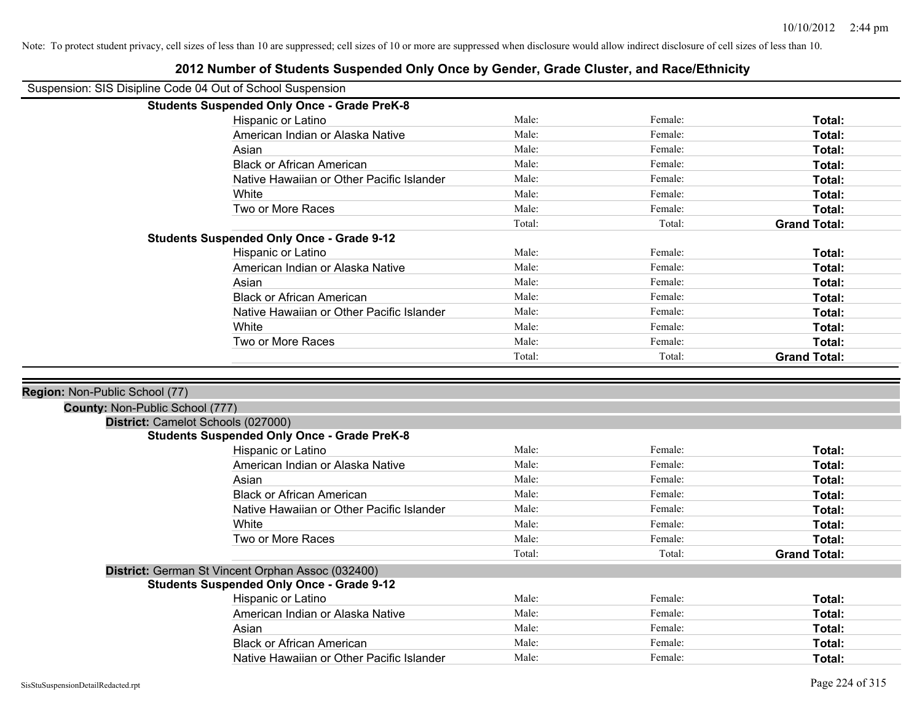| Suspension: SIS Disipline Code 04 Out of School Suspension            |                                                                                                       |        |         |                     |
|-----------------------------------------------------------------------|-------------------------------------------------------------------------------------------------------|--------|---------|---------------------|
|                                                                       | <b>Students Suspended Only Once - Grade PreK-8</b>                                                    |        |         |                     |
|                                                                       | Hispanic or Latino                                                                                    | Male:  | Female: | Total:              |
|                                                                       | American Indian or Alaska Native                                                                      | Male:  | Female: | Total:              |
|                                                                       | Asian                                                                                                 | Male:  | Female: | Total:              |
|                                                                       | <b>Black or African American</b>                                                                      | Male:  | Female: | Total:              |
|                                                                       | Native Hawaiian or Other Pacific Islander                                                             | Male:  | Female: | Total:              |
|                                                                       | White                                                                                                 | Male:  | Female: | Total:              |
|                                                                       | Two or More Races                                                                                     | Male:  | Female: | Total:              |
|                                                                       |                                                                                                       | Total: | Total:  | <b>Grand Total:</b> |
|                                                                       | <b>Students Suspended Only Once - Grade 9-12</b>                                                      |        |         |                     |
|                                                                       | Hispanic or Latino                                                                                    | Male:  | Female: | Total:              |
|                                                                       | American Indian or Alaska Native                                                                      | Male:  | Female: | Total:              |
|                                                                       | Asian                                                                                                 | Male:  | Female: | Total:              |
|                                                                       | <b>Black or African American</b>                                                                      | Male:  | Female: | Total:              |
|                                                                       | Native Hawaiian or Other Pacific Islander                                                             | Male:  | Female: | Total:              |
|                                                                       | White                                                                                                 | Male:  | Female: | Total:              |
|                                                                       | Two or More Races                                                                                     | Male:  | Female: | Total:              |
|                                                                       |                                                                                                       | Total: | Total:  | <b>Grand Total:</b> |
| County: Non-Public School (777)<br>District: Camelot Schools (027000) |                                                                                                       |        |         |                     |
|                                                                       | <b>Students Suspended Only Once - Grade PreK-8</b>                                                    |        |         |                     |
|                                                                       | Hispanic or Latino                                                                                    | Male:  | Female: | Total:              |
|                                                                       | American Indian or Alaska Native                                                                      | Male:  | Female: | Total:              |
|                                                                       | Asian                                                                                                 | Male:  | Female: | Total:              |
|                                                                       | <b>Black or African American</b>                                                                      | Male:  | Female: | Total:              |
|                                                                       | Native Hawaiian or Other Pacific Islander                                                             | Male:  | Female: |                     |
|                                                                       |                                                                                                       |        |         | Total:              |
|                                                                       | White                                                                                                 | Male:  | Female: | Total:              |
|                                                                       | Two or More Races                                                                                     | Male:  | Female: | Total:              |
|                                                                       |                                                                                                       | Total: | Total:  | <b>Grand Total:</b> |
|                                                                       |                                                                                                       |        |         |                     |
|                                                                       | District: German St Vincent Orphan Assoc (032400)<br><b>Students Suspended Only Once - Grade 9-12</b> |        |         |                     |
|                                                                       | Hispanic or Latino                                                                                    | Male:  | Female: | Total:              |
|                                                                       | American Indian or Alaska Native                                                                      | Male:  | Female: | Total:              |
|                                                                       | Asian                                                                                                 | Male:  | Female: | Total:              |
|                                                                       | <b>Black or African American</b>                                                                      | Male:  | Female: | Total:              |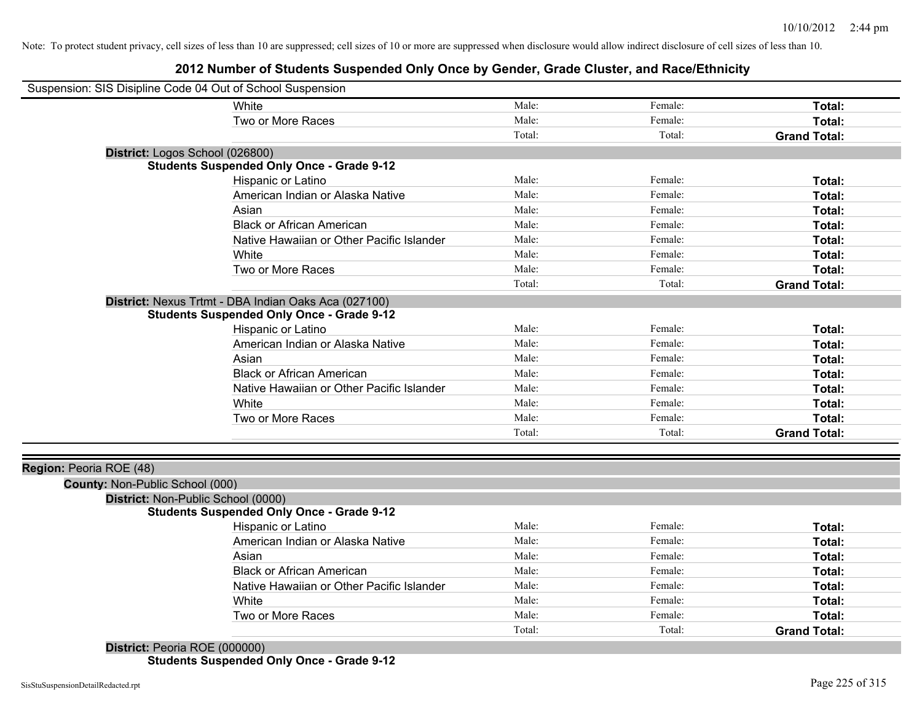# **2012 Number of Students Suspended Only Once by Gender, Grade Cluster, and Race/Ethnicity**

| Suspension: SIS Disipline Code 04 Out of School Suspension |                                                      |        |         |                     |
|------------------------------------------------------------|------------------------------------------------------|--------|---------|---------------------|
|                                                            | White                                                | Male:  | Female: | Total:              |
|                                                            | Two or More Races                                    | Male:  | Female: | Total:              |
|                                                            |                                                      | Total: | Total:  | <b>Grand Total:</b> |
| District: Logos School (026800)                            |                                                      |        |         |                     |
|                                                            | <b>Students Suspended Only Once - Grade 9-12</b>     |        |         |                     |
|                                                            | Hispanic or Latino                                   | Male:  | Female: | Total:              |
|                                                            | American Indian or Alaska Native                     | Male:  | Female: | Total:              |
|                                                            | Asian                                                | Male:  | Female: | Total:              |
|                                                            | <b>Black or African American</b>                     | Male:  | Female: | Total:              |
|                                                            | Native Hawaiian or Other Pacific Islander            | Male:  | Female: | Total:              |
|                                                            | White                                                | Male:  | Female: | Total:              |
|                                                            | Two or More Races                                    | Male:  | Female: | Total:              |
|                                                            |                                                      | Total: | Total:  | <b>Grand Total:</b> |
|                                                            | District: Nexus Trtmt - DBA Indian Oaks Aca (027100) |        |         |                     |
|                                                            | <b>Students Suspended Only Once - Grade 9-12</b>     |        |         |                     |
|                                                            | Hispanic or Latino                                   | Male:  | Female: | Total:              |
|                                                            | American Indian or Alaska Native                     | Male:  | Female: | Total:              |
|                                                            | Asian                                                | Male:  | Female: | Total:              |
|                                                            | <b>Black or African American</b>                     | Male:  | Female: | Total:              |
|                                                            | Native Hawaiian or Other Pacific Islander            | Male:  | Female: | Total:              |
|                                                            | White                                                | Male:  | Female: | Total:              |
|                                                            | Two or More Races                                    | Male:  | Female: | Total:              |
|                                                            |                                                      | Total: | Total:  | <b>Grand Total:</b> |
|                                                            |                                                      |        |         |                     |
| Region: Peoria ROE (48)                                    |                                                      |        |         |                     |
| County: Non-Public School (000)                            |                                                      |        |         |                     |
| District: Non-Public School (0000)                         |                                                      |        |         |                     |
|                                                            | <b>Students Suspended Only Once - Grade 9-12</b>     |        |         |                     |
|                                                            | Hispanic or Latino                                   | Male:  | Female: | Total:              |
|                                                            | American Indian or Alaska Native                     | Male:  | Female: | Total:              |
|                                                            | Asian                                                | Male:  | Female: | Total:              |
|                                                            | <b>Black or African American</b>                     | Male:  | Female: | Total:              |
|                                                            | Native Hawaiian or Other Pacific Islander            | Male:  | Female: | Total:              |
|                                                            | White                                                | Male:  | Female: | Total:              |
|                                                            | Two or More Races                                    | Male:  | Female: | Total:              |
|                                                            |                                                      | Total: | Total:  | <b>Grand Total:</b> |
| District: Peoria ROE (000000)                              |                                                      |        |         |                     |

**Students Suspended Only Once - Grade 9-12**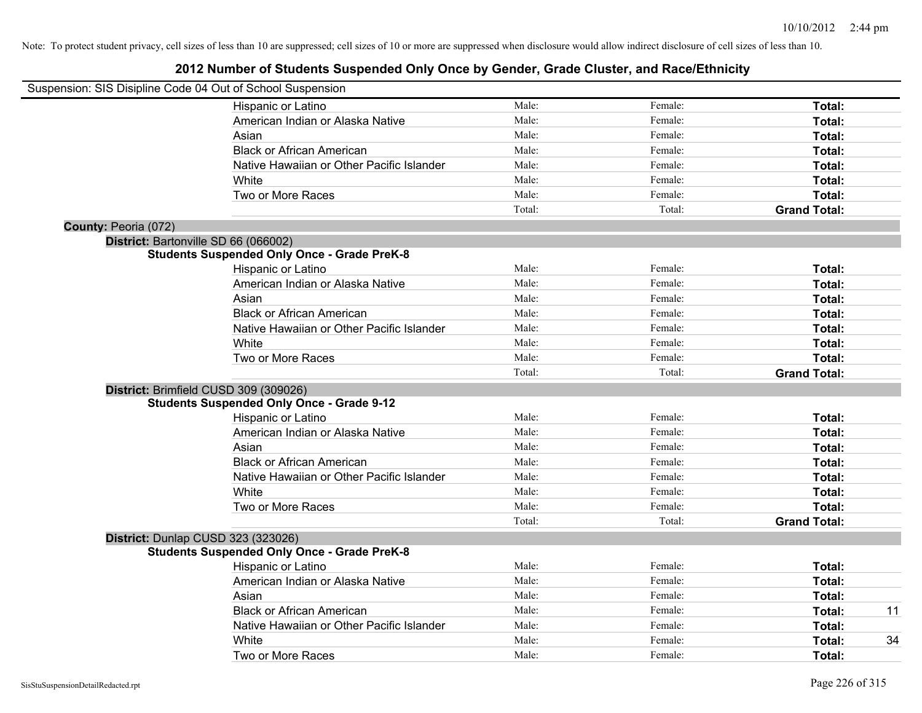|                      | Suspension: SIS Disipline Code 04 Out of School Suspension |        |         |                     |
|----------------------|------------------------------------------------------------|--------|---------|---------------------|
|                      | Hispanic or Latino                                         | Male:  | Female: | Total:              |
|                      | American Indian or Alaska Native                           | Male:  | Female: | Total:              |
|                      | Asian                                                      | Male:  | Female: | Total:              |
|                      | <b>Black or African American</b>                           | Male:  | Female: | Total:              |
|                      | Native Hawaiian or Other Pacific Islander                  | Male:  | Female: | <b>Total:</b>       |
|                      | White                                                      | Male:  | Female: | Total:              |
|                      | Two or More Races                                          | Male:  | Female: | Total:              |
|                      |                                                            | Total: | Total:  | <b>Grand Total:</b> |
| County: Peoria (072) |                                                            |        |         |                     |
|                      | District: Bartonville SD 66 (066002)                       |        |         |                     |
|                      | <b>Students Suspended Only Once - Grade PreK-8</b>         |        |         |                     |
|                      | Hispanic or Latino                                         | Male:  | Female: | Total:              |
|                      | American Indian or Alaska Native                           | Male:  | Female: | Total:              |
|                      | Asian                                                      | Male:  | Female: | Total:              |
|                      | <b>Black or African American</b>                           | Male:  | Female: | Total:              |
|                      | Native Hawaiian or Other Pacific Islander                  | Male:  | Female: | Total:              |
|                      | White                                                      | Male:  | Female: | Total:              |
|                      | Two or More Races                                          | Male:  | Female: | Total:              |
|                      |                                                            | Total: | Total:  | <b>Grand Total:</b> |
|                      | District: Brimfield CUSD 309 (309026)                      |        |         |                     |
|                      | <b>Students Suspended Only Once - Grade 9-12</b>           |        |         |                     |
|                      | Hispanic or Latino                                         | Male:  | Female: | Total:              |
|                      | American Indian or Alaska Native                           | Male:  | Female: | Total:              |
|                      | Asian                                                      | Male:  | Female: | Total:              |
|                      | <b>Black or African American</b>                           | Male:  | Female: | Total:              |
|                      | Native Hawaiian or Other Pacific Islander                  | Male:  | Female: | Total:              |
|                      | White                                                      | Male:  | Female: | Total:              |
|                      | Two or More Races                                          | Male:  | Female: | Total:              |
|                      |                                                            | Total: | Total:  | <b>Grand Total:</b> |
|                      | District: Dunlap CUSD 323 (323026)                         |        |         |                     |
|                      | <b>Students Suspended Only Once - Grade PreK-8</b>         |        |         |                     |
|                      | Hispanic or Latino                                         | Male:  | Female: | Total:              |
|                      | American Indian or Alaska Native                           | Male:  | Female: | Total:              |
|                      | Asian                                                      | Male:  | Female: | Total:              |
|                      | <b>Black or African American</b>                           | Male:  | Female: | Total:              |
|                      | Native Hawaiian or Other Pacific Islander                  | Male:  | Female: | Total:              |
|                      | White                                                      | Male:  | Female: | Total:              |
|                      | Two or More Races                                          | Male:  | Female: | Total:              |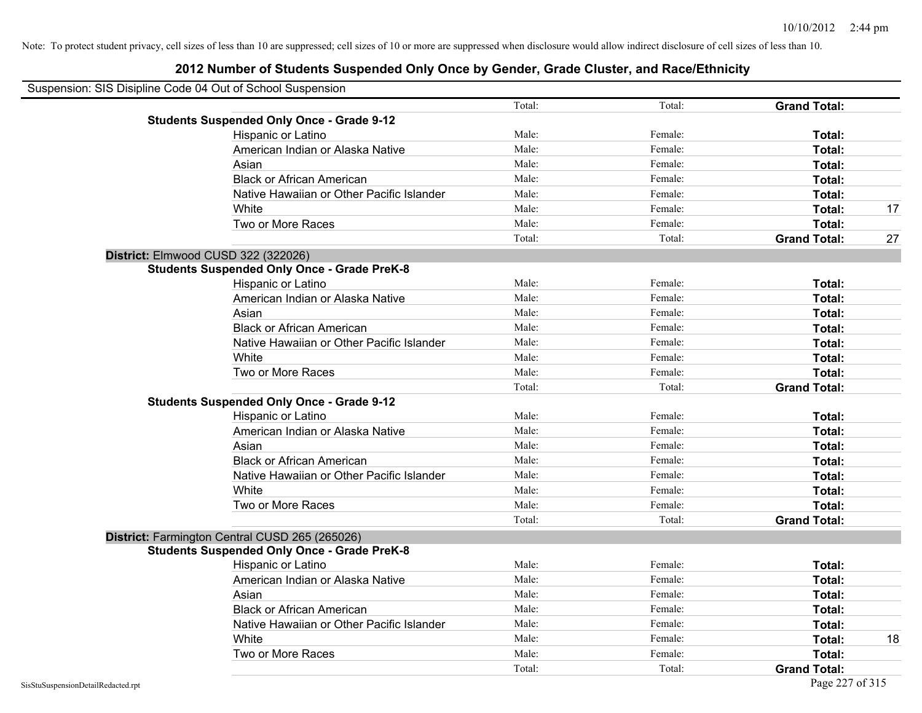| Suspension: SIS Disipline Code 04 Out of School Suspension |        |         |                     |    |
|------------------------------------------------------------|--------|---------|---------------------|----|
|                                                            | Total: | Total:  | <b>Grand Total:</b> |    |
| <b>Students Suspended Only Once - Grade 9-12</b>           |        |         |                     |    |
| Hispanic or Latino                                         | Male:  | Female: | Total:              |    |
| American Indian or Alaska Native                           | Male:  | Female: | Total:              |    |
| Asian                                                      | Male:  | Female: | Total:              |    |
| <b>Black or African American</b>                           | Male:  | Female: | Total:              |    |
| Native Hawaiian or Other Pacific Islander                  | Male:  | Female: | Total:              |    |
| White                                                      | Male:  | Female: | Total:              | 17 |
| Two or More Races                                          | Male:  | Female: | Total:              |    |
|                                                            | Total: | Total:  | <b>Grand Total:</b> | 27 |
| District: Elmwood CUSD 322 (322026)                        |        |         |                     |    |
| <b>Students Suspended Only Once - Grade PreK-8</b>         |        |         |                     |    |
| Hispanic or Latino                                         | Male:  | Female: | Total:              |    |
| American Indian or Alaska Native                           | Male:  | Female: | Total:              |    |
| Asian                                                      | Male:  | Female: | Total:              |    |
| <b>Black or African American</b>                           | Male:  | Female: | Total:              |    |
| Native Hawaiian or Other Pacific Islander                  | Male:  | Female: | Total:              |    |
| White                                                      | Male:  | Female: | Total:              |    |
| Two or More Races                                          | Male:  | Female: | Total:              |    |
|                                                            | Total: | Total:  | <b>Grand Total:</b> |    |
| <b>Students Suspended Only Once - Grade 9-12</b>           |        |         |                     |    |
| Hispanic or Latino                                         | Male:  | Female: | Total:              |    |
| American Indian or Alaska Native                           | Male:  | Female: | Total:              |    |
| Asian                                                      | Male:  | Female: | Total:              |    |
| <b>Black or African American</b>                           | Male:  | Female: | Total:              |    |
| Native Hawaiian or Other Pacific Islander                  | Male:  | Female: | Total:              |    |
| White                                                      | Male:  | Female: | Total:              |    |
| Two or More Races                                          | Male:  | Female: | Total:              |    |
|                                                            | Total: | Total:  | <b>Grand Total:</b> |    |
| District: Farmington Central CUSD 265 (265026)             |        |         |                     |    |
| <b>Students Suspended Only Once - Grade PreK-8</b>         |        |         |                     |    |
| Hispanic or Latino                                         | Male:  | Female: | Total:              |    |
| American Indian or Alaska Native                           | Male:  | Female: | Total:              |    |
| Asian                                                      | Male:  | Female: | Total:              |    |
| <b>Black or African American</b>                           | Male:  | Female: | Total:              |    |
| Native Hawaiian or Other Pacific Islander                  | Male:  | Female: | Total:              |    |
| White                                                      | Male:  | Female: | Total:              | 18 |
| Two or More Races                                          | Male:  | Female: | Total:              |    |
|                                                            | Total: | Total:  | <b>Grand Total:</b> |    |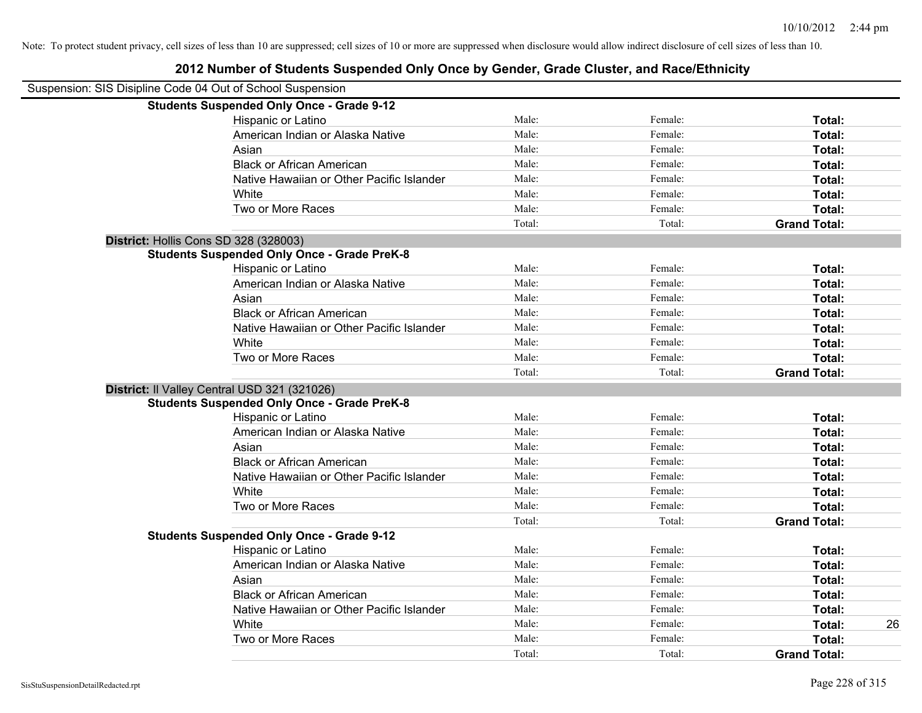### Suspension: SIS Disipline Code 04 Out of School Suspension **Students Suspended Only Once - Grade 9-12** Hispanic or Latino **Finally Hispanic or Latino** *Total:* Male: Female: **Female: Total: Total:** Female: **Total:** American Indian or Alaska Native **Male:** Male: Female: Female: **Total:** Total: Asian **Female:** Total: Male: Female: **Total:** Total: Total: Total: Total: Total: Total: Total: Total: Total: Total: Total: Total: Total: Total: Total: Total: Total: Total: Total: Total: Total: Total: Total: Total: Total: T Black or African American **Figure 1.1 and Total:** Male: Female: Female: **Total:** Total: Native Hawaiian or Other Pacific Islander Male: Total: Female: Female: Total: Total: White **Total:** Male: Female: **Total:** Female: **Total:** Total: Two or More Races **Total:** Total: Male: Female: Female: **Total:** Female: **Total:** Total: Total: Total: **Grand Total: District:** Hollis Cons SD 328 (328003) **Students Suspended Only Once - Grade PreK-8** Hispanic or Latino **Finally Contract Contract Contract Contract Contract Contract Contract Contract Contract Contract Contract Contract Contract Contract Contract Contract Contract Contract Contract Contract Contract Contr** American Indian or Alaska Native **Male:** Male: Female: Female: **Total:** Total: Asian **Female:** Total: Male: Female: **Total: Total:** Total: Total: Female: Total: Total: Total: Total: Total: Total: Total: Total: Total: Total: Total: Total: Total: Total: Total: Total: Total: Total: Total: Total: Total: Black or African American **Figure 1.1 and Total:** Male: Female: Female: **Total:** Total: Native Hawaiian or Other Pacific Islander **Male:** Male: Female: Female: **Total:** Total: White **Total:** Male: Female: **Total:** Total: **Total:** Female: **Total:** Total: Two or More Races **Total:** Total: Male: Female: Female: **Total:** Total: Female: Total: Total: Total: **Grand Total: District:** Il Valley Central USD 321 (321026) **Students Suspended Only Once - Grade PreK-8** Hispanic or Latino **Finally Contract Contract Contract Contract Contract Contract Contract Contract Contract Contract Contract Contract Contract Contract Contract Contract Contract Contract Contract Contract Contract Contr** American Indian or Alaska Native **Male:** Male: Female: Female: **Total:** Total: Asian **Asian Male:** Total: Male: Female: **Total: Total:** Total: Total: Total: Total: Total: Total: Total: Total: Total: Total: Total: Total: Total: Total: Total: Total: Total: Total: Total: Total: Total: Total: Total: Tota Black or African American **Figure 1.1 and Total:** Male: Female: Female: **Total:** Total: Native Hawaiian or Other Pacific Islander **Male:** Male: Female: Female: **Total:** Total: White **Total:** Male: Female: **Total:** Female: **Total:** Total: Two or More Races **Total:** Total: Male: Female: Female: **Total:** Total: Total: Total: **Grand Total: Students Suspended Only Once - Grade 9-12** Hispanic or Latino **Finally Contract Contract Contract Contract Contract Contract Contract Contract Contract Contract Contract Contract Contract Contract Contract Contract Contract Contract Contract Contract Contract Contr** American Indian or Alaska Native **Male:** Male: Female: Female: **Total:** Total: Asian **Asian Male:** Total: Male: Female: **Total: Total:** Total: Total: Total: Total: Total: Total: Total: Total: Total: Total: Total: Total: Total: Total: Total: Total: Total: Total: Total: Total: Total: Total: Total: Tota Black or African American **Figure 1.1 and Total:** Male: Female: Female: **Total:** Total: Native Hawaiian or Other Pacific Islander **Male:** Male: Female: Female: **Total:** Total: White **Male:** Male: **Total: 26** Male: **Total: 26** Male: **Total: 26** Male: **Total: 26** Two or More Races **Total:** Total: Male: Female: Female: **Total:** Total: Female: Total:

#### **2012 Number of Students Suspended Only Once by Gender, Grade Cluster, and Race/Ethnicity**

Total: Total: **Grand Total:**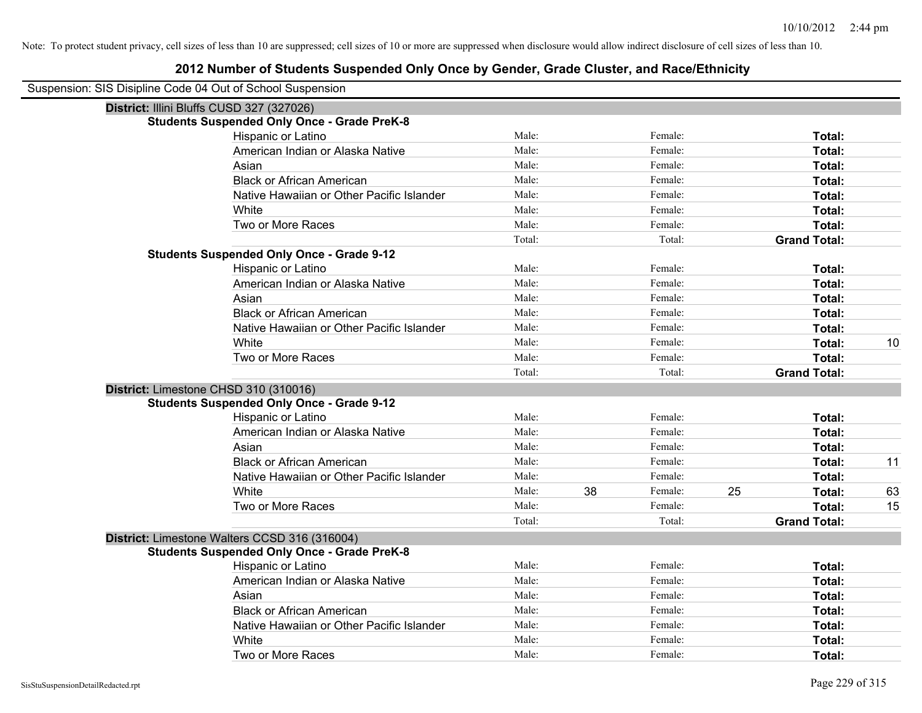| Suspension: SIS Disipline Code 04 Out of School Suspension |                                                    |        |    |         |    |                     |    |
|------------------------------------------------------------|----------------------------------------------------|--------|----|---------|----|---------------------|----|
| District: Illini Bluffs CUSD 327 (327026)                  |                                                    |        |    |         |    |                     |    |
|                                                            | <b>Students Suspended Only Once - Grade PreK-8</b> |        |    |         |    |                     |    |
|                                                            | Hispanic or Latino                                 | Male:  |    | Female: |    | Total:              |    |
|                                                            | American Indian or Alaska Native                   | Male:  |    | Female: |    | Total:              |    |
|                                                            | Asian                                              | Male:  |    | Female: |    | Total:              |    |
|                                                            | <b>Black or African American</b>                   | Male:  |    | Female: |    | Total:              |    |
|                                                            | Native Hawaiian or Other Pacific Islander          | Male:  |    | Female: |    | Total:              |    |
|                                                            | White                                              | Male:  |    | Female: |    | Total:              |    |
|                                                            | Two or More Races                                  | Male:  |    | Female: |    | Total:              |    |
|                                                            |                                                    | Total: |    | Total:  |    | <b>Grand Total:</b> |    |
|                                                            | <b>Students Suspended Only Once - Grade 9-12</b>   |        |    |         |    |                     |    |
|                                                            | Hispanic or Latino                                 | Male:  |    | Female: |    | Total:              |    |
|                                                            | American Indian or Alaska Native                   | Male:  |    | Female: |    | Total:              |    |
|                                                            | Asian                                              | Male:  |    | Female: |    | Total:              |    |
|                                                            | <b>Black or African American</b>                   | Male:  |    | Female: |    | Total:              |    |
|                                                            | Native Hawaiian or Other Pacific Islander          | Male:  |    | Female: |    | Total:              |    |
|                                                            | White                                              | Male:  |    | Female: |    | Total:              | 10 |
|                                                            | Two or More Races                                  | Male:  |    | Female: |    | Total:              |    |
|                                                            |                                                    | Total: |    | Total:  |    | <b>Grand Total:</b> |    |
|                                                            | District: Limestone CHSD 310 (310016)              |        |    |         |    |                     |    |
|                                                            | <b>Students Suspended Only Once - Grade 9-12</b>   |        |    |         |    |                     |    |
|                                                            | Hispanic or Latino                                 | Male:  |    | Female: |    | Total:              |    |
|                                                            | American Indian or Alaska Native                   | Male:  |    | Female: |    | Total:              |    |
|                                                            | Asian                                              | Male:  |    | Female: |    | Total:              |    |
|                                                            | <b>Black or African American</b>                   | Male:  |    | Female: |    | Total:              | 11 |
|                                                            | Native Hawaiian or Other Pacific Islander          | Male:  |    | Female: |    | Total:              |    |
|                                                            | White                                              | Male:  | 38 | Female: | 25 | Total:              | 63 |
|                                                            | Two or More Races                                  | Male:  |    | Female: |    | Total:              | 15 |
|                                                            |                                                    | Total: |    | Total:  |    | <b>Grand Total:</b> |    |
|                                                            | District: Limestone Walters CCSD 316 (316004)      |        |    |         |    |                     |    |
|                                                            | <b>Students Suspended Only Once - Grade PreK-8</b> |        |    |         |    |                     |    |
|                                                            | Hispanic or Latino                                 | Male:  |    | Female: |    | Total:              |    |
|                                                            | American Indian or Alaska Native                   | Male:  |    | Female: |    | Total:              |    |
|                                                            | Asian                                              | Male:  |    | Female: |    | Total:              |    |
|                                                            | <b>Black or African American</b>                   | Male:  |    | Female: |    | Total:              |    |
|                                                            | Native Hawaiian or Other Pacific Islander          | Male:  |    | Female: |    | Total:              |    |
|                                                            | White                                              | Male:  |    | Female: |    | Total:              |    |
|                                                            | Two or More Races                                  | Male:  |    | Female: |    | Total:              |    |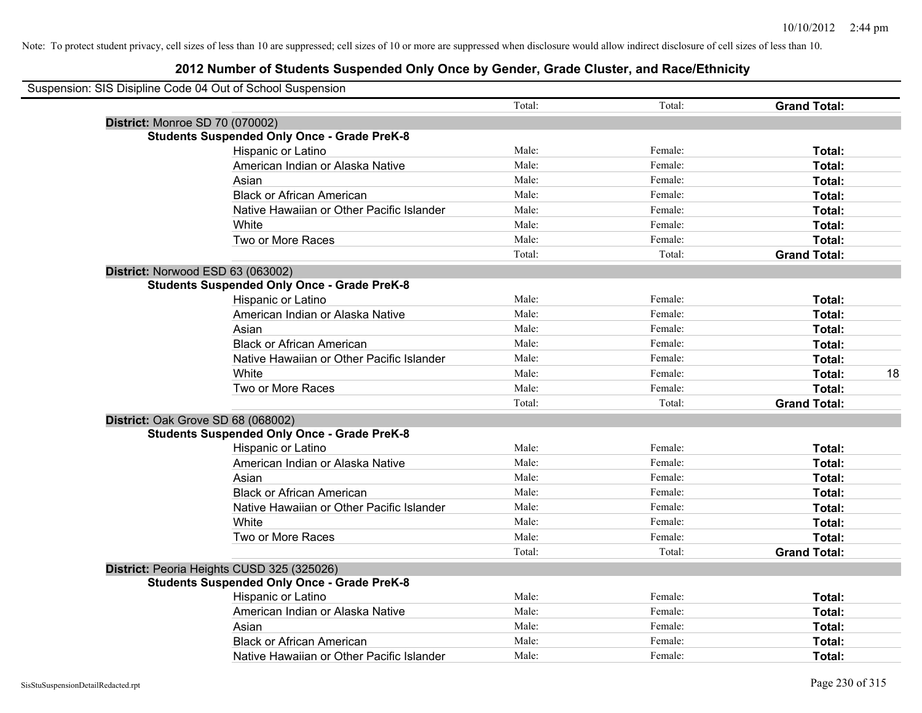| Suspension: SIS Disipline Code 04 Out of School Suspension |        |         |                     |    |
|------------------------------------------------------------|--------|---------|---------------------|----|
|                                                            | Total: | Total:  | <b>Grand Total:</b> |    |
| District: Monroe SD 70 (070002)                            |        |         |                     |    |
| <b>Students Suspended Only Once - Grade PreK-8</b>         |        |         |                     |    |
| Hispanic or Latino                                         | Male:  | Female: | Total:              |    |
| American Indian or Alaska Native                           | Male:  | Female: | Total:              |    |
| Asian                                                      | Male:  | Female: | Total:              |    |
| <b>Black or African American</b>                           | Male:  | Female: | Total:              |    |
| Native Hawaiian or Other Pacific Islander                  | Male:  | Female: | Total:              |    |
| White                                                      | Male:  | Female: | Total:              |    |
| Two or More Races                                          | Male:  | Female: | Total:              |    |
|                                                            | Total: | Total:  | <b>Grand Total:</b> |    |
| District: Norwood ESD 63 (063002)                          |        |         |                     |    |
| <b>Students Suspended Only Once - Grade PreK-8</b>         |        |         |                     |    |
| Hispanic or Latino                                         | Male:  | Female: | Total:              |    |
| American Indian or Alaska Native                           | Male:  | Female: | Total:              |    |
| Asian                                                      | Male:  | Female: | Total:              |    |
| <b>Black or African American</b>                           | Male:  | Female: | Total:              |    |
| Native Hawaiian or Other Pacific Islander                  | Male:  | Female: | Total:              |    |
| White                                                      | Male:  | Female: | Total:              | 18 |
| Two or More Races                                          | Male:  | Female: | Total:              |    |
|                                                            | Total: | Total:  | <b>Grand Total:</b> |    |
| District: Oak Grove SD 68 (068002)                         |        |         |                     |    |
| <b>Students Suspended Only Once - Grade PreK-8</b>         |        |         |                     |    |
| Hispanic or Latino                                         | Male:  | Female: | Total:              |    |
| American Indian or Alaska Native                           | Male:  | Female: | Total:              |    |
| Asian                                                      | Male:  | Female: | Total:              |    |
| <b>Black or African American</b>                           | Male:  | Female: | Total:              |    |
| Native Hawaiian or Other Pacific Islander                  | Male:  | Female: | Total:              |    |
| White                                                      | Male:  | Female: | Total:              |    |
| Two or More Races                                          | Male:  | Female: | Total:              |    |
|                                                            | Total: | Total:  | <b>Grand Total:</b> |    |
| District: Peoria Heights CUSD 325 (325026)                 |        |         |                     |    |
| <b>Students Suspended Only Once - Grade PreK-8</b>         |        |         |                     |    |
| <b>Hispanic or Latino</b>                                  | Male:  | Female: | Total:              |    |
| American Indian or Alaska Native                           | Male:  | Female: | Total:              |    |
| Asian                                                      | Male:  | Female: | Total:              |    |
| <b>Black or African American</b>                           | Male:  | Female: | Total:              |    |
| Native Hawaiian or Other Pacific Islander                  | Male:  | Female: | Total:              |    |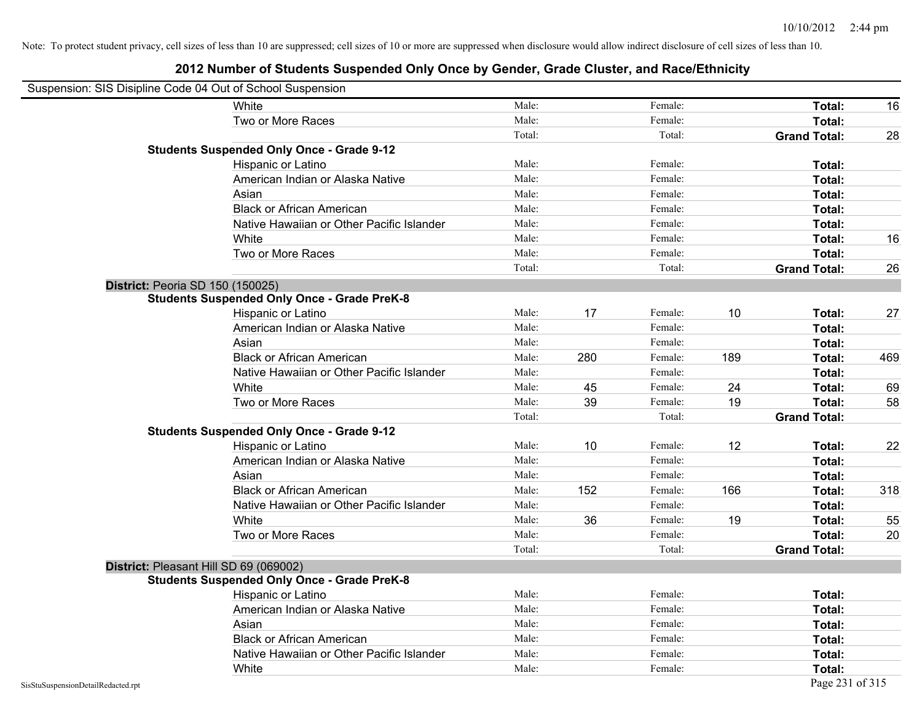|                                    | Suspension: SIS Disipline Code 04 Out of School Suspension |        |     |         |     |                     |     |
|------------------------------------|------------------------------------------------------------|--------|-----|---------|-----|---------------------|-----|
|                                    | White                                                      | Male:  |     | Female: |     | Total:              | 16  |
|                                    | Two or More Races                                          | Male:  |     | Female: |     | Total:              |     |
|                                    |                                                            | Total: |     | Total:  |     | <b>Grand Total:</b> | 28  |
|                                    | <b>Students Suspended Only Once - Grade 9-12</b>           |        |     |         |     |                     |     |
|                                    | Hispanic or Latino                                         | Male:  |     | Female: |     | Total:              |     |
|                                    | American Indian or Alaska Native                           | Male:  |     | Female: |     | Total:              |     |
|                                    | Asian                                                      | Male:  |     | Female: |     | Total:              |     |
|                                    | <b>Black or African American</b>                           | Male:  |     | Female: |     | Total:              |     |
|                                    | Native Hawaiian or Other Pacific Islander                  | Male:  |     | Female: |     | Total:              |     |
|                                    | White                                                      | Male:  |     | Female: |     | Total:              | 16  |
|                                    | Two or More Races                                          | Male:  |     | Female: |     | Total:              |     |
|                                    |                                                            | Total: |     | Total:  |     | <b>Grand Total:</b> | 26  |
|                                    | District: Peoria SD 150 (150025)                           |        |     |         |     |                     |     |
|                                    | <b>Students Suspended Only Once - Grade PreK-8</b>         |        |     |         |     |                     |     |
|                                    | Hispanic or Latino                                         | Male:  | 17  | Female: | 10  | Total:              | 27  |
|                                    | American Indian or Alaska Native                           | Male:  |     | Female: |     | Total:              |     |
|                                    | Asian                                                      | Male:  |     | Female: |     | Total:              |     |
|                                    | <b>Black or African American</b>                           | Male:  | 280 | Female: | 189 | Total:              | 469 |
|                                    | Native Hawaiian or Other Pacific Islander                  | Male:  |     | Female: |     | Total:              |     |
|                                    | White                                                      | Male:  | 45  | Female: | 24  | Total:              | 69  |
|                                    | Two or More Races                                          | Male:  | 39  | Female: | 19  | Total:              | 58  |
|                                    |                                                            | Total: |     | Total:  |     | <b>Grand Total:</b> |     |
|                                    | <b>Students Suspended Only Once - Grade 9-12</b>           |        |     |         |     |                     |     |
|                                    | Hispanic or Latino                                         | Male:  | 10  | Female: | 12  | Total:              | 22  |
|                                    | American Indian or Alaska Native                           | Male:  |     | Female: |     | Total:              |     |
|                                    | Asian                                                      | Male:  |     | Female: |     | Total:              |     |
|                                    | <b>Black or African American</b>                           | Male:  | 152 | Female: | 166 | Total:              | 318 |
|                                    | Native Hawaiian or Other Pacific Islander                  | Male:  |     | Female: |     | Total:              |     |
|                                    | White                                                      | Male:  | 36  | Female: | 19  | Total:              | 55  |
|                                    | Two or More Races                                          | Male:  |     | Female: |     | Total:              | 20  |
|                                    |                                                            | Total: |     | Total:  |     | <b>Grand Total:</b> |     |
|                                    | District: Pleasant Hill SD 69 (069002)                     |        |     |         |     |                     |     |
|                                    | <b>Students Suspended Only Once - Grade PreK-8</b>         |        |     |         |     |                     |     |
|                                    | <b>Hispanic or Latino</b>                                  | Male:  |     | Female: |     | Total:              |     |
|                                    | American Indian or Alaska Native                           | Male:  |     | Female: |     | Total:              |     |
|                                    | Asian                                                      | Male:  |     | Female: |     | Total:              |     |
|                                    | <b>Black or African American</b>                           | Male:  |     | Female: |     | Total:              |     |
|                                    | Native Hawaiian or Other Pacific Islander                  | Male:  |     | Female: |     | Total:              |     |
|                                    | White                                                      | Male:  |     | Female: |     | Total:              |     |
| SisStuSuspensionDetailRedacted.rpt |                                                            |        |     |         |     | Page 231 of 315     |     |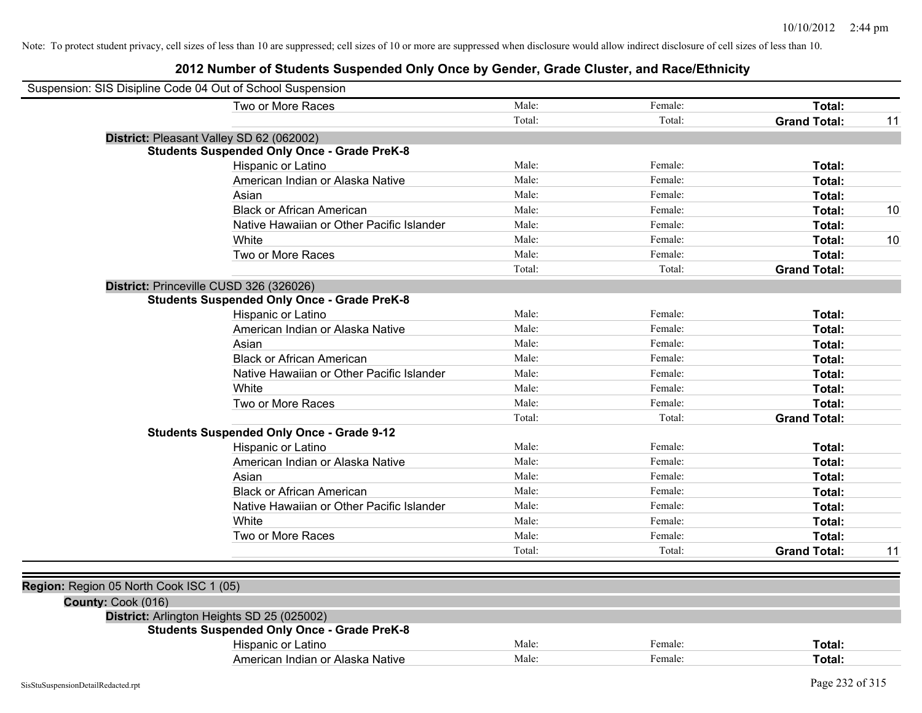|                                         | Suspension: SIS Disipline Code 04 Out of School Suspension |        |         |                     |    |
|-----------------------------------------|------------------------------------------------------------|--------|---------|---------------------|----|
|                                         | Two or More Races                                          | Male:  | Female: | Total:              |    |
|                                         |                                                            | Total: | Total:  | <b>Grand Total:</b> | 11 |
|                                         | District: Pleasant Valley SD 62 (062002)                   |        |         |                     |    |
|                                         | <b>Students Suspended Only Once - Grade PreK-8</b>         |        |         |                     |    |
|                                         | Hispanic or Latino                                         | Male:  | Female: | Total:              |    |
|                                         | American Indian or Alaska Native                           | Male:  | Female: | Total:              |    |
|                                         | Asian                                                      | Male:  | Female: | Total:              |    |
|                                         | <b>Black or African American</b>                           | Male:  | Female: | Total:              | 10 |
|                                         | Native Hawaiian or Other Pacific Islander                  | Male:  | Female: | Total:              |    |
|                                         | White                                                      | Male:  | Female: | Total:              | 10 |
|                                         | Two or More Races                                          | Male:  | Female: | Total:              |    |
|                                         |                                                            | Total: | Total:  | <b>Grand Total:</b> |    |
|                                         | District: Princeville CUSD 326 (326026)                    |        |         |                     |    |
|                                         | <b>Students Suspended Only Once - Grade PreK-8</b>         |        |         |                     |    |
|                                         | Hispanic or Latino                                         | Male:  | Female: | Total:              |    |
|                                         | American Indian or Alaska Native                           | Male:  | Female: | Total:              |    |
|                                         | Asian                                                      | Male:  | Female: | Total:              |    |
|                                         | <b>Black or African American</b>                           | Male:  | Female: | Total:              |    |
|                                         | Native Hawaiian or Other Pacific Islander                  | Male:  | Female: | Total:              |    |
|                                         | White                                                      | Male:  | Female: | Total:              |    |
|                                         | Two or More Races                                          | Male:  | Female: | Total:              |    |
|                                         |                                                            | Total: | Total:  | <b>Grand Total:</b> |    |
|                                         | <b>Students Suspended Only Once - Grade 9-12</b>           |        |         |                     |    |
|                                         | Hispanic or Latino                                         | Male:  | Female: | Total:              |    |
|                                         | American Indian or Alaska Native                           | Male:  | Female: | Total:              |    |
|                                         | Asian                                                      | Male:  | Female: | Total:              |    |
|                                         | <b>Black or African American</b>                           | Male:  | Female: | Total:              |    |
|                                         | Native Hawaiian or Other Pacific Islander                  | Male:  | Female: | Total:              |    |
|                                         | White                                                      | Male:  | Female: | Total:              |    |
|                                         | Two or More Races                                          | Male:  | Female: | Total:              |    |
|                                         |                                                            | Total: | Total:  | <b>Grand Total:</b> | 11 |
|                                         |                                                            |        |         |                     |    |
| Region: Region 05 North Cook ISC 1 (05) |                                                            |        |         |                     |    |
| County: Cook (016)                      |                                                            |        |         |                     |    |
|                                         | District: Arlington Heights SD 25 (025002)                 |        |         |                     |    |
|                                         | <b>Students Suspended Only Once - Grade PreK-8</b>         |        |         |                     |    |
|                                         | Hispanic or Latino                                         | Male:  | Female: | Total:              |    |
|                                         | American Indian or Alaska Native                           | Male:  | Female: | Total:              |    |
|                                         |                                                            |        |         |                     |    |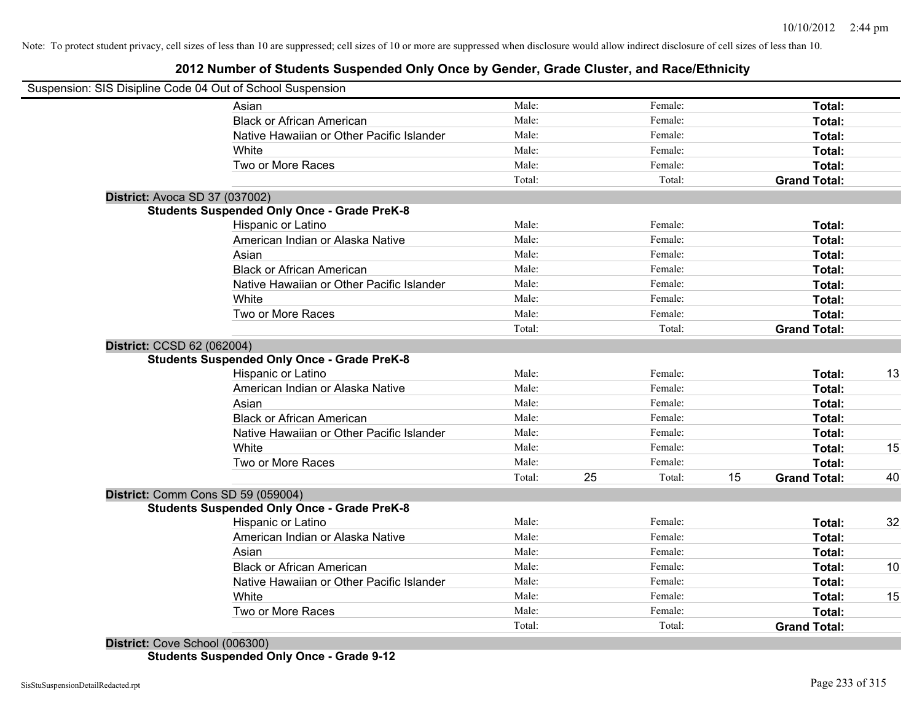# **2012 Number of Students Suspended Only Once by Gender, Grade Cluster, and Race/Ethnicity**

|                                | Suspension: SIS Disipline Code 04 Out of School Suspension |        |    |         |    |                     |    |
|--------------------------------|------------------------------------------------------------|--------|----|---------|----|---------------------|----|
|                                | Asian                                                      | Male:  |    | Female: |    | Total:              |    |
|                                | <b>Black or African American</b>                           | Male:  |    | Female: |    | Total:              |    |
|                                | Native Hawaiian or Other Pacific Islander                  | Male:  |    | Female: |    | Total:              |    |
|                                | <b>White</b>                                               | Male:  |    | Female: |    | Total:              |    |
|                                | Two or More Races                                          | Male:  |    | Female: |    | Total:              |    |
|                                |                                                            | Total: |    | Total:  |    | <b>Grand Total:</b> |    |
| District: Avoca SD 37 (037002) |                                                            |        |    |         |    |                     |    |
|                                | <b>Students Suspended Only Once - Grade PreK-8</b>         |        |    |         |    |                     |    |
|                                | Hispanic or Latino                                         | Male:  |    | Female: |    | Total:              |    |
|                                | American Indian or Alaska Native                           | Male:  |    | Female: |    | Total:              |    |
|                                | Asian                                                      | Male:  |    | Female: |    | Total:              |    |
|                                | <b>Black or African American</b>                           | Male:  |    | Female: |    | Total:              |    |
|                                | Native Hawaiian or Other Pacific Islander                  | Male:  |    | Female: |    | Total:              |    |
|                                | White                                                      | Male:  |    | Female: |    | Total:              |    |
|                                | Two or More Races                                          | Male:  |    | Female: |    | Total:              |    |
|                                |                                                            | Total: |    | Total:  |    | <b>Grand Total:</b> |    |
| District: CCSD 62 (062004)     |                                                            |        |    |         |    |                     |    |
|                                | <b>Students Suspended Only Once - Grade PreK-8</b>         |        |    |         |    |                     |    |
|                                | Hispanic or Latino                                         | Male:  |    | Female: |    | Total:              | 13 |
|                                | American Indian or Alaska Native                           | Male:  |    | Female: |    | Total:              |    |
|                                | Asian                                                      | Male:  |    | Female: |    | Total:              |    |
|                                | <b>Black or African American</b>                           | Male:  |    | Female: |    | Total:              |    |
|                                | Native Hawaiian or Other Pacific Islander                  | Male:  |    | Female: |    | Total:              |    |
|                                | White                                                      | Male:  |    | Female: |    | Total:              | 15 |
|                                | Two or More Races                                          | Male:  |    | Female: |    | Total:              |    |
|                                |                                                            | Total: | 25 | Total:  | 15 | <b>Grand Total:</b> | 40 |
|                                | District: Comm Cons SD 59 (059004)                         |        |    |         |    |                     |    |
|                                | <b>Students Suspended Only Once - Grade PreK-8</b>         |        |    |         |    |                     |    |
|                                | Hispanic or Latino                                         | Male:  |    | Female: |    | Total:              | 32 |
|                                | American Indian or Alaska Native                           | Male:  |    | Female: |    | Total:              |    |
|                                | Asian                                                      | Male:  |    | Female: |    | Total:              |    |
|                                | <b>Black or African American</b>                           | Male:  |    | Female: |    | Total:              | 10 |
|                                | Native Hawaiian or Other Pacific Islander                  | Male:  |    | Female: |    | Total:              |    |
|                                | White                                                      | Male:  |    | Female: |    | Total:              | 15 |
|                                | Two or More Races                                          | Male:  |    | Female: |    | Total:              |    |
|                                |                                                            | Total: |    | Total:  |    | <b>Grand Total:</b> |    |

**Students Suspended Only Once - Grade 9-12**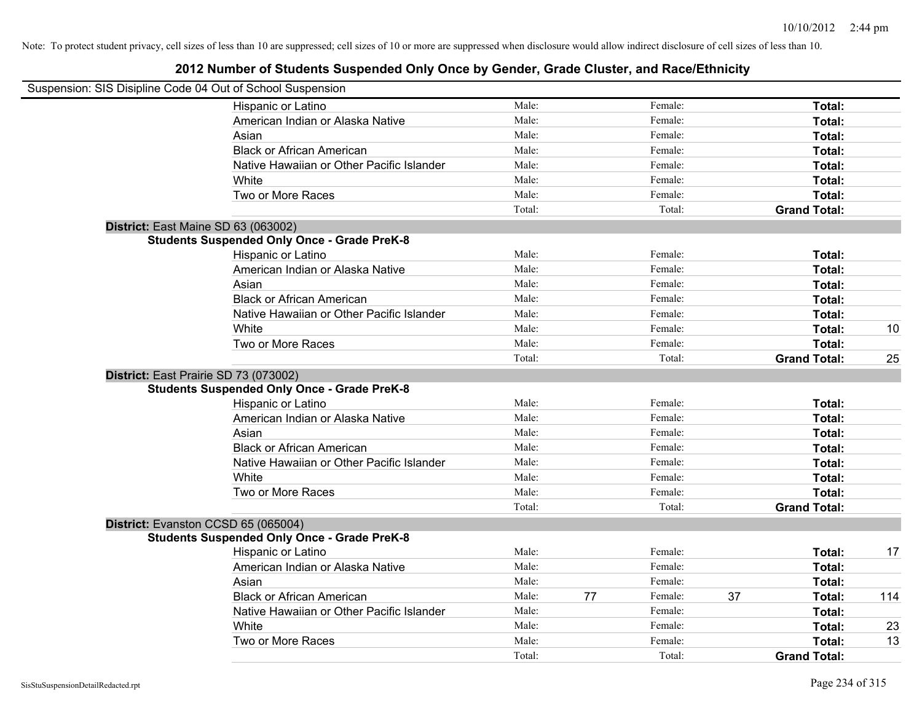| Suspension: SIS Disipline Code 04 Out of School Suspension |        |    |         |    |                     |     |
|------------------------------------------------------------|--------|----|---------|----|---------------------|-----|
| Hispanic or Latino                                         | Male:  |    | Female: |    | Total:              |     |
| American Indian or Alaska Native                           | Male:  |    | Female: |    | Total:              |     |
| Asian                                                      | Male:  |    | Female: |    | Total:              |     |
| <b>Black or African American</b>                           | Male:  |    | Female: |    | Total:              |     |
| Native Hawaiian or Other Pacific Islander                  | Male:  |    | Female: |    | Total:              |     |
| White                                                      | Male:  |    | Female: |    | Total:              |     |
| Two or More Races                                          | Male:  |    | Female: |    | Total:              |     |
|                                                            | Total: |    | Total:  |    | <b>Grand Total:</b> |     |
| District: East Maine SD 63 (063002)                        |        |    |         |    |                     |     |
| <b>Students Suspended Only Once - Grade PreK-8</b>         |        |    |         |    |                     |     |
| Hispanic or Latino                                         | Male:  |    | Female: |    | Total:              |     |
| American Indian or Alaska Native                           | Male:  |    | Female: |    | Total:              |     |
| Asian                                                      | Male:  |    | Female: |    | Total:              |     |
| <b>Black or African American</b>                           | Male:  |    | Female: |    | Total:              |     |
| Native Hawaiian or Other Pacific Islander                  | Male:  |    | Female: |    | Total:              |     |
| White                                                      | Male:  |    | Female: |    | Total:              | 10  |
| Two or More Races                                          | Male:  |    | Female: |    | Total:              |     |
|                                                            | Total: |    | Total:  |    | <b>Grand Total:</b> | 25  |
| District: East Prairie SD 73 (073002)                      |        |    |         |    |                     |     |
| <b>Students Suspended Only Once - Grade PreK-8</b>         |        |    |         |    |                     |     |
| Hispanic or Latino                                         | Male:  |    | Female: |    | Total:              |     |
| American Indian or Alaska Native                           | Male:  |    | Female: |    | Total:              |     |
| Asian                                                      | Male:  |    | Female: |    | Total:              |     |
| <b>Black or African American</b>                           | Male:  |    | Female: |    | Total:              |     |
| Native Hawaiian or Other Pacific Islander                  | Male:  |    | Female: |    | Total:              |     |
| White                                                      | Male:  |    | Female: |    | Total:              |     |
| Two or More Races                                          | Male:  |    | Female: |    | Total:              |     |
|                                                            | Total: |    | Total:  |    | <b>Grand Total:</b> |     |
| District: Evanston CCSD 65 (065004)                        |        |    |         |    |                     |     |
| <b>Students Suspended Only Once - Grade PreK-8</b>         |        |    |         |    |                     |     |
| Hispanic or Latino                                         | Male:  |    | Female: |    | Total:              | 17  |
| American Indian or Alaska Native                           | Male:  |    | Female: |    | Total:              |     |
| Asian                                                      | Male:  |    | Female: |    | Total:              |     |
| <b>Black or African American</b>                           | Male:  | 77 | Female: | 37 | Total:              | 114 |
| Native Hawaiian or Other Pacific Islander                  | Male:  |    | Female: |    | Total:              |     |
| White                                                      | Male:  |    | Female: |    | <b>Total:</b>       | 23  |
| Two or More Races                                          | Male:  |    | Female: |    | Total:              | 13  |
|                                                            | Total: |    | Total:  |    | <b>Grand Total:</b> |     |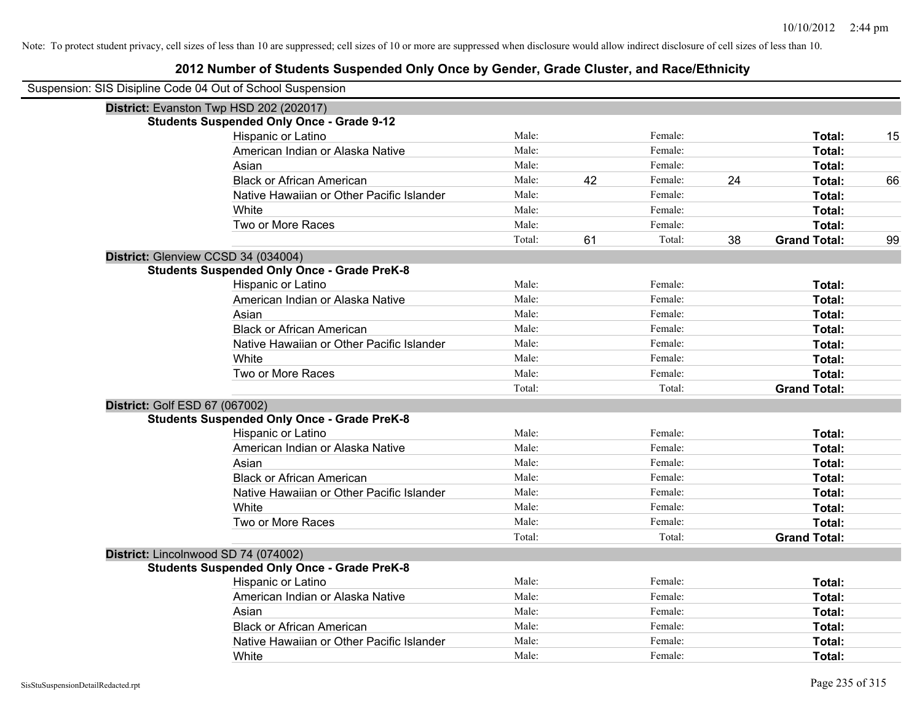| Suspension: SIS Disipline Code 04 Out of School Suspension |                                                    |        |    |         |    |                     |    |
|------------------------------------------------------------|----------------------------------------------------|--------|----|---------|----|---------------------|----|
|                                                            | District: Evanston Twp HSD 202 (202017)            |        |    |         |    |                     |    |
|                                                            | <b>Students Suspended Only Once - Grade 9-12</b>   |        |    |         |    |                     |    |
|                                                            | Hispanic or Latino                                 | Male:  |    | Female: |    | Total:              | 15 |
|                                                            | American Indian or Alaska Native                   | Male:  |    | Female: |    | Total:              |    |
|                                                            | Asian                                              | Male:  |    | Female: |    | Total:              |    |
|                                                            | <b>Black or African American</b>                   | Male:  | 42 | Female: | 24 | Total:              | 66 |
|                                                            | Native Hawaiian or Other Pacific Islander          | Male:  |    | Female: |    | Total:              |    |
|                                                            | White                                              | Male:  |    | Female: |    | Total:              |    |
|                                                            | Two or More Races                                  | Male:  |    | Female: |    | Total:              |    |
|                                                            |                                                    | Total: | 61 | Total:  | 38 | <b>Grand Total:</b> | 99 |
|                                                            | District: Glenview CCSD 34 (034004)                |        |    |         |    |                     |    |
|                                                            | <b>Students Suspended Only Once - Grade PreK-8</b> |        |    |         |    |                     |    |
|                                                            | Hispanic or Latino                                 | Male:  |    | Female: |    | Total:              |    |
|                                                            | American Indian or Alaska Native                   | Male:  |    | Female: |    | Total:              |    |
|                                                            | Asian                                              | Male:  |    | Female: |    | Total:              |    |
|                                                            | <b>Black or African American</b>                   | Male:  |    | Female: |    | Total:              |    |
|                                                            | Native Hawaiian or Other Pacific Islander          | Male:  |    | Female: |    | Total:              |    |
|                                                            | White                                              | Male:  |    | Female: |    | Total:              |    |
|                                                            | Two or More Races                                  | Male:  |    | Female: |    | Total:              |    |
|                                                            |                                                    | Total: |    | Total:  |    | <b>Grand Total:</b> |    |
| District: Golf ESD 67 (067002)                             |                                                    |        |    |         |    |                     |    |
|                                                            | <b>Students Suspended Only Once - Grade PreK-8</b> |        |    |         |    |                     |    |
|                                                            | Hispanic or Latino                                 | Male:  |    | Female: |    | Total:              |    |
|                                                            | American Indian or Alaska Native                   | Male:  |    | Female: |    | Total:              |    |
|                                                            | Asian                                              | Male:  |    | Female: |    | Total:              |    |
|                                                            | <b>Black or African American</b>                   | Male:  |    | Female: |    | Total:              |    |
|                                                            | Native Hawaiian or Other Pacific Islander          | Male:  |    | Female: |    | Total:              |    |
|                                                            | White                                              | Male:  |    | Female: |    | Total:              |    |
|                                                            | Two or More Races                                  | Male:  |    | Female: |    | Total:              |    |
|                                                            |                                                    | Total: |    | Total:  |    | <b>Grand Total:</b> |    |
|                                                            | District: Lincolnwood SD 74 (074002)               |        |    |         |    |                     |    |
|                                                            | <b>Students Suspended Only Once - Grade PreK-8</b> |        |    |         |    |                     |    |
|                                                            | Hispanic or Latino                                 | Male:  |    | Female: |    | Total:              |    |
|                                                            | American Indian or Alaska Native                   | Male:  |    | Female: |    | Total:              |    |
|                                                            | Asian                                              | Male:  |    | Female: |    | Total:              |    |
|                                                            | <b>Black or African American</b>                   | Male:  |    | Female: |    | Total:              |    |
|                                                            | Native Hawaiian or Other Pacific Islander          | Male:  |    | Female: |    | Total:              |    |
|                                                            | White                                              | Male:  |    | Female: |    | Total:              |    |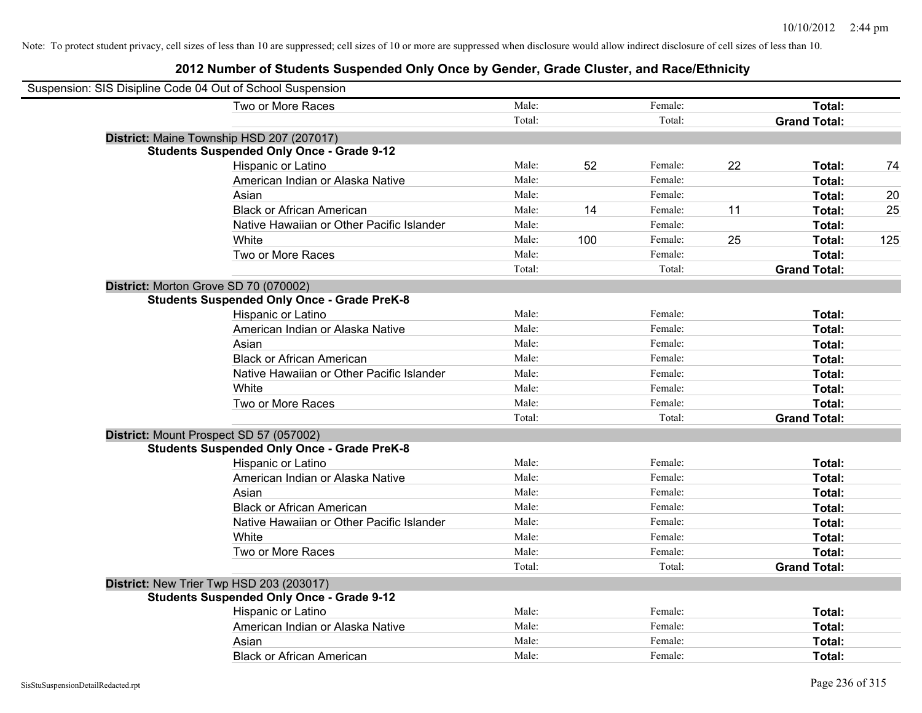| Suspension: SIS Disipline Code 04 Out of School Suspension |        |     |         |    |                     |     |
|------------------------------------------------------------|--------|-----|---------|----|---------------------|-----|
| Two or More Races                                          | Male:  |     | Female: |    | Total:              |     |
|                                                            | Total: |     | Total:  |    | <b>Grand Total:</b> |     |
| District: Maine Township HSD 207 (207017)                  |        |     |         |    |                     |     |
| <b>Students Suspended Only Once - Grade 9-12</b>           |        |     |         |    |                     |     |
| Hispanic or Latino                                         | Male:  | 52  | Female: | 22 | Total:              | 74  |
| American Indian or Alaska Native                           | Male:  |     | Female: |    | Total:              |     |
| Asian                                                      | Male:  |     | Female: |    | Total:              | 20  |
| <b>Black or African American</b>                           | Male:  | 14  | Female: | 11 | Total:              | 25  |
| Native Hawaiian or Other Pacific Islander                  | Male:  |     | Female: |    | Total:              |     |
| White                                                      | Male:  | 100 | Female: | 25 | Total:              | 125 |
| Two or More Races                                          | Male:  |     | Female: |    | Total:              |     |
|                                                            | Total: |     | Total:  |    | <b>Grand Total:</b> |     |
| District: Morton Grove SD 70 (070002)                      |        |     |         |    |                     |     |
| <b>Students Suspended Only Once - Grade PreK-8</b>         |        |     |         |    |                     |     |
| Hispanic or Latino                                         | Male:  |     | Female: |    | Total:              |     |
| American Indian or Alaska Native                           | Male:  |     | Female: |    | Total:              |     |
| Asian                                                      | Male:  |     | Female: |    | Total:              |     |
| <b>Black or African American</b>                           | Male:  |     | Female: |    | Total:              |     |
| Native Hawaiian or Other Pacific Islander                  | Male:  |     | Female: |    | Total:              |     |
| White                                                      | Male:  |     | Female: |    | Total:              |     |
| Two or More Races                                          | Male:  |     | Female: |    | Total:              |     |
|                                                            | Total: |     | Total:  |    | <b>Grand Total:</b> |     |
| District: Mount Prospect SD 57 (057002)                    |        |     |         |    |                     |     |
| <b>Students Suspended Only Once - Grade PreK-8</b>         |        |     |         |    |                     |     |
| Hispanic or Latino                                         | Male:  |     | Female: |    | Total:              |     |
| American Indian or Alaska Native                           | Male:  |     | Female: |    | Total:              |     |
| Asian                                                      | Male:  |     | Female: |    | Total:              |     |
| <b>Black or African American</b>                           | Male:  |     | Female: |    | Total:              |     |
| Native Hawaiian or Other Pacific Islander                  | Male:  |     | Female: |    | Total:              |     |
| White                                                      | Male:  |     | Female: |    | Total:              |     |
| Two or More Races                                          | Male:  |     | Female: |    | Total:              |     |
|                                                            | Total: |     | Total:  |    | <b>Grand Total:</b> |     |
| District: New Trier Twp HSD 203 (203017)                   |        |     |         |    |                     |     |
| <b>Students Suspended Only Once - Grade 9-12</b>           |        |     |         |    |                     |     |
| Hispanic or Latino                                         | Male:  |     | Female: |    | Total:              |     |
| American Indian or Alaska Native                           | Male:  |     | Female: |    | Total:              |     |
| Asian                                                      | Male:  |     | Female: |    | Total:              |     |
| <b>Black or African American</b>                           | Male:  |     | Female: |    | Total:              |     |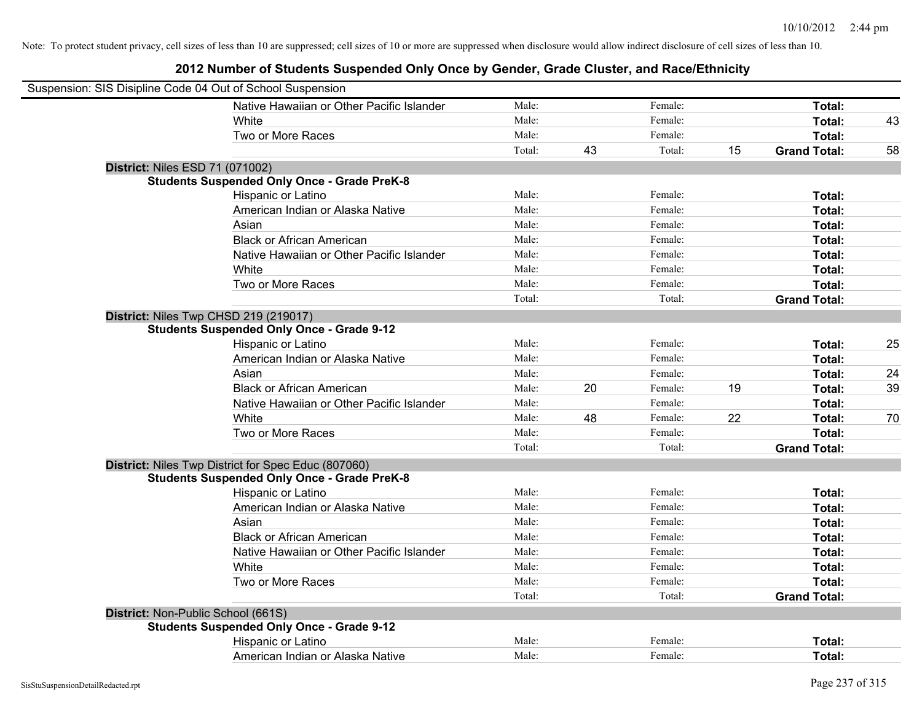| Suspension: SIS Disipline Code 04 Out of School Suspension |                                                     |        |    |         |    |                     |    |
|------------------------------------------------------------|-----------------------------------------------------|--------|----|---------|----|---------------------|----|
|                                                            | Native Hawaiian or Other Pacific Islander           | Male:  |    | Female: |    | Total:              |    |
|                                                            | White                                               | Male:  |    | Female: |    | Total:              | 43 |
|                                                            | Two or More Races                                   | Male:  |    | Female: |    | Total:              |    |
|                                                            |                                                     | Total: | 43 | Total:  | 15 | <b>Grand Total:</b> | 58 |
| <b>District: Niles ESD 71 (071002)</b>                     |                                                     |        |    |         |    |                     |    |
|                                                            | <b>Students Suspended Only Once - Grade PreK-8</b>  |        |    |         |    |                     |    |
|                                                            | Hispanic or Latino                                  | Male:  |    | Female: |    | Total:              |    |
|                                                            | American Indian or Alaska Native                    | Male:  |    | Female: |    | Total:              |    |
|                                                            | Asian                                               | Male:  |    | Female: |    | Total:              |    |
|                                                            | <b>Black or African American</b>                    | Male:  |    | Female: |    | Total:              |    |
|                                                            | Native Hawaiian or Other Pacific Islander           | Male:  |    | Female: |    | Total:              |    |
|                                                            | White                                               | Male:  |    | Female: |    | Total:              |    |
|                                                            | Two or More Races                                   | Male:  |    | Female: |    | Total:              |    |
|                                                            |                                                     | Total: |    | Total:  |    | <b>Grand Total:</b> |    |
|                                                            | District: Niles Twp CHSD 219 (219017)               |        |    |         |    |                     |    |
|                                                            | <b>Students Suspended Only Once - Grade 9-12</b>    |        |    |         |    |                     |    |
|                                                            | Hispanic or Latino                                  | Male:  |    | Female: |    | Total:              | 25 |
|                                                            | American Indian or Alaska Native                    | Male:  |    | Female: |    | Total:              |    |
|                                                            | Asian                                               | Male:  |    | Female: |    | Total:              | 24 |
|                                                            | <b>Black or African American</b>                    | Male:  | 20 | Female: | 19 | Total:              | 39 |
|                                                            | Native Hawaiian or Other Pacific Islander           | Male:  |    | Female: |    | Total:              |    |
|                                                            | White                                               | Male:  | 48 | Female: | 22 | Total:              | 70 |
|                                                            | Two or More Races                                   | Male:  |    | Female: |    | Total:              |    |
|                                                            |                                                     | Total: |    | Total:  |    | <b>Grand Total:</b> |    |
|                                                            | District: Niles Twp District for Spec Educ (807060) |        |    |         |    |                     |    |
|                                                            | <b>Students Suspended Only Once - Grade PreK-8</b>  |        |    |         |    |                     |    |
|                                                            | Hispanic or Latino                                  | Male:  |    | Female: |    | Total:              |    |
|                                                            | American Indian or Alaska Native                    | Male:  |    | Female: |    | Total:              |    |
|                                                            | Asian                                               | Male:  |    | Female: |    | Total:              |    |
|                                                            | <b>Black or African American</b>                    | Male:  |    | Female: |    | Total:              |    |
|                                                            | Native Hawaiian or Other Pacific Islander           | Male:  |    | Female: |    | Total:              |    |
|                                                            | White                                               | Male:  |    | Female: |    | Total:              |    |
|                                                            | Two or More Races                                   | Male:  |    | Female: |    | Total:              |    |
|                                                            |                                                     | Total: |    | Total:  |    | <b>Grand Total:</b> |    |
| District: Non-Public School (661S)                         |                                                     |        |    |         |    |                     |    |
|                                                            | <b>Students Suspended Only Once - Grade 9-12</b>    |        |    |         |    |                     |    |
|                                                            | Hispanic or Latino                                  | Male:  |    | Female: |    | Total:              |    |
|                                                            | American Indian or Alaska Native                    | Male:  |    | Female: |    | Total:              |    |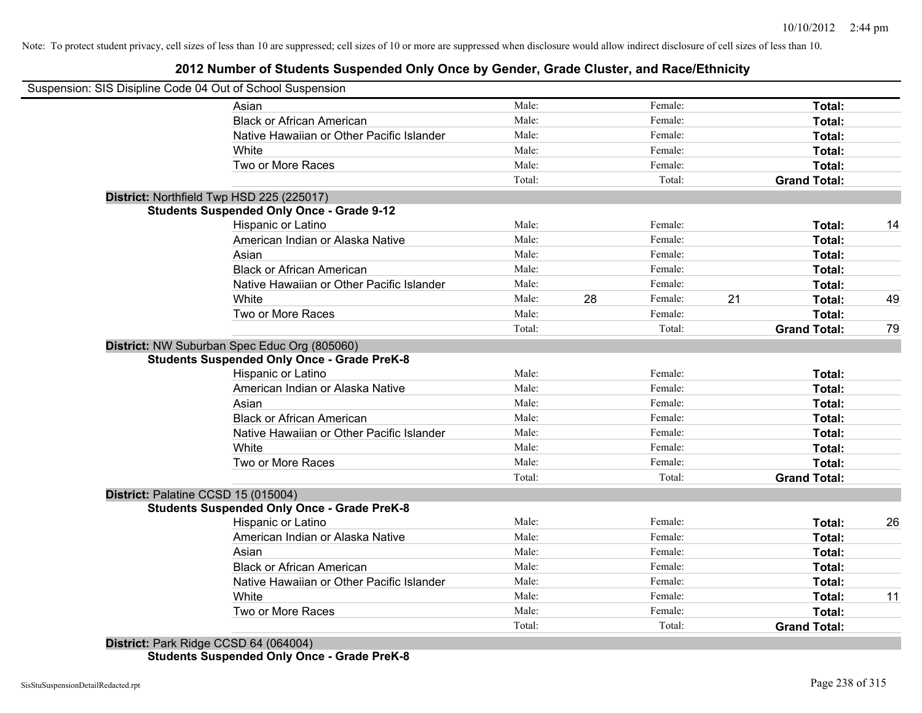# **2012 Number of Students Suspended Only Once by Gender, Grade Cluster, and Race/Ethnicity**

| Suspension: SIS Disipline Code 04 Out of School Suspension |        |    |         |    |                     |    |
|------------------------------------------------------------|--------|----|---------|----|---------------------|----|
| Asian                                                      | Male:  |    | Female: |    | Total:              |    |
| <b>Black or African American</b>                           | Male:  |    | Female: |    | Total:              |    |
| Native Hawaiian or Other Pacific Islander                  | Male:  |    | Female: |    | Total:              |    |
| White                                                      | Male:  |    | Female: |    | Total:              |    |
| Two or More Races                                          | Male:  |    | Female: |    | Total:              |    |
|                                                            | Total: |    | Total:  |    | <b>Grand Total:</b> |    |
| District: Northfield Twp HSD 225 (225017)                  |        |    |         |    |                     |    |
| <b>Students Suspended Only Once - Grade 9-12</b>           |        |    |         |    |                     |    |
| Hispanic or Latino                                         | Male:  |    | Female: |    | Total:              | 14 |
| American Indian or Alaska Native                           | Male:  |    | Female: |    | Total:              |    |
| Asian                                                      | Male:  |    | Female: |    | Total:              |    |
| <b>Black or African American</b>                           | Male:  |    | Female: |    | Total:              |    |
| Native Hawaiian or Other Pacific Islander                  | Male:  |    | Female: |    | Total:              |    |
| White                                                      | Male:  | 28 | Female: | 21 | Total:              | 49 |
| Two or More Races                                          | Male:  |    | Female: |    | Total:              |    |
|                                                            | Total: |    | Total:  |    | <b>Grand Total:</b> | 79 |
| District: NW Suburban Spec Educ Org (805060)               |        |    |         |    |                     |    |
| <b>Students Suspended Only Once - Grade PreK-8</b>         |        |    |         |    |                     |    |
| Hispanic or Latino                                         | Male:  |    | Female: |    | Total:              |    |
| American Indian or Alaska Native                           | Male:  |    | Female: |    | Total:              |    |
| Asian                                                      | Male:  |    | Female: |    | Total:              |    |
| <b>Black or African American</b>                           | Male:  |    | Female: |    | Total:              |    |
| Native Hawaiian or Other Pacific Islander                  | Male:  |    | Female: |    | Total:              |    |
| White                                                      | Male:  |    | Female: |    | Total:              |    |
| Two or More Races                                          | Male:  |    | Female: |    | <b>Total:</b>       |    |
|                                                            | Total: |    | Total:  |    | <b>Grand Total:</b> |    |
| District: Palatine CCSD 15 (015004)                        |        |    |         |    |                     |    |
| <b>Students Suspended Only Once - Grade PreK-8</b>         |        |    |         |    |                     |    |
| Hispanic or Latino                                         | Male:  |    | Female: |    | Total:              | 26 |
| American Indian or Alaska Native                           | Male:  |    | Female: |    | Total:              |    |
| Asian                                                      | Male:  |    | Female: |    | Total:              |    |
| <b>Black or African American</b>                           | Male:  |    | Female: |    | Total:              |    |
| Native Hawaiian or Other Pacific Islander                  | Male:  |    | Female: |    | Total:              |    |
| White                                                      | Male:  |    | Female: |    | Total:              | 11 |
| Two or More Races                                          | Male:  |    | Female: |    | Total:              |    |
|                                                            | Total: |    | Total:  |    | <b>Grand Total:</b> |    |
| $Dio$ triat: Derk Didge CCCD 64 (064004)                   |        |    |         |    |                     |    |

**District:** Park Ridge CCSD 64 (064004) **Students Suspended Only Once - Grade PreK-8**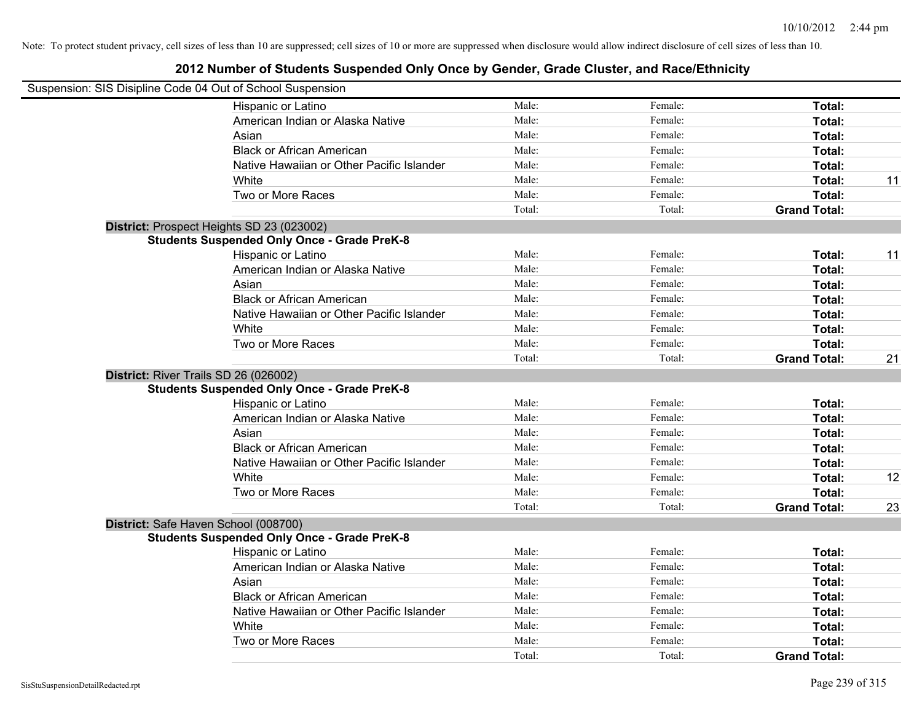| Suspension: SIS Disipline Code 04 Out of School Suspension |        |         |                     |    |
|------------------------------------------------------------|--------|---------|---------------------|----|
| Hispanic or Latino                                         | Male:  | Female: | Total:              |    |
| American Indian or Alaska Native                           | Male:  | Female: | Total:              |    |
| Asian                                                      | Male:  | Female: | Total:              |    |
| <b>Black or African American</b>                           | Male:  | Female: | Total:              |    |
| Native Hawaiian or Other Pacific Islander                  | Male:  | Female: | Total:              |    |
| White                                                      | Male:  | Female: | Total:              | 11 |
| Two or More Races                                          | Male:  | Female: | Total:              |    |
|                                                            | Total: | Total:  | <b>Grand Total:</b> |    |
| District: Prospect Heights SD 23 (023002)                  |        |         |                     |    |
| <b>Students Suspended Only Once - Grade PreK-8</b>         |        |         |                     |    |
| Hispanic or Latino                                         | Male:  | Female: | Total:              | 11 |
| American Indian or Alaska Native                           | Male:  | Female: | Total:              |    |
| Asian                                                      | Male:  | Female: | Total:              |    |
| <b>Black or African American</b>                           | Male:  | Female: | Total:              |    |
| Native Hawaiian or Other Pacific Islander                  | Male:  | Female: | Total:              |    |
| White                                                      | Male:  | Female: | Total:              |    |
| Two or More Races                                          | Male:  | Female: | Total:              |    |
|                                                            | Total: | Total:  | <b>Grand Total:</b> | 21 |
| District: River Trails SD 26 (026002)                      |        |         |                     |    |
| <b>Students Suspended Only Once - Grade PreK-8</b>         |        |         |                     |    |
| Hispanic or Latino                                         | Male:  | Female: | Total:              |    |
| American Indian or Alaska Native                           | Male:  | Female: | Total:              |    |
| Asian                                                      | Male:  | Female: | Total:              |    |
| <b>Black or African American</b>                           | Male:  | Female: | Total:              |    |
| Native Hawaiian or Other Pacific Islander                  | Male:  | Female: | Total:              |    |
| White                                                      | Male:  | Female: | Total:              | 12 |
| Two or More Races                                          | Male:  | Female: | Total:              |    |
|                                                            | Total: | Total:  | <b>Grand Total:</b> | 23 |
| District: Safe Haven School (008700)                       |        |         |                     |    |
| <b>Students Suspended Only Once - Grade PreK-8</b>         |        |         |                     |    |
| Hispanic or Latino                                         | Male:  | Female: | Total:              |    |
| American Indian or Alaska Native                           | Male:  | Female: | Total:              |    |
| Asian                                                      | Male:  | Female: | Total:              |    |
| <b>Black or African American</b>                           | Male:  | Female: | Total:              |    |
| Native Hawaiian or Other Pacific Islander                  | Male:  | Female: | Total:              |    |
| White                                                      | Male:  | Female: | Total:              |    |
| Two or More Races                                          | Male:  | Female: | Total:              |    |
|                                                            | Total: | Total:  | <b>Grand Total:</b> |    |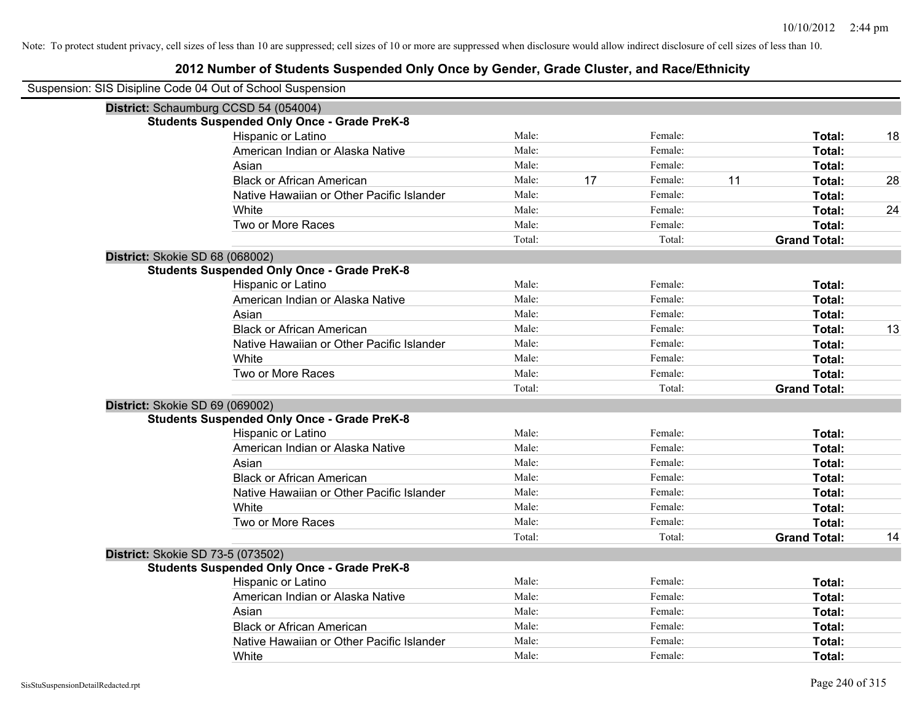| Suspension: SIS Disipline Code 04 Out of School Suspension |                                                    |        |    |         |    |                     |    |
|------------------------------------------------------------|----------------------------------------------------|--------|----|---------|----|---------------------|----|
|                                                            | District: Schaumburg CCSD 54 (054004)              |        |    |         |    |                     |    |
|                                                            | <b>Students Suspended Only Once - Grade PreK-8</b> |        |    |         |    |                     |    |
|                                                            | Hispanic or Latino                                 | Male:  |    | Female: |    | Total:              | 18 |
|                                                            | American Indian or Alaska Native                   | Male:  |    | Female: |    | Total:              |    |
|                                                            | Asian                                              | Male:  |    | Female: |    | Total:              |    |
|                                                            | <b>Black or African American</b>                   | Male:  | 17 | Female: | 11 | Total:              | 28 |
|                                                            | Native Hawaiian or Other Pacific Islander          | Male:  |    | Female: |    | Total:              |    |
|                                                            | White                                              | Male:  |    | Female: |    | Total:              | 24 |
|                                                            | Two or More Races                                  | Male:  |    | Female: |    | Total:              |    |
|                                                            |                                                    | Total: |    | Total:  |    | <b>Grand Total:</b> |    |
| District: Skokie SD 68 (068002)                            |                                                    |        |    |         |    |                     |    |
|                                                            | <b>Students Suspended Only Once - Grade PreK-8</b> |        |    |         |    |                     |    |
|                                                            | Hispanic or Latino                                 | Male:  |    | Female: |    | Total:              |    |
|                                                            | American Indian or Alaska Native                   | Male:  |    | Female: |    | <b>Total:</b>       |    |
|                                                            | Asian                                              | Male:  |    | Female: |    | Total:              |    |
|                                                            | <b>Black or African American</b>                   | Male:  |    | Female: |    | Total:              | 13 |
|                                                            | Native Hawaiian or Other Pacific Islander          | Male:  |    | Female: |    | Total:              |    |
|                                                            | White                                              | Male:  |    | Female: |    | Total:              |    |
|                                                            | Two or More Races                                  | Male:  |    | Female: |    | Total:              |    |
|                                                            |                                                    | Total: |    | Total:  |    | <b>Grand Total:</b> |    |
| District: Skokie SD 69 (069002)                            |                                                    |        |    |         |    |                     |    |
|                                                            | <b>Students Suspended Only Once - Grade PreK-8</b> |        |    |         |    |                     |    |
|                                                            | Hispanic or Latino                                 | Male:  |    | Female: |    | Total:              |    |
|                                                            | American Indian or Alaska Native                   | Male:  |    | Female: |    | Total:              |    |
|                                                            | Asian                                              | Male:  |    | Female: |    | Total:              |    |
|                                                            | <b>Black or African American</b>                   | Male:  |    | Female: |    | Total:              |    |
|                                                            | Native Hawaiian or Other Pacific Islander          | Male:  |    | Female: |    | Total:              |    |
|                                                            | White                                              | Male:  |    | Female: |    | Total:              |    |
|                                                            | Two or More Races                                  | Male:  |    | Female: |    | Total:              |    |
|                                                            |                                                    | Total: |    | Total:  |    | <b>Grand Total:</b> | 14 |
| District: Skokie SD 73-5 (073502)                          |                                                    |        |    |         |    |                     |    |
|                                                            | <b>Students Suspended Only Once - Grade PreK-8</b> |        |    |         |    |                     |    |
|                                                            | Hispanic or Latino                                 | Male:  |    | Female: |    | Total:              |    |
|                                                            | American Indian or Alaska Native                   | Male:  |    | Female: |    | Total:              |    |
|                                                            | Asian                                              | Male:  |    | Female: |    | Total:              |    |
|                                                            | <b>Black or African American</b>                   | Male:  |    | Female: |    | Total:              |    |
|                                                            | Native Hawaiian or Other Pacific Islander          | Male:  |    | Female: |    | Total:              |    |
|                                                            | White                                              | Male:  |    | Female: |    | Total:              |    |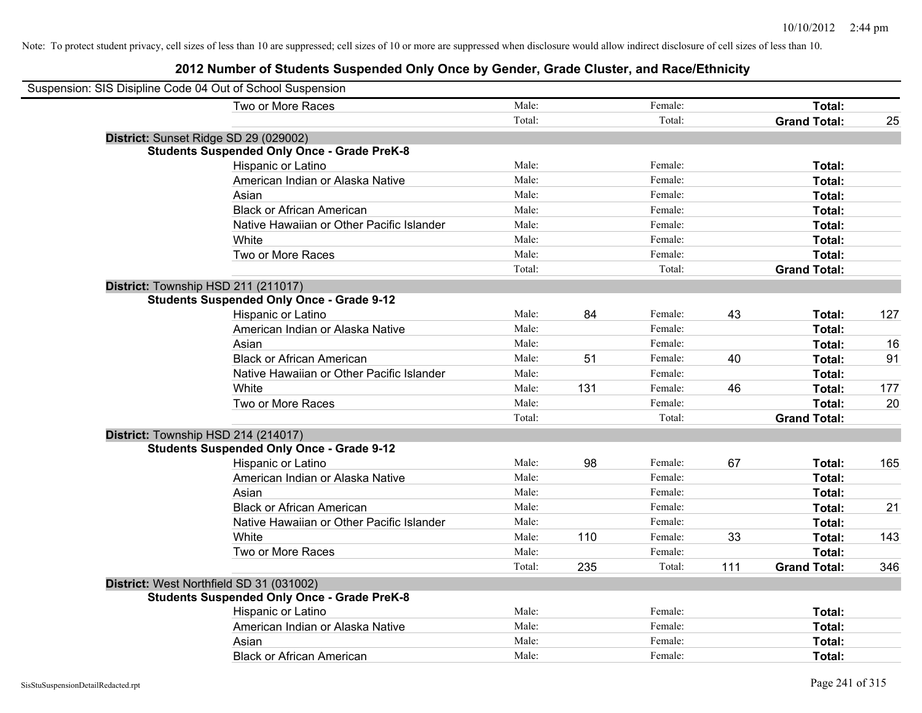| Suspension: SIS Disipline Code 04 Out of School Suspension |                                                    |        |     |         |     |                     |     |
|------------------------------------------------------------|----------------------------------------------------|--------|-----|---------|-----|---------------------|-----|
|                                                            | Two or More Races                                  | Male:  |     | Female: |     | Total:              |     |
|                                                            |                                                    | Total: |     | Total:  |     | <b>Grand Total:</b> | 25  |
| District: Sunset Ridge SD 29 (029002)                      |                                                    |        |     |         |     |                     |     |
|                                                            | <b>Students Suspended Only Once - Grade PreK-8</b> |        |     |         |     |                     |     |
|                                                            | Hispanic or Latino                                 | Male:  |     | Female: |     | Total:              |     |
|                                                            | American Indian or Alaska Native                   | Male:  |     | Female: |     | Total:              |     |
|                                                            | Asian                                              | Male:  |     | Female: |     | Total:              |     |
|                                                            | <b>Black or African American</b>                   | Male:  |     | Female: |     | Total:              |     |
|                                                            | Native Hawaiian or Other Pacific Islander          | Male:  |     | Female: |     | Total:              |     |
|                                                            | White                                              | Male:  |     | Female: |     | Total:              |     |
|                                                            | Two or More Races                                  | Male:  |     | Female: |     | Total:              |     |
|                                                            |                                                    | Total: |     | Total:  |     | <b>Grand Total:</b> |     |
| District: Township HSD 211 (211017)                        |                                                    |        |     |         |     |                     |     |
|                                                            | <b>Students Suspended Only Once - Grade 9-12</b>   |        |     |         |     |                     |     |
|                                                            | Hispanic or Latino                                 | Male:  | 84  | Female: | 43  | Total:              | 127 |
|                                                            | American Indian or Alaska Native                   | Male:  |     | Female: |     | Total:              |     |
|                                                            | Asian                                              | Male:  |     | Female: |     | Total:              | 16  |
|                                                            | <b>Black or African American</b>                   | Male:  | 51  | Female: | 40  | Total:              | 91  |
|                                                            | Native Hawaiian or Other Pacific Islander          | Male:  |     | Female: |     | Total:              |     |
|                                                            | White                                              | Male:  | 131 | Female: | 46  | Total:              | 177 |
|                                                            | Two or More Races                                  | Male:  |     | Female: |     | Total:              | 20  |
|                                                            |                                                    | Total: |     | Total:  |     | <b>Grand Total:</b> |     |
| District: Township HSD 214 (214017)                        |                                                    |        |     |         |     |                     |     |
|                                                            | <b>Students Suspended Only Once - Grade 9-12</b>   |        |     |         |     |                     |     |
|                                                            | Hispanic or Latino                                 | Male:  | 98  | Female: | 67  | Total:              | 165 |
|                                                            | American Indian or Alaska Native                   | Male:  |     | Female: |     | Total:              |     |
|                                                            | Asian                                              | Male:  |     | Female: |     | Total:              |     |
|                                                            | <b>Black or African American</b>                   | Male:  |     | Female: |     | Total:              | 21  |
|                                                            | Native Hawaiian or Other Pacific Islander          | Male:  |     | Female: |     | Total:              |     |
|                                                            | White                                              | Male:  | 110 | Female: | 33  | Total:              | 143 |
|                                                            | Two or More Races                                  | Male:  |     | Female: |     | Total:              |     |
|                                                            |                                                    | Total: | 235 | Total:  | 111 | <b>Grand Total:</b> | 346 |
| District: West Northfield SD 31 (031002)                   |                                                    |        |     |         |     |                     |     |
|                                                            | <b>Students Suspended Only Once - Grade PreK-8</b> |        |     |         |     |                     |     |
|                                                            | Hispanic or Latino                                 | Male:  |     | Female: |     | Total:              |     |
|                                                            | American Indian or Alaska Native                   | Male:  |     | Female: |     | Total:              |     |
|                                                            | Asian                                              | Male:  |     | Female: |     | Total:              |     |
|                                                            | <b>Black or African American</b>                   | Male:  |     | Female: |     | Total:              |     |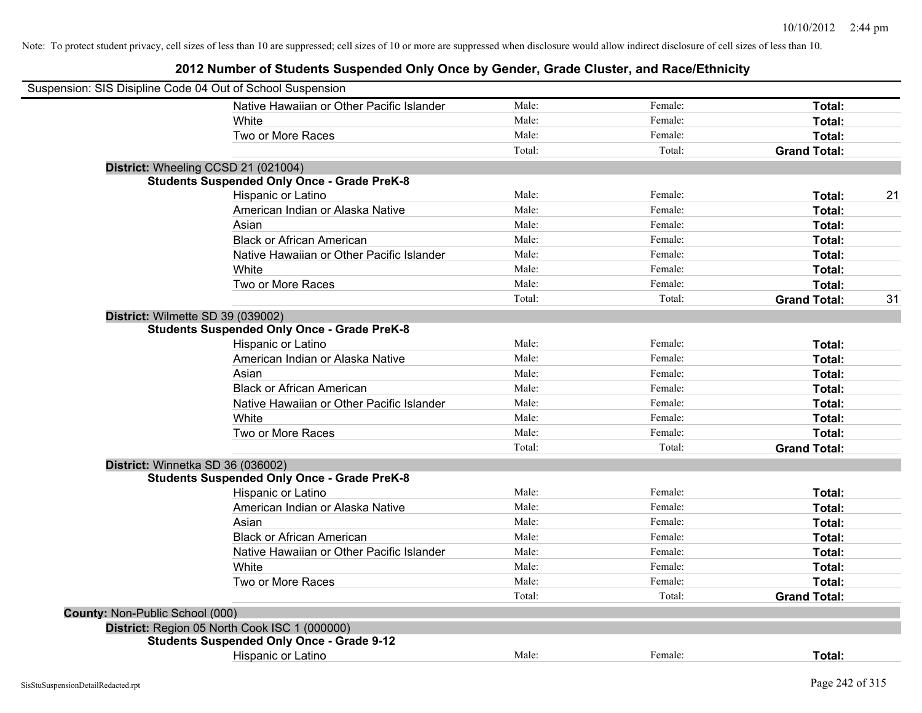|                                        | Suspension: SIS Disipline Code 04 Out of School Suspension |        |         |                     |    |
|----------------------------------------|------------------------------------------------------------|--------|---------|---------------------|----|
|                                        | Native Hawaiian or Other Pacific Islander                  | Male:  | Female: | Total:              |    |
|                                        | White                                                      | Male:  | Female: | Total:              |    |
|                                        | Two or More Races                                          | Male:  | Female: | Total:              |    |
|                                        |                                                            | Total: | Total:  | <b>Grand Total:</b> |    |
|                                        | District: Wheeling CCSD 21 (021004)                        |        |         |                     |    |
|                                        | <b>Students Suspended Only Once - Grade PreK-8</b>         |        |         |                     |    |
|                                        | Hispanic or Latino                                         | Male:  | Female: | Total:              | 21 |
|                                        | American Indian or Alaska Native                           | Male:  | Female: | Total:              |    |
|                                        | Asian                                                      | Male:  | Female: | Total:              |    |
|                                        | <b>Black or African American</b>                           | Male:  | Female: | Total:              |    |
|                                        | Native Hawaiian or Other Pacific Islander                  | Male:  | Female: | Total:              |    |
|                                        | White                                                      | Male:  | Female: | Total:              |    |
|                                        | Two or More Races                                          | Male:  | Female: | Total:              |    |
|                                        |                                                            | Total: | Total:  | <b>Grand Total:</b> | 31 |
|                                        | District: Wilmette SD 39 (039002)                          |        |         |                     |    |
|                                        | <b>Students Suspended Only Once - Grade PreK-8</b>         |        |         |                     |    |
|                                        | Hispanic or Latino                                         | Male:  | Female: | Total:              |    |
|                                        | American Indian or Alaska Native                           | Male:  | Female: | Total:              |    |
|                                        | Asian                                                      | Male:  | Female: | Total:              |    |
|                                        | <b>Black or African American</b>                           | Male:  | Female: | Total:              |    |
|                                        | Native Hawaiian or Other Pacific Islander                  | Male:  | Female: | Total:              |    |
|                                        | White                                                      | Male:  | Female: | Total:              |    |
|                                        | Two or More Races                                          | Male:  | Female: | Total:              |    |
|                                        |                                                            | Total: | Total:  | <b>Grand Total:</b> |    |
|                                        | District: Winnetka SD 36 (036002)                          |        |         |                     |    |
|                                        | <b>Students Suspended Only Once - Grade PreK-8</b>         |        |         |                     |    |
|                                        | Hispanic or Latino                                         | Male:  | Female: | Total:              |    |
|                                        | American Indian or Alaska Native                           | Male:  | Female: | Total:              |    |
|                                        | Asian                                                      | Male:  | Female: | Total:              |    |
|                                        | <b>Black or African American</b>                           | Male:  | Female: | Total:              |    |
|                                        | Native Hawaiian or Other Pacific Islander                  | Male:  | Female: | Total:              |    |
|                                        | White                                                      | Male:  | Female: | Total:              |    |
|                                        | Two or More Races                                          | Male:  | Female: | Total:              |    |
|                                        |                                                            | Total: | Total:  | <b>Grand Total:</b> |    |
| <b>County: Non-Public School (000)</b> |                                                            |        |         |                     |    |
|                                        | District: Region 05 North Cook ISC 1 (000000)              |        |         |                     |    |
|                                        | <b>Students Suspended Only Once - Grade 9-12</b>           |        |         |                     |    |
|                                        | <b>Hispanic or Latino</b>                                  | Male:  | Female: | Total:              |    |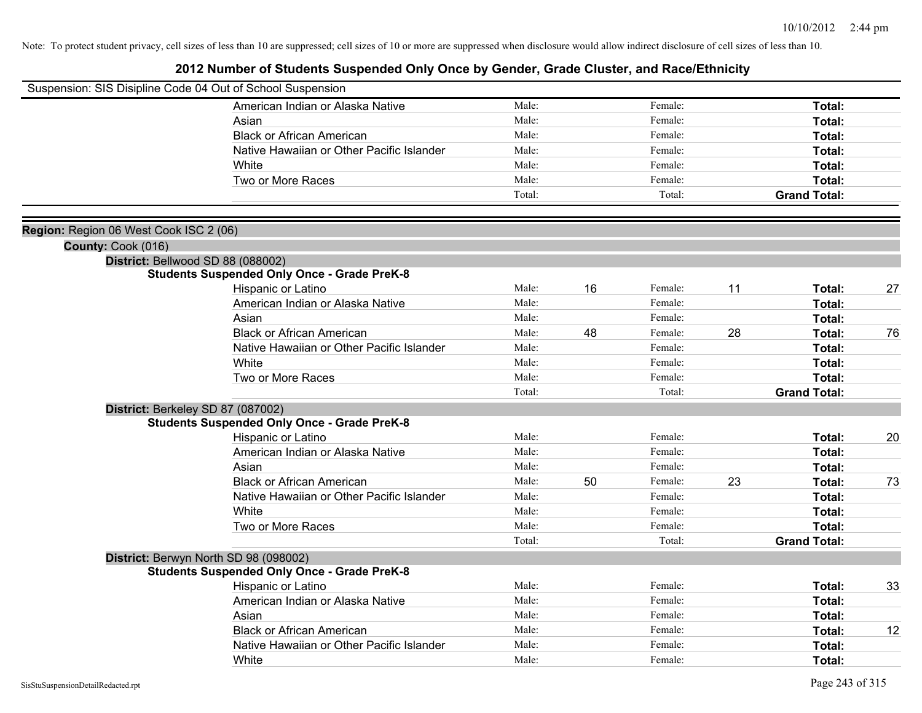|                                        | Suspension: SIS Disipline Code 04 Out of School Suspension |        |    |         |    |                     |    |
|----------------------------------------|------------------------------------------------------------|--------|----|---------|----|---------------------|----|
|                                        | American Indian or Alaska Native                           | Male:  |    | Female: |    | Total:              |    |
|                                        | Asian                                                      | Male:  |    | Female: |    | Total:              |    |
|                                        | <b>Black or African American</b>                           | Male:  |    | Female: |    | Total:              |    |
|                                        | Native Hawaiian or Other Pacific Islander                  | Male:  |    | Female: |    | Total:              |    |
|                                        | White                                                      | Male:  |    | Female: |    | Total:              |    |
|                                        | Two or More Races                                          | Male:  |    | Female: |    | Total:              |    |
|                                        |                                                            | Total: |    | Total:  |    | <b>Grand Total:</b> |    |
|                                        |                                                            |        |    |         |    |                     |    |
| Region: Region 06 West Cook ISC 2 (06) |                                                            |        |    |         |    |                     |    |
| County: Cook (016)                     |                                                            |        |    |         |    |                     |    |
|                                        | District: Bellwood SD 88 (088002)                          |        |    |         |    |                     |    |
|                                        | <b>Students Suspended Only Once - Grade PreK-8</b>         |        |    |         |    |                     |    |
|                                        | Hispanic or Latino                                         | Male:  | 16 | Female: | 11 | Total:              | 27 |
|                                        | American Indian or Alaska Native                           | Male:  |    | Female: |    | Total:              |    |
|                                        | Asian                                                      | Male:  |    | Female: |    | Total:              |    |
|                                        | <b>Black or African American</b>                           | Male:  | 48 | Female: | 28 | Total:              | 76 |
|                                        | Native Hawaiian or Other Pacific Islander                  | Male:  |    | Female: |    | Total:              |    |
|                                        | White                                                      | Male:  |    | Female: |    | Total:              |    |
|                                        | Two or More Races                                          | Male:  |    | Female: |    | Total:              |    |
|                                        |                                                            | Total: |    | Total:  |    | <b>Grand Total:</b> |    |
|                                        | District: Berkeley SD 87 (087002)                          |        |    |         |    |                     |    |
|                                        | <b>Students Suspended Only Once - Grade PreK-8</b>         |        |    |         |    |                     |    |
|                                        | Hispanic or Latino                                         | Male:  |    | Female: |    | Total:              | 20 |
|                                        | American Indian or Alaska Native                           | Male:  |    | Female: |    | Total:              |    |
|                                        | Asian                                                      | Male:  |    | Female: |    | Total:              |    |
|                                        | <b>Black or African American</b>                           | Male:  | 50 | Female: | 23 | Total:              | 73 |
|                                        | Native Hawaiian or Other Pacific Islander                  | Male:  |    | Female: |    | Total:              |    |
|                                        | White                                                      | Male:  |    | Female: |    | Total:              |    |
|                                        | Two or More Races                                          | Male:  |    | Female: |    | Total:              |    |
|                                        |                                                            | Total: |    | Total:  |    | <b>Grand Total:</b> |    |
|                                        | District: Berwyn North SD 98 (098002)                      |        |    |         |    |                     |    |
|                                        | <b>Students Suspended Only Once - Grade PreK-8</b>         |        |    |         |    |                     |    |
|                                        | Hispanic or Latino                                         | Male:  |    | Female: |    | Total:              | 33 |
|                                        | American Indian or Alaska Native                           | Male:  |    | Female: |    | Total:              |    |
|                                        | Asian                                                      | Male:  |    | Female: |    | Total:              |    |
|                                        | <b>Black or African American</b>                           | Male:  |    | Female: |    | Total:              | 12 |
|                                        | Native Hawaiian or Other Pacific Islander                  | Male:  |    | Female: |    | Total:              |    |
|                                        | White                                                      | Male:  |    | Female: |    | Total:              |    |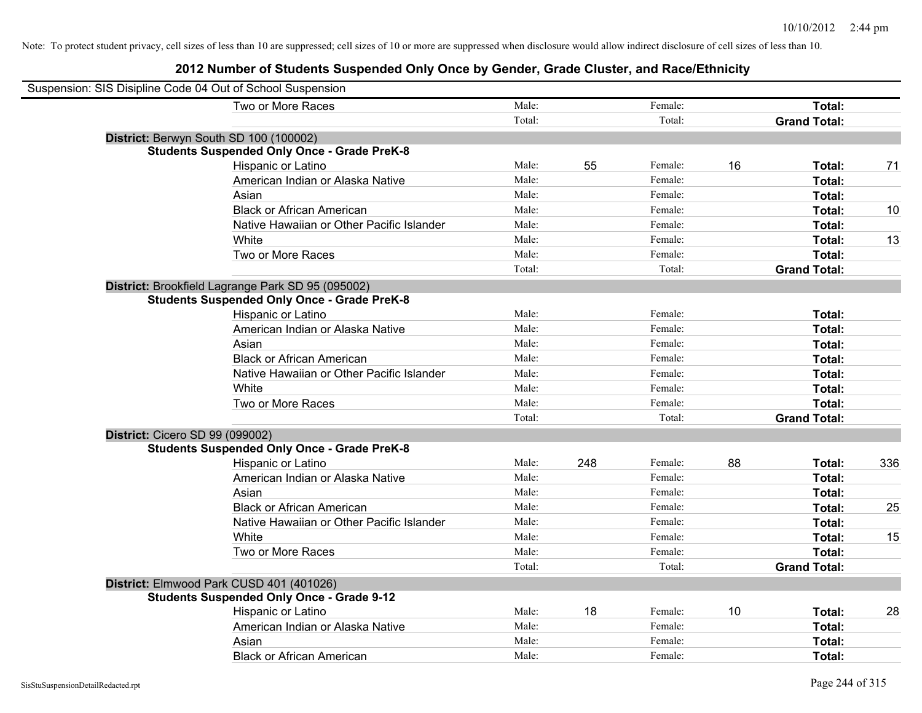| Suspension: SIS Disipline Code 04 Out of School Suspension |                                                    |        |     |         |    |                     |     |
|------------------------------------------------------------|----------------------------------------------------|--------|-----|---------|----|---------------------|-----|
|                                                            | Two or More Races                                  | Male:  |     | Female: |    | Total:              |     |
|                                                            |                                                    | Total: |     | Total:  |    | <b>Grand Total:</b> |     |
|                                                            | District: Berwyn South SD 100 (100002)             |        |     |         |    |                     |     |
|                                                            | <b>Students Suspended Only Once - Grade PreK-8</b> |        |     |         |    |                     |     |
|                                                            | Hispanic or Latino                                 | Male:  | 55  | Female: | 16 | Total:              | 71  |
|                                                            | American Indian or Alaska Native                   | Male:  |     | Female: |    | Total:              |     |
|                                                            | Asian                                              | Male:  |     | Female: |    | Total:              |     |
|                                                            | <b>Black or African American</b>                   | Male:  |     | Female: |    | Total:              | 10  |
|                                                            | Native Hawaiian or Other Pacific Islander          | Male:  |     | Female: |    | Total:              |     |
|                                                            | White                                              | Male:  |     | Female: |    | Total:              | 13  |
|                                                            | Two or More Races                                  | Male:  |     | Female: |    | Total:              |     |
|                                                            |                                                    | Total: |     | Total:  |    | <b>Grand Total:</b> |     |
|                                                            | District: Brookfield Lagrange Park SD 95 (095002)  |        |     |         |    |                     |     |
|                                                            | <b>Students Suspended Only Once - Grade PreK-8</b> |        |     |         |    |                     |     |
|                                                            | Hispanic or Latino                                 | Male:  |     | Female: |    | Total:              |     |
|                                                            | American Indian or Alaska Native                   | Male:  |     | Female: |    | Total:              |     |
|                                                            | Asian                                              | Male:  |     | Female: |    | Total:              |     |
|                                                            | <b>Black or African American</b>                   | Male:  |     | Female: |    | Total:              |     |
|                                                            | Native Hawaiian or Other Pacific Islander          | Male:  |     | Female: |    | Total:              |     |
|                                                            | White                                              | Male:  |     | Female: |    | Total:              |     |
|                                                            | Two or More Races                                  | Male:  |     | Female: |    | Total:              |     |
|                                                            |                                                    | Total: |     | Total:  |    | <b>Grand Total:</b> |     |
| <b>District: Cicero SD 99 (099002)</b>                     |                                                    |        |     |         |    |                     |     |
|                                                            | <b>Students Suspended Only Once - Grade PreK-8</b> |        |     |         |    |                     |     |
|                                                            | Hispanic or Latino                                 | Male:  | 248 | Female: | 88 | Total:              | 336 |
|                                                            | American Indian or Alaska Native                   | Male:  |     | Female: |    | Total:              |     |
|                                                            | Asian                                              | Male:  |     | Female: |    | Total:              |     |
|                                                            | <b>Black or African American</b>                   | Male:  |     | Female: |    | Total:              | 25  |
|                                                            | Native Hawaiian or Other Pacific Islander          | Male:  |     | Female: |    | Total:              |     |
|                                                            | White                                              | Male:  |     | Female: |    | Total:              | 15  |
|                                                            | Two or More Races                                  | Male:  |     | Female: |    | Total:              |     |
|                                                            |                                                    | Total: |     | Total:  |    | <b>Grand Total:</b> |     |
|                                                            | District: Elmwood Park CUSD 401 (401026)           |        |     |         |    |                     |     |
|                                                            | <b>Students Suspended Only Once - Grade 9-12</b>   |        |     |         |    |                     |     |
|                                                            | Hispanic or Latino                                 | Male:  | 18  | Female: | 10 | Total:              | 28  |
|                                                            | American Indian or Alaska Native                   | Male:  |     | Female: |    | Total:              |     |
|                                                            | Asian                                              | Male:  |     | Female: |    | Total:              |     |
|                                                            | <b>Black or African American</b>                   | Male:  |     | Female: |    | Total:              |     |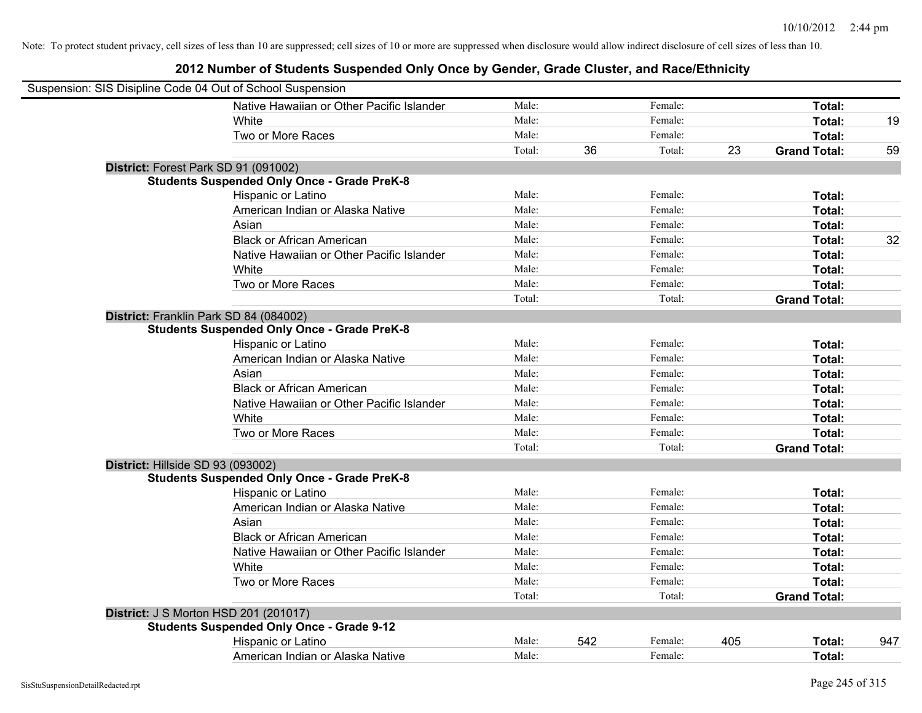| Suspension: SIS Disipline Code 04 Out of School Suspension |        |     |         |     |                     |     |
|------------------------------------------------------------|--------|-----|---------|-----|---------------------|-----|
| Native Hawaiian or Other Pacific Islander                  | Male:  |     | Female: |     | Total:              |     |
| White                                                      | Male:  |     | Female: |     | <b>Total:</b>       | 19  |
| Two or More Races                                          | Male:  |     | Female: |     | Total:              |     |
|                                                            | Total: | 36  | Total:  | 23  | <b>Grand Total:</b> | 59  |
| District: Forest Park SD 91 (091002)                       |        |     |         |     |                     |     |
| <b>Students Suspended Only Once - Grade PreK-8</b>         |        |     |         |     |                     |     |
| Hispanic or Latino                                         | Male:  |     | Female: |     | Total:              |     |
| American Indian or Alaska Native                           | Male:  |     | Female: |     | Total:              |     |
| Asian                                                      | Male:  |     | Female: |     | Total:              |     |
| <b>Black or African American</b>                           | Male:  |     | Female: |     | Total:              | 32  |
| Native Hawaiian or Other Pacific Islander                  | Male:  |     | Female: |     | Total:              |     |
| White                                                      | Male:  |     | Female: |     | Total:              |     |
| Two or More Races                                          | Male:  |     | Female: |     | Total:              |     |
|                                                            | Total: |     | Total:  |     | <b>Grand Total:</b> |     |
| District: Franklin Park SD 84 (084002)                     |        |     |         |     |                     |     |
| <b>Students Suspended Only Once - Grade PreK-8</b>         |        |     |         |     |                     |     |
| Hispanic or Latino                                         | Male:  |     | Female: |     | Total:              |     |
| American Indian or Alaska Native                           | Male:  |     | Female: |     | Total:              |     |
| Asian                                                      | Male:  |     | Female: |     | Total:              |     |
| <b>Black or African American</b>                           | Male:  |     | Female: |     | Total:              |     |
| Native Hawaiian or Other Pacific Islander                  | Male:  |     | Female: |     | Total:              |     |
| White                                                      | Male:  |     | Female: |     | Total:              |     |
| Two or More Races                                          | Male:  |     | Female: |     | Total:              |     |
|                                                            | Total: |     | Total:  |     | <b>Grand Total:</b> |     |
| District: Hillside SD 93 (093002)                          |        |     |         |     |                     |     |
| <b>Students Suspended Only Once - Grade PreK-8</b>         |        |     |         |     |                     |     |
| Hispanic or Latino                                         | Male:  |     | Female: |     | Total:              |     |
| American Indian or Alaska Native                           | Male:  |     | Female: |     | Total:              |     |
| Asian                                                      | Male:  |     | Female: |     | Total:              |     |
| <b>Black or African American</b>                           | Male:  |     | Female: |     | Total:              |     |
| Native Hawaiian or Other Pacific Islander                  | Male:  |     | Female: |     | Total:              |     |
| White                                                      | Male:  |     | Female: |     | Total:              |     |
| Two or More Races                                          | Male:  |     | Female: |     | Total:              |     |
|                                                            | Total: |     | Total:  |     | <b>Grand Total:</b> |     |
| <b>District: J S Morton HSD 201 (201017)</b>               |        |     |         |     |                     |     |
| <b>Students Suspended Only Once - Grade 9-12</b>           |        |     |         |     |                     |     |
| Hispanic or Latino                                         | Male:  | 542 | Female: | 405 | Total:              | 947 |
| American Indian or Alaska Native                           | Male:  |     | Female: |     | Total:              |     |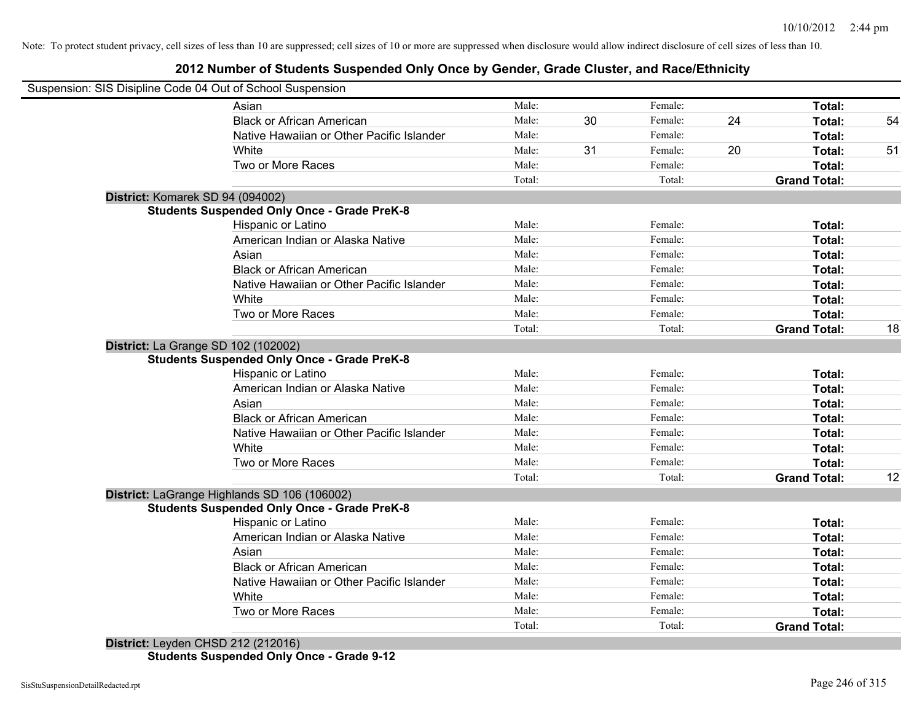#### **2012 Number of Students Suspended Only Once by Gender, Grade Cluster, and Race/Ethnicity**

|                                  | Suspension: SIS Disipline Code 04 Out of School Suspension |        |    |         |    |                     |    |
|----------------------------------|------------------------------------------------------------|--------|----|---------|----|---------------------|----|
|                                  | Asian                                                      | Male:  |    | Female: |    | Total:              |    |
|                                  | <b>Black or African American</b>                           | Male:  | 30 | Female: | 24 | Total:              | 54 |
|                                  | Native Hawaiian or Other Pacific Islander                  | Male:  |    | Female: |    | Total:              |    |
|                                  | White                                                      | Male:  | 31 | Female: | 20 | Total:              | 51 |
|                                  | Two or More Races                                          | Male:  |    | Female: |    | Total:              |    |
|                                  |                                                            | Total: |    | Total:  |    | <b>Grand Total:</b> |    |
| District: Komarek SD 94 (094002) |                                                            |        |    |         |    |                     |    |
|                                  | <b>Students Suspended Only Once - Grade PreK-8</b>         |        |    |         |    |                     |    |
|                                  | Hispanic or Latino                                         | Male:  |    | Female: |    | Total:              |    |
|                                  | American Indian or Alaska Native                           | Male:  |    | Female: |    | Total:              |    |
|                                  | Asian                                                      | Male:  |    | Female: |    | Total:              |    |
|                                  | <b>Black or African American</b>                           | Male:  |    | Female: |    | Total:              |    |
|                                  | Native Hawaiian or Other Pacific Islander                  | Male:  |    | Female: |    | Total:              |    |
|                                  | White                                                      | Male:  |    | Female: |    | Total:              |    |
|                                  | Two or More Races                                          | Male:  |    | Female: |    | Total:              |    |
|                                  |                                                            | Total: |    | Total:  |    | <b>Grand Total:</b> | 18 |
|                                  | District: La Grange SD 102 (102002)                        |        |    |         |    |                     |    |
|                                  | <b>Students Suspended Only Once - Grade PreK-8</b>         |        |    |         |    |                     |    |
|                                  | Hispanic or Latino                                         | Male:  |    | Female: |    | Total:              |    |
|                                  | American Indian or Alaska Native                           | Male:  |    | Female: |    | Total:              |    |
|                                  | Asian                                                      | Male:  |    | Female: |    | Total:              |    |
|                                  | <b>Black or African American</b>                           | Male:  |    | Female: |    | Total:              |    |
|                                  | Native Hawaiian or Other Pacific Islander                  | Male:  |    | Female: |    | Total:              |    |
|                                  | White                                                      | Male:  |    | Female: |    | Total:              |    |
|                                  | Two or More Races                                          | Male:  |    | Female: |    | Total:              |    |
|                                  |                                                            | Total: |    | Total:  |    | <b>Grand Total:</b> | 12 |
|                                  | District: LaGrange Highlands SD 106 (106002)               |        |    |         |    |                     |    |
|                                  | <b>Students Suspended Only Once - Grade PreK-8</b>         |        |    |         |    |                     |    |
|                                  | Hispanic or Latino                                         | Male:  |    | Female: |    | Total:              |    |
|                                  | American Indian or Alaska Native                           | Male:  |    | Female: |    | Total:              |    |
|                                  | Asian                                                      | Male:  |    | Female: |    | Total:              |    |
|                                  | <b>Black or African American</b>                           | Male:  |    | Female: |    | Total:              |    |
|                                  | Native Hawaiian or Other Pacific Islander                  | Male:  |    | Female: |    | Total:              |    |
|                                  | White                                                      | Male:  |    | Female: |    | Total:              |    |
|                                  | Two or More Races                                          | Male:  |    | Female: |    | Total:              |    |
|                                  |                                                            | Total: |    | Total:  |    | <b>Grand Total:</b> |    |

**Students Suspended Only Once - Grade 9-12**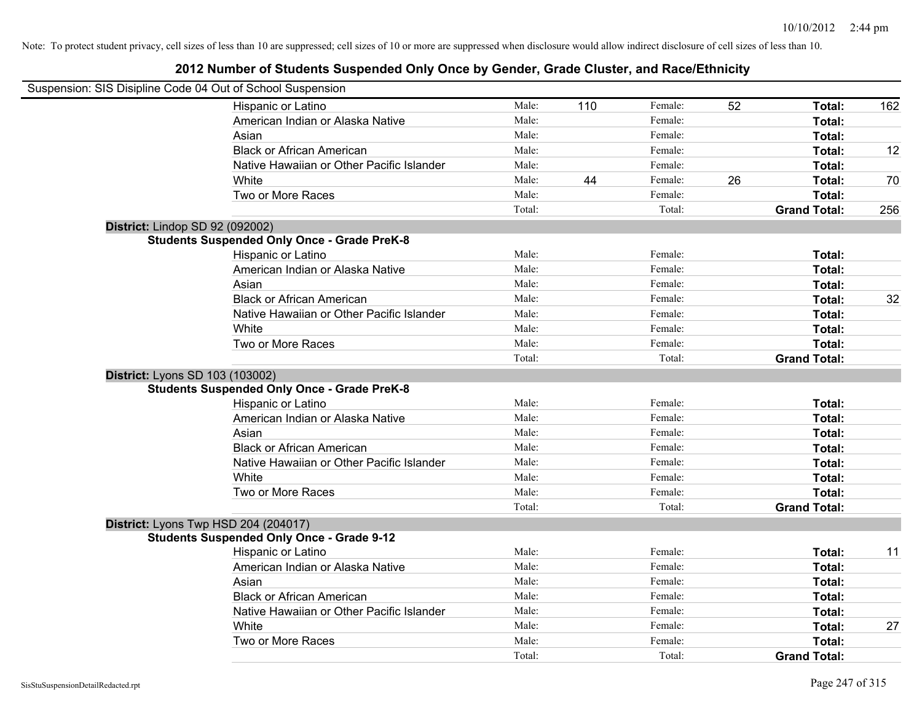| Suspension: SIS Disipline Code 04 Out of School Suspension |        |     |         |    |                     |     |
|------------------------------------------------------------|--------|-----|---------|----|---------------------|-----|
| Hispanic or Latino                                         | Male:  | 110 | Female: | 52 | Total:              | 162 |
| American Indian or Alaska Native                           | Male:  |     | Female: |    | Total:              |     |
| Asian                                                      | Male:  |     | Female: |    | Total:              |     |
| <b>Black or African American</b>                           | Male:  |     | Female: |    | Total:              | 12  |
| Native Hawaiian or Other Pacific Islander                  | Male:  |     | Female: |    | Total:              |     |
| White                                                      | Male:  | 44  | Female: | 26 | Total:              | 70  |
| Two or More Races                                          | Male:  |     | Female: |    | Total:              |     |
|                                                            | Total: |     | Total:  |    | <b>Grand Total:</b> | 256 |
| District: Lindop SD 92 (092002)                            |        |     |         |    |                     |     |
| <b>Students Suspended Only Once - Grade PreK-8</b>         |        |     |         |    |                     |     |
| Hispanic or Latino                                         | Male:  |     | Female: |    | Total:              |     |
| American Indian or Alaska Native                           | Male:  |     | Female: |    | Total:              |     |
| Asian                                                      | Male:  |     | Female: |    | Total:              |     |
| <b>Black or African American</b>                           | Male:  |     | Female: |    | Total:              | 32  |
| Native Hawaiian or Other Pacific Islander                  | Male:  |     | Female: |    | Total:              |     |
| White                                                      | Male:  |     | Female: |    | Total:              |     |
| Two or More Races                                          | Male:  |     | Female: |    | Total:              |     |
|                                                            | Total: |     | Total:  |    | <b>Grand Total:</b> |     |
| District: Lyons SD 103 (103002)                            |        |     |         |    |                     |     |
| <b>Students Suspended Only Once - Grade PreK-8</b>         |        |     |         |    |                     |     |
| Hispanic or Latino                                         | Male:  |     | Female: |    | Total:              |     |
| American Indian or Alaska Native                           | Male:  |     | Female: |    | Total:              |     |
| Asian                                                      | Male:  |     | Female: |    | Total:              |     |
| <b>Black or African American</b>                           | Male:  |     | Female: |    | Total:              |     |
| Native Hawaiian or Other Pacific Islander                  | Male:  |     | Female: |    | Total:              |     |
| White                                                      | Male:  |     | Female: |    | Total:              |     |
| Two or More Races                                          | Male:  |     | Female: |    | Total:              |     |
|                                                            | Total: |     | Total:  |    | <b>Grand Total:</b> |     |
| District: Lyons Twp HSD 204 (204017)                       |        |     |         |    |                     |     |
| <b>Students Suspended Only Once - Grade 9-12</b>           |        |     |         |    |                     |     |
| Hispanic or Latino                                         | Male:  |     | Female: |    | Total:              | 11  |
| American Indian or Alaska Native                           | Male:  |     | Female: |    | Total:              |     |
| Asian                                                      | Male:  |     | Female: |    | Total:              |     |
| <b>Black or African American</b>                           | Male:  |     | Female: |    | Total:              |     |
| Native Hawaiian or Other Pacific Islander                  | Male:  |     | Female: |    | Total:              |     |
| White                                                      | Male:  |     | Female: |    | Total:              | 27  |
| Two or More Races                                          | Male:  |     | Female: |    | Total:              |     |
|                                                            | Total: |     | Total:  |    | <b>Grand Total:</b> |     |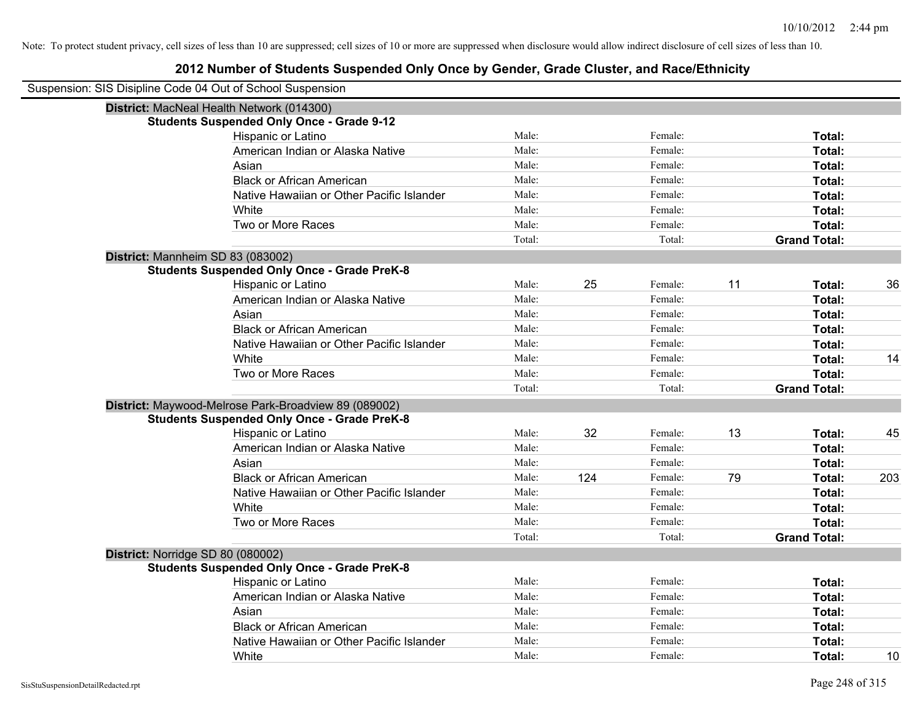| Suspension: SIS Disipline Code 04 Out of School Suspension |                                                      |        |     |         |    |                     |     |
|------------------------------------------------------------|------------------------------------------------------|--------|-----|---------|----|---------------------|-----|
|                                                            | District: MacNeal Health Network (014300)            |        |     |         |    |                     |     |
|                                                            | <b>Students Suspended Only Once - Grade 9-12</b>     |        |     |         |    |                     |     |
|                                                            | Hispanic or Latino                                   | Male:  |     | Female: |    | Total:              |     |
|                                                            | American Indian or Alaska Native                     | Male:  |     | Female: |    | Total:              |     |
|                                                            | Asian                                                | Male:  |     | Female: |    | Total:              |     |
|                                                            | <b>Black or African American</b>                     | Male:  |     | Female: |    | Total:              |     |
|                                                            | Native Hawaiian or Other Pacific Islander            | Male:  |     | Female: |    | Total:              |     |
|                                                            | White                                                | Male:  |     | Female: |    | Total:              |     |
|                                                            | Two or More Races                                    | Male:  |     | Female: |    | Total:              |     |
|                                                            |                                                      | Total: |     | Total:  |    | <b>Grand Total:</b> |     |
| District: Mannheim SD 83 (083002)                          |                                                      |        |     |         |    |                     |     |
|                                                            | <b>Students Suspended Only Once - Grade PreK-8</b>   |        |     |         |    |                     |     |
|                                                            | Hispanic or Latino                                   | Male:  | 25  | Female: | 11 | Total:              | 36  |
|                                                            | American Indian or Alaska Native                     | Male:  |     | Female: |    | Total:              |     |
|                                                            | Asian                                                | Male:  |     | Female: |    | Total:              |     |
|                                                            | <b>Black or African American</b>                     | Male:  |     | Female: |    | Total:              |     |
|                                                            | Native Hawaiian or Other Pacific Islander            | Male:  |     | Female: |    | Total:              |     |
|                                                            | White                                                | Male:  |     | Female: |    | Total:              | 14  |
|                                                            | Two or More Races                                    | Male:  |     | Female: |    | Total:              |     |
|                                                            |                                                      | Total: |     | Total:  |    | <b>Grand Total:</b> |     |
|                                                            | District: Maywood-Melrose Park-Broadview 89 (089002) |        |     |         |    |                     |     |
|                                                            | <b>Students Suspended Only Once - Grade PreK-8</b>   |        |     |         |    |                     |     |
|                                                            | Hispanic or Latino                                   | Male:  | 32  | Female: | 13 | Total:              | 45  |
|                                                            | American Indian or Alaska Native                     | Male:  |     | Female: |    | Total:              |     |
|                                                            | Asian                                                | Male:  |     | Female: |    | Total:              |     |
|                                                            | <b>Black or African American</b>                     | Male:  | 124 | Female: | 79 | Total:              | 203 |
|                                                            | Native Hawaiian or Other Pacific Islander            | Male:  |     | Female: |    | Total:              |     |
|                                                            | White                                                | Male:  |     | Female: |    | Total:              |     |
|                                                            | Two or More Races                                    | Male:  |     | Female: |    | Total:              |     |
|                                                            |                                                      | Total: |     | Total:  |    | <b>Grand Total:</b> |     |
| District: Norridge SD 80 (080002)                          |                                                      |        |     |         |    |                     |     |
|                                                            | <b>Students Suspended Only Once - Grade PreK-8</b>   |        |     |         |    |                     |     |
|                                                            | Hispanic or Latino                                   | Male:  |     | Female: |    | Total:              |     |
|                                                            | American Indian or Alaska Native                     | Male:  |     | Female: |    | Total:              |     |
|                                                            | Asian                                                | Male:  |     | Female: |    | Total:              |     |
|                                                            | <b>Black or African American</b>                     | Male:  |     | Female: |    | Total:              |     |
|                                                            | Native Hawaiian or Other Pacific Islander            | Male:  |     | Female: |    | Total:              |     |
|                                                            | White                                                | Male:  |     | Female: |    | Total:              | 10  |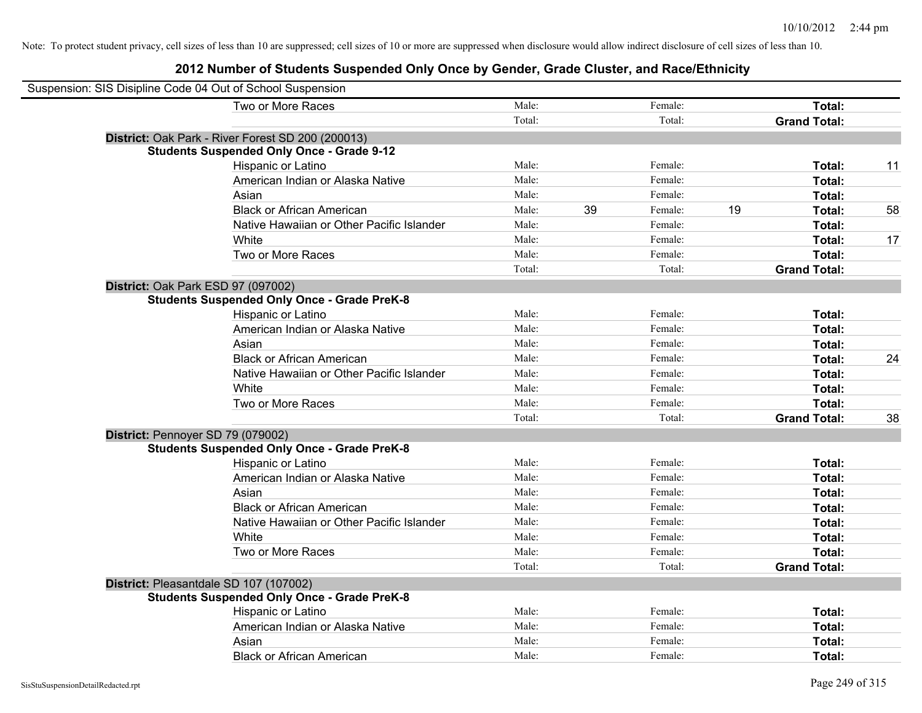| Suspension: SIS Disipline Code 04 Out of School Suspension |        |    |         |    |                     |    |
|------------------------------------------------------------|--------|----|---------|----|---------------------|----|
| Two or More Races                                          | Male:  |    | Female: |    | Total:              |    |
|                                                            | Total: |    | Total:  |    | <b>Grand Total:</b> |    |
| District: Oak Park - River Forest SD 200 (200013)          |        |    |         |    |                     |    |
| <b>Students Suspended Only Once - Grade 9-12</b>           |        |    |         |    |                     |    |
| Hispanic or Latino                                         | Male:  |    | Female: |    | Total:              | 11 |
| American Indian or Alaska Native                           | Male:  |    | Female: |    | Total:              |    |
| Asian                                                      | Male:  |    | Female: |    | Total:              |    |
| <b>Black or African American</b>                           | Male:  | 39 | Female: | 19 | Total:              | 58 |
| Native Hawaiian or Other Pacific Islander                  | Male:  |    | Female: |    | Total:              |    |
| White                                                      | Male:  |    | Female: |    | Total:              | 17 |
| Two or More Races                                          | Male:  |    | Female: |    | Total:              |    |
|                                                            | Total: |    | Total:  |    | <b>Grand Total:</b> |    |
| District: Oak Park ESD 97 (097002)                         |        |    |         |    |                     |    |
| <b>Students Suspended Only Once - Grade PreK-8</b>         |        |    |         |    |                     |    |
| Hispanic or Latino                                         | Male:  |    | Female: |    | Total:              |    |
| American Indian or Alaska Native                           | Male:  |    | Female: |    | Total:              |    |
| Asian                                                      | Male:  |    | Female: |    | Total:              |    |
| <b>Black or African American</b>                           | Male:  |    | Female: |    | Total:              | 24 |
| Native Hawaiian or Other Pacific Islander                  | Male:  |    | Female: |    | Total:              |    |
| White                                                      | Male:  |    | Female: |    | Total:              |    |
| Two or More Races                                          | Male:  |    | Female: |    | Total:              |    |
|                                                            | Total: |    | Total:  |    | <b>Grand Total:</b> | 38 |
| District: Pennoyer SD 79 (079002)                          |        |    |         |    |                     |    |
| <b>Students Suspended Only Once - Grade PreK-8</b>         |        |    |         |    |                     |    |
| Hispanic or Latino                                         | Male:  |    | Female: |    | Total:              |    |
| American Indian or Alaska Native                           | Male:  |    | Female: |    | Total:              |    |
| Asian                                                      | Male:  |    | Female: |    | Total:              |    |
| <b>Black or African American</b>                           | Male:  |    | Female: |    | Total:              |    |
| Native Hawaiian or Other Pacific Islander                  | Male:  |    | Female: |    | Total:              |    |
| White                                                      | Male:  |    | Female: |    | Total:              |    |
| Two or More Races                                          | Male:  |    | Female: |    | Total:              |    |
|                                                            | Total: |    | Total:  |    | <b>Grand Total:</b> |    |
| District: Pleasantdale SD 107 (107002)                     |        |    |         |    |                     |    |
| <b>Students Suspended Only Once - Grade PreK-8</b>         |        |    |         |    |                     |    |
| Hispanic or Latino                                         | Male:  |    | Female: |    | Total:              |    |
| American Indian or Alaska Native                           | Male:  |    | Female: |    | Total:              |    |
| Asian                                                      | Male:  |    | Female: |    | Total:              |    |
| <b>Black or African American</b>                           | Male:  |    | Female: |    | Total:              |    |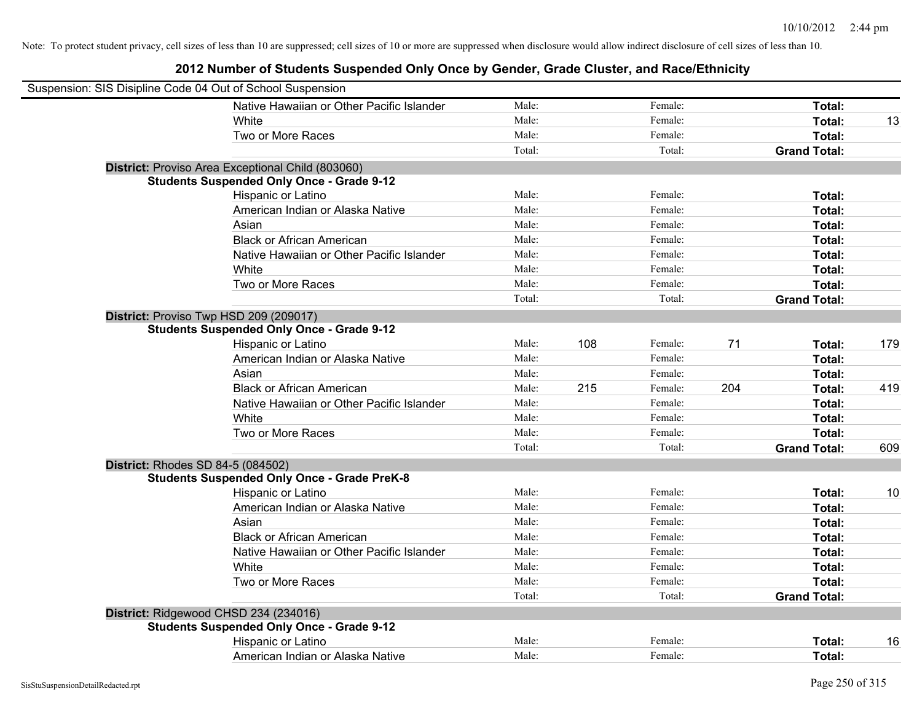| Suspension: SIS Disipline Code 04 Out of School Suspension |        |     |         |     |                     |     |
|------------------------------------------------------------|--------|-----|---------|-----|---------------------|-----|
| Native Hawaiian or Other Pacific Islander                  | Male:  |     | Female: |     | Total:              |     |
| White                                                      | Male:  |     | Female: |     | Total:              | 13  |
| Two or More Races                                          | Male:  |     | Female: |     | Total:              |     |
|                                                            | Total: |     | Total:  |     | <b>Grand Total:</b> |     |
| District: Proviso Area Exceptional Child (803060)          |        |     |         |     |                     |     |
| <b>Students Suspended Only Once - Grade 9-12</b>           |        |     |         |     |                     |     |
| Hispanic or Latino                                         | Male:  |     | Female: |     | Total:              |     |
| American Indian or Alaska Native                           | Male:  |     | Female: |     | Total:              |     |
| Asian                                                      | Male:  |     | Female: |     | Total:              |     |
| <b>Black or African American</b>                           | Male:  |     | Female: |     | Total:              |     |
| Native Hawaiian or Other Pacific Islander                  | Male:  |     | Female: |     | Total:              |     |
| White                                                      | Male:  |     | Female: |     | Total:              |     |
| Two or More Races                                          | Male:  |     | Female: |     | Total:              |     |
|                                                            | Total: |     | Total:  |     | <b>Grand Total:</b> |     |
| District: Proviso Twp HSD 209 (209017)                     |        |     |         |     |                     |     |
| <b>Students Suspended Only Once - Grade 9-12</b>           |        |     |         |     |                     |     |
| Hispanic or Latino                                         | Male:  | 108 | Female: | 71  | Total:              | 179 |
| American Indian or Alaska Native                           | Male:  |     | Female: |     | Total:              |     |
| Asian                                                      | Male:  |     | Female: |     | Total:              |     |
| <b>Black or African American</b>                           | Male:  | 215 | Female: | 204 | Total:              | 419 |
| Native Hawaiian or Other Pacific Islander                  | Male:  |     | Female: |     | Total:              |     |
| White                                                      | Male:  |     | Female: |     | Total:              |     |
| Two or More Races                                          | Male:  |     | Female: |     | Total:              |     |
|                                                            | Total: |     | Total:  |     | <b>Grand Total:</b> | 609 |
| <b>District: Rhodes SD 84-5 (084502)</b>                   |        |     |         |     |                     |     |
| <b>Students Suspended Only Once - Grade PreK-8</b>         |        |     |         |     |                     |     |
| Hispanic or Latino                                         | Male:  |     | Female: |     | Total:              | 10  |
| American Indian or Alaska Native                           | Male:  |     | Female: |     | Total:              |     |
| Asian                                                      | Male:  |     | Female: |     | Total:              |     |
| <b>Black or African American</b>                           | Male:  |     | Female: |     | Total:              |     |
| Native Hawaiian or Other Pacific Islander                  | Male:  |     | Female: |     | Total:              |     |
| White                                                      | Male:  |     | Female: |     | Total:              |     |
| Two or More Races                                          | Male:  |     | Female: |     | Total:              |     |
|                                                            | Total: |     | Total:  |     | <b>Grand Total:</b> |     |
| District: Ridgewood CHSD 234 (234016)                      |        |     |         |     |                     |     |
| <b>Students Suspended Only Once - Grade 9-12</b>           |        |     |         |     |                     |     |
| Hispanic or Latino                                         | Male:  |     | Female: |     | Total:              | 16  |
| American Indian or Alaska Native                           | Male:  |     | Female: |     | Total:              |     |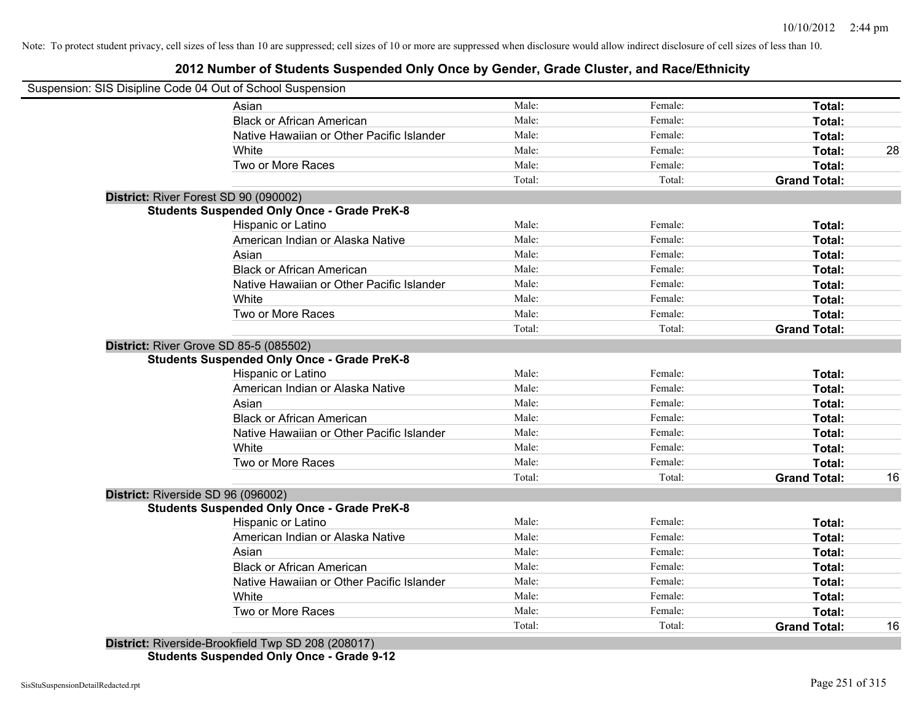#### **2012 Number of Students Suspended Only Once by Gender, Grade Cluster, and Race/Ethnicity**

|                                    | Suspension: SIS Disipline Code 04 Out of School Suspension               |        |         |                     |    |
|------------------------------------|--------------------------------------------------------------------------|--------|---------|---------------------|----|
|                                    | Asian                                                                    | Male:  | Female: | Total:              |    |
|                                    | <b>Black or African American</b>                                         | Male:  | Female: | Total:              |    |
|                                    | Native Hawaiian or Other Pacific Islander                                | Male:  | Female: | Total:              |    |
|                                    | White                                                                    | Male:  | Female: | Total:              | 28 |
|                                    | Two or More Races                                                        | Male:  | Female: | Total:              |    |
|                                    |                                                                          | Total: | Total:  | <b>Grand Total:</b> |    |
|                                    | District: River Forest SD 90 (090002)                                    |        |         |                     |    |
|                                    | <b>Students Suspended Only Once - Grade PreK-8</b>                       |        |         |                     |    |
|                                    | Hispanic or Latino                                                       | Male:  | Female: | Total:              |    |
|                                    | American Indian or Alaska Native                                         | Male:  | Female: | Total:              |    |
|                                    | Asian                                                                    | Male:  | Female: | Total:              |    |
|                                    | <b>Black or African American</b>                                         | Male:  | Female: | Total:              |    |
|                                    | Native Hawaiian or Other Pacific Islander                                | Male:  | Female: | Total:              |    |
|                                    | White                                                                    | Male:  | Female: | Total:              |    |
|                                    | Two or More Races                                                        | Male:  | Female: | Total:              |    |
|                                    |                                                                          | Total: | Total:  | <b>Grand Total:</b> |    |
|                                    | <b>District: River Grove SD 85-5 (085502)</b>                            |        |         |                     |    |
|                                    | <b>Students Suspended Only Once - Grade PreK-8</b><br>Hispanic or Latino | Male:  | Female: | Total:              |    |
|                                    | American Indian or Alaska Native                                         | Male:  | Female: | Total:              |    |
|                                    |                                                                          | Male:  | Female: |                     |    |
|                                    | Asian<br><b>Black or African American</b>                                | Male:  | Female: | Total:              |    |
|                                    |                                                                          | Male:  |         | Total:              |    |
|                                    | Native Hawaiian or Other Pacific Islander                                | Male:  | Female: | Total:              |    |
|                                    | White                                                                    | Male:  | Female: | Total:              |    |
|                                    | Two or More Races                                                        |        | Female: | Total:              |    |
|                                    |                                                                          | Total: | Total:  | <b>Grand Total:</b> | 16 |
| District: Riverside SD 96 (096002) |                                                                          |        |         |                     |    |
|                                    | <b>Students Suspended Only Once - Grade PreK-8</b>                       |        |         |                     |    |
|                                    | Hispanic or Latino                                                       | Male:  | Female: | Total:              |    |
|                                    | American Indian or Alaska Native                                         | Male:  | Female: | Total:              |    |
|                                    | Asian                                                                    | Male:  | Female: | Total:              |    |
|                                    | <b>Black or African American</b>                                         | Male:  | Female: | Total:              |    |
|                                    | Native Hawaiian or Other Pacific Islander                                | Male:  | Female: | Total:              |    |
|                                    | White                                                                    | Male:  | Female: | Total:              |    |
|                                    | Two or More Races                                                        | Male:  | Female: | Total:              |    |
|                                    |                                                                          | Total: | Total:  | <b>Grand Total:</b> | 16 |
|                                    | District: Riverside-Brookfield Twp SD 208 (208017)                       |        |         |                     |    |

**Students Suspended Only Once - Grade 9-12**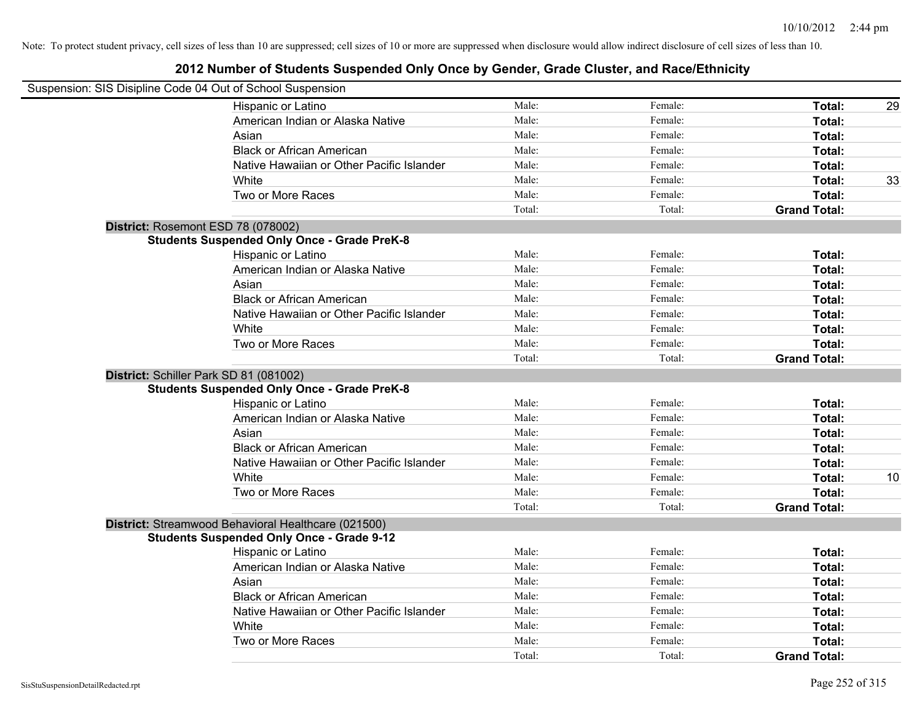| Suspension: SIS Disipline Code 04 Out of School Suspension |        |         |                     |    |
|------------------------------------------------------------|--------|---------|---------------------|----|
| Hispanic or Latino                                         | Male:  | Female: | Total:              | 29 |
| American Indian or Alaska Native                           | Male:  | Female: | Total:              |    |
| Asian                                                      | Male:  | Female: | Total:              |    |
| <b>Black or African American</b>                           | Male:  | Female: | Total:              |    |
| Native Hawaiian or Other Pacific Islander                  | Male:  | Female: | Total:              |    |
| White                                                      | Male:  | Female: | Total:              | 33 |
| Two or More Races                                          | Male:  | Female: | Total:              |    |
|                                                            | Total: | Total:  | <b>Grand Total:</b> |    |
| District: Rosemont ESD 78 (078002)                         |        |         |                     |    |
| <b>Students Suspended Only Once - Grade PreK-8</b>         |        |         |                     |    |
| Hispanic or Latino                                         | Male:  | Female: | Total:              |    |
| American Indian or Alaska Native                           | Male:  | Female: | Total:              |    |
| Asian                                                      | Male:  | Female: | Total:              |    |
| <b>Black or African American</b>                           | Male:  | Female: | Total:              |    |
| Native Hawaiian or Other Pacific Islander                  | Male:  | Female: | Total:              |    |
| White                                                      | Male:  | Female: | Total:              |    |
| Two or More Races                                          | Male:  | Female: | Total:              |    |
|                                                            | Total: | Total:  | <b>Grand Total:</b> |    |
| District: Schiller Park SD 81 (081002)                     |        |         |                     |    |
| <b>Students Suspended Only Once - Grade PreK-8</b>         |        |         |                     |    |
| Hispanic or Latino                                         | Male:  | Female: | Total:              |    |
| American Indian or Alaska Native                           | Male:  | Female: | Total:              |    |
| Asian                                                      | Male:  | Female: | Total:              |    |
| <b>Black or African American</b>                           | Male:  | Female: | Total:              |    |
| Native Hawaiian or Other Pacific Islander                  | Male:  | Female: | Total:              |    |
| White                                                      | Male:  | Female: | Total:              | 10 |
| Two or More Races                                          | Male:  | Female: | Total:              |    |
|                                                            | Total: | Total:  | <b>Grand Total:</b> |    |
| District: Streamwood Behavioral Healthcare (021500)        |        |         |                     |    |
| <b>Students Suspended Only Once - Grade 9-12</b>           |        |         |                     |    |
| Hispanic or Latino                                         | Male:  | Female: | Total:              |    |
| American Indian or Alaska Native                           | Male:  | Female: | Total:              |    |
| Asian                                                      | Male:  | Female: | Total:              |    |
| <b>Black or African American</b>                           | Male:  | Female: | Total:              |    |
| Native Hawaiian or Other Pacific Islander                  | Male:  | Female: | Total:              |    |
| White                                                      | Male:  | Female: | Total:              |    |
| Two or More Races                                          | Male:  | Female: | Total:              |    |
|                                                            | Total: | Total:  | <b>Grand Total:</b> |    |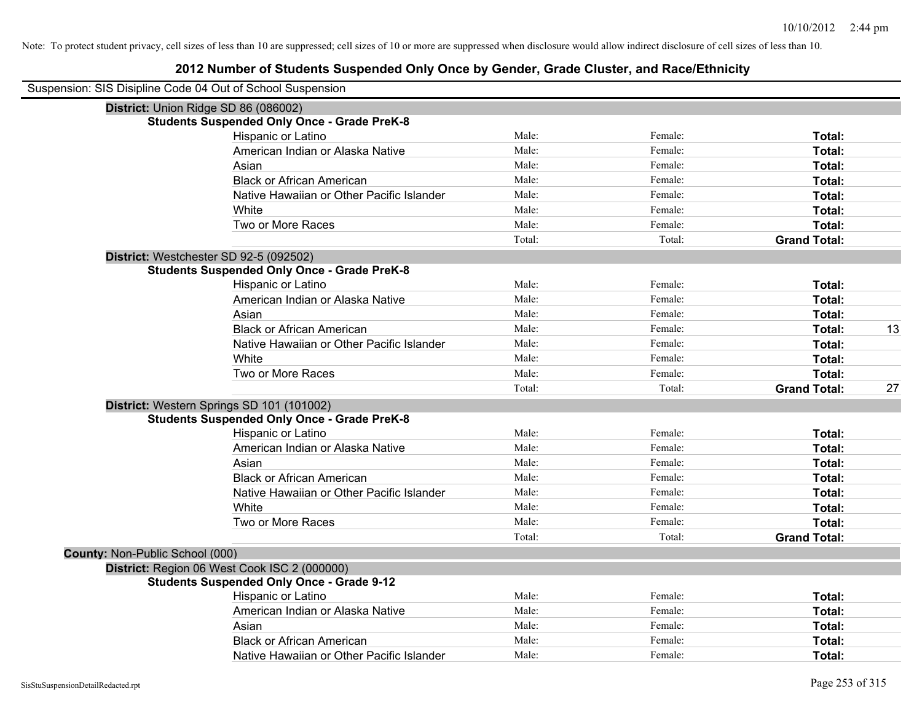|                                 | Suspension: SIS Disipline Code 04 Out of School Suspension |        |         |                     |    |
|---------------------------------|------------------------------------------------------------|--------|---------|---------------------|----|
|                                 | District: Union Ridge SD 86 (086002)                       |        |         |                     |    |
|                                 | <b>Students Suspended Only Once - Grade PreK-8</b>         |        |         |                     |    |
|                                 | Hispanic or Latino                                         | Male:  | Female: | Total:              |    |
|                                 | American Indian or Alaska Native                           | Male:  | Female: | Total:              |    |
|                                 | Asian                                                      | Male:  | Female: | Total:              |    |
|                                 | <b>Black or African American</b>                           | Male:  | Female: | Total:              |    |
|                                 | Native Hawaiian or Other Pacific Islander                  | Male:  | Female: | Total:              |    |
|                                 | White                                                      | Male:  | Female: | Total:              |    |
|                                 | Two or More Races                                          | Male:  | Female: | Total:              |    |
|                                 |                                                            | Total: | Total:  | <b>Grand Total:</b> |    |
|                                 | District: Westchester SD 92-5 (092502)                     |        |         |                     |    |
|                                 | <b>Students Suspended Only Once - Grade PreK-8</b>         |        |         |                     |    |
|                                 | Hispanic or Latino                                         | Male:  | Female: | Total:              |    |
|                                 | American Indian or Alaska Native                           | Male:  | Female: | Total:              |    |
|                                 | Asian                                                      | Male:  | Female: | Total:              |    |
|                                 | <b>Black or African American</b>                           | Male:  | Female: | Total:              | 13 |
|                                 | Native Hawaiian or Other Pacific Islander                  | Male:  | Female: | Total:              |    |
|                                 | White                                                      | Male:  | Female: | Total:              |    |
|                                 | Two or More Races                                          | Male:  | Female: | Total:              |    |
|                                 |                                                            | Total: | Total:  | <b>Grand Total:</b> | 27 |
|                                 | District: Western Springs SD 101 (101002)                  |        |         |                     |    |
|                                 | <b>Students Suspended Only Once - Grade PreK-8</b>         |        |         |                     |    |
|                                 | Hispanic or Latino                                         | Male:  | Female: | Total:              |    |
|                                 | American Indian or Alaska Native                           | Male:  | Female: | Total:              |    |
|                                 | Asian                                                      | Male:  | Female: | Total:              |    |
|                                 | <b>Black or African American</b>                           | Male:  | Female: | Total:              |    |
|                                 | Native Hawaiian or Other Pacific Islander                  | Male:  | Female: | Total:              |    |
|                                 | White                                                      | Male:  | Female: | Total:              |    |
|                                 | Two or More Races                                          | Male:  | Female: | <b>Total:</b>       |    |
|                                 |                                                            | Total: | Total:  | <b>Grand Total:</b> |    |
| County: Non-Public School (000) |                                                            |        |         |                     |    |
|                                 | District: Region 06 West Cook ISC 2 (000000)               |        |         |                     |    |
|                                 | <b>Students Suspended Only Once - Grade 9-12</b>           |        |         |                     |    |
|                                 | Hispanic or Latino                                         | Male:  | Female: | Total:              |    |
|                                 | American Indian or Alaska Native                           | Male:  | Female: | Total:              |    |
|                                 | Asian                                                      | Male:  | Female: | Total:              |    |
|                                 | <b>Black or African American</b>                           | Male:  | Female: | Total:              |    |
|                                 | Native Hawaiian or Other Pacific Islander                  | Male:  | Female: | Total:              |    |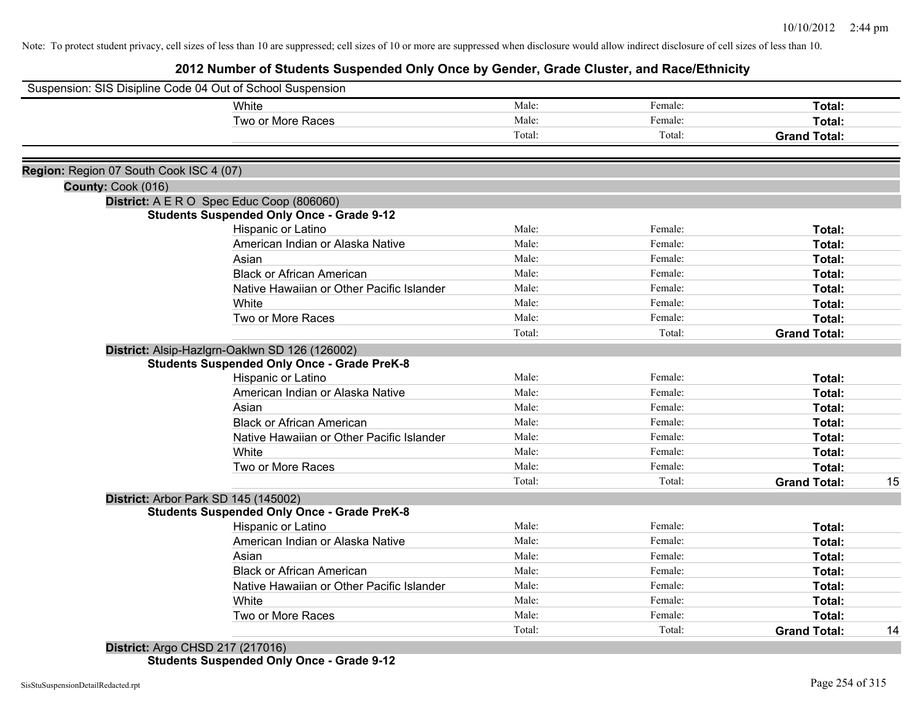## **2012 Number of Students Suspended Only Once by Gender, Grade Cluster, and Race/Ethnicity**

|                                         | Suspension: SIS Disipline Code 04 Out of School Suspension |        |         |                     |    |
|-----------------------------------------|------------------------------------------------------------|--------|---------|---------------------|----|
|                                         | White                                                      | Male:  | Female: | Total:              |    |
|                                         | Two or More Races                                          | Male:  | Female: | Total:              |    |
|                                         |                                                            | Total: | Total:  | <b>Grand Total:</b> |    |
|                                         |                                                            |        |         |                     |    |
| Region: Region 07 South Cook ISC 4 (07) |                                                            |        |         |                     |    |
| County: Cook (016)                      | District: A E R O Spec Educ Coop (806060)                  |        |         |                     |    |
|                                         | <b>Students Suspended Only Once - Grade 9-12</b>           |        |         |                     |    |
|                                         | Hispanic or Latino                                         | Male:  | Female: | Total:              |    |
|                                         | American Indian or Alaska Native                           | Male:  | Female: | Total:              |    |
|                                         | Asian                                                      | Male:  | Female: | Total:              |    |
|                                         | <b>Black or African American</b>                           | Male:  | Female: | Total:              |    |
|                                         | Native Hawaiian or Other Pacific Islander                  | Male:  | Female: | Total:              |    |
|                                         | White                                                      | Male:  | Female: | Total:              |    |
|                                         | Two or More Races                                          | Male:  | Female: | Total:              |    |
|                                         |                                                            | Total: | Total:  | <b>Grand Total:</b> |    |
|                                         | District: Alsip-Hazlgrn-Oaklwn SD 126 (126002)             |        |         |                     |    |
|                                         | <b>Students Suspended Only Once - Grade PreK-8</b>         |        |         |                     |    |
|                                         | Hispanic or Latino                                         | Male:  | Female: | Total:              |    |
|                                         | American Indian or Alaska Native                           | Male:  | Female: | Total:              |    |
|                                         | Asian                                                      | Male:  | Female: | Total:              |    |
|                                         | <b>Black or African American</b>                           | Male:  | Female: | Total:              |    |
|                                         | Native Hawaiian or Other Pacific Islander                  | Male:  | Female: | Total:              |    |
|                                         | White                                                      | Male:  | Female: | Total:              |    |
|                                         | Two or More Races                                          | Male:  | Female: | Total:              |    |
|                                         |                                                            | Total: | Total:  | <b>Grand Total:</b> | 15 |
|                                         | District: Arbor Park SD 145 (145002)                       |        |         |                     |    |
|                                         | <b>Students Suspended Only Once - Grade PreK-8</b>         |        |         |                     |    |
|                                         | Hispanic or Latino                                         | Male:  | Female: | Total:              |    |
|                                         | American Indian or Alaska Native                           | Male:  | Female: | Total:              |    |
|                                         | Asian                                                      | Male:  | Female: | Total:              |    |
|                                         | <b>Black or African American</b>                           | Male:  | Female: | Total:              |    |
|                                         | Native Hawaiian or Other Pacific Islander                  | Male:  | Female: | Total:              |    |
|                                         | White                                                      | Male:  | Female: | Total:              |    |
|                                         | Two or More Races                                          | Male:  | Female: | Total:              |    |
|                                         |                                                            | Total: | Total:  | <b>Grand Total:</b> | 14 |
|                                         | District: Argo CHSD 217 (217016)                           |        |         |                     |    |
|                                         |                                                            |        |         |                     |    |

**Students Suspended Only Once - Grade 9-12**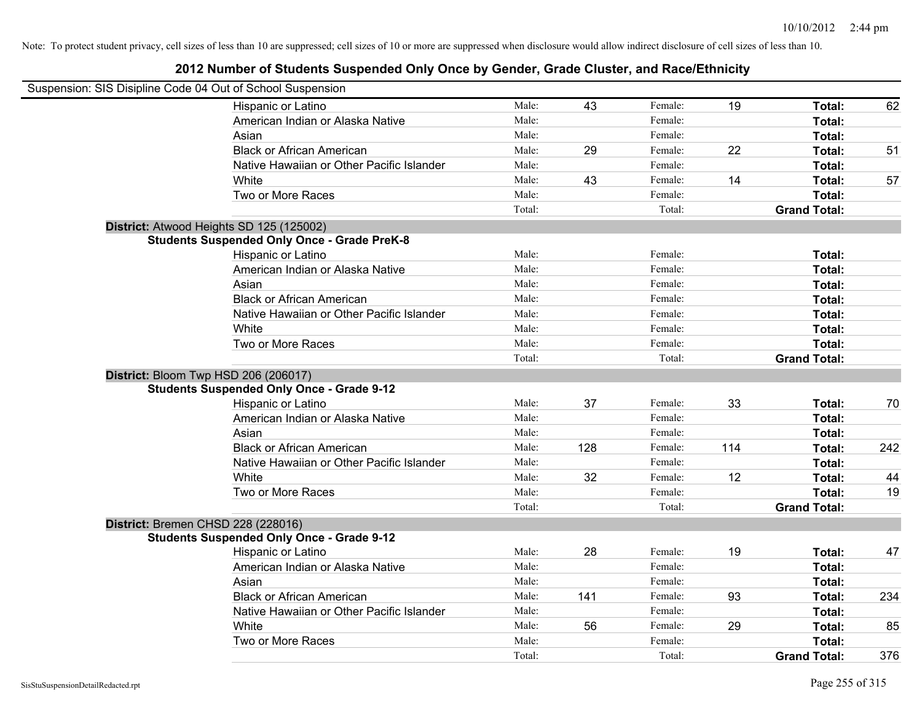| Suspension: SIS Disipline Code 04 Out of School Suspension |        |     |         |     |                     |     |
|------------------------------------------------------------|--------|-----|---------|-----|---------------------|-----|
| Hispanic or Latino                                         | Male:  | 43  | Female: | 19  | Total:              | 62  |
| American Indian or Alaska Native                           | Male:  |     | Female: |     | Total:              |     |
| Asian                                                      | Male:  |     | Female: |     | Total:              |     |
| <b>Black or African American</b>                           | Male:  | 29  | Female: | 22  | Total:              | 51  |
| Native Hawaiian or Other Pacific Islander                  | Male:  |     | Female: |     | Total:              |     |
| White                                                      | Male:  | 43  | Female: | 14  | Total:              | 57  |
| Two or More Races                                          | Male:  |     | Female: |     | Total:              |     |
|                                                            | Total: |     | Total:  |     | <b>Grand Total:</b> |     |
| District: Atwood Heights SD 125 (125002)                   |        |     |         |     |                     |     |
| <b>Students Suspended Only Once - Grade PreK-8</b>         |        |     |         |     |                     |     |
| Hispanic or Latino                                         | Male:  |     | Female: |     | Total:              |     |
| American Indian or Alaska Native                           | Male:  |     | Female: |     | Total:              |     |
| Asian                                                      | Male:  |     | Female: |     | Total:              |     |
| <b>Black or African American</b>                           | Male:  |     | Female: |     | Total:              |     |
| Native Hawaiian or Other Pacific Islander                  | Male:  |     | Female: |     | Total:              |     |
| White                                                      | Male:  |     | Female: |     | Total:              |     |
| Two or More Races                                          | Male:  |     | Female: |     | Total:              |     |
|                                                            | Total: |     | Total:  |     | <b>Grand Total:</b> |     |
| District: Bloom Twp HSD 206 (206017)                       |        |     |         |     |                     |     |
| <b>Students Suspended Only Once - Grade 9-12</b>           |        |     |         |     |                     |     |
| Hispanic or Latino                                         | Male:  | 37  | Female: | 33  | Total:              | 70  |
| American Indian or Alaska Native                           | Male:  |     | Female: |     | Total:              |     |
| Asian                                                      | Male:  |     | Female: |     | Total:              |     |
| <b>Black or African American</b>                           | Male:  | 128 | Female: | 114 | Total:              | 242 |
| Native Hawaiian or Other Pacific Islander                  | Male:  |     | Female: |     | Total:              |     |
| White                                                      | Male:  | 32  | Female: | 12  | Total:              | 44  |
| Two or More Races                                          | Male:  |     | Female: |     | Total:              | 19  |
|                                                            | Total: |     | Total:  |     | <b>Grand Total:</b> |     |
| District: Bremen CHSD 228 (228016)                         |        |     |         |     |                     |     |
| <b>Students Suspended Only Once - Grade 9-12</b>           |        |     |         |     |                     |     |
| Hispanic or Latino                                         | Male:  | 28  | Female: | 19  | Total:              | 47  |
| American Indian or Alaska Native                           | Male:  |     | Female: |     | Total:              |     |
| Asian                                                      | Male:  |     | Female: |     | Total:              |     |
| <b>Black or African American</b>                           | Male:  | 141 | Female: | 93  | Total:              | 234 |
| Native Hawaiian or Other Pacific Islander                  | Male:  |     | Female: |     | Total:              |     |
| White                                                      | Male:  | 56  | Female: | 29  | Total:              | 85  |
| Two or More Races                                          | Male:  |     | Female: |     | Total:              |     |
|                                                            | Total: |     | Total:  |     | <b>Grand Total:</b> | 376 |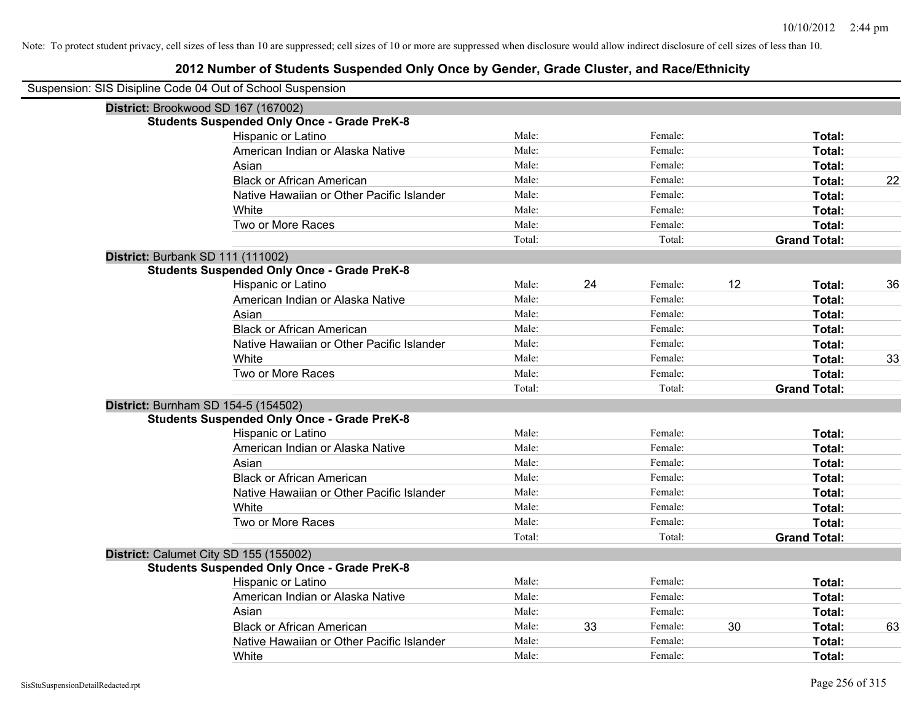| Suspension: SIS Disipline Code 04 Out of School Suspension |        |    |         |    |                     |    |
|------------------------------------------------------------|--------|----|---------|----|---------------------|----|
| District: Brookwood SD 167 (167002)                        |        |    |         |    |                     |    |
| <b>Students Suspended Only Once - Grade PreK-8</b>         |        |    |         |    |                     |    |
| Hispanic or Latino                                         | Male:  |    | Female: |    | Total:              |    |
| American Indian or Alaska Native                           | Male:  |    | Female: |    | Total:              |    |
| Asian                                                      | Male:  |    | Female: |    | Total:              |    |
| <b>Black or African American</b>                           | Male:  |    | Female: |    | Total:              | 22 |
| Native Hawaiian or Other Pacific Islander                  | Male:  |    | Female: |    | Total:              |    |
| White                                                      | Male:  |    | Female: |    | Total:              |    |
| Two or More Races                                          | Male:  |    | Female: |    | Total:              |    |
|                                                            | Total: |    | Total:  |    | <b>Grand Total:</b> |    |
| <b>District: Burbank SD 111 (111002)</b>                   |        |    |         |    |                     |    |
| <b>Students Suspended Only Once - Grade PreK-8</b>         |        |    |         |    |                     |    |
| Hispanic or Latino                                         | Male:  | 24 | Female: | 12 | Total:              | 36 |
| American Indian or Alaska Native                           | Male:  |    | Female: |    | Total:              |    |
| Asian                                                      | Male:  |    | Female: |    | Total:              |    |
| <b>Black or African American</b>                           | Male:  |    | Female: |    | Total:              |    |
| Native Hawaiian or Other Pacific Islander                  | Male:  |    | Female: |    | Total:              |    |
| White                                                      | Male:  |    | Female: |    | Total:              | 33 |
| Two or More Races                                          | Male:  |    | Female: |    | Total:              |    |
|                                                            | Total: |    | Total:  |    | <b>Grand Total:</b> |    |
| District: Burnham SD 154-5 (154502)                        |        |    |         |    |                     |    |
| <b>Students Suspended Only Once - Grade PreK-8</b>         |        |    |         |    |                     |    |
| Hispanic or Latino                                         | Male:  |    | Female: |    | Total:              |    |
| American Indian or Alaska Native                           | Male:  |    | Female: |    | Total:              |    |
| Asian                                                      | Male:  |    | Female: |    | Total:              |    |
| <b>Black or African American</b>                           | Male:  |    | Female: |    | Total:              |    |
| Native Hawaiian or Other Pacific Islander                  | Male:  |    | Female: |    | Total:              |    |
| White                                                      | Male:  |    | Female: |    | Total:              |    |
| Two or More Races                                          | Male:  |    | Female: |    | Total:              |    |
|                                                            | Total: |    | Total:  |    | <b>Grand Total:</b> |    |
| District: Calumet City SD 155 (155002)                     |        |    |         |    |                     |    |
| <b>Students Suspended Only Once - Grade PreK-8</b>         |        |    |         |    |                     |    |
| Hispanic or Latino                                         | Male:  |    | Female: |    | Total:              |    |
| American Indian or Alaska Native                           | Male:  |    | Female: |    | Total:              |    |
| Asian                                                      | Male:  |    | Female: |    | Total:              |    |
| <b>Black or African American</b>                           | Male:  | 33 | Female: | 30 | Total:              | 63 |
| Native Hawaiian or Other Pacific Islander                  | Male:  |    | Female: |    | Total:              |    |
| White                                                      | Male:  |    | Female: |    | Total:              |    |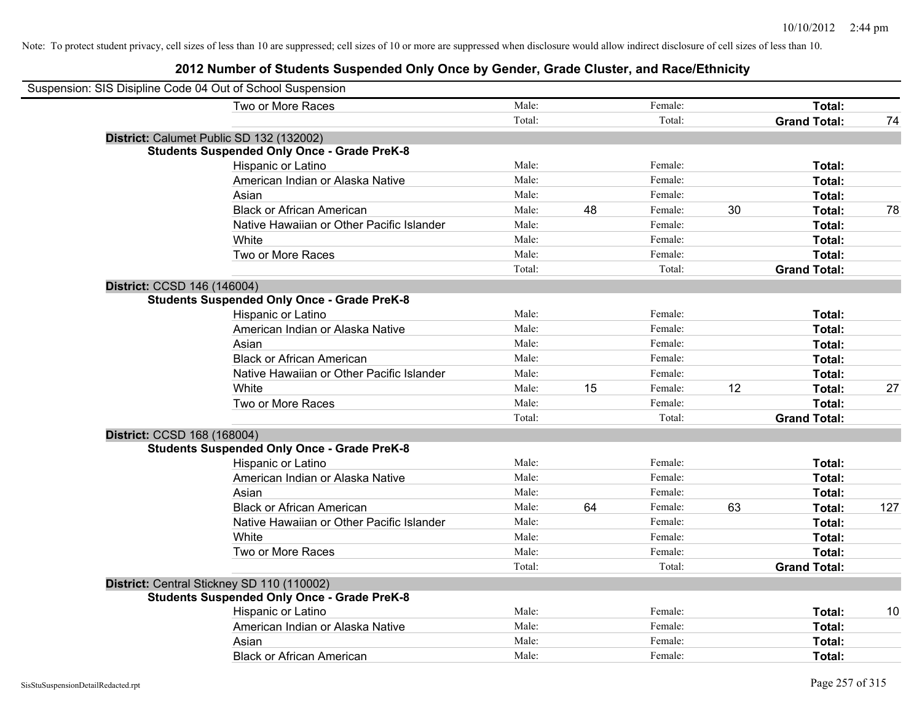| Suspension: SIS Disipline Code 04 Out of School Suspension |        |    |         |    |                     |     |
|------------------------------------------------------------|--------|----|---------|----|---------------------|-----|
| Two or More Races                                          | Male:  |    | Female: |    | Total:              |     |
|                                                            | Total: |    | Total:  |    | <b>Grand Total:</b> | 74  |
| District: Calumet Public SD 132 (132002)                   |        |    |         |    |                     |     |
| <b>Students Suspended Only Once - Grade PreK-8</b>         |        |    |         |    |                     |     |
| Hispanic or Latino                                         | Male:  |    | Female: |    | Total:              |     |
| American Indian or Alaska Native                           | Male:  |    | Female: |    | Total:              |     |
| Asian                                                      | Male:  |    | Female: |    | Total:              |     |
| <b>Black or African American</b>                           | Male:  | 48 | Female: | 30 | Total:              | 78  |
| Native Hawaiian or Other Pacific Islander                  | Male:  |    | Female: |    | Total:              |     |
| White                                                      | Male:  |    | Female: |    | Total:              |     |
| Two or More Races                                          | Male:  |    | Female: |    | Total:              |     |
|                                                            | Total: |    | Total:  |    | <b>Grand Total:</b> |     |
| District: CCSD 146 (146004)                                |        |    |         |    |                     |     |
| <b>Students Suspended Only Once - Grade PreK-8</b>         |        |    |         |    |                     |     |
| Hispanic or Latino                                         | Male:  |    | Female: |    | Total:              |     |
| American Indian or Alaska Native                           | Male:  |    | Female: |    | Total:              |     |
| Asian                                                      | Male:  |    | Female: |    | Total:              |     |
| <b>Black or African American</b>                           | Male:  |    | Female: |    | Total:              |     |
| Native Hawaiian or Other Pacific Islander                  | Male:  |    | Female: |    | Total:              |     |
| White                                                      | Male:  | 15 | Female: | 12 | Total:              | 27  |
| Two or More Races                                          | Male:  |    | Female: |    | Total:              |     |
|                                                            | Total: |    | Total:  |    | <b>Grand Total:</b> |     |
| District: CCSD 168 (168004)                                |        |    |         |    |                     |     |
| <b>Students Suspended Only Once - Grade PreK-8</b>         |        |    |         |    |                     |     |
| Hispanic or Latino                                         | Male:  |    | Female: |    | Total:              |     |
| American Indian or Alaska Native                           | Male:  |    | Female: |    | Total:              |     |
| Asian                                                      | Male:  |    | Female: |    | Total:              |     |
| <b>Black or African American</b>                           | Male:  | 64 | Female: | 63 | Total:              | 127 |
| Native Hawaiian or Other Pacific Islander                  | Male:  |    | Female: |    | Total:              |     |
| White                                                      | Male:  |    | Female: |    | Total:              |     |
| Two or More Races                                          | Male:  |    | Female: |    | Total:              |     |
|                                                            | Total: |    | Total:  |    | <b>Grand Total:</b> |     |
| District: Central Stickney SD 110 (110002)                 |        |    |         |    |                     |     |
| <b>Students Suspended Only Once - Grade PreK-8</b>         |        |    |         |    |                     |     |
| Hispanic or Latino                                         | Male:  |    | Female: |    | Total:              | 10  |
| American Indian or Alaska Native                           | Male:  |    | Female: |    | Total:              |     |
| Asian                                                      | Male:  |    | Female: |    | Total:              |     |
| <b>Black or African American</b>                           | Male:  |    | Female: |    | Total:              |     |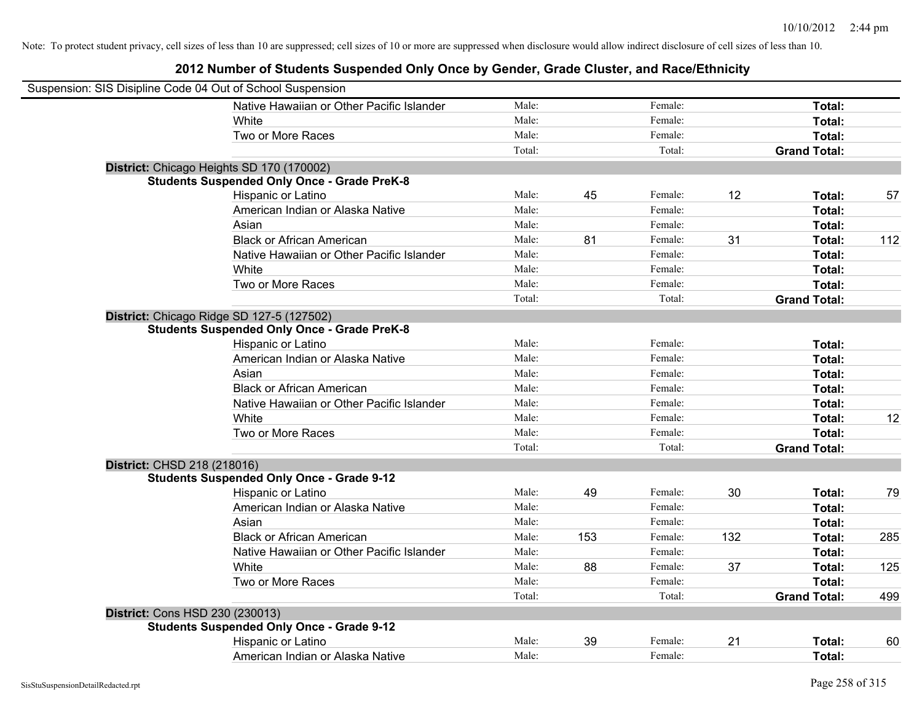| Suspension: SIS Disipline Code 04 Out of School Suspension |        |     |         |     |                     |     |
|------------------------------------------------------------|--------|-----|---------|-----|---------------------|-----|
| Native Hawaiian or Other Pacific Islander                  | Male:  |     | Female: |     | Total:              |     |
| White                                                      | Male:  |     | Female: |     | Total:              |     |
| Two or More Races                                          | Male:  |     | Female: |     | Total:              |     |
|                                                            | Total: |     | Total:  |     | <b>Grand Total:</b> |     |
| District: Chicago Heights SD 170 (170002)                  |        |     |         |     |                     |     |
| <b>Students Suspended Only Once - Grade PreK-8</b>         |        |     |         |     |                     |     |
| Hispanic or Latino                                         | Male:  | 45  | Female: | 12  | Total:              | 57  |
| American Indian or Alaska Native                           | Male:  |     | Female: |     | Total:              |     |
| Asian                                                      | Male:  |     | Female: |     | Total:              |     |
| <b>Black or African American</b>                           | Male:  | 81  | Female: | 31  | Total:              | 112 |
| Native Hawaiian or Other Pacific Islander                  | Male:  |     | Female: |     | Total:              |     |
| White                                                      | Male:  |     | Female: |     | Total:              |     |
| Two or More Races                                          | Male:  |     | Female: |     | Total:              |     |
|                                                            | Total: |     | Total:  |     | <b>Grand Total:</b> |     |
| District: Chicago Ridge SD 127-5 (127502)                  |        |     |         |     |                     |     |
| <b>Students Suspended Only Once - Grade PreK-8</b>         |        |     |         |     |                     |     |
| Hispanic or Latino                                         | Male:  |     | Female: |     | Total:              |     |
| American Indian or Alaska Native                           | Male:  |     | Female: |     | Total:              |     |
| Asian                                                      | Male:  |     | Female: |     | Total:              |     |
| <b>Black or African American</b>                           | Male:  |     | Female: |     | Total:              |     |
| Native Hawaiian or Other Pacific Islander                  | Male:  |     | Female: |     | Total:              |     |
| White                                                      | Male:  |     | Female: |     | Total:              | 12  |
| Two or More Races                                          | Male:  |     | Female: |     | Total:              |     |
|                                                            | Total: |     | Total:  |     | <b>Grand Total:</b> |     |
| District: CHSD 218 (218016)                                |        |     |         |     |                     |     |
| <b>Students Suspended Only Once - Grade 9-12</b>           |        |     |         |     |                     |     |
| Hispanic or Latino                                         | Male:  | 49  | Female: | 30  | Total:              | 79  |
| American Indian or Alaska Native                           | Male:  |     | Female: |     | Total:              |     |
| Asian                                                      | Male:  |     | Female: |     | Total:              |     |
| <b>Black or African American</b>                           | Male:  | 153 | Female: | 132 | Total:              | 285 |
| Native Hawaiian or Other Pacific Islander                  | Male:  |     | Female: |     | Total:              |     |
| White                                                      | Male:  | 88  | Female: | 37  | Total:              | 125 |
| Two or More Races                                          | Male:  |     | Female: |     | Total:              |     |
|                                                            | Total: |     | Total:  |     | <b>Grand Total:</b> | 499 |
| District: Cons HSD 230 (230013)                            |        |     |         |     |                     |     |
| <b>Students Suspended Only Once - Grade 9-12</b>           |        |     |         |     |                     |     |
| Hispanic or Latino                                         | Male:  | 39  | Female: | 21  | Total:              | 60  |
| American Indian or Alaska Native                           | Male:  |     | Female: |     | Total:              |     |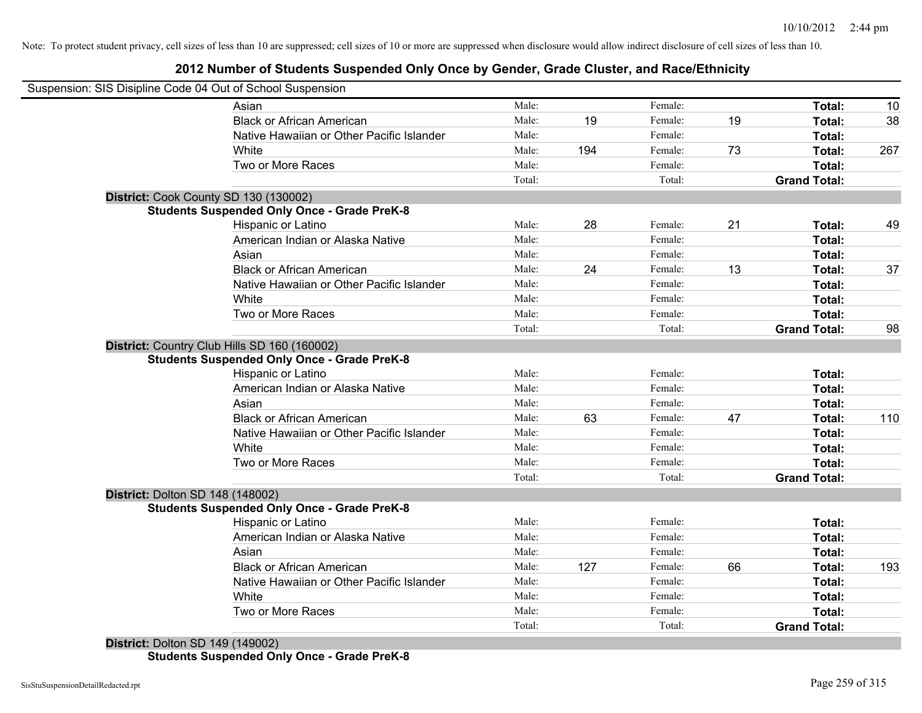## **2012 Number of Students Suspended Only Once by Gender, Grade Cluster, and Race/Ethnicity**

|                                         | Suspension: SIS Disipline Code 04 Out of School Suspension |        |     |         |    |                     |     |
|-----------------------------------------|------------------------------------------------------------|--------|-----|---------|----|---------------------|-----|
|                                         | Asian                                                      | Male:  |     | Female: |    | Total:              | 10  |
|                                         | <b>Black or African American</b>                           | Male:  | 19  | Female: | 19 | Total:              | 38  |
|                                         | Native Hawaiian or Other Pacific Islander                  | Male:  |     | Female: |    | Total:              |     |
|                                         | White                                                      | Male:  | 194 | Female: | 73 | Total:              | 267 |
|                                         | Two or More Races                                          | Male:  |     | Female: |    | Total:              |     |
|                                         |                                                            | Total: |     | Total:  |    | <b>Grand Total:</b> |     |
|                                         | District: Cook County SD 130 (130002)                      |        |     |         |    |                     |     |
|                                         | <b>Students Suspended Only Once - Grade PreK-8</b>         |        |     |         |    |                     |     |
|                                         | Hispanic or Latino                                         | Male:  | 28  | Female: | 21 | Total:              | 49  |
|                                         | American Indian or Alaska Native                           | Male:  |     | Female: |    | Total:              |     |
|                                         | Asian                                                      | Male:  |     | Female: |    | Total:              |     |
|                                         | <b>Black or African American</b>                           | Male:  | 24  | Female: | 13 | Total:              | 37  |
|                                         | Native Hawaiian or Other Pacific Islander                  | Male:  |     | Female: |    | Total:              |     |
|                                         | White                                                      | Male:  |     | Female: |    | Total:              |     |
|                                         | Two or More Races                                          | Male:  |     | Female: |    | Total:              |     |
|                                         |                                                            | Total: |     | Total:  |    | <b>Grand Total:</b> | 98  |
|                                         | District: Country Club Hills SD 160 (160002)               |        |     |         |    |                     |     |
|                                         | <b>Students Suspended Only Once - Grade PreK-8</b>         |        |     |         |    |                     |     |
|                                         | Hispanic or Latino                                         | Male:  |     | Female: |    | Total:              |     |
|                                         | American Indian or Alaska Native                           | Male:  |     | Female: |    | Total:              |     |
|                                         | Asian                                                      | Male:  |     | Female: |    | Total:              |     |
|                                         | <b>Black or African American</b>                           | Male:  | 63  | Female: | 47 | Total:              | 110 |
|                                         | Native Hawaiian or Other Pacific Islander                  | Male:  |     | Female: |    | Total:              |     |
|                                         | White                                                      | Male:  |     | Female: |    | Total:              |     |
|                                         | Two or More Races                                          | Male:  |     | Female: |    | Total:              |     |
|                                         |                                                            | Total: |     | Total:  |    | <b>Grand Total:</b> |     |
| <b>District: Dolton SD 148 (148002)</b> |                                                            |        |     |         |    |                     |     |
|                                         | <b>Students Suspended Only Once - Grade PreK-8</b>         |        |     |         |    |                     |     |
|                                         | Hispanic or Latino                                         | Male:  |     | Female: |    | Total:              |     |
|                                         | American Indian or Alaska Native                           | Male:  |     | Female: |    | Total:              |     |
|                                         | Asian                                                      | Male:  |     | Female: |    | Total:              |     |
|                                         | <b>Black or African American</b>                           | Male:  | 127 | Female: | 66 | Total:              | 193 |
|                                         | Native Hawaiian or Other Pacific Islander                  | Male:  |     | Female: |    | Total:              |     |
|                                         | White                                                      | Male:  |     | Female: |    | Total:              |     |
|                                         | Two or More Races                                          | Male:  |     | Female: |    | Total:              |     |
|                                         |                                                            | Total: |     |         |    | <b>Grand Total:</b> |     |

**Students Suspended Only Once - Grade PreK-8**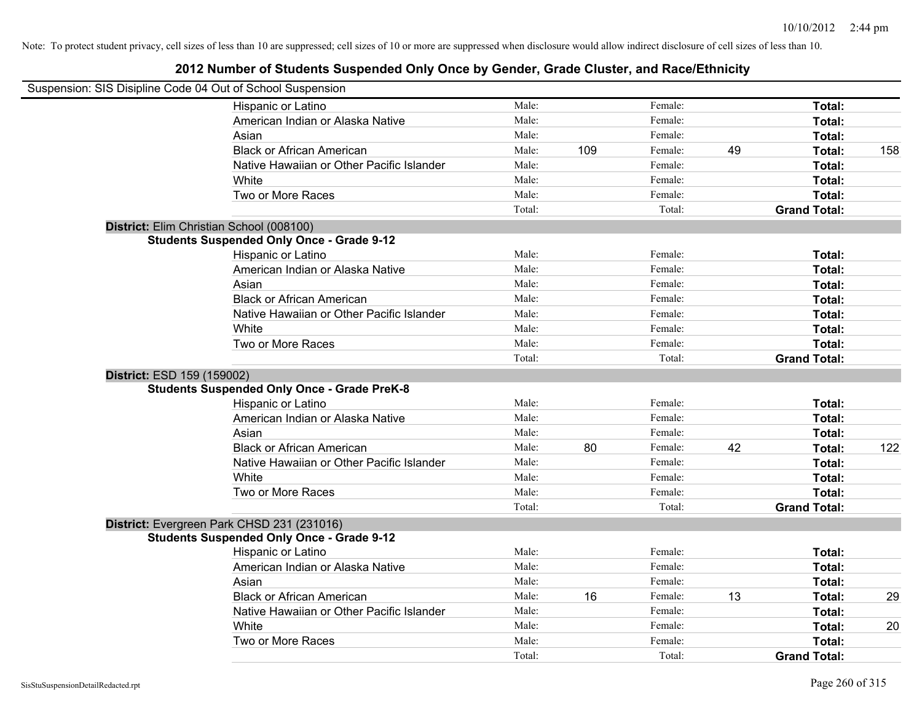| Suspension: SIS Disipline Code 04 Out of School Suspension             |        |     |         |    |                     |     |
|------------------------------------------------------------------------|--------|-----|---------|----|---------------------|-----|
| Hispanic or Latino                                                     | Male:  |     | Female: |    | Total:              |     |
| American Indian or Alaska Native                                       | Male:  |     | Female: |    | Total:              |     |
| Asian                                                                  | Male:  |     | Female: |    | Total:              |     |
| <b>Black or African American</b>                                       | Male:  | 109 | Female: | 49 | Total:              | 158 |
| Native Hawaiian or Other Pacific Islander                              | Male:  |     | Female: |    | Total:              |     |
| White                                                                  | Male:  |     | Female: |    | Total:              |     |
| Two or More Races                                                      | Male:  |     | Female: |    | Total:              |     |
|                                                                        | Total: |     | Total:  |    | <b>Grand Total:</b> |     |
| District: Elim Christian School (008100)                               |        |     |         |    |                     |     |
| <b>Students Suspended Only Once - Grade 9-12</b>                       |        |     |         |    |                     |     |
| Hispanic or Latino                                                     | Male:  |     | Female: |    | Total:              |     |
| American Indian or Alaska Native                                       | Male:  |     | Female: |    | Total:              |     |
| Asian                                                                  | Male:  |     | Female: |    | Total:              |     |
| <b>Black or African American</b>                                       | Male:  |     | Female: |    | Total:              |     |
| Native Hawaiian or Other Pacific Islander                              | Male:  |     | Female: |    | Total:              |     |
| White                                                                  | Male:  |     | Female: |    | Total:              |     |
| Two or More Races                                                      | Male:  |     | Female: |    | Total:              |     |
|                                                                        | Total: |     | Total:  |    | <b>Grand Total:</b> |     |
| District: ESD 159 (159002)                                             |        |     |         |    |                     |     |
| <b>Students Suspended Only Once - Grade PreK-8</b>                     |        |     |         |    |                     |     |
| Hispanic or Latino                                                     | Male:  |     | Female: |    | Total:              |     |
|                                                                        |        |     |         |    |                     |     |
| American Indian or Alaska Native                                       | Male:  |     | Female: |    | Total:              |     |
| Asian                                                                  | Male:  |     | Female: |    | Total:              |     |
| <b>Black or African American</b>                                       | Male:  | 80  | Female: | 42 | Total:              | 122 |
| Native Hawaiian or Other Pacific Islander                              | Male:  |     | Female: |    | Total:              |     |
| White                                                                  | Male:  |     | Female: |    | Total:              |     |
| Two or More Races                                                      | Male:  |     | Female: |    | Total:              |     |
|                                                                        | Total: |     | Total:  |    | <b>Grand Total:</b> |     |
| District: Evergreen Park CHSD 231 (231016)                             |        |     |         |    |                     |     |
| <b>Students Suspended Only Once - Grade 9-12</b><br>Hispanic or Latino | Male:  |     | Female: |    | Total:              |     |
| American Indian or Alaska Native                                       | Male:  |     | Female: |    | Total:              |     |
| Asian                                                                  | Male:  |     | Female: |    | Total:              |     |
| <b>Black or African American</b>                                       | Male:  | 16  | Female: | 13 | Total:              | 29  |
| Native Hawaiian or Other Pacific Islander                              | Male:  |     | Female: |    | Total:              |     |
| White                                                                  | Male:  |     | Female: |    | Total:              | 20  |
| Two or More Races                                                      | Male:  |     | Female: |    | Total:              |     |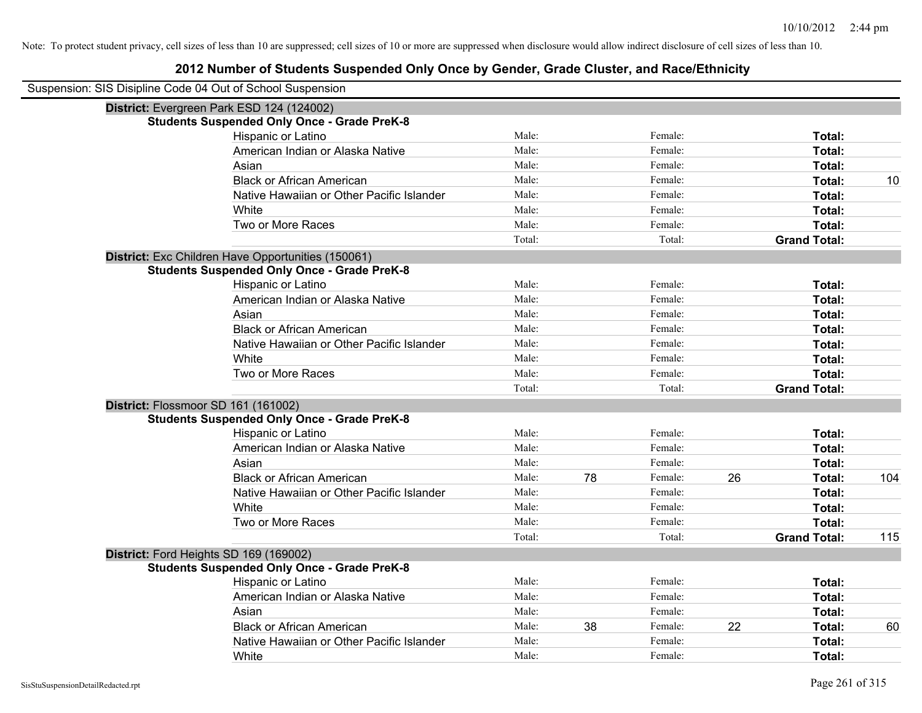| Suspension: SIS Disipline Code 04 Out of School Suspension |                                                    |        |    |         |    |                     |     |
|------------------------------------------------------------|----------------------------------------------------|--------|----|---------|----|---------------------|-----|
|                                                            | District: Evergreen Park ESD 124 (124002)          |        |    |         |    |                     |     |
|                                                            | <b>Students Suspended Only Once - Grade PreK-8</b> |        |    |         |    |                     |     |
|                                                            | Hispanic or Latino                                 | Male:  |    | Female: |    | Total:              |     |
|                                                            | American Indian or Alaska Native                   | Male:  |    | Female: |    | Total:              |     |
|                                                            | Asian                                              | Male:  |    | Female: |    | Total:              |     |
|                                                            | <b>Black or African American</b>                   | Male:  |    | Female: |    | Total:              | 10  |
|                                                            | Native Hawaiian or Other Pacific Islander          | Male:  |    | Female: |    | Total:              |     |
|                                                            | White                                              | Male:  |    | Female: |    | Total:              |     |
|                                                            | Two or More Races                                  | Male:  |    | Female: |    | Total:              |     |
|                                                            |                                                    | Total: |    | Total:  |    | <b>Grand Total:</b> |     |
|                                                            | District: Exc Children Have Opportunities (150061) |        |    |         |    |                     |     |
|                                                            | <b>Students Suspended Only Once - Grade PreK-8</b> |        |    |         |    |                     |     |
|                                                            | Hispanic or Latino                                 | Male:  |    | Female: |    | Total:              |     |
|                                                            | American Indian or Alaska Native                   | Male:  |    | Female: |    | Total:              |     |
|                                                            | Asian                                              | Male:  |    | Female: |    | Total:              |     |
|                                                            | <b>Black or African American</b>                   | Male:  |    | Female: |    | Total:              |     |
|                                                            | Native Hawaiian or Other Pacific Islander          | Male:  |    | Female: |    | Total:              |     |
|                                                            | White                                              | Male:  |    | Female: |    | Total:              |     |
|                                                            | Two or More Races                                  | Male:  |    | Female: |    | Total:              |     |
|                                                            |                                                    | Total: |    | Total:  |    | <b>Grand Total:</b> |     |
| District: Flossmoor SD 161 (161002)                        |                                                    |        |    |         |    |                     |     |
|                                                            | <b>Students Suspended Only Once - Grade PreK-8</b> |        |    |         |    |                     |     |
|                                                            | Hispanic or Latino                                 | Male:  |    | Female: |    | Total:              |     |
|                                                            | American Indian or Alaska Native                   | Male:  |    | Female: |    | Total:              |     |
|                                                            | Asian                                              | Male:  |    | Female: |    | Total:              |     |
|                                                            | <b>Black or African American</b>                   | Male:  | 78 | Female: | 26 | Total:              | 104 |
|                                                            | Native Hawaiian or Other Pacific Islander          | Male:  |    | Female: |    | Total:              |     |
|                                                            | White                                              | Male:  |    | Female: |    | Total:              |     |
|                                                            | Two or More Races                                  | Male:  |    | Female: |    | Total:              |     |
|                                                            |                                                    | Total: |    | Total:  |    | <b>Grand Total:</b> | 115 |
| District: Ford Heights SD 169 (169002)                     |                                                    |        |    |         |    |                     |     |
|                                                            | <b>Students Suspended Only Once - Grade PreK-8</b> |        |    |         |    |                     |     |
|                                                            | Hispanic or Latino                                 | Male:  |    | Female: |    | Total:              |     |
|                                                            | American Indian or Alaska Native                   | Male:  |    | Female: |    | Total:              |     |
|                                                            | Asian                                              | Male:  |    | Female: |    | Total:              |     |
|                                                            | <b>Black or African American</b>                   | Male:  | 38 | Female: | 22 | Total:              | 60  |
|                                                            | Native Hawaiian or Other Pacific Islander          | Male:  |    | Female: |    | Total:              |     |
|                                                            | White                                              | Male:  |    | Female: |    | Total:              |     |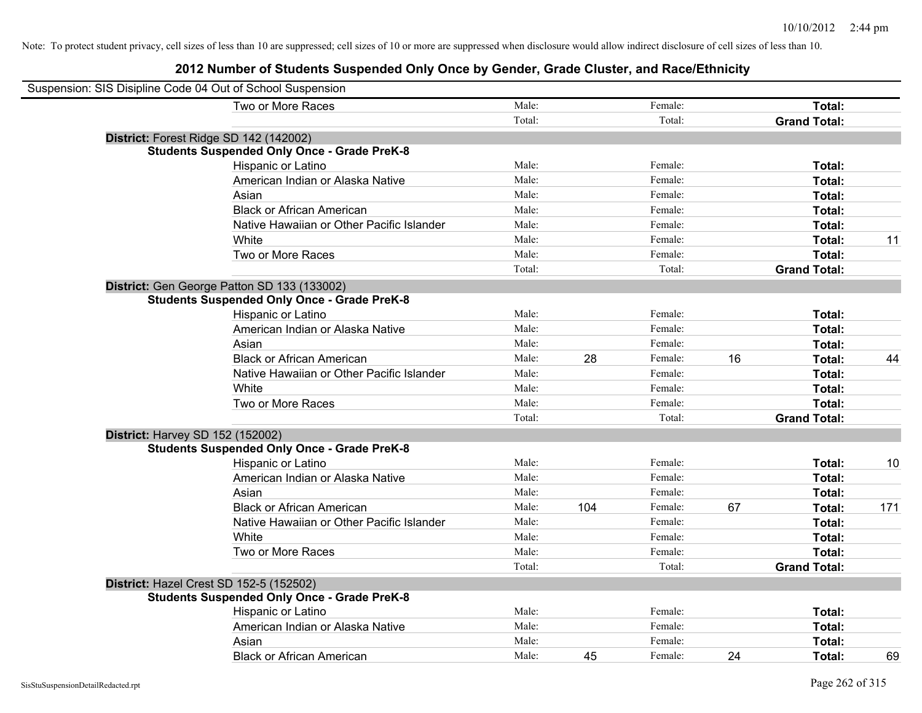| Suspension: SIS Disipline Code 04 Out of School Suspension |        |     |         |    |                     |     |
|------------------------------------------------------------|--------|-----|---------|----|---------------------|-----|
| Two or More Races                                          | Male:  |     | Female: |    | Total:              |     |
|                                                            | Total: |     | Total:  |    | <b>Grand Total:</b> |     |
| District: Forest Ridge SD 142 (142002)                     |        |     |         |    |                     |     |
| <b>Students Suspended Only Once - Grade PreK-8</b>         |        |     |         |    |                     |     |
| Hispanic or Latino                                         | Male:  |     | Female: |    | Total:              |     |
| American Indian or Alaska Native                           | Male:  |     | Female: |    | Total:              |     |
| Asian                                                      | Male:  |     | Female: |    | Total:              |     |
| <b>Black or African American</b>                           | Male:  |     | Female: |    | Total:              |     |
| Native Hawaiian or Other Pacific Islander                  | Male:  |     | Female: |    | Total:              |     |
| White                                                      | Male:  |     | Female: |    | Total:              | 11  |
| Two or More Races                                          | Male:  |     | Female: |    | Total:              |     |
|                                                            | Total: |     | Total:  |    | <b>Grand Total:</b> |     |
| District: Gen George Patton SD 133 (133002)                |        |     |         |    |                     |     |
| <b>Students Suspended Only Once - Grade PreK-8</b>         |        |     |         |    |                     |     |
| Hispanic or Latino                                         | Male:  |     | Female: |    | Total:              |     |
| American Indian or Alaska Native                           | Male:  |     | Female: |    | Total:              |     |
| Asian                                                      | Male:  |     | Female: |    | Total:              |     |
| <b>Black or African American</b>                           | Male:  | 28  | Female: | 16 | Total:              | 44  |
| Native Hawaiian or Other Pacific Islander                  | Male:  |     | Female: |    | Total:              |     |
| White                                                      | Male:  |     | Female: |    | Total:              |     |
| Two or More Races                                          | Male:  |     | Female: |    | Total:              |     |
|                                                            | Total: |     | Total:  |    | <b>Grand Total:</b> |     |
| District: Harvey SD 152 (152002)                           |        |     |         |    |                     |     |
| <b>Students Suspended Only Once - Grade PreK-8</b>         |        |     |         |    |                     |     |
| Hispanic or Latino                                         | Male:  |     | Female: |    | Total:              | 10  |
| American Indian or Alaska Native                           | Male:  |     | Female: |    | Total:              |     |
| Asian                                                      | Male:  |     | Female: |    | Total:              |     |
| <b>Black or African American</b>                           | Male:  | 104 | Female: | 67 | Total:              | 171 |
| Native Hawaiian or Other Pacific Islander                  | Male:  |     | Female: |    | Total:              |     |
| White                                                      | Male:  |     | Female: |    | Total:              |     |
| Two or More Races                                          | Male:  |     | Female: |    | Total:              |     |
|                                                            | Total: |     | Total:  |    | <b>Grand Total:</b> |     |
| District: Hazel Crest SD 152-5 (152502)                    |        |     |         |    |                     |     |
| <b>Students Suspended Only Once - Grade PreK-8</b>         |        |     |         |    |                     |     |
| Hispanic or Latino                                         | Male:  |     | Female: |    | Total:              |     |
| American Indian or Alaska Native                           | Male:  |     | Female: |    | Total:              |     |
| Asian                                                      | Male:  |     | Female: |    | Total:              |     |
| <b>Black or African American</b>                           | Male:  | 45  | Female: | 24 | Total:              | 69  |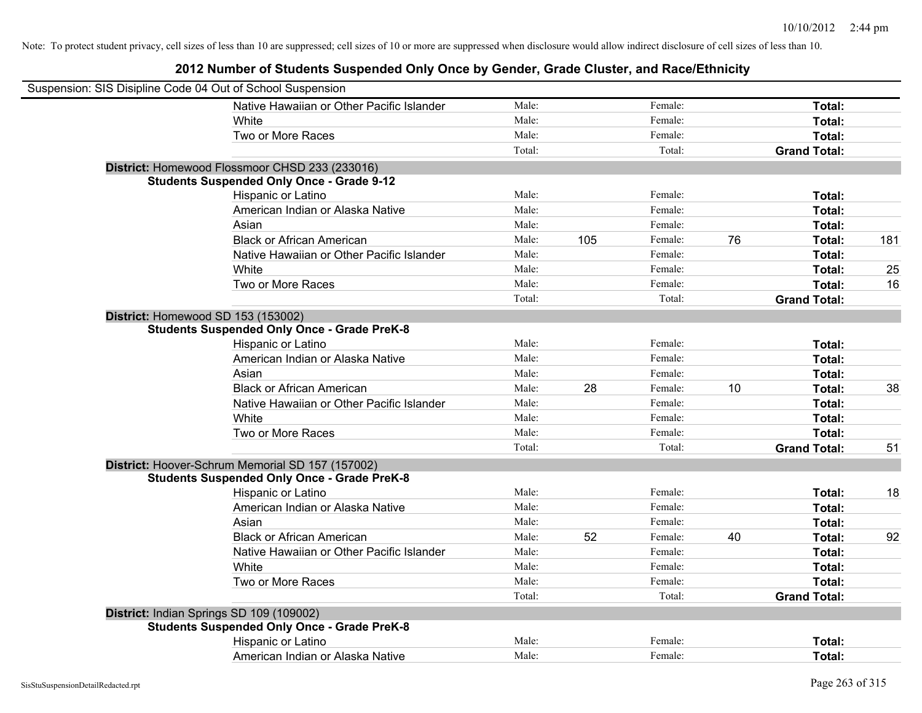| Suspension: SIS Disipline Code 04 Out of School Suspension |                                                    |        |     |         |    |                     |     |
|------------------------------------------------------------|----------------------------------------------------|--------|-----|---------|----|---------------------|-----|
|                                                            | Native Hawaiian or Other Pacific Islander          | Male:  |     | Female: |    | Total:              |     |
|                                                            | White                                              | Male:  |     | Female: |    | Total:              |     |
|                                                            | Two or More Races                                  | Male:  |     | Female: |    | Total:              |     |
|                                                            |                                                    | Total: |     | Total:  |    | <b>Grand Total:</b> |     |
|                                                            | District: Homewood Flossmoor CHSD 233 (233016)     |        |     |         |    |                     |     |
|                                                            | <b>Students Suspended Only Once - Grade 9-12</b>   |        |     |         |    |                     |     |
|                                                            | Hispanic or Latino                                 | Male:  |     | Female: |    | Total:              |     |
|                                                            | American Indian or Alaska Native                   | Male:  |     | Female: |    | Total:              |     |
|                                                            | Asian                                              | Male:  |     | Female: |    | Total:              |     |
|                                                            | <b>Black or African American</b>                   | Male:  | 105 | Female: | 76 | Total:              | 181 |
|                                                            | Native Hawaiian or Other Pacific Islander          | Male:  |     | Female: |    | Total:              |     |
|                                                            | White                                              | Male:  |     | Female: |    | Total:              | 25  |
|                                                            | Two or More Races                                  | Male:  |     | Female: |    | Total:              | 16  |
|                                                            |                                                    | Total: |     | Total:  |    | <b>Grand Total:</b> |     |
| District: Homewood SD 153 (153002)                         |                                                    |        |     |         |    |                     |     |
|                                                            | <b>Students Suspended Only Once - Grade PreK-8</b> |        |     |         |    |                     |     |
|                                                            | Hispanic or Latino                                 | Male:  |     | Female: |    | Total:              |     |
|                                                            | American Indian or Alaska Native                   | Male:  |     | Female: |    | Total:              |     |
|                                                            | Asian                                              | Male:  |     | Female: |    | Total:              |     |
|                                                            | <b>Black or African American</b>                   | Male:  | 28  | Female: | 10 | Total:              | 38  |
|                                                            | Native Hawaiian or Other Pacific Islander          | Male:  |     | Female: |    | Total:              |     |
|                                                            | White                                              | Male:  |     | Female: |    | Total:              |     |
|                                                            | Two or More Races                                  | Male:  |     | Female: |    | Total:              |     |
|                                                            |                                                    | Total: |     | Total:  |    | <b>Grand Total:</b> | 51  |
|                                                            | District: Hoover-Schrum Memorial SD 157 (157002)   |        |     |         |    |                     |     |
|                                                            | <b>Students Suspended Only Once - Grade PreK-8</b> |        |     |         |    |                     |     |
|                                                            | Hispanic or Latino                                 | Male:  |     | Female: |    | Total:              | 18  |
|                                                            | American Indian or Alaska Native                   | Male:  |     | Female: |    | Total:              |     |
|                                                            | Asian                                              | Male:  |     | Female: |    | Total:              |     |
|                                                            | <b>Black or African American</b>                   | Male:  | 52  | Female: | 40 | Total:              | 92  |
|                                                            | Native Hawaiian or Other Pacific Islander          | Male:  |     | Female: |    | Total:              |     |
|                                                            | White                                              | Male:  |     | Female: |    | Total:              |     |
|                                                            | Two or More Races                                  | Male:  |     | Female: |    | Total:              |     |
|                                                            |                                                    | Total: |     | Total:  |    | <b>Grand Total:</b> |     |
|                                                            | District: Indian Springs SD 109 (109002)           |        |     |         |    |                     |     |
|                                                            | <b>Students Suspended Only Once - Grade PreK-8</b> |        |     |         |    |                     |     |
|                                                            | Hispanic or Latino                                 | Male:  |     | Female: |    | Total:              |     |
|                                                            | American Indian or Alaska Native                   | Male:  |     | Female: |    | Total:              |     |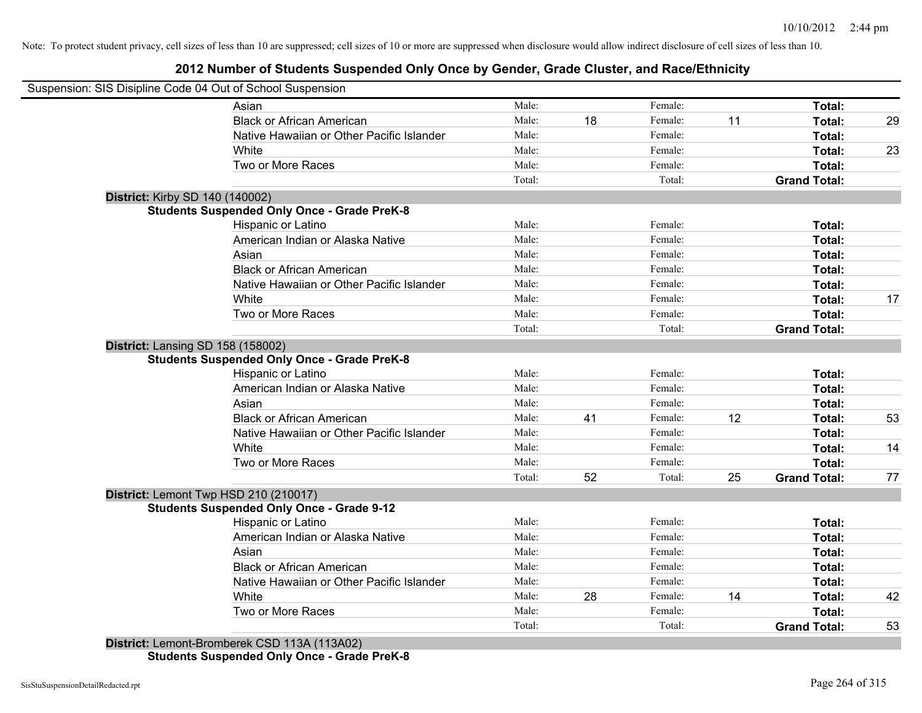## **2012 Number of Students Suspended Only Once by Gender, Grade Cluster, and Race/Ethnicity**

|                                          | Suspension: SIS Disipline Code 04 Out of School Suspension |        |    |         |    |                     |    |
|------------------------------------------|------------------------------------------------------------|--------|----|---------|----|---------------------|----|
|                                          | Asian                                                      | Male:  |    | Female: |    | Total:              |    |
|                                          | <b>Black or African American</b>                           | Male:  | 18 | Female: | 11 | Total:              | 29 |
|                                          | Native Hawaiian or Other Pacific Islander                  | Male:  |    | Female: |    | Total:              |    |
|                                          | White                                                      | Male:  |    | Female: |    | Total:              | 23 |
|                                          | Two or More Races                                          | Male:  |    | Female: |    | Total:              |    |
|                                          |                                                            | Total: |    | Total:  |    | <b>Grand Total:</b> |    |
| <b>District: Kirby SD 140 (140002)</b>   |                                                            |        |    |         |    |                     |    |
|                                          | <b>Students Suspended Only Once - Grade PreK-8</b>         |        |    |         |    |                     |    |
|                                          | Hispanic or Latino                                         | Male:  |    | Female: |    | Total:              |    |
|                                          | American Indian or Alaska Native                           | Male:  |    | Female: |    | Total:              |    |
|                                          | Asian                                                      | Male:  |    | Female: |    | Total:              |    |
|                                          | <b>Black or African American</b>                           | Male:  |    | Female: |    | Total:              |    |
|                                          | Native Hawaiian or Other Pacific Islander                  | Male:  |    | Female: |    | Total:              |    |
|                                          | White                                                      | Male:  |    | Female: |    | Total:              | 17 |
|                                          | Two or More Races                                          | Male:  |    | Female: |    | Total:              |    |
|                                          |                                                            | Total: |    | Total:  |    | <b>Grand Total:</b> |    |
| <b>District: Lansing SD 158 (158002)</b> |                                                            |        |    |         |    |                     |    |
|                                          | <b>Students Suspended Only Once - Grade PreK-8</b>         |        |    |         |    |                     |    |
|                                          | Hispanic or Latino                                         | Male:  |    | Female: |    | Total:              |    |
|                                          | American Indian or Alaska Native                           | Male:  |    | Female: |    | Total:              |    |
|                                          | Asian                                                      | Male:  |    | Female: |    | Total:              |    |
|                                          | <b>Black or African American</b>                           | Male:  | 41 | Female: | 12 | Total:              | 53 |
|                                          | Native Hawaiian or Other Pacific Islander                  | Male:  |    | Female: |    | Total:              |    |
|                                          | White                                                      | Male:  |    | Female: |    | Total:              | 14 |
|                                          | Two or More Races                                          | Male:  |    | Female: |    | Total:              |    |
|                                          |                                                            | Total: | 52 | Total:  | 25 | <b>Grand Total:</b> | 77 |
| District: Lemont Twp HSD 210 (210017)    |                                                            |        |    |         |    |                     |    |
|                                          | <b>Students Suspended Only Once - Grade 9-12</b>           |        |    |         |    |                     |    |
|                                          | Hispanic or Latino                                         | Male:  |    | Female: |    | Total:              |    |
|                                          | American Indian or Alaska Native                           | Male:  |    | Female: |    | Total:              |    |
|                                          | Asian                                                      | Male:  |    | Female: |    | Total:              |    |
|                                          | <b>Black or African American</b>                           | Male:  |    | Female: |    | Total:              |    |
|                                          | Native Hawaiian or Other Pacific Islander                  | Male:  |    | Female: |    | Total:              |    |
|                                          | White                                                      | Male:  | 28 | Female: | 14 | Total:              | 42 |
|                                          | Two or More Races                                          | Male:  |    | Female: |    | Total:              |    |
|                                          |                                                            | Total: |    | Total:  |    | <b>Grand Total:</b> | 53 |
|                                          | District: Lemont-Bromberek CSD 113A (113A02)               |        |    |         |    |                     |    |

**Students Suspended Only Once - Grade PreK-8**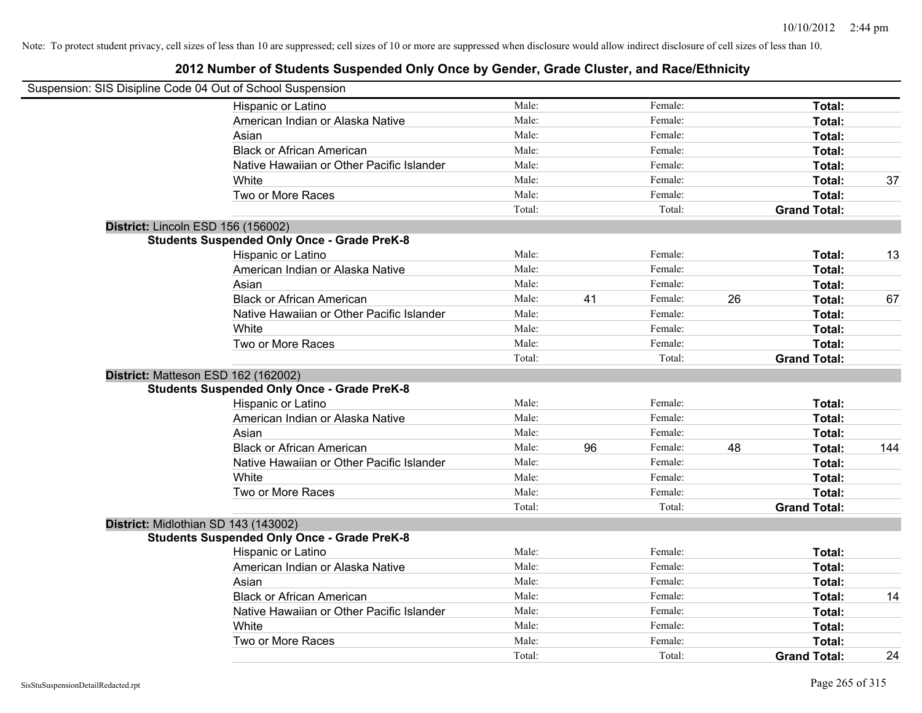| Suspension: SIS Disipline Code 04 Out of School Suspension |        |    |         |    |                     |     |
|------------------------------------------------------------|--------|----|---------|----|---------------------|-----|
| Hispanic or Latino                                         | Male:  |    | Female: |    | Total:              |     |
| American Indian or Alaska Native                           | Male:  |    | Female: |    | Total:              |     |
| Asian                                                      | Male:  |    | Female: |    | Total:              |     |
| <b>Black or African American</b>                           | Male:  |    | Female: |    | Total:              |     |
| Native Hawaiian or Other Pacific Islander                  | Male:  |    | Female: |    | Total:              |     |
| White                                                      | Male:  |    | Female: |    | Total:              | 37  |
| Two or More Races                                          | Male:  |    | Female: |    | Total:              |     |
|                                                            | Total: |    | Total:  |    | <b>Grand Total:</b> |     |
| District: Lincoln ESD 156 (156002)                         |        |    |         |    |                     |     |
| <b>Students Suspended Only Once - Grade PreK-8</b>         |        |    |         |    |                     |     |
| Hispanic or Latino                                         | Male:  |    | Female: |    | Total:              | 13  |
| American Indian or Alaska Native                           | Male:  |    | Female: |    | Total:              |     |
| Asian                                                      | Male:  |    | Female: |    | Total:              |     |
| <b>Black or African American</b>                           | Male:  | 41 | Female: | 26 | Total:              | 67  |
| Native Hawaiian or Other Pacific Islander                  | Male:  |    | Female: |    | Total:              |     |
| White                                                      | Male:  |    | Female: |    | Total:              |     |
| Two or More Races                                          | Male:  |    | Female: |    | Total:              |     |
|                                                            | Total: |    | Total:  |    | <b>Grand Total:</b> |     |
| District: Matteson ESD 162 (162002)                        |        |    |         |    |                     |     |
| <b>Students Suspended Only Once - Grade PreK-8</b>         |        |    |         |    |                     |     |
| Hispanic or Latino                                         | Male:  |    | Female: |    | Total:              |     |
| American Indian or Alaska Native                           | Male:  |    | Female: |    | Total:              |     |
| Asian                                                      | Male:  |    | Female: |    | Total:              |     |
| <b>Black or African American</b>                           | Male:  | 96 | Female: | 48 | Total:              | 144 |
| Native Hawaiian or Other Pacific Islander                  | Male:  |    | Female: |    | Total:              |     |
| White                                                      | Male:  |    | Female: |    | Total:              |     |
| Two or More Races                                          | Male:  |    | Female: |    | Total:              |     |
|                                                            | Total: |    | Total:  |    | <b>Grand Total:</b> |     |
| District: Midlothian SD 143 (143002)                       |        |    |         |    |                     |     |
| <b>Students Suspended Only Once - Grade PreK-8</b>         |        |    |         |    |                     |     |
| Hispanic or Latino                                         | Male:  |    | Female: |    | Total:              |     |
| American Indian or Alaska Native                           | Male:  |    | Female: |    | Total:              |     |
| Asian                                                      | Male:  |    | Female: |    | Total:              |     |
| <b>Black or African American</b>                           | Male:  |    | Female: |    | Total:              | 14  |
| Native Hawaiian or Other Pacific Islander                  | Male:  |    | Female: |    | Total:              |     |
| White                                                      | Male:  |    | Female: |    | Total:              |     |
| Two or More Races                                          | Male:  |    | Female: |    | Total:              |     |
|                                                            | Total: |    | Total:  |    | <b>Grand Total:</b> | 24  |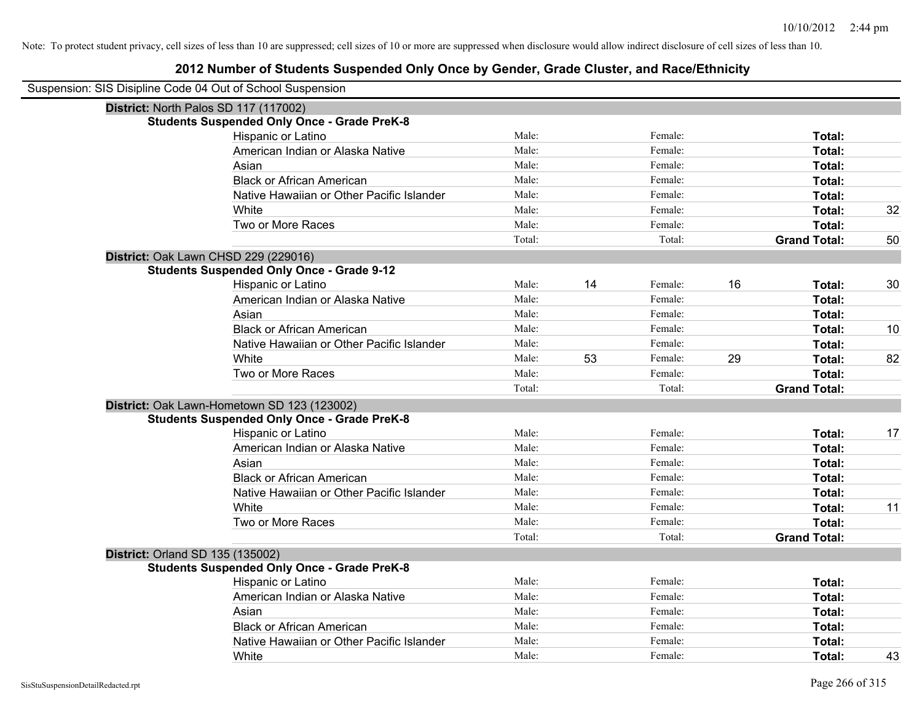| Suspension: SIS Disipline Code 04 Out of School Suspension |        |    |         |    |                     |    |
|------------------------------------------------------------|--------|----|---------|----|---------------------|----|
| District: North Palos SD 117 (117002)                      |        |    |         |    |                     |    |
| <b>Students Suspended Only Once - Grade PreK-8</b>         |        |    |         |    |                     |    |
| Hispanic or Latino                                         | Male:  |    | Female: |    | Total:              |    |
| American Indian or Alaska Native                           | Male:  |    | Female: |    | Total:              |    |
| Asian                                                      | Male:  |    | Female: |    | Total:              |    |
| <b>Black or African American</b>                           | Male:  |    | Female: |    | Total:              |    |
| Native Hawaiian or Other Pacific Islander                  | Male:  |    | Female: |    | Total:              |    |
| White                                                      | Male:  |    | Female: |    | Total:              | 32 |
| Two or More Races                                          | Male:  |    | Female: |    | Total:              |    |
|                                                            | Total: |    | Total:  |    | <b>Grand Total:</b> | 50 |
| District: Oak Lawn CHSD 229 (229016)                       |        |    |         |    |                     |    |
| <b>Students Suspended Only Once - Grade 9-12</b>           |        |    |         |    |                     |    |
| Hispanic or Latino                                         | Male:  | 14 | Female: | 16 | Total:              | 30 |
| American Indian or Alaska Native                           | Male:  |    | Female: |    | Total:              |    |
| Asian                                                      | Male:  |    | Female: |    | Total:              |    |
| <b>Black or African American</b>                           | Male:  |    | Female: |    | Total:              | 10 |
| Native Hawaiian or Other Pacific Islander                  | Male:  |    | Female: |    | Total:              |    |
| White                                                      | Male:  | 53 | Female: | 29 | Total:              | 82 |
| Two or More Races                                          | Male:  |    | Female: |    | Total:              |    |
|                                                            | Total: |    | Total:  |    | <b>Grand Total:</b> |    |
| District: Oak Lawn-Hometown SD 123 (123002)                |        |    |         |    |                     |    |
| <b>Students Suspended Only Once - Grade PreK-8</b>         |        |    |         |    |                     |    |
| Hispanic or Latino                                         | Male:  |    | Female: |    | Total:              | 17 |
| American Indian or Alaska Native                           | Male:  |    | Female: |    | Total:              |    |
| Asian                                                      | Male:  |    | Female: |    | Total:              |    |
| <b>Black or African American</b>                           | Male:  |    | Female: |    | Total:              |    |
| Native Hawaiian or Other Pacific Islander                  | Male:  |    | Female: |    | Total:              |    |
| White                                                      | Male:  |    | Female: |    | Total:              | 11 |
| Two or More Races                                          | Male:  |    | Female: |    | Total:              |    |
|                                                            | Total: |    | Total:  |    | <b>Grand Total:</b> |    |
| <b>District: Orland SD 135 (135002)</b>                    |        |    |         |    |                     |    |
| <b>Students Suspended Only Once - Grade PreK-8</b>         |        |    |         |    |                     |    |
| Hispanic or Latino                                         | Male:  |    | Female: |    | Total:              |    |
| American Indian or Alaska Native                           | Male:  |    | Female: |    | Total:              |    |
| Asian                                                      | Male:  |    | Female: |    | Total:              |    |
| <b>Black or African American</b>                           | Male:  |    | Female: |    | Total:              |    |
| Native Hawaiian or Other Pacific Islander                  | Male:  |    | Female: |    | Total:              |    |
| White                                                      | Male:  |    | Female: |    | Total:              | 43 |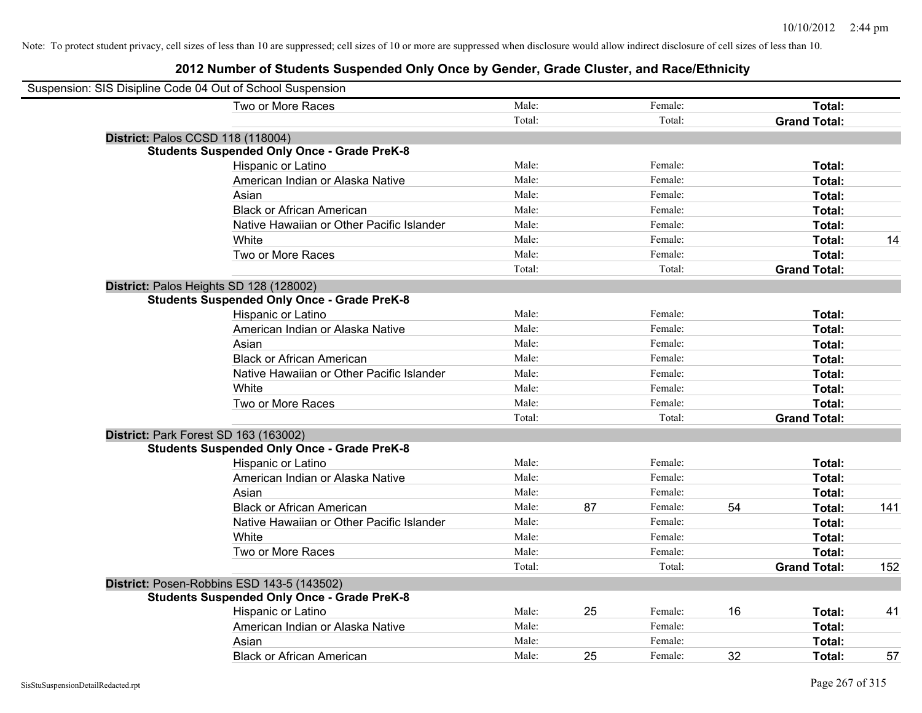| Suspension: SIS Disipline Code 04 Out of School Suspension |        |    |         |    |                     |     |
|------------------------------------------------------------|--------|----|---------|----|---------------------|-----|
| Two or More Races                                          | Male:  |    | Female: |    | Total:              |     |
|                                                            | Total: |    | Total:  |    | <b>Grand Total:</b> |     |
| District: Palos CCSD 118 (118004)                          |        |    |         |    |                     |     |
| <b>Students Suspended Only Once - Grade PreK-8</b>         |        |    |         |    |                     |     |
| Hispanic or Latino                                         | Male:  |    | Female: |    | Total:              |     |
| American Indian or Alaska Native                           | Male:  |    | Female: |    | Total:              |     |
| Asian                                                      | Male:  |    | Female: |    | Total:              |     |
| <b>Black or African American</b>                           | Male:  |    | Female: |    | Total:              |     |
| Native Hawaiian or Other Pacific Islander                  | Male:  |    | Female: |    | Total:              |     |
| White                                                      | Male:  |    | Female: |    | Total:              | 14  |
| Two or More Races                                          | Male:  |    | Female: |    | Total:              |     |
|                                                            | Total: |    | Total:  |    | <b>Grand Total:</b> |     |
| District: Palos Heights SD 128 (128002)                    |        |    |         |    |                     |     |
| <b>Students Suspended Only Once - Grade PreK-8</b>         |        |    |         |    |                     |     |
| Hispanic or Latino                                         | Male:  |    | Female: |    | Total:              |     |
| American Indian or Alaska Native                           | Male:  |    | Female: |    | Total:              |     |
| Asian                                                      | Male:  |    | Female: |    | Total:              |     |
| <b>Black or African American</b>                           | Male:  |    | Female: |    | Total:              |     |
| Native Hawaiian or Other Pacific Islander                  | Male:  |    | Female: |    | Total:              |     |
| White                                                      | Male:  |    | Female: |    | Total:              |     |
| Two or More Races                                          | Male:  |    | Female: |    | Total:              |     |
|                                                            | Total: |    | Total:  |    | <b>Grand Total:</b> |     |
| District: Park Forest SD 163 (163002)                      |        |    |         |    |                     |     |
| <b>Students Suspended Only Once - Grade PreK-8</b>         |        |    |         |    |                     |     |
| Hispanic or Latino                                         | Male:  |    | Female: |    | Total:              |     |
| American Indian or Alaska Native                           | Male:  |    | Female: |    | Total:              |     |
| Asian                                                      | Male:  |    | Female: |    | Total:              |     |
| <b>Black or African American</b>                           | Male:  | 87 | Female: | 54 | Total:              | 141 |
| Native Hawaiian or Other Pacific Islander                  | Male:  |    | Female: |    | Total:              |     |
| White                                                      | Male:  |    | Female: |    | Total:              |     |
| Two or More Races                                          | Male:  |    | Female: |    | Total:              |     |
|                                                            | Total: |    | Total:  |    | <b>Grand Total:</b> | 152 |
| District: Posen-Robbins ESD 143-5 (143502)                 |        |    |         |    |                     |     |
| <b>Students Suspended Only Once - Grade PreK-8</b>         |        |    |         |    |                     |     |
| Hispanic or Latino                                         | Male:  | 25 | Female: | 16 | Total:              | 41  |
| American Indian or Alaska Native                           | Male:  |    | Female: |    | Total:              |     |
| Asian                                                      | Male:  |    | Female: |    | Total:              |     |
| <b>Black or African American</b>                           | Male:  | 25 | Female: | 32 | Total:              | 57  |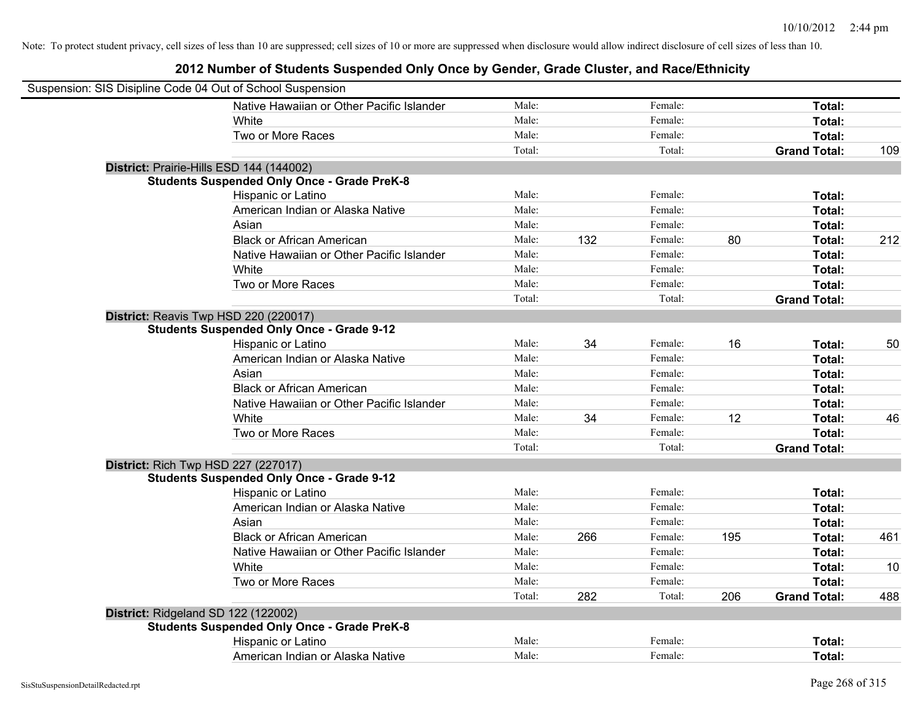| Suspension: SIS Disipline Code 04 Out of School Suspension |                                                    |        |     |         |     |                     |     |
|------------------------------------------------------------|----------------------------------------------------|--------|-----|---------|-----|---------------------|-----|
|                                                            | Native Hawaiian or Other Pacific Islander          | Male:  |     | Female: |     | Total:              |     |
|                                                            | White                                              | Male:  |     | Female: |     | Total:              |     |
|                                                            | Two or More Races                                  | Male:  |     | Female: |     | Total:              |     |
|                                                            |                                                    | Total: |     | Total:  |     | <b>Grand Total:</b> | 109 |
|                                                            | District: Prairie-Hills ESD 144 (144002)           |        |     |         |     |                     |     |
|                                                            | <b>Students Suspended Only Once - Grade PreK-8</b> |        |     |         |     |                     |     |
|                                                            | Hispanic or Latino                                 | Male:  |     | Female: |     | Total:              |     |
|                                                            | American Indian or Alaska Native                   | Male:  |     | Female: |     | Total:              |     |
|                                                            | Asian                                              | Male:  |     | Female: |     | Total:              |     |
|                                                            | <b>Black or African American</b>                   | Male:  | 132 | Female: | 80  | Total:              | 212 |
|                                                            | Native Hawaiian or Other Pacific Islander          | Male:  |     | Female: |     | Total:              |     |
|                                                            | White                                              | Male:  |     | Female: |     | Total:              |     |
|                                                            | Two or More Races                                  | Male:  |     | Female: |     | Total:              |     |
|                                                            |                                                    | Total: |     | Total:  |     | <b>Grand Total:</b> |     |
|                                                            | District: Reavis Twp HSD 220 (220017)              |        |     |         |     |                     |     |
|                                                            | <b>Students Suspended Only Once - Grade 9-12</b>   |        |     |         |     |                     |     |
|                                                            | Hispanic or Latino                                 | Male:  | 34  | Female: | 16  | Total:              | 50  |
|                                                            | American Indian or Alaska Native                   | Male:  |     | Female: |     | Total:              |     |
|                                                            | Asian                                              | Male:  |     | Female: |     | Total:              |     |
|                                                            | <b>Black or African American</b>                   | Male:  |     | Female: |     | Total:              |     |
|                                                            | Native Hawaiian or Other Pacific Islander          | Male:  |     | Female: |     | Total:              |     |
|                                                            | White                                              | Male:  | 34  | Female: | 12  | Total:              | 46  |
|                                                            | Two or More Races                                  | Male:  |     | Female: |     | Total:              |     |
|                                                            |                                                    | Total: |     | Total:  |     | <b>Grand Total:</b> |     |
|                                                            | District: Rich Twp HSD 227 (227017)                |        |     |         |     |                     |     |
|                                                            | <b>Students Suspended Only Once - Grade 9-12</b>   |        |     |         |     |                     |     |
|                                                            | Hispanic or Latino                                 | Male:  |     | Female: |     | Total:              |     |
|                                                            | American Indian or Alaska Native                   | Male:  |     | Female: |     | Total:              |     |
|                                                            | Asian                                              | Male:  |     | Female: |     | Total:              |     |
|                                                            | <b>Black or African American</b>                   | Male:  | 266 | Female: | 195 | Total:              | 461 |
|                                                            | Native Hawaiian or Other Pacific Islander          | Male:  |     | Female: |     | Total:              |     |
|                                                            | White                                              | Male:  |     | Female: |     | Total:              | 10  |
|                                                            | Two or More Races                                  | Male:  |     | Female: |     | Total:              |     |
|                                                            |                                                    | Total: | 282 | Total:  | 206 | <b>Grand Total:</b> | 488 |
|                                                            | District: Ridgeland SD 122 (122002)                |        |     |         |     |                     |     |
|                                                            | <b>Students Suspended Only Once - Grade PreK-8</b> |        |     |         |     |                     |     |
|                                                            | Hispanic or Latino                                 | Male:  |     | Female: |     | Total:              |     |
|                                                            | American Indian or Alaska Native                   | Male:  |     | Female: |     | Total:              |     |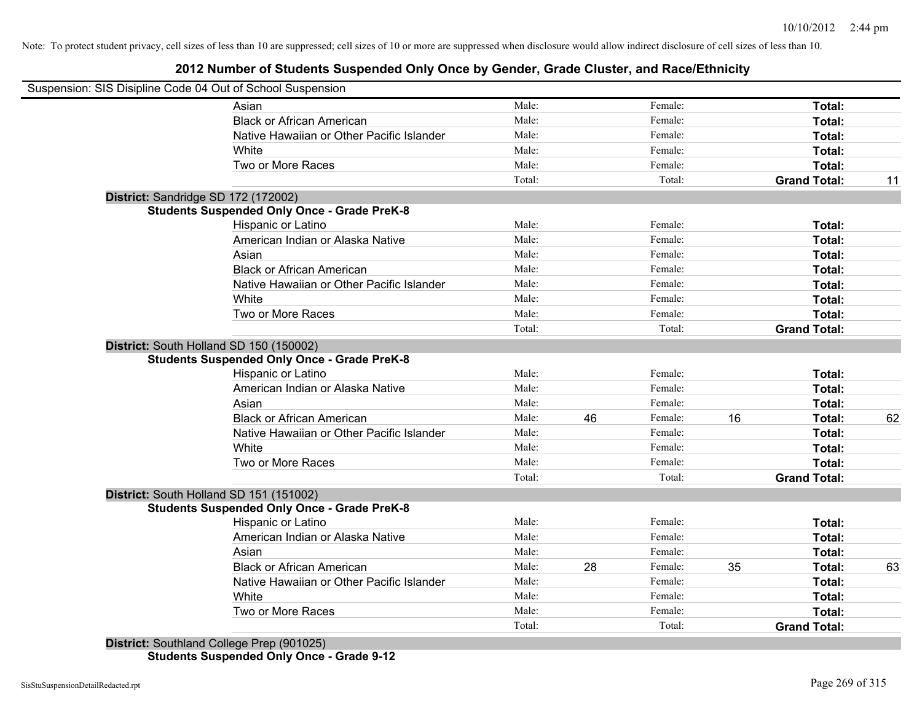## **2012 Number of Students Suspended Only Once by Gender, Grade Cluster, and Race/Ethnicity**

| Suspension: SIS Disipline Code 04 Out of School Suspension |                                                                                                                                                                                                                                                                                             |    |         |    |                     |    |
|------------------------------------------------------------|---------------------------------------------------------------------------------------------------------------------------------------------------------------------------------------------------------------------------------------------------------------------------------------------|----|---------|----|---------------------|----|
| Asian                                                      | Male:                                                                                                                                                                                                                                                                                       |    | Female: |    | Total:              |    |
| <b>Black or African American</b>                           | Male:                                                                                                                                                                                                                                                                                       |    | Female: |    | Total:              |    |
| Native Hawaiian or Other Pacific Islander                  | Male:                                                                                                                                                                                                                                                                                       |    | Female: |    | Total:              |    |
| White                                                      | Male:                                                                                                                                                                                                                                                                                       |    | Female: |    | Total:              |    |
| Two or More Races                                          | Male:                                                                                                                                                                                                                                                                                       |    | Female: |    | Total:              |    |
|                                                            | Total:                                                                                                                                                                                                                                                                                      |    | Total:  |    | <b>Grand Total:</b> | 11 |
|                                                            |                                                                                                                                                                                                                                                                                             |    |         |    |                     |    |
|                                                            |                                                                                                                                                                                                                                                                                             |    |         |    |                     |    |
| Hispanic or Latino                                         | Male:                                                                                                                                                                                                                                                                                       |    | Female: |    | Total:              |    |
| American Indian or Alaska Native                           | Male:                                                                                                                                                                                                                                                                                       |    | Female: |    | Total:              |    |
| Asian                                                      | Male:                                                                                                                                                                                                                                                                                       |    | Female: |    | Total:              |    |
| <b>Black or African American</b>                           | Male:                                                                                                                                                                                                                                                                                       |    | Female: |    | Total:              |    |
| Native Hawaiian or Other Pacific Islander                  | Male:                                                                                                                                                                                                                                                                                       |    | Female: |    | Total:              |    |
| White                                                      | Male:                                                                                                                                                                                                                                                                                       |    | Female: |    | Total:              |    |
| Two or More Races                                          | Male:                                                                                                                                                                                                                                                                                       |    | Female: |    | Total:              |    |
|                                                            | Total:                                                                                                                                                                                                                                                                                      |    | Total:  |    | <b>Grand Total:</b> |    |
|                                                            |                                                                                                                                                                                                                                                                                             |    |         |    |                     |    |
|                                                            |                                                                                                                                                                                                                                                                                             |    |         |    |                     |    |
| Hispanic or Latino                                         | Male:                                                                                                                                                                                                                                                                                       |    | Female: |    | Total:              |    |
| American Indian or Alaska Native                           | Male:                                                                                                                                                                                                                                                                                       |    | Female: |    | Total:              |    |
| Asian                                                      | Male:                                                                                                                                                                                                                                                                                       |    | Female: |    | Total:              |    |
| <b>Black or African American</b>                           | Male:                                                                                                                                                                                                                                                                                       | 46 | Female: | 16 | Total:              | 62 |
| Native Hawaiian or Other Pacific Islander                  | Male:                                                                                                                                                                                                                                                                                       |    | Female: |    | Total:              |    |
| White                                                      | Male:                                                                                                                                                                                                                                                                                       |    | Female: |    | Total:              |    |
| Two or More Races                                          | Male:                                                                                                                                                                                                                                                                                       |    | Female: |    | Total:              |    |
|                                                            | Total:                                                                                                                                                                                                                                                                                      |    | Total:  |    | <b>Grand Total:</b> |    |
|                                                            |                                                                                                                                                                                                                                                                                             |    |         |    |                     |    |
|                                                            |                                                                                                                                                                                                                                                                                             |    |         |    |                     |    |
| Hispanic or Latino                                         | Male:                                                                                                                                                                                                                                                                                       |    | Female: |    | Total:              |    |
| American Indian or Alaska Native                           | Male:                                                                                                                                                                                                                                                                                       |    | Female: |    | Total:              |    |
| Asian                                                      | Male:                                                                                                                                                                                                                                                                                       |    | Female: |    | Total:              |    |
| <b>Black or African American</b>                           | Male:                                                                                                                                                                                                                                                                                       | 28 | Female: | 35 | Total:              | 63 |
| Native Hawaiian or Other Pacific Islander                  | Male:                                                                                                                                                                                                                                                                                       |    | Female: |    | Total:              |    |
| White                                                      | Male:                                                                                                                                                                                                                                                                                       |    | Female: |    | Total:              |    |
| Two or More Races                                          | Male:                                                                                                                                                                                                                                                                                       |    | Female: |    | <b>Total:</b>       |    |
|                                                            |                                                                                                                                                                                                                                                                                             |    |         |    |                     |    |
|                                                            | District: Sandridge SD 172 (172002)<br><b>Students Suspended Only Once - Grade PreK-8</b><br>District: South Holland SD 150 (150002)<br><b>Students Suspended Only Once - Grade PreK-8</b><br>District: South Holland SD 151 (151002)<br><b>Students Suspended Only Once - Grade PreK-8</b> |    |         |    |                     |    |

**Students Suspended Only Once - Grade 9-12**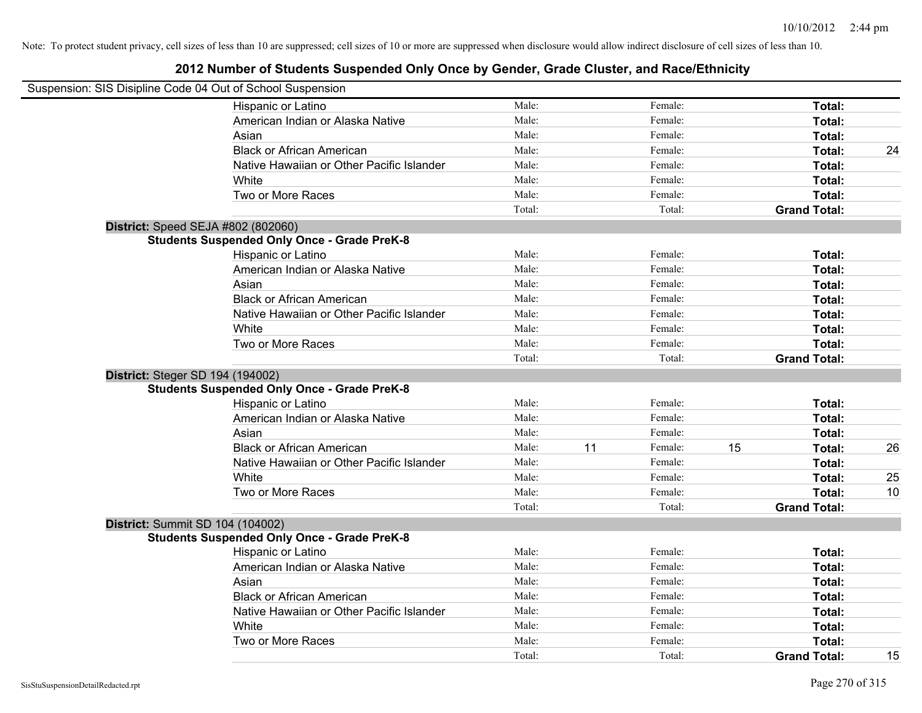| Suspension: SIS Disipline Code 04 Out of School Suspension |                                                    |        |    |         |    |                     |    |
|------------------------------------------------------------|----------------------------------------------------|--------|----|---------|----|---------------------|----|
|                                                            | Hispanic or Latino                                 | Male:  |    | Female: |    | Total:              |    |
|                                                            | American Indian or Alaska Native                   | Male:  |    | Female: |    | Total:              |    |
|                                                            | Asian                                              | Male:  |    | Female: |    | Total:              |    |
|                                                            | <b>Black or African American</b>                   | Male:  |    | Female: |    | Total:              | 24 |
|                                                            | Native Hawaiian or Other Pacific Islander          | Male:  |    | Female: |    | Total:              |    |
|                                                            | White                                              | Male:  |    | Female: |    | Total:              |    |
|                                                            | Two or More Races                                  | Male:  |    | Female: |    | Total:              |    |
|                                                            |                                                    | Total: |    | Total:  |    | <b>Grand Total:</b> |    |
|                                                            | District: Speed SEJA #802 (802060)                 |        |    |         |    |                     |    |
|                                                            | <b>Students Suspended Only Once - Grade PreK-8</b> |        |    |         |    |                     |    |
|                                                            | Hispanic or Latino                                 | Male:  |    | Female: |    | Total:              |    |
|                                                            | American Indian or Alaska Native                   | Male:  |    | Female: |    | Total:              |    |
|                                                            | Asian                                              | Male:  |    | Female: |    | Total:              |    |
|                                                            | <b>Black or African American</b>                   | Male:  |    | Female: |    | Total:              |    |
|                                                            | Native Hawaiian or Other Pacific Islander          | Male:  |    | Female: |    | Total:              |    |
|                                                            | White                                              | Male:  |    | Female: |    | Total:              |    |
|                                                            | Two or More Races                                  | Male:  |    | Female: |    | Total:              |    |
|                                                            |                                                    | Total: |    | Total:  |    | <b>Grand Total:</b> |    |
|                                                            | District: Steger SD 194 (194002)                   |        |    |         |    |                     |    |
|                                                            | <b>Students Suspended Only Once - Grade PreK-8</b> |        |    |         |    |                     |    |
|                                                            | Hispanic or Latino                                 | Male:  |    | Female: |    | Total:              |    |
|                                                            | American Indian or Alaska Native                   | Male:  |    | Female: |    | Total:              |    |
|                                                            | Asian                                              | Male:  |    | Female: |    | Total:              |    |
|                                                            | <b>Black or African American</b>                   | Male:  | 11 | Female: | 15 | Total:              | 26 |
|                                                            | Native Hawaiian or Other Pacific Islander          | Male:  |    | Female: |    | Total:              |    |
|                                                            | White                                              | Male:  |    | Female: |    | Total:              | 25 |
|                                                            | Two or More Races                                  | Male:  |    | Female: |    | Total:              | 10 |
|                                                            |                                                    | Total: |    | Total:  |    | <b>Grand Total:</b> |    |
|                                                            | District: Summit SD 104 (104002)                   |        |    |         |    |                     |    |
|                                                            | <b>Students Suspended Only Once - Grade PreK-8</b> |        |    |         |    |                     |    |
|                                                            | Hispanic or Latino                                 | Male:  |    | Female: |    | Total:              |    |
|                                                            | American Indian or Alaska Native                   | Male:  |    | Female: |    | Total:              |    |
|                                                            | Asian                                              | Male:  |    | Female: |    | Total:              |    |
|                                                            | <b>Black or African American</b>                   | Male:  |    | Female: |    | Total:              |    |
|                                                            | Native Hawaiian or Other Pacific Islander          | Male:  |    | Female: |    | Total:              |    |
|                                                            | White                                              | Male:  |    | Female: |    | Total:              |    |
|                                                            | Two or More Races                                  | Male:  |    | Female: |    | Total:              |    |
|                                                            |                                                    | Total: |    | Total:  |    | <b>Grand Total:</b> | 15 |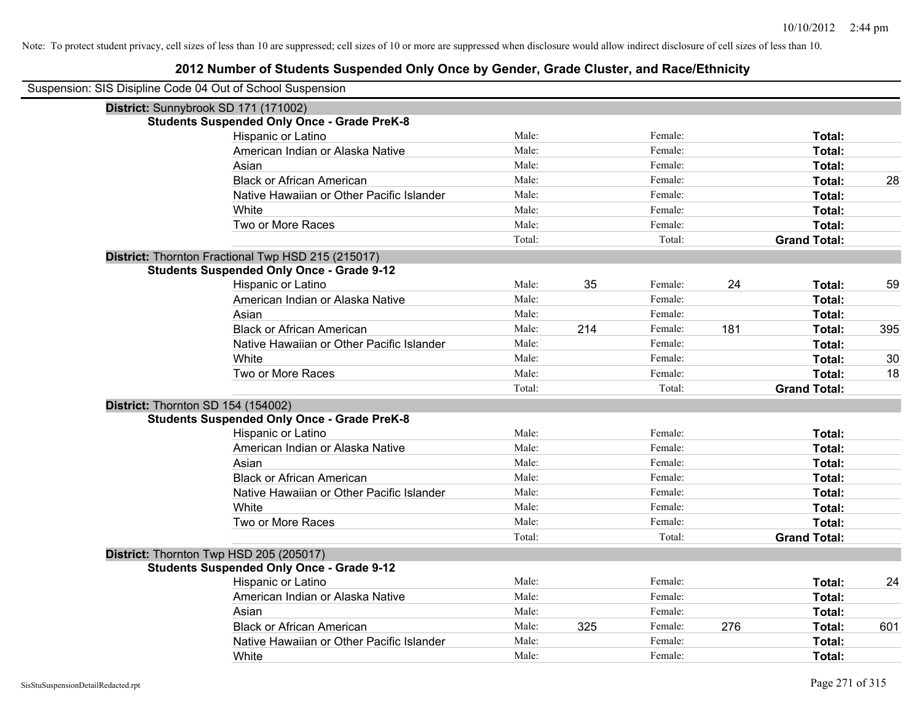| Suspension: SIS Disipline Code 04 Out of School Suspension |                                                    |        |     |         |     |                     |     |
|------------------------------------------------------------|----------------------------------------------------|--------|-----|---------|-----|---------------------|-----|
| District: Sunnybrook SD 171 (171002)                       |                                                    |        |     |         |     |                     |     |
|                                                            | <b>Students Suspended Only Once - Grade PreK-8</b> |        |     |         |     |                     |     |
|                                                            | Hispanic or Latino                                 | Male:  |     | Female: |     | Total:              |     |
|                                                            | American Indian or Alaska Native                   | Male:  |     | Female: |     | Total:              |     |
|                                                            | Asian                                              | Male:  |     | Female: |     | Total:              |     |
|                                                            | <b>Black or African American</b>                   | Male:  |     | Female: |     | Total:              | 28  |
|                                                            | Native Hawaiian or Other Pacific Islander          | Male:  |     | Female: |     | Total:              |     |
|                                                            | White                                              | Male:  |     | Female: |     | Total:              |     |
|                                                            | Two or More Races                                  | Male:  |     | Female: |     | Total:              |     |
|                                                            |                                                    | Total: |     | Total:  |     | <b>Grand Total:</b> |     |
|                                                            | District: Thornton Fractional Twp HSD 215 (215017) |        |     |         |     |                     |     |
|                                                            | <b>Students Suspended Only Once - Grade 9-12</b>   |        |     |         |     |                     |     |
|                                                            | Hispanic or Latino                                 | Male:  | 35  | Female: | 24  | Total:              | 59  |
|                                                            | American Indian or Alaska Native                   | Male:  |     | Female: |     | Total:              |     |
|                                                            | Asian                                              | Male:  |     | Female: |     | Total:              |     |
|                                                            | <b>Black or African American</b>                   | Male:  | 214 | Female: | 181 | Total:              | 395 |
|                                                            | Native Hawaiian or Other Pacific Islander          | Male:  |     | Female: |     | Total:              |     |
|                                                            | White                                              | Male:  |     | Female: |     | Total:              | 30  |
|                                                            | Two or More Races                                  | Male:  |     | Female: |     | Total:              | 18  |
|                                                            |                                                    | Total: |     | Total:  |     | <b>Grand Total:</b> |     |
| District: Thornton SD 154 (154002)                         |                                                    |        |     |         |     |                     |     |
|                                                            | <b>Students Suspended Only Once - Grade PreK-8</b> |        |     |         |     |                     |     |
|                                                            | Hispanic or Latino                                 | Male:  |     | Female: |     | Total:              |     |
|                                                            | American Indian or Alaska Native                   | Male:  |     | Female: |     | Total:              |     |
|                                                            | Asian                                              | Male:  |     | Female: |     | Total:              |     |
|                                                            | <b>Black or African American</b>                   | Male:  |     | Female: |     | Total:              |     |
|                                                            | Native Hawaiian or Other Pacific Islander          | Male:  |     | Female: |     | Total:              |     |
|                                                            | White                                              | Male:  |     | Female: |     | Total:              |     |
|                                                            | Two or More Races                                  | Male:  |     | Female: |     | Total:              |     |
|                                                            |                                                    | Total: |     | Total:  |     | <b>Grand Total:</b> |     |
| District: Thornton Twp HSD 205 (205017)                    |                                                    |        |     |         |     |                     |     |
|                                                            | <b>Students Suspended Only Once - Grade 9-12</b>   |        |     |         |     |                     |     |
|                                                            | Hispanic or Latino                                 | Male:  |     | Female: |     | Total:              | 24  |
|                                                            | American Indian or Alaska Native                   | Male:  |     | Female: |     | Total:              |     |
|                                                            | Asian                                              | Male:  |     | Female: |     | Total:              |     |
|                                                            | <b>Black or African American</b>                   | Male:  | 325 | Female: | 276 | Total:              | 601 |
|                                                            | Native Hawaiian or Other Pacific Islander          | Male:  |     | Female: |     | Total:              |     |
|                                                            | White                                              | Male:  |     | Female: |     | Total:              |     |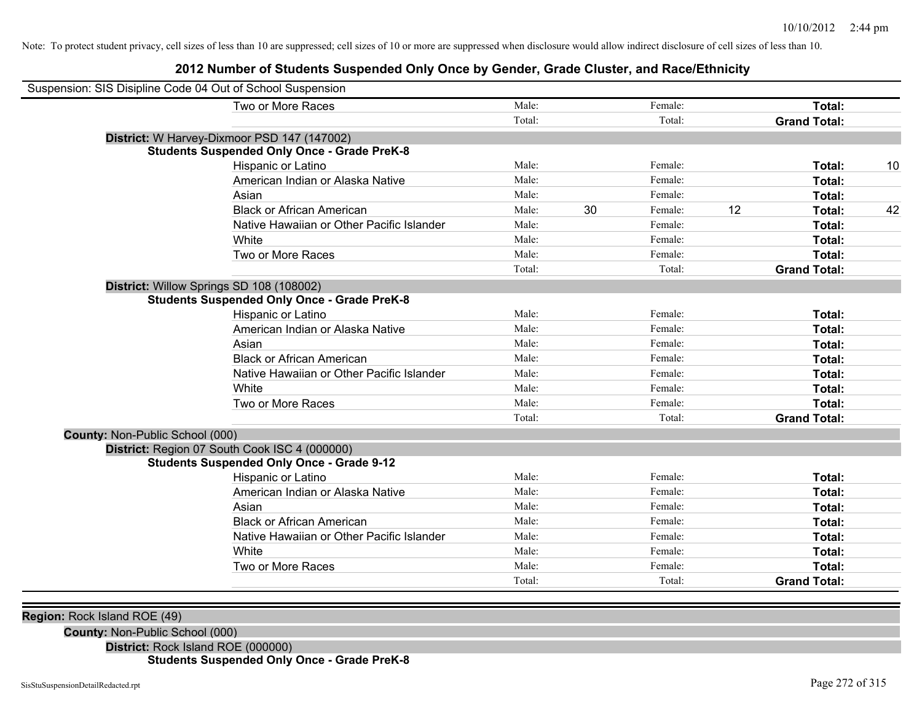## **2012 Number of Students Suspended Only Once by Gender, Grade Cluster, and Race/Ethnicity**

| Suspension: SIS Disipline Code 04 Out of School Suspension |                                                    |        |    |         |    |                     |    |
|------------------------------------------------------------|----------------------------------------------------|--------|----|---------|----|---------------------|----|
|                                                            | Two or More Races                                  | Male:  |    | Female: |    | Total:              |    |
|                                                            |                                                    | Total: |    | Total:  |    | <b>Grand Total:</b> |    |
|                                                            | District: W Harvey-Dixmoor PSD 147 (147002)        |        |    |         |    |                     |    |
|                                                            | <b>Students Suspended Only Once - Grade PreK-8</b> |        |    |         |    |                     |    |
|                                                            | Hispanic or Latino                                 | Male:  |    | Female: |    | Total:              | 10 |
|                                                            | American Indian or Alaska Native                   | Male:  |    | Female: |    | Total:              |    |
|                                                            | Asian                                              | Male:  |    | Female: |    | Total:              |    |
|                                                            | <b>Black or African American</b>                   | Male:  | 30 | Female: | 12 | Total:              | 42 |
|                                                            | Native Hawaiian or Other Pacific Islander          | Male:  |    | Female: |    | Total:              |    |
|                                                            | White                                              | Male:  |    | Female: |    | Total:              |    |
|                                                            | Two or More Races                                  | Male:  |    | Female: |    | Total:              |    |
|                                                            |                                                    | Total: |    | Total:  |    | <b>Grand Total:</b> |    |
|                                                            | District: Willow Springs SD 108 (108002)           |        |    |         |    |                     |    |
|                                                            | <b>Students Suspended Only Once - Grade PreK-8</b> |        |    |         |    |                     |    |
|                                                            | Hispanic or Latino                                 | Male:  |    | Female: |    | Total:              |    |
|                                                            | American Indian or Alaska Native                   | Male:  |    | Female: |    | Total:              |    |
|                                                            | Asian                                              | Male:  |    | Female: |    | Total:              |    |
|                                                            | <b>Black or African American</b>                   | Male:  |    | Female: |    | Total:              |    |
|                                                            | Native Hawaiian or Other Pacific Islander          | Male:  |    | Female: |    | Total:              |    |
|                                                            | White                                              | Male:  |    | Female: |    | Total:              |    |
|                                                            | Two or More Races                                  | Male:  |    | Female: |    | Total:              |    |
|                                                            |                                                    | Total: |    | Total:  |    | <b>Grand Total:</b> |    |
| County: Non-Public School (000)                            |                                                    |        |    |         |    |                     |    |
|                                                            | District: Region 07 South Cook ISC 4 (000000)      |        |    |         |    |                     |    |
|                                                            | <b>Students Suspended Only Once - Grade 9-12</b>   |        |    |         |    |                     |    |
|                                                            | Hispanic or Latino                                 | Male:  |    | Female: |    | Total:              |    |
|                                                            | American Indian or Alaska Native                   | Male:  |    | Female: |    | Total:              |    |
|                                                            | Asian                                              | Male:  |    | Female: |    | Total:              |    |
|                                                            | <b>Black or African American</b>                   | Male:  |    | Female: |    | Total:              |    |
|                                                            | Native Hawaiian or Other Pacific Islander          | Male:  |    | Female: |    | Total:              |    |
|                                                            | White                                              | Male:  |    | Female: |    | Total:              |    |
|                                                            | Two or More Races                                  | Male:  |    | Female: |    | Total:              |    |
|                                                            |                                                    | Total: |    | Total:  |    | <b>Grand Total:</b> |    |
|                                                            |                                                    |        |    |         |    |                     |    |
| Region: Rock Island ROE (49)                               |                                                    |        |    |         |    |                     |    |
| Country New Dublie Cabool (000)                            |                                                    |        |    |         |    |                     |    |

**County:** Non-Public School (000)

**District:** Rock Island ROE (000000)

## **Students Suspended Only Once - Grade PreK-8**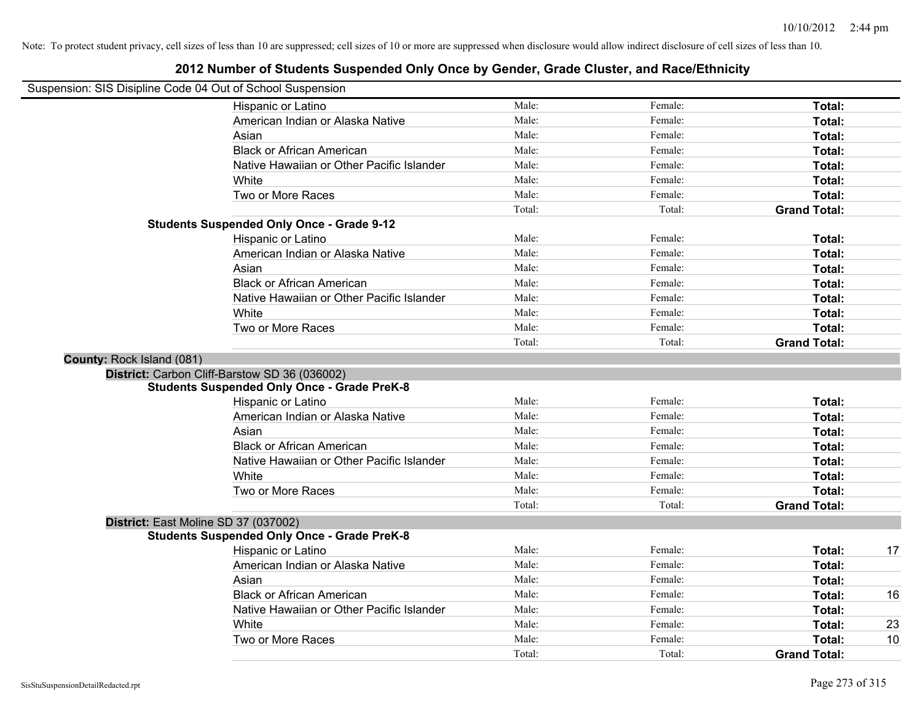$\sim$ 

Note: To protect student privacy, cell sizes of less than 10 are suppressed; cell sizes of 10 or more are suppressed when disclosure would allow indirect disclosure of cell sizes of less than 10.

| Suspension: SIS Disipline Code 04 Out of School Suspension |                                                    |        |         |                     |    |
|------------------------------------------------------------|----------------------------------------------------|--------|---------|---------------------|----|
|                                                            | Hispanic or Latino                                 | Male:  | Female: | Total:              |    |
|                                                            | American Indian or Alaska Native                   | Male:  | Female: | Total:              |    |
|                                                            | Asian                                              | Male:  | Female: | Total:              |    |
|                                                            | <b>Black or African American</b>                   | Male:  | Female: | Total:              |    |
|                                                            | Native Hawaiian or Other Pacific Islander          | Male:  | Female: | Total:              |    |
|                                                            | White                                              | Male:  | Female: | Total:              |    |
|                                                            | Two or More Races                                  | Male:  | Female: | Total:              |    |
|                                                            |                                                    | Total: | Total:  | <b>Grand Total:</b> |    |
|                                                            | <b>Students Suspended Only Once - Grade 9-12</b>   |        |         |                     |    |
|                                                            | Hispanic or Latino                                 | Male:  | Female: | Total:              |    |
|                                                            | American Indian or Alaska Native                   | Male:  | Female: | Total:              |    |
|                                                            | Asian                                              | Male:  | Female: | Total:              |    |
|                                                            | <b>Black or African American</b>                   | Male:  | Female: | Total:              |    |
|                                                            | Native Hawaiian or Other Pacific Islander          | Male:  | Female: | Total:              |    |
|                                                            | White                                              | Male:  | Female: | Total:              |    |
|                                                            | Two or More Races                                  | Male:  | Female: | Total:              |    |
|                                                            |                                                    | Total: | Total:  | <b>Grand Total:</b> |    |
| County: Rock Island (081)                                  |                                                    |        |         |                     |    |
|                                                            | District: Carbon Cliff-Barstow SD 36 (036002)      |        |         |                     |    |
|                                                            | <b>Students Suspended Only Once - Grade PreK-8</b> |        |         |                     |    |
|                                                            | Hispanic or Latino                                 | Male:  | Female: | Total:              |    |
|                                                            | American Indian or Alaska Native                   | Male:  | Female: | Total:              |    |
|                                                            | Asian                                              | Male:  | Female: | Total:              |    |
|                                                            | <b>Black or African American</b>                   | Male:  | Female: | Total:              |    |
|                                                            | Native Hawaiian or Other Pacific Islander          | Male:  | Female: | Total:              |    |
|                                                            | White                                              | Male:  | Female: | Total:              |    |
|                                                            | Two or More Races                                  | Male:  | Female: | Total:              |    |
|                                                            |                                                    | Total: | Total:  | <b>Grand Total:</b> |    |
|                                                            | District: East Moline SD 37 (037002)               |        |         |                     |    |
|                                                            | <b>Students Suspended Only Once - Grade PreK-8</b> |        |         |                     |    |
|                                                            | Hispanic or Latino                                 | Male:  | Female: | Total:              | 17 |
|                                                            | American Indian or Alaska Native                   | Male:  | Female: | Total:              |    |
|                                                            | Asian                                              | Male:  | Female: | Total:              |    |
|                                                            | <b>Black or African American</b>                   | Male:  | Female: | Total:              | 16 |
|                                                            | Native Hawaiian or Other Pacific Islander          | Male:  | Female: | Total:              |    |
|                                                            | White                                              | Male:  | Female: | Total:              | 23 |
|                                                            | Two or More Races                                  | Male:  | Female: | Total:              | 10 |
|                                                            |                                                    | Total: | Total:  | <b>Grand Total:</b> |    |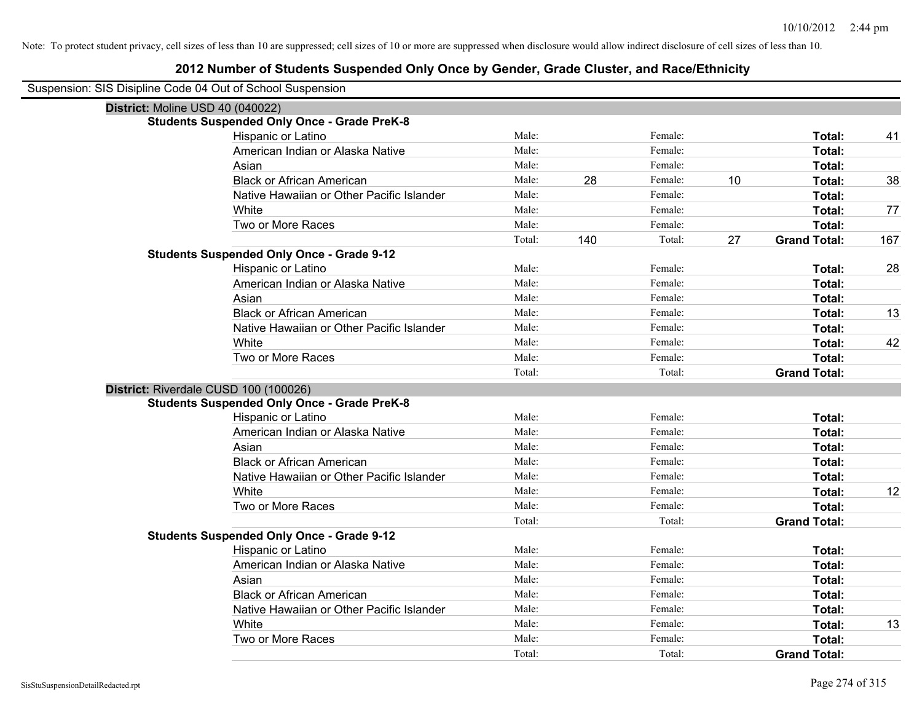| Suspension: SIS Disipline Code 04 Out of School Suspension |
|------------------------------------------------------------|
|------------------------------------------------------------|

| District: Moline USD 40 (040022) |                                                    |        |     |         |    |                     |     |
|----------------------------------|----------------------------------------------------|--------|-----|---------|----|---------------------|-----|
|                                  | <b>Students Suspended Only Once - Grade PreK-8</b> |        |     |         |    |                     |     |
|                                  | Hispanic or Latino                                 | Male:  |     | Female: |    | Total:              | 41  |
|                                  | American Indian or Alaska Native                   | Male:  |     | Female: |    | Total:              |     |
|                                  | Asian                                              | Male:  |     | Female: |    | Total:              |     |
|                                  | <b>Black or African American</b>                   | Male:  | 28  | Female: | 10 | Total:              | 38  |
|                                  | Native Hawaiian or Other Pacific Islander          | Male:  |     | Female: |    | Total:              |     |
|                                  | White                                              | Male:  |     | Female: |    | Total:              | 77  |
|                                  | Two or More Races                                  | Male:  |     | Female: |    | Total:              |     |
|                                  |                                                    | Total: | 140 | Total:  | 27 | <b>Grand Total:</b> | 167 |
|                                  | <b>Students Suspended Only Once - Grade 9-12</b>   |        |     |         |    |                     |     |
|                                  | Hispanic or Latino                                 | Male:  |     | Female: |    | Total:              | 28  |
|                                  | American Indian or Alaska Native                   | Male:  |     | Female: |    | Total:              |     |
|                                  | Asian                                              | Male:  |     | Female: |    | Total:              |     |
|                                  | <b>Black or African American</b>                   | Male:  |     | Female: |    | Total:              | 13  |
|                                  | Native Hawaiian or Other Pacific Islander          | Male:  |     | Female: |    | Total:              |     |
|                                  | White                                              | Male:  |     | Female: |    | Total:              | 42  |
|                                  | Two or More Races                                  | Male:  |     | Female: |    | Total:              |     |
|                                  |                                                    | Total: |     | Total:  |    | <b>Grand Total:</b> |     |
|                                  | District: Riverdale CUSD 100 (100026)              |        |     |         |    |                     |     |
|                                  | <b>Students Suspended Only Once - Grade PreK-8</b> |        |     |         |    |                     |     |
|                                  | Hispanic or Latino                                 | Male:  |     | Female: |    | Total:              |     |
|                                  | American Indian or Alaska Native                   | Male:  |     | Female: |    | Total:              |     |
|                                  | Asian                                              | Male:  |     | Female: |    | Total:              |     |
|                                  | <b>Black or African American</b>                   | Male:  |     | Female: |    | Total:              |     |
|                                  | Native Hawaiian or Other Pacific Islander          | Male:  |     | Female: |    | Total:              |     |
|                                  | White                                              | Male:  |     | Female: |    | Total:              | 12  |
|                                  | Two or More Races                                  | Male:  |     | Female: |    | Total:              |     |
|                                  |                                                    | Total: |     | Total:  |    | <b>Grand Total:</b> |     |
|                                  | <b>Students Suspended Only Once - Grade 9-12</b>   |        |     |         |    |                     |     |
|                                  | Hispanic or Latino                                 | Male:  |     | Female: |    | Total:              |     |
|                                  | American Indian or Alaska Native                   | Male:  |     | Female: |    | Total:              |     |
|                                  | Asian                                              | Male:  |     | Female: |    | Total:              |     |
|                                  | <b>Black or African American</b>                   | Male:  |     | Female: |    | Total:              |     |
|                                  | Native Hawaiian or Other Pacific Islander          | Male:  |     | Female: |    | Total:              |     |
|                                  | White                                              | Male:  |     | Female: |    | Total:              | 13  |
|                                  | Two or More Races                                  | Male:  |     | Female: |    | <b>Total:</b>       |     |
|                                  |                                                    | Total: |     | Total:  |    | <b>Grand Total:</b> |     |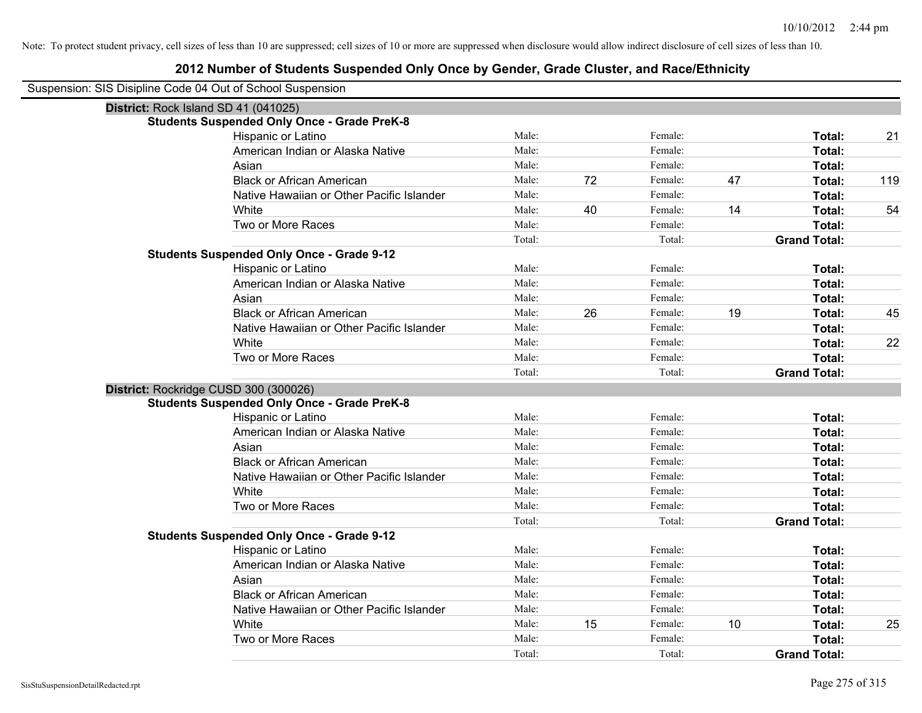| Suspension: SIS Disipline Code 04 Out of School Suspension |  |  |  |
|------------------------------------------------------------|--|--|--|
|------------------------------------------------------------|--|--|--|

| District: Rock Island SD 41 (041025)               |        |    |         |    |                     |     |
|----------------------------------------------------|--------|----|---------|----|---------------------|-----|
| <b>Students Suspended Only Once - Grade PreK-8</b> |        |    |         |    |                     |     |
| Hispanic or Latino                                 | Male:  |    | Female: |    | Total:              | 21  |
| American Indian or Alaska Native                   | Male:  |    | Female: |    | Total:              |     |
| Asian                                              | Male:  |    | Female: |    | Total:              |     |
| <b>Black or African American</b>                   | Male:  | 72 | Female: | 47 | Total:              | 119 |
| Native Hawaiian or Other Pacific Islander          | Male:  |    | Female: |    | Total:              |     |
| White                                              | Male:  | 40 | Female: | 14 | Total:              | 54  |
| Two or More Races                                  | Male:  |    | Female: |    | Total:              |     |
|                                                    | Total: |    | Total:  |    | <b>Grand Total:</b> |     |
| <b>Students Suspended Only Once - Grade 9-12</b>   |        |    |         |    |                     |     |
| Hispanic or Latino                                 | Male:  |    | Female: |    | Total:              |     |
| American Indian or Alaska Native                   | Male:  |    | Female: |    | Total:              |     |
| Asian                                              | Male:  |    | Female: |    | Total:              |     |
| <b>Black or African American</b>                   | Male:  | 26 | Female: | 19 | Total:              | 45  |
| Native Hawaiian or Other Pacific Islander          | Male:  |    | Female: |    | Total:              |     |
| White                                              | Male:  |    | Female: |    | Total:              | 22  |
| Two or More Races                                  | Male:  |    | Female: |    | Total:              |     |
|                                                    | Total: |    | Total:  |    | <b>Grand Total:</b> |     |
| District: Rockridge CUSD 300 (300026)              |        |    |         |    |                     |     |
| <b>Students Suspended Only Once - Grade PreK-8</b> |        |    |         |    |                     |     |
| Hispanic or Latino                                 | Male:  |    | Female: |    | Total:              |     |
| American Indian or Alaska Native                   | Male:  |    | Female: |    | Total:              |     |
| Asian                                              | Male:  |    | Female: |    | Total:              |     |
| <b>Black or African American</b>                   | Male:  |    | Female: |    | Total:              |     |
| Native Hawaiian or Other Pacific Islander          | Male:  |    | Female: |    | Total:              |     |
| White                                              | Male:  |    | Female: |    | Total:              |     |
| Two or More Races                                  | Male:  |    | Female: |    | Total:              |     |
|                                                    | Total: |    | Total:  |    | <b>Grand Total:</b> |     |
| <b>Students Suspended Only Once - Grade 9-12</b>   |        |    |         |    |                     |     |
| Hispanic or Latino                                 | Male:  |    | Female: |    | Total:              |     |
| American Indian or Alaska Native                   | Male:  |    | Female: |    | Total:              |     |
| Asian                                              | Male:  |    | Female: |    | Total:              |     |
| <b>Black or African American</b>                   | Male:  |    | Female: |    | Total:              |     |
| Native Hawaiian or Other Pacific Islander          | Male:  |    | Female: |    | Total:              |     |
| White                                              | Male:  | 15 | Female: | 10 | Total:              | 25  |
| Two or More Races                                  | Male:  |    | Female: |    | Total:              |     |
|                                                    | Total: |    | Total:  |    | <b>Grand Total:</b> |     |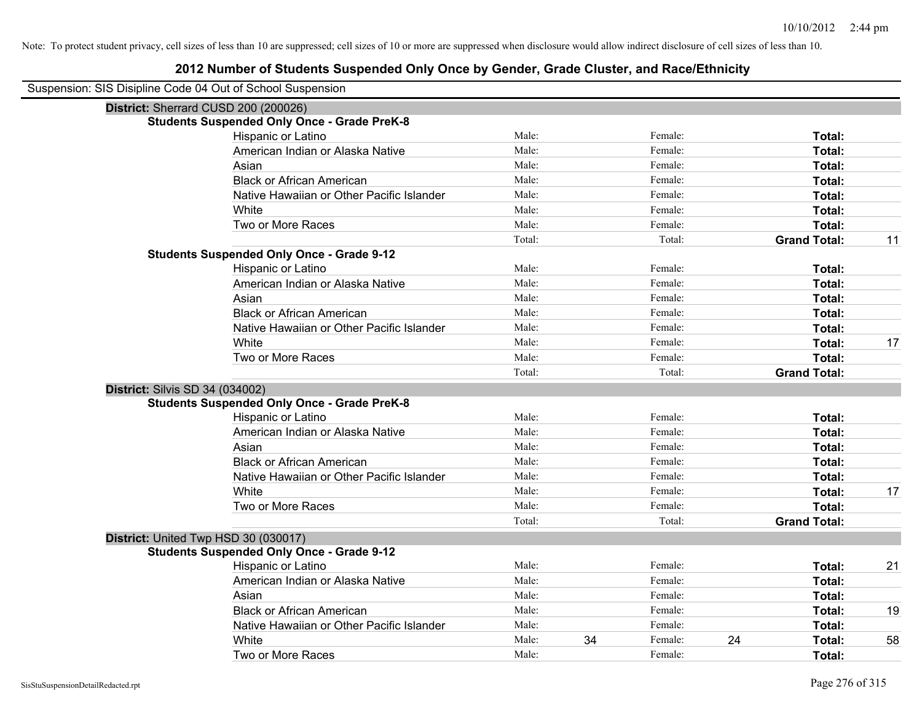| Suspension: SIS Disipline Code 04 Out of School Suspension |
|------------------------------------------------------------|
|------------------------------------------------------------|

|                                        | סוט הסקטומט וסטונטו סוג טו סטונטו סטטסט אוויוס<br>District: Sherrard CUSD 200 (200026) |        |    |         |    |                     |    |
|----------------------------------------|----------------------------------------------------------------------------------------|--------|----|---------|----|---------------------|----|
|                                        | <b>Students Suspended Only Once - Grade PreK-8</b>                                     |        |    |         |    |                     |    |
|                                        | Hispanic or Latino                                                                     | Male:  |    | Female: |    | Total:              |    |
|                                        | American Indian or Alaska Native                                                       | Male:  |    | Female: |    | Total:              |    |
|                                        | Asian                                                                                  | Male:  |    | Female: |    | Total:              |    |
|                                        | <b>Black or African American</b>                                                       | Male:  |    | Female: |    | Total:              |    |
|                                        | Native Hawaiian or Other Pacific Islander                                              | Male:  |    | Female: |    | Total:              |    |
|                                        | White                                                                                  | Male:  |    | Female: |    | Total:              |    |
|                                        | Two or More Races                                                                      | Male:  |    | Female: |    | Total:              |    |
|                                        |                                                                                        | Total: |    | Total:  |    | <b>Grand Total:</b> | 11 |
|                                        | <b>Students Suspended Only Once - Grade 9-12</b>                                       |        |    |         |    |                     |    |
|                                        | Hispanic or Latino                                                                     | Male:  |    | Female: |    | Total:              |    |
|                                        | American Indian or Alaska Native                                                       | Male:  |    | Female: |    | Total:              |    |
|                                        | Asian                                                                                  | Male:  |    | Female: |    | Total:              |    |
|                                        | <b>Black or African American</b>                                                       | Male:  |    | Female: |    | Total:              |    |
|                                        | Native Hawaiian or Other Pacific Islander                                              | Male:  |    | Female: |    | Total:              |    |
|                                        | White                                                                                  | Male:  |    | Female: |    | Total:              | 17 |
|                                        | Two or More Races                                                                      | Male:  |    | Female: |    | Total:              |    |
|                                        |                                                                                        | Total: |    | Total:  |    | <b>Grand Total:</b> |    |
| <b>District: Silvis SD 34 (034002)</b> |                                                                                        |        |    |         |    |                     |    |
|                                        | <b>Students Suspended Only Once - Grade PreK-8</b>                                     |        |    |         |    |                     |    |
|                                        | Hispanic or Latino                                                                     | Male:  |    | Female: |    | Total:              |    |
|                                        | American Indian or Alaska Native                                                       | Male:  |    | Female: |    | Total:              |    |
|                                        | Asian                                                                                  | Male:  |    | Female: |    | Total:              |    |
|                                        | <b>Black or African American</b>                                                       | Male:  |    | Female: |    | Total:              |    |
|                                        | Native Hawaiian or Other Pacific Islander                                              | Male:  |    | Female: |    | Total:              |    |
|                                        | White                                                                                  | Male:  |    | Female: |    | Total:              | 17 |
|                                        | Two or More Races                                                                      | Male:  |    | Female: |    | Total:              |    |
|                                        |                                                                                        | Total: |    | Total:  |    | <b>Grand Total:</b> |    |
|                                        | District: United Twp HSD 30 (030017)                                                   |        |    |         |    |                     |    |
|                                        | <b>Students Suspended Only Once - Grade 9-12</b>                                       |        |    |         |    |                     |    |
|                                        | Hispanic or Latino                                                                     | Male:  |    | Female: |    | Total:              | 21 |
|                                        | American Indian or Alaska Native                                                       | Male:  |    | Female: |    | Total:              |    |
|                                        | Asian                                                                                  | Male:  |    | Female: |    | Total:              |    |
|                                        | <b>Black or African American</b>                                                       | Male:  |    | Female: |    | Total:              | 19 |
|                                        | Native Hawaiian or Other Pacific Islander                                              | Male:  |    | Female: |    | Total:              |    |
|                                        | White                                                                                  | Male:  | 34 | Female: | 24 | Total:              | 58 |
|                                        | Two or More Races                                                                      | Male:  |    | Female: |    | Total:              |    |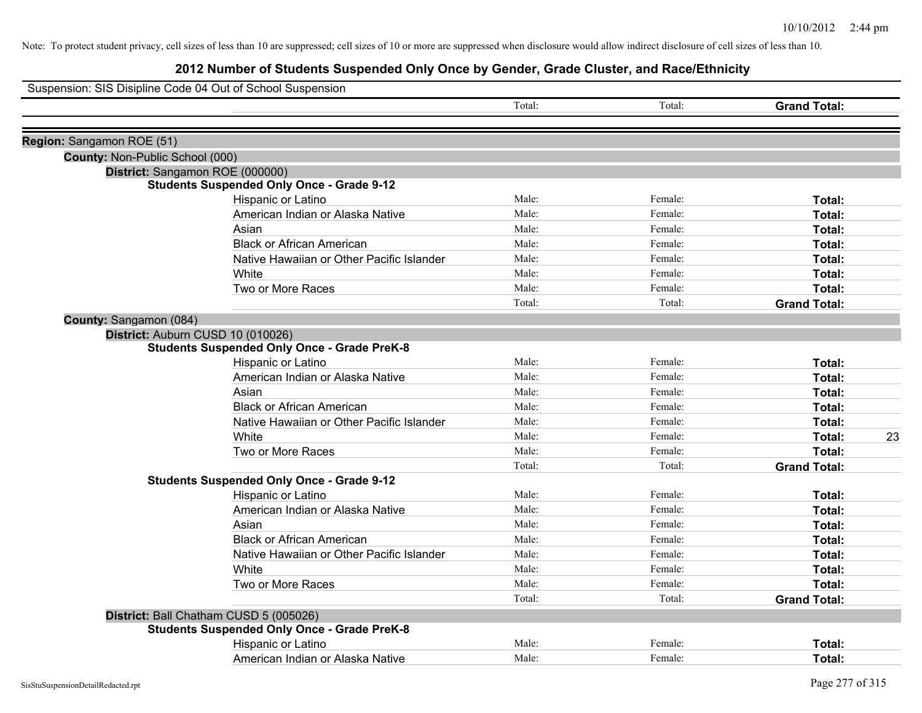|                                 | Suspension: SIS Disipline Code 04 Out of School Suspension |        |         |                     |
|---------------------------------|------------------------------------------------------------|--------|---------|---------------------|
|                                 |                                                            | Total: | Total:  | <b>Grand Total:</b> |
| Region: Sangamon ROE (51)       |                                                            |        |         |                     |
| County: Non-Public School (000) |                                                            |        |         |                     |
|                                 | District: Sangamon ROE (000000)                            |        |         |                     |
|                                 | <b>Students Suspended Only Once - Grade 9-12</b>           |        |         |                     |
|                                 | Hispanic or Latino                                         | Male:  | Female: | Total:              |
|                                 | American Indian or Alaska Native                           | Male:  | Female: | Total:              |
|                                 | Asian                                                      | Male:  | Female: | Total:              |
|                                 | <b>Black or African American</b>                           | Male:  | Female: | Total:              |
|                                 | Native Hawaiian or Other Pacific Islander                  | Male:  | Female: | Total:              |
|                                 | White                                                      | Male:  | Female: | Total:              |
|                                 | Two or More Races                                          | Male:  | Female: | Total:              |
|                                 |                                                            | Total: | Total:  | <b>Grand Total:</b> |
| County: Sangamon (084)          |                                                            |        |         |                     |
|                                 | District: Auburn CUSD 10 (010026)                          |        |         |                     |
|                                 | <b>Students Suspended Only Once - Grade PreK-8</b>         |        |         |                     |
|                                 | Hispanic or Latino                                         | Male:  | Female: | Total:              |
|                                 | American Indian or Alaska Native                           | Male:  | Female: | Total:              |
|                                 | Asian                                                      | Male:  | Female: | Total:              |
|                                 | <b>Black or African American</b>                           | Male:  | Female: | Total:              |
|                                 | Native Hawaiian or Other Pacific Islander                  | Male:  | Female: | Total:              |
|                                 | White                                                      | Male:  | Female: | 23<br>Total:        |
|                                 | Two or More Races                                          | Male:  | Female: | Total:              |
|                                 |                                                            | Total: | Total:  | <b>Grand Total:</b> |
|                                 | <b>Students Suspended Only Once - Grade 9-12</b>           |        |         |                     |
|                                 | Hispanic or Latino                                         | Male:  | Female: | Total:              |
|                                 | American Indian or Alaska Native                           | Male:  | Female: | Total:              |
|                                 | Asian                                                      | Male:  | Female: | Total:              |
|                                 | <b>Black or African American</b>                           | Male:  | Female: | Total:              |
|                                 | Native Hawaiian or Other Pacific Islander                  | Male:  | Female: | Total:              |
|                                 | White                                                      | Male:  | Female: | Total:              |
|                                 | Two or More Races                                          | Male:  | Female: | Total:              |
|                                 |                                                            | Total: | Total:  | <b>Grand Total:</b> |
|                                 | District: Ball Chatham CUSD 5 (005026)                     |        |         |                     |
|                                 | <b>Students Suspended Only Once - Grade PreK-8</b>         |        |         |                     |
|                                 | Hispanic or Latino                                         | Male:  | Female: | Total:              |
|                                 | American Indian or Alaska Native                           | Male:  | Female: | Total:              |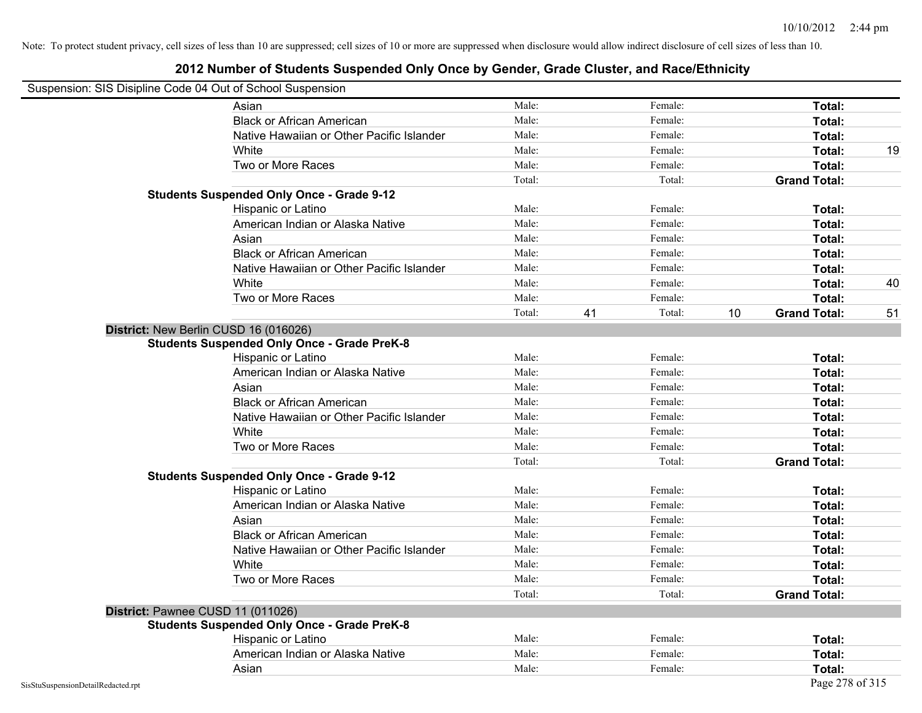## **2012 Number of Students Suspended Only Once by Gender, Grade Cluster, and Race/Ethnicity**

# Suspension: SIS Disipline Code 04 Out of School Suspension

|                                       | Asian                                              | Male:  |    | Female: |    | Total:              |    |
|---------------------------------------|----------------------------------------------------|--------|----|---------|----|---------------------|----|
|                                       | <b>Black or African American</b>                   | Male:  |    | Female: |    | Total:              |    |
|                                       | Native Hawaiian or Other Pacific Islander          | Male:  |    | Female: |    | Total:              |    |
|                                       | White                                              | Male:  |    | Female: |    | Total:              | 19 |
|                                       | Two or More Races                                  | Male:  |    | Female: |    | Total:              |    |
|                                       |                                                    | Total: |    | Total:  |    | <b>Grand Total:</b> |    |
|                                       | <b>Students Suspended Only Once - Grade 9-12</b>   |        |    |         |    |                     |    |
|                                       | Hispanic or Latino                                 | Male:  |    | Female: |    | Total:              |    |
|                                       | American Indian or Alaska Native                   | Male:  |    | Female: |    | Total:              |    |
|                                       | Asian                                              | Male:  |    | Female: |    | Total:              |    |
|                                       | <b>Black or African American</b>                   | Male:  |    | Female: |    | Total:              |    |
|                                       | Native Hawaiian or Other Pacific Islander          | Male:  |    | Female: |    | Total:              |    |
|                                       | White                                              | Male:  |    | Female: |    | Total:              | 40 |
|                                       | Two or More Races                                  | Male:  |    | Female: |    | Total:              |    |
|                                       |                                                    | Total: | 41 | Total:  | 10 | <b>Grand Total:</b> | 51 |
| District: New Berlin CUSD 16 (016026) |                                                    |        |    |         |    |                     |    |
|                                       | <b>Students Suspended Only Once - Grade PreK-8</b> |        |    |         |    |                     |    |
|                                       | Hispanic or Latino                                 | Male:  |    | Female: |    | Total:              |    |
|                                       | American Indian or Alaska Native                   | Male:  |    | Female: |    | Total:              |    |
|                                       | Asian                                              | Male:  |    | Female: |    | Total:              |    |
|                                       | <b>Black or African American</b>                   | Male:  |    | Female: |    | Total:              |    |
|                                       | Native Hawaiian or Other Pacific Islander          | Male:  |    | Female: |    | Total:              |    |
|                                       | White                                              | Male:  |    | Female: |    | Total:              |    |
|                                       | Two or More Races                                  | Male:  |    | Female: |    | Total:              |    |
|                                       |                                                    | Total: |    | Total:  |    | <b>Grand Total:</b> |    |
|                                       | <b>Students Suspended Only Once - Grade 9-12</b>   |        |    |         |    |                     |    |
|                                       | Hispanic or Latino                                 | Male:  |    | Female: |    | Total:              |    |
|                                       | American Indian or Alaska Native                   | Male:  |    | Female: |    | Total:              |    |
|                                       | Asian                                              | Male:  |    | Female: |    | Total:              |    |
|                                       | <b>Black or African American</b>                   | Male:  |    | Female: |    | Total:              |    |
|                                       | Native Hawaiian or Other Pacific Islander          | Male:  |    | Female: |    | Total:              |    |
|                                       | White                                              | Male:  |    | Female: |    | Total:              |    |
|                                       | Two or More Races                                  | Male:  |    | Female: |    | Total:              |    |
|                                       |                                                    | Total: |    | Total:  |    | <b>Grand Total:</b> |    |
| District: Pawnee CUSD 11 (011026)     |                                                    |        |    |         |    |                     |    |
|                                       | <b>Students Suspended Only Once - Grade PreK-8</b> |        |    |         |    |                     |    |
|                                       | Hispanic or Latino                                 | Male:  |    | Female: |    | Total:              |    |
|                                       | American Indian or Alaska Native                   | Male:  |    | Female: |    | Total:              |    |
|                                       |                                                    |        |    |         |    |                     |    |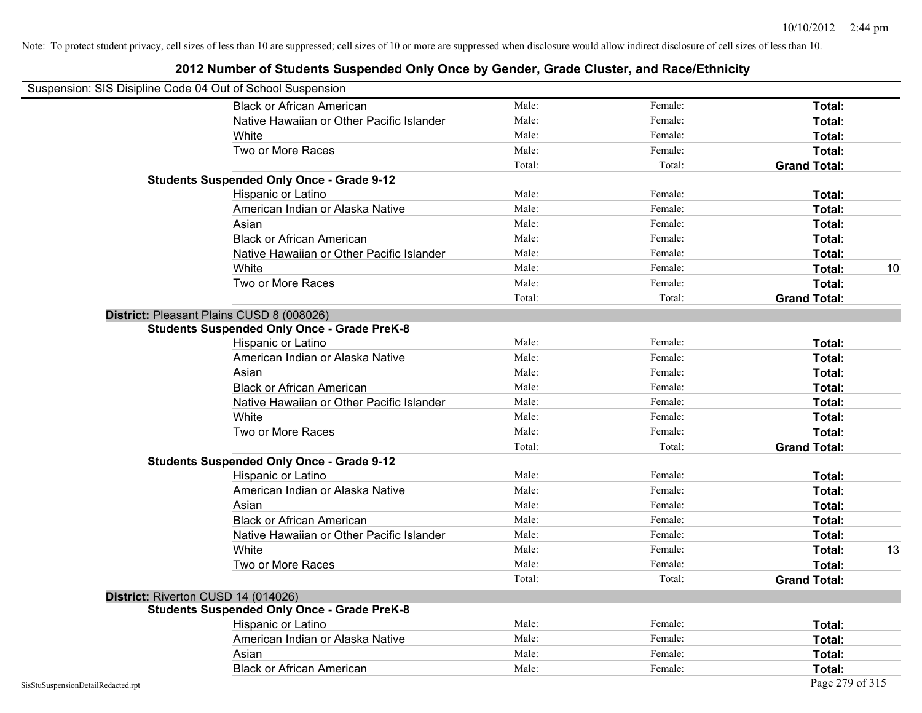| Suspension: SIS Disipline Code 04 Out of School Suspension |                                                    |        |         |                     |    |
|------------------------------------------------------------|----------------------------------------------------|--------|---------|---------------------|----|
|                                                            | <b>Black or African American</b>                   | Male:  | Female: | Total:              |    |
|                                                            | Native Hawaiian or Other Pacific Islander          | Male:  | Female: | Total:              |    |
|                                                            | White                                              | Male:  | Female: | Total:              |    |
|                                                            | Two or More Races                                  | Male:  | Female: | Total:              |    |
|                                                            |                                                    | Total: | Total:  | <b>Grand Total:</b> |    |
|                                                            | <b>Students Suspended Only Once - Grade 9-12</b>   |        |         |                     |    |
|                                                            | Hispanic or Latino                                 | Male:  | Female: | Total:              |    |
|                                                            | American Indian or Alaska Native                   | Male:  | Female: | Total:              |    |
|                                                            | Asian                                              | Male:  | Female: | Total:              |    |
|                                                            | <b>Black or African American</b>                   | Male:  | Female: | Total:              |    |
|                                                            | Native Hawaiian or Other Pacific Islander          | Male:  | Female: | Total:              |    |
|                                                            | White                                              | Male:  | Female: | Total:              | 10 |
|                                                            | Two or More Races                                  | Male:  | Female: | Total:              |    |
|                                                            |                                                    | Total: | Total:  | <b>Grand Total:</b> |    |
| District: Pleasant Plains CUSD 8 (008026)                  |                                                    |        |         |                     |    |
|                                                            | <b>Students Suspended Only Once - Grade PreK-8</b> |        |         |                     |    |
|                                                            | Hispanic or Latino                                 | Male:  | Female: | Total:              |    |
|                                                            | American Indian or Alaska Native                   | Male:  | Female: | Total:              |    |
|                                                            | Asian                                              | Male:  | Female: | Total:              |    |
|                                                            | <b>Black or African American</b>                   | Male:  | Female: | Total:              |    |
|                                                            | Native Hawaiian or Other Pacific Islander          | Male:  | Female: | Total:              |    |
|                                                            | White                                              | Male:  | Female: | Total:              |    |
|                                                            | Two or More Races                                  | Male:  | Female: | Total:              |    |
|                                                            |                                                    | Total: | Total:  | <b>Grand Total:</b> |    |
|                                                            | <b>Students Suspended Only Once - Grade 9-12</b>   |        |         |                     |    |
|                                                            | Hispanic or Latino                                 | Male:  | Female: | Total:              |    |
|                                                            | American Indian or Alaska Native                   | Male:  | Female: | Total:              |    |
|                                                            | Asian                                              | Male:  | Female: | Total:              |    |
|                                                            | <b>Black or African American</b>                   | Male:  | Female: | Total:              |    |
|                                                            | Native Hawaiian or Other Pacific Islander          | Male:  | Female: | Total:              |    |
|                                                            | White                                              | Male:  | Female: | Total:              | 13 |
|                                                            | Two or More Races                                  | Male:  | Female: | Total:              |    |
|                                                            |                                                    | Total: | Total:  | <b>Grand Total:</b> |    |
| District: Riverton CUSD 14 (014026)                        |                                                    |        |         |                     |    |
|                                                            | <b>Students Suspended Only Once - Grade PreK-8</b> |        |         |                     |    |
|                                                            | Hispanic or Latino                                 | Male:  | Female: | Total:              |    |
|                                                            | American Indian or Alaska Native                   | Male:  | Female: | Total:              |    |
|                                                            | Asian                                              | Male:  | Female: | Total:              |    |
|                                                            | <b>Black or African American</b>                   | Male:  | Female: | Total:              |    |
| SisStuSuspensionDetailRedacted.rpt                         |                                                    |        |         | Page 279 of 315     |    |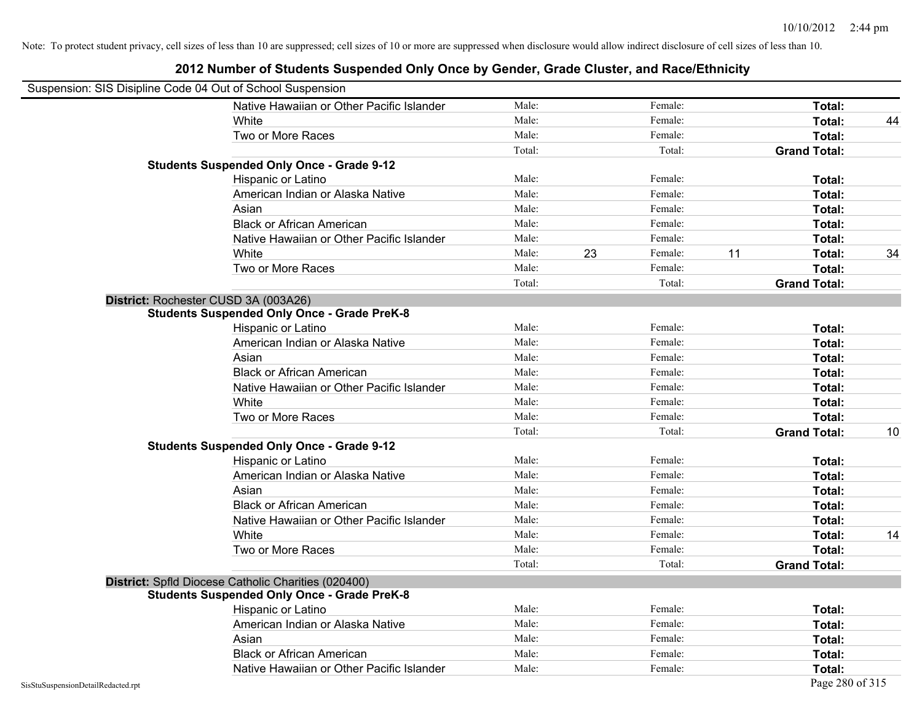| Suspension: SIS Disipline Code 04 Out of School Suspension                                                |        |               |                     |    |
|-----------------------------------------------------------------------------------------------------------|--------|---------------|---------------------|----|
| Native Hawaiian or Other Pacific Islander                                                                 | Male:  | Female:       | Total:              |    |
| White                                                                                                     | Male:  | Female:       | Total:              | 44 |
| Two or More Races                                                                                         | Male:  | Female:       | Total:              |    |
|                                                                                                           | Total: | Total:        | <b>Grand Total:</b> |    |
| <b>Students Suspended Only Once - Grade 9-12</b>                                                          |        |               |                     |    |
| Hispanic or Latino                                                                                        | Male:  | Female:       | Total:              |    |
| American Indian or Alaska Native                                                                          | Male:  | Female:       | Total:              |    |
| Asian                                                                                                     | Male:  | Female:       | Total:              |    |
| <b>Black or African American</b>                                                                          | Male:  | Female:       | Total:              |    |
| Native Hawaiian or Other Pacific Islander                                                                 | Male:  | Female:       | Total:              |    |
| White                                                                                                     | Male:  | 23<br>Female: | 11<br>Total:        | 34 |
| Two or More Races                                                                                         | Male:  | Female:       | Total:              |    |
|                                                                                                           | Total: | Total:        | <b>Grand Total:</b> |    |
| District: Rochester CUSD 3A (003A26)                                                                      |        |               |                     |    |
| <b>Students Suspended Only Once - Grade PreK-8</b>                                                        |        |               |                     |    |
| Hispanic or Latino                                                                                        | Male:  | Female:       | Total:              |    |
| American Indian or Alaska Native                                                                          | Male:  | Female:       | Total:              |    |
| Asian                                                                                                     | Male:  | Female:       | Total:              |    |
| <b>Black or African American</b>                                                                          | Male:  | Female:       | Total:              |    |
| Native Hawaiian or Other Pacific Islander                                                                 | Male:  | Female:       | Total:              |    |
| White                                                                                                     | Male:  | Female:       | Total:              |    |
| Two or More Races                                                                                         | Male:  | Female:       | Total:              |    |
|                                                                                                           | Total: | Total:        | <b>Grand Total:</b> | 10 |
| <b>Students Suspended Only Once - Grade 9-12</b>                                                          |        |               |                     |    |
| Hispanic or Latino                                                                                        | Male:  | Female:       | Total:              |    |
| American Indian or Alaska Native                                                                          | Male:  | Female:       | Total:              |    |
| Asian                                                                                                     | Male:  | Female:       | Total:              |    |
| <b>Black or African American</b>                                                                          | Male:  | Female:       | Total:              |    |
| Native Hawaiian or Other Pacific Islander                                                                 | Male:  | Female:       | Total:              |    |
| White                                                                                                     | Male:  | Female:       | Total:              | 14 |
| Two or More Races                                                                                         | Male:  | Female:       | Total:              |    |
|                                                                                                           | Total: | Total:        | <b>Grand Total:</b> |    |
| District: Spfld Diocese Catholic Charities (020400)<br><b>Students Suspended Only Once - Grade PreK-8</b> |        |               |                     |    |
| Hispanic or Latino                                                                                        | Male:  | Female:       | Total:              |    |
| American Indian or Alaska Native                                                                          | Male:  | Female:       | Total:              |    |
| Asian                                                                                                     | Male:  | Female:       | Total:              |    |
| <b>Black or African American</b>                                                                          | Male:  | Female:       | Total:              |    |
| Native Hawaiian or Other Pacific Islander                                                                 | Male:  | Female:       | Total:              |    |
| SisStuSuspensionDetailRedacted.rpt                                                                        |        |               | Page 280 of 315     |    |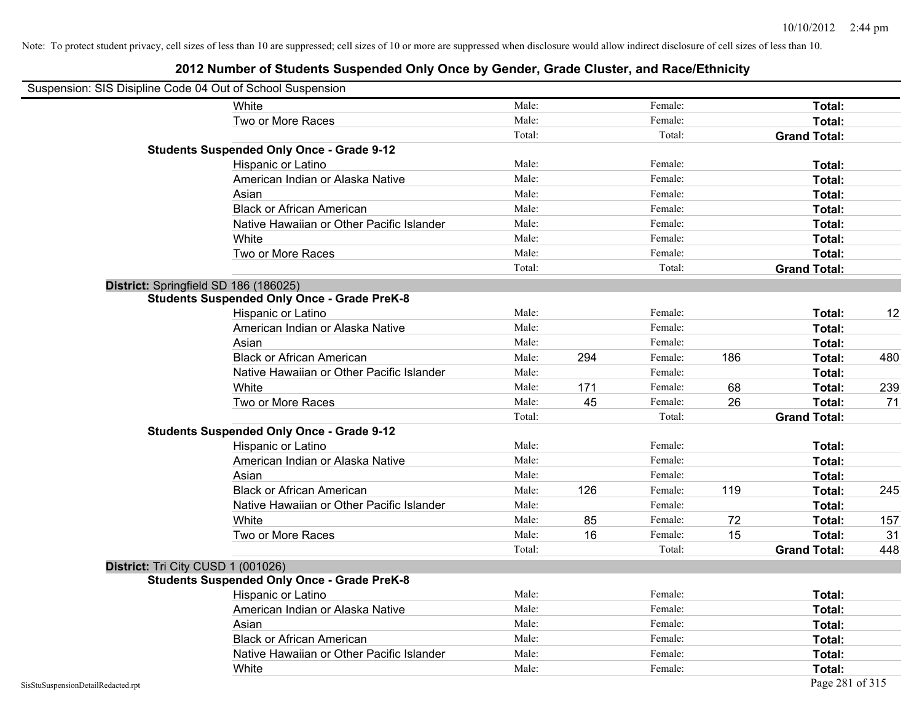|                                    | Suspension: SIS Disipline Code 04 Out of School Suspension |        |     |         |     |                     |     |
|------------------------------------|------------------------------------------------------------|--------|-----|---------|-----|---------------------|-----|
|                                    | White                                                      | Male:  |     | Female: |     | Total:              |     |
|                                    | Two or More Races                                          | Male:  |     | Female: |     | Total:              |     |
|                                    |                                                            | Total: |     | Total:  |     | <b>Grand Total:</b> |     |
|                                    | <b>Students Suspended Only Once - Grade 9-12</b>           |        |     |         |     |                     |     |
|                                    | Hispanic or Latino                                         | Male:  |     | Female: |     | Total:              |     |
|                                    | American Indian or Alaska Native                           | Male:  |     | Female: |     | Total:              |     |
|                                    | Asian                                                      | Male:  |     | Female: |     | Total:              |     |
|                                    | <b>Black or African American</b>                           | Male:  |     | Female: |     | Total:              |     |
|                                    | Native Hawaiian or Other Pacific Islander                  | Male:  |     | Female: |     | Total:              |     |
|                                    | White                                                      | Male:  |     | Female: |     | Total:              |     |
|                                    | Two or More Races                                          | Male:  |     | Female: |     | Total:              |     |
|                                    |                                                            | Total: |     | Total:  |     | <b>Grand Total:</b> |     |
|                                    | District: Springfield SD 186 (186025)                      |        |     |         |     |                     |     |
|                                    | <b>Students Suspended Only Once - Grade PreK-8</b>         |        |     |         |     |                     |     |
|                                    | Hispanic or Latino                                         | Male:  |     | Female: |     | Total:              | 12  |
|                                    | American Indian or Alaska Native                           | Male:  |     | Female: |     | Total:              |     |
|                                    | Asian                                                      | Male:  |     | Female: |     | Total:              |     |
|                                    | <b>Black or African American</b>                           | Male:  | 294 | Female: | 186 | Total:              | 480 |
|                                    | Native Hawaiian or Other Pacific Islander                  | Male:  |     | Female: |     | Total:              |     |
|                                    | White                                                      | Male:  | 171 | Female: | 68  | Total:              | 239 |
|                                    | Two or More Races                                          | Male:  | 45  | Female: | 26  | <b>Total:</b>       | 71  |
|                                    |                                                            | Total: |     | Total:  |     | <b>Grand Total:</b> |     |
|                                    | <b>Students Suspended Only Once - Grade 9-12</b>           |        |     |         |     |                     |     |
|                                    | Hispanic or Latino                                         | Male:  |     | Female: |     | Total:              |     |
|                                    | American Indian or Alaska Native                           | Male:  |     | Female: |     | Total:              |     |
|                                    | Asian                                                      | Male:  |     | Female: |     | Total:              |     |
|                                    | <b>Black or African American</b>                           | Male:  | 126 | Female: | 119 | Total:              | 245 |
|                                    | Native Hawaiian or Other Pacific Islander                  | Male:  |     | Female: |     | Total:              |     |
|                                    | White                                                      | Male:  | 85  | Female: | 72  | Total:              | 157 |
|                                    | Two or More Races                                          | Male:  | 16  | Female: | 15  | Total:              | 31  |
|                                    |                                                            | Total: |     | Total:  |     | <b>Grand Total:</b> | 448 |
|                                    | District: Tri City CUSD 1 (001026)                         |        |     |         |     |                     |     |
|                                    | <b>Students Suspended Only Once - Grade PreK-8</b>         |        |     |         |     |                     |     |
|                                    | <b>Hispanic or Latino</b>                                  | Male:  |     | Female: |     | Total:              |     |
|                                    | American Indian or Alaska Native                           | Male:  |     | Female: |     | Total:              |     |
|                                    | Asian                                                      | Male:  |     | Female: |     | Total:              |     |
|                                    | <b>Black or African American</b>                           | Male:  |     | Female: |     | Total:              |     |
|                                    | Native Hawaiian or Other Pacific Islander                  | Male:  |     | Female: |     | Total:              |     |
|                                    | White                                                      | Male:  |     | Female: |     | Total:              |     |
| SisStuSuspensionDetailRedacted.rpt |                                                            |        |     |         |     | Page 281 of 315     |     |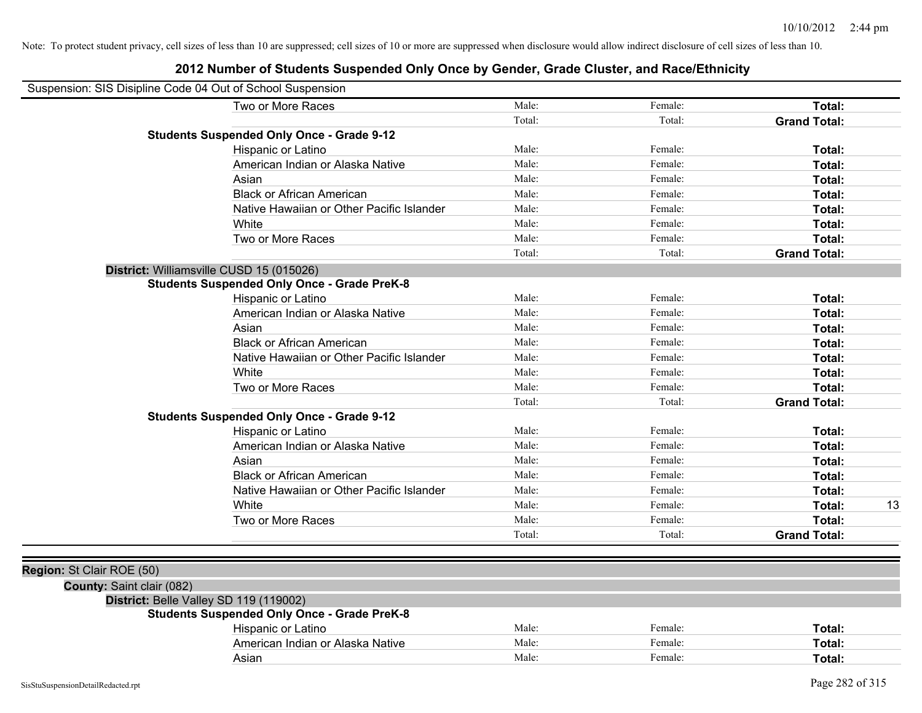| Suspension: SIS Disipline Code 04 Out of School Suspension |                                                    |        |         |                     |
|------------------------------------------------------------|----------------------------------------------------|--------|---------|---------------------|
|                                                            | Two or More Races                                  | Male:  | Female: | Total:              |
|                                                            |                                                    | Total: | Total:  | <b>Grand Total:</b> |
|                                                            | <b>Students Suspended Only Once - Grade 9-12</b>   |        |         |                     |
|                                                            | Hispanic or Latino                                 | Male:  | Female: | Total:              |
|                                                            | American Indian or Alaska Native                   | Male:  | Female: | <b>Total:</b>       |
|                                                            | Asian                                              | Male:  | Female: | Total:              |
|                                                            | <b>Black or African American</b>                   | Male:  | Female: | Total:              |
|                                                            | Native Hawaiian or Other Pacific Islander          | Male:  | Female: | Total:              |
|                                                            | White                                              | Male:  | Female: | Total:              |
|                                                            | Two or More Races                                  | Male:  | Female: | Total:              |
|                                                            |                                                    | Total: | Total:  | <b>Grand Total:</b> |
|                                                            | District: Williamsville CUSD 15 (015026)           |        |         |                     |
|                                                            | <b>Students Suspended Only Once - Grade PreK-8</b> |        |         |                     |
|                                                            | Hispanic or Latino                                 | Male:  | Female: | Total:              |
|                                                            | American Indian or Alaska Native                   | Male:  | Female: | Total:              |
|                                                            | Asian                                              | Male:  | Female: | Total:              |
|                                                            | <b>Black or African American</b>                   | Male:  | Female: | Total:              |
|                                                            | Native Hawaiian or Other Pacific Islander          | Male:  | Female: | Total:              |
|                                                            | White                                              | Male:  | Female: | Total:              |
|                                                            | Two or More Races                                  | Male:  | Female: | Total:              |
|                                                            |                                                    | Total: | Total:  | <b>Grand Total:</b> |
|                                                            | <b>Students Suspended Only Once - Grade 9-12</b>   |        |         |                     |
|                                                            | Hispanic or Latino                                 | Male:  | Female: | <b>Total:</b>       |
|                                                            | American Indian or Alaska Native                   | Male:  | Female: | <b>Total:</b>       |
|                                                            | Asian                                              | Male:  | Female: | Total:              |
|                                                            | <b>Black or African American</b>                   | Male:  | Female: | Total:              |
|                                                            | Native Hawaiian or Other Pacific Islander          | Male:  | Female: | Total:              |
|                                                            | White                                              | Male:  | Female: | 13<br>Total:        |
|                                                            | Two or More Races                                  | Male:  | Female: | Total:              |
|                                                            |                                                    | Total: | Total:  | <b>Grand Total:</b> |
|                                                            |                                                    |        |         |                     |
| Region: St Clair ROE (50)                                  |                                                    |        |         |                     |
| County: Saint clair (082)                                  |                                                    |        |         |                     |
|                                                            | District: Belle Valley SD 119 (119002)             |        |         |                     |
|                                                            | <b>Students Suspended Only Once - Grade PreK-8</b> |        |         |                     |
|                                                            | Hispanic or Latino                                 | Male:  | Female: | Total:              |
|                                                            | American Indian or Alaska Native                   | Male:  | Female: | Total:              |
|                                                            | Asian                                              | Male:  | Female: | Total:              |
|                                                            |                                                    |        |         |                     |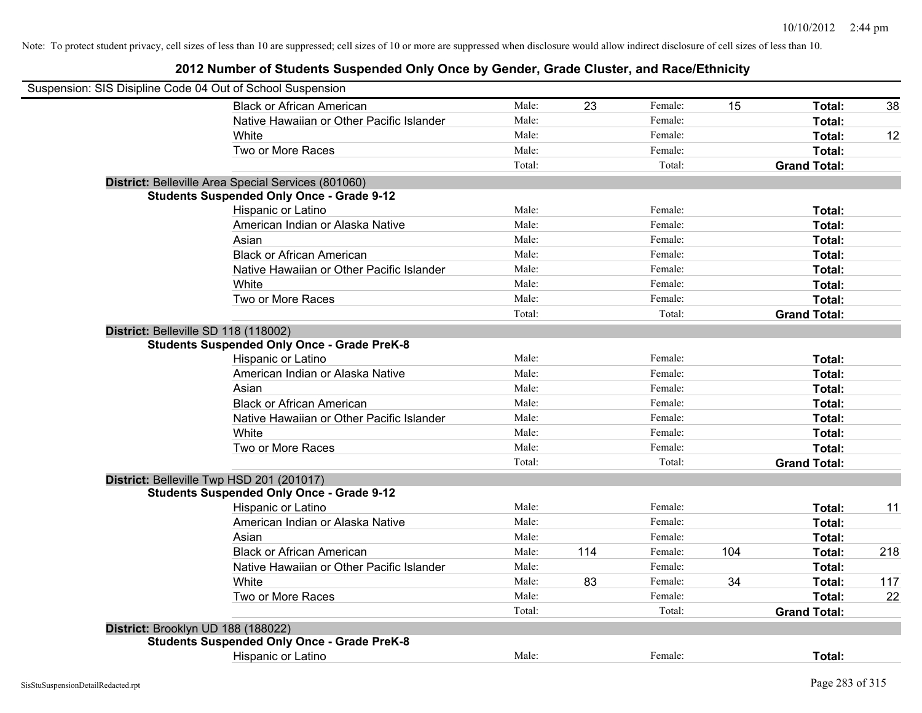| Suspension: SIS Disipline Code 04 Out of School Suspension |                                                     |        |     |         |     |                     |     |
|------------------------------------------------------------|-----------------------------------------------------|--------|-----|---------|-----|---------------------|-----|
|                                                            | <b>Black or African American</b>                    | Male:  | 23  | Female: | 15  | Total:              | 38  |
|                                                            | Native Hawaiian or Other Pacific Islander           | Male:  |     | Female: |     | Total:              |     |
|                                                            | White                                               | Male:  |     | Female: |     | Total:              | 12  |
|                                                            | Two or More Races                                   | Male:  |     | Female: |     | Total:              |     |
|                                                            |                                                     | Total: |     | Total:  |     | <b>Grand Total:</b> |     |
|                                                            | District: Belleville Area Special Services (801060) |        |     |         |     |                     |     |
|                                                            | <b>Students Suspended Only Once - Grade 9-12</b>    |        |     |         |     |                     |     |
|                                                            | Hispanic or Latino                                  | Male:  |     | Female: |     | Total:              |     |
|                                                            | American Indian or Alaska Native                    | Male:  |     | Female: |     | Total:              |     |
|                                                            | Asian                                               | Male:  |     | Female: |     | Total:              |     |
|                                                            | <b>Black or African American</b>                    | Male:  |     | Female: |     | Total:              |     |
|                                                            | Native Hawaiian or Other Pacific Islander           | Male:  |     | Female: |     | Total:              |     |
|                                                            | White                                               | Male:  |     | Female: |     | Total:              |     |
|                                                            | Two or More Races                                   | Male:  |     | Female: |     | Total:              |     |
|                                                            |                                                     | Total: |     | Total:  |     | <b>Grand Total:</b> |     |
|                                                            | District: Belleville SD 118 (118002)                |        |     |         |     |                     |     |
|                                                            | <b>Students Suspended Only Once - Grade PreK-8</b>  |        |     |         |     |                     |     |
|                                                            | Hispanic or Latino                                  | Male:  |     | Female: |     | Total:              |     |
|                                                            | American Indian or Alaska Native                    | Male:  |     | Female: |     | Total:              |     |
|                                                            | Asian                                               | Male:  |     | Female: |     | Total:              |     |
|                                                            | <b>Black or African American</b>                    | Male:  |     | Female: |     | Total:              |     |
|                                                            | Native Hawaiian or Other Pacific Islander           | Male:  |     | Female: |     | Total:              |     |
|                                                            | White                                               | Male:  |     | Female: |     | Total:              |     |
|                                                            | Two or More Races                                   | Male:  |     | Female: |     | Total:              |     |
|                                                            |                                                     | Total: |     | Total:  |     | <b>Grand Total:</b> |     |
|                                                            | District: Belleville Twp HSD 201 (201017)           |        |     |         |     |                     |     |
|                                                            | <b>Students Suspended Only Once - Grade 9-12</b>    |        |     |         |     |                     |     |
|                                                            | Hispanic or Latino                                  | Male:  |     | Female: |     | Total:              | 11  |
|                                                            | American Indian or Alaska Native                    | Male:  |     | Female: |     | Total:              |     |
|                                                            | Asian                                               | Male:  |     | Female: |     | Total:              |     |
|                                                            | <b>Black or African American</b>                    | Male:  | 114 | Female: | 104 | Total:              | 218 |
|                                                            | Native Hawaiian or Other Pacific Islander           | Male:  |     | Female: |     | Total:              |     |
|                                                            | White                                               | Male:  | 83  | Female: | 34  | Total:              | 117 |
|                                                            | Two or More Races                                   | Male:  |     | Female: |     | Total:              | 22  |
|                                                            |                                                     | Total: |     | Total:  |     | <b>Grand Total:</b> |     |
|                                                            | District: Brooklyn UD 188 (188022)                  |        |     |         |     |                     |     |
|                                                            | <b>Students Suspended Only Once - Grade PreK-8</b>  |        |     |         |     |                     |     |
|                                                            | Hispanic or Latino                                  | Male:  |     | Female: |     | Total:              |     |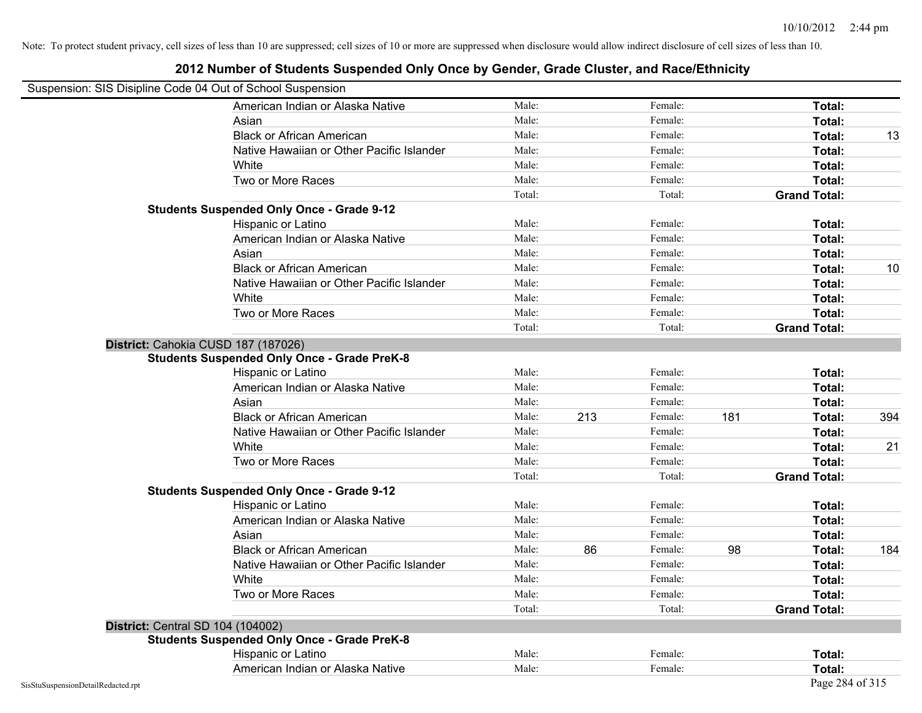| Suspension: SIS Disipline Code 04 Out of School Suspension |                                                    |        |     |         |     |                     |     |
|------------------------------------------------------------|----------------------------------------------------|--------|-----|---------|-----|---------------------|-----|
|                                                            | American Indian or Alaska Native                   | Male:  |     | Female: |     | Total:              |     |
|                                                            | Asian                                              | Male:  |     | Female: |     | Total:              |     |
|                                                            | <b>Black or African American</b>                   | Male:  |     | Female: |     | Total:              | 13  |
|                                                            | Native Hawaiian or Other Pacific Islander          | Male:  |     | Female: |     | Total:              |     |
|                                                            | White                                              | Male:  |     | Female: |     | Total:              |     |
|                                                            | Two or More Races                                  | Male:  |     | Female: |     | Total:              |     |
|                                                            |                                                    | Total: |     | Total:  |     | <b>Grand Total:</b> |     |
|                                                            | <b>Students Suspended Only Once - Grade 9-12</b>   |        |     |         |     |                     |     |
|                                                            | Hispanic or Latino                                 | Male:  |     | Female: |     | Total:              |     |
|                                                            | American Indian or Alaska Native                   | Male:  |     | Female: |     | Total:              |     |
|                                                            | Asian                                              | Male:  |     | Female: |     | Total:              |     |
|                                                            | <b>Black or African American</b>                   | Male:  |     | Female: |     | Total:              | 10  |
|                                                            | Native Hawaiian or Other Pacific Islander          | Male:  |     | Female: |     | Total:              |     |
|                                                            | White                                              | Male:  |     | Female: |     | Total:              |     |
|                                                            | Two or More Races                                  | Male:  |     | Female: |     | Total:              |     |
|                                                            |                                                    | Total: |     | Total:  |     | <b>Grand Total:</b> |     |
|                                                            | District: Cahokia CUSD 187 (187026)                |        |     |         |     |                     |     |
|                                                            | <b>Students Suspended Only Once - Grade PreK-8</b> |        |     |         |     |                     |     |
|                                                            | Hispanic or Latino                                 | Male:  |     | Female: |     | Total:              |     |
|                                                            | American Indian or Alaska Native                   | Male:  |     | Female: |     | Total:              |     |
|                                                            | Asian                                              | Male:  |     | Female: |     | Total:              |     |
|                                                            | <b>Black or African American</b>                   | Male:  | 213 | Female: | 181 | Total:              | 394 |
|                                                            | Native Hawaiian or Other Pacific Islander          | Male:  |     | Female: |     | Total:              |     |
|                                                            | White                                              | Male:  |     | Female: |     | Total:              | 21  |
|                                                            | Two or More Races                                  | Male:  |     | Female: |     | Total:              |     |
|                                                            |                                                    | Total: |     | Total:  |     | <b>Grand Total:</b> |     |
|                                                            | <b>Students Suspended Only Once - Grade 9-12</b>   |        |     |         |     |                     |     |
|                                                            | Hispanic or Latino                                 | Male:  |     | Female: |     | Total:              |     |
|                                                            | American Indian or Alaska Native                   | Male:  |     | Female: |     | Total:              |     |
|                                                            | Asian                                              | Male:  |     | Female: |     | Total:              |     |
|                                                            | <b>Black or African American</b>                   | Male:  | 86  | Female: | 98  | Total:              | 184 |
|                                                            | Native Hawaiian or Other Pacific Islander          | Male:  |     | Female: |     | Total:              |     |
|                                                            | White                                              | Male:  |     | Female: |     | Total:              |     |
|                                                            | Two or More Races                                  | Male:  |     | Female: |     | Total:              |     |
|                                                            |                                                    | Total: |     | Total:  |     | <b>Grand Total:</b> |     |
|                                                            | <b>District: Central SD 104 (104002)</b>           |        |     |         |     |                     |     |
|                                                            | <b>Students Suspended Only Once - Grade PreK-8</b> |        |     |         |     |                     |     |
|                                                            | Hispanic or Latino                                 | Male:  |     | Female: |     | Total:              |     |
|                                                            | American Indian or Alaska Native                   | Male:  |     | Female: |     | Total:              |     |
| SisStuSuspensionDetailRedacted.rpt                         |                                                    |        |     |         |     | Page 284 of 315     |     |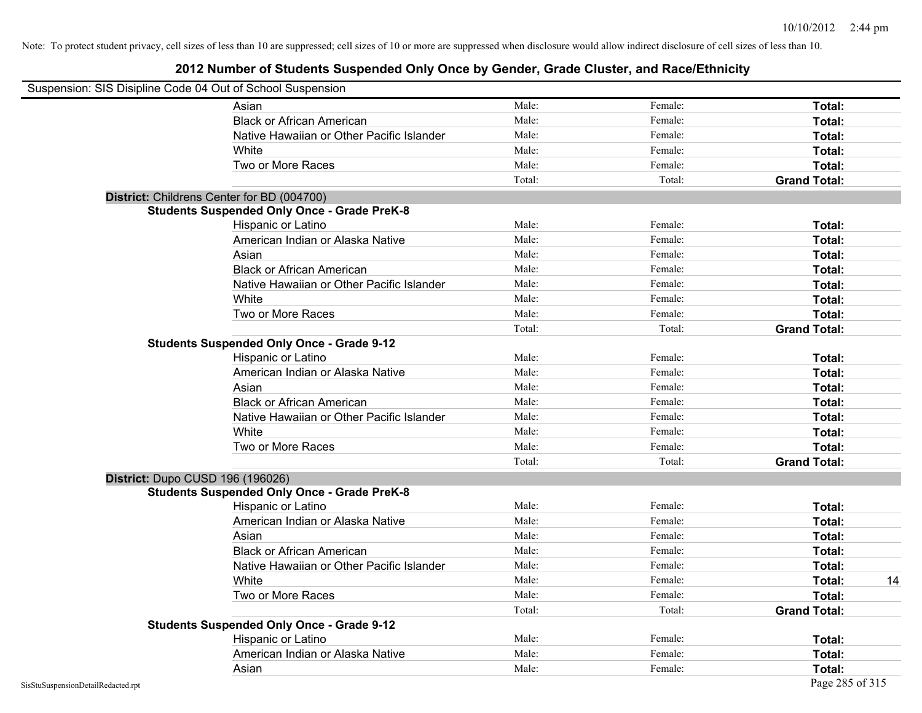| Suspension: SIS Disipline Code 04 Out of School Suspension |        |         |                     |    |
|------------------------------------------------------------|--------|---------|---------------------|----|
| Asian                                                      | Male:  | Female: | Total:              |    |
| <b>Black or African American</b>                           | Male:  | Female: | Total:              |    |
| Native Hawaiian or Other Pacific Islander                  | Male:  | Female: | Total:              |    |
| White                                                      | Male:  | Female: | Total:              |    |
| Two or More Races                                          | Male:  | Female: | Total:              |    |
|                                                            | Total: | Total:  | <b>Grand Total:</b> |    |
| District: Childrens Center for BD (004700)                 |        |         |                     |    |
| <b>Students Suspended Only Once - Grade PreK-8</b>         |        |         |                     |    |
| Hispanic or Latino                                         | Male:  | Female: | Total:              |    |
| American Indian or Alaska Native                           | Male:  | Female: | Total:              |    |
| Asian                                                      | Male:  | Female: | Total:              |    |
| <b>Black or African American</b>                           | Male:  | Female: | Total:              |    |
| Native Hawaiian or Other Pacific Islander                  | Male:  | Female: | Total:              |    |
| White                                                      | Male:  | Female: | Total:              |    |
| Two or More Races                                          | Male:  | Female: | Total:              |    |
|                                                            | Total: | Total:  | <b>Grand Total:</b> |    |
| <b>Students Suspended Only Once - Grade 9-12</b>           |        |         |                     |    |
| Hispanic or Latino                                         | Male:  | Female: | Total:              |    |
| American Indian or Alaska Native                           | Male:  | Female: | Total:              |    |
| Asian                                                      | Male:  | Female: | Total:              |    |
| <b>Black or African American</b>                           | Male:  | Female: | Total:              |    |
| Native Hawaiian or Other Pacific Islander                  | Male:  | Female: | Total:              |    |
| White                                                      | Male:  | Female: | Total:              |    |
| Two or More Races                                          | Male:  | Female: | Total:              |    |
|                                                            | Total: | Total:  | <b>Grand Total:</b> |    |
| District: Dupo CUSD 196 (196026)                           |        |         |                     |    |
| <b>Students Suspended Only Once - Grade PreK-8</b>         |        |         |                     |    |
| Hispanic or Latino                                         | Male:  | Female: | Total:              |    |
| American Indian or Alaska Native                           | Male:  | Female: | Total:              |    |
| Asian                                                      | Male:  | Female: | Total:              |    |
| <b>Black or African American</b>                           | Male:  | Female: | Total:              |    |
| Native Hawaiian or Other Pacific Islander                  | Male:  | Female: | Total:              |    |
| White                                                      | Male:  | Female: | Total:              | 14 |
| Two or More Races                                          | Male:  | Female: | Total:              |    |
|                                                            | Total: | Total:  | <b>Grand Total:</b> |    |
| <b>Students Suspended Only Once - Grade 9-12</b>           |        |         |                     |    |
| Hispanic or Latino                                         | Male:  | Female: | Total:              |    |
| American Indian or Alaska Native                           | Male:  | Female: | Total:              |    |
| Asian                                                      | Male:  | Female: | Total:              |    |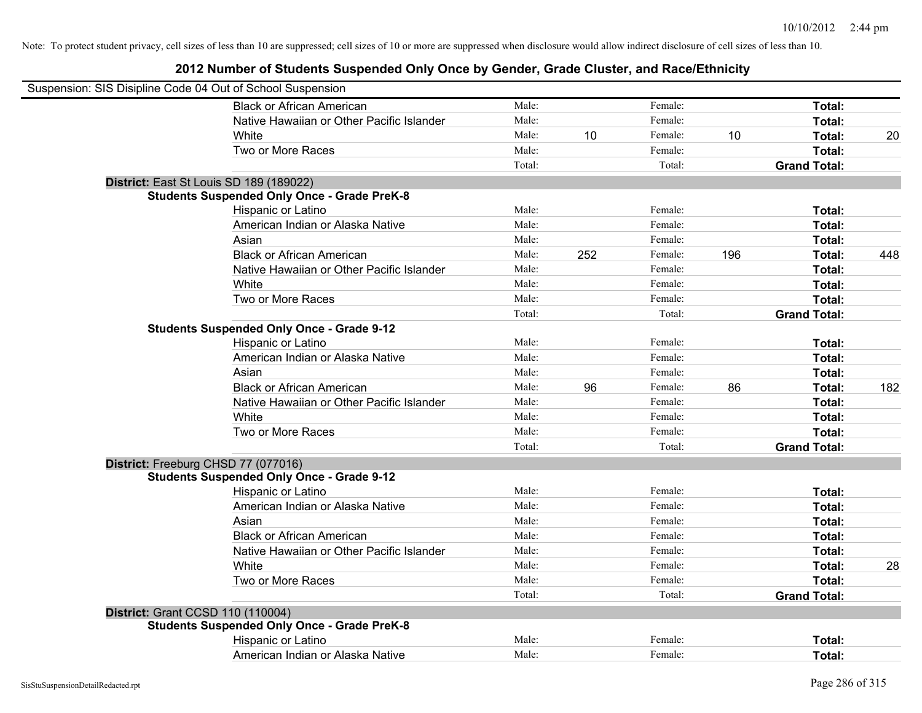| Suspension: SIS Disipline Code 04 Out of School Suspension |                                                    |        |     |         |     |                     |     |
|------------------------------------------------------------|----------------------------------------------------|--------|-----|---------|-----|---------------------|-----|
|                                                            | <b>Black or African American</b>                   | Male:  |     | Female: |     | Total:              |     |
|                                                            | Native Hawaiian or Other Pacific Islander          | Male:  |     | Female: |     | Total:              |     |
|                                                            | White                                              | Male:  | 10  | Female: | 10  | Total:              | 20  |
|                                                            | Two or More Races                                  | Male:  |     | Female: |     | Total:              |     |
|                                                            |                                                    | Total: |     | Total:  |     | <b>Grand Total:</b> |     |
|                                                            | District: East St Louis SD 189 (189022)            |        |     |         |     |                     |     |
|                                                            | <b>Students Suspended Only Once - Grade PreK-8</b> |        |     |         |     |                     |     |
|                                                            | Hispanic or Latino                                 | Male:  |     | Female: |     | Total:              |     |
|                                                            | American Indian or Alaska Native                   | Male:  |     | Female: |     | Total:              |     |
|                                                            | Asian                                              | Male:  |     | Female: |     | Total:              |     |
|                                                            | <b>Black or African American</b>                   | Male:  | 252 | Female: | 196 | Total:              | 448 |
|                                                            | Native Hawaiian or Other Pacific Islander          | Male:  |     | Female: |     | Total:              |     |
|                                                            | White                                              | Male:  |     | Female: |     | Total:              |     |
|                                                            | Two or More Races                                  | Male:  |     | Female: |     | Total:              |     |
|                                                            |                                                    | Total: |     | Total:  |     | <b>Grand Total:</b> |     |
|                                                            | <b>Students Suspended Only Once - Grade 9-12</b>   |        |     |         |     |                     |     |
|                                                            | Hispanic or Latino                                 | Male:  |     | Female: |     | Total:              |     |
|                                                            | American Indian or Alaska Native                   | Male:  |     | Female: |     | Total:              |     |
|                                                            | Asian                                              | Male:  |     | Female: |     | Total:              |     |
|                                                            | <b>Black or African American</b>                   | Male:  | 96  | Female: | 86  | Total:              | 182 |
|                                                            | Native Hawaiian or Other Pacific Islander          | Male:  |     | Female: |     | Total:              |     |
|                                                            | White                                              | Male:  |     | Female: |     | Total:              |     |
|                                                            | Two or More Races                                  | Male:  |     | Female: |     | Total:              |     |
|                                                            |                                                    | Total: |     | Total:  |     | <b>Grand Total:</b> |     |
|                                                            | District: Freeburg CHSD 77 (077016)                |        |     |         |     |                     |     |
|                                                            | <b>Students Suspended Only Once - Grade 9-12</b>   |        |     |         |     |                     |     |
|                                                            | Hispanic or Latino                                 | Male:  |     | Female: |     | Total:              |     |
|                                                            | American Indian or Alaska Native                   | Male:  |     | Female: |     | Total:              |     |
|                                                            | Asian                                              | Male:  |     | Female: |     | Total:              |     |
|                                                            | <b>Black or African American</b>                   | Male:  |     | Female: |     | Total:              |     |
|                                                            | Native Hawaiian or Other Pacific Islander          | Male:  |     | Female: |     | Total:              |     |
|                                                            | White                                              | Male:  |     | Female: |     | Total:              | 28  |
|                                                            | Two or More Races                                  | Male:  |     | Female: |     | Total:              |     |
|                                                            |                                                    | Total: |     | Total:  |     | <b>Grand Total:</b> |     |
| District: Grant CCSD 110 (110004)                          |                                                    |        |     |         |     |                     |     |
|                                                            | <b>Students Suspended Only Once - Grade PreK-8</b> |        |     |         |     |                     |     |
|                                                            | Hispanic or Latino                                 | Male:  |     | Female: |     | <b>Total:</b>       |     |
|                                                            | American Indian or Alaska Native                   | Male:  |     | Female: |     | Total:              |     |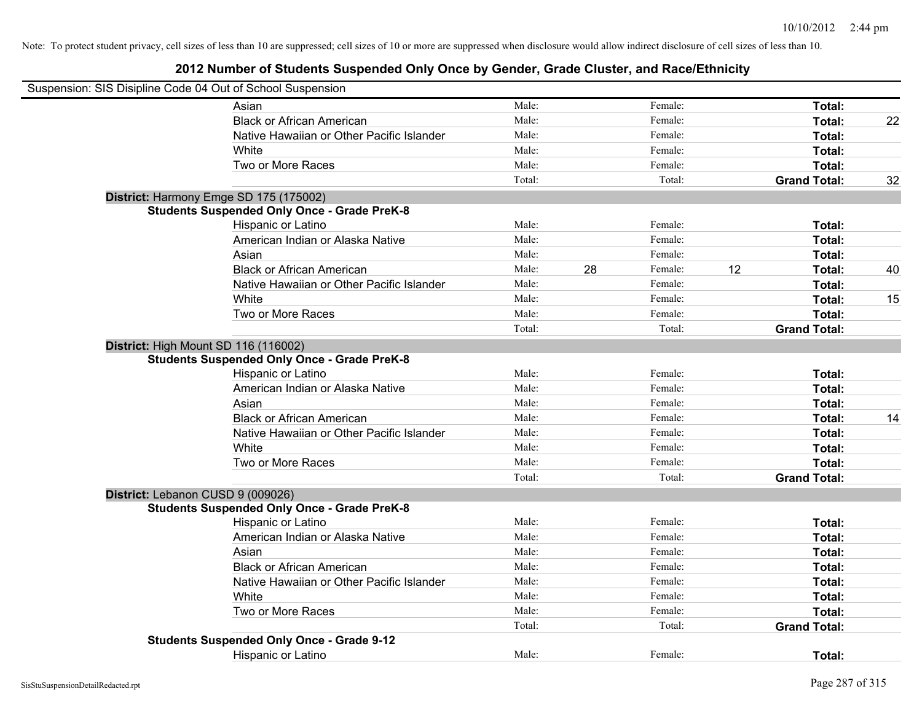| Suspension: SIS Disipline Code 04 Out of School Suspension |        |    |         |    |                     |    |
|------------------------------------------------------------|--------|----|---------|----|---------------------|----|
| Asian                                                      | Male:  |    | Female: |    | Total:              |    |
| <b>Black or African American</b>                           | Male:  |    | Female: |    | Total:              | 22 |
| Native Hawaiian or Other Pacific Islander                  | Male:  |    | Female: |    | Total:              |    |
| White                                                      | Male:  |    | Female: |    | Total:              |    |
| Two or More Races                                          | Male:  |    | Female: |    | Total:              |    |
|                                                            | Total: |    | Total:  |    | <b>Grand Total:</b> | 32 |
| District: Harmony Emge SD 175 (175002)                     |        |    |         |    |                     |    |
| <b>Students Suspended Only Once - Grade PreK-8</b>         |        |    |         |    |                     |    |
| Hispanic or Latino                                         | Male:  |    | Female: |    | Total:              |    |
| American Indian or Alaska Native                           | Male:  |    | Female: |    | Total:              |    |
| Asian                                                      | Male:  |    | Female: |    | Total:              |    |
| <b>Black or African American</b>                           | Male:  | 28 | Female: | 12 | Total:              | 40 |
| Native Hawaiian or Other Pacific Islander                  | Male:  |    | Female: |    | Total:              |    |
| White                                                      | Male:  |    | Female: |    | Total:              | 15 |
| Two or More Races                                          | Male:  |    | Female: |    | Total:              |    |
|                                                            | Total: |    | Total:  |    | <b>Grand Total:</b> |    |
| District: High Mount SD 116 (116002)                       |        |    |         |    |                     |    |
| <b>Students Suspended Only Once - Grade PreK-8</b>         |        |    |         |    |                     |    |
| Hispanic or Latino                                         | Male:  |    | Female: |    | Total:              |    |
| American Indian or Alaska Native                           | Male:  |    | Female: |    | Total:              |    |
| Asian                                                      | Male:  |    | Female: |    | Total:              |    |
| <b>Black or African American</b>                           | Male:  |    | Female: |    | Total:              | 14 |
| Native Hawaiian or Other Pacific Islander                  | Male:  |    | Female: |    | Total:              |    |
| White                                                      | Male:  |    | Female: |    | Total:              |    |
| Two or More Races                                          | Male:  |    | Female: |    | Total:              |    |
|                                                            | Total: |    | Total:  |    | <b>Grand Total:</b> |    |
| District: Lebanon CUSD 9 (009026)                          |        |    |         |    |                     |    |
| <b>Students Suspended Only Once - Grade PreK-8</b>         |        |    |         |    |                     |    |
| Hispanic or Latino                                         | Male:  |    | Female: |    | Total:              |    |
| American Indian or Alaska Native                           | Male:  |    | Female: |    | Total:              |    |
| Asian                                                      | Male:  |    | Female: |    | Total:              |    |
| <b>Black or African American</b>                           | Male:  |    | Female: |    | Total:              |    |
| Native Hawaiian or Other Pacific Islander                  | Male:  |    | Female: |    | Total:              |    |
| White                                                      | Male:  |    | Female: |    | Total:              |    |
| Two or More Races                                          | Male:  |    | Female: |    | Total:              |    |
|                                                            | Total: |    | Total:  |    | <b>Grand Total:</b> |    |
| <b>Students Suspended Only Once - Grade 9-12</b>           |        |    |         |    |                     |    |
| <b>Hispanic or Latino</b>                                  | Male:  |    | Female: |    | Total:              |    |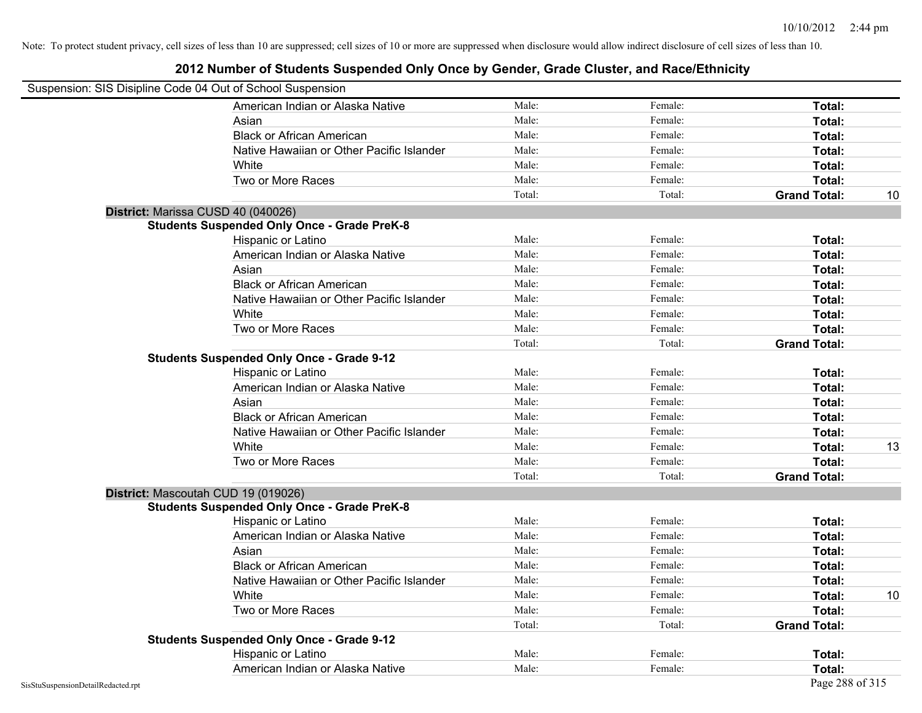|                                    | Suspension: SIS Disipline Code 04 Out of School Suspension |        |         |                     |    |
|------------------------------------|------------------------------------------------------------|--------|---------|---------------------|----|
|                                    | American Indian or Alaska Native                           | Male:  | Female: | Total:              |    |
|                                    | Asian                                                      | Male:  | Female: | Total:              |    |
|                                    | <b>Black or African American</b>                           | Male:  | Female: | Total:              |    |
|                                    | Native Hawaiian or Other Pacific Islander                  | Male:  | Female: | Total:              |    |
|                                    | White                                                      | Male:  | Female: | Total:              |    |
|                                    | Two or More Races                                          | Male:  | Female: | Total:              |    |
|                                    |                                                            | Total: | Total:  | <b>Grand Total:</b> | 10 |
|                                    | District: Marissa CUSD 40 (040026)                         |        |         |                     |    |
|                                    | <b>Students Suspended Only Once - Grade PreK-8</b>         |        |         |                     |    |
|                                    | Hispanic or Latino                                         | Male:  | Female: | Total:              |    |
|                                    | American Indian or Alaska Native                           | Male:  | Female: | Total:              |    |
|                                    | Asian                                                      | Male:  | Female: | Total:              |    |
|                                    | <b>Black or African American</b>                           | Male:  | Female: | Total:              |    |
|                                    | Native Hawaiian or Other Pacific Islander                  | Male:  | Female: | Total:              |    |
|                                    | White                                                      | Male:  | Female: | Total:              |    |
|                                    | Two or More Races                                          | Male:  | Female: | Total:              |    |
|                                    |                                                            | Total: | Total:  | <b>Grand Total:</b> |    |
|                                    | <b>Students Suspended Only Once - Grade 9-12</b>           |        |         |                     |    |
|                                    | Hispanic or Latino                                         | Male:  | Female: | Total:              |    |
|                                    | American Indian or Alaska Native                           | Male:  | Female: | Total:              |    |
|                                    | Asian                                                      | Male:  | Female: | Total:              |    |
|                                    | <b>Black or African American</b>                           | Male:  | Female: | Total:              |    |
|                                    | Native Hawaiian or Other Pacific Islander                  | Male:  | Female: | Total:              |    |
|                                    | White                                                      | Male:  | Female: | Total:              | 13 |
|                                    | Two or More Races                                          | Male:  | Female: | Total:              |    |
|                                    |                                                            | Total: | Total:  | <b>Grand Total:</b> |    |
|                                    | District: Mascoutah CUD 19 (019026)                        |        |         |                     |    |
|                                    | <b>Students Suspended Only Once - Grade PreK-8</b>         |        |         |                     |    |
|                                    | Hispanic or Latino                                         | Male:  | Female: | Total:              |    |
|                                    | American Indian or Alaska Native                           | Male:  | Female: | Total:              |    |
|                                    | Asian                                                      | Male:  | Female: | Total:              |    |
|                                    | <b>Black or African American</b>                           | Male:  | Female: | Total:              |    |
|                                    | Native Hawaiian or Other Pacific Islander                  | Male:  | Female: | Total:              |    |
|                                    | White                                                      | Male:  | Female: | Total:              | 10 |
|                                    | Two or More Races                                          | Male:  | Female: | Total:              |    |
|                                    |                                                            | Total: | Total:  | <b>Grand Total:</b> |    |
|                                    | <b>Students Suspended Only Once - Grade 9-12</b>           |        |         |                     |    |
|                                    | Hispanic or Latino                                         | Male:  | Female: | Total:              |    |
|                                    | American Indian or Alaska Native                           | Male:  | Female: | Total:              |    |
| SisStuSuspensionDetailRedacted.rpt |                                                            |        |         | Page 288 of 315     |    |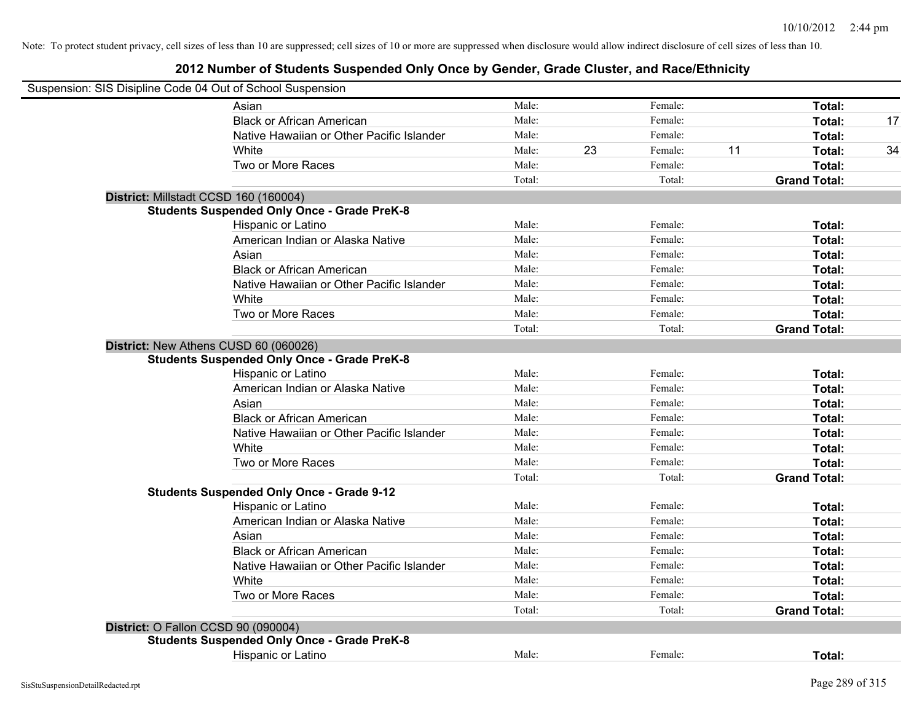| Suspension: SIS Disipline Code 04 Out of School Suspension                                  |        |    |         |    |                     |    |
|---------------------------------------------------------------------------------------------|--------|----|---------|----|---------------------|----|
| Asian                                                                                       | Male:  |    | Female: |    | Total:              |    |
| <b>Black or African American</b>                                                            | Male:  |    | Female: |    | Total:              | 17 |
| Native Hawaiian or Other Pacific Islander                                                   | Male:  |    | Female: |    | Total:              |    |
| White                                                                                       | Male:  | 23 | Female: | 11 | Total:              | 34 |
| Two or More Races                                                                           | Male:  |    | Female: |    | Total:              |    |
|                                                                                             | Total: |    | Total:  |    | <b>Grand Total:</b> |    |
| District: Millstadt CCSD 160 (160004)                                                       |        |    |         |    |                     |    |
| <b>Students Suspended Only Once - Grade PreK-8</b>                                          |        |    |         |    |                     |    |
| Hispanic or Latino                                                                          | Male:  |    | Female: |    | Total:              |    |
| American Indian or Alaska Native                                                            | Male:  |    | Female: |    | Total:              |    |
| Asian                                                                                       | Male:  |    | Female: |    | Total:              |    |
| <b>Black or African American</b>                                                            | Male:  |    | Female: |    | Total:              |    |
| Native Hawaiian or Other Pacific Islander                                                   | Male:  |    | Female: |    | Total:              |    |
| White                                                                                       | Male:  |    | Female: |    | Total:              |    |
| Two or More Races                                                                           | Male:  |    | Female: |    | Total:              |    |
|                                                                                             | Total: |    | Total:  |    | <b>Grand Total:</b> |    |
| District: New Athens CUSD 60 (060026)<br><b>Students Suspended Only Once - Grade PreK-8</b> |        |    |         |    |                     |    |
| Hispanic or Latino                                                                          | Male:  |    | Female: |    | Total:              |    |
| American Indian or Alaska Native                                                            | Male:  |    | Female: |    | Total:              |    |
| Asian                                                                                       | Male:  |    | Female: |    | Total:              |    |
| <b>Black or African American</b>                                                            | Male:  |    | Female: |    | Total:              |    |
| Native Hawaiian or Other Pacific Islander                                                   | Male:  |    | Female: |    | Total:              |    |
| White                                                                                       | Male:  |    | Female: |    | Total:              |    |
| Two or More Races                                                                           | Male:  |    | Female: |    | Total:              |    |
|                                                                                             | Total: |    | Total:  |    | <b>Grand Total:</b> |    |
| <b>Students Suspended Only Once - Grade 9-12</b>                                            |        |    |         |    |                     |    |
| Hispanic or Latino                                                                          | Male:  |    | Female: |    | Total:              |    |
| American Indian or Alaska Native                                                            | Male:  |    | Female: |    | Total:              |    |
| Asian                                                                                       | Male:  |    | Female: |    | Total:              |    |
| <b>Black or African American</b>                                                            | Male:  |    | Female: |    | Total:              |    |
| Native Hawaiian or Other Pacific Islander                                                   | Male:  |    | Female: |    | Total:              |    |
| White                                                                                       | Male:  |    | Female: |    | Total:              |    |
| Two or More Races                                                                           | Male:  |    | Female: |    | Total:              |    |
|                                                                                             | Total: |    | Total:  |    | <b>Grand Total:</b> |    |
| District: O Fallon CCSD 90 (090004)                                                         |        |    |         |    |                     |    |
| <b>Students Suspended Only Once - Grade PreK-8</b>                                          |        |    |         |    |                     |    |
| Hispanic or Latino                                                                          | Male:  |    | Female: |    | Total:              |    |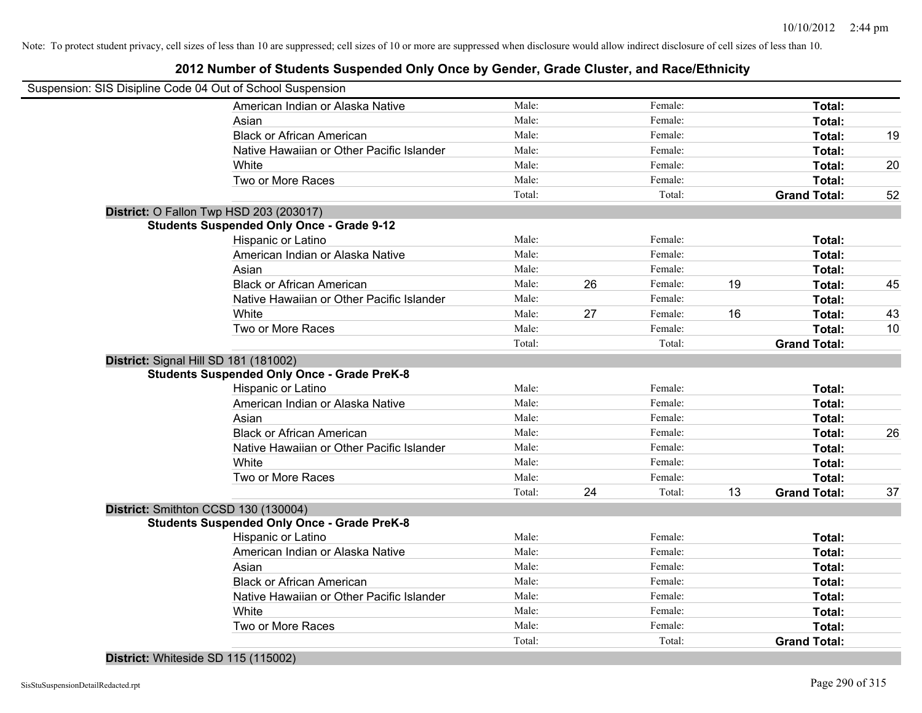# **2012 Number of Students Suspended Only Once by Gender, Grade Cluster, and Race/Ethnicity**

| Suspension: SIS Disipline Code 04 Out of School Suspension |        |    |         |    |                     |    |
|------------------------------------------------------------|--------|----|---------|----|---------------------|----|
| American Indian or Alaska Native                           | Male:  |    | Female: |    | Total:              |    |
| Asian                                                      | Male:  |    | Female: |    | Total:              |    |
| <b>Black or African American</b>                           | Male:  |    | Female: |    | Total:              | 19 |
| Native Hawaiian or Other Pacific Islander                  | Male:  |    | Female: |    | Total:              |    |
| White                                                      | Male:  |    | Female: |    | Total:              | 20 |
| Two or More Races                                          | Male:  |    | Female: |    | Total:              |    |
|                                                            | Total: |    | Total:  |    | <b>Grand Total:</b> | 52 |
| District: O Fallon Twp HSD 203 (203017)                    |        |    |         |    |                     |    |
| <b>Students Suspended Only Once - Grade 9-12</b>           |        |    |         |    |                     |    |
| Hispanic or Latino                                         | Male:  |    | Female: |    | Total:              |    |
| American Indian or Alaska Native                           | Male:  |    | Female: |    | Total:              |    |
| Asian                                                      | Male:  |    | Female: |    | Total:              |    |
| <b>Black or African American</b>                           | Male:  | 26 | Female: | 19 | Total:              | 45 |
| Native Hawaiian or Other Pacific Islander                  | Male:  |    | Female: |    | Total:              |    |
| White                                                      | Male:  | 27 | Female: | 16 | Total:              | 43 |
| Two or More Races                                          | Male:  |    | Female: |    | Total:              | 10 |
|                                                            | Total: |    | Total:  |    | <b>Grand Total:</b> |    |
| District: Signal Hill SD 181 (181002)                      |        |    |         |    |                     |    |
| <b>Students Suspended Only Once - Grade PreK-8</b>         |        |    |         |    |                     |    |
| Hispanic or Latino                                         | Male:  |    | Female: |    | Total:              |    |
| American Indian or Alaska Native                           | Male:  |    | Female: |    | Total:              |    |
| Asian                                                      | Male:  |    | Female: |    | Total:              |    |
| <b>Black or African American</b>                           | Male:  |    | Female: |    | Total:              | 26 |
| Native Hawaiian or Other Pacific Islander                  | Male:  |    | Female: |    | Total:              |    |
| White                                                      | Male:  |    | Female: |    | Total:              |    |
| Two or More Races                                          | Male:  |    | Female: |    | Total:              |    |
|                                                            | Total: | 24 | Total:  | 13 | <b>Grand Total:</b> | 37 |
| District: Smithton CCSD 130 (130004)                       |        |    |         |    |                     |    |
| <b>Students Suspended Only Once - Grade PreK-8</b>         |        |    |         |    |                     |    |
| Hispanic or Latino                                         | Male:  |    | Female: |    | Total:              |    |
| American Indian or Alaska Native                           | Male:  |    | Female: |    | Total:              |    |
| Asian                                                      | Male:  |    | Female: |    | Total:              |    |
| <b>Black or African American</b>                           | Male:  |    | Female: |    | Total:              |    |
| Native Hawaiian or Other Pacific Islander                  | Male:  |    | Female: |    | Total:              |    |
| White                                                      | Male:  |    | Female: |    | Total:              |    |
| Two or More Races                                          | Male:  |    | Female: |    | Total:              |    |
|                                                            | Total: |    | Total:  |    | <b>Grand Total:</b> |    |
|                                                            |        |    |         |    |                     |    |

**District:** Whiteside SD 115 (115002)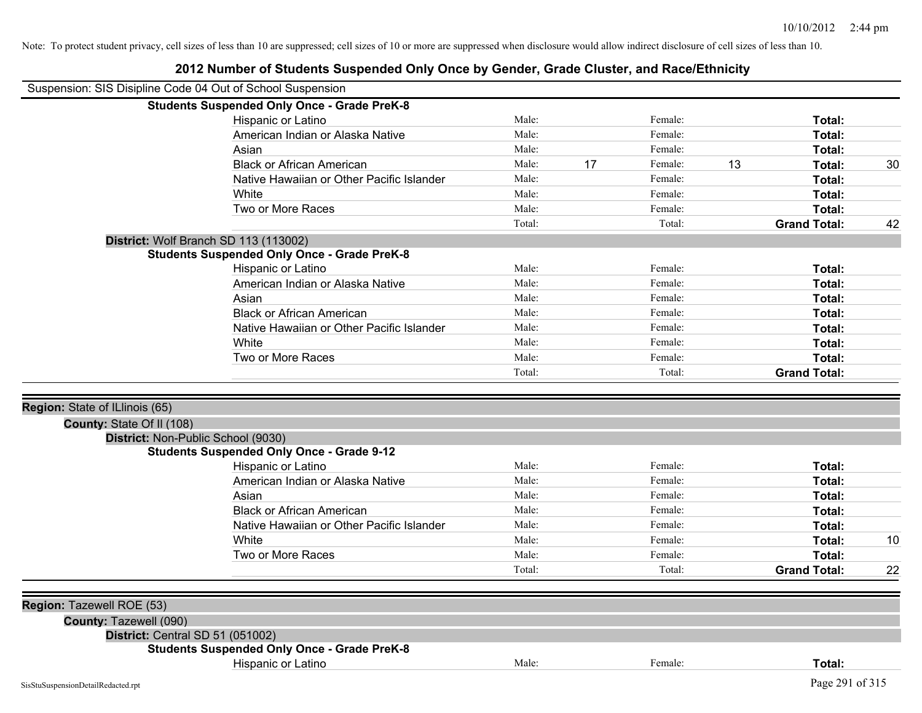|                                                                    | Suspension: SIS Disipline Code 04 Out of School Suspension<br><b>Students Suspended Only Once - Grade PreK-8</b> |        |    |         |                           |    |
|--------------------------------------------------------------------|------------------------------------------------------------------------------------------------------------------|--------|----|---------|---------------------------|----|
|                                                                    | Hispanic or Latino                                                                                               | Male:  |    | Female: | Total:                    |    |
|                                                                    | American Indian or Alaska Native                                                                                 | Male:  |    | Female: | Total:                    |    |
|                                                                    | Asian                                                                                                            | Male:  |    | Female: | Total:                    |    |
|                                                                    | <b>Black or African American</b>                                                                                 | Male:  | 17 | Female: | 13<br>Total:              | 30 |
|                                                                    | Native Hawaiian or Other Pacific Islander                                                                        | Male:  |    | Female: | Total:                    |    |
|                                                                    | White                                                                                                            | Male:  |    | Female: | Total:                    |    |
|                                                                    | Two or More Races                                                                                                | Male:  |    | Female: | Total:                    |    |
|                                                                    |                                                                                                                  | Total: |    | Total:  | <b>Grand Total:</b>       | 42 |
|                                                                    | District: Wolf Branch SD 113 (113002)                                                                            |        |    |         |                           |    |
|                                                                    | <b>Students Suspended Only Once - Grade PreK-8</b>                                                               |        |    |         |                           |    |
|                                                                    | Hispanic or Latino                                                                                               | Male:  |    | Female: | Total:                    |    |
|                                                                    | American Indian or Alaska Native                                                                                 | Male:  |    | Female: | Total:                    |    |
|                                                                    | Asian                                                                                                            | Male:  |    | Female: | Total:                    |    |
|                                                                    | <b>Black or African American</b>                                                                                 | Male:  |    | Female: | Total:                    |    |
|                                                                    | Native Hawaiian or Other Pacific Islander                                                                        | Male:  |    | Female: | Total:                    |    |
|                                                                    | White                                                                                                            | Male:  |    | Female: | Total:                    |    |
|                                                                    | Two or More Races                                                                                                | Male:  |    | Female: | Total:                    |    |
|                                                                    |                                                                                                                  | Total: |    | Total:  | <b>Grand Total:</b>       |    |
| Region: State of ILlinois (65)<br><b>County: State Of II (108)</b> |                                                                                                                  |        |    |         |                           |    |
|                                                                    | District: Non-Public School (9030)                                                                               |        |    |         |                           |    |
|                                                                    | <b>Students Suspended Only Once - Grade 9-12</b>                                                                 |        |    |         |                           |    |
|                                                                    |                                                                                                                  |        |    |         |                           |    |
|                                                                    | Hispanic or Latino                                                                                               | Male:  |    | Female: | Total:                    |    |
|                                                                    | American Indian or Alaska Native                                                                                 | Male:  |    | Female: | Total:                    |    |
|                                                                    | Asian                                                                                                            | Male:  |    | Female: | Total:                    |    |
|                                                                    | <b>Black or African American</b>                                                                                 | Male:  |    | Female: | Total:                    |    |
|                                                                    | Native Hawaiian or Other Pacific Islander                                                                        | Male:  |    | Female: | Total:                    |    |
|                                                                    | White                                                                                                            | Male:  |    | Female: | Total:                    | 10 |
|                                                                    | Two or More Races                                                                                                | Male:  |    | Female: | Total:                    |    |
|                                                                    |                                                                                                                  | Total: |    | Total:  | <b>Grand Total:</b>       | 22 |
|                                                                    |                                                                                                                  |        |    |         |                           |    |
|                                                                    |                                                                                                                  |        |    |         |                           |    |
| County: Tazewell (090)                                             |                                                                                                                  |        |    |         |                           |    |
|                                                                    | District: Central SD 51 (051002)                                                                                 |        |    |         |                           |    |
| Region: Tazewell ROE (53)                                          | <b>Students Suspended Only Once - Grade PreK-8</b>                                                               |        |    |         |                           |    |
|                                                                    | Hispanic or Latino                                                                                               | Male:  |    | Female: | Total:<br>Page 291 of 315 |    |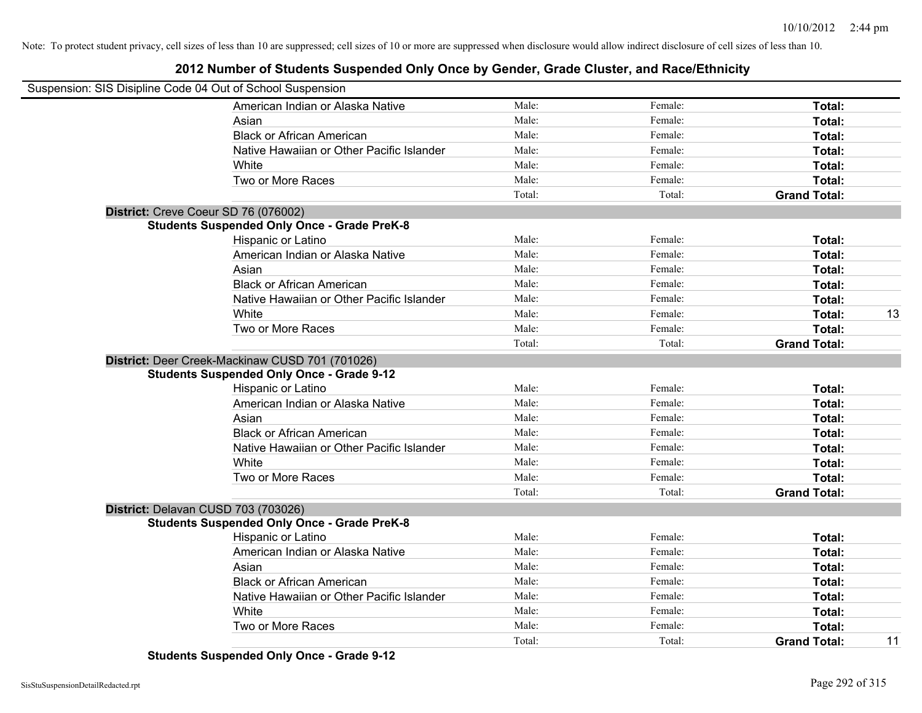# **2012 Number of Students Suspended Only Once by Gender, Grade Cluster, and Race/Ethnicity**

| Suspension: SIS Disipline Code 04 Out of School Suspension |                                                    |        |         |                     |    |
|------------------------------------------------------------|----------------------------------------------------|--------|---------|---------------------|----|
|                                                            | American Indian or Alaska Native                   | Male:  | Female: | Total:              |    |
|                                                            | Asian                                              | Male:  | Female: | Total:              |    |
|                                                            | <b>Black or African American</b>                   | Male:  | Female: | Total:              |    |
|                                                            | Native Hawaiian or Other Pacific Islander          | Male:  | Female: | Total:              |    |
|                                                            | White                                              | Male:  | Female: | Total:              |    |
|                                                            | Two or More Races                                  | Male:  | Female: | Total:              |    |
|                                                            |                                                    | Total: | Total:  | <b>Grand Total:</b> |    |
|                                                            | District: Creve Coeur SD 76 (076002)               |        |         |                     |    |
|                                                            | <b>Students Suspended Only Once - Grade PreK-8</b> |        |         |                     |    |
|                                                            | <b>Hispanic or Latino</b>                          | Male:  | Female: | Total:              |    |
|                                                            | American Indian or Alaska Native                   | Male:  | Female: | Total:              |    |
|                                                            | Asian                                              | Male:  | Female: | Total:              |    |
|                                                            | <b>Black or African American</b>                   | Male:  | Female: | Total:              |    |
|                                                            | Native Hawaiian or Other Pacific Islander          | Male:  | Female: | Total:              |    |
|                                                            | White                                              | Male:  | Female: | Total:              | 13 |
|                                                            | Two or More Races                                  | Male:  | Female: | Total:              |    |
|                                                            |                                                    | Total: | Total:  | <b>Grand Total:</b> |    |
|                                                            | District: Deer Creek-Mackinaw CUSD 701 (701026)    |        |         |                     |    |
|                                                            | <b>Students Suspended Only Once - Grade 9-12</b>   |        |         |                     |    |
|                                                            | Hispanic or Latino                                 | Male:  | Female: | Total:              |    |
|                                                            | American Indian or Alaska Native                   | Male:  | Female: | Total:              |    |
|                                                            | Asian                                              | Male:  | Female: | Total:              |    |
|                                                            | <b>Black or African American</b>                   | Male:  | Female: | Total:              |    |
|                                                            | Native Hawaiian or Other Pacific Islander          | Male:  | Female: | Total:              |    |
|                                                            | White                                              | Male:  | Female: | Total:              |    |
|                                                            | Two or More Races                                  | Male:  | Female: | Total:              |    |
|                                                            |                                                    | Total: | Total:  | <b>Grand Total:</b> |    |
|                                                            | District: Delavan CUSD 703 (703026)                |        |         |                     |    |
|                                                            | <b>Students Suspended Only Once - Grade PreK-8</b> |        |         |                     |    |
|                                                            | Hispanic or Latino                                 | Male:  | Female: | Total:              |    |
|                                                            | American Indian or Alaska Native                   | Male:  | Female: | Total:              |    |
|                                                            | Asian                                              | Male:  | Female: | Total:              |    |
|                                                            | <b>Black or African American</b>                   | Male:  | Female: | Total:              |    |
|                                                            | Native Hawaiian or Other Pacific Islander          | Male:  | Female: | Total:              |    |
|                                                            | White                                              | Male:  | Female: | Total:              |    |
|                                                            | Two or More Races                                  | Male:  | Female: | Total:              |    |
|                                                            |                                                    | Total: | Total:  | <b>Grand Total:</b> | 11 |

**Students Suspended Only Once - Grade 9-12**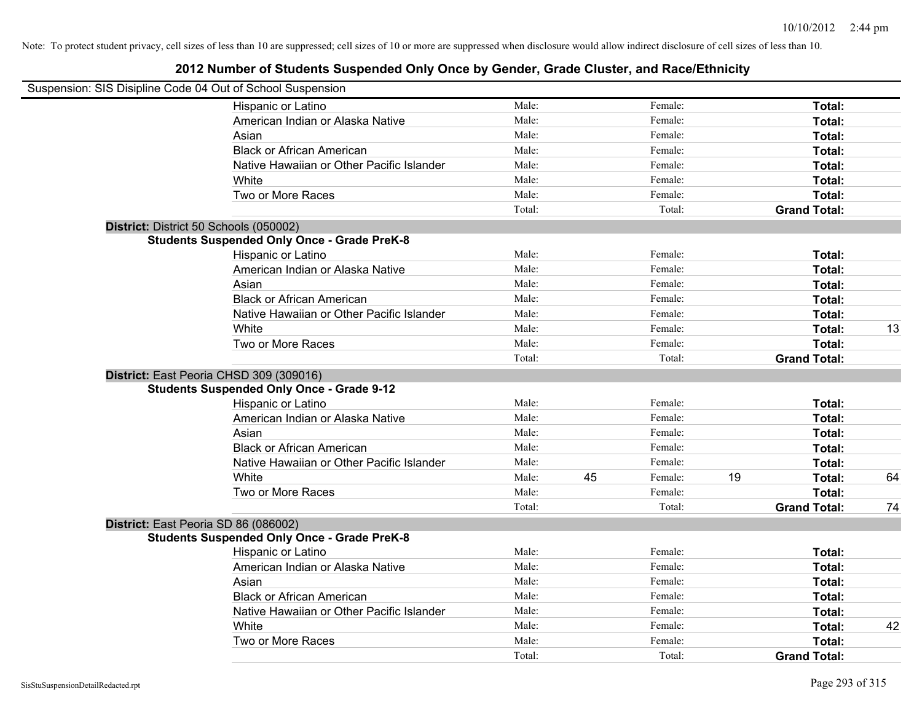| Suspension: SIS Disipline Code 04 Out of School Suspension |        |    |         |    |                     |    |
|------------------------------------------------------------|--------|----|---------|----|---------------------|----|
| Hispanic or Latino                                         | Male:  |    | Female: |    | Total:              |    |
| American Indian or Alaska Native                           | Male:  |    | Female: |    | Total:              |    |
| Asian                                                      | Male:  |    | Female: |    | Total:              |    |
| <b>Black or African American</b>                           | Male:  |    | Female: |    | Total:              |    |
| Native Hawaiian or Other Pacific Islander                  | Male:  |    | Female: |    | Total:              |    |
| White                                                      | Male:  |    | Female: |    | Total:              |    |
| Two or More Races                                          | Male:  |    | Female: |    | Total:              |    |
|                                                            | Total: |    | Total:  |    | <b>Grand Total:</b> |    |
| District: District 50 Schools (050002)                     |        |    |         |    |                     |    |
| <b>Students Suspended Only Once - Grade PreK-8</b>         |        |    |         |    |                     |    |
| Hispanic or Latino                                         | Male:  |    | Female: |    | Total:              |    |
| American Indian or Alaska Native                           | Male:  |    | Female: |    | Total:              |    |
| Asian                                                      | Male:  |    | Female: |    | Total:              |    |
| <b>Black or African American</b>                           | Male:  |    | Female: |    | Total:              |    |
| Native Hawaiian or Other Pacific Islander                  | Male:  |    | Female: |    | Total:              |    |
| White                                                      | Male:  |    | Female: |    | Total:              | 13 |
| Two or More Races                                          | Male:  |    | Female: |    | Total:              |    |
|                                                            | Total: |    | Total:  |    | <b>Grand Total:</b> |    |
| District: East Peoria CHSD 309 (309016)                    |        |    |         |    |                     |    |
| <b>Students Suspended Only Once - Grade 9-12</b>           |        |    |         |    |                     |    |
| Hispanic or Latino                                         | Male:  |    | Female: |    | Total:              |    |
| American Indian or Alaska Native                           | Male:  |    | Female: |    | Total:              |    |
| Asian                                                      | Male:  |    | Female: |    | Total:              |    |
| <b>Black or African American</b>                           | Male:  |    | Female: |    | Total:              |    |
| Native Hawaiian or Other Pacific Islander                  | Male:  |    | Female: |    | Total:              |    |
| White                                                      | Male:  | 45 | Female: | 19 | Total:              | 64 |
| Two or More Races                                          | Male:  |    | Female: |    | Total:              |    |
|                                                            | Total: |    | Total:  |    | <b>Grand Total:</b> | 74 |
| District: East Peoria SD 86 (086002)                       |        |    |         |    |                     |    |
| <b>Students Suspended Only Once - Grade PreK-8</b>         |        |    |         |    |                     |    |
| Hispanic or Latino                                         | Male:  |    | Female: |    | Total:              |    |
| American Indian or Alaska Native                           | Male:  |    | Female: |    | Total:              |    |
| Asian                                                      | Male:  |    | Female: |    | Total:              |    |
| <b>Black or African American</b>                           | Male:  |    | Female: |    | Total:              |    |
| Native Hawaiian or Other Pacific Islander                  | Male:  |    | Female: |    | Total:              |    |
| White                                                      | Male:  |    | Female: |    | Total:              | 42 |
| Two or More Races                                          | Male:  |    | Female: |    | Total:              |    |
|                                                            | Total: |    | Total:  |    | <b>Grand Total:</b> |    |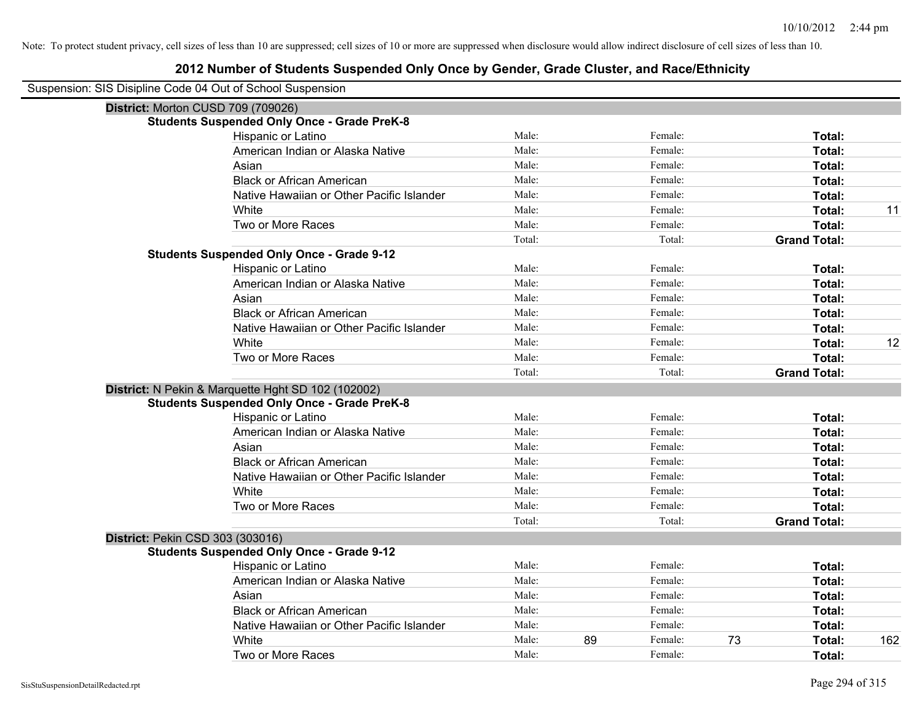| Suspension: SIS Disipline Code 04 Out of School Suspension |  |  |  |
|------------------------------------------------------------|--|--|--|
|------------------------------------------------------------|--|--|--|

|                                         | District: Morton CUSD 709 (709026)                 |        |    |         |    |                     |     |
|-----------------------------------------|----------------------------------------------------|--------|----|---------|----|---------------------|-----|
|                                         | <b>Students Suspended Only Once - Grade PreK-8</b> |        |    |         |    |                     |     |
|                                         | Hispanic or Latino                                 | Male:  |    | Female: |    | Total:              |     |
|                                         | American Indian or Alaska Native                   | Male:  |    | Female: |    | Total:              |     |
|                                         | Asian                                              | Male:  |    | Female: |    | Total:              |     |
|                                         | <b>Black or African American</b>                   | Male:  |    | Female: |    | Total:              |     |
|                                         | Native Hawaiian or Other Pacific Islander          | Male:  |    | Female: |    | Total:              |     |
|                                         | White                                              | Male:  |    | Female: |    | Total:              | 11  |
|                                         | Two or More Races                                  | Male:  |    | Female: |    | Total:              |     |
|                                         |                                                    | Total: |    | Total:  |    | <b>Grand Total:</b> |     |
|                                         | <b>Students Suspended Only Once - Grade 9-12</b>   |        |    |         |    |                     |     |
|                                         | Hispanic or Latino                                 | Male:  |    | Female: |    | Total:              |     |
|                                         | American Indian or Alaska Native                   | Male:  |    | Female: |    | Total:              |     |
|                                         | Asian                                              | Male:  |    | Female: |    | Total:              |     |
|                                         | <b>Black or African American</b>                   | Male:  |    | Female: |    | Total:              |     |
|                                         | Native Hawaiian or Other Pacific Islander          | Male:  |    | Female: |    | Total:              |     |
|                                         | White                                              | Male:  |    | Female: |    | Total:              | 12  |
|                                         | Two or More Races                                  | Male:  |    | Female: |    | Total:              |     |
|                                         |                                                    | Total: |    | Total:  |    | <b>Grand Total:</b> |     |
|                                         | District: N Pekin & Marquette Hght SD 102 (102002) |        |    |         |    |                     |     |
|                                         | <b>Students Suspended Only Once - Grade PreK-8</b> |        |    |         |    |                     |     |
|                                         | Hispanic or Latino                                 | Male:  |    | Female: |    | Total:              |     |
|                                         | American Indian or Alaska Native                   | Male:  |    | Female: |    | Total:              |     |
|                                         | Asian                                              | Male:  |    | Female: |    | Total:              |     |
|                                         | <b>Black or African American</b>                   | Male:  |    | Female: |    | Total:              |     |
|                                         | Native Hawaiian or Other Pacific Islander          | Male:  |    | Female: |    | Total:              |     |
|                                         | White                                              | Male:  |    | Female: |    | Total:              |     |
|                                         | Two or More Races                                  | Male:  |    | Female: |    | Total:              |     |
|                                         |                                                    | Total: |    | Total:  |    | <b>Grand Total:</b> |     |
| <b>District: Pekin CSD 303 (303016)</b> |                                                    |        |    |         |    |                     |     |
|                                         | <b>Students Suspended Only Once - Grade 9-12</b>   |        |    |         |    |                     |     |
|                                         | Hispanic or Latino                                 | Male:  |    | Female: |    | Total:              |     |
|                                         | American Indian or Alaska Native                   | Male:  |    | Female: |    | Total:              |     |
|                                         | Asian                                              | Male:  |    | Female: |    | Total:              |     |
|                                         | <b>Black or African American</b>                   | Male:  |    | Female: |    | Total:              |     |
|                                         | Native Hawaiian or Other Pacific Islander          | Male:  |    | Female: |    | Total:              |     |
|                                         | White                                              | Male:  | 89 | Female: | 73 | Total:              | 162 |
|                                         | Two or More Races                                  | Male:  |    | Female: |    | Total:              |     |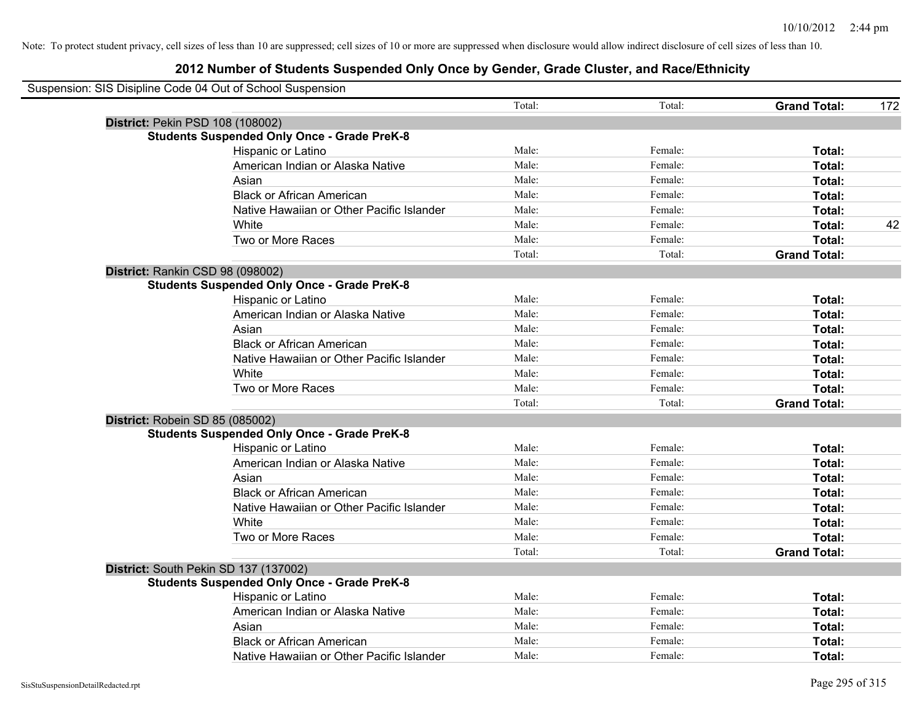| Suspension: SIS Disipline Code 04 Out of School Suspension |        |         |                     |     |
|------------------------------------------------------------|--------|---------|---------------------|-----|
|                                                            | Total: | Total:  | <b>Grand Total:</b> | 172 |
| District: Pekin PSD 108 (108002)                           |        |         |                     |     |
| <b>Students Suspended Only Once - Grade PreK-8</b>         |        |         |                     |     |
| Hispanic or Latino                                         | Male:  | Female: | Total:              |     |
| American Indian or Alaska Native                           | Male:  | Female: | Total:              |     |
| Asian                                                      | Male:  | Female: | Total:              |     |
| <b>Black or African American</b>                           | Male:  | Female: | Total:              |     |
| Native Hawaiian or Other Pacific Islander                  | Male:  | Female: | Total:              |     |
| White                                                      | Male:  | Female: | Total:              | 42  |
| Two or More Races                                          | Male:  | Female: | Total:              |     |
|                                                            | Total: | Total:  | <b>Grand Total:</b> |     |
| District: Rankin CSD 98 (098002)                           |        |         |                     |     |
| <b>Students Suspended Only Once - Grade PreK-8</b>         |        |         |                     |     |
| Hispanic or Latino                                         | Male:  | Female: | Total:              |     |
| American Indian or Alaska Native                           | Male:  | Female: | Total:              |     |
| Asian                                                      | Male:  | Female: | Total:              |     |
| <b>Black or African American</b>                           | Male:  | Female: | Total:              |     |
| Native Hawaiian or Other Pacific Islander                  | Male:  | Female: | Total:              |     |
| White                                                      | Male:  | Female: | Total:              |     |
| Two or More Races                                          | Male:  | Female: | Total:              |     |
|                                                            | Total: | Total:  | <b>Grand Total:</b> |     |
| District: Robein SD 85 (085002)                            |        |         |                     |     |
| <b>Students Suspended Only Once - Grade PreK-8</b>         |        |         |                     |     |
| Hispanic or Latino                                         | Male:  | Female: | Total:              |     |
| American Indian or Alaska Native                           | Male:  | Female: | Total:              |     |
| Asian                                                      | Male:  | Female: | Total:              |     |
| <b>Black or African American</b>                           | Male:  | Female: | Total:              |     |
| Native Hawaiian or Other Pacific Islander                  | Male:  | Female: | Total:              |     |
| White                                                      | Male:  | Female: | Total:              |     |
| Two or More Races                                          | Male:  | Female: | Total:              |     |
|                                                            | Total: | Total:  | <b>Grand Total:</b> |     |
| District: South Pekin SD 137 (137002)                      |        |         |                     |     |
| <b>Students Suspended Only Once - Grade PreK-8</b>         |        |         |                     |     |
| Hispanic or Latino                                         | Male:  | Female: | Total:              |     |
| American Indian or Alaska Native                           | Male:  | Female: | Total:              |     |
| Asian                                                      | Male:  | Female: | Total:              |     |
| <b>Black or African American</b>                           | Male:  | Female: | Total:              |     |
| Native Hawaiian or Other Pacific Islander                  | Male:  | Female: | Total:              |     |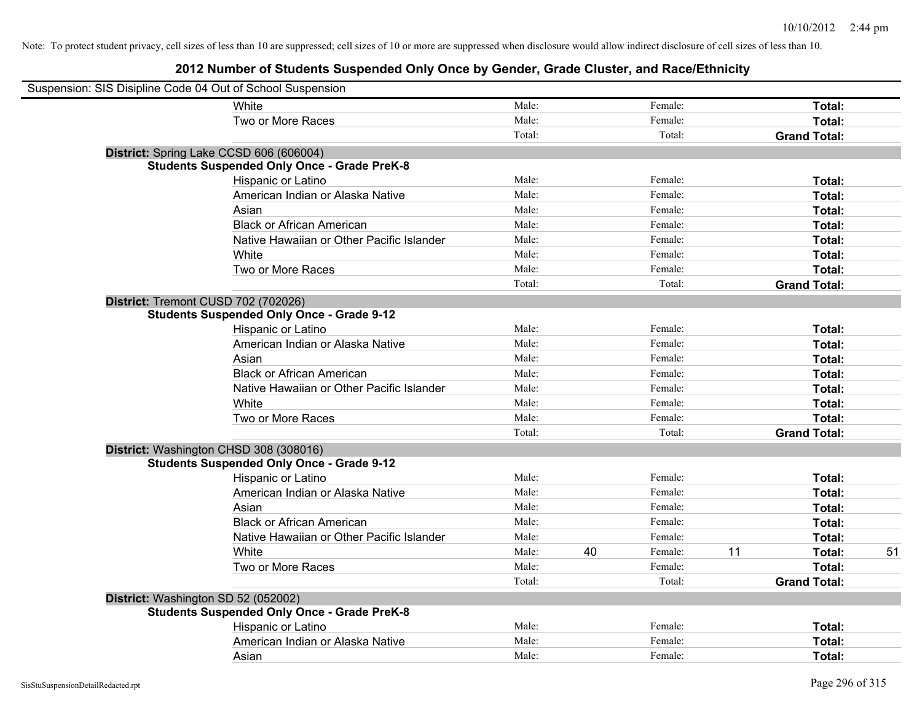| Suspension: SIS Disipline Code 04 Out of School Suspension |                                                    |        |    |         |    |                     |    |
|------------------------------------------------------------|----------------------------------------------------|--------|----|---------|----|---------------------|----|
|                                                            | White                                              | Male:  |    | Female: |    | Total:              |    |
|                                                            | Two or More Races                                  | Male:  |    | Female: |    | Total:              |    |
|                                                            |                                                    | Total: |    | Total:  |    | <b>Grand Total:</b> |    |
| District: Spring Lake CCSD 606 (606004)                    |                                                    |        |    |         |    |                     |    |
|                                                            | <b>Students Suspended Only Once - Grade PreK-8</b> |        |    |         |    |                     |    |
|                                                            | Hispanic or Latino                                 | Male:  |    | Female: |    | Total:              |    |
|                                                            | American Indian or Alaska Native                   | Male:  |    | Female: |    | Total:              |    |
|                                                            | Asian                                              | Male:  |    | Female: |    | Total:              |    |
|                                                            | <b>Black or African American</b>                   | Male:  |    | Female: |    | Total:              |    |
|                                                            | Native Hawaiian or Other Pacific Islander          | Male:  |    | Female: |    | Total:              |    |
|                                                            | White                                              | Male:  |    | Female: |    | Total:              |    |
|                                                            | Two or More Races                                  | Male:  |    | Female: |    | Total:              |    |
|                                                            |                                                    | Total: |    | Total:  |    | <b>Grand Total:</b> |    |
| District: Tremont CUSD 702 (702026)                        |                                                    |        |    |         |    |                     |    |
|                                                            | <b>Students Suspended Only Once - Grade 9-12</b>   |        |    |         |    |                     |    |
|                                                            | Hispanic or Latino                                 | Male:  |    | Female: |    | Total:              |    |
|                                                            | American Indian or Alaska Native                   | Male:  |    | Female: |    | Total:              |    |
|                                                            | Asian                                              | Male:  |    | Female: |    | Total:              |    |
|                                                            | <b>Black or African American</b>                   | Male:  |    | Female: |    | Total:              |    |
|                                                            | Native Hawaiian or Other Pacific Islander          | Male:  |    | Female: |    | Total:              |    |
|                                                            | White                                              | Male:  |    | Female: |    | Total:              |    |
|                                                            | Two or More Races                                  | Male:  |    | Female: |    | Total:              |    |
|                                                            |                                                    | Total: |    | Total:  |    | <b>Grand Total:</b> |    |
| District: Washington CHSD 308 (308016)                     |                                                    |        |    |         |    |                     |    |
|                                                            | <b>Students Suspended Only Once - Grade 9-12</b>   |        |    |         |    |                     |    |
|                                                            | Hispanic or Latino                                 | Male:  |    | Female: |    | Total:              |    |
|                                                            | American Indian or Alaska Native                   | Male:  |    | Female: |    | Total:              |    |
|                                                            | Asian                                              | Male:  |    | Female: |    | Total:              |    |
|                                                            | <b>Black or African American</b>                   | Male:  |    | Female: |    | Total:              |    |
|                                                            | Native Hawaiian or Other Pacific Islander          | Male:  |    | Female: |    | Total:              |    |
|                                                            | White                                              | Male:  | 40 | Female: | 11 | Total:              | 51 |
|                                                            | Two or More Races                                  | Male:  |    | Female: |    | Total:              |    |
|                                                            |                                                    | Total: |    | Total:  |    | <b>Grand Total:</b> |    |
| District: Washington SD 52 (052002)                        |                                                    |        |    |         |    |                     |    |
|                                                            | <b>Students Suspended Only Once - Grade PreK-8</b> |        |    |         |    |                     |    |
|                                                            | Hispanic or Latino                                 | Male:  |    | Female: |    | Total:              |    |
|                                                            | American Indian or Alaska Native                   | Male:  |    | Female: |    | Total:              |    |
|                                                            | Asian                                              | Male:  |    | Female: |    | Total:              |    |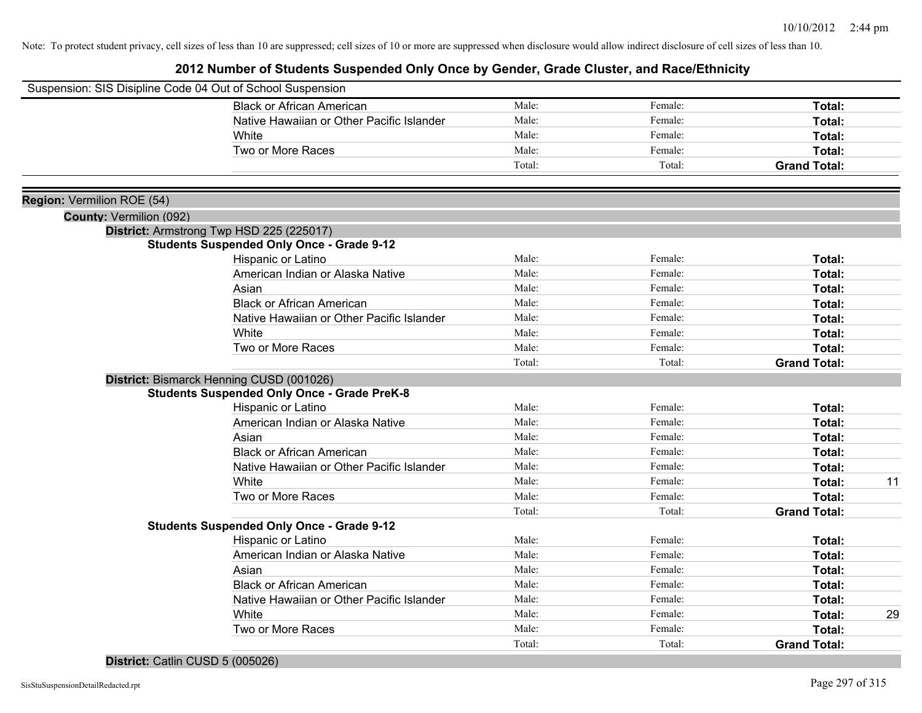# **2012 Number of Students Suspended Only Once by Gender, Grade Cluster, and Race/Ethnicity**

| Suspension: SIS Disipline Code 04 Out of School Suspension |                                                    |        |         |                     |    |
|------------------------------------------------------------|----------------------------------------------------|--------|---------|---------------------|----|
|                                                            | <b>Black or African American</b>                   | Male:  | Female: | Total:              |    |
|                                                            | Native Hawaiian or Other Pacific Islander          | Male:  | Female: | Total:              |    |
|                                                            | White                                              | Male:  | Female: | Total:              |    |
|                                                            | Two or More Races                                  | Male:  | Female: | Total:              |    |
|                                                            |                                                    | Total: | Total:  | <b>Grand Total:</b> |    |
|                                                            |                                                    |        |         |                     |    |
| Region: Vermilion ROE (54)                                 |                                                    |        |         |                     |    |
| <b>County: Vermilion (092)</b>                             |                                                    |        |         |                     |    |
|                                                            | District: Armstrong Twp HSD 225 (225017)           |        |         |                     |    |
|                                                            | <b>Students Suspended Only Once - Grade 9-12</b>   |        |         |                     |    |
|                                                            | Hispanic or Latino                                 | Male:  | Female: | Total:              |    |
|                                                            | American Indian or Alaska Native                   | Male:  | Female: | Total:              |    |
|                                                            | Asian                                              | Male:  | Female: | Total:              |    |
|                                                            | <b>Black or African American</b>                   | Male:  | Female: | Total:              |    |
|                                                            | Native Hawaiian or Other Pacific Islander          | Male:  | Female: | Total:              |    |
|                                                            | White                                              | Male:  | Female: | Total:              |    |
|                                                            | Two or More Races                                  | Male:  | Female: | Total:              |    |
|                                                            |                                                    | Total: | Total:  | <b>Grand Total:</b> |    |
|                                                            | District: Bismarck Henning CUSD (001026)           |        |         |                     |    |
|                                                            | <b>Students Suspended Only Once - Grade PreK-8</b> |        |         |                     |    |
|                                                            | Hispanic or Latino                                 | Male:  | Female: | Total:              |    |
|                                                            | American Indian or Alaska Native                   | Male:  | Female: | Total:              |    |
|                                                            | Asian                                              | Male:  | Female: | Total:              |    |
|                                                            | <b>Black or African American</b>                   | Male:  | Female: | Total:              |    |
|                                                            | Native Hawaiian or Other Pacific Islander          | Male:  | Female: | Total:              |    |
|                                                            | White                                              | Male:  | Female: | Total:              | 11 |
|                                                            | Two or More Races                                  | Male:  | Female: | Total:              |    |
|                                                            |                                                    | Total: | Total:  | <b>Grand Total:</b> |    |
|                                                            | <b>Students Suspended Only Once - Grade 9-12</b>   |        |         |                     |    |
|                                                            | Hispanic or Latino                                 | Male:  | Female: | Total:              |    |
|                                                            | American Indian or Alaska Native                   | Male:  | Female: | Total:              |    |
|                                                            | Asian                                              | Male:  | Female: | Total:              |    |
|                                                            | <b>Black or African American</b>                   | Male:  | Female: | Total:              |    |
|                                                            | Native Hawaiian or Other Pacific Islander          | Male:  | Female: | Total:              |    |
|                                                            | White                                              | Male:  | Female: | Total:              | 29 |
|                                                            | Two or More Races                                  | Male:  | Female: | Total:              |    |
|                                                            |                                                    | Total: | Total:  | <b>Grand Total:</b> |    |
|                                                            |                                                    |        |         |                     |    |

## **District:** Catlin CUSD 5 (005026)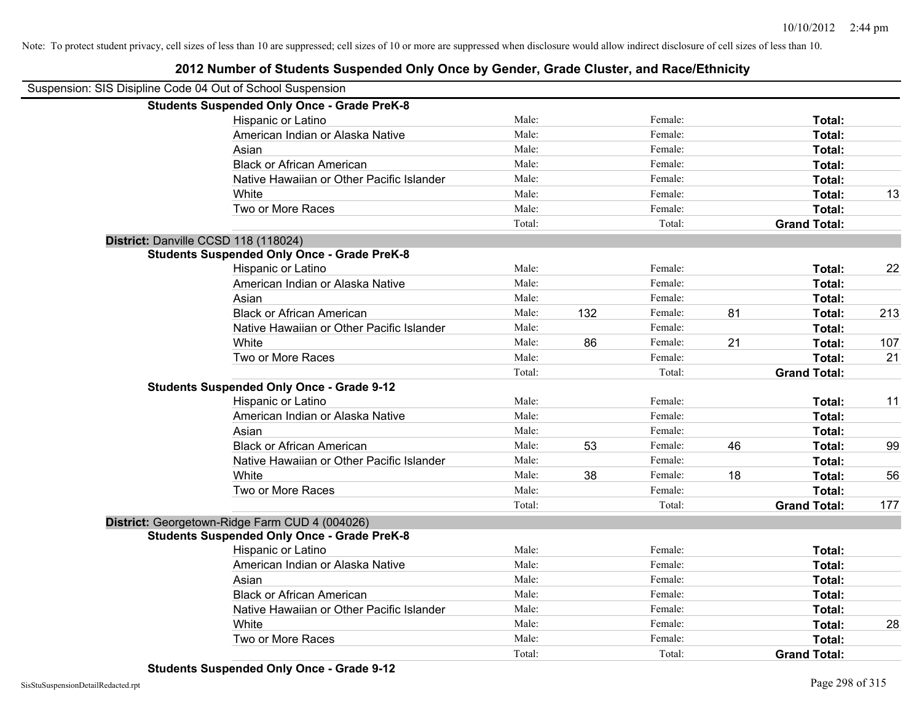| Suspension: SIS Disipline Code 04 Out of School Suspension |                                                    |        |     |         |    |                     |     |
|------------------------------------------------------------|----------------------------------------------------|--------|-----|---------|----|---------------------|-----|
|                                                            | <b>Students Suspended Only Once - Grade PreK-8</b> |        |     |         |    |                     |     |
|                                                            | Hispanic or Latino                                 | Male:  |     | Female: |    | Total:              |     |
|                                                            | American Indian or Alaska Native                   | Male:  |     | Female: |    | Total:              |     |
|                                                            | Asian                                              | Male:  |     | Female: |    | Total:              |     |
|                                                            | <b>Black or African American</b>                   | Male:  |     | Female: |    | Total:              |     |
|                                                            | Native Hawaiian or Other Pacific Islander          | Male:  |     | Female: |    | Total:              |     |
|                                                            | White                                              | Male:  |     | Female: |    | Total:              | 13  |
|                                                            | Two or More Races                                  | Male:  |     | Female: |    | Total:              |     |
|                                                            |                                                    | Total: |     | Total:  |    | <b>Grand Total:</b> |     |
| District: Danville CCSD 118 (118024)                       |                                                    |        |     |         |    |                     |     |
|                                                            | <b>Students Suspended Only Once - Grade PreK-8</b> |        |     |         |    |                     |     |
|                                                            | Hispanic or Latino                                 | Male:  |     | Female: |    | Total:              | 22  |
|                                                            | American Indian or Alaska Native                   | Male:  |     | Female: |    | Total:              |     |
|                                                            | Asian                                              | Male:  |     | Female: |    | Total:              |     |
|                                                            | <b>Black or African American</b>                   | Male:  | 132 | Female: | 81 | Total:              | 213 |
|                                                            | Native Hawaiian or Other Pacific Islander          | Male:  |     | Female: |    | <b>Total:</b>       |     |
|                                                            | White                                              | Male:  | 86  | Female: | 21 | Total:              | 107 |
|                                                            | Two or More Races                                  | Male:  |     | Female: |    | Total:              | 21  |
|                                                            |                                                    | Total: |     | Total:  |    | <b>Grand Total:</b> |     |
|                                                            | <b>Students Suspended Only Once - Grade 9-12</b>   |        |     |         |    |                     |     |
|                                                            | Hispanic or Latino                                 | Male:  |     | Female: |    | Total:              | 11  |
|                                                            | American Indian or Alaska Native                   | Male:  |     | Female: |    | Total:              |     |
|                                                            | Asian                                              | Male:  |     | Female: |    | Total:              |     |
|                                                            | <b>Black or African American</b>                   | Male:  | 53  | Female: | 46 | Total:              | 99  |
|                                                            | Native Hawaiian or Other Pacific Islander          | Male:  |     | Female: |    | Total:              |     |
|                                                            | White                                              | Male:  | 38  | Female: | 18 | Total:              | 56  |
|                                                            | Two or More Races                                  | Male:  |     | Female: |    | Total:              |     |
|                                                            |                                                    | Total: |     | Total:  |    | <b>Grand Total:</b> | 177 |
|                                                            | District: Georgetown-Ridge Farm CUD 4 (004026)     |        |     |         |    |                     |     |
|                                                            | <b>Students Suspended Only Once - Grade PreK-8</b> |        |     |         |    |                     |     |
|                                                            | Hispanic or Latino                                 | Male:  |     | Female: |    | Total:              |     |
|                                                            | American Indian or Alaska Native                   | Male:  |     | Female: |    | Total:              |     |
|                                                            | Asian                                              | Male:  |     | Female: |    | Total:              |     |
|                                                            | <b>Black or African American</b>                   | Male:  |     | Female: |    | Total:              |     |
|                                                            | Native Hawaiian or Other Pacific Islander          | Male:  |     | Female: |    | Total:              |     |
|                                                            | White                                              | Male:  |     | Female: |    | Total:              | 28  |
|                                                            | Two or More Races                                  | Male:  |     | Female: |    | <b>Total:</b>       |     |
|                                                            |                                                    | Total: |     | Total:  |    | <b>Grand Total:</b> |     |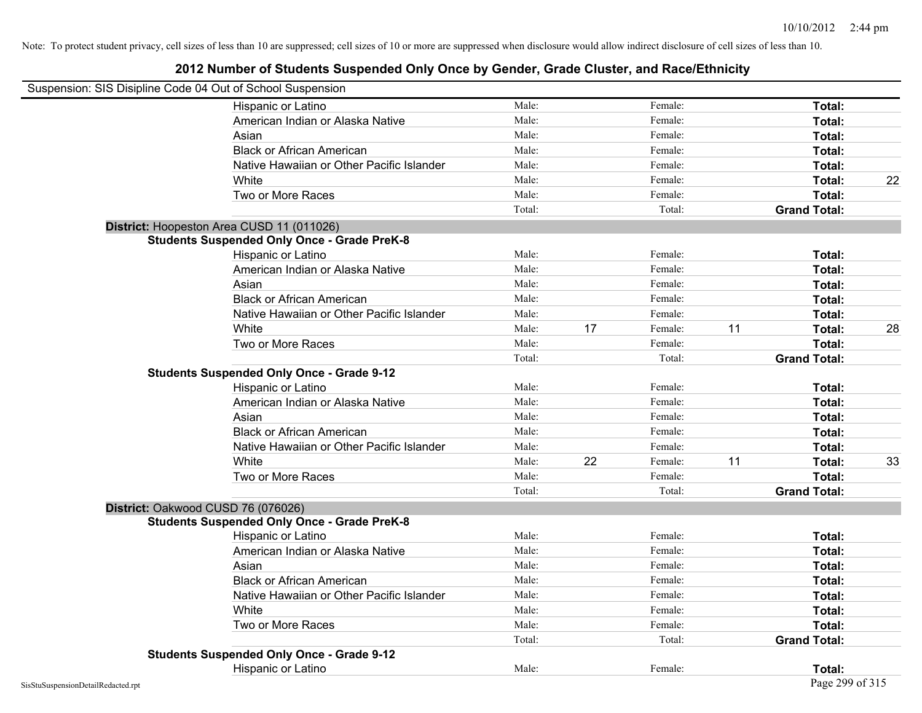| Suspension: SIS Disipline Code 04 Out of School Suspension |        |    |         |    |                     |    |
|------------------------------------------------------------|--------|----|---------|----|---------------------|----|
| Hispanic or Latino                                         | Male:  |    | Female: |    | Total:              |    |
| American Indian or Alaska Native                           | Male:  |    | Female: |    | Total:              |    |
| Asian                                                      | Male:  |    | Female: |    | Total:              |    |
| <b>Black or African American</b>                           | Male:  |    | Female: |    | Total:              |    |
| Native Hawaiian or Other Pacific Islander                  | Male:  |    | Female: |    | Total:              |    |
| White                                                      | Male:  |    | Female: |    | Total:              | 22 |
| Two or More Races                                          | Male:  |    | Female: |    | Total:              |    |
|                                                            | Total: |    | Total:  |    | <b>Grand Total:</b> |    |
| District: Hoopeston Area CUSD 11 (011026)                  |        |    |         |    |                     |    |
| <b>Students Suspended Only Once - Grade PreK-8</b>         |        |    |         |    |                     |    |
| Hispanic or Latino                                         | Male:  |    | Female: |    | Total:              |    |
| American Indian or Alaska Native                           | Male:  |    | Female: |    | Total:              |    |
| Asian                                                      | Male:  |    | Female: |    | Total:              |    |
| <b>Black or African American</b>                           | Male:  |    | Female: |    | Total:              |    |
| Native Hawaiian or Other Pacific Islander                  | Male:  |    | Female: |    | Total:              |    |
| White                                                      | Male:  | 17 | Female: | 11 | Total:              | 28 |
| Two or More Races                                          | Male:  |    | Female: |    | Total:              |    |
|                                                            | Total: |    | Total:  |    | <b>Grand Total:</b> |    |
| <b>Students Suspended Only Once - Grade 9-12</b>           |        |    |         |    |                     |    |
| Hispanic or Latino                                         | Male:  |    | Female: |    | Total:              |    |
| American Indian or Alaska Native                           | Male:  |    | Female: |    | Total:              |    |
| Asian                                                      | Male:  |    | Female: |    | Total:              |    |
| <b>Black or African American</b>                           | Male:  |    | Female: |    | Total:              |    |
| Native Hawaiian or Other Pacific Islander                  | Male:  |    | Female: |    | Total:              |    |
| White                                                      | Male:  | 22 | Female: | 11 | Total:              | 33 |
| Two or More Races                                          | Male:  |    | Female: |    | Total:              |    |
|                                                            | Total: |    | Total:  |    | <b>Grand Total:</b> |    |
| District: Oakwood CUSD 76 (076026)                         |        |    |         |    |                     |    |
| <b>Students Suspended Only Once - Grade PreK-8</b>         |        |    |         |    |                     |    |
| Hispanic or Latino                                         | Male:  |    | Female: |    | Total:              |    |
| American Indian or Alaska Native                           | Male:  |    | Female: |    | Total:              |    |
| Asian                                                      | Male:  |    | Female: |    | Total:              |    |
| <b>Black or African American</b>                           | Male:  |    | Female: |    | Total:              |    |
| Native Hawaiian or Other Pacific Islander                  | Male:  |    | Female: |    | Total:              |    |
| White                                                      | Male:  |    | Female: |    | Total:              |    |
| Two or More Races                                          | Male:  |    | Female: |    | Total:              |    |
|                                                            | Total: |    | Total:  |    | <b>Grand Total:</b> |    |
| <b>Students Suspended Only Once - Grade 9-12</b>           |        |    |         |    |                     |    |
| Hispanic or Latino                                         | Male:  |    | Female: |    | Total:              |    |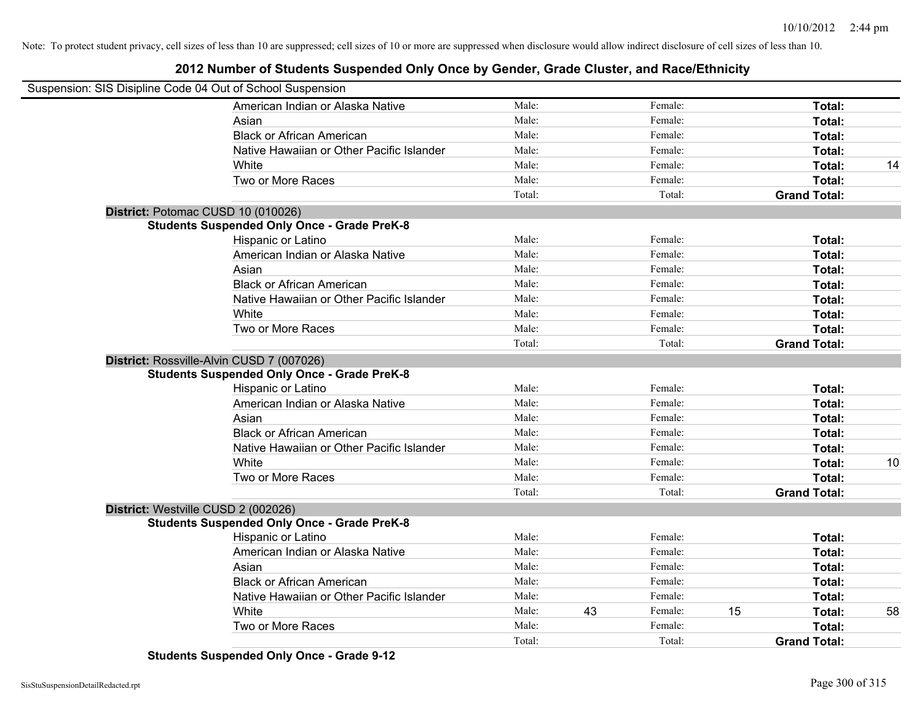# **2012 Number of Students Suspended Only Once by Gender, Grade Cluster, and Race/Ethnicity**

| Suspension: SIS Disipline Code 04 Out of School Suspension |                                                    |        |    |         |    |                     |    |
|------------------------------------------------------------|----------------------------------------------------|--------|----|---------|----|---------------------|----|
|                                                            | American Indian or Alaska Native                   | Male:  |    | Female: |    | Total:              |    |
|                                                            | Asian                                              | Male:  |    | Female: |    | Total:              |    |
|                                                            | <b>Black or African American</b>                   | Male:  |    | Female: |    | Total:              |    |
|                                                            | Native Hawaiian or Other Pacific Islander          | Male:  |    | Female: |    | Total:              |    |
|                                                            | White                                              | Male:  |    | Female: |    | Total:              | 14 |
|                                                            | Two or More Races                                  | Male:  |    | Female: |    | Total:              |    |
|                                                            |                                                    | Total: |    | Total:  |    | <b>Grand Total:</b> |    |
|                                                            | District: Potomac CUSD 10 (010026)                 |        |    |         |    |                     |    |
|                                                            | <b>Students Suspended Only Once - Grade PreK-8</b> |        |    |         |    |                     |    |
|                                                            | Hispanic or Latino                                 | Male:  |    | Female: |    | Total:              |    |
|                                                            | American Indian or Alaska Native                   | Male:  |    | Female: |    | Total:              |    |
|                                                            | Asian                                              | Male:  |    | Female: |    | Total:              |    |
|                                                            | <b>Black or African American</b>                   | Male:  |    | Female: |    | Total:              |    |
|                                                            | Native Hawaiian or Other Pacific Islander          | Male:  |    | Female: |    | Total:              |    |
|                                                            | White                                              | Male:  |    | Female: |    | Total:              |    |
|                                                            | Two or More Races                                  | Male:  |    | Female: |    | <b>Total:</b>       |    |
|                                                            |                                                    | Total: |    | Total:  |    | <b>Grand Total:</b> |    |
|                                                            | District: Rossville-Alvin CUSD 7 (007026)          |        |    |         |    |                     |    |
|                                                            | <b>Students Suspended Only Once - Grade PreK-8</b> |        |    |         |    |                     |    |
|                                                            | Hispanic or Latino                                 | Male:  |    | Female: |    | Total:              |    |
|                                                            | American Indian or Alaska Native                   | Male:  |    | Female: |    | Total:              |    |
|                                                            | Asian                                              | Male:  |    | Female: |    | Total:              |    |
|                                                            | <b>Black or African American</b>                   | Male:  |    | Female: |    | Total:              |    |
|                                                            | Native Hawaiian or Other Pacific Islander          | Male:  |    | Female: |    | Total:              |    |
|                                                            | White                                              | Male:  |    | Female: |    | Total:              | 10 |
|                                                            | Two or More Races                                  | Male:  |    | Female: |    | Total:              |    |
|                                                            |                                                    | Total: |    | Total:  |    | <b>Grand Total:</b> |    |
|                                                            | District: Westville CUSD 2 (002026)                |        |    |         |    |                     |    |
|                                                            | <b>Students Suspended Only Once - Grade PreK-8</b> |        |    |         |    |                     |    |
|                                                            | Hispanic or Latino                                 | Male:  |    | Female: |    | Total:              |    |
|                                                            | American Indian or Alaska Native                   | Male:  |    | Female: |    | Total:              |    |
|                                                            | Asian                                              | Male:  |    | Female: |    | Total:              |    |
|                                                            | <b>Black or African American</b>                   | Male:  |    | Female: |    | Total:              |    |
|                                                            | Native Hawaiian or Other Pacific Islander          | Male:  |    | Female: |    | Total:              |    |
|                                                            | White                                              | Male:  | 43 | Female: | 15 | Total:              | 58 |
|                                                            | Two or More Races                                  | Male:  |    | Female: |    | <b>Total:</b>       |    |
|                                                            |                                                    | Total: |    | Total:  |    | <b>Grand Total:</b> |    |

**Students Suspended Only Once - Grade 9-12**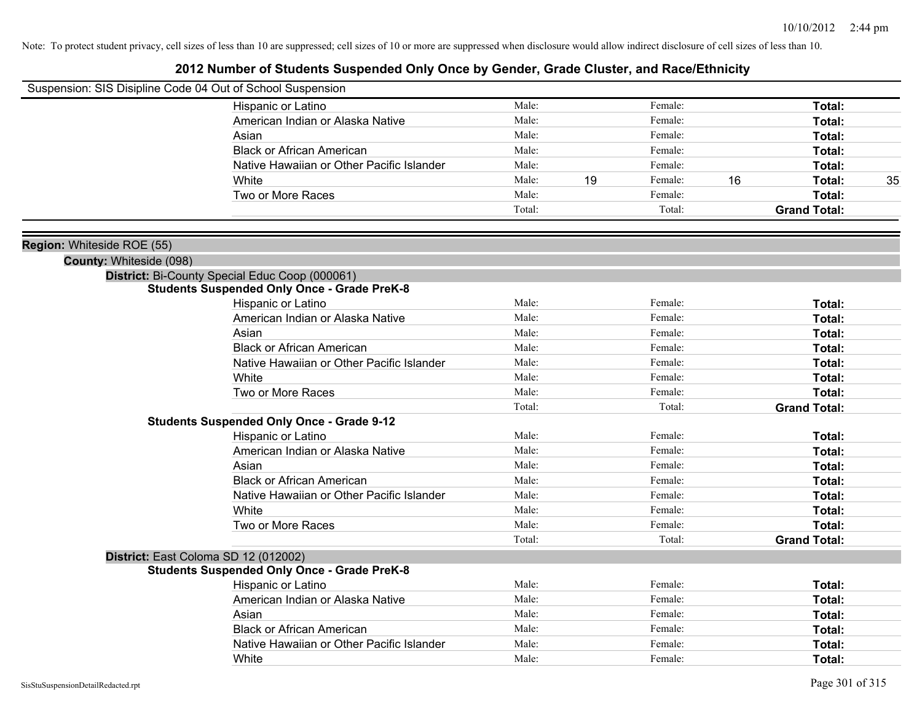| Suspension: SIS Disipline Code 04 Out of School Suspension |                                                    |        |               |        |                     |    |
|------------------------------------------------------------|----------------------------------------------------|--------|---------------|--------|---------------------|----|
|                                                            | Hispanic or Latino                                 | Male:  | Female:       |        | Total:              |    |
|                                                            | American Indian or Alaska Native                   | Male:  | Female:       |        | Total:              |    |
|                                                            | Asian                                              | Male:  | Female:       |        | Total:              |    |
|                                                            | <b>Black or African American</b>                   | Male:  | Female:       |        | Total:              |    |
|                                                            | Native Hawaiian or Other Pacific Islander          | Male:  | Female:       |        | Total:              |    |
|                                                            | White                                              | Male:  | 19<br>Female: | 16     | Total:              | 35 |
|                                                            | Two or More Races                                  | Male:  | Female:       |        | Total:              |    |
|                                                            |                                                    | Total: |               | Total: | <b>Grand Total:</b> |    |
| Region: Whiteside ROE (55)                                 |                                                    |        |               |        |                     |    |
| County: Whiteside (098)                                    |                                                    |        |               |        |                     |    |
|                                                            | District: Bi-County Special Educ Coop (000061)     |        |               |        |                     |    |
|                                                            | <b>Students Suspended Only Once - Grade PreK-8</b> |        |               |        |                     |    |
|                                                            | Hispanic or Latino                                 | Male:  | Female:       |        | Total:              |    |
|                                                            | American Indian or Alaska Native                   | Male:  | Female:       |        | Total:              |    |
|                                                            | Asian                                              | Male:  | Female:       |        | Total:              |    |
|                                                            | <b>Black or African American</b>                   | Male:  | Female:       |        | Total:              |    |
|                                                            | Native Hawaiian or Other Pacific Islander          | Male:  | Female:       |        | Total:              |    |
|                                                            | White                                              | Male:  | Female:       |        | Total:              |    |
|                                                            | Two or More Races                                  | Male:  | Female:       |        | Total:              |    |
|                                                            |                                                    | Total: |               | Total: | <b>Grand Total:</b> |    |
|                                                            | <b>Students Suspended Only Once - Grade 9-12</b>   |        |               |        |                     |    |
|                                                            | Hispanic or Latino                                 | Male:  | Female:       |        | Total:              |    |
|                                                            | American Indian or Alaska Native                   | Male:  | Female:       |        | Total:              |    |
|                                                            | Asian                                              | Male:  | Female:       |        | Total:              |    |
|                                                            | <b>Black or African American</b>                   | Male:  | Female:       |        | Total:              |    |
|                                                            | Native Hawaiian or Other Pacific Islander          | Male:  | Female:       |        | Total:              |    |
|                                                            | White                                              | Male:  | Female:       |        | Total:              |    |
|                                                            | Two or More Races                                  | Male:  | Female:       |        | Total:              |    |
|                                                            |                                                    | Total: |               | Total: | <b>Grand Total:</b> |    |
|                                                            | District: East Coloma SD 12 (012002)               |        |               |        |                     |    |
|                                                            | <b>Students Suspended Only Once - Grade PreK-8</b> |        |               |        |                     |    |
|                                                            | Hispanic or Latino                                 | Male:  | Female:       |        | Total:              |    |
|                                                            | American Indian or Alaska Native                   | Male:  | Female:       |        | Total:              |    |
|                                                            | Asian                                              | Male:  | Female:       |        | Total:              |    |
|                                                            | <b>Black or African American</b>                   | Male:  | Female:       |        | Total:              |    |
|                                                            | Native Hawaiian or Other Pacific Islander          | Male:  | Female:       |        | Total:              |    |
|                                                            | White                                              | Male:  | Female:       |        | Total:              |    |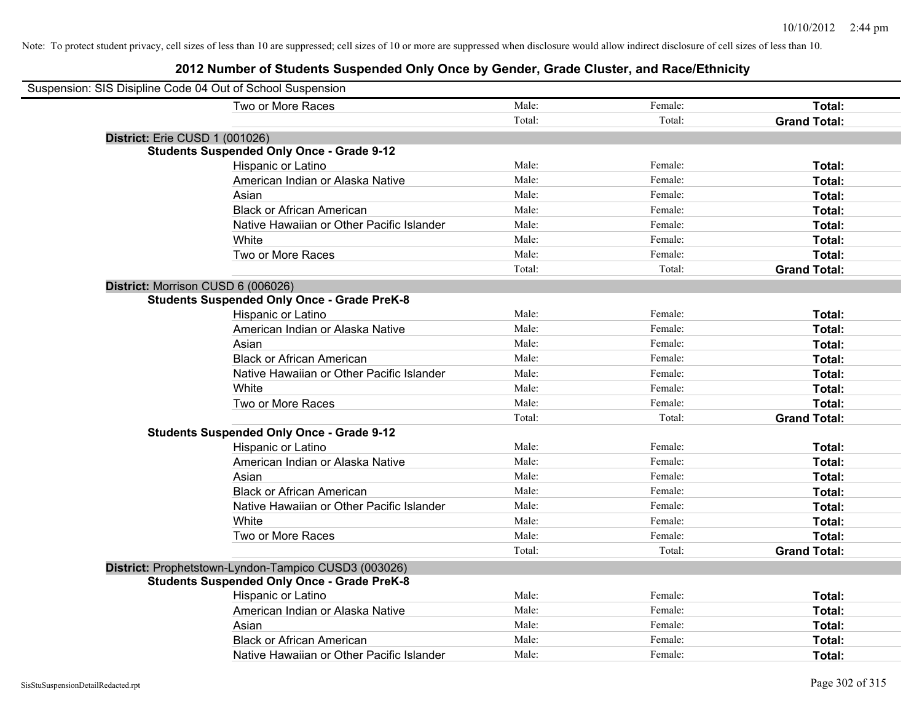| Suspension: SIS Disipline Code 04 Out of School Suspension |                                                      |        |         |                     |
|------------------------------------------------------------|------------------------------------------------------|--------|---------|---------------------|
|                                                            | Two or More Races                                    | Male:  | Female: | Total:              |
|                                                            |                                                      | Total: | Total:  | <b>Grand Total:</b> |
| District: Erie CUSD 1 (001026)                             |                                                      |        |         |                     |
|                                                            | <b>Students Suspended Only Once - Grade 9-12</b>     |        |         |                     |
|                                                            | Hispanic or Latino                                   | Male:  | Female: | Total:              |
|                                                            | American Indian or Alaska Native                     | Male:  | Female: | Total:              |
|                                                            | Asian                                                | Male:  | Female: | Total:              |
|                                                            | <b>Black or African American</b>                     | Male:  | Female: | Total:              |
|                                                            | Native Hawaiian or Other Pacific Islander            | Male:  | Female: | Total:              |
|                                                            | White                                                | Male:  | Female: | Total:              |
|                                                            | Two or More Races                                    | Male:  | Female: | Total:              |
|                                                            |                                                      | Total: | Total:  | <b>Grand Total:</b> |
| District: Morrison CUSD 6 (006026)                         |                                                      |        |         |                     |
|                                                            | <b>Students Suspended Only Once - Grade PreK-8</b>   |        |         |                     |
|                                                            | Hispanic or Latino                                   | Male:  | Female: | Total:              |
|                                                            | American Indian or Alaska Native                     | Male:  | Female: | Total:              |
|                                                            | Asian                                                | Male:  | Female: | Total:              |
|                                                            | <b>Black or African American</b>                     | Male:  | Female: | Total:              |
|                                                            | Native Hawaiian or Other Pacific Islander            | Male:  | Female: | Total:              |
|                                                            | White                                                | Male:  | Female: | Total:              |
|                                                            | Two or More Races                                    | Male:  | Female: | Total:              |
|                                                            |                                                      | Total: | Total:  | <b>Grand Total:</b> |
|                                                            | <b>Students Suspended Only Once - Grade 9-12</b>     |        |         |                     |
|                                                            | Hispanic or Latino                                   | Male:  | Female: | Total:              |
|                                                            | American Indian or Alaska Native                     | Male:  | Female: | Total:              |
|                                                            | Asian                                                | Male:  | Female: | Total:              |
|                                                            | <b>Black or African American</b>                     | Male:  | Female: | Total:              |
|                                                            | Native Hawaiian or Other Pacific Islander            | Male:  | Female: | Total:              |
|                                                            | White                                                | Male:  | Female: | Total:              |
|                                                            | Two or More Races                                    | Male:  | Female: | Total:              |
|                                                            |                                                      | Total: | Total:  | <b>Grand Total:</b> |
|                                                            | District: Prophetstown-Lyndon-Tampico CUSD3 (003026) |        |         |                     |
|                                                            | <b>Students Suspended Only Once - Grade PreK-8</b>   |        |         |                     |
|                                                            | Hispanic or Latino                                   | Male:  | Female: | Total:              |
|                                                            | American Indian or Alaska Native                     | Male:  | Female: | Total:              |
|                                                            | Asian                                                | Male:  | Female: | Total:              |
|                                                            | <b>Black or African American</b>                     | Male:  | Female: | Total:              |
|                                                            | Native Hawaiian or Other Pacific Islander            | Male:  | Female: | Total:              |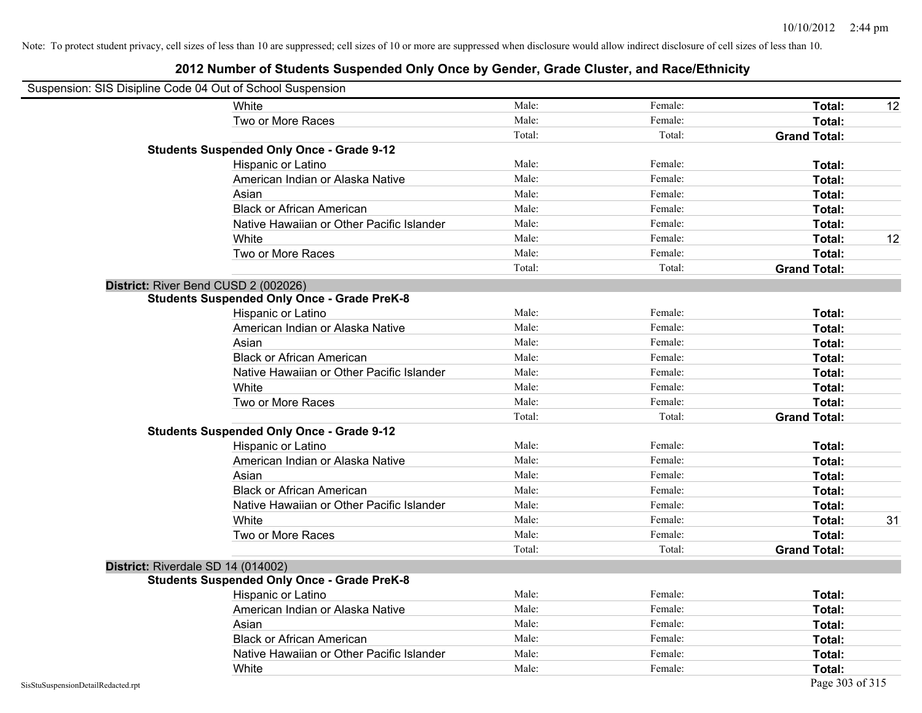|                                    | Suspension: SIS Disipline Code 04 Out of School Suspension |        |         |                     |    |
|------------------------------------|------------------------------------------------------------|--------|---------|---------------------|----|
|                                    | White                                                      | Male:  | Female: | Total:              | 12 |
|                                    | Two or More Races                                          | Male:  | Female: | Total:              |    |
|                                    |                                                            | Total: | Total:  | <b>Grand Total:</b> |    |
|                                    | <b>Students Suspended Only Once - Grade 9-12</b>           |        |         |                     |    |
|                                    | Hispanic or Latino                                         | Male:  | Female: | Total:              |    |
|                                    | American Indian or Alaska Native                           | Male:  | Female: | Total:              |    |
|                                    | Asian                                                      | Male:  | Female: | Total:              |    |
|                                    | <b>Black or African American</b>                           | Male:  | Female: | Total:              |    |
|                                    | Native Hawaiian or Other Pacific Islander                  | Male:  | Female: | Total:              |    |
|                                    | White                                                      | Male:  | Female: | Total:              | 12 |
|                                    | Two or More Races                                          | Male:  | Female: | Total:              |    |
|                                    |                                                            | Total: | Total:  | <b>Grand Total:</b> |    |
|                                    | District: River Bend CUSD 2 (002026)                       |        |         |                     |    |
|                                    | <b>Students Suspended Only Once - Grade PreK-8</b>         |        |         |                     |    |
|                                    | Hispanic or Latino                                         | Male:  | Female: | Total:              |    |
|                                    | American Indian or Alaska Native                           | Male:  | Female: | Total:              |    |
|                                    | Asian                                                      | Male:  | Female: | Total:              |    |
|                                    | <b>Black or African American</b>                           | Male:  | Female: | Total:              |    |
|                                    | Native Hawaiian or Other Pacific Islander                  | Male:  | Female: | Total:              |    |
|                                    | White                                                      | Male:  | Female: | Total:              |    |
|                                    | Two or More Races                                          | Male:  | Female: | Total:              |    |
|                                    |                                                            | Total: | Total:  | <b>Grand Total:</b> |    |
|                                    | <b>Students Suspended Only Once - Grade 9-12</b>           |        |         |                     |    |
|                                    | Hispanic or Latino                                         | Male:  | Female: | Total:              |    |
|                                    | American Indian or Alaska Native                           | Male:  | Female: | Total:              |    |
|                                    | Asian                                                      | Male:  | Female: | Total:              |    |
|                                    | <b>Black or African American</b>                           | Male:  | Female: | Total:              |    |
|                                    | Native Hawaiian or Other Pacific Islander                  | Male:  | Female: | Total:              |    |
|                                    | White                                                      | Male:  | Female: | Total:              | 31 |
|                                    | Two or More Races                                          | Male:  | Female: | Total:              |    |
|                                    |                                                            | Total: | Total:  | <b>Grand Total:</b> |    |
|                                    | District: Riverdale SD 14 (014002)                         |        |         |                     |    |
|                                    | <b>Students Suspended Only Once - Grade PreK-8</b>         |        |         |                     |    |
|                                    | <b>Hispanic or Latino</b>                                  | Male:  | Female: | Total:              |    |
|                                    | American Indian or Alaska Native                           | Male:  | Female: | Total:              |    |
|                                    | Asian                                                      | Male:  | Female: | Total:              |    |
|                                    | <b>Black or African American</b>                           | Male:  | Female: | Total:              |    |
|                                    | Native Hawaiian or Other Pacific Islander                  | Male:  | Female: | Total:              |    |
|                                    | White                                                      | Male:  | Female: | Total:              |    |
| SisStuSuspensionDetailRedacted.rpt |                                                            |        |         | Page 303 of 315     |    |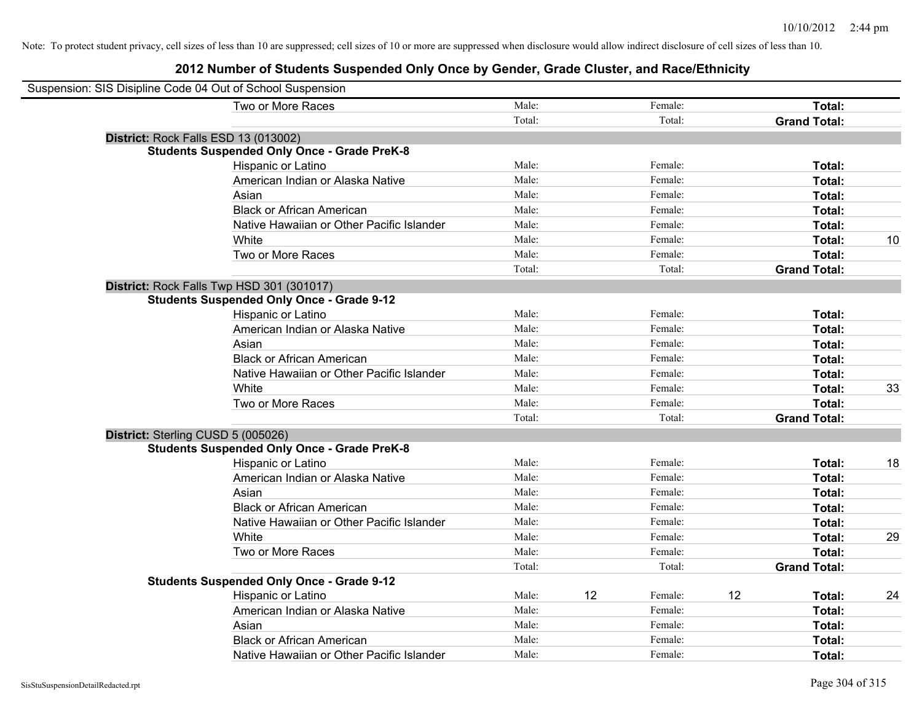| Suspension: SIS Disipline Code 04 Out of School Suspension |                                                    |        |    |         |    |                     |    |
|------------------------------------------------------------|----------------------------------------------------|--------|----|---------|----|---------------------|----|
|                                                            | Two or More Races                                  | Male:  |    | Female: |    | Total:              |    |
|                                                            |                                                    | Total: |    | Total:  |    | <b>Grand Total:</b> |    |
| District: Rock Falls ESD 13 (013002)                       |                                                    |        |    |         |    |                     |    |
|                                                            | <b>Students Suspended Only Once - Grade PreK-8</b> |        |    |         |    |                     |    |
|                                                            | Hispanic or Latino                                 | Male:  |    | Female: |    | Total:              |    |
|                                                            | American Indian or Alaska Native                   | Male:  |    | Female: |    | Total:              |    |
|                                                            | Asian                                              | Male:  |    | Female: |    | Total:              |    |
|                                                            | <b>Black or African American</b>                   | Male:  |    | Female: |    | Total:              |    |
|                                                            | Native Hawaiian or Other Pacific Islander          | Male:  |    | Female: |    | Total:              |    |
|                                                            | White                                              | Male:  |    | Female: |    | Total:              | 10 |
|                                                            | Two or More Races                                  | Male:  |    | Female: |    | <b>Total:</b>       |    |
|                                                            |                                                    | Total: |    | Total:  |    | <b>Grand Total:</b> |    |
|                                                            | District: Rock Falls Twp HSD 301 (301017)          |        |    |         |    |                     |    |
|                                                            | <b>Students Suspended Only Once - Grade 9-12</b>   |        |    |         |    |                     |    |
|                                                            | Hispanic or Latino                                 | Male:  |    | Female: |    | Total:              |    |
|                                                            | American Indian or Alaska Native                   | Male:  |    | Female: |    | Total:              |    |
|                                                            | Asian                                              | Male:  |    | Female: |    | Total:              |    |
|                                                            | <b>Black or African American</b>                   | Male:  |    | Female: |    | Total:              |    |
|                                                            | Native Hawaiian or Other Pacific Islander          | Male:  |    | Female: |    | Total:              |    |
|                                                            | White                                              | Male:  |    | Female: |    | Total:              | 33 |
|                                                            | Two or More Races                                  | Male:  |    | Female: |    | Total:              |    |
|                                                            |                                                    | Total: |    | Total:  |    | <b>Grand Total:</b> |    |
| District: Sterling CUSD 5 (005026)                         |                                                    |        |    |         |    |                     |    |
|                                                            | <b>Students Suspended Only Once - Grade PreK-8</b> |        |    |         |    |                     |    |
|                                                            | Hispanic or Latino                                 | Male:  |    | Female: |    | Total:              | 18 |
|                                                            | American Indian or Alaska Native                   | Male:  |    | Female: |    | Total:              |    |
|                                                            | Asian                                              | Male:  |    | Female: |    | Total:              |    |
|                                                            | <b>Black or African American</b>                   | Male:  |    | Female: |    | Total:              |    |
|                                                            | Native Hawaiian or Other Pacific Islander          | Male:  |    | Female: |    | Total:              |    |
|                                                            | <b>White</b>                                       | Male:  |    | Female: |    | Total:              | 29 |
|                                                            | Two or More Races                                  | Male:  |    | Female: |    | Total:              |    |
|                                                            |                                                    | Total: |    | Total:  |    | <b>Grand Total:</b> |    |
|                                                            | <b>Students Suspended Only Once - Grade 9-12</b>   |        |    |         |    |                     |    |
|                                                            | Hispanic or Latino                                 | Male:  | 12 | Female: | 12 | Total:              | 24 |
|                                                            | American Indian or Alaska Native                   | Male:  |    | Female: |    | Total:              |    |
|                                                            | Asian                                              | Male:  |    | Female: |    | Total:              |    |
|                                                            | <b>Black or African American</b>                   | Male:  |    | Female: |    | Total:              |    |
|                                                            | Native Hawaiian or Other Pacific Islander          | Male:  |    | Female: |    | Total:              |    |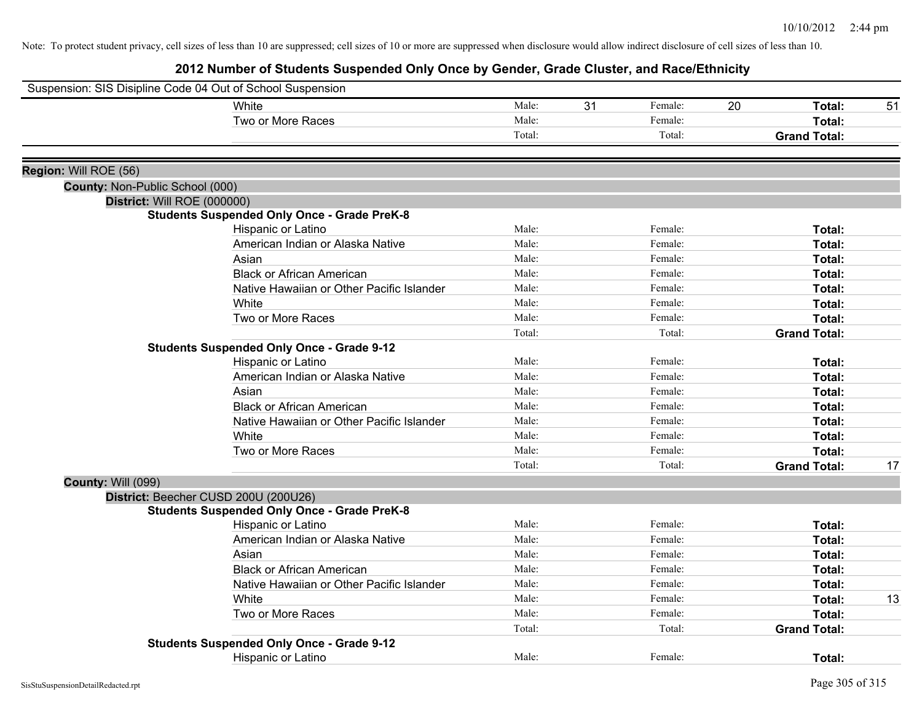|                                 | Suspension: SIS Disipline Code 04 Out of School Suspension |                 |    |         |                     |    |
|---------------------------------|------------------------------------------------------------|-----------------|----|---------|---------------------|----|
|                                 | White                                                      | Male:           | 31 | Female: | 20<br>Total:        | 51 |
|                                 | Two or More Races                                          | Male:           |    | Female: | Total:              |    |
|                                 |                                                            | Total:          |    | Total:  | <b>Grand Total:</b> |    |
|                                 |                                                            |                 |    |         |                     |    |
| Region: Will ROE (56)           |                                                            |                 |    |         |                     |    |
| County: Non-Public School (000) |                                                            |                 |    |         |                     |    |
| District: Will ROE (000000)     |                                                            |                 |    |         |                     |    |
|                                 | <b>Students Suspended Only Once - Grade PreK-8</b>         | Male:           |    | Female: | Total:              |    |
|                                 | Hispanic or Latino<br>American Indian or Alaska Native     | Male:           |    | Female: | Total:              |    |
|                                 | Asian                                                      | Male:           |    | Female: | Total:              |    |
|                                 | <b>Black or African American</b>                           | Male:           |    | Female: | Total:              |    |
|                                 | Native Hawaiian or Other Pacific Islander                  | Male:           |    | Female: | Total:              |    |
|                                 |                                                            | Male:           |    | Female: |                     |    |
|                                 | White                                                      |                 |    |         | Total:              |    |
|                                 | Two or More Races                                          | Male:<br>Total: |    | Female: | Total:              |    |
|                                 | <b>Students Suspended Only Once - Grade 9-12</b>           |                 |    | Total:  | <b>Grand Total:</b> |    |
|                                 |                                                            | Male:           |    | Female: | Total:              |    |
|                                 | Hispanic or Latino                                         | Male:           |    | Female: |                     |    |
|                                 | American Indian or Alaska Native                           | Male:           |    |         | Total:              |    |
|                                 | Asian                                                      | Male:           |    | Female: | Total:              |    |
|                                 | <b>Black or African American</b>                           |                 |    | Female: | Total:              |    |
|                                 | Native Hawaiian or Other Pacific Islander                  | Male:           |    | Female: | Total:              |    |
|                                 | White                                                      | Male:           |    | Female: | Total:              |    |
|                                 | Two or More Races                                          | Male:           |    | Female: | Total:              |    |
|                                 |                                                            | Total:          |    | Total:  | <b>Grand Total:</b> | 17 |
| <b>County: Will (099)</b>       |                                                            |                 |    |         |                     |    |
|                                 | District: Beecher CUSD 200U (200U26)                       |                 |    |         |                     |    |
|                                 | <b>Students Suspended Only Once - Grade PreK-8</b>         |                 |    |         |                     |    |
|                                 | Hispanic or Latino                                         | Male:           |    | Female: | Total:              |    |
|                                 | American Indian or Alaska Native                           | Male:           |    | Female: | Total:              |    |
|                                 | Asian                                                      | Male:           |    | Female: | Total:              |    |
|                                 | <b>Black or African American</b>                           | Male:           |    | Female: | Total:              |    |
|                                 | Native Hawaiian or Other Pacific Islander                  | Male:           |    | Female: | Total:              |    |
|                                 | White                                                      | Male:           |    | Female: | Total:              | 13 |
|                                 | Two or More Races                                          | Male:           |    | Female: | Total:              |    |
|                                 |                                                            | Total:          |    | Total:  | <b>Grand Total:</b> |    |
|                                 | <b>Students Suspended Only Once - Grade 9-12</b>           |                 |    |         |                     |    |
|                                 | Hispanic or Latino                                         | Male:           |    | Female: | Total:              |    |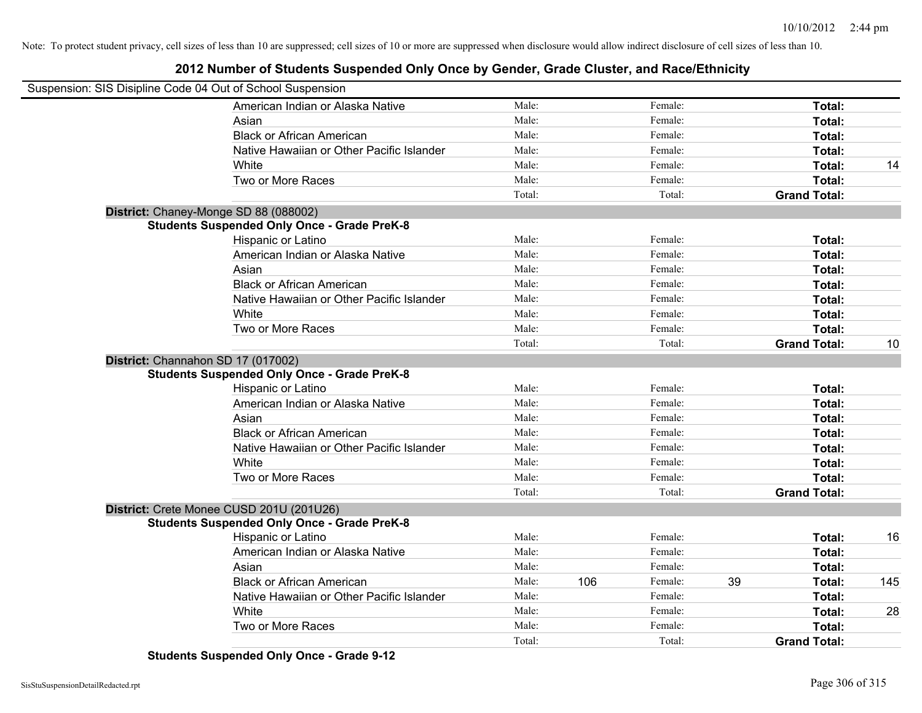# **2012 Number of Students Suspended Only Once by Gender, Grade Cluster, and Race/Ethnicity**

| Suspension: SIS Disipline Code 04 Out of School Suspension |                                                    |        |     |         |    |                     |     |
|------------------------------------------------------------|----------------------------------------------------|--------|-----|---------|----|---------------------|-----|
|                                                            | American Indian or Alaska Native                   | Male:  |     | Female: |    | Total:              |     |
|                                                            | Asian                                              | Male:  |     | Female: |    | Total:              |     |
|                                                            | <b>Black or African American</b>                   | Male:  |     | Female: |    | Total:              |     |
|                                                            | Native Hawaiian or Other Pacific Islander          | Male:  |     | Female: |    | Total:              |     |
|                                                            | White                                              | Male:  |     | Female: |    | Total:              | 14  |
|                                                            | Two or More Races                                  | Male:  |     | Female: |    | Total:              |     |
|                                                            |                                                    | Total: |     | Total:  |    | <b>Grand Total:</b> |     |
|                                                            | District: Chaney-Monge SD 88 (088002)              |        |     |         |    |                     |     |
|                                                            | <b>Students Suspended Only Once - Grade PreK-8</b> |        |     |         |    |                     |     |
|                                                            | Hispanic or Latino                                 | Male:  |     | Female: |    | Total:              |     |
|                                                            | American Indian or Alaska Native                   | Male:  |     | Female: |    | Total:              |     |
|                                                            | Asian                                              | Male:  |     | Female: |    | Total:              |     |
|                                                            | <b>Black or African American</b>                   | Male:  |     | Female: |    | Total:              |     |
|                                                            | Native Hawaiian or Other Pacific Islander          | Male:  |     | Female: |    | Total:              |     |
|                                                            | White                                              | Male:  |     | Female: |    | Total:              |     |
|                                                            | Two or More Races                                  | Male:  |     | Female: |    | Total:              |     |
|                                                            |                                                    | Total: |     | Total:  |    | <b>Grand Total:</b> | 10  |
|                                                            | District: Channahon SD 17 (017002)                 |        |     |         |    |                     |     |
|                                                            | <b>Students Suspended Only Once - Grade PreK-8</b> |        |     |         |    |                     |     |
|                                                            | <b>Hispanic or Latino</b>                          | Male:  |     | Female: |    | Total:              |     |
|                                                            | American Indian or Alaska Native                   | Male:  |     | Female: |    | Total:              |     |
|                                                            | Asian                                              | Male:  |     | Female: |    | Total:              |     |
|                                                            | <b>Black or African American</b>                   | Male:  |     | Female: |    | Total:              |     |
|                                                            | Native Hawaiian or Other Pacific Islander          | Male:  |     | Female: |    | Total:              |     |
|                                                            | White                                              | Male:  |     | Female: |    | Total:              |     |
|                                                            | Two or More Races                                  | Male:  |     | Female: |    | Total:              |     |
|                                                            |                                                    | Total: |     | Total:  |    | <b>Grand Total:</b> |     |
|                                                            | District: Crete Monee CUSD 201U (201U26)           |        |     |         |    |                     |     |
|                                                            | <b>Students Suspended Only Once - Grade PreK-8</b> |        |     |         |    |                     |     |
|                                                            | Hispanic or Latino                                 | Male:  |     | Female: |    | Total:              | 16  |
|                                                            | American Indian or Alaska Native                   | Male:  |     | Female: |    | Total:              |     |
|                                                            | Asian                                              | Male:  |     | Female: |    | Total:              |     |
|                                                            | <b>Black or African American</b>                   | Male:  | 106 | Female: | 39 | Total:              | 145 |
|                                                            | Native Hawaiian or Other Pacific Islander          | Male:  |     | Female: |    | Total:              |     |
|                                                            | White                                              | Male:  |     | Female: |    | Total:              | 28  |
|                                                            | Two or More Races                                  | Male:  |     | Female: |    | Total:              |     |
|                                                            |                                                    | Total: |     | Total:  |    | <b>Grand Total:</b> |     |

**Students Suspended Only Once - Grade 9-12**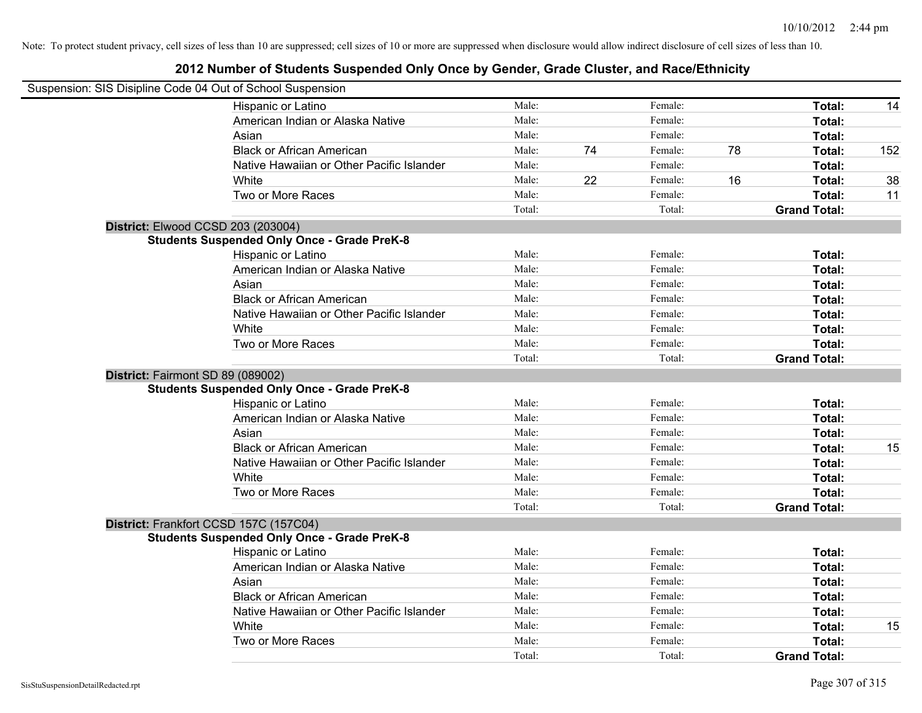| Suspension: SIS Disipline Code 04 Out of School Suspension |        |    |         |    |                     |     |
|------------------------------------------------------------|--------|----|---------|----|---------------------|-----|
| Hispanic or Latino                                         | Male:  |    | Female: |    | Total:              | 14  |
| American Indian or Alaska Native                           | Male:  |    | Female: |    | Total:              |     |
| Asian                                                      | Male:  |    | Female: |    | Total:              |     |
| <b>Black or African American</b>                           | Male:  | 74 | Female: | 78 | Total:              | 152 |
| Native Hawaiian or Other Pacific Islander                  | Male:  |    | Female: |    | Total:              |     |
| White                                                      | Male:  | 22 | Female: | 16 | Total:              | 38  |
| Two or More Races                                          | Male:  |    | Female: |    | Total:              | 11  |
|                                                            | Total: |    | Total:  |    | <b>Grand Total:</b> |     |
| District: Elwood CCSD 203 (203004)                         |        |    |         |    |                     |     |
| <b>Students Suspended Only Once - Grade PreK-8</b>         |        |    |         |    |                     |     |
| Hispanic or Latino                                         | Male:  |    | Female: |    | Total:              |     |
| American Indian or Alaska Native                           | Male:  |    | Female: |    | Total:              |     |
| Asian                                                      | Male:  |    | Female: |    | Total:              |     |
| <b>Black or African American</b>                           | Male:  |    | Female: |    | Total:              |     |
| Native Hawaiian or Other Pacific Islander                  | Male:  |    | Female: |    | Total:              |     |
| White                                                      | Male:  |    | Female: |    | Total:              |     |
| Two or More Races                                          | Male:  |    | Female: |    | Total:              |     |
|                                                            | Total: |    | Total:  |    | <b>Grand Total:</b> |     |
| District: Fairmont SD 89 (089002)                          |        |    |         |    |                     |     |
| <b>Students Suspended Only Once - Grade PreK-8</b>         |        |    |         |    |                     |     |
| Hispanic or Latino                                         | Male:  |    | Female: |    | Total:              |     |
| American Indian or Alaska Native                           | Male:  |    | Female: |    | Total:              |     |
| Asian                                                      | Male:  |    | Female: |    | Total:              |     |
| <b>Black or African American</b>                           | Male:  |    | Female: |    | Total:              | 15  |
| Native Hawaiian or Other Pacific Islander                  | Male:  |    | Female: |    | Total:              |     |
| White                                                      | Male:  |    | Female: |    | Total:              |     |
| Two or More Races                                          | Male:  |    | Female: |    | Total:              |     |
|                                                            | Total: |    | Total:  |    | <b>Grand Total:</b> |     |
| District: Frankfort CCSD 157C (157C04)                     |        |    |         |    |                     |     |
| <b>Students Suspended Only Once - Grade PreK-8</b>         |        |    |         |    |                     |     |
| Hispanic or Latino                                         | Male:  |    | Female: |    | Total:              |     |
| American Indian or Alaska Native                           | Male:  |    | Female: |    | Total:              |     |
| Asian                                                      | Male:  |    | Female: |    | Total:              |     |
| <b>Black or African American</b>                           | Male:  |    | Female: |    | Total:              |     |
| Native Hawaiian or Other Pacific Islander                  | Male:  |    | Female: |    | Total:              |     |
| White                                                      | Male:  |    | Female: |    | Total:              | 15  |
| Two or More Races                                          | Male:  |    | Female: |    | Total:              |     |
|                                                            | Total: |    | Total:  |    | <b>Grand Total:</b> |     |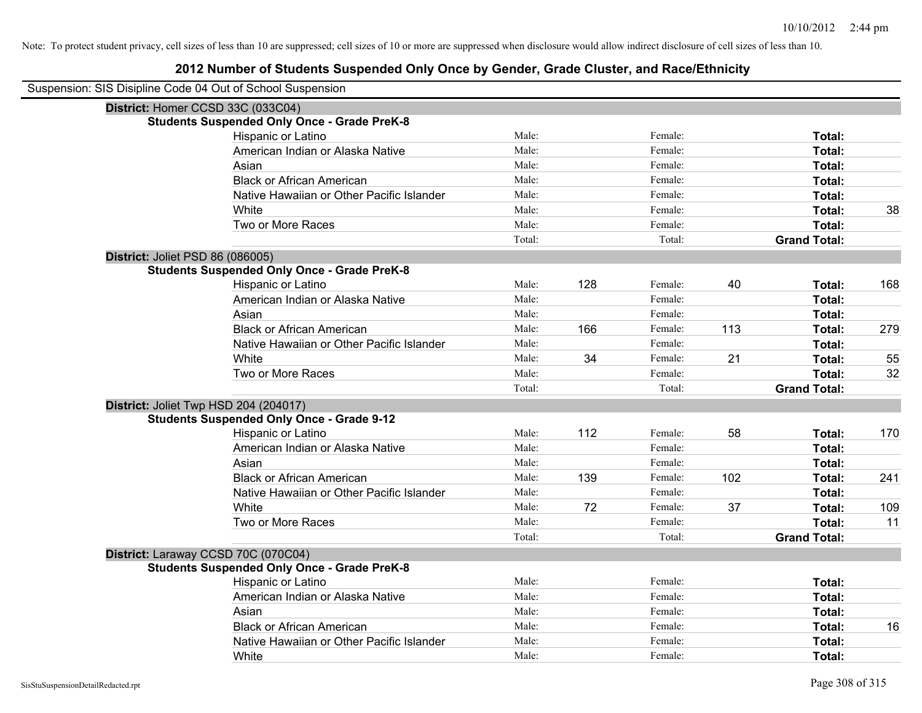| Suspension: SIS Disipline Code 04 Out of School Suspension |                                                    |        |     |         |     |                     |     |
|------------------------------------------------------------|----------------------------------------------------|--------|-----|---------|-----|---------------------|-----|
|                                                            | District: Homer CCSD 33C (033C04)                  |        |     |         |     |                     |     |
|                                                            | <b>Students Suspended Only Once - Grade PreK-8</b> |        |     |         |     |                     |     |
|                                                            | Hispanic or Latino                                 | Male:  |     | Female: |     | Total:              |     |
|                                                            | American Indian or Alaska Native                   | Male:  |     | Female: |     | Total:              |     |
|                                                            | Asian                                              | Male:  |     | Female: |     | Total:              |     |
|                                                            | <b>Black or African American</b>                   | Male:  |     | Female: |     | Total:              |     |
|                                                            | Native Hawaiian or Other Pacific Islander          | Male:  |     | Female: |     | Total:              |     |
|                                                            | White                                              | Male:  |     | Female: |     | Total:              | 38  |
|                                                            | Two or More Races                                  | Male:  |     | Female: |     | Total:              |     |
|                                                            |                                                    | Total: |     | Total:  |     | <b>Grand Total:</b> |     |
|                                                            | District: Joliet PSD 86 (086005)                   |        |     |         |     |                     |     |
|                                                            | <b>Students Suspended Only Once - Grade PreK-8</b> |        |     |         |     |                     |     |
|                                                            | Hispanic or Latino                                 | Male:  | 128 | Female: | 40  | Total:              | 168 |
|                                                            | American Indian or Alaska Native                   | Male:  |     | Female: |     | Total:              |     |
|                                                            | Asian                                              | Male:  |     | Female: |     | Total:              |     |
|                                                            | <b>Black or African American</b>                   | Male:  | 166 | Female: | 113 | Total:              | 279 |
|                                                            | Native Hawaiian or Other Pacific Islander          | Male:  |     | Female: |     | Total:              |     |
|                                                            | White                                              | Male:  | 34  | Female: | 21  | Total:              | 55  |
|                                                            | Two or More Races                                  | Male:  |     | Female: |     | Total:              | 32  |
|                                                            |                                                    | Total: |     | Total:  |     | <b>Grand Total:</b> |     |
|                                                            | District: Joliet Twp HSD 204 (204017)              |        |     |         |     |                     |     |
|                                                            | <b>Students Suspended Only Once - Grade 9-12</b>   |        |     |         |     |                     |     |
|                                                            | Hispanic or Latino                                 | Male:  | 112 | Female: | 58  | Total:              | 170 |
|                                                            | American Indian or Alaska Native                   | Male:  |     | Female: |     | Total:              |     |
|                                                            | Asian                                              | Male:  |     | Female: |     | Total:              |     |
|                                                            | <b>Black or African American</b>                   | Male:  | 139 | Female: | 102 | Total:              | 241 |
|                                                            | Native Hawaiian or Other Pacific Islander          | Male:  |     | Female: |     | Total:              |     |
|                                                            | White                                              | Male:  | 72  | Female: | 37  | Total:              | 109 |
|                                                            | Two or More Races                                  | Male:  |     | Female: |     | Total:              | 11  |
|                                                            |                                                    | Total: |     | Total:  |     | <b>Grand Total:</b> |     |
|                                                            | District: Laraway CCSD 70C (070C04)                |        |     |         |     |                     |     |
|                                                            | <b>Students Suspended Only Once - Grade PreK-8</b> |        |     |         |     |                     |     |
|                                                            | Hispanic or Latino                                 | Male:  |     | Female: |     | Total:              |     |
|                                                            | American Indian or Alaska Native                   | Male:  |     | Female: |     | Total:              |     |
|                                                            | Asian                                              | Male:  |     | Female: |     | Total:              |     |
|                                                            | <b>Black or African American</b>                   | Male:  |     | Female: |     | Total:              | 16  |
|                                                            | Native Hawaiian or Other Pacific Islander          | Male:  |     | Female: |     | Total:              |     |
|                                                            | White                                              | Male:  |     | Female: |     | Total:              |     |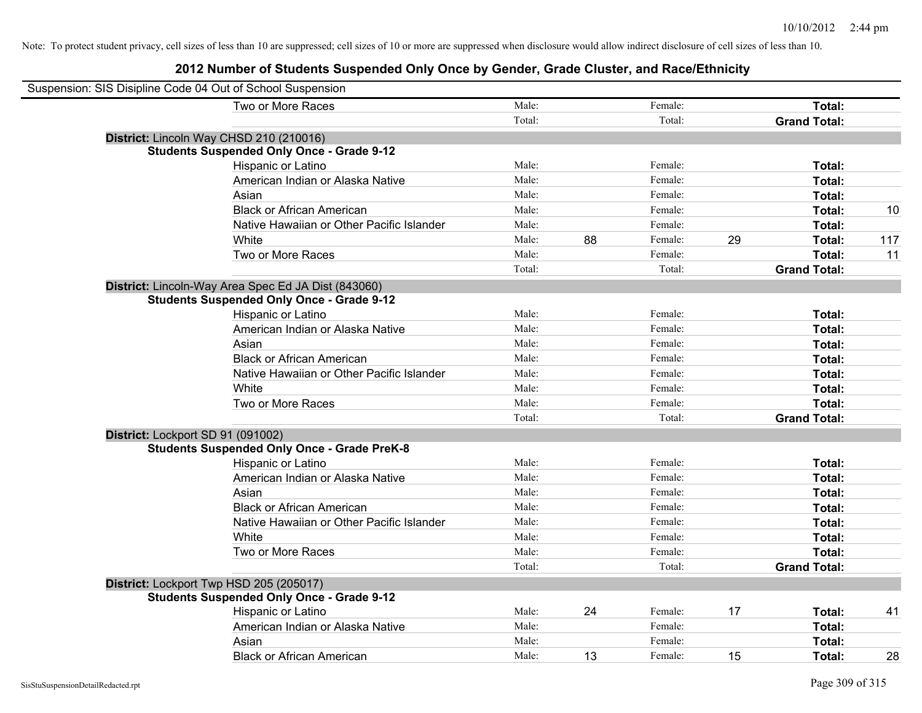| Suspension: SIS Disipline Code 04 Out of School Suspension |        |    |         |    |                     |     |
|------------------------------------------------------------|--------|----|---------|----|---------------------|-----|
| Two or More Races                                          | Male:  |    | Female: |    | Total:              |     |
|                                                            | Total: |    | Total:  |    | <b>Grand Total:</b> |     |
| District: Lincoln Way CHSD 210 (210016)                    |        |    |         |    |                     |     |
| <b>Students Suspended Only Once - Grade 9-12</b>           |        |    |         |    |                     |     |
| Hispanic or Latino                                         | Male:  |    | Female: |    | Total:              |     |
| American Indian or Alaska Native                           | Male:  |    | Female: |    | Total:              |     |
| Asian                                                      | Male:  |    | Female: |    | Total:              |     |
| <b>Black or African American</b>                           | Male:  |    | Female: |    | Total:              | 10  |
| Native Hawaiian or Other Pacific Islander                  | Male:  |    | Female: |    | Total:              |     |
| White                                                      | Male:  | 88 | Female: | 29 | Total:              | 117 |
| Two or More Races                                          | Male:  |    | Female: |    | Total:              | 11  |
|                                                            | Total: |    | Total:  |    | <b>Grand Total:</b> |     |
| District: Lincoln-Way Area Spec Ed JA Dist (843060)        |        |    |         |    |                     |     |
| <b>Students Suspended Only Once - Grade 9-12</b>           |        |    |         |    |                     |     |
| Hispanic or Latino                                         | Male:  |    | Female: |    | Total:              |     |
| American Indian or Alaska Native                           | Male:  |    | Female: |    | Total:              |     |
| Asian                                                      | Male:  |    | Female: |    | Total:              |     |
| <b>Black or African American</b>                           | Male:  |    | Female: |    | Total:              |     |
| Native Hawaiian or Other Pacific Islander                  | Male:  |    | Female: |    | Total:              |     |
| White                                                      | Male:  |    | Female: |    | Total:              |     |
| Two or More Races                                          | Male:  |    | Female: |    | Total:              |     |
|                                                            | Total: |    | Total:  |    | <b>Grand Total:</b> |     |
| District: Lockport SD 91 (091002)                          |        |    |         |    |                     |     |
| <b>Students Suspended Only Once - Grade PreK-8</b>         |        |    |         |    |                     |     |
| Hispanic or Latino                                         | Male:  |    | Female: |    | Total:              |     |
| American Indian or Alaska Native                           | Male:  |    | Female: |    | Total:              |     |
| Asian                                                      | Male:  |    | Female: |    | Total:              |     |
| <b>Black or African American</b>                           | Male:  |    | Female: |    | Total:              |     |
| Native Hawaiian or Other Pacific Islander                  | Male:  |    | Female: |    | Total:              |     |
| White                                                      | Male:  |    | Female: |    | Total:              |     |
| Two or More Races                                          | Male:  |    | Female: |    | Total:              |     |
|                                                            | Total: |    | Total:  |    | <b>Grand Total:</b> |     |
| District: Lockport Twp HSD 205 (205017)                    |        |    |         |    |                     |     |
| <b>Students Suspended Only Once - Grade 9-12</b>           |        |    |         |    |                     |     |
| Hispanic or Latino                                         | Male:  | 24 | Female: | 17 | Total:              | 41  |
| American Indian or Alaska Native                           | Male:  |    | Female: |    | Total:              |     |
| Asian                                                      | Male:  |    | Female: |    | Total:              |     |
| <b>Black or African American</b>                           | Male:  | 13 | Female: | 15 | Total:              | 28  |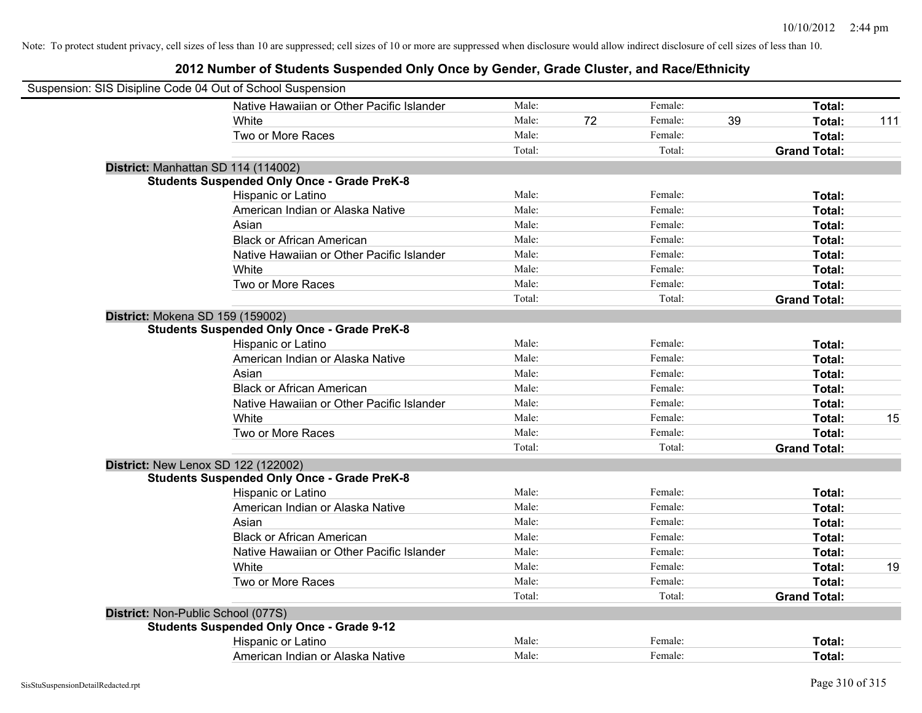| Suspension: SIS Disipline Code 04 Out of School Suspension |                                                    |        |    |         |    |                     |     |
|------------------------------------------------------------|----------------------------------------------------|--------|----|---------|----|---------------------|-----|
|                                                            | Native Hawaiian or Other Pacific Islander          | Male:  |    | Female: |    | Total:              |     |
|                                                            | White                                              | Male:  | 72 | Female: | 39 | Total:              | 111 |
|                                                            | Two or More Races                                  | Male:  |    | Female: |    | Total:              |     |
|                                                            |                                                    | Total: |    | Total:  |    | <b>Grand Total:</b> |     |
|                                                            | District: Manhattan SD 114 (114002)                |        |    |         |    |                     |     |
|                                                            | <b>Students Suspended Only Once - Grade PreK-8</b> |        |    |         |    |                     |     |
|                                                            | Hispanic or Latino                                 | Male:  |    | Female: |    | Total:              |     |
|                                                            | American Indian or Alaska Native                   | Male:  |    | Female: |    | Total:              |     |
|                                                            | Asian                                              | Male:  |    | Female: |    | Total:              |     |
|                                                            | <b>Black or African American</b>                   | Male:  |    | Female: |    | Total:              |     |
|                                                            | Native Hawaiian or Other Pacific Islander          | Male:  |    | Female: |    | Total:              |     |
|                                                            | White                                              | Male:  |    | Female: |    | Total:              |     |
|                                                            | Two or More Races                                  | Male:  |    | Female: |    | Total:              |     |
|                                                            |                                                    | Total: |    | Total:  |    | <b>Grand Total:</b> |     |
| District: Mokena SD 159 (159002)                           |                                                    |        |    |         |    |                     |     |
|                                                            | <b>Students Suspended Only Once - Grade PreK-8</b> |        |    |         |    |                     |     |
|                                                            | Hispanic or Latino                                 | Male:  |    | Female: |    | Total:              |     |
|                                                            | American Indian or Alaska Native                   | Male:  |    | Female: |    | Total:              |     |
|                                                            | Asian                                              | Male:  |    | Female: |    | Total:              |     |
|                                                            | <b>Black or African American</b>                   | Male:  |    | Female: |    | Total:              |     |
|                                                            | Native Hawaiian or Other Pacific Islander          | Male:  |    | Female: |    | Total:              |     |
|                                                            | White                                              | Male:  |    | Female: |    | Total:              | 15  |
|                                                            | Two or More Races                                  | Male:  |    | Female: |    | Total:              |     |
|                                                            |                                                    | Total: |    | Total:  |    | <b>Grand Total:</b> |     |
|                                                            | District: New Lenox SD 122 (122002)                |        |    |         |    |                     |     |
|                                                            | <b>Students Suspended Only Once - Grade PreK-8</b> |        |    |         |    |                     |     |
|                                                            | Hispanic or Latino                                 | Male:  |    | Female: |    | Total:              |     |
|                                                            | American Indian or Alaska Native                   | Male:  |    | Female: |    | Total:              |     |
|                                                            | Asian                                              | Male:  |    | Female: |    | Total:              |     |
|                                                            | <b>Black or African American</b>                   | Male:  |    | Female: |    | Total:              |     |
|                                                            | Native Hawaiian or Other Pacific Islander          | Male:  |    | Female: |    | Total:              |     |
|                                                            | White                                              | Male:  |    | Female: |    | Total:              | 19  |
|                                                            | Two or More Races                                  | Male:  |    | Female: |    | Total:              |     |
|                                                            |                                                    | Total: |    | Total:  |    | <b>Grand Total:</b> |     |
| District: Non-Public School (077S)                         |                                                    |        |    |         |    |                     |     |
|                                                            | <b>Students Suspended Only Once - Grade 9-12</b>   |        |    |         |    |                     |     |
|                                                            | Hispanic or Latino                                 | Male:  |    | Female: |    | Total:              |     |
|                                                            | American Indian or Alaska Native                   | Male:  |    | Female: |    | Total:              |     |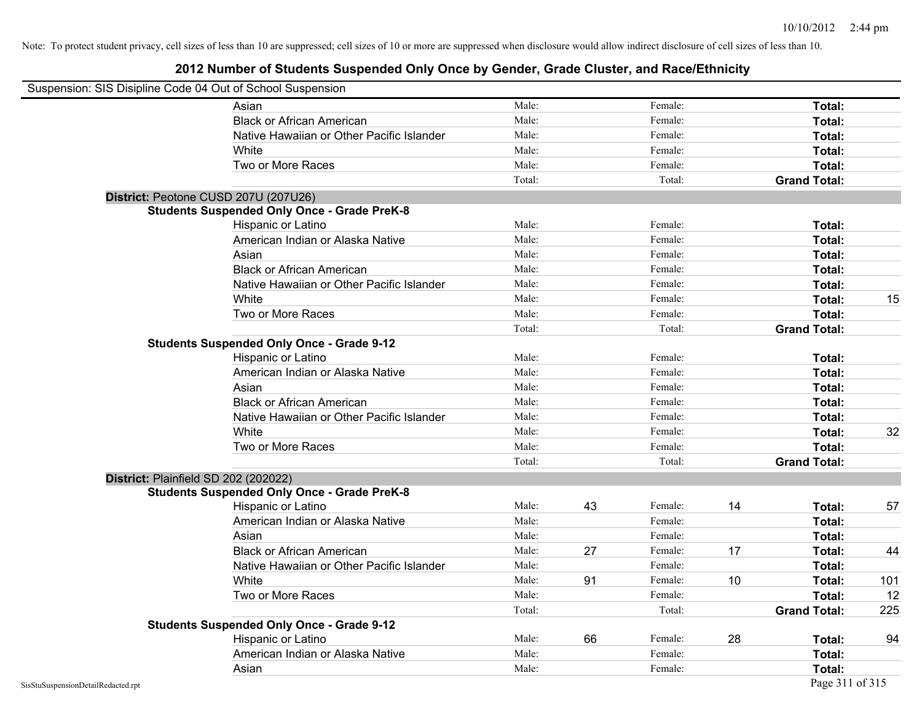| Suspension: SIS Disipline Code 04 Out of School Suspension |                                                    |        |    |         |    |                     |     |
|------------------------------------------------------------|----------------------------------------------------|--------|----|---------|----|---------------------|-----|
|                                                            | Asian                                              | Male:  |    | Female: |    | Total:              |     |
|                                                            | <b>Black or African American</b>                   | Male:  |    | Female: |    | Total:              |     |
|                                                            | Native Hawaiian or Other Pacific Islander          | Male:  |    | Female: |    | Total:              |     |
|                                                            | White                                              | Male:  |    | Female: |    | Total:              |     |
|                                                            | Two or More Races                                  | Male:  |    | Female: |    | Total:              |     |
|                                                            |                                                    | Total: |    | Total:  |    | <b>Grand Total:</b> |     |
|                                                            | District: Peotone CUSD 207U (207U26)               |        |    |         |    |                     |     |
|                                                            | <b>Students Suspended Only Once - Grade PreK-8</b> |        |    |         |    |                     |     |
|                                                            | Hispanic or Latino                                 | Male:  |    | Female: |    | Total:              |     |
|                                                            | American Indian or Alaska Native                   | Male:  |    | Female: |    | Total:              |     |
|                                                            | Asian                                              | Male:  |    | Female: |    | Total:              |     |
|                                                            | <b>Black or African American</b>                   | Male:  |    | Female: |    | Total:              |     |
|                                                            | Native Hawaiian or Other Pacific Islander          | Male:  |    | Female: |    | Total:              |     |
|                                                            | White                                              | Male:  |    | Female: |    | Total:              | 15  |
|                                                            | Two or More Races                                  | Male:  |    | Female: |    | Total:              |     |
|                                                            |                                                    | Total: |    | Total:  |    | <b>Grand Total:</b> |     |
|                                                            | <b>Students Suspended Only Once - Grade 9-12</b>   |        |    |         |    |                     |     |
|                                                            | Hispanic or Latino                                 | Male:  |    | Female: |    | Total:              |     |
|                                                            | American Indian or Alaska Native                   | Male:  |    | Female: |    | Total:              |     |
|                                                            | Asian                                              | Male:  |    | Female: |    | Total:              |     |
|                                                            | <b>Black or African American</b>                   | Male:  |    | Female: |    | Total:              |     |
|                                                            | Native Hawaiian or Other Pacific Islander          | Male:  |    | Female: |    | Total:              |     |
|                                                            | White                                              | Male:  |    | Female: |    | Total:              | 32  |
|                                                            | Two or More Races                                  | Male:  |    | Female: |    | Total:              |     |
|                                                            |                                                    | Total: |    | Total:  |    | <b>Grand Total:</b> |     |
|                                                            | District: Plainfield SD 202 (202022)               |        |    |         |    |                     |     |
|                                                            | <b>Students Suspended Only Once - Grade PreK-8</b> |        |    |         |    |                     |     |
|                                                            | Hispanic or Latino                                 | Male:  | 43 | Female: | 14 | Total:              | 57  |
|                                                            | American Indian or Alaska Native                   | Male:  |    | Female: |    | Total:              |     |
|                                                            | Asian                                              | Male:  |    | Female: |    | Total:              |     |
|                                                            | <b>Black or African American</b>                   | Male:  | 27 | Female: | 17 | Total:              | 44  |
|                                                            | Native Hawaiian or Other Pacific Islander          | Male:  |    | Female: |    | Total:              |     |
|                                                            | White                                              | Male:  | 91 | Female: | 10 | Total:              | 101 |
|                                                            | Two or More Races                                  | Male:  |    | Female: |    | Total:              | 12  |
|                                                            |                                                    | Total: |    | Total:  |    | <b>Grand Total:</b> | 225 |
|                                                            | <b>Students Suspended Only Once - Grade 9-12</b>   |        |    |         |    |                     |     |
|                                                            | Hispanic or Latino                                 | Male:  | 66 | Female: | 28 | Total:              | 94  |
|                                                            | American Indian or Alaska Native                   | Male:  |    | Female: |    | Total:              |     |
|                                                            | Asian                                              | Male:  |    | Female: |    | Total:              |     |
| SisStuSuspensionDetailRedacted.rpt                         |                                                    |        |    |         |    | Page 311 of 315     |     |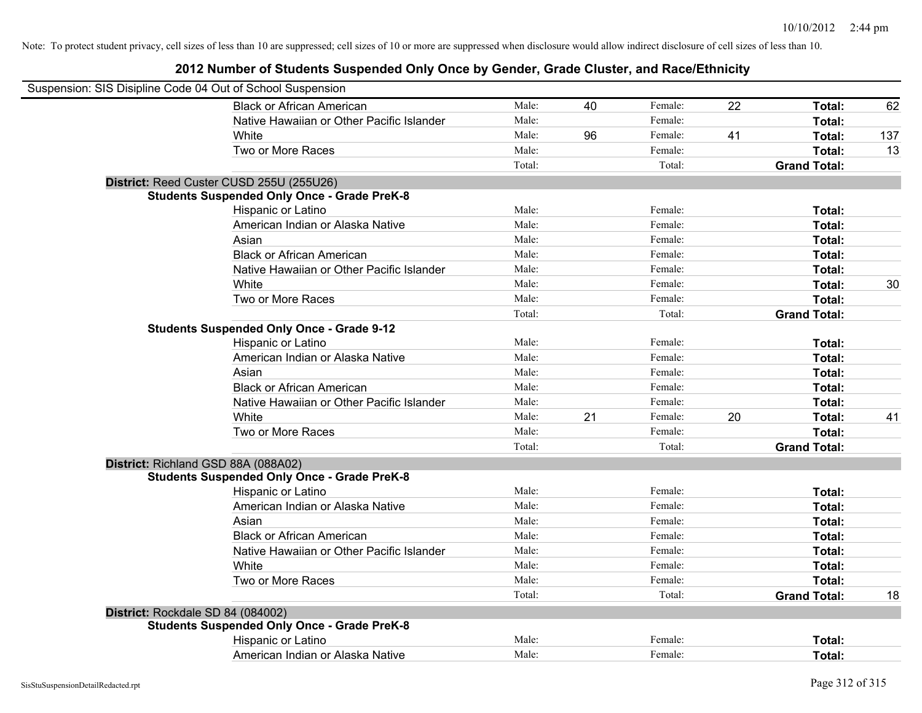| Suspension: SIS Disipline Code 04 Out of School Suspension |                                                    |        |    |         |    |                     |     |
|------------------------------------------------------------|----------------------------------------------------|--------|----|---------|----|---------------------|-----|
|                                                            | <b>Black or African American</b>                   | Male:  | 40 | Female: | 22 | Total:              | 62  |
|                                                            | Native Hawaiian or Other Pacific Islander          | Male:  |    | Female: |    | Total:              |     |
|                                                            | White                                              | Male:  | 96 | Female: | 41 | Total:              | 137 |
|                                                            | Two or More Races                                  | Male:  |    | Female: |    | Total:              | 13  |
|                                                            |                                                    | Total: |    | Total:  |    | <b>Grand Total:</b> |     |
|                                                            | District: Reed Custer CUSD 255U (255U26)           |        |    |         |    |                     |     |
|                                                            | <b>Students Suspended Only Once - Grade PreK-8</b> |        |    |         |    |                     |     |
|                                                            | Hispanic or Latino                                 | Male:  |    | Female: |    | Total:              |     |
|                                                            | American Indian or Alaska Native                   | Male:  |    | Female: |    | Total:              |     |
|                                                            | Asian                                              | Male:  |    | Female: |    | Total:              |     |
|                                                            | <b>Black or African American</b>                   | Male:  |    | Female: |    | Total:              |     |
|                                                            | Native Hawaiian or Other Pacific Islander          | Male:  |    | Female: |    | Total:              |     |
|                                                            | White                                              | Male:  |    | Female: |    | Total:              | 30  |
|                                                            | Two or More Races                                  | Male:  |    | Female: |    | Total:              |     |
|                                                            |                                                    | Total: |    | Total:  |    | <b>Grand Total:</b> |     |
|                                                            | <b>Students Suspended Only Once - Grade 9-12</b>   |        |    |         |    |                     |     |
|                                                            | Hispanic or Latino                                 | Male:  |    | Female: |    | Total:              |     |
|                                                            | American Indian or Alaska Native                   | Male:  |    | Female: |    | Total:              |     |
|                                                            | Asian                                              | Male:  |    | Female: |    | Total:              |     |
|                                                            | <b>Black or African American</b>                   | Male:  |    | Female: |    | Total:              |     |
|                                                            | Native Hawaiian or Other Pacific Islander          | Male:  |    | Female: |    | Total:              |     |
|                                                            | White                                              | Male:  | 21 | Female: | 20 | Total:              | 41  |
|                                                            | Two or More Races                                  | Male:  |    | Female: |    | Total:              |     |
|                                                            |                                                    | Total: |    | Total:  |    | <b>Grand Total:</b> |     |
|                                                            | District: Richland GSD 88A (088A02)                |        |    |         |    |                     |     |
|                                                            | <b>Students Suspended Only Once - Grade PreK-8</b> |        |    |         |    |                     |     |
|                                                            | Hispanic or Latino                                 | Male:  |    | Female: |    | Total:              |     |
|                                                            | American Indian or Alaska Native                   | Male:  |    | Female: |    | Total:              |     |
|                                                            | Asian                                              | Male:  |    | Female: |    | Total:              |     |
|                                                            | <b>Black or African American</b>                   | Male:  |    | Female: |    | Total:              |     |
|                                                            | Native Hawaiian or Other Pacific Islander          | Male:  |    | Female: |    | Total:              |     |
|                                                            | White                                              | Male:  |    | Female: |    | Total:              |     |
|                                                            | Two or More Races                                  | Male:  |    | Female: |    | Total:              |     |
|                                                            |                                                    | Total: |    | Total:  |    | <b>Grand Total:</b> | 18  |
| District: Rockdale SD 84 (084002)                          |                                                    |        |    |         |    |                     |     |
|                                                            | <b>Students Suspended Only Once - Grade PreK-8</b> |        |    |         |    |                     |     |
|                                                            | Hispanic or Latino                                 | Male:  |    | Female: |    | <b>Total:</b>       |     |
|                                                            | American Indian or Alaska Native                   | Male:  |    | Female: |    | Total:              |     |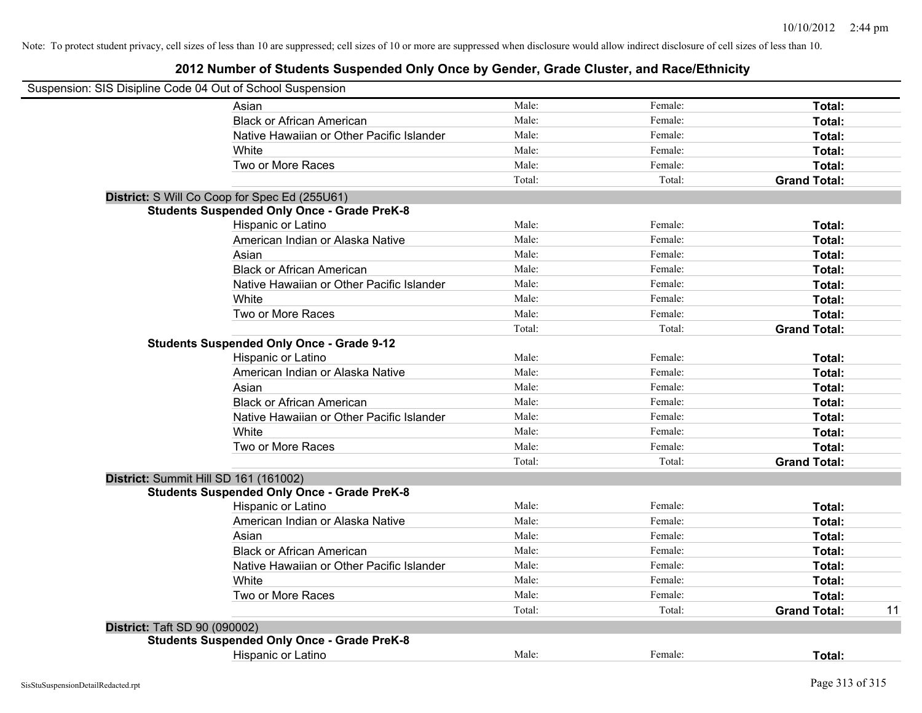| Suspension: SIS Disipline Code 04 Out of School Suspension |        |         |                     |    |
|------------------------------------------------------------|--------|---------|---------------------|----|
| Asian                                                      | Male:  | Female: | Total:              |    |
| <b>Black or African American</b>                           | Male:  | Female: | Total:              |    |
| Native Hawaiian or Other Pacific Islander                  | Male:  | Female: | Total:              |    |
| White                                                      | Male:  | Female: | Total:              |    |
| Two or More Races                                          | Male:  | Female: | Total:              |    |
|                                                            | Total: | Total:  | <b>Grand Total:</b> |    |
| District: S Will Co Coop for Spec Ed (255U61)              |        |         |                     |    |
| <b>Students Suspended Only Once - Grade PreK-8</b>         |        |         |                     |    |
| Hispanic or Latino                                         | Male:  | Female: | Total:              |    |
| American Indian or Alaska Native                           | Male:  | Female: | Total:              |    |
| Asian                                                      | Male:  | Female: | Total:              |    |
| <b>Black or African American</b>                           | Male:  | Female: | Total:              |    |
| Native Hawaiian or Other Pacific Islander                  | Male:  | Female: | Total:              |    |
| White                                                      | Male:  | Female: | Total:              |    |
| Two or More Races                                          | Male:  | Female: | Total:              |    |
|                                                            | Total: | Total:  | <b>Grand Total:</b> |    |
| <b>Students Suspended Only Once - Grade 9-12</b>           |        |         |                     |    |
| Hispanic or Latino                                         | Male:  | Female: | Total:              |    |
| American Indian or Alaska Native                           | Male:  | Female: | Total:              |    |
| Asian                                                      | Male:  | Female: | Total:              |    |
| <b>Black or African American</b>                           | Male:  | Female: | Total:              |    |
| Native Hawaiian or Other Pacific Islander                  | Male:  | Female: | Total:              |    |
| White                                                      | Male:  | Female: | Total:              |    |
| Two or More Races                                          | Male:  | Female: | Total:              |    |
|                                                            | Total: | Total:  | <b>Grand Total:</b> |    |
| District: Summit Hill SD 161 (161002)                      |        |         |                     |    |
| <b>Students Suspended Only Once - Grade PreK-8</b>         |        |         |                     |    |
| <b>Hispanic or Latino</b>                                  | Male:  | Female: | Total:              |    |
| American Indian or Alaska Native                           | Male:  | Female: | Total:              |    |
| Asian                                                      | Male:  | Female: | Total:              |    |
| <b>Black or African American</b>                           | Male:  | Female: | Total:              |    |
| Native Hawaiian or Other Pacific Islander                  | Male:  | Female: | Total:              |    |
| White                                                      | Male:  | Female: | Total:              |    |
| Two or More Races                                          | Male:  | Female: | Total:              |    |
|                                                            | Total: | Total:  | <b>Grand Total:</b> | 11 |
| <b>District: Taft SD 90 (090002)</b>                       |        |         |                     |    |
| <b>Students Suspended Only Once - Grade PreK-8</b>         |        |         |                     |    |
| Hispanic or Latino                                         | Male:  | Female: | Total:              |    |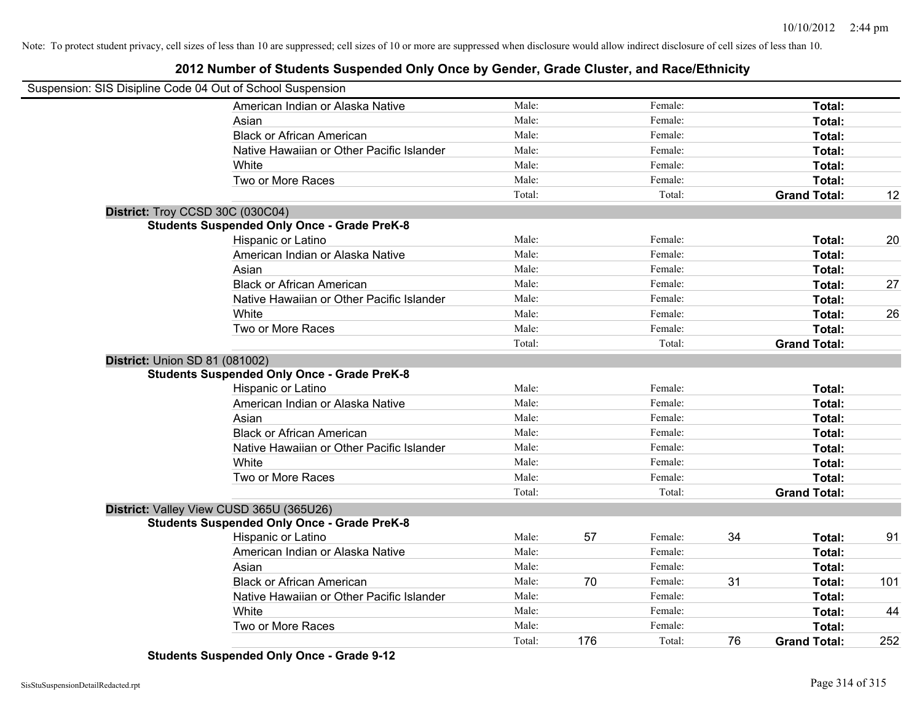# **2012 Number of Students Suspended Only Once by Gender, Grade Cluster, and Race/Ethnicity**

| Suspension: SIS Disipline Code 04 Out of School Suspension |                                                    |        |     |         |    |                     |     |
|------------------------------------------------------------|----------------------------------------------------|--------|-----|---------|----|---------------------|-----|
|                                                            | American Indian or Alaska Native                   | Male:  |     | Female: |    | Total:              |     |
|                                                            | Asian                                              | Male:  |     | Female: |    | Total:              |     |
|                                                            | <b>Black or African American</b>                   | Male:  |     | Female: |    | Total:              |     |
|                                                            | Native Hawaiian or Other Pacific Islander          | Male:  |     | Female: |    | Total:              |     |
|                                                            | White                                              | Male:  |     | Female: |    | Total:              |     |
|                                                            | Two or More Races                                  | Male:  |     | Female: |    | <b>Total:</b>       |     |
|                                                            |                                                    | Total: |     | Total:  |    | <b>Grand Total:</b> | 12  |
|                                                            | District: Troy CCSD 30C (030C04)                   |        |     |         |    |                     |     |
|                                                            | <b>Students Suspended Only Once - Grade PreK-8</b> |        |     |         |    |                     |     |
|                                                            | Hispanic or Latino                                 | Male:  |     | Female: |    | Total:              | 20  |
|                                                            | American Indian or Alaska Native                   | Male:  |     | Female: |    | Total:              |     |
|                                                            | Asian                                              | Male:  |     | Female: |    | Total:              |     |
|                                                            | <b>Black or African American</b>                   | Male:  |     | Female: |    | Total:              | 27  |
|                                                            | Native Hawaiian or Other Pacific Islander          | Male:  |     | Female: |    | Total:              |     |
|                                                            | White                                              | Male:  |     | Female: |    | Total:              | 26  |
|                                                            | Two or More Races                                  | Male:  |     | Female: |    | <b>Total:</b>       |     |
|                                                            |                                                    | Total: |     | Total:  |    | <b>Grand Total:</b> |     |
| <b>District: Union SD 81 (081002)</b>                      |                                                    |        |     |         |    |                     |     |
|                                                            | <b>Students Suspended Only Once - Grade PreK-8</b> |        |     |         |    |                     |     |
|                                                            | Hispanic or Latino                                 | Male:  |     | Female: |    | Total:              |     |
|                                                            | American Indian or Alaska Native                   | Male:  |     | Female: |    | Total:              |     |
|                                                            | Asian                                              | Male:  |     | Female: |    | Total:              |     |
|                                                            | <b>Black or African American</b>                   | Male:  |     | Female: |    | Total:              |     |
|                                                            | Native Hawaiian or Other Pacific Islander          | Male:  |     | Female: |    | Total:              |     |
|                                                            | White                                              | Male:  |     | Female: |    | Total:              |     |
|                                                            | Two or More Races                                  | Male:  |     | Female: |    | Total:              |     |
|                                                            |                                                    | Total: |     | Total:  |    | <b>Grand Total:</b> |     |
|                                                            | District: Valley View CUSD 365U (365U26)           |        |     |         |    |                     |     |
|                                                            | <b>Students Suspended Only Once - Grade PreK-8</b> |        |     |         |    |                     |     |
|                                                            | Hispanic or Latino                                 | Male:  | 57  | Female: | 34 | Total:              | 91  |
|                                                            | American Indian or Alaska Native                   | Male:  |     | Female: |    | Total:              |     |
|                                                            | Asian                                              | Male:  |     | Female: |    | Total:              |     |
|                                                            | <b>Black or African American</b>                   | Male:  | 70  | Female: | 31 | Total:              | 101 |
|                                                            | Native Hawaiian or Other Pacific Islander          | Male:  |     | Female: |    | Total:              |     |
|                                                            | White                                              | Male:  |     | Female: |    | Total:              | 44  |
|                                                            | Two or More Races                                  | Male:  |     | Female: |    | Total:              |     |
|                                                            |                                                    | Total: | 176 | Total:  | 76 | <b>Grand Total:</b> | 252 |

**Students Suspended Only Once - Grade 9-12**